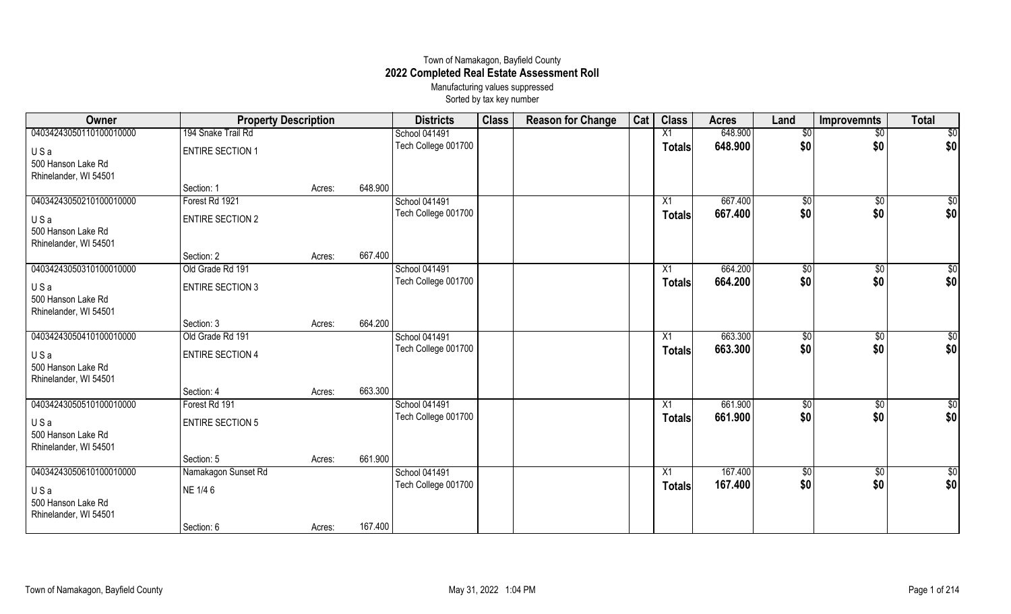## Town of Namakagon, Bayfield County **2022 Completed Real Estate Assessment Roll** Manufacturing values suppressed

Sorted by tax key number

| Owner                   | <b>Property Description</b> |        |         | <b>Districts</b>    | <b>Class</b> | <b>Reason for Change</b> | Cat | <b>Class</b>    | <b>Acres</b> | Land            | <b>Improvemnts</b> | <b>Total</b>    |
|-------------------------|-----------------------------|--------|---------|---------------------|--------------|--------------------------|-----|-----------------|--------------|-----------------|--------------------|-----------------|
| 04034243050110100010000 | 194 Snake Trail Rd          |        |         | School 041491       |              |                          |     | X1              | 648.900      | $\sqrt{6}$      | $\sqrt{$0}$        | $\overline{30}$ |
| USa                     | <b>ENTIRE SECTION 1</b>     |        |         | Tech College 001700 |              |                          |     | <b>Totals</b>   | 648.900      | \$0             | \$0                | \$0             |
| 500 Hanson Lake Rd      |                             |        |         |                     |              |                          |     |                 |              |                 |                    |                 |
| Rhinelander, WI 54501   |                             |        |         |                     |              |                          |     |                 |              |                 |                    |                 |
|                         | Section: 1                  | Acres: | 648.900 |                     |              |                          |     |                 |              |                 |                    |                 |
| 04034243050210100010000 | Forest Rd 1921              |        |         | School 041491       |              |                          |     | X1              | 667.400      | \$0             | $\sqrt{$0}$        | \$0             |
| USa                     | <b>ENTIRE SECTION 2</b>     |        |         | Tech College 001700 |              |                          |     | <b>Totals</b>   | 667.400      | \$0             | \$0                | \$0             |
| 500 Hanson Lake Rd      |                             |        |         |                     |              |                          |     |                 |              |                 |                    |                 |
| Rhinelander, WI 54501   |                             |        |         |                     |              |                          |     |                 |              |                 |                    |                 |
|                         | Section: 2                  | Acres: | 667.400 |                     |              |                          |     |                 |              |                 |                    |                 |
| 04034243050310100010000 | Old Grade Rd 191            |        |         | School 041491       |              |                          |     | $\overline{X1}$ | 664.200      | $\overline{50}$ | $\overline{50}$    | $\overline{50}$ |
| USa                     | <b>ENTIRE SECTION 3</b>     |        |         | Tech College 001700 |              |                          |     | <b>Totals</b>   | 664.200      | \$0             | \$0                | \$0             |
| 500 Hanson Lake Rd      |                             |        |         |                     |              |                          |     |                 |              |                 |                    |                 |
| Rhinelander, WI 54501   |                             |        |         |                     |              |                          |     |                 |              |                 |                    |                 |
|                         | Section: 3                  | Acres: | 664.200 |                     |              |                          |     |                 |              |                 |                    |                 |
| 04034243050410100010000 | Old Grade Rd 191            |        |         | School 041491       |              |                          |     | X1              | 663.300      | $\overline{50}$ | \$0                | $\overline{30}$ |
| USa                     | <b>ENTIRE SECTION 4</b>     |        |         | Tech College 001700 |              |                          |     | <b>Totals</b>   | 663.300      | \$0             | \$0                | \$0             |
| 500 Hanson Lake Rd      |                             |        |         |                     |              |                          |     |                 |              |                 |                    |                 |
| Rhinelander, WI 54501   |                             |        |         |                     |              |                          |     |                 |              |                 |                    |                 |
|                         | Section: 4                  | Acres: | 663.300 |                     |              |                          |     |                 |              |                 |                    |                 |
| 04034243050510100010000 | Forest Rd 191               |        |         | School 041491       |              |                          |     | X1              | 661.900      | \$0             | $\sqrt[6]{3}$      | $\overline{50}$ |
| USa                     | <b>ENTIRE SECTION 5</b>     |        |         | Tech College 001700 |              |                          |     | <b>Totals</b>   | 661.900      | \$0             | \$0                | \$0             |
| 500 Hanson Lake Rd      |                             |        |         |                     |              |                          |     |                 |              |                 |                    |                 |
| Rhinelander, WI 54501   |                             |        |         |                     |              |                          |     |                 |              |                 |                    |                 |
|                         | Section: 5                  | Acres: | 661.900 |                     |              |                          |     |                 |              |                 |                    |                 |
| 04034243050610100010000 | Namakagon Sunset Rd         |        |         | School 041491       |              |                          |     | X1              | 167.400      | $\frac{1}{20}$  | $\frac{1}{20}$     | \$0             |
| USa                     | NE 1/4 6                    |        |         | Tech College 001700 |              |                          |     | <b>Totals</b>   | 167.400      | \$0             | \$0                | \$0             |
| 500 Hanson Lake Rd      |                             |        |         |                     |              |                          |     |                 |              |                 |                    |                 |
| Rhinelander, WI 54501   |                             |        |         |                     |              |                          |     |                 |              |                 |                    |                 |
|                         | Section: 6                  | Acres: | 167.400 |                     |              |                          |     |                 |              |                 |                    |                 |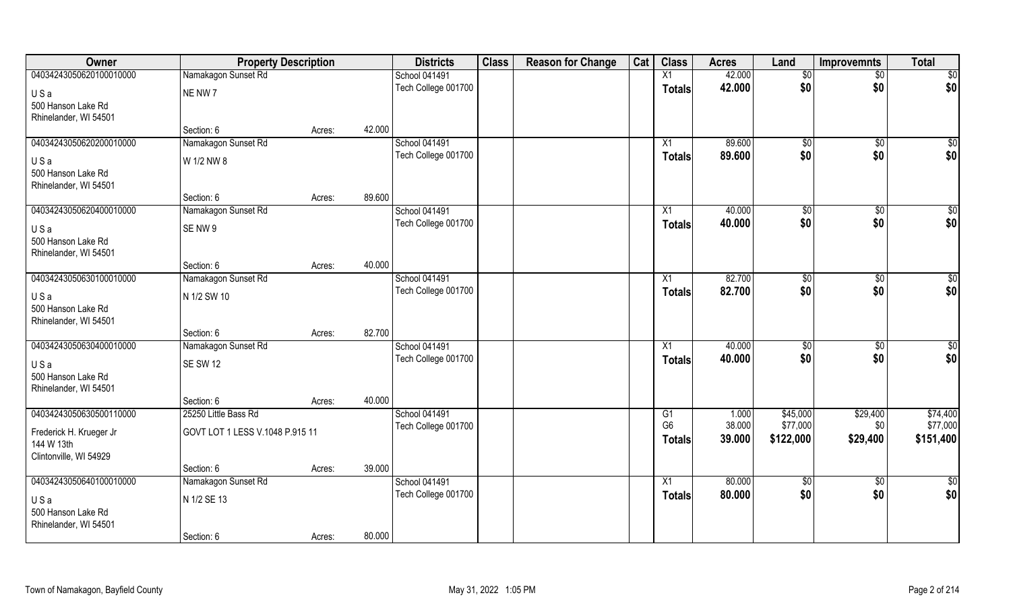| Owner                                       | <b>Property Description</b>     |        |        | <b>Districts</b>                     | <b>Class</b> | <b>Reason for Change</b> | Cat | <b>Class</b>    | <b>Acres</b> | Land        | <b>Improvemnts</b>     | <b>Total</b>       |
|---------------------------------------------|---------------------------------|--------|--------|--------------------------------------|--------------|--------------------------|-----|-----------------|--------------|-------------|------------------------|--------------------|
| 04034243050620100010000                     | Namakagon Sunset Rd             |        |        | School 041491                        |              |                          |     | X1              | 42.000       | \$0         | $\sqrt{$0}$            | \$0                |
| USa                                         | NE NW 7                         |        |        | Tech College 001700                  |              |                          |     | <b>Totals</b>   | 42.000       | \$0         | \$0                    | \$0                |
| 500 Hanson Lake Rd                          |                                 |        |        |                                      |              |                          |     |                 |              |             |                        |                    |
| Rhinelander, WI 54501                       |                                 |        |        |                                      |              |                          |     |                 |              |             |                        |                    |
|                                             | Section: 6                      | Acres: | 42.000 |                                      |              |                          |     |                 |              |             |                        |                    |
| 04034243050620200010000                     | Namakagon Sunset Rd             |        |        | School 041491                        |              |                          |     | X1              | 89.600       | \$0         | $\sqrt[6]{}$           | $\sqrt{50}$        |
| USa                                         | W 1/2 NW 8                      |        |        | Tech College 001700                  |              |                          |     | Totals          | 89.600       | \$0         | \$0                    | \$0                |
| 500 Hanson Lake Rd                          |                                 |        |        |                                      |              |                          |     |                 |              |             |                        |                    |
| Rhinelander, WI 54501                       |                                 |        |        |                                      |              |                          |     |                 |              |             |                        |                    |
| 04034243050620400010000                     | Section: 6                      | Acres: | 89.600 |                                      |              |                          |     |                 | 40.000       |             |                        |                    |
|                                             | Namakagon Sunset Rd             |        |        | School 041491<br>Tech College 001700 |              |                          |     | X1              | 40.000       | \$0<br>\$0  | $\overline{30}$<br>\$0 | $\sqrt{50}$<br>\$0 |
| USa                                         | SENW9                           |        |        |                                      |              |                          |     | <b>Totals</b>   |              |             |                        |                    |
| 500 Hanson Lake Rd                          |                                 |        |        |                                      |              |                          |     |                 |              |             |                        |                    |
| Rhinelander, WI 54501                       | Section: 6                      | Acres: | 40.000 |                                      |              |                          |     |                 |              |             |                        |                    |
| 04034243050630100010000                     | Namakagon Sunset Rd             |        |        | School 041491                        |              |                          |     | X1              | 82.700       | \$0         | \$0                    | $\sqrt{50}$        |
|                                             |                                 |        |        | Tech College 001700                  |              |                          |     | <b>Totals</b>   | 82.700       | \$0         | \$0                    | \$0                |
| USa                                         | N 1/2 SW 10                     |        |        |                                      |              |                          |     |                 |              |             |                        |                    |
| 500 Hanson Lake Rd<br>Rhinelander, WI 54501 |                                 |        |        |                                      |              |                          |     |                 |              |             |                        |                    |
|                                             | Section: 6                      | Acres: | 82.700 |                                      |              |                          |     |                 |              |             |                        |                    |
| 04034243050630400010000                     | Namakagon Sunset Rd             |        |        | School 041491                        |              |                          |     | X1              | 40.000       | \$0         | $\overline{50}$        | $\sqrt{50}$        |
|                                             | <b>SE SW 12</b>                 |        |        | Tech College 001700                  |              |                          |     | <b>Totals</b>   | 40.000       | \$0         | \$0                    | \$0                |
| USa<br>500 Hanson Lake Rd                   |                                 |        |        |                                      |              |                          |     |                 |              |             |                        |                    |
| Rhinelander, WI 54501                       |                                 |        |        |                                      |              |                          |     |                 |              |             |                        |                    |
|                                             | Section: 6                      | Acres: | 40.000 |                                      |              |                          |     |                 |              |             |                        |                    |
| 04034243050630500110000                     | 25250 Little Bass Rd            |        |        | School 041491                        |              |                          |     | G1              | 1.000        | \$45,000    | \$29,400               | \$74,400           |
| Frederick H. Krueger Jr                     | GOVT LOT 1 LESS V.1048 P.915 11 |        |        | Tech College 001700                  |              |                          |     | G <sub>6</sub>  | 38.000       | \$77,000    | \$0                    | \$77,000           |
| 144 W 13th                                  |                                 |        |        |                                      |              |                          |     | Totals          | 39.000       | \$122,000   | \$29,400               | \$151,400          |
| Clintonville, WI 54929                      |                                 |        |        |                                      |              |                          |     |                 |              |             |                        |                    |
|                                             | Section: 6                      | Acres: | 39.000 |                                      |              |                          |     |                 |              |             |                        |                    |
| 04034243050640100010000                     | Namakagon Sunset Rd             |        |        | School 041491                        |              |                          |     | $\overline{X1}$ | 80.000       | $\sqrt{50}$ | $\sqrt{$0}$            | \$0                |
| USa                                         | N 1/2 SE 13                     |        |        | Tech College 001700                  |              |                          |     | <b>Totals</b>   | 80.000       | \$0         | \$0                    | \$0                |
| 500 Hanson Lake Rd                          |                                 |        |        |                                      |              |                          |     |                 |              |             |                        |                    |
| Rhinelander, WI 54501                       |                                 |        |        |                                      |              |                          |     |                 |              |             |                        |                    |
|                                             | Section: 6                      | Acres: | 80.000 |                                      |              |                          |     |                 |              |             |                        |                    |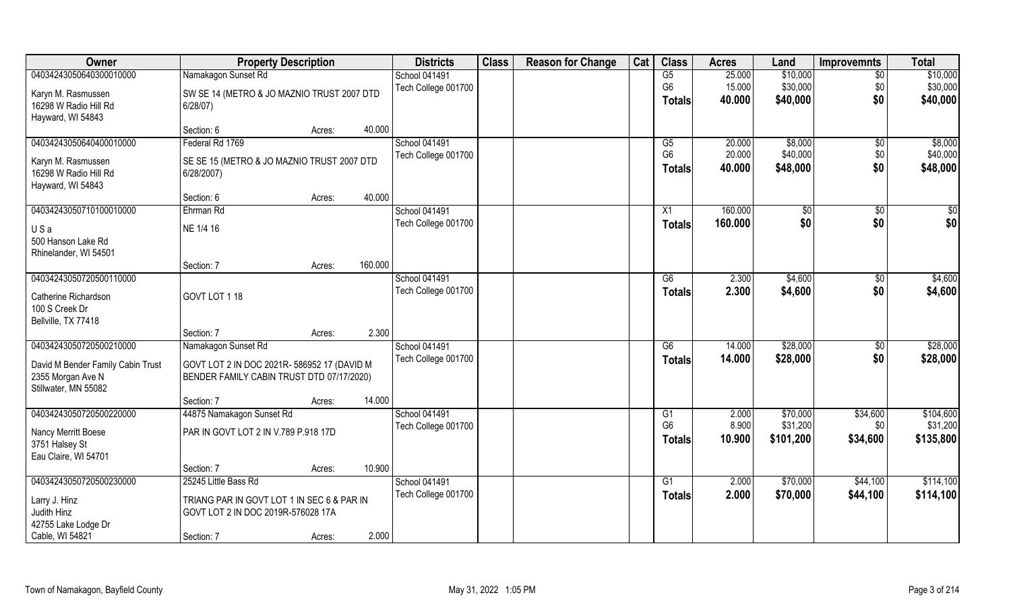| Owner                             | <b>Property Description</b>                 |                   | <b>Districts</b>     | <b>Class</b> | <b>Reason for Change</b> | Cat | <b>Class</b>   | <b>Acres</b> | Land          | <b>Improvemnts</b> | <b>Total</b> |
|-----------------------------------|---------------------------------------------|-------------------|----------------------|--------------|--------------------------|-----|----------------|--------------|---------------|--------------------|--------------|
| 04034243050640300010000           | Namakagon Sunset Rd                         |                   | <b>School 041491</b> |              |                          |     | G5             | 25.000       | \$10,000      | $\overline{50}$    | \$10,000     |
| Karyn M. Rasmussen                | SW SE 14 (METRO & JO MAZNIO TRUST 2007 DTD  |                   | Tech College 001700  |              |                          |     | G <sub>6</sub> | 15.000       | \$30,000      | \$0                | \$30,000     |
| 16298 W Radio Hill Rd             | $6/28/07$ )                                 |                   |                      |              |                          |     | Totals         | 40.000       | \$40,000      | \$0                | \$40,000     |
| Hayward, WI 54843                 |                                             |                   |                      |              |                          |     |                |              |               |                    |              |
|                                   | Section: 6                                  | 40.000<br>Acres:  |                      |              |                          |     |                |              |               |                    |              |
| 04034243050640400010000           | Federal Rd 1769                             |                   | <b>School 041491</b> |              |                          |     | G5             | 20.000       | \$8,000       | \$0                | \$8,000      |
| Karyn M. Rasmussen                | SE SE 15 (METRO & JO MAZNIO TRUST 2007 DTD  |                   | Tech College 001700  |              |                          |     | G <sub>6</sub> | 20.000       | \$40,000      | \$0                | \$40,000     |
| 16298 W Radio Hill Rd             | 6/28/2007)                                  |                   |                      |              |                          |     | <b>Totals</b>  | 40.000       | \$48,000      | \$0                | \$48,000     |
| Hayward, WI 54843                 |                                             |                   |                      |              |                          |     |                |              |               |                    |              |
|                                   | Section: 6                                  | 40.000<br>Acres:  |                      |              |                          |     |                |              |               |                    |              |
| 04034243050710100010000           | Ehrman Rd                                   |                   | School 041491        |              |                          |     | X1             | 160.000      | $\sqrt[6]{3}$ | $\sqrt{6}$         | \$0          |
| USa                               | NE 1/4 16                                   |                   | Tech College 001700  |              |                          |     | <b>Totals</b>  | 160.000      | \$0           | \$0                | \$0          |
| 500 Hanson Lake Rd                |                                             |                   |                      |              |                          |     |                |              |               |                    |              |
| Rhinelander, WI 54501             |                                             |                   |                      |              |                          |     |                |              |               |                    |              |
|                                   | Section: 7                                  | 160.000<br>Acres: |                      |              |                          |     |                |              |               |                    |              |
| 04034243050720500110000           |                                             |                   | <b>School 041491</b> |              |                          |     | G6             | 2.300        | \$4,600       | \$0                | \$4,600      |
| Catherine Richardson              | GOVT LOT 1 18                               |                   | Tech College 001700  |              |                          |     | <b>Totals</b>  | 2.300        | \$4,600       | \$0                | \$4,600      |
| 100 S Creek Dr                    |                                             |                   |                      |              |                          |     |                |              |               |                    |              |
| Bellville, TX 77418               |                                             |                   |                      |              |                          |     |                |              |               |                    |              |
|                                   | Section: 7                                  | 2.300<br>Acres:   |                      |              |                          |     |                |              |               |                    |              |
| 04034243050720500210000           | Namakagon Sunset Rd                         |                   | School 041491        |              |                          |     | G6             | 14.000       | \$28,000      | \$0                | \$28,000     |
| David M Bender Family Cabin Trust | GOVT LOT 2 IN DOC 2021R- 586952 17 (DAVID M |                   | Tech College 001700  |              |                          |     | <b>Totals</b>  | 14.000       | \$28,000      | \$0                | \$28,000     |
| 2355 Morgan Ave N                 | BENDER FAMILY CABIN TRUST DTD 07/17/2020)   |                   |                      |              |                          |     |                |              |               |                    |              |
| Stillwater, MN 55082              |                                             |                   |                      |              |                          |     |                |              |               |                    |              |
|                                   | Section: 7                                  | 14.000<br>Acres:  |                      |              |                          |     |                |              |               |                    |              |
| 04034243050720500220000           | 44875 Namakagon Sunset Rd                   |                   | School 041491        |              |                          |     | G1             | 2.000        | \$70,000      | \$34,600           | \$104,600    |
| Nancy Merritt Boese               | PAR IN GOVT LOT 2 IN V.789 P.918 17D        |                   | Tech College 001700  |              |                          |     | G <sub>6</sub> | 8.900        | \$31,200      | \$0                | \$31,200     |
| 3751 Halsey St                    |                                             |                   |                      |              |                          |     | <b>Totals</b>  | 10.900       | \$101,200     | \$34,600           | \$135,800    |
| Eau Claire, WI 54701              |                                             |                   |                      |              |                          |     |                |              |               |                    |              |
|                                   | Section: 7                                  | 10.900<br>Acres:  |                      |              |                          |     |                |              |               |                    |              |
| 04034243050720500230000           | 25245 Little Bass Rd                        |                   | School 041491        |              |                          |     | G1             | 2.000        | \$70,000      | \$44,100           | \$114,100    |
| Larry J. Hinz                     | TRIANG PAR IN GOVT LOT 1 IN SEC 6 & PAR IN  |                   | Tech College 001700  |              |                          |     | Totals         | 2.000        | \$70,000      | \$44,100           | \$114,100    |
| Judith Hinz                       | GOVT LOT 2 IN DOC 2019R-576028 17A          |                   |                      |              |                          |     |                |              |               |                    |              |
| 42755 Lake Lodge Dr               |                                             |                   |                      |              |                          |     |                |              |               |                    |              |
| Cable, WI 54821                   | Section: 7                                  | 2.000<br>Acres:   |                      |              |                          |     |                |              |               |                    |              |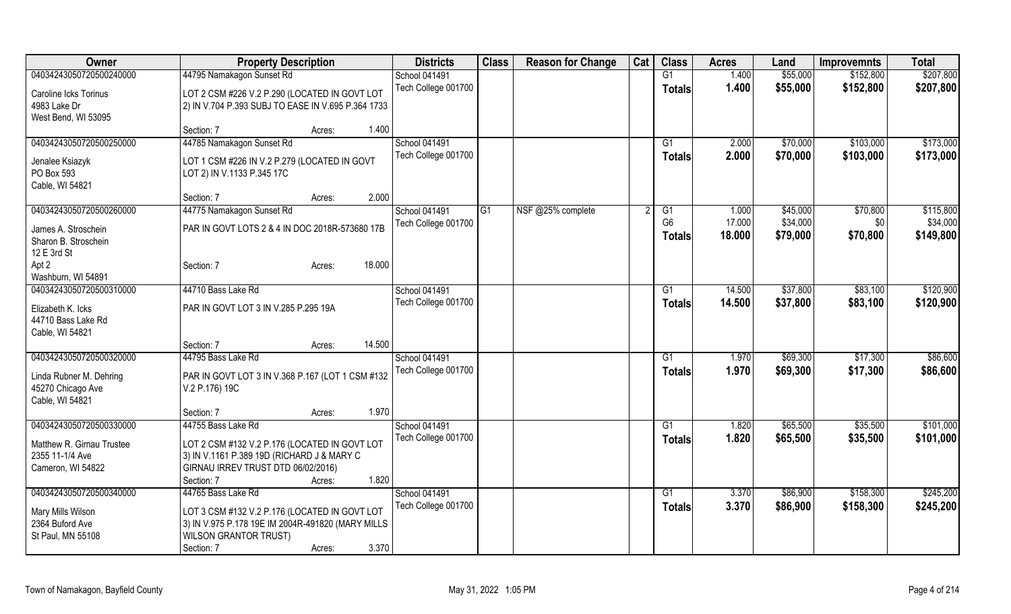| Owner                     | <b>Property Description</b>                        |                  | <b>Districts</b>     | <b>Class</b> | <b>Reason for Change</b> | Cat | <b>Class</b>         | <b>Acres</b>    | Land     | <b>Improvemnts</b> | <b>Total</b> |
|---------------------------|----------------------------------------------------|------------------|----------------------|--------------|--------------------------|-----|----------------------|-----------------|----------|--------------------|--------------|
| 04034243050720500240000   | 44795 Namakagon Sunset Rd                          |                  | <b>School 041491</b> |              |                          |     | $\overline{G1}$      | 1.400           | \$55,000 | \$152,800          | \$207,800    |
| Caroline Icks Torinus     | LOT 2 CSM #226 V.2 P.290 (LOCATED IN GOVT LOT      |                  | Tech College 001700  |              |                          |     | <b>Totals</b>        | 1.400           | \$55,000 | \$152,800          | \$207,800    |
| 4983 Lake Dr              | 2) IN V.704 P.393 SUBJ TO EASE IN V.695 P.364 1733 |                  |                      |              |                          |     |                      |                 |          |                    |              |
| West Bend, WI 53095       |                                                    |                  |                      |              |                          |     |                      |                 |          |                    |              |
|                           | Section: 7                                         | 1.400<br>Acres:  |                      |              |                          |     |                      |                 |          |                    |              |
| 04034243050720500250000   | 44785 Namakagon Sunset Rd                          |                  | <b>School 041491</b> |              |                          |     | G1                   | 2.000           | \$70,000 | \$103,000          | \$173,000    |
|                           |                                                    |                  | Tech College 001700  |              |                          |     | <b>Totals</b>        | 2.000           | \$70,000 | \$103,000          | \$173,000    |
| Jenalee Ksiazyk           | LOT 1 CSM #226 IN V.2 P.279 (LOCATED IN GOVT       |                  |                      |              |                          |     |                      |                 |          |                    |              |
| PO Box 593                | LOT 2) IN V.1133 P.345 17C                         |                  |                      |              |                          |     |                      |                 |          |                    |              |
| Cable, WI 54821           |                                                    | 2.000            |                      |              |                          |     |                      |                 |          |                    |              |
|                           | Section: 7                                         | Acres:           |                      |              |                          |     |                      |                 |          |                    |              |
| 04034243050720500260000   | 44775 Namakagon Sunset Rd                          |                  | School 041491        | G1           | NSF @25% complete        |     | G1<br>G <sub>6</sub> | 1.000<br>17.000 | \$45,000 | \$70,800           | \$115,800    |
| James A. Stroschein       | PAR IN GOVT LOTS 2 & 4 IN DOC 2018R-573680 17B     |                  | Tech College 001700  |              |                          |     |                      |                 | \$34,000 | \$0                | \$34,000     |
| Sharon B. Stroschein      |                                                    |                  |                      |              |                          |     | Totals               | 18.000          | \$79,000 | \$70,800           | \$149,800    |
| 12 E 3rd St               |                                                    |                  |                      |              |                          |     |                      |                 |          |                    |              |
| Apt 2                     | Section: 7                                         | 18.000<br>Acres: |                      |              |                          |     |                      |                 |          |                    |              |
| Washburn, WI 54891        |                                                    |                  |                      |              |                          |     |                      |                 |          |                    |              |
| 04034243050720500310000   | 44710 Bass Lake Rd                                 |                  | <b>School 041491</b> |              |                          |     | G1                   | 14.500          | \$37,800 | \$83,100           | \$120,900    |
| Elizabeth K. Icks         | PAR IN GOVT LOT 3 IN V.285 P.295 19A               |                  | Tech College 001700  |              |                          |     | <b>Totals</b>        | 14.500          | \$37,800 | \$83,100           | \$120,900    |
| 44710 Bass Lake Rd        |                                                    |                  |                      |              |                          |     |                      |                 |          |                    |              |
| Cable, WI 54821           |                                                    |                  |                      |              |                          |     |                      |                 |          |                    |              |
|                           | Section: 7                                         | 14.500<br>Acres: |                      |              |                          |     |                      |                 |          |                    |              |
| 04034243050720500320000   | 44795 Bass Lake Rd                                 |                  | <b>School 041491</b> |              |                          |     | G1                   | 1.970           | \$69,300 | \$17,300           | \$86,600     |
|                           |                                                    |                  | Tech College 001700  |              |                          |     | <b>Totals</b>        | 1.970           | \$69,300 | \$17,300           | \$86,600     |
| Linda Rubner M. Dehring   | PAR IN GOVT LOT 3 IN V.368 P.167 (LOT 1 CSM #132   |                  |                      |              |                          |     |                      |                 |          |                    |              |
| 45270 Chicago Ave         | V.2 P.176) 19C                                     |                  |                      |              |                          |     |                      |                 |          |                    |              |
| Cable, WI 54821           |                                                    |                  |                      |              |                          |     |                      |                 |          |                    |              |
|                           | Section: 7                                         | 1.970<br>Acres:  |                      |              |                          |     |                      |                 |          |                    |              |
| 04034243050720500330000   | 44755 Bass Lake Rd                                 |                  | <b>School 041491</b> |              |                          |     | G1                   | 1.820           | \$65,500 | \$35,500           | \$101,000    |
| Matthew R. Girnau Trustee | LOT 2 CSM #132 V.2 P.176 (LOCATED IN GOVT LOT      |                  | Tech College 001700  |              |                          |     | Totals               | 1.820           | \$65,500 | \$35,500           | \$101,000    |
| 2355 11-1/4 Ave           | 3) IN V.1161 P.389 19D (RICHARD J & MARY C         |                  |                      |              |                          |     |                      |                 |          |                    |              |
| Cameron, WI 54822         | GIRNAU IRREV TRUST DTD 06/02/2016)                 |                  |                      |              |                          |     |                      |                 |          |                    |              |
|                           | Section: 7                                         | 1.820<br>Acres:  |                      |              |                          |     |                      |                 |          |                    |              |
| 04034243050720500340000   | 44765 Bass Lake Rd                                 |                  | <b>School 041491</b> |              |                          |     | G1                   | 3.370           | \$86,900 | \$158,300          | \$245,200    |
|                           |                                                    |                  | Tech College 001700  |              |                          |     | <b>Totals</b>        | 3.370           | \$86,900 | \$158,300          | \$245,200    |
| Mary Mills Wilson         | LOT 3 CSM #132 V.2 P.176 (LOCATED IN GOVT LOT      |                  |                      |              |                          |     |                      |                 |          |                    |              |
| 2364 Buford Ave           | 3) IN V.975 P.178 19E IM 2004R-491820 (MARY MILLS  |                  |                      |              |                          |     |                      |                 |          |                    |              |
| St Paul, MN 55108         | <b>WILSON GRANTOR TRUST)</b>                       |                  |                      |              |                          |     |                      |                 |          |                    |              |
|                           | Section: 7                                         | 3.370<br>Acres:  |                      |              |                          |     |                      |                 |          |                    |              |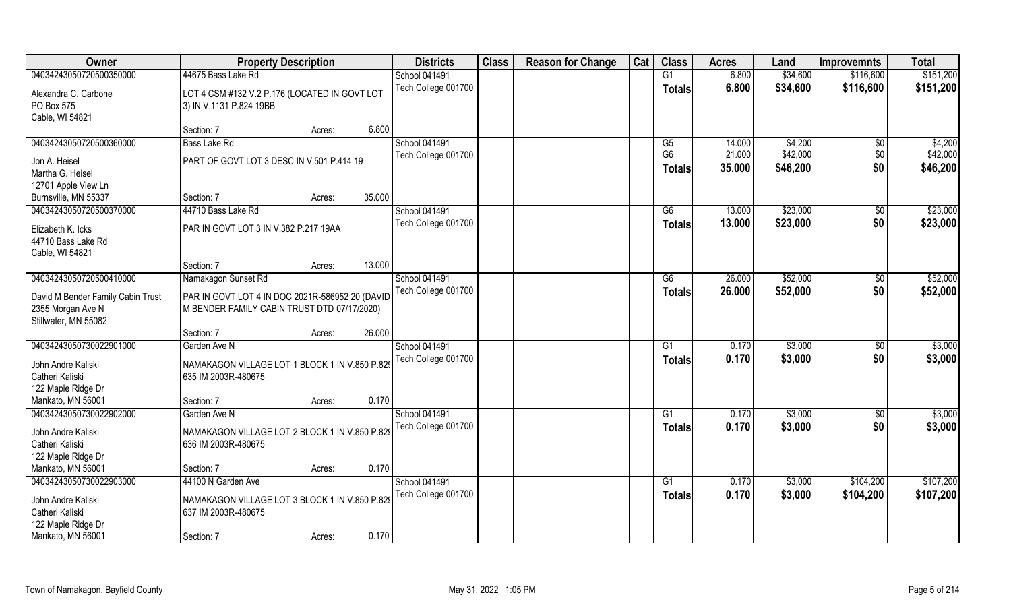| Owner                                 | <b>Property Description</b>                     |        |        | <b>Districts</b>     | <b>Class</b> | <b>Reason for Change</b> | Cat | <b>Class</b>   | <b>Acres</b> | Land     | <b>Improvemnts</b> | <b>Total</b> |
|---------------------------------------|-------------------------------------------------|--------|--------|----------------------|--------------|--------------------------|-----|----------------|--------------|----------|--------------------|--------------|
| 04034243050720500350000               | 44675 Bass Lake Rd                              |        |        | <b>School 041491</b> |              |                          |     | G1             | 6.800        | \$34,600 | \$116,600          | \$151,200    |
| Alexandra C. Carbone                  | LOT 4 CSM #132 V.2 P.176 (LOCATED IN GOVT LOT   |        |        | Tech College 001700  |              |                          |     | <b>Totals</b>  | 6.800        | \$34,600 | \$116,600          | \$151,200    |
| PO Box 575                            | 3) IN V.1131 P.824 19BB                         |        |        |                      |              |                          |     |                |              |          |                    |              |
| Cable, WI 54821                       |                                                 |        |        |                      |              |                          |     |                |              |          |                    |              |
|                                       | Section: 7                                      | Acres: | 6.800  |                      |              |                          |     |                |              |          |                    |              |
| 04034243050720500360000               | Bass Lake Rd                                    |        |        | <b>School 041491</b> |              |                          |     | G5             | 14.000       | \$4,200  | $\overline{50}$    | \$4,200      |
| Jon A. Heisel                         | PART OF GOVT LOT 3 DESC IN V.501 P.414 19       |        |        | Tech College 001700  |              |                          |     | G <sub>6</sub> | 21.000       | \$42,000 | \$0                | \$42,000     |
| Martha G. Heisel                      |                                                 |        |        |                      |              |                          |     | <b>Totals</b>  | 35.000       | \$46,200 | \$0                | \$46,200     |
| 12701 Apple View Ln                   |                                                 |        |        |                      |              |                          |     |                |              |          |                    |              |
| Burnsville, MN 55337                  | Section: 7                                      | Acres: | 35.000 |                      |              |                          |     |                |              |          |                    |              |
| 04034243050720500370000               | 44710 Bass Lake Rd                              |        |        | <b>School 041491</b> |              |                          |     | G6             | 13.000       | \$23,000 | $\sqrt[6]{30}$     | \$23,000     |
| Elizabeth K. Icks                     | PAR IN GOVT LOT 3 IN V.382 P.217 19AA           |        |        | Tech College 001700  |              |                          |     | <b>Totals</b>  | 13.000       | \$23,000 | \$0                | \$23,000     |
| 44710 Bass Lake Rd                    |                                                 |        |        |                      |              |                          |     |                |              |          |                    |              |
| Cable, WI 54821                       |                                                 |        |        |                      |              |                          |     |                |              |          |                    |              |
|                                       | Section: 7                                      | Acres: | 13.000 |                      |              |                          |     |                |              |          |                    |              |
| 04034243050720500410000               | Namakagon Sunset Rd                             |        |        | School 041491        |              |                          |     | G6             | 26.000       | \$52,000 | \$0                | \$52,000     |
| David M Bender Family Cabin Trust     | PAR IN GOVT LOT 4 IN DOC 2021R-586952 20 (DAVID |        |        | Tech College 001700  |              |                          |     | <b>Totals</b>  | 26.000       | \$52,000 | \$0                | \$52,000     |
| 2355 Morgan Ave N                     | M BENDER FAMILY CABIN TRUST DTD 07/17/2020)     |        |        |                      |              |                          |     |                |              |          |                    |              |
| Stillwater, MN 55082                  |                                                 |        |        |                      |              |                          |     |                |              |          |                    |              |
|                                       | Section: 7                                      | Acres: | 26.000 |                      |              |                          |     |                |              |          |                    |              |
| 04034243050730022901000               | Garden Ave N                                    |        |        | <b>School 041491</b> |              |                          |     | G <sub>1</sub> | 0.170        | \$3,000  | \$0                | \$3,000      |
| John Andre Kaliski                    | NAMAKAGON VILLAGE LOT 1 BLOCK 1 IN V.850 P.829  |        |        | Tech College 001700  |              |                          |     | <b>Totals</b>  | 0.170        | \$3,000  | \$0                | \$3,000      |
| Catheri Kaliski                       | 635 IM 2003R-480675                             |        |        |                      |              |                          |     |                |              |          |                    |              |
| 122 Maple Ridge Dr                    |                                                 |        |        |                      |              |                          |     |                |              |          |                    |              |
| Mankato, MN 56001                     | Section: 7                                      | Acres: | 0.170  |                      |              |                          |     |                |              |          |                    |              |
| 04034243050730022902000               | Garden Ave N                                    |        |        | School 041491        |              |                          |     | G1             | 0.170        | \$3,000  | \$0                | \$3,000      |
|                                       | NAMAKAGON VILLAGE LOT 2 BLOCK 1 IN V.850 P.829  |        |        | Tech College 001700  |              |                          |     | <b>Totals</b>  | 0.170        | \$3,000  | \$0                | \$3,000      |
| John Andre Kaliski<br>Catheri Kaliski | 636 IM 2003R-480675                             |        |        |                      |              |                          |     |                |              |          |                    |              |
| 122 Maple Ridge Dr                    |                                                 |        |        |                      |              |                          |     |                |              |          |                    |              |
| Mankato, MN 56001                     | Section: 7                                      | Acres: | 0.170  |                      |              |                          |     |                |              |          |                    |              |
| 04034243050730022903000               | 44100 N Garden Ave                              |        |        | <b>School 041491</b> |              |                          |     | G1             | 0.170        | \$3,000  | \$104,200          | \$107,200    |
|                                       |                                                 |        |        | Tech College 001700  |              |                          |     | <b>Totals</b>  | 0.170        | \$3,000  | \$104,200          | \$107,200    |
| John Andre Kaliski<br>Catheri Kaliski | NAMAKAGON VILLAGE LOT 3 BLOCK 1 IN V.850 P.829  |        |        |                      |              |                          |     |                |              |          |                    |              |
| 122 Maple Ridge Dr                    | 637 IM 2003R-480675                             |        |        |                      |              |                          |     |                |              |          |                    |              |
| Mankato, MN 56001                     | Section: 7                                      | Acres: | 0.170  |                      |              |                          |     |                |              |          |                    |              |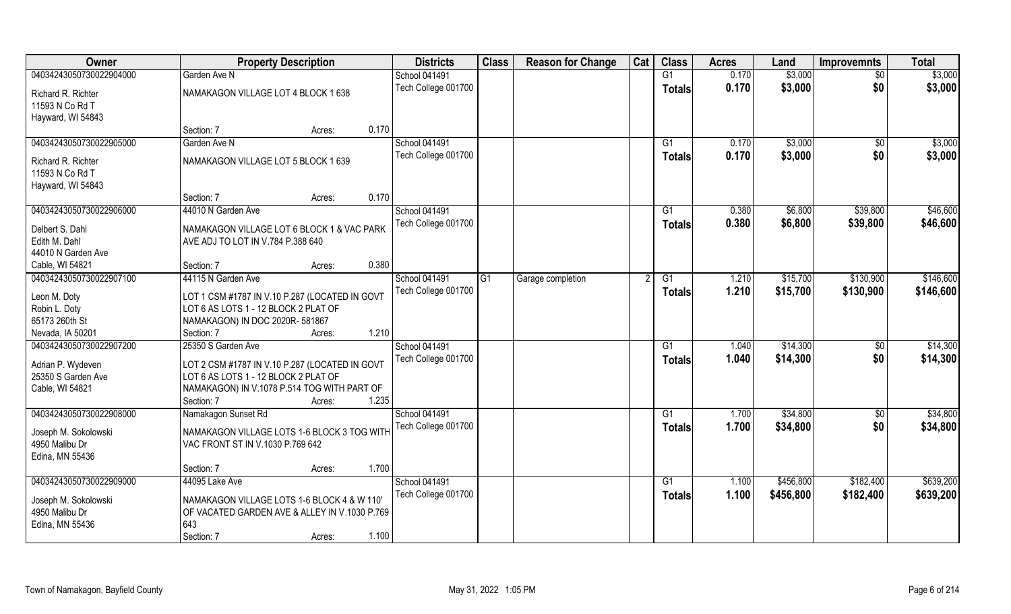| Owner                                 | <b>Property Description</b>                               |        |       | <b>Districts</b>     | <b>Class</b> | <b>Reason for Change</b> | Cat | <b>Class</b>   | <b>Acres</b> | Land      | <b>Improvemnts</b> | <b>Total</b> |
|---------------------------------------|-----------------------------------------------------------|--------|-------|----------------------|--------------|--------------------------|-----|----------------|--------------|-----------|--------------------|--------------|
| 04034243050730022904000               | Garden Ave N                                              |        |       | School 041491        |              |                          |     | G1             | 0.170        | \$3,000   | $\overline{50}$    | \$3,000      |
| Richard R. Richter<br>11593 N Co Rd T | NAMAKAGON VILLAGE LOT 4 BLOCK 1 638                       |        |       | Tech College 001700  |              |                          |     | <b>Totals</b>  | 0.170        | \$3,000   | \$0                | \$3,000      |
| Hayward, WI 54843                     |                                                           |        |       |                      |              |                          |     |                |              |           |                    |              |
|                                       | Section: 7                                                | Acres: | 0.170 |                      |              |                          |     |                |              |           |                    |              |
| 04034243050730022905000               | Garden Ave N                                              |        |       | <b>School 041491</b> |              |                          |     | G <sub>1</sub> | 0.170        | \$3,000   | \$0                | \$3,000      |
|                                       | NAMAKAGON VILLAGE LOT 5 BLOCK 1 639                       |        |       | Tech College 001700  |              |                          |     | <b>Totals</b>  | 0.170        | \$3,000   | \$0                | \$3,000      |
| Richard R. Richter<br>11593 N Co Rd T |                                                           |        |       |                      |              |                          |     |                |              |           |                    |              |
| Hayward, WI 54843                     |                                                           |        |       |                      |              |                          |     |                |              |           |                    |              |
|                                       | Section: 7                                                | Acres: | 0.170 |                      |              |                          |     |                |              |           |                    |              |
| 04034243050730022906000               | 44010 N Garden Ave                                        |        |       | School 041491        |              |                          |     | G1             | 0.380        | \$6,800   | \$39,800           | \$46,600     |
|                                       |                                                           |        |       | Tech College 001700  |              |                          |     | <b>Totals</b>  | 0.380        | \$6,800   | \$39,800           | \$46,600     |
| Delbert S. Dahl                       | NAMAKAGON VILLAGE LOT 6 BLOCK 1 & VAC PARK                |        |       |                      |              |                          |     |                |              |           |                    |              |
| Edith M. Dahl                         | AVE ADJ TO LOT IN V.784 P.388 640                         |        |       |                      |              |                          |     |                |              |           |                    |              |
| 44010 N Garden Ave                    |                                                           |        |       |                      |              |                          |     |                |              |           |                    |              |
| Cable, WI 54821                       | Section: 7                                                | Acres: | 0.380 |                      |              |                          |     |                |              |           |                    |              |
| 04034243050730022907100               | 44115 N Garden Ave                                        |        |       | <b>School 041491</b> | G1           | Garage completion        |     | G1             | 1.210        | \$15,700  | \$130,900          | \$146,600    |
| Leon M. Doty                          | LOT 1 CSM #1787 IN V.10 P.287 (LOCATED IN GOVT            |        |       | Tech College 001700  |              |                          |     | <b>Totals</b>  | 1.210        | \$15,700  | \$130,900          | \$146,600    |
| Robin L. Doty                         | LOT 6 AS LOTS 1 - 12 BLOCK 2 PLAT OF                      |        |       |                      |              |                          |     |                |              |           |                    |              |
| 65173 260th St                        | NAMAKAGON) IN DOC 2020R-581867                            |        |       |                      |              |                          |     |                |              |           |                    |              |
| Nevada, IA 50201                      | Section: 7                                                | Acres: | 1.210 |                      |              |                          |     |                |              |           |                    |              |
| 04034243050730022907200               | 25350 S Garden Ave                                        |        |       | School 041491        |              |                          |     | G1             | 1.040        | \$14,300  | \$0                | \$14,300     |
|                                       |                                                           |        |       | Tech College 001700  |              |                          |     | <b>Totals</b>  | 1.040        | \$14,300  | \$0                | \$14,300     |
| Adrian P. Wydeven                     | LOT 2 CSM #1787 IN V.10 P.287 (LOCATED IN GOVT            |        |       |                      |              |                          |     |                |              |           |                    |              |
| 25350 S Garden Ave                    | LOT 6 AS LOTS 1 - 12 BLOCK 2 PLAT OF                      |        |       |                      |              |                          |     |                |              |           |                    |              |
| Cable, WI 54821                       | NAMAKAGON) IN V.1078 P.514 TOG WITH PART OF<br>Section: 7 |        | 1.235 |                      |              |                          |     |                |              |           |                    |              |
| 04034243050730022908000               | Namakagon Sunset Rd                                       | Acres: |       | <b>School 041491</b> |              |                          |     | G1             | 1.700        | \$34,800  |                    | \$34,800     |
|                                       |                                                           |        |       | Tech College 001700  |              |                          |     |                | 1.700        | \$34,800  | \$0<br>\$0         |              |
| Joseph M. Sokolowski                  | NAMAKAGON VILLAGE LOTS 1-6 BLOCK 3 TOG WITH               |        |       |                      |              |                          |     | <b>Totals</b>  |              |           |                    | \$34,800     |
| 4950 Malibu Dr                        | VAC FRONT ST IN V.1030 P.769 642                          |        |       |                      |              |                          |     |                |              |           |                    |              |
| Edina, MN 55436                       |                                                           |        |       |                      |              |                          |     |                |              |           |                    |              |
|                                       | Section: 7                                                | Acres: | 1.700 |                      |              |                          |     |                |              |           |                    |              |
| 04034243050730022909000               | 44095 Lake Ave                                            |        |       | <b>School 041491</b> |              |                          |     | G1             | 1.100        | \$456,800 | \$182,400          | \$639,200    |
| Joseph M. Sokolowski                  | NAMAKAGON VILLAGE LOTS 1-6 BLOCK 4 & W 110'               |        |       | Tech College 001700  |              |                          |     | Totals         | 1.100        | \$456,800 | \$182,400          | \$639,200    |
| 4950 Malibu Dr                        | OF VACATED GARDEN AVE & ALLEY IN V.1030 P.769             |        |       |                      |              |                          |     |                |              |           |                    |              |
| Edina, MN 55436                       | 643                                                       |        |       |                      |              |                          |     |                |              |           |                    |              |
|                                       | Section: 7                                                | Acres: | 1.100 |                      |              |                          |     |                |              |           |                    |              |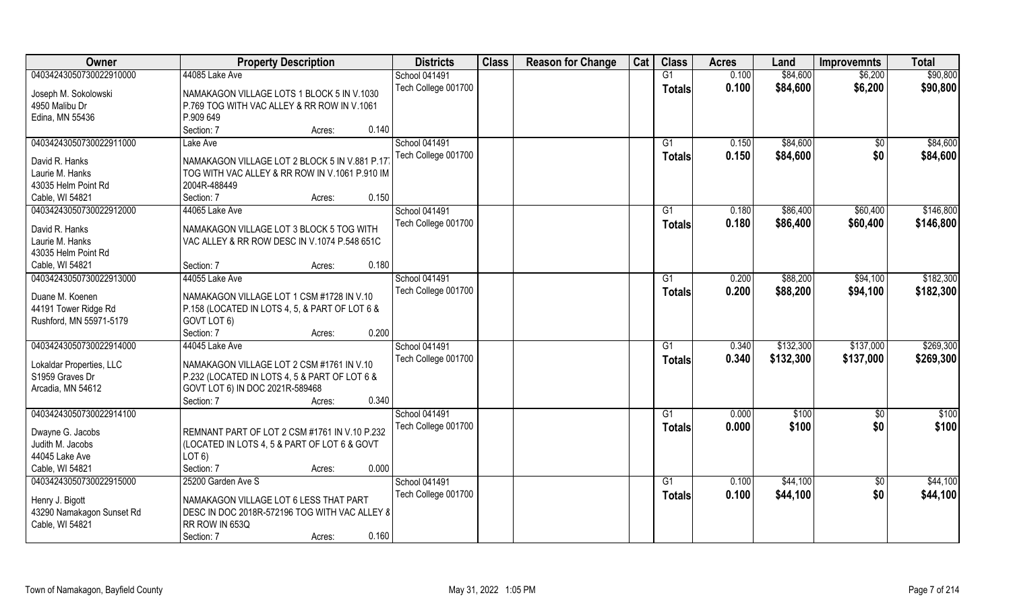| Owner                     | <b>Property Description</b>                    | <b>Districts</b>    | <b>Class</b> | <b>Reason for Change</b> | Cat | <b>Class</b>  | <b>Acres</b> | Land      | <b>Improvemnts</b> | <b>Total</b> |
|---------------------------|------------------------------------------------|---------------------|--------------|--------------------------|-----|---------------|--------------|-----------|--------------------|--------------|
| 04034243050730022910000   | 44085 Lake Ave                                 | School 041491       |              |                          |     | G1            | 0.100        | \$84,600  | \$6,200            | \$90,800     |
| Joseph M. Sokolowski      | NAMAKAGON VILLAGE LOTS 1 BLOCK 5 IN V.1030     | Tech College 001700 |              |                          |     | <b>Totals</b> | 0.100        | \$84,600  | \$6,200            | \$90,800     |
| 4950 Malibu Dr            | P.769 TOG WITH VAC ALLEY & RR ROW IN V.1061    |                     |              |                          |     |               |              |           |                    |              |
| Edina, MN 55436           | P.909 649                                      |                     |              |                          |     |               |              |           |                    |              |
|                           | 0.140<br>Section: 7<br>Acres:                  |                     |              |                          |     |               |              |           |                    |              |
| 04034243050730022911000   | Lake Ave                                       | School 041491       |              |                          |     | G1            | 0.150        | \$84,600  | $\overline{50}$    | \$84,600     |
|                           |                                                | Tech College 001700 |              |                          |     | <b>Totals</b> | 0.150        | \$84,600  | \$0                | \$84,600     |
| David R. Hanks            | NAMAKAGON VILLAGE LOT 2 BLOCK 5 IN V.881 P.17  |                     |              |                          |     |               |              |           |                    |              |
| Laurie M. Hanks           | TOG WITH VAC ALLEY & RR ROW IN V.1061 P.910 IM |                     |              |                          |     |               |              |           |                    |              |
| 43035 Helm Point Rd       | 2004R-488449                                   |                     |              |                          |     |               |              |           |                    |              |
| Cable, WI 54821           | 0.150<br>Section: 7<br>Acres:                  |                     |              |                          |     |               |              |           |                    |              |
| 04034243050730022912000   | 44065 Lake Ave                                 | School 041491       |              |                          |     | G1            | 0.180        | \$86,400  | \$60,400           | \$146,800    |
| David R. Hanks            | NAMAKAGON VILLAGE LOT 3 BLOCK 5 TOG WITH       | Tech College 001700 |              |                          |     | <b>Totals</b> | 0.180        | \$86,400  | \$60,400           | \$146,800    |
| Laurie M. Hanks           | VAC ALLEY & RR ROW DESC IN V.1074 P.548 651C   |                     |              |                          |     |               |              |           |                    |              |
| 43035 Helm Point Rd       |                                                |                     |              |                          |     |               |              |           |                    |              |
| Cable, WI 54821           | 0.180<br>Section: 7<br>Acres:                  |                     |              |                          |     |               |              |           |                    |              |
| 04034243050730022913000   | 44055 Lake Ave                                 | School 041491       |              |                          |     | G1            | 0.200        | \$88,200  | \$94,100           | \$182,300    |
|                           |                                                | Tech College 001700 |              |                          |     | <b>Totals</b> | 0.200        | \$88,200  | \$94,100           | \$182,300    |
| Duane M. Koenen           | NAMAKAGON VILLAGE LOT 1 CSM #1728 IN V.10      |                     |              |                          |     |               |              |           |                    |              |
| 44191 Tower Ridge Rd      | P.158 (LOCATED IN LOTS 4, 5, & PART OF LOT 6 & |                     |              |                          |     |               |              |           |                    |              |
| Rushford, MN 55971-5179   | GOVT LOT 6)                                    |                     |              |                          |     |               |              |           |                    |              |
|                           | 0.200<br>Section: 7<br>Acres:                  |                     |              |                          |     |               |              |           |                    |              |
| 04034243050730022914000   | 44045 Lake Ave                                 | School 041491       |              |                          |     | G1            | 0.340        | \$132,300 | \$137,000          | \$269,300    |
| Lokaldar Properties, LLC  | NAMAKAGON VILLAGE LOT 2 CSM #1761 IN V.10      | Tech College 001700 |              |                          |     | Totals        | 0.340        | \$132,300 | \$137,000          | \$269,300    |
| S1959 Graves Dr           | P.232 (LOCATED IN LOTS 4, 5 & PART OF LOT 6 &  |                     |              |                          |     |               |              |           |                    |              |
| Arcadia, MN 54612         | GOVT LOT 6) IN DOC 2021R-589468                |                     |              |                          |     |               |              |           |                    |              |
|                           | 0.340<br>Section: 7<br>Acres:                  |                     |              |                          |     |               |              |           |                    |              |
| 04034243050730022914100   |                                                | School 041491       |              |                          |     | G1            | 0.000        | \$100     | \$0                | \$100        |
|                           |                                                | Tech College 001700 |              |                          |     | <b>Totals</b> | 0.000        | \$100     | \$0                | \$100        |
| Dwayne G. Jacobs          | REMNANT PART OF LOT 2 CSM #1761 IN V.10 P.232  |                     |              |                          |     |               |              |           |                    |              |
| Judith M. Jacobs          | (LOCATED IN LOTS 4, 5 & PART OF LOT 6 & GOVT   |                     |              |                          |     |               |              |           |                    |              |
| 44045 Lake Ave            | LOT <sub>6</sub>                               |                     |              |                          |     |               |              |           |                    |              |
| Cable, WI 54821           | 0.000<br>Section: 7<br>Acres:                  |                     |              |                          |     |               |              |           |                    |              |
| 04034243050730022915000   | 25200 Garden Ave S                             | School 041491       |              |                          |     | G1            | 0.100        | \$44,100  | $\sqrt{6}$         | \$44,100     |
| Henry J. Bigott           | NAMAKAGON VILLAGE LOT 6 LESS THAT PART         | Tech College 001700 |              |                          |     | <b>Totals</b> | 0.100        | \$44,100  | \$0                | \$44,100     |
| 43290 Namakagon Sunset Rd | DESC IN DOC 2018R-572196 TOG WITH VAC ALLEY 8  |                     |              |                          |     |               |              |           |                    |              |
| Cable, WI 54821           | RR ROW IN 653Q                                 |                     |              |                          |     |               |              |           |                    |              |
|                           | 0.160<br>Section: 7<br>Acres:                  |                     |              |                          |     |               |              |           |                    |              |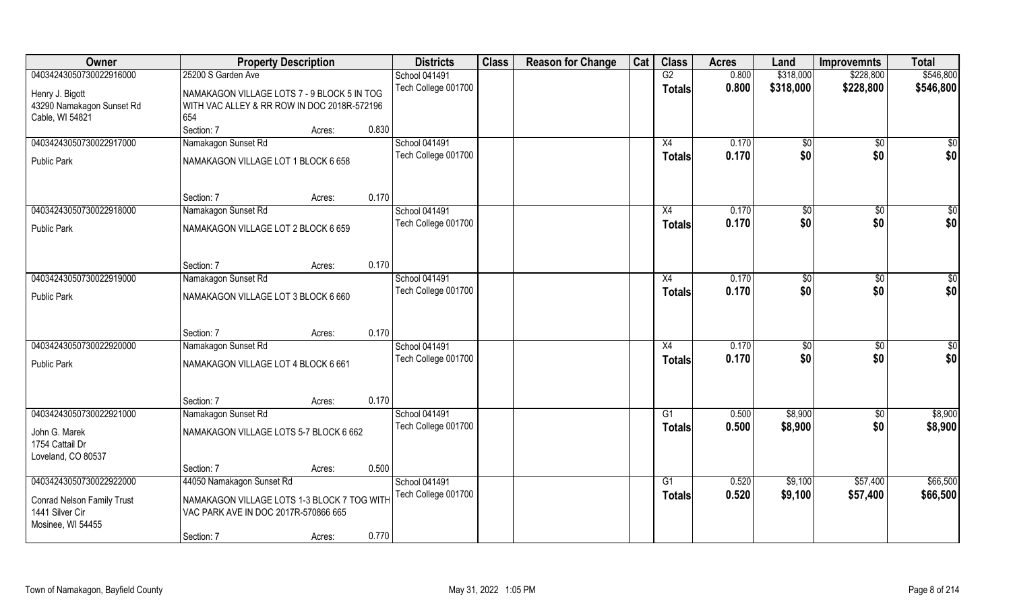| Owner                                | <b>Property Description</b>                 |        |       | <b>Districts</b>    | <b>Class</b> | <b>Reason for Change</b> | Cat | <b>Class</b>    | <b>Acres</b> | Land         | <b>Improvemnts</b> | <b>Total</b>    |
|--------------------------------------|---------------------------------------------|--------|-------|---------------------|--------------|--------------------------|-----|-----------------|--------------|--------------|--------------------|-----------------|
| 04034243050730022916000              | 25200 S Garden Ave                          |        |       | School 041491       |              |                          |     | G2              | 0.800        | \$318,000    | \$228,800          | \$546,800       |
| Henry J. Bigott                      | NAMAKAGON VILLAGE LOTS 7 - 9 BLOCK 5 IN TOG |        |       | Tech College 001700 |              |                          |     | <b>Totals</b>   | 0.800        | \$318,000    | \$228,800          | \$546,800       |
| 43290 Namakagon Sunset Rd            | WITH VAC ALLEY & RR ROW IN DOC 2018R-572196 |        |       |                     |              |                          |     |                 |              |              |                    |                 |
| Cable, WI 54821                      | 654                                         |        |       |                     |              |                          |     |                 |              |              |                    |                 |
|                                      | Section: 7                                  | Acres: | 0.830 |                     |              |                          |     |                 |              |              |                    |                 |
| 04034243050730022917000              | Namakagon Sunset Rd                         |        |       | School 041491       |              |                          |     | X4              | 0.170        | \$0          | $\overline{50}$    | $\overline{50}$ |
| <b>Public Park</b>                   | NAMAKAGON VILLAGE LOT 1 BLOCK 6 658         |        |       | Tech College 001700 |              |                          |     | <b>Totals</b>   | 0.170        | \$0          | \$0                | \$0             |
|                                      |                                             |        |       |                     |              |                          |     |                 |              |              |                    |                 |
|                                      |                                             |        |       |                     |              |                          |     |                 |              |              |                    |                 |
| 04034243050730022918000              | Section: 7<br>Namakagon Sunset Rd           | Acres: | 0.170 | School 041491       |              |                          |     | X4              | 0.170        |              |                    | $\overline{50}$ |
|                                      |                                             |        |       | Tech College 001700 |              |                          |     | <b>Totals</b>   | 0.170        | \$0<br>\$0   | \$0<br>\$0         | \$0             |
| <b>Public Park</b>                   | NAMAKAGON VILLAGE LOT 2 BLOCK 6 659         |        |       |                     |              |                          |     |                 |              |              |                    |                 |
|                                      |                                             |        |       |                     |              |                          |     |                 |              |              |                    |                 |
|                                      | Section: 7                                  | Acres: | 0.170 |                     |              |                          |     |                 |              |              |                    |                 |
| 04034243050730022919000              | Namakagon Sunset Rd                         |        |       | School 041491       |              |                          |     | X4              | 0.170        | $\sqrt[6]{}$ | $\overline{50}$    | $\overline{50}$ |
|                                      |                                             |        |       | Tech College 001700 |              |                          |     | Totals          | 0.170        | \$0          | \$0                | \$0             |
| <b>Public Park</b>                   | NAMAKAGON VILLAGE LOT 3 BLOCK 6 660         |        |       |                     |              |                          |     |                 |              |              |                    |                 |
|                                      |                                             |        |       |                     |              |                          |     |                 |              |              |                    |                 |
|                                      | Section: 7                                  | Acres: | 0.170 |                     |              |                          |     |                 |              |              |                    |                 |
| 04034243050730022920000              | Namakagon Sunset Rd                         |        |       | School 041491       |              |                          |     | X4              | 0.170        | \$0          | \$0                | \$0             |
| <b>Public Park</b>                   | NAMAKAGON VILLAGE LOT 4 BLOCK 6 661         |        |       | Tech College 001700 |              |                          |     | Totals          | 0.170        | \$0          | \$0                | \$0             |
|                                      |                                             |        |       |                     |              |                          |     |                 |              |              |                    |                 |
|                                      |                                             |        |       |                     |              |                          |     |                 |              |              |                    |                 |
|                                      | Section: 7                                  | Acres: | 0.170 |                     |              |                          |     |                 |              |              |                    |                 |
| 04034243050730022921000              | Namakagon Sunset Rd                         |        |       | School 041491       |              |                          |     | G1              | 0.500        | \$8,900      | \$0                | \$8,900         |
| John G. Marek                        | NAMAKAGON VILLAGE LOTS 5-7 BLOCK 6 662      |        |       | Tech College 001700 |              |                          |     | <b>Totals</b>   | 0.500        | \$8,900      | \$0                | \$8,900         |
| 1754 Cattail Dr                      |                                             |        |       |                     |              |                          |     |                 |              |              |                    |                 |
| Loveland, CO 80537                   |                                             |        |       |                     |              |                          |     |                 |              |              |                    |                 |
| 04034243050730022922000              | Section: 7<br>44050 Namakagon Sunset Rd     | Acres: | 0.500 | School 041491       |              |                          |     | $\overline{G1}$ | 0.520        | \$9,100      | \$57,400           | \$66,500        |
|                                      |                                             |        |       | Tech College 001700 |              |                          |     | <b>Totals</b>   | 0.520        | \$9,100      | \$57,400           | \$66,500        |
| <b>Conrad Nelson Family Trust</b>    | NAMAKAGON VILLAGE LOTS 1-3 BLOCK 7 TOG WITH |        |       |                     |              |                          |     |                 |              |              |                    |                 |
| 1441 Silver Cir<br>Mosinee, WI 54455 | VAC PARK AVE IN DOC 2017R-570866 665        |        |       |                     |              |                          |     |                 |              |              |                    |                 |
|                                      | Section: 7                                  | Acres: | 0.770 |                     |              |                          |     |                 |              |              |                    |                 |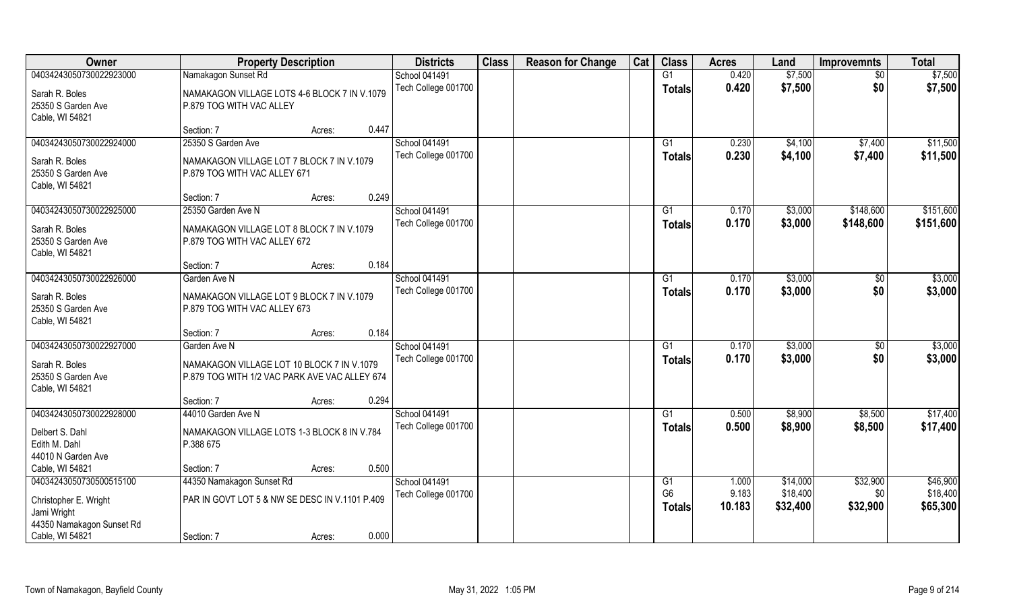| Owner                                                                              | <b>Property Description</b>                                                                                 | <b>Districts</b>                            | <b>Class</b> | <b>Reason for Change</b> | Cat | <b>Class</b>             | <b>Acres</b>    | Land                 | <b>Improvemnts</b>     | <b>Total</b>           |
|------------------------------------------------------------------------------------|-------------------------------------------------------------------------------------------------------------|---------------------------------------------|--------------|--------------------------|-----|--------------------------|-----------------|----------------------|------------------------|------------------------|
| 04034243050730022923000                                                            | Namakagon Sunset Rd                                                                                         | School 041491                               |              |                          |     | $\overline{G1}$          | 0.420           | \$7,500              | $\overline{50}$        | \$7,500                |
| Sarah R. Boles<br>25350 S Garden Ave<br>Cable, WI 54821                            | NAMAKAGON VILLAGE LOTS 4-6 BLOCK 7 IN V.1079<br>P.879 TOG WITH VAC ALLEY                                    | Tech College 001700                         |              |                          |     | <b>Totals</b>            | 0.420           | \$7,500              | \$0                    | \$7,500                |
|                                                                                    | 0.447<br>Section: 7<br>Acres:                                                                               |                                             |              |                          |     |                          |                 |                      |                        |                        |
| 04034243050730022924000<br>Sarah R. Boles                                          | 25350 S Garden Ave<br>NAMAKAGON VILLAGE LOT 7 BLOCK 7 IN V.1079                                             | <b>School 041491</b><br>Tech College 001700 |              |                          |     | G <sub>1</sub><br>Totals | 0.230<br>0.230  | \$4,100<br>\$4,100   | \$7,400<br>\$7,400     | \$11,500<br>\$11,500   |
| 25350 S Garden Ave<br>Cable, WI 54821                                              | P.879 TOG WITH VAC ALLEY 671                                                                                |                                             |              |                          |     |                          |                 |                      |                        |                        |
|                                                                                    | 0.249<br>Section: 7<br>Acres:                                                                               |                                             |              |                          |     |                          |                 |                      |                        |                        |
| 04034243050730022925000<br>Sarah R. Boles<br>25350 S Garden Ave<br>Cable, WI 54821 | 25350 Garden Ave N<br>NAMAKAGON VILLAGE LOT 8 BLOCK 7 IN V.1079<br>P.879 TOG WITH VAC ALLEY 672             | <b>School 041491</b><br>Tech College 001700 |              |                          |     | G1<br><b>Totals</b>      | 0.170<br>0.170  | \$3,000<br>\$3,000   | \$148,600<br>\$148,600 | \$151,600<br>\$151,600 |
|                                                                                    | 0.184<br>Section: 7<br>Acres:                                                                               |                                             |              |                          |     |                          |                 |                      |                        |                        |
| 04034243050730022926000                                                            | Garden Ave N                                                                                                | School 041491                               |              |                          |     | G <sub>1</sub>           | 0.170           | \$3,000              | \$0                    | \$3,000                |
| Sarah R. Boles<br>25350 S Garden Ave<br>Cable, WI 54821                            | NAMAKAGON VILLAGE LOT 9 BLOCK 7 IN V.1079<br>P.879 TOG WITH VAC ALLEY 673                                   | Tech College 001700                         |              |                          |     | <b>Totals</b>            | 0.170           | \$3,000              | \$0                    | \$3,000                |
|                                                                                    | 0.184<br>Section: 7<br>Acres:                                                                               |                                             |              |                          |     |                          |                 |                      |                        |                        |
| 04034243050730022927000<br>Sarah R. Boles<br>25350 S Garden Ave                    | Garden Ave N<br>NAMAKAGON VILLAGE LOT 10 BLOCK 7 IN V.1079<br>P.879 TOG WITH 1/2 VAC PARK AVE VAC ALLEY 674 | School 041491<br>Tech College 001700        |              |                          |     | G1<br><b>Totals</b>      | 0.170<br>0.170  | \$3,000<br>\$3,000   | \$0<br>\$0             | \$3,000<br>\$3,000     |
| Cable, WI 54821                                                                    | 0.294<br>Section: 7<br>Acres:                                                                               |                                             |              |                          |     |                          |                 |                      |                        |                        |
| 04034243050730022928000                                                            | 44010 Garden Ave N                                                                                          | School 041491                               |              |                          |     | G1                       | 0.500           | \$8,900              | \$8,500                | \$17,400               |
| Delbert S. Dahl<br>Edith M. Dahl<br>44010 N Garden Ave                             | NAMAKAGON VILLAGE LOTS 1-3 BLOCK 8 IN V.784<br>P.388 675                                                    | Tech College 001700                         |              |                          |     | <b>Totals</b>            | 0.500           | \$8,900              | \$8,500                | \$17,400               |
| Cable, WI 54821                                                                    | 0.500<br>Section: 7<br>Acres:                                                                               |                                             |              |                          |     |                          |                 |                      |                        |                        |
| 04034243050730500515100                                                            | 44350 Namakagon Sunset Rd                                                                                   | School 041491                               |              |                          |     | G1                       | 1.000           | \$14,000             | \$32,900               | \$46,900               |
| Christopher E. Wright<br>Jami Wright<br>44350 Namakagon Sunset Rd                  | PAR IN GOVT LOT 5 & NW SE DESC IN V.1101 P.409                                                              | Tech College 001700                         |              |                          |     | G <sub>6</sub><br>Totals | 9.183<br>10.183 | \$18,400<br>\$32,400 | \$0<br>\$32,900        | \$18,400<br>\$65,300   |
| Cable, WI 54821                                                                    | 0.000<br>Section: 7<br>Acres:                                                                               |                                             |              |                          |     |                          |                 |                      |                        |                        |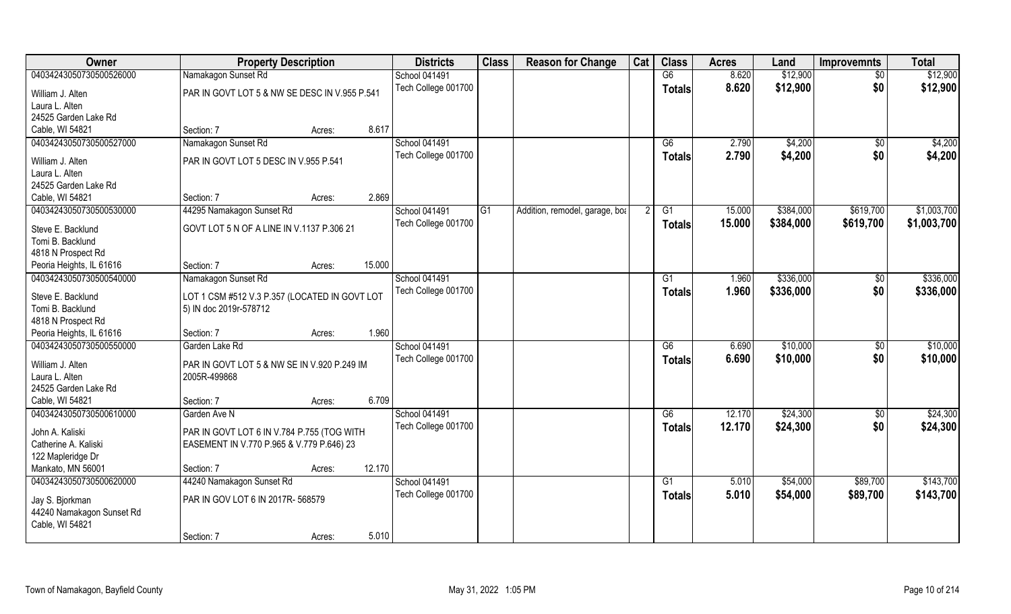| Owner                                                           | <b>Property Description</b>                   |        | <b>Districts</b> | <b>Class</b>         | <b>Reason for Change</b> | Cat                            | <b>Class</b> | <b>Acres</b>    | Land   | <b>Improvemnts</b> | <b>Total</b>    |             |
|-----------------------------------------------------------------|-----------------------------------------------|--------|------------------|----------------------|--------------------------|--------------------------------|--------------|-----------------|--------|--------------------|-----------------|-------------|
| 04034243050730500526000                                         | Namakagon Sunset Rd                           |        |                  | <b>School 041491</b> |                          |                                |              | G6              | 8.620  | \$12,900           | $\sqrt{6}$      | \$12,900    |
| William J. Alten                                                | PAR IN GOVT LOT 5 & NW SE DESC IN V.955 P.541 |        |                  | Tech College 001700  |                          |                                |              | <b>Totals</b>   | 8.620  | \$12,900           | \$0             | \$12,900    |
| Laura L. Alten                                                  |                                               |        |                  |                      |                          |                                |              |                 |        |                    |                 |             |
| 24525 Garden Lake Rd                                            |                                               |        |                  |                      |                          |                                |              |                 |        |                    |                 |             |
| Cable, WI 54821                                                 | Section: 7                                    | Acres: | 8.617            |                      |                          |                                |              |                 |        |                    |                 |             |
| 04034243050730500527000                                         | Namakagon Sunset Rd                           |        |                  | <b>School 041491</b> |                          |                                |              | G6              | 2.790  | \$4,200            | $\sqrt{$0}$     | \$4,200     |
| William J. Alten                                                | PAR IN GOVT LOT 5 DESC IN V.955 P.541         |        |                  | Tech College 001700  |                          |                                |              | <b>Totals</b>   | 2.790  | \$4,200            | \$0             | \$4,200     |
| Laura L. Alten                                                  |                                               |        |                  |                      |                          |                                |              |                 |        |                    |                 |             |
| 24525 Garden Lake Rd                                            |                                               |        |                  |                      |                          |                                |              |                 |        |                    |                 |             |
| Cable, WI 54821                                                 | Section: 7                                    | Acres: | 2.869            |                      |                          |                                |              |                 |        |                    |                 |             |
| 04034243050730500530000                                         | 44295 Namakagon Sunset Rd                     |        |                  | <b>School 041491</b> | G1                       | Addition, remodel, garage, bot |              | G1              | 15.000 | \$384,000          | \$619,700       | \$1,003,700 |
| Steve E. Backlund                                               | GOVT LOT 5 N OF A LINE IN V.1137 P.306 21     |        |                  | Tech College 001700  |                          |                                |              | Totals          | 15.000 | \$384,000          | \$619,700       | \$1,003,700 |
| Tomi B. Backlund                                                |                                               |        |                  |                      |                          |                                |              |                 |        |                    |                 |             |
| 4818 N Prospect Rd                                              |                                               |        |                  |                      |                          |                                |              |                 |        |                    |                 |             |
| Peoria Heights, IL 61616                                        | Section: 7                                    | Acres: | 15.000           |                      |                          |                                |              |                 |        |                    |                 |             |
| 04034243050730500540000                                         | Namakagon Sunset Rd                           |        |                  | School 041491        |                          |                                |              | G1              | 1.960  | \$336,000          | \$0             | \$336,000   |
| Steve E. Backlund                                               | LOT 1 CSM #512 V.3 P.357 (LOCATED IN GOVT LOT |        |                  | Tech College 001700  |                          |                                |              | <b>Totals</b>   | 1.960  | \$336,000          | \$0             | \$336,000   |
| Tomi B. Backlund                                                | 5) IN doc 2019r-578712                        |        |                  |                      |                          |                                |              |                 |        |                    |                 |             |
| 4818 N Prospect Rd                                              |                                               |        |                  |                      |                          |                                |              |                 |        |                    |                 |             |
| Peoria Heights, IL 61616                                        | Section: 7                                    | Acres: | 1.960            |                      |                          |                                |              |                 |        |                    |                 |             |
| 04034243050730500550000                                         | Garden Lake Rd                                |        |                  | School 041491        |                          |                                |              | $\overline{G6}$ | 6.690  | \$10,000           | $\overline{50}$ | \$10,000    |
| William J. Alten                                                | PAR IN GOVT LOT 5 & NW SE IN V.920 P.249 IM   |        |                  | Tech College 001700  |                          |                                |              | <b>Totals</b>   | 6.690  | \$10,000           | \$0             | \$10,000    |
| Laura L. Alten                                                  | 2005R-499868                                  |        |                  |                      |                          |                                |              |                 |        |                    |                 |             |
| 24525 Garden Lake Rd                                            |                                               |        |                  |                      |                          |                                |              |                 |        |                    |                 |             |
| Cable, WI 54821                                                 | Section: 7                                    | Acres: | 6.709            |                      |                          |                                |              |                 |        |                    |                 |             |
| 04034243050730500610000                                         | Garden Ave N                                  |        |                  | School 041491        |                          |                                |              | G6              | 12.170 | \$24,300           | $\sqrt{$0}$     | \$24,300    |
| John A. Kaliski                                                 | PAR IN GOVT LOT 6 IN V.784 P.755 (TOG WITH    |        |                  | Tech College 001700  |                          |                                |              | <b>Totals</b>   | 12.170 | \$24,300           | \$0             | \$24,300    |
| Catherine A. Kaliski                                            | EASEMENT IN V.770 P.965 & V.779 P.646) 23     |        |                  |                      |                          |                                |              |                 |        |                    |                 |             |
| 122 Mapleridge Dr                                               |                                               |        |                  |                      |                          |                                |              |                 |        |                    |                 |             |
| Mankato, MN 56001                                               | Section: 7                                    | Acres: | 12.170           |                      |                          |                                |              |                 |        |                    |                 |             |
| 04034243050730500620000                                         | 44240 Namakagon Sunset Rd                     |        |                  | School 041491        |                          |                                |              | $\overline{G1}$ | 5.010  | \$54,000           | \$89,700        | \$143,700   |
| Jay S. Bjorkman<br>44240 Namakagon Sunset Rd<br>Cable, WI 54821 | PAR IN GOV LOT 6 IN 2017R- 568579             |        |                  | Tech College 001700  |                          |                                |              | Totals          | 5.010  | \$54,000           | \$89,700        | \$143,700   |
|                                                                 | Section: 7                                    | Acres: | 5.010            |                      |                          |                                |              |                 |        |                    |                 |             |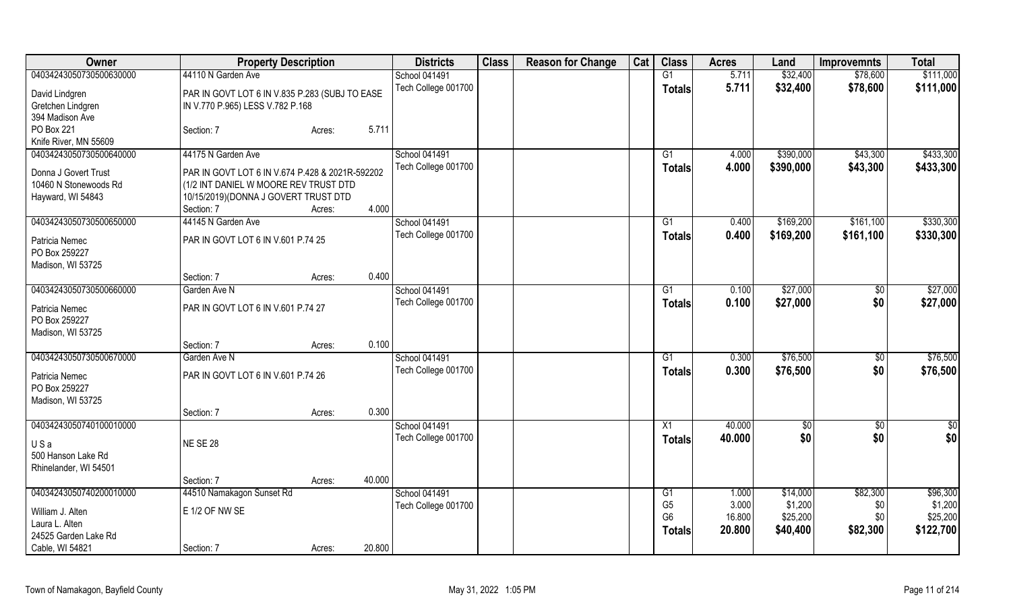| Owner                           | <b>Property Description</b>                     |        |        | <b>Districts</b>    | <b>Class</b> | <b>Reason for Change</b> | Cat | <b>Class</b>    | <b>Acres</b> | Land        | <b>Improvemnts</b> | <b>Total</b>    |
|---------------------------------|-------------------------------------------------|--------|--------|---------------------|--------------|--------------------------|-----|-----------------|--------------|-------------|--------------------|-----------------|
| 04034243050730500630000         | 44110 N Garden Ave                              |        |        | School 041491       |              |                          |     | $\overline{G1}$ | 5.711        | \$32,400    | \$78,600           | \$111,000       |
| David Lindgren                  | PAR IN GOVT LOT 6 IN V.835 P.283 (SUBJ TO EASE  |        |        | Tech College 001700 |              |                          |     | Totals          | 5.711        | \$32,400    | \$78,600           | \$111,000       |
| Gretchen Lindgren               | IN V.770 P.965) LESS V.782 P.168                |        |        |                     |              |                          |     |                 |              |             |                    |                 |
| 394 Madison Ave                 |                                                 |        |        |                     |              |                          |     |                 |              |             |                    |                 |
| PO Box 221                      | Section: 7                                      | Acres: | 5.711  |                     |              |                          |     |                 |              |             |                    |                 |
| Knife River, MN 55609           |                                                 |        |        |                     |              |                          |     |                 |              |             |                    |                 |
| 04034243050730500640000         | 44175 N Garden Ave                              |        |        | School 041491       |              |                          |     | G1              | 4.000        | \$390,000   | \$43,300           | \$433,300       |
| Donna J Govert Trust            | PAR IN GOVT LOT 6 IN V.674 P.428 & 2021R-592202 |        |        | Tech College 001700 |              |                          |     | <b>Totals</b>   | 4.000        | \$390,000   | \$43,300           | \$433,300       |
| 10460 N Stonewoods Rd           | (1/2 INT DANIEL W MOORE REV TRUST DTD           |        |        |                     |              |                          |     |                 |              |             |                    |                 |
| Hayward, WI 54843               | 10/15/2019)(DONNA J GOVERT TRUST DTD            |        |        |                     |              |                          |     |                 |              |             |                    |                 |
|                                 | Section: 7                                      | Acres: | 4.000  |                     |              |                          |     |                 |              |             |                    |                 |
| 04034243050730500650000         | 44145 N Garden Ave                              |        |        | School 041491       |              |                          |     | G1              | 0.400        | \$169,200   | \$161,100          | \$330,300       |
|                                 |                                                 |        |        | Tech College 001700 |              |                          |     |                 | 0.400        | \$169,200   | \$161,100          | \$330,300       |
| Patricia Nemec                  | PAR IN GOVT LOT 6 IN V.601 P.74 25              |        |        |                     |              |                          |     | <b>Totals</b>   |              |             |                    |                 |
| PO Box 259227                   |                                                 |        |        |                     |              |                          |     |                 |              |             |                    |                 |
| Madison, WI 53725               |                                                 |        |        |                     |              |                          |     |                 |              |             |                    |                 |
|                                 | Section: 7                                      | Acres: | 0.400  |                     |              |                          |     |                 |              |             |                    |                 |
| 04034243050730500660000         | Garden Ave N                                    |        |        | School 041491       |              |                          |     | G1              | 0.100        | \$27,000    | \$0                | \$27,000        |
| Patricia Nemec                  | PAR IN GOVT LOT 6 IN V.601 P.74 27              |        |        | Tech College 001700 |              |                          |     | <b>Totals</b>   | 0.100        | \$27,000    | \$0                | \$27,000        |
| PO Box 259227                   |                                                 |        |        |                     |              |                          |     |                 |              |             |                    |                 |
| Madison, WI 53725               |                                                 |        |        |                     |              |                          |     |                 |              |             |                    |                 |
|                                 | Section: 7                                      | Acres: | 0.100  |                     |              |                          |     |                 |              |             |                    |                 |
| 04034243050730500670000         | Garden Ave N                                    |        |        | School 041491       |              |                          |     | G1              | 0.300        | \$76,500    | $\sqrt[6]{3}$      | \$76,500        |
|                                 |                                                 |        |        | Tech College 001700 |              |                          |     | <b>Totals</b>   | 0.300        | \$76,500    | \$0                | \$76,500        |
| Patricia Nemec<br>PO Box 259227 | PAR IN GOVT LOT 6 IN V.601 P.74 26              |        |        |                     |              |                          |     |                 |              |             |                    |                 |
| Madison, WI 53725               |                                                 |        |        |                     |              |                          |     |                 |              |             |                    |                 |
|                                 | Section: 7                                      | Acres: | 0.300  |                     |              |                          |     |                 |              |             |                    |                 |
| 04034243050740100010000         |                                                 |        |        | School 041491       |              |                          |     | X1              | 40.000       | $\sqrt{30}$ | \$0                | $\overline{30}$ |
|                                 |                                                 |        |        | Tech College 001700 |              |                          |     |                 | 40.000       | \$0         | \$0                | \$0             |
| USa                             | <b>NE SE 28</b>                                 |        |        |                     |              |                          |     | <b>Totals</b>   |              |             |                    |                 |
| 500 Hanson Lake Rd              |                                                 |        |        |                     |              |                          |     |                 |              |             |                    |                 |
| Rhinelander, WI 54501           |                                                 |        |        |                     |              |                          |     |                 |              |             |                    |                 |
|                                 | Section: 7                                      | Acres: | 40.000 |                     |              |                          |     |                 |              |             |                    |                 |
| 04034243050740200010000         | 44510 Namakagon Sunset Rd                       |        |        | School 041491       |              |                          |     | G1              | 1.000        | \$14,000    | \$82,300           | \$96,300        |
| William J. Alten                | E 1/2 OF NW SE                                  |        |        | Tech College 001700 |              |                          |     | G <sub>5</sub>  | 3.000        | \$1,200     | \$0                | \$1,200         |
| Laura L. Alten                  |                                                 |        |        |                     |              |                          |     | G <sub>6</sub>  | 16.800       | \$25,200    | \$0                | \$25,200        |
| 24525 Garden Lake Rd            |                                                 |        |        |                     |              |                          |     | <b>Totals</b>   | 20.800       | \$40,400    | \$82,300           | \$122,700       |
| Cable, WI 54821                 | Section: 7                                      | Acres: | 20.800 |                     |              |                          |     |                 |              |             |                    |                 |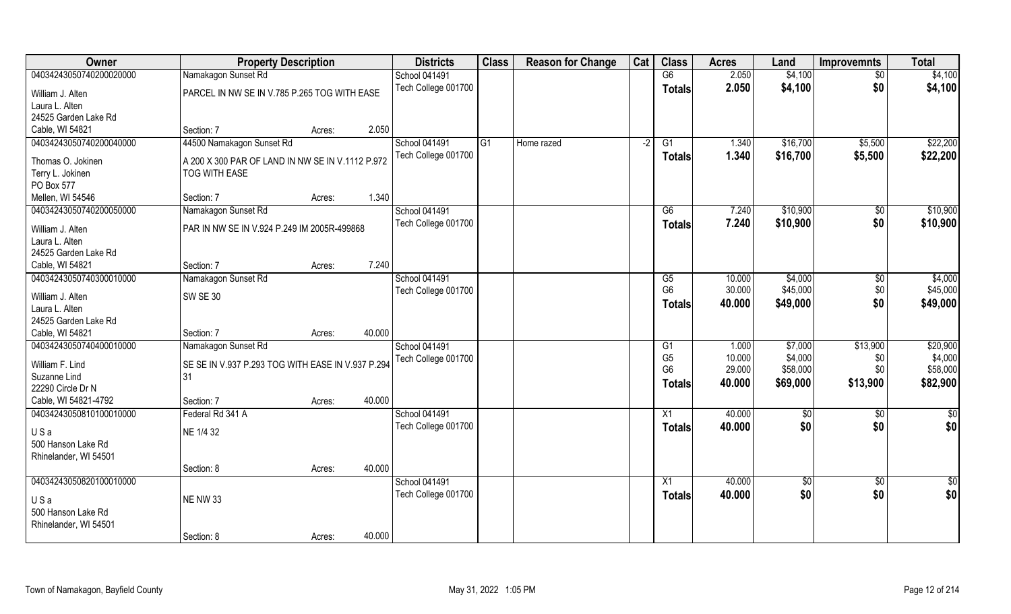| <b>Owner</b>            | <b>Property Description</b>                       |        |        | <b>Districts</b>                     | <b>Class</b> | <b>Reason for Change</b> | Cat  | <b>Class</b>    | <b>Acres</b> | Land        | <b>Improvemnts</b> | <b>Total</b>  |
|-------------------------|---------------------------------------------------|--------|--------|--------------------------------------|--------------|--------------------------|------|-----------------|--------------|-------------|--------------------|---------------|
| 04034243050740200020000 | Namakagon Sunset Rd                               |        |        | <b>School 041491</b>                 |              |                          |      | G6              | 2.050        | \$4,100     | \$0                | \$4,100       |
| William J. Alten        | PARCEL IN NW SE IN V.785 P.265 TOG WITH EASE      |        |        | Tech College 001700                  |              |                          |      | <b>Totals</b>   | 2.050        | \$4,100     | \$0                | \$4,100       |
| Laura L. Alten          |                                                   |        |        |                                      |              |                          |      |                 |              |             |                    |               |
| 24525 Garden Lake Rd    |                                                   |        |        |                                      |              |                          |      |                 |              |             |                    |               |
| Cable, WI 54821         | Section: 7                                        | Acres: | 2.050  |                                      |              |                          |      |                 |              |             |                    |               |
| 04034243050740200040000 | 44500 Namakagon Sunset Rd                         |        |        | School 041491<br>Tech College 001700 | G1           | Home razed               | $-2$ | G1              | 1.340        | \$16,700    | \$5,500            | \$22,200      |
| Thomas O. Jokinen       | A 200 X 300 PAR OF LAND IN NW SE IN V.1112 P.972  |        |        |                                      |              |                          |      | <b>Totals</b>   | 1.340        | \$16,700    | \$5,500            | \$22,200      |
| Terry L. Jokinen        | TOG WITH EASE                                     |        |        |                                      |              |                          |      |                 |              |             |                    |               |
| PO Box 577              |                                                   |        |        |                                      |              |                          |      |                 |              |             |                    |               |
| Mellen, WI 54546        | Section: 7                                        | Acres: | 1.340  |                                      |              |                          |      |                 |              |             |                    |               |
| 04034243050740200050000 | Namakagon Sunset Rd                               |        |        | School 041491                        |              |                          |      | G6              | 7.240        | \$10,900    | \$0                | \$10,900      |
| William J. Alten        | PAR IN NW SE IN V.924 P.249 IM 2005R-499868       |        |        | Tech College 001700                  |              |                          |      | <b>Totals</b>   | 7.240        | \$10,900    | \$0                | \$10,900      |
| Laura L. Alten          |                                                   |        |        |                                      |              |                          |      |                 |              |             |                    |               |
| 24525 Garden Lake Rd    |                                                   |        |        |                                      |              |                          |      |                 |              |             |                    |               |
| Cable, WI 54821         | Section: 7                                        | Acres: | 7.240  |                                      |              |                          |      |                 |              |             |                    |               |
| 04034243050740300010000 | Namakagon Sunset Rd                               |        |        | <b>School 041491</b>                 |              |                          |      | G5              | 10.000       | \$4,000     | $\sqrt[6]{3}$      | \$4,000       |
| William J. Alten        | <b>SW SE 30</b>                                   |        |        | Tech College 001700                  |              |                          |      | G <sub>6</sub>  | 30.000       | \$45,000    | \$0                | \$45,000      |
| Laura L. Alten          |                                                   |        |        |                                      |              |                          |      | <b>Totals</b>   | 40.000       | \$49,000    | \$0                | \$49,000      |
| 24525 Garden Lake Rd    |                                                   |        |        |                                      |              |                          |      |                 |              |             |                    |               |
| Cable, WI 54821         | Section: 7                                        | Acres: | 40.000 |                                      |              |                          |      |                 |              |             |                    |               |
| 04034243050740400010000 | Namakagon Sunset Rd                               |        |        | School 041491                        |              |                          |      | G1              | 1.000        | \$7,000     | \$13,900           | \$20,900      |
|                         |                                                   |        |        | Tech College 001700                  |              |                          |      | G <sub>5</sub>  | 10.000       | \$4,000     | \$0                | \$4,000       |
| William F. Lind         | SE SE IN V.937 P.293 TOG WITH EASE IN V.937 P.294 |        |        |                                      |              |                          |      | G <sub>6</sub>  | 29.000       | \$58,000    | \$0                | \$58,000      |
| Suzanne Lind            | 31                                                |        |        |                                      |              |                          |      | Totals          | 40.000       | \$69,000    | \$13,900           | \$82,900      |
| 22290 Circle Dr N       |                                                   |        |        |                                      |              |                          |      |                 |              |             |                    |               |
| Cable, WI 54821-4792    | Section: 7                                        | Acres: | 40.000 |                                      |              |                          |      |                 |              |             |                    |               |
| 04034243050810100010000 | Federal Rd 341 A                                  |        |        | <b>School 041491</b>                 |              |                          |      | X1              | 40.000       | \$0         | \$0                | $\frac{1}{2}$ |
| USa                     | NE 1/4 32                                         |        |        | Tech College 001700                  |              |                          |      | <b>Totals</b>   | 40.000       | \$0         | \$0                | \$0           |
| 500 Hanson Lake Rd      |                                                   |        |        |                                      |              |                          |      |                 |              |             |                    |               |
| Rhinelander, WI 54501   |                                                   |        |        |                                      |              |                          |      |                 |              |             |                    |               |
|                         | Section: 8                                        | Acres: | 40.000 |                                      |              |                          |      |                 |              |             |                    |               |
| 04034243050820100010000 |                                                   |        |        | <b>School 041491</b>                 |              |                          |      | $\overline{X1}$ | 40.000       | $\sqrt{$0}$ | $\overline{50}$    | $\frac{1}{6}$ |
| USa                     | <b>NE NW 33</b>                                   |        |        | Tech College 001700                  |              |                          |      | <b>Totals</b>   | 40.000       | \$0         | \$0                | \$0           |
| 500 Hanson Lake Rd      |                                                   |        |        |                                      |              |                          |      |                 |              |             |                    |               |
| Rhinelander, WI 54501   |                                                   |        |        |                                      |              |                          |      |                 |              |             |                    |               |
|                         | Section: 8                                        | Acres: | 40.000 |                                      |              |                          |      |                 |              |             |                    |               |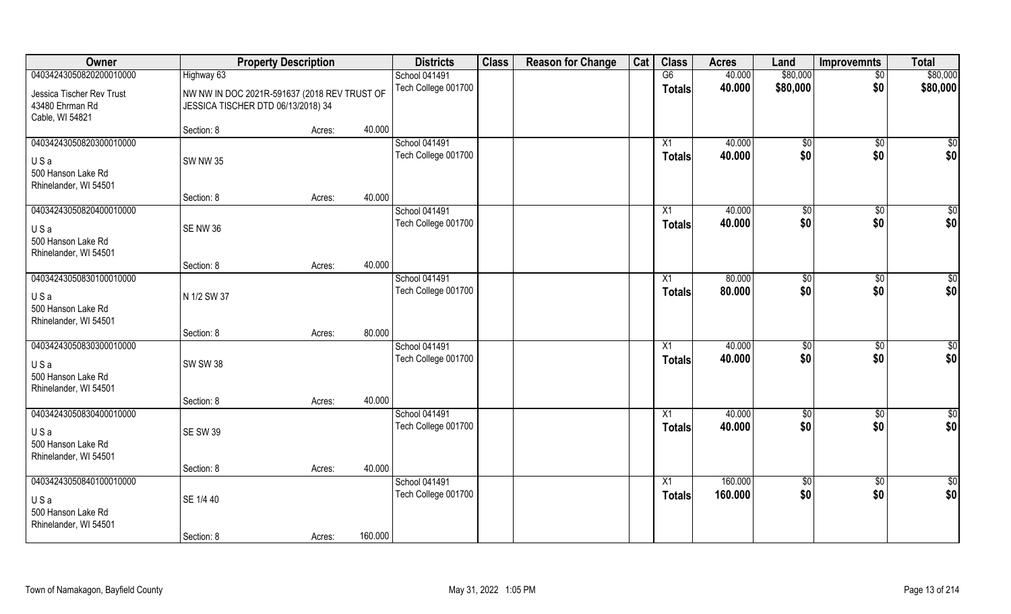| Owner                                                                         |                                                                                    | <b>Property Description</b> |         | <b>Districts</b>                     | <b>Class</b> | <b>Reason for Change</b> | Cat | <b>Class</b>        | <b>Acres</b>       | Land                | <b>Improvemnts</b>     | <b>Total</b>           |
|-------------------------------------------------------------------------------|------------------------------------------------------------------------------------|-----------------------------|---------|--------------------------------------|--------------|--------------------------|-----|---------------------|--------------------|---------------------|------------------------|------------------------|
| 04034243050820200010000                                                       | Highway 63                                                                         |                             |         | <b>School 041491</b>                 |              |                          |     | G6                  | 40.000             | \$80,000            | $\sqrt{$0}$            | \$80,000               |
| Jessica Tischer Rev Trust<br>43480 Ehrman Rd<br>Cable, WI 54821               | NW NW IN DOC 2021R-591637 (2018 REV TRUST OF<br>JESSICA TISCHER DTD 06/13/2018) 34 |                             |         | Tech College 001700                  |              |                          |     | <b>Totals</b>       | 40.000             | \$80,000            | \$0                    | \$80,000               |
|                                                                               | Section: 8                                                                         | Acres:                      | 40.000  |                                      |              |                          |     |                     |                    |                     |                        |                        |
| 04034243050820300010000<br>USa<br>500 Hanson Lake Rd<br>Rhinelander, WI 54501 | <b>SW NW 35</b>                                                                    |                             |         | School 041491<br>Tech College 001700 |              |                          |     | X1<br><b>Totals</b> | 40.000<br>40.000   | $\sqrt[6]{}$<br>\$0 | $\sqrt{$0}$<br>\$0     | $\sqrt{50}$<br>\$0     |
| 04034243050820400010000                                                       | Section: 8                                                                         | Acres:                      | 40.000  | School 041491                        |              |                          |     | $\overline{X1}$     | 40.000             |                     |                        | $\sqrt{50}$            |
| USa<br>500 Hanson Lake Rd<br>Rhinelander, WI 54501                            | SENW 36                                                                            |                             |         | Tech College 001700                  |              |                          |     | <b>Totals</b>       | 40.000             | \$0<br>\$0          | $\sqrt[6]{3}$<br>\$0   | \$0                    |
|                                                                               | Section: 8                                                                         | Acres:                      | 40.000  |                                      |              |                          |     |                     |                    |                     |                        |                        |
| 04034243050830100010000<br>USa<br>500 Hanson Lake Rd<br>Rhinelander, WI 54501 | N 1/2 SW 37                                                                        |                             |         | School 041491<br>Tech College 001700 |              |                          |     | X1<br><b>Totals</b> | 80.000<br>80.000   | \$0<br>\$0          | $\sqrt[6]{3}$<br>\$0   | $\overline{50}$<br>\$0 |
|                                                                               | Section: 8                                                                         | Acres:                      | 80.000  |                                      |              |                          |     |                     |                    |                     |                        |                        |
| 04034243050830300010000<br>USa<br>500 Hanson Lake Rd<br>Rhinelander, WI 54501 | <b>SW SW 38</b>                                                                    |                             |         | School 041491<br>Tech College 001700 |              |                          |     | X1<br><b>Totals</b> | 40.000<br>40.000   | \$0<br>\$0          | $\overline{50}$<br>\$0 | \$0<br>\$0             |
| 04034243050830400010000                                                       | Section: 8                                                                         | Acres:                      | 40.000  | School 041491                        |              |                          |     | X1                  | 40.000             | $\sqrt{6}$          | \$0                    | $\overline{50}$        |
| USa<br>500 Hanson Lake Rd<br>Rhinelander, WI 54501                            | <b>SE SW 39</b>                                                                    |                             |         | Tech College 001700                  |              |                          |     | <b>Totals</b>       | 40.000             | \$0                 | \$0                    | \$0                    |
|                                                                               | Section: 8                                                                         | Acres:                      | 40.000  |                                      |              |                          |     |                     |                    |                     |                        |                        |
| 04034243050840100010000<br>USa<br>500 Hanson Lake Rd<br>Rhinelander, WI 54501 | SE 1/4 40<br>Section: 8                                                            |                             | 160.000 | School 041491<br>Tech College 001700 |              |                          |     | X1<br><b>Totals</b> | 160.000<br>160.000 | $\sqrt{6}$<br>\$0   | $\sqrt{$0}$<br>\$0     | $\overline{50}$<br>\$0 |
|                                                                               |                                                                                    | Acres:                      |         |                                      |              |                          |     |                     |                    |                     |                        |                        |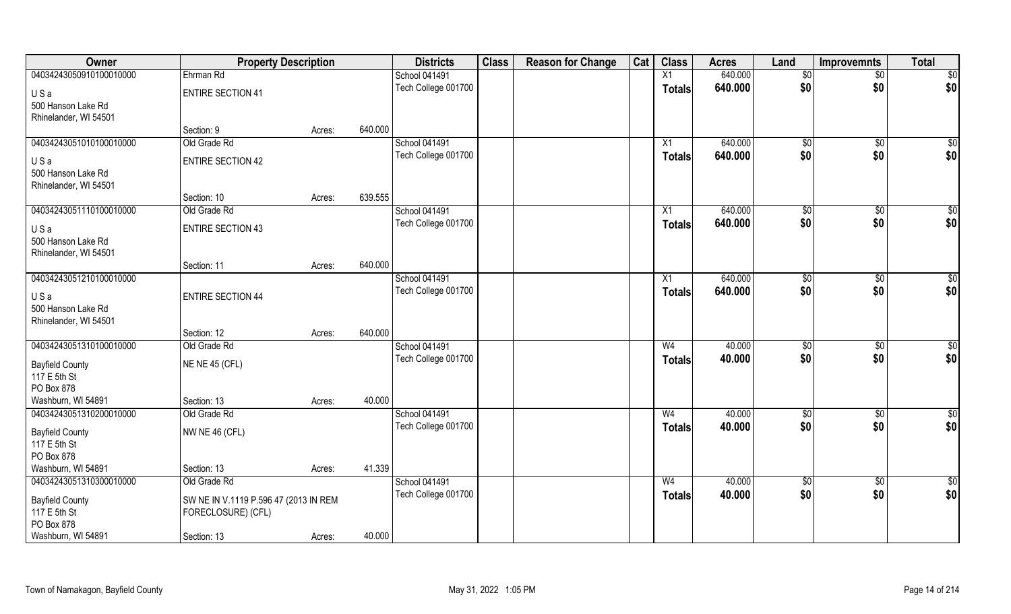| Owner                            | <b>Property Description</b>           |        |         | <b>Districts</b>                     | <b>Class</b> | <b>Reason for Change</b> | Cat | <b>Class</b>                    | <b>Acres</b>     | Land              | Improvemnts        | <b>Total</b>           |
|----------------------------------|---------------------------------------|--------|---------|--------------------------------------|--------------|--------------------------|-----|---------------------------------|------------------|-------------------|--------------------|------------------------|
| 04034243050910100010000          | Ehrman Rd                             |        |         | <b>School 041491</b>                 |              |                          |     | X1                              | 640.000          | \$0               | $\overline{50}$    | \$0                    |
| USa                              | <b>ENTIRE SECTION 41</b>              |        |         | Tech College 001700                  |              |                          |     | <b>Totals</b>                   | 640.000          | \$0               | \$0                | \$0                    |
| 500 Hanson Lake Rd               |                                       |        |         |                                      |              |                          |     |                                 |                  |                   |                    |                        |
| Rhinelander, WI 54501            |                                       |        |         |                                      |              |                          |     |                                 |                  |                   |                    |                        |
|                                  | Section: 9                            | Acres: | 640.000 |                                      |              |                          |     |                                 |                  |                   |                    |                        |
| 04034243051010100010000          | Old Grade Rd                          |        |         | School 041491                        |              |                          |     | X1                              | 640.000          | \$0               | \$0                | $\sqrt{50}$            |
| USa                              | <b>ENTIRE SECTION 42</b>              |        |         | Tech College 001700                  |              |                          |     | <b>Totals</b>                   | 640.000          | \$0               | \$0                | \$0                    |
| 500 Hanson Lake Rd               |                                       |        |         |                                      |              |                          |     |                                 |                  |                   |                    |                        |
| Rhinelander, WI 54501            |                                       |        |         |                                      |              |                          |     |                                 |                  |                   |                    |                        |
|                                  | Section: 10                           | Acres: | 639.555 |                                      |              |                          |     |                                 |                  |                   |                    |                        |
| 04034243051110100010000          | Old Grade Rd                          |        |         | <b>School 041491</b>                 |              |                          |     | X1                              | 640.000          | $\sqrt[6]{3}$     | $\sqrt[6]{3}$      | \$0                    |
| USa                              | <b>ENTIRE SECTION 43</b>              |        |         | Tech College 001700                  |              |                          |     | <b>Totals</b>                   | 640.000          | \$0               | \$0                | \$0                    |
| 500 Hanson Lake Rd               |                                       |        |         |                                      |              |                          |     |                                 |                  |                   |                    |                        |
| Rhinelander, WI 54501            |                                       |        |         |                                      |              |                          |     |                                 |                  |                   |                    |                        |
|                                  | Section: 11                           | Acres: | 640.000 |                                      |              |                          |     |                                 |                  |                   |                    |                        |
| 04034243051210100010000          |                                       |        |         | <b>School 041491</b>                 |              |                          |     | X1                              | 640.000          | $\frac{1}{20}$    | $\sqrt[6]{3}$      | \$0                    |
| USa                              | <b>ENTIRE SECTION 44</b>              |        |         | Tech College 001700                  |              |                          |     | <b>Totals</b>                   | 640.000          | \$0               | \$0                | \$0                    |
| 500 Hanson Lake Rd               |                                       |        |         |                                      |              |                          |     |                                 |                  |                   |                    |                        |
| Rhinelander, WI 54501            |                                       |        |         |                                      |              |                          |     |                                 |                  |                   |                    |                        |
|                                  | Section: 12                           | Acres: | 640.000 |                                      |              |                          |     |                                 |                  |                   |                    |                        |
| 04034243051310100010000          | Old Grade Rd                          |        |         | School 041491                        |              |                          |     | W <sub>4</sub>                  | 40.000           | \$0               | $\sqrt[6]{30}$     | $\overline{50}$        |
| <b>Bayfield County</b>           | <b>NE NE 45 (CFL)</b>                 |        |         | Tech College 001700                  |              |                          |     | <b>Totals</b>                   | 40.000           | \$0               | \$0                | \$0                    |
| 117 E 5th St                     |                                       |        |         |                                      |              |                          |     |                                 |                  |                   |                    |                        |
| PO Box 878                       |                                       |        |         |                                      |              |                          |     |                                 |                  |                   |                    |                        |
| Washburn, WI 54891               | Section: 13                           | Acres: | 40.000  |                                      |              |                          |     |                                 |                  |                   |                    |                        |
| 04034243051310200010000          | Old Grade Rd                          |        |         | School 041491<br>Tech College 001700 |              |                          |     | W <sub>4</sub><br><b>Totals</b> | 40.000<br>40.000 | $\sqrt{6}$<br>\$0 | $\sqrt{$0}$<br>\$0 | $\overline{30}$<br>\$0 |
| <b>Bayfield County</b>           | <b>NW NE 46 (CFL)</b>                 |        |         |                                      |              |                          |     |                                 |                  |                   |                    |                        |
| 117 E 5th St                     |                                       |        |         |                                      |              |                          |     |                                 |                  |                   |                    |                        |
| PO Box 878<br>Washburn, WI 54891 |                                       |        | 41.339  |                                      |              |                          |     |                                 |                  |                   |                    |                        |
| 04034243051310300010000          | Section: 13<br>Old Grade Rd           | Acres: |         | School 041491                        |              |                          |     | W <sub>4</sub>                  | 40.000           | \$0               | \$0                | \$0                    |
|                                  |                                       |        |         | Tech College 001700                  |              |                          |     | <b>Totals</b>                   | 40.000           | \$0               | \$0                | \$0                    |
| <b>Bayfield County</b>           | SW NE IN V.1119 P.596 47 (2013 IN REM |        |         |                                      |              |                          |     |                                 |                  |                   |                    |                        |
| 117 E 5th St                     | FORECLOSURE) (CFL)                    |        |         |                                      |              |                          |     |                                 |                  |                   |                    |                        |
| PO Box 878<br>Washburn, WI 54891 |                                       |        | 40.000  |                                      |              |                          |     |                                 |                  |                   |                    |                        |
|                                  | Section: 13                           | Acres: |         |                                      |              |                          |     |                                 |                  |                   |                    |                        |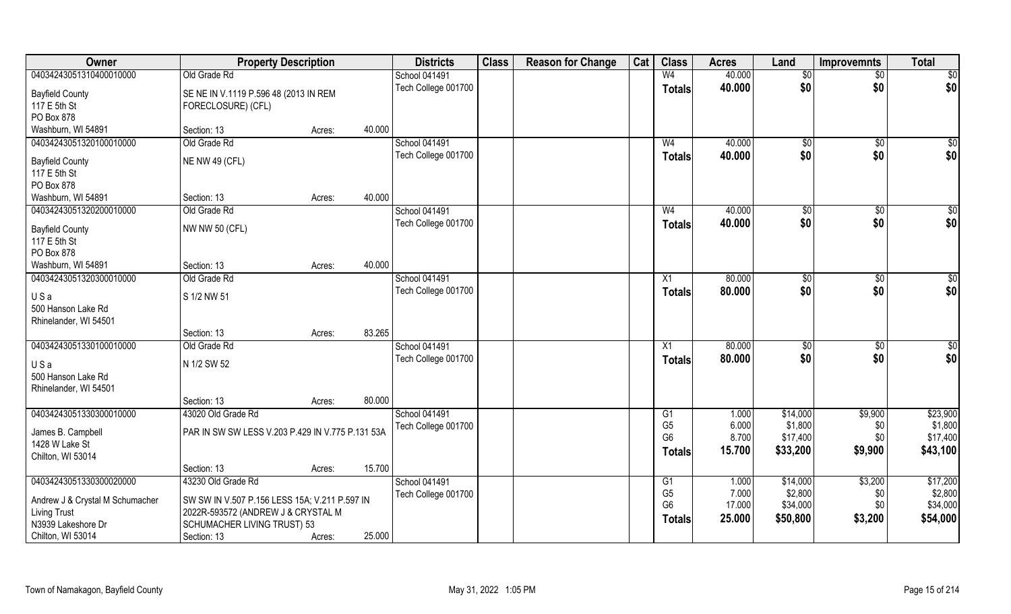| Owner                                  | <b>Property Description</b>                                 |        |        | <b>Districts</b>     | <b>Class</b> | <b>Reason for Change</b> | Cat | <b>Class</b>   | <b>Acres</b> | Land          | <b>Improvemnts</b> | <b>Total</b>    |
|----------------------------------------|-------------------------------------------------------------|--------|--------|----------------------|--------------|--------------------------|-----|----------------|--------------|---------------|--------------------|-----------------|
| 04034243051310400010000                | Old Grade Rd                                                |        |        | School 041491        |              |                          |     | W <sub>4</sub> | 40.000       | \$0           | $\overline{50}$    | $\overline{50}$ |
| <b>Bayfield County</b><br>117 E 5th St | SE NE IN V.1119 P.596 48 (2013 IN REM<br>FORECLOSURE) (CFL) |        |        | Tech College 001700  |              |                          |     | <b>Totals</b>  | 40.000       | \$0           | \$0                | \$0             |
| PO Box 878<br>Washburn, WI 54891       | Section: 13                                                 | Acres: | 40.000 |                      |              |                          |     |                |              |               |                    |                 |
| 04034243051320100010000                | Old Grade Rd                                                |        |        | <b>School 041491</b> |              |                          |     | W <sub>4</sub> | 40.000       | \$0           | \$0                | $\sqrt{50}$     |
|                                        |                                                             |        |        | Tech College 001700  |              |                          |     | <b>Totals</b>  | 40.000       | \$0           | \$0                | \$0             |
| <b>Bayfield County</b>                 | NE NW 49 (CFL)                                              |        |        |                      |              |                          |     |                |              |               |                    |                 |
| 117 E 5th St                           |                                                             |        |        |                      |              |                          |     |                |              |               |                    |                 |
| PO Box 878                             |                                                             |        |        |                      |              |                          |     |                |              |               |                    |                 |
| Washburn, WI 54891                     | Section: 13                                                 | Acres: | 40.000 |                      |              |                          |     |                |              |               |                    |                 |
| 04034243051320200010000                | Old Grade Rd                                                |        |        | School 041491        |              |                          |     | W <sub>4</sub> | 40.000       | $\sqrt[6]{2}$ | $\sqrt[6]{3}$      | \$0             |
| <b>Bayfield County</b>                 | <b>NW NW 50 (CFL)</b>                                       |        |        | Tech College 001700  |              |                          |     | <b>Totals</b>  | 40.000       | \$0           | \$0                | \$0             |
| 117 E 5th St                           |                                                             |        |        |                      |              |                          |     |                |              |               |                    |                 |
| PO Box 878                             |                                                             |        |        |                      |              |                          |     |                |              |               |                    |                 |
| Washburn, WI 54891                     | Section: 13                                                 | Acres: | 40.000 |                      |              |                          |     |                |              |               |                    |                 |
| 04034243051320300010000                | Old Grade Rd                                                |        |        | School 041491        |              |                          |     | X1             | 80.000       | $\sqrt[6]{3}$ | \$0                | \$0             |
| USa                                    | S 1/2 NW 51                                                 |        |        | Tech College 001700  |              |                          |     | <b>Totals</b>  | 80.000       | \$0           | \$0                | \$0             |
| 500 Hanson Lake Rd                     |                                                             |        |        |                      |              |                          |     |                |              |               |                    |                 |
| Rhinelander, WI 54501                  | Section: 13                                                 | Acres: | 83.265 |                      |              |                          |     |                |              |               |                    |                 |
| 04034243051330100010000                | Old Grade Rd                                                |        |        | School 041491        |              |                          |     | X1             | 80.000       | $\sqrt[6]{3}$ | \$0                | $\overline{50}$ |
|                                        |                                                             |        |        | Tech College 001700  |              |                          |     |                | 80.000       | \$0           | \$0                | \$0             |
| USa                                    | N 1/2 SW 52                                                 |        |        |                      |              |                          |     | <b>Totals</b>  |              |               |                    |                 |
| 500 Hanson Lake Rd                     |                                                             |        |        |                      |              |                          |     |                |              |               |                    |                 |
| Rhinelander, WI 54501                  |                                                             |        |        |                      |              |                          |     |                |              |               |                    |                 |
|                                        | Section: 13                                                 | Acres: | 80.000 |                      |              |                          |     |                |              |               |                    |                 |
| 04034243051330300010000                | 43020 Old Grade Rd                                          |        |        | <b>School 041491</b> |              |                          |     | G <sub>1</sub> | 1.000        | \$14,000      | \$9,900            | \$23,900        |
| James B. Campbell                      | PAR IN SW SW LESS V.203 P.429 IN V.775 P.131 53A            |        |        | Tech College 001700  |              |                          |     | G <sub>5</sub> | 6.000        | \$1,800       | \$0                | \$1,800         |
| 1428 W Lake St                         |                                                             |        |        |                      |              |                          |     | G <sub>6</sub> | 8.700        | \$17,400      | \$0                | \$17,400        |
| Chilton, WI 53014                      |                                                             |        |        |                      |              |                          |     | <b>Totals</b>  | 15.700       | \$33,200      | \$9,900            | \$43,100        |
|                                        | Section: 13                                                 | Acres: | 15.700 |                      |              |                          |     |                |              |               |                    |                 |
| 04034243051330300020000                | 43230 Old Grade Rd                                          |        |        | School 041491        |              |                          |     | G1             | 1.000        | \$14,000      | \$3,200            | \$17,200        |
| Andrew J & Crystal M Schumacher        | SW SW IN V.507 P.156 LESS 15A; V.211 P.597 IN               |        |        | Tech College 001700  |              |                          |     | G <sub>5</sub> | 7.000        | \$2,800       | \$0                | \$2,800         |
| <b>Living Trust</b>                    | 2022R-593572 (ANDREW J & CRYSTAL M                          |        |        |                      |              |                          |     | G <sub>6</sub> | 17.000       | \$34,000      | \$0                | \$34,000        |
| N3939 Lakeshore Dr                     | <b>SCHUMACHER LIVING TRUST) 53</b>                          |        |        |                      |              |                          |     | <b>Totals</b>  | 25.000       | \$50,800      | \$3,200            | \$54,000        |
| Chilton, WI 53014                      | Section: 13                                                 | Acres: | 25.000 |                      |              |                          |     |                |              |               |                    |                 |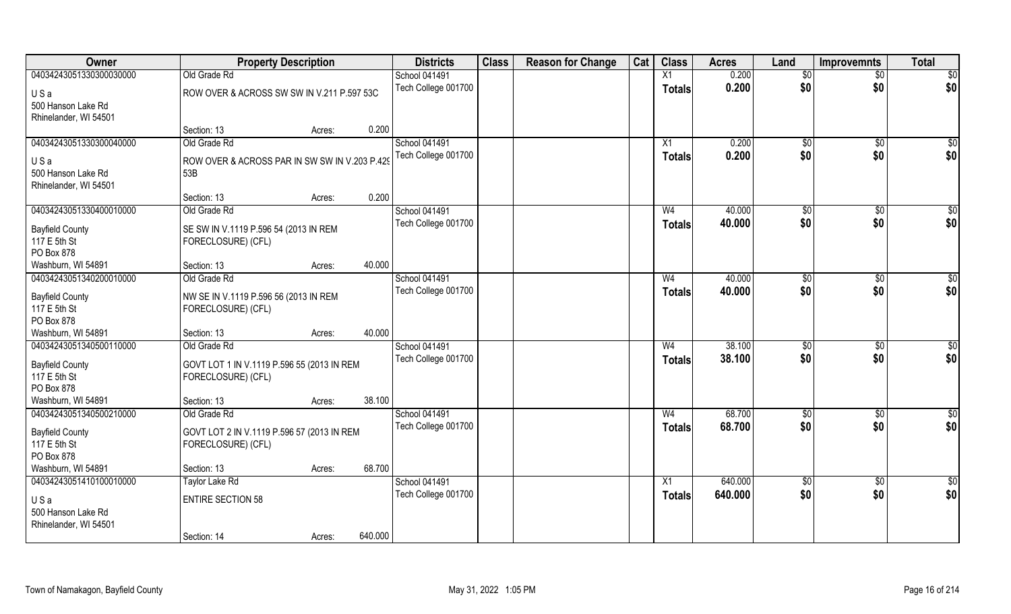| Owner                                         | <b>Property Description</b>                                      |        |         | <b>Districts</b>                     | <b>Class</b> | <b>Reason for Change</b> | Cat | <b>Class</b>    | <b>Acres</b>     | Land                 | Improvemnts          | <b>Total</b>    |
|-----------------------------------------------|------------------------------------------------------------------|--------|---------|--------------------------------------|--------------|--------------------------|-----|-----------------|------------------|----------------------|----------------------|-----------------|
| 04034243051330300030000                       | Old Grade Rd                                                     |        |         | <b>School 041491</b>                 |              |                          |     | $\overline{X1}$ | 0.200            | $\overline{50}$      | $\overline{50}$      | \$0             |
| USa                                           | ROW OVER & ACROSS SW SW IN V.211 P.597 53C                       |        |         | Tech College 001700                  |              |                          |     | <b>Totals</b>   | 0.200            | \$0                  | \$0                  | \$0             |
| 500 Hanson Lake Rd                            |                                                                  |        |         |                                      |              |                          |     |                 |                  |                      |                      |                 |
| Rhinelander, WI 54501                         |                                                                  |        |         |                                      |              |                          |     |                 |                  |                      |                      |                 |
|                                               | Section: 13                                                      | Acres: | 0.200   |                                      |              |                          |     |                 |                  |                      |                      |                 |
| 04034243051330300040000                       | Old Grade Rd                                                     |        |         | <b>School 041491</b>                 |              |                          |     | X1              | 0.200            | \$0                  | \$0                  | $\sqrt{50}$     |
| USa                                           | ROW OVER & ACROSS PAR IN SW SW IN V.203 P.429                    |        |         | Tech College 001700                  |              |                          |     | Totals          | 0.200            | \$0                  | \$0                  | \$0             |
| 500 Hanson Lake Rd                            | 53B                                                              |        |         |                                      |              |                          |     |                 |                  |                      |                      |                 |
| Rhinelander, WI 54501                         |                                                                  |        |         |                                      |              |                          |     |                 |                  |                      |                      |                 |
|                                               | Section: 13                                                      | Acres: | 0.200   |                                      |              |                          |     |                 |                  |                      |                      |                 |
| 04034243051330400010000                       | Old Grade Rd                                                     |        |         | School 041491<br>Tech College 001700 |              |                          |     | W <sub>4</sub>  | 40.000<br>40.000 | $\sqrt[6]{2}$<br>\$0 | $\sqrt[6]{3}$<br>\$0 | \$0<br>\$0      |
| <b>Bayfield County</b>                        | SE SW IN V.1119 P.596 54 (2013 IN REM                            |        |         |                                      |              |                          |     | <b>Totals</b>   |                  |                      |                      |                 |
| 117 E 5th St                                  | FORECLOSURE) (CFL)                                               |        |         |                                      |              |                          |     |                 |                  |                      |                      |                 |
| PO Box 878                                    |                                                                  |        |         |                                      |              |                          |     |                 |                  |                      |                      |                 |
| Washburn, WI 54891<br>04034243051340200010000 | Section: 13<br>Old Grade Rd                                      | Acres: | 40.000  | School 041491                        |              |                          |     | W <sub>4</sub>  | 40.000           | \$0                  | \$0                  | \$0             |
|                                               |                                                                  |        |         | Tech College 001700                  |              |                          |     | <b>Totals</b>   | 40.000           | \$0                  | \$0                  | \$0             |
| <b>Bayfield County</b>                        | NW SE IN V.1119 P.596 56 (2013 IN REM                            |        |         |                                      |              |                          |     |                 |                  |                      |                      |                 |
| 117 E 5th St                                  | FORECLOSURE) (CFL)                                               |        |         |                                      |              |                          |     |                 |                  |                      |                      |                 |
| PO Box 878<br>Washburn, WI 54891              | Section: 13                                                      | Acres: | 40.000  |                                      |              |                          |     |                 |                  |                      |                      |                 |
| 04034243051340500110000                       | Old Grade Rd                                                     |        |         | School 041491                        |              |                          |     | W <sub>4</sub>  | 38.100           | \$0                  | $\overline{50}$      | \$0             |
|                                               |                                                                  |        |         | Tech College 001700                  |              |                          |     | <b>Totals</b>   | 38.100           | \$0                  | \$0                  | \$0             |
| <b>Bayfield County</b>                        | GOVT LOT 1 IN V.1119 P.596 55 (2013 IN REM                       |        |         |                                      |              |                          |     |                 |                  |                      |                      |                 |
| 117 E 5th St<br>PO Box 878                    | FORECLOSURE) (CFL)                                               |        |         |                                      |              |                          |     |                 |                  |                      |                      |                 |
| Washburn, WI 54891                            | Section: 13                                                      | Acres: | 38.100  |                                      |              |                          |     |                 |                  |                      |                      |                 |
| 04034243051340500210000                       | Old Grade Rd                                                     |        |         | School 041491                        |              |                          |     | W <sub>4</sub>  | 68.700           | \$0                  | \$0                  | $\overline{50}$ |
|                                               |                                                                  |        |         | Tech College 001700                  |              |                          |     | <b>Totals</b>   | 68.700           | \$0                  | \$0                  | \$0             |
| <b>Bayfield County</b><br>117 E 5th St        | GOVT LOT 2 IN V.1119 P.596 57 (2013 IN REM<br>FORECLOSURE) (CFL) |        |         |                                      |              |                          |     |                 |                  |                      |                      |                 |
| PO Box 878                                    |                                                                  |        |         |                                      |              |                          |     |                 |                  |                      |                      |                 |
| Washburn, WI 54891                            | Section: 13                                                      | Acres: | 68.700  |                                      |              |                          |     |                 |                  |                      |                      |                 |
| 04034243051410100010000                       | Taylor Lake Rd                                                   |        |         | School 041491                        |              |                          |     | X1              | 640.000          | $\overline{50}$      | $\sqrt{$0}$          | $\overline{50}$ |
| USa                                           | <b>ENTIRE SECTION 58</b>                                         |        |         | Tech College 001700                  |              |                          |     | <b>Totals</b>   | 640.000          | \$0                  | \$0                  | \$0             |
| 500 Hanson Lake Rd                            |                                                                  |        |         |                                      |              |                          |     |                 |                  |                      |                      |                 |
| Rhinelander, WI 54501                         |                                                                  |        |         |                                      |              |                          |     |                 |                  |                      |                      |                 |
|                                               | Section: 14                                                      | Acres: | 640.000 |                                      |              |                          |     |                 |                  |                      |                      |                 |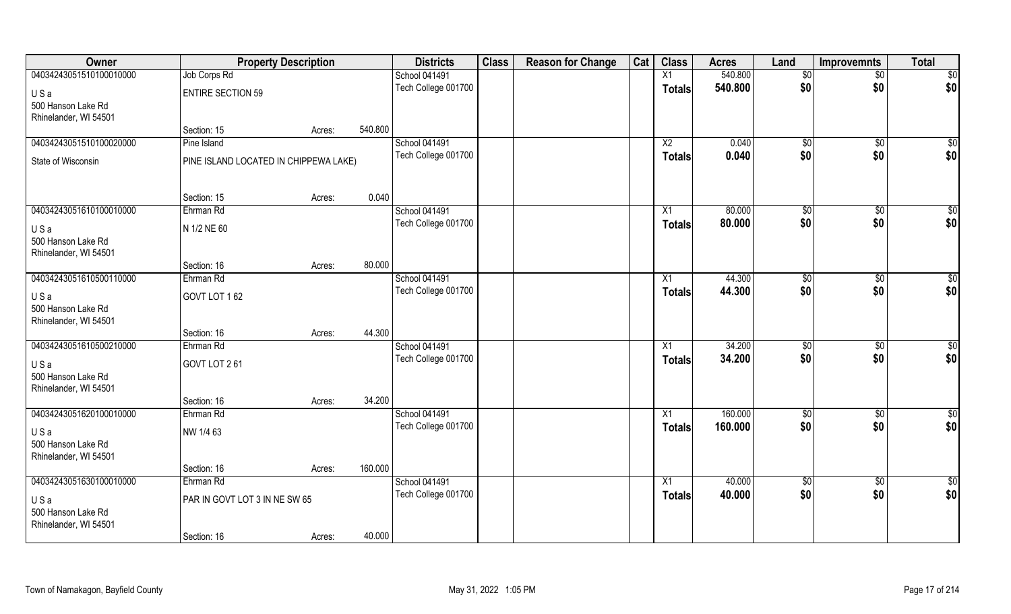| Owner                                       | <b>Property Description</b>           |        |         | <b>Districts</b>    | <b>Class</b> | <b>Reason for Change</b> | Cat | <b>Class</b>    | <b>Acres</b> | Land               | <b>Improvemnts</b>     | <b>Total</b>       |
|---------------------------------------------|---------------------------------------|--------|---------|---------------------|--------------|--------------------------|-----|-----------------|--------------|--------------------|------------------------|--------------------|
| 04034243051510100010000                     | Job Corps Rd                          |        |         | School 041491       |              |                          |     | $\overline{X1}$ | 540.800      | \$0                | $\sqrt{$0}$            | \$0                |
| USa                                         | <b>ENTIRE SECTION 59</b>              |        |         | Tech College 001700 |              |                          |     | <b>Totals</b>   | 540.800      | \$0                | \$0                    | \$0                |
| 500 Hanson Lake Rd                          |                                       |        |         |                     |              |                          |     |                 |              |                    |                        |                    |
| Rhinelander, WI 54501                       |                                       |        |         |                     |              |                          |     |                 |              |                    |                        |                    |
|                                             | Section: 15                           | Acres: | 540.800 |                     |              |                          |     |                 |              |                    |                        |                    |
| 04034243051510100020000                     | Pine Island                           |        |         | School 041491       |              |                          |     | $\overline{X2}$ | 0.040        | $\sqrt{50}$        | \$0                    | \$0                |
| State of Wisconsin                          | PINE ISLAND LOCATED IN CHIPPEWA LAKE) |        |         | Tech College 001700 |              |                          |     | <b>Totals</b>   | 0.040        | \$0                | \$0                    | \$0                |
|                                             |                                       |        |         |                     |              |                          |     |                 |              |                    |                        |                    |
|                                             |                                       |        |         |                     |              |                          |     |                 |              |                    |                        |                    |
| 04034243051610100010000                     | Section: 15                           | Acres: | 0.040   | School 041491       |              |                          |     |                 | 80.000       |                    |                        |                    |
|                                             | Ehrman Rd                             |        |         | Tech College 001700 |              |                          |     | X1              | 80.000       | $\sqrt{50}$<br>\$0 | $\overline{50}$<br>\$0 | $\sqrt{50}$<br>\$0 |
| USa                                         | N 1/2 NE 60                           |        |         |                     |              |                          |     | <b>Totals</b>   |              |                    |                        |                    |
| 500 Hanson Lake Rd                          |                                       |        |         |                     |              |                          |     |                 |              |                    |                        |                    |
| Rhinelander, WI 54501                       |                                       |        | 80.000  |                     |              |                          |     |                 |              |                    |                        |                    |
| 04034243051610500110000                     | Section: 16<br>Ehrman Rd              | Acres: |         | School 041491       |              |                          |     | X1              | 44.300       | \$0                | $\sqrt[6]{3}$          | \$0                |
|                                             |                                       |        |         | Tech College 001700 |              |                          |     | <b>Totals</b>   | 44.300       | \$0                | \$0                    | \$0                |
| USa                                         | GOVT LOT 162                          |        |         |                     |              |                          |     |                 |              |                    |                        |                    |
| 500 Hanson Lake Rd<br>Rhinelander, WI 54501 |                                       |        |         |                     |              |                          |     |                 |              |                    |                        |                    |
|                                             | Section: 16                           | Acres: | 44.300  |                     |              |                          |     |                 |              |                    |                        |                    |
| 04034243051610500210000                     | Ehrman Rd                             |        |         | School 041491       |              |                          |     | X1              | 34.200       | \$0                | $\overline{50}$        | $\sqrt{50}$        |
|                                             |                                       |        |         | Tech College 001700 |              |                          |     | Totals          | 34.200       | \$0                | \$0                    | \$0                |
| USa<br>500 Hanson Lake Rd                   | GOVT LOT 261                          |        |         |                     |              |                          |     |                 |              |                    |                        |                    |
| Rhinelander, WI 54501                       |                                       |        |         |                     |              |                          |     |                 |              |                    |                        |                    |
|                                             | Section: 16                           | Acres: | 34.200  |                     |              |                          |     |                 |              |                    |                        |                    |
| 04034243051620100010000                     | Ehrman Rd                             |        |         | School 041491       |              |                          |     | $\overline{X1}$ | 160.000      | \$0                | $\sqrt{$0}$            | \$0                |
| USa                                         | NW 1/4 63                             |        |         | Tech College 001700 |              |                          |     | <b>Totals</b>   | 160.000      | \$0                | \$0                    | \$0                |
| 500 Hanson Lake Rd                          |                                       |        |         |                     |              |                          |     |                 |              |                    |                        |                    |
| Rhinelander, WI 54501                       |                                       |        |         |                     |              |                          |     |                 |              |                    |                        |                    |
|                                             | Section: 16                           | Acres: | 160.000 |                     |              |                          |     |                 |              |                    |                        |                    |
| 04034243051630100010000                     | Ehrman Rd                             |        |         | School 041491       |              |                          |     | $\overline{X1}$ | 40.000       | $\sqrt{6}$         | $\sqrt{$0}$            | \$0                |
| USa                                         | PAR IN GOVT LOT 3 IN NE SW 65         |        |         | Tech College 001700 |              |                          |     | <b>Totals</b>   | 40.000       | \$0                | \$0                    | \$0                |
| 500 Hanson Lake Rd                          |                                       |        |         |                     |              |                          |     |                 |              |                    |                        |                    |
| Rhinelander, WI 54501                       |                                       |        |         |                     |              |                          |     |                 |              |                    |                        |                    |
|                                             | Section: 16                           | Acres: | 40.000  |                     |              |                          |     |                 |              |                    |                        |                    |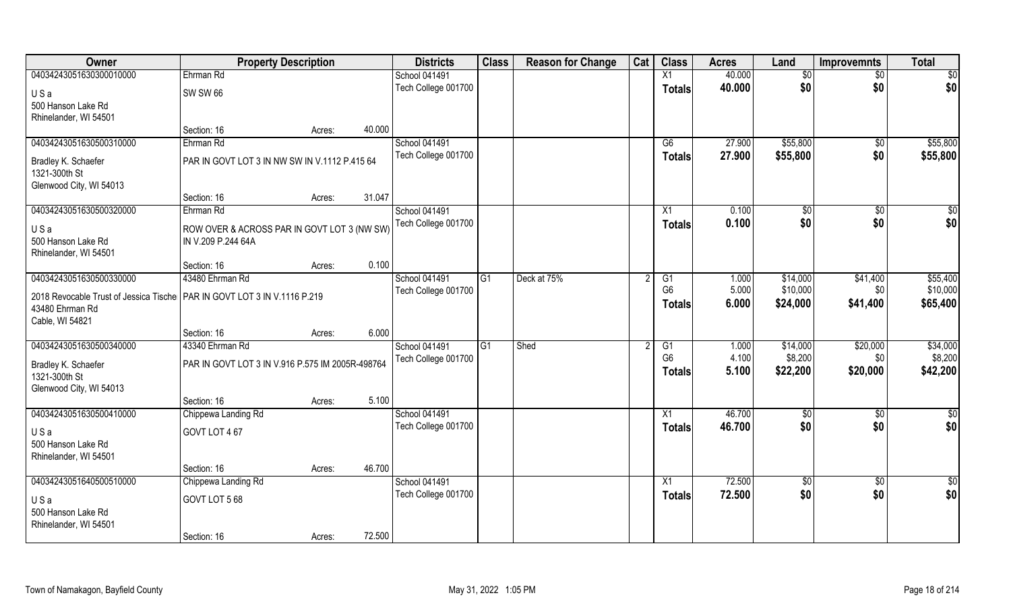| Owner                                                                                         | <b>Property Description</b>                      |        |        | <b>Districts</b>    | <b>Class</b>   | <b>Reason for Change</b> | Cat | <b>Class</b>    | <b>Acres</b> | Land         | <b>Improvemnts</b> | <b>Total</b>  |
|-----------------------------------------------------------------------------------------------|--------------------------------------------------|--------|--------|---------------------|----------------|--------------------------|-----|-----------------|--------------|--------------|--------------------|---------------|
| 04034243051630300010000                                                                       | Ehrman Rd                                        |        |        | School 041491       |                |                          |     | X1              | 40.000       | \$0          | \$0                | \$0           |
| USa                                                                                           | <b>SW SW 66</b>                                  |        |        | Tech College 001700 |                |                          |     | <b>Totals</b>   | 40.000       | \$0          | \$0                | \$0           |
| 500 Hanson Lake Rd                                                                            |                                                  |        |        |                     |                |                          |     |                 |              |              |                    |               |
| Rhinelander, WI 54501                                                                         |                                                  |        |        |                     |                |                          |     |                 |              |              |                    |               |
|                                                                                               | Section: 16                                      | Acres: | 40.000 |                     |                |                          |     |                 |              |              |                    |               |
| 04034243051630500310000                                                                       | Ehrman Rd                                        |        |        | School 041491       |                |                          |     | G6              | 27.900       | \$55,800     | $\overline{50}$    | \$55,800      |
| Bradley K. Schaefer                                                                           | PAR IN GOVT LOT 3 IN NW SW IN V.1112 P.415 64    |        |        | Tech College 001700 |                |                          |     | <b>Totals</b>   | 27.900       | \$55,800     | \$0                | \$55,800      |
| 1321-300th St                                                                                 |                                                  |        |        |                     |                |                          |     |                 |              |              |                    |               |
| Glenwood City, WI 54013                                                                       |                                                  |        | 31.047 |                     |                |                          |     |                 |              |              |                    |               |
| 04034243051630500320000                                                                       | Section: 16<br>Ehrman Rd                         | Acres: |        | School 041491       |                |                          |     | X1              | 0.100        | $\sqrt[6]{}$ | \$0                | \$0           |
|                                                                                               |                                                  |        |        | Tech College 001700 |                |                          |     | <b>Totals</b>   | 0.100        | \$0          | \$0                | \$0           |
| USa                                                                                           | ROW OVER & ACROSS PAR IN GOVT LOT 3 (NW SW)      |        |        |                     |                |                          |     |                 |              |              |                    |               |
| 500 Hanson Lake Rd<br>Rhinelander, WI 54501                                                   | IN V.209 P.244 64A                               |        |        |                     |                |                          |     |                 |              |              |                    |               |
|                                                                                               | Section: 16                                      | Acres: | 0.100  |                     |                |                          |     |                 |              |              |                    |               |
| 04034243051630500330000                                                                       | 43480 Ehrman Rd                                  |        |        | School 041491       | G1             | Deck at 75%              |     | G1              | 1.000        | \$14,000     | \$41,400           | \$55,400      |
|                                                                                               |                                                  |        |        | Tech College 001700 |                |                          |     | G <sub>6</sub>  | 5.000        | \$10,000     | \$0                | \$10,000      |
| 2018 Revocable Trust of Jessica Tische   PAR IN GOVT LOT 3 IN V.1116 P.219<br>43480 Ehrman Rd |                                                  |        |        |                     |                |                          |     | <b>Totals</b>   | 6.000        | \$24,000     | \$41,400           | \$65,400      |
| Cable, WI 54821                                                                               |                                                  |        |        |                     |                |                          |     |                 |              |              |                    |               |
|                                                                                               | Section: 16                                      | Acres: | 6.000  |                     |                |                          |     |                 |              |              |                    |               |
| 04034243051630500340000                                                                       | 43340 Ehrman Rd                                  |        |        | School 041491       | G <sub>1</sub> | Shed                     |     | G1              | 1.000        | \$14,000     | \$20,000           | \$34,000      |
| Bradley K. Schaefer                                                                           | PAR IN GOVT LOT 3 IN V.916 P.575 IM 2005R-498764 |        |        | Tech College 001700 |                |                          |     | G <sub>6</sub>  | 4.100        | \$8,200      | \$0                | \$8,200       |
| 1321-300th St                                                                                 |                                                  |        |        |                     |                |                          |     | <b>Totals</b>   | 5.100        | \$22,200     | \$20,000           | \$42,200      |
| Glenwood City, WI 54013                                                                       |                                                  |        |        |                     |                |                          |     |                 |              |              |                    |               |
|                                                                                               | Section: 16                                      | Acres: | 5.100  |                     |                |                          |     |                 |              |              |                    |               |
| 04034243051630500410000                                                                       | Chippewa Landing Rd                              |        |        | School 041491       |                |                          |     | $\overline{X1}$ | 46.700       | \$0          | \$0                | $\frac{6}{3}$ |
| USa                                                                                           | GOVT LOT 467                                     |        |        | Tech College 001700 |                |                          |     | <b>Totals</b>   | 46.700       | \$0          | \$0                | \$0           |
| 500 Hanson Lake Rd                                                                            |                                                  |        |        |                     |                |                          |     |                 |              |              |                    |               |
| Rhinelander, WI 54501                                                                         |                                                  |        |        |                     |                |                          |     |                 |              |              |                    |               |
| 04034243051640500510000                                                                       | Section: 16<br>Chippewa Landing Rd               | Acres: | 46.700 | School 041491       |                |                          |     | $\overline{X1}$ | 72.500       |              |                    | \$0           |
|                                                                                               |                                                  |        |        | Tech College 001700 |                |                          |     | <b>Totals</b>   | 72.500       | \$0<br>\$0   | $\sqrt{6}$<br>\$0  | \$0           |
| USa                                                                                           | GOVT LOT 568                                     |        |        |                     |                |                          |     |                 |              |              |                    |               |
| 500 Hanson Lake Rd<br>Rhinelander, WI 54501                                                   |                                                  |        |        |                     |                |                          |     |                 |              |              |                    |               |
|                                                                                               | Section: 16                                      | Acres: | 72.500 |                     |                |                          |     |                 |              |              |                    |               |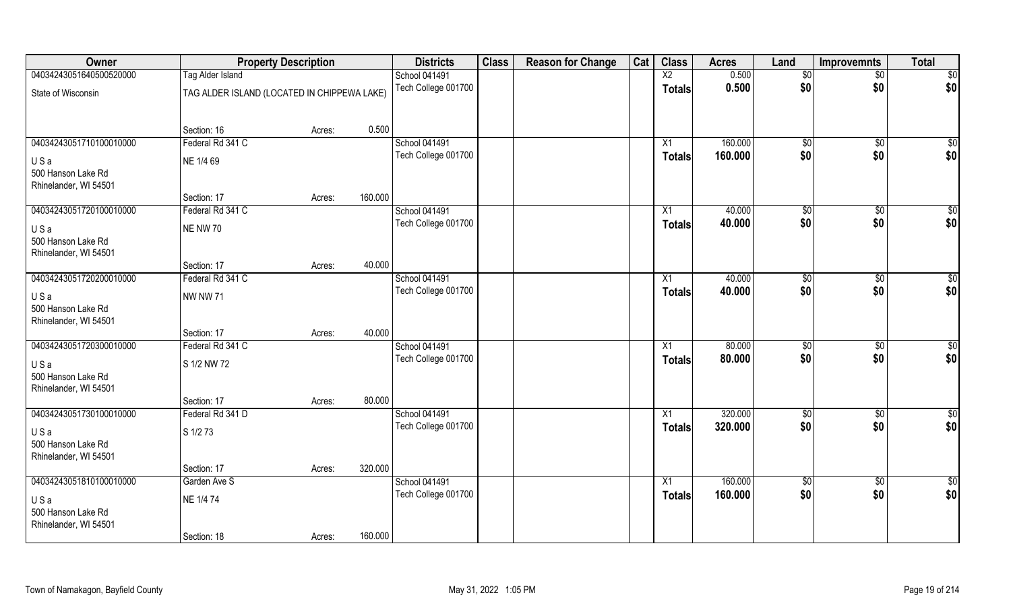| Owner                     |                                             | <b>Property Description</b> |         | <b>Districts</b>                     | <b>Class</b> | <b>Reason for Change</b> | Cat | <b>Class</b>    | <b>Acres</b>       | Land        | <b>Improvemnts</b>  | <b>Total</b>       |
|---------------------------|---------------------------------------------|-----------------------------|---------|--------------------------------------|--------------|--------------------------|-----|-----------------|--------------------|-------------|---------------------|--------------------|
| 04034243051640500520000   | <b>Tag Alder Island</b>                     |                             |         | School 041491                        |              |                          |     | X2              | 0.500              | \$0         | $\sqrt{$0}$         | \$0                |
| State of Wisconsin        | TAG ALDER ISLAND (LOCATED IN CHIPPEWA LAKE) |                             |         | Tech College 001700                  |              |                          |     | <b>Totals</b>   | 0.500              | \$0         | \$0                 | \$0                |
|                           |                                             |                             |         |                                      |              |                          |     |                 |                    |             |                     |                    |
|                           |                                             |                             |         |                                      |              |                          |     |                 |                    |             |                     |                    |
|                           | Section: 16                                 | Acres:                      | 0.500   |                                      |              |                          |     |                 |                    |             |                     |                    |
| 04034243051710100010000   | Federal Rd 341 C                            |                             |         | School 041491<br>Tech College 001700 |              |                          |     | X1              | 160.000<br>160.000 | \$0<br>\$0  | $\sqrt[6]{}$<br>\$0 | $\sqrt{50}$<br>\$0 |
| USa                       | NE 1/4 69                                   |                             |         |                                      |              |                          |     | Totals          |                    |             |                     |                    |
| 500 Hanson Lake Rd        |                                             |                             |         |                                      |              |                          |     |                 |                    |             |                     |                    |
| Rhinelander, WI 54501     | Section: 17                                 |                             | 160.000 |                                      |              |                          |     |                 |                    |             |                     |                    |
| 04034243051720100010000   | Federal Rd 341 C                            | Acres:                      |         | School 041491                        |              |                          |     | X1              | 40.000             | \$0         | \$0                 | $\sqrt{50}$        |
|                           |                                             |                             |         | Tech College 001700                  |              |                          |     | <b>Totals</b>   | 40.000             | \$0         | \$0                 | \$0                |
| USa                       | <b>NE NW 70</b>                             |                             |         |                                      |              |                          |     |                 |                    |             |                     |                    |
| 500 Hanson Lake Rd        |                                             |                             |         |                                      |              |                          |     |                 |                    |             |                     |                    |
| Rhinelander, WI 54501     | Section: 17                                 | Acres:                      | 40.000  |                                      |              |                          |     |                 |                    |             |                     |                    |
| 04034243051720200010000   | Federal Rd 341 C                            |                             |         | School 041491                        |              |                          |     | X1              | 40.000             | \$0         | \$0                 | $\sqrt{50}$        |
|                           |                                             |                             |         | Tech College 001700                  |              |                          |     | Totals          | 40.000             | \$0         | \$0                 | \$0                |
| USa<br>500 Hanson Lake Rd | <b>NW NW 71</b>                             |                             |         |                                      |              |                          |     |                 |                    |             |                     |                    |
| Rhinelander, WI 54501     |                                             |                             |         |                                      |              |                          |     |                 |                    |             |                     |                    |
|                           | Section: 17                                 | Acres:                      | 40.000  |                                      |              |                          |     |                 |                    |             |                     |                    |
| 04034243051720300010000   | Federal Rd 341 C                            |                             |         | School 041491                        |              |                          |     | X1              | 80.000             | \$0         | $\overline{50}$     | $\sqrt{50}$        |
| USa                       | S 1/2 NW 72                                 |                             |         | Tech College 001700                  |              |                          |     | <b>Totals</b>   | 80.000             | \$0         | \$0                 | \$0                |
| 500 Hanson Lake Rd        |                                             |                             |         |                                      |              |                          |     |                 |                    |             |                     |                    |
| Rhinelander, WI 54501     |                                             |                             |         |                                      |              |                          |     |                 |                    |             |                     |                    |
|                           | Section: 17                                 | Acres:                      | 80.000  |                                      |              |                          |     |                 |                    |             |                     |                    |
| 04034243051730100010000   | Federal Rd 341 D                            |                             |         | School 041491                        |              |                          |     | $\overline{X1}$ | 320.000            | \$0         | $\sqrt{$0}$         | \$0                |
| USa                       | S 1/2 73                                    |                             |         | Tech College 001700                  |              |                          |     | <b>Totals</b>   | 320.000            | \$0         | \$0                 | \$0                |
| 500 Hanson Lake Rd        |                                             |                             |         |                                      |              |                          |     |                 |                    |             |                     |                    |
| Rhinelander, WI 54501     |                                             |                             |         |                                      |              |                          |     |                 |                    |             |                     |                    |
|                           | Section: 17                                 | Acres:                      | 320.000 |                                      |              |                          |     |                 |                    |             |                     |                    |
| 04034243051810100010000   | Garden Ave S                                |                             |         | School 041491                        |              |                          |     | $\overline{X1}$ | 160.000            | $\sqrt{50}$ | $\overline{60}$     | \$0                |
| USa                       | NE 1/4 74                                   |                             |         | Tech College 001700                  |              |                          |     | <b>Totals</b>   | 160.000            | \$0         | \$0                 | \$0                |
| 500 Hanson Lake Rd        |                                             |                             |         |                                      |              |                          |     |                 |                    |             |                     |                    |
| Rhinelander, WI 54501     |                                             |                             |         |                                      |              |                          |     |                 |                    |             |                     |                    |
|                           | Section: 18                                 | Acres:                      | 160.000 |                                      |              |                          |     |                 |                    |             |                     |                    |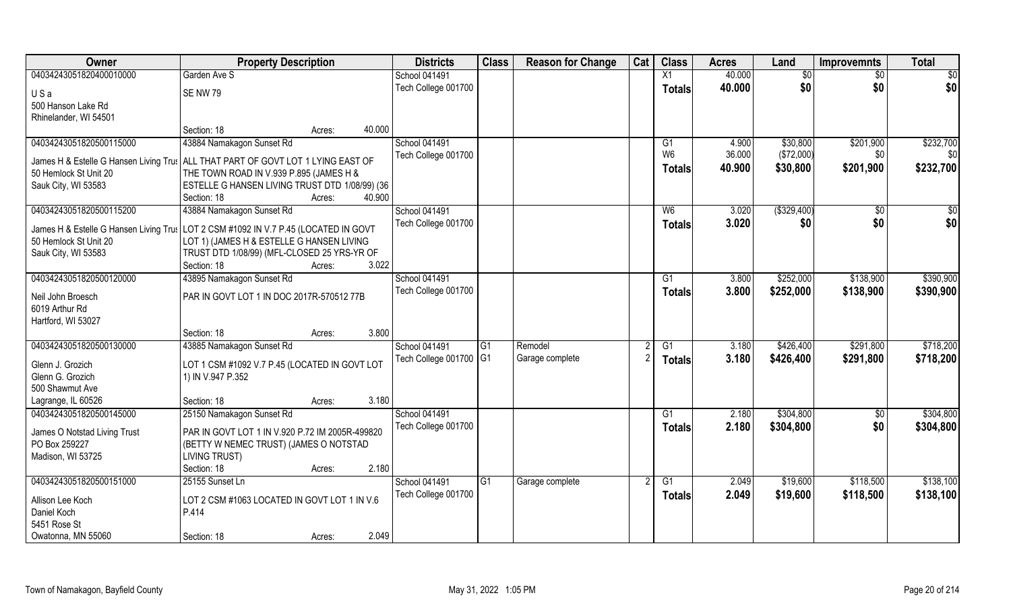| Owner                                         | <b>Property Description</b>                                                         |        | <b>Districts</b>       | <b>Class</b> | <b>Reason for Change</b> | Cat | <b>Class</b>   | <b>Acres</b> | Land         | <b>Improvemnts</b> | <b>Total</b> |
|-----------------------------------------------|-------------------------------------------------------------------------------------|--------|------------------------|--------------|--------------------------|-----|----------------|--------------|--------------|--------------------|--------------|
| 04034243051820400010000                       | Garden Ave S                                                                        |        | School 041491          |              |                          |     | X1             | 40.000       | \$0          | \$0                | \$0          |
| USa                                           | SE NW 79                                                                            |        | Tech College 001700    |              |                          |     | <b>Totals</b>  | 40.000       | \$0          | \$0                | \$0          |
| 500 Hanson Lake Rd                            |                                                                                     |        |                        |              |                          |     |                |              |              |                    |              |
| Rhinelander, WI 54501                         |                                                                                     |        |                        |              |                          |     |                |              |              |                    |              |
|                                               | Section: 18<br>Acres:                                                               | 40.000 |                        |              |                          |     |                |              |              |                    |              |
| 04034243051820500115000                       | 43884 Namakagon Sunset Rd                                                           |        | School 041491          |              |                          |     | G1             | 4.900        | \$30,800     | \$201,900          | \$232,700    |
|                                               | James H & Estelle G Hansen Living Trus   ALL THAT PART OF GOVT LOT 1 LYING EAST OF  |        | Tech College 001700    |              |                          |     | W <sub>6</sub> | 36.000       | (\$72,000)   | \$0                | \$0          |
| 50 Hemlock St Unit 20                         | THE TOWN ROAD IN V.939 P.895 (JAMES H &                                             |        |                        |              |                          |     | <b>Totals</b>  | 40.900       | \$30,800     | \$201,900          | \$232,700    |
| Sauk City, WI 53583                           | ESTELLE G HANSEN LIVING TRUST DTD 1/08/99) (36                                      |        |                        |              |                          |     |                |              |              |                    |              |
|                                               | Section: 18<br>Acres:                                                               | 40.900 |                        |              |                          |     |                |              |              |                    |              |
| 04034243051820500115200                       | 43884 Namakagon Sunset Rd                                                           |        | School 041491          |              |                          |     | W <sub>6</sub> | 3.020        | ( \$329,400) | $\sqrt{50}$        | \$0          |
|                                               | James H & Estelle G Hansen Living Trus LOT 2 CSM #1092 IN V.7 P.45 (LOCATED IN GOVT |        | Tech College 001700    |              |                          |     | <b>Totals</b>  | 3.020        | \$0          | \$0                | \$0          |
| 50 Hemlock St Unit 20                         | LOT 1) (JAMES H & ESTELLE G HANSEN LIVING                                           |        |                        |              |                          |     |                |              |              |                    |              |
| Sauk City, WI 53583                           | TRUST DTD 1/08/99) (MFL-CLOSED 25 YRS-YR OF                                         |        |                        |              |                          |     |                |              |              |                    |              |
|                                               | Section: 18<br>Acres:                                                               | 3.022  |                        |              |                          |     |                |              |              |                    |              |
| 04034243051820500120000                       | 43895 Namakagon Sunset Rd                                                           |        | School 041491          |              |                          |     | G1             | 3.800        | \$252,000    | \$138,900          | \$390,900    |
| Neil John Broesch                             | PAR IN GOVT LOT 1 IN DOC 2017R-570512 77B                                           |        | Tech College 001700    |              |                          |     | <b>Totals</b>  | 3.800        | \$252,000    | \$138,900          | \$390,900    |
| 6019 Arthur Rd                                |                                                                                     |        |                        |              |                          |     |                |              |              |                    |              |
| Hartford, WI 53027                            |                                                                                     |        |                        |              |                          |     |                |              |              |                    |              |
|                                               | Section: 18<br>Acres:                                                               | 3.800  |                        |              |                          |     |                |              |              |                    |              |
| 04034243051820500130000                       | 43885 Namakagon Sunset Rd                                                           |        | School 041491          | G1           | Remodel                  |     | G1             | 3.180        | \$426,400    | \$291,800          | \$718,200    |
| Glenn J. Grozich                              | LOT 1 CSM #1092 V.7 P.45 (LOCATED IN GOVT LOT                                       |        | Tech College 001700 G1 |              | Garage complete          |     | <b>Totals</b>  | 3.180        | \$426,400    | \$291,800          | \$718,200    |
| Glenn G. Grozich                              | 1) IN V.947 P.352                                                                   |        |                        |              |                          |     |                |              |              |                    |              |
| 500 Shawmut Ave                               |                                                                                     |        |                        |              |                          |     |                |              |              |                    |              |
| Lagrange, IL 60526                            | Section: 18<br>Acres:                                                               | 3.180  |                        |              |                          |     |                |              |              |                    |              |
| 04034243051820500145000                       | 25150 Namakagon Sunset Rd                                                           |        | School 041491          |              |                          |     | G1             | 2.180        | \$304,800    | $\sqrt{6}$         | \$304,800    |
|                                               |                                                                                     |        | Tech College 001700    |              |                          |     | <b>Totals</b>  | 2.180        | \$304,800    | \$0                | \$304,800    |
| James O Notstad Living Trust<br>PO Box 259227 | PAR IN GOVT LOT 1 IN V.920 P.72 IM 2005R-499820                                     |        |                        |              |                          |     |                |              |              |                    |              |
| Madison, WI 53725                             | (BETTY W NEMEC TRUST) (JAMES O NOTSTAD<br><b>LIVING TRUST)</b>                      |        |                        |              |                          |     |                |              |              |                    |              |
|                                               | Section: 18<br>Acres:                                                               | 2.180  |                        |              |                          |     |                |              |              |                    |              |
| 04034243051820500151000                       | 25155 Sunset Ln                                                                     |        | School 041491          | G1           | Garage complete          |     | G1             | 2.049        | \$19,600     | \$118,500          | \$138,100    |
|                                               |                                                                                     |        | Tech College 001700    |              |                          |     | <b>Totals</b>  | 2.049        | \$19,600     | \$118,500          | \$138,100    |
| Allison Lee Koch                              | LOT 2 CSM #1063 LOCATED IN GOVT LOT 1 IN V.6                                        |        |                        |              |                          |     |                |              |              |                    |              |
| Daniel Koch                                   | P.414                                                                               |        |                        |              |                          |     |                |              |              |                    |              |
| 5451 Rose St                                  |                                                                                     | 2.049  |                        |              |                          |     |                |              |              |                    |              |
| Owatonna, MN 55060                            | Section: 18<br>Acres:                                                               |        |                        |              |                          |     |                |              |              |                    |              |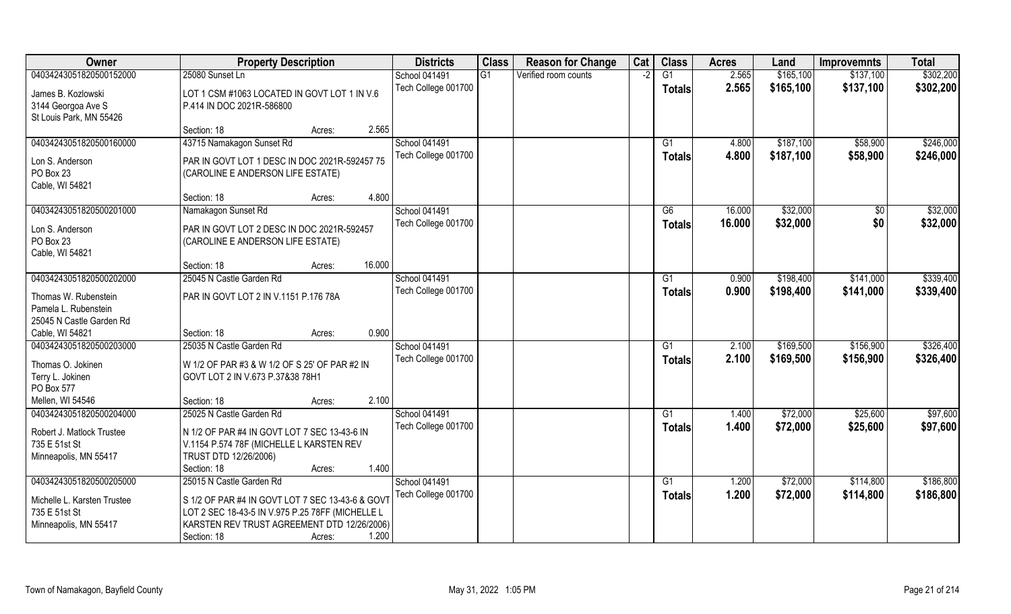| Owner                                        | <b>Property Description</b>                       | <b>Districts</b>     | <b>Class</b> | <b>Reason for Change</b> | Cat  | <b>Class</b>    | <b>Acres</b>   | Land      | <b>Improvemnts</b> | <b>Total</b> |
|----------------------------------------------|---------------------------------------------------|----------------------|--------------|--------------------------|------|-----------------|----------------|-----------|--------------------|--------------|
| 04034243051820500152000                      | 25080 Sunset Ln                                   | <b>School 041491</b> | G1           | Verified room counts     | $-2$ | $\overline{G1}$ | 2.565          | \$165,100 | \$137,100          | \$302,200    |
| James B. Kozlowski                           | LOT 1 CSM #1063 LOCATED IN GOVT LOT 1 IN V.6      | Tech College 001700  |              |                          |      | Totals          | 2.565          | \$165,100 | \$137,100          | \$302,200    |
| 3144 Georgoa Ave S                           | P.414 IN DOC 2021R-586800                         |                      |              |                          |      |                 |                |           |                    |              |
| St Louis Park, MN 55426                      |                                                   |                      |              |                          |      |                 |                |           |                    |              |
|                                              | 2.565<br>Section: 18<br>Acres:                    |                      |              |                          |      |                 |                |           |                    |              |
| 04034243051820500160000                      | 43715 Namakagon Sunset Rd                         | <b>School 041491</b> |              |                          |      | G <sub>1</sub>  | 4.800          | \$187,100 | \$58,900           | \$246,000    |
| Lon S. Anderson                              | PAR IN GOVT LOT 1 DESC IN DOC 2021R-592457 75     | Tech College 001700  |              |                          |      | <b>Totals</b>   | 4.800          | \$187,100 | \$58,900           | \$246,000    |
| PO Box 23                                    | (CAROLINE E ANDERSON LIFE ESTATE)                 |                      |              |                          |      |                 |                |           |                    |              |
| Cable, WI 54821                              |                                                   |                      |              |                          |      |                 |                |           |                    |              |
|                                              | 4.800<br>Section: 18<br>Acres:                    |                      |              |                          |      |                 |                |           |                    |              |
| 04034243051820500201000                      | Namakagon Sunset Rd                               | School 041491        |              |                          |      | G6              | 16.000         | \$32,000  | \$0                | \$32,000     |
| Lon S. Anderson                              | PAR IN GOVT LOT 2 DESC IN DOC 2021R-592457        | Tech College 001700  |              |                          |      | <b>Totals</b>   | 16.000         | \$32,000  | \$0                | \$32,000     |
| PO Box 23                                    | (CAROLINE E ANDERSON LIFE ESTATE)                 |                      |              |                          |      |                 |                |           |                    |              |
| Cable, WI 54821                              |                                                   |                      |              |                          |      |                 |                |           |                    |              |
|                                              | 16.000<br>Section: 18<br>Acres:                   |                      |              |                          |      |                 |                |           |                    |              |
| 04034243051820500202000                      | 25045 N Castle Garden Rd                          | <b>School 041491</b> |              |                          |      | G <sub>1</sub>  | 0.900          | \$198,400 | \$141,000          | \$339,400    |
|                                              |                                                   | Tech College 001700  |              |                          |      | <b>Totals</b>   | 0.900          | \$198,400 | \$141,000          | \$339,400    |
| Thomas W. Rubenstein<br>Pamela L. Rubenstein | PAR IN GOVT LOT 2 IN V.1151 P.176 78A             |                      |              |                          |      |                 |                |           |                    |              |
| 25045 N Castle Garden Rd                     |                                                   |                      |              |                          |      |                 |                |           |                    |              |
| Cable, WI 54821                              | 0.900<br>Section: 18<br>Acres:                    |                      |              |                          |      |                 |                |           |                    |              |
| 04034243051820500203000                      | 25035 N Castle Garden Rd                          | School 041491        |              |                          |      | G1              | 2.100          | \$169,500 | \$156,900          | \$326,400    |
|                                              |                                                   | Tech College 001700  |              |                          |      | <b>Totals</b>   | 2.100          | \$169,500 | \$156,900          | \$326,400    |
| Thomas O. Jokinen                            | W 1/2 OF PAR #3 & W 1/2 OF S 25' OF PAR #2 IN     |                      |              |                          |      |                 |                |           |                    |              |
| Terry L. Jokinen<br>PO Box 577               | GOVT LOT 2 IN V.673 P.37&38 78H1                  |                      |              |                          |      |                 |                |           |                    |              |
| Mellen, WI 54546                             | 2.100<br>Section: 18<br>Acres:                    |                      |              |                          |      |                 |                |           |                    |              |
| 04034243051820500204000                      | 25025 N Castle Garden Rd                          | School 041491        |              |                          |      | G1              | 1.400          | \$72,000  | \$25,600           | \$97,600     |
|                                              |                                                   | Tech College 001700  |              |                          |      | <b>Totals</b>   | 1.400          | \$72,000  | \$25,600           | \$97,600     |
| Robert J. Matlock Trustee                    | N 1/2 OF PAR #4 IN GOVT LOT 7 SEC 13-43-6 IN      |                      |              |                          |      |                 |                |           |                    |              |
| 735 E 51st St                                | V.1154 P.574 78F (MICHELLE L KARSTEN REV          |                      |              |                          |      |                 |                |           |                    |              |
| Minneapolis, MN 55417                        | TRUST DTD 12/26/2006)<br>1.400                    |                      |              |                          |      |                 |                |           |                    |              |
| 04034243051820500205000                      | Section: 18<br>Acres:<br>25015 N Castle Garden Rd | School 041491        |              |                          |      | G1              |                | \$72,000  | \$114,800          | \$186,800    |
|                                              |                                                   | Tech College 001700  |              |                          |      |                 | 1.200<br>1.200 | \$72,000  | \$114,800          | \$186,800    |
| Michelle L. Karsten Trustee                  | S 1/2 OF PAR #4 IN GOVT LOT 7 SEC 13-43-6 & GOVT  |                      |              |                          |      | Totals          |                |           |                    |              |
| 735 E 51st St                                | LOT 2 SEC 18-43-5 IN V.975 P.25 78FF (MICHELLE L  |                      |              |                          |      |                 |                |           |                    |              |
| Minneapolis, MN 55417                        | KARSTEN REV TRUST AGREEMENT DTD 12/26/2006)       |                      |              |                          |      |                 |                |           |                    |              |
|                                              | 1.200<br>Section: 18<br>Acres:                    |                      |              |                          |      |                 |                |           |                    |              |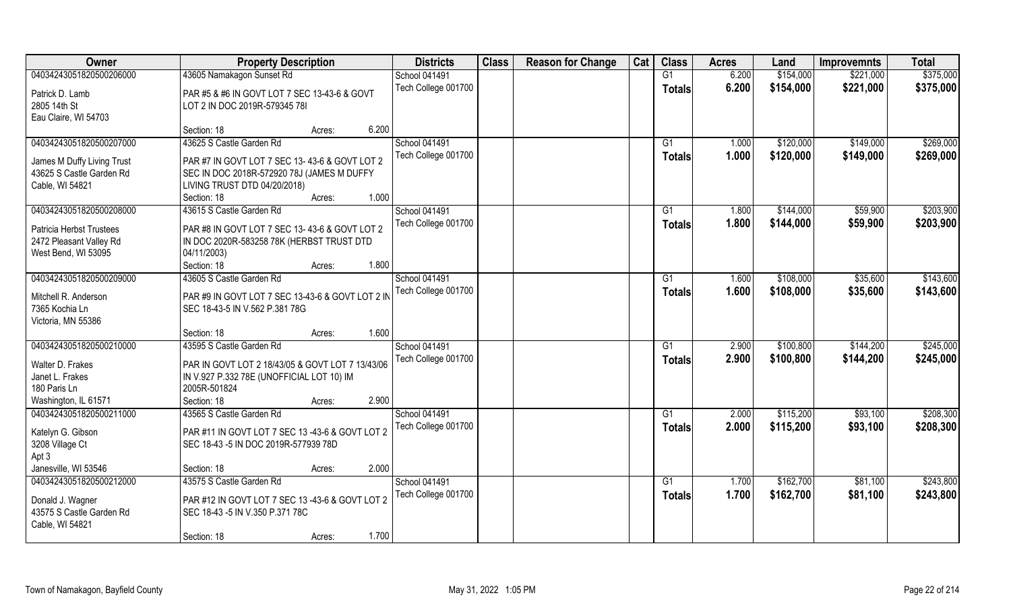| Owner                               | <b>Property Description</b>                               | <b>Districts</b>     | <b>Class</b> | <b>Reason for Change</b> | Cat | <b>Class</b>    | <b>Acres</b> | Land      | <b>Improvemnts</b> | <b>Total</b> |
|-------------------------------------|-----------------------------------------------------------|----------------------|--------------|--------------------------|-----|-----------------|--------------|-----------|--------------------|--------------|
| 04034243051820500206000             | 43605 Namakagon Sunset Rd                                 | <b>School 041491</b> |              |                          |     | G1              | 6.200        | \$154,000 | \$221,000          | \$375,000    |
| Patrick D. Lamb                     | PAR #5 & #6 IN GOVT LOT 7 SEC 13-43-6 & GOVT              | Tech College 001700  |              |                          |     | <b>Totals</b>   | 6.200        | \$154,000 | \$221,000          | \$375,000    |
| 2805 14th St                        | LOT 2 IN DOC 2019R-579345 78I                             |                      |              |                          |     |                 |              |           |                    |              |
| Eau Claire, WI 54703                |                                                           |                      |              |                          |     |                 |              |           |                    |              |
|                                     | 6.200<br>Section: 18<br>Acres:                            |                      |              |                          |     |                 |              |           |                    |              |
| 04034243051820500207000             | 43625 S Castle Garden Rd                                  | <b>School 041491</b> |              |                          |     | G1              | 1.000        | \$120,000 | \$149,000          | \$269,000    |
| James M Duffy Living Trust          | PAR #7 IN GOVT LOT 7 SEC 13-43-6 & GOVT LOT 2             | Tech College 001700  |              |                          |     | Totals          | 1.000        | \$120,000 | \$149,000          | \$269,000    |
| 43625 S Castle Garden Rd            | SEC IN DOC 2018R-572920 78J (JAMES M DUFFY                |                      |              |                          |     |                 |              |           |                    |              |
| Cable, WI 54821                     | LIVING TRUST DTD 04/20/2018)                              |                      |              |                          |     |                 |              |           |                    |              |
|                                     | 1.000<br>Section: 18<br>Acres:                            |                      |              |                          |     |                 |              |           |                    |              |
| 04034243051820500208000             | 43615 S Castle Garden Rd                                  | <b>School 041491</b> |              |                          |     | G1              | 1.800        | \$144,000 | \$59,900           | \$203,900    |
| <b>Patricia Herbst Trustees</b>     | PAR #8 IN GOVT LOT 7 SEC 13-43-6 & GOVT LOT 2             | Tech College 001700  |              |                          |     | <b>Totals</b>   | 1.800        | \$144,000 | \$59,900           | \$203,900    |
| 2472 Pleasant Valley Rd             | IN DOC 2020R-583258 78K (HERBST TRUST DTD                 |                      |              |                          |     |                 |              |           |                    |              |
| West Bend, WI 53095                 | 04/11/2003)                                               |                      |              |                          |     |                 |              |           |                    |              |
|                                     | 1.800<br>Section: 18<br>Acres:                            |                      |              |                          |     |                 |              |           |                    |              |
| 04034243051820500209000             | 43605 S Castle Garden Rd                                  | <b>School 041491</b> |              |                          |     | G1              | 1.600        | \$108,000 | \$35,600           | \$143,600    |
| Mitchell R. Anderson                | PAR #9 IN GOVT LOT 7 SEC 13-43-6 & GOVT LOT 2 IN          | Tech College 001700  |              |                          |     | <b>Totals</b>   | 1.600        | \$108,000 | \$35,600           | \$143,600    |
| 7365 Kochia Ln                      | SEC 18-43-5 IN V.562 P.381 78G                            |                      |              |                          |     |                 |              |           |                    |              |
| Victoria, MN 55386                  |                                                           |                      |              |                          |     |                 |              |           |                    |              |
|                                     | 1.600<br>Section: 18<br>Acres:                            |                      |              |                          |     |                 |              |           |                    |              |
| 04034243051820500210000             | 43595 S Castle Garden Rd                                  | School 041491        |              |                          |     | G1              | 2.900        | \$100,800 | \$144,200          | \$245,000    |
|                                     |                                                           | Tech College 001700  |              |                          |     | <b>Totals</b>   | 2.900        | \$100,800 | \$144,200          | \$245,000    |
| Walter D. Frakes<br>Janet L. Frakes | PAR IN GOVT LOT 2 18/43/05 & GOVT LOT 7 13/43/06          |                      |              |                          |     |                 |              |           |                    |              |
| 180 Paris Ln                        | IN V.927 P.332 78E (UNOFFICIAL LOT 10) IM<br>2005R-501824 |                      |              |                          |     |                 |              |           |                    |              |
| Washington, IL 61571                | 2.900<br>Section: 18<br>Acres:                            |                      |              |                          |     |                 |              |           |                    |              |
| 04034243051820500211000             | 43565 S Castle Garden Rd                                  | School 041491        |              |                          |     | G1              | 2.000        | \$115,200 | \$93,100           | \$208,300    |
|                                     |                                                           | Tech College 001700  |              |                          |     | <b>Totals</b>   | 2.000        | \$115,200 | \$93,100           | \$208,300    |
| Katelyn G. Gibson                   | PAR #11 IN GOVT LOT 7 SEC 13 -43-6 & GOVT LOT 2           |                      |              |                          |     |                 |              |           |                    |              |
| 3208 Village Ct                     | SEC 18-43 -5 IN DOC 2019R-577939 78D                      |                      |              |                          |     |                 |              |           |                    |              |
| Apt 3                               |                                                           |                      |              |                          |     |                 |              |           |                    |              |
| Janesville, WI 53546                | 2.000<br>Section: 18<br>Acres:                            |                      |              |                          |     |                 |              |           |                    |              |
| 04034243051820500212000             | 43575 S Castle Garden Rd                                  | <b>School 041491</b> |              |                          |     | $\overline{G1}$ | 1.700        | \$162,700 | \$81,100           | \$243,800    |
| Donald J. Wagner                    | PAR #12 IN GOVT LOT 7 SEC 13 -43-6 & GOVT LOT 2           | Tech College 001700  |              |                          |     | Totals          | 1.700        | \$162,700 | \$81,100           | \$243,800    |
| 43575 S Castle Garden Rd            | SEC 18-43 -5 IN V.350 P.371 78C                           |                      |              |                          |     |                 |              |           |                    |              |
| Cable, WI 54821                     |                                                           |                      |              |                          |     |                 |              |           |                    |              |
|                                     | 1.700<br>Section: 18<br>Acres:                            |                      |              |                          |     |                 |              |           |                    |              |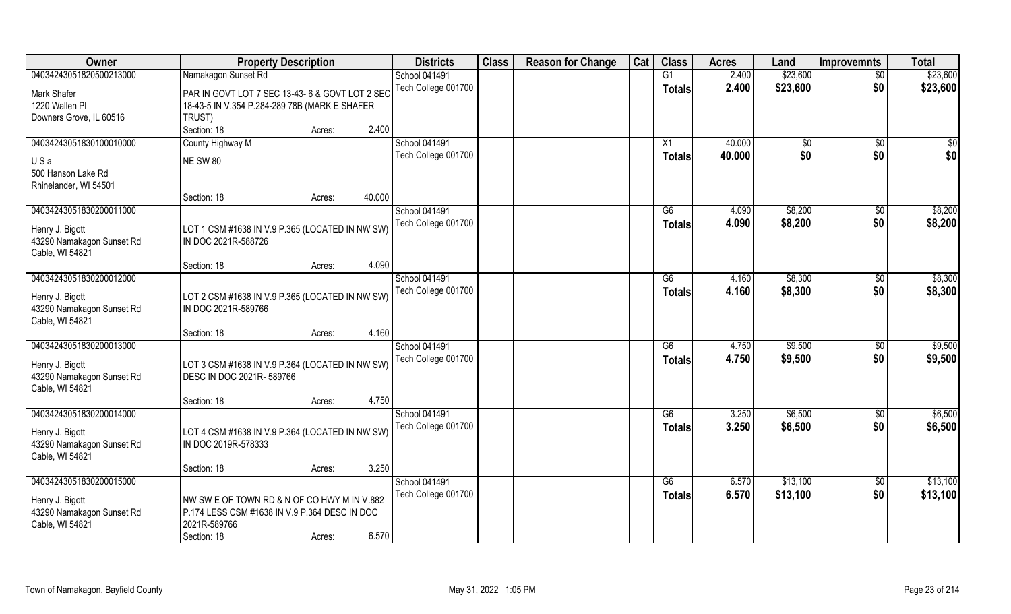| Owner                     | <b>Property Description</b>                     | <b>Districts</b>     | <b>Class</b> | <b>Reason for Change</b> | Cat | <b>Class</b>    | <b>Acres</b> | Land         | <b>Improvemnts</b> | <b>Total</b> |
|---------------------------|-------------------------------------------------|----------------------|--------------|--------------------------|-----|-----------------|--------------|--------------|--------------------|--------------|
| 04034243051820500213000   | Namakagon Sunset Rd                             | <b>School 041491</b> |              |                          |     | $\overline{G1}$ | 2.400        | \$23,600     | $\overline{50}$    | \$23,600     |
| Mark Shafer               | PAR IN GOVT LOT 7 SEC 13-43- 6 & GOVT LOT 2 SEC | Tech College 001700  |              |                          |     | Totals          | 2.400        | \$23,600     | \$0                | \$23,600     |
| 1220 Wallen Pl            | 18-43-5 IN V.354 P.284-289 78B (MARK E SHAFER   |                      |              |                          |     |                 |              |              |                    |              |
| Downers Grove, IL 60516   | TRUST)                                          |                      |              |                          |     |                 |              |              |                    |              |
|                           | 2.400<br>Section: 18<br>Acres:                  |                      |              |                          |     |                 |              |              |                    |              |
| 04034243051830100010000   | County Highway M                                | <b>School 041491</b> |              |                          |     | X1              | 40.000       | $\sqrt[6]{}$ | \$0                | \$0          |
|                           |                                                 | Tech College 001700  |              |                          |     | Totals          | 40.000       | \$0          | \$0                | \$0          |
| USa                       | <b>NE SW 80</b>                                 |                      |              |                          |     |                 |              |              |                    |              |
| 500 Hanson Lake Rd        |                                                 |                      |              |                          |     |                 |              |              |                    |              |
| Rhinelander, WI 54501     |                                                 |                      |              |                          |     |                 |              |              |                    |              |
|                           | 40.000<br>Section: 18<br>Acres:                 |                      |              |                          |     |                 |              |              |                    |              |
| 04034243051830200011000   |                                                 | School 041491        |              |                          |     | G6              | 4.090        | \$8,200      | $\sqrt[6]{3}$      | \$8,200      |
| Henry J. Bigott           | LOT 1 CSM #1638 IN V.9 P.365 (LOCATED IN NW SW) | Tech College 001700  |              |                          |     | <b>Totals</b>   | 4.090        | \$8,200      | \$0                | \$8,200      |
| 43290 Namakagon Sunset Rd | IN DOC 2021R-588726                             |                      |              |                          |     |                 |              |              |                    |              |
| Cable, WI 54821           |                                                 |                      |              |                          |     |                 |              |              |                    |              |
|                           | 4.090<br>Section: 18<br>Acres:                  |                      |              |                          |     |                 |              |              |                    |              |
| 04034243051830200012000   |                                                 | School 041491        |              |                          |     | G6              | 4.160        | \$8,300      | $\sqrt[6]{}$       | \$8,300      |
|                           |                                                 | Tech College 001700  |              |                          |     | Totals          | 4.160        | \$8,300      | \$0                | \$8,300      |
| Henry J. Bigott           | LOT 2 CSM #1638 IN V.9 P.365 (LOCATED IN NW SW) |                      |              |                          |     |                 |              |              |                    |              |
| 43290 Namakagon Sunset Rd | IN DOC 2021R-589766                             |                      |              |                          |     |                 |              |              |                    |              |
| Cable, WI 54821           |                                                 |                      |              |                          |     |                 |              |              |                    |              |
|                           | 4.160<br>Section: 18<br>Acres:                  |                      |              |                          |     |                 |              |              |                    |              |
| 04034243051830200013000   |                                                 | School 041491        |              |                          |     | G6              | 4.750        | \$9,500      | $\sqrt[6]{30}$     | \$9,500      |
| Henry J. Bigott           | LOT 3 CSM #1638 IN V.9 P.364 (LOCATED IN NW SW) | Tech College 001700  |              |                          |     | <b>Totals</b>   | 4.750        | \$9,500      | \$0                | \$9,500      |
| 43290 Namakagon Sunset Rd | DESC IN DOC 2021R- 589766                       |                      |              |                          |     |                 |              |              |                    |              |
| Cable, WI 54821           |                                                 |                      |              |                          |     |                 |              |              |                    |              |
|                           | 4.750<br>Section: 18<br>Acres:                  |                      |              |                          |     |                 |              |              |                    |              |
| 04034243051830200014000   |                                                 | School 041491        |              |                          |     | G6              | 3.250        | \$6,500      | \$0                | \$6,500      |
|                           |                                                 | Tech College 001700  |              |                          |     | <b>Totals</b>   | 3.250        | \$6,500      | \$0                | \$6,500      |
| Henry J. Bigott           | LOT 4 CSM #1638 IN V.9 P.364 (LOCATED IN NW SW) |                      |              |                          |     |                 |              |              |                    |              |
| 43290 Namakagon Sunset Rd | IN DOC 2019R-578333                             |                      |              |                          |     |                 |              |              |                    |              |
| Cable, WI 54821           |                                                 |                      |              |                          |     |                 |              |              |                    |              |
|                           | 3.250<br>Section: 18<br>Acres:                  |                      |              |                          |     |                 |              |              |                    |              |
| 04034243051830200015000   |                                                 | School 041491        |              |                          |     | G6              | 6.570        | \$13,100     | $\sqrt{$0}$        | \$13,100     |
| Henry J. Bigott           | NW SW E OF TOWN RD & N OF CO HWY M IN V.882     | Tech College 001700  |              |                          |     | Totals          | 6.570        | \$13,100     | \$0                | \$13,100     |
| 43290 Namakagon Sunset Rd | P.174 LESS CSM #1638 IN V.9 P.364 DESC IN DOC   |                      |              |                          |     |                 |              |              |                    |              |
| Cable, WI 54821           | 2021R-589766                                    |                      |              |                          |     |                 |              |              |                    |              |
|                           | 6.570<br>Section: 18<br>Acres:                  |                      |              |                          |     |                 |              |              |                    |              |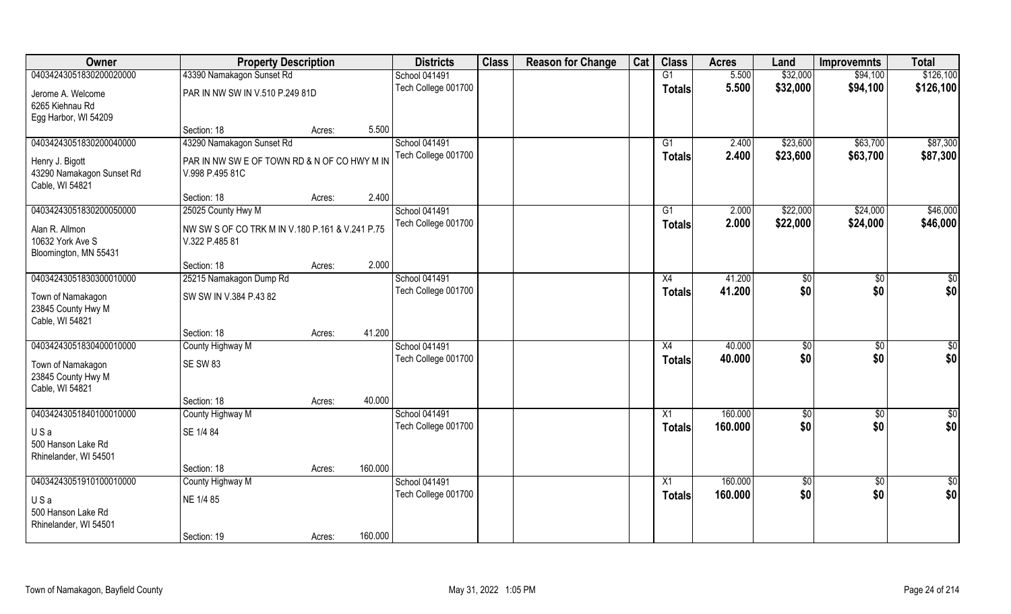| Owner                                                           |                                                                   | <b>Property Description</b> |         |                     | <b>Class</b> | <b>Reason for Change</b> | Cat | <b>Class</b>    | <b>Acres</b> | Land     | <b>Improvemnts</b> | <b>Total</b>    |
|-----------------------------------------------------------------|-------------------------------------------------------------------|-----------------------------|---------|---------------------|--------------|--------------------------|-----|-----------------|--------------|----------|--------------------|-----------------|
| 04034243051830200020000                                         | 43390 Namakagon Sunset Rd                                         |                             |         | School 041491       |              |                          |     | G1              | 5.500        | \$32,000 | \$94,100           | \$126,100       |
| Jerome A. Welcome                                               | PAR IN NW SW IN V.510 P.249 81D                                   |                             |         | Tech College 001700 |              |                          |     | <b>Totals</b>   | 5.500        | \$32,000 | \$94,100           | \$126,100       |
| 6265 Kiehnau Rd<br>Egg Harbor, WI 54209                         |                                                                   |                             |         |                     |              |                          |     |                 |              |          |                    |                 |
|                                                                 | Section: 18                                                       | Acres:                      | 5.500   |                     |              |                          |     |                 |              |          |                    |                 |
| 04034243051830200040000                                         | 43290 Namakagon Sunset Rd                                         |                             |         | School 041491       |              |                          |     | G1              | 2.400        | \$23,600 | \$63,700           | \$87,300        |
| Henry J. Bigott<br>43290 Namakagon Sunset Rd<br>Cable, WI 54821 | PAR IN NW SW E OF TOWN RD & N OF CO HWY M IN<br>V.998 P.495 81C   |                             |         | Tech College 001700 |              |                          |     | Totals          | 2.400        | \$23,600 | \$63,700           | \$87,300        |
|                                                                 | Section: 18                                                       | Acres:                      | 2.400   |                     |              |                          |     |                 |              |          |                    |                 |
| 04034243051830200050000                                         | 25025 County Hwy M                                                |                             |         | School 041491       |              |                          |     | G1              | 2.000        | \$22,000 | \$24,000           | \$46,000        |
| Alan R. Allmon<br>10632 York Ave S<br>Bloomington, MN 55431     | NW SW S OF CO TRK M IN V.180 P.161 & V.241 P.75<br>V.322 P.485 81 |                             |         | Tech College 001700 |              |                          |     | <b>Totals</b>   | 2.000        | \$22,000 | \$24,000           | \$46,000        |
|                                                                 | Section: 18                                                       | Acres:                      | 2.000   |                     |              |                          |     |                 |              |          |                    |                 |
| 04034243051830300010000                                         | 25215 Namakagon Dump Rd                                           |                             |         | School 041491       |              |                          |     | X4              | 41.200       | \$0      | $\sqrt[6]{3}$      | \$0             |
| Town of Namakagon<br>23845 County Hwy M<br>Cable, WI 54821      | SW SW IN V.384 P.43 82                                            |                             |         | Tech College 001700 |              |                          |     | <b>Totals</b>   | 41.200       | \$0      | \$0                | \$0             |
|                                                                 | Section: 18                                                       | Acres:                      | 41.200  |                     |              |                          |     |                 |              |          |                    |                 |
| 04034243051830400010000                                         | County Highway M                                                  |                             |         | School 041491       |              |                          |     | $\overline{X4}$ | 40.000       | \$0      | $\overline{50}$    | \$0             |
| Town of Namakagon<br>23845 County Hwy M<br>Cable, WI 54821      | SE SW 83                                                          |                             |         | Tech College 001700 |              |                          |     | <b>Totals</b>   | 40.000       | \$0      | \$0                | \$0             |
|                                                                 | Section: 18                                                       | Acres:                      | 40.000  |                     |              |                          |     |                 |              |          |                    |                 |
| 04034243051840100010000                                         | County Highway M                                                  |                             |         | School 041491       |              |                          |     | $\overline{X1}$ | 160.000      | \$0      | \$0                | $\overline{50}$ |
| USa<br>500 Hanson Lake Rd<br>Rhinelander, WI 54501              | SE 1/4 84                                                         |                             |         | Tech College 001700 |              |                          |     | <b>Totals</b>   | 160.000      | \$0      | \$0                | \$0             |
|                                                                 | Section: 18                                                       | Acres:                      | 160.000 |                     |              |                          |     |                 |              |          |                    |                 |
| 04034243051910100010000                                         | County Highway M                                                  |                             |         | School 041491       |              |                          |     | X1              | 160.000      | \$0      | \$0                | \$0             |
| USa<br>500 Hanson Lake Rd<br>Rhinelander, WI 54501              | NE 1/4 85                                                         |                             |         | Tech College 001700 |              |                          |     | <b>Totals</b>   | 160.000      | \$0      | \$0                | \$0             |
|                                                                 | Section: 19                                                       | Acres:                      | 160.000 |                     |              |                          |     |                 |              |          |                    |                 |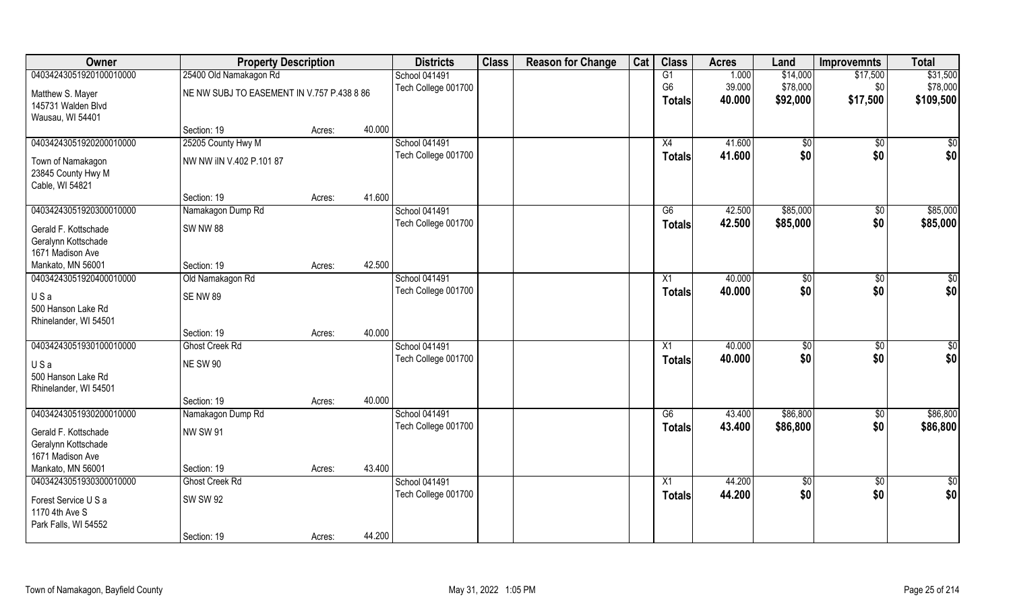| Owner                   | <b>Property Description</b>                |        |        | <b>Districts</b>     | <b>Class</b> | <b>Reason for Change</b> | Cat | <b>Class</b>   | <b>Acres</b> | Land         | <b>Improvemnts</b> | <b>Total</b> |
|-------------------------|--------------------------------------------|--------|--------|----------------------|--------------|--------------------------|-----|----------------|--------------|--------------|--------------------|--------------|
| 04034243051920100010000 | 25400 Old Namakagon Rd                     |        |        | <b>School 041491</b> |              |                          |     | G1             | 1.000        | \$14,000     | \$17,500           | \$31,500     |
| Matthew S. Mayer        | NE NW SUBJ TO EASEMENT IN V.757 P.438 8 86 |        |        | Tech College 001700  |              |                          |     | G <sub>6</sub> | 39.000       | \$78,000     | \$0                | \$78,000     |
| 145731 Walden Blvd      |                                            |        |        |                      |              |                          |     | <b>Totals</b>  | 40.000       | \$92,000     | \$17,500           | \$109,500    |
| Wausau, WI 54401        |                                            |        |        |                      |              |                          |     |                |              |              |                    |              |
|                         | Section: 19                                | Acres: | 40.000 |                      |              |                          |     |                |              |              |                    |              |
| 04034243051920200010000 | 25205 County Hwy M                         |        |        | School 041491        |              |                          |     | X4             | 41.600       | $\sqrt[6]{}$ | $\sqrt{$0}$        | $\sqrt{50}$  |
| Town of Namakagon       | NW NW IIN V.402 P.101 87                   |        |        | Tech College 001700  |              |                          |     | <b>Totals</b>  | 41.600       | \$0          | \$0                | \$0          |
| 23845 County Hwy M      |                                            |        |        |                      |              |                          |     |                |              |              |                    |              |
| Cable, WI 54821         |                                            |        |        |                      |              |                          |     |                |              |              |                    |              |
|                         | Section: 19                                | Acres: | 41.600 |                      |              |                          |     |                |              |              |                    |              |
| 04034243051920300010000 | Namakagon Dump Rd                          |        |        | <b>School 041491</b> |              |                          |     | G6             | 42.500       | \$85,000     | $\overline{30}$    | \$85,000     |
| Gerald F. Kottschade    | <b>SW NW 88</b>                            |        |        | Tech College 001700  |              |                          |     | <b>Totals</b>  | 42.500       | \$85,000     | \$0                | \$85,000     |
| Geralynn Kottschade     |                                            |        |        |                      |              |                          |     |                |              |              |                    |              |
| 1671 Madison Ave        |                                            |        |        |                      |              |                          |     |                |              |              |                    |              |
| Mankato, MN 56001       | Section: 19                                | Acres: | 42.500 |                      |              |                          |     |                |              |              |                    |              |
| 04034243051920400010000 | Old Namakagon Rd                           |        |        | School 041491        |              |                          |     | X1             | 40.000       | \$0          | \$0                | $\sqrt{50}$  |
| USa                     | <b>SE NW 89</b>                            |        |        | Tech College 001700  |              |                          |     | Totals         | 40.000       | \$0          | \$0                | \$0          |
| 500 Hanson Lake Rd      |                                            |        |        |                      |              |                          |     |                |              |              |                    |              |
| Rhinelander, WI 54501   |                                            |        |        |                      |              |                          |     |                |              |              |                    |              |
|                         | Section: 19                                | Acres: | 40.000 |                      |              |                          |     |                |              |              |                    |              |
| 04034243051930100010000 | <b>Ghost Creek Rd</b>                      |        |        | School 041491        |              |                          |     | X1             | 40.000       | \$0          | \$0                | \$0          |
| USa                     | <b>NE SW 90</b>                            |        |        | Tech College 001700  |              |                          |     | Totals         | 40.000       | \$0          | \$0                | \$0          |
| 500 Hanson Lake Rd      |                                            |        |        |                      |              |                          |     |                |              |              |                    |              |
| Rhinelander, WI 54501   |                                            |        |        |                      |              |                          |     |                |              |              |                    |              |
|                         | Section: 19                                | Acres: | 40.000 |                      |              |                          |     |                |              |              |                    |              |
| 04034243051930200010000 | Namakagon Dump Rd                          |        |        | <b>School 041491</b> |              |                          |     | G6             | 43.400       | \$86,800     | $\sqrt{6}$         | \$86,800     |
| Gerald F. Kottschade    | <b>NW SW 91</b>                            |        |        | Tech College 001700  |              |                          |     | <b>Totals</b>  | 43.400       | \$86,800     | \$0                | \$86,800     |
| Geralynn Kottschade     |                                            |        |        |                      |              |                          |     |                |              |              |                    |              |
| 1671 Madison Ave        |                                            |        |        |                      |              |                          |     |                |              |              |                    |              |
| Mankato, MN 56001       | Section: 19                                | Acres: | 43.400 |                      |              |                          |     |                |              |              |                    |              |
| 04034243051930300010000 | <b>Ghost Creek Rd</b>                      |        |        | School 041491        |              |                          |     | X1             | 44.200       | \$0          | $\sqrt{$0}$        | \$0          |
| Forest Service U S a    | <b>SW SW 92</b>                            |        |        | Tech College 001700  |              |                          |     | <b>Totals</b>  | 44.200       | \$0          | \$0                | \$0          |
| 1170 4th Ave S          |                                            |        |        |                      |              |                          |     |                |              |              |                    |              |
| Park Falls, WI 54552    |                                            |        |        |                      |              |                          |     |                |              |              |                    |              |
|                         | Section: 19                                | Acres: | 44.200 |                      |              |                          |     |                |              |              |                    |              |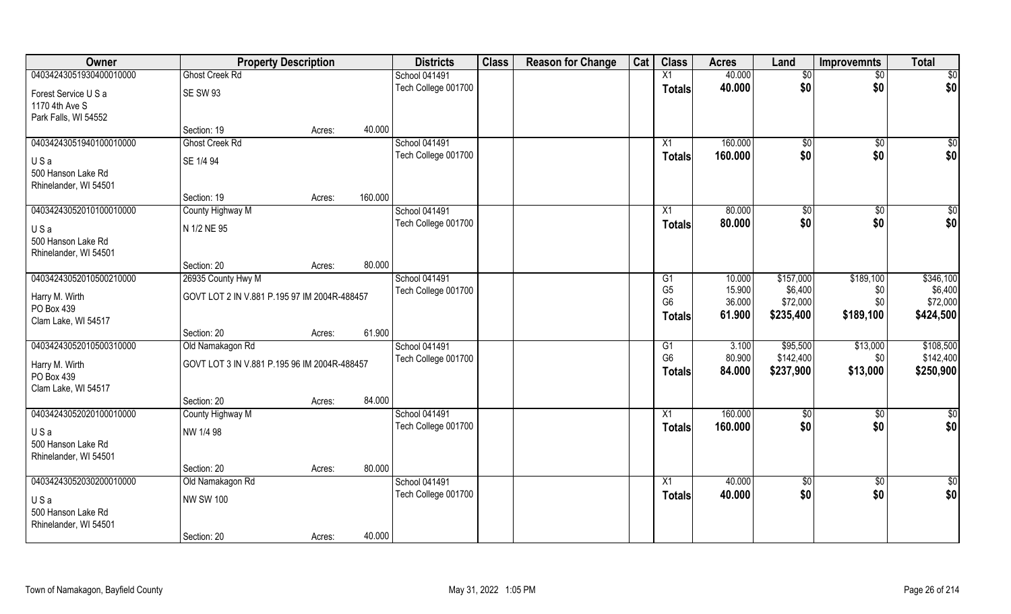| Owner                             | <b>Property Description</b>                  |        |         | <b>Districts</b>                     | <b>Class</b> | <b>Reason for Change</b> | Cat | <b>Class</b>    | <b>Acres</b> | Land         | <b>Improvemnts</b> | <b>Total</b>    |
|-----------------------------------|----------------------------------------------|--------|---------|--------------------------------------|--------------|--------------------------|-----|-----------------|--------------|--------------|--------------------|-----------------|
| 04034243051930400010000           | <b>Ghost Creek Rd</b>                        |        |         | School 041491                        |              |                          |     | X1              | 40.000       | \$0          | $\sqrt{$0}$        | $\sqrt{50}$     |
| Forest Service U S a              | <b>SE SW 93</b>                              |        |         | Tech College 001700                  |              |                          |     | <b>Totals</b>   | 40.000       | \$0          | \$0                | \$0             |
| 1170 4th Ave S                    |                                              |        |         |                                      |              |                          |     |                 |              |              |                    |                 |
| Park Falls, WI 54552              |                                              |        |         |                                      |              |                          |     |                 |              |              |                    |                 |
|                                   | Section: 19                                  | Acres: | 40.000  |                                      |              |                          |     |                 |              |              |                    |                 |
| 04034243051940100010000           | <b>Ghost Creek Rd</b>                        |        |         | School 041491                        |              |                          |     | X1              | 160.000      | $\sqrt[6]{}$ | $\sqrt[6]{}$       | \$0             |
| USa                               | SE 1/4 94                                    |        |         | Tech College 001700                  |              |                          |     | Totals          | 160.000      | \$0          | \$0                | \$0             |
| 500 Hanson Lake Rd                |                                              |        |         |                                      |              |                          |     |                 |              |              |                    |                 |
| Rhinelander, WI 54501             |                                              |        |         |                                      |              |                          |     |                 |              |              |                    |                 |
|                                   | Section: 19                                  | Acres: | 160.000 |                                      |              |                          |     |                 |              |              |                    |                 |
| 04034243052010100010000           | County Highway M                             |        |         | School 041491<br>Tech College 001700 |              |                          |     | X1              | 80.000       | \$0          | $\overline{50}$    | $\sqrt{50}$     |
| USa                               | N 1/2 NE 95                                  |        |         |                                      |              |                          |     | <b>Totals</b>   | 80.000       | \$0          | \$0                | \$0             |
| 500 Hanson Lake Rd                |                                              |        |         |                                      |              |                          |     |                 |              |              |                    |                 |
| Rhinelander, WI 54501             |                                              |        | 80.000  |                                      |              |                          |     |                 |              |              |                    |                 |
| 04034243052010500210000           | Section: 20<br>26935 County Hwy M            | Acres: |         | School 041491                        |              |                          |     | G1              | 10.000       | \$157,000    | \$189,100          | \$346,100       |
|                                   |                                              |        |         | Tech College 001700                  |              |                          |     | G <sub>5</sub>  | 15.900       | \$6,400      | \$0                | \$6,400         |
| Harry M. Wirth                    | GOVT LOT 2 IN V.881 P.195 97 IM 2004R-488457 |        |         |                                      |              |                          |     | G <sub>6</sub>  | 36.000       | \$72,000     | \$0                | \$72,000        |
| PO Box 439                        |                                              |        |         |                                      |              |                          |     | <b>Totals</b>   | 61.900       | \$235,400    | \$189,100          | \$424,500       |
| Clam Lake, WI 54517               | Section: 20                                  | Acres: | 61.900  |                                      |              |                          |     |                 |              |              |                    |                 |
| 04034243052010500310000           | Old Namakagon Rd                             |        |         | School 041491                        |              |                          |     | G1              | 3.100        | \$95,500     | \$13,000           | \$108,500       |
|                                   |                                              |        |         | Tech College 001700                  |              |                          |     | G <sub>6</sub>  | 80.900       | \$142,400    | \$0                | \$142,400       |
| Harry M. Wirth                    | GOVT LOT 3 IN V.881 P.195 96 IM 2004R-488457 |        |         |                                      |              |                          |     | Totals          | 84.000       | \$237,900    | \$13,000           | \$250,900       |
| PO Box 439<br>Clam Lake, WI 54517 |                                              |        |         |                                      |              |                          |     |                 |              |              |                    |                 |
|                                   | Section: 20                                  | Acres: | 84.000  |                                      |              |                          |     |                 |              |              |                    |                 |
| 04034243052020100010000           | County Highway M                             |        |         | School 041491                        |              |                          |     | $\overline{X1}$ | 160.000      | \$0          | $\sqrt{$0}$        | \$0             |
|                                   | NW 1/4 98                                    |        |         | Tech College 001700                  |              |                          |     | <b>Totals</b>   | 160.000      | \$0          | \$0                | \$0             |
| USa<br>500 Hanson Lake Rd         |                                              |        |         |                                      |              |                          |     |                 |              |              |                    |                 |
| Rhinelander, WI 54501             |                                              |        |         |                                      |              |                          |     |                 |              |              |                    |                 |
|                                   | Section: 20                                  | Acres: | 80.000  |                                      |              |                          |     |                 |              |              |                    |                 |
| 04034243052030200010000           | Old Namakagon Rd                             |        |         | School 041491                        |              |                          |     | $\overline{X1}$ | 40.000       | $\sqrt{50}$  | $\sqrt{$0}$        | $\overline{50}$ |
| USa                               | <b>NW SW 100</b>                             |        |         | Tech College 001700                  |              |                          |     | <b>Totals</b>   | 40.000       | \$0          | \$0                | \$0             |
| 500 Hanson Lake Rd                |                                              |        |         |                                      |              |                          |     |                 |              |              |                    |                 |
| Rhinelander, WI 54501             |                                              |        |         |                                      |              |                          |     |                 |              |              |                    |                 |
|                                   | Section: 20                                  | Acres: | 40.000  |                                      |              |                          |     |                 |              |              |                    |                 |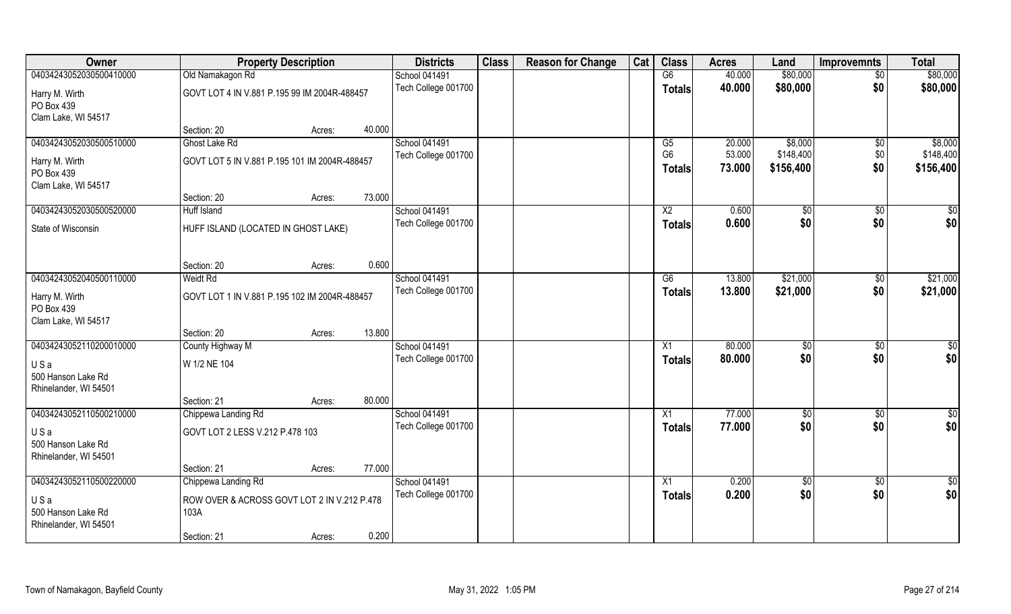| Owner                             | <b>Property Description</b>                   | <b>Districts</b>     | <b>Class</b> | <b>Reason for Change</b> | Cat | <b>Class</b>    | <b>Acres</b> | Land          | <b>Improvemnts</b> | <b>Total</b>    |
|-----------------------------------|-----------------------------------------------|----------------------|--------------|--------------------------|-----|-----------------|--------------|---------------|--------------------|-----------------|
| 04034243052030500410000           | Old Namakagon Rd                              | <b>School 041491</b> |              |                          |     | G6              | 40.000       | \$80,000      | $\overline{50}$    | \$80,000        |
| Harry M. Wirth                    | GOVT LOT 4 IN V.881 P.195 99 IM 2004R-488457  | Tech College 001700  |              |                          |     | <b>Totals</b>   | 40.000       | \$80,000      | \$0                | \$80,000        |
| PO Box 439                        |                                               |                      |              |                          |     |                 |              |               |                    |                 |
| Clam Lake, WI 54517               |                                               |                      |              |                          |     |                 |              |               |                    |                 |
|                                   | 40.000<br>Section: 20<br>Acres:               |                      |              |                          |     |                 |              |               |                    |                 |
| 04034243052030500510000           | Ghost Lake Rd                                 | School 041491        |              |                          |     | $\overline{G5}$ | 20.000       | \$8,000       | \$0                | \$8,000         |
| Harry M. Wirth                    | GOVT LOT 5 IN V.881 P.195 101 IM 2004R-488457 | Tech College 001700  |              |                          |     | G <sub>6</sub>  | 53.000       | \$148,400     | \$0                | \$148,400       |
| PO Box 439                        |                                               |                      |              |                          |     | <b>Totals</b>   | 73.000       | \$156,400     | \$0                | \$156,400       |
| Clam Lake, WI 54517               |                                               |                      |              |                          |     |                 |              |               |                    |                 |
|                                   | 73.000<br>Section: 20<br>Acres:               |                      |              |                          |     |                 |              |               |                    |                 |
| 04034243052030500520000           | Huff Island                                   | School 041491        |              |                          |     | X <sub>2</sub>  | 0.600        | $\sqrt[6]{3}$ | $\sqrt[6]{3}$      | \$0             |
| State of Wisconsin                | HUFF ISLAND (LOCATED IN GHOST LAKE)           | Tech College 001700  |              |                          |     | <b>Totals</b>   | 0.600        | \$0           | \$0                | \$0             |
|                                   |                                               |                      |              |                          |     |                 |              |               |                    |                 |
|                                   | 0.600                                         |                      |              |                          |     |                 |              |               |                    |                 |
| 04034243052040500110000           | Section: 20<br>Acres:<br>Weidt Rd             | School 041491        |              |                          |     | G6              | 13.800       | \$21,000      | $\sqrt[6]{3}$      | \$21,000        |
|                                   |                                               | Tech College 001700  |              |                          |     | <b>Totals</b>   | 13.800       | \$21,000      | \$0                | \$21,000        |
| Harry M. Wirth                    | GOVT LOT 1 IN V.881 P.195 102 IM 2004R-488457 |                      |              |                          |     |                 |              |               |                    |                 |
| PO Box 439<br>Clam Lake, WI 54517 |                                               |                      |              |                          |     |                 |              |               |                    |                 |
|                                   | 13.800<br>Section: 20<br>Acres:               |                      |              |                          |     |                 |              |               |                    |                 |
| 04034243052110200010000           | County Highway M                              | School 041491        |              |                          |     | X1              | 80.000       | \$0           | \$0                | $\overline{50}$ |
|                                   |                                               | Tech College 001700  |              |                          |     | <b>Totals</b>   | 80.000       | \$0           | \$0                | \$0             |
| USa<br>500 Hanson Lake Rd         | W 1/2 NE 104                                  |                      |              |                          |     |                 |              |               |                    |                 |
| Rhinelander, WI 54501             |                                               |                      |              |                          |     |                 |              |               |                    |                 |
|                                   | 80.000<br>Section: 21<br>Acres:               |                      |              |                          |     |                 |              |               |                    |                 |
| 04034243052110500210000           | Chippewa Landing Rd                           | School 041491        |              |                          |     | X1              | 77.000       | \$0           | \$0                | $\overline{50}$ |
| USa                               | GOVT LOT 2 LESS V.212 P.478 103               | Tech College 001700  |              |                          |     | <b>Totals</b>   | 77.000       | \$0           | \$0                | \$0             |
| 500 Hanson Lake Rd                |                                               |                      |              |                          |     |                 |              |               |                    |                 |
| Rhinelander, WI 54501             |                                               |                      |              |                          |     |                 |              |               |                    |                 |
|                                   | 77.000<br>Section: 21<br>Acres:               |                      |              |                          |     |                 |              |               |                    |                 |
| 04034243052110500220000           | Chippewa Landing Rd                           | School 041491        |              |                          |     | X1              | 0.200        | \$0           | $\sqrt{6}$         | \$0             |
| USa                               | ROW OVER & ACROSS GOVT LOT 2 IN V.212 P.478   | Tech College 001700  |              |                          |     | Totals          | 0.200        | \$0           | \$0                | \$0             |
| 500 Hanson Lake Rd                | 103A                                          |                      |              |                          |     |                 |              |               |                    |                 |
| Rhinelander, WI 54501             |                                               |                      |              |                          |     |                 |              |               |                    |                 |
|                                   | 0.200<br>Section: 21<br>Acres:                |                      |              |                          |     |                 |              |               |                    |                 |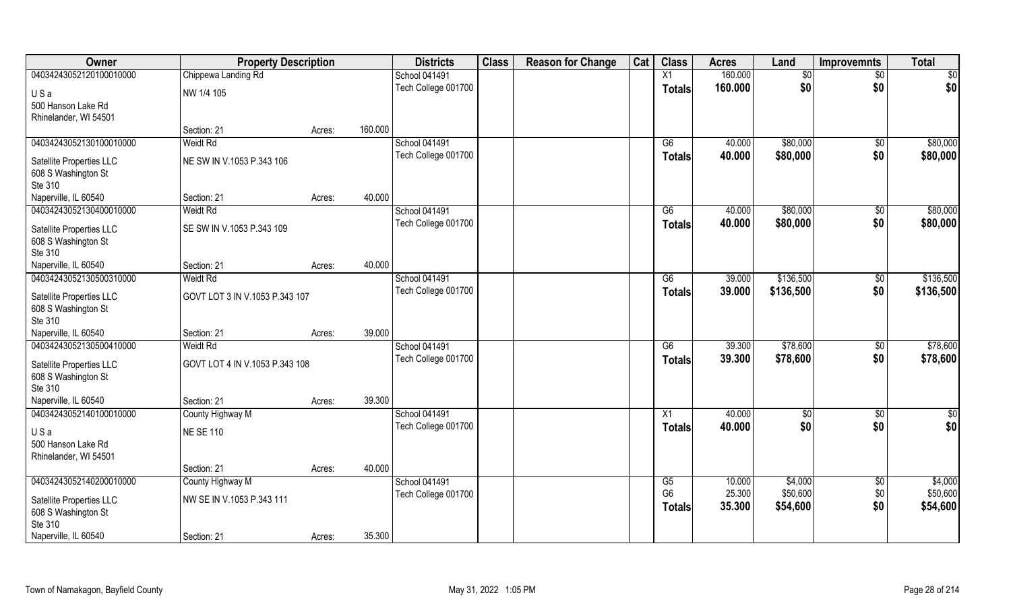| Owner                    | <b>Property Description</b>    |        |         | <b>Districts</b>     | <b>Class</b> | <b>Reason for Change</b> | Cat | <b>Class</b>    | <b>Acres</b> | Land      | <b>Improvemnts</b> | <b>Total</b>    |
|--------------------------|--------------------------------|--------|---------|----------------------|--------------|--------------------------|-----|-----------------|--------------|-----------|--------------------|-----------------|
| 04034243052120100010000  | Chippewa Landing Rd            |        |         | School 041491        |              |                          |     | X1              | 160.000      | \$0       | $\sqrt{$0}$        | $\sqrt{50}$     |
| USa                      | NW 1/4 105                     |        |         | Tech College 001700  |              |                          |     | <b>Totals</b>   | 160.000      | \$0       | \$0                | \$0             |
| 500 Hanson Lake Rd       |                                |        |         |                      |              |                          |     |                 |              |           |                    |                 |
| Rhinelander, WI 54501    |                                |        |         |                      |              |                          |     |                 |              |           |                    |                 |
|                          | Section: 21                    | Acres: | 160.000 |                      |              |                          |     |                 |              |           |                    |                 |
| 04034243052130100010000  | Weidt Rd                       |        |         | <b>School 041491</b> |              |                          |     | G6              | 40.000       | \$80,000  | \$0                | \$80,000        |
| Satellite Properties LLC | NE SW IN V.1053 P.343 106      |        |         | Tech College 001700  |              |                          |     | Totals          | 40.000       | \$80,000  | \$0                | \$80,000        |
| 608 S Washington St      |                                |        |         |                      |              |                          |     |                 |              |           |                    |                 |
| Ste 310                  |                                |        |         |                      |              |                          |     |                 |              |           |                    |                 |
| Naperville, IL 60540     | Section: 21                    | Acres: | 40.000  |                      |              |                          |     |                 |              |           |                    |                 |
| 04034243052130400010000  | <b>Weidt Rd</b>                |        |         | School 041491        |              |                          |     | G6              | 40.000       | \$80,000  | \$0                | \$80,000        |
| Satellite Properties LLC | SE SW IN V.1053 P.343 109      |        |         | Tech College 001700  |              |                          |     | <b>Totals</b>   | 40.000       | \$80,000  | \$0                | \$80,000        |
| 608 S Washington St      |                                |        |         |                      |              |                          |     |                 |              |           |                    |                 |
| Ste 310                  |                                |        |         |                      |              |                          |     |                 |              |           |                    |                 |
| Naperville, IL 60540     | Section: 21                    | Acres: | 40.000  |                      |              |                          |     |                 |              |           |                    |                 |
| 04034243052130500310000  | <b>Weidt Rd</b>                |        |         | School 041491        |              |                          |     | G6              | 39.000       | \$136,500 | \$0                | \$136,500       |
| Satellite Properties LLC | GOVT LOT 3 IN V.1053 P.343 107 |        |         | Tech College 001700  |              |                          |     | <b>Totals</b>   | 39.000       | \$136,500 | \$0                | \$136,500       |
| 608 S Washington St      |                                |        |         |                      |              |                          |     |                 |              |           |                    |                 |
| Ste 310                  |                                |        |         |                      |              |                          |     |                 |              |           |                    |                 |
| Naperville, IL 60540     | Section: 21                    | Acres: | 39.000  |                      |              |                          |     |                 |              |           |                    |                 |
| 04034243052130500410000  | Weidt Rd                       |        |         | School 041491        |              |                          |     | $\overline{G6}$ | 39.300       | \$78,600  | \$0                | \$78,600        |
| Satellite Properties LLC | GOVT LOT 4 IN V.1053 P.343 108 |        |         | Tech College 001700  |              |                          |     | <b>Totals</b>   | 39.300       | \$78,600  | \$0                | \$78,600        |
| 608 S Washington St      |                                |        |         |                      |              |                          |     |                 |              |           |                    |                 |
| Ste 310                  |                                |        |         |                      |              |                          |     |                 |              |           |                    |                 |
| Naperville, IL 60540     | Section: 21                    | Acres: | 39.300  |                      |              |                          |     |                 |              |           |                    |                 |
| 04034243052140100010000  | County Highway M               |        |         | School 041491        |              |                          |     | $\overline{X1}$ | 40.000       | \$0       | $\sqrt{$0}$        | $\overline{50}$ |
| USa                      | <b>NE SE 110</b>               |        |         | Tech College 001700  |              |                          |     | <b>Totals</b>   | 40.000       | \$0       | \$0                | \$0             |
| 500 Hanson Lake Rd       |                                |        |         |                      |              |                          |     |                 |              |           |                    |                 |
| Rhinelander, WI 54501    |                                |        |         |                      |              |                          |     |                 |              |           |                    |                 |
|                          | Section: 21                    | Acres: | 40.000  |                      |              |                          |     |                 |              |           |                    |                 |
| 04034243052140200010000  | County Highway M               |        |         | School 041491        |              |                          |     | G5              | 10.000       | \$4,000   | \$0                | \$4,000         |
| Satellite Properties LLC | NW SE IN V.1053 P.343 111      |        |         | Tech College 001700  |              |                          |     | G <sub>6</sub>  | 25.300       | \$50,600  | \$0                | \$50,600        |
| 608 S Washington St      |                                |        |         |                      |              |                          |     | <b>Totals</b>   | 35.300       | \$54,600  | \$0                | \$54,600        |
| Ste 310                  |                                |        |         |                      |              |                          |     |                 |              |           |                    |                 |
| Naperville, IL 60540     | Section: 21                    | Acres: | 35.300  |                      |              |                          |     |                 |              |           |                    |                 |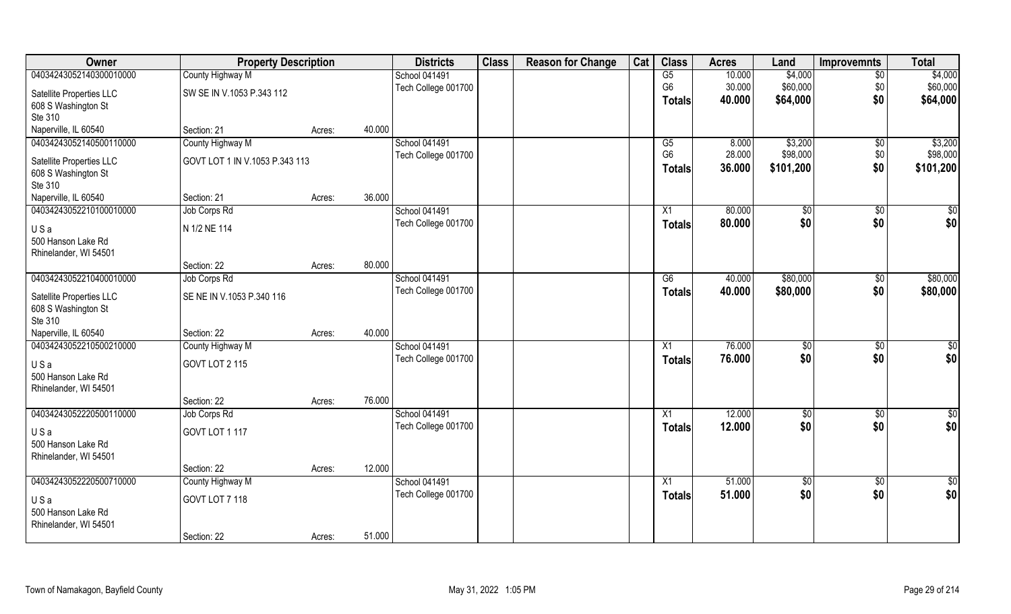| Owner                    | <b>Property Description</b>    |        |        | <b>Districts</b>     | <b>Class</b> | <b>Reason for Change</b> | Cat | <b>Class</b>    | <b>Acres</b> | Land        | <b>Improvemnts</b> | <b>Total</b>    |
|--------------------------|--------------------------------|--------|--------|----------------------|--------------|--------------------------|-----|-----------------|--------------|-------------|--------------------|-----------------|
| 04034243052140300010000  | County Highway M               |        |        | <b>School 041491</b> |              |                          |     | G5              | 10.000       | \$4,000     | $\sqrt{6}$         | \$4,000         |
| Satellite Properties LLC | SW SE IN V.1053 P.343 112      |        |        | Tech College 001700  |              |                          |     | G <sub>6</sub>  | 30.000       | \$60,000    | \$0                | \$60,000        |
| 608 S Washington St      |                                |        |        |                      |              |                          |     | <b>Totals</b>   | 40.000       | \$64,000    | \$0                | \$64,000        |
| Ste 310                  |                                |        |        |                      |              |                          |     |                 |              |             |                    |                 |
| Naperville, IL 60540     | Section: 21                    | Acres: | 40.000 |                      |              |                          |     |                 |              |             |                    |                 |
| 04034243052140500110000  | County Highway M               |        |        | <b>School 041491</b> |              |                          |     | G5              | 8.000        | \$3,200     | $\sqrt[6]{}$       | \$3,200         |
| Satellite Properties LLC | GOVT LOT 1 IN V.1053 P.343 113 |        |        | Tech College 001700  |              |                          |     | G <sub>6</sub>  | 28.000       | \$98,000    | \$0                | \$98,000        |
| 608 S Washington St      |                                |        |        |                      |              |                          |     | Totals          | 36.000       | \$101,200   | \$0                | \$101,200       |
| Ste 310                  |                                |        |        |                      |              |                          |     |                 |              |             |                    |                 |
| Naperville, IL 60540     | Section: 21                    | Acres: | 36.000 |                      |              |                          |     |                 |              |             |                    |                 |
| 04034243052210100010000  | Job Corps Rd                   |        |        | <b>School 041491</b> |              |                          |     | X1              | 80.000       | \$0         | \$0                | $\sqrt{50}$     |
| USa                      | N 1/2 NE 114                   |        |        | Tech College 001700  |              |                          |     | <b>Totals</b>   | 80.000       | \$0         | \$0                | \$0             |
| 500 Hanson Lake Rd       |                                |        |        |                      |              |                          |     |                 |              |             |                    |                 |
| Rhinelander, WI 54501    |                                |        |        |                      |              |                          |     |                 |              |             |                    |                 |
|                          | Section: 22                    | Acres: | 80.000 |                      |              |                          |     |                 |              |             |                    |                 |
| 04034243052210400010000  | Job Corps Rd                   |        |        | <b>School 041491</b> |              |                          |     | G6              | 40.000       | \$80,000    | $\sqrt[6]{3}$      | \$80,000        |
| Satellite Properties LLC | SE NE IN V.1053 P.340 116      |        |        | Tech College 001700  |              |                          |     | <b>Totals</b>   | 40.000       | \$80,000    | \$0                | \$80,000        |
| 608 S Washington St      |                                |        |        |                      |              |                          |     |                 |              |             |                    |                 |
| Ste 310                  |                                |        |        |                      |              |                          |     |                 |              |             |                    |                 |
| Naperville, IL 60540     | Section: 22                    | Acres: | 40.000 |                      |              |                          |     |                 |              |             |                    |                 |
| 04034243052210500210000  | County Highway M               |        |        | School 041491        |              |                          |     | X1              | 76.000       | \$0         | $\overline{50}$    | $\overline{50}$ |
| USa                      | GOVT LOT 2 115                 |        |        | Tech College 001700  |              |                          |     | <b>Totals</b>   | 76.000       | \$0         | \$0                | \$0             |
| 500 Hanson Lake Rd       |                                |        |        |                      |              |                          |     |                 |              |             |                    |                 |
| Rhinelander, WI 54501    |                                |        |        |                      |              |                          |     |                 |              |             |                    |                 |
|                          | Section: 22                    | Acres: | 76.000 |                      |              |                          |     |                 |              |             |                    |                 |
| 04034243052220500110000  | Job Corps Rd                   |        |        | School 041491        |              |                          |     | X1              | 12.000       | \$0         | $\sqrt{$0}$        | \$0             |
| USa                      | GOVT LOT 1 117                 |        |        | Tech College 001700  |              |                          |     | Totals          | 12.000       | \$0         | \$0                | \$0             |
| 500 Hanson Lake Rd       |                                |        |        |                      |              |                          |     |                 |              |             |                    |                 |
| Rhinelander, WI 54501    |                                |        |        |                      |              |                          |     |                 |              |             |                    |                 |
|                          | Section: 22                    | Acres: | 12.000 |                      |              |                          |     |                 |              |             |                    |                 |
| 04034243052220500710000  | County Highway M               |        |        | School 041491        |              |                          |     | $\overline{X1}$ | 51.000       | $\sqrt{50}$ | $\overline{60}$    | $\overline{50}$ |
| USa                      | GOVT LOT 7 118                 |        |        | Tech College 001700  |              |                          |     | <b>Totals</b>   | 51.000       | \$0         | \$0                | \$0             |
| 500 Hanson Lake Rd       |                                |        |        |                      |              |                          |     |                 |              |             |                    |                 |
| Rhinelander, WI 54501    |                                |        |        |                      |              |                          |     |                 |              |             |                    |                 |
|                          | Section: 22                    | Acres: | 51.000 |                      |              |                          |     |                 |              |             |                    |                 |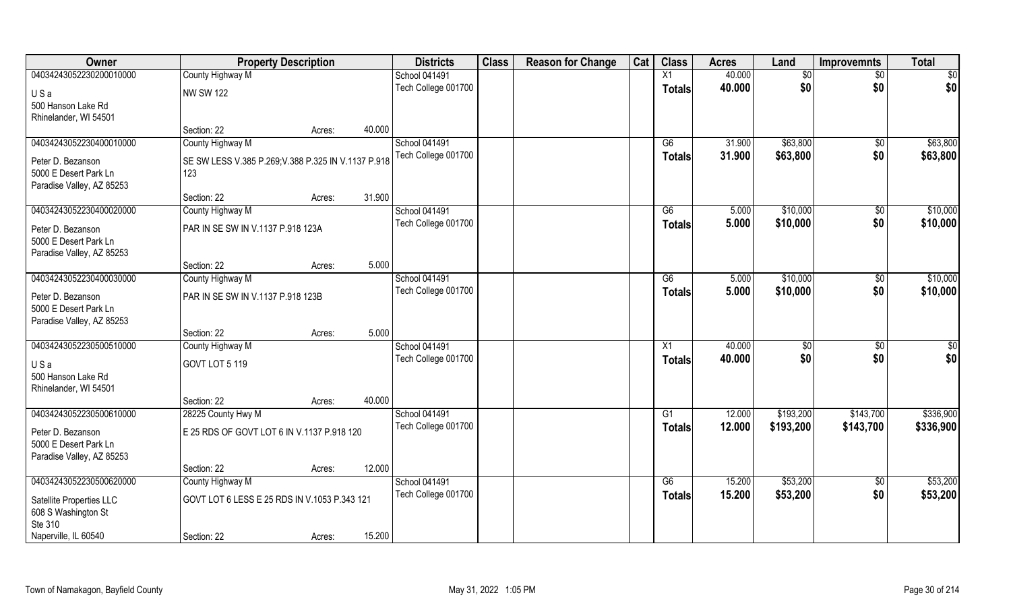| Owner                     | <b>Property Description</b>                         |        |        | <b>Districts</b>    | <b>Class</b> | <b>Reason for Change</b> | Cat | <b>Class</b>    | <b>Acres</b> | Land      | <b>Improvemnts</b> | <b>Total</b> |
|---------------------------|-----------------------------------------------------|--------|--------|---------------------|--------------|--------------------------|-----|-----------------|--------------|-----------|--------------------|--------------|
| 04034243052230200010000   | County Highway M                                    |        |        | School 041491       |              |                          |     | X1              | 40.000       | \$0       | \$0                | \$0          |
| USa                       | <b>NW SW 122</b>                                    |        |        | Tech College 001700 |              |                          |     | <b>Totals</b>   | 40.000       | \$0       | \$0                | \$0          |
| 500 Hanson Lake Rd        |                                                     |        |        |                     |              |                          |     |                 |              |           |                    |              |
| Rhinelander, WI 54501     |                                                     |        |        |                     |              |                          |     |                 |              |           |                    |              |
|                           | Section: 22                                         | Acres: | 40.000 |                     |              |                          |     |                 |              |           |                    |              |
| 04034243052230400010000   | County Highway M                                    |        |        | School 041491       |              |                          |     | G6              | 31.900       | \$63,800  | \$0                | \$63,800     |
| Peter D. Bezanson         | SE SW LESS V.385 P.269; V.388 P.325 IN V.1137 P.918 |        |        | Tech College 001700 |              |                          |     | <b>Totals</b>   | 31.900       | \$63,800  | \$0                | \$63,800     |
| 5000 E Desert Park Ln     | 123                                                 |        |        |                     |              |                          |     |                 |              |           |                    |              |
| Paradise Valley, AZ 85253 |                                                     |        |        |                     |              |                          |     |                 |              |           |                    |              |
|                           | Section: 22                                         | Acres: | 31.900 |                     |              |                          |     |                 |              |           |                    |              |
| 04034243052230400020000   | County Highway M                                    |        |        | School 041491       |              |                          |     | G6              | 5.000        | \$10,000  | \$0                | \$10,000     |
| Peter D. Bezanson         | PAR IN SE SW IN V.1137 P.918 123A                   |        |        | Tech College 001700 |              |                          |     | <b>Totals</b>   | 5.000        | \$10,000  | \$0                | \$10,000     |
| 5000 E Desert Park Ln     |                                                     |        |        |                     |              |                          |     |                 |              |           |                    |              |
| Paradise Valley, AZ 85253 |                                                     |        |        |                     |              |                          |     |                 |              |           |                    |              |
|                           | Section: 22                                         | Acres: | 5.000  |                     |              |                          |     |                 |              |           |                    |              |
| 04034243052230400030000   | County Highway M                                    |        |        | School 041491       |              |                          |     | G6              | 5.000        | \$10,000  | \$0                | \$10,000     |
| Peter D. Bezanson         | PAR IN SE SW IN V.1137 P.918 123B                   |        |        | Tech College 001700 |              |                          |     | <b>Totals</b>   | 5.000        | \$10,000  | \$0                | \$10,000     |
| 5000 E Desert Park Ln     |                                                     |        |        |                     |              |                          |     |                 |              |           |                    |              |
| Paradise Valley, AZ 85253 |                                                     |        |        |                     |              |                          |     |                 |              |           |                    |              |
|                           | Section: 22                                         | Acres: | 5.000  |                     |              |                          |     |                 |              |           |                    |              |
| 04034243052230500510000   | County Highway M                                    |        |        | School 041491       |              |                          |     | X1              | 40.000       | \$0       | \$0                | \$0          |
| USa                       | GOVT LOT 5 119                                      |        |        | Tech College 001700 |              |                          |     | <b>Totals</b>   | 40.000       | \$0       | \$0                | \$0          |
| 500 Hanson Lake Rd        |                                                     |        |        |                     |              |                          |     |                 |              |           |                    |              |
| Rhinelander, WI 54501     |                                                     |        |        |                     |              |                          |     |                 |              |           |                    |              |
|                           | Section: 22                                         | Acres: | 40.000 |                     |              |                          |     |                 |              |           |                    |              |
| 04034243052230500610000   | 28225 County Hwy M                                  |        |        | School 041491       |              |                          |     | $\overline{G1}$ | 12.000       | \$193,200 | \$143,700          | \$336,900    |
| Peter D. Bezanson         | E 25 RDS OF GOVT LOT 6 IN V.1137 P.918 120          |        |        | Tech College 001700 |              |                          |     | <b>Totals</b>   | 12.000       | \$193,200 | \$143,700          | \$336,900    |
| 5000 E Desert Park Ln     |                                                     |        |        |                     |              |                          |     |                 |              |           |                    |              |
| Paradise Valley, AZ 85253 |                                                     |        |        |                     |              |                          |     |                 |              |           |                    |              |
|                           | Section: 22                                         | Acres: | 12.000 |                     |              |                          |     |                 |              |           |                    |              |
| 04034243052230500620000   | County Highway M                                    |        |        | School 041491       |              |                          |     | G6              | 15.200       | \$53,200  | $\overline{50}$    | \$53,200     |
| Satellite Properties LLC  | GOVT LOT 6 LESS E 25 RDS IN V.1053 P.343 121        |        |        | Tech College 001700 |              |                          |     | <b>Totals</b>   | 15.200       | \$53,200  | \$0                | \$53,200     |
| 608 S Washington St       |                                                     |        |        |                     |              |                          |     |                 |              |           |                    |              |
| Ste 310                   |                                                     |        |        |                     |              |                          |     |                 |              |           |                    |              |
| Naperville, IL 60540      | Section: 22                                         | Acres: | 15.200 |                     |              |                          |     |                 |              |           |                    |              |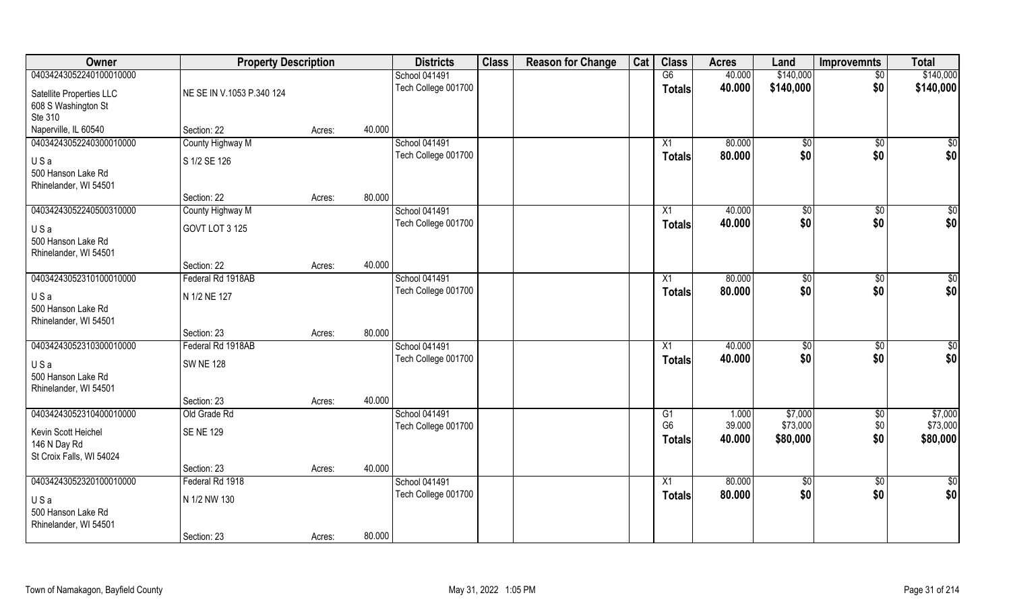| Owner                                              | <b>Property Description</b> |        |        | <b>Districts</b>     | <b>Class</b> | <b>Reason for Change</b> | Cat | <b>Class</b>    | <b>Acres</b> | Land        | <b>Improvemnts</b> | <b>Total</b> |
|----------------------------------------------------|-----------------------------|--------|--------|----------------------|--------------|--------------------------|-----|-----------------|--------------|-------------|--------------------|--------------|
| 04034243052240100010000                            |                             |        |        | <b>School 041491</b> |              |                          |     | G6              | 40.000       | \$140,000   | $\sqrt{$0}$        | \$140,000    |
| Satellite Properties LLC<br>608 S Washington St    | NE SE IN V.1053 P.340 124   |        |        | Tech College 001700  |              |                          |     | <b>Totals</b>   | 40.000       | \$140,000   | \$0                | \$140,000    |
| Ste 310                                            |                             |        |        |                      |              |                          |     |                 |              |             |                    |              |
| Naperville, IL 60540                               | Section: 22                 | Acres: | 40.000 |                      |              |                          |     |                 |              |             |                    |              |
| 04034243052240300010000                            | County Highway M            |        |        | <b>School 041491</b> |              |                          |     | X1              | 80.000       | \$0         | $\sqrt[6]{}$       | $\sqrt{50}$  |
| USa<br>500 Hanson Lake Rd                          | S 1/2 SE 126                |        |        | Tech College 001700  |              |                          |     | Totals          | 80.000       | \$0         | \$0                | \$0          |
| Rhinelander, WI 54501                              | Section: 22                 | Acres: | 80.000 |                      |              |                          |     |                 |              |             |                    |              |
| 04034243052240500310000                            | County Highway M            |        |        | School 041491        |              |                          |     | X1              | 40.000       | \$0         | $\overline{30}$    | $\sqrt{50}$  |
| USa<br>500 Hanson Lake Rd                          | GOVT LOT 3 125              |        |        | Tech College 001700  |              |                          |     | <b>Totals</b>   | 40.000       | \$0         | \$0                | \$0          |
| Rhinelander, WI 54501                              |                             |        |        |                      |              |                          |     |                 |              |             |                    |              |
|                                                    | Section: 22                 | Acres: | 40.000 |                      |              |                          |     |                 |              |             |                    |              |
| 04034243052310100010000                            | Federal Rd 1918AB           |        |        | School 041491        |              |                          |     | X1              | 80.000       | \$0         | \$0                | $\sqrt{50}$  |
| USa<br>500 Hanson Lake Rd<br>Rhinelander, WI 54501 | N 1/2 NE 127                |        |        | Tech College 001700  |              |                          |     | <b>Totals</b>   | 80.000       | \$0         | \$0                | \$0          |
|                                                    | Section: 23                 | Acres: | 80.000 |                      |              |                          |     |                 |              |             |                    |              |
| 04034243052310300010000                            | Federal Rd 1918AB           |        |        | School 041491        |              |                          |     | X1              | 40.000       | $\sqrt{50}$ | \$0                | $\sqrt{50}$  |
| USa                                                | <b>SW NE 128</b>            |        |        | Tech College 001700  |              |                          |     | <b>Totals</b>   | 40.000       | \$0         | \$0                | \$0          |
| 500 Hanson Lake Rd                                 |                             |        |        |                      |              |                          |     |                 |              |             |                    |              |
| Rhinelander, WI 54501                              | Section: 23                 | Acres: | 40.000 |                      |              |                          |     |                 |              |             |                    |              |
| 04034243052310400010000                            | Old Grade Rd                |        |        | School 041491        |              |                          |     | G1              | 1.000        | \$7,000     | $\sqrt{$0}$        | \$7,000      |
|                                                    |                             |        |        | Tech College 001700  |              |                          |     | G <sub>6</sub>  | 39.000       | \$73,000    | \$0                | \$73,000     |
| Kevin Scott Heichel                                | <b>SENE 129</b>             |        |        |                      |              |                          |     | Totals          | 40.000       | \$80,000    | \$0                | \$80,000     |
| 146 N Day Rd                                       |                             |        |        |                      |              |                          |     |                 |              |             |                    |              |
| St Croix Falls, WI 54024                           | Section: 23                 |        | 40.000 |                      |              |                          |     |                 |              |             |                    |              |
| 04034243052320100010000                            | Federal Rd 1918             | Acres: |        | School 041491        |              |                          |     | $\overline{X1}$ | 80.000       | $\sqrt{50}$ | $\overline{60}$    | \$0          |
|                                                    |                             |        |        | Tech College 001700  |              |                          |     | <b>Totals</b>   | 80.000       | \$0         | \$0                | \$0          |
| USa<br>500 Hanson Lake Rd<br>Rhinelander, WI 54501 | N 1/2 NW 130                |        |        |                      |              |                          |     |                 |              |             |                    |              |
|                                                    | Section: 23                 | Acres: | 80.000 |                      |              |                          |     |                 |              |             |                    |              |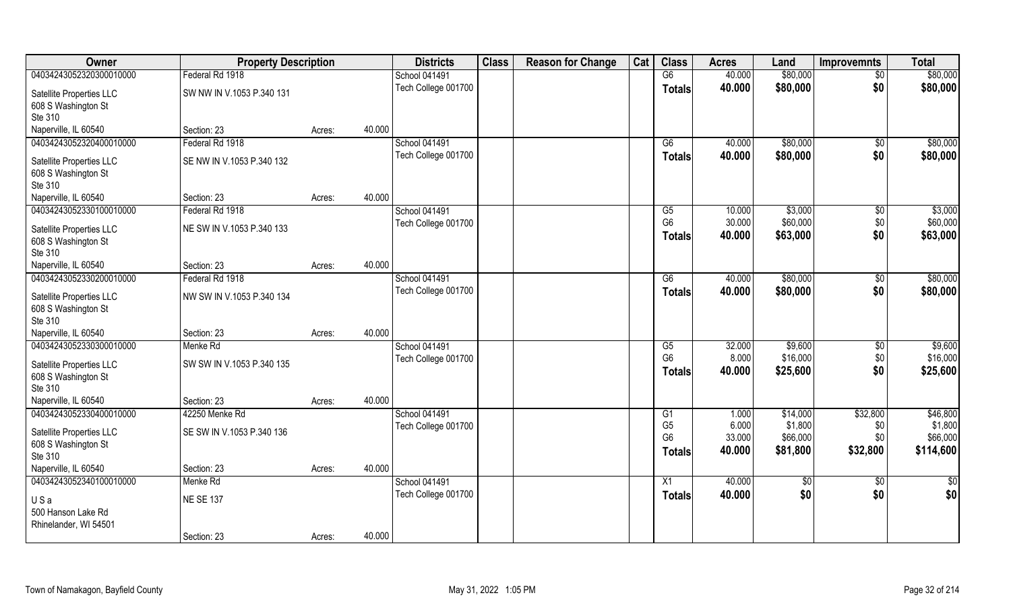| <b>Owner</b>                                               | <b>Property Description</b>     |        |        | <b>Districts</b>     | <b>Class</b> | <b>Reason for Change</b> | Cat | <b>Class</b>                                      | <b>Acres</b>              | Land                            | <b>Improvemnts</b>     | <b>Total</b>                     |
|------------------------------------------------------------|---------------------------------|--------|--------|----------------------|--------------|--------------------------|-----|---------------------------------------------------|---------------------------|---------------------------------|------------------------|----------------------------------|
| 04034243052320300010000                                    | Federal Rd 1918                 |        |        | <b>School 041491</b> |              |                          |     | G6                                                | 40.000                    | \$80,000                        | $\sqrt{6}$             | \$80,000                         |
| Satellite Properties LLC<br>608 S Washington St<br>Ste 310 | SW NW IN V.1053 P.340 131       |        |        | Tech College 001700  |              |                          |     | <b>Totals</b>                                     | 40.000                    | \$80,000                        | \$0                    | \$80,000                         |
| Naperville, IL 60540                                       | Section: 23                     | Acres: | 40.000 |                      |              |                          |     |                                                   |                           |                                 |                        |                                  |
| 04034243052320400010000                                    | Federal Rd 1918                 |        |        | <b>School 041491</b> |              |                          |     | G6                                                | 40.000                    | \$80,000                        | $\overline{50}$        | \$80,000                         |
| Satellite Properties LLC<br>608 S Washington St<br>Ste 310 | SE NW IN V.1053 P.340 132       |        |        | Tech College 001700  |              |                          |     | <b>Totals</b>                                     | 40.000                    | \$80,000                        | \$0                    | \$80,000                         |
| Naperville, IL 60540                                       | Section: 23                     | Acres: | 40.000 |                      |              |                          |     |                                                   |                           |                                 |                        |                                  |
| 04034243052330100010000                                    | Federal Rd 1918                 |        |        | <b>School 041491</b> |              |                          |     | G5                                                | 10.000                    | \$3,000                         | \$0                    | \$3,000                          |
| Satellite Properties LLC<br>608 S Washington St<br>Ste 310 | NE SW IN V.1053 P.340 133       |        |        | Tech College 001700  |              |                          |     | G <sub>6</sub><br>Totals                          | 30.000<br>40.000          | \$60,000<br>\$63,000            | \$0<br>\$0             | \$60,000<br>\$63,000             |
| Naperville, IL 60540                                       | Section: 23                     | Acres: | 40.000 |                      |              |                          |     |                                                   |                           |                                 |                        |                                  |
| 04034243052330200010000                                    | Federal Rd 1918                 |        |        | School 041491        |              |                          |     | G6                                                | 40.000                    | \$80,000                        | \$0                    | \$80,000                         |
| Satellite Properties LLC<br>608 S Washington St<br>Ste 310 | NW SW IN V.1053 P.340 134       |        |        | Tech College 001700  |              |                          |     | <b>Totals</b>                                     | 40.000                    | \$80,000                        | \$0                    | \$80,000                         |
| Naperville, IL 60540                                       | Section: 23                     | Acres: | 40.000 |                      |              |                          |     |                                                   |                           |                                 |                        |                                  |
| 04034243052330300010000                                    | Menke Rd                        |        |        | School 041491        |              |                          |     | G5                                                | 32.000                    | \$9,600                         | $\overline{50}$        | \$9,600                          |
| Satellite Properties LLC<br>608 S Washington St<br>Ste 310 | SW SW IN V.1053 P.340 135       |        |        | Tech College 001700  |              |                          |     | G <sub>6</sub><br>Totals                          | 8.000<br>40.000           | \$16,000<br>\$25,600            | \$0<br>\$0             | \$16,000<br>\$25,600             |
| Naperville, IL 60540                                       | Section: 23                     | Acres: | 40.000 |                      |              |                          |     |                                                   |                           |                                 |                        |                                  |
| 04034243052330400010000                                    | 42250 Menke Rd                  |        |        | <b>School 041491</b> |              |                          |     | G1                                                | 1.000                     | \$14,000                        | \$32,800               | \$46,800                         |
| Satellite Properties LLC<br>608 S Washington St<br>Ste 310 | SE SW IN V.1053 P.340 136       |        |        | Tech College 001700  |              |                          |     | G <sub>5</sub><br>G <sub>6</sub><br><b>Totals</b> | 6.000<br>33.000<br>40.000 | \$1,800<br>\$66,000<br>\$81,800 | \$0<br>\$0<br>\$32,800 | \$1,800<br>\$66,000<br>\$114,600 |
| Naperville, IL 60540                                       | Section: 23                     | Acres: | 40.000 |                      |              |                          |     |                                                   |                           |                                 |                        |                                  |
| 04034243052340100010000                                    | Menke Rd                        |        |        | School 041491        |              |                          |     | $\overline{X1}$                                   | 40.000                    | $\sqrt{6}$                      | $\overline{50}$        | $rac{1}{2}$                      |
| USa<br>500 Hanson Lake Rd<br>Rhinelander, WI 54501         | <b>NE SE 137</b><br>Section: 23 |        | 40.000 | Tech College 001700  |              |                          |     | <b>Totals</b>                                     | 40.000                    | \$0                             | \$0                    | \$0                              |
|                                                            |                                 | Acres: |        |                      |              |                          |     |                                                   |                           |                                 |                        |                                  |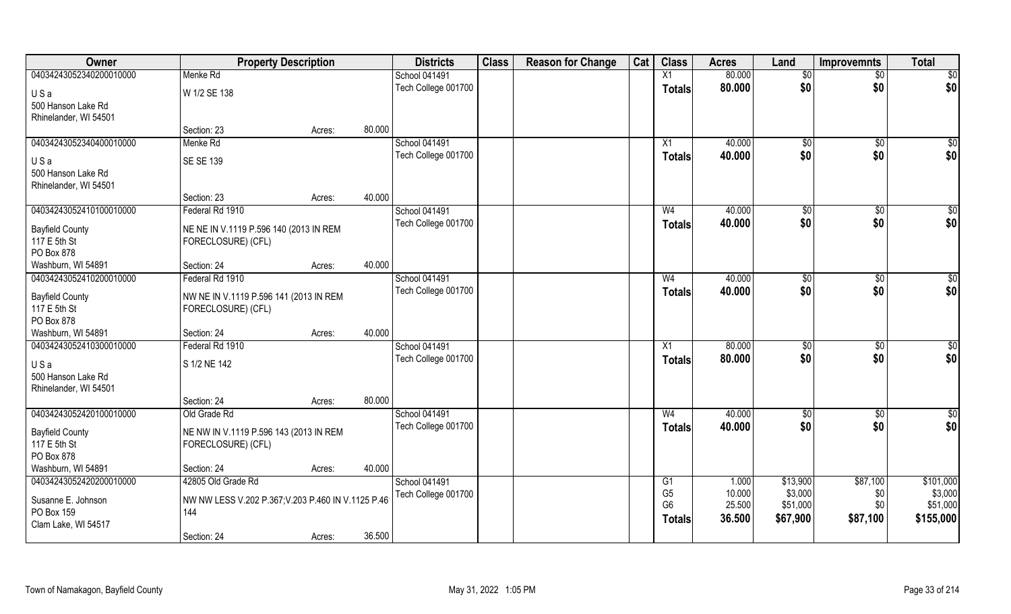| Owner                   | <b>Property Description</b>                        |        | <b>Districts</b>     | <b>Class</b> | <b>Reason for Change</b> | Cat | <b>Class</b>   | <b>Acres</b> | Land           | <b>Improvemnts</b> | <b>Total</b>    |
|-------------------------|----------------------------------------------------|--------|----------------------|--------------|--------------------------|-----|----------------|--------------|----------------|--------------------|-----------------|
| 04034243052340200010000 | Menke Rd                                           |        | <b>School 041491</b> |              |                          |     | X1             | 80.000       | \$0            | $\overline{50}$    | $\overline{50}$ |
| USa                     | W 1/2 SE 138                                       |        | Tech College 001700  |              |                          |     | <b>Totals</b>  | 80.000       | \$0            | \$0                | \$0             |
| 500 Hanson Lake Rd      |                                                    |        |                      |              |                          |     |                |              |                |                    |                 |
| Rhinelander, WI 54501   |                                                    |        |                      |              |                          |     |                |              |                |                    |                 |
|                         | Section: 23                                        | Acres: | 80.000               |              |                          |     |                |              |                |                    |                 |
| 04034243052340400010000 | Menke Rd                                           |        | <b>School 041491</b> |              |                          |     | X1             | 40.000       | \$0            | \$0                | $\sqrt{50}$     |
| USa                     | <b>SE SE 139</b>                                   |        | Tech College 001700  |              |                          |     | <b>Totals</b>  | 40.000       | \$0            | \$0                | \$0             |
| 500 Hanson Lake Rd      |                                                    |        |                      |              |                          |     |                |              |                |                    |                 |
| Rhinelander, WI 54501   |                                                    |        |                      |              |                          |     |                |              |                |                    |                 |
|                         | Section: 23                                        | Acres: | 40.000               |              |                          |     |                |              |                |                    |                 |
| 04034243052410100010000 | Federal Rd 1910                                    |        | <b>School 041491</b> |              |                          |     | W <sub>4</sub> | 40.000       | $\sqrt[6]{3}$  | $\sqrt[6]{3}$      | \$0             |
| <b>Bayfield County</b>  | NE NE IN V.1119 P.596 140 (2013 IN REM             |        | Tech College 001700  |              |                          |     | <b>Totals</b>  | 40.000       | \$0            | \$0                | \$0             |
| 117 E 5th St            | FORECLOSURE) (CFL)                                 |        |                      |              |                          |     |                |              |                |                    |                 |
| PO Box 878              |                                                    |        |                      |              |                          |     |                |              |                |                    |                 |
| Washburn, WI 54891      | Section: 24                                        | Acres: | 40.000               |              |                          |     |                |              |                |                    |                 |
| 04034243052410200010000 | Federal Rd 1910                                    |        | <b>School 041491</b> |              |                          |     | W <sub>4</sub> | 40.000       | $\frac{1}{20}$ | \$0                | \$0             |
| <b>Bayfield County</b>  | NW NE IN V.1119 P.596 141 (2013 IN REM             |        | Tech College 001700  |              |                          |     | <b>Totals</b>  | 40.000       | \$0            | \$0                | \$0             |
| 117 E 5th St            | FORECLOSURE) (CFL)                                 |        |                      |              |                          |     |                |              |                |                    |                 |
| PO Box 878              |                                                    |        |                      |              |                          |     |                |              |                |                    |                 |
| Washburn, WI 54891      | Section: 24                                        | Acres: | 40.000               |              |                          |     |                |              |                |                    |                 |
| 04034243052410300010000 | Federal Rd 1910                                    |        | School 041491        |              |                          |     | X1             | 80.000       | $\sqrt[6]{3}$  | \$0                | \$0             |
| USa                     | S 1/2 NE 142                                       |        | Tech College 001700  |              |                          |     | <b>Totals</b>  | 80.000       | \$0            | \$0                | \$0             |
| 500 Hanson Lake Rd      |                                                    |        |                      |              |                          |     |                |              |                |                    |                 |
| Rhinelander, WI 54501   |                                                    |        |                      |              |                          |     |                |              |                |                    |                 |
|                         | Section: 24                                        | Acres: | 80.000               |              |                          |     |                |              |                |                    |                 |
| 04034243052420100010000 | Old Grade Rd                                       |        | School 041491        |              |                          |     | W <sub>4</sub> | 40.000       | $\sqrt{6}$     | \$0                | \$0             |
| <b>Bayfield County</b>  | NE NW IN V.1119 P.596 143 (2013 IN REM             |        | Tech College 001700  |              |                          |     | <b>Totals</b>  | 40.000       | \$0            | \$0                | \$0             |
| 117 E 5th St            | FORECLOSURE) (CFL)                                 |        |                      |              |                          |     |                |              |                |                    |                 |
| PO Box 878              |                                                    |        |                      |              |                          |     |                |              |                |                    |                 |
| Washburn, WI 54891      | Section: 24                                        | Acres: | 40.000               |              |                          |     |                |              |                |                    |                 |
| 04034243052420200010000 | 42805 Old Grade Rd                                 |        | School 041491        |              |                          |     | G <sub>1</sub> | 1.000        | \$13,900       | \$87,100           | \$101,000       |
| Susanne E. Johnson      | NW NW LESS V.202 P.367; V.203 P.460 IN V.1125 P.46 |        | Tech College 001700  |              |                          |     | G <sub>5</sub> | 10.000       | \$3,000        | \$0                | \$3,000         |
| PO Box 159              | 144                                                |        |                      |              |                          |     | G <sub>6</sub> | 25.500       | \$51,000       | \$0                | \$51,000        |
| Clam Lake, WI 54517     |                                                    |        |                      |              |                          |     | <b>Totals</b>  | 36.500       | \$67,900       | \$87,100           | \$155,000       |
|                         | Section: 24                                        | Acres: | 36.500               |              |                          |     |                |              |                |                    |                 |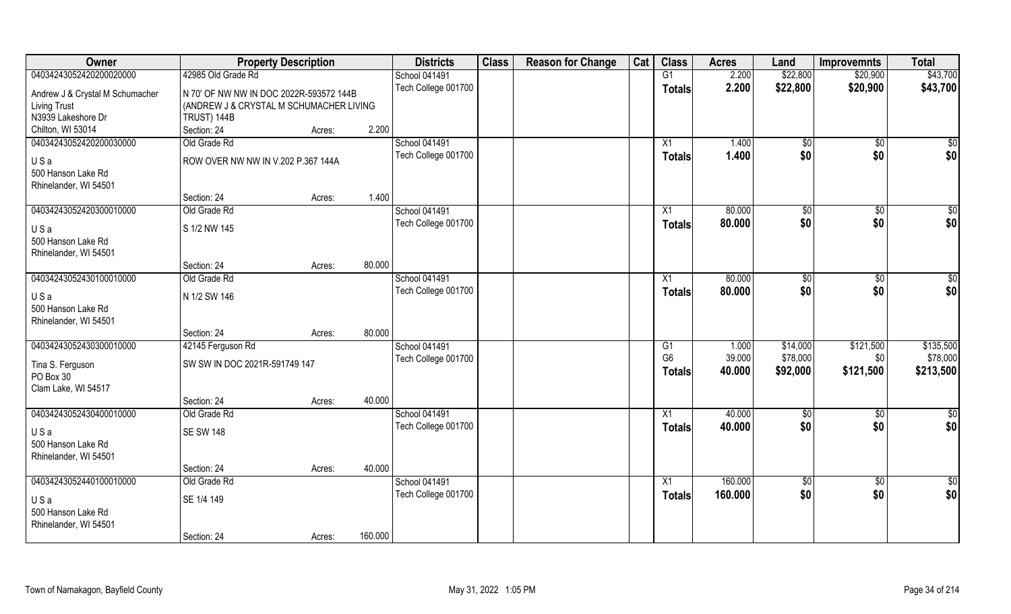| Owner                           | <b>Property Description</b>             |        |         | <b>Districts</b>     | <b>Class</b> | <b>Reason for Change</b> | Cat | <b>Class</b>    | <b>Acres</b> | Land          | <b>Improvemnts</b> | <b>Total</b>    |
|---------------------------------|-----------------------------------------|--------|---------|----------------------|--------------|--------------------------|-----|-----------------|--------------|---------------|--------------------|-----------------|
| 04034243052420200020000         | 42985 Old Grade Rd                      |        |         | <b>School 041491</b> |              |                          |     | G1              | 2.200        | \$22,800      | \$20,900           | \$43,700        |
| Andrew J & Crystal M Schumacher | N 70' OF NW NW IN DOC 2022R-593572 144B |        |         | Tech College 001700  |              |                          |     | <b>Totals</b>   | 2.200        | \$22,800      | \$20,900           | \$43,700        |
| <b>Living Trust</b>             | (ANDREW J & CRYSTAL M SCHUMACHER LIVING |        |         |                      |              |                          |     |                 |              |               |                    |                 |
| N3939 Lakeshore Dr              | TRUST) 144B                             |        |         |                      |              |                          |     |                 |              |               |                    |                 |
| Chilton, WI 53014               | Section: 24                             | Acres: | 2.200   |                      |              |                          |     |                 |              |               |                    |                 |
| 04034243052420200030000         | Old Grade Rd                            |        |         | School 041491        |              |                          |     | $\overline{X1}$ | 1.400        | \$0           | $\overline{50}$    | $\overline{50}$ |
|                                 |                                         |        |         | Tech College 001700  |              |                          |     | <b>Totals</b>   | 1.400        | \$0           | \$0                | \$0             |
| USa                             | ROW OVER NW NW IN V.202 P.367 144A      |        |         |                      |              |                          |     |                 |              |               |                    |                 |
| 500 Hanson Lake Rd              |                                         |        |         |                      |              |                          |     |                 |              |               |                    |                 |
| Rhinelander, WI 54501           |                                         |        |         |                      |              |                          |     |                 |              |               |                    |                 |
|                                 | Section: 24                             | Acres: | 1.400   |                      |              |                          |     |                 |              |               |                    |                 |
| 04034243052420300010000         | Old Grade Rd                            |        |         | School 041491        |              |                          |     | X1              | 80.000       | \$0           | \$0                | $\overline{50}$ |
| USa                             | S 1/2 NW 145                            |        |         | Tech College 001700  |              |                          |     | <b>Totals</b>   | 80.000       | \$0           | \$0                | \$0             |
| 500 Hanson Lake Rd              |                                         |        |         |                      |              |                          |     |                 |              |               |                    |                 |
| Rhinelander, WI 54501           |                                         |        |         |                      |              |                          |     |                 |              |               |                    |                 |
|                                 | Section: 24                             | Acres: | 80.000  |                      |              |                          |     |                 |              |               |                    |                 |
| 04034243052430100010000         | Old Grade Rd                            |        |         | School 041491        |              |                          |     | X1              | 80.000       | $\sqrt[6]{3}$ | $\sqrt[6]{3}$      | \$0             |
| USa                             | N 1/2 SW 146                            |        |         | Tech College 001700  |              |                          |     | <b>Totals</b>   | 80.000       | \$0           | \$0                | \$0             |
| 500 Hanson Lake Rd              |                                         |        |         |                      |              |                          |     |                 |              |               |                    |                 |
| Rhinelander, WI 54501           |                                         |        |         |                      |              |                          |     |                 |              |               |                    |                 |
|                                 | Section: 24                             | Acres: | 80.000  |                      |              |                          |     |                 |              |               |                    |                 |
| 04034243052430300010000         | 42145 Ferguson Rd                       |        |         | School 041491        |              |                          |     | G1              | 1.000        | \$14,000      | \$121,500          | \$135,500       |
|                                 |                                         |        |         | Tech College 001700  |              |                          |     | G <sub>6</sub>  | 39.000       | \$78,000      | \$0                | \$78,000        |
| Tina S. Ferguson                | SW SW IN DOC 2021R-591749 147           |        |         |                      |              |                          |     | <b>Totals</b>   | 40.000       | \$92,000      | \$121,500          | \$213,500       |
| PO Box 30                       |                                         |        |         |                      |              |                          |     |                 |              |               |                    |                 |
| Clam Lake, WI 54517             |                                         |        |         |                      |              |                          |     |                 |              |               |                    |                 |
|                                 | Section: 24                             | Acres: | 40.000  |                      |              |                          |     |                 |              |               |                    |                 |
| 04034243052430400010000         | Old Grade Rd                            |        |         | School 041491        |              |                          |     | X1              | 40.000       | \$0           | \$0                | $\frac{6}{3}$   |
| USa                             | <b>SE SW 148</b>                        |        |         | Tech College 001700  |              |                          |     | <b>Totals</b>   | 40.000       | \$0           | \$0                | \$0             |
| 500 Hanson Lake Rd              |                                         |        |         |                      |              |                          |     |                 |              |               |                    |                 |
| Rhinelander, WI 54501           |                                         |        |         |                      |              |                          |     |                 |              |               |                    |                 |
|                                 | Section: 24                             | Acres: | 40.000  |                      |              |                          |     |                 |              |               |                    |                 |
| 04034243052440100010000         | Old Grade Rd                            |        |         | School 041491        |              |                          |     | X1              | 160.000      | $\sqrt{6}$    | $\sqrt{$0}$        | $\overline{50}$ |
| USa                             | SE 1/4 149                              |        |         | Tech College 001700  |              |                          |     | <b>Totals</b>   | 160.000      | \$0           | \$0                | \$0             |
| 500 Hanson Lake Rd              |                                         |        |         |                      |              |                          |     |                 |              |               |                    |                 |
| Rhinelander, WI 54501           |                                         |        |         |                      |              |                          |     |                 |              |               |                    |                 |
|                                 | Section: 24                             | Acres: | 160.000 |                      |              |                          |     |                 |              |               |                    |                 |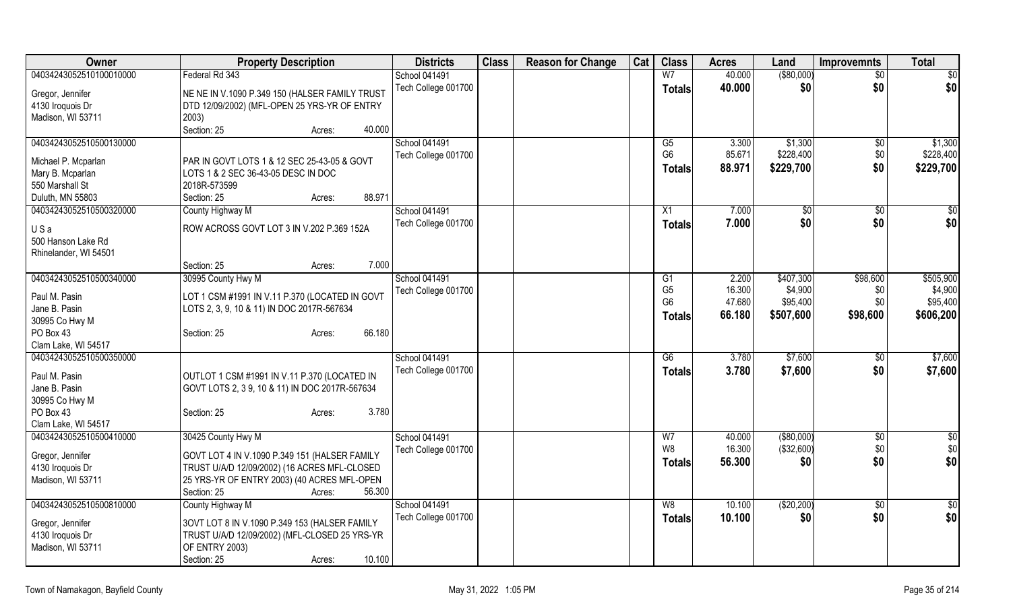| $($ \$80,000)<br>Federal Rd 343<br>W <sub>7</sub><br>40.000<br>\$0<br>School 041491<br>$\overline{50}$<br>\$0<br>\$0<br>Tech College 001700<br>40.000<br>\$0<br><b>Totals</b><br>NE NE IN V.1090 P.349 150 (HALSER FAMILY TRUST<br>Gregor, Jennifer<br>DTD 12/09/2002) (MFL-OPEN 25 YRS-YR OF ENTRY<br>4130 Iroquois Dr<br>Madison, WI 53711<br>2003)<br>Section: 25<br>40.000<br>Acres:<br><b>School 041491</b><br>3.300<br>\$1,300<br>\$1,300<br>G5<br>$\sqrt[6]{}$<br>G <sub>6</sub><br>\$228,400<br>\$0<br>85.671<br>Tech College 001700<br>PAR IN GOVT LOTS 1 & 12 SEC 25-43-05 & GOVT<br>Michael P. Mcparlan<br>\$0<br>88.971<br>\$229,700<br>\$229,700<br><b>Totals</b><br>LOTS 1 & 2 SEC 36-43-05 DESC IN DOC<br>Mary B. Mcparlan<br>550 Marshall St<br>2018R-573599<br>88.971<br>Duluth, MN 55803<br>Section: 25<br>Acres:<br>04034243052510500320000<br><b>School 041491</b><br>County Highway M<br>7.000<br>\$0<br>\$0<br>X1<br>$\sqrt[6]{30}$<br>\$0<br>Tech College 001700<br>7.000<br>\$0<br>\$0<br><b>Totals</b><br>ROW ACROSS GOVT LOT 3 IN V.202 P.369 152A<br>USa<br>500 Hanson Lake Rd<br>Rhinelander, WI 54501<br>7.000<br>Section: 25<br>Acres:<br><b>School 041491</b><br>\$505,900<br>04034243052510500340000<br>30995 County Hwy M<br>2.200<br>\$407,300<br>\$98,600<br>G1<br>G <sub>5</sub><br>16.300<br>\$4,900<br>Tech College 001700<br>\$0<br>LOT 1 CSM #1991 IN V.11 P.370 (LOCATED IN GOVT<br>G <sub>6</sub><br>47.680<br>\$95,400<br>\$0<br>Jane B. Pasin<br>LOTS 2, 3, 9, 10 & 11) IN DOC 2017R-567634<br>\$98,600<br>\$606,200<br>66.180<br>\$507,600<br>Totals<br>30995 Co Hwy M<br>PO Box 43<br>66.180<br>Section: 25<br>Acres:<br>Clam Lake, WI 54517<br>04034243052510500350000<br><b>School 041491</b><br>\$7,600<br>\$7,600<br>G6<br>3.780<br>\$0<br>Tech College 001700<br>\$7,600<br>3.780<br>\$7,600<br>\$0<br><b>Totals</b><br>Paul M. Pasin<br>OUTLOT 1 CSM #1991 IN V.11 P.370 (LOCATED IN<br>Jane B. Pasin<br>GOVT LOTS 2, 39, 10 & 11) IN DOC 2017R-567634<br>3.780<br>Section: 25<br>Acres:<br>Clam Lake, WI 54517<br>$\overline{50}$<br>04034243052510500410000<br>30425 County Hwy M<br>School 041491<br>$($ \$80,000)<br>40.000<br>$\sqrt[6]{3}$<br>W7<br>W8<br>(\$32,600)<br>\$0<br>16.300<br>Tech College 001700<br>GOVT LOT 4 IN V.1090 P.349 151 (HALSER FAMILY<br>Gregor, Jennifer<br>\$0<br>\$0<br>56.300<br>\$0<br><b>Totals</b><br>4130 Iroquois Dr<br>TRUST U/A/D 12/09/2002) (16 ACRES MFL-CLOSED<br>Madison, WI 53711<br>25 YRS-YR OF ENTRY 2003) (40 ACRES MFL-OPEN | Owner                                | <b>Property Description</b>     | <b>Districts</b> | <b>Class</b> | <b>Reason for Change</b> | Cat | <b>Class</b> | <b>Acres</b> | Land | <b>Improvemnts</b> | <b>Total</b> |
|-------------------------------------------------------------------------------------------------------------------------------------------------------------------------------------------------------------------------------------------------------------------------------------------------------------------------------------------------------------------------------------------------------------------------------------------------------------------------------------------------------------------------------------------------------------------------------------------------------------------------------------------------------------------------------------------------------------------------------------------------------------------------------------------------------------------------------------------------------------------------------------------------------------------------------------------------------------------------------------------------------------------------------------------------------------------------------------------------------------------------------------------------------------------------------------------------------------------------------------------------------------------------------------------------------------------------------------------------------------------------------------------------------------------------------------------------------------------------------------------------------------------------------------------------------------------------------------------------------------------------------------------------------------------------------------------------------------------------------------------------------------------------------------------------------------------------------------------------------------------------------------------------------------------------------------------------------------------------------------------------------------------------------------------------------------------------------------------------------------------------------------------------------------------------------------------------------------------------------------------------------------------------------------------------------------------------------------------------------------------------------------------------------------------------------------------------------------------------------------------------------------------------------------|--------------------------------------|---------------------------------|------------------|--------------|--------------------------|-----|--------------|--------------|------|--------------------|--------------|
|                                                                                                                                                                                                                                                                                                                                                                                                                                                                                                                                                                                                                                                                                                                                                                                                                                                                                                                                                                                                                                                                                                                                                                                                                                                                                                                                                                                                                                                                                                                                                                                                                                                                                                                                                                                                                                                                                                                                                                                                                                                                                                                                                                                                                                                                                                                                                                                                                                                                                                                                     | 04034243052510100010000              |                                 |                  |              |                          |     |              |              |      |                    |              |
|                                                                                                                                                                                                                                                                                                                                                                                                                                                                                                                                                                                                                                                                                                                                                                                                                                                                                                                                                                                                                                                                                                                                                                                                                                                                                                                                                                                                                                                                                                                                                                                                                                                                                                                                                                                                                                                                                                                                                                                                                                                                                                                                                                                                                                                                                                                                                                                                                                                                                                                                     |                                      |                                 |                  |              |                          |     |              |              |      |                    |              |
|                                                                                                                                                                                                                                                                                                                                                                                                                                                                                                                                                                                                                                                                                                                                                                                                                                                                                                                                                                                                                                                                                                                                                                                                                                                                                                                                                                                                                                                                                                                                                                                                                                                                                                                                                                                                                                                                                                                                                                                                                                                                                                                                                                                                                                                                                                                                                                                                                                                                                                                                     |                                      |                                 |                  |              |                          |     |              |              |      |                    |              |
|                                                                                                                                                                                                                                                                                                                                                                                                                                                                                                                                                                                                                                                                                                                                                                                                                                                                                                                                                                                                                                                                                                                                                                                                                                                                                                                                                                                                                                                                                                                                                                                                                                                                                                                                                                                                                                                                                                                                                                                                                                                                                                                                                                                                                                                                                                                                                                                                                                                                                                                                     |                                      |                                 |                  |              |                          |     |              |              |      |                    |              |
|                                                                                                                                                                                                                                                                                                                                                                                                                                                                                                                                                                                                                                                                                                                                                                                                                                                                                                                                                                                                                                                                                                                                                                                                                                                                                                                                                                                                                                                                                                                                                                                                                                                                                                                                                                                                                                                                                                                                                                                                                                                                                                                                                                                                                                                                                                                                                                                                                                                                                                                                     |                                      |                                 |                  |              |                          |     |              |              |      |                    |              |
| \$228,400<br>\$4,900<br>\$95,400                                                                                                                                                                                                                                                                                                                                                                                                                                                                                                                                                                                                                                                                                                                                                                                                                                                                                                                                                                                                                                                                                                                                                                                                                                                                                                                                                                                                                                                                                                                                                                                                                                                                                                                                                                                                                                                                                                                                                                                                                                                                                                                                                                                                                                                                                                                                                                                                                                                                                                    | 04034243052510500130000              |                                 |                  |              |                          |     |              |              |      |                    |              |
|                                                                                                                                                                                                                                                                                                                                                                                                                                                                                                                                                                                                                                                                                                                                                                                                                                                                                                                                                                                                                                                                                                                                                                                                                                                                                                                                                                                                                                                                                                                                                                                                                                                                                                                                                                                                                                                                                                                                                                                                                                                                                                                                                                                                                                                                                                                                                                                                                                                                                                                                     |                                      |                                 |                  |              |                          |     |              |              |      |                    |              |
|                                                                                                                                                                                                                                                                                                                                                                                                                                                                                                                                                                                                                                                                                                                                                                                                                                                                                                                                                                                                                                                                                                                                                                                                                                                                                                                                                                                                                                                                                                                                                                                                                                                                                                                                                                                                                                                                                                                                                                                                                                                                                                                                                                                                                                                                                                                                                                                                                                                                                                                                     |                                      |                                 |                  |              |                          |     |              |              |      |                    |              |
|                                                                                                                                                                                                                                                                                                                                                                                                                                                                                                                                                                                                                                                                                                                                                                                                                                                                                                                                                                                                                                                                                                                                                                                                                                                                                                                                                                                                                                                                                                                                                                                                                                                                                                                                                                                                                                                                                                                                                                                                                                                                                                                                                                                                                                                                                                                                                                                                                                                                                                                                     |                                      |                                 |                  |              |                          |     |              |              |      |                    |              |
|                                                                                                                                                                                                                                                                                                                                                                                                                                                                                                                                                                                                                                                                                                                                                                                                                                                                                                                                                                                                                                                                                                                                                                                                                                                                                                                                                                                                                                                                                                                                                                                                                                                                                                                                                                                                                                                                                                                                                                                                                                                                                                                                                                                                                                                                                                                                                                                                                                                                                                                                     |                                      |                                 |                  |              |                          |     |              |              |      |                    |              |
|                                                                                                                                                                                                                                                                                                                                                                                                                                                                                                                                                                                                                                                                                                                                                                                                                                                                                                                                                                                                                                                                                                                                                                                                                                                                                                                                                                                                                                                                                                                                                                                                                                                                                                                                                                                                                                                                                                                                                                                                                                                                                                                                                                                                                                                                                                                                                                                                                                                                                                                                     |                                      |                                 |                  |              |                          |     |              |              |      |                    |              |
|                                                                                                                                                                                                                                                                                                                                                                                                                                                                                                                                                                                                                                                                                                                                                                                                                                                                                                                                                                                                                                                                                                                                                                                                                                                                                                                                                                                                                                                                                                                                                                                                                                                                                                                                                                                                                                                                                                                                                                                                                                                                                                                                                                                                                                                                                                                                                                                                                                                                                                                                     |                                      |                                 |                  |              |                          |     |              |              |      |                    |              |
|                                                                                                                                                                                                                                                                                                                                                                                                                                                                                                                                                                                                                                                                                                                                                                                                                                                                                                                                                                                                                                                                                                                                                                                                                                                                                                                                                                                                                                                                                                                                                                                                                                                                                                                                                                                                                                                                                                                                                                                                                                                                                                                                                                                                                                                                                                                                                                                                                                                                                                                                     |                                      |                                 |                  |              |                          |     |              |              |      |                    |              |
|                                                                                                                                                                                                                                                                                                                                                                                                                                                                                                                                                                                                                                                                                                                                                                                                                                                                                                                                                                                                                                                                                                                                                                                                                                                                                                                                                                                                                                                                                                                                                                                                                                                                                                                                                                                                                                                                                                                                                                                                                                                                                                                                                                                                                                                                                                                                                                                                                                                                                                                                     |                                      |                                 |                  |              |                          |     |              |              |      |                    |              |
|                                                                                                                                                                                                                                                                                                                                                                                                                                                                                                                                                                                                                                                                                                                                                                                                                                                                                                                                                                                                                                                                                                                                                                                                                                                                                                                                                                                                                                                                                                                                                                                                                                                                                                                                                                                                                                                                                                                                                                                                                                                                                                                                                                                                                                                                                                                                                                                                                                                                                                                                     |                                      |                                 |                  |              |                          |     |              |              |      |                    |              |
|                                                                                                                                                                                                                                                                                                                                                                                                                                                                                                                                                                                                                                                                                                                                                                                                                                                                                                                                                                                                                                                                                                                                                                                                                                                                                                                                                                                                                                                                                                                                                                                                                                                                                                                                                                                                                                                                                                                                                                                                                                                                                                                                                                                                                                                                                                                                                                                                                                                                                                                                     |                                      |                                 |                  |              |                          |     |              |              |      |                    |              |
|                                                                                                                                                                                                                                                                                                                                                                                                                                                                                                                                                                                                                                                                                                                                                                                                                                                                                                                                                                                                                                                                                                                                                                                                                                                                                                                                                                                                                                                                                                                                                                                                                                                                                                                                                                                                                                                                                                                                                                                                                                                                                                                                                                                                                                                                                                                                                                                                                                                                                                                                     |                                      |                                 |                  |              |                          |     |              |              |      |                    |              |
|                                                                                                                                                                                                                                                                                                                                                                                                                                                                                                                                                                                                                                                                                                                                                                                                                                                                                                                                                                                                                                                                                                                                                                                                                                                                                                                                                                                                                                                                                                                                                                                                                                                                                                                                                                                                                                                                                                                                                                                                                                                                                                                                                                                                                                                                                                                                                                                                                                                                                                                                     | Paul M. Pasin                        |                                 |                  |              |                          |     |              |              |      |                    |              |
|                                                                                                                                                                                                                                                                                                                                                                                                                                                                                                                                                                                                                                                                                                                                                                                                                                                                                                                                                                                                                                                                                                                                                                                                                                                                                                                                                                                                                                                                                                                                                                                                                                                                                                                                                                                                                                                                                                                                                                                                                                                                                                                                                                                                                                                                                                                                                                                                                                                                                                                                     |                                      |                                 |                  |              |                          |     |              |              |      |                    |              |
|                                                                                                                                                                                                                                                                                                                                                                                                                                                                                                                                                                                                                                                                                                                                                                                                                                                                                                                                                                                                                                                                                                                                                                                                                                                                                                                                                                                                                                                                                                                                                                                                                                                                                                                                                                                                                                                                                                                                                                                                                                                                                                                                                                                                                                                                                                                                                                                                                                                                                                                                     |                                      |                                 |                  |              |                          |     |              |              |      |                    |              |
| \$0                                                                                                                                                                                                                                                                                                                                                                                                                                                                                                                                                                                                                                                                                                                                                                                                                                                                                                                                                                                                                                                                                                                                                                                                                                                                                                                                                                                                                                                                                                                                                                                                                                                                                                                                                                                                                                                                                                                                                                                                                                                                                                                                                                                                                                                                                                                                                                                                                                                                                                                                 |                                      |                                 |                  |              |                          |     |              |              |      |                    |              |
|                                                                                                                                                                                                                                                                                                                                                                                                                                                                                                                                                                                                                                                                                                                                                                                                                                                                                                                                                                                                                                                                                                                                                                                                                                                                                                                                                                                                                                                                                                                                                                                                                                                                                                                                                                                                                                                                                                                                                                                                                                                                                                                                                                                                                                                                                                                                                                                                                                                                                                                                     |                                      |                                 |                  |              |                          |     |              |              |      |                    |              |
|                                                                                                                                                                                                                                                                                                                                                                                                                                                                                                                                                                                                                                                                                                                                                                                                                                                                                                                                                                                                                                                                                                                                                                                                                                                                                                                                                                                                                                                                                                                                                                                                                                                                                                                                                                                                                                                                                                                                                                                                                                                                                                                                                                                                                                                                                                                                                                                                                                                                                                                                     |                                      |                                 |                  |              |                          |     |              |              |      |                    |              |
|                                                                                                                                                                                                                                                                                                                                                                                                                                                                                                                                                                                                                                                                                                                                                                                                                                                                                                                                                                                                                                                                                                                                                                                                                                                                                                                                                                                                                                                                                                                                                                                                                                                                                                                                                                                                                                                                                                                                                                                                                                                                                                                                                                                                                                                                                                                                                                                                                                                                                                                                     |                                      |                                 |                  |              |                          |     |              |              |      |                    |              |
|                                                                                                                                                                                                                                                                                                                                                                                                                                                                                                                                                                                                                                                                                                                                                                                                                                                                                                                                                                                                                                                                                                                                                                                                                                                                                                                                                                                                                                                                                                                                                                                                                                                                                                                                                                                                                                                                                                                                                                                                                                                                                                                                                                                                                                                                                                                                                                                                                                                                                                                                     |                                      |                                 |                  |              |                          |     |              |              |      |                    |              |
|                                                                                                                                                                                                                                                                                                                                                                                                                                                                                                                                                                                                                                                                                                                                                                                                                                                                                                                                                                                                                                                                                                                                                                                                                                                                                                                                                                                                                                                                                                                                                                                                                                                                                                                                                                                                                                                                                                                                                                                                                                                                                                                                                                                                                                                                                                                                                                                                                                                                                                                                     | 30995 Co Hwy M                       |                                 |                  |              |                          |     |              |              |      |                    |              |
|                                                                                                                                                                                                                                                                                                                                                                                                                                                                                                                                                                                                                                                                                                                                                                                                                                                                                                                                                                                                                                                                                                                                                                                                                                                                                                                                                                                                                                                                                                                                                                                                                                                                                                                                                                                                                                                                                                                                                                                                                                                                                                                                                                                                                                                                                                                                                                                                                                                                                                                                     | PO Box 43                            |                                 |                  |              |                          |     |              |              |      |                    |              |
|                                                                                                                                                                                                                                                                                                                                                                                                                                                                                                                                                                                                                                                                                                                                                                                                                                                                                                                                                                                                                                                                                                                                                                                                                                                                                                                                                                                                                                                                                                                                                                                                                                                                                                                                                                                                                                                                                                                                                                                                                                                                                                                                                                                                                                                                                                                                                                                                                                                                                                                                     |                                      |                                 |                  |              |                          |     |              |              |      |                    |              |
|                                                                                                                                                                                                                                                                                                                                                                                                                                                                                                                                                                                                                                                                                                                                                                                                                                                                                                                                                                                                                                                                                                                                                                                                                                                                                                                                                                                                                                                                                                                                                                                                                                                                                                                                                                                                                                                                                                                                                                                                                                                                                                                                                                                                                                                                                                                                                                                                                                                                                                                                     |                                      |                                 |                  |              |                          |     |              |              |      |                    |              |
|                                                                                                                                                                                                                                                                                                                                                                                                                                                                                                                                                                                                                                                                                                                                                                                                                                                                                                                                                                                                                                                                                                                                                                                                                                                                                                                                                                                                                                                                                                                                                                                                                                                                                                                                                                                                                                                                                                                                                                                                                                                                                                                                                                                                                                                                                                                                                                                                                                                                                                                                     |                                      |                                 |                  |              |                          |     |              |              |      |                    |              |
|                                                                                                                                                                                                                                                                                                                                                                                                                                                                                                                                                                                                                                                                                                                                                                                                                                                                                                                                                                                                                                                                                                                                                                                                                                                                                                                                                                                                                                                                                                                                                                                                                                                                                                                                                                                                                                                                                                                                                                                                                                                                                                                                                                                                                                                                                                                                                                                                                                                                                                                                     |                                      |                                 |                  |              |                          |     |              |              |      |                    |              |
|                                                                                                                                                                                                                                                                                                                                                                                                                                                                                                                                                                                                                                                                                                                                                                                                                                                                                                                                                                                                                                                                                                                                                                                                                                                                                                                                                                                                                                                                                                                                                                                                                                                                                                                                                                                                                                                                                                                                                                                                                                                                                                                                                                                                                                                                                                                                                                                                                                                                                                                                     |                                      |                                 |                  |              |                          |     |              |              |      |                    |              |
|                                                                                                                                                                                                                                                                                                                                                                                                                                                                                                                                                                                                                                                                                                                                                                                                                                                                                                                                                                                                                                                                                                                                                                                                                                                                                                                                                                                                                                                                                                                                                                                                                                                                                                                                                                                                                                                                                                                                                                                                                                                                                                                                                                                                                                                                                                                                                                                                                                                                                                                                     |                                      | 56.300<br>Section: 25<br>Acres: |                  |              |                          |     |              |              |      |                    |              |
| School 041491<br>County Highway M<br>10.100<br>(\$20,200)<br>$\frac{6}{3}$<br>W8<br>\$0                                                                                                                                                                                                                                                                                                                                                                                                                                                                                                                                                                                                                                                                                                                                                                                                                                                                                                                                                                                                                                                                                                                                                                                                                                                                                                                                                                                                                                                                                                                                                                                                                                                                                                                                                                                                                                                                                                                                                                                                                                                                                                                                                                                                                                                                                                                                                                                                                                             | 04034243052510500810000              |                                 |                  |              |                          |     |              |              |      |                    |              |
| \$0<br>Tech College 001700<br>\$0<br>10.100<br>\$0<br><b>Totals</b>                                                                                                                                                                                                                                                                                                                                                                                                                                                                                                                                                                                                                                                                                                                                                                                                                                                                                                                                                                                                                                                                                                                                                                                                                                                                                                                                                                                                                                                                                                                                                                                                                                                                                                                                                                                                                                                                                                                                                                                                                                                                                                                                                                                                                                                                                                                                                                                                                                                                 |                                      |                                 |                  |              |                          |     |              |              |      |                    |              |
| 30VT LOT 8 IN V.1090 P.349 153 (HALSER FAMILY<br>TRUST U/A/D 12/09/2002) (MFL-CLOSED 25 YRS-YR                                                                                                                                                                                                                                                                                                                                                                                                                                                                                                                                                                                                                                                                                                                                                                                                                                                                                                                                                                                                                                                                                                                                                                                                                                                                                                                                                                                                                                                                                                                                                                                                                                                                                                                                                                                                                                                                                                                                                                                                                                                                                                                                                                                                                                                                                                                                                                                                                                      | Gregor, Jennifer<br>4130 Iroquois Dr |                                 |                  |              |                          |     |              |              |      |                    |              |
| OF ENTRY 2003)                                                                                                                                                                                                                                                                                                                                                                                                                                                                                                                                                                                                                                                                                                                                                                                                                                                                                                                                                                                                                                                                                                                                                                                                                                                                                                                                                                                                                                                                                                                                                                                                                                                                                                                                                                                                                                                                                                                                                                                                                                                                                                                                                                                                                                                                                                                                                                                                                                                                                                                      | Madison, WI 53711                    |                                 |                  |              |                          |     |              |              |      |                    |              |
| 10.100<br>Section: 25<br>Acres:                                                                                                                                                                                                                                                                                                                                                                                                                                                                                                                                                                                                                                                                                                                                                                                                                                                                                                                                                                                                                                                                                                                                                                                                                                                                                                                                                                                                                                                                                                                                                                                                                                                                                                                                                                                                                                                                                                                                                                                                                                                                                                                                                                                                                                                                                                                                                                                                                                                                                                     |                                      |                                 |                  |              |                          |     |              |              |      |                    |              |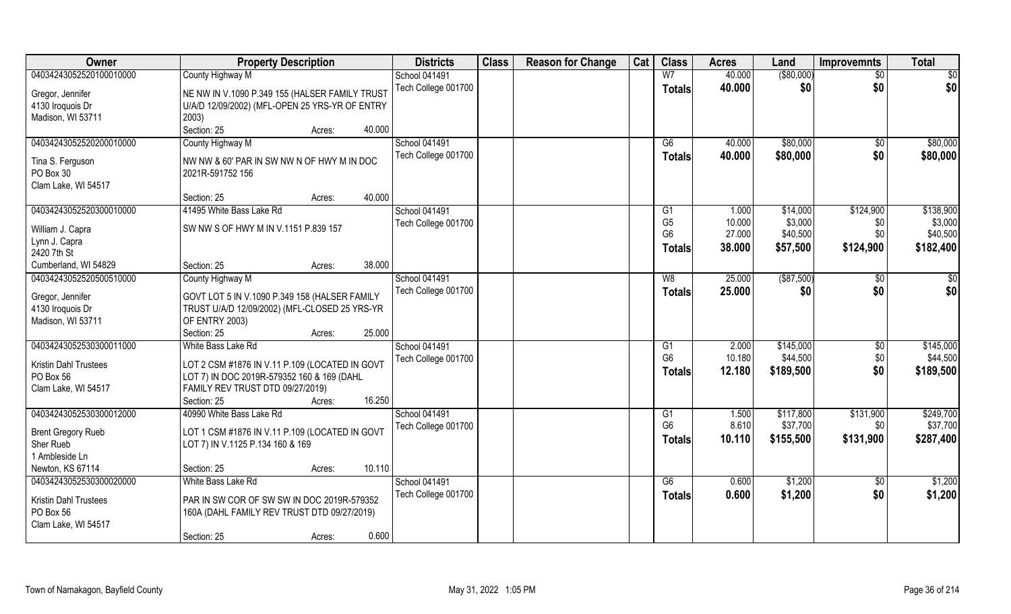| Owner                                | <b>Property Description</b>                    | <b>Districts</b>     | <b>Class</b> | <b>Reason for Change</b> | Cat | <b>Class</b>                     | <b>Acres</b> | Land          | <b>Improvemnts</b> | <b>Total</b> |
|--------------------------------------|------------------------------------------------|----------------------|--------------|--------------------------|-----|----------------------------------|--------------|---------------|--------------------|--------------|
| 04034243052520100010000              | County Highway M                               | <b>School 041491</b> |              |                          |     | W <sub>7</sub>                   | 40.000       | $($ \$80,000) | $\overline{50}$    | \$0          |
| Gregor, Jennifer                     | NE NW IN V.1090 P.349 155 (HALSER FAMILY TRUST | Tech College 001700  |              |                          |     | <b>Totals</b>                    | 40.000       | \$0           | \$0                | \$0          |
| 4130 Iroquois Dr                     | U/A/D 12/09/2002) (MFL-OPEN 25 YRS-YR OF ENTRY |                      |              |                          |     |                                  |              |               |                    |              |
| Madison, WI 53711                    | 2003)                                          |                      |              |                          |     |                                  |              |               |                    |              |
|                                      | 40.000<br>Section: 25<br>Acres:                |                      |              |                          |     |                                  |              |               |                    |              |
| 04034243052520200010000              | County Highway M                               | <b>School 041491</b> |              |                          |     | G6                               | 40.000       | \$80,000      | \$0                | \$80,000     |
|                                      |                                                | Tech College 001700  |              |                          |     | Totals                           | 40.000       | \$80,000      | \$0                | \$80,000     |
| Tina S. Ferguson                     | NW NW & 60' PAR IN SW NW N OF HWY M IN DOC     |                      |              |                          |     |                                  |              |               |                    |              |
| PO Box 30                            | 2021R-591752 156                               |                      |              |                          |     |                                  |              |               |                    |              |
| Clam Lake, WI 54517                  |                                                |                      |              |                          |     |                                  |              |               |                    |              |
|                                      | 40.000<br>Section: 25<br>Acres:                |                      |              |                          |     |                                  |              |               |                    |              |
| 04034243052520300010000              | 41495 White Bass Lake Rd                       | <b>School 041491</b> |              |                          |     | G1                               | 1.000        | \$14,000      | \$124,900          | \$138,900    |
| William J. Capra                     | SW NW S OF HWY M IN V.1151 P.839 157           | Tech College 001700  |              |                          |     | G <sub>5</sub><br>G <sub>6</sub> | 10.000       | \$3,000       | \$0<br>\$0         | \$3,000      |
| Lynn J. Capra                        |                                                |                      |              |                          |     |                                  | 27.000       | \$40,500      |                    | \$40,500     |
| 2420 7th St                          |                                                |                      |              |                          |     | Totals                           | 38.000       | \$57,500      | \$124,900          | \$182,400    |
| Cumberland, WI 54829                 | 38,000<br>Section: 25<br>Acres:                |                      |              |                          |     |                                  |              |               |                    |              |
| 04034243052520500510000              | County Highway M                               | School 041491        |              |                          |     | W8                               | 25.000       | $($ \$87,500) | $\sqrt[6]{}$       | \$0          |
|                                      | GOVT LOT 5 IN V.1090 P.349 158 (HALSER FAMILY  | Tech College 001700  |              |                          |     | <b>Totals</b>                    | 25.000       | \$0           | \$0                | \$0          |
| Gregor, Jennifer<br>4130 Iroquois Dr | TRUST U/A/D 12/09/2002) (MFL-CLOSED 25 YRS-YR  |                      |              |                          |     |                                  |              |               |                    |              |
| Madison, WI 53711                    | OF ENTRY 2003)                                 |                      |              |                          |     |                                  |              |               |                    |              |
|                                      | 25.000<br>Section: 25<br>Acres:                |                      |              |                          |     |                                  |              |               |                    |              |
| 04034243052530300011000              | White Bass Lake Rd                             | School 041491        |              |                          |     | G <sub>1</sub>                   | 2.000        | \$145,000     | $\sqrt[6]{30}$     | \$145,000    |
|                                      |                                                | Tech College 001700  |              |                          |     | G <sub>6</sub>                   | 10.180       | \$44,500      | \$0                | \$44,500     |
| <b>Kristin Dahl Trustees</b>         | LOT 2 CSM #1876 IN V.11 P.109 (LOCATED IN GOVT |                      |              |                          |     | <b>Totals</b>                    | 12.180       | \$189,500     | \$0                | \$189,500    |
| PO Box 56                            | LOT 7) IN DOC 2019R-579352 160 & 169 (DAHL     |                      |              |                          |     |                                  |              |               |                    |              |
| Clam Lake, WI 54517                  | FAMILY REV TRUST DTD 09/27/2019)               |                      |              |                          |     |                                  |              |               |                    |              |
|                                      | 16.250<br>Section: 25<br>Acres:                |                      |              |                          |     |                                  |              |               |                    |              |
| 04034243052530300012000              | 40990 White Bass Lake Rd                       | <b>School 041491</b> |              |                          |     | G1                               | 1.500        | \$117,800     | \$131,900          | \$249,700    |
| <b>Brent Gregory Rueb</b>            | LOT 1 CSM #1876 IN V.11 P.109 (LOCATED IN GOVT | Tech College 001700  |              |                          |     | G <sub>6</sub>                   | 8.610        | \$37,700      | \$0                | \$37,700     |
| Sher Rueb                            | LOT 7) IN V.1125 P.134 160 & 169               |                      |              |                          |     | <b>Totals</b>                    | 10.110       | \$155,500     | \$131,900          | \$287,400    |
| 1 Ambleside Ln                       |                                                |                      |              |                          |     |                                  |              |               |                    |              |
| Newton, KS 67114                     | 10.110<br>Section: 25<br>Acres:                |                      |              |                          |     |                                  |              |               |                    |              |
| 04034243052530300020000              | White Bass Lake Rd                             | School 041491        |              |                          |     | G6                               | 0.600        | \$1,200       | $\overline{50}$    | \$1,200      |
|                                      |                                                | Tech College 001700  |              |                          |     | <b>Totals</b>                    | 0.600        | \$1,200       | \$0                | \$1,200      |
| <b>Kristin Dahl Trustees</b>         | PAR IN SW COR OF SW SW IN DOC 2019R-579352     |                      |              |                          |     |                                  |              |               |                    |              |
| PO Box 56                            | 160A (DAHL FAMILY REV TRUST DTD 09/27/2019)    |                      |              |                          |     |                                  |              |               |                    |              |
| Clam Lake, WI 54517                  |                                                |                      |              |                          |     |                                  |              |               |                    |              |
|                                      | 0.600<br>Section: 25<br>Acres:                 |                      |              |                          |     |                                  |              |               |                    |              |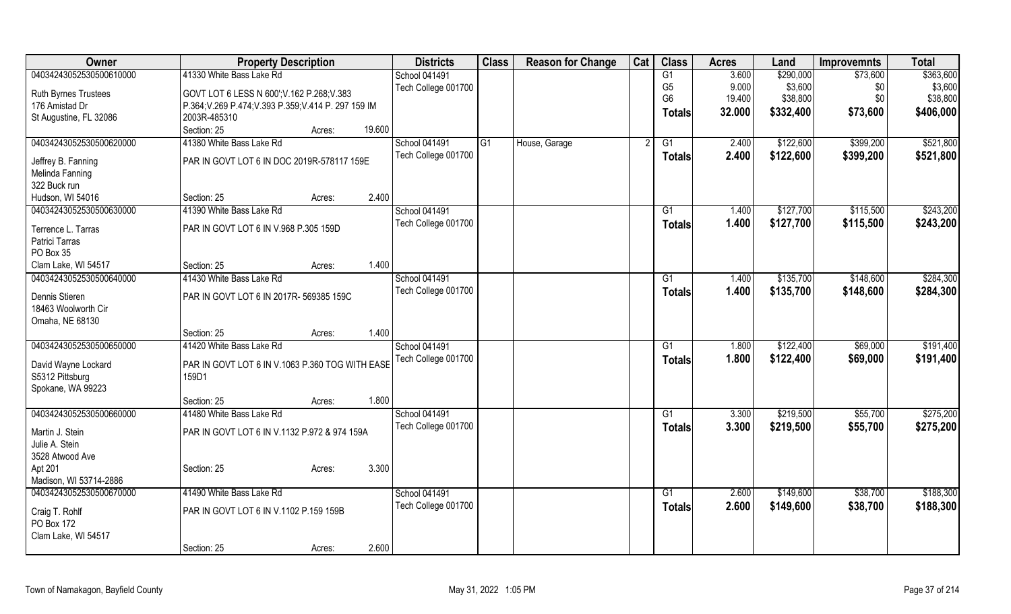| Owner                                  | <b>Property Description</b>                          | <b>Districts</b>    | <b>Class</b>   | <b>Reason for Change</b> | Cat | <b>Class</b>    | <b>Acres</b> | Land      | <b>Improvemnts</b> | <b>Total</b> |
|----------------------------------------|------------------------------------------------------|---------------------|----------------|--------------------------|-----|-----------------|--------------|-----------|--------------------|--------------|
| 04034243052530500610000                | 41330 White Bass Lake Rd                             | School 041491       |                |                          |     | G1              | 3.600        | \$290,000 | \$73,600           | \$363,600    |
|                                        | GOVT LOT 6 LESS N 600'; V.162 P.268; V.383           | Tech College 001700 |                |                          |     | G <sub>5</sub>  | 9.000        | \$3,600   | \$0                | \$3,600      |
| Ruth Byrnes Trustees<br>176 Amistad Dr | P.364; V.269 P.474; V.393 P.359; V.414 P. 297 159 IM |                     |                |                          |     | G <sub>6</sub>  | 19.400       | \$38,800  | \$0                | \$38,800     |
|                                        | 2003R-485310                                         |                     |                |                          |     | Totals          | 32.000       | \$332,400 | \$73,600           | \$406,000    |
| St Augustine, FL 32086                 | 19.600<br>Section: 25                                |                     |                |                          |     |                 |              |           |                    |              |
| 04034243052530500620000                | Acres:<br>41380 White Bass Lake Rd                   | School 041491       | G <sub>1</sub> |                          |     |                 |              |           |                    | \$521,800    |
|                                        |                                                      |                     |                | House, Garage            |     | G1              | 2.400        | \$122,600 | \$399,200          |              |
| Jeffrey B. Fanning                     | PAR IN GOVT LOT 6 IN DOC 2019R-578117 159E           | Tech College 001700 |                |                          |     | <b>Totals</b>   | 2.400        | \$122,600 | \$399,200          | \$521,800    |
| Melinda Fanning                        |                                                      |                     |                |                          |     |                 |              |           |                    |              |
| 322 Buck run                           |                                                      |                     |                |                          |     |                 |              |           |                    |              |
| Hudson, WI 54016                       | 2.400<br>Section: 25<br>Acres:                       |                     |                |                          |     |                 |              |           |                    |              |
| 04034243052530500630000                | 41390 White Bass Lake Rd                             | School 041491       |                |                          |     | G1              | 1.400        | \$127,700 | \$115,500          | \$243,200    |
|                                        |                                                      | Tech College 001700 |                |                          |     | <b>Totals</b>   | 1.400        | \$127,700 | \$115,500          | \$243,200    |
| Terrence L. Tarras<br>Patrici Tarras   | PAR IN GOVT LOT 6 IN V.968 P.305 159D                |                     |                |                          |     |                 |              |           |                    |              |
| PO Box 35                              |                                                      |                     |                |                          |     |                 |              |           |                    |              |
| Clam Lake, WI 54517                    | 1.400<br>Section: 25                                 |                     |                |                          |     |                 |              |           |                    |              |
|                                        | Acres:                                               | School 041491       |                |                          |     |                 |              |           |                    |              |
| 04034243052530500640000                | 41430 White Bass Lake Rd                             |                     |                |                          |     | G1              | 1.400        | \$135,700 | \$148,600          | \$284,300    |
| Dennis Stieren                         | PAR IN GOVT LOT 6 IN 2017R- 569385 159C              | Tech College 001700 |                |                          |     | <b>Totals</b>   | 1.400        | \$135,700 | \$148,600          | \$284,300    |
| 18463 Woolworth Cir                    |                                                      |                     |                |                          |     |                 |              |           |                    |              |
| Omaha, NE 68130                        |                                                      |                     |                |                          |     |                 |              |           |                    |              |
|                                        | 1.400<br>Section: 25<br>Acres:                       |                     |                |                          |     |                 |              |           |                    |              |
| 04034243052530500650000                | 41420 White Bass Lake Rd                             | School 041491       |                |                          |     | $\overline{G1}$ | 1.800        | \$122,400 | \$69,000           | \$191,400    |
|                                        |                                                      | Tech College 001700 |                |                          |     | <b>Totals</b>   | 1.800        | \$122,400 | \$69,000           | \$191,400    |
| David Wayne Lockard                    | PAR IN GOVT LOT 6 IN V.1063 P.360 TOG WITH EASE      |                     |                |                          |     |                 |              |           |                    |              |
| S5312 Pittsburg                        | 159D1                                                |                     |                |                          |     |                 |              |           |                    |              |
| Spokane, WA 99223                      | 1.800<br>Section: 25                                 |                     |                |                          |     |                 |              |           |                    |              |
|                                        | Acres:                                               |                     |                |                          |     |                 |              |           |                    |              |
| 04034243052530500660000                | 41480 White Bass Lake Rd                             | School 041491       |                |                          |     | G <sub>1</sub>  | 3.300        | \$219,500 | \$55,700           | \$275,200    |
| Martin J. Stein                        | PAR IN GOVT LOT 6 IN V.1132 P.972 & 974 159A         | Tech College 001700 |                |                          |     | <b>Totals</b>   | 3.300        | \$219,500 | \$55,700           | \$275,200    |
| Julie A. Stein                         |                                                      |                     |                |                          |     |                 |              |           |                    |              |
| 3528 Atwood Ave                        |                                                      |                     |                |                          |     |                 |              |           |                    |              |
| Apt 201                                | 3.300<br>Section: 25<br>Acres:                       |                     |                |                          |     |                 |              |           |                    |              |
| Madison, WI 53714-2886                 |                                                      |                     |                |                          |     |                 |              |           |                    |              |
| 04034243052530500670000                | 41490 White Bass Lake Rd                             | School 041491       |                |                          |     | $\overline{G1}$ | 2.600        | \$149,600 | \$38,700           | \$188,300    |
|                                        | PAR IN GOVT LOT 6 IN V.1102 P.159 159B               | Tech College 001700 |                |                          |     | <b>Totals</b>   | 2.600        | \$149,600 | \$38,700           | \$188,300    |
| Craig T. Rohlf<br>PO Box 172           |                                                      |                     |                |                          |     |                 |              |           |                    |              |
|                                        |                                                      |                     |                |                          |     |                 |              |           |                    |              |
| Clam Lake, WI 54517                    |                                                      |                     |                |                          |     |                 |              |           |                    |              |
|                                        | 2.600<br>Section: 25<br>Acres:                       |                     |                |                          |     |                 |              |           |                    |              |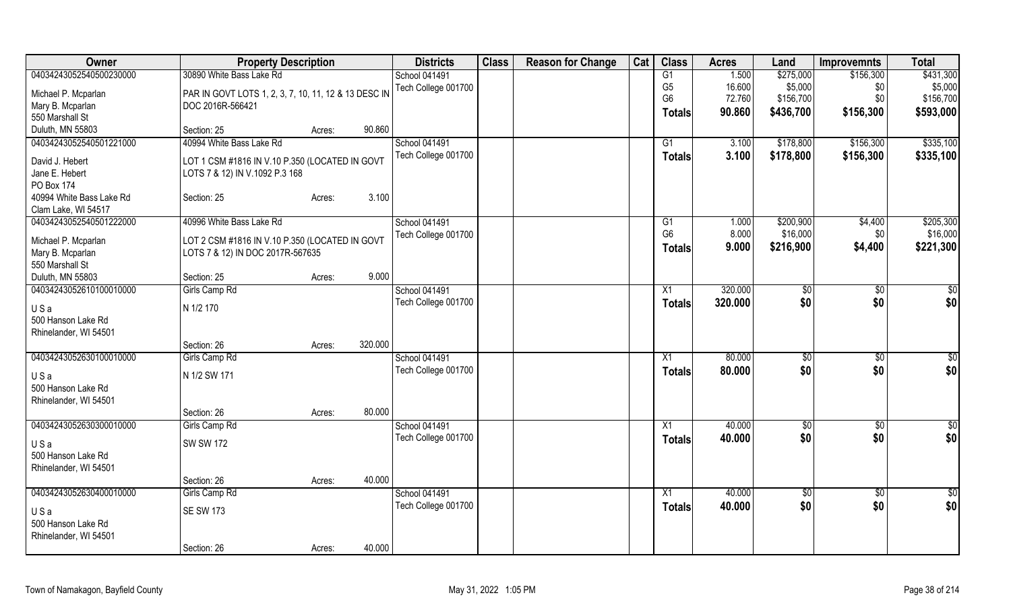| Owner                                          | <b>Property Description</b>                          |        |         | <b>Districts</b>     | <b>Class</b> | <b>Reason for Change</b> | Cat | <b>Class</b>         | <b>Acres</b> | Land                  | <b>Improvemnts</b> | <b>Total</b>          |
|------------------------------------------------|------------------------------------------------------|--------|---------|----------------------|--------------|--------------------------|-----|----------------------|--------------|-----------------------|--------------------|-----------------------|
| 04034243052540500230000                        | 30890 White Bass Lake Rd                             |        |         | <b>School 041491</b> |              |                          |     | G1                   | 1.500        | \$275,000             | \$156,300          | \$431,300             |
| Michael P. Mcparlan                            | PAR IN GOVT LOTS 1, 2, 3, 7, 10, 11, 12 & 13 DESC IN |        |         | Tech College 001700  |              |                          |     | G <sub>5</sub>       | 16.600       | \$5,000               | \$0                | \$5,000               |
| Mary B. Mcparlan                               | DOC 2016R-566421                                     |        |         |                      |              |                          |     | G <sub>6</sub>       | 72.760       | \$156,700             | \$0                | \$156,700             |
| 550 Marshall St                                |                                                      |        |         |                      |              |                          |     | Totals               | 90.860       | \$436,700             | \$156,300          | \$593,000             |
| Duluth, MN 55803                               | Section: 25                                          | Acres: | 90.860  |                      |              |                          |     |                      |              |                       |                    |                       |
| 04034243052540501221000                        | 40994 White Bass Lake Rd                             |        |         | <b>School 041491</b> |              |                          |     | G1                   | 3.100        | \$178,800             | \$156,300          | \$335,100             |
|                                                |                                                      |        |         | Tech College 001700  |              |                          |     | <b>Totals</b>        | 3.100        | \$178,800             | \$156,300          | \$335,100             |
| David J. Hebert                                | LOT 1 CSM #1816 IN V.10 P.350 (LOCATED IN GOVT       |        |         |                      |              |                          |     |                      |              |                       |                    |                       |
| Jane E. Hebert                                 | LOTS 7 & 12) IN V.1092 P.3 168                       |        |         |                      |              |                          |     |                      |              |                       |                    |                       |
| PO Box 174                                     |                                                      |        |         |                      |              |                          |     |                      |              |                       |                    |                       |
| 40994 White Bass Lake Rd                       | Section: 25                                          | Acres: | 3.100   |                      |              |                          |     |                      |              |                       |                    |                       |
| Clam Lake, WI 54517<br>04034243052540501222000 | 40996 White Bass Lake Rd                             |        |         | <b>School 041491</b> |              |                          |     |                      | 1.000        |                       |                    |                       |
|                                                |                                                      |        |         |                      |              |                          |     | G1<br>G <sub>6</sub> | 8.000        | \$200,900<br>\$16,000 | \$4,400<br>\$0     | \$205,300<br>\$16,000 |
| Michael P. Mcparlan                            | LOT 2 CSM #1816 IN V.10 P.350 (LOCATED IN GOVT       |        |         | Tech College 001700  |              |                          |     |                      |              |                       |                    |                       |
| Mary B. Mcparlan                               | LOTS 7 & 12) IN DOC 2017R-567635                     |        |         |                      |              |                          |     | <b>Totals</b>        | 9.000        | \$216,900             | \$4,400            | \$221,300             |
| 550 Marshall St                                |                                                      |        |         |                      |              |                          |     |                      |              |                       |                    |                       |
| Duluth, MN 55803                               | Section: 25                                          | Acres: | 9.000   |                      |              |                          |     |                      |              |                       |                    |                       |
| 04034243052610100010000                        | Girls Camp Rd                                        |        |         | <b>School 041491</b> |              |                          |     | X1                   | 320.000      | \$0                   | \$0                | \$0                   |
| USa                                            | N 1/2 170                                            |        |         | Tech College 001700  |              |                          |     | <b>Totals</b>        | 320.000      | \$0                   | \$0                | \$0                   |
| 500 Hanson Lake Rd                             |                                                      |        |         |                      |              |                          |     |                      |              |                       |                    |                       |
| Rhinelander, WI 54501                          |                                                      |        |         |                      |              |                          |     |                      |              |                       |                    |                       |
|                                                | Section: 26                                          | Acres: | 320.000 |                      |              |                          |     |                      |              |                       |                    |                       |
| 04034243052630100010000                        | Girls Camp Rd                                        |        |         | <b>School 041491</b> |              |                          |     | X1                   | 80.000       | $\sqrt[6]{30}$        | $\sqrt[6]{}$       | $\frac{6}{3}$         |
|                                                |                                                      |        |         | Tech College 001700  |              |                          |     | <b>Totals</b>        | 80.000       | \$0                   | \$0                | \$0                   |
| USa                                            | N 1/2 SW 171                                         |        |         |                      |              |                          |     |                      |              |                       |                    |                       |
| 500 Hanson Lake Rd                             |                                                      |        |         |                      |              |                          |     |                      |              |                       |                    |                       |
| Rhinelander, WI 54501                          | Section: 26                                          | Acres: | 80.000  |                      |              |                          |     |                      |              |                       |                    |                       |
| 04034243052630300010000                        | Girls Camp Rd                                        |        |         | School 041491        |              |                          |     | X1                   | 40.000       | \$0                   | $\overline{50}$    | \$0                   |
|                                                |                                                      |        |         | Tech College 001700  |              |                          |     |                      | 40.000       | \$0                   | \$0                | \$0                   |
| USa                                            | <b>SW SW 172</b>                                     |        |         |                      |              |                          |     | Totals               |              |                       |                    |                       |
| 500 Hanson Lake Rd                             |                                                      |        |         |                      |              |                          |     |                      |              |                       |                    |                       |
| Rhinelander, WI 54501                          |                                                      |        |         |                      |              |                          |     |                      |              |                       |                    |                       |
|                                                | Section: 26                                          | Acres: | 40.000  |                      |              |                          |     |                      |              |                       |                    |                       |
| 04034243052630400010000                        | Girls Camp Rd                                        |        |         | School 041491        |              |                          |     | $\overline{X1}$      | 40.000       | $\frac{1}{6}$         | $\overline{60}$    | $\overline{50}$       |
| USa                                            | <b>SE SW 173</b>                                     |        |         | Tech College 001700  |              |                          |     | <b>Totals</b>        | 40.000       | \$0                   | \$0                | \$0                   |
| 500 Hanson Lake Rd                             |                                                      |        |         |                      |              |                          |     |                      |              |                       |                    |                       |
| Rhinelander, WI 54501                          |                                                      |        |         |                      |              |                          |     |                      |              |                       |                    |                       |
|                                                | Section: 26                                          | Acres: | 40.000  |                      |              |                          |     |                      |              |                       |                    |                       |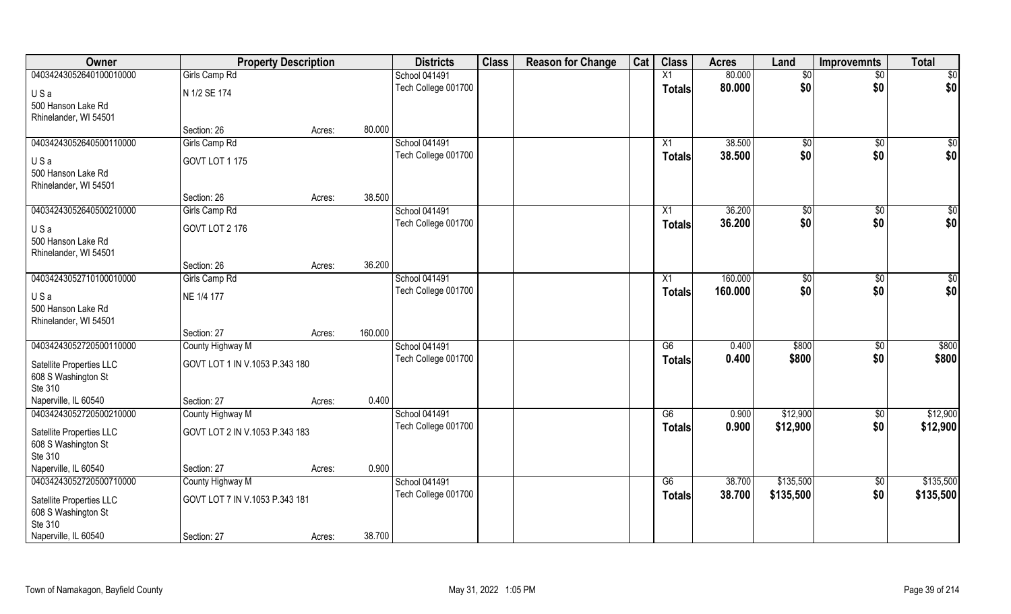| Owner                          | <b>Property Description</b>    |                   | <b>Districts</b>        | <b>Class</b> | <b>Reason for Change</b> | Cat | <b>Class</b>        | <b>Acres</b> | Land         | <b>Improvemnts</b> | <b>Total</b>    |
|--------------------------------|--------------------------------|-------------------|-------------------------|--------------|--------------------------|-----|---------------------|--------------|--------------|--------------------|-----------------|
| 04034243052640100010000        | Girls Camp Rd                  |                   | <b>School 041491</b>    |              |                          |     | X1                  | 80.000       | $\sqrt[6]{}$ | $\overline{50}$    | \$0             |
| USa                            | N 1/2 SE 174                   |                   | Tech College 001700     |              |                          |     | <b>Totals</b>       | 80.000       | \$0          | \$0                | \$0             |
| 500 Hanson Lake Rd             |                                |                   |                         |              |                          |     |                     |              |              |                    |                 |
| Rhinelander, WI 54501          |                                |                   |                         |              |                          |     |                     |              |              |                    |                 |
|                                | Section: 26                    | Acres:            | 80.000                  |              |                          |     |                     |              |              |                    |                 |
| 04034243052640500110000        | Girls Camp Rd                  |                   | School 041491           |              |                          |     | X1                  | 38.500       | $\sqrt[6]{}$ | $\sqrt{$0}$        | $\sqrt{50}$     |
| USa                            | GOVT LOT 1 175                 |                   | Tech College 001700     |              |                          |     | <b>Totals</b>       | 38.500       | \$0          | \$0                | \$0             |
| 500 Hanson Lake Rd             |                                |                   |                         |              |                          |     |                     |              |              |                    |                 |
| Rhinelander, WI 54501          |                                |                   |                         |              |                          |     |                     |              |              |                    |                 |
|                                | Section: 26                    | Acres:            | 38.500                  |              |                          |     |                     |              |              |                    |                 |
| 04034243052640500210000        | Girls Camp Rd                  |                   | <b>School 041491</b>    |              |                          |     | X1                  | 36.200       | \$0          | \$0                | \$0             |
| USa                            | GOVT LOT 2 176                 |                   | Tech College 001700     |              |                          |     | <b>Totals</b>       | 36.200       | \$0          | \$0                | \$0             |
| 500 Hanson Lake Rd             |                                |                   |                         |              |                          |     |                     |              |              |                    |                 |
| Rhinelander, WI 54501          |                                |                   |                         |              |                          |     |                     |              |              |                    |                 |
| 04034243052710100010000        | Section: 26<br>Girls Camp Rd   | Acres:            | 36.200<br>School 041491 |              |                          |     |                     | 160.000      |              |                    | $\overline{50}$ |
|                                |                                |                   | Tech College 001700     |              |                          |     | X1<br><b>Totals</b> | 160.000      | \$0<br>\$0   | \$0<br>\$0         | \$0             |
| USa                            | NE 1/4 177                     |                   |                         |              |                          |     |                     |              |              |                    |                 |
| 500 Hanson Lake Rd             |                                |                   |                         |              |                          |     |                     |              |              |                    |                 |
| Rhinelander, WI 54501          | Section: 27                    | 160.000<br>Acres: |                         |              |                          |     |                     |              |              |                    |                 |
| 04034243052720500110000        | County Highway M               |                   | School 041491           |              |                          |     | G6                  | 0.400        | \$800        | $\sqrt[6]{30}$     | \$800           |
|                                |                                |                   | Tech College 001700     |              |                          |     | <b>Totals</b>       | 0.400        | \$800        | \$0                | \$800           |
| Satellite Properties LLC       | GOVT LOT 1 IN V.1053 P.343 180 |                   |                         |              |                          |     |                     |              |              |                    |                 |
| 608 S Washington St<br>Ste 310 |                                |                   |                         |              |                          |     |                     |              |              |                    |                 |
| Naperville, IL 60540           | Section: 27                    | Acres:            | 0.400                   |              |                          |     |                     |              |              |                    |                 |
| 04034243052720500210000        | County Highway M               |                   | School 041491           |              |                          |     | G6                  | 0.900        | \$12,900     | \$0                | \$12,900        |
| Satellite Properties LLC       | GOVT LOT 2 IN V.1053 P.343 183 |                   | Tech College 001700     |              |                          |     | <b>Totals</b>       | 0.900        | \$12,900     | \$0                | \$12,900        |
| 608 S Washington St            |                                |                   |                         |              |                          |     |                     |              |              |                    |                 |
| Ste 310                        |                                |                   |                         |              |                          |     |                     |              |              |                    |                 |
| Naperville, IL 60540           | Section: 27                    | Acres:            | 0.900                   |              |                          |     |                     |              |              |                    |                 |
| 04034243052720500710000        | County Highway M               |                   | School 041491           |              |                          |     | G6                  | 38.700       | \$135,500    | \$0                | \$135,500       |
| Satellite Properties LLC       | GOVT LOT 7 IN V.1053 P.343 181 |                   | Tech College 001700     |              |                          |     | <b>Totals</b>       | 38.700       | \$135,500    | \$0                | \$135,500       |
| 608 S Washington St            |                                |                   |                         |              |                          |     |                     |              |              |                    |                 |
| Ste 310                        |                                |                   |                         |              |                          |     |                     |              |              |                    |                 |
| Naperville, IL 60540           | Section: 27                    | Acres:            | 38.700                  |              |                          |     |                     |              |              |                    |                 |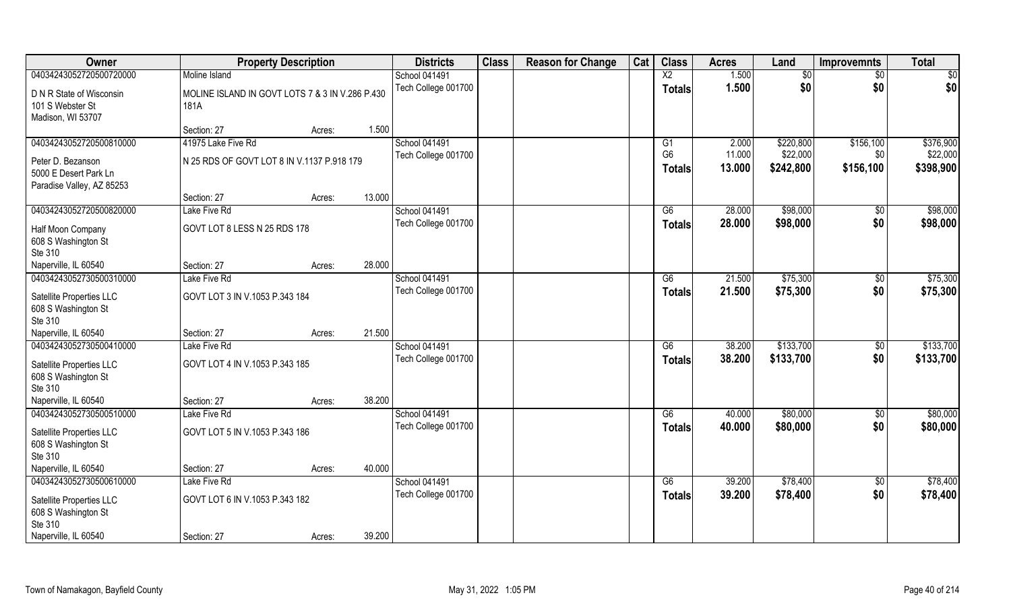| Owner                                                                                                         | <b>Property Description</b>                                                       | <b>Districts</b>                            | <b>Class</b> | <b>Reason for Change</b> | Cat | <b>Class</b>                                      | <b>Acres</b>              | Land                               | <b>Improvemnts</b>            | <b>Total</b>                       |
|---------------------------------------------------------------------------------------------------------------|-----------------------------------------------------------------------------------|---------------------------------------------|--------------|--------------------------|-----|---------------------------------------------------|---------------------------|------------------------------------|-------------------------------|------------------------------------|
| 04034243052720500720000                                                                                       | Moline Island                                                                     | <b>School 041491</b>                        |              |                          |     | $\overline{X2}$                                   | 1.500                     | \$0                                | $\overline{50}$               | $\overline{50}$                    |
| D N R State of Wisconsin<br>101 S Webster St<br>Madison, WI 53707                                             | MOLINE ISLAND IN GOVT LOTS 7 & 3 IN V.286 P.430<br>181A                           | Tech College 001700                         |              |                          |     | <b>Totals</b>                                     | 1.500                     | \$0                                | \$0                           | \$0                                |
|                                                                                                               | 1.500<br>Section: 27<br>Acres:                                                    |                                             |              |                          |     |                                                   |                           |                                    |                               |                                    |
| 04034243052720500810000<br>Peter D. Bezanson<br>5000 E Desert Park Ln<br>Paradise Valley, AZ 85253            | 41975 Lake Five Rd<br>N 25 RDS OF GOVT LOT 8 IN V.1137 P.918 179                  | <b>School 041491</b><br>Tech College 001700 |              |                          |     | G <sub>1</sub><br>G <sub>6</sub><br><b>Totals</b> | 2.000<br>11.000<br>13.000 | \$220,800<br>\$22,000<br>\$242,800 | \$156,100<br>\$0<br>\$156,100 | \$376,900<br>\$22,000<br>\$398,900 |
|                                                                                                               | 13.000<br>Section: 27<br>Acres:                                                   |                                             |              |                          |     |                                                   |                           |                                    |                               |                                    |
| 04034243052720500820000<br>Half Moon Company<br>608 S Washington St<br>Ste 310                                | Lake Five Rd<br>GOVT LOT 8 LESS N 25 RDS 178                                      | School 041491<br>Tech College 001700        |              |                          |     | G6<br><b>Totals</b>                               | 28.000<br>28.000          | \$98,000<br>\$98,000               | \$0<br>\$0                    | \$98,000<br>\$98,000               |
| Naperville, IL 60540                                                                                          | 28.000<br>Section: 27<br>Acres:                                                   |                                             |              |                          |     |                                                   |                           |                                    |                               |                                    |
| 04034243052730500310000<br>Satellite Properties LLC<br>608 S Washington St<br>Ste 310                         | Lake Five Rd<br>GOVT LOT 3 IN V.1053 P.343 184                                    | <b>School 041491</b><br>Tech College 001700 |              |                          |     | G6<br><b>Totals</b>                               | 21.500<br>21.500          | \$75,300<br>\$75,300               | \$0<br>\$0                    | \$75,300<br>\$75,300               |
| Naperville, IL 60540                                                                                          | 21.500<br>Section: 27<br>Acres:                                                   |                                             |              |                          |     |                                                   |                           |                                    |                               |                                    |
| 04034243052730500410000<br>Satellite Properties LLC<br>608 S Washington St<br>Ste 310                         | Lake Five Rd<br>GOVT LOT 4 IN V.1053 P.343 185                                    | School 041491<br>Tech College 001700        |              |                          |     | G6<br><b>Totals</b>                               | 38.200<br>38.200          | \$133,700<br>\$133,700             | $\sqrt[6]{30}$<br>\$0         | \$133,700<br>\$133,700             |
| Naperville, IL 60540                                                                                          | 38.200<br>Section: 27<br>Acres:                                                   |                                             |              |                          |     |                                                   |                           |                                    |                               |                                    |
| 04034243052730500510000<br>Satellite Properties LLC<br>608 S Washington St<br>Ste 310                         | Lake Five Rd<br>GOVT LOT 5 IN V.1053 P.343 186                                    | School 041491<br>Tech College 001700        |              |                          |     | G6<br><b>Totals</b>                               | 40.000<br>40.000          | \$80,000<br>\$80,000               | $\sqrt{$0}$<br>\$0            | \$80,000<br>\$80,000               |
| Naperville, IL 60540                                                                                          | 40.000<br>Section: 27<br>Acres:                                                   |                                             |              |                          |     |                                                   |                           |                                    |                               |                                    |
| 04034243052730500610000<br>Satellite Properties LLC<br>608 S Washington St<br>Ste 310<br>Naperville, IL 60540 | Lake Five Rd<br>GOVT LOT 6 IN V.1053 P.343 182<br>39.200<br>Section: 27<br>Acres: | School 041491<br>Tech College 001700        |              |                          |     | G6<br>Totals                                      | 39.200<br>39.200          | \$78,400<br>\$78,400               | \$0<br>\$0                    | \$78,400<br>\$78,400               |
|                                                                                                               |                                                                                   |                                             |              |                          |     |                                                   |                           |                                    |                               |                                    |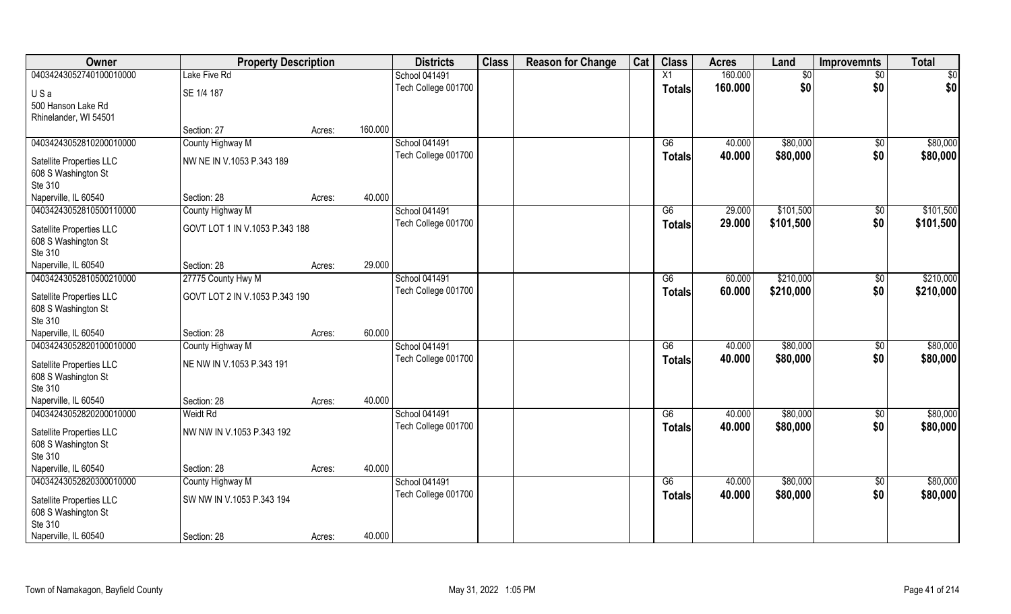| 04034243052740100010000<br>160.000<br>Lake Five Rd<br>School 041491<br>X1<br>$\overline{60}$<br>$\overline{50}$                  | \$0       |
|----------------------------------------------------------------------------------------------------------------------------------|-----------|
|                                                                                                                                  |           |
| \$0<br>160.000<br>Tech College 001700<br>\$0<br><b>Totals</b><br>SE 1/4 187<br>USa                                               | \$0       |
| 500 Hanson Lake Rd                                                                                                               |           |
| Rhinelander, WI 54501                                                                                                            |           |
| 160.000<br>Section: 27<br>Acres:                                                                                                 |           |
| 04034243052810200010000<br>\$80,000<br>County Highway M<br>School 041491<br>G6<br>40.000<br>\$0                                  | \$80,000  |
| \$0<br>Tech College 001700<br>40.000<br>\$80,000<br><b>Totals</b><br>NW NE IN V.1053 P.343 189<br>Satellite Properties LLC       | \$80,000  |
| 608 S Washington St                                                                                                              |           |
| Ste 310                                                                                                                          |           |
| 40.000<br>Naperville, IL 60540<br>Section: 28<br>Acres:                                                                          |           |
| 04034243052810500110000<br>School 041491<br>\$101,500<br>County Highway M<br>G6<br>29.000<br>\$0                                 | \$101,500 |
| \$0<br>Tech College 001700<br>29.000<br>\$101,500<br><b>Totals</b><br>GOVT LOT 1 IN V.1053 P.343 188<br>Satellite Properties LLC | \$101,500 |
| 608 S Washington St                                                                                                              |           |
| Ste 310                                                                                                                          |           |
| 29.000<br>Naperville, IL 60540<br>Section: 28<br>Acres:                                                                          |           |
| \$210,000<br>04034243052810500210000<br>27775 County Hwy M<br>School 041491<br>G6<br>60.000<br>\$0                               | \$210,000 |
| Tech College 001700<br>60.000<br>\$0<br>\$210,000<br><b>Totals</b><br>GOVT LOT 2 IN V.1053 P.343 190<br>Satellite Properties LLC | \$210,000 |
| 608 S Washington St                                                                                                              |           |
| Ste 310                                                                                                                          |           |
| 60.000<br>Naperville, IL 60540<br>Section: 28<br>Acres:                                                                          |           |
| \$80,000<br>04034243052820100010000<br>$\overline{G6}$<br>40.000<br>$\overline{50}$<br>County Highway M<br>School 041491         | \$80,000  |
| 40.000<br>\$80,000<br>\$0<br>Tech College 001700<br><b>Totals</b><br>NE NW IN V.1053 P.343 191                                   | \$80,000  |
| Satellite Properties LLC<br>608 S Washington St                                                                                  |           |
| Ste 310                                                                                                                          |           |
| Naperville, IL 60540<br>40.000<br>Section: 28<br>Acres:                                                                          |           |
| 04034243052820200010000<br>School 041491<br>\$80,000<br><b>Weidt Rd</b><br>G6<br>40.000<br>\$0                                   | \$80,000  |
| \$0<br>\$80,000<br>Tech College 001700<br>40.000<br><b>Totals</b>                                                                | \$80,000  |
| NW NW IN V.1053 P.343 192<br>Satellite Properties LLC<br>608 S Washington St                                                     |           |
| Ste 310                                                                                                                          |           |
| Naperville, IL 60540<br>40.000<br>Section: 28<br>Acres:                                                                          |           |
| 04034243052820300010000<br>School 041491<br>\$80,000<br>County Highway M<br>G6<br>40.000<br>$\sqrt{6}$                           | \$80,000  |
| \$0<br>40.000<br>\$80,000<br>Tech College 001700<br><b>Totals</b>                                                                | \$80,000  |
| SW NW IN V.1053 P.343 194<br>Satellite Properties LLC                                                                            |           |
| 608 S Washington St<br>Ste 310                                                                                                   |           |
| Naperville, IL 60540<br>40.000<br>Section: 28<br>Acres:                                                                          |           |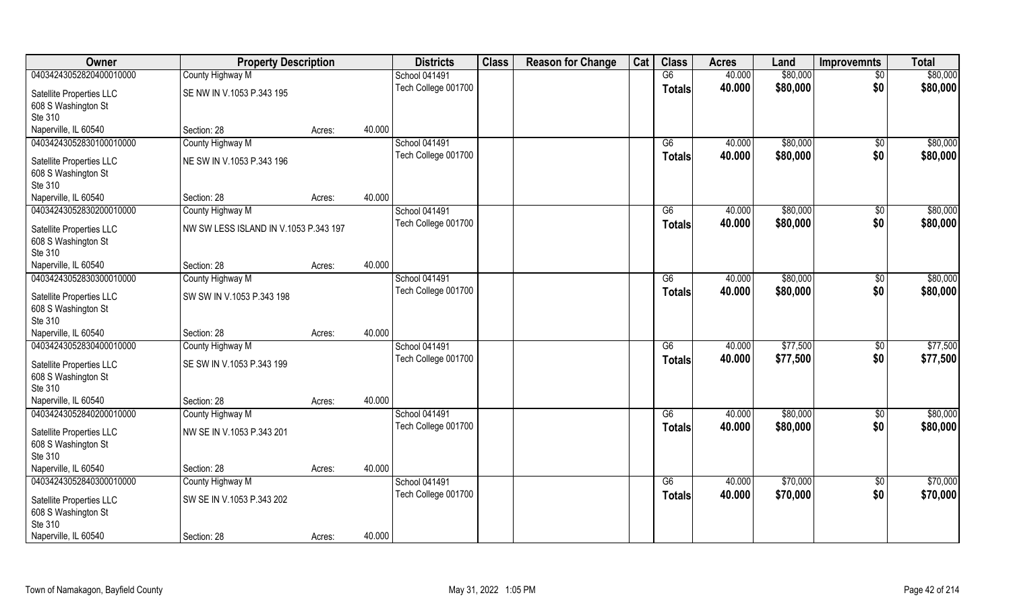| <b>Owner</b>                                                                       | <b>Property Description</b>              |        |        | <b>Districts</b>     | <b>Class</b> | <b>Reason for Change</b> | Cat | <b>Class</b>  | <b>Acres</b> | Land     | <b>Improvemnts</b> | <b>Total</b> |
|------------------------------------------------------------------------------------|------------------------------------------|--------|--------|----------------------|--------------|--------------------------|-----|---------------|--------------|----------|--------------------|--------------|
| 04034243052820400010000                                                            | County Highway M                         |        |        | <b>School 041491</b> |              |                          |     | G6            | 40.000       | \$80,000 | $\sqrt{6}$         | \$80,000     |
| Satellite Properties LLC<br>608 S Washington St<br>Ste 310                         | SE NW IN V.1053 P.343 195                |        |        | Tech College 001700  |              |                          |     | <b>Totals</b> | 40.000       | \$80,000 | \$0                | \$80,000     |
| Naperville, IL 60540                                                               | Section: 28                              | Acres: | 40.000 |                      |              |                          |     |               |              |          |                    |              |
| 04034243052830100010000                                                            | County Highway M                         |        |        | <b>School 041491</b> |              |                          |     | G6            | 40.000       | \$80,000 | \$0                | \$80,000     |
| Satellite Properties LLC<br>608 S Washington St<br>Ste 310                         | NE SW IN V.1053 P.343 196                |        |        | Tech College 001700  |              |                          |     | Totals        | 40.000       | \$80,000 | \$0                | \$80,000     |
| Naperville, IL 60540                                                               | Section: 28                              | Acres: | 40.000 |                      |              |                          |     |               |              |          |                    |              |
| 04034243052830200010000                                                            | County Highway M                         |        |        | <b>School 041491</b> |              |                          |     | G6            | 40.000       | \$80,000 | $\overline{50}$    | \$80,000     |
| Satellite Properties LLC<br>608 S Washington St<br>Ste 310                         | NW SW LESS ISLAND IN V.1053 P.343 197    |        |        | Tech College 001700  |              |                          |     | <b>Totals</b> | 40.000       | \$80,000 | \$0                | \$80,000     |
| Naperville, IL 60540                                                               | Section: 28                              | Acres: | 40.000 |                      |              |                          |     |               |              |          |                    |              |
| 04034243052830300010000                                                            | County Highway M                         |        |        | School 041491        |              |                          |     | G6            | 40.000       | \$80,000 | \$0                | \$80,000     |
| Satellite Properties LLC<br>608 S Washington St<br>Ste 310                         | SW SW IN V.1053 P.343 198                |        |        | Tech College 001700  |              |                          |     | Totals        | 40.000       | \$80,000 | \$0                | \$80,000     |
| Naperville, IL 60540                                                               | Section: 28                              | Acres: | 40.000 |                      |              |                          |     |               |              |          |                    |              |
| 04034243052830400010000                                                            | County Highway M                         |        |        | School 041491        |              |                          |     | G6            | 40.000       | \$77,500 | \$0                | \$77,500     |
| Satellite Properties LLC<br>608 S Washington St<br>Ste 310                         | SE SW IN V.1053 P.343 199                |        |        | Tech College 001700  |              |                          |     | <b>Totals</b> | 40.000       | \$77,500 | \$0                | \$77,500     |
| Naperville, IL 60540                                                               | Section: 28                              | Acres: | 40.000 |                      |              |                          |     |               |              |          |                    |              |
| 04034243052840200010000                                                            | County Highway M                         |        |        | <b>School 041491</b> |              |                          |     | G6            | 40.000       | \$80,000 | $\sqrt{50}$        | \$80,000     |
| Satellite Properties LLC<br>608 S Washington St<br>Ste 310                         | NW SE IN V.1053 P.343 201                |        |        | Tech College 001700  |              |                          |     | <b>Totals</b> | 40.000       | \$80,000 | \$0                | \$80,000     |
| Naperville, IL 60540                                                               | Section: 28                              | Acres: | 40.000 |                      |              |                          |     |               |              |          |                    |              |
| 04034243052840300010000                                                            | County Highway M                         |        |        | School 041491        |              |                          |     | G6            | 40.000       | \$70,000 | $\sqrt{6}$         | \$70,000     |
| Satellite Properties LLC<br>608 S Washington St<br>Ste 310<br>Naperville, IL 60540 | SW SE IN V.1053 P.343 202<br>Section: 28 |        | 40.000 | Tech College 001700  |              |                          |     | <b>Totals</b> | 40.000       | \$70,000 | \$0                | \$70,000     |
|                                                                                    |                                          | Acres: |        |                      |              |                          |     |               |              |          |                    |              |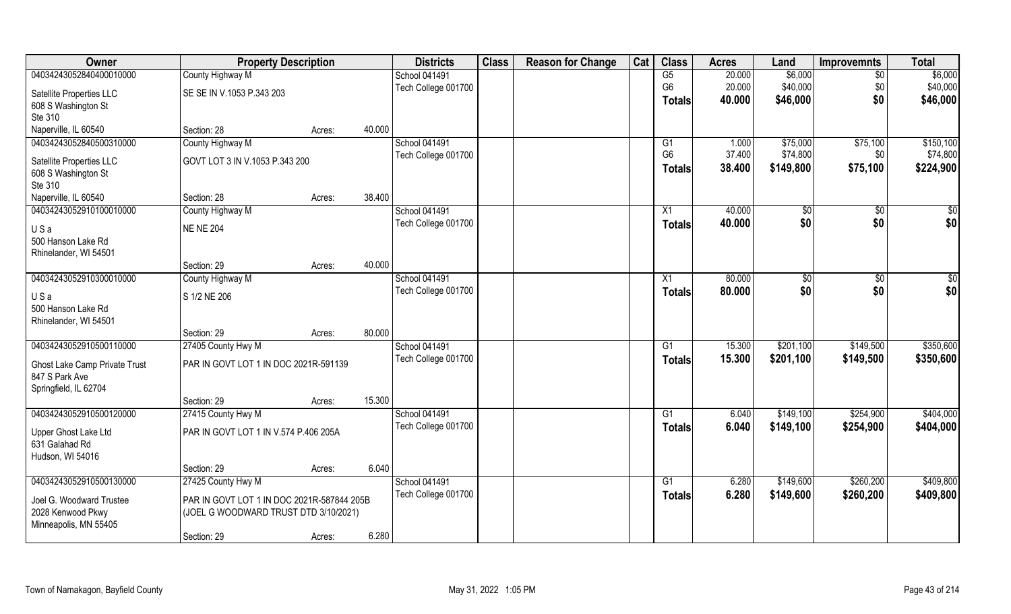| Owner                         | <b>Property Description</b>                |        |        | <b>Districts</b>     | <b>Class</b> | <b>Reason for Change</b> | Cat | <b>Class</b>    | <b>Acres</b> | Land           | <b>Improvemnts</b> | <b>Total</b> |
|-------------------------------|--------------------------------------------|--------|--------|----------------------|--------------|--------------------------|-----|-----------------|--------------|----------------|--------------------|--------------|
| 04034243052840400010000       | County Highway M                           |        |        | <b>School 041491</b> |              |                          |     | G5              | 20.000       | \$6,000        | $\overline{50}$    | \$6,000      |
| Satellite Properties LLC      | SE SE IN V.1053 P.343 203                  |        |        | Tech College 001700  |              |                          |     | G <sub>6</sub>  | 20.000       | \$40,000       | \$0                | \$40,000     |
| 608 S Washington St           |                                            |        |        |                      |              |                          |     | <b>Totals</b>   | 40.000       | \$46,000       | \$0                | \$46,000     |
| Ste 310                       |                                            |        |        |                      |              |                          |     |                 |              |                |                    |              |
| Naperville, IL 60540          | Section: 28                                | Acres: | 40.000 |                      |              |                          |     |                 |              |                |                    |              |
| 04034243052840500310000       | County Highway M                           |        |        | School 041491        |              |                          |     | G <sub>1</sub>  | 1.000        | \$75,000       | \$75,100           | \$150, 100   |
| Satellite Properties LLC      | GOVT LOT 3 IN V.1053 P.343 200             |        |        | Tech College 001700  |              |                          |     | G <sub>6</sub>  | 37.400       | \$74,800       | \$0                | \$74,800     |
| 608 S Washington St           |                                            |        |        |                      |              |                          |     | <b>Totals</b>   | 38.400       | \$149,800      | \$75,100           | \$224,900    |
| Ste 310                       |                                            |        |        |                      |              |                          |     |                 |              |                |                    |              |
| Naperville, IL 60540          | Section: 28                                | Acres: | 38.400 |                      |              |                          |     |                 |              |                |                    |              |
| 04034243052910100010000       | County Highway M                           |        |        | <b>School 041491</b> |              |                          |     | X1              | 40.000       | $\sqrt[6]{}$   | $\sqrt[6]{30}$     | \$0          |
| USa                           | <b>NE NE 204</b>                           |        |        | Tech College 001700  |              |                          |     | <b>Totals</b>   | 40.000       | \$0            | \$0                | \$0          |
| 500 Hanson Lake Rd            |                                            |        |        |                      |              |                          |     |                 |              |                |                    |              |
| Rhinelander, WI 54501         |                                            |        |        |                      |              |                          |     |                 |              |                |                    |              |
|                               | Section: 29                                | Acres: | 40.000 |                      |              |                          |     |                 |              |                |                    |              |
| 04034243052910300010000       | County Highway M                           |        |        | School 041491        |              |                          |     | X1              | 80.000       | $\frac{1}{20}$ | $\sqrt[6]{3}$      | \$0          |
| USa                           | S 1/2 NE 206                               |        |        | Tech College 001700  |              |                          |     | <b>Totals</b>   | 80.000       | \$0            | \$0                | \$0          |
| 500 Hanson Lake Rd            |                                            |        |        |                      |              |                          |     |                 |              |                |                    |              |
| Rhinelander, WI 54501         |                                            |        |        |                      |              |                          |     |                 |              |                |                    |              |
|                               | Section: 29                                | Acres: | 80.000 |                      |              |                          |     |                 |              |                |                    |              |
| 04034243052910500110000       | 27405 County Hwy M                         |        |        | School 041491        |              |                          |     | G1              | 15.300       | \$201,100      | \$149,500          | \$350,600    |
| Ghost Lake Camp Private Trust | PAR IN GOVT LOT 1 IN DOC 2021R-591139      |        |        | Tech College 001700  |              |                          |     | <b>Totals</b>   | 15.300       | \$201,100      | \$149,500          | \$350,600    |
| 847 S Park Ave                |                                            |        |        |                      |              |                          |     |                 |              |                |                    |              |
| Springfield, IL 62704         |                                            |        |        |                      |              |                          |     |                 |              |                |                    |              |
|                               | Section: 29                                | Acres: | 15.300 |                      |              |                          |     |                 |              |                |                    |              |
| 04034243052910500120000       | 27415 County Hwy M                         |        |        | School 041491        |              |                          |     | $\overline{G1}$ | 6.040        | \$149,100      | \$254,900          | \$404,000    |
| Upper Ghost Lake Ltd          | PAR IN GOVT LOT 1 IN V.574 P.406 205A      |        |        | Tech College 001700  |              |                          |     | <b>Totals</b>   | 6.040        | \$149,100      | \$254,900          | \$404,000    |
| 631 Galahad Rd                |                                            |        |        |                      |              |                          |     |                 |              |                |                    |              |
| Hudson, WI 54016              |                                            |        |        |                      |              |                          |     |                 |              |                |                    |              |
|                               | Section: 29                                | Acres: | 6.040  |                      |              |                          |     |                 |              |                |                    |              |
| 04034243052910500130000       | 27425 County Hwy M                         |        |        | School 041491        |              |                          |     | G <sub>1</sub>  | 6.280        | \$149,600      | \$260,200          | \$409,800    |
| Joel G. Woodward Trustee      | PAR IN GOVT LOT 1 IN DOC 2021R-587844 205B |        |        | Tech College 001700  |              |                          |     | <b>Totals</b>   | 6.280        | \$149,600      | \$260,200          | \$409,800    |
| 2028 Kenwood Pkwy             | (JOEL G WOODWARD TRUST DTD 3/10/2021)      |        |        |                      |              |                          |     |                 |              |                |                    |              |
| Minneapolis, MN 55405         |                                            |        |        |                      |              |                          |     |                 |              |                |                    |              |
|                               | Section: 29                                | Acres: | 6.280  |                      |              |                          |     |                 |              |                |                    |              |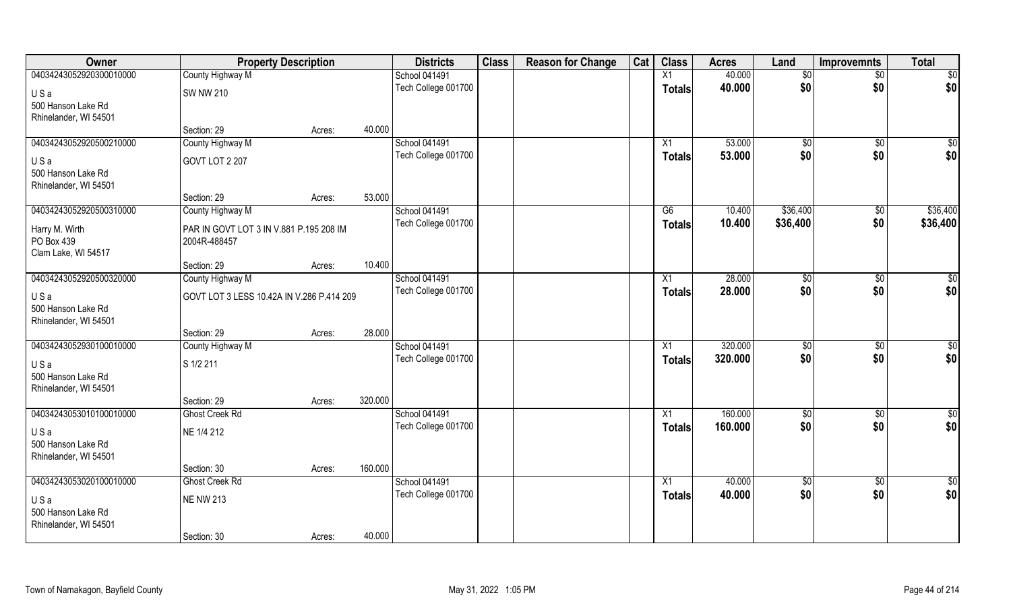| Owner                   | <b>Property Description</b>               |        |         | <b>Districts</b>    | <b>Class</b> | <b>Reason for Change</b> | Cat | <b>Class</b>    | <b>Acres</b> | Land         | <b>Improvemnts</b> | <b>Total</b> |
|-------------------------|-------------------------------------------|--------|---------|---------------------|--------------|--------------------------|-----|-----------------|--------------|--------------|--------------------|--------------|
| 04034243052920300010000 | County Highway M                          |        |         | School 041491       |              |                          |     | X1              | 40.000       | \$0          | $\sqrt{$0}$        | \$0          |
| USa                     | <b>SW NW 210</b>                          |        |         | Tech College 001700 |              |                          |     | <b>Totals</b>   | 40.000       | \$0          | \$0                | \$0          |
| 500 Hanson Lake Rd      |                                           |        |         |                     |              |                          |     |                 |              |              |                    |              |
| Rhinelander, WI 54501   |                                           |        |         |                     |              |                          |     |                 |              |              |                    |              |
|                         | Section: 29                               | Acres: | 40.000  |                     |              |                          |     |                 |              |              |                    |              |
| 04034243052920500210000 | County Highway M                          |        |         | School 041491       |              |                          |     | X1              | 53.000       | $\sqrt[6]{}$ | $\sqrt[6]{}$       | \$0          |
| USa                     | GOVT LOT 2 207                            |        |         | Tech College 001700 |              |                          |     | Totals          | 53.000       | \$0          | \$0                | \$0          |
| 500 Hanson Lake Rd      |                                           |        |         |                     |              |                          |     |                 |              |              |                    |              |
| Rhinelander, WI 54501   |                                           |        |         |                     |              |                          |     |                 |              |              |                    |              |
|                         | Section: 29                               | Acres: | 53.000  |                     |              |                          |     |                 |              |              |                    |              |
| 04034243052920500310000 | County Highway M                          |        |         | School 041491       |              |                          |     | G6              | 10.400       | \$36,400     | $\overline{30}$    | \$36,400     |
| Harry M. Wirth          | PAR IN GOVT LOT 3 IN V.881 P.195 208 IM   |        |         | Tech College 001700 |              |                          |     | <b>Totals</b>   | 10.400       | \$36,400     | \$0                | \$36,400     |
| PO Box 439              | 2004R-488457                              |        |         |                     |              |                          |     |                 |              |              |                    |              |
| Clam Lake, WI 54517     |                                           |        |         |                     |              |                          |     |                 |              |              |                    |              |
|                         | Section: 29                               | Acres: | 10.400  |                     |              |                          |     |                 |              |              |                    |              |
| 04034243052920500320000 | County Highway M                          |        |         | School 041491       |              |                          |     | X1              | 28.000       | \$0          | \$0                | $\sqrt{50}$  |
| USa                     | GOVT LOT 3 LESS 10.42A IN V.286 P.414 209 |        |         | Tech College 001700 |              |                          |     | <b>Totals</b>   | 28.000       | \$0          | \$0                | \$0          |
| 500 Hanson Lake Rd      |                                           |        |         |                     |              |                          |     |                 |              |              |                    |              |
| Rhinelander, WI 54501   |                                           |        |         |                     |              |                          |     |                 |              |              |                    |              |
|                         | Section: 29                               | Acres: | 28.000  |                     |              |                          |     |                 |              |              |                    |              |
| 04034243052930100010000 | County Highway M                          |        |         | School 041491       |              |                          |     | X1              | 320.000      | \$0          | $\overline{50}$    | $\sqrt{50}$  |
| USa                     | S 1/2 211                                 |        |         | Tech College 001700 |              |                          |     | <b>Totals</b>   | 320.000      | \$0          | \$0                | \$0          |
| 500 Hanson Lake Rd      |                                           |        |         |                     |              |                          |     |                 |              |              |                    |              |
| Rhinelander, WI 54501   |                                           |        |         |                     |              |                          |     |                 |              |              |                    |              |
|                         | Section: 29                               | Acres: | 320.000 |                     |              |                          |     |                 |              |              |                    |              |
| 04034243053010100010000 | <b>Ghost Creek Rd</b>                     |        |         | School 041491       |              |                          |     | $\overline{X1}$ | 160.000      | \$0          | $\sqrt{$0}$        | \$0          |
| USa                     | NE 1/4 212                                |        |         | Tech College 001700 |              |                          |     | <b>Totals</b>   | 160.000      | \$0          | \$0                | \$0          |
| 500 Hanson Lake Rd      |                                           |        |         |                     |              |                          |     |                 |              |              |                    |              |
| Rhinelander, WI 54501   |                                           |        |         |                     |              |                          |     |                 |              |              |                    |              |
|                         | Section: 30                               | Acres: | 160.000 |                     |              |                          |     |                 |              |              |                    |              |
| 04034243053020100010000 | <b>Ghost Creek Rd</b>                     |        |         | School 041491       |              |                          |     | $\overline{X1}$ | 40.000       | $\sqrt{6}$   | $\overline{60}$    | \$0          |
| USa                     | <b>NE NW 213</b>                          |        |         | Tech College 001700 |              |                          |     | <b>Totals</b>   | 40.000       | \$0          | \$0                | \$0          |
| 500 Hanson Lake Rd      |                                           |        |         |                     |              |                          |     |                 |              |              |                    |              |
| Rhinelander, WI 54501   |                                           |        |         |                     |              |                          |     |                 |              |              |                    |              |
|                         | Section: 30                               | Acres: | 40.000  |                     |              |                          |     |                 |              |              |                    |              |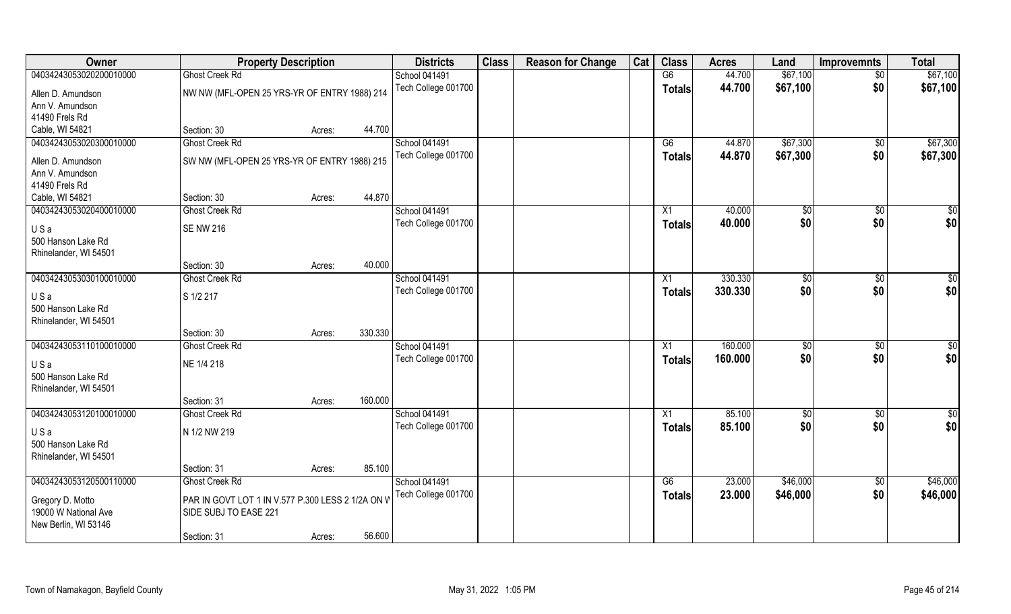| Owner                   | <b>Property Description</b>                       |                   | <b>Districts</b>     | <b>Class</b> | <b>Reason for Change</b> | Cat | <b>Class</b>  | <b>Acres</b> | Land           | <b>Improvemnts</b> | <b>Total</b>  |
|-------------------------|---------------------------------------------------|-------------------|----------------------|--------------|--------------------------|-----|---------------|--------------|----------------|--------------------|---------------|
| 04034243053020200010000 | <b>Ghost Creek Rd</b>                             |                   | School 041491        |              |                          |     | G6            | 44.700       | \$67,100       | $\overline{50}$    | \$67,100      |
| Allen D. Amundson       | NW NW (MFL-OPEN 25 YRS-YR OF ENTRY 1988) 214      |                   | Tech College 001700  |              |                          |     | <b>Totals</b> | 44.700       | \$67,100       | \$0                | \$67,100      |
| Ann V. Amundson         |                                                   |                   |                      |              |                          |     |               |              |                |                    |               |
| 41490 Frels Rd          |                                                   |                   |                      |              |                          |     |               |              |                |                    |               |
| Cable, WI 54821         | Section: 30                                       | 44.700<br>Acres:  |                      |              |                          |     |               |              |                |                    |               |
| 04034243053020300010000 | <b>Ghost Creek Rd</b>                             |                   | School 041491        |              |                          |     | G6            | 44.870       | \$67,300       | \$0                | \$67,300      |
| Allen D. Amundson       | SW NW (MFL-OPEN 25 YRS-YR OF ENTRY 1988) 215      |                   | Tech College 001700  |              |                          |     | <b>Totals</b> | 44.870       | \$67,300       | \$0                | \$67,300      |
| Ann V. Amundson         |                                                   |                   |                      |              |                          |     |               |              |                |                    |               |
| 41490 Frels Rd          |                                                   |                   |                      |              |                          |     |               |              |                |                    |               |
| Cable, WI 54821         | Section: 30                                       | 44.870<br>Acres:  |                      |              |                          |     |               |              |                |                    |               |
| 04034243053020400010000 | Ghost Creek Rd                                    |                   | School 041491        |              |                          |     | X1            | 40.000       | $\sqrt[6]{30}$ | $\sqrt[6]{3}$      | \$0           |
| USa                     | <b>SE NW 216</b>                                  |                   | Tech College 001700  |              |                          |     | <b>Totals</b> | 40.000       | \$0            | \$0                | \$0           |
| 500 Hanson Lake Rd      |                                                   |                   |                      |              |                          |     |               |              |                |                    |               |
| Rhinelander, WI 54501   |                                                   |                   |                      |              |                          |     |               |              |                |                    |               |
|                         | Section: 30                                       | 40.000<br>Acres:  |                      |              |                          |     |               |              |                |                    |               |
| 04034243053030100010000 | <b>Ghost Creek Rd</b>                             |                   | <b>School 041491</b> |              |                          |     | X1            | 330.330      | $\sqrt[6]{3}$  | $\sqrt[6]{3}$      | \$0           |
| USa                     | S 1/2 217                                         |                   | Tech College 001700  |              |                          |     | <b>Totals</b> | 330.330      | \$0            | \$0                | \$0           |
| 500 Hanson Lake Rd      |                                                   |                   |                      |              |                          |     |               |              |                |                    |               |
| Rhinelander, WI 54501   |                                                   |                   |                      |              |                          |     |               |              |                |                    |               |
|                         | Section: 30                                       | 330.330<br>Acres: |                      |              |                          |     |               |              |                |                    |               |
| 04034243053110100010000 | <b>Ghost Creek Rd</b>                             |                   | School 041491        |              |                          |     | X1            | 160.000      | $\sqrt[6]{3}$  | $\sqrt[6]{30}$     | \$0           |
| USa                     | NE 1/4 218                                        |                   | Tech College 001700  |              |                          |     | <b>Totals</b> | 160.000      | \$0            | \$0                | \$0           |
| 500 Hanson Lake Rd      |                                                   |                   |                      |              |                          |     |               |              |                |                    |               |
| Rhinelander, WI 54501   |                                                   |                   |                      |              |                          |     |               |              |                |                    |               |
|                         | Section: 31                                       | 160.000<br>Acres: |                      |              |                          |     |               |              |                |                    |               |
| 04034243053120100010000 | <b>Ghost Creek Rd</b>                             |                   | School 041491        |              |                          |     | X1            | 85.100       | \$0            | \$0                | $\frac{6}{3}$ |
| USa                     | N 1/2 NW 219                                      |                   | Tech College 001700  |              |                          |     | <b>Totals</b> | 85.100       | \$0            | \$0                | \$0           |
| 500 Hanson Lake Rd      |                                                   |                   |                      |              |                          |     |               |              |                |                    |               |
| Rhinelander, WI 54501   |                                                   |                   |                      |              |                          |     |               |              |                |                    |               |
|                         | Section: 31                                       | 85.100<br>Acres:  |                      |              |                          |     |               |              |                |                    |               |
| 04034243053120500110000 | <b>Ghost Creek Rd</b>                             |                   | School 041491        |              |                          |     | G6            | 23.000       | \$46,000       | $\sqrt{$0}$        | \$46,000      |
| Gregory D. Motto        | PAR IN GOVT LOT 1 IN V.577 P.300 LESS 2 1/2A ON V |                   | Tech College 001700  |              |                          |     | <b>Totals</b> | 23.000       | \$46,000       | \$0                | \$46,000      |
| 19000 W National Ave    | SIDE SUBJ TO EASE 221                             |                   |                      |              |                          |     |               |              |                |                    |               |
| New Berlin, WI 53146    |                                                   |                   |                      |              |                          |     |               |              |                |                    |               |
|                         | Section: 31                                       | 56.600<br>Acres:  |                      |              |                          |     |               |              |                |                    |               |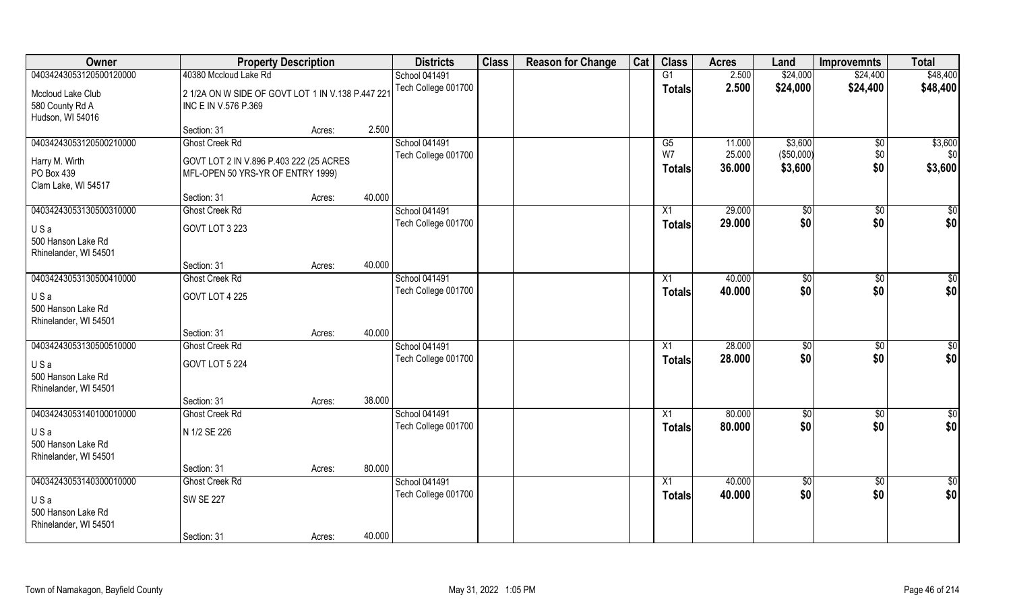| Owner                   | <b>Property Description</b>                       |        |        | <b>Districts</b>     | <b>Class</b> | <b>Reason for Change</b> | Cat | <b>Class</b>    | <b>Acres</b> | Land          | <b>Improvemnts</b> | <b>Total</b>    |
|-------------------------|---------------------------------------------------|--------|--------|----------------------|--------------|--------------------------|-----|-----------------|--------------|---------------|--------------------|-----------------|
| 04034243053120500120000 | 40380 Mccloud Lake Rd                             |        |        | <b>School 041491</b> |              |                          |     | G1              | 2.500        | \$24,000      | \$24,400           | \$48,400        |
| Mccloud Lake Club       | 2 1/2A ON W SIDE OF GOVT LOT 1 IN V.138 P.447 221 |        |        | Tech College 001700  |              |                          |     | <b>Totals</b>   | 2.500        | \$24,000      | \$24,400           | \$48,400        |
| 580 County Rd A         | INC E IN V.576 P.369                              |        |        |                      |              |                          |     |                 |              |               |                    |                 |
| Hudson, WI 54016        |                                                   |        |        |                      |              |                          |     |                 |              |               |                    |                 |
|                         | Section: 31                                       | Acres: | 2.500  |                      |              |                          |     |                 |              |               |                    |                 |
| 04034243053120500210000 | <b>Ghost Creek Rd</b>                             |        |        | School 041491        |              |                          |     | $\overline{G5}$ | 11.000       | \$3,600       | $\overline{50}$    | \$3,600         |
| Harry M. Wirth          | GOVT LOT 2 IN V.896 P.403 222 (25 ACRES           |        |        | Tech College 001700  |              |                          |     | W7              | 25.000       | (\$50,000)    | \$0                | \$0             |
| PO Box 439              | MFL-OPEN 50 YRS-YR OF ENTRY 1999)                 |        |        |                      |              |                          |     | Totals          | 36.000       | \$3,600       | \$0                | \$3,600         |
| Clam Lake, WI 54517     |                                                   |        |        |                      |              |                          |     |                 |              |               |                    |                 |
|                         | Section: 31                                       | Acres: | 40.000 |                      |              |                          |     |                 |              |               |                    |                 |
| 04034243053130500310000 | Ghost Creek Rd                                    |        |        | School 041491        |              |                          |     | X1              | 29.000       | \$0           | \$0                | \$0             |
| USa                     | GOVT LOT 3 223                                    |        |        | Tech College 001700  |              |                          |     | <b>Totals</b>   | 29.000       | \$0           | \$0                | \$0             |
| 500 Hanson Lake Rd      |                                                   |        |        |                      |              |                          |     |                 |              |               |                    |                 |
| Rhinelander, WI 54501   |                                                   |        |        |                      |              |                          |     |                 |              |               |                    |                 |
|                         | Section: 31                                       | Acres: | 40.000 |                      |              |                          |     |                 |              |               |                    |                 |
| 04034243053130500410000 | <b>Ghost Creek Rd</b>                             |        |        | School 041491        |              |                          |     | X1              | 40.000       | $\sqrt[6]{3}$ | $\sqrt[6]{3}$      | \$0             |
| USa                     | GOVT LOT 4 225                                    |        |        | Tech College 001700  |              |                          |     | <b>Totals</b>   | 40.000       | \$0           | \$0                | \$0             |
| 500 Hanson Lake Rd      |                                                   |        |        |                      |              |                          |     |                 |              |               |                    |                 |
| Rhinelander, WI 54501   |                                                   |        |        |                      |              |                          |     |                 |              |               |                    |                 |
|                         | Section: 31                                       | Acres: | 40.000 |                      |              |                          |     |                 |              |               |                    |                 |
| 04034243053130500510000 | <b>Ghost Creek Rd</b>                             |        |        | School 041491        |              |                          |     | X1              | 28.000       | $\sqrt[6]{3}$ | $\sqrt[6]{3}$      | \$0             |
| USa                     | GOVT LOT 5 224                                    |        |        | Tech College 001700  |              |                          |     | <b>Totals</b>   | 28.000       | \$0           | \$0                | \$0             |
| 500 Hanson Lake Rd      |                                                   |        |        |                      |              |                          |     |                 |              |               |                    |                 |
| Rhinelander, WI 54501   |                                                   |        |        |                      |              |                          |     |                 |              |               |                    |                 |
|                         | Section: 31                                       | Acres: | 38.000 |                      |              |                          |     |                 |              |               |                    |                 |
| 04034243053140100010000 | <b>Ghost Creek Rd</b>                             |        |        | <b>School 041491</b> |              |                          |     | X1              | 80.000       | \$0           | \$0                | $\frac{6}{3}$   |
| USa                     | N 1/2 SE 226                                      |        |        | Tech College 001700  |              |                          |     | <b>Totals</b>   | 80.000       | \$0           | \$0                | \$0             |
| 500 Hanson Lake Rd      |                                                   |        |        |                      |              |                          |     |                 |              |               |                    |                 |
| Rhinelander, WI 54501   |                                                   |        |        |                      |              |                          |     |                 |              |               |                    |                 |
|                         | Section: 31                                       | Acres: | 80.000 |                      |              |                          |     |                 |              |               |                    |                 |
| 04034243053140300010000 | <b>Ghost Creek Rd</b>                             |        |        | School 041491        |              |                          |     | X1              | 40.000       | $\sqrt{6}$    | $\sqrt{$0}$        | $\overline{50}$ |
| USa                     | <b>SW SE 227</b>                                  |        |        | Tech College 001700  |              |                          |     | <b>Totals</b>   | 40.000       | \$0           | \$0                | \$0             |
| 500 Hanson Lake Rd      |                                                   |        |        |                      |              |                          |     |                 |              |               |                    |                 |
| Rhinelander, WI 54501   |                                                   |        |        |                      |              |                          |     |                 |              |               |                    |                 |
|                         | Section: 31                                       | Acres: | 40.000 |                      |              |                          |     |                 |              |               |                    |                 |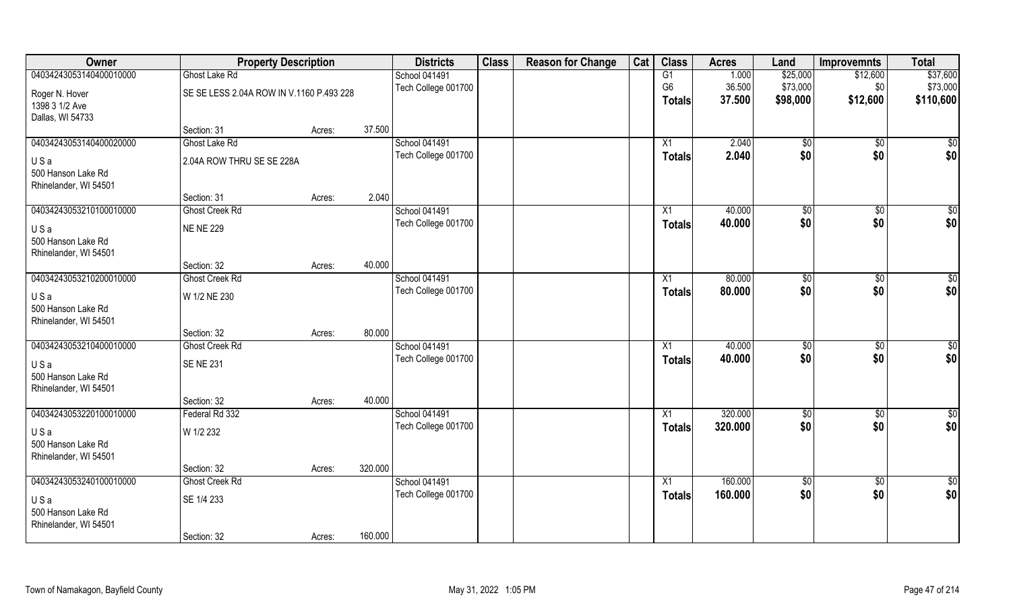| <b>Owner</b>            | <b>Property Description</b>              |        |         | <b>Districts</b>     | <b>Class</b> | <b>Reason for Change</b> | Cat | <b>Class</b>    | <b>Acres</b> | Land           | <b>Improvemnts</b> | <b>Total</b>    |
|-------------------------|------------------------------------------|--------|---------|----------------------|--------------|--------------------------|-----|-----------------|--------------|----------------|--------------------|-----------------|
| 04034243053140400010000 | Ghost Lake Rd                            |        |         | School 041491        |              |                          |     | G1              | 1.000        | \$25,000       | \$12,600           | \$37,600        |
| Roger N. Hover          | SE SE LESS 2.04A ROW IN V.1160 P.493 228 |        |         | Tech College 001700  |              |                          |     | G <sub>6</sub>  | 36.500       | \$73,000       | \$0                | \$73,000        |
| 1398 3 1/2 Ave          |                                          |        |         |                      |              |                          |     | <b>Totals</b>   | 37.500       | \$98,000       | \$12,600           | \$110,600       |
| Dallas, WI 54733        |                                          |        |         |                      |              |                          |     |                 |              |                |                    |                 |
|                         | Section: 31                              | Acres: | 37.500  |                      |              |                          |     |                 |              |                |                    |                 |
| 04034243053140400020000 | Ghost Lake Rd                            |        |         | <b>School 041491</b> |              |                          |     | $\overline{X1}$ | 2.040        | $\sqrt[6]{}$   | $\sqrt{$0}$        | \$0             |
| USa                     | 2.04A ROW THRU SE SE 228A                |        |         | Tech College 001700  |              |                          |     | Totals          | 2.040        | \$0            | \$0                | \$0             |
| 500 Hanson Lake Rd      |                                          |        |         |                      |              |                          |     |                 |              |                |                    |                 |
| Rhinelander, WI 54501   |                                          |        |         |                      |              |                          |     |                 |              |                |                    |                 |
|                         | Section: 31                              | Acres: | 2.040   |                      |              |                          |     |                 |              |                |                    |                 |
| 04034243053210100010000 | Ghost Creek Rd                           |        |         | School 041491        |              |                          |     | X1              | 40.000       | \$0            | $\sqrt[6]{3}$      | $\sqrt{50}$     |
| USa                     | <b>NE NE 229</b>                         |        |         | Tech College 001700  |              |                          |     | <b>Totals</b>   | 40.000       | \$0            | \$0                | \$0             |
| 500 Hanson Lake Rd      |                                          |        |         |                      |              |                          |     |                 |              |                |                    |                 |
| Rhinelander, WI 54501   |                                          |        |         |                      |              |                          |     |                 |              |                |                    |                 |
|                         | Section: 32                              | Acres: | 40.000  |                      |              |                          |     |                 |              |                |                    |                 |
| 04034243053210200010000 | <b>Ghost Creek Rd</b>                    |        |         | <b>School 041491</b> |              |                          |     | X1              | 80.000       | $\frac{1}{20}$ | $\sqrt[6]{3}$      | \$0             |
| USa                     | W 1/2 NE 230                             |        |         | Tech College 001700  |              |                          |     | <b>Totals</b>   | 80.000       | \$0            | \$0                | \$0             |
| 500 Hanson Lake Rd      |                                          |        |         |                      |              |                          |     |                 |              |                |                    |                 |
| Rhinelander, WI 54501   |                                          |        |         |                      |              |                          |     |                 |              |                |                    |                 |
|                         | Section: 32                              | Acres: | 80.000  |                      |              |                          |     |                 |              |                |                    |                 |
| 04034243053210400010000 | <b>Ghost Creek Rd</b>                    |        |         | School 041491        |              |                          |     | X1              | 40.000       | \$0            | \$0                | \$0             |
| USa                     | <b>SENE 231</b>                          |        |         | Tech College 001700  |              |                          |     | <b>Totals</b>   | 40.000       | \$0            | \$0                | \$0             |
| 500 Hanson Lake Rd      |                                          |        |         |                      |              |                          |     |                 |              |                |                    |                 |
| Rhinelander, WI 54501   |                                          |        |         |                      |              |                          |     |                 |              |                |                    |                 |
|                         | Section: 32                              | Acres: | 40.000  |                      |              |                          |     |                 |              |                |                    |                 |
| 04034243053220100010000 | Federal Rd 332                           |        |         | <b>School 041491</b> |              |                          |     | X1              | 320.000      | \$0            | \$0                | $\overline{50}$ |
| USa                     | W 1/2 232                                |        |         | Tech College 001700  |              |                          |     | <b>Totals</b>   | 320.000      | \$0            | \$0                | \$0             |
| 500 Hanson Lake Rd      |                                          |        |         |                      |              |                          |     |                 |              |                |                    |                 |
| Rhinelander, WI 54501   |                                          |        |         |                      |              |                          |     |                 |              |                |                    |                 |
|                         | Section: 32                              | Acres: | 320.000 |                      |              |                          |     |                 |              |                |                    |                 |
| 04034243053240100010000 | <b>Ghost Creek Rd</b>                    |        |         | <b>School 041491</b> |              |                          |     | X1              | 160.000      | $\sqrt{6}$     | $\sqrt{$0}$        | $\overline{50}$ |
| USa                     | SE 1/4 233                               |        |         | Tech College 001700  |              |                          |     | Totals          | 160.000      | \$0            | \$0                | \$0             |
| 500 Hanson Lake Rd      |                                          |        |         |                      |              |                          |     |                 |              |                |                    |                 |
| Rhinelander, WI 54501   |                                          |        |         |                      |              |                          |     |                 |              |                |                    |                 |
|                         | Section: 32                              | Acres: | 160.000 |                      |              |                          |     |                 |              |                |                    |                 |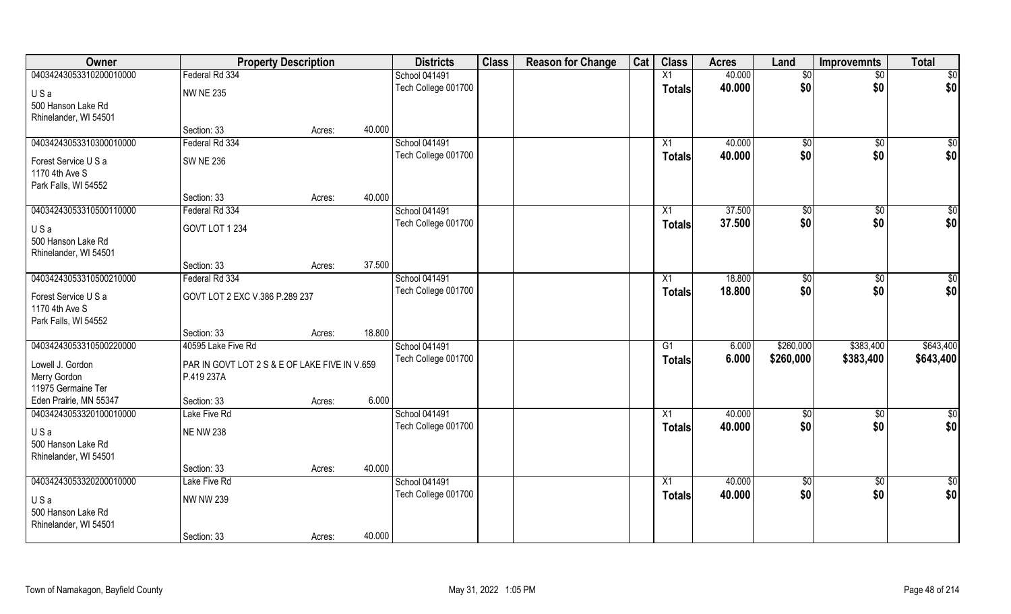| Owner                   | <b>Property Description</b>                   |        |        | <b>Districts</b>                     | <b>Class</b> | <b>Reason for Change</b> | Cat | <b>Class</b>    | <b>Acres</b>     | Land               | <b>Improvemnts</b>     | <b>Total</b> |
|-------------------------|-----------------------------------------------|--------|--------|--------------------------------------|--------------|--------------------------|-----|-----------------|------------------|--------------------|------------------------|--------------|
| 04034243053310200010000 | Federal Rd 334                                |        |        | School 041491                        |              |                          |     | X1              | 40.000           | \$0                | $\sqrt{$0}$            | $\sqrt{50}$  |
| USa                     | <b>NW NE 235</b>                              |        |        | Tech College 001700                  |              |                          |     | <b>Totals</b>   | 40.000           | \$0                | \$0                    | \$0          |
| 500 Hanson Lake Rd      |                                               |        |        |                                      |              |                          |     |                 |                  |                    |                        |              |
| Rhinelander, WI 54501   |                                               |        |        |                                      |              |                          |     |                 |                  |                    |                        |              |
|                         | Section: 33                                   | Acres: | 40.000 |                                      |              |                          |     |                 |                  |                    |                        |              |
| 04034243053310300010000 | Federal Rd 334                                |        |        | School 041491                        |              |                          |     | X1              | 40.000           | \$0                | $\sqrt[6]{}$           | \$0          |
| Forest Service U S a    | <b>SW NE 236</b>                              |        |        | Tech College 001700                  |              |                          |     | Totals          | 40.000           | \$0                | \$0                    | \$0          |
| 1170 4th Ave S          |                                               |        |        |                                      |              |                          |     |                 |                  |                    |                        |              |
| Park Falls, WI 54552    |                                               |        |        |                                      |              |                          |     |                 |                  |                    |                        |              |
|                         | Section: 33                                   | Acres: | 40.000 |                                      |              |                          |     |                 |                  |                    |                        |              |
| 04034243053310500110000 | Federal Rd 334                                |        |        | School 041491                        |              |                          |     | X1              | 37.500           | \$0                | $\overline{50}$        | $\sqrt{50}$  |
| USa                     | GOVT LOT 1 234                                |        |        | Tech College 001700                  |              |                          |     | <b>Totals</b>   | 37.500           | \$0                | \$0                    | \$0          |
| 500 Hanson Lake Rd      |                                               |        |        |                                      |              |                          |     |                 |                  |                    |                        |              |
| Rhinelander, WI 54501   |                                               |        |        |                                      |              |                          |     |                 |                  |                    |                        |              |
|                         | Section: 33                                   | Acres: | 37.500 |                                      |              |                          |     |                 |                  |                    |                        |              |
| 04034243053310500210000 | Federal Rd 334                                |        |        | School 041491                        |              |                          |     | X1              | 18.800           | \$0                | \$0                    | $\sqrt{50}$  |
| Forest Service U S a    | GOVT LOT 2 EXC V.386 P.289 237                |        |        | Tech College 001700                  |              |                          |     | <b>Totals</b>   | 18.800           | \$0                | \$0                    | \$0          |
| 1170 4th Ave S          |                                               |        |        |                                      |              |                          |     |                 |                  |                    |                        |              |
| Park Falls, WI 54552    |                                               |        |        |                                      |              |                          |     |                 |                  |                    |                        |              |
|                         | Section: 33                                   | Acres: | 18.800 |                                      |              |                          |     |                 |                  |                    |                        |              |
| 04034243053310500220000 | 40595 Lake Five Rd                            |        |        | School 041491                        |              |                          |     | $\overline{G1}$ | 6.000            | \$260,000          | \$383,400              | \$643,400    |
| Lowell J. Gordon        | PAR IN GOVT LOT 2 S & E OF LAKE FIVE IN V.659 |        |        | Tech College 001700                  |              |                          |     | <b>Totals</b>   | 6.000            | \$260,000          | \$383,400              | \$643,400    |
| Merry Gordon            | P.419 237A                                    |        |        |                                      |              |                          |     |                 |                  |                    |                        |              |
| 11975 Germaine Ter      |                                               |        |        |                                      |              |                          |     |                 |                  |                    |                        |              |
| Eden Prairie, MN 55347  | Section: 33                                   | Acres: | 6.000  |                                      |              |                          |     |                 |                  |                    |                        |              |
| 04034243053320100010000 | Lake Five Rd                                  |        |        | School 041491                        |              |                          |     | $\overline{X1}$ | 40.000           | \$0                | $\sqrt{$0}$            | \$0          |
| USa                     | <b>NE NW 238</b>                              |        |        | Tech College 001700                  |              |                          |     | <b>Totals</b>   | 40.000           | \$0                | \$0                    | \$0          |
| 500 Hanson Lake Rd      |                                               |        |        |                                      |              |                          |     |                 |                  |                    |                        |              |
| Rhinelander, WI 54501   |                                               |        |        |                                      |              |                          |     |                 |                  |                    |                        |              |
|                         | Section: 33                                   | Acres: | 40.000 |                                      |              |                          |     |                 |                  |                    |                        |              |
| 04034243053320200010000 | Lake Five Rd                                  |        |        | School 041491<br>Tech College 001700 |              |                          |     | $\overline{X1}$ | 40.000<br>40.000 | $\sqrt{50}$<br>\$0 | $\overline{60}$<br>\$0 | \$0          |
| USa                     | <b>NW NW 239</b>                              |        |        |                                      |              |                          |     | <b>Totals</b>   |                  |                    |                        | \$0          |
| 500 Hanson Lake Rd      |                                               |        |        |                                      |              |                          |     |                 |                  |                    |                        |              |
| Rhinelander, WI 54501   |                                               |        |        |                                      |              |                          |     |                 |                  |                    |                        |              |
|                         | Section: 33                                   | Acres: | 40.000 |                                      |              |                          |     |                 |                  |                    |                        |              |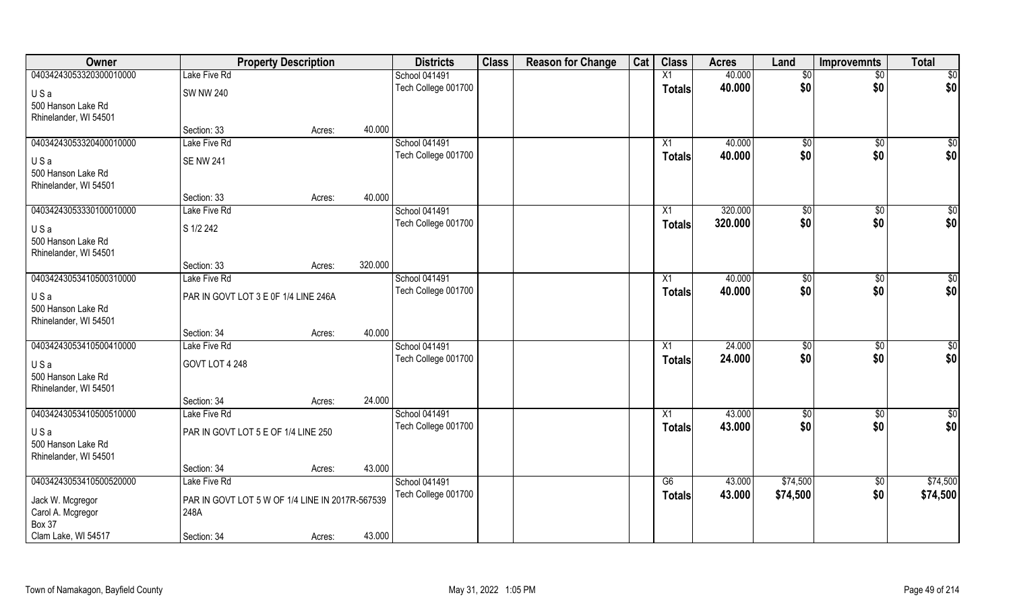| Owner                   | <b>Property Description</b>                     |        | <b>Districts</b>     | <b>Class</b> | <b>Reason for Change</b> | Cat | <b>Class</b>  | <b>Acres</b> | Land           | Improvemnts     | <b>Total</b>    |
|-------------------------|-------------------------------------------------|--------|----------------------|--------------|--------------------------|-----|---------------|--------------|----------------|-----------------|-----------------|
| 04034243053320300010000 | Lake Five Rd                                    |        | <b>School 041491</b> |              |                          |     | X1            | 40.000       | $\sqrt[6]{}$   | $\overline{50}$ | $\overline{50}$ |
| USa                     | <b>SW NW 240</b>                                |        | Tech College 001700  |              |                          |     | <b>Totals</b> | 40.000       | \$0            | \$0             | \$0             |
| 500 Hanson Lake Rd      |                                                 |        |                      |              |                          |     |               |              |                |                 |                 |
| Rhinelander, WI 54501   |                                                 |        |                      |              |                          |     |               |              |                |                 |                 |
|                         | Section: 33                                     | Acres: | 40.000               |              |                          |     |               |              |                |                 |                 |
| 04034243053320400010000 | Lake Five Rd                                    |        | School 041491        |              |                          |     | X1            | 40.000       | $\sqrt[6]{}$   | $\sqrt{$0}$     | $\sqrt{50}$     |
| USa                     | <b>SE NW 241</b>                                |        | Tech College 001700  |              |                          |     | <b>Totals</b> | 40.000       | \$0            | \$0             | \$0             |
| 500 Hanson Lake Rd      |                                                 |        |                      |              |                          |     |               |              |                |                 |                 |
| Rhinelander, WI 54501   |                                                 |        |                      |              |                          |     |               |              |                |                 |                 |
|                         | Section: 33                                     | Acres: | 40.000               |              |                          |     |               |              |                |                 |                 |
| 04034243053330100010000 | Lake Five Rd                                    |        | School 041491        |              |                          |     | X1            | 320.000      | \$0            | $\sqrt[6]{3}$   | $\sqrt{50}$     |
| USa                     | S 1/2 242                                       |        | Tech College 001700  |              |                          |     | <b>Totals</b> | 320.000      | \$0            | \$0             | \$0             |
| 500 Hanson Lake Rd      |                                                 |        |                      |              |                          |     |               |              |                |                 |                 |
| Rhinelander, WI 54501   |                                                 |        |                      |              |                          |     |               |              |                |                 |                 |
|                         | Section: 33                                     | Acres: | 320.000              |              |                          |     |               |              |                |                 |                 |
| 04034243053410500310000 | Lake Five Rd                                    |        | School 041491        |              |                          |     | X1            | 40.000       | $\frac{1}{20}$ | $\sqrt[6]{3}$   | \$0             |
| USa                     | PAR IN GOVT LOT 3 E 0F 1/4 LINE 246A            |        | Tech College 001700  |              |                          |     | <b>Totals</b> | 40.000       | \$0            | \$0             | \$0             |
| 500 Hanson Lake Rd      |                                                 |        |                      |              |                          |     |               |              |                |                 |                 |
| Rhinelander, WI 54501   |                                                 |        |                      |              |                          |     |               |              |                |                 |                 |
|                         | Section: 34                                     | Acres: | 40.000               |              |                          |     |               |              |                |                 |                 |
| 04034243053410500410000 | Lake Five Rd                                    |        | School 041491        |              |                          |     | X1            | 24.000       | \$0            | $\sqrt[6]{3}$   | $\sqrt{50}$     |
| USa                     | GOVT LOT 4 248                                  |        | Tech College 001700  |              |                          |     | <b>Totals</b> | 24.000       | \$0            | \$0             | \$0             |
| 500 Hanson Lake Rd      |                                                 |        |                      |              |                          |     |               |              |                |                 |                 |
| Rhinelander, WI 54501   |                                                 |        |                      |              |                          |     |               |              |                |                 |                 |
|                         | Section: 34                                     | Acres: | 24.000               |              |                          |     |               |              |                |                 |                 |
| 04034243053410500510000 | Lake Five Rd                                    |        | School 041491        |              |                          |     | X1            | 43.000       | \$0            | \$0             | \$0             |
| USa                     | PAR IN GOVT LOT 5 E OF 1/4 LINE 250             |        | Tech College 001700  |              |                          |     | <b>Totals</b> | 43.000       | \$0            | \$0             | \$0             |
| 500 Hanson Lake Rd      |                                                 |        |                      |              |                          |     |               |              |                |                 |                 |
| Rhinelander, WI 54501   |                                                 |        |                      |              |                          |     |               |              |                |                 |                 |
|                         | Section: 34                                     | Acres: | 43.000               |              |                          |     |               |              |                |                 |                 |
| 04034243053410500520000 | Lake Five Rd                                    |        | School 041491        |              |                          |     | G6            | 43.000       | \$74,500       | $\sqrt{$0}$     | \$74,500        |
| Jack W. Mcgregor        | PAR IN GOVT LOT 5 W OF 1/4 LINE IN 2017R-567539 |        | Tech College 001700  |              |                          |     | <b>Totals</b> | 43.000       | \$74,500       | \$0             | \$74,500        |
| Carol A. Mcgregor       | 248A                                            |        |                      |              |                          |     |               |              |                |                 |                 |
| Box 37                  |                                                 |        |                      |              |                          |     |               |              |                |                 |                 |
| Clam Lake, WI 54517     | Section: 34                                     | Acres: | 43.000               |              |                          |     |               |              |                |                 |                 |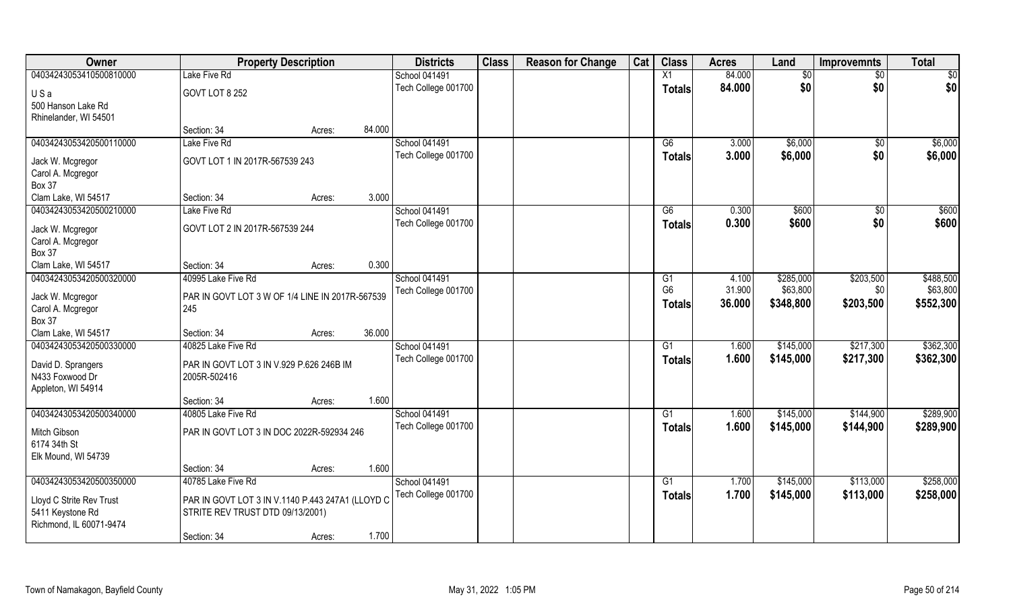| Owner                    | <b>Property Description</b>                      |        |        | <b>Districts</b>     | <b>Class</b> | <b>Reason for Change</b> | Cat | <b>Class</b>   | <b>Acres</b> | Land      | <b>Improvemnts</b> | <b>Total</b> |
|--------------------------|--------------------------------------------------|--------|--------|----------------------|--------------|--------------------------|-----|----------------|--------------|-----------|--------------------|--------------|
| 04034243053410500810000  | Lake Five Rd                                     |        |        | School 041491        |              |                          |     | X1             | 84.000       | \$0       | $\sqrt{$0}$        | $\sqrt{50}$  |
| USa                      | GOVT LOT 8 252                                   |        |        | Tech College 001700  |              |                          |     | <b>Totals</b>  | 84.000       | \$0       | \$0                | \$0          |
| 500 Hanson Lake Rd       |                                                  |        |        |                      |              |                          |     |                |              |           |                    |              |
| Rhinelander, WI 54501    |                                                  |        |        |                      |              |                          |     |                |              |           |                    |              |
|                          | Section: 34                                      | Acres: | 84.000 |                      |              |                          |     |                |              |           |                    |              |
| 04034243053420500110000  | Lake Five Rd                                     |        |        | <b>School 041491</b> |              |                          |     | G6             | 3.000        | \$6,000   | \$0                | \$6,000      |
| Jack W. Mcgregor         | GOVT LOT 1 IN 2017R-567539 243                   |        |        | Tech College 001700  |              |                          |     | Totals         | 3.000        | \$6,000   | \$0                | \$6,000      |
| Carol A. Mcgregor        |                                                  |        |        |                      |              |                          |     |                |              |           |                    |              |
| <b>Box 37</b>            |                                                  |        |        |                      |              |                          |     |                |              |           |                    |              |
| Clam Lake, WI 54517      | Section: 34                                      | Acres: | 3.000  |                      |              |                          |     |                |              |           |                    |              |
| 04034243053420500210000  | Lake Five Rd                                     |        |        | School 041491        |              |                          |     | G6             | 0.300        | \$600     | $\sqrt{6}$         | \$600        |
| Jack W. Mcgregor         | GOVT LOT 2 IN 2017R-567539 244                   |        |        | Tech College 001700  |              |                          |     | <b>Totals</b>  | 0.300        | \$600     | \$0                | \$600        |
| Carol A. Mcgregor        |                                                  |        |        |                      |              |                          |     |                |              |           |                    |              |
| <b>Box 37</b>            |                                                  |        |        |                      |              |                          |     |                |              |           |                    |              |
| Clam Lake, WI 54517      | Section: 34                                      | Acres: | 0.300  |                      |              |                          |     |                |              |           |                    |              |
| 04034243053420500320000  | 40995 Lake Five Rd                               |        |        | School 041491        |              |                          |     | G1             | 4.100        | \$285,000 | \$203,500          | \$488,500    |
| Jack W. Mcgregor         | PAR IN GOVT LOT 3 W OF 1/4 LINE IN 2017R-567539  |        |        | Tech College 001700  |              |                          |     | G <sub>6</sub> | 31.900       | \$63,800  | \$0                | \$63,800     |
| Carol A. Mcgregor        | 245                                              |        |        |                      |              |                          |     | <b>Totals</b>  | 36.000       | \$348,800 | \$203,500          | \$552,300    |
| <b>Box 37</b>            |                                                  |        |        |                      |              |                          |     |                |              |           |                    |              |
| Clam Lake, WI 54517      | Section: 34                                      | Acres: | 36.000 |                      |              |                          |     |                |              |           |                    |              |
| 04034243053420500330000  | 40825 Lake Five Rd                               |        |        | School 041491        |              |                          |     | G1             | 1.600        | \$145,000 | \$217,300          | \$362,300    |
| David D. Sprangers       | PAR IN GOVT LOT 3 IN V.929 P.626 246B IM         |        |        | Tech College 001700  |              |                          |     | <b>Totals</b>  | 1.600        | \$145,000 | \$217,300          | \$362,300    |
| N433 Foxwood Dr          | 2005R-502416                                     |        |        |                      |              |                          |     |                |              |           |                    |              |
| Appleton, WI 54914       |                                                  |        |        |                      |              |                          |     |                |              |           |                    |              |
|                          | Section: 34                                      | Acres: | 1.600  |                      |              |                          |     |                |              |           |                    |              |
| 04034243053420500340000  | 40805 Lake Five Rd                               |        |        | School 041491        |              |                          |     | G1             | 1.600        | \$145,000 | \$144,900          | \$289,900    |
| Mitch Gibson             | PAR IN GOVT LOT 3 IN DOC 2022R-592934 246        |        |        | Tech College 001700  |              |                          |     | <b>Totals</b>  | 1.600        | \$145,000 | \$144,900          | \$289,900    |
| 6174 34th St             |                                                  |        |        |                      |              |                          |     |                |              |           |                    |              |
| Elk Mound, WI 54739      |                                                  |        |        |                      |              |                          |     |                |              |           |                    |              |
|                          | Section: 34                                      | Acres: | 1.600  |                      |              |                          |     |                |              |           |                    |              |
| 04034243053420500350000  | 40785 Lake Five Rd                               |        |        | School 041491        |              |                          |     | G1             | 1.700        | \$145,000 | \$113,000          | \$258,000    |
| Lloyd C Strite Rev Trust | PAR IN GOVT LOT 3 IN V.1140 P.443 247A1 (LLOYD C |        |        | Tech College 001700  |              |                          |     | <b>Totals</b>  | 1.700        | \$145,000 | \$113,000          | \$258,000    |
| 5411 Keystone Rd         | STRITE REV TRUST DTD 09/13/2001)                 |        |        |                      |              |                          |     |                |              |           |                    |              |
| Richmond, IL 60071-9474  |                                                  |        |        |                      |              |                          |     |                |              |           |                    |              |
|                          | Section: 34                                      | Acres: | 1.700  |                      |              |                          |     |                |              |           |                    |              |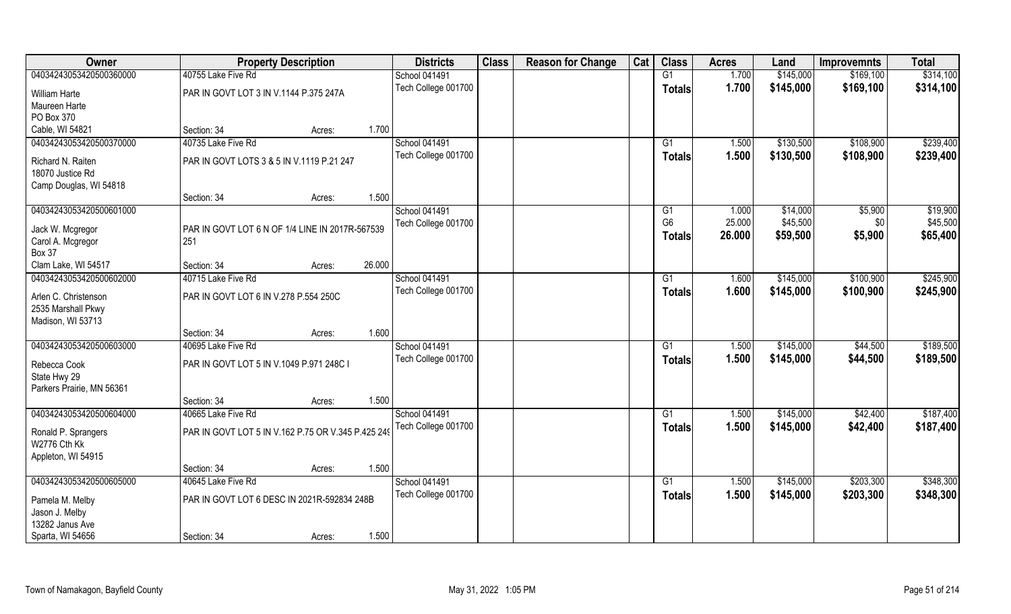| Owner                                                           |                                                        | <b>Property Description</b> |        | <b>Districts</b>     | <b>Class</b> | <b>Reason for Change</b> | Cat | <b>Class</b>                    | <b>Acres</b>     | Land                 | <b>Improvemnts</b> | <b>Total</b>         |
|-----------------------------------------------------------------|--------------------------------------------------------|-----------------------------|--------|----------------------|--------------|--------------------------|-----|---------------------------------|------------------|----------------------|--------------------|----------------------|
| 04034243053420500360000                                         | 40755 Lake Five Rd                                     |                             |        | <b>School 041491</b> |              |                          |     | G1                              | 1.700            | \$145,000            | \$169,100          | \$314,100            |
| William Harte<br>Maureen Harte                                  | PAR IN GOVT LOT 3 IN V.1144 P.375 247A                 |                             |        | Tech College 001700  |              |                          |     | <b>Totals</b>                   | 1.700            | \$145,000            | \$169,100          | \$314,100            |
| PO Box 370                                                      |                                                        |                             |        |                      |              |                          |     |                                 |                  |                      |                    |                      |
| Cable, WI 54821                                                 | Section: 34                                            | Acres:                      | 1.700  |                      |              |                          |     |                                 |                  |                      |                    |                      |
| 04034243053420500370000                                         | 40735 Lake Five Rd                                     |                             |        | <b>School 041491</b> |              |                          |     | G1                              | 1.500            | \$130,500            | \$108,900          | \$239,400            |
| Richard N. Raiten<br>18070 Justice Rd<br>Camp Douglas, WI 54818 | PAR IN GOVT LOTS 3 & 5 IN V.1119 P.21 247              |                             |        | Tech College 001700  |              |                          |     | <b>Totals</b>                   | 1.500            | \$130,500            | \$108,900          | \$239,400            |
|                                                                 | Section: 34                                            | Acres:                      | 1.500  |                      |              |                          |     |                                 |                  |                      |                    |                      |
| 04034243053420500601000                                         |                                                        |                             |        | School 041491        |              |                          |     | G1                              | 1.000            | \$14,000             | \$5,900            | \$19,900             |
| Jack W. Mcgregor<br>Carol A. Mcgregor<br><b>Box 37</b>          | PAR IN GOVT LOT 6 N OF 1/4 LINE IN 2017R-567539<br>251 |                             |        | Tech College 001700  |              |                          |     | G <sub>6</sub><br><b>Totals</b> | 25.000<br>26.000 | \$45,500<br>\$59,500 | \$0<br>\$5,900     | \$45,500<br>\$65,400 |
| Clam Lake, WI 54517                                             | Section: 34                                            | Acres:                      | 26.000 |                      |              |                          |     |                                 |                  |                      |                    |                      |
| 04034243053420500602000                                         | 40715 Lake Five Rd                                     |                             |        | School 041491        |              |                          |     | G1                              | 1.600            | \$145,000            | \$100,900          | \$245,900            |
| Arlen C. Christenson<br>2535 Marshall Pkwy<br>Madison, WI 53713 | PAR IN GOVT LOT 6 IN V.278 P.554 250C                  |                             |        | Tech College 001700  |              |                          |     | <b>Totals</b>                   | 1.600            | \$145,000            | \$100,900          | \$245,900            |
|                                                                 | Section: 34                                            | Acres:                      | 1.600  |                      |              |                          |     |                                 |                  |                      |                    |                      |
| 04034243053420500603000                                         | 40695 Lake Five Rd                                     |                             |        | School 041491        |              |                          |     | G1                              | 1.500            | \$145,000            | \$44,500           | \$189,500            |
| Rebecca Cook<br>State Hwy 29<br>Parkers Prairie, MN 56361       | PAR IN GOVT LOT 5 IN V.1049 P.971 248C I               |                             |        | Tech College 001700  |              |                          |     | <b>Totals</b>                   | 1.500            | \$145,000            | \$44,500           | \$189,500            |
|                                                                 | Section: 34                                            | Acres:                      | 1.500  |                      |              |                          |     |                                 |                  |                      |                    |                      |
| 04034243053420500604000                                         | 40665 Lake Five Rd                                     |                             |        | School 041491        |              |                          |     | G1                              | 1.500            | \$145,000            | \$42,400           | \$187,400            |
| Ronald P. Sprangers<br>W2776 Cth Kk<br>Appleton, WI 54915       | PAR IN GOVT LOT 5 IN V.162 P.75 OR V.345 P.425 249     |                             |        | Tech College 001700  |              |                          |     | <b>Totals</b>                   | 1.500            | \$145,000            | \$42,400           | \$187,400            |
|                                                                 | Section: 34                                            | Acres:                      | 1.500  |                      |              |                          |     |                                 |                  |                      |                    |                      |
| 04034243053420500605000                                         | 40645 Lake Five Rd                                     |                             |        | School 041491        |              |                          |     | $\overline{G1}$                 | 1.500            | \$145,000            | \$203,300          | \$348,300            |
| Pamela M. Melby<br>Jason J. Melby                               | PAR IN GOVT LOT 6 DESC IN 2021R-592834 248B            |                             |        | Tech College 001700  |              |                          |     | <b>Totals</b>                   | 1.500            | \$145,000            | \$203,300          | \$348,300            |
| 13282 Janus Ave<br>Sparta, WI 54656                             | Section: 34                                            | Acres:                      | 1.500  |                      |              |                          |     |                                 |                  |                      |                    |                      |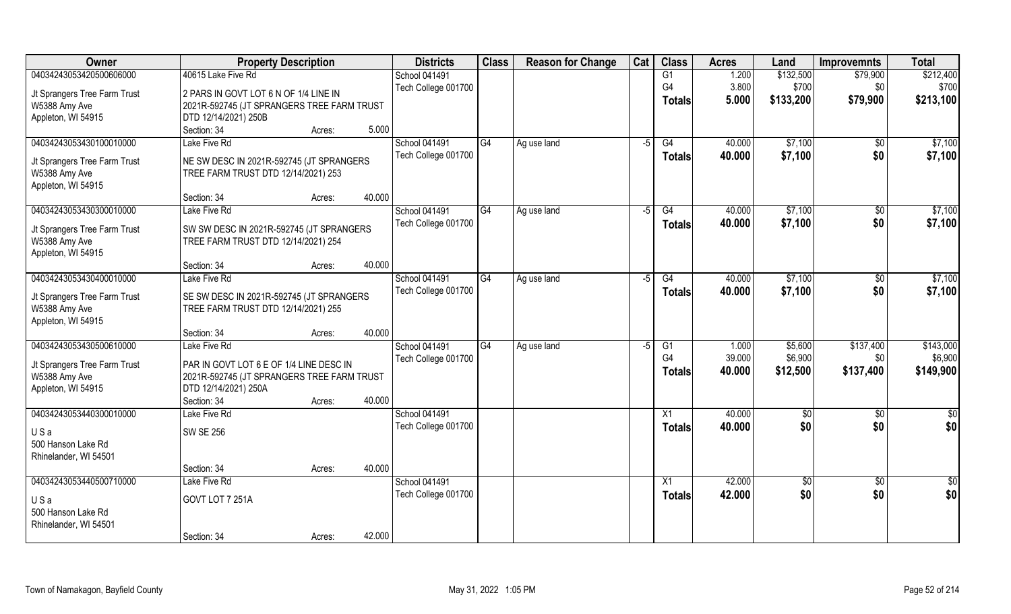| Owner                        | <b>Property Description</b>                |        |        | <b>Districts</b>    | <b>Class</b>    | <b>Reason for Change</b> | Cat  | <b>Class</b>  | <b>Acres</b> | Land            | <b>Improvemnts</b> | <b>Total</b>    |
|------------------------------|--------------------------------------------|--------|--------|---------------------|-----------------|--------------------------|------|---------------|--------------|-----------------|--------------------|-----------------|
| 04034243053420500606000      | 40615 Lake Five Rd                         |        |        | School 041491       |                 |                          |      | G1            | 1.200        | \$132,500       | \$79,900           | \$212,400       |
| Jt Sprangers Tree Farm Trust | 2 PARS IN GOVT LOT 6 N OF 1/4 LINE IN      |        |        | Tech College 001700 |                 |                          |      | G4            | 3.800        | \$700           | \$0                | \$700           |
| W5388 Amy Ave                | 2021R-592745 (JT SPRANGERS TREE FARM TRUST |        |        |                     |                 |                          |      | <b>Totals</b> | 5.000        | \$133,200       | \$79,900           | \$213,100       |
| Appleton, WI 54915           | DTD 12/14/2021) 250B                       |        |        |                     |                 |                          |      |               |              |                 |                    |                 |
|                              | Section: 34                                | Acres: | 5.000  |                     |                 |                          |      |               |              |                 |                    |                 |
| 04034243053430100010000      | Lake Five Rd                               |        |        | School 041491       | G4              | Ag use land              | -5   | G4            | 40.000       | \$7,100         | \$0                | \$7,100         |
|                              |                                            |        |        | Tech College 001700 |                 |                          |      | Totals        | 40.000       | \$7,100         | \$0                | \$7,100         |
| Jt Sprangers Tree Farm Trust | NE SW DESC IN 2021R-592745 (JT SPRANGERS   |        |        |                     |                 |                          |      |               |              |                 |                    |                 |
| W5388 Amy Ave                | TREE FARM TRUST DTD 12/14/2021) 253        |        |        |                     |                 |                          |      |               |              |                 |                    |                 |
| Appleton, WI 54915           |                                            |        |        |                     |                 |                          |      |               |              |                 |                    |                 |
|                              | Section: 34                                | Acres: | 40.000 |                     |                 |                          |      |               |              |                 |                    |                 |
| 04034243053430300010000      | Lake Five Rd                               |        |        | School 041491       | IG4             | Ag use land              | $-5$ | G4            | 40.000       | \$7,100         | \$0                | \$7,100         |
| Jt Sprangers Tree Farm Trust | SW SW DESC IN 2021R-592745 (JT SPRANGERS   |        |        | Tech College 001700 |                 |                          |      | <b>Totals</b> | 40.000       | \$7,100         | \$0                | \$7,100         |
| W5388 Amy Ave                | TREE FARM TRUST DTD 12/14/2021) 254        |        |        |                     |                 |                          |      |               |              |                 |                    |                 |
| Appleton, WI 54915           |                                            |        |        |                     |                 |                          |      |               |              |                 |                    |                 |
|                              | Section: 34                                | Acres: | 40.000 |                     |                 |                          |      |               |              |                 |                    |                 |
| 04034243053430400010000      | Lake Five Rd                               |        |        | School 041491       | $\overline{G4}$ | Ag use land              | $-5$ | G4            | 40.000       | \$7,100         | \$0                | \$7,100         |
|                              |                                            |        |        | Tech College 001700 |                 |                          |      | <b>Totals</b> | 40.000       | \$7,100         | \$0                | \$7,100         |
| Jt Sprangers Tree Farm Trust | SE SW DESC IN 2021R-592745 (JT SPRANGERS   |        |        |                     |                 |                          |      |               |              |                 |                    |                 |
| W5388 Amy Ave                | TREE FARM TRUST DTD 12/14/2021) 255        |        |        |                     |                 |                          |      |               |              |                 |                    |                 |
| Appleton, WI 54915           |                                            |        |        |                     |                 |                          |      |               |              |                 |                    |                 |
|                              | Section: 34                                | Acres: | 40.000 |                     |                 |                          |      |               |              |                 |                    |                 |
| 04034243053430500610000      | Lake Five Rd                               |        |        | School 041491       | G4              | Ag use land              | $-5$ | G1            | 1.000        | \$5,600         | \$137,400          | \$143,000       |
| Jt Sprangers Tree Farm Trust | PAR IN GOVT LOT 6 E OF 1/4 LINE DESC IN    |        |        | Tech College 001700 |                 |                          |      | G4            | 39.000       | \$6,900         | \$0                | \$6,900         |
| W5388 Amy Ave                | 2021R-592745 (JT SPRANGERS TREE FARM TRUST |        |        |                     |                 |                          |      | <b>Totals</b> | 40.000       | \$12,500        | \$137,400          | \$149,900       |
| Appleton, WI 54915           | DTD 12/14/2021) 250A                       |        |        |                     |                 |                          |      |               |              |                 |                    |                 |
|                              | Section: 34                                | Acres: | 40.000 |                     |                 |                          |      |               |              |                 |                    |                 |
| 04034243053440300010000      | Lake Five Rd                               |        |        | School 041491       |                 |                          |      | X1            | 40.000       | \$0             | $\sqrt{6}$         | $\overline{50}$ |
|                              |                                            |        |        | Tech College 001700 |                 |                          |      | <b>Totals</b> | 40.000       | \$0             | \$0                | \$0             |
| USa                          | <b>SW SE 256</b>                           |        |        |                     |                 |                          |      |               |              |                 |                    |                 |
| 500 Hanson Lake Rd           |                                            |        |        |                     |                 |                          |      |               |              |                 |                    |                 |
| Rhinelander, WI 54501        |                                            |        |        |                     |                 |                          |      |               |              |                 |                    |                 |
|                              | Section: 34                                | Acres: | 40.000 |                     |                 |                          |      |               |              |                 |                    |                 |
| 04034243053440500710000      | Lake Five Rd                               |        |        | School 041491       |                 |                          |      | X1            | 42.000       | $\overline{50}$ | $\overline{60}$    | \$0             |
| USa                          | GOVT LOT 7 251A                            |        |        | Tech College 001700 |                 |                          |      | <b>Totals</b> | 42.000       | \$0             | \$0                | \$0             |
| 500 Hanson Lake Rd           |                                            |        |        |                     |                 |                          |      |               |              |                 |                    |                 |
| Rhinelander, WI 54501        |                                            |        |        |                     |                 |                          |      |               |              |                 |                    |                 |
|                              | Section: 34                                | Acres: | 42.000 |                     |                 |                          |      |               |              |                 |                    |                 |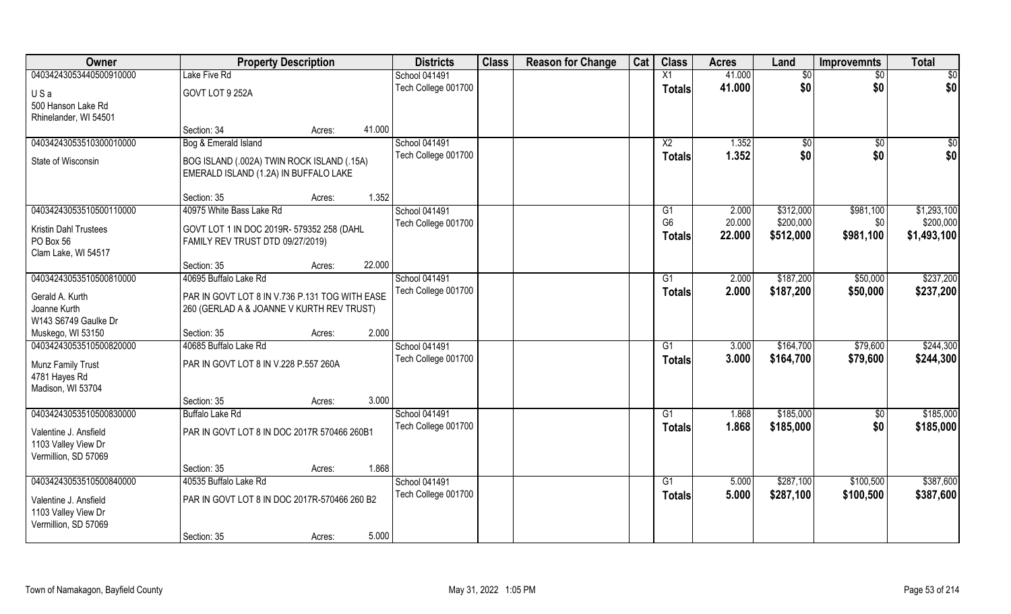| Owner                   | <b>Property Description</b>                    |        |        | <b>Districts</b>    | <b>Class</b> | <b>Reason for Change</b> | Cat | <b>Class</b>    | <b>Acres</b> | Land      | <b>Improvemnts</b> | <b>Total</b> |
|-------------------------|------------------------------------------------|--------|--------|---------------------|--------------|--------------------------|-----|-----------------|--------------|-----------|--------------------|--------------|
| 04034243053440500910000 | Lake Five Rd                                   |        |        | School 041491       |              |                          |     | X1              | 41.000       | \$0       | \$0                | \$0          |
| USa                     | GOVT LOT 9 252A                                |        |        | Tech College 001700 |              |                          |     | <b>Totals</b>   | 41.000       | \$0       | \$0                | \$0          |
| 500 Hanson Lake Rd      |                                                |        |        |                     |              |                          |     |                 |              |           |                    |              |
| Rhinelander, WI 54501   |                                                |        |        |                     |              |                          |     |                 |              |           |                    |              |
|                         | Section: 34                                    | Acres: | 41.000 |                     |              |                          |     |                 |              |           |                    |              |
| 04034243053510300010000 | Bog & Emerald Island                           |        |        | School 041491       |              |                          |     | $\overline{X2}$ | 1.352        | \$0       | $\sqrt[6]{}$       | \$0          |
| State of Wisconsin      | BOG ISLAND (.002A) TWIN ROCK ISLAND (.15A)     |        |        | Tech College 001700 |              |                          |     | <b>Totals</b>   | 1.352        | \$0       | \$0                | \$0          |
|                         | EMERALD ISLAND (1.2A) IN BUFFALO LAKE          |        |        |                     |              |                          |     |                 |              |           |                    |              |
|                         |                                                |        |        |                     |              |                          |     |                 |              |           |                    |              |
|                         | Section: 35                                    | Acres: | 1.352  |                     |              |                          |     |                 |              |           |                    |              |
| 04034243053510500110000 | 40975 White Bass Lake Rd                       |        |        | School 041491       |              |                          |     | G1              | 2.000        | \$312,000 | \$981,100          | \$1,293,100  |
| Kristin Dahl Trustees   | GOVT LOT 1 IN DOC 2019R- 579352 258 (DAHL      |        |        | Tech College 001700 |              |                          |     | G <sub>6</sub>  | 20.000       | \$200,000 | \$0                | \$200,000    |
| PO Box 56               | FAMILY REV TRUST DTD 09/27/2019)               |        |        |                     |              |                          |     | <b>Totals</b>   | 22.000       | \$512,000 | \$981,100          | \$1,493,100  |
| Clam Lake, WI 54517     |                                                |        |        |                     |              |                          |     |                 |              |           |                    |              |
|                         | Section: 35                                    | Acres: | 22.000 |                     |              |                          |     |                 |              |           |                    |              |
| 04034243053510500810000 | 40695 Buffalo Lake Rd                          |        |        | School 041491       |              |                          |     | G1              | 2.000        | \$187,200 | \$50,000           | \$237,200    |
| Gerald A. Kurth         | PAR IN GOVT LOT 8 IN V.736 P.131 TOG WITH EASE |        |        | Tech College 001700 |              |                          |     | <b>Totals</b>   | 2.000        | \$187,200 | \$50,000           | \$237,200    |
| Joanne Kurth            | 260 (GERLAD A & JOANNE V KURTH REV TRUST)      |        |        |                     |              |                          |     |                 |              |           |                    |              |
| W143 S6749 Gaulke Dr    |                                                |        |        |                     |              |                          |     |                 |              |           |                    |              |
| Muskego, WI 53150       | Section: 35                                    | Acres: | 2.000  |                     |              |                          |     |                 |              |           |                    |              |
| 04034243053510500820000 | 40685 Buffalo Lake Rd                          |        |        | School 041491       |              |                          |     | G1              | 3.000        | \$164,700 | \$79,600           | \$244,300    |
| Munz Family Trust       | PAR IN GOVT LOT 8 IN V.228 P.557 260A          |        |        | Tech College 001700 |              |                          |     | <b>Totals</b>   | 3.000        | \$164,700 | \$79,600           | \$244,300    |
| 4781 Hayes Rd           |                                                |        |        |                     |              |                          |     |                 |              |           |                    |              |
| Madison, WI 53704       |                                                |        |        |                     |              |                          |     |                 |              |           |                    |              |
|                         | Section: 35                                    | Acres: | 3.000  |                     |              |                          |     |                 |              |           |                    |              |
| 04034243053510500830000 | <b>Buffalo Lake Rd</b>                         |        |        | School 041491       |              |                          |     | G1              | 1.868        | \$185,000 | $\sqrt{50}$        | \$185,000    |
| Valentine J. Ansfield   | PAR IN GOVT LOT 8 IN DOC 2017R 570466 260B1    |        |        | Tech College 001700 |              |                          |     | <b>Totals</b>   | 1.868        | \$185,000 | \$0                | \$185,000    |
| 1103 Valley View Dr     |                                                |        |        |                     |              |                          |     |                 |              |           |                    |              |
| Vermillion, SD 57069    |                                                |        |        |                     |              |                          |     |                 |              |           |                    |              |
|                         | Section: 35                                    | Acres: | 1.868  |                     |              |                          |     |                 |              |           |                    |              |
| 04034243053510500840000 | 40535 Buffalo Lake Rd                          |        |        | School 041491       |              |                          |     | $\overline{G1}$ | 5.000        | \$287,100 | \$100,500          | \$387,600    |
| Valentine J. Ansfield   | PAR IN GOVT LOT 8 IN DOC 2017R-570466 260 B2   |        |        | Tech College 001700 |              |                          |     | <b>Totals</b>   | 5.000        | \$287,100 | \$100,500          | \$387,600    |
| 1103 Valley View Dr     |                                                |        |        |                     |              |                          |     |                 |              |           |                    |              |
| Vermillion, SD 57069    |                                                |        |        |                     |              |                          |     |                 |              |           |                    |              |
|                         | Section: 35                                    | Acres: | 5.000  |                     |              |                          |     |                 |              |           |                    |              |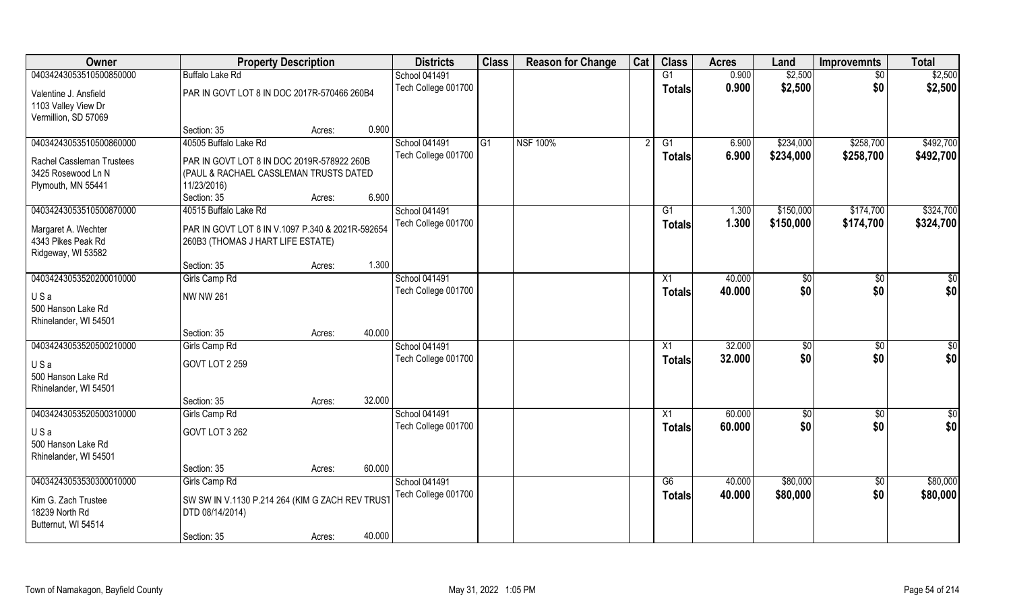| Owner                                                                | <b>Property Description</b>                      |        | <b>Districts</b>                            | <b>Class</b> | <b>Reason for Change</b> | Cat | <b>Class</b>    | <b>Acres</b>   | Land                   | <b>Improvemnts</b>     | <b>Total</b>           |
|----------------------------------------------------------------------|--------------------------------------------------|--------|---------------------------------------------|--------------|--------------------------|-----|-----------------|----------------|------------------------|------------------------|------------------------|
| 04034243053510500850000                                              | <b>Buffalo Lake Rd</b>                           |        | <b>School 041491</b>                        |              |                          |     | G1              | 0.900          | \$2,500                | $\sqrt{6}$             | \$2,500                |
| Valentine J. Ansfield<br>1103 Valley View Dr<br>Vermillion, SD 57069 | PAR IN GOVT LOT 8 IN DOC 2017R-570466 260B4      |        | Tech College 001700                         |              |                          |     | <b>Totals</b>   | 0.900          | \$2,500                | \$0                    | \$2,500                |
|                                                                      | Section: 35                                      | Acres: | 0.900                                       |              |                          |     |                 |                |                        |                        |                        |
| 04034243053510500860000                                              | 40505 Buffalo Lake Rd                            |        | <b>School 041491</b><br>Tech College 001700 | G1           | <b>NSF 100%</b>          |     | G1<br>Totals    | 6.900<br>6.900 | \$234,000<br>\$234,000 | \$258,700<br>\$258,700 | \$492,700<br>\$492,700 |
| Rachel Cassleman Trustees                                            | PAR IN GOVT LOT 8 IN DOC 2019R-578922 260B       |        |                                             |              |                          |     |                 |                |                        |                        |                        |
| 3425 Rosewood Ln N                                                   | (PAUL & RACHAEL CASSLEMAN TRUSTS DATED           |        |                                             |              |                          |     |                 |                |                        |                        |                        |
| Plymouth, MN 55441                                                   | 11/23/2016)                                      |        |                                             |              |                          |     |                 |                |                        |                        |                        |
|                                                                      | Section: 35                                      | Acres: | 6.900                                       |              |                          |     |                 |                |                        |                        |                        |
| 04034243053510500870000                                              | 40515 Buffalo Lake Rd                            |        | <b>School 041491</b>                        |              |                          |     | G1              | 1.300          | \$150,000              | \$174,700              | \$324,700              |
| Margaret A. Wechter                                                  | PAR IN GOVT LOT 8 IN V.1097 P.340 & 2021R-592654 |        | Tech College 001700                         |              |                          |     | <b>Totals</b>   | 1.300          | \$150,000              | \$174,700              | \$324,700              |
| 4343 Pikes Peak Rd                                                   | 260B3 (THOMAS J HART LIFE ESTATE)                |        |                                             |              |                          |     |                 |                |                        |                        |                        |
| Ridgeway, WI 53582                                                   |                                                  |        |                                             |              |                          |     |                 |                |                        |                        |                        |
|                                                                      | Section: 35                                      | Acres: | 1.300                                       |              |                          |     |                 |                |                        |                        |                        |
| 04034243053520200010000                                              | Girls Camp Rd                                    |        | <b>School 041491</b>                        |              |                          |     | X1              | 40.000         | $ $ \$0                | $\sqrt[6]{3}$          | \$0                    |
| USa                                                                  | <b>NW NW 261</b>                                 |        | Tech College 001700                         |              |                          |     | Totals          | 40.000         | \$0                    | \$0                    | \$0                    |
| 500 Hanson Lake Rd<br>Rhinelander, WI 54501                          |                                                  |        |                                             |              |                          |     |                 |                |                        |                        |                        |
|                                                                      | Section: 35                                      | Acres: | 40.000                                      |              |                          |     |                 |                |                        |                        |                        |
| 04034243053520500210000                                              | Girls Camp Rd                                    |        | <b>School 041491</b>                        |              |                          |     | X1              | 32.000         | \$0                    | \$0                    | \$0                    |
| USa                                                                  | <b>GOVT LOT 2 259</b>                            |        | Tech College 001700                         |              |                          |     | <b>Totals</b>   | 32.000         | \$0                    | \$0                    | \$0                    |
| 500 Hanson Lake Rd                                                   |                                                  |        |                                             |              |                          |     |                 |                |                        |                        |                        |
| Rhinelander, WI 54501                                                |                                                  |        |                                             |              |                          |     |                 |                |                        |                        |                        |
|                                                                      | Section: 35                                      | Acres: | 32.000                                      |              |                          |     |                 |                |                        |                        |                        |
| 04034243053520500310000                                              | Girls Camp Rd                                    |        | School 041491                               |              |                          |     | $\overline{X1}$ | 60.000         | \$0                    | $\overline{60}$        | $\overline{50}$        |
| USa                                                                  | GOVT LOT 3 262                                   |        | Tech College 001700                         |              |                          |     | <b>Totals</b>   | 60.000         | \$0                    | \$0                    | \$0                    |
| 500 Hanson Lake Rd                                                   |                                                  |        |                                             |              |                          |     |                 |                |                        |                        |                        |
| Rhinelander, WI 54501                                                |                                                  |        |                                             |              |                          |     |                 |                |                        |                        |                        |
|                                                                      | Section: 35                                      | Acres: | 60.000                                      |              |                          |     |                 |                |                        |                        |                        |
| 04034243053530300010000                                              | Girls Camp Rd                                    |        | <b>School 041491</b>                        |              |                          |     | G6              | 40.000         | \$80,000               | $\overline{50}$        | \$80,000               |
| Kim G. Zach Trustee                                                  | SW SW IN V.1130 P.214 264 (KIM G ZACH REV TRUST  |        | Tech College 001700                         |              |                          |     | Totals          | 40.000         | \$80,000               | \$0                    | \$80,000               |
| 18239 North Rd                                                       | DTD 08/14/2014)                                  |        |                                             |              |                          |     |                 |                |                        |                        |                        |
| Butternut, WI 54514                                                  |                                                  |        |                                             |              |                          |     |                 |                |                        |                        |                        |
|                                                                      | Section: 35                                      | Acres: | 40.000                                      |              |                          |     |                 |                |                        |                        |                        |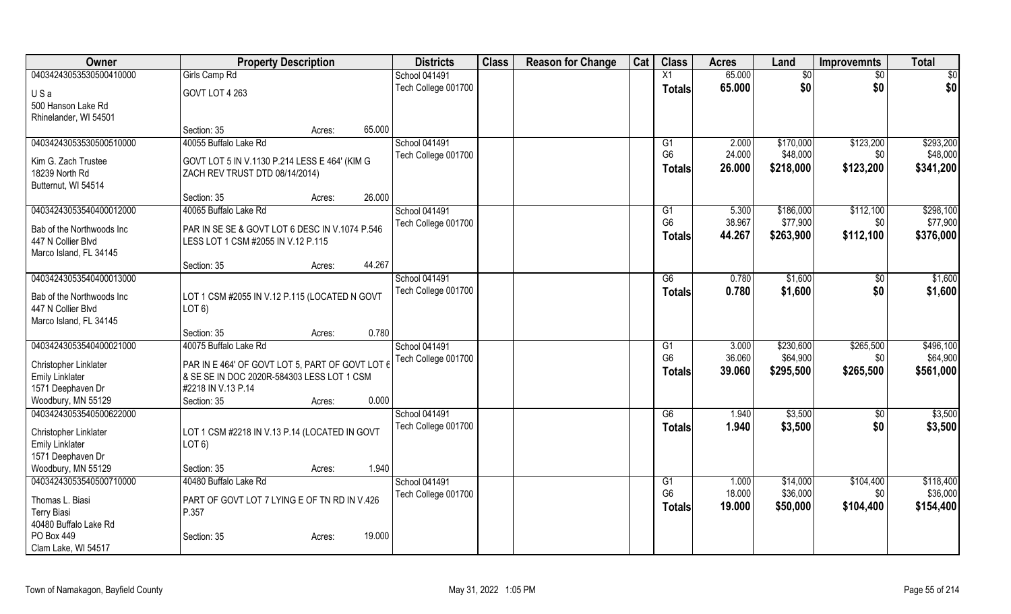| Owner                     | <b>Property Description</b>                     |        |        | <b>Districts</b>    | <b>Class</b> | <b>Reason for Change</b> | Cat | <b>Class</b>         | <b>Acres</b>    | Land                  | <b>Improvemnts</b> | <b>Total</b>          |
|---------------------------|-------------------------------------------------|--------|--------|---------------------|--------------|--------------------------|-----|----------------------|-----------------|-----------------------|--------------------|-----------------------|
| 04034243053530500410000   | Girls Camp Rd                                   |        |        | School 041491       |              |                          |     | X1                   | 65.000          | $\overline{50}$       | $\sqrt{6}$         | $\frac{1}{2}$         |
| USa                       | GOVT LOT 4 263                                  |        |        | Tech College 001700 |              |                          |     | <b>Totals</b>        | 65.000          | \$0                   | \$0                | \$0                   |
| 500 Hanson Lake Rd        |                                                 |        |        |                     |              |                          |     |                      |                 |                       |                    |                       |
| Rhinelander, WI 54501     |                                                 |        |        |                     |              |                          |     |                      |                 |                       |                    |                       |
|                           | Section: 35                                     | Acres: | 65.000 |                     |              |                          |     |                      |                 |                       |                    |                       |
| 04034243053530500510000   | 40055 Buffalo Lake Rd                           |        |        | School 041491       |              |                          |     | G1                   | 2.000           | \$170,000             | \$123,200          | \$293,200             |
|                           |                                                 |        |        | Tech College 001700 |              |                          |     | G <sub>6</sub>       | 24.000          | \$48,000              | \$0                | \$48,000              |
| Kim G. Zach Trustee       | GOVT LOT 5 IN V.1130 P.214 LESS E 464' (KIM G   |        |        |                     |              |                          |     | <b>Totals</b>        | 26.000          | \$218,000             | \$123,200          | \$341,200             |
| 18239 North Rd            | ZACH REV TRUST DTD 08/14/2014)                  |        |        |                     |              |                          |     |                      |                 |                       |                    |                       |
| Butternut, WI 54514       |                                                 |        | 26.000 |                     |              |                          |     |                      |                 |                       |                    |                       |
|                           | Section: 35<br>40065 Buffalo Lake Rd            | Acres: |        |                     |              |                          |     |                      |                 |                       |                    |                       |
| 04034243053540400012000   |                                                 |        |        | School 041491       |              |                          |     | G1<br>G <sub>6</sub> | 5.300<br>38.967 | \$186,000<br>\$77,900 | \$112,100          | \$298,100<br>\$77,900 |
| Bab of the Northwoods Inc | PAR IN SE SE & GOVT LOT 6 DESC IN V.1074 P.546  |        |        | Tech College 001700 |              |                          |     |                      |                 |                       | \$0                |                       |
| 447 N Collier Blvd        | LESS LOT 1 CSM #2055 IN V.12 P.115              |        |        |                     |              |                          |     | <b>Totals</b>        | 44.267          | \$263,900             | \$112,100          | \$376,000             |
| Marco Island, FL 34145    |                                                 |        |        |                     |              |                          |     |                      |                 |                       |                    |                       |
|                           | Section: 35                                     | Acres: | 44.267 |                     |              |                          |     |                      |                 |                       |                    |                       |
| 04034243053540400013000   |                                                 |        |        | School 041491       |              |                          |     | G6                   | 0.780           | \$1,600               | \$0                | \$1,600               |
| Bab of the Northwoods Inc | LOT 1 CSM #2055 IN V.12 P.115 (LOCATED N GOVT   |        |        | Tech College 001700 |              |                          |     | <b>Totals</b>        | 0.780           | \$1,600               | \$0                | \$1,600               |
| 447 N Collier Blvd        | LOT <sub>6</sub>                                |        |        |                     |              |                          |     |                      |                 |                       |                    |                       |
| Marco Island, FL 34145    |                                                 |        |        |                     |              |                          |     |                      |                 |                       |                    |                       |
|                           | Section: 35                                     | Acres: | 0.780  |                     |              |                          |     |                      |                 |                       |                    |                       |
| 04034243053540400021000   | 40075 Buffalo Lake Rd                           |        |        | School 041491       |              |                          |     | G1                   | 3.000           | \$230,600             | \$265,500          | \$496,100             |
|                           |                                                 |        |        | Tech College 001700 |              |                          |     | G <sub>6</sub>       | 36.060          | \$64,900              | \$0                | \$64,900              |
| Christopher Linklater     | PAR IN E 464' OF GOVT LOT 5, PART OF GOVT LOT 6 |        |        |                     |              |                          |     | <b>Totals</b>        | 39.060          | \$295,500             | \$265,500          | \$561,000             |
| <b>Emily Linklater</b>    | & SE SE IN DOC 2020R-584303 LESS LOT 1 CSM      |        |        |                     |              |                          |     |                      |                 |                       |                    |                       |
| 1571 Deephaven Dr         | #2218 IN V.13 P.14                              |        |        |                     |              |                          |     |                      |                 |                       |                    |                       |
| Woodbury, MN 55129        | Section: 35                                     | Acres: | 0.000  |                     |              |                          |     |                      |                 |                       |                    |                       |
| 04034243053540500622000   |                                                 |        |        | School 041491       |              |                          |     | G6                   | 1.940           | \$3,500               | $\overline{50}$    | \$3,500               |
| Christopher Linklater     | LOT 1 CSM #2218 IN V.13 P.14 (LOCATED IN GOVT   |        |        | Tech College 001700 |              |                          |     | <b>Totals</b>        | 1.940           | \$3,500               | \$0                | \$3,500               |
| <b>Emily Linklater</b>    | LOT <sub>6</sub>                                |        |        |                     |              |                          |     |                      |                 |                       |                    |                       |
| 1571 Deephaven Dr         |                                                 |        |        |                     |              |                          |     |                      |                 |                       |                    |                       |
| Woodbury, MN 55129        | Section: 35                                     | Acres: | 1.940  |                     |              |                          |     |                      |                 |                       |                    |                       |
| 04034243053540500710000   | 40480 Buffalo Lake Rd                           |        |        | School 041491       |              |                          |     | G1                   | 1.000           | \$14,000              | \$104,400          | \$118,400             |
| Thomas L. Biasi           | PART OF GOVT LOT 7 LYING E OF TN RD IN V.426    |        |        | Tech College 001700 |              |                          |     | G <sub>6</sub>       | 18.000          | \$36,000              | \$0                | \$36,000              |
| <b>Terry Biasi</b>        | P.357                                           |        |        |                     |              |                          |     | <b>Totals</b>        | 19.000          | \$50,000              | \$104,400          | \$154,400             |
| 40480 Buffalo Lake Rd     |                                                 |        |        |                     |              |                          |     |                      |                 |                       |                    |                       |
| PO Box 449                | Section: 35                                     | Acres: | 19.000 |                     |              |                          |     |                      |                 |                       |                    |                       |
| Clam Lake, WI 54517       |                                                 |        |        |                     |              |                          |     |                      |                 |                       |                    |                       |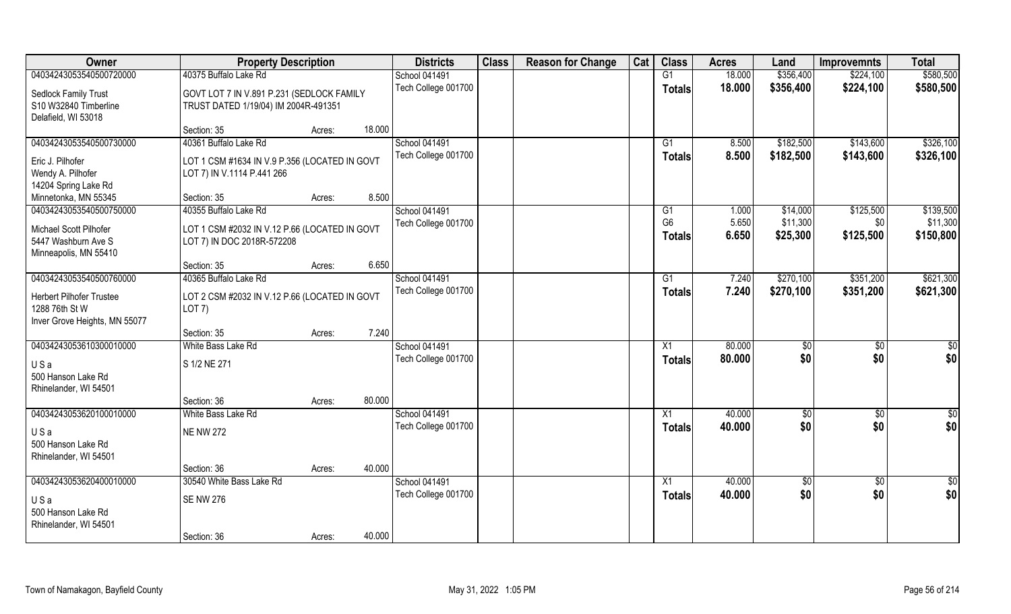| Owner                                             | <b>Property Description</b>                                                 |        |        | <b>Districts</b>                     | <b>Class</b> | <b>Reason for Change</b> | Cat | <b>Class</b>    | <b>Acres</b> | Land        | <b>Improvemnts</b> | <b>Total</b>    |
|---------------------------------------------------|-----------------------------------------------------------------------------|--------|--------|--------------------------------------|--------------|--------------------------|-----|-----------------|--------------|-------------|--------------------|-----------------|
| 04034243053540500720000                           | 40375 Buffalo Lake Rd                                                       |        |        | School 041491                        |              |                          |     | G1              | 18.000       | \$356,400   | \$224,100          | \$580,500       |
| Sedlock Family Trust                              | GOVT LOT 7 IN V.891 P.231 (SEDLOCK FAMILY                                   |        |        | Tech College 001700                  |              |                          |     | <b>Totals</b>   | 18.000       | \$356,400   | \$224,100          | \$580,500       |
| S10 W32840 Timberline                             | TRUST DATED 1/19/04) IM 2004R-491351                                        |        |        |                                      |              |                          |     |                 |              |             |                    |                 |
| Delafield, WI 53018                               |                                                                             |        |        |                                      |              |                          |     |                 |              |             |                    |                 |
|                                                   | Section: 35                                                                 | Acres: | 18.000 |                                      |              |                          |     |                 |              |             |                    |                 |
| 04034243053540500730000                           | 40361 Buffalo Lake Rd                                                       |        |        | School 041491                        |              |                          |     | G1              | 8.500        | \$182,500   | \$143,600          | \$326,100       |
| Eric J. Pilhofer                                  | LOT 1 CSM #1634 IN V.9 P.356 (LOCATED IN GOVT                               |        |        | Tech College 001700                  |              |                          |     | <b>Totals</b>   | 8.500        | \$182,500   | \$143,600          | \$326,100       |
| Wendy A. Pilhofer                                 | LOT 7) IN V.1114 P.441 266                                                  |        |        |                                      |              |                          |     |                 |              |             |                    |                 |
| 14204 Spring Lake Rd                              |                                                                             |        |        |                                      |              |                          |     |                 |              |             |                    |                 |
| Minnetonka, MN 55345                              | Section: 35                                                                 | Acres: | 8.500  |                                      |              |                          |     |                 |              |             |                    |                 |
| 04034243053540500750000                           | 40355 Buffalo Lake Rd                                                       |        |        | School 041491                        |              |                          |     | G1              | 1.000        | \$14,000    | \$125,500          | \$139,500       |
| Michael Scott Pilhofer                            |                                                                             |        |        | Tech College 001700                  |              |                          |     | G <sub>6</sub>  | 5.650        | \$11,300    | \$0                | \$11,300        |
| 5447 Washburn Ave S                               | LOT 1 CSM #2032 IN V.12 P.66 (LOCATED IN GOVT<br>LOT 7) IN DOC 2018R-572208 |        |        |                                      |              |                          |     | Totals          | 6.650        | \$25,300    | \$125,500          | \$150,800       |
| Minneapolis, MN 55410                             |                                                                             |        |        |                                      |              |                          |     |                 |              |             |                    |                 |
|                                                   | Section: 35                                                                 | Acres: | 6.650  |                                      |              |                          |     |                 |              |             |                    |                 |
| 04034243053540500760000                           | 40365 Buffalo Lake Rd                                                       |        |        | School 041491                        |              |                          |     | G1              | 7.240        | \$270,100   | \$351,200          | \$621,300       |
|                                                   |                                                                             |        |        | Tech College 001700                  |              |                          |     | <b>Totals</b>   | 7.240        | \$270,100   | \$351,200          | \$621,300       |
| <b>Herbert Pilhofer Trustee</b><br>1288 76th St W | LOT 2 CSM #2032 IN V.12 P.66 (LOCATED IN GOVT<br>LOT 7)                     |        |        |                                      |              |                          |     |                 |              |             |                    |                 |
| Inver Grove Heights, MN 55077                     |                                                                             |        |        |                                      |              |                          |     |                 |              |             |                    |                 |
|                                                   | Section: 35                                                                 | Acres: | 7.240  |                                      |              |                          |     |                 |              |             |                    |                 |
| 04034243053610300010000                           | White Bass Lake Rd                                                          |        |        | School 041491                        |              |                          |     | X1              | 80.000       | \$0         | \$0                | $\overline{50}$ |
|                                                   |                                                                             |        |        | Tech College 001700                  |              |                          |     | <b>Totals</b>   | 80.000       | \$0         | \$0                | \$0             |
| USa                                               | S 1/2 NE 271                                                                |        |        |                                      |              |                          |     |                 |              |             |                    |                 |
| 500 Hanson Lake Rd                                |                                                                             |        |        |                                      |              |                          |     |                 |              |             |                    |                 |
| Rhinelander, WI 54501                             | Section: 36                                                                 | Acres: | 80.000 |                                      |              |                          |     |                 |              |             |                    |                 |
| 04034243053620100010000                           | White Bass Lake Rd                                                          |        |        | School 041491                        |              |                          |     | X1              | 40.000       | \$0         | $\sqrt{$0}$        | \$0             |
|                                                   |                                                                             |        |        | Tech College 001700                  |              |                          |     | <b>Totals</b>   | 40.000       | \$0         | \$0                | \$0             |
| USa                                               | <b>NE NW 272</b>                                                            |        |        |                                      |              |                          |     |                 |              |             |                    |                 |
| 500 Hanson Lake Rd                                |                                                                             |        |        |                                      |              |                          |     |                 |              |             |                    |                 |
| Rhinelander, WI 54501                             |                                                                             |        |        |                                      |              |                          |     |                 |              |             |                    |                 |
|                                                   | Section: 36                                                                 | Acres: | 40.000 |                                      |              |                          |     |                 |              |             |                    |                 |
| 04034243053620400010000                           | 30540 White Bass Lake Rd                                                    |        |        | School 041491<br>Tech College 001700 |              |                          |     | $\overline{X1}$ | 40.000       | $\sqrt{50}$ | $\sqrt{$0}$        | $\overline{50}$ |
| USa                                               | <b>SE NW 276</b>                                                            |        |        |                                      |              |                          |     | <b>Totals</b>   | 40.000       | \$0         | \$0                | \$0             |
| 500 Hanson Lake Rd                                |                                                                             |        |        |                                      |              |                          |     |                 |              |             |                    |                 |
| Rhinelander, WI 54501                             |                                                                             |        |        |                                      |              |                          |     |                 |              |             |                    |                 |
|                                                   | Section: 36                                                                 | Acres: | 40.000 |                                      |              |                          |     |                 |              |             |                    |                 |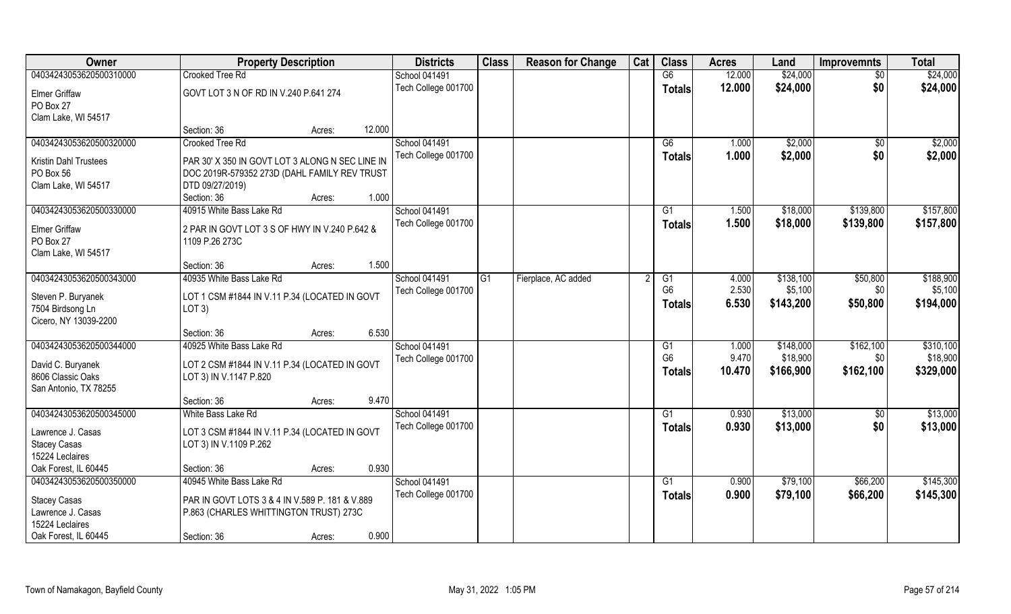| Owner                   | <b>Property Description</b>                     |        |        | <b>Districts</b>     | <b>Class</b>    | <b>Reason for Change</b> | Cat | <b>Class</b>   | <b>Acres</b> | Land      | <b>Improvemnts</b> | <b>Total</b> |
|-------------------------|-------------------------------------------------|--------|--------|----------------------|-----------------|--------------------------|-----|----------------|--------------|-----------|--------------------|--------------|
| 04034243053620500310000 | Crooked Tree Rd                                 |        |        | School 041491        |                 |                          |     | G6             | 12.000       | \$24,000  | $\sqrt{6}$         | \$24,000     |
| <b>Elmer Griffaw</b>    | GOVT LOT 3 N OF RD IN V.240 P.641 274           |        |        | Tech College 001700  |                 |                          |     | <b>Totals</b>  | 12.000       | \$24,000  | \$0                | \$24,000     |
| PO Box 27               |                                                 |        |        |                      |                 |                          |     |                |              |           |                    |              |
| Clam Lake, WI 54517     |                                                 |        |        |                      |                 |                          |     |                |              |           |                    |              |
|                         | Section: 36                                     | Acres: | 12.000 |                      |                 |                          |     |                |              |           |                    |              |
| 04034243053620500320000 | Crooked Tree Rd                                 |        |        | <b>School 041491</b> |                 |                          |     | G6             | 1.000        | \$2,000   | \$0                | \$2,000      |
| Kristin Dahl Trustees   | PAR 30' X 350 IN GOVT LOT 3 ALONG N SEC LINE IN |        |        | Tech College 001700  |                 |                          |     | Totals         | 1.000        | \$2,000   | \$0                | \$2,000      |
| PO Box 56               | DOC 2019R-579352 273D (DAHL FAMILY REV TRUST    |        |        |                      |                 |                          |     |                |              |           |                    |              |
| Clam Lake, WI 54517     | DTD 09/27/2019)                                 |        |        |                      |                 |                          |     |                |              |           |                    |              |
|                         | Section: 36                                     | Acres: | 1.000  |                      |                 |                          |     |                |              |           |                    |              |
| 04034243053620500330000 | 40915 White Bass Lake Rd                        |        |        | School 041491        |                 |                          |     | G1             | 1.500        | \$18,000  | \$139,800          | \$157,800    |
| <b>Elmer Griffaw</b>    | 2 PAR IN GOVT LOT 3 S OF HWY IN V.240 P.642 &   |        |        | Tech College 001700  |                 |                          |     | <b>Totals</b>  | 1.500        | \$18,000  | \$139,800          | \$157,800    |
| PO Box 27               | 1109 P.26 273C                                  |        |        |                      |                 |                          |     |                |              |           |                    |              |
| Clam Lake, WI 54517     |                                                 |        |        |                      |                 |                          |     |                |              |           |                    |              |
|                         | Section: 36                                     | Acres: | 1.500  |                      |                 |                          |     |                |              |           |                    |              |
| 04034243053620500343000 | 40935 White Bass Lake Rd                        |        |        | School 041491        | $\overline{G1}$ | Fierplace, AC added      |     | G1             | 4.000        | \$138,100 | \$50,800           | \$188,900    |
|                         |                                                 |        |        | Tech College 001700  |                 |                          |     | G <sub>6</sub> | 2.530        | \$5,100   | \$0                | \$5,100      |
| Steven P. Buryanek      | LOT 1 CSM #1844 IN V.11 P.34 (LOCATED IN GOVT   |        |        |                      |                 |                          |     | <b>Totals</b>  | 6.530        | \$143,200 | \$50,800           | \$194,000    |
| 7504 Birdsong Ln        | LOT 3)                                          |        |        |                      |                 |                          |     |                |              |           |                    |              |
| Cicero, NY 13039-2200   | Section: 36                                     | Acres: | 6.530  |                      |                 |                          |     |                |              |           |                    |              |
| 04034243053620500344000 | 40925 White Bass Lake Rd                        |        |        | School 041491        |                 |                          |     | G1             | 1.000        | \$148,000 | \$162,100          | \$310,100    |
|                         |                                                 |        |        | Tech College 001700  |                 |                          |     | G <sub>6</sub> | 9.470        | \$18,900  | \$0                | \$18,900     |
| David C. Buryanek       | LOT 2 CSM #1844 IN V.11 P.34 (LOCATED IN GOVT   |        |        |                      |                 |                          |     | Totals         | 10.470       | \$166,900 | \$162,100          | \$329,000    |
| 8606 Classic Oaks       | LOT 3) IN V.1147 P.820                          |        |        |                      |                 |                          |     |                |              |           |                    |              |
| San Antonio, TX 78255   |                                                 |        |        |                      |                 |                          |     |                |              |           |                    |              |
|                         | Section: 36                                     | Acres: | 9.470  |                      |                 |                          |     |                |              |           |                    |              |
| 04034243053620500345000 | White Bass Lake Rd                              |        |        | School 041491        |                 |                          |     | G1             | 0.930        | \$13,000  | $\sqrt{$0}$        | \$13,000     |
| Lawrence J. Casas       | LOT 3 CSM #1844 IN V.11 P.34 (LOCATED IN GOVT   |        |        | Tech College 001700  |                 |                          |     | <b>Totals</b>  | 0.930        | \$13,000  | \$0                | \$13,000     |
| <b>Stacey Casas</b>     | LOT 3) IN V.1109 P.262                          |        |        |                      |                 |                          |     |                |              |           |                    |              |
| 15224 Leclaires         |                                                 |        |        |                      |                 |                          |     |                |              |           |                    |              |
| Oak Forest, IL 60445    | Section: 36                                     | Acres: | 0.930  |                      |                 |                          |     |                |              |           |                    |              |
| 04034243053620500350000 | 40945 White Bass Lake Rd                        |        |        | School 041491        |                 |                          |     | G1             | 0.900        | \$79,100  | \$66,200           | \$145,300    |
| <b>Stacey Casas</b>     | PAR IN GOVT LOTS 3 & 4 IN V.589 P. 181 & V.889  |        |        | Tech College 001700  |                 |                          |     | Totals         | 0.900        | \$79,100  | \$66,200           | \$145,300    |
| Lawrence J. Casas       | P.863 (CHARLES WHITTINGTON TRUST) 273C          |        |        |                      |                 |                          |     |                |              |           |                    |              |
| 15224 Leclaires         |                                                 |        |        |                      |                 |                          |     |                |              |           |                    |              |
| Oak Forest, IL 60445    | Section: 36                                     | Acres: | 0.900  |                      |                 |                          |     |                |              |           |                    |              |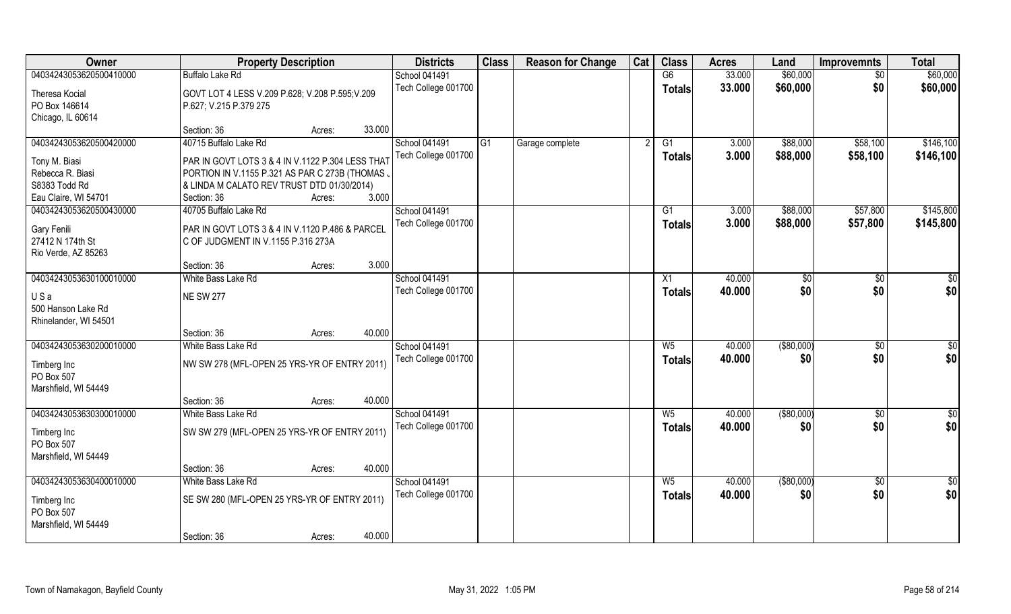| Owner                                   | <b>Property Description</b>                      | <b>Districts</b>    | <b>Class</b>   | <b>Reason for Change</b> | Cat | <b>Class</b>   | <b>Acres</b> | Land        | <b>Improvemnts</b> | <b>Total</b>  |
|-----------------------------------------|--------------------------------------------------|---------------------|----------------|--------------------------|-----|----------------|--------------|-------------|--------------------|---------------|
| 04034243053620500410000                 | <b>Buffalo Lake Rd</b>                           | School 041491       |                |                          |     | G6             | 33.000       | \$60,000    | $\sqrt{6}$         | \$60,000      |
| Theresa Kocial                          | GOVT LOT 4 LESS V.209 P.628; V.208 P.595; V.209  | Tech College 001700 |                |                          |     | <b>Totals</b>  | 33.000       | \$60,000    | \$0                | \$60,000      |
| PO Box 146614                           | P.627; V.215 P.379 275                           |                     |                |                          |     |                |              |             |                    |               |
| Chicago, IL 60614                       |                                                  |                     |                |                          |     |                |              |             |                    |               |
|                                         | 33.000<br>Section: 36<br>Acres:                  |                     |                |                          |     |                |              |             |                    |               |
| 04034243053620500420000                 | 40715 Buffalo Lake Rd                            | School 041491       | G <sub>1</sub> | Garage complete          |     | G1             | 3.000        | \$88,000    | \$58,100           | \$146,100     |
| Tony M. Biasi                           | PAR IN GOVT LOTS 3 & 4 IN V.1122 P.304 LESS THAT | Tech College 001700 |                |                          |     | <b>Totals</b>  | 3.000        | \$88,000    | \$58,100           | \$146,100     |
| Rebecca R. Biasi                        | PORTION IN V.1155 P.321 AS PAR C 273B (THOMAS .  |                     |                |                          |     |                |              |             |                    |               |
| S8383 Todd Rd                           | & LINDA M CALATO REV TRUST DTD 01/30/2014)       |                     |                |                          |     |                |              |             |                    |               |
| Eau Claire, WI 54701                    | 3.000<br>Section: 36<br>Acres:                   |                     |                |                          |     |                |              |             |                    |               |
| 04034243053620500430000                 | 40705 Buffalo Lake Rd                            | School 041491       |                |                          |     | G1             | 3.000        | \$88,000    | \$57,800           | \$145,800     |
|                                         |                                                  | Tech College 001700 |                |                          |     | <b>Totals</b>  | 3.000        | \$88,000    | \$57,800           | \$145,800     |
| <b>Gary Fenili</b>                      | PAR IN GOVT LOTS 3 & 4 IN V.1120 P.486 & PARCEL  |                     |                |                          |     |                |              |             |                    |               |
| 27412 N 174th St<br>Rio Verde, AZ 85263 | C OF JUDGMENT IN V.1155 P.316 273A               |                     |                |                          |     |                |              |             |                    |               |
|                                         | 3.000<br>Section: 36<br>Acres:                   |                     |                |                          |     |                |              |             |                    |               |
| 04034243053630100010000                 | White Bass Lake Rd                               | School 041491       |                |                          |     | X1             | 40.000       | \$0         | $\sqrt[6]{3}$      | $\frac{6}{3}$ |
|                                         |                                                  | Tech College 001700 |                |                          |     | <b>Totals</b>  | 40.000       | \$0         | \$0                | \$0           |
| USa                                     | <b>NE SW 277</b>                                 |                     |                |                          |     |                |              |             |                    |               |
| 500 Hanson Lake Rd                      |                                                  |                     |                |                          |     |                |              |             |                    |               |
| Rhinelander, WI 54501                   | 40.000<br>Section: 36<br>Acres:                  |                     |                |                          |     |                |              |             |                    |               |
| 04034243053630200010000                 | White Bass Lake Rd                               | School 041491       |                |                          |     | W <sub>5</sub> | 40.000       | ( \$80,000) | \$0                | \$0           |
|                                         |                                                  | Tech College 001700 |                |                          |     | <b>Totals</b>  | 40.000       | \$0         | \$0                | \$0           |
| Timberg Inc                             | NW SW 278 (MFL-OPEN 25 YRS-YR OF ENTRY 2011)     |                     |                |                          |     |                |              |             |                    |               |
| PO Box 507                              |                                                  |                     |                |                          |     |                |              |             |                    |               |
| Marshfield, WI 54449                    |                                                  |                     |                |                          |     |                |              |             |                    |               |
|                                         | 40.000<br>Section: 36<br>Acres:                  |                     |                |                          |     |                |              |             |                    |               |
| 04034243053630300010000                 | White Bass Lake Rd                               | School 041491       |                |                          |     | $W_5$          | 40.000       | ( \$80,000) | \$0                | $\frac{1}{2}$ |
| Timberg Inc                             | SW SW 279 (MFL-OPEN 25 YRS-YR OF ENTRY 2011)     | Tech College 001700 |                |                          |     | <b>Totals</b>  | 40.000       | \$0         | \$0                | \$0           |
| PO Box 507                              |                                                  |                     |                |                          |     |                |              |             |                    |               |
| Marshfield, WI 54449                    |                                                  |                     |                |                          |     |                |              |             |                    |               |
|                                         | 40.000<br>Section: 36<br>Acres:                  |                     |                |                          |     |                |              |             |                    |               |
| 04034243053630400010000                 | White Bass Lake Rd                               | School 041491       |                |                          |     | $W_5$          | 40.000       | ( \$80,000) | $\overline{50}$    | $\frac{1}{2}$ |
| Timberg Inc                             | SE SW 280 (MFL-OPEN 25 YRS-YR OF ENTRY 2011)     | Tech College 001700 |                |                          |     | <b>Totals</b>  | 40.000       | \$0         | \$0                | \$0           |
| PO Box 507                              |                                                  |                     |                |                          |     |                |              |             |                    |               |
| Marshfield, WI 54449                    |                                                  |                     |                |                          |     |                |              |             |                    |               |
|                                         | 40.000<br>Section: 36<br>Acres:                  |                     |                |                          |     |                |              |             |                    |               |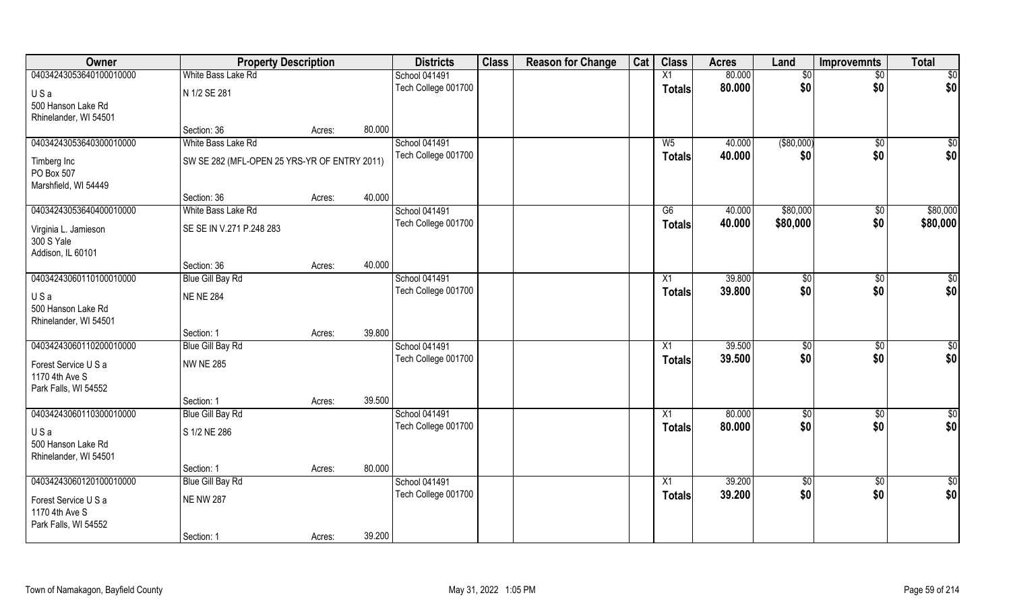| Owner                   | <b>Property Description</b>                  |        |        | <b>Districts</b>    | <b>Class</b> | <b>Reason for Change</b> | Cat | <b>Class</b>    | <b>Acres</b> | Land        | <b>Improvemnts</b> | <b>Total</b>    |
|-------------------------|----------------------------------------------|--------|--------|---------------------|--------------|--------------------------|-----|-----------------|--------------|-------------|--------------------|-----------------|
| 04034243053640100010000 | White Bass Lake Rd                           |        |        | School 041491       |              |                          |     | $\overline{X1}$ | 80.000       | $\sqrt{6}$  | $\sqrt{$0}$        | \$0             |
| USa                     | N 1/2 SE 281                                 |        |        | Tech College 001700 |              |                          |     | <b>Totals</b>   | 80.000       | \$0         | \$0                | \$0             |
| 500 Hanson Lake Rd      |                                              |        |        |                     |              |                          |     |                 |              |             |                    |                 |
| Rhinelander, WI 54501   |                                              |        |        |                     |              |                          |     |                 |              |             |                    |                 |
|                         | Section: 36                                  | Acres: | 80.000 |                     |              |                          |     |                 |              |             |                    |                 |
| 04034243053640300010000 | White Bass Lake Rd                           |        |        | School 041491       |              |                          |     | W <sub>5</sub>  | 40.000       | ( \$80,000) | $\sqrt{$0}$        | $\overline{50}$ |
| Timberg Inc             | SW SE 282 (MFL-OPEN 25 YRS-YR OF ENTRY 2011) |        |        | Tech College 001700 |              |                          |     | <b>Totals</b>   | 40.000       | \$0         | \$0                | \$0             |
| PO Box 507              |                                              |        |        |                     |              |                          |     |                 |              |             |                    |                 |
| Marshfield, WI 54449    |                                              |        |        |                     |              |                          |     |                 |              |             |                    |                 |
|                         | Section: 36                                  | Acres: | 40.000 |                     |              |                          |     |                 |              |             |                    |                 |
| 04034243053640400010000 | White Bass Lake Rd                           |        |        | School 041491       |              |                          |     | G6              | 40.000       | \$80,000    | \$0                | \$80,000        |
| Virginia L. Jamieson    | SE SE IN V.271 P.248 283                     |        |        | Tech College 001700 |              |                          |     | <b>Totals</b>   | 40.000       | \$80,000    | \$0                | \$80,000        |
| 300 S Yale              |                                              |        |        |                     |              |                          |     |                 |              |             |                    |                 |
| Addison, IL 60101       |                                              |        |        |                     |              |                          |     |                 |              |             |                    |                 |
|                         | Section: 36                                  | Acres: | 40.000 |                     |              |                          |     |                 |              |             |                    |                 |
| 04034243060110100010000 | <b>Blue Gill Bay Rd</b>                      |        |        | School 041491       |              |                          |     | X1              | 39.800       | \$0         | $\sqrt[6]{3}$      | $\sqrt{50}$     |
| USa                     | <b>NE NE 284</b>                             |        |        | Tech College 001700 |              |                          |     | <b>Totals</b>   | 39.800       | \$0         | \$0                | \$0             |
| 500 Hanson Lake Rd      |                                              |        |        |                     |              |                          |     |                 |              |             |                    |                 |
| Rhinelander, WI 54501   |                                              |        |        |                     |              |                          |     |                 |              |             |                    |                 |
|                         | Section: 1                                   | Acres: | 39.800 |                     |              |                          |     |                 |              |             |                    |                 |
| 04034243060110200010000 | <b>Blue Gill Bay Rd</b>                      |        |        | School 041491       |              |                          |     | $\overline{X1}$ | 39.500       | $\sqrt{50}$ | \$0                | $\sqrt{50}$     |
| Forest Service U S a    | <b>NW NE 285</b>                             |        |        | Tech College 001700 |              |                          |     | <b>Totals</b>   | 39.500       | \$0         | \$0                | \$0             |
| 1170 4th Ave S          |                                              |        |        |                     |              |                          |     |                 |              |             |                    |                 |
| Park Falls, WI 54552    |                                              |        |        |                     |              |                          |     |                 |              |             |                    |                 |
|                         | Section: 1                                   | Acres: | 39.500 |                     |              |                          |     |                 |              |             |                    |                 |
| 04034243060110300010000 | <b>Blue Gill Bay Rd</b>                      |        |        | School 041491       |              |                          |     | $\overline{X1}$ | 80.000       | \$0         | \$0                | \$0             |
| USa                     | S 1/2 NE 286                                 |        |        | Tech College 001700 |              |                          |     | <b>Totals</b>   | 80.000       | \$0         | \$0                | \$0             |
| 500 Hanson Lake Rd      |                                              |        |        |                     |              |                          |     |                 |              |             |                    |                 |
| Rhinelander, WI 54501   |                                              |        |        |                     |              |                          |     |                 |              |             |                    |                 |
|                         | Section: 1                                   | Acres: | 80.000 |                     |              |                          |     |                 |              |             |                    |                 |
| 04034243060120100010000 | <b>Blue Gill Bay Rd</b>                      |        |        | School 041491       |              |                          |     | X1              | 39.200       | \$0         | $\sqrt{$0}$        | \$0             |
| Forest Service U S a    | <b>NE NW 287</b>                             |        |        | Tech College 001700 |              |                          |     | Totals          | 39.200       | \$0         | \$0                | \$0             |
| 1170 4th Ave S          |                                              |        |        |                     |              |                          |     |                 |              |             |                    |                 |
| Park Falls, WI 54552    |                                              |        |        |                     |              |                          |     |                 |              |             |                    |                 |
|                         | Section: 1                                   | Acres: | 39.200 |                     |              |                          |     |                 |              |             |                    |                 |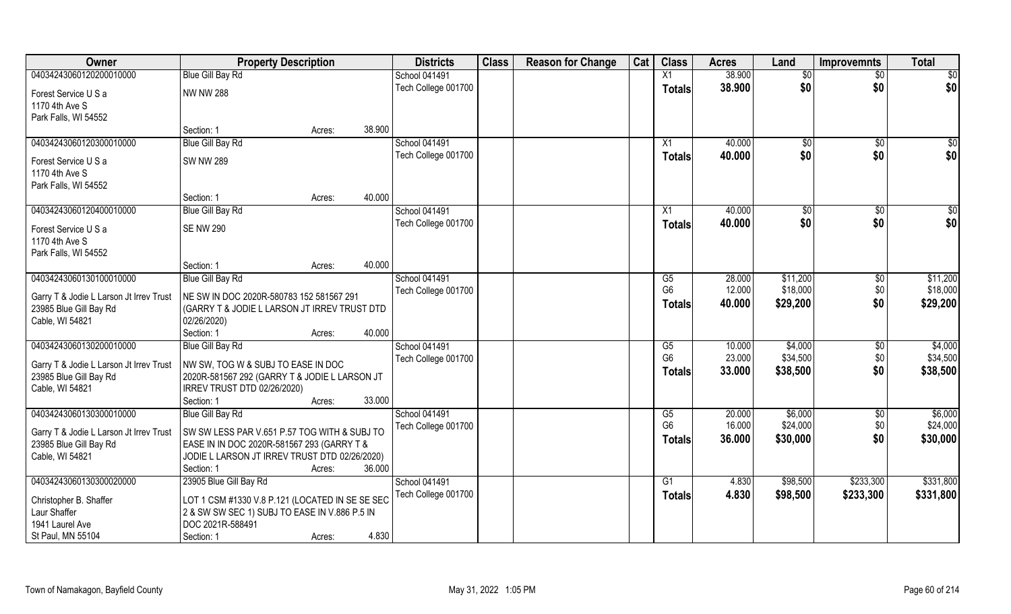| Owner                                                             | <b>Property Description</b>                                                              | <b>Districts</b>    | <b>Class</b> | <b>Reason for Change</b> | Cat | <b>Class</b>           | <b>Acres</b>     | Land                | <b>Improvemnts</b> | <b>Total</b>    |
|-------------------------------------------------------------------|------------------------------------------------------------------------------------------|---------------------|--------------|--------------------------|-----|------------------------|------------------|---------------------|--------------------|-----------------|
| 04034243060120200010000                                           | <b>Blue Gill Bay Rd</b>                                                                  | School 041491       |              |                          |     | X1                     | 38.900           | \$0                 | \$0                | $\overline{50}$ |
| Forest Service U S a                                              | <b>NW NW 288</b>                                                                         | Tech College 001700 |              |                          |     | <b>Totals</b>          | 38.900           | \$0                 | \$0                | \$0             |
| 1170 4th Ave S                                                    |                                                                                          |                     |              |                          |     |                        |                  |                     |                    |                 |
| Park Falls, WI 54552                                              |                                                                                          |                     |              |                          |     |                        |                  |                     |                    |                 |
|                                                                   | 38.900<br>Section: 1<br>Acres:                                                           |                     |              |                          |     |                        |                  |                     |                    |                 |
| 04034243060120300010000                                           | <b>Blue Gill Bay Rd</b>                                                                  | School 041491       |              |                          |     | X1                     | 40.000           | \$0                 | \$0                | \$0             |
| Forest Service U S a                                              | <b>SW NW 289</b>                                                                         | Tech College 001700 |              |                          |     | <b>Totals</b>          | 40.000           | \$0                 | \$0                | \$0             |
| 1170 4th Ave S                                                    |                                                                                          |                     |              |                          |     |                        |                  |                     |                    |                 |
| Park Falls, WI 54552                                              |                                                                                          |                     |              |                          |     |                        |                  |                     |                    |                 |
|                                                                   | Section: 1<br>Acres:                                                                     | 40.000              |              |                          |     |                        |                  |                     |                    |                 |
| 04034243060120400010000                                           | <b>Blue Gill Bay Rd</b>                                                                  | School 041491       |              |                          |     | X1                     | 40.000           | \$0                 | $\sqrt{50}$        | \$0             |
| Forest Service U S a                                              | <b>SE NW 290</b>                                                                         | Tech College 001700 |              |                          |     | Totals                 | 40.000           | \$0                 | \$0                | \$0             |
| 1170 4th Ave S                                                    |                                                                                          |                     |              |                          |     |                        |                  |                     |                    |                 |
| Park Falls, WI 54552                                              |                                                                                          |                     |              |                          |     |                        |                  |                     |                    |                 |
|                                                                   | 40.000<br>Section: 1<br>Acres:                                                           |                     |              |                          |     |                        |                  |                     |                    |                 |
| 04034243060130100010000                                           | Blue Gill Bay Rd                                                                         | School 041491       |              |                          |     | G5                     | 28.000           | \$11,200            | \$0                | \$11,200        |
|                                                                   |                                                                                          | Tech College 001700 |              |                          |     | G <sub>6</sub>         | 12.000           | \$18,000            | \$0                | \$18,000        |
| Garry T & Jodie L Larson Jt Irrev Trust<br>23985 Blue Gill Bay Rd | NE SW IN DOC 2020R-580783 152 581567 291<br>(GARRY T & JODIE L LARSON JT IRREV TRUST DTD |                     |              |                          |     | <b>Totals</b>          | 40.000           | \$29,200            | \$0                | \$29,200        |
| Cable, WI 54821                                                   | 02/26/2020)                                                                              |                     |              |                          |     |                        |                  |                     |                    |                 |
|                                                                   | 40.000<br>Section: 1<br>Acres:                                                           |                     |              |                          |     |                        |                  |                     |                    |                 |
| 04034243060130200010000                                           | <b>Blue Gill Bay Rd</b>                                                                  | School 041491       |              |                          |     | $\overline{\text{G5}}$ | 10.000           | \$4,000             | $\overline{50}$    | \$4,000         |
|                                                                   |                                                                                          | Tech College 001700 |              |                          |     | G <sub>6</sub>         | 23.000           | \$34,500            | \$0                | \$34,500        |
| Garry T & Jodie L Larson Jt Irrev Trust                           | NW SW, TOG W & SUBJ TO EASE IN DOC                                                       |                     |              |                          |     | <b>Totals</b>          | 33.000           | \$38,500            | \$0                | \$38,500        |
| 23985 Blue Gill Bay Rd                                            | 2020R-581567 292 (GARRY T & JODIE L LARSON JT                                            |                     |              |                          |     |                        |                  |                     |                    |                 |
| Cable, WI 54821                                                   | IRREV TRUST DTD 02/26/2020)<br>Section: 1<br>33.000                                      |                     |              |                          |     |                        |                  |                     |                    |                 |
| 04034243060130300010000                                           | Acres:                                                                                   | School 041491       |              |                          |     |                        |                  |                     |                    | \$6,000         |
|                                                                   | <b>Blue Gill Bay Rd</b>                                                                  | Tech College 001700 |              |                          |     | G5<br>G <sub>6</sub>   | 20.000<br>16.000 | \$6,000<br>\$24,000 | \$0<br>\$0         | \$24,000        |
| Garry T & Jodie L Larson Jt Irrev Trust                           | SW SW LESS PAR V.651 P.57 TOG WITH & SUBJ TO                                             |                     |              |                          |     |                        | 36.000           | \$30,000            | \$0                | \$30,000        |
| 23985 Blue Gill Bay Rd                                            | EASE IN IN DOC 2020R-581567 293 (GARRY T &                                               |                     |              |                          |     | <b>Totals</b>          |                  |                     |                    |                 |
| Cable, WI 54821                                                   | JODIE L LARSON JT IRREV TRUST DTD 02/26/2020)                                            |                     |              |                          |     |                        |                  |                     |                    |                 |
|                                                                   | Section: 1<br>36.000<br>Acres:                                                           |                     |              |                          |     |                        |                  |                     |                    |                 |
| 04034243060130300020000                                           | 23905 Blue Gill Bay Rd                                                                   | School 041491       |              |                          |     | G1                     | 4.830            | \$98,500            | \$233,300          | \$331,800       |
| Christopher B. Shaffer                                            | LOT 1 CSM #1330 V.8 P.121 (LOCATED IN SE SE SEC                                          | Tech College 001700 |              |                          |     | <b>Totals</b>          | 4.830            | \$98,500            | \$233,300          | \$331,800       |
| Laur Shaffer                                                      | 2 & SW SW SEC 1) SUBJ TO EASE IN V.886 P.5 IN                                            |                     |              |                          |     |                        |                  |                     |                    |                 |
| 1941 Laurel Ave                                                   | DOC 2021R-588491                                                                         |                     |              |                          |     |                        |                  |                     |                    |                 |
| St Paul, MN 55104                                                 | Section: 1<br>Acres:                                                                     | 4.830               |              |                          |     |                        |                  |                     |                    |                 |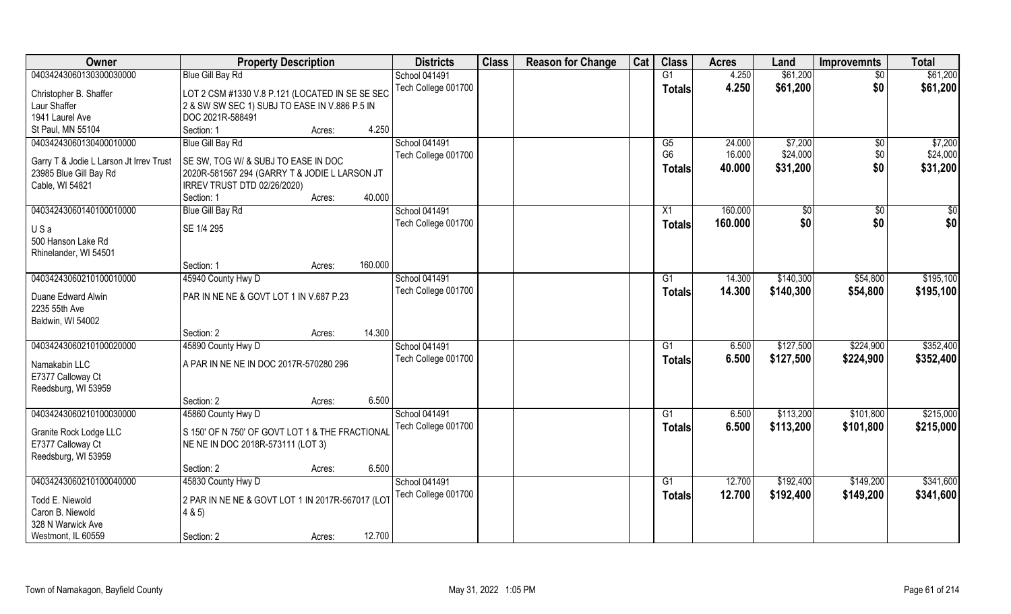| Owner                                   | <b>Property Description</b>                      |        |         | <b>Districts</b>                            | <b>Class</b> | <b>Reason for Change</b> | Cat | <b>Class</b>         | <b>Acres</b>     | Land                | <b>Improvemnts</b> | <b>Total</b>        |
|-----------------------------------------|--------------------------------------------------|--------|---------|---------------------------------------------|--------------|--------------------------|-----|----------------------|------------------|---------------------|--------------------|---------------------|
| 04034243060130300030000                 | <b>Blue Gill Bay Rd</b>                          |        |         | School 041491                               |              |                          |     | G1                   | 4.250            | \$61,200            | $\overline{50}$    | \$61,200            |
| Christopher B. Shaffer                  | LOT 2 CSM #1330 V.8 P.121 (LOCATED IN SE SE SEC  |        |         | Tech College 001700                         |              |                          |     | <b>Totals</b>        | 4.250            | \$61,200            | \$0                | \$61,200            |
| Laur Shaffer                            | 2 & SW SW SEC 1) SUBJ TO EASE IN V.886 P.5 IN    |        |         |                                             |              |                          |     |                      |                  |                     |                    |                     |
| 1941 Laurel Ave                         | DOC 2021R-588491                                 |        |         |                                             |              |                          |     |                      |                  |                     |                    |                     |
| St Paul, MN 55104                       | Section: 1                                       | Acres: | 4.250   |                                             |              |                          |     |                      |                  |                     |                    |                     |
| 04034243060130400010000                 | <b>Blue Gill Bay Rd</b>                          |        |         | <b>School 041491</b><br>Tech College 001700 |              |                          |     | G5<br>G <sub>6</sub> | 24.000<br>16.000 | \$7,200<br>\$24,000 | \$0<br>\$0         | \$7,200<br>\$24,000 |
| Garry T & Jodie L Larson Jt Irrev Trust | SE SW, TOG W/ & SUBJ TO EASE IN DOC              |        |         |                                             |              |                          |     | <b>Totals</b>        | 40.000           | \$31,200            | \$0                | \$31,200            |
| 23985 Blue Gill Bay Rd                  | 2020R-581567 294 (GARRY T & JODIE L LARSON JT    |        |         |                                             |              |                          |     |                      |                  |                     |                    |                     |
| Cable, WI 54821                         | IRREV TRUST DTD 02/26/2020)                      |        |         |                                             |              |                          |     |                      |                  |                     |                    |                     |
|                                         | Section: 1                                       | Acres: | 40.000  |                                             |              |                          |     |                      |                  |                     |                    |                     |
| 04034243060140100010000                 | <b>Blue Gill Bay Rd</b>                          |        |         | School 041491                               |              |                          |     | X1                   | 160.000          | \$0                 | \$0                | \$0                 |
| USa                                     | SE 1/4 295                                       |        |         | Tech College 001700                         |              |                          |     | <b>Totals</b>        | 160.000          | \$0                 | \$0                | \$0                 |
| 500 Hanson Lake Rd                      |                                                  |        |         |                                             |              |                          |     |                      |                  |                     |                    |                     |
| Rhinelander, WI 54501                   |                                                  |        |         |                                             |              |                          |     |                      |                  |                     |                    |                     |
|                                         | Section: 1                                       | Acres: | 160.000 |                                             |              |                          |     |                      |                  |                     |                    |                     |
| 04034243060210100010000                 | 45940 County Hwy D                               |        |         | School 041491                               |              |                          |     | G1                   | 14.300           | \$140,300           | \$54,800           | \$195,100           |
| Duane Edward Alwin                      | PAR IN NE NE & GOVT LOT 1 IN V.687 P.23          |        |         | Tech College 001700                         |              |                          |     | <b>Totals</b>        | 14.300           | \$140,300           | \$54,800           | \$195,100           |
| 2235 55th Ave                           |                                                  |        |         |                                             |              |                          |     |                      |                  |                     |                    |                     |
| Baldwin, WI 54002                       | Section: 2                                       |        | 14.300  |                                             |              |                          |     |                      |                  |                     |                    |                     |
| 04034243060210100020000                 | 45890 County Hwy D                               | Acres: |         |                                             |              |                          |     | G1                   | 6.500            | \$127,500           | \$224,900          | \$352,400           |
|                                         |                                                  |        |         | School 041491                               |              |                          |     |                      |                  |                     |                    |                     |
| Namakabin LLC                           | A PAR IN NE NE IN DOC 2017R-570280 296           |        |         | Tech College 001700                         |              |                          |     | <b>Totals</b>        | 6.500            | \$127,500           | \$224,900          | \$352,400           |
| E7377 Calloway Ct                       |                                                  |        |         |                                             |              |                          |     |                      |                  |                     |                    |                     |
| Reedsburg, WI 53959                     |                                                  |        |         |                                             |              |                          |     |                      |                  |                     |                    |                     |
|                                         | Section: 2                                       | Acres: | 6.500   |                                             |              |                          |     |                      |                  |                     |                    |                     |
| 04034243060210100030000                 | 45860 County Hwy D                               |        |         | School 041491                               |              |                          |     | $\overline{G1}$      | 6.500            | \$113,200           | \$101,800          | \$215,000           |
|                                         | S 150' OF N 750' OF GOVT LOT 1 & THE FRACTIONAL  |        |         | Tech College 001700                         |              |                          |     | <b>Totals</b>        | 6.500            | \$113,200           | \$101,800          | \$215,000           |
| Granite Rock Lodge LLC                  |                                                  |        |         |                                             |              |                          |     |                      |                  |                     |                    |                     |
| E7377 Calloway Ct                       | NE NE IN DOC 2018R-573111 (LOT 3)                |        |         |                                             |              |                          |     |                      |                  |                     |                    |                     |
| Reedsburg, WI 53959                     |                                                  |        | 6.500   |                                             |              |                          |     |                      |                  |                     |                    |                     |
| 04034243060210100040000                 | Section: 2<br>45830 County Hwy D                 | Acres: |         | School 041491                               |              |                          |     | G1                   | 12.700           | \$192,400           | \$149,200          | \$341,600           |
|                                         |                                                  |        |         |                                             |              |                          |     |                      |                  |                     |                    |                     |
| Todd E. Niewold                         | 2 PAR IN NE NE & GOVT LOT 1 IN 2017R-567017 (LOT |        |         | Tech College 001700                         |              |                          |     | Totals               | 12.700           | \$192,400           | \$149,200          | \$341,600           |
| Caron B. Niewold                        | 4 & 5)                                           |        |         |                                             |              |                          |     |                      |                  |                     |                    |                     |
| 328 N Warwick Ave                       |                                                  |        |         |                                             |              |                          |     |                      |                  |                     |                    |                     |
| Westmont, IL 60559                      | Section: 2                                       | Acres: | 12.700  |                                             |              |                          |     |                      |                  |                     |                    |                     |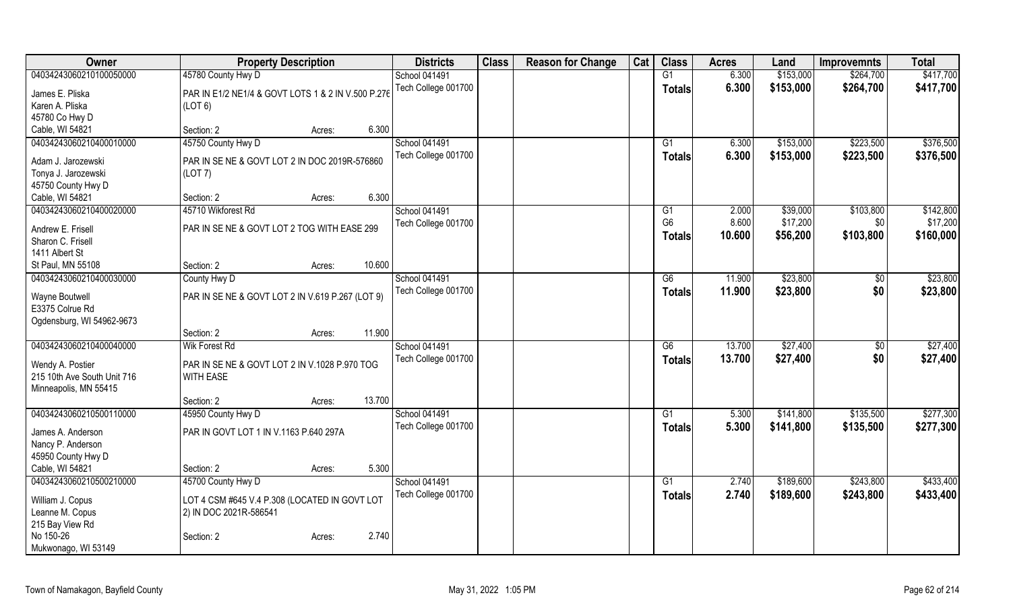| Owner                             | <b>Property Description</b>                        |        | <b>Districts</b>     | <b>Class</b> | <b>Reason for Change</b> | Cat | <b>Class</b>    | <b>Acres</b> | Land      | <b>Improvemnts</b> | <b>Total</b> |
|-----------------------------------|----------------------------------------------------|--------|----------------------|--------------|--------------------------|-----|-----------------|--------------|-----------|--------------------|--------------|
| 04034243060210100050000           | 45780 County Hwy D                                 |        | School 041491        |              |                          |     | $\overline{G1}$ | 6.300        | \$153,000 | \$264,700          | \$417,700    |
| James E. Pliska                   | PAR IN E1/2 NE1/4 & GOVT LOTS 1 & 2 IN V.500 P.276 |        | Tech College 001700  |              |                          |     | <b>Totals</b>   | 6.300        | \$153,000 | \$264,700          | \$417,700    |
| Karen A. Pliska                   | (LOT 6)                                            |        |                      |              |                          |     |                 |              |           |                    |              |
| 45780 Co Hwy D                    |                                                    |        |                      |              |                          |     |                 |              |           |                    |              |
| Cable, WI 54821                   | Section: 2<br>Acres:                               | 6.300  |                      |              |                          |     |                 |              |           |                    |              |
| 04034243060210400010000           | 45750 County Hwy D                                 |        | School 041491        |              |                          |     | G1              | 6.300        | \$153,000 | \$223,500          | \$376,500    |
|                                   |                                                    |        | Tech College 001700  |              |                          |     | <b>Totals</b>   | 6.300        | \$153,000 | \$223,500          | \$376,500    |
| Adam J. Jarozewski                | PAR IN SE NE & GOVT LOT 2 IN DOC 2019R-576860      |        |                      |              |                          |     |                 |              |           |                    |              |
| Tonya J. Jarozewski               | (LOT 7)                                            |        |                      |              |                          |     |                 |              |           |                    |              |
| 45750 County Hwy D                |                                                    |        |                      |              |                          |     |                 |              |           |                    |              |
| Cable, WI 54821                   | Section: 2<br>Acres:                               | 6.300  |                      |              |                          |     |                 |              |           |                    |              |
| 04034243060210400020000           | 45710 Wikforest Rd                                 |        | <b>School 041491</b> |              |                          |     | G1              | 2.000        | \$39,000  | \$103,800          | \$142,800    |
| Andrew E. Frisell                 | PAR IN SE NE & GOVT LOT 2 TOG WITH EASE 299        |        | Tech College 001700  |              |                          |     | G <sub>6</sub>  | 8.600        | \$17,200  | \$0                | \$17,200     |
| Sharon C. Frisell                 |                                                    |        |                      |              |                          |     | <b>Totals</b>   | 10.600       | \$56,200  | \$103,800          | \$160,000    |
| 1411 Albert St                    |                                                    |        |                      |              |                          |     |                 |              |           |                    |              |
| St Paul, MN 55108                 | Section: 2<br>Acres:                               | 10.600 |                      |              |                          |     |                 |              |           |                    |              |
| 04034243060210400030000           | County Hwy D                                       |        | School 041491        |              |                          |     | $\overline{G6}$ | 11.900       | \$23,800  | $\sqrt[6]{30}$     | \$23,800     |
|                                   |                                                    |        | Tech College 001700  |              |                          |     | <b>Totals</b>   | 11.900       | \$23,800  | \$0                | \$23,800     |
| Wayne Boutwell<br>E3375 Colrue Rd | PAR IN SE NE & GOVT LOT 2 IN V.619 P.267 (LOT 9)   |        |                      |              |                          |     |                 |              |           |                    |              |
|                                   |                                                    |        |                      |              |                          |     |                 |              |           |                    |              |
| Ogdensburg, WI 54962-9673         | Section: 2                                         | 11.900 |                      |              |                          |     |                 |              |           |                    |              |
| 04034243060210400040000           | Acres:<br><b>Wik Forest Rd</b>                     |        | School 041491        |              |                          |     | $\overline{G6}$ | 13.700       | \$27,400  |                    | \$27,400     |
|                                   |                                                    |        |                      |              |                          |     |                 |              |           | \$0                |              |
| Wendy A. Postier                  | PAR IN SE NE & GOVT LOT 2 IN V.1028 P.970 TOG      |        | Tech College 001700  |              |                          |     | Totals          | 13.700       | \$27,400  | \$0                | \$27,400     |
| 215 10th Ave South Unit 716       | <b>WITH EASE</b>                                   |        |                      |              |                          |     |                 |              |           |                    |              |
| Minneapolis, MN 55415             |                                                    |        |                      |              |                          |     |                 |              |           |                    |              |
|                                   | Section: 2<br>Acres:                               | 13.700 |                      |              |                          |     |                 |              |           |                    |              |
| 04034243060210500110000           | 45950 County Hwy D                                 |        | School 041491        |              |                          |     | $\overline{G1}$ | 5.300        | \$141,800 | \$135,500          | \$277,300    |
| James A. Anderson                 | PAR IN GOVT LOT 1 IN V.1163 P.640 297A             |        | Tech College 001700  |              |                          |     | <b>Totals</b>   | 5.300        | \$141,800 | \$135,500          | \$277,300    |
| Nancy P. Anderson                 |                                                    |        |                      |              |                          |     |                 |              |           |                    |              |
| 45950 County Hwy D                |                                                    |        |                      |              |                          |     |                 |              |           |                    |              |
| Cable, WI 54821                   | Section: 2<br>Acres:                               | 5.300  |                      |              |                          |     |                 |              |           |                    |              |
| 04034243060210500210000           | 45700 County Hwy D                                 |        | School 041491        |              |                          |     | G1              | 2.740        | \$189,600 | \$243,800          | \$433,400    |
|                                   |                                                    |        | Tech College 001700  |              |                          |     | <b>Totals</b>   | 2.740        | \$189,600 | \$243,800          | \$433,400    |
| William J. Copus                  | LOT 4 CSM #645 V.4 P.308 (LOCATED IN GOVT LOT      |        |                      |              |                          |     |                 |              |           |                    |              |
| Leanne M. Copus                   | 2) IN DOC 2021R-586541                             |        |                      |              |                          |     |                 |              |           |                    |              |
| 215 Bay View Rd                   |                                                    |        |                      |              |                          |     |                 |              |           |                    |              |
| No 150-26                         | Section: 2<br>Acres:                               | 2.740  |                      |              |                          |     |                 |              |           |                    |              |
| Mukwonago, WI 53149               |                                                    |        |                      |              |                          |     |                 |              |           |                    |              |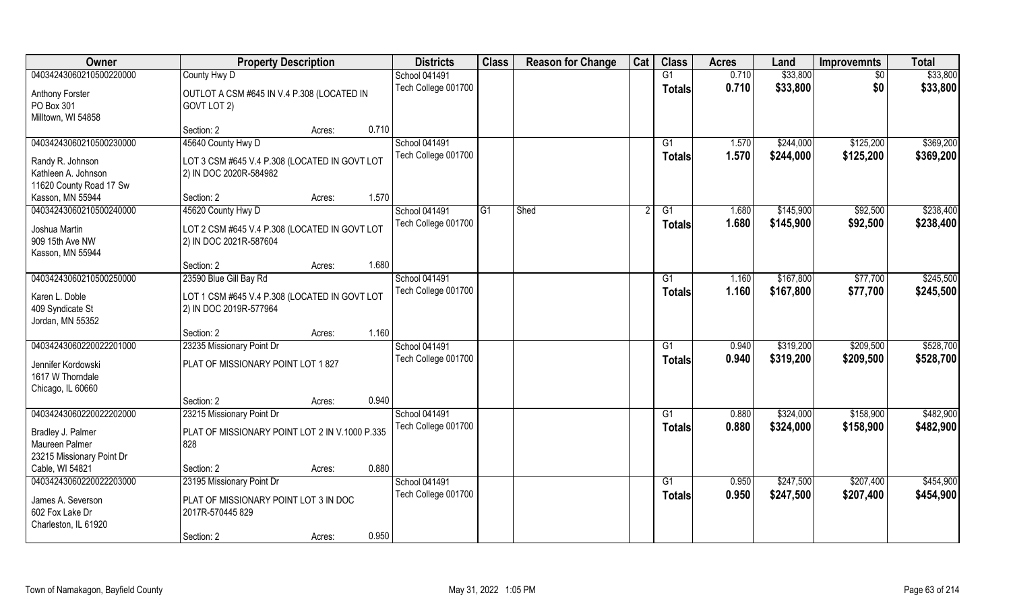| Owner                                      | <b>Property Description</b>                                             |       | <b>Districts</b>     | <b>Class</b> | <b>Reason for Change</b> | Cat | <b>Class</b>  | <b>Acres</b> | Land      | <b>Improvemnts</b> | <b>Total</b> |
|--------------------------------------------|-------------------------------------------------------------------------|-------|----------------------|--------------|--------------------------|-----|---------------|--------------|-----------|--------------------|--------------|
| 04034243060210500220000                    | County Hwy D                                                            |       | School 041491        |              |                          |     | G1            | 0.710        | \$33,800  | $\sqrt{6}$         | \$33,800     |
| Anthony Forster                            | OUTLOT A CSM #645 IN V.4 P.308 (LOCATED IN                              |       | Tech College 001700  |              |                          |     | <b>Totals</b> | 0.710        | \$33,800  | \$0                | \$33,800     |
| PO Box 301                                 | GOVT LOT 2)                                                             |       |                      |              |                          |     |               |              |           |                    |              |
| Milltown, WI 54858                         |                                                                         |       |                      |              |                          |     |               |              |           |                    |              |
|                                            | Section: 2<br>Acres:                                                    | 0.710 |                      |              |                          |     |               |              |           |                    |              |
| 04034243060210500230000                    | 45640 County Hwy D                                                      |       | <b>School 041491</b> |              |                          |     | G1            | 1.570        | \$244,000 | \$125,200          | \$369,200    |
| Randy R. Johnson                           |                                                                         |       | Tech College 001700  |              |                          |     | Totals        | 1.570        | \$244,000 | \$125,200          | \$369,200    |
| Kathleen A. Johnson                        | LOT 3 CSM #645 V.4 P.308 (LOCATED IN GOVT LOT<br>2) IN DOC 2020R-584982 |       |                      |              |                          |     |               |              |           |                    |              |
| 11620 County Road 17 Sw                    |                                                                         |       |                      |              |                          |     |               |              |           |                    |              |
| Kasson, MN 55944                           | Section: 2<br>Acres:                                                    | 1.570 |                      |              |                          |     |               |              |           |                    |              |
| 04034243060210500240000                    | 45620 County Hwy D                                                      |       | School 041491        | l G1         | Shed                     |     | G1            | 1.680        | \$145,900 | \$92,500           | \$238,400    |
|                                            |                                                                         |       | Tech College 001700  |              |                          |     | <b>Totals</b> | 1.680        | \$145,900 | \$92,500           | \$238,400    |
| Joshua Martin                              | LOT 2 CSM #645 V.4 P.308 (LOCATED IN GOVT LOT                           |       |                      |              |                          |     |               |              |           |                    |              |
| 909 15th Ave NW                            | 2) IN DOC 2021R-587604                                                  |       |                      |              |                          |     |               |              |           |                    |              |
| Kasson, MN 55944                           |                                                                         |       |                      |              |                          |     |               |              |           |                    |              |
|                                            | Section: 2<br>Acres:                                                    | 1.680 |                      |              |                          |     |               |              |           |                    |              |
| 04034243060210500250000                    | 23590 Blue Gill Bay Rd                                                  |       | School 041491        |              |                          |     | G1            | 1.160        | \$167,800 | \$77,700           | \$245,500    |
| Karen L. Doble                             | LOT 1 CSM #645 V.4 P.308 (LOCATED IN GOVT LOT                           |       | Tech College 001700  |              |                          |     | <b>Totals</b> | 1.160        | \$167,800 | \$77,700           | \$245,500    |
| 409 Syndicate St                           | 2) IN DOC 2019R-577964                                                  |       |                      |              |                          |     |               |              |           |                    |              |
| Jordan, MN 55352                           |                                                                         |       |                      |              |                          |     |               |              |           |                    |              |
|                                            | Section: 2<br>Acres:                                                    | 1.160 |                      |              |                          |     |               |              |           |                    |              |
| 04034243060220022201000                    | 23235 Missionary Point Dr                                               |       | School 041491        |              |                          |     | G1            | 0.940        | \$319,200 | \$209,500          | \$528,700    |
| Jennifer Kordowski                         | PLAT OF MISSIONARY POINT LOT 1 827                                      |       | Tech College 001700  |              |                          |     | <b>Totals</b> | 0.940        | \$319,200 | \$209,500          | \$528,700    |
| 1617 W Thorndale                           |                                                                         |       |                      |              |                          |     |               |              |           |                    |              |
| Chicago, IL 60660                          |                                                                         |       |                      |              |                          |     |               |              |           |                    |              |
|                                            | Section: 2<br>Acres:                                                    | 0.940 |                      |              |                          |     |               |              |           |                    |              |
| 04034243060220022202000                    | 23215 Missionary Point Dr                                               |       | School 041491        |              |                          |     | G1            | 0.880        | \$324,000 | \$158,900          | \$482,900    |
|                                            |                                                                         |       | Tech College 001700  |              |                          |     | <b>Totals</b> | 0.880        | \$324,000 | \$158,900          | \$482,900    |
| Bradley J. Palmer                          | PLAT OF MISSIONARY POINT LOT 2 IN V.1000 P.335                          |       |                      |              |                          |     |               |              |           |                    |              |
| Maureen Palmer                             | 828                                                                     |       |                      |              |                          |     |               |              |           |                    |              |
| 23215 Missionary Point Dr                  |                                                                         | 0.880 |                      |              |                          |     |               |              |           |                    |              |
| Cable, WI 54821<br>04034243060220022203000 | Section: 2<br>Acres:                                                    |       |                      |              |                          |     |               |              |           |                    |              |
|                                            | 23195 Missionary Point Dr                                               |       | School 041491        |              |                          |     | G1            | 0.950        | \$247,500 | \$207,400          | \$454,900    |
| James A. Severson                          | PLAT OF MISSIONARY POINT LOT 3 IN DOC                                   |       | Tech College 001700  |              |                          |     | Totals        | 0.950        | \$247,500 | \$207,400          | \$454,900    |
| 602 Fox Lake Dr                            | 2017R-570445 829                                                        |       |                      |              |                          |     |               |              |           |                    |              |
| Charleston, IL 61920                       |                                                                         |       |                      |              |                          |     |               |              |           |                    |              |
|                                            | Section: 2<br>Acres:                                                    | 0.950 |                      |              |                          |     |               |              |           |                    |              |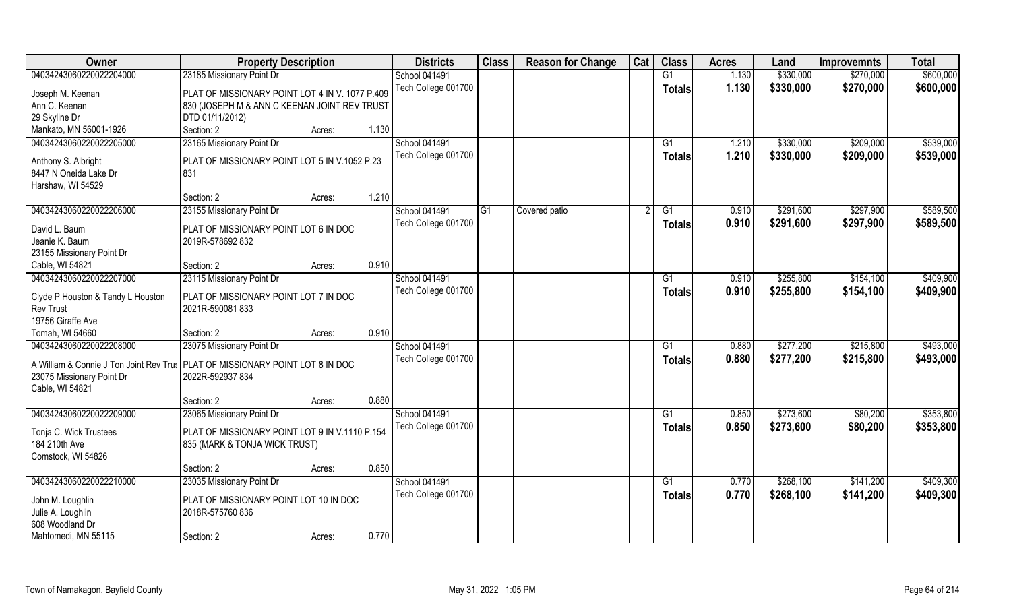| Owner                                                                                                                                                    | <b>Property Description</b>                                                                                        |                 | <b>Districts</b>                            | <b>Class</b> | <b>Reason for Change</b> | Cat | <b>Class</b>        | <b>Acres</b>   | Land                   | <b>Improvemnts</b>     | <b>Total</b>           |
|----------------------------------------------------------------------------------------------------------------------------------------------------------|--------------------------------------------------------------------------------------------------------------------|-----------------|---------------------------------------------|--------------|--------------------------|-----|---------------------|----------------|------------------------|------------------------|------------------------|
| 04034243060220022204000                                                                                                                                  | 23185 Missionary Point Dr                                                                                          |                 | <b>School 041491</b>                        |              |                          |     | G1                  | 1.130          | \$330,000              | \$270,000              | \$600,000              |
| Joseph M. Keenan<br>Ann C. Keenan<br>29 Skyline Dr                                                                                                       | PLAT OF MISSIONARY POINT LOT 4 IN V. 1077 P.409<br>830 (JOSEPH M & ANN C KEENAN JOINT REV TRUST<br>DTD 01/11/2012) |                 | Tech College 001700                         |              |                          |     | <b>Totals</b>       | 1.130          | \$330,000              | \$270,000              | \$600,000              |
| Mankato, MN 56001-1926                                                                                                                                   | Section: 2                                                                                                         | 1.130<br>Acres: |                                             |              |                          |     |                     |                |                        |                        |                        |
| 04034243060220022205000<br>Anthony S. Albright                                                                                                           | 23165 Missionary Point Dr<br>PLAT OF MISSIONARY POINT LOT 5 IN V.1052 P.23                                         |                 | <b>School 041491</b><br>Tech College 001700 |              |                          |     | G1<br><b>Totals</b> | 1.210<br>1.210 | \$330,000<br>\$330,000 | \$209,000<br>\$209,000 | \$539,000<br>\$539,000 |
| 8447 N Oneida Lake Dr<br>Harshaw, WI 54529                                                                                                               | 831                                                                                                                |                 |                                             |              |                          |     |                     |                |                        |                        |                        |
|                                                                                                                                                          | Section: 2                                                                                                         | 1.210<br>Acres: |                                             |              |                          |     |                     |                |                        |                        |                        |
| 04034243060220022206000<br>David L. Baum<br>Jeanie K. Baum<br>23155 Missionary Point Dr                                                                  | 23155 Missionary Point Dr<br>PLAT OF MISSIONARY POINT LOT 6 IN DOC<br>2019R-578692 832                             |                 | <b>School 041491</b><br>Tech College 001700 | G1           | Covered patio            |     | G1<br><b>Totals</b> | 0.910<br>0.910 | \$291,600<br>\$291,600 | \$297,900<br>\$297,900 | \$589,500<br>\$589,500 |
| Cable, WI 54821                                                                                                                                          | Section: 2                                                                                                         | 0.910<br>Acres: |                                             |              |                          |     |                     |                |                        |                        |                        |
| 04034243060220022207000                                                                                                                                  | 23115 Missionary Point Dr                                                                                          |                 | <b>School 041491</b>                        |              |                          |     | G1                  | 0.910          | \$255,800              | \$154,100              | \$409,900              |
| Clyde P Houston & Tandy L Houston<br><b>Rev Trust</b><br>19756 Giraffe Ave                                                                               | PLAT OF MISSIONARY POINT LOT 7 IN DOC<br>2021R-590081833                                                           |                 | Tech College 001700                         |              |                          |     | <b>Totals</b>       | 0.910          | \$255,800              | \$154,100              | \$409,900              |
| Tomah, WI 54660                                                                                                                                          | Section: 2                                                                                                         | 0.910<br>Acres: |                                             |              |                          |     |                     |                |                        |                        |                        |
| 04034243060220022208000<br>A William & Connie J Ton Joint Rev Trus PLAT OF MISSIONARY POINT LOT 8 IN DOC<br>23075 Missionary Point Dr<br>Cable, WI 54821 | 23075 Missionary Point Dr<br>2022R-592937 834                                                                      |                 | <b>School 041491</b><br>Tech College 001700 |              |                          |     | G1<br><b>Totals</b> | 0.880<br>0.880 | \$277,200<br>\$277,200 | \$215,800<br>\$215,800 | \$493,000<br>\$493,000 |
|                                                                                                                                                          | Section: 2                                                                                                         | 0.880<br>Acres: |                                             |              |                          |     |                     |                |                        |                        |                        |
| 04034243060220022209000                                                                                                                                  | 23065 Missionary Point Dr                                                                                          |                 | School 041491                               |              |                          |     | G1                  | 0.850          | \$273,600              | \$80,200               | \$353,800              |
| Tonja C. Wick Trustees<br>184 210th Ave<br>Comstock, WI 54826                                                                                            | PLAT OF MISSIONARY POINT LOT 9 IN V.1110 P.154<br>835 (MARK & TONJA WICK TRUST)                                    |                 | Tech College 001700                         |              |                          |     | <b>Totals</b>       | 0.850          | \$273,600              | \$80,200               | \$353,800              |
|                                                                                                                                                          | Section: 2                                                                                                         | 0.850<br>Acres: |                                             |              |                          |     |                     |                |                        |                        |                        |
| 04034243060220022210000                                                                                                                                  | 23035 Missionary Point Dr                                                                                          |                 | School 041491                               |              |                          |     | G1                  | 0.770          | \$268,100              | \$141,200              | \$409,300              |
| John M. Loughlin<br>Julie A. Loughlin<br>608 Woodland Dr                                                                                                 | PLAT OF MISSIONARY POINT LOT 10 IN DOC<br>2018R-575760 836                                                         |                 | Tech College 001700                         |              |                          |     | <b>Totals</b>       | 0.770          | \$268,100              | \$141,200              | \$409,300              |
| Mahtomedi, MN 55115                                                                                                                                      | Section: 2                                                                                                         | 0.770<br>Acres: |                                             |              |                          |     |                     |                |                        |                        |                        |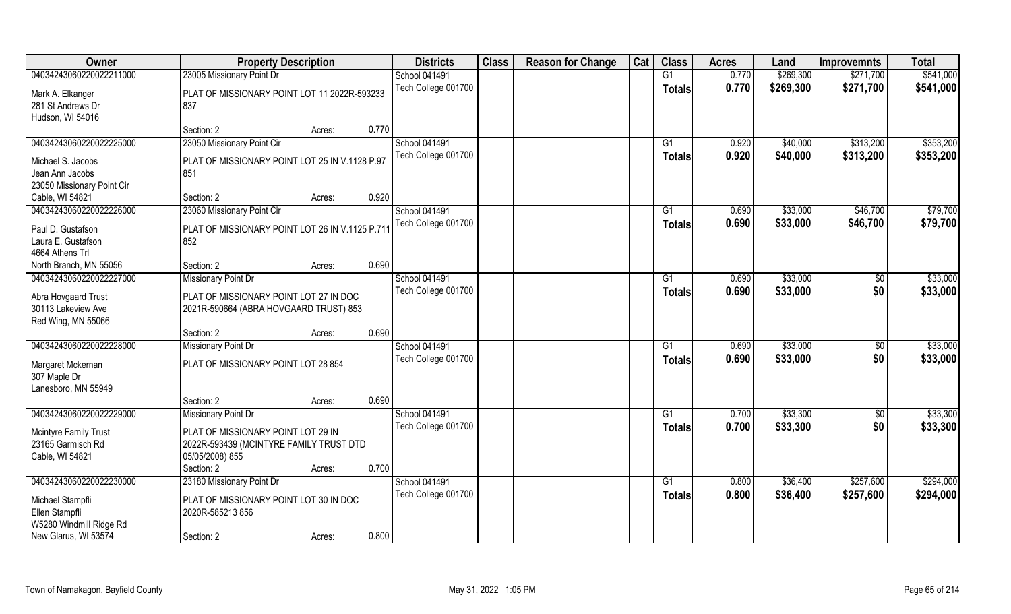| Owner                      | <b>Property Description</b>                    | <b>Districts</b>    | <b>Class</b> | <b>Reason for Change</b> | Cat | <b>Class</b>   | <b>Acres</b> | Land      | <b>Improvemnts</b> | <b>Total</b> |
|----------------------------|------------------------------------------------|---------------------|--------------|--------------------------|-----|----------------|--------------|-----------|--------------------|--------------|
| 04034243060220022211000    | 23005 Missionary Point Dr                      | School 041491       |              |                          |     | G1             | 0.770        | \$269,300 | \$271,700          | \$541,000    |
| Mark A. Elkanger           | PLAT OF MISSIONARY POINT LOT 11 2022R-593233   | Tech College 001700 |              |                          |     | <b>Totals</b>  | 0.770        | \$269,300 | \$271,700          | \$541,000    |
| 281 St Andrews Dr          | 837                                            |                     |              |                          |     |                |              |           |                    |              |
| Hudson, WI 54016           |                                                |                     |              |                          |     |                |              |           |                    |              |
|                            | 0.770<br>Section: 2<br>Acres:                  |                     |              |                          |     |                |              |           |                    |              |
| 04034243060220022225000    | 23050 Missionary Point Cir                     | School 041491       |              |                          |     | G <sub>1</sub> | 0.920        | \$40,000  | \$313,200          | \$353,200    |
| Michael S. Jacobs          | PLAT OF MISSIONARY POINT LOT 25 IN V.1128 P.97 | Tech College 001700 |              |                          |     | <b>Totals</b>  | 0.920        | \$40,000  | \$313,200          | \$353,200    |
| Jean Ann Jacobs            | 851                                            |                     |              |                          |     |                |              |           |                    |              |
| 23050 Missionary Point Cir |                                                |                     |              |                          |     |                |              |           |                    |              |
| Cable, WI 54821            | 0.920<br>Section: 2<br>Acres:                  |                     |              |                          |     |                |              |           |                    |              |
| 04034243060220022226000    | 23060 Missionary Point Cir                     | School 041491       |              |                          |     | G1             | 0.690        | \$33,000  | \$46,700           | \$79,700     |
| Paul D. Gustafson          | PLAT OF MISSIONARY POINT LOT 26 IN V.1125 P.71 | Tech College 001700 |              |                          |     | <b>Totals</b>  | 0.690        | \$33,000  | \$46,700           | \$79,700     |
| Laura E. Gustafson         | 852                                            |                     |              |                          |     |                |              |           |                    |              |
| 4664 Athens Trl            |                                                |                     |              |                          |     |                |              |           |                    |              |
| North Branch, MN 55056     | 0.690<br>Section: 2<br>Acres:                  |                     |              |                          |     |                |              |           |                    |              |
| 04034243060220022227000    | <b>Missionary Point Dr</b>                     | School 041491       |              |                          |     | G1             | 0.690        | \$33,000  | \$0                | \$33,000     |
|                            |                                                | Tech College 001700 |              |                          |     | <b>Totals</b>  | 0.690        | \$33,000  | \$0                | \$33,000     |
| Abra Hovgaard Trust        | PLAT OF MISSIONARY POINT LOT 27 IN DOC         |                     |              |                          |     |                |              |           |                    |              |
| 30113 Lakeview Ave         | 2021R-590664 (ABRA HOVGAARD TRUST) 853         |                     |              |                          |     |                |              |           |                    |              |
| Red Wing, MN 55066         | 0.690<br>Section: 2                            |                     |              |                          |     |                |              |           |                    |              |
| 04034243060220022228000    | Acres:<br><b>Missionary Point Dr</b>           | School 041491       |              |                          |     | G1             | 0.690        | \$33,000  | $\sqrt[6]{}$       | \$33,000     |
|                            |                                                | Tech College 001700 |              |                          |     |                | 0.690        | \$33,000  | \$0                | \$33,000     |
| Margaret Mckernan          | PLAT OF MISSIONARY POINT LOT 28 854            |                     |              |                          |     | <b>Totals</b>  |              |           |                    |              |
| 307 Maple Dr               |                                                |                     |              |                          |     |                |              |           |                    |              |
| Lanesboro, MN 55949        |                                                |                     |              |                          |     |                |              |           |                    |              |
|                            | 0.690<br>Section: 2<br>Acres:                  |                     |              |                          |     |                |              |           |                    |              |
| 04034243060220022229000    | <b>Missionary Point Dr</b>                     | School 041491       |              |                          |     | G1             | 0.700        | \$33,300  | $\sqrt{6}$         | \$33,300     |
| Mcintyre Family Trust      | PLAT OF MISSIONARY POINT LOT 29 IN             | Tech College 001700 |              |                          |     | <b>Totals</b>  | 0.700        | \$33,300  | \$0                | \$33,300     |
| 23165 Garmisch Rd          | 2022R-593439 (MCINTYRE FAMILY TRUST DTD        |                     |              |                          |     |                |              |           |                    |              |
| Cable, WI 54821            | 05/05/2008) 855                                |                     |              |                          |     |                |              |           |                    |              |
|                            | 0.700<br>Section: 2<br>Acres:                  |                     |              |                          |     |                |              |           |                    |              |
| 04034243060220022230000    | 23180 Missionary Point Dr                      | School 041491       |              |                          |     | G1             | 0.800        | \$36,400  | \$257,600          | \$294,000    |
| Michael Stampfli           | PLAT OF MISSIONARY POINT LOT 30 IN DOC         | Tech College 001700 |              |                          |     | <b>Totals</b>  | 0.800        | \$36,400  | \$257,600          | \$294,000    |
| Ellen Stampfli             | 2020R-585213 856                               |                     |              |                          |     |                |              |           |                    |              |
| W5280 Windmill Ridge Rd    |                                                |                     |              |                          |     |                |              |           |                    |              |
| New Glarus, WI 53574       | 0.800<br>Section: 2<br>Acres:                  |                     |              |                          |     |                |              |           |                    |              |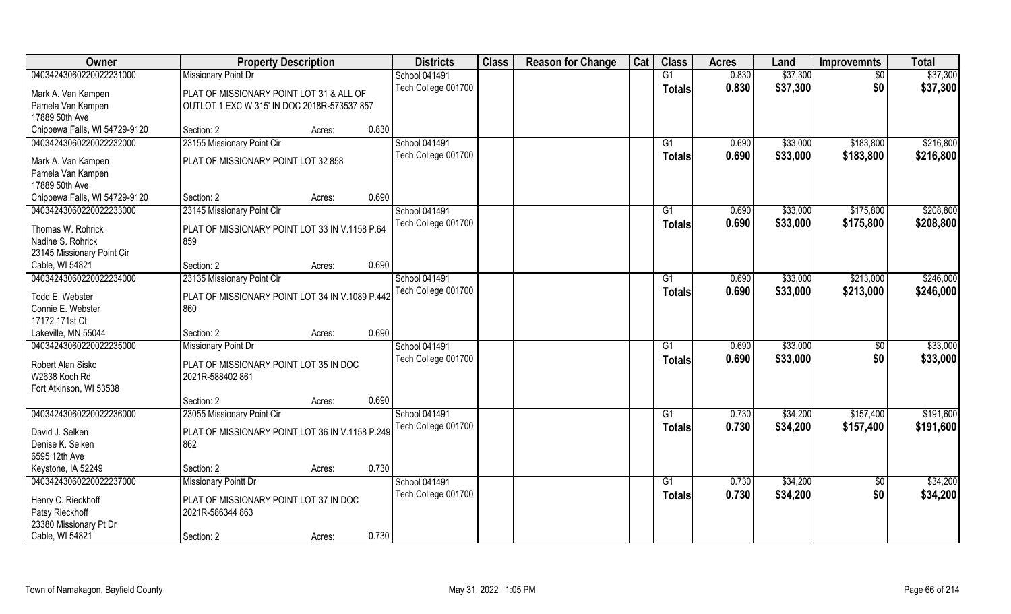| Owner                         | <b>Property Description</b>                     |                 | <b>Districts</b>     | <b>Class</b> | <b>Reason for Change</b> | Cat | <b>Class</b>  | <b>Acres</b> | Land     | <b>Improvemnts</b> | <b>Total</b> |
|-------------------------------|-------------------------------------------------|-----------------|----------------------|--------------|--------------------------|-----|---------------|--------------|----------|--------------------|--------------|
| 04034243060220022231000       | <b>Missionary Point Dr</b>                      |                 | School 041491        |              |                          |     | G1            | 0.830        | \$37,300 | $\sqrt{6}$         | \$37,300     |
| Mark A. Van Kampen            | PLAT OF MISSIONARY POINT LOT 31 & ALL OF        |                 | Tech College 001700  |              |                          |     | <b>Totals</b> | 0.830        | \$37,300 | \$0                | \$37,300     |
| Pamela Van Kampen             | OUTLOT 1 EXC W 315' IN DOC 2018R-573537 857     |                 |                      |              |                          |     |               |              |          |                    |              |
| 17889 50th Ave                |                                                 |                 |                      |              |                          |     |               |              |          |                    |              |
| Chippewa Falls, WI 54729-9120 | Section: 2                                      | 0.830<br>Acres: |                      |              |                          |     |               |              |          |                    |              |
| 04034243060220022232000       | 23155 Missionary Point Cir                      |                 | <b>School 041491</b> |              |                          |     | G1            | 0.690        | \$33,000 | \$183,800          | \$216,800    |
| Mark A. Van Kampen            | PLAT OF MISSIONARY POINT LOT 32 858             |                 | Tech College 001700  |              |                          |     | Totals        | 0.690        | \$33,000 | \$183,800          | \$216,800    |
| Pamela Van Kampen             |                                                 |                 |                      |              |                          |     |               |              |          |                    |              |
| 17889 50th Ave                |                                                 |                 |                      |              |                          |     |               |              |          |                    |              |
| Chippewa Falls, WI 54729-9120 | Section: 2                                      | 0.690<br>Acres: |                      |              |                          |     |               |              |          |                    |              |
| 04034243060220022233000       | 23145 Missionary Point Cir                      |                 | School 041491        |              |                          |     | G1            | 0.690        | \$33,000 | \$175,800          | \$208,800    |
|                               |                                                 |                 | Tech College 001700  |              |                          |     | <b>Totals</b> | 0.690        | \$33,000 | \$175,800          | \$208,800    |
| Thomas W. Rohrick             | PLAT OF MISSIONARY POINT LOT 33 IN V.1158 P.64  |                 |                      |              |                          |     |               |              |          |                    |              |
| Nadine S. Rohrick             | 859                                             |                 |                      |              |                          |     |               |              |          |                    |              |
| 23145 Missionary Point Cir    |                                                 |                 |                      |              |                          |     |               |              |          |                    |              |
| Cable, WI 54821               | Section: 2                                      | 0.690<br>Acres: |                      |              |                          |     |               |              |          |                    |              |
| 04034243060220022234000       | 23135 Missionary Point Cir                      |                 | School 041491        |              |                          |     | G1            | 0.690        | \$33,000 | \$213,000          | \$246,000    |
| Todd E. Webster               | PLAT OF MISSIONARY POINT LOT 34 IN V.1089 P.442 |                 | Tech College 001700  |              |                          |     | <b>Totals</b> | 0.690        | \$33,000 | \$213,000          | \$246,000    |
| Connie E. Webster             | 860                                             |                 |                      |              |                          |     |               |              |          |                    |              |
| 17172 171st Ct                |                                                 |                 |                      |              |                          |     |               |              |          |                    |              |
| Lakeville, MN 55044           | Section: 2                                      | 0.690<br>Acres: |                      |              |                          |     |               |              |          |                    |              |
| 04034243060220022235000       | <b>Missionary Point Dr</b>                      |                 | School 041491        |              |                          |     | G1            | 0.690        | \$33,000 | $\sqrt[6]{30}$     | \$33,000     |
| Robert Alan Sisko             | PLAT OF MISSIONARY POINT LOT 35 IN DOC          |                 | Tech College 001700  |              |                          |     | <b>Totals</b> | 0.690        | \$33,000 | \$0                | \$33,000     |
| W2638 Koch Rd                 | 2021R-588402 861                                |                 |                      |              |                          |     |               |              |          |                    |              |
| Fort Atkinson, WI 53538       |                                                 |                 |                      |              |                          |     |               |              |          |                    |              |
|                               | Section: 2                                      | 0.690<br>Acres: |                      |              |                          |     |               |              |          |                    |              |
| 04034243060220022236000       | 23055 Missionary Point Cir                      |                 | School 041491        |              |                          |     | G1            | 0.730        | \$34,200 | \$157,400          | \$191,600    |
|                               |                                                 |                 | Tech College 001700  |              |                          |     | <b>Totals</b> | 0.730        | \$34,200 | \$157,400          | \$191,600    |
| David J. Selken               | PLAT OF MISSIONARY POINT LOT 36 IN V.1158 P.249 |                 |                      |              |                          |     |               |              |          |                    |              |
| Denise K. Selken              | 862                                             |                 |                      |              |                          |     |               |              |          |                    |              |
| 6595 12th Ave                 |                                                 |                 |                      |              |                          |     |               |              |          |                    |              |
| Keystone, IA 52249            | Section: 2                                      | 0.730<br>Acres: |                      |              |                          |     |               |              |          |                    |              |
| 04034243060220022237000       | <b>Missionary Pointt Dr</b>                     |                 | School 041491        |              |                          |     | G1            | 0.730        | \$34,200 | $\overline{50}$    | \$34,200     |
| Henry C. Rieckhoff            | PLAT OF MISSIONARY POINT LOT 37 IN DOC          |                 | Tech College 001700  |              |                          |     | Totals        | 0.730        | \$34,200 | \$0                | \$34,200     |
| Patsy Rieckhoff               | 2021R-586344 863                                |                 |                      |              |                          |     |               |              |          |                    |              |
| 23380 Missionary Pt Dr        |                                                 |                 |                      |              |                          |     |               |              |          |                    |              |
| Cable, WI 54821               | Section: 2                                      | 0.730<br>Acres: |                      |              |                          |     |               |              |          |                    |              |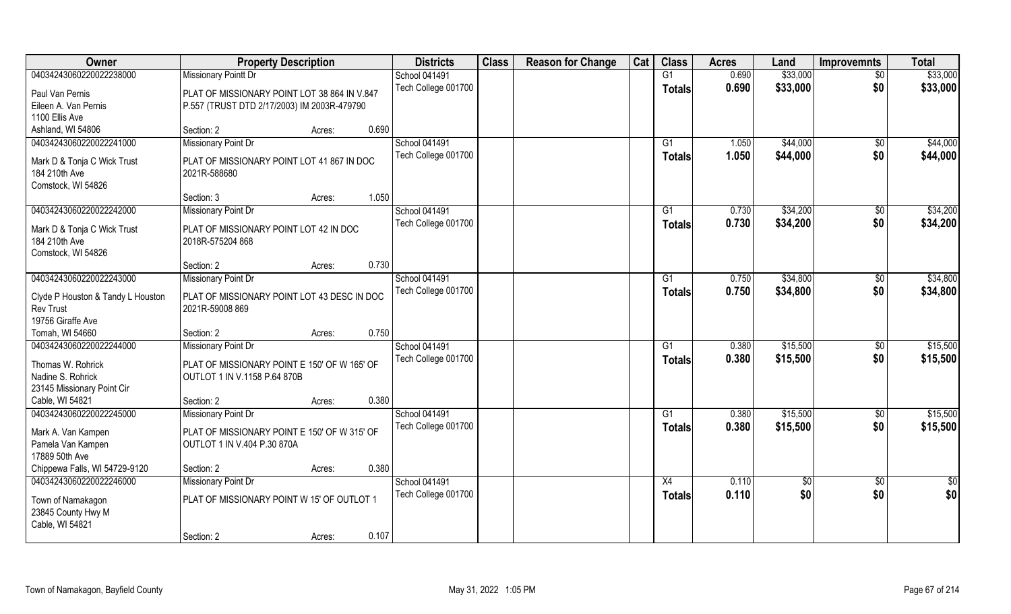| Owner                             | <b>Property Description</b>                  |                 | <b>Districts</b>     | <b>Class</b> | <b>Reason for Change</b> | Cat | <b>Class</b>    | <b>Acres</b> | Land       | <b>Improvemnts</b> | <b>Total</b>     |
|-----------------------------------|----------------------------------------------|-----------------|----------------------|--------------|--------------------------|-----|-----------------|--------------|------------|--------------------|------------------|
| 04034243060220022238000           | <b>Missionary Pointt Dr</b>                  |                 | <b>School 041491</b> |              |                          |     | $\overline{G1}$ | 0.690        | \$33,000   | $\overline{50}$    | \$33,000         |
| Paul Van Pernis                   | PLAT OF MISSIONARY POINT LOT 38 864 IN V.847 |                 | Tech College 001700  |              |                          |     | Totals          | 0.690        | \$33,000   | \$0                | \$33,000         |
| Eileen A. Van Pernis              | P.557 (TRUST DTD 2/17/2003) IM 2003R-479790  |                 |                      |              |                          |     |                 |              |            |                    |                  |
| 1100 Ellis Ave                    |                                              |                 |                      |              |                          |     |                 |              |            |                    |                  |
| Ashland, WI 54806                 | Section: 2                                   | 0.690<br>Acres: |                      |              |                          |     |                 |              |            |                    |                  |
| 04034243060220022241000           | <b>Missionary Point Dr</b>                   |                 | School 041491        |              |                          |     | G1              | 1.050        | \$44,000   | $\overline{50}$    | \$44,000         |
| Mark D & Tonja C Wick Trust       | PLAT OF MISSIONARY POINT LOT 41 867 IN DOC   |                 | Tech College 001700  |              |                          |     | Totals          | 1.050        | \$44,000   | \$0                | \$44,000         |
| 184 210th Ave                     | 2021R-588680                                 |                 |                      |              |                          |     |                 |              |            |                    |                  |
| Comstock, WI 54826                |                                              |                 |                      |              |                          |     |                 |              |            |                    |                  |
|                                   | Section: 3                                   | 1.050<br>Acres: |                      |              |                          |     |                 |              |            |                    |                  |
| 04034243060220022242000           | <b>Missionary Point Dr</b>                   |                 | <b>School 041491</b> |              |                          |     | G1              | 0.730        | \$34,200   | \$0                | \$34,200         |
| Mark D & Tonja C Wick Trust       | PLAT OF MISSIONARY POINT LOT 42 IN DOC       |                 | Tech College 001700  |              |                          |     | <b>Totals</b>   | 0.730        | \$34,200   | \$0                | \$34,200         |
| 184 210th Ave                     | 2018R-575204 868                             |                 |                      |              |                          |     |                 |              |            |                    |                  |
| Comstock, WI 54826                |                                              |                 |                      |              |                          |     |                 |              |            |                    |                  |
|                                   | Section: 2                                   | 0.730<br>Acres: |                      |              |                          |     |                 |              |            |                    |                  |
| 04034243060220022243000           | <b>Missionary Point Dr</b>                   |                 | School 041491        |              |                          |     | G1              | 0.750        | \$34,800   | \$0                | \$34,800         |
| Clyde P Houston & Tandy L Houston | PLAT OF MISSIONARY POINT LOT 43 DESC IN DOC  |                 | Tech College 001700  |              |                          |     | <b>Totals</b>   | 0.750        | \$34,800   | \$0                | \$34,800         |
| <b>Rev Trust</b>                  | 2021R-59008 869                              |                 |                      |              |                          |     |                 |              |            |                    |                  |
| 19756 Giraffe Ave                 |                                              |                 |                      |              |                          |     |                 |              |            |                    |                  |
| Tomah, WI 54660                   | Section: 2                                   | 0.750<br>Acres: |                      |              |                          |     |                 |              |            |                    |                  |
| 04034243060220022244000           | <b>Missionary Point Dr</b>                   |                 | School 041491        |              |                          |     | G1              | 0.380        | \$15,500   | \$0                | \$15,500         |
| Thomas W. Rohrick                 | PLAT OF MISSIONARY POINT E 150' OF W 165' OF |                 | Tech College 001700  |              |                          |     | <b>Totals</b>   | 0.380        | \$15,500   | \$0                | \$15,500         |
| Nadine S. Rohrick                 | OUTLOT 1 IN V.1158 P.64 870B                 |                 |                      |              |                          |     |                 |              |            |                    |                  |
| 23145 Missionary Point Cir        |                                              |                 |                      |              |                          |     |                 |              |            |                    |                  |
| Cable, WI 54821                   | Section: 2                                   | 0.380<br>Acres: |                      |              |                          |     |                 |              |            |                    |                  |
| 04034243060220022245000           | <b>Missionary Point Dr</b>                   |                 | <b>School 041491</b> |              |                          |     | G <sub>1</sub>  | 0.380        | \$15,500   | \$0                | \$15,500         |
| Mark A. Van Kampen                | PLAT OF MISSIONARY POINT E 150' OF W 315' OF |                 | Tech College 001700  |              |                          |     | <b>Totals</b>   | 0.380        | \$15,500   | \$0                | \$15,500         |
| Pamela Van Kampen                 | OUTLOT 1 IN V.404 P.30 870A                  |                 |                      |              |                          |     |                 |              |            |                    |                  |
| 17889 50th Ave                    |                                              |                 |                      |              |                          |     |                 |              |            |                    |                  |
| Chippewa Falls, WI 54729-9120     | Section: 2                                   | 0.380<br>Acres: |                      |              |                          |     |                 |              |            |                    |                  |
| 04034243060220022246000           | <b>Missionary Point Dr</b>                   |                 | School 041491        |              |                          |     | X4              | 0.110        | $\sqrt{6}$ | $\overline{50}$    | $\overline{\$0}$ |
| Town of Namakagon                 | PLAT OF MISSIONARY POINT W 15' OF OUTLOT 1   |                 | Tech College 001700  |              |                          |     | <b>Totals</b>   | 0.110        | \$0        | \$0                | \$0              |
| 23845 County Hwy M                |                                              |                 |                      |              |                          |     |                 |              |            |                    |                  |
| Cable, WI 54821                   |                                              |                 |                      |              |                          |     |                 |              |            |                    |                  |
|                                   | Section: 2                                   | 0.107<br>Acres: |                      |              |                          |     |                 |              |            |                    |                  |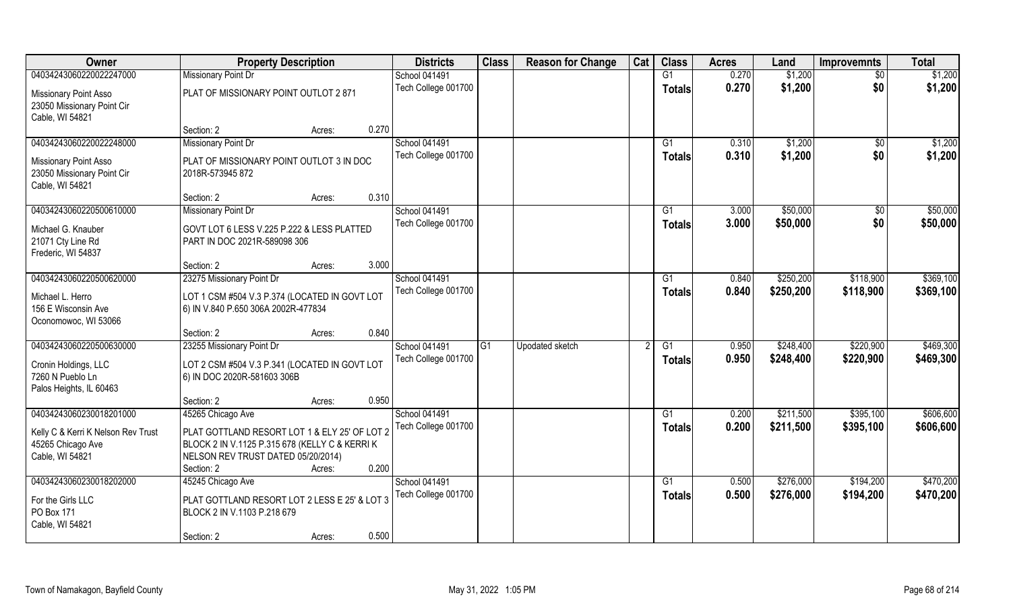| Owner                                                                                          | <b>Property Description</b>                                                                                                                         |                 | <b>Districts</b>                     | <b>Class</b> | <b>Reason for Change</b> | Cat | <b>Class</b>        | <b>Acres</b>   | Land                   | <b>Improvemnts</b>     | <b>Total</b>           |
|------------------------------------------------------------------------------------------------|-----------------------------------------------------------------------------------------------------------------------------------------------------|-----------------|--------------------------------------|--------------|--------------------------|-----|---------------------|----------------|------------------------|------------------------|------------------------|
| 04034243060220022247000                                                                        | <b>Missionary Point Dr</b>                                                                                                                          |                 | <b>School 041491</b>                 |              |                          |     | G1                  | 0.270          | \$1,200                | $\overline{30}$        | \$1,200                |
| Missionary Point Asso<br>23050 Missionary Point Cir<br>Cable, WI 54821                         | PLAT OF MISSIONARY POINT OUTLOT 2 871                                                                                                               |                 | Tech College 001700                  |              |                          |     | <b>Totals</b>       | 0.270          | \$1,200                | \$0                    | \$1,200                |
|                                                                                                | Section: 2                                                                                                                                          | 0.270<br>Acres: |                                      |              |                          |     |                     |                |                        |                        |                        |
| 04034243060220022248000                                                                        | <b>Missionary Point Dr</b>                                                                                                                          |                 | <b>School 041491</b>                 |              |                          |     | G <sub>1</sub>      | 0.310          | \$1,200                | \$0                    | \$1,200                |
| Missionary Point Asso<br>23050 Missionary Point Cir<br>Cable, WI 54821                         | PLAT OF MISSIONARY POINT OUTLOT 3 IN DOC<br>2018R-573945 872                                                                                        |                 | Tech College 001700                  |              |                          |     | <b>Totals</b>       | 0.310          | \$1,200                | \$0                    | \$1,200                |
|                                                                                                | Section: 2                                                                                                                                          | 0.310<br>Acres: |                                      |              |                          |     |                     |                |                        |                        |                        |
| 04034243060220500610000                                                                        | Missionary Point Dr                                                                                                                                 |                 | School 041491                        |              |                          |     | G1                  | 3.000          | \$50,000               | \$0                    | \$50,000               |
| Michael G. Knauber<br>21071 Cty Line Rd<br>Frederic, WI 54837                                  | GOVT LOT 6 LESS V.225 P.222 & LESS PLATTED<br>PART IN DOC 2021R-589098 306                                                                          |                 | Tech College 001700                  |              |                          |     | <b>Totals</b>       | 3.000          | \$50,000               | \$0                    | \$50,000               |
|                                                                                                | Section: 2                                                                                                                                          | 3.000<br>Acres: |                                      |              |                          |     |                     |                |                        |                        |                        |
| 04034243060220500620000                                                                        | 23275 Missionary Point Dr                                                                                                                           |                 | <b>School 041491</b>                 |              |                          |     | G1                  | 0.840          | \$250,200              | \$118,900              | \$369,100              |
| Michael L. Herro<br>156 E Wisconsin Ave<br>Oconomowoc, WI 53066                                | LOT 1 CSM #504 V.3 P.374 (LOCATED IN GOVT LOT<br>6) IN V.840 P.650 306A 2002R-477834                                                                |                 | Tech College 001700                  |              |                          |     | <b>Totals</b>       | 0.840          | \$250,200              | \$118,900              | \$369,100              |
|                                                                                                | Section: 2                                                                                                                                          | 0.840<br>Acres: |                                      |              |                          |     |                     |                |                        |                        |                        |
| 04034243060220500630000<br>Cronin Holdings, LLC<br>7260 N Pueblo Ln<br>Palos Heights, IL 60463 | 23255 Missionary Point Dr<br>LOT 2 CSM #504 V.3 P.341 (LOCATED IN GOVT LOT<br>6) IN DOC 2020R-581603 306B                                           |                 | School 041491<br>Tech College 001700 | G1           | <b>Upodated sketch</b>   |     | G1<br><b>Totals</b> | 0.950<br>0.950 | \$248,400<br>\$248,400 | \$220,900<br>\$220,900 | \$469,300<br>\$469,300 |
|                                                                                                | Section: 2                                                                                                                                          | 0.950<br>Acres: |                                      |              |                          |     |                     |                |                        |                        |                        |
| 04034243060230018201000                                                                        | 45265 Chicago Ave                                                                                                                                   |                 | School 041491                        |              |                          |     | G1                  | 0.200          | \$211,500              | \$395,100              | \$606,600              |
| Kelly C & Kerri K Nelson Rev Trust<br>45265 Chicago Ave<br>Cable, WI 54821                     | PLAT GOTTLAND RESORT LOT 1 & ELY 25' OF LOT 2<br>BLOCK 2 IN V.1125 P.315 678 (KELLY C & KERRI K<br>NELSON REV TRUST DATED 05/20/2014)<br>Section: 2 | 0.200<br>Acres: | Tech College 001700                  |              |                          |     | <b>Totals</b>       | 0.200          | \$211,500              | \$395,100              | \$606,600              |
| 04034243060230018202000                                                                        | 45245 Chicago Ave                                                                                                                                   |                 | School 041491                        |              |                          |     | G1                  | 0.500          | \$276,000              | \$194,200              | \$470,200              |
| For the Girls LLC<br>PO Box 171<br>Cable, WI 54821                                             | PLAT GOTTLAND RESORT LOT 2 LESS E 25' & LOT 3<br>BLOCK 2 IN V.1103 P.218 679<br>Section: 2                                                          | 0.500<br>Acres: | Tech College 001700                  |              |                          |     | Totals              | 0.500          | \$276,000              | \$194,200              | \$470,200              |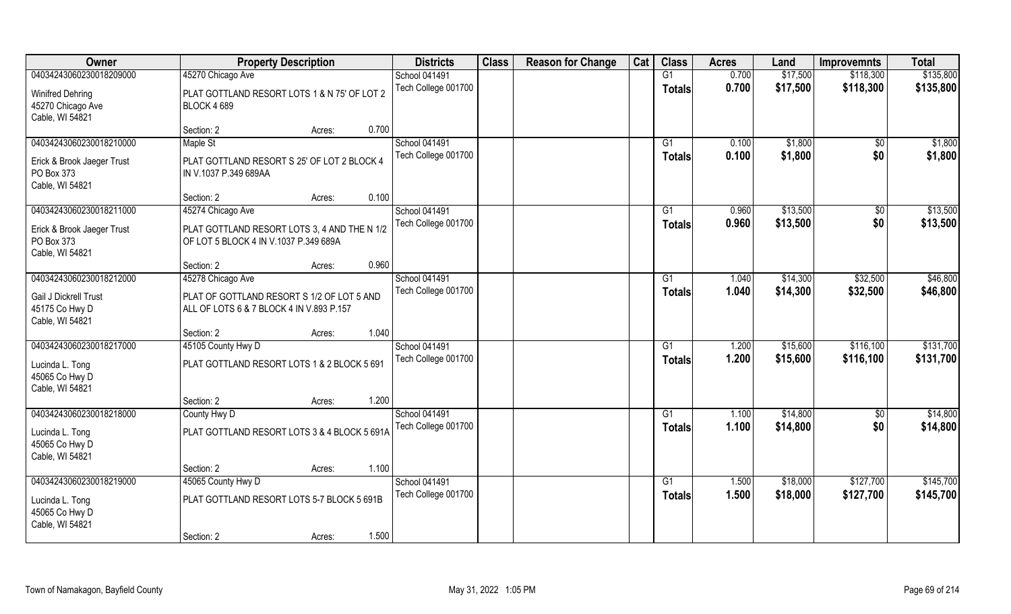| Owner                      | <b>Property Description</b>                  |        |       | <b>Districts</b>    | <b>Class</b> | <b>Reason for Change</b> | Cat | <b>Class</b>    | <b>Acres</b> | Land     | <b>Improvemnts</b> | <b>Total</b> |
|----------------------------|----------------------------------------------|--------|-------|---------------------|--------------|--------------------------|-----|-----------------|--------------|----------|--------------------|--------------|
| 04034243060230018209000    | 45270 Chicago Ave                            |        |       | School 041491       |              |                          |     | G1              | 0.700        | \$17,500 | \$118,300          | \$135,800    |
| <b>Winifred Dehring</b>    | PLAT GOTTLAND RESORT LOTS 1 & N 75' OF LOT 2 |        |       | Tech College 001700 |              |                          |     | <b>Totals</b>   | 0.700        | \$17,500 | \$118,300          | \$135,800    |
| 45270 Chicago Ave          | <b>BLOCK 4689</b>                            |        |       |                     |              |                          |     |                 |              |          |                    |              |
| Cable, WI 54821            |                                              |        |       |                     |              |                          |     |                 |              |          |                    |              |
|                            | Section: 2                                   | Acres: | 0.700 |                     |              |                          |     |                 |              |          |                    |              |
| 04034243060230018210000    | Maple St                                     |        |       | School 041491       |              |                          |     | G1              | 0.100        | \$1,800  | $\sqrt{$0}$        | \$1,800      |
| Erick & Brook Jaeger Trust | PLAT GOTTLAND RESORT S 25' OF LOT 2 BLOCK 4  |        |       | Tech College 001700 |              |                          |     | Totals          | 0.100        | \$1,800  | \$0                | \$1,800      |
| PO Box 373                 | IN V.1037 P.349 689AA                        |        |       |                     |              |                          |     |                 |              |          |                    |              |
| Cable, WI 54821            |                                              |        |       |                     |              |                          |     |                 |              |          |                    |              |
|                            | Section: 2                                   | Acres: | 0.100 |                     |              |                          |     |                 |              |          |                    |              |
| 04034243060230018211000    | 45274 Chicago Ave                            |        |       | School 041491       |              |                          |     | G1              | 0.960        | \$13,500 | $\sqrt[6]{30}$     | \$13,500     |
| Erick & Brook Jaeger Trust | PLAT GOTTLAND RESORT LOTS 3, 4 AND THE N 1/2 |        |       | Tech College 001700 |              |                          |     | <b>Totals</b>   | 0.960        | \$13,500 | \$0                | \$13,500     |
| PO Box 373                 | OF LOT 5 BLOCK 4 IN V.1037 P.349 689A        |        |       |                     |              |                          |     |                 |              |          |                    |              |
| Cable, WI 54821            |                                              |        |       |                     |              |                          |     |                 |              |          |                    |              |
|                            | Section: 2                                   | Acres: | 0.960 |                     |              |                          |     |                 |              |          |                    |              |
| 04034243060230018212000    | 45278 Chicago Ave                            |        |       | School 041491       |              |                          |     | G1              | 1.040        | \$14,300 | \$32,500           | \$46,800     |
| Gail J Dickrell Trust      | PLAT OF GOTTLAND RESORT S 1/2 OF LOT 5 AND   |        |       | Tech College 001700 |              |                          |     | <b>Totals</b>   | 1.040        | \$14,300 | \$32,500           | \$46,800     |
| 45175 Co Hwy D             | ALL OF LOTS 6 & 7 BLOCK 4 IN V.893 P.157     |        |       |                     |              |                          |     |                 |              |          |                    |              |
| Cable, WI 54821            |                                              |        |       |                     |              |                          |     |                 |              |          |                    |              |
|                            | Section: 2                                   | Acres: | 1.040 |                     |              |                          |     |                 |              |          |                    |              |
| 04034243060230018217000    | 45105 County Hwy D                           |        |       | School 041491       |              |                          |     | G1              | 1.200        | \$15,600 | \$116,100          | \$131,700    |
| Lucinda L. Tong            | PLAT GOTTLAND RESORT LOTS 1 & 2 BLOCK 5 691  |        |       | Tech College 001700 |              |                          |     | <b>Totals</b>   | 1.200        | \$15,600 | \$116,100          | \$131,700    |
| 45065 Co Hwy D             |                                              |        |       |                     |              |                          |     |                 |              |          |                    |              |
| Cable, WI 54821            |                                              |        |       |                     |              |                          |     |                 |              |          |                    |              |
|                            | Section: 2                                   | Acres: | 1.200 |                     |              |                          |     |                 |              |          |                    |              |
| 04034243060230018218000    | County Hwy D                                 |        |       | School 041491       |              |                          |     | G1              | 1.100        | \$14,800 | \$0                | \$14,800     |
| Lucinda L. Tong            | PLAT GOTTLAND RESORT LOTS 3 & 4 BLOCK 5 691A |        |       | Tech College 001700 |              |                          |     | <b>Totals</b>   | 1.100        | \$14,800 | \$0                | \$14,800     |
| 45065 Co Hwy D             |                                              |        |       |                     |              |                          |     |                 |              |          |                    |              |
| Cable, WI 54821            |                                              |        |       |                     |              |                          |     |                 |              |          |                    |              |
|                            | Section: 2                                   | Acres: | 1.100 |                     |              |                          |     |                 |              |          |                    |              |
| 04034243060230018219000    | 45065 County Hwy D                           |        |       | School 041491       |              |                          |     | $\overline{G1}$ | 1.500        | \$18,000 | \$127,700          | \$145,700    |
| Lucinda L. Tong            | PLAT GOTTLAND RESORT LOTS 5-7 BLOCK 5 691B   |        |       | Tech College 001700 |              |                          |     | Totals          | 1.500        | \$18,000 | \$127,700          | \$145,700    |
| 45065 Co Hwy D             |                                              |        |       |                     |              |                          |     |                 |              |          |                    |              |
| Cable, WI 54821            |                                              |        |       |                     |              |                          |     |                 |              |          |                    |              |
|                            | Section: 2                                   | Acres: | 1.500 |                     |              |                          |     |                 |              |          |                    |              |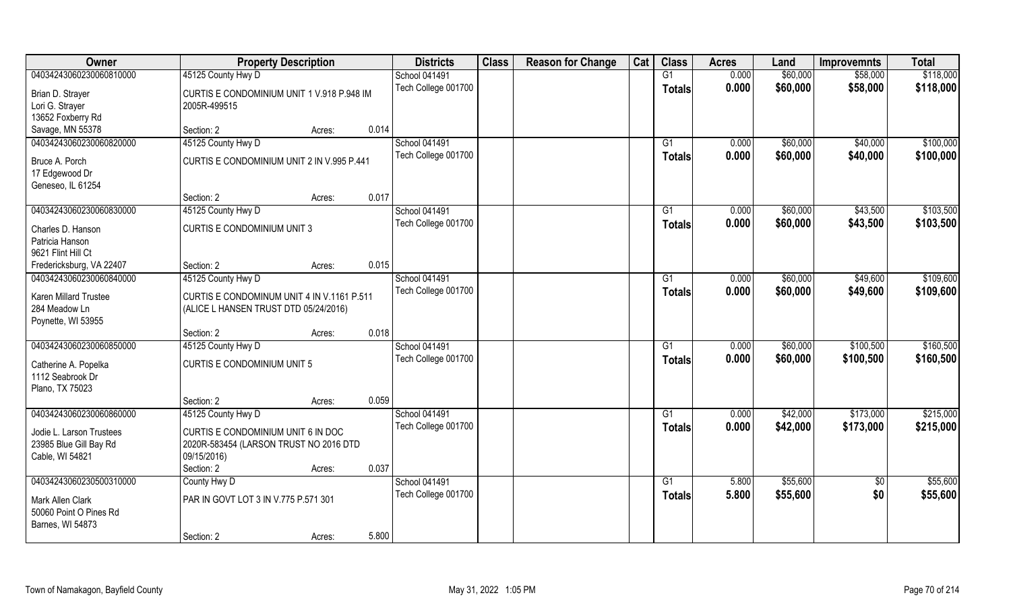| Owner                               | <b>Property Description</b>                                |                 | <b>Districts</b>     | <b>Class</b> | <b>Reason for Change</b> | Cat | <b>Class</b>  | <b>Acres</b> | Land     | <b>Improvemnts</b> | <b>Total</b> |
|-------------------------------------|------------------------------------------------------------|-----------------|----------------------|--------------|--------------------------|-----|---------------|--------------|----------|--------------------|--------------|
| 04034243060230060810000             | 45125 County Hwy D                                         |                 | <b>School 041491</b> |              |                          |     | G1            | 0.000        | \$60,000 | \$58,000           | \$118,000    |
| Brian D. Strayer<br>Lori G. Strayer | CURTIS E CONDOMINIUM UNIT 1 V.918 P.948 IM<br>2005R-499515 |                 | Tech College 001700  |              |                          |     | <b>Totals</b> | 0.000        | \$60,000 | \$58,000           | \$118,000    |
| 13652 Foxberry Rd                   |                                                            |                 |                      |              |                          |     |               |              |          |                    |              |
| Savage, MN 55378                    | Section: 2                                                 | 0.014<br>Acres: |                      |              |                          |     |               |              |          |                    |              |
| 04034243060230060820000             | 45125 County Hwy D                                         |                 | <b>School 041491</b> |              |                          |     | G1            | 0.000        | \$60,000 | \$40,000           | \$100,000    |
| Bruce A. Porch                      | CURTIS E CONDOMINIUM UNIT 2 IN V.995 P.441                 |                 | Tech College 001700  |              |                          |     | Totals        | 0.000        | \$60,000 | \$40,000           | \$100,000    |
| 17 Edgewood Dr                      |                                                            |                 |                      |              |                          |     |               |              |          |                    |              |
| Geneseo, IL 61254                   |                                                            |                 |                      |              |                          |     |               |              |          |                    |              |
|                                     | Section: 2                                                 | 0.017<br>Acres: |                      |              |                          |     |               |              |          |                    |              |
| 04034243060230060830000             | 45125 County Hwy D                                         |                 | <b>School 041491</b> |              |                          |     | G1            | 0.000        | \$60,000 | \$43,500           | \$103,500    |
| Charles D. Hanson                   | <b>CURTIS E CONDOMINIUM UNIT 3</b>                         |                 | Tech College 001700  |              |                          |     | <b>Totals</b> | 0.000        | \$60,000 | \$43,500           | \$103,500    |
| Patricia Hanson                     |                                                            |                 |                      |              |                          |     |               |              |          |                    |              |
| 9621 Flint Hill Ct                  |                                                            |                 |                      |              |                          |     |               |              |          |                    |              |
| Fredericksburg, VA 22407            | Section: 2                                                 | 0.015<br>Acres: |                      |              |                          |     |               |              |          |                    |              |
| 04034243060230060840000             | 45125 County Hwy D                                         |                 | <b>School 041491</b> |              |                          |     | G1            | 0.000        | \$60,000 | \$49,600           | \$109,600    |
| Karen Millard Trustee               | CURTIS E CONDOMINUM UNIT 4 IN V.1161 P.511                 |                 | Tech College 001700  |              |                          |     | <b>Totals</b> | 0.000        | \$60,000 | \$49,600           | \$109,600    |
| 284 Meadow Ln                       | (ALICE L HANSEN TRUST DTD 05/24/2016)                      |                 |                      |              |                          |     |               |              |          |                    |              |
| Poynette, WI 53955                  |                                                            |                 |                      |              |                          |     |               |              |          |                    |              |
|                                     | Section: 2                                                 | 0.018<br>Acres: |                      |              |                          |     |               |              |          |                    |              |
| 04034243060230060850000             | 45125 County Hwy D                                         |                 | <b>School 041491</b> |              |                          |     | G1            | 0.000        | \$60,000 | \$100,500          | \$160,500    |
| Catherine A. Popelka                | <b>CURTIS E CONDOMINIUM UNIT 5</b>                         |                 | Tech College 001700  |              |                          |     | Totals        | 0.000        | \$60,000 | \$100,500          | \$160,500    |
| 1112 Seabrook Dr                    |                                                            |                 |                      |              |                          |     |               |              |          |                    |              |
| Plano, TX 75023                     |                                                            |                 |                      |              |                          |     |               |              |          |                    |              |
|                                     | Section: 2                                                 | 0.059<br>Acres: |                      |              |                          |     |               |              |          |                    |              |
| 04034243060230060860000             | 45125 County Hwy D                                         |                 | School 041491        |              |                          |     | G1            | 0.000        | \$42,000 | \$173,000          | \$215,000    |
|                                     |                                                            |                 | Tech College 001700  |              |                          |     | <b>Totals</b> | 0.000        | \$42,000 | \$173,000          | \$215,000    |
| Jodie L. Larson Trustees            | CURTIS E CONDOMINIUM UNIT 6 IN DOC                         |                 |                      |              |                          |     |               |              |          |                    |              |
| 23985 Blue Gill Bay Rd              | 2020R-583454 (LARSON TRUST NO 2016 DTD                     |                 |                      |              |                          |     |               |              |          |                    |              |
| Cable, WI 54821                     | 09/15/2016)                                                | 0.037           |                      |              |                          |     |               |              |          |                    |              |
| 04034243060230500310000             | Section: 2                                                 | Acres:          | <b>School 041491</b> |              |                          |     |               |              | \$55,600 |                    | \$55,600     |
|                                     | County Hwy D                                               |                 |                      |              |                          |     | G1            | 5.800        |          | $\overline{50}$    |              |
| Mark Allen Clark                    | PAR IN GOVT LOT 3 IN V.775 P.571 301                       |                 | Tech College 001700  |              |                          |     | Totals        | 5.800        | \$55,600 | \$0                | \$55,600     |
| 50060 Point O Pines Rd              |                                                            |                 |                      |              |                          |     |               |              |          |                    |              |
| Barnes, WI 54873                    |                                                            |                 |                      |              |                          |     |               |              |          |                    |              |
|                                     | Section: 2                                                 | 5.800<br>Acres: |                      |              |                          |     |               |              |          |                    |              |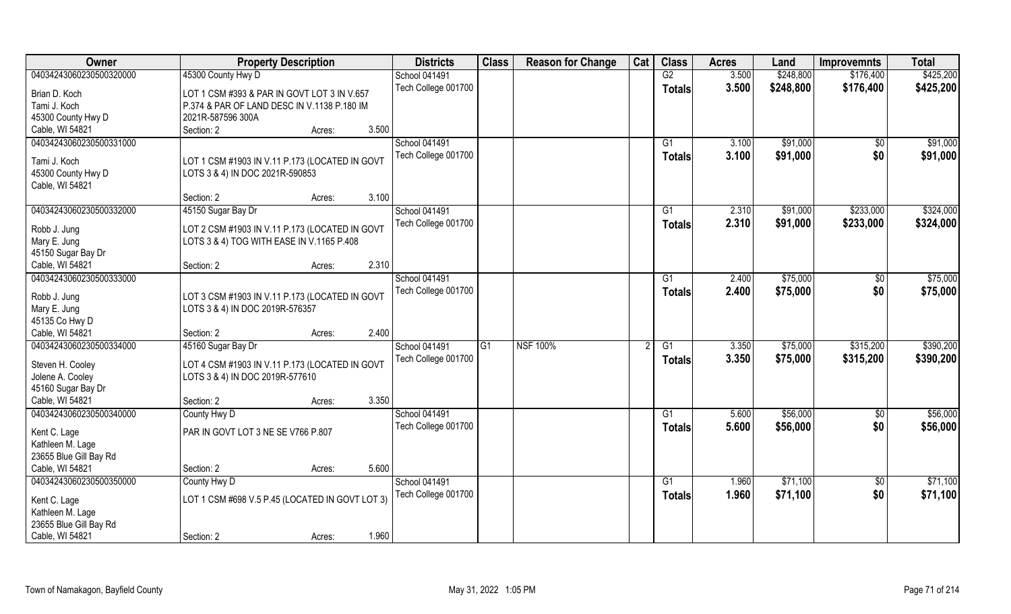| \$248,800<br>45300 County Hwy D<br><b>School 041491</b><br>G2<br>3.500<br>\$176,400<br>\$425,200<br>Tech College 001700<br>3.500<br>\$248,800<br>\$176,400<br>\$425,200<br><b>Totals</b><br>LOT 1 CSM #393 & PAR IN GOVT LOT 3 IN V.657<br>Tami J. Koch<br>P.374 & PAR OF LAND DESC IN V.1138 P.180 IM<br>45300 County Hwy D<br>2021R-587596 300A<br>Cable, WI 54821<br>3.500<br>Section: 2<br>Acres:<br>School 041491<br>\$91,000<br>04034243060230500331000<br>$\overline{G1}$<br>3.100<br>\$0<br>Tech College 001700<br>3.100<br>\$91,000<br>\$0<br>\$91,000<br>Totals<br>Tami J. Koch<br>LOT 1 CSM #1903 IN V.11 P.173 (LOCATED IN GOVT<br>45300 County Hwy D<br>LOTS 3 & 4) IN DOC 2021R-590853<br>Cable, WI 54821<br>3.100<br>Section: 2<br>Acres:<br>\$233,000<br>04034243060230500332000<br>45150 Sugar Bay Dr<br>School 041491<br>2.310<br>\$91,000<br>G1<br>Tech College 001700<br>2.310<br>\$91,000<br>\$233,000<br><b>Totals</b><br>LOT 2 CSM #1903 IN V.11 P.173 (LOCATED IN GOVT<br>Robb J. Jung<br>LOTS 3 & 4) TOG WITH EASE IN V.1165 P.408<br>Mary E. Jung<br>45150 Sugar Bay Dr<br>2.310<br>Section: 2<br>Acres:<br><b>School 041491</b><br>\$75,000<br>2.400<br>$\sqrt[6]{3}$<br>G1<br>Tech College 001700<br>2.400<br>\$75,000<br>\$0<br>\$75,000<br><b>Totals</b><br>Robb J. Jung<br>LOT 3 CSM #1903 IN V.11 P.173 (LOCATED IN GOVT<br>LOTS 3 & 4) IN DOC 2019R-576357<br>Mary E. Jung<br>45135 Co Hwy D<br>Cable, WI 54821<br>2.400<br>Section: 2<br>Acres:<br>04034243060230500334000<br><b>NSF 100%</b><br>\$75,000<br>\$315,200<br>45160 Sugar Bay Dr<br>$\overline{G1}$<br>$\overline{G1}$<br>3.350<br>School 041491<br>\$75,000<br>\$315,200<br>Tech College 001700<br>3.350<br><b>Totals</b><br>Steven H. Cooley<br>LOT 4 CSM #1903 IN V.11 P.173 (LOCATED IN GOVT<br>Jolene A. Cooley<br>LOTS 3 & 4) IN DOC 2019R-577610<br>45160 Sugar Bay Dr<br>Cable, WI 54821<br>3.350<br>Section: 2<br>Acres:<br>School 041491<br>\$56,000<br>04034243060230500340000<br>G1<br>5.600<br>$\overline{60}$<br>County Hwy D<br>5.600<br>\$56,000<br>\$0<br>Tech College 001700<br><b>Totals</b><br>Kent C. Lage<br>PAR IN GOVT LOT 3 NE SE V766 P.807<br>Kathleen M. Lage<br>23655 Blue Gill Bay Rd<br>5.600<br>Section: 2<br>Acres:<br>\$71,100<br>County Hwy D<br>School 041491<br>G1<br>1.960<br>$\overline{50}$<br>Tech College 001700<br>1.960<br>\$71,100<br>\$0<br><b>Totals</b><br>LOT 1 CSM #698 V.5 P.45 (LOCATED IN GOVT LOT 3)<br>Kent C. Lage<br>Kathleen M. Lage<br>23655 Blue Gill Bay Rd | Owner                   | <b>Property Description</b> | <b>Districts</b> | <b>Class</b> | <b>Reason for Change</b> | Cat | <b>Class</b> | <b>Acres</b> | Land | <b>Improvemnts</b> | <b>Total</b> |
|------------------------------------------------------------------------------------------------------------------------------------------------------------------------------------------------------------------------------------------------------------------------------------------------------------------------------------------------------------------------------------------------------------------------------------------------------------------------------------------------------------------------------------------------------------------------------------------------------------------------------------------------------------------------------------------------------------------------------------------------------------------------------------------------------------------------------------------------------------------------------------------------------------------------------------------------------------------------------------------------------------------------------------------------------------------------------------------------------------------------------------------------------------------------------------------------------------------------------------------------------------------------------------------------------------------------------------------------------------------------------------------------------------------------------------------------------------------------------------------------------------------------------------------------------------------------------------------------------------------------------------------------------------------------------------------------------------------------------------------------------------------------------------------------------------------------------------------------------------------------------------------------------------------------------------------------------------------------------------------------------------------------------------------------------------------------------------------------------------------------------------------------------------------------------------------------------------------------------------------------------------------------------------------------------------------------------------------------------------------------------------------------------------------------------------------------------------------------------------------------------------------------|-------------------------|-----------------------------|------------------|--------------|--------------------------|-----|--------------|--------------|------|--------------------|--------------|
|                                                                                                                                                                                                                                                                                                                                                                                                                                                                                                                                                                                                                                                                                                                                                                                                                                                                                                                                                                                                                                                                                                                                                                                                                                                                                                                                                                                                                                                                                                                                                                                                                                                                                                                                                                                                                                                                                                                                                                                                                                                                                                                                                                                                                                                                                                                                                                                                                                                                                                                        | 04034243060230500320000 |                             |                  |              |                          |     |              |              |      |                    |              |
|                                                                                                                                                                                                                                                                                                                                                                                                                                                                                                                                                                                                                                                                                                                                                                                                                                                                                                                                                                                                                                                                                                                                                                                                                                                                                                                                                                                                                                                                                                                                                                                                                                                                                                                                                                                                                                                                                                                                                                                                                                                                                                                                                                                                                                                                                                                                                                                                                                                                                                                        | Brian D. Koch           |                             |                  |              |                          |     |              |              |      |                    |              |
|                                                                                                                                                                                                                                                                                                                                                                                                                                                                                                                                                                                                                                                                                                                                                                                                                                                                                                                                                                                                                                                                                                                                                                                                                                                                                                                                                                                                                                                                                                                                                                                                                                                                                                                                                                                                                                                                                                                                                                                                                                                                                                                                                                                                                                                                                                                                                                                                                                                                                                                        |                         |                             |                  |              |                          |     |              |              |      |                    |              |
| \$91,000                                                                                                                                                                                                                                                                                                                                                                                                                                                                                                                                                                                                                                                                                                                                                                                                                                                                                                                                                                                                                                                                                                                                                                                                                                                                                                                                                                                                                                                                                                                                                                                                                                                                                                                                                                                                                                                                                                                                                                                                                                                                                                                                                                                                                                                                                                                                                                                                                                                                                                               |                         |                             |                  |              |                          |     |              |              |      |                    |              |
|                                                                                                                                                                                                                                                                                                                                                                                                                                                                                                                                                                                                                                                                                                                                                                                                                                                                                                                                                                                                                                                                                                                                                                                                                                                                                                                                                                                                                                                                                                                                                                                                                                                                                                                                                                                                                                                                                                                                                                                                                                                                                                                                                                                                                                                                                                                                                                                                                                                                                                                        |                         |                             |                  |              |                          |     |              |              |      |                    |              |
| \$324,000<br>\$324,000<br>\$75,000<br>\$390,200<br>\$390,200<br>\$56,000<br>\$56,000<br>\$71,100<br>\$71,100                                                                                                                                                                                                                                                                                                                                                                                                                                                                                                                                                                                                                                                                                                                                                                                                                                                                                                                                                                                                                                                                                                                                                                                                                                                                                                                                                                                                                                                                                                                                                                                                                                                                                                                                                                                                                                                                                                                                                                                                                                                                                                                                                                                                                                                                                                                                                                                                           |                         |                             |                  |              |                          |     |              |              |      |                    |              |
|                                                                                                                                                                                                                                                                                                                                                                                                                                                                                                                                                                                                                                                                                                                                                                                                                                                                                                                                                                                                                                                                                                                                                                                                                                                                                                                                                                                                                                                                                                                                                                                                                                                                                                                                                                                                                                                                                                                                                                                                                                                                                                                                                                                                                                                                                                                                                                                                                                                                                                                        |                         |                             |                  |              |                          |     |              |              |      |                    |              |
|                                                                                                                                                                                                                                                                                                                                                                                                                                                                                                                                                                                                                                                                                                                                                                                                                                                                                                                                                                                                                                                                                                                                                                                                                                                                                                                                                                                                                                                                                                                                                                                                                                                                                                                                                                                                                                                                                                                                                                                                                                                                                                                                                                                                                                                                                                                                                                                                                                                                                                                        |                         |                             |                  |              |                          |     |              |              |      |                    |              |
|                                                                                                                                                                                                                                                                                                                                                                                                                                                                                                                                                                                                                                                                                                                                                                                                                                                                                                                                                                                                                                                                                                                                                                                                                                                                                                                                                                                                                                                                                                                                                                                                                                                                                                                                                                                                                                                                                                                                                                                                                                                                                                                                                                                                                                                                                                                                                                                                                                                                                                                        |                         |                             |                  |              |                          |     |              |              |      |                    |              |
|                                                                                                                                                                                                                                                                                                                                                                                                                                                                                                                                                                                                                                                                                                                                                                                                                                                                                                                                                                                                                                                                                                                                                                                                                                                                                                                                                                                                                                                                                                                                                                                                                                                                                                                                                                                                                                                                                                                                                                                                                                                                                                                                                                                                                                                                                                                                                                                                                                                                                                                        |                         |                             |                  |              |                          |     |              |              |      |                    |              |
|                                                                                                                                                                                                                                                                                                                                                                                                                                                                                                                                                                                                                                                                                                                                                                                                                                                                                                                                                                                                                                                                                                                                                                                                                                                                                                                                                                                                                                                                                                                                                                                                                                                                                                                                                                                                                                                                                                                                                                                                                                                                                                                                                                                                                                                                                                                                                                                                                                                                                                                        |                         |                             |                  |              |                          |     |              |              |      |                    |              |
|                                                                                                                                                                                                                                                                                                                                                                                                                                                                                                                                                                                                                                                                                                                                                                                                                                                                                                                                                                                                                                                                                                                                                                                                                                                                                                                                                                                                                                                                                                                                                                                                                                                                                                                                                                                                                                                                                                                                                                                                                                                                                                                                                                                                                                                                                                                                                                                                                                                                                                                        |                         |                             |                  |              |                          |     |              |              |      |                    |              |
|                                                                                                                                                                                                                                                                                                                                                                                                                                                                                                                                                                                                                                                                                                                                                                                                                                                                                                                                                                                                                                                                                                                                                                                                                                                                                                                                                                                                                                                                                                                                                                                                                                                                                                                                                                                                                                                                                                                                                                                                                                                                                                                                                                                                                                                                                                                                                                                                                                                                                                                        |                         |                             |                  |              |                          |     |              |              |      |                    |              |
|                                                                                                                                                                                                                                                                                                                                                                                                                                                                                                                                                                                                                                                                                                                                                                                                                                                                                                                                                                                                                                                                                                                                                                                                                                                                                                                                                                                                                                                                                                                                                                                                                                                                                                                                                                                                                                                                                                                                                                                                                                                                                                                                                                                                                                                                                                                                                                                                                                                                                                                        |                         |                             |                  |              |                          |     |              |              |      |                    |              |
|                                                                                                                                                                                                                                                                                                                                                                                                                                                                                                                                                                                                                                                                                                                                                                                                                                                                                                                                                                                                                                                                                                                                                                                                                                                                                                                                                                                                                                                                                                                                                                                                                                                                                                                                                                                                                                                                                                                                                                                                                                                                                                                                                                                                                                                                                                                                                                                                                                                                                                                        | Cable, WI 54821         |                             |                  |              |                          |     |              |              |      |                    |              |
|                                                                                                                                                                                                                                                                                                                                                                                                                                                                                                                                                                                                                                                                                                                                                                                                                                                                                                                                                                                                                                                                                                                                                                                                                                                                                                                                                                                                                                                                                                                                                                                                                                                                                                                                                                                                                                                                                                                                                                                                                                                                                                                                                                                                                                                                                                                                                                                                                                                                                                                        | 04034243060230500333000 |                             |                  |              |                          |     |              |              |      |                    |              |
|                                                                                                                                                                                                                                                                                                                                                                                                                                                                                                                                                                                                                                                                                                                                                                                                                                                                                                                                                                                                                                                                                                                                                                                                                                                                                                                                                                                                                                                                                                                                                                                                                                                                                                                                                                                                                                                                                                                                                                                                                                                                                                                                                                                                                                                                                                                                                                                                                                                                                                                        |                         |                             |                  |              |                          |     |              |              |      |                    |              |
|                                                                                                                                                                                                                                                                                                                                                                                                                                                                                                                                                                                                                                                                                                                                                                                                                                                                                                                                                                                                                                                                                                                                                                                                                                                                                                                                                                                                                                                                                                                                                                                                                                                                                                                                                                                                                                                                                                                                                                                                                                                                                                                                                                                                                                                                                                                                                                                                                                                                                                                        |                         |                             |                  |              |                          |     |              |              |      |                    |              |
|                                                                                                                                                                                                                                                                                                                                                                                                                                                                                                                                                                                                                                                                                                                                                                                                                                                                                                                                                                                                                                                                                                                                                                                                                                                                                                                                                                                                                                                                                                                                                                                                                                                                                                                                                                                                                                                                                                                                                                                                                                                                                                                                                                                                                                                                                                                                                                                                                                                                                                                        |                         |                             |                  |              |                          |     |              |              |      |                    |              |
|                                                                                                                                                                                                                                                                                                                                                                                                                                                                                                                                                                                                                                                                                                                                                                                                                                                                                                                                                                                                                                                                                                                                                                                                                                                                                                                                                                                                                                                                                                                                                                                                                                                                                                                                                                                                                                                                                                                                                                                                                                                                                                                                                                                                                                                                                                                                                                                                                                                                                                                        |                         |                             |                  |              |                          |     |              |              |      |                    |              |
|                                                                                                                                                                                                                                                                                                                                                                                                                                                                                                                                                                                                                                                                                                                                                                                                                                                                                                                                                                                                                                                                                                                                                                                                                                                                                                                                                                                                                                                                                                                                                                                                                                                                                                                                                                                                                                                                                                                                                                                                                                                                                                                                                                                                                                                                                                                                                                                                                                                                                                                        |                         |                             |                  |              |                          |     |              |              |      |                    |              |
|                                                                                                                                                                                                                                                                                                                                                                                                                                                                                                                                                                                                                                                                                                                                                                                                                                                                                                                                                                                                                                                                                                                                                                                                                                                                                                                                                                                                                                                                                                                                                                                                                                                                                                                                                                                                                                                                                                                                                                                                                                                                                                                                                                                                                                                                                                                                                                                                                                                                                                                        |                         |                             |                  |              |                          |     |              |              |      |                    |              |
|                                                                                                                                                                                                                                                                                                                                                                                                                                                                                                                                                                                                                                                                                                                                                                                                                                                                                                                                                                                                                                                                                                                                                                                                                                                                                                                                                                                                                                                                                                                                                                                                                                                                                                                                                                                                                                                                                                                                                                                                                                                                                                                                                                                                                                                                                                                                                                                                                                                                                                                        |                         |                             |                  |              |                          |     |              |              |      |                    |              |
|                                                                                                                                                                                                                                                                                                                                                                                                                                                                                                                                                                                                                                                                                                                                                                                                                                                                                                                                                                                                                                                                                                                                                                                                                                                                                                                                                                                                                                                                                                                                                                                                                                                                                                                                                                                                                                                                                                                                                                                                                                                                                                                                                                                                                                                                                                                                                                                                                                                                                                                        |                         |                             |                  |              |                          |     |              |              |      |                    |              |
|                                                                                                                                                                                                                                                                                                                                                                                                                                                                                                                                                                                                                                                                                                                                                                                                                                                                                                                                                                                                                                                                                                                                                                                                                                                                                                                                                                                                                                                                                                                                                                                                                                                                                                                                                                                                                                                                                                                                                                                                                                                                                                                                                                                                                                                                                                                                                                                                                                                                                                                        |                         |                             |                  |              |                          |     |              |              |      |                    |              |
|                                                                                                                                                                                                                                                                                                                                                                                                                                                                                                                                                                                                                                                                                                                                                                                                                                                                                                                                                                                                                                                                                                                                                                                                                                                                                                                                                                                                                                                                                                                                                                                                                                                                                                                                                                                                                                                                                                                                                                                                                                                                                                                                                                                                                                                                                                                                                                                                                                                                                                                        |                         |                             |                  |              |                          |     |              |              |      |                    |              |
|                                                                                                                                                                                                                                                                                                                                                                                                                                                                                                                                                                                                                                                                                                                                                                                                                                                                                                                                                                                                                                                                                                                                                                                                                                                                                                                                                                                                                                                                                                                                                                                                                                                                                                                                                                                                                                                                                                                                                                                                                                                                                                                                                                                                                                                                                                                                                                                                                                                                                                                        |                         |                             |                  |              |                          |     |              |              |      |                    |              |
|                                                                                                                                                                                                                                                                                                                                                                                                                                                                                                                                                                                                                                                                                                                                                                                                                                                                                                                                                                                                                                                                                                                                                                                                                                                                                                                                                                                                                                                                                                                                                                                                                                                                                                                                                                                                                                                                                                                                                                                                                                                                                                                                                                                                                                                                                                                                                                                                                                                                                                                        |                         |                             |                  |              |                          |     |              |              |      |                    |              |
|                                                                                                                                                                                                                                                                                                                                                                                                                                                                                                                                                                                                                                                                                                                                                                                                                                                                                                                                                                                                                                                                                                                                                                                                                                                                                                                                                                                                                                                                                                                                                                                                                                                                                                                                                                                                                                                                                                                                                                                                                                                                                                                                                                                                                                                                                                                                                                                                                                                                                                                        |                         |                             |                  |              |                          |     |              |              |      |                    |              |
|                                                                                                                                                                                                                                                                                                                                                                                                                                                                                                                                                                                                                                                                                                                                                                                                                                                                                                                                                                                                                                                                                                                                                                                                                                                                                                                                                                                                                                                                                                                                                                                                                                                                                                                                                                                                                                                                                                                                                                                                                                                                                                                                                                                                                                                                                                                                                                                                                                                                                                                        |                         |                             |                  |              |                          |     |              |              |      |                    |              |
|                                                                                                                                                                                                                                                                                                                                                                                                                                                                                                                                                                                                                                                                                                                                                                                                                                                                                                                                                                                                                                                                                                                                                                                                                                                                                                                                                                                                                                                                                                                                                                                                                                                                                                                                                                                                                                                                                                                                                                                                                                                                                                                                                                                                                                                                                                                                                                                                                                                                                                                        | Cable, WI 54821         |                             |                  |              |                          |     |              |              |      |                    |              |
|                                                                                                                                                                                                                                                                                                                                                                                                                                                                                                                                                                                                                                                                                                                                                                                                                                                                                                                                                                                                                                                                                                                                                                                                                                                                                                                                                                                                                                                                                                                                                                                                                                                                                                                                                                                                                                                                                                                                                                                                                                                                                                                                                                                                                                                                                                                                                                                                                                                                                                                        | 04034243060230500350000 |                             |                  |              |                          |     |              |              |      |                    |              |
|                                                                                                                                                                                                                                                                                                                                                                                                                                                                                                                                                                                                                                                                                                                                                                                                                                                                                                                                                                                                                                                                                                                                                                                                                                                                                                                                                                                                                                                                                                                                                                                                                                                                                                                                                                                                                                                                                                                                                                                                                                                                                                                                                                                                                                                                                                                                                                                                                                                                                                                        |                         |                             |                  |              |                          |     |              |              |      |                    |              |
|                                                                                                                                                                                                                                                                                                                                                                                                                                                                                                                                                                                                                                                                                                                                                                                                                                                                                                                                                                                                                                                                                                                                                                                                                                                                                                                                                                                                                                                                                                                                                                                                                                                                                                                                                                                                                                                                                                                                                                                                                                                                                                                                                                                                                                                                                                                                                                                                                                                                                                                        |                         |                             |                  |              |                          |     |              |              |      |                    |              |
|                                                                                                                                                                                                                                                                                                                                                                                                                                                                                                                                                                                                                                                                                                                                                                                                                                                                                                                                                                                                                                                                                                                                                                                                                                                                                                                                                                                                                                                                                                                                                                                                                                                                                                                                                                                                                                                                                                                                                                                                                                                                                                                                                                                                                                                                                                                                                                                                                                                                                                                        |                         |                             |                  |              |                          |     |              |              |      |                    |              |
| 1.960<br>Section: 2<br>Acres:                                                                                                                                                                                                                                                                                                                                                                                                                                                                                                                                                                                                                                                                                                                                                                                                                                                                                                                                                                                                                                                                                                                                                                                                                                                                                                                                                                                                                                                                                                                                                                                                                                                                                                                                                                                                                                                                                                                                                                                                                                                                                                                                                                                                                                                                                                                                                                                                                                                                                          | Cable, WI 54821         |                             |                  |              |                          |     |              |              |      |                    |              |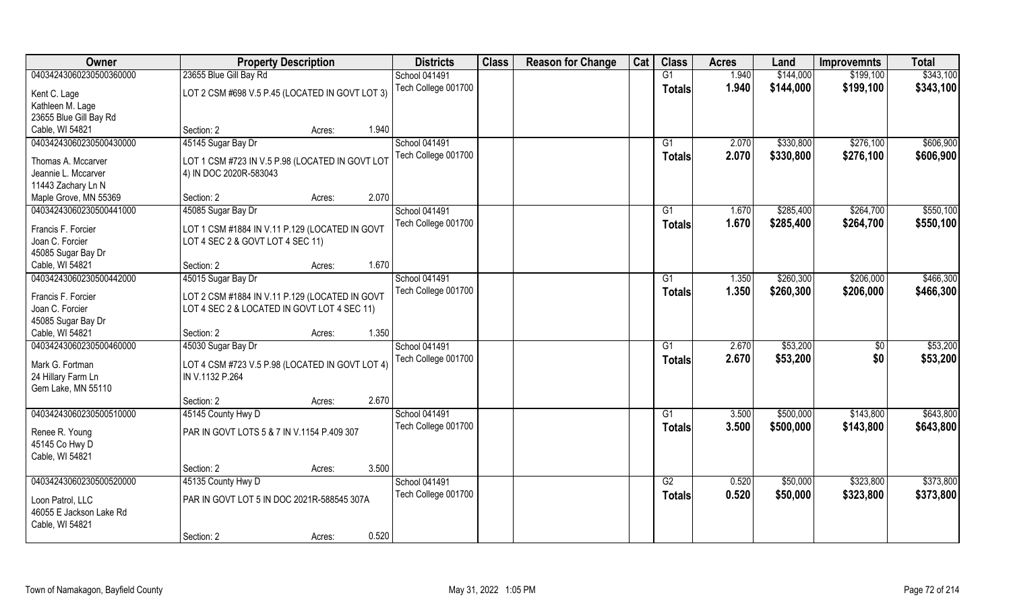| Owner                            | <b>Property Description</b>                     |        |       | <b>Districts</b>     | <b>Class</b> | <b>Reason for Change</b> | Cat | <b>Class</b>  | <b>Acres</b> | Land      | <b>Improvemnts</b> | <b>Total</b> |
|----------------------------------|-------------------------------------------------|--------|-------|----------------------|--------------|--------------------------|-----|---------------|--------------|-----------|--------------------|--------------|
| 04034243060230500360000          | 23655 Blue Gill Bay Rd                          |        |       | <b>School 041491</b> |              |                          |     | G1            | 1.940        | \$144,000 | \$199,100          | \$343,100    |
| Kent C. Lage<br>Kathleen M. Lage | LOT 2 CSM #698 V.5 P.45 (LOCATED IN GOVT LOT 3) |        |       | Tech College 001700  |              |                          |     | <b>Totals</b> | 1.940        | \$144,000 | \$199,100          | \$343,100    |
| 23655 Blue Gill Bay Rd           |                                                 |        |       |                      |              |                          |     |               |              |           |                    |              |
| Cable, WI 54821                  | Section: 2                                      | Acres: | 1.940 |                      |              |                          |     |               |              |           |                    |              |
| 04034243060230500430000          | 45145 Sugar Bay Dr                              |        |       | <b>School 041491</b> |              |                          |     | G1            | 2.070        | \$330,800 | \$276,100          | \$606,900    |
|                                  |                                                 |        |       |                      |              |                          |     |               |              |           |                    |              |
| Thomas A. Mccarver               | LOT 1 CSM #723 IN V.5 P.98 (LOCATED IN GOVT LOT |        |       | Tech College 001700  |              |                          |     | Totals        | 2.070        | \$330,800 | \$276,100          | \$606,900    |
| Jeannie L. Mccarver              | 4) IN DOC 2020R-583043                          |        |       |                      |              |                          |     |               |              |           |                    |              |
| 11443 Zachary Ln N               |                                                 |        |       |                      |              |                          |     |               |              |           |                    |              |
| Maple Grove, MN 55369            | Section: 2                                      | Acres: | 2.070 |                      |              |                          |     |               |              |           |                    |              |
| 04034243060230500441000          | 45085 Sugar Bay Dr                              |        |       | School 041491        |              |                          |     | G1            | 1.670        | \$285,400 | \$264,700          | \$550,100    |
| Francis F. Forcier               | LOT 1 CSM #1884 IN V.11 P.129 (LOCATED IN GOVT  |        |       | Tech College 001700  |              |                          |     | <b>Totals</b> | 1.670        | \$285,400 | \$264,700          | \$550,100    |
| Joan C. Forcier                  | LOT 4 SEC 2 & GOVT LOT 4 SEC 11)                |        |       |                      |              |                          |     |               |              |           |                    |              |
| 45085 Sugar Bay Dr               |                                                 |        |       |                      |              |                          |     |               |              |           |                    |              |
| Cable, WI 54821                  | Section: 2                                      | Acres: | 1.670 |                      |              |                          |     |               |              |           |                    |              |
| 04034243060230500442000          | 45015 Sugar Bay Dr                              |        |       | School 041491        |              |                          |     | G1            | 1.350        | \$260,300 | \$206,000          | \$466,300    |
|                                  |                                                 |        |       | Tech College 001700  |              |                          |     | Totals        | 1.350        | \$260,300 | \$206,000          | \$466,300    |
| Francis F. Forcier               | LOT 2 CSM #1884 IN V.11 P.129 (LOCATED IN GOVT  |        |       |                      |              |                          |     |               |              |           |                    |              |
| Joan C. Forcier                  | LOT 4 SEC 2 & LOCATED IN GOVT LOT 4 SEC 11)     |        |       |                      |              |                          |     |               |              |           |                    |              |
| 45085 Sugar Bay Dr               |                                                 |        |       |                      |              |                          |     |               |              |           |                    |              |
| Cable, WI 54821                  | Section: 2                                      | Acres: | 1.350 |                      |              |                          |     |               |              |           |                    |              |
| 04034243060230500460000          | 45030 Sugar Bay Dr                              |        |       | School 041491        |              |                          |     | G1            | 2.670        | \$53,200  | \$0                | \$53,200     |
| Mark G. Fortman                  | LOT 4 CSM #723 V.5 P.98 (LOCATED IN GOVT LOT 4) |        |       | Tech College 001700  |              |                          |     | <b>Totals</b> | 2.670        | \$53,200  | \$0                | \$53,200     |
| 24 Hillary Farm Ln               | IN V.1132 P.264                                 |        |       |                      |              |                          |     |               |              |           |                    |              |
| Gem Lake, MN 55110               |                                                 |        |       |                      |              |                          |     |               |              |           |                    |              |
|                                  | Section: 2                                      | Acres: | 2.670 |                      |              |                          |     |               |              |           |                    |              |
| 04034243060230500510000          | 45145 County Hwy D                              |        |       | School 041491        |              |                          |     | G1            | 3.500        | \$500,000 | \$143,800          | \$643,800    |
|                                  | PAR IN GOVT LOTS 5 & 7 IN V.1154 P.409 307      |        |       | Tech College 001700  |              |                          |     | <b>Totals</b> | 3.500        | \$500,000 | \$143,800          | \$643,800    |
| Renee R. Young                   |                                                 |        |       |                      |              |                          |     |               |              |           |                    |              |
| 45145 Co Hwy D                   |                                                 |        |       |                      |              |                          |     |               |              |           |                    |              |
| Cable, WI 54821                  |                                                 |        | 3.500 |                      |              |                          |     |               |              |           |                    |              |
|                                  | Section: 2                                      | Acres: |       |                      |              |                          |     |               |              |           |                    |              |
| 04034243060230500520000          | 45135 County Hwy D                              |        |       | School 041491        |              |                          |     | G2            | 0.520        | \$50,000  | \$323,800          | \$373,800    |
| Loon Patrol, LLC                 | PAR IN GOVT LOT 5 IN DOC 2021R-588545 307A      |        |       | Tech College 001700  |              |                          |     | <b>Totals</b> | 0.520        | \$50,000  | \$323,800          | \$373,800    |
| 46055 E Jackson Lake Rd          |                                                 |        |       |                      |              |                          |     |               |              |           |                    |              |
| Cable, WI 54821                  |                                                 |        |       |                      |              |                          |     |               |              |           |                    |              |
|                                  | Section: 2                                      | Acres: | 0.520 |                      |              |                          |     |               |              |           |                    |              |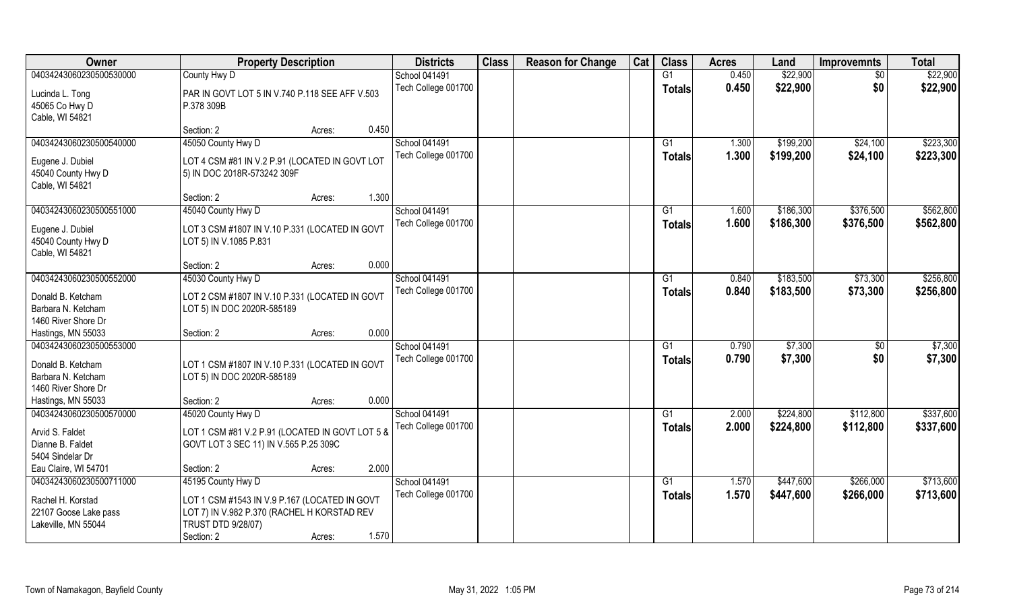| Owner                   | <b>Property Description</b>                                                  | <b>Districts</b>     | <b>Class</b> | <b>Reason for Change</b> | Cat | <b>Class</b>   | <b>Acres</b> | Land      | <b>Improvemnts</b> | <b>Total</b> |
|-------------------------|------------------------------------------------------------------------------|----------------------|--------------|--------------------------|-----|----------------|--------------|-----------|--------------------|--------------|
| 04034243060230500530000 | County Hwy D                                                                 | <b>School 041491</b> |              |                          |     | G1             | 0.450        | \$22,900  | $\overline{30}$    | \$22,900     |
| Lucinda L. Tong         | PAR IN GOVT LOT 5 IN V.740 P.118 SEE AFF V.503                               | Tech College 001700  |              |                          |     | <b>Totals</b>  | 0.450        | \$22,900  | \$0                | \$22,900     |
| 45065 Co Hwy D          | P.378 309B                                                                   |                      |              |                          |     |                |              |           |                    |              |
| Cable, WI 54821         |                                                                              |                      |              |                          |     |                |              |           |                    |              |
|                         | Section: 2<br>Acres:                                                         | 0.450                |              |                          |     |                |              |           |                    |              |
| 04034243060230500540000 | 45050 County Hwy D                                                           | <b>School 041491</b> |              |                          |     | G <sub>1</sub> | 1.300        | \$199,200 | \$24,100           | \$223,300    |
| Eugene J. Dubiel        | LOT 4 CSM #81 IN V.2 P.91 (LOCATED IN GOVT LOT                               | Tech College 001700  |              |                          |     | <b>Totals</b>  | 1.300        | \$199,200 | \$24,100           | \$223,300    |
| 45040 County Hwy D      | 5) IN DOC 2018R-573242 309F                                                  |                      |              |                          |     |                |              |           |                    |              |
| Cable, WI 54821         |                                                                              |                      |              |                          |     |                |              |           |                    |              |
|                         | Section: 2<br>Acres:                                                         | 1.300                |              |                          |     |                |              |           |                    |              |
| 04034243060230500551000 | 45040 County Hwy D                                                           | School 041491        |              |                          |     | G1             | 1.600        | \$186,300 | \$376,500          | \$562,800    |
| Eugene J. Dubiel        | LOT 3 CSM #1807 IN V.10 P.331 (LOCATED IN GOVT                               | Tech College 001700  |              |                          |     | <b>Totals</b>  | 1.600        | \$186,300 | \$376,500          | \$562,800    |
| 45040 County Hwy D      | LOT 5) IN V.1085 P.831                                                       |                      |              |                          |     |                |              |           |                    |              |
| Cable, WI 54821         |                                                                              |                      |              |                          |     |                |              |           |                    |              |
|                         | Section: 2<br>Acres:                                                         | 0.000                |              |                          |     |                |              |           |                    |              |
| 04034243060230500552000 | 45030 County Hwy D                                                           | <b>School 041491</b> |              |                          |     | G1             | 0.840        | \$183,500 | \$73,300           | \$256,800    |
| Donald B. Ketcham       |                                                                              | Tech College 001700  |              |                          |     | <b>Totals</b>  | 0.840        | \$183,500 | \$73,300           | \$256,800    |
| Barbara N. Ketcham      | LOT 2 CSM #1807 IN V.10 P.331 (LOCATED IN GOVT<br>LOT 5) IN DOC 2020R-585189 |                      |              |                          |     |                |              |           |                    |              |
| 1460 River Shore Dr     |                                                                              |                      |              |                          |     |                |              |           |                    |              |
| Hastings, MN 55033      | Section: 2<br>Acres:                                                         | 0.000                |              |                          |     |                |              |           |                    |              |
| 04034243060230500553000 |                                                                              | School 041491        |              |                          |     | G1             | 0.790        | \$7,300   | \$0                | \$7,300      |
|                         |                                                                              | Tech College 001700  |              |                          |     | <b>Totals</b>  | 0.790        | \$7,300   | \$0                | \$7,300      |
| Donald B. Ketcham       | LOT 1 CSM #1807 IN V.10 P.331 (LOCATED IN GOVT                               |                      |              |                          |     |                |              |           |                    |              |
| Barbara N. Ketcham      | LOT 5) IN DOC 2020R-585189                                                   |                      |              |                          |     |                |              |           |                    |              |
| 1460 River Shore Dr     |                                                                              |                      |              |                          |     |                |              |           |                    |              |
| Hastings, MN 55033      | Section: 2<br>Acres:                                                         | 0.000                |              |                          |     |                |              |           |                    |              |
| 04034243060230500570000 | 45020 County Hwy D                                                           | <b>School 041491</b> |              |                          |     | G1             | 2.000        | \$224,800 | \$112,800          | \$337,600    |
| Arvid S. Faldet         | LOT 1 CSM #81 V.2 P.91 (LOCATED IN GOVT LOT 5 &                              | Tech College 001700  |              |                          |     | <b>Totals</b>  | 2.000        | \$224,800 | \$112,800          | \$337,600    |
| Dianne B. Faldet        | GOVT LOT 3 SEC 11) IN V.565 P.25 309C                                        |                      |              |                          |     |                |              |           |                    |              |
| 5404 Sindelar Dr        |                                                                              |                      |              |                          |     |                |              |           |                    |              |
| Eau Claire, WI 54701    | Section: 2<br>Acres:                                                         | 2.000                |              |                          |     |                |              |           |                    |              |
| 04034243060230500711000 | 45195 County Hwy D                                                           | School 041491        |              |                          |     | G1             | 1.570        | \$447,600 | \$266,000          | \$713,600    |
| Rachel H. Korstad       | LOT 1 CSM #1543 IN V.9 P.167 (LOCATED IN GOVT                                | Tech College 001700  |              |                          |     | Totals         | 1.570        | \$447,600 | \$266,000          | \$713,600    |
| 22107 Goose Lake pass   | LOT 7) IN V.982 P.370 (RACHEL H KORSTAD REV                                  |                      |              |                          |     |                |              |           |                    |              |
| Lakeville, MN 55044     | <b>TRUST DTD 9/28/07)</b>                                                    |                      |              |                          |     |                |              |           |                    |              |
|                         | Section: 2<br>Acres:                                                         | 1.570                |              |                          |     |                |              |           |                    |              |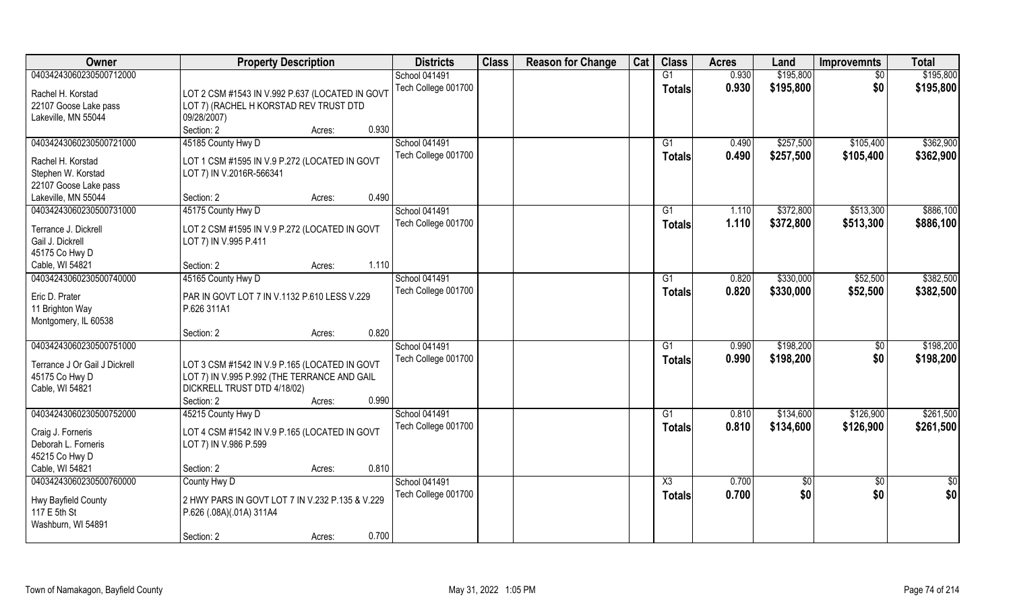| Owner                                       | <b>Property Description</b>                     | <b>Districts</b>     | <b>Class</b> | <b>Reason for Change</b> | Cat | <b>Class</b>    | <b>Acres</b> | Land      | <b>Improvemnts</b> | <b>Total</b> |
|---------------------------------------------|-------------------------------------------------|----------------------|--------------|--------------------------|-----|-----------------|--------------|-----------|--------------------|--------------|
| 04034243060230500712000                     |                                                 | <b>School 041491</b> |              |                          |     | $\overline{G1}$ | 0.930        | \$195,800 | $\overline{50}$    | \$195,800    |
| Rachel H. Korstad                           | LOT 2 CSM #1543 IN V.992 P.637 (LOCATED IN GOVT | Tech College 001700  |              |                          |     | <b>Totals</b>   | 0.930        | \$195,800 | \$0                | \$195,800    |
| 22107 Goose Lake pass                       | LOT 7) (RACHEL H KORSTAD REV TRUST DTD          |                      |              |                          |     |                 |              |           |                    |              |
| Lakeville, MN 55044                         | 09/28/2007)                                     |                      |              |                          |     |                 |              |           |                    |              |
|                                             | 0.930<br>Section: 2<br>Acres:                   |                      |              |                          |     |                 |              |           |                    |              |
| 04034243060230500721000                     | 45185 County Hwy D                              | <b>School 041491</b> |              |                          |     | G1              | 0.490        | \$257,500 | \$105,400          | \$362,900    |
|                                             |                                                 | Tech College 001700  |              |                          |     | <b>Totals</b>   | 0.490        | \$257,500 | \$105,400          | \$362,900    |
| Rachel H. Korstad                           | LOT 1 CSM #1595 IN V.9 P.272 (LOCATED IN GOVT   |                      |              |                          |     |                 |              |           |                    |              |
| Stephen W. Korstad<br>22107 Goose Lake pass | LOT 7) IN V.2016R-566341                        |                      |              |                          |     |                 |              |           |                    |              |
| Lakeville, MN 55044                         | 0.490<br>Section: 2<br>Acres:                   |                      |              |                          |     |                 |              |           |                    |              |
| 04034243060230500731000                     | 45175 County Hwy D                              | <b>School 041491</b> |              |                          |     | G1              | 1.110        | \$372,800 | \$513,300          | \$886,100    |
|                                             |                                                 | Tech College 001700  |              |                          |     |                 | 1.110        | \$372,800 | \$513,300          | \$886,100    |
| Terrance J. Dickrell                        | LOT 2 CSM #1595 IN V.9 P.272 (LOCATED IN GOVT   |                      |              |                          |     | <b>Totals</b>   |              |           |                    |              |
| Gail J. Dickrell                            | LOT 7) IN V.995 P.411                           |                      |              |                          |     |                 |              |           |                    |              |
| 45175 Co Hwy D                              |                                                 |                      |              |                          |     |                 |              |           |                    |              |
| Cable, WI 54821                             | 1.110<br>Section: 2<br>Acres:                   |                      |              |                          |     |                 |              |           |                    |              |
| 04034243060230500740000                     | 45165 County Hwy D                              | <b>School 041491</b> |              |                          |     | G1              | 0.820        | \$330,000 | \$52,500           | \$382,500    |
| Eric D. Prater                              | PAR IN GOVT LOT 7 IN V.1132 P.610 LESS V.229    | Tech College 001700  |              |                          |     | <b>Totals</b>   | 0.820        | \$330,000 | \$52,500           | \$382,500    |
| 11 Brighton Way                             | P.626 311A1                                     |                      |              |                          |     |                 |              |           |                    |              |
| Montgomery, IL 60538                        |                                                 |                      |              |                          |     |                 |              |           |                    |              |
|                                             | 0.820<br>Section: 2<br>Acres:                   |                      |              |                          |     |                 |              |           |                    |              |
| 04034243060230500751000                     |                                                 | <b>School 041491</b> |              |                          |     | G1              | 0.990        | \$198,200 | $\sqrt[6]{30}$     | \$198,200    |
| Terrance J Or Gail J Dickrell               | LOT 3 CSM #1542 IN V.9 P.165 (LOCATED IN GOVT   | Tech College 001700  |              |                          |     | Totals          | 0.990        | \$198,200 | \$0                | \$198,200    |
| 45175 Co Hwy D                              | LOT 7) IN V.995 P.992 (THE TERRANCE AND GAIL    |                      |              |                          |     |                 |              |           |                    |              |
| Cable, WI 54821                             | DICKRELL TRUST DTD 4/18/02)                     |                      |              |                          |     |                 |              |           |                    |              |
|                                             | 0.990<br>Section: 2<br>Acres:                   |                      |              |                          |     |                 |              |           |                    |              |
| 04034243060230500752000                     | 45215 County Hwy D                              | School 041491        |              |                          |     | G1              | 0.810        | \$134,600 | \$126,900          | \$261,500    |
|                                             |                                                 | Tech College 001700  |              |                          |     | <b>Totals</b>   | 0.810        | \$134,600 | \$126,900          | \$261,500    |
| Craig J. Forneris                           | LOT 4 CSM #1542 IN V.9 P.165 (LOCATED IN GOVT   |                      |              |                          |     |                 |              |           |                    |              |
| Deborah L. Forneris                         | LOT 7) IN V.986 P.599                           |                      |              |                          |     |                 |              |           |                    |              |
| 45215 Co Hwy D                              |                                                 |                      |              |                          |     |                 |              |           |                    |              |
| Cable, WI 54821                             | 0.810<br>Section: 2<br>Acres:                   |                      |              |                          |     |                 |              |           |                    |              |
| 04034243060230500760000                     | County Hwy D                                    | School 041491        |              |                          |     | X3              | 0.700        | \$0       | $\overline{50}$    | \$0          |
| Hwy Bayfield County                         | 2 HWY PARS IN GOVT LOT 7 IN V.232 P.135 & V.229 | Tech College 001700  |              |                          |     | Totals          | 0.700        | \$0       | \$0                | \$0          |
| 117 E 5th St                                | P.626 (.08A)(.01A) 311A4                        |                      |              |                          |     |                 |              |           |                    |              |
| Washburn, WI 54891                          |                                                 |                      |              |                          |     |                 |              |           |                    |              |
|                                             | 0.700<br>Section: 2<br>Acres:                   |                      |              |                          |     |                 |              |           |                    |              |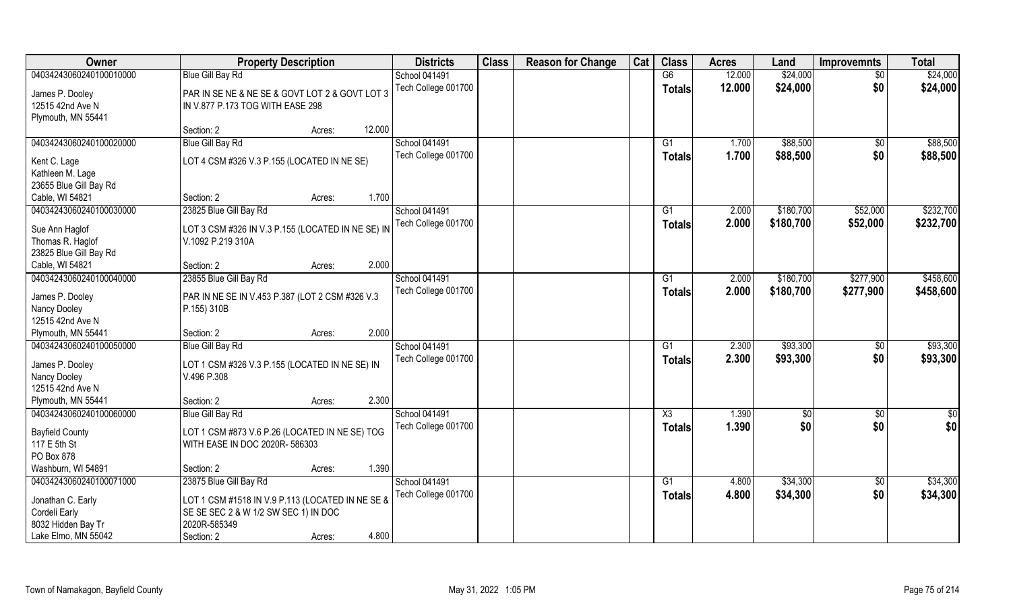| <b>Owner</b>            | <b>Property Description</b>                       | <b>Districts</b>     | <b>Class</b> | <b>Reason for Change</b> | Cat | <b>Class</b>   | <b>Acres</b> | Land      | <b>Improvemnts</b> | <b>Total</b>  |
|-------------------------|---------------------------------------------------|----------------------|--------------|--------------------------|-----|----------------|--------------|-----------|--------------------|---------------|
| 04034243060240100010000 | <b>Blue Gill Bay Rd</b>                           | School 041491        |              |                          |     | G6             | 12.000       | \$24,000  | $\overline{50}$    | \$24,000      |
| James P. Dooley         | PAR IN SE NE & NE SE & GOVT LOT 2 & GOVT LOT 3    | Tech College 001700  |              |                          |     | <b>Totals</b>  | 12.000       | \$24,000  | \$0                | \$24,000      |
| 12515 42nd Ave N        | IN V.877 P.173 TOG WITH EASE 298                  |                      |              |                          |     |                |              |           |                    |               |
| Plymouth, MN 55441      |                                                   |                      |              |                          |     |                |              |           |                    |               |
|                         | 12.000<br>Section: 2<br>Acres:                    |                      |              |                          |     |                |              |           |                    |               |
| 04034243060240100020000 | <b>Blue Gill Bay Rd</b>                           | <b>School 041491</b> |              |                          |     | G1             | 1.700        | \$88,500  | $\overline{50}$    | \$88,500      |
| Kent C. Lage            | LOT 4 CSM #326 V.3 P.155 (LOCATED IN NE SE)       | Tech College 001700  |              |                          |     | Totals         | 1.700        | \$88,500  | \$0                | \$88,500      |
| Kathleen M. Lage        |                                                   |                      |              |                          |     |                |              |           |                    |               |
| 23655 Blue Gill Bay Rd  |                                                   |                      |              |                          |     |                |              |           |                    |               |
| Cable, WI 54821         | 1.700<br>Section: 2<br>Acres:                     |                      |              |                          |     |                |              |           |                    |               |
| 04034243060240100030000 | 23825 Blue Gill Bay Rd                            | School 041491        |              |                          |     | G1             | 2.000        | \$180,700 | \$52,000           | \$232,700     |
| Sue Ann Haglof          | LOT 3 CSM #326 IN V.3 P.155 (LOCATED IN NE SE) IN | Tech College 001700  |              |                          |     | <b>Totals</b>  | 2.000        | \$180,700 | \$52,000           | \$232,700     |
| Thomas R. Haglof        | V.1092 P.219 310A                                 |                      |              |                          |     |                |              |           |                    |               |
| 23825 Blue Gill Bay Rd  |                                                   |                      |              |                          |     |                |              |           |                    |               |
| Cable, WI 54821         | 2.000<br>Section: 2<br>Acres:                     |                      |              |                          |     |                |              |           |                    |               |
| 04034243060240100040000 | 23855 Blue Gill Bay Rd                            | School 041491        |              |                          |     | G <sub>1</sub> | 2.000        | \$180,700 | \$277,900          | \$458,600     |
| James P. Dooley         | PAR IN NE SE IN V.453 P.387 (LOT 2 CSM #326 V.3   | Tech College 001700  |              |                          |     | <b>Totals</b>  | 2.000        | \$180,700 | \$277,900          | \$458,600     |
| Nancy Dooley            | P.155) 310B                                       |                      |              |                          |     |                |              |           |                    |               |
| 12515 42nd Ave N        |                                                   |                      |              |                          |     |                |              |           |                    |               |
| Plymouth, MN 55441      | 2.000<br>Section: 2<br>Acres:                     |                      |              |                          |     |                |              |           |                    |               |
| 04034243060240100050000 | <b>Blue Gill Bay Rd</b>                           | School 041491        |              |                          |     | G1             | 2.300        | \$93,300  | \$0                | \$93,300      |
| James P. Dooley         | LOT 1 CSM #326 V.3 P.155 (LOCATED IN NE SE) IN    | Tech College 001700  |              |                          |     | <b>Totals</b>  | 2.300        | \$93,300  | \$0                | \$93,300      |
| Nancy Dooley            | V.496 P.308                                       |                      |              |                          |     |                |              |           |                    |               |
| 12515 42nd Ave N        |                                                   |                      |              |                          |     |                |              |           |                    |               |
| Plymouth, MN 55441      | 2.300<br>Section: 2<br>Acres:                     |                      |              |                          |     |                |              |           |                    |               |
| 04034243060240100060000 | <b>Blue Gill Bay Rd</b>                           | School 041491        |              |                          |     | X3             | 1.390        | \$0       | \$0                | $\frac{6}{3}$ |
| <b>Bayfield County</b>  | LOT 1 CSM #873 V.6 P.26 (LOCATED IN NE SE) TOG    | Tech College 001700  |              |                          |     | <b>Totals</b>  | 1.390        | \$0       | \$0                | \$0           |
| 117 E 5th St            | WITH EASE IN DOC 2020R- 586303                    |                      |              |                          |     |                |              |           |                    |               |
| PO Box 878              |                                                   |                      |              |                          |     |                |              |           |                    |               |
| Washburn, WI 54891      | 1.390<br>Section: 2<br>Acres:                     |                      |              |                          |     |                |              |           |                    |               |
| 04034243060240100071000 | 23875 Blue Gill Bay Rd                            | School 041491        |              |                          |     | G1             | 4.800        | \$34,300  | $\sqrt{$0}$        | \$34,300      |
| Jonathan C. Early       | LOT 1 CSM #1518 IN V.9 P.113 (LOCATED IN NE SE &  | Tech College 001700  |              |                          |     | <b>Totals</b>  | 4.800        | \$34,300  | \$0                | \$34,300      |
| Cordeli Early           | SE SE SEC 2 & W 1/2 SW SEC 1) IN DOC              |                      |              |                          |     |                |              |           |                    |               |
| 8032 Hidden Bay Tr      | 2020R-585349                                      |                      |              |                          |     |                |              |           |                    |               |
| Lake Elmo, MN 55042     | 4.800<br>Section: 2<br>Acres:                     |                      |              |                          |     |                |              |           |                    |               |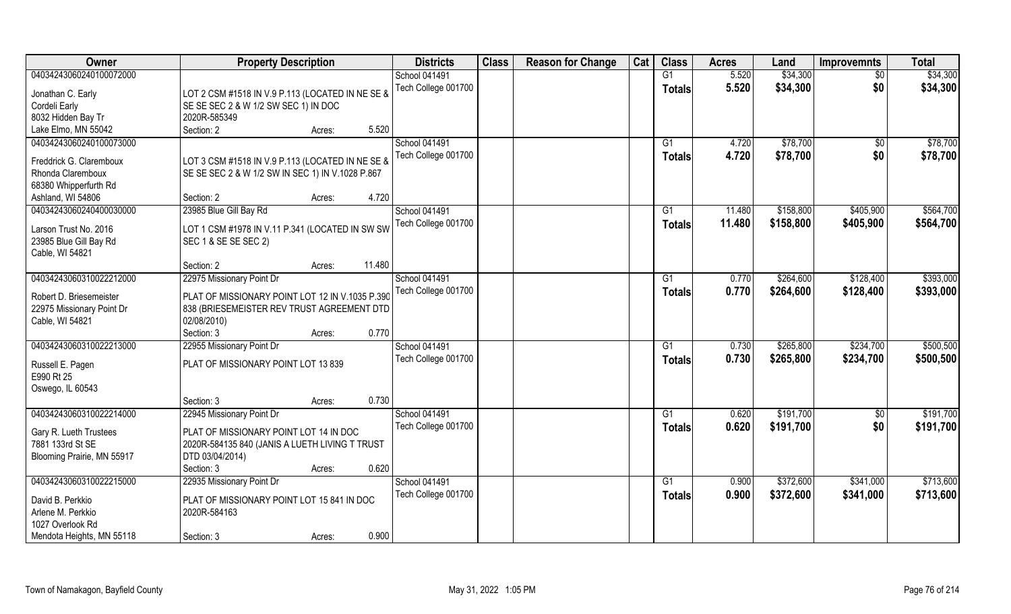| Owner                                      | <b>Property Description</b>                      | <b>Districts</b>     | <b>Class</b> | <b>Reason for Change</b> | Cat | <b>Class</b>   | <b>Acres</b> | Land      | <b>Improvemnts</b> | <b>Total</b> |
|--------------------------------------------|--------------------------------------------------|----------------------|--------------|--------------------------|-----|----------------|--------------|-----------|--------------------|--------------|
| 04034243060240100072000                    |                                                  | <b>School 041491</b> |              |                          |     | G1             | 5.520        | \$34,300  | $\overline{50}$    | \$34,300     |
| Jonathan C. Early                          | LOT 2 CSM #1518 IN V.9 P.113 (LOCATED IN NE SE & | Tech College 001700  |              |                          |     | <b>Totals</b>  | 5.520        | \$34,300  | \$0                | \$34,300     |
| Cordeli Early                              | SE SE SEC 2 & W 1/2 SW SEC 1) IN DOC             |                      |              |                          |     |                |              |           |                    |              |
| 8032 Hidden Bay Tr                         | 2020R-585349                                     |                      |              |                          |     |                |              |           |                    |              |
| Lake Elmo, MN 55042                        | Section: 2<br>5.520<br>Acres:                    |                      |              |                          |     |                |              |           |                    |              |
| 04034243060240100073000                    |                                                  | <b>School 041491</b> |              |                          |     | G <sub>1</sub> | 4.720        | \$78,700  | \$0                | \$78,700     |
|                                            |                                                  | Tech College 001700  |              |                          |     | <b>Totals</b>  | 4.720        | \$78,700  | \$0                | \$78,700     |
| Freddrick G. Claremboux                    | LOT 3 CSM #1518 IN V.9 P.113 (LOCATED IN NE SE & |                      |              |                          |     |                |              |           |                    |              |
| Rhonda Claremboux                          | SE SE SEC 2 & W 1/2 SW IN SEC 1) IN V.1028 P.867 |                      |              |                          |     |                |              |           |                    |              |
| 68380 Whipperfurth Rd<br>Ashland, WI 54806 | 4.720<br>Section: 2<br>Acres:                    |                      |              |                          |     |                |              |           |                    |              |
| 04034243060240400030000                    | 23985 Blue Gill Bay Rd                           | School 041491        |              |                          |     | G1             | 11.480       | \$158,800 | \$405,900          | \$564,700    |
|                                            |                                                  | Tech College 001700  |              |                          |     |                |              |           |                    |              |
| Larson Trust No. 2016                      | LOT 1 CSM #1978 IN V.11 P.341 (LOCATED IN SW SW  |                      |              |                          |     | <b>Totals</b>  | 11.480       | \$158,800 | \$405,900          | \$564,700    |
| 23985 Blue Gill Bay Rd                     | SEC 1 & SE SE SEC 2)                             |                      |              |                          |     |                |              |           |                    |              |
| Cable, WI 54821                            |                                                  |                      |              |                          |     |                |              |           |                    |              |
|                                            | 11.480<br>Section: 2<br>Acres:                   |                      |              |                          |     |                |              |           |                    |              |
| 04034243060310022212000                    | 22975 Missionary Point Dr                        | <b>School 041491</b> |              |                          |     | G1             | 0.770        | \$264,600 | \$128,400          | \$393,000    |
| Robert D. Briesemeister                    | PLAT OF MISSIONARY POINT LOT 12 IN V.1035 P.390  | Tech College 001700  |              |                          |     | <b>Totals</b>  | 0.770        | \$264,600 | \$128,400          | \$393,000    |
| 22975 Missionary Point Dr                  | 838 (BRIESEMEISTER REV TRUST AGREEMENT DTD       |                      |              |                          |     |                |              |           |                    |              |
| Cable, WI 54821                            | 02/08/2010)                                      |                      |              |                          |     |                |              |           |                    |              |
|                                            | 0.770<br>Section: 3<br>Acres:                    |                      |              |                          |     |                |              |           |                    |              |
| 04034243060310022213000                    | 22955 Missionary Point Dr                        | School 041491        |              |                          |     | G1             | 0.730        | \$265,800 | \$234,700          | \$500,500    |
|                                            |                                                  | Tech College 001700  |              |                          |     | <b>Totals</b>  | 0.730        | \$265,800 | \$234,700          | \$500,500    |
| Russell E. Pagen<br>E990 Rt 25             | PLAT OF MISSIONARY POINT LOT 13 839              |                      |              |                          |     |                |              |           |                    |              |
|                                            |                                                  |                      |              |                          |     |                |              |           |                    |              |
| Oswego, IL 60543                           | 0.730<br>Section: 3<br>Acres:                    |                      |              |                          |     |                |              |           |                    |              |
| 04034243060310022214000                    | 22945 Missionary Point Dr                        | School 041491        |              |                          |     | G1             | 0.620        | \$191,700 | \$0                | \$191,700    |
|                                            |                                                  | Tech College 001700  |              |                          |     |                | 0.620        | \$191,700 | \$0                | \$191,700    |
| Gary R. Lueth Trustees                     | PLAT OF MISSIONARY POINT LOT 14 IN DOC           |                      |              |                          |     | <b>Totals</b>  |              |           |                    |              |
| 7881 133rd St SE                           | 2020R-584135 840 (JANIS A LUETH LIVING T TRUST   |                      |              |                          |     |                |              |           |                    |              |
| Blooming Prairie, MN 55917                 | DTD 03/04/2014)                                  |                      |              |                          |     |                |              |           |                    |              |
|                                            | 0.620<br>Section: 3<br>Acres:                    |                      |              |                          |     |                |              |           |                    |              |
| 04034243060310022215000                    | 22935 Missionary Point Dr                        | School 041491        |              |                          |     | G1             | 0.900        | \$372,600 | \$341,000          | \$713,600    |
| David B. Perkkio                           | PLAT OF MISSIONARY POINT LOT 15 841 IN DOC       | Tech College 001700  |              |                          |     | <b>Totals</b>  | 0.900        | \$372,600 | \$341,000          | \$713,600    |
| Arlene M. Perkkio                          | 2020R-584163                                     |                      |              |                          |     |                |              |           |                    |              |
| 1027 Overlook Rd                           |                                                  |                      |              |                          |     |                |              |           |                    |              |
| Mendota Heights, MN 55118                  | 0.900<br>Section: 3<br>Acres:                    |                      |              |                          |     |                |              |           |                    |              |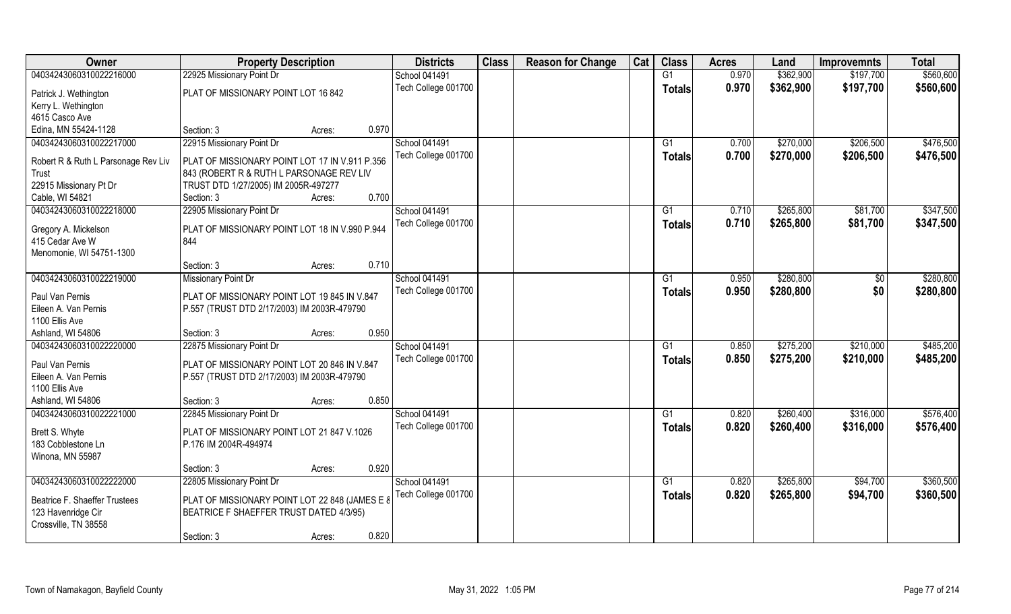| Owner                                        | <b>Property Description</b>                    |        |       | <b>Districts</b>     | <b>Class</b> | <b>Reason for Change</b> | Cat | <b>Class</b>  | <b>Acres</b> | Land      | <b>Improvemnts</b> | <b>Total</b> |
|----------------------------------------------|------------------------------------------------|--------|-------|----------------------|--------------|--------------------------|-----|---------------|--------------|-----------|--------------------|--------------|
| 04034243060310022216000                      | 22925 Missionary Point Dr                      |        |       | School 041491        |              |                          |     | G1            | 0.970        | \$362,900 | \$197,700          | \$560,600    |
| Patrick J. Wethington                        | PLAT OF MISSIONARY POINT LOT 16 842            |        |       | Tech College 001700  |              |                          |     | <b>Totals</b> | 0.970        | \$362,900 | \$197,700          | \$560,600    |
| Kerry L. Wethington                          |                                                |        |       |                      |              |                          |     |               |              |           |                    |              |
| 4615 Casco Ave                               |                                                |        |       |                      |              |                          |     |               |              |           |                    |              |
| Edina, MN 55424-1128                         | Section: 3                                     | Acres: | 0.970 |                      |              |                          |     |               |              |           |                    |              |
| 04034243060310022217000                      | 22915 Missionary Point Dr                      |        |       | <b>School 041491</b> |              |                          |     | G1            | 0.700        | \$270,000 | \$206,500          | \$476,500    |
|                                              | PLAT OF MISSIONARY POINT LOT 17 IN V.911 P.356 |        |       | Tech College 001700  |              |                          |     | Totals        | 0.700        | \$270,000 | \$206,500          | \$476,500    |
| Robert R & Ruth L Parsonage Rev Liv<br>Trust | 843 (ROBERT R & RUTH L PARSONAGE REV LIV       |        |       |                      |              |                          |     |               |              |           |                    |              |
| 22915 Missionary Pt Dr                       | TRUST DTD 1/27/2005) IM 2005R-497277           |        |       |                      |              |                          |     |               |              |           |                    |              |
| Cable, WI 54821                              | Section: 3                                     | Acres: | 0.700 |                      |              |                          |     |               |              |           |                    |              |
| 04034243060310022218000                      | 22905 Missionary Point Dr                      |        |       | School 041491        |              |                          |     | G1            | 0.710        | \$265,800 | \$81,700           | \$347,500    |
|                                              |                                                |        |       | Tech College 001700  |              |                          |     | <b>Totals</b> | 0.710        | \$265,800 | \$81,700           | \$347,500    |
| Gregory A. Mickelson                         | PLAT OF MISSIONARY POINT LOT 18 IN V.990 P.944 |        |       |                      |              |                          |     |               |              |           |                    |              |
| 415 Cedar Ave W                              | 844                                            |        |       |                      |              |                          |     |               |              |           |                    |              |
| Menomonie, WI 54751-1300                     |                                                |        |       |                      |              |                          |     |               |              |           |                    |              |
|                                              | Section: 3                                     | Acres: | 0.710 |                      |              |                          |     |               |              |           |                    |              |
| 04034243060310022219000                      | Missionary Point Dr                            |        |       | School 041491        |              |                          |     | G1            | 0.950        | \$280,800 | \$0                | \$280,800    |
| Paul Van Pernis                              | PLAT OF MISSIONARY POINT LOT 19 845 IN V.847   |        |       | Tech College 001700  |              |                          |     | <b>Totals</b> | 0.950        | \$280,800 | \$0                | \$280,800    |
| Eileen A. Van Pernis                         | P.557 (TRUST DTD 2/17/2003) IM 2003R-479790    |        |       |                      |              |                          |     |               |              |           |                    |              |
| 1100 Ellis Ave                               |                                                |        |       |                      |              |                          |     |               |              |           |                    |              |
| Ashland, WI 54806                            | Section: 3                                     | Acres: | 0.950 |                      |              |                          |     |               |              |           |                    |              |
| 04034243060310022220000                      | 22875 Missionary Point Dr                      |        |       | School 041491        |              |                          |     | G1            | 0.850        | \$275,200 | \$210,000          | \$485,200    |
|                                              |                                                |        |       | Tech College 001700  |              |                          |     | <b>Totals</b> | 0.850        | \$275,200 | \$210,000          | \$485,200    |
| Paul Van Pernis<br>Eileen A. Van Pernis      | PLAT OF MISSIONARY POINT LOT 20 846 IN V.847   |        |       |                      |              |                          |     |               |              |           |                    |              |
| 1100 Ellis Ave                               | P.557 (TRUST DTD 2/17/2003) IM 2003R-479790    |        |       |                      |              |                          |     |               |              |           |                    |              |
| Ashland, WI 54806                            | Section: 3                                     | Acres: | 0.850 |                      |              |                          |     |               |              |           |                    |              |
| 04034243060310022221000                      | 22845 Missionary Point Dr                      |        |       | School 041491        |              |                          |     | G1            | 0.820        | \$260,400 | \$316,000          | \$576,400    |
|                                              |                                                |        |       | Tech College 001700  |              |                          |     |               | 0.820        | \$260,400 | \$316,000          | \$576,400    |
| Brett S. Whyte                               | PLAT OF MISSIONARY POINT LOT 21 847 V.1026     |        |       |                      |              |                          |     | <b>Totals</b> |              |           |                    |              |
| 183 Cobblestone Ln                           | P.176 IM 2004R-494974                          |        |       |                      |              |                          |     |               |              |           |                    |              |
| Winona, MN 55987                             |                                                |        |       |                      |              |                          |     |               |              |           |                    |              |
|                                              | Section: 3                                     | Acres: | 0.920 |                      |              |                          |     |               |              |           |                    |              |
| 04034243060310022222000                      | 22805 Missionary Point Dr                      |        |       | School 041491        |              |                          |     | G1            | 0.820        | \$265,800 | \$94,700           | \$360,500    |
| Beatrice F. Shaeffer Trustees                | PLAT OF MISSIONARY POINT LOT 22 848 (JAMES E 8 |        |       | Tech College 001700  |              |                          |     | Totals        | 0.820        | \$265,800 | \$94,700           | \$360,500    |
| 123 Havenridge Cir                           | BEATRICE F SHAEFFER TRUST DATED 4/3/95)        |        |       |                      |              |                          |     |               |              |           |                    |              |
| Crossville, TN 38558                         |                                                |        |       |                      |              |                          |     |               |              |           |                    |              |
|                                              | Section: 3                                     | Acres: | 0.820 |                      |              |                          |     |               |              |           |                    |              |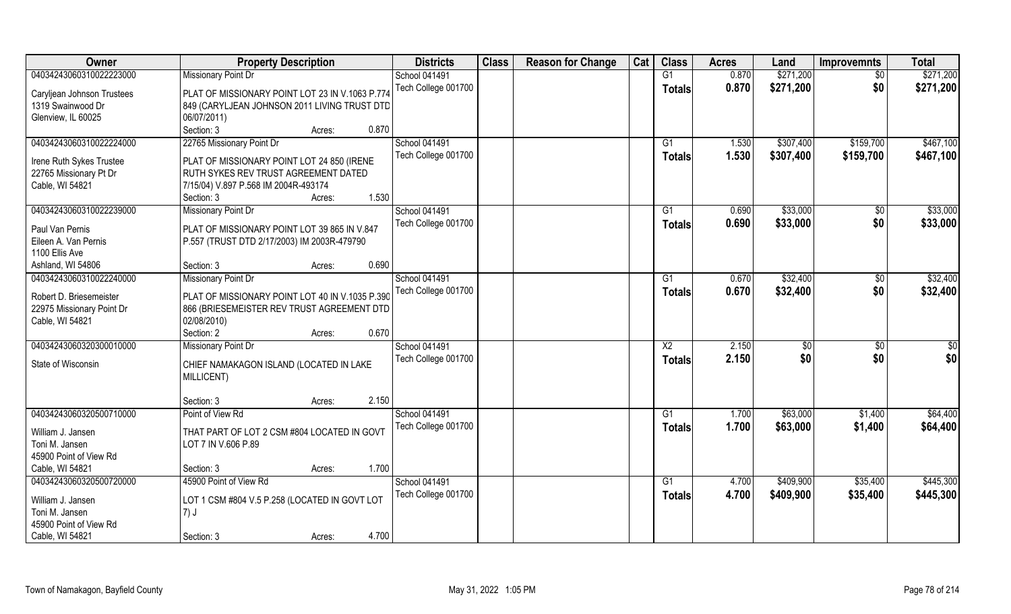| Owner                                              | <b>Property Description</b>                                                        | <b>Districts</b>    | <b>Class</b> | <b>Reason for Change</b> | Cat | <b>Class</b>    | <b>Acres</b> | Land      | <b>Improvemnts</b> | <b>Total</b> |
|----------------------------------------------------|------------------------------------------------------------------------------------|---------------------|--------------|--------------------------|-----|-----------------|--------------|-----------|--------------------|--------------|
| 04034243060310022223000                            | <b>Missionary Point Dr</b>                                                         | School 041491       |              |                          |     | $\overline{G1}$ | 0.870        | \$271,200 | $\overline{50}$    | \$271,200    |
| Caryljean Johnson Trustees                         | PLAT OF MISSIONARY POINT LOT 23 IN V.1063 P.774                                    | Tech College 001700 |              |                          |     | Totals          | 0.870        | \$271,200 | \$0                | \$271,200    |
| 1319 Swainwood Dr                                  | 849 (CARYLJEAN JOHNSON 2011 LIVING TRUST DTD                                       |                     |              |                          |     |                 |              |           |                    |              |
| Glenview, IL 60025                                 | 06/07/2011)                                                                        |                     |              |                          |     |                 |              |           |                    |              |
|                                                    | Section: 3<br>0.870<br>Acres:                                                      |                     |              |                          |     |                 |              |           |                    |              |
| 04034243060310022224000                            | 22765 Missionary Point Dr                                                          | School 041491       |              |                          |     | G <sub>1</sub>  | 1.530        | \$307,400 | \$159,700          | \$467,100    |
|                                                    |                                                                                    | Tech College 001700 |              |                          |     | Totals          | 1.530        | \$307,400 | \$159,700          | \$467,100    |
| Irene Ruth Sykes Trustee<br>22765 Missionary Pt Dr | PLAT OF MISSIONARY POINT LOT 24 850 (IRENE<br>RUTH SYKES REV TRUST AGREEMENT DATED |                     |              |                          |     |                 |              |           |                    |              |
| Cable, WI 54821                                    | 7/15/04) V.897 P.568 IM 2004R-493174                                               |                     |              |                          |     |                 |              |           |                    |              |
|                                                    | 1.530<br>Section: 3<br>Acres:                                                      |                     |              |                          |     |                 |              |           |                    |              |
| 04034243060310022239000                            | <b>Missionary Point Dr</b>                                                         | School 041491       |              |                          |     | G1              | 0.690        | \$33,000  | \$0                | \$33,000     |
|                                                    |                                                                                    | Tech College 001700 |              |                          |     | <b>Totals</b>   | 0.690        | \$33,000  | \$0                | \$33,000     |
| Paul Van Pernis                                    | PLAT OF MISSIONARY POINT LOT 39 865 IN V.847                                       |                     |              |                          |     |                 |              |           |                    |              |
| Eileen A. Van Pernis                               | P.557 (TRUST DTD 2/17/2003) IM 2003R-479790                                        |                     |              |                          |     |                 |              |           |                    |              |
| 1100 Ellis Ave                                     |                                                                                    |                     |              |                          |     |                 |              |           |                    |              |
| Ashland, WI 54806                                  | 0.690<br>Section: 3<br>Acres:                                                      |                     |              |                          |     |                 |              |           |                    |              |
| 04034243060310022240000                            | <b>Missionary Point Dr</b>                                                         | School 041491       |              |                          |     | G1              | 0.670        | \$32,400  | $\sqrt[6]{}$       | \$32,400     |
| Robert D. Briesemeister                            | PLAT OF MISSIONARY POINT LOT 40 IN V.1035 P.390                                    | Tech College 001700 |              |                          |     | Totals          | 0.670        | \$32,400  | \$0                | \$32,400     |
| 22975 Missionary Point Dr                          | 866 (BRIESEMEISTER REV TRUST AGREEMENT DTD                                         |                     |              |                          |     |                 |              |           |                    |              |
| Cable, WI 54821                                    | 02/08/2010)                                                                        |                     |              |                          |     |                 |              |           |                    |              |
|                                                    | 0.670<br>Section: 2<br>Acres:                                                      |                     |              |                          |     |                 |              |           |                    |              |
| 04034243060320300010000                            | <b>Missionary Point Dr</b>                                                         | School 041491       |              |                          |     | X <sub>2</sub>  | 2.150        | \$0       | \$0                | \$0          |
| State of Wisconsin                                 | CHIEF NAMAKAGON ISLAND (LOCATED IN LAKE                                            | Tech College 001700 |              |                          |     | <b>Totals</b>   | 2.150        | \$0       | \$0                | \$0          |
|                                                    | MILLICENT)                                                                         |                     |              |                          |     |                 |              |           |                    |              |
|                                                    |                                                                                    |                     |              |                          |     |                 |              |           |                    |              |
|                                                    | 2.150<br>Section: 3<br>Acres:                                                      |                     |              |                          |     |                 |              |           |                    |              |
| 04034243060320500710000                            | Point of View Rd                                                                   | School 041491       |              |                          |     | G1              | 1.700        | \$63,000  | \$1,400            | \$64,400     |
| William J. Jansen                                  | THAT PART OF LOT 2 CSM #804 LOCATED IN GOVT                                        | Tech College 001700 |              |                          |     | <b>Totals</b>   | 1.700        | \$63,000  | \$1,400            | \$64,400     |
| Toni M. Jansen                                     | LOT 7 IN V.606 P.89                                                                |                     |              |                          |     |                 |              |           |                    |              |
| 45900 Point of View Rd                             |                                                                                    |                     |              |                          |     |                 |              |           |                    |              |
| Cable, WI 54821                                    | 1.700<br>Section: 3<br>Acres:                                                      |                     |              |                          |     |                 |              |           |                    |              |
| 04034243060320500720000                            | 45900 Point of View Rd                                                             | School 041491       |              |                          |     | $\overline{G1}$ | 4.700        | \$409,900 | \$35,400           | \$445,300    |
|                                                    |                                                                                    | Tech College 001700 |              |                          |     | <b>Totals</b>   | 4.700        | \$409,900 | \$35,400           | \$445,300    |
| William J. Jansen<br>Toni M. Jansen                | LOT 1 CSM #804 V.5 P.258 (LOCATED IN GOVT LOT                                      |                     |              |                          |     |                 |              |           |                    |              |
| 45900 Point of View Rd                             | $7)$ J                                                                             |                     |              |                          |     |                 |              |           |                    |              |
| Cable, WI 54821                                    | 4.700                                                                              |                     |              |                          |     |                 |              |           |                    |              |
|                                                    | Section: 3<br>Acres:                                                               |                     |              |                          |     |                 |              |           |                    |              |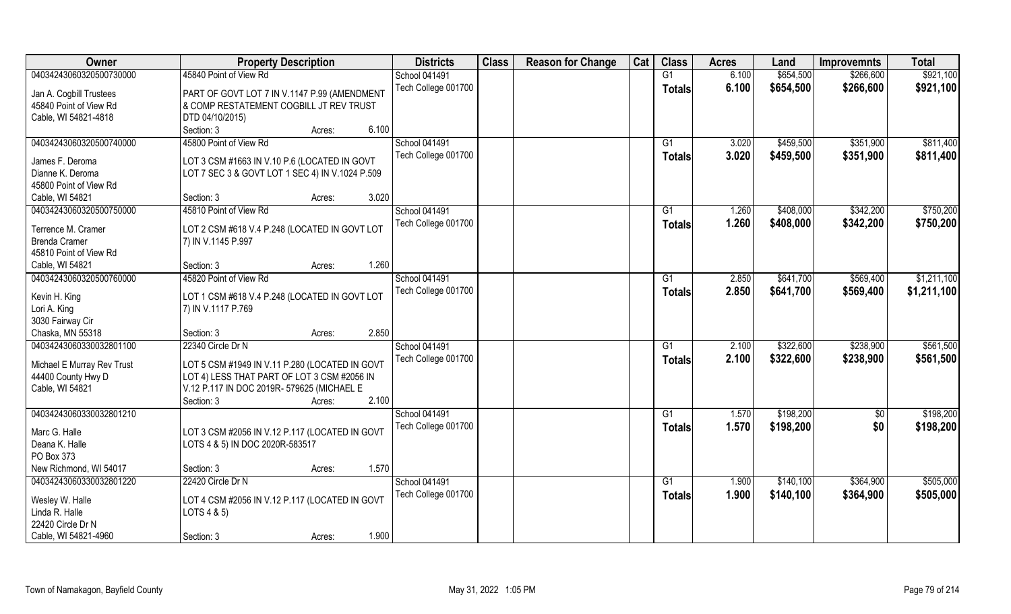| Owner                                             | <b>Property Description</b>                                                             | <b>Districts</b>                            | <b>Class</b> | <b>Reason for Change</b> | Cat | <b>Class</b>  | <b>Acres</b>   | Land                   | <b>Improvemnts</b>     | <b>Total</b>           |
|---------------------------------------------------|-----------------------------------------------------------------------------------------|---------------------------------------------|--------------|--------------------------|-----|---------------|----------------|------------------------|------------------------|------------------------|
| 04034243060320500730000                           | 45840 Point of View Rd                                                                  | <b>School 041491</b>                        |              |                          |     | G1            | 6.100          | \$654,500              | \$266,600              | \$921,100              |
| Jan A. Cogbill Trustees<br>45840 Point of View Rd | PART OF GOVT LOT 7 IN V.1147 P.99 (AMENDMENT<br>& COMP RESTATEMENT COGBILL JT REV TRUST | Tech College 001700                         |              |                          |     | <b>Totals</b> | 6.100          | \$654,500              | \$266,600              | \$921,100              |
| Cable, WI 54821-4818                              | DTD 04/10/2015)                                                                         |                                             |              |                          |     |               |                |                        |                        |                        |
|                                                   | 6.100<br>Section: 3<br>Acres:                                                           |                                             |              |                          |     |               |                |                        |                        |                        |
| 04034243060320500740000                           | 45800 Point of View Rd                                                                  | <b>School 041491</b><br>Tech College 001700 |              |                          |     | G1<br>Totals  | 3.020<br>3.020 | \$459,500<br>\$459,500 | \$351,900<br>\$351,900 | \$811,400<br>\$811,400 |
| James F. Deroma                                   | LOT 3 CSM #1663 IN V.10 P.6 (LOCATED IN GOVT                                            |                                             |              |                          |     |               |                |                        |                        |                        |
| Dianne K. Deroma                                  | LOT 7 SEC 3 & GOVT LOT 1 SEC 4) IN V.1024 P.509                                         |                                             |              |                          |     |               |                |                        |                        |                        |
| 45800 Point of View Rd                            |                                                                                         |                                             |              |                          |     |               |                |                        |                        |                        |
| Cable, WI 54821                                   | 3.020<br>Section: 3<br>Acres:                                                           |                                             |              |                          |     |               |                |                        |                        |                        |
| 04034243060320500750000                           | 45810 Point of View Rd                                                                  | <b>School 041491</b>                        |              |                          |     | G1            | 1.260          | \$408,000              | \$342,200              | \$750,200              |
| Terrence M. Cramer                                | LOT 2 CSM #618 V.4 P.248 (LOCATED IN GOVT LOT                                           | Tech College 001700                         |              |                          |     | <b>Totals</b> | 1.260          | \$408,000              | \$342,200              | \$750,200              |
| <b>Brenda Cramer</b>                              | 7) IN V.1145 P.997                                                                      |                                             |              |                          |     |               |                |                        |                        |                        |
| 45810 Point of View Rd                            |                                                                                         |                                             |              |                          |     |               |                |                        |                        |                        |
| Cable, WI 54821                                   | 1.260<br>Section: 3<br>Acres:                                                           |                                             |              |                          |     |               |                |                        |                        |                        |
| 04034243060320500760000                           | 45820 Point of View Rd                                                                  | School 041491                               |              |                          |     | G1            | 2.850          | \$641,700              | \$569,400              | \$1,211,100            |
| Kevin H. King                                     | LOT 1 CSM #618 V.4 P.248 (LOCATED IN GOVT LOT                                           | Tech College 001700                         |              |                          |     | Totals        | 2.850          | \$641,700              | \$569,400              | \$1,211,100            |
| Lori A. King                                      | 7) IN V.1117 P.769                                                                      |                                             |              |                          |     |               |                |                        |                        |                        |
| 3030 Fairway Cir                                  |                                                                                         |                                             |              |                          |     |               |                |                        |                        |                        |
| Chaska, MN 55318                                  | 2.850<br>Section: 3<br>Acres:                                                           |                                             |              |                          |     |               |                |                        |                        |                        |
| 04034243060330032801100                           | 22340 Circle Dr N                                                                       | <b>School 041491</b>                        |              |                          |     | G1            | 2.100          | \$322,600              | \$238,900              | \$561,500              |
| Michael E Murray Rev Trust                        | LOT 5 CSM #1949 IN V.11 P.280 (LOCATED IN GOVT                                          | Tech College 001700                         |              |                          |     | <b>Totals</b> | 2.100          | \$322,600              | \$238,900              | \$561,500              |
| 44400 County Hwy D                                | LOT 4) LESS THAT PART OF LOT 3 CSM #2056 IN                                             |                                             |              |                          |     |               |                |                        |                        |                        |
| Cable, WI 54821                                   | V.12 P.117 IN DOC 2019R- 579625 (MICHAEL E                                              |                                             |              |                          |     |               |                |                        |                        |                        |
|                                                   | 2.100<br>Section: 3<br>Acres:                                                           |                                             |              |                          |     |               |                |                        |                        |                        |
| 04034243060330032801210                           |                                                                                         | School 041491                               |              |                          |     | G1            | 1.570          | \$198,200              | $\frac{1}{6}$          | \$198,200              |
| Marc G. Halle                                     | LOT 3 CSM #2056 IN V.12 P.117 (LOCATED IN GOVT                                          | Tech College 001700                         |              |                          |     | <b>Totals</b> | 1.570          | \$198,200              | \$0                    | \$198,200              |
| Deana K. Halle                                    | LOTS 4 & 5) IN DOC 2020R-583517                                                         |                                             |              |                          |     |               |                |                        |                        |                        |
| PO Box 373                                        |                                                                                         |                                             |              |                          |     |               |                |                        |                        |                        |
| New Richmond, WI 54017                            | 1.570<br>Section: 3<br>Acres:                                                           |                                             |              |                          |     |               |                |                        |                        |                        |
| 04034243060330032801220                           | 22420 Circle Dr N                                                                       | School 041491                               |              |                          |     | G1            | 1.900          |                        | \$364,900              | \$505,000              |
|                                                   |                                                                                         |                                             |              |                          |     |               |                | \$140,100              |                        |                        |
| Wesley W. Halle                                   | LOT 4 CSM #2056 IN V.12 P.117 (LOCATED IN GOVT                                          | Tech College 001700                         |              |                          |     | <b>Totals</b> | 1.900          | \$140,100              | \$364,900              | \$505,000              |
| Linda R. Halle                                    | LOTS 4 & 5)                                                                             |                                             |              |                          |     |               |                |                        |                        |                        |
| 22420 Circle Dr N                                 |                                                                                         |                                             |              |                          |     |               |                |                        |                        |                        |
| Cable, WI 54821-4960                              | 1.900<br>Section: 3<br>Acres:                                                           |                                             |              |                          |     |               |                |                        |                        |                        |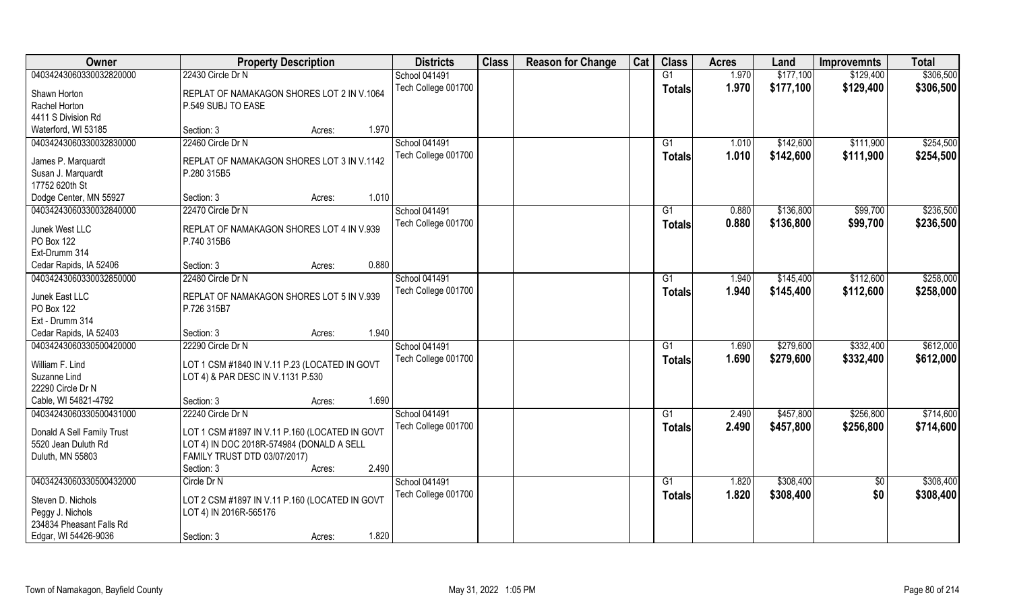| <b>Owner</b>               | <b>Property Description</b>                    | <b>Districts</b>     | <b>Class</b> | <b>Reason for Change</b> | Cat | <b>Class</b>   | <b>Acres</b> | Land      | <b>Improvemnts</b> | <b>Total</b> |
|----------------------------|------------------------------------------------|----------------------|--------------|--------------------------|-----|----------------|--------------|-----------|--------------------|--------------|
| 04034243060330032820000    | 22430 Circle Dr N                              | School 041491        |              |                          |     | G1             | 1.970        | \$177,100 | \$129,400          | \$306,500    |
| Shawn Horton               | REPLAT OF NAMAKAGON SHORES LOT 2 IN V.1064     | Tech College 001700  |              |                          |     | Totals         | 1.970        | \$177,100 | \$129,400          | \$306,500    |
| Rachel Horton              | P.549 SUBJ TO EASE                             |                      |              |                          |     |                |              |           |                    |              |
| 4411 S Division Rd         |                                                |                      |              |                          |     |                |              |           |                    |              |
| Waterford, WI 53185        | 1.970<br>Section: 3<br>Acres:                  |                      |              |                          |     |                |              |           |                    |              |
| 04034243060330032830000    | 22460 Circle Dr N                              | <b>School 041491</b> |              |                          |     | G <sub>1</sub> | 1.010        | \$142,600 | \$111,900          | \$254,500    |
| James P. Marquardt         | REPLAT OF NAMAKAGON SHORES LOT 3 IN V.1142     | Tech College 001700  |              |                          |     | <b>Totals</b>  | 1.010        | \$142,600 | \$111,900          | \$254,500    |
| Susan J. Marquardt         | P.280 315B5                                    |                      |              |                          |     |                |              |           |                    |              |
| 17752 620th St             |                                                |                      |              |                          |     |                |              |           |                    |              |
| Dodge Center, MN 55927     | 1.010<br>Section: 3<br>Acres:                  |                      |              |                          |     |                |              |           |                    |              |
| 04034243060330032840000    | 22470 Circle Dr N                              | <b>School 041491</b> |              |                          |     | G1             | 0.880        | \$136,800 | \$99,700           | \$236,500    |
| Junek West LLC             | REPLAT OF NAMAKAGON SHORES LOT 4 IN V.939      | Tech College 001700  |              |                          |     | <b>Totals</b>  | 0.880        | \$136,800 | \$99,700           | \$236,500    |
| PO Box 122                 | P.740 315B6                                    |                      |              |                          |     |                |              |           |                    |              |
| Ext-Drumm 314              |                                                |                      |              |                          |     |                |              |           |                    |              |
| Cedar Rapids, IA 52406     | 0.880<br>Section: 3<br>Acres:                  |                      |              |                          |     |                |              |           |                    |              |
| 04034243060330032850000    | 22480 Circle Dr N                              | <b>School 041491</b> |              |                          |     | G1             | 1.940        | \$145,400 | \$112,600          | \$258,000    |
|                            |                                                | Tech College 001700  |              |                          |     | <b>Totals</b>  | 1.940        | \$145,400 | \$112,600          | \$258,000    |
| Junek East LLC             | REPLAT OF NAMAKAGON SHORES LOT 5 IN V.939      |                      |              |                          |     |                |              |           |                    |              |
| PO Box 122                 | P.726 315B7                                    |                      |              |                          |     |                |              |           |                    |              |
| Ext - Drumm 314            |                                                |                      |              |                          |     |                |              |           |                    |              |
| Cedar Rapids, IA 52403     | 1.940<br>Section: 3<br>Acres:                  |                      |              |                          |     |                |              |           |                    |              |
| 04034243060330500420000    | 22290 Circle Dr N                              | School 041491        |              |                          |     | G1             | 1.690        | \$279,600 | \$332,400          | \$612,000    |
| William F. Lind            | LOT 1 CSM #1840 IN V.11 P.23 (LOCATED IN GOVT  | Tech College 001700  |              |                          |     | <b>Totals</b>  | 1.690        | \$279,600 | \$332,400          | \$612,000    |
| Suzanne Lind               | LOT 4) & PAR DESC IN V.1131 P.530              |                      |              |                          |     |                |              |           |                    |              |
| 22290 Circle Dr N          |                                                |                      |              |                          |     |                |              |           |                    |              |
| Cable, WI 54821-4792       | 1.690<br>Section: 3<br>Acres:                  |                      |              |                          |     |                |              |           |                    |              |
| 04034243060330500431000    | 22240 Circle Dr N                              | School 041491        |              |                          |     | G1             | 2.490        | \$457,800 | \$256,800          | \$714,600    |
|                            |                                                | Tech College 001700  |              |                          |     | <b>Totals</b>  | 2.490        | \$457,800 | \$256,800          | \$714,600    |
| Donald A Sell Family Trust | LOT 1 CSM #1897 IN V.11 P.160 (LOCATED IN GOVT |                      |              |                          |     |                |              |           |                    |              |
| 5520 Jean Duluth Rd        | LOT 4) IN DOC 2018R-574984 (DONALD A SELL      |                      |              |                          |     |                |              |           |                    |              |
| Duluth, MN 55803           | FAMILY TRUST DTD 03/07/2017)                   |                      |              |                          |     |                |              |           |                    |              |
|                            | 2.490<br>Section: 3<br>Acres:                  |                      |              |                          |     |                |              |           |                    |              |
| 04034243060330500432000    | Circle Dr N                                    | School 041491        |              |                          |     | G <sub>1</sub> | 1.820        | \$308,400 | \$0                | \$308,400    |
| Steven D. Nichols          | LOT 2 CSM #1897 IN V.11 P.160 (LOCATED IN GOVT | Tech College 001700  |              |                          |     | <b>Totals</b>  | 1.820        | \$308,400 | \$0                | \$308,400    |
| Peggy J. Nichols           | LOT 4) IN 2016R-565176                         |                      |              |                          |     |                |              |           |                    |              |
| 234834 Pheasant Falls Rd   |                                                |                      |              |                          |     |                |              |           |                    |              |
| Edgar, WI 54426-9036       | 1.820<br>Section: 3<br>Acres:                  |                      |              |                          |     |                |              |           |                    |              |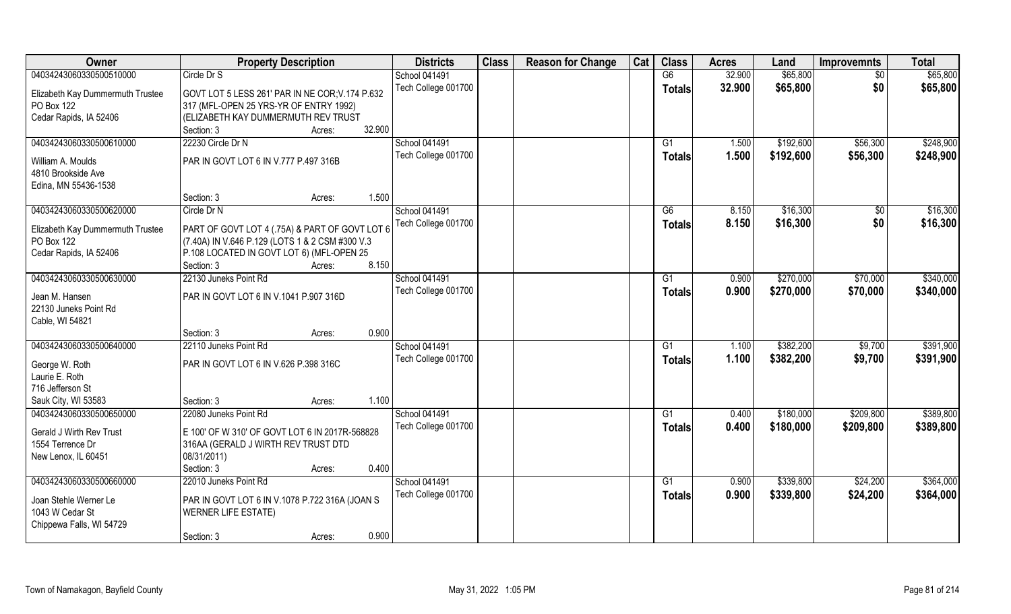| Owner                            | <b>Property Description</b>                     | <b>Districts</b>    | <b>Class</b> | <b>Reason for Change</b> | Cat | <b>Class</b>   | <b>Acres</b> | Land      | <b>Improvemnts</b> | <b>Total</b> |
|----------------------------------|-------------------------------------------------|---------------------|--------------|--------------------------|-----|----------------|--------------|-----------|--------------------|--------------|
| 04034243060330500510000          | Circle Dr S                                     | School 041491       |              |                          |     | G6             | 32.900       | \$65,800  | $\overline{50}$    | \$65,800     |
| Elizabeth Kay Dummermuth Trustee | GOVT LOT 5 LESS 261' PAR IN NE COR; V.174 P.632 | Tech College 001700 |              |                          |     | <b>Totals</b>  | 32.900       | \$65,800  | \$0                | \$65,800     |
| PO Box 122                       | 317 (MFL-OPEN 25 YRS-YR OF ENTRY 1992)          |                     |              |                          |     |                |              |           |                    |              |
| Cedar Rapids, IA 52406           | (ELIZABETH KAY DUMMERMUTH REV TRUST             |                     |              |                          |     |                |              |           |                    |              |
|                                  | 32.900<br>Section: 3<br>Acres:                  |                     |              |                          |     |                |              |           |                    |              |
| 04034243060330500610000          | 22230 Circle Dr N                               | School 041491       |              |                          |     | G <sub>1</sub> | 1.500        | \$192,600 | \$56,300           | \$248,900    |
| William A. Moulds                | PAR IN GOVT LOT 6 IN V.777 P.497 316B           | Tech College 001700 |              |                          |     | Totals         | 1.500        | \$192,600 | \$56,300           | \$248,900    |
| 4810 Brookside Ave               |                                                 |                     |              |                          |     |                |              |           |                    |              |
| Edina, MN 55436-1538             |                                                 |                     |              |                          |     |                |              |           |                    |              |
|                                  | 1.500<br>Section: 3<br>Acres:                   |                     |              |                          |     |                |              |           |                    |              |
| 04034243060330500620000          | Circle Dr N                                     | School 041491       |              |                          |     | G6             | 8.150        | \$16,300  | \$0                | \$16,300     |
| Elizabeth Kay Dummermuth Trustee | PART OF GOVT LOT 4 (.75A) & PART OF GOVT LOT 6  | Tech College 001700 |              |                          |     | <b>Totals</b>  | 8.150        | \$16,300  | \$0                | \$16,300     |
| PO Box 122                       | (7.40A) IN V.646 P.129 (LOTS 1 & 2 CSM #300 V.3 |                     |              |                          |     |                |              |           |                    |              |
| Cedar Rapids, IA 52406           | P.108 LOCATED IN GOVT LOT 6) (MFL-OPEN 25       |                     |              |                          |     |                |              |           |                    |              |
|                                  | 8.150<br>Section: 3<br>Acres:                   |                     |              |                          |     |                |              |           |                    |              |
| 04034243060330500630000          | 22130 Juneks Point Rd                           | School 041491       |              |                          |     | G1             | 0.900        | \$270,000 | \$70,000           | \$340,000    |
| Jean M. Hansen                   | PAR IN GOVT LOT 6 IN V.1041 P.907 316D          | Tech College 001700 |              |                          |     | <b>Totals</b>  | 0.900        | \$270,000 | \$70,000           | \$340,000    |
| 22130 Juneks Point Rd            |                                                 |                     |              |                          |     |                |              |           |                    |              |
| Cable, WI 54821                  |                                                 |                     |              |                          |     |                |              |           |                    |              |
|                                  | 0.900<br>Section: 3<br>Acres:                   |                     |              |                          |     |                |              |           |                    |              |
| 04034243060330500640000          | 22110 Juneks Point Rd                           | School 041491       |              |                          |     | G1             | 1.100        | \$382,200 | \$9,700            | \$391,900    |
| George W. Roth                   | PAR IN GOVT LOT 6 IN V.626 P.398 316C           | Tech College 001700 |              |                          |     | <b>Totals</b>  | 1.100        | \$382,200 | \$9,700            | \$391,900    |
| Laurie E. Roth                   |                                                 |                     |              |                          |     |                |              |           |                    |              |
| 716 Jefferson St                 |                                                 |                     |              |                          |     |                |              |           |                    |              |
| Sauk City, WI 53583              | 1.100<br>Section: 3<br>Acres:                   |                     |              |                          |     |                |              |           |                    |              |
| 04034243060330500650000          | 22080 Juneks Point Rd                           | School 041491       |              |                          |     | G1             | 0.400        | \$180,000 | \$209,800          | \$389,800    |
| Gerald J Wirth Rev Trust         | E 100' OF W 310' OF GOVT LOT 6 IN 2017R-568828  | Tech College 001700 |              |                          |     | <b>Totals</b>  | 0.400        | \$180,000 | \$209,800          | \$389,800    |
| 1554 Terrence Dr                 | 316AA (GERALD J WIRTH REV TRUST DTD             |                     |              |                          |     |                |              |           |                    |              |
| New Lenox, IL 60451              | 08/31/2011)                                     |                     |              |                          |     |                |              |           |                    |              |
|                                  | 0.400<br>Section: 3<br>Acres:                   |                     |              |                          |     |                |              |           |                    |              |
| 04034243060330500660000          | 22010 Juneks Point Rd                           | School 041491       |              |                          |     | G1             | 0.900        | \$339,800 | \$24,200           | \$364,000    |
| Joan Stehle Werner Le            | PAR IN GOVT LOT 6 IN V.1078 P.722 316A (JOAN S  | Tech College 001700 |              |                          |     | <b>Totals</b>  | 0.900        | \$339,800 | \$24,200           | \$364,000    |
| 1043 W Cedar St                  | <b>WERNER LIFE ESTATE)</b>                      |                     |              |                          |     |                |              |           |                    |              |
| Chippewa Falls, WI 54729         |                                                 |                     |              |                          |     |                |              |           |                    |              |
|                                  | 0.900<br>Section: 3<br>Acres:                   |                     |              |                          |     |                |              |           |                    |              |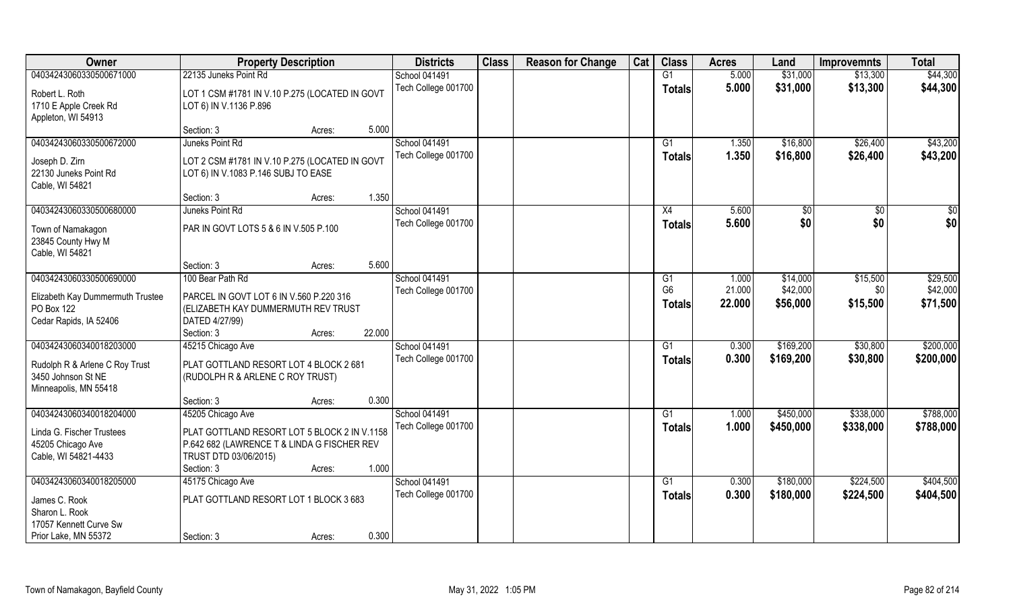| Owner                                 | <b>Property Description</b>                    |        |        | <b>Districts</b>    | <b>Class</b> | <b>Reason for Change</b> | Cat | <b>Class</b>    | <b>Acres</b> | Land      | <b>Improvemnts</b> | <b>Total</b> |
|---------------------------------------|------------------------------------------------|--------|--------|---------------------|--------------|--------------------------|-----|-----------------|--------------|-----------|--------------------|--------------|
| 04034243060330500671000               | 22135 Juneks Point Rd                          |        |        | School 041491       |              |                          |     | G1              | 5.000        | \$31,000  | \$13,300           | \$44,300     |
| Robert L. Roth                        | LOT 1 CSM #1781 IN V.10 P.275 (LOCATED IN GOVT |        |        | Tech College 001700 |              |                          |     | <b>Totals</b>   | 5.000        | \$31,000  | \$13,300           | \$44,300     |
| 1710 E Apple Creek Rd                 | LOT 6) IN V.1136 P.896                         |        |        |                     |              |                          |     |                 |              |           |                    |              |
| Appleton, WI 54913                    |                                                |        |        |                     |              |                          |     |                 |              |           |                    |              |
|                                       | Section: 3                                     | Acres: | 5.000  |                     |              |                          |     |                 |              |           |                    |              |
| 04034243060330500672000               | Juneks Point Rd                                |        |        | School 041491       |              |                          |     | G1              | 1.350        | \$16,800  | \$26,400           | \$43,200     |
| Joseph D. Zirn                        | LOT 2 CSM #1781 IN V.10 P.275 (LOCATED IN GOVT |        |        | Tech College 001700 |              |                          |     | Totals          | 1.350        | \$16,800  | \$26,400           | \$43,200     |
| 22130 Juneks Point Rd                 | LOT 6) IN V.1083 P.146 SUBJ TO EASE            |        |        |                     |              |                          |     |                 |              |           |                    |              |
| Cable, WI 54821                       |                                                |        |        |                     |              |                          |     |                 |              |           |                    |              |
|                                       | Section: 3                                     | Acres: | 1.350  |                     |              |                          |     |                 |              |           |                    |              |
| 04034243060330500680000               | Juneks Point Rd                                |        |        | School 041491       |              |                          |     | X4              | 5.600        | \$0       | $\sqrt[6]{30}$     | $\sqrt{50}$  |
|                                       |                                                |        |        | Tech College 001700 |              |                          |     | <b>Totals</b>   | 5.600        | \$0       | \$0                | \$0          |
| Town of Namakagon                     | PAR IN GOVT LOTS 5 & 6 IN V.505 P.100          |        |        |                     |              |                          |     |                 |              |           |                    |              |
| 23845 County Hwy M<br>Cable, WI 54821 |                                                |        |        |                     |              |                          |     |                 |              |           |                    |              |
|                                       | Section: 3                                     | Acres: | 5.600  |                     |              |                          |     |                 |              |           |                    |              |
| 04034243060330500690000               | 100 Bear Path Rd                               |        |        | School 041491       |              |                          |     | G1              | 1.000        | \$14,000  | \$15,500           | \$29,500     |
|                                       |                                                |        |        | Tech College 001700 |              |                          |     | G <sub>6</sub>  | 21.000       | \$42,000  | \$0                | \$42,000     |
| Elizabeth Kay Dummermuth Trustee      | PARCEL IN GOVT LOT 6 IN V.560 P.220 316        |        |        |                     |              |                          |     | <b>Totals</b>   | 22.000       | \$56,000  | \$15,500           | \$71,500     |
| PO Box 122                            | (ELIZABETH KAY DUMMERMUTH REV TRUST            |        |        |                     |              |                          |     |                 |              |           |                    |              |
| Cedar Rapids, IA 52406                | DATED 4/27/99)                                 |        |        |                     |              |                          |     |                 |              |           |                    |              |
|                                       | Section: 3                                     | Acres: | 22.000 |                     |              |                          |     |                 |              |           |                    |              |
| 04034243060340018203000               | 45215 Chicago Ave                              |        |        | School 041491       |              |                          |     | G1              | 0.300        | \$169,200 | \$30,800           | \$200,000    |
| Rudolph R & Arlene C Roy Trust        | PLAT GOTTLAND RESORT LOT 4 BLOCK 2 681         |        |        | Tech College 001700 |              |                          |     | <b>Totals</b>   | 0.300        | \$169,200 | \$30,800           | \$200,000    |
| 3450 Johnson St NE                    | (RUDOLPH R & ARLENE C ROY TRUST)               |        |        |                     |              |                          |     |                 |              |           |                    |              |
| Minneapolis, MN 55418                 |                                                |        |        |                     |              |                          |     |                 |              |           |                    |              |
|                                       | Section: 3                                     | Acres: | 0.300  |                     |              |                          |     |                 |              |           |                    |              |
| 04034243060340018204000               | 45205 Chicago Ave                              |        |        | School 041491       |              |                          |     | G1              | 1.000        | \$450,000 | \$338,000          | \$788,000    |
| Linda G. Fischer Trustees             | PLAT GOTTLAND RESORT LOT 5 BLOCK 2 IN V.1158   |        |        | Tech College 001700 |              |                          |     | <b>Totals</b>   | 1.000        | \$450,000 | \$338,000          | \$788,000    |
| 45205 Chicago Ave                     | P.642 682 (LAWRENCE T & LINDA G FISCHER REV    |        |        |                     |              |                          |     |                 |              |           |                    |              |
| Cable, WI 54821-4433                  | TRUST DTD 03/06/2015)                          |        |        |                     |              |                          |     |                 |              |           |                    |              |
|                                       | Section: 3                                     | Acres: | 1.000  |                     |              |                          |     |                 |              |           |                    |              |
| 04034243060340018205000               | 45175 Chicago Ave                              |        |        | School 041491       |              |                          |     | $\overline{G1}$ | 0.300        | \$180,000 | \$224,500          | \$404,500    |
|                                       | PLAT GOTTLAND RESORT LOT 1 BLOCK 3 683         |        |        | Tech College 001700 |              |                          |     | <b>Totals</b>   | 0.300        | \$180,000 | \$224,500          | \$404,500    |
| James C. Rook<br>Sharon L. Rook       |                                                |        |        |                     |              |                          |     |                 |              |           |                    |              |
| 17057 Kennett Curve Sw                |                                                |        |        |                     |              |                          |     |                 |              |           |                    |              |
| Prior Lake, MN 55372                  |                                                |        | 0.300  |                     |              |                          |     |                 |              |           |                    |              |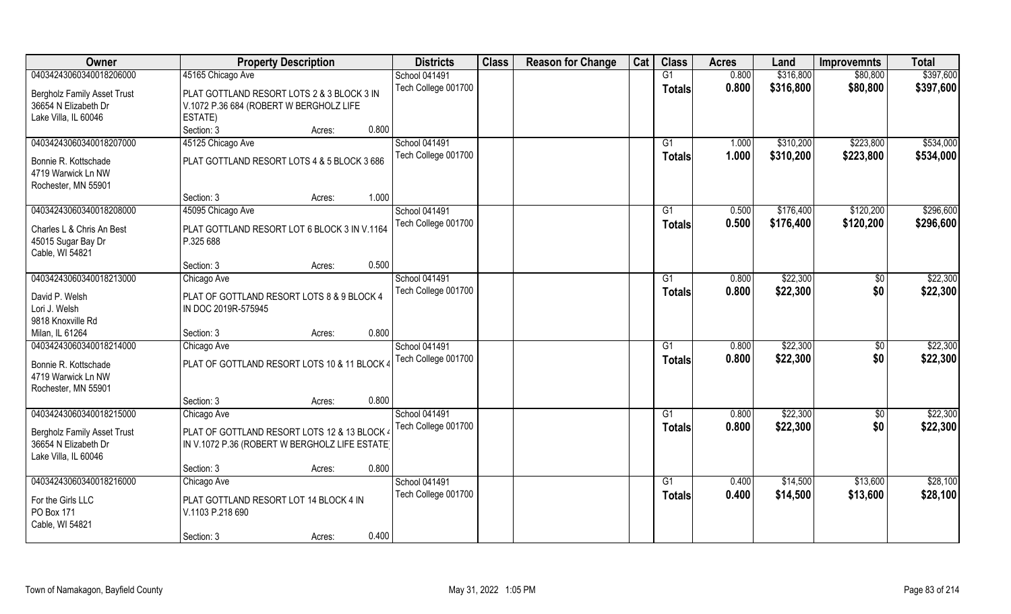| Owner                              | <b>Property Description</b>                    | <b>Districts</b>     | <b>Class</b> | <b>Reason for Change</b> | Cat | <b>Class</b>  | <b>Acres</b> | Land      | <b>Improvemnts</b> | <b>Total</b> |
|------------------------------------|------------------------------------------------|----------------------|--------------|--------------------------|-----|---------------|--------------|-----------|--------------------|--------------|
| 04034243060340018206000            | 45165 Chicago Ave                              | School 041491        |              |                          |     | G1            | 0.800        | \$316,800 | \$80,800           | \$397,600    |
| <b>Bergholz Family Asset Trust</b> | PLAT GOTTLAND RESORT LOTS 2 & 3 BLOCK 3 IN     | Tech College 001700  |              |                          |     | <b>Totals</b> | 0.800        | \$316,800 | \$80,800           | \$397,600    |
| 36654 N Elizabeth Dr               | V.1072 P.36 684 (ROBERT W BERGHOLZ LIFE        |                      |              |                          |     |               |              |           |                    |              |
| Lake Villa, IL 60046               | ESTATE)                                        |                      |              |                          |     |               |              |           |                    |              |
|                                    | 0.800<br>Section: 3<br>Acres:                  |                      |              |                          |     |               |              |           |                    |              |
| 04034243060340018207000            | 45125 Chicago Ave                              | <b>School 041491</b> |              |                          |     | G1            | 1.000        | \$310,200 | \$223,800          | \$534,000    |
|                                    |                                                | Tech College 001700  |              |                          |     | Totals        | 1.000        | \$310,200 | \$223,800          | \$534,000    |
| Bonnie R. Kottschade               | PLAT GOTTLAND RESORT LOTS 4 & 5 BLOCK 3 686    |                      |              |                          |     |               |              |           |                    |              |
| 4719 Warwick Ln NW                 |                                                |                      |              |                          |     |               |              |           |                    |              |
| Rochester, MN 55901                | 1.000<br>Section: 3                            |                      |              |                          |     |               |              |           |                    |              |
| 04034243060340018208000            | Acres:                                         | School 041491        |              |                          |     | G1            | 0.500        | \$176,400 | \$120,200          | \$296,600    |
|                                    | 45095 Chicago Ave                              | Tech College 001700  |              |                          |     |               |              |           |                    |              |
| Charles L & Chris An Best          | PLAT GOTTLAND RESORT LOT 6 BLOCK 3 IN V.1164   |                      |              |                          |     | <b>Totals</b> | 0.500        | \$176,400 | \$120,200          | \$296,600    |
| 45015 Sugar Bay Dr                 | P.325 688                                      |                      |              |                          |     |               |              |           |                    |              |
| Cable, WI 54821                    |                                                |                      |              |                          |     |               |              |           |                    |              |
|                                    | 0.500<br>Section: 3<br>Acres:                  |                      |              |                          |     |               |              |           |                    |              |
| 04034243060340018213000            | Chicago Ave                                    | School 041491        |              |                          |     | G1            | 0.800        | \$22,300  | \$0                | \$22,300     |
| David P. Welsh                     | PLAT OF GOTTLAND RESORT LOTS 8 & 9 BLOCK 4     | Tech College 001700  |              |                          |     | <b>Totals</b> | 0.800        | \$22,300  | \$0                | \$22,300     |
| Lori J. Welsh                      | IN DOC 2019R-575945                            |                      |              |                          |     |               |              |           |                    |              |
| 9818 Knoxville Rd                  |                                                |                      |              |                          |     |               |              |           |                    |              |
| Milan, IL 61264                    | 0.800<br>Section: 3<br>Acres:                  |                      |              |                          |     |               |              |           |                    |              |
| 04034243060340018214000            | Chicago Ave                                    | School 041491        |              |                          |     | G1            | 0.800        | \$22,300  | $\overline{50}$    | \$22,300     |
| Bonnie R. Kottschade               | PLAT OF GOTTLAND RESORT LOTS 10 & 11 BLOCK 4   | Tech College 001700  |              |                          |     | <b>Totals</b> | 0.800        | \$22,300  | \$0                | \$22,300     |
| 4719 Warwick Ln NW                 |                                                |                      |              |                          |     |               |              |           |                    |              |
| Rochester, MN 55901                |                                                |                      |              |                          |     |               |              |           |                    |              |
|                                    | 0.800<br>Section: 3<br>Acres:                  |                      |              |                          |     |               |              |           |                    |              |
| 04034243060340018215000            | Chicago Ave                                    | School 041491        |              |                          |     | G1            | 0.800        | \$22,300  | \$0                | \$22,300     |
|                                    |                                                | Tech College 001700  |              |                          |     | <b>Totals</b> | 0.800        | \$22,300  | \$0                | \$22,300     |
| <b>Bergholz Family Asset Trust</b> | PLAT OF GOTTLAND RESORT LOTS 12 & 13 BLOCK 4   |                      |              |                          |     |               |              |           |                    |              |
| 36654 N Elizabeth Dr               | IN V.1072 P.36 (ROBERT W BERGHOLZ LIFE ESTATE) |                      |              |                          |     |               |              |           |                    |              |
| Lake Villa, IL 60046               |                                                |                      |              |                          |     |               |              |           |                    |              |
|                                    | 0.800<br>Section: 3<br>Acres:                  |                      |              |                          |     |               |              |           |                    |              |
| 04034243060340018216000            | Chicago Ave                                    | School 041491        |              |                          |     | G1            | 0.400        | \$14,500  | \$13,600           | \$28,100     |
| For the Girls LLC                  | PLAT GOTTLAND RESORT LOT 14 BLOCK 4 IN         | Tech College 001700  |              |                          |     | Totals        | 0.400        | \$14,500  | \$13,600           | \$28,100     |
| PO Box 171                         | V.1103 P.218 690                               |                      |              |                          |     |               |              |           |                    |              |
| Cable, WI 54821                    |                                                |                      |              |                          |     |               |              |           |                    |              |
|                                    | 0.400<br>Section: 3<br>Acres:                  |                      |              |                          |     |               |              |           |                    |              |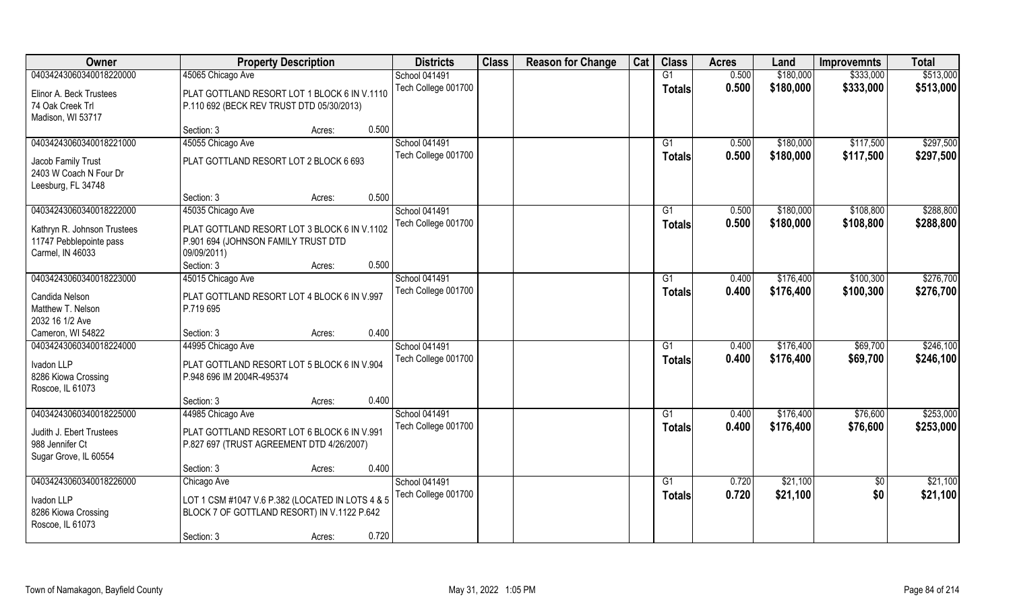| Owner                       | <b>Property Description</b>                      |       | <b>Districts</b>     | <b>Class</b> | <b>Reason for Change</b> | Cat | <b>Class</b>    | <b>Acres</b> | Land      | <b>Improvemnts</b> | <b>Total</b> |
|-----------------------------|--------------------------------------------------|-------|----------------------|--------------|--------------------------|-----|-----------------|--------------|-----------|--------------------|--------------|
| 04034243060340018220000     | 45065 Chicago Ave                                |       | School 041491        |              |                          |     | $\overline{G1}$ | 0.500        | \$180,000 | \$333,000          | \$513,000    |
| Elinor A. Beck Trustees     | PLAT GOTTLAND RESORT LOT 1 BLOCK 6 IN V.1110     |       | Tech College 001700  |              |                          |     | Totals          | 0.500        | \$180,000 | \$333,000          | \$513,000    |
| 74 Oak Creek Trl            | P.110 692 (BECK REV TRUST DTD 05/30/2013)        |       |                      |              |                          |     |                 |              |           |                    |              |
| Madison, WI 53717           |                                                  |       |                      |              |                          |     |                 |              |           |                    |              |
|                             | Section: 3<br>Acres:                             | 0.500 |                      |              |                          |     |                 |              |           |                    |              |
| 04034243060340018221000     | 45055 Chicago Ave                                |       | <b>School 041491</b> |              |                          |     | G <sub>1</sub>  | 0.500        | \$180,000 | \$117,500          | \$297,500    |
| Jacob Family Trust          | PLAT GOTTLAND RESORT LOT 2 BLOCK 6 693           |       | Tech College 001700  |              |                          |     | <b>Totals</b>   | 0.500        | \$180,000 | \$117,500          | \$297,500    |
| 2403 W Coach N Four Dr      |                                                  |       |                      |              |                          |     |                 |              |           |                    |              |
| Leesburg, FL 34748          |                                                  |       |                      |              |                          |     |                 |              |           |                    |              |
|                             | Section: 3<br>Acres:                             | 0.500 |                      |              |                          |     |                 |              |           |                    |              |
| 04034243060340018222000     | 45035 Chicago Ave                                |       | School 041491        |              |                          |     | G1              | 0.500        | \$180,000 | \$108,800          | \$288,800    |
| Kathryn R. Johnson Trustees | PLAT GOTTLAND RESORT LOT 3 BLOCK 6 IN V.1102     |       | Tech College 001700  |              |                          |     | <b>Totals</b>   | 0.500        | \$180,000 | \$108,800          | \$288,800    |
| 11747 Pebblepointe pass     | P.901 694 (JOHNSON FAMILY TRUST DTD              |       |                      |              |                          |     |                 |              |           |                    |              |
| Carmel, IN 46033            | 09/09/2011)                                      |       |                      |              |                          |     |                 |              |           |                    |              |
|                             | Section: 3<br>Acres:                             | 0.500 |                      |              |                          |     |                 |              |           |                    |              |
| 04034243060340018223000     | 45015 Chicago Ave                                |       | School 041491        |              |                          |     | G1              | 0.400        | \$176,400 | \$100,300          | \$276,700    |
| Candida Nelson              | PLAT GOTTLAND RESORT LOT 4 BLOCK 6 IN V.997      |       | Tech College 001700  |              |                          |     | <b>Totals</b>   | 0.400        | \$176,400 | \$100,300          | \$276,700    |
| Matthew T. Nelson           | P.719 695                                        |       |                      |              |                          |     |                 |              |           |                    |              |
| 2032 16 1/2 Ave             |                                                  |       |                      |              |                          |     |                 |              |           |                    |              |
| Cameron, WI 54822           | Section: 3<br>Acres:                             | 0.400 |                      |              |                          |     |                 |              |           |                    |              |
| 04034243060340018224000     | 44995 Chicago Ave                                |       | School 041491        |              |                          |     | G1              | 0.400        | \$176,400 | \$69,700           | \$246,100    |
| Ivadon LLP                  | PLAT GOTTLAND RESORT LOT 5 BLOCK 6 IN V.904      |       | Tech College 001700  |              |                          |     | <b>Totals</b>   | 0.400        | \$176,400 | \$69,700           | \$246,100    |
| 8286 Kiowa Crossing         | P.948 696 IM 2004R-495374                        |       |                      |              |                          |     |                 |              |           |                    |              |
| Roscoe, IL 61073            |                                                  |       |                      |              |                          |     |                 |              |           |                    |              |
|                             | Section: 3<br>Acres:                             | 0.400 |                      |              |                          |     |                 |              |           |                    |              |
| 04034243060340018225000     | 44985 Chicago Ave                                |       | School 041491        |              |                          |     | G1              | 0.400        | \$176,400 | \$76,600           | \$253,000    |
| Judith J. Ebert Trustees    | PLAT GOTTLAND RESORT LOT 6 BLOCK 6 IN V.991      |       | Tech College 001700  |              |                          |     | <b>Totals</b>   | 0.400        | \$176,400 | \$76,600           | \$253,000    |
| 988 Jennifer Ct             | P.827 697 (TRUST AGREEMENT DTD 4/26/2007)        |       |                      |              |                          |     |                 |              |           |                    |              |
| Sugar Grove, IL 60554       |                                                  |       |                      |              |                          |     |                 |              |           |                    |              |
|                             | Section: 3<br>Acres:                             | 0.400 |                      |              |                          |     |                 |              |           |                    |              |
| 04034243060340018226000     | Chicago Ave                                      |       | School 041491        |              |                          |     | G1              | 0.720        | \$21,100  | $\overline{50}$    | \$21,100     |
| Ivadon LLP                  | LOT 1 CSM #1047 V.6 P.382 (LOCATED IN LOTS 4 & 5 |       | Tech College 001700  |              |                          |     | Totals          | 0.720        | \$21,100  | \$0                | \$21,100     |
| 8286 Kiowa Crossing         | BLOCK 7 OF GOTTLAND RESORT) IN V.1122 P.642      |       |                      |              |                          |     |                 |              |           |                    |              |
| Roscoe, IL 61073            |                                                  |       |                      |              |                          |     |                 |              |           |                    |              |
|                             | Section: 3<br>Acres:                             | 0.720 |                      |              |                          |     |                 |              |           |                    |              |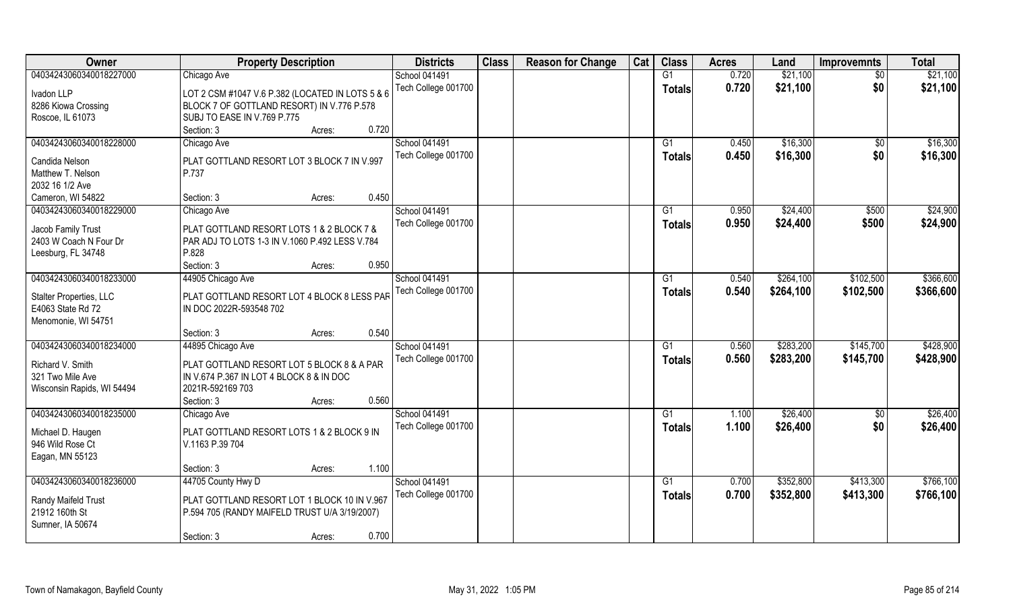| Owner                                        | <b>Property Description</b>                      | <b>Districts</b>     | <b>Class</b> | <b>Reason for Change</b> | Cat | <b>Class</b>  | <b>Acres</b> | Land      | <b>Improvemnts</b> | <b>Total</b> |
|----------------------------------------------|--------------------------------------------------|----------------------|--------------|--------------------------|-----|---------------|--------------|-----------|--------------------|--------------|
| 04034243060340018227000                      | Chicago Ave                                      | School 041491        |              |                          |     | G1            | 0.720        | \$21,100  | $\sqrt{6}$         | \$21,100     |
| Ivadon LLP                                   | LOT 2 CSM #1047 V.6 P.382 (LOCATED IN LOTS 5 & 6 | Tech College 001700  |              |                          |     | <b>Totals</b> | 0.720        | \$21,100  | \$0                | \$21,100     |
| 8286 Kiowa Crossing                          | BLOCK 7 OF GOTTLAND RESORT) IN V.776 P.578       |                      |              |                          |     |               |              |           |                    |              |
| Roscoe, IL 61073                             | SUBJ TO EASE IN V.769 P.775                      |                      |              |                          |     |               |              |           |                    |              |
|                                              | 0.720<br>Section: 3<br>Acres:                    |                      |              |                          |     |               |              |           |                    |              |
| 04034243060340018228000                      | Chicago Ave                                      | <b>School 041491</b> |              |                          |     | G1            | 0.450        | \$16,300  | \$0                | \$16,300     |
|                                              |                                                  | Tech College 001700  |              |                          |     | Totals        | 0.450        | \$16,300  | \$0                | \$16,300     |
| Candida Nelson                               | PLAT GOTTLAND RESORT LOT 3 BLOCK 7 IN V.997      |                      |              |                          |     |               |              |           |                    |              |
| Matthew T. Nelson                            | P.737                                            |                      |              |                          |     |               |              |           |                    |              |
| 2032 16 1/2 Ave                              |                                                  |                      |              |                          |     |               |              |           |                    |              |
| Cameron, WI 54822                            | 0.450<br>Section: 3<br>Acres:                    |                      |              |                          |     |               |              |           |                    |              |
| 04034243060340018229000                      | Chicago Ave                                      | School 041491        |              |                          |     | G1            | 0.950        | \$24,400  | \$500              | \$24,900     |
| Jacob Family Trust                           | PLAT GOTTLAND RESORT LOTS 1 & 2 BLOCK 7 &        | Tech College 001700  |              |                          |     | <b>Totals</b> | 0.950        | \$24,400  | \$500              | \$24,900     |
| 2403 W Coach N Four Dr                       | PAR ADJ TO LOTS 1-3 IN V.1060 P.492 LESS V.784   |                      |              |                          |     |               |              |           |                    |              |
| Leesburg, FL 34748                           | P.828                                            |                      |              |                          |     |               |              |           |                    |              |
|                                              | 0.950<br>Section: 3<br>Acres:                    |                      |              |                          |     |               |              |           |                    |              |
| 04034243060340018233000                      | 44905 Chicago Ave                                | School 041491        |              |                          |     | G1            | 0.540        | \$264,100 | \$102,500          | \$366,600    |
|                                              |                                                  | Tech College 001700  |              |                          |     | <b>Totals</b> | 0.540        | \$264,100 | \$102,500          | \$366,600    |
| Stalter Properties, LLC<br>E4063 State Rd 72 | PLAT GOTTLAND RESORT LOT 4 BLOCK 8 LESS PAR      |                      |              |                          |     |               |              |           |                    |              |
|                                              | IN DOC 2022R-593548 702                          |                      |              |                          |     |               |              |           |                    |              |
| Menomonie, WI 54751                          | 0.540<br>Section: 3<br>Acres:                    |                      |              |                          |     |               |              |           |                    |              |
| 04034243060340018234000                      | 44895 Chicago Ave                                | School 041491        |              |                          |     | G1            | 0.560        | \$283,200 | \$145,700          | \$428,900    |
|                                              |                                                  | Tech College 001700  |              |                          |     |               | 0.560        | \$283,200 |                    |              |
| Richard V. Smith                             | PLAT GOTTLAND RESORT LOT 5 BLOCK 8 & A PAR       |                      |              |                          |     | <b>Totals</b> |              |           | \$145,700          | \$428,900    |
| 321 Two Mile Ave                             | IN V.674 P.367 IN LOT 4 BLOCK 8 & IN DOC         |                      |              |                          |     |               |              |           |                    |              |
| Wisconsin Rapids, WI 54494                   | 2021R-592169 703                                 |                      |              |                          |     |               |              |           |                    |              |
|                                              | 0.560<br>Section: 3<br>Acres:                    |                      |              |                          |     |               |              |           |                    |              |
| 04034243060340018235000                      | Chicago Ave                                      | School 041491        |              |                          |     | G1            | 1.100        | \$26,400  | $\sqrt{$0}$        | \$26,400     |
| Michael D. Haugen                            | PLAT GOTTLAND RESORT LOTS 1 & 2 BLOCK 9 IN       | Tech College 001700  |              |                          |     | <b>Totals</b> | 1.100        | \$26,400  | \$0                | \$26,400     |
| 946 Wild Rose Ct                             | V.1163 P.39 704                                  |                      |              |                          |     |               |              |           |                    |              |
| Eagan, MN 55123                              |                                                  |                      |              |                          |     |               |              |           |                    |              |
|                                              | 1.100<br>Section: 3<br>Acres:                    |                      |              |                          |     |               |              |           |                    |              |
| 04034243060340018236000                      | 44705 County Hwy D                               | School 041491        |              |                          |     | G1            | 0.700        | \$352,800 | \$413,300          | \$766,100    |
|                                              |                                                  | Tech College 001700  |              |                          |     | Totals        | 0.700        | \$352,800 | \$413,300          | \$766,100    |
| Randy Maifeld Trust                          | PLAT GOTTLAND RESORT LOT 1 BLOCK 10 IN V.967     |                      |              |                          |     |               |              |           |                    |              |
| 21912 160th St                               | P.594 705 (RANDY MAIFELD TRUST U/A 3/19/2007)    |                      |              |                          |     |               |              |           |                    |              |
| Sumner, IA 50674                             |                                                  |                      |              |                          |     |               |              |           |                    |              |
|                                              | 0.700<br>Section: 3<br>Acres:                    |                      |              |                          |     |               |              |           |                    |              |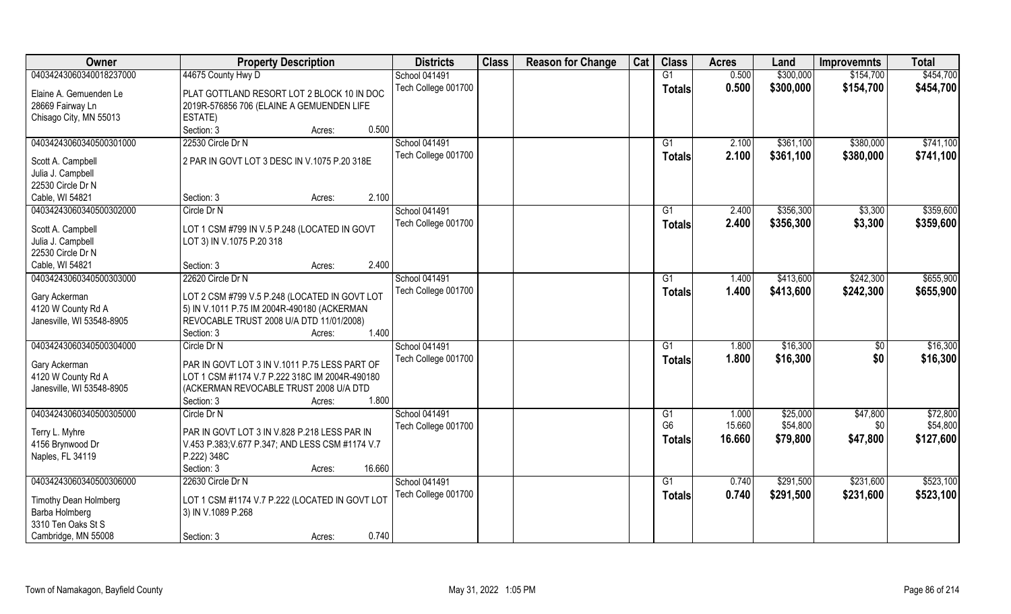| Owner                     | <b>Property Description</b>                      | <b>Districts</b>    | <b>Class</b> | <b>Reason for Change</b> | Cat | <b>Class</b>    | <b>Acres</b> | Land      | <b>Improvemnts</b> | <b>Total</b> |
|---------------------------|--------------------------------------------------|---------------------|--------------|--------------------------|-----|-----------------|--------------|-----------|--------------------|--------------|
| 04034243060340018237000   | 44675 County Hwy D                               | School 041491       |              |                          |     | G1              | 0.500        | \$300,000 | \$154,700          | \$454,700    |
| Elaine A. Gemuenden Le    | PLAT GOTTLAND RESORT LOT 2 BLOCK 10 IN DOC       | Tech College 001700 |              |                          |     | <b>Totals</b>   | 0.500        | \$300,000 | \$154,700          | \$454,700    |
| 28669 Fairway Ln          | 2019R-576856 706 (ELAINE A GEMUENDEN LIFE        |                     |              |                          |     |                 |              |           |                    |              |
| Chisago City, MN 55013    | ESTATE)                                          |                     |              |                          |     |                 |              |           |                    |              |
|                           | 0.500<br>Section: 3<br>Acres:                    |                     |              |                          |     |                 |              |           |                    |              |
| 04034243060340500301000   | 22530 Circle Dr N                                | School 041491       |              |                          |     | G1              | 2.100        | \$361,100 | \$380,000          | \$741,100    |
|                           |                                                  | Tech College 001700 |              |                          |     | Totals          | 2.100        | \$361,100 | \$380,000          | \$741,100    |
| Scott A. Campbell         | 2 PAR IN GOVT LOT 3 DESC IN V.1075 P.20 318E     |                     |              |                          |     |                 |              |           |                    |              |
| Julia J. Campbell         |                                                  |                     |              |                          |     |                 |              |           |                    |              |
| 22530 Circle Dr N         |                                                  |                     |              |                          |     |                 |              |           |                    |              |
| Cable, WI 54821           | 2.100<br>Section: 3<br>Acres:                    |                     |              |                          |     |                 |              |           |                    |              |
| 04034243060340500302000   | Circle Dr N                                      | School 041491       |              |                          |     | G1              | 2.400        | \$356,300 | \$3,300            | \$359,600    |
| Scott A. Campbell         | LOT 1 CSM #799 IN V.5 P.248 (LOCATED IN GOVT     | Tech College 001700 |              |                          |     | <b>Totals</b>   | 2.400        | \$356,300 | \$3,300            | \$359,600    |
| Julia J. Campbell         | LOT 3) IN V.1075 P.20 318                        |                     |              |                          |     |                 |              |           |                    |              |
| 22530 Circle Dr N         |                                                  |                     |              |                          |     |                 |              |           |                    |              |
| Cable, WI 54821           | 2.400<br>Section: 3<br>Acres:                    |                     |              |                          |     |                 |              |           |                    |              |
| 04034243060340500303000   | 22620 Circle Dr N                                | School 041491       |              |                          |     | G1              | 1.400        | \$413,600 | \$242,300          | \$655,900    |
|                           |                                                  | Tech College 001700 |              |                          |     | <b>Totals</b>   | 1.400        | \$413,600 | \$242,300          | \$655,900    |
| Gary Ackerman             | LOT 2 CSM #799 V.5 P.248 (LOCATED IN GOVT LOT    |                     |              |                          |     |                 |              |           |                    |              |
| 4120 W County Rd A        | 5) IN V.1011 P.75 IM 2004R-490180 (ACKERMAN      |                     |              |                          |     |                 |              |           |                    |              |
| Janesville, WI 53548-8905 | REVOCABLE TRUST 2008 U/A DTD 11/01/2008)         |                     |              |                          |     |                 |              |           |                    |              |
|                           | 1.400<br>Section: 3<br>Acres:                    |                     |              |                          |     |                 |              |           |                    |              |
| 04034243060340500304000   | Circle Dr N                                      | School 041491       |              |                          |     | G1              | 1.800        | \$16,300  | \$0                | \$16,300     |
| Gary Ackerman             | PAR IN GOVT LOT 3 IN V.1011 P.75 LESS PART OF    | Tech College 001700 |              |                          |     | <b>Totals</b>   | 1.800        | \$16,300  | \$0                | \$16,300     |
| 4120 W County Rd A        | LOT 1 CSM #1174 V.7 P.222 318C IM 2004R-490180   |                     |              |                          |     |                 |              |           |                    |              |
| Janesville, WI 53548-8905 | (ACKERMAN REVOCABLE TRUST 2008 U/A DTD           |                     |              |                          |     |                 |              |           |                    |              |
|                           | 1.800<br>Section: 3<br>Acres:                    |                     |              |                          |     |                 |              |           |                    |              |
| 04034243060340500305000   | Circle Dr N                                      | School 041491       |              |                          |     | G1              | 1.000        | \$25,000  | \$47,800           | \$72,800     |
|                           |                                                  | Tech College 001700 |              |                          |     | G <sub>6</sub>  | 15.660       | \$54,800  | \$0                | \$54,800     |
| Terry L. Myhre            | PAR IN GOVT LOT 3 IN V.828 P.218 LESS PAR IN     |                     |              |                          |     | <b>Totals</b>   | 16.660       | \$79,800  | \$47,800           | \$127,600    |
| 4156 Brynwood Dr          | V.453 P.383; V.677 P.347; AND LESS CSM #1174 V.7 |                     |              |                          |     |                 |              |           |                    |              |
| Naples, FL 34119          | P.222) 348C<br>16.660                            |                     |              |                          |     |                 |              |           |                    |              |
|                           | Section: 3<br>Acres:                             |                     |              |                          |     |                 |              |           |                    |              |
| 04034243060340500306000   | 22630 Circle Dr N                                | School 041491       |              |                          |     | $\overline{G1}$ | 0.740        | \$291,500 | \$231,600          | \$523,100    |
| Timothy Dean Holmberg     | LOT 1 CSM #1174 V.7 P.222 (LOCATED IN GOVT LOT   | Tech College 001700 |              |                          |     | <b>Totals</b>   | 0.740        | \$291,500 | \$231,600          | \$523,100    |
| Barba Holmberg            | 3) IN V.1089 P.268                               |                     |              |                          |     |                 |              |           |                    |              |
| 3310 Ten Oaks St S        |                                                  |                     |              |                          |     |                 |              |           |                    |              |
| Cambridge, MN 55008       | 0.740<br>Section: 3<br>Acres:                    |                     |              |                          |     |                 |              |           |                    |              |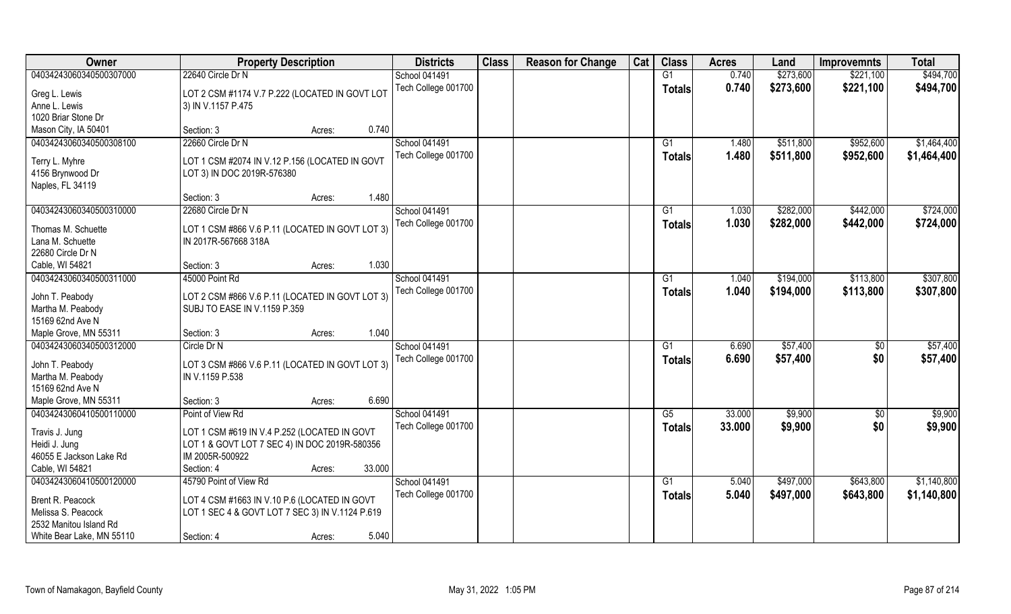| Owner                                | <b>Property Description</b>                     |        | <b>Districts</b> | <b>Class</b>         | <b>Reason for Change</b> | Cat | <b>Class</b> | <b>Acres</b>  | Land   | <b>Improvemnts</b> | <b>Total</b>    |             |
|--------------------------------------|-------------------------------------------------|--------|------------------|----------------------|--------------------------|-----|--------------|---------------|--------|--------------------|-----------------|-------------|
| 04034243060340500307000              | 22640 Circle Dr N                               |        |                  | <b>School 041491</b> |                          |     |              | G1            | 0.740  | \$273,600          | \$221,100       | \$494,700   |
| Greg L. Lewis                        | LOT 2 CSM #1174 V.7 P.222 (LOCATED IN GOVT LOT  |        |                  | Tech College 001700  |                          |     |              | <b>Totals</b> | 0.740  | \$273,600          | \$221,100       | \$494,700   |
| Anne L. Lewis<br>1020 Briar Stone Dr | 3) IN V.1157 P.475                              |        |                  |                      |                          |     |              |               |        |                    |                 |             |
| Mason City, IA 50401                 | Section: 3                                      |        | 0.740            |                      |                          |     |              |               |        |                    |                 |             |
|                                      | 22660 Circle Dr N                               | Acres: |                  | School 041491        |                          |     |              |               |        |                    |                 |             |
| 04034243060340500308100              |                                                 |        |                  |                      |                          |     |              | G1            | 1.480  | \$511,800          | \$952,600       | \$1,464,400 |
| Terry L. Myhre                       | LOT 1 CSM #2074 IN V.12 P.156 (LOCATED IN GOVT  |        |                  | Tech College 001700  |                          |     |              | Totals        | 1.480  | \$511,800          | \$952,600       | \$1,464,400 |
| 4156 Brynwood Dr                     | LOT 3) IN DOC 2019R-576380                      |        |                  |                      |                          |     |              |               |        |                    |                 |             |
| Naples, FL 34119                     |                                                 |        |                  |                      |                          |     |              |               |        |                    |                 |             |
|                                      | Section: 3                                      | Acres: | 1.480            |                      |                          |     |              |               |        |                    |                 |             |
| 04034243060340500310000              | 22680 Circle Dr N                               |        |                  | School 041491        |                          |     |              | G1            | 1.030  | \$282,000          | \$442,000       | \$724,000   |
| Thomas M. Schuette                   | LOT 1 CSM #866 V.6 P.11 (LOCATED IN GOVT LOT 3) |        |                  | Tech College 001700  |                          |     |              | <b>Totals</b> | 1.030  | \$282,000          | \$442,000       | \$724,000   |
| Lana M. Schuette                     | IN 2017R-567668 318A                            |        |                  |                      |                          |     |              |               |        |                    |                 |             |
| 22680 Circle Dr N                    |                                                 |        |                  |                      |                          |     |              |               |        |                    |                 |             |
| Cable, WI 54821                      | Section: 3                                      | Acres: | 1.030            |                      |                          |     |              |               |        |                    |                 |             |
| 04034243060340500311000              | 45000 Point Rd                                  |        |                  | <b>School 041491</b> |                          |     |              | G1            | 1.040  | \$194,000          | \$113,800       | \$307,800   |
|                                      |                                                 |        |                  | Tech College 001700  |                          |     |              |               | 1.040  | \$194,000          | \$113,800       |             |
| John T. Peabody                      | LOT 2 CSM #866 V.6 P.11 (LOCATED IN GOVT LOT 3) |        |                  |                      |                          |     |              | <b>Totals</b> |        |                    |                 | \$307,800   |
| Martha M. Peabody                    | SUBJ TO EASE IN V.1159 P.359                    |        |                  |                      |                          |     |              |               |        |                    |                 |             |
| 15169 62nd Ave N                     |                                                 |        |                  |                      |                          |     |              |               |        |                    |                 |             |
| Maple Grove, MN 55311                | Section: 3                                      | Acres: | 1.040            |                      |                          |     |              |               |        |                    |                 |             |
| 04034243060340500312000              | Circle Dr N                                     |        |                  | School 041491        |                          |     |              | G1            | 6.690  | \$57,400           | \$0             | \$57,400    |
| John T. Peabody                      | LOT 3 CSM #866 V.6 P.11 (LOCATED IN GOVT LOT 3) |        |                  | Tech College 001700  |                          |     |              | <b>Totals</b> | 6.690  | \$57,400           | \$0             | \$57,400    |
| Martha M. Peabody                    | IN V.1159 P.538                                 |        |                  |                      |                          |     |              |               |        |                    |                 |             |
| 15169 62nd Ave N                     |                                                 |        |                  |                      |                          |     |              |               |        |                    |                 |             |
| Maple Grove, MN 55311                | Section: 3                                      | Acres: | 6.690            |                      |                          |     |              |               |        |                    |                 |             |
| 04034243060410500110000              | Point of View Rd                                |        |                  | School 041491        |                          |     |              | G5            | 33.000 | \$9,900            | $\overline{60}$ | \$9,900     |
|                                      |                                                 |        |                  | Tech College 001700  |                          |     |              | <b>Totals</b> | 33.000 | \$9,900            | \$0             | \$9,900     |
| Travis J. Jung                       | LOT 1 CSM #619 IN V.4 P.252 (LOCATED IN GOVT    |        |                  |                      |                          |     |              |               |        |                    |                 |             |
| Heidi J. Jung                        | LOT 1 & GOVT LOT 7 SEC 4) IN DOC 2019R-580356   |        |                  |                      |                          |     |              |               |        |                    |                 |             |
| 46055 E Jackson Lake Rd              | IM 2005R-500922                                 |        |                  |                      |                          |     |              |               |        |                    |                 |             |
| Cable, WI 54821                      | Section: 4                                      | Acres: | 33.000           |                      |                          |     |              |               |        |                    |                 |             |
| 04034243060410500120000              | 45790 Point of View Rd                          |        |                  | School 041491        |                          |     |              | G1            | 5.040  | \$497,000          | \$643,800       | \$1,140,800 |
| Brent R. Peacock                     | LOT 4 CSM #1663 IN V.10 P.6 (LOCATED IN GOVT    |        |                  | Tech College 001700  |                          |     |              | <b>Totals</b> | 5.040  | \$497,000          | \$643,800       | \$1,140,800 |
| Melissa S. Peacock                   | LOT 1 SEC 4 & GOVT LOT 7 SEC 3) IN V.1124 P.619 |        |                  |                      |                          |     |              |               |        |                    |                 |             |
| 2532 Manitou Island Rd               |                                                 |        |                  |                      |                          |     |              |               |        |                    |                 |             |
| White Bear Lake, MN 55110            | Section: 4                                      | Acres: | 5.040            |                      |                          |     |              |               |        |                    |                 |             |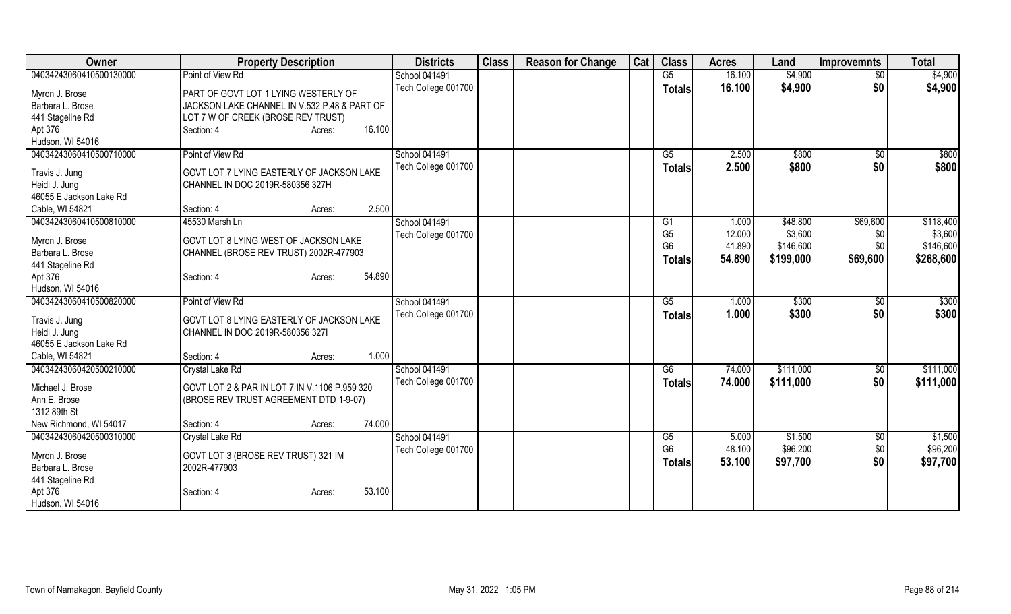| Owner                           | <b>Property Description</b>                   | <b>Districts</b>    | <b>Class</b> | <b>Reason for Change</b> | Cat | <b>Class</b>   | <b>Acres</b> | Land      | Improvemnts     | <b>Total</b> |
|---------------------------------|-----------------------------------------------|---------------------|--------------|--------------------------|-----|----------------|--------------|-----------|-----------------|--------------|
| 04034243060410500130000         | Point of View Rd                              | School 041491       |              |                          |     | G5             | 16.100       | \$4,900   | $\overline{50}$ | \$4,900      |
| Myron J. Brose                  | PART OF GOVT LOT 1 LYING WESTERLY OF          | Tech College 001700 |              |                          |     | <b>Totals</b>  | 16.100       | \$4,900   | \$0             | \$4,900      |
| Barbara L. Brose                | JACKSON LAKE CHANNEL IN V.532 P.48 & PART OF  |                     |              |                          |     |                |              |           |                 |              |
| 441 Stageline Rd                | LOT 7 W OF CREEK (BROSE REV TRUST)            |                     |              |                          |     |                |              |           |                 |              |
| Apt 376                         | 16.100<br>Section: 4<br>Acres:                |                     |              |                          |     |                |              |           |                 |              |
| Hudson, WI 54016                |                                               |                     |              |                          |     |                |              |           |                 |              |
| 04034243060410500710000         | Point of View Rd                              | School 041491       |              |                          |     | G5             | 2.500        | \$800     | \$0             | \$800        |
|                                 | GOVT LOT 7 LYING EASTERLY OF JACKSON LAKE     | Tech College 001700 |              |                          |     | <b>Totals</b>  | 2.500        | \$800     | \$0             | \$800        |
| Travis J. Jung<br>Heidi J. Jung | CHANNEL IN DOC 2019R-580356 327H              |                     |              |                          |     |                |              |           |                 |              |
| 46055 E Jackson Lake Rd         |                                               |                     |              |                          |     |                |              |           |                 |              |
| Cable, WI 54821                 | 2.500<br>Section: 4<br>Acres:                 |                     |              |                          |     |                |              |           |                 |              |
| 04034243060410500810000         | 45530 Marsh Ln                                | School 041491       |              |                          |     | G <sub>1</sub> | 1.000        | \$48,800  | \$69,600        | \$118,400    |
|                                 |                                               | Tech College 001700 |              |                          |     | G <sub>5</sub> | 12.000       | \$3,600   | \$0             | \$3,600      |
| Myron J. Brose                  | GOVT LOT 8 LYING WEST OF JACKSON LAKE         |                     |              |                          |     | G <sub>6</sub> | 41.890       | \$146,600 | \$0             | \$146,600    |
| Barbara L. Brose                | CHANNEL (BROSE REV TRUST) 2002R-477903        |                     |              |                          |     | <b>Totals</b>  | 54.890       | \$199,000 | \$69,600        | \$268,600    |
| 441 Stageline Rd                |                                               |                     |              |                          |     |                |              |           |                 |              |
| Apt 376                         | 54.890<br>Section: 4<br>Acres:                |                     |              |                          |     |                |              |           |                 |              |
| Hudson, WI 54016                |                                               |                     |              |                          |     |                |              |           |                 |              |
| 04034243060410500820000         | Point of View Rd                              | School 041491       |              |                          |     | G5             | 1.000        | \$300     | \$0             | \$300        |
| Travis J. Jung                  | GOVT LOT 8 LYING EASTERLY OF JACKSON LAKE     | Tech College 001700 |              |                          |     | <b>Totals</b>  | 1.000        | \$300     | \$0             | \$300        |
| Heidi J. Jung                   | CHANNEL IN DOC 2019R-580356 3271              |                     |              |                          |     |                |              |           |                 |              |
| 46055 E Jackson Lake Rd         |                                               |                     |              |                          |     |                |              |           |                 |              |
| Cable, WI 54821                 | 1.000<br>Section: 4<br>Acres:                 |                     |              |                          |     |                |              |           |                 |              |
| 04034243060420500210000         | Crystal Lake Rd                               | School 041491       |              |                          |     | G6             | 74.000       | \$111,000 | $\sqrt[6]{3}$   | \$111,000    |
| Michael J. Brose                | GOVT LOT 2 & PAR IN LOT 7 IN V.1106 P.959 320 | Tech College 001700 |              |                          |     | <b>Totals</b>  | 74.000       | \$111,000 | \$0             | \$111,000    |
| Ann E. Brose                    | (BROSE REV TRUST AGREEMENT DTD 1-9-07)        |                     |              |                          |     |                |              |           |                 |              |
| 1312 89th St                    |                                               |                     |              |                          |     |                |              |           |                 |              |
| New Richmond, WI 54017          | 74.000<br>Section: 4<br>Acres:                |                     |              |                          |     |                |              |           |                 |              |
| 04034243060420500310000         | Crystal Lake Rd                               | School 041491       |              |                          |     | G5             | 5.000        | \$1,500   | \$0             | \$1,500      |
|                                 |                                               | Tech College 001700 |              |                          |     | G <sub>6</sub> | 48.100       | \$96,200  | \$0             | \$96,200     |
| Myron J. Brose                  | GOVT LOT 3 (BROSE REV TRUST) 321 IM           |                     |              |                          |     | <b>Totals</b>  | 53.100       | \$97,700  | \$0             | \$97,700     |
| Barbara L. Brose                | 2002R-477903                                  |                     |              |                          |     |                |              |           |                 |              |
| 441 Stageline Rd                |                                               |                     |              |                          |     |                |              |           |                 |              |
| Apt 376<br>Hudson, WI 54016     | 53.100<br>Section: 4<br>Acres:                |                     |              |                          |     |                |              |           |                 |              |
|                                 |                                               |                     |              |                          |     |                |              |           |                 |              |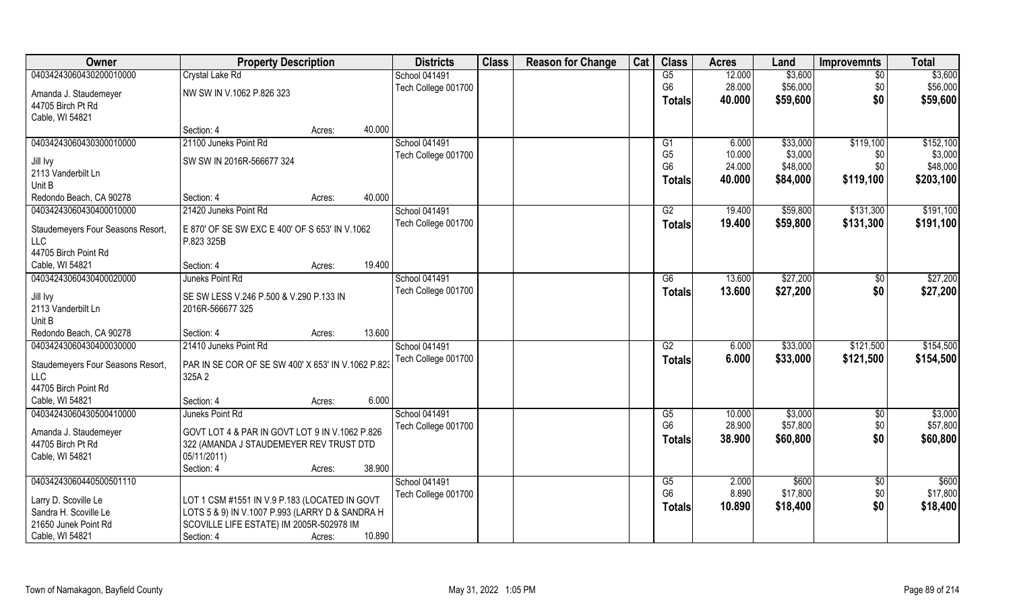| Owner                             | <b>Property Description</b>                            | <b>Districts</b> | <b>Class</b>         | <b>Reason for Change</b> | Cat | <b>Class</b> | <b>Acres</b>    | Land   | <b>Improvemnts</b> | <b>Total</b>    |           |
|-----------------------------------|--------------------------------------------------------|------------------|----------------------|--------------------------|-----|--------------|-----------------|--------|--------------------|-----------------|-----------|
| 04034243060430200010000           | Crystal Lake Rd                                        |                  | <b>School 041491</b> |                          |     |              | G5              | 12.000 | \$3,600            | $\overline{30}$ | \$3,600   |
| Amanda J. Staudemeyer             | NW SW IN V.1062 P.826 323                              |                  | Tech College 001700  |                          |     |              | G <sub>6</sub>  | 28.000 | \$56,000           | \$0             | \$56,000  |
| 44705 Birch Pt Rd                 |                                                        |                  |                      |                          |     |              | <b>Totals</b>   | 40.000 | \$59,600           | \$0             | \$59,600  |
| Cable, WI 54821                   |                                                        |                  |                      |                          |     |              |                 |        |                    |                 |           |
|                                   | Section: 4                                             | 40.000<br>Acres: |                      |                          |     |              |                 |        |                    |                 |           |
| 04034243060430300010000           | 21100 Juneks Point Rd                                  |                  | School 041491        |                          |     |              | G1              | 6.000  | \$33,000           | \$119,100       | \$152,100 |
| Jill Ivy                          | SW SW IN 2016R-566677 324                              |                  | Tech College 001700  |                          |     |              | G <sub>5</sub>  | 10.000 | \$3,000            | \$0             | \$3,000   |
| 2113 Vanderbilt Ln                |                                                        |                  |                      |                          |     |              | G <sub>6</sub>  | 24.000 | \$48,000           | \$0             | \$48,000  |
| Unit B                            |                                                        |                  |                      |                          |     |              | <b>Totals</b>   | 40.000 | \$84,000           | \$119,100       | \$203,100 |
| Redondo Beach, CA 90278           | Section: 4                                             | 40.000<br>Acres: |                      |                          |     |              |                 |        |                    |                 |           |
| 04034243060430400010000           | 21420 Juneks Point Rd                                  |                  | <b>School 041491</b> |                          |     |              | G2              | 19.400 | \$59,800           | \$131,300       | \$191,100 |
|                                   |                                                        |                  | Tech College 001700  |                          |     |              | <b>Totals</b>   | 19.400 | \$59,800           | \$131,300       | \$191,100 |
| Staudemeyers Four Seasons Resort, | E 870' OF SE SW EXC E 400' OF S 653' IN V.1062         |                  |                      |                          |     |              |                 |        |                    |                 |           |
| <b>LLC</b>                        | P.823 325B                                             |                  |                      |                          |     |              |                 |        |                    |                 |           |
| 44705 Birch Point Rd              |                                                        |                  |                      |                          |     |              |                 |        |                    |                 |           |
| Cable, WI 54821                   | Section: 4                                             | 19.400<br>Acres: |                      |                          |     |              |                 |        |                    |                 |           |
| 04034243060430400020000           | Juneks Point Rd                                        |                  | <b>School 041491</b> |                          |     |              | G6              | 13.600 | \$27,200           | \$0             | \$27,200  |
| Jill Ivy                          | SE SW LESS V.246 P.500 & V.290 P.133 IN                |                  | Tech College 001700  |                          |     |              | <b>Totals</b>   | 13.600 | \$27,200           | \$0             | \$27,200  |
| 2113 Vanderbilt Ln                | 2016R-566677 325                                       |                  |                      |                          |     |              |                 |        |                    |                 |           |
| Unit B                            |                                                        |                  |                      |                          |     |              |                 |        |                    |                 |           |
| Redondo Beach, CA 90278           | Section: 4                                             | 13.600<br>Acres: |                      |                          |     |              |                 |        |                    |                 |           |
| 04034243060430400030000           | 21410 Juneks Point Rd                                  |                  | <b>School 041491</b> |                          |     |              | $\overline{G2}$ | 6.000  | \$33,000           | \$121,500       | \$154,500 |
| Staudemeyers Four Seasons Resort, | PAR IN SE COR OF SE SW 400' X 653' IN V.1062 P.823     |                  | Tech College 001700  |                          |     |              | <b>Totals</b>   | 6.000  | \$33,000           | \$121,500       | \$154,500 |
| <b>LLC</b>                        | 325A 2                                                 |                  |                      |                          |     |              |                 |        |                    |                 |           |
| 44705 Birch Point Rd              |                                                        |                  |                      |                          |     |              |                 |        |                    |                 |           |
| Cable, WI 54821                   | Section: 4                                             | 6.000<br>Acres:  |                      |                          |     |              |                 |        |                    |                 |           |
| 04034243060430500410000           | Juneks Point Rd                                        |                  | School 041491        |                          |     |              | G5              | 10.000 | \$3,000            | \$0             | \$3,000   |
|                                   |                                                        |                  | Tech College 001700  |                          |     |              | G <sub>6</sub>  | 28.900 | \$57,800           | \$0             | \$57,800  |
| Amanda J. Staudemeyer             | GOVT LOT 4 & PAR IN GOVT LOT 9 IN V.1062 P.826         |                  |                      |                          |     |              | Totals          | 38.900 | \$60,800           | \$0             | \$60,800  |
| 44705 Birch Pt Rd                 | 322 (AMANDA J STAUDEMEYER REV TRUST DTD<br>05/11/2011) |                  |                      |                          |     |              |                 |        |                    |                 |           |
| Cable, WI 54821                   | Section: 4                                             | 38.900           |                      |                          |     |              |                 |        |                    |                 |           |
| 04034243060440500501110           |                                                        | Acres:           | School 041491        |                          |     |              | G5              | 2.000  | \$600              | \$0             | \$600     |
|                                   |                                                        |                  | Tech College 001700  |                          |     |              | G <sub>6</sub>  | 8.890  | \$17,800           | \$0             | \$17,800  |
| Larry D. Scoville Le              | LOT 1 CSM #1551 IN V.9 P.183 (LOCATED IN GOVT          |                  |                      |                          |     |              |                 | 10.890 | \$18,400           | \$0             | \$18,400  |
| Sandra H. Scoville Le             | LOTS 5 & 9) IN V.1007 P.993 (LARRY D & SANDRA H        |                  |                      |                          |     |              | <b>Totals</b>   |        |                    |                 |           |
| 21650 Junek Point Rd              | SCOVILLE LIFE ESTATE) IM 2005R-502978 IM               |                  |                      |                          |     |              |                 |        |                    |                 |           |
| Cable, WI 54821                   | Section: 4                                             | 10.890<br>Acres: |                      |                          |     |              |                 |        |                    |                 |           |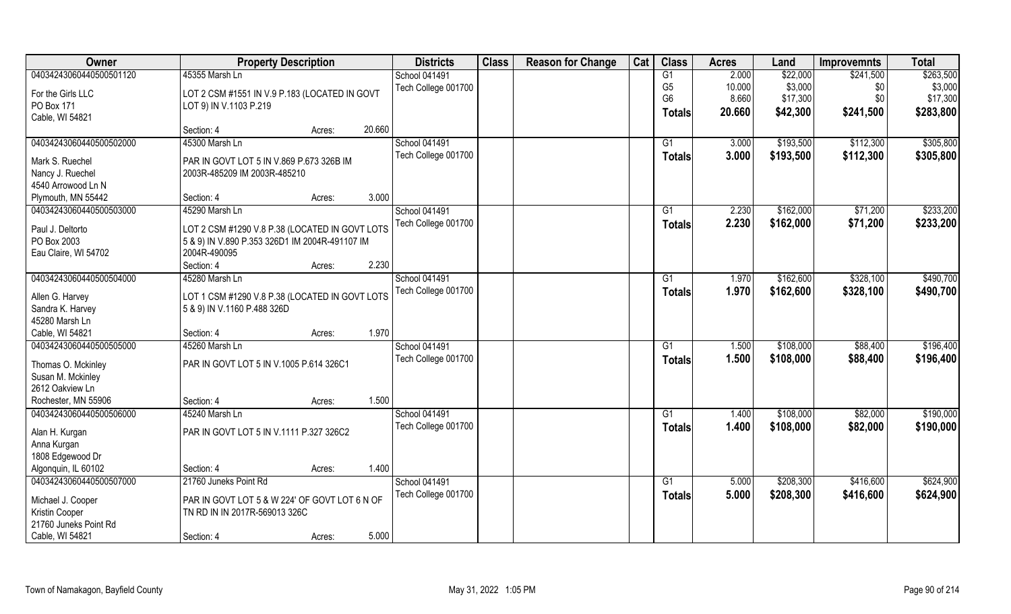| <b>Owner</b>                       | <b>Property Description</b>                    |        |        | <b>Districts</b>     | <b>Class</b> | <b>Reason for Change</b> | Cat | <b>Class</b>    | <b>Acres</b> | Land      | <b>Improvemnts</b> | <b>Total</b> |
|------------------------------------|------------------------------------------------|--------|--------|----------------------|--------------|--------------------------|-----|-----------------|--------------|-----------|--------------------|--------------|
| 04034243060440500501120            | 45355 Marsh Ln                                 |        |        | <b>School 041491</b> |              |                          |     | G1              | 2.000        | \$22,000  | \$241,500          | \$263,500    |
| For the Girls LLC                  | LOT 2 CSM #1551 IN V.9 P.183 (LOCATED IN GOVT  |        |        | Tech College 001700  |              |                          |     | G <sub>5</sub>  | 10.000       | \$3,000   | \$0                | \$3,000      |
| PO Box 171                         | LOT 9) IN V.1103 P.219                         |        |        |                      |              |                          |     | G <sub>6</sub>  | 8.660        | \$17,300  | \$0                | \$17,300     |
| Cable, WI 54821                    |                                                |        |        |                      |              |                          |     | Totals          | 20.660       | \$42,300  | \$241,500          | \$283,800    |
|                                    | Section: 4                                     | Acres: | 20.660 |                      |              |                          |     |                 |              |           |                    |              |
| 04034243060440500502000            | 45300 Marsh Ln                                 |        |        | <b>School 041491</b> |              |                          |     | G1              | 3.000        | \$193,500 | \$112,300          | \$305,800    |
| Mark S. Ruechel                    | PAR IN GOVT LOT 5 IN V.869 P.673 326B IM       |        |        | Tech College 001700  |              |                          |     | Totals          | 3.000        | \$193,500 | \$112,300          | \$305,800    |
| Nancy J. Ruechel                   | 2003R-485209 IM 2003R-485210                   |        |        |                      |              |                          |     |                 |              |           |                    |              |
| 4540 Arrowood Ln N                 |                                                |        |        |                      |              |                          |     |                 |              |           |                    |              |
| Plymouth, MN 55442                 | Section: 4                                     | Acres: | 3.000  |                      |              |                          |     |                 |              |           |                    |              |
| 04034243060440500503000            | 45290 Marsh Ln                                 |        |        | <b>School 041491</b> |              |                          |     | G1              | 2.230        | \$162,000 | \$71,200           | \$233,200    |
| Paul J. Deltorto                   | LOT 2 CSM #1290 V.8 P.38 (LOCATED IN GOVT LOTS |        |        | Tech College 001700  |              |                          |     | <b>Totals</b>   | 2.230        | \$162,000 | \$71,200           | \$233,200    |
| PO Box 2003                        | 5 & 9) IN V.890 P.353 326D1 IM 2004R-491107 IM |        |        |                      |              |                          |     |                 |              |           |                    |              |
| Eau Claire, WI 54702               | 2004R-490095                                   |        |        |                      |              |                          |     |                 |              |           |                    |              |
|                                    | Section: 4                                     | Acres: | 2.230  |                      |              |                          |     |                 |              |           |                    |              |
| 04034243060440500504000            | 45280 Marsh Ln                                 |        |        | <b>School 041491</b> |              |                          |     | G1              | 1.970        | \$162,600 | \$328,100          | \$490,700    |
|                                    |                                                |        |        | Tech College 001700  |              |                          |     | <b>Totals</b>   | 1.970        | \$162,600 | \$328,100          | \$490,700    |
| Allen G. Harvey                    | LOT 1 CSM #1290 V.8 P.38 (LOCATED IN GOVT LOTS |        |        |                      |              |                          |     |                 |              |           |                    |              |
| Sandra K. Harvey<br>45280 Marsh Ln | 5 & 9) IN V.1160 P.488 326D                    |        |        |                      |              |                          |     |                 |              |           |                    |              |
| Cable, WI 54821                    | Section: 4                                     |        | 1.970  |                      |              |                          |     |                 |              |           |                    |              |
| 04034243060440500505000            | 45260 Marsh Ln                                 | Acres: |        | School 041491        |              |                          |     | $\overline{G1}$ | 1.500        | \$108,000 | \$88,400           | \$196,400    |
|                                    |                                                |        |        | Tech College 001700  |              |                          |     |                 | 1.500        | \$108,000 | \$88,400           | \$196,400    |
| Thomas O. Mckinley                 | PAR IN GOVT LOT 5 IN V.1005 P.614 326C1        |        |        |                      |              |                          |     | <b>Totals</b>   |              |           |                    |              |
| Susan M. Mckinley                  |                                                |        |        |                      |              |                          |     |                 |              |           |                    |              |
| 2612 Oakview Ln                    |                                                |        |        |                      |              |                          |     |                 |              |           |                    |              |
| Rochester, MN 55906                | Section: 4                                     | Acres: | 1.500  |                      |              |                          |     |                 |              |           |                    |              |
| 04034243060440500506000            | 45240 Marsh Ln                                 |        |        | <b>School 041491</b> |              |                          |     | G1              | 1.400        | \$108,000 | \$82,000           | \$190,000    |
| Alan H. Kurgan                     | PAR IN GOVT LOT 5 IN V.1111 P.327 326C2        |        |        | Tech College 001700  |              |                          |     | <b>Totals</b>   | 1.400        | \$108,000 | \$82,000           | \$190,000    |
| Anna Kurgan                        |                                                |        |        |                      |              |                          |     |                 |              |           |                    |              |
| 1808 Edgewood Dr                   |                                                |        |        |                      |              |                          |     |                 |              |           |                    |              |
| Algonquin, IL 60102                | Section: 4                                     | Acres: | 1.400  |                      |              |                          |     |                 |              |           |                    |              |
| 04034243060440500507000            | 21760 Juneks Point Rd                          |        |        | School 041491        |              |                          |     | G1              | 5.000        | \$208,300 | \$416,600          | \$624,900    |
| Michael J. Cooper                  | PAR IN GOVT LOT 5 & W 224' OF GOVT LOT 6 N OF  |        |        | Tech College 001700  |              |                          |     | Totals          | 5.000        | \$208,300 | \$416,600          | \$624,900    |
| Kristin Cooper                     | TN RD IN IN 2017R-569013 326C                  |        |        |                      |              |                          |     |                 |              |           |                    |              |
| 21760 Juneks Point Rd              |                                                |        |        |                      |              |                          |     |                 |              |           |                    |              |
| Cable, WI 54821                    | Section: 4                                     | Acres: | 5.000  |                      |              |                          |     |                 |              |           |                    |              |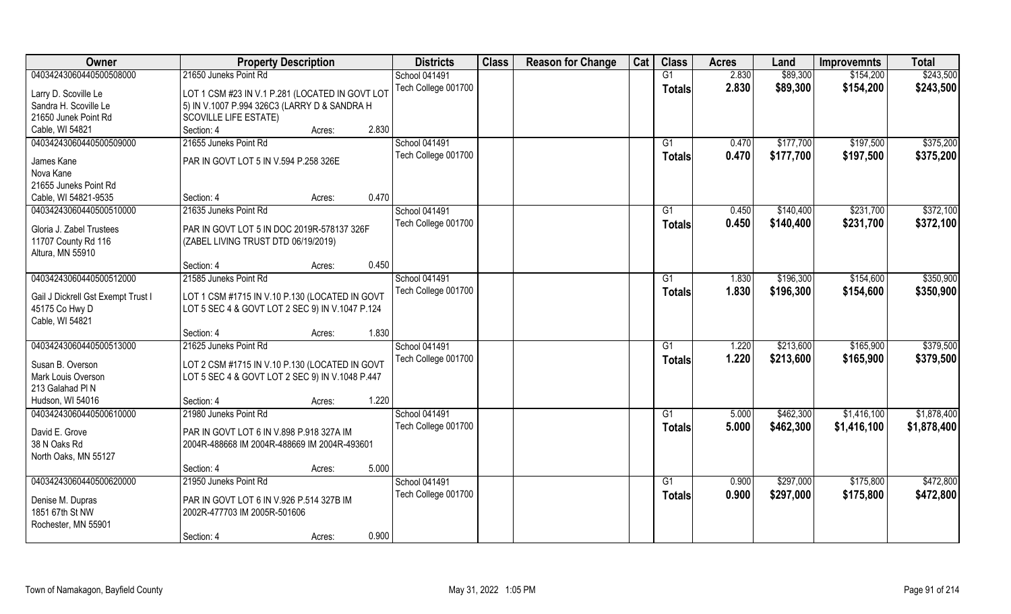| Owner                               | <b>Property Description</b>                     | <b>Districts</b>     | <b>Class</b> | <b>Reason for Change</b> | Cat | <b>Class</b>    | <b>Acres</b> | Land      | <b>Improvemnts</b> | <b>Total</b> |
|-------------------------------------|-------------------------------------------------|----------------------|--------------|--------------------------|-----|-----------------|--------------|-----------|--------------------|--------------|
| 04034243060440500508000             | 21650 Juneks Point Rd                           | <b>School 041491</b> |              |                          |     | G1              | 2.830        | \$89,300  | \$154,200          | \$243,500    |
| Larry D. Scoville Le                | LOT 1 CSM #23 IN V.1 P.281 (LOCATED IN GOVT LOT | Tech College 001700  |              |                          |     | <b>Totals</b>   | 2.830        | \$89,300  | \$154,200          | \$243,500    |
| Sandra H. Scoville Le               | 5) IN V.1007 P.994 326C3 (LARRY D & SANDRA H    |                      |              |                          |     |                 |              |           |                    |              |
| 21650 Junek Point Rd                | <b>SCOVILLE LIFE ESTATE)</b>                    |                      |              |                          |     |                 |              |           |                    |              |
| Cable, WI 54821                     | Section: 4<br>Acres:                            | 2.830                |              |                          |     |                 |              |           |                    |              |
| 04034243060440500509000             | 21655 Juneks Point Rd                           | <b>School 041491</b> |              |                          |     | G1              | 0.470        | \$177,700 | \$197,500          | \$375,200    |
| James Kane                          | PAR IN GOVT LOT 5 IN V.594 P.258 326E           | Tech College 001700  |              |                          |     | <b>Totals</b>   | 0.470        | \$177,700 | \$197,500          | \$375,200    |
| Nova Kane                           |                                                 |                      |              |                          |     |                 |              |           |                    |              |
| 21655 Juneks Point Rd               |                                                 |                      |              |                          |     |                 |              |           |                    |              |
| Cable, WI 54821-9535                | Section: 4<br>Acres:                            | 0.470                |              |                          |     |                 |              |           |                    |              |
| 04034243060440500510000             | 21635 Juneks Point Rd                           | School 041491        |              |                          |     | G1              | 0.450        | \$140,400 | \$231,700          | \$372,100    |
|                                     |                                                 | Tech College 001700  |              |                          |     | <b>Totals</b>   | 0.450        | \$140,400 | \$231,700          | \$372,100    |
| Gloria J. Zabel Trustees            | PAR IN GOVT LOT 5 IN DOC 2019R-578137 326F      |                      |              |                          |     |                 |              |           |                    |              |
| 11707 County Rd 116                 | (ZABEL LIVING TRUST DTD 06/19/2019)             |                      |              |                          |     |                 |              |           |                    |              |
| Altura, MN 55910                    |                                                 |                      |              |                          |     |                 |              |           |                    |              |
|                                     | Section: 4<br>Acres:                            | 0.450                |              |                          |     |                 |              |           |                    |              |
| 04034243060440500512000             | 21585 Juneks Point Rd                           | School 041491        |              |                          |     | G <sub>1</sub>  | 1.830        | \$196,300 | \$154,600          | \$350,900    |
| Gail J Dickrell Gst Exempt Trust I  | LOT 1 CSM #1715 IN V.10 P.130 (LOCATED IN GOVT  | Tech College 001700  |              |                          |     | <b>Totals</b>   | 1.830        | \$196,300 | \$154,600          | \$350,900    |
| 45175 Co Hwy D                      | LOT 5 SEC 4 & GOVT LOT 2 SEC 9) IN V.1047 P.124 |                      |              |                          |     |                 |              |           |                    |              |
| Cable, WI 54821                     |                                                 |                      |              |                          |     |                 |              |           |                    |              |
|                                     | Section: 4<br>Acres:                            | 1.830                |              |                          |     |                 |              |           |                    |              |
| 04034243060440500513000             | 21625 Juneks Point Rd                           | School 041491        |              |                          |     | G1              | 1.220        | \$213,600 | \$165,900          | \$379,500    |
|                                     |                                                 | Tech College 001700  |              |                          |     | <b>Totals</b>   | 1.220        | \$213,600 | \$165,900          | \$379,500    |
| Susan B. Overson                    | LOT 2 CSM #1715 IN V.10 P.130 (LOCATED IN GOVT  |                      |              |                          |     |                 |              |           |                    |              |
| Mark Louis Overson                  | LOT 5 SEC 4 & GOVT LOT 2 SEC 9) IN V.1048 P.447 |                      |              |                          |     |                 |              |           |                    |              |
| 213 Galahad PIN                     |                                                 |                      |              |                          |     |                 |              |           |                    |              |
| Hudson, WI 54016                    | Section: 4<br>Acres:                            | 1.220                |              |                          |     |                 |              |           |                    |              |
| 04034243060440500610000             | 21980 Juneks Point Rd                           | School 041491        |              |                          |     | G1              | 5.000        | \$462,300 | \$1,416,100        | \$1,878,400  |
| David E. Grove                      | PAR IN GOVT LOT 6 IN V.898 P.918 327A IM        | Tech College 001700  |              |                          |     | <b>Totals</b>   | 5.000        | \$462,300 | \$1,416,100        | \$1,878,400  |
| 38 N Oaks Rd                        | 2004R-488668 IM 2004R-488669 IM 2004R-493601    |                      |              |                          |     |                 |              |           |                    |              |
| North Oaks, MN 55127                |                                                 |                      |              |                          |     |                 |              |           |                    |              |
|                                     | Section: 4<br>Acres:                            | 5.000                |              |                          |     |                 |              |           |                    |              |
| 04034243060440500620000             | 21950 Juneks Point Rd                           | School 041491        |              |                          |     | $\overline{G1}$ | 0.900        | \$297,000 | \$175,800          | \$472,800    |
|                                     |                                                 | Tech College 001700  |              |                          |     | <b>Totals</b>   | 0.900        | \$297,000 | \$175,800          | \$472,800    |
| Denise M. Dupras<br>1851 67th St NW | PAR IN GOVT LOT 6 IN V.926 P.514 327B IM        |                      |              |                          |     |                 |              |           |                    |              |
|                                     | 2002R-477703 IM 2005R-501606                    |                      |              |                          |     |                 |              |           |                    |              |
| Rochester, MN 55901                 | Section: 4                                      | 0.900                |              |                          |     |                 |              |           |                    |              |
|                                     | Acres:                                          |                      |              |                          |     |                 |              |           |                    |              |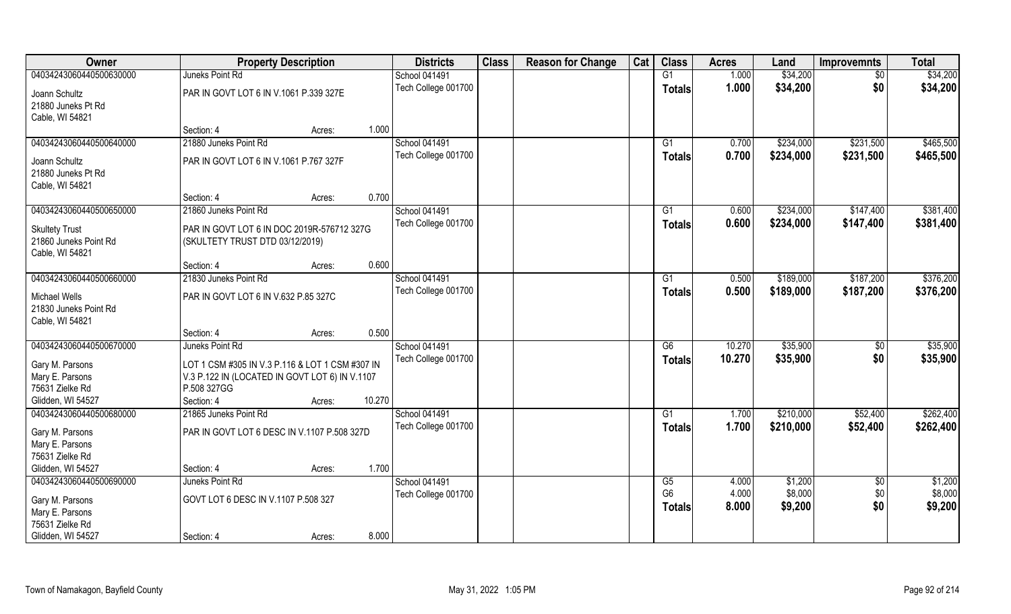| Owner                   | <b>Property Description</b>                     |                  | <b>Districts</b>    | <b>Class</b> | <b>Reason for Change</b> | Cat | <b>Class</b>    | <b>Acres</b> | Land      | <b>Improvemnts</b> | <b>Total</b> |
|-------------------------|-------------------------------------------------|------------------|---------------------|--------------|--------------------------|-----|-----------------|--------------|-----------|--------------------|--------------|
| 04034243060440500630000 | Juneks Point Rd                                 |                  | School 041491       |              |                          |     | G1              | 1.000        | \$34,200  | \$0                | \$34,200     |
| Joann Schultz           | PAR IN GOVT LOT 6 IN V.1061 P.339 327E          |                  | Tech College 001700 |              |                          |     | <b>Totals</b>   | 1.000        | \$34,200  | \$0                | \$34,200     |
| 21880 Juneks Pt Rd      |                                                 |                  |                     |              |                          |     |                 |              |           |                    |              |
| Cable, WI 54821         |                                                 |                  |                     |              |                          |     |                 |              |           |                    |              |
|                         | Section: 4                                      | 1.000<br>Acres:  |                     |              |                          |     |                 |              |           |                    |              |
| 04034243060440500640000 | 21880 Juneks Point Rd                           |                  | School 041491       |              |                          |     | G <sub>1</sub>  | 0.700        | \$234,000 | \$231,500          | \$465,500    |
| Joann Schultz           | PAR IN GOVT LOT 6 IN V.1061 P.767 327F          |                  | Tech College 001700 |              |                          |     | <b>Totals</b>   | 0.700        | \$234,000 | \$231,500          | \$465,500    |
| 21880 Juneks Pt Rd      |                                                 |                  |                     |              |                          |     |                 |              |           |                    |              |
| Cable, WI 54821         |                                                 |                  |                     |              |                          |     |                 |              |           |                    |              |
|                         | Section: 4                                      | 0.700<br>Acres:  |                     |              |                          |     |                 |              |           |                    |              |
| 04034243060440500650000 | 21860 Juneks Point Rd                           |                  | School 041491       |              |                          |     | G1              | 0.600        | \$234,000 | \$147,400          | \$381,400    |
| <b>Skultety Trust</b>   | PAR IN GOVT LOT 6 IN DOC 2019R-576712 327G      |                  | Tech College 001700 |              |                          |     | <b>Totals</b>   | 0.600        | \$234,000 | \$147,400          | \$381,400    |
| 21860 Juneks Point Rd   | (SKULTETY TRUST DTD 03/12/2019)                 |                  |                     |              |                          |     |                 |              |           |                    |              |
| Cable, WI 54821         |                                                 |                  |                     |              |                          |     |                 |              |           |                    |              |
|                         | Section: 4                                      | 0.600<br>Acres:  |                     |              |                          |     |                 |              |           |                    |              |
| 04034243060440500660000 | 21830 Juneks Point Rd                           |                  | School 041491       |              |                          |     | G1              | 0.500        | \$189,000 | \$187,200          | \$376,200    |
| Michael Wells           | PAR IN GOVT LOT 6 IN V.632 P.85 327C            |                  | Tech College 001700 |              |                          |     | <b>Totals</b>   | 0.500        | \$189,000 | \$187,200          | \$376,200    |
| 21830 Juneks Point Rd   |                                                 |                  |                     |              |                          |     |                 |              |           |                    |              |
| Cable, WI 54821         |                                                 |                  |                     |              |                          |     |                 |              |           |                    |              |
|                         | Section: 4                                      | 0.500<br>Acres:  |                     |              |                          |     |                 |              |           |                    |              |
| 04034243060440500670000 | Juneks Point Rd                                 |                  | School 041491       |              |                          |     | $\overline{G6}$ | 10.270       | \$35,900  | \$0                | \$35,900     |
| Gary M. Parsons         | LOT 1 CSM #305 IN V.3 P.116 & LOT 1 CSM #307 IN |                  | Tech College 001700 |              |                          |     | <b>Totals</b>   | 10.270       | \$35,900  | \$0                | \$35,900     |
| Mary E. Parsons         | V.3 P.122 IN (LOCATED IN GOVT LOT 6) IN V.1107  |                  |                     |              |                          |     |                 |              |           |                    |              |
| 75631 Zielke Rd         | P.508 327GG                                     |                  |                     |              |                          |     |                 |              |           |                    |              |
| Glidden, WI 54527       | Section: 4                                      | 10.270<br>Acres: |                     |              |                          |     |                 |              |           |                    |              |
| 04034243060440500680000 | 21865 Juneks Point Rd                           |                  | School 041491       |              |                          |     | $\overline{G1}$ | 1.700        | \$210,000 | \$52,400           | \$262,400    |
| Gary M. Parsons         | PAR IN GOVT LOT 6 DESC IN V.1107 P.508 327D     |                  | Tech College 001700 |              |                          |     | <b>Totals</b>   | 1.700        | \$210,000 | \$52,400           | \$262,400    |
| Mary E. Parsons         |                                                 |                  |                     |              |                          |     |                 |              |           |                    |              |
| 75631 Zielke Rd         |                                                 |                  |                     |              |                          |     |                 |              |           |                    |              |
| Glidden, WI 54527       | Section: 4                                      | 1.700<br>Acres:  |                     |              |                          |     |                 |              |           |                    |              |
| 04034243060440500690000 | Juneks Point Rd                                 |                  | School 041491       |              |                          |     | G5              | 4.000        | \$1,200   | $\overline{60}$    | \$1,200      |
| Gary M. Parsons         | GOVT LOT 6 DESC IN V.1107 P.508 327             |                  | Tech College 001700 |              |                          |     | G <sub>6</sub>  | 4.000        | \$8,000   | \$0                | \$8,000      |
| Mary E. Parsons         |                                                 |                  |                     |              |                          |     | <b>Totals</b>   | 8.000        | \$9,200   | \$0                | \$9,200      |
| 75631 Zielke Rd         |                                                 |                  |                     |              |                          |     |                 |              |           |                    |              |
| Glidden, WI 54527       | Section: 4                                      | 8.000<br>Acres:  |                     |              |                          |     |                 |              |           |                    |              |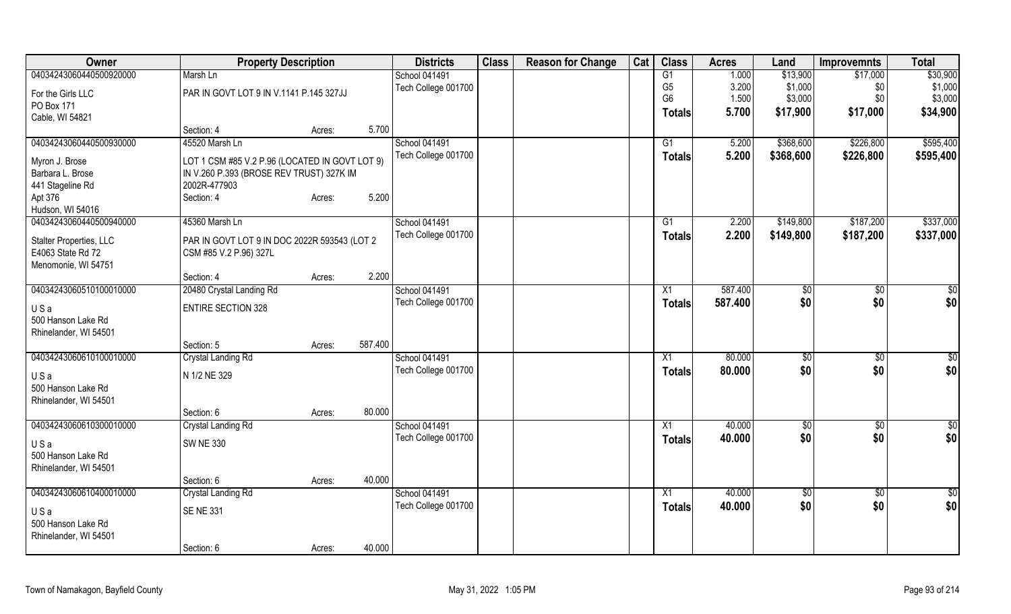| Owner                   | <b>Property Description</b>                    |        |         | <b>Districts</b>    | <b>Class</b> | <b>Reason for Change</b> | Cat | <b>Class</b>    | <b>Acres</b> | Land          | <b>Improvemnts</b> | <b>Total</b>    |
|-------------------------|------------------------------------------------|--------|---------|---------------------|--------------|--------------------------|-----|-----------------|--------------|---------------|--------------------|-----------------|
| 04034243060440500920000 | Marsh Ln                                       |        |         | School 041491       |              |                          |     | G1              | 1.000        | \$13,900      | \$17,000           | \$30,900        |
| For the Girls LLC       | PAR IN GOVT LOT 9 IN V.1141 P.145 327JJ        |        |         | Tech College 001700 |              |                          |     | G <sub>5</sub>  | 3.200        | \$1,000       | \$0                | \$1,000         |
| PO Box 171              |                                                |        |         |                     |              |                          |     | G <sub>6</sub>  | 1.500        | \$3,000       | \$0                | \$3,000         |
| Cable, WI 54821         |                                                |        |         |                     |              |                          |     | <b>Totals</b>   | 5.700        | \$17,900      | \$17,000           | \$34,900        |
|                         | Section: 4                                     | Acres: | 5.700   |                     |              |                          |     |                 |              |               |                    |                 |
| 04034243060440500930000 | 45520 Marsh Ln                                 |        |         | School 041491       |              |                          |     | G1              | 5.200        | \$368,600     | \$226,800          | \$595,400       |
| Myron J. Brose          | LOT 1 CSM #85 V.2 P.96 (LOCATED IN GOVT LOT 9) |        |         | Tech College 001700 |              |                          |     | <b>Totals</b>   | 5.200        | \$368,600     | \$226,800          | \$595,400       |
| Barbara L. Brose        | IN V.260 P.393 (BROSE REV TRUST) 327K IM       |        |         |                     |              |                          |     |                 |              |               |                    |                 |
| 441 Stageline Rd        | 2002R-477903                                   |        |         |                     |              |                          |     |                 |              |               |                    |                 |
| Apt 376                 | Section: 4                                     | Acres: | 5.200   |                     |              |                          |     |                 |              |               |                    |                 |
| Hudson, WI 54016        |                                                |        |         |                     |              |                          |     |                 |              |               |                    |                 |
| 04034243060440500940000 | 45360 Marsh Ln                                 |        |         | School 041491       |              |                          |     | G1              | 2.200        | \$149,800     | \$187,200          | \$337,000       |
|                         |                                                |        |         | Tech College 001700 |              |                          |     | <b>Totals</b>   | 2.200        | \$149,800     | \$187,200          | \$337,000       |
| Stalter Properties, LLC | PAR IN GOVT LOT 9 IN DOC 2022R 593543 (LOT 2   |        |         |                     |              |                          |     |                 |              |               |                    |                 |
| E4063 State Rd 72       | CSM #85 V.2 P.96) 327L                         |        |         |                     |              |                          |     |                 |              |               |                    |                 |
| Menomonie, WI 54751     |                                                |        |         |                     |              |                          |     |                 |              |               |                    |                 |
|                         | Section: 4                                     | Acres: | 2.200   |                     |              |                          |     |                 |              |               |                    |                 |
| 04034243060510100010000 | 20480 Crystal Landing Rd                       |        |         | School 041491       |              |                          |     | X1              | 587.400      | $\frac{6}{3}$ | \$0                | \$0             |
| USa                     | <b>ENTIRE SECTION 328</b>                      |        |         | Tech College 001700 |              |                          |     | <b>Totals</b>   | 587.400      | \$0           | \$0                | \$0             |
| 500 Hanson Lake Rd      |                                                |        |         |                     |              |                          |     |                 |              |               |                    |                 |
| Rhinelander, WI 54501   |                                                |        |         |                     |              |                          |     |                 |              |               |                    |                 |
|                         | Section: 5                                     | Acres: | 587.400 |                     |              |                          |     |                 |              |               |                    |                 |
| 04034243060610100010000 | <b>Crystal Landing Rd</b>                      |        |         | School 041491       |              |                          |     | X1              | 80.000       | \$0           | $\sqrt[6]{3}$      | $\frac{6}{3}$   |
| USa                     | N 1/2 NE 329                                   |        |         | Tech College 001700 |              |                          |     | Totals          | 80.000       | \$0           | \$0                | \$0             |
| 500 Hanson Lake Rd      |                                                |        |         |                     |              |                          |     |                 |              |               |                    |                 |
| Rhinelander, WI 54501   |                                                |        |         |                     |              |                          |     |                 |              |               |                    |                 |
|                         | Section: 6                                     | Acres: | 80.000  |                     |              |                          |     |                 |              |               |                    |                 |
| 04034243060610300010000 | <b>Crystal Landing Rd</b>                      |        |         | School 041491       |              |                          |     | $\overline{X1}$ | 40.000       | \$0           | \$0                | \$0             |
| USa                     | <b>SW NE 330</b>                               |        |         | Tech College 001700 |              |                          |     | Totals          | 40.000       | \$0           | \$0                | \$0             |
| 500 Hanson Lake Rd      |                                                |        |         |                     |              |                          |     |                 |              |               |                    |                 |
| Rhinelander, WI 54501   |                                                |        |         |                     |              |                          |     |                 |              |               |                    |                 |
|                         | Section: 6                                     | Acres: | 40.000  |                     |              |                          |     |                 |              |               |                    |                 |
| 04034243060610400010000 | <b>Crystal Landing Rd</b>                      |        |         | School 041491       |              |                          |     | $\overline{X1}$ | 40.000       | $\frac{1}{6}$ | $\overline{60}$    | $\overline{50}$ |
|                         |                                                |        |         | Tech College 001700 |              |                          |     | <b>Totals</b>   | 40.000       | \$0           | \$0                | \$0             |
| USa                     | <b>SENE 331</b>                                |        |         |                     |              |                          |     |                 |              |               |                    |                 |
| 500 Hanson Lake Rd      |                                                |        |         |                     |              |                          |     |                 |              |               |                    |                 |
| Rhinelander, WI 54501   |                                                |        |         |                     |              |                          |     |                 |              |               |                    |                 |
|                         | Section: 6                                     | Acres: | 40.000  |                     |              |                          |     |                 |              |               |                    |                 |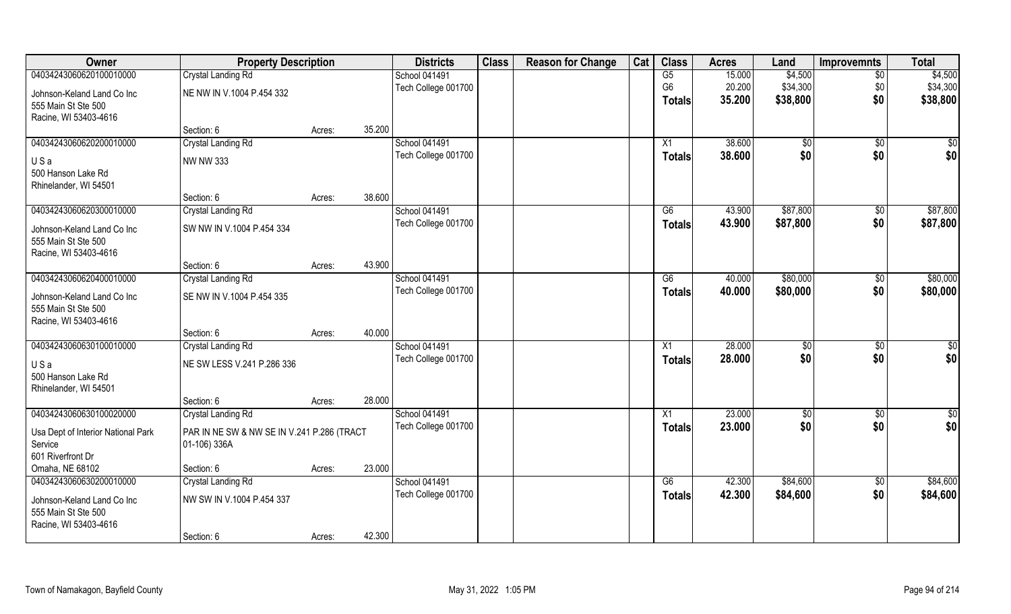| Owner                                      | <b>Property Description</b>                |        | <b>Districts</b> | <b>Class</b>                         | <b>Reason for Change</b> | Cat | <b>Class</b> | <b>Acres</b>   | Land   | <b>Improvemnts</b> | <b>Total</b>      |            |
|--------------------------------------------|--------------------------------------------|--------|------------------|--------------------------------------|--------------------------|-----|--------------|----------------|--------|--------------------|-------------------|------------|
| 04034243060620100010000                    | <b>Crystal Landing Rd</b>                  |        |                  | School 041491                        |                          |     |              | G5             | 15.000 | \$4,500            | $\overline{50}$   | \$4,500    |
| Johnson-Keland Land Co Inc                 | NE NW IN V.1004 P.454 332                  |        |                  | Tech College 001700                  |                          |     |              | G <sub>6</sub> | 20.200 | \$34,300           | \$0               | \$34,300   |
| 555 Main St Ste 500                        |                                            |        |                  |                                      |                          |     |              | Totals         | 35.200 | \$38,800           | \$0               | \$38,800   |
| Racine, WI 53403-4616                      |                                            |        |                  |                                      |                          |     |              |                |        |                    |                   |            |
|                                            | Section: 6                                 | Acres: | 35.200           |                                      |                          |     |              |                |        |                    |                   |            |
| 04034243060620200010000                    | <b>Crystal Landing Rd</b>                  |        |                  | School 041491                        |                          |     |              | X1             | 38.600 | $\sqrt[6]{}$       | $\overline{50}$   | \$0        |
| USa                                        | <b>NW NW 333</b>                           |        |                  | Tech College 001700                  |                          |     |              | <b>Totals</b>  | 38.600 | \$0                | \$0               | \$0        |
| 500 Hanson Lake Rd                         |                                            |        |                  |                                      |                          |     |              |                |        |                    |                   |            |
| Rhinelander, WI 54501                      |                                            |        |                  |                                      |                          |     |              |                |        |                    |                   |            |
|                                            | Section: 6                                 | Acres: | 38.600           |                                      |                          |     |              |                |        |                    |                   |            |
| 04034243060620300010000                    | Crystal Landing Rd                         |        |                  | School 041491                        |                          |     |              | G6             | 43.900 | \$87,800           | \$0               | \$87,800   |
| Johnson-Keland Land Co Inc                 | SW NW IN V.1004 P.454 334                  |        |                  | Tech College 001700                  |                          |     |              | <b>Totals</b>  | 43.900 | \$87,800           | \$0               | \$87,800   |
| 555 Main St Ste 500                        |                                            |        |                  |                                      |                          |     |              |                |        |                    |                   |            |
| Racine, WI 53403-4616                      |                                            |        |                  |                                      |                          |     |              |                |        |                    |                   |            |
|                                            | Section: 6                                 | Acres: | 43.900           |                                      |                          |     |              |                |        |                    |                   |            |
| 04034243060620400010000                    | Crystal Landing Rd                         |        |                  | School 041491                        |                          |     |              | G6             | 40.000 | \$80,000           | $\sqrt[6]{30}$    | \$80,000   |
| Johnson-Keland Land Co Inc                 | SE NW IN V.1004 P.454 335                  |        |                  | Tech College 001700                  |                          |     |              | <b>Totals</b>  | 40.000 | \$80,000           | \$0               | \$80,000   |
| 555 Main St Ste 500                        |                                            |        |                  |                                      |                          |     |              |                |        |                    |                   |            |
| Racine, WI 53403-4616                      |                                            |        |                  |                                      |                          |     |              |                |        |                    |                   |            |
|                                            | Section: 6                                 | Acres: | 40.000           |                                      |                          |     |              |                |        |                    |                   |            |
| 04034243060630100010000                    | Crystal Landing Rd                         |        |                  | School 041491                        |                          |     |              | X1             | 28.000 | \$0                | $\sqrt[6]{30}$    | \$0        |
| USa                                        | NE SW LESS V.241 P.286 336                 |        |                  | Tech College 001700                  |                          |     |              | <b>Totals</b>  | 28.000 | \$0                | \$0               | \$0        |
| 500 Hanson Lake Rd                         |                                            |        |                  |                                      |                          |     |              |                |        |                    |                   |            |
| Rhinelander, WI 54501                      |                                            |        |                  |                                      |                          |     |              |                |        |                    |                   |            |
|                                            | Section: 6                                 | Acres: | 28.000           |                                      |                          |     |              |                |        |                    |                   |            |
| 04034243060630100020000                    | <b>Crystal Landing Rd</b>                  |        |                  | School 041491<br>Tech College 001700 |                          |     |              | X1             | 23.000 | \$0<br>\$0         | \$0<br>\$0        | \$0<br>\$0 |
| Usa Dept of Interior National Park         | PAR IN NE SW & NW SE IN V.241 P.286 (TRACT |        |                  |                                      |                          |     |              | <b>Totals</b>  | 23.000 |                    |                   |            |
| Service                                    | 01-106) 336A                               |        |                  |                                      |                          |     |              |                |        |                    |                   |            |
| 601 Riverfront Dr                          |                                            |        |                  |                                      |                          |     |              |                |        |                    |                   |            |
| Omaha, NE 68102<br>04034243060630200010000 | Section: 6                                 | Acres: | 23.000           | School 041491                        |                          |     |              | G6             | 42.300 | \$84,600           |                   | \$84,600   |
|                                            | <b>Crystal Landing Rd</b>                  |        |                  | Tech College 001700                  |                          |     |              |                | 42.300 | \$84,600           | $\sqrt{6}$<br>\$0 |            |
| Johnson-Keland Land Co Inc                 | NW SW IN V.1004 P.454 337                  |        |                  |                                      |                          |     |              | <b>Totals</b>  |        |                    |                   | \$84,600   |
| 555 Main St Ste 500                        |                                            |        |                  |                                      |                          |     |              |                |        |                    |                   |            |
| Racine, WI 53403-4616                      |                                            |        |                  |                                      |                          |     |              |                |        |                    |                   |            |
|                                            | Section: 6                                 | Acres: | 42.300           |                                      |                          |     |              |                |        |                    |                   |            |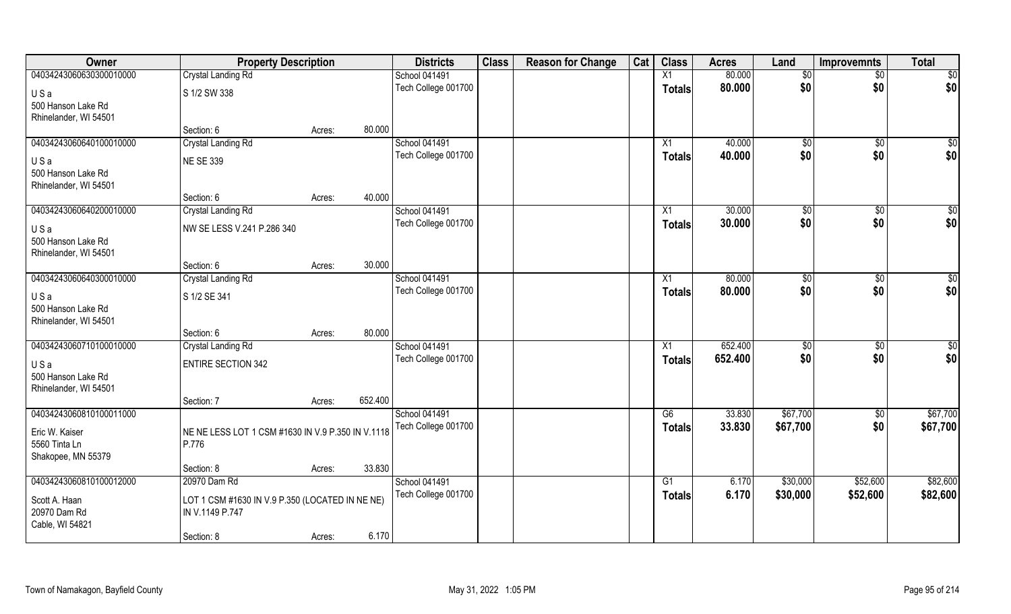| Owner                   | <b>Property Description</b>                       |        |                      | <b>Districts</b>    | <b>Class</b> | <b>Reason for Change</b> | Cat | <b>Class</b>  | <b>Acres</b> | Land          | <b>Improvemnts</b> | <b>Total</b>    |
|-------------------------|---------------------------------------------------|--------|----------------------|---------------------|--------------|--------------------------|-----|---------------|--------------|---------------|--------------------|-----------------|
| 04034243060630300010000 | Crystal Landing Rd                                |        | <b>School 041491</b> |                     |              |                          |     | X1            | 80.000       | $\sqrt[6]{}$  | $\overline{50}$    | \$0             |
| USa                     | S 1/2 SW 338                                      |        |                      | Tech College 001700 |              |                          |     | <b>Totals</b> | 80.000       | \$0           | \$0                | \$0             |
| 500 Hanson Lake Rd      |                                                   |        |                      |                     |              |                          |     |               |              |               |                    |                 |
| Rhinelander, WI 54501   |                                                   |        |                      |                     |              |                          |     |               |              |               |                    |                 |
|                         | Section: 6                                        | Acres: | 80.000               |                     |              |                          |     |               |              |               |                    |                 |
| 04034243060640100010000 | Crystal Landing Rd                                |        | <b>School 041491</b> |                     |              |                          |     | X1            | 40.000       | $\sqrt[6]{}$  | $\sqrt{6}$         | $\sqrt{50}$     |
| USa                     | <b>NE SE 339</b>                                  |        |                      | Tech College 001700 |              |                          |     | <b>Totals</b> | 40.000       | \$0           | \$0                | \$0             |
| 500 Hanson Lake Rd      |                                                   |        |                      |                     |              |                          |     |               |              |               |                    |                 |
| Rhinelander, WI 54501   |                                                   |        |                      |                     |              |                          |     |               |              |               |                    |                 |
|                         | Section: 6                                        | Acres: | 40.000               |                     |              |                          |     |               |              |               |                    |                 |
| 04034243060640200010000 | Crystal Landing Rd                                |        | <b>School 041491</b> |                     |              |                          |     | X1            | 30.000       | \$0           | \$0                | \$0             |
| USa                     | NW SE LESS V.241 P.286 340                        |        |                      | Tech College 001700 |              |                          |     | <b>Totals</b> | 30.000       | \$0           | \$0                | \$0             |
| 500 Hanson Lake Rd      |                                                   |        |                      |                     |              |                          |     |               |              |               |                    |                 |
| Rhinelander, WI 54501   |                                                   |        |                      |                     |              |                          |     |               |              |               |                    |                 |
|                         | Section: 6                                        | Acres: | 30.000               |                     |              |                          |     |               |              |               |                    |                 |
| 04034243060640300010000 | <b>Crystal Landing Rd</b>                         |        | School 041491        |                     |              |                          |     | X1            | 80.000       | \$0           | \$0                | $\overline{50}$ |
| USa                     | S 1/2 SE 341                                      |        |                      | Tech College 001700 |              |                          |     | <b>Totals</b> | 80.000       | \$0           | \$0                | \$0             |
| 500 Hanson Lake Rd      |                                                   |        |                      |                     |              |                          |     |               |              |               |                    |                 |
| Rhinelander, WI 54501   |                                                   |        |                      |                     |              |                          |     |               |              |               |                    |                 |
|                         | Section: 6                                        | Acres: | 80.000               |                     |              |                          |     |               |              |               |                    |                 |
| 04034243060710100010000 | <b>Crystal Landing Rd</b>                         |        | School 041491        |                     |              |                          |     | X1            | 652.400      | $\sqrt[6]{3}$ | $\sqrt[6]{30}$     | \$0             |
| USa                     | <b>ENTIRE SECTION 342</b>                         |        |                      | Tech College 001700 |              |                          |     | <b>Totals</b> | 652.400      | \$0           | \$0                | \$0             |
| 500 Hanson Lake Rd      |                                                   |        |                      |                     |              |                          |     |               |              |               |                    |                 |
| Rhinelander, WI 54501   |                                                   |        |                      |                     |              |                          |     |               |              |               |                    |                 |
|                         | Section: 7                                        | Acres: | 652.400              |                     |              |                          |     |               |              |               |                    |                 |
| 04034243060810100011000 |                                                   |        | School 041491        |                     |              |                          |     | G6            | 33.830       | \$67,700      | \$0                | \$67,700        |
| Eric W. Kaiser          | NE NE LESS LOT 1 CSM #1630 IN V.9 P.350 IN V.1118 |        |                      | Tech College 001700 |              |                          |     | <b>Totals</b> | 33.830       | \$67,700      | \$0                | \$67,700        |
| 5560 Tinta Ln           | P.776                                             |        |                      |                     |              |                          |     |               |              |               |                    |                 |
| Shakopee, MN 55379      |                                                   |        |                      |                     |              |                          |     |               |              |               |                    |                 |
|                         | Section: 8                                        | Acres: | 33.830               |                     |              |                          |     |               |              |               |                    |                 |
| 04034243060810100012000 | 20970 Dam Rd                                      |        | School 041491        | Tech College 001700 |              |                          |     | G1            | 6.170        | \$30,000      | \$52,600           | \$82,600        |
| Scott A. Haan           | LOT 1 CSM #1630 IN V.9 P.350 (LOCATED IN NE NE)   |        |                      |                     |              |                          |     | <b>Totals</b> | 6.170        | \$30,000      | \$52,600           | \$82,600        |
| 20970 Dam Rd            | IN V.1149 P.747                                   |        |                      |                     |              |                          |     |               |              |               |                    |                 |
| Cable, WI 54821         |                                                   |        |                      |                     |              |                          |     |               |              |               |                    |                 |
|                         | Section: 8                                        | Acres: | 6.170                |                     |              |                          |     |               |              |               |                    |                 |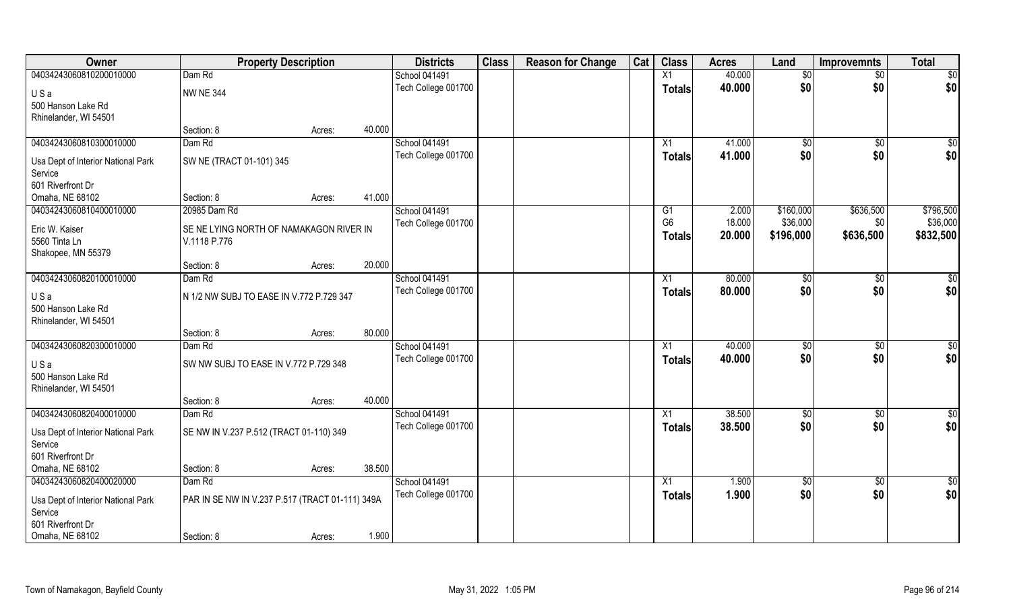| Owner                              | <b>Property Description</b>                     |        |        | <b>Districts</b>    | <b>Class</b> | <b>Reason for Change</b> | Cat | <b>Class</b>    | <b>Acres</b> | Land           | <b>Improvemnts</b> | <b>Total</b> |
|------------------------------------|-------------------------------------------------|--------|--------|---------------------|--------------|--------------------------|-----|-----------------|--------------|----------------|--------------------|--------------|
| 04034243060810200010000            | Dam Rd                                          |        |        | School 041491       |              |                          |     | X1              | 40.000       | \$0            | $\sqrt{6}$         | \$0          |
| USa                                | NW NE 344                                       |        |        | Tech College 001700 |              |                          |     | <b>Totals</b>   | 40.000       | \$0            | \$0                | \$0          |
| 500 Hanson Lake Rd                 |                                                 |        |        |                     |              |                          |     |                 |              |                |                    |              |
| Rhinelander, WI 54501              |                                                 |        |        |                     |              |                          |     |                 |              |                |                    |              |
|                                    | Section: 8                                      | Acres: | 40.000 |                     |              |                          |     |                 |              |                |                    |              |
| 04034243060810300010000            | Dam Rd                                          |        |        | School 041491       |              |                          |     | X1              | 41.000       | $\sqrt{50}$    | $\sqrt{$0}$        | \$0          |
| Usa Dept of Interior National Park | SW NE (TRACT 01-101) 345                        |        |        | Tech College 001700 |              |                          |     | <b>Totals</b>   | 41.000       | \$0            | \$0                | \$0          |
| Service                            |                                                 |        |        |                     |              |                          |     |                 |              |                |                    |              |
| 601 Riverfront Dr                  |                                                 |        |        |                     |              |                          |     |                 |              |                |                    |              |
| Omaha, NE 68102                    | Section: 8                                      | Acres: | 41.000 |                     |              |                          |     |                 |              |                |                    |              |
| 04034243060810400010000            | 20985 Dam Rd                                    |        |        | School 041491       |              |                          |     | G1              | 2.000        | \$160,000      | \$636,500          | \$796,500    |
| Eric W. Kaiser                     | SE NE LYING NORTH OF NAMAKAGON RIVER IN         |        |        | Tech College 001700 |              |                          |     | G <sub>6</sub>  | 18.000       | \$36,000       | \$0                | \$36,000     |
| 5560 Tinta Ln                      | V.1118 P.776                                    |        |        |                     |              |                          |     | <b>Totals</b>   | 20.000       | \$196,000      | \$636,500          | \$832,500    |
| Shakopee, MN 55379                 |                                                 |        |        |                     |              |                          |     |                 |              |                |                    |              |
|                                    | Section: 8                                      | Acres: | 20.000 |                     |              |                          |     |                 |              |                |                    |              |
| 04034243060820100010000            | Dam Rd                                          |        |        | School 041491       |              |                          |     | X1              | 80.000       | \$0            | \$0                | $\sqrt{50}$  |
| USa                                | N 1/2 NW SUBJ TO EASE IN V.772 P.729 347        |        |        | Tech College 001700 |              |                          |     | <b>Totals</b>   | 80.000       | \$0            | \$0                | \$0          |
| 500 Hanson Lake Rd                 |                                                 |        |        |                     |              |                          |     |                 |              |                |                    |              |
| Rhinelander, WI 54501              |                                                 |        |        |                     |              |                          |     |                 |              |                |                    |              |
|                                    | Section: 8                                      | Acres: | 80.000 |                     |              |                          |     |                 |              |                |                    |              |
| 04034243060820300010000            | Dam Rd                                          |        |        | School 041491       |              |                          |     | $\overline{X1}$ | 40.000       | $\frac{1}{20}$ | $\sqrt[6]{30}$     | \$0          |
| USa                                | SW NW SUBJ TO EASE IN V.772 P.729 348           |        |        | Tech College 001700 |              |                          |     | <b>Totals</b>   | 40.000       | \$0            | \$0                | \$0          |
| 500 Hanson Lake Rd                 |                                                 |        |        |                     |              |                          |     |                 |              |                |                    |              |
| Rhinelander, WI 54501              |                                                 |        |        |                     |              |                          |     |                 |              |                |                    |              |
|                                    | Section: 8                                      | Acres: | 40.000 |                     |              |                          |     |                 |              |                |                    |              |
| 04034243060820400010000            | Dam Rd                                          |        |        | School 041491       |              |                          |     | $\overline{X1}$ | 38.500       | \$0            | \$0                | \$0          |
| Usa Dept of Interior National Park | SE NW IN V.237 P.512 (TRACT 01-110) 349         |        |        | Tech College 001700 |              |                          |     | <b>Totals</b>   | 38.500       | \$0            | \$0                | \$0          |
| Service                            |                                                 |        |        |                     |              |                          |     |                 |              |                |                    |              |
| 601 Riverfront Dr                  |                                                 |        |        |                     |              |                          |     |                 |              |                |                    |              |
| Omaha, NE 68102                    | Section: 8                                      | Acres: | 38.500 |                     |              |                          |     |                 |              |                |                    |              |
| 04034243060820400020000            | Dam Rd                                          |        |        | School 041491       |              |                          |     | $\overline{X1}$ | 1.900        | \$0            | $\sqrt{$0}$        | \$0          |
| Usa Dept of Interior National Park | PAR IN SE NW IN V.237 P.517 (TRACT 01-111) 349A |        |        | Tech College 001700 |              |                          |     | <b>Totals</b>   | 1.900        | \$0            | \$0                | \$0          |
| Service                            |                                                 |        |        |                     |              |                          |     |                 |              |                |                    |              |
| 601 Riverfront Dr                  |                                                 |        |        |                     |              |                          |     |                 |              |                |                    |              |
| Omaha, NE 68102                    | Section: 8                                      | Acres: | 1.900  |                     |              |                          |     |                 |              |                |                    |              |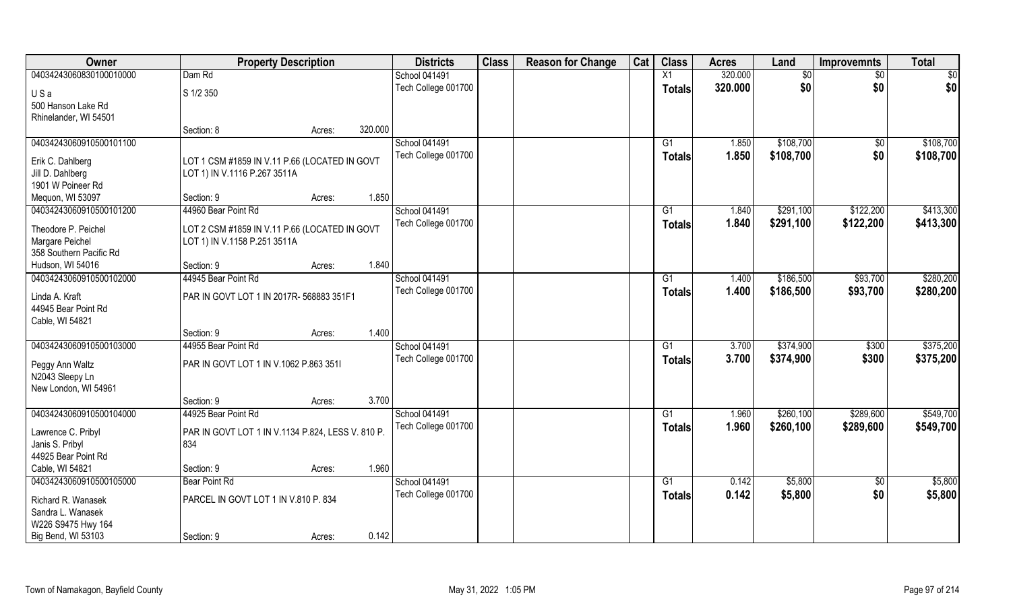| Owner                   | <b>Property Description</b>                                                   |                   | <b>Districts</b>    | <b>Class</b> | <b>Reason for Change</b> | Cat | <b>Class</b>    | <b>Acres</b> | Land      | <b>Improvemnts</b> | <b>Total</b> |
|-------------------------|-------------------------------------------------------------------------------|-------------------|---------------------|--------------|--------------------------|-----|-----------------|--------------|-----------|--------------------|--------------|
| 04034243060830100010000 | Dam Rd                                                                        |                   | School 041491       |              |                          |     | X1              | 320.000      | \$0       | \$0                | \$0          |
| USa                     | S 1/2 350                                                                     |                   | Tech College 001700 |              |                          |     | <b>Totals</b>   | 320.000      | \$0       | \$0                | \$0          |
| 500 Hanson Lake Rd      |                                                                               |                   |                     |              |                          |     |                 |              |           |                    |              |
| Rhinelander, WI 54501   |                                                                               |                   |                     |              |                          |     |                 |              |           |                    |              |
|                         | Section: 8                                                                    | 320.000<br>Acres: |                     |              |                          |     |                 |              |           |                    |              |
| 04034243060910500101100 |                                                                               |                   | School 041491       |              |                          |     | G <sub>1</sub>  | 1.850        | \$108,700 | \$0                | \$108,700    |
| Erik C. Dahlberg        | LOT 1 CSM #1859 IN V.11 P.66 (LOCATED IN GOVT                                 |                   | Tech College 001700 |              |                          |     | <b>Totals</b>   | 1.850        | \$108,700 | \$0                | \$108,700    |
| Jill D. Dahlberg        | LOT 1) IN V.1116 P.267 3511A                                                  |                   |                     |              |                          |     |                 |              |           |                    |              |
| 1901 W Poineer Rd       |                                                                               |                   |                     |              |                          |     |                 |              |           |                    |              |
| Mequon, WI 53097        | Section: 9                                                                    | Acres:            | 1.850               |              |                          |     |                 |              |           |                    |              |
| 04034243060910500101200 | 44960 Bear Point Rd                                                           |                   | School 041491       |              |                          |     | G1              | 1.840        | \$291,100 | \$122,200          | \$413,300    |
| Theodore P. Peichel     |                                                                               |                   | Tech College 001700 |              |                          |     | <b>Totals</b>   | 1.840        | \$291,100 | \$122,200          | \$413,300    |
| Margare Peichel         | LOT 2 CSM #1859 IN V.11 P.66 (LOCATED IN GOVT<br>LOT 1) IN V.1158 P.251 3511A |                   |                     |              |                          |     |                 |              |           |                    |              |
| 358 Southern Pacific Rd |                                                                               |                   |                     |              |                          |     |                 |              |           |                    |              |
| Hudson, WI 54016        | Section: 9                                                                    | Acres:            | 1.840               |              |                          |     |                 |              |           |                    |              |
| 04034243060910500102000 | 44945 Bear Point Rd                                                           |                   | School 041491       |              |                          |     | G1              | 1.400        | \$186,500 | \$93,700           | \$280,200    |
|                         |                                                                               |                   | Tech College 001700 |              |                          |     | <b>Totals</b>   | 1.400        | \$186,500 | \$93,700           | \$280,200    |
| Linda A. Kraft          | PAR IN GOVT LOT 1 IN 2017R- 568883 351F1                                      |                   |                     |              |                          |     |                 |              |           |                    |              |
| 44945 Bear Point Rd     |                                                                               |                   |                     |              |                          |     |                 |              |           |                    |              |
| Cable, WI 54821         |                                                                               |                   | 1.400               |              |                          |     |                 |              |           |                    |              |
| 04034243060910500103000 | Section: 9<br>44955 Bear Point Rd                                             | Acres:            | School 041491       |              |                          |     | G1              | 3.700        | \$374,900 | \$300              | \$375,200    |
|                         |                                                                               |                   |                     |              |                          |     |                 |              |           |                    |              |
| Peggy Ann Waltz         | PAR IN GOVT LOT 1 IN V.1062 P.863 3511                                        |                   | Tech College 001700 |              |                          |     | <b>Totals</b>   | 3.700        | \$374,900 | \$300              | \$375,200    |
| N2043 Sleepy Ln         |                                                                               |                   |                     |              |                          |     |                 |              |           |                    |              |
| New London, WI 54961    |                                                                               |                   |                     |              |                          |     |                 |              |           |                    |              |
|                         | Section: 9                                                                    | Acres:            | 3.700               |              |                          |     |                 |              |           |                    |              |
| 04034243060910500104000 | 44925 Bear Point Rd                                                           |                   | School 041491       |              |                          |     | $\overline{G1}$ | 1.960        | \$260,100 | \$289,600          | \$549,700    |
| Lawrence C. Pribyl      | PAR IN GOVT LOT 1 IN V.1134 P.824, LESS V. 810 P.                             |                   | Tech College 001700 |              |                          |     | <b>Totals</b>   | 1.960        | \$260,100 | \$289,600          | \$549,700    |
| Janis S. Pribyl         | 834                                                                           |                   |                     |              |                          |     |                 |              |           |                    |              |
| 44925 Bear Point Rd     |                                                                               |                   |                     |              |                          |     |                 |              |           |                    |              |
| Cable, WI 54821         | Section: 9                                                                    | Acres:            | 1.960               |              |                          |     |                 |              |           |                    |              |
| 04034243060910500105000 | Bear Point Rd                                                                 |                   | School 041491       |              |                          |     | G1              | 0.142        | \$5,800   | $\overline{60}$    | \$5,800      |
| Richard R. Wanasek      | PARCEL IN GOVT LOT 1 IN V.810 P. 834                                          |                   | Tech College 001700 |              |                          |     | <b>Totals</b>   | 0.142        | \$5,800   | \$0                | \$5,800      |
| Sandra L. Wanasek       |                                                                               |                   |                     |              |                          |     |                 |              |           |                    |              |
| W226 S9475 Hwy 164      |                                                                               |                   |                     |              |                          |     |                 |              |           |                    |              |
| Big Bend, WI 53103      | Section: 9                                                                    | Acres:            | 0.142               |              |                          |     |                 |              |           |                    |              |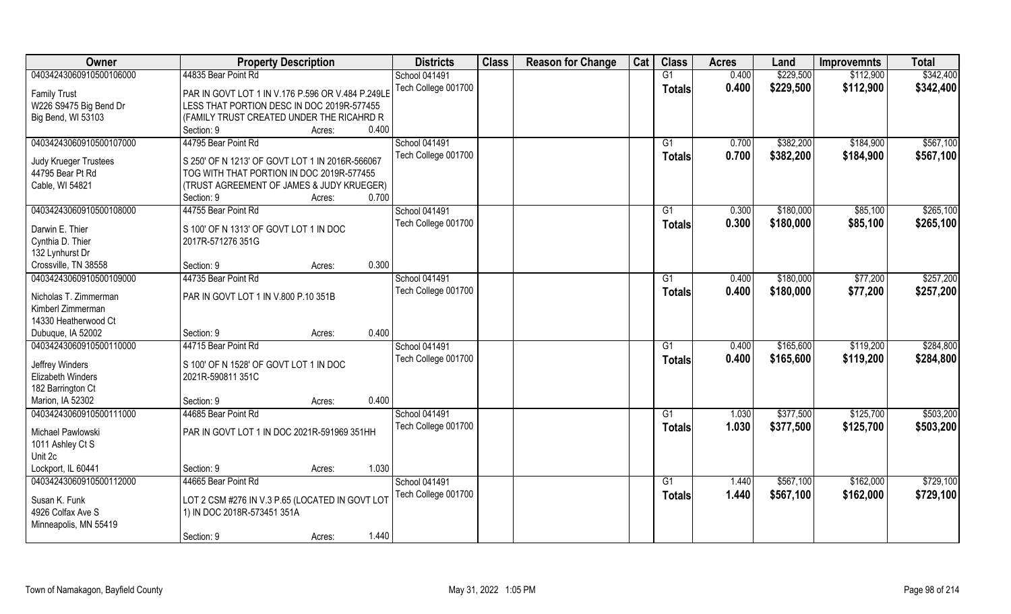| Owner                                            | <b>Property Description</b>                                                                  |                 | <b>Districts</b>     | <b>Class</b> | <b>Reason for Change</b> | Cat | <b>Class</b>    | <b>Acres</b> | Land      | <b>Improvemnts</b> | <b>Total</b> |
|--------------------------------------------------|----------------------------------------------------------------------------------------------|-----------------|----------------------|--------------|--------------------------|-----|-----------------|--------------|-----------|--------------------|--------------|
| 04034243060910500106000                          | 44835 Bear Point Rd                                                                          |                 | <b>School 041491</b> |              |                          |     | G1              | 0.400        | \$229,500 | \$112,900          | \$342,400    |
| <b>Family Trust</b>                              | PAR IN GOVT LOT 1 IN V.176 P.596 OR V.484 P.249LE                                            |                 | Tech College 001700  |              |                          |     | <b>Totals</b>   | 0.400        | \$229,500 | \$112,900          | \$342,400    |
| W226 S9475 Big Bend Dr                           | LESS THAT PORTION DESC IN DOC 2019R-577455                                                   |                 |                      |              |                          |     |                 |              |           |                    |              |
| Big Bend, WI 53103                               | (FAMILY TRUST CREATED UNDER THE RICAHRD R                                                    |                 |                      |              |                          |     |                 |              |           |                    |              |
|                                                  | Section: 9                                                                                   | 0.400<br>Acres: |                      |              |                          |     |                 |              |           |                    |              |
| 04034243060910500107000                          | 44795 Bear Point Rd                                                                          |                 | <b>School 041491</b> |              |                          |     | G1              | 0.700        | \$382,200 | \$184,900          | \$567,100    |
|                                                  |                                                                                              |                 | Tech College 001700  |              |                          |     | <b>Totals</b>   | 0.700        | \$382,200 | \$184,900          | \$567,100    |
| <b>Judy Krueger Trustees</b><br>44795 Bear Pt Rd | S 250' OF N 1213' OF GOVT LOT 1 IN 2016R-566067<br>TOG WITH THAT PORTION IN DOC 2019R-577455 |                 |                      |              |                          |     |                 |              |           |                    |              |
| Cable, WI 54821                                  | (TRUST AGREEMENT OF JAMES & JUDY KRUEGER)                                                    |                 |                      |              |                          |     |                 |              |           |                    |              |
|                                                  | Section: 9                                                                                   | 0.700<br>Acres: |                      |              |                          |     |                 |              |           |                    |              |
| 04034243060910500108000                          | 44755 Bear Point Rd                                                                          |                 | <b>School 041491</b> |              |                          |     | G1              | 0.300        | \$180,000 | \$85,100           | \$265,100    |
|                                                  |                                                                                              |                 | Tech College 001700  |              |                          |     | <b>Totals</b>   | 0.300        | \$180,000 | \$85,100           | \$265,100    |
| Darwin E. Thier                                  | S 100' OF N 1313' OF GOVT LOT 1 IN DOC                                                       |                 |                      |              |                          |     |                 |              |           |                    |              |
| Cynthia D. Thier                                 | 2017R-571276 351G                                                                            |                 |                      |              |                          |     |                 |              |           |                    |              |
| 132 Lynhurst Dr                                  |                                                                                              |                 |                      |              |                          |     |                 |              |           |                    |              |
| Crossville, TN 38558                             | Section: 9                                                                                   | 0.300<br>Acres: |                      |              |                          |     |                 |              |           |                    |              |
| 04034243060910500109000                          | 44735 Bear Point Rd                                                                          |                 | School 041491        |              |                          |     | G1              | 0.400        | \$180,000 | \$77,200           | \$257,200    |
| Nicholas T. Zimmerman                            | PAR IN GOVT LOT 1 IN V.800 P.10 351B                                                         |                 | Tech College 001700  |              |                          |     | <b>Totals</b>   | 0.400        | \$180,000 | \$77,200           | \$257,200    |
| Kimberl Zimmerman                                |                                                                                              |                 |                      |              |                          |     |                 |              |           |                    |              |
| 14330 Heatherwood Ct                             |                                                                                              |                 |                      |              |                          |     |                 |              |           |                    |              |
| Dubuque, IA 52002                                | Section: 9                                                                                   | 0.400<br>Acres: |                      |              |                          |     |                 |              |           |                    |              |
| 04034243060910500110000                          | 44715 Bear Point Rd                                                                          |                 | School 041491        |              |                          |     | G1              | 0.400        | \$165,600 | \$119,200          | \$284,800    |
| Jeffrey Winders                                  | S 100' OF N 1528' OF GOVT LOT 1 IN DOC                                                       |                 | Tech College 001700  |              |                          |     | <b>Totals</b>   | 0.400        | \$165,600 | \$119,200          | \$284,800    |
| <b>Elizabeth Winders</b>                         | 2021R-590811 351C                                                                            |                 |                      |              |                          |     |                 |              |           |                    |              |
| 182 Barrington Ct                                |                                                                                              |                 |                      |              |                          |     |                 |              |           |                    |              |
| Marion, IA 52302                                 | Section: 9                                                                                   | 0.400<br>Acres: |                      |              |                          |     |                 |              |           |                    |              |
| 04034243060910500111000                          | 44685 Bear Point Rd                                                                          |                 | School 041491        |              |                          |     | G1              | 1.030        | \$377,500 | \$125,700          | \$503,200    |
|                                                  |                                                                                              |                 | Tech College 001700  |              |                          |     | <b>Totals</b>   | 1.030        | \$377,500 | \$125,700          | \$503,200    |
| Michael Pawlowski                                | PAR IN GOVT LOT 1 IN DOC 2021R-591969 351HH                                                  |                 |                      |              |                          |     |                 |              |           |                    |              |
| 1011 Ashley Ct S                                 |                                                                                              |                 |                      |              |                          |     |                 |              |           |                    |              |
| Unit 2c                                          |                                                                                              | 1.030           |                      |              |                          |     |                 |              |           |                    |              |
| Lockport, IL 60441<br>04034243060910500112000    | Section: 9<br>44665 Bear Point Rd                                                            | Acres:          | School 041491        |              |                          |     | $\overline{G1}$ | 1.440        | \$567,100 | \$162,000          | \$729,100    |
|                                                  |                                                                                              |                 | Tech College 001700  |              |                          |     |                 | 1.440        |           |                    |              |
| Susan K. Funk                                    | LOT 2 CSM #276 IN V.3 P.65 (LOCATED IN GOVT LOT                                              |                 |                      |              |                          |     | <b>Totals</b>   |              | \$567,100 | \$162,000          | \$729,100    |
| 4926 Colfax Ave S                                | 1) IN DOC 2018R-573451 351A                                                                  |                 |                      |              |                          |     |                 |              |           |                    |              |
| Minneapolis, MN 55419                            |                                                                                              |                 |                      |              |                          |     |                 |              |           |                    |              |
|                                                  | Section: 9                                                                                   | 1.440<br>Acres: |                      |              |                          |     |                 |              |           |                    |              |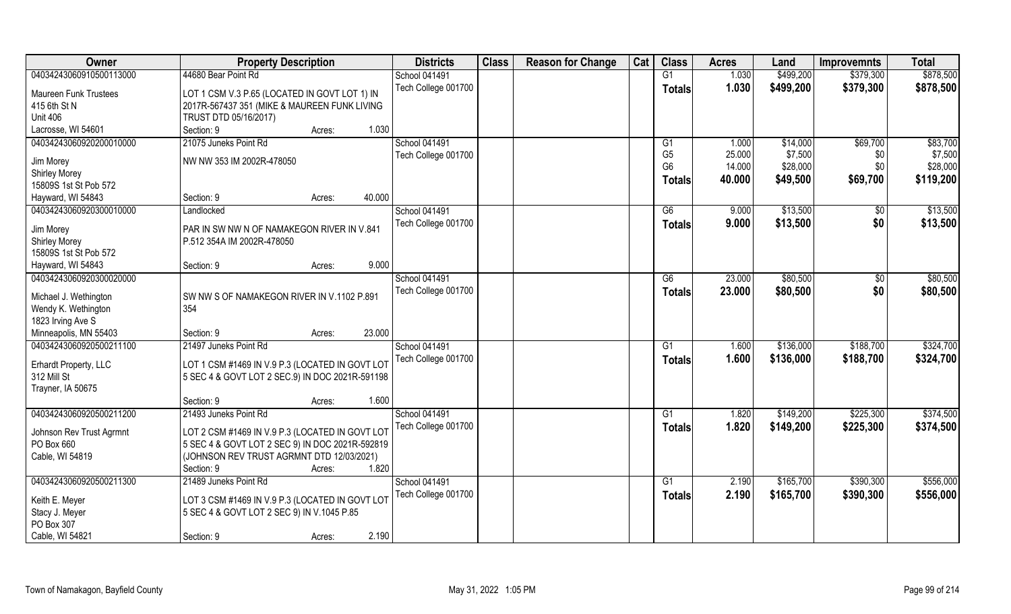| 04034243060910500113000<br><b>Maureen Funk Trustees</b><br>415 6th St N | 44680 Bear Point Rd<br>LOT 1 CSM V.3 P.65 (LOCATED IN GOVT LOT 1) IN<br>2017R-567437 351 (MIKE & MAUREEN FUNK LIVING<br>TRUST DTD 05/16/2017)<br>Section: 9<br>Acres:<br>21075 Juneks Point Rd | School 041491<br>Tech College 001700<br>1.030 |  | G1<br><b>Totals</b>              | 1.030<br>1.030   | \$499,200              | \$379,300              | \$878,500              |
|-------------------------------------------------------------------------|------------------------------------------------------------------------------------------------------------------------------------------------------------------------------------------------|-----------------------------------------------|--|----------------------------------|------------------|------------------------|------------------------|------------------------|
|                                                                         |                                                                                                                                                                                                |                                               |  |                                  |                  |                        |                        |                        |
|                                                                         |                                                                                                                                                                                                |                                               |  |                                  |                  | \$499,200              | \$379,300              | \$878,500              |
| <b>Unit 406</b>                                                         |                                                                                                                                                                                                |                                               |  |                                  |                  |                        |                        |                        |
| Lacrosse, WI 54601                                                      |                                                                                                                                                                                                |                                               |  |                                  |                  |                        |                        |                        |
| 04034243060920200010000                                                 |                                                                                                                                                                                                | <b>School 041491</b>                          |  | G <sub>1</sub>                   | 1.000            | \$14,000               | \$69,700               | \$83,700               |
| Jim Morey                                                               | NW NW 353 IM 2002R-478050                                                                                                                                                                      | Tech College 001700                           |  | G <sub>5</sub><br>G <sub>6</sub> | 25.000<br>14.000 | \$7,500<br>\$28,000    | \$0<br>\$0             | \$7,500<br>\$28,000    |
| <b>Shirley Morey</b>                                                    |                                                                                                                                                                                                |                                               |  |                                  |                  |                        |                        |                        |
| 15809S 1st St Pob 572                                                   |                                                                                                                                                                                                |                                               |  | <b>Totals</b>                    | 40.000           | \$49,500               | \$69,700               | \$119,200              |
| Hayward, WI 54843                                                       | Section: 9<br>Acres:                                                                                                                                                                           | 40.000                                        |  |                                  |                  |                        |                        |                        |
| 04034243060920300010000                                                 | Landlocked                                                                                                                                                                                     | School 041491                                 |  | G6                               | 9.000            | \$13,500               | \$0                    | \$13,500               |
| Jim Morey<br><b>Shirley Morey</b><br>15809S 1st St Pob 572              | PAR IN SW NW N OF NAMAKEGON RIVER IN V.841<br>P.512 354A IM 2002R-478050                                                                                                                       | Tech College 001700                           |  | <b>Totals</b>                    | 9.000            | \$13,500               | \$0                    | \$13,500               |
| Hayward, WI 54843                                                       | Section: 9<br>Acres:                                                                                                                                                                           | 9.000                                         |  |                                  |                  |                        |                        |                        |
| 04034243060920300020000                                                 |                                                                                                                                                                                                | <b>School 041491</b>                          |  | G6                               | 23.000           | \$80,500               | $\sqrt[6]{3}$          | \$80,500               |
| Michael J. Wethington<br>Wendy K. Wethington<br>1823 Irving Ave S       | SW NW S OF NAMAKEGON RIVER IN V.1102 P.891<br>354                                                                                                                                              | Tech College 001700                           |  | <b>Totals</b>                    | 23.000           | \$80,500               | \$0                    | \$80,500               |
| Minneapolis, MN 55403                                                   | Section: 9<br>Acres:                                                                                                                                                                           | 23.000                                        |  |                                  |                  |                        |                        |                        |
| 04034243060920500211100<br>Erhardt Property, LLC<br>312 Mill St         | 21497 Juneks Point Rd<br>LOT 1 CSM #1469 IN V.9 P.3 (LOCATED IN GOVT LOT<br>5 SEC 4 & GOVT LOT 2 SEC.9) IN DOC 2021R-591198                                                                    | School 041491<br>Tech College 001700          |  | G1<br><b>Totals</b>              | 1.600<br>1.600   | \$136,000<br>\$136,000 | \$188,700<br>\$188,700 | \$324,700<br>\$324,700 |
| Trayner, IA 50675                                                       |                                                                                                                                                                                                | 1.600                                         |  |                                  |                  |                        |                        |                        |
| 04034243060920500211200                                                 | Section: 9<br>Acres:<br>21493 Juneks Point Rd                                                                                                                                                  | School 041491                                 |  | G1                               | 1.820            | \$149,200              | \$225,300              | \$374,500              |
| Johnson Rev Trust Agrmnt<br>PO Box 660<br>Cable, WI 54819               | LOT 2 CSM #1469 IN V.9 P.3 (LOCATED IN GOVT LOT<br>5 SEC 4 & GOVT LOT 2 SEC 9) IN DOC 2021R-592819<br>(JOHNSON REV TRUST AGRMNT DTD 12/03/2021)<br>Section: 9<br>Acres:                        | Tech College 001700<br>1.820                  |  | <b>Totals</b>                    | 1.820            | \$149,200              | \$225,300              | \$374,500              |
| 04034243060920500211300                                                 | 21489 Juneks Point Rd                                                                                                                                                                          | School 041491                                 |  | G1                               | 2.190            | \$165,700              | \$390,300              | \$556,000              |
| Keith E. Meyer<br>Stacy J. Meyer<br>PO Box 307<br>Cable, WI 54821       | LOT 3 CSM #1469 IN V.9 P.3 (LOCATED IN GOVT LOT<br>5 SEC 4 & GOVT LOT 2 SEC 9) IN V.1045 P.85<br>Section: 9<br>Acres:                                                                          | Tech College 001700<br>2.190                  |  | <b>Totals</b>                    | 2.190            | \$165,700              | \$390,300              | \$556,000              |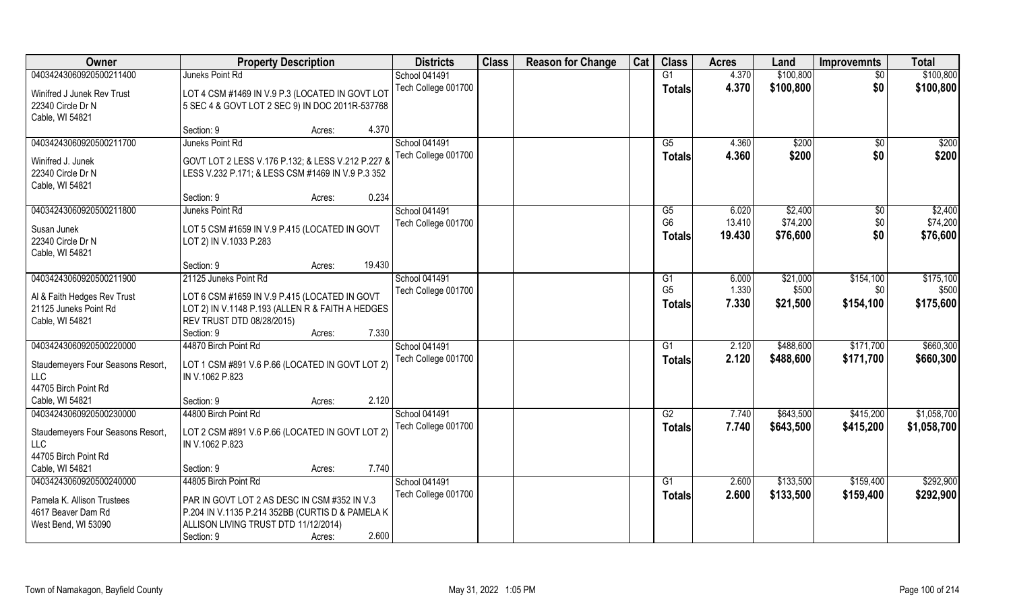| Owner                             | <b>Property Description</b>                                             |        | <b>Districts</b>     | <b>Class</b> | <b>Reason for Change</b> | Cat | <b>Class</b>    | <b>Acres</b> | Land      | <b>Improvemnts</b> | <b>Total</b> |
|-----------------------------------|-------------------------------------------------------------------------|--------|----------------------|--------------|--------------------------|-----|-----------------|--------------|-----------|--------------------|--------------|
| 04034243060920500211400           | Juneks Point Rd                                                         |        | <b>School 041491</b> |              |                          |     | $\overline{G1}$ | 4.370        | \$100,800 | $\overline{50}$    | \$100,800    |
| Winifred J Junek Rev Trust        | LOT 4 CSM #1469 IN V.9 P.3 (LOCATED IN GOVT LOT                         |        | Tech College 001700  |              |                          |     | <b>Totals</b>   | 4.370        | \$100,800 | \$0                | \$100,800    |
| 22340 Circle Dr N                 | 5 SEC 4 & GOVT LOT 2 SEC 9) IN DOC 2011R-537768                         |        |                      |              |                          |     |                 |              |           |                    |              |
| Cable, WI 54821                   |                                                                         |        |                      |              |                          |     |                 |              |           |                    |              |
|                                   | Section: 9<br>Acres:                                                    | 4.370  |                      |              |                          |     |                 |              |           |                    |              |
| 04034243060920500211700           | Juneks Point Rd                                                         |        | <b>School 041491</b> |              |                          |     | G5              | 4.360        | \$200     | \$0                | \$200        |
| Winifred J. Junek                 | GOVT LOT 2 LESS V.176 P.132; & LESS V.212 P.227 &                       |        | Tech College 001700  |              |                          |     | <b>Totals</b>   | 4.360        | \$200     | \$0                | \$200        |
| 22340 Circle Dr N                 | LESS V.232 P.171; & LESS CSM #1469 IN V.9 P.3 352                       |        |                      |              |                          |     |                 |              |           |                    |              |
| Cable, WI 54821                   |                                                                         |        |                      |              |                          |     |                 |              |           |                    |              |
|                                   | Section: 9<br>Acres:                                                    | 0.234  |                      |              |                          |     |                 |              |           |                    |              |
| 04034243060920500211800           | Juneks Point Rd                                                         |        | <b>School 041491</b> |              |                          |     | G5              | 6.020        | \$2,400   | $\sqrt[6]{}$       | \$2,400      |
| Susan Junek                       |                                                                         |        | Tech College 001700  |              |                          |     | G <sub>6</sub>  | 13.410       | \$74,200  | \$0                | \$74,200     |
| 22340 Circle Dr N                 | LOT 5 CSM #1659 IN V.9 P.415 (LOCATED IN GOVT<br>LOT 2) IN V.1033 P.283 |        |                      |              |                          |     | <b>Totals</b>   | 19.430       | \$76,600  | \$0                | \$76,600     |
| Cable, WI 54821                   |                                                                         |        |                      |              |                          |     |                 |              |           |                    |              |
|                                   | Section: 9<br>Acres:                                                    | 19.430 |                      |              |                          |     |                 |              |           |                    |              |
| 04034243060920500211900           | 21125 Juneks Point Rd                                                   |        | <b>School 041491</b> |              |                          |     | G1              | 6.000        | \$21,000  | \$154,100          | \$175,100    |
|                                   |                                                                         |        | Tech College 001700  |              |                          |     | G <sub>5</sub>  | 1.330        | \$500     | \$0                | \$500        |
| Al & Faith Hedges Rev Trust       | LOT 6 CSM #1659 IN V.9 P.415 (LOCATED IN GOVT                           |        |                      |              |                          |     | <b>Totals</b>   | 7.330        | \$21,500  | \$154,100          | \$175,600    |
| 21125 Juneks Point Rd             | LOT 2) IN V.1148 P.193 (ALLEN R & FAITH A HEDGES                        |        |                      |              |                          |     |                 |              |           |                    |              |
| Cable, WI 54821                   | REV TRUST DTD 08/28/2015)<br>Section: 9                                 | 7.330  |                      |              |                          |     |                 |              |           |                    |              |
| 04034243060920500220000           | Acres:<br>44870 Birch Point Rd                                          |        | School 041491        |              |                          |     | G1              | 2.120        | \$488,600 | \$171,700          | \$660,300    |
|                                   |                                                                         |        | Tech College 001700  |              |                          |     |                 | 2.120        | \$488,600 | \$171,700          | \$660,300    |
| Staudemeyers Four Seasons Resort, | LOT 1 CSM #891 V.6 P.66 (LOCATED IN GOVT LOT 2)                         |        |                      |              |                          |     | <b>Totals</b>   |              |           |                    |              |
| <b>LLC</b>                        | IN V.1062 P.823                                                         |        |                      |              |                          |     |                 |              |           |                    |              |
| 44705 Birch Point Rd              |                                                                         |        |                      |              |                          |     |                 |              |           |                    |              |
| Cable, WI 54821                   | Section: 9<br>Acres:                                                    | 2.120  |                      |              |                          |     |                 |              |           |                    |              |
| 04034243060920500230000           | 44800 Birch Point Rd                                                    |        | School 041491        |              |                          |     | G2              | 7.740        | \$643,500 | \$415,200          | \$1,058,700  |
| Staudemeyers Four Seasons Resort, | LOT 2 CSM #891 V.6 P.66 (LOCATED IN GOVT LOT 2)                         |        | Tech College 001700  |              |                          |     | <b>Totals</b>   | 7.740        | \$643,500 | \$415,200          | \$1,058,700  |
| <b>LLC</b>                        | IN V.1062 P.823                                                         |        |                      |              |                          |     |                 |              |           |                    |              |
| 44705 Birch Point Rd              |                                                                         |        |                      |              |                          |     |                 |              |           |                    |              |
| Cable, WI 54821                   | Section: 9<br>Acres:                                                    | 7.740  |                      |              |                          |     |                 |              |           |                    |              |
| 04034243060920500240000           | 44805 Birch Point Rd                                                    |        | School 041491        |              |                          |     | G1              | 2.600        | \$133,500 | \$159,400          | \$292,900    |
| Pamela K. Allison Trustees        | PAR IN GOVT LOT 2 AS DESC IN CSM #352 IN V.3                            |        | Tech College 001700  |              |                          |     | <b>Totals</b>   | 2.600        | \$133,500 | \$159,400          | \$292,900    |
| 4617 Beaver Dam Rd                | P.204 IN V.1135 P.214 352BB (CURTIS D & PAMELA K                        |        |                      |              |                          |     |                 |              |           |                    |              |
| West Bend, WI 53090               | ALLISON LIVING TRUST DTD 11/12/2014)                                    |        |                      |              |                          |     |                 |              |           |                    |              |
|                                   | Section: 9<br>Acres:                                                    | 2.600  |                      |              |                          |     |                 |              |           |                    |              |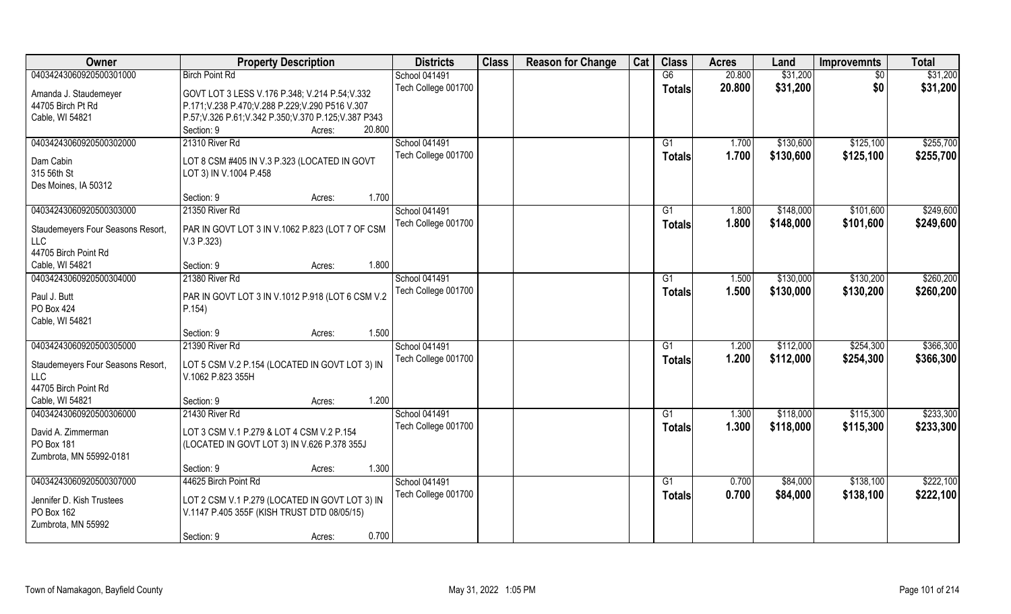| Owner                                   | <b>Property Description</b>                            | <b>Districts</b>     | <b>Class</b> | <b>Reason for Change</b> | Cat | <b>Class</b>    | <b>Acres</b> | Land      | <b>Improvemnts</b> | <b>Total</b> |
|-----------------------------------------|--------------------------------------------------------|----------------------|--------------|--------------------------|-----|-----------------|--------------|-----------|--------------------|--------------|
| 04034243060920500301000                 | <b>Birch Point Rd</b>                                  | School 041491        |              |                          |     | G6              | 20.800       | \$31,200  | $\overline{30}$    | \$31,200     |
| Amanda J. Staudemeyer                   | GOVT LOT 3 LESS V.176 P.348; V.214 P.54; V.332         | Tech College 001700  |              |                          |     | <b>Totals</b>   | 20.800       | \$31,200  | \$0                | \$31,200     |
| 44705 Birch Pt Rd                       | P.171; V.238 P.470; V.288 P.229; V.290 P516 V.307      |                      |              |                          |     |                 |              |           |                    |              |
| Cable, WI 54821                         | P.57; V.326 P.61; V.342 P.350; V.370 P.125; V.387 P343 |                      |              |                          |     |                 |              |           |                    |              |
|                                         | Section: 9<br>20.800<br>Acres:                         |                      |              |                          |     |                 |              |           |                    |              |
| 04034243060920500302000                 | 21310 River Rd                                         | <b>School 041491</b> |              |                          |     | G1              | 1.700        | \$130,600 | \$125,100          | \$255,700    |
|                                         |                                                        | Tech College 001700  |              |                          |     | Totals          | 1.700        | \$130,600 | \$125,100          | \$255,700    |
| Dam Cabin                               | LOT 8 CSM #405 IN V.3 P.323 (LOCATED IN GOVT           |                      |              |                          |     |                 |              |           |                    |              |
| 315 56th St                             | LOT 3) IN V.1004 P.458                                 |                      |              |                          |     |                 |              |           |                    |              |
| Des Moines, IA 50312                    | 1.700                                                  |                      |              |                          |     |                 |              |           |                    |              |
|                                         | Section: 9<br>Acres:                                   |                      |              |                          |     |                 |              |           |                    |              |
| 04034243060920500303000                 | 21350 River Rd                                         | School 041491        |              |                          |     | G1              | 1.800        | \$148,000 | \$101,600          | \$249,600    |
| Staudemeyers Four Seasons Resort,       | PAR IN GOVT LOT 3 IN V.1062 P.823 (LOT 7 OF CSM        | Tech College 001700  |              |                          |     | <b>Totals</b>   | 1.800        | \$148,000 | \$101,600          | \$249,600    |
| <b>LLC</b>                              | V.3 P.323                                              |                      |              |                          |     |                 |              |           |                    |              |
| 44705 Birch Point Rd                    |                                                        |                      |              |                          |     |                 |              |           |                    |              |
| Cable, WI 54821                         | 1.800<br>Section: 9<br>Acres:                          |                      |              |                          |     |                 |              |           |                    |              |
| 04034243060920500304000                 | 21380 River Rd                                         | School 041491        |              |                          |     | G1              | 1.500        | \$130,000 | \$130,200          | \$260,200    |
| Paul J. Butt                            | PAR IN GOVT LOT 3 IN V.1012 P.918 (LOT 6 CSM V.2       | Tech College 001700  |              |                          |     | <b>Totals</b>   | 1.500        | \$130,000 | \$130,200          | \$260,200    |
| PO Box 424                              | P.154)                                                 |                      |              |                          |     |                 |              |           |                    |              |
| Cable, WI 54821                         |                                                        |                      |              |                          |     |                 |              |           |                    |              |
|                                         | 1.500<br>Section: 9<br>Acres:                          |                      |              |                          |     |                 |              |           |                    |              |
| 04034243060920500305000                 | 21390 River Rd                                         | School 041491        |              |                          |     | G1              | 1.200        | \$112,000 | \$254,300          | \$366,300    |
|                                         |                                                        | Tech College 001700  |              |                          |     | <b>Totals</b>   | 1.200        | \$112,000 | \$254,300          | \$366,300    |
| Staudemeyers Four Seasons Resort,       | LOT 5 CSM V.2 P.154 (LOCATED IN GOVT LOT 3) IN         |                      |              |                          |     |                 |              |           |                    |              |
| <b>LLC</b>                              | V.1062 P.823 355H                                      |                      |              |                          |     |                 |              |           |                    |              |
| 44705 Birch Point Rd                    |                                                        |                      |              |                          |     |                 |              |           |                    |              |
| Cable, WI 54821                         | 1.200<br>Section: 9<br>Acres:                          |                      |              |                          |     |                 |              |           |                    |              |
| 04034243060920500306000                 | 21430 River Rd                                         | School 041491        |              |                          |     | $\overline{G1}$ | 1.300        | \$118,000 | \$115,300          | \$233,300    |
| David A. Zimmerman                      | LOT 3 CSM V.1 P.279 & LOT 4 CSM V.2 P.154              | Tech College 001700  |              |                          |     | <b>Totals</b>   | 1.300        | \$118,000 | \$115,300          | \$233,300    |
| PO Box 181                              | (LOCATED IN GOVT LOT 3) IN V.626 P.378 355J            |                      |              |                          |     |                 |              |           |                    |              |
| Zumbrota, MN 55992-0181                 |                                                        |                      |              |                          |     |                 |              |           |                    |              |
|                                         | 1.300<br>Section: 9<br>Acres:                          |                      |              |                          |     |                 |              |           |                    |              |
| 04034243060920500307000                 | 44625 Birch Point Rd                                   | School 041491        |              |                          |     | G1              | 0.700        | \$84,000  | \$138,100          | \$222,100    |
|                                         | LOT 2 CSM V.1 P.279 (LOCATED IN GOVT LOT 3) IN         | Tech College 001700  |              |                          |     | Totals          | 0.700        | \$84,000  | \$138,100          | \$222,100    |
| Jennifer D. Kish Trustees<br>PO Box 162 | V.1147 P.405 355F (KISH TRUST DTD 08/05/15)            |                      |              |                          |     |                 |              |           |                    |              |
| Zumbrota, MN 55992                      |                                                        |                      |              |                          |     |                 |              |           |                    |              |
|                                         | 0.700<br>Section: 9<br>Acres:                          |                      |              |                          |     |                 |              |           |                    |              |
|                                         |                                                        |                      |              |                          |     |                 |              |           |                    |              |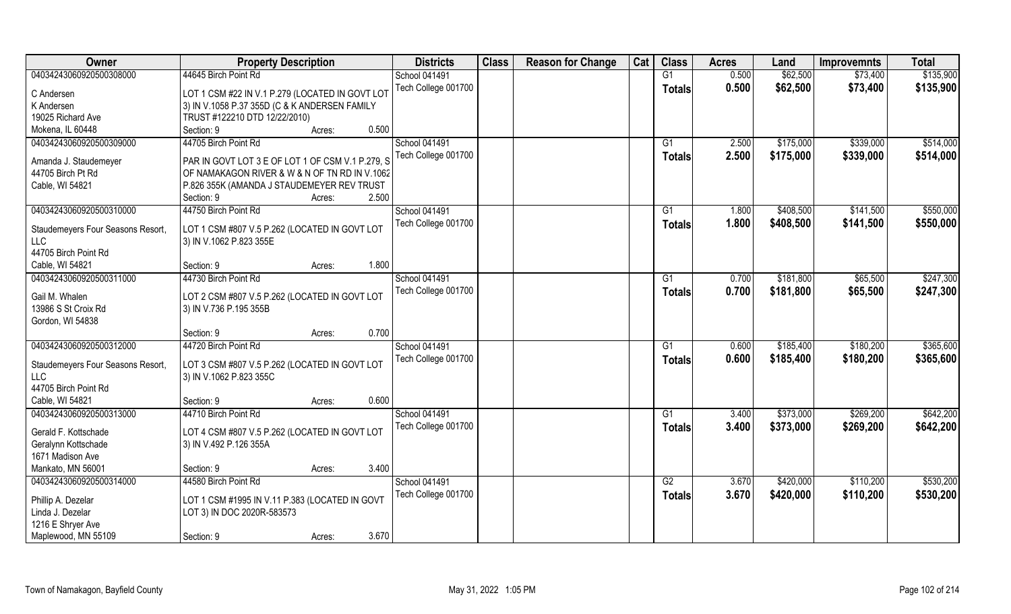| Owner                                    | <b>Property Description</b>                                              |                 | <b>Districts</b>                            | <b>Class</b> | <b>Reason for Change</b> | Cat | <b>Class</b>  | <b>Acres</b>   | Land      | <b>Improvemnts</b>     | <b>Total</b> |
|------------------------------------------|--------------------------------------------------------------------------|-----------------|---------------------------------------------|--------------|--------------------------|-----|---------------|----------------|-----------|------------------------|--------------|
| 04034243060920500308000                  | 44645 Birch Point Rd                                                     |                 | <b>School 041491</b>                        |              |                          |     | G1            | 0.500          | \$62,500  | \$73,400               | \$135,900    |
| C Andersen                               | LOT 1 CSM #22 IN V.1 P.279 (LOCATED IN GOVT LOT                          |                 | Tech College 001700                         |              |                          |     | <b>Totals</b> | 0.500          | \$62,500  | \$73,400               | \$135,900    |
| K Andersen                               | 3) IN V.1058 P.37 355D (C & K ANDERSEN FAMILY                            |                 |                                             |              |                          |     |               |                |           |                        |              |
| 19025 Richard Ave                        | TRUST #122210 DTD 12/22/2010)                                            |                 |                                             |              |                          |     |               |                |           |                        |              |
| Mokena, IL 60448                         | Section: 9                                                               | 0.500<br>Acres: |                                             |              |                          |     |               |                |           |                        |              |
| 04034243060920500309000                  | 44705 Birch Point Rd                                                     |                 | <b>School 041491</b><br>Tech College 001700 |              |                          |     | G1            | 2.500<br>2.500 | \$175,000 | \$339,000<br>\$339,000 | \$514,000    |
| Amanda J. Staudemeyer                    | PAR IN GOVT LOT 3 E OF LOT 1 OF CSM V.1 P.279, S                         |                 |                                             |              |                          |     | Totals        |                | \$175,000 |                        | \$514,000    |
| 44705 Birch Pt Rd                        | OF NAMAKAGON RIVER & W & N OF TN RD IN V.1062                            |                 |                                             |              |                          |     |               |                |           |                        |              |
| Cable, WI 54821                          | P.826 355K (AMANDA J STAUDEMEYER REV TRUST                               |                 |                                             |              |                          |     |               |                |           |                        |              |
|                                          | Section: 9                                                               | 2.500<br>Acres: |                                             |              |                          |     |               |                |           |                        |              |
| 04034243060920500310000                  | 44750 Birch Point Rd                                                     |                 | School 041491                               |              |                          |     | G1            | 1.800          | \$408,500 | \$141,500              | \$550,000    |
|                                          |                                                                          |                 | Tech College 001700                         |              |                          |     | <b>Totals</b> | 1.800          | \$408,500 | \$141,500              | \$550,000    |
| Staudemeyers Four Seasons Resort,<br>LLC | LOT 1 CSM #807 V.5 P.262 (LOCATED IN GOVT LOT<br>3) IN V.1062 P.823 355E |                 |                                             |              |                          |     |               |                |           |                        |              |
| 44705 Birch Point Rd                     |                                                                          |                 |                                             |              |                          |     |               |                |           |                        |              |
| Cable, WI 54821                          | Section: 9                                                               | 1.800<br>Acres: |                                             |              |                          |     |               |                |           |                        |              |
| 04034243060920500311000                  | 44730 Birch Point Rd                                                     |                 | <b>School 041491</b>                        |              |                          |     | G1            | 0.700          | \$181,800 | \$65,500               | \$247,300    |
|                                          |                                                                          |                 | Tech College 001700                         |              |                          |     |               | 0.700          |           |                        |              |
| Gail M. Whalen                           | LOT 2 CSM #807 V.5 P.262 (LOCATED IN GOVT LOT                            |                 |                                             |              |                          |     | <b>Totals</b> |                | \$181,800 | \$65,500               | \$247,300    |
| 13986 S St Croix Rd                      | 3) IN V.736 P.195 355B                                                   |                 |                                             |              |                          |     |               |                |           |                        |              |
| Gordon, WI 54838                         |                                                                          |                 |                                             |              |                          |     |               |                |           |                        |              |
|                                          | Section: 9                                                               | 0.700<br>Acres: |                                             |              |                          |     |               |                |           |                        |              |
| 04034243060920500312000                  | 44720 Birch Point Rd                                                     |                 | <b>School 041491</b>                        |              |                          |     | G1            | 0.600          | \$185,400 | \$180,200              | \$365,600    |
| Staudemeyers Four Seasons Resort,        | LOT 3 CSM #807 V.5 P.262 (LOCATED IN GOVT LOT                            |                 | Tech College 001700                         |              |                          |     | Totals        | 0.600          | \$185,400 | \$180,200              | \$365,600    |
| <b>LLC</b>                               | 3) IN V.1062 P.823 355C                                                  |                 |                                             |              |                          |     |               |                |           |                        |              |
| 44705 Birch Point Rd                     |                                                                          |                 |                                             |              |                          |     |               |                |           |                        |              |
| Cable, WI 54821                          | Section: 9                                                               | 0.600<br>Acres: |                                             |              |                          |     |               |                |           |                        |              |
| 04034243060920500313000                  | 44710 Birch Point Rd                                                     |                 | School 041491                               |              |                          |     | G1            | 3.400          | \$373,000 | \$269,200              | \$642,200    |
|                                          |                                                                          |                 | Tech College 001700                         |              |                          |     |               | 3.400          | \$373,000 | \$269,200              | \$642,200    |
| Gerald F. Kottschade                     | LOT 4 CSM #807 V.5 P.262 (LOCATED IN GOVT LOT                            |                 |                                             |              |                          |     | <b>Totals</b> |                |           |                        |              |
| Geralynn Kottschade                      | 3) IN V.492 P.126 355A                                                   |                 |                                             |              |                          |     |               |                |           |                        |              |
| 1671 Madison Ave                         |                                                                          |                 |                                             |              |                          |     |               |                |           |                        |              |
| Mankato, MN 56001                        | Section: 9                                                               | 3.400<br>Acres: |                                             |              |                          |     |               |                |           |                        |              |
| 04034243060920500314000                  | 44580 Birch Point Rd                                                     |                 | School 041491                               |              |                          |     | G2            | 3.670          | \$420,000 | \$110,200              | \$530,200    |
| Phillip A. Dezelar                       | LOT 1 CSM #1995 IN V.11 P.383 (LOCATED IN GOVT                           |                 | Tech College 001700                         |              |                          |     | <b>Totals</b> | 3.670          | \$420,000 | \$110,200              | \$530,200    |
| Linda J. Dezelar                         | LOT 3) IN DOC 2020R-583573                                               |                 |                                             |              |                          |     |               |                |           |                        |              |
| 1216 E Shryer Ave                        |                                                                          |                 |                                             |              |                          |     |               |                |           |                        |              |
| Maplewood, MN 55109                      | Section: 9                                                               | 3.670<br>Acres: |                                             |              |                          |     |               |                |           |                        |              |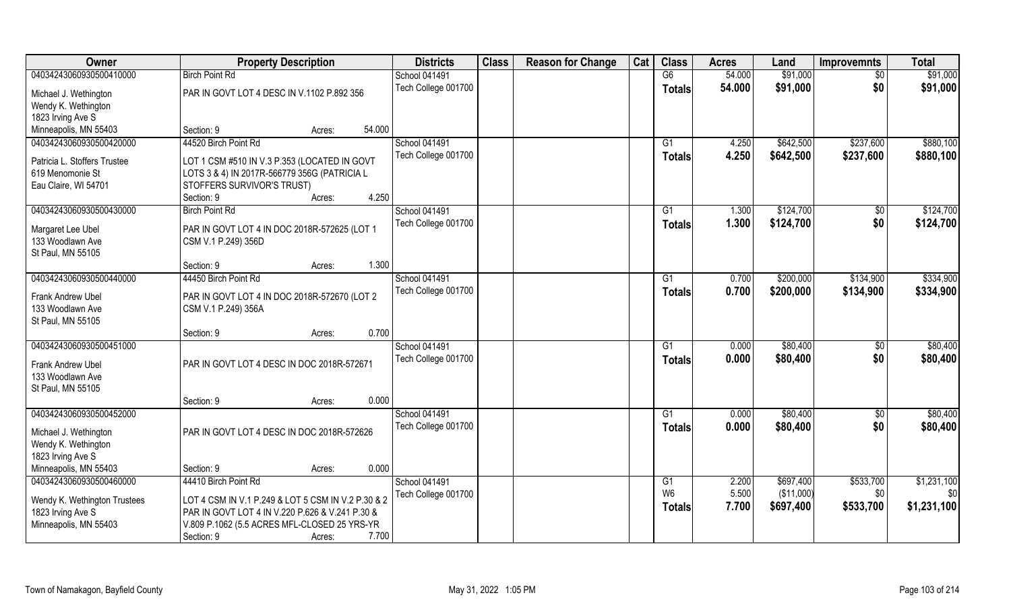| Owner                                            | <b>Property Description</b>                                                |        |        | <b>Districts</b>     | <b>Class</b> | <b>Reason for Change</b> | Cat | <b>Class</b>         | <b>Acres</b> | Land       | <b>Improvemnts</b> | <b>Total</b> |
|--------------------------------------------------|----------------------------------------------------------------------------|--------|--------|----------------------|--------------|--------------------------|-----|----------------------|--------------|------------|--------------------|--------------|
| 04034243060930500410000                          | <b>Birch Point Rd</b>                                                      |        |        | School 041491        |              |                          |     | G6                   | 54.000       | \$91,000   | $\overline{50}$    | \$91,000     |
| Michael J. Wethington                            | PAR IN GOVT LOT 4 DESC IN V.1102 P.892 356                                 |        |        | Tech College 001700  |              |                          |     | Totals               | 54.000       | \$91,000   | \$0                | \$91,000     |
| Wendy K. Wethington                              |                                                                            |        |        |                      |              |                          |     |                      |              |            |                    |              |
| 1823 Irving Ave S                                |                                                                            |        |        |                      |              |                          |     |                      |              |            |                    |              |
| Minneapolis, MN 55403                            | Section: 9                                                                 | Acres: | 54.000 |                      |              |                          |     |                      |              |            |                    |              |
| 04034243060930500420000                          | 44520 Birch Point Rd                                                       |        |        | <b>School 041491</b> |              |                          |     | G1                   | 4.250        | \$642,500  | \$237,600          | \$880,100    |
|                                                  |                                                                            |        |        | Tech College 001700  |              |                          |     | Totals               | 4.250        | \$642,500  | \$237,600          | \$880,100    |
| Patricia L. Stoffers Trustee<br>619 Menomonie St | LOT 1 CSM #510 IN V.3 P.353 (LOCATED IN GOVT                               |        |        |                      |              |                          |     |                      |              |            |                    |              |
| Eau Claire, WI 54701                             | LOTS 3 & 4) IN 2017R-566779 356G (PATRICIA L<br>STOFFERS SURVIVOR'S TRUST) |        |        |                      |              |                          |     |                      |              |            |                    |              |
|                                                  | Section: 9                                                                 | Acres: | 4.250  |                      |              |                          |     |                      |              |            |                    |              |
| 04034243060930500430000                          | <b>Birch Point Rd</b>                                                      |        |        | School 041491        |              |                          |     | G1                   | 1.300        | \$124,700  | \$0                | \$124,700    |
|                                                  |                                                                            |        |        | Tech College 001700  |              |                          |     |                      | 1.300        | \$124,700  | \$0                | \$124,700    |
| Margaret Lee Ubel                                | PAR IN GOVT LOT 4 IN DOC 2018R-572625 (LOT 1                               |        |        |                      |              |                          |     | <b>Totals</b>        |              |            |                    |              |
| 133 Woodlawn Ave                                 | CSM V.1 P.249) 356D                                                        |        |        |                      |              |                          |     |                      |              |            |                    |              |
| St Paul, MN 55105                                |                                                                            |        |        |                      |              |                          |     |                      |              |            |                    |              |
|                                                  | Section: 9                                                                 | Acres: | 1.300  |                      |              |                          |     |                      |              |            |                    |              |
| 04034243060930500440000                          | 44450 Birch Point Rd                                                       |        |        | School 041491        |              |                          |     | G1                   | 0.700        | \$200,000  | \$134,900          | \$334,900    |
| Frank Andrew Ubel                                | PAR IN GOVT LOT 4 IN DOC 2018R-572670 (LOT 2                               |        |        | Tech College 001700  |              |                          |     | <b>Totals</b>        | 0.700        | \$200,000  | \$134,900          | \$334,900    |
| 133 Woodlawn Ave                                 | CSM V.1 P.249) 356A                                                        |        |        |                      |              |                          |     |                      |              |            |                    |              |
| St Paul, MN 55105                                |                                                                            |        |        |                      |              |                          |     |                      |              |            |                    |              |
|                                                  | Section: 9                                                                 | Acres: | 0.700  |                      |              |                          |     |                      |              |            |                    |              |
| 04034243060930500451000                          |                                                                            |        |        | School 041491        |              |                          |     | G1                   | 0.000        | \$80,400   | $\sqrt[6]{3}$      | \$80,400     |
| Frank Andrew Ubel                                | PAR IN GOVT LOT 4 DESC IN DOC 2018R-572671                                 |        |        | Tech College 001700  |              |                          |     | <b>Totals</b>        | 0.000        | \$80,400   | \$0                | \$80,400     |
| 133 Woodlawn Ave                                 |                                                                            |        |        |                      |              |                          |     |                      |              |            |                    |              |
| St Paul, MN 55105                                |                                                                            |        |        |                      |              |                          |     |                      |              |            |                    |              |
|                                                  | Section: 9                                                                 | Acres: | 0.000  |                      |              |                          |     |                      |              |            |                    |              |
| 04034243060930500452000                          |                                                                            |        |        | School 041491        |              |                          |     | G1                   | 0.000        | \$80,400   | $\overline{60}$    | \$80,400     |
|                                                  |                                                                            |        |        | Tech College 001700  |              |                          |     | <b>Totals</b>        | 0.000        | \$80,400   | \$0                | \$80,400     |
| Michael J. Wethington                            | PAR IN GOVT LOT 4 DESC IN DOC 2018R-572626                                 |        |        |                      |              |                          |     |                      |              |            |                    |              |
| Wendy K. Wethington                              |                                                                            |        |        |                      |              |                          |     |                      |              |            |                    |              |
| 1823 Irving Ave S                                |                                                                            |        |        |                      |              |                          |     |                      |              |            |                    |              |
| Minneapolis, MN 55403                            | Section: 9                                                                 | Acres: | 0.000  |                      |              |                          |     |                      |              |            |                    |              |
| 04034243060930500460000                          | 44410 Birch Point Rd                                                       |        |        | School 041491        |              |                          |     | G1<br>W <sub>6</sub> | 2.200        | \$697,400  | \$533,700          | \$1,231,100  |
| Wendy K. Wethington Trustees                     | LOT 4 CSM IN V.1 P.249 & LOT 5 CSM IN V.2 P.30 & 2                         |        |        | Tech College 001700  |              |                          |     |                      | 5.500        | (\$11,000) | \$0                | \$0          |
| 1823 Irving Ave S                                | PAR IN GOVT LOT 4 IN V.220 P.626 & V.241 P.30 &                            |        |        |                      |              |                          |     | <b>Totals</b>        | 7.700        | \$697,400  | \$533,700          | \$1,231,100  |
| Minneapolis, MN 55403                            | V.809 P.1062 (5.5 ACRES MFL-CLOSED 25 YRS-YR                               |        |        |                      |              |                          |     |                      |              |            |                    |              |
|                                                  | Section: 9                                                                 | Acres: | 7.700  |                      |              |                          |     |                      |              |            |                    |              |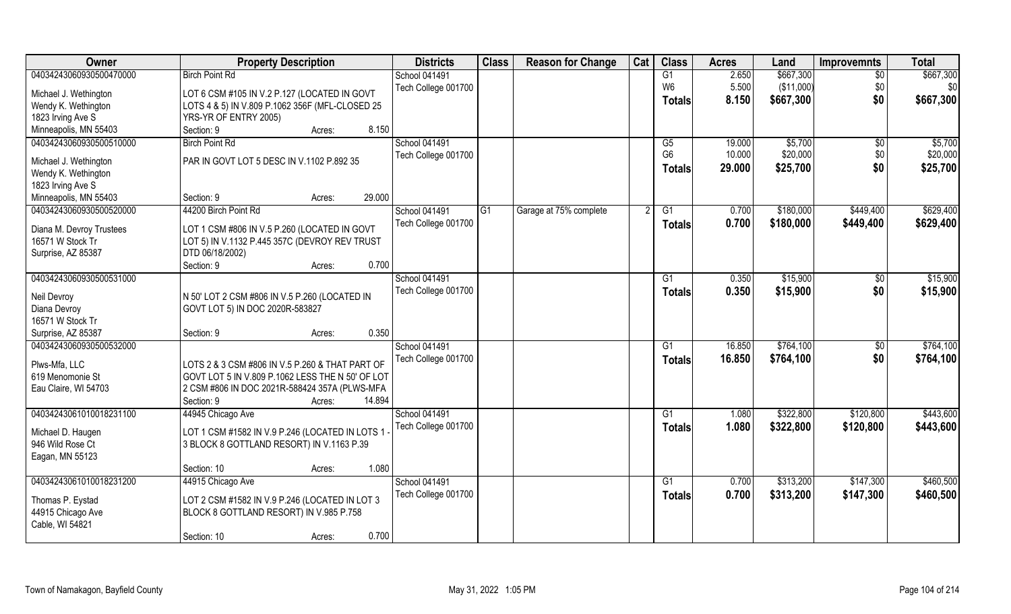| \$667,300<br>04034243060930500470000<br><b>Birch Point Rd</b><br>School 041491<br>2.650<br>G1<br>$\overline{50}$<br>(\$11,000)<br>Tech College 001700<br>W6<br>5.500<br>\$0<br>\$0<br>LOT 6 CSM #105 IN V.2 P.127 (LOCATED IN GOVT<br>Michael J. Wethington<br>\$0<br>8.150<br>\$667,300<br>\$667,300<br>Totals<br>LOTS 4 & 5) IN V.809 P.1062 356F (MFL-CLOSED 25<br>Wendy K. Wethington<br>1823 Irving Ave S<br>YRS-YR OF ENTRY 2005)<br>8.150<br>Minneapolis, MN 55403<br>Section: 9<br>Acres:<br>04034243060930500510000<br><b>School 041491</b><br><b>Birch Point Rd</b><br>19.000<br>\$5,700<br>\$5,700<br>G5<br>\$0<br>G <sub>6</sub><br>\$20,000<br>10.000<br>\$0<br>Tech College 001700<br>PAR IN GOVT LOT 5 DESC IN V.1102 P.892 35<br>Michael J. Wethington<br>\$0<br>29.000<br>\$25,700<br>\$25,700<br><b>Totals</b><br>Wendy K. Wethington<br>1823 Irving Ave S<br>29.000<br>Minneapolis, MN 55403<br>Section: 9<br>Acres:<br>04034243060930500520000<br>44200 Birch Point Rd<br><b>School 041491</b><br>Garage at 75% complete<br>\$180,000<br>\$449,400<br>G1<br>G1<br>0.700<br>Tech College 001700<br>0.700<br>\$180,000<br>\$449,400<br>\$629,400<br><b>Totals</b><br>LOT 1 CSM #806 IN V.5 P.260 (LOCATED IN GOVT<br>Diana M. Devroy Trustees<br>16571 W Stock Tr<br>LOT 5) IN V.1132 P.445 357C (DEVROY REV TRUST<br>DTD 06/18/2002)<br>Surprise, AZ 85387<br>0.700<br>Section: 9<br>Acres:<br>04034243060930500531000<br>School 041491<br>\$15,900<br>0.350<br>G1<br>\$0<br>Tech College 001700<br>\$0<br>0.350<br>\$15,900<br>\$15,900<br><b>Totals</b><br>Neil Devroy<br>N 50' LOT 2 CSM #806 IN V.5 P.260 (LOCATED IN<br>Diana Devroy<br>GOVT LOT 5) IN DOC 2020R-583827<br>16571 W Stock Tr<br>0.350<br>Surprise, AZ 85387<br>Section: 9<br>Acres:<br>04034243060930500532000<br>\$764,100<br><b>School 041491</b><br>16.850<br>\$0<br>G <sub>1</sub><br>\$764,100<br>\$0<br>\$764,100<br>Tech College 001700<br>16.850<br><b>Totals</b><br>Plws-Mfa, LLC<br>LOTS 2 & 3 CSM #806 IN V.5 P.260 & THAT PART OF<br>619 Menomonie St<br>GOVT LOT 5 IN V.809 P.1062 LESS THE N 50' OF LOT<br>Eau Claire, WI 54703<br>2 CSM #806 IN DOC 2021R-588424 357A (PLWS-MFA<br>Section: 9<br>14.894<br>Acres:<br>School 041491<br>\$322,800<br>\$443,600<br>04034243061010018231100<br>44945 Chicago Ave<br>G1<br>1.080<br>\$120,800<br>Tech College 001700<br>1.080<br>\$322,800<br>\$120,800<br>\$443,600<br><b>Totals</b><br>LOT 1 CSM #1582 IN V.9 P.246 (LOCATED IN LOTS 1<br>Michael D. Haugen<br>946 Wild Rose Ct<br>3 BLOCK 8 GOTTLAND RESORT) IN V.1163 P.39<br>Eagan, MN 55123<br>1.080<br>Section: 10<br>Acres:<br>04034243061010018231200<br>School 041491<br>\$313,200<br>44915 Chicago Ave<br>G1<br>0.700<br>\$147,300<br>Tech College 001700<br>\$313,200<br>\$147,300<br>\$460,500<br>0.700<br>Totals<br>LOT 2 CSM #1582 IN V.9 P.246 (LOCATED IN LOT 3<br>Thomas P. Eystad<br>44915 Chicago Ave<br>BLOCK 8 GOTTLAND RESORT) IN V.985 P.758<br>Cable, WI 54821 | Owner | <b>Property Description</b> | <b>Districts</b> | <b>Class</b> | <b>Reason for Change</b> | Cat | <b>Class</b> | <b>Acres</b> | Land | <b>Improvemnts</b> | <b>Total</b> |
|------------------------------------------------------------------------------------------------------------------------------------------------------------------------------------------------------------------------------------------------------------------------------------------------------------------------------------------------------------------------------------------------------------------------------------------------------------------------------------------------------------------------------------------------------------------------------------------------------------------------------------------------------------------------------------------------------------------------------------------------------------------------------------------------------------------------------------------------------------------------------------------------------------------------------------------------------------------------------------------------------------------------------------------------------------------------------------------------------------------------------------------------------------------------------------------------------------------------------------------------------------------------------------------------------------------------------------------------------------------------------------------------------------------------------------------------------------------------------------------------------------------------------------------------------------------------------------------------------------------------------------------------------------------------------------------------------------------------------------------------------------------------------------------------------------------------------------------------------------------------------------------------------------------------------------------------------------------------------------------------------------------------------------------------------------------------------------------------------------------------------------------------------------------------------------------------------------------------------------------------------------------------------------------------------------------------------------------------------------------------------------------------------------------------------------------------------------------------------------------------------------------------------------------------------------------------------------------------------------------------------------------------------------------------------------------------------------------------------------------------------------------------------------------------------------------------------------------------------------------------------------------------------------------------------------------------------------------------------------------|-------|-----------------------------|------------------|--------------|--------------------------|-----|--------------|--------------|------|--------------------|--------------|
| \$20,000<br>\$629,400<br>\$15,900<br>\$764,100<br>\$460,500                                                                                                                                                                                                                                                                                                                                                                                                                                                                                                                                                                                                                                                                                                                                                                                                                                                                                                                                                                                                                                                                                                                                                                                                                                                                                                                                                                                                                                                                                                                                                                                                                                                                                                                                                                                                                                                                                                                                                                                                                                                                                                                                                                                                                                                                                                                                                                                                                                                                                                                                                                                                                                                                                                                                                                                                                                                                                                                              |       |                             |                  |              |                          |     |              |              |      |                    | \$667,300    |
|                                                                                                                                                                                                                                                                                                                                                                                                                                                                                                                                                                                                                                                                                                                                                                                                                                                                                                                                                                                                                                                                                                                                                                                                                                                                                                                                                                                                                                                                                                                                                                                                                                                                                                                                                                                                                                                                                                                                                                                                                                                                                                                                                                                                                                                                                                                                                                                                                                                                                                                                                                                                                                                                                                                                                                                                                                                                                                                                                                                          |       |                             |                  |              |                          |     |              |              |      |                    |              |
|                                                                                                                                                                                                                                                                                                                                                                                                                                                                                                                                                                                                                                                                                                                                                                                                                                                                                                                                                                                                                                                                                                                                                                                                                                                                                                                                                                                                                                                                                                                                                                                                                                                                                                                                                                                                                                                                                                                                                                                                                                                                                                                                                                                                                                                                                                                                                                                                                                                                                                                                                                                                                                                                                                                                                                                                                                                                                                                                                                                          |       |                             |                  |              |                          |     |              |              |      |                    |              |
|                                                                                                                                                                                                                                                                                                                                                                                                                                                                                                                                                                                                                                                                                                                                                                                                                                                                                                                                                                                                                                                                                                                                                                                                                                                                                                                                                                                                                                                                                                                                                                                                                                                                                                                                                                                                                                                                                                                                                                                                                                                                                                                                                                                                                                                                                                                                                                                                                                                                                                                                                                                                                                                                                                                                                                                                                                                                                                                                                                                          |       |                             |                  |              |                          |     |              |              |      |                    |              |
|                                                                                                                                                                                                                                                                                                                                                                                                                                                                                                                                                                                                                                                                                                                                                                                                                                                                                                                                                                                                                                                                                                                                                                                                                                                                                                                                                                                                                                                                                                                                                                                                                                                                                                                                                                                                                                                                                                                                                                                                                                                                                                                                                                                                                                                                                                                                                                                                                                                                                                                                                                                                                                                                                                                                                                                                                                                                                                                                                                                          |       |                             |                  |              |                          |     |              |              |      |                    |              |
|                                                                                                                                                                                                                                                                                                                                                                                                                                                                                                                                                                                                                                                                                                                                                                                                                                                                                                                                                                                                                                                                                                                                                                                                                                                                                                                                                                                                                                                                                                                                                                                                                                                                                                                                                                                                                                                                                                                                                                                                                                                                                                                                                                                                                                                                                                                                                                                                                                                                                                                                                                                                                                                                                                                                                                                                                                                                                                                                                                                          |       |                             |                  |              |                          |     |              |              |      |                    |              |
|                                                                                                                                                                                                                                                                                                                                                                                                                                                                                                                                                                                                                                                                                                                                                                                                                                                                                                                                                                                                                                                                                                                                                                                                                                                                                                                                                                                                                                                                                                                                                                                                                                                                                                                                                                                                                                                                                                                                                                                                                                                                                                                                                                                                                                                                                                                                                                                                                                                                                                                                                                                                                                                                                                                                                                                                                                                                                                                                                                                          |       |                             |                  |              |                          |     |              |              |      |                    |              |
|                                                                                                                                                                                                                                                                                                                                                                                                                                                                                                                                                                                                                                                                                                                                                                                                                                                                                                                                                                                                                                                                                                                                                                                                                                                                                                                                                                                                                                                                                                                                                                                                                                                                                                                                                                                                                                                                                                                                                                                                                                                                                                                                                                                                                                                                                                                                                                                                                                                                                                                                                                                                                                                                                                                                                                                                                                                                                                                                                                                          |       |                             |                  |              |                          |     |              |              |      |                    |              |
|                                                                                                                                                                                                                                                                                                                                                                                                                                                                                                                                                                                                                                                                                                                                                                                                                                                                                                                                                                                                                                                                                                                                                                                                                                                                                                                                                                                                                                                                                                                                                                                                                                                                                                                                                                                                                                                                                                                                                                                                                                                                                                                                                                                                                                                                                                                                                                                                                                                                                                                                                                                                                                                                                                                                                                                                                                                                                                                                                                                          |       |                             |                  |              |                          |     |              |              |      |                    |              |
|                                                                                                                                                                                                                                                                                                                                                                                                                                                                                                                                                                                                                                                                                                                                                                                                                                                                                                                                                                                                                                                                                                                                                                                                                                                                                                                                                                                                                                                                                                                                                                                                                                                                                                                                                                                                                                                                                                                                                                                                                                                                                                                                                                                                                                                                                                                                                                                                                                                                                                                                                                                                                                                                                                                                                                                                                                                                                                                                                                                          |       |                             |                  |              |                          |     |              |              |      |                    |              |
|                                                                                                                                                                                                                                                                                                                                                                                                                                                                                                                                                                                                                                                                                                                                                                                                                                                                                                                                                                                                                                                                                                                                                                                                                                                                                                                                                                                                                                                                                                                                                                                                                                                                                                                                                                                                                                                                                                                                                                                                                                                                                                                                                                                                                                                                                                                                                                                                                                                                                                                                                                                                                                                                                                                                                                                                                                                                                                                                                                                          |       |                             |                  |              |                          |     |              |              |      |                    |              |
|                                                                                                                                                                                                                                                                                                                                                                                                                                                                                                                                                                                                                                                                                                                                                                                                                                                                                                                                                                                                                                                                                                                                                                                                                                                                                                                                                                                                                                                                                                                                                                                                                                                                                                                                                                                                                                                                                                                                                                                                                                                                                                                                                                                                                                                                                                                                                                                                                                                                                                                                                                                                                                                                                                                                                                                                                                                                                                                                                                                          |       |                             |                  |              |                          |     |              |              |      |                    |              |
|                                                                                                                                                                                                                                                                                                                                                                                                                                                                                                                                                                                                                                                                                                                                                                                                                                                                                                                                                                                                                                                                                                                                                                                                                                                                                                                                                                                                                                                                                                                                                                                                                                                                                                                                                                                                                                                                                                                                                                                                                                                                                                                                                                                                                                                                                                                                                                                                                                                                                                                                                                                                                                                                                                                                                                                                                                                                                                                                                                                          |       |                             |                  |              |                          |     |              |              |      |                    |              |
|                                                                                                                                                                                                                                                                                                                                                                                                                                                                                                                                                                                                                                                                                                                                                                                                                                                                                                                                                                                                                                                                                                                                                                                                                                                                                                                                                                                                                                                                                                                                                                                                                                                                                                                                                                                                                                                                                                                                                                                                                                                                                                                                                                                                                                                                                                                                                                                                                                                                                                                                                                                                                                                                                                                                                                                                                                                                                                                                                                                          |       |                             |                  |              |                          |     |              |              |      |                    |              |
|                                                                                                                                                                                                                                                                                                                                                                                                                                                                                                                                                                                                                                                                                                                                                                                                                                                                                                                                                                                                                                                                                                                                                                                                                                                                                                                                                                                                                                                                                                                                                                                                                                                                                                                                                                                                                                                                                                                                                                                                                                                                                                                                                                                                                                                                                                                                                                                                                                                                                                                                                                                                                                                                                                                                                                                                                                                                                                                                                                                          |       |                             |                  |              |                          |     |              |              |      |                    |              |
|                                                                                                                                                                                                                                                                                                                                                                                                                                                                                                                                                                                                                                                                                                                                                                                                                                                                                                                                                                                                                                                                                                                                                                                                                                                                                                                                                                                                                                                                                                                                                                                                                                                                                                                                                                                                                                                                                                                                                                                                                                                                                                                                                                                                                                                                                                                                                                                                                                                                                                                                                                                                                                                                                                                                                                                                                                                                                                                                                                                          |       |                             |                  |              |                          |     |              |              |      |                    |              |
|                                                                                                                                                                                                                                                                                                                                                                                                                                                                                                                                                                                                                                                                                                                                                                                                                                                                                                                                                                                                                                                                                                                                                                                                                                                                                                                                                                                                                                                                                                                                                                                                                                                                                                                                                                                                                                                                                                                                                                                                                                                                                                                                                                                                                                                                                                                                                                                                                                                                                                                                                                                                                                                                                                                                                                                                                                                                                                                                                                                          |       |                             |                  |              |                          |     |              |              |      |                    |              |
|                                                                                                                                                                                                                                                                                                                                                                                                                                                                                                                                                                                                                                                                                                                                                                                                                                                                                                                                                                                                                                                                                                                                                                                                                                                                                                                                                                                                                                                                                                                                                                                                                                                                                                                                                                                                                                                                                                                                                                                                                                                                                                                                                                                                                                                                                                                                                                                                                                                                                                                                                                                                                                                                                                                                                                                                                                                                                                                                                                                          |       |                             |                  |              |                          |     |              |              |      |                    |              |
|                                                                                                                                                                                                                                                                                                                                                                                                                                                                                                                                                                                                                                                                                                                                                                                                                                                                                                                                                                                                                                                                                                                                                                                                                                                                                                                                                                                                                                                                                                                                                                                                                                                                                                                                                                                                                                                                                                                                                                                                                                                                                                                                                                                                                                                                                                                                                                                                                                                                                                                                                                                                                                                                                                                                                                                                                                                                                                                                                                                          |       |                             |                  |              |                          |     |              |              |      |                    |              |
|                                                                                                                                                                                                                                                                                                                                                                                                                                                                                                                                                                                                                                                                                                                                                                                                                                                                                                                                                                                                                                                                                                                                                                                                                                                                                                                                                                                                                                                                                                                                                                                                                                                                                                                                                                                                                                                                                                                                                                                                                                                                                                                                                                                                                                                                                                                                                                                                                                                                                                                                                                                                                                                                                                                                                                                                                                                                                                                                                                                          |       |                             |                  |              |                          |     |              |              |      |                    |              |
|                                                                                                                                                                                                                                                                                                                                                                                                                                                                                                                                                                                                                                                                                                                                                                                                                                                                                                                                                                                                                                                                                                                                                                                                                                                                                                                                                                                                                                                                                                                                                                                                                                                                                                                                                                                                                                                                                                                                                                                                                                                                                                                                                                                                                                                                                                                                                                                                                                                                                                                                                                                                                                                                                                                                                                                                                                                                                                                                                                                          |       |                             |                  |              |                          |     |              |              |      |                    |              |
|                                                                                                                                                                                                                                                                                                                                                                                                                                                                                                                                                                                                                                                                                                                                                                                                                                                                                                                                                                                                                                                                                                                                                                                                                                                                                                                                                                                                                                                                                                                                                                                                                                                                                                                                                                                                                                                                                                                                                                                                                                                                                                                                                                                                                                                                                                                                                                                                                                                                                                                                                                                                                                                                                                                                                                                                                                                                                                                                                                                          |       |                             |                  |              |                          |     |              |              |      |                    |              |
|                                                                                                                                                                                                                                                                                                                                                                                                                                                                                                                                                                                                                                                                                                                                                                                                                                                                                                                                                                                                                                                                                                                                                                                                                                                                                                                                                                                                                                                                                                                                                                                                                                                                                                                                                                                                                                                                                                                                                                                                                                                                                                                                                                                                                                                                                                                                                                                                                                                                                                                                                                                                                                                                                                                                                                                                                                                                                                                                                                                          |       |                             |                  |              |                          |     |              |              |      |                    |              |
|                                                                                                                                                                                                                                                                                                                                                                                                                                                                                                                                                                                                                                                                                                                                                                                                                                                                                                                                                                                                                                                                                                                                                                                                                                                                                                                                                                                                                                                                                                                                                                                                                                                                                                                                                                                                                                                                                                                                                                                                                                                                                                                                                                                                                                                                                                                                                                                                                                                                                                                                                                                                                                                                                                                                                                                                                                                                                                                                                                                          |       |                             |                  |              |                          |     |              |              |      |                    |              |
|                                                                                                                                                                                                                                                                                                                                                                                                                                                                                                                                                                                                                                                                                                                                                                                                                                                                                                                                                                                                                                                                                                                                                                                                                                                                                                                                                                                                                                                                                                                                                                                                                                                                                                                                                                                                                                                                                                                                                                                                                                                                                                                                                                                                                                                                                                                                                                                                                                                                                                                                                                                                                                                                                                                                                                                                                                                                                                                                                                                          |       |                             |                  |              |                          |     |              |              |      |                    |              |
|                                                                                                                                                                                                                                                                                                                                                                                                                                                                                                                                                                                                                                                                                                                                                                                                                                                                                                                                                                                                                                                                                                                                                                                                                                                                                                                                                                                                                                                                                                                                                                                                                                                                                                                                                                                                                                                                                                                                                                                                                                                                                                                                                                                                                                                                                                                                                                                                                                                                                                                                                                                                                                                                                                                                                                                                                                                                                                                                                                                          |       |                             |                  |              |                          |     |              |              |      |                    |              |
|                                                                                                                                                                                                                                                                                                                                                                                                                                                                                                                                                                                                                                                                                                                                                                                                                                                                                                                                                                                                                                                                                                                                                                                                                                                                                                                                                                                                                                                                                                                                                                                                                                                                                                                                                                                                                                                                                                                                                                                                                                                                                                                                                                                                                                                                                                                                                                                                                                                                                                                                                                                                                                                                                                                                                                                                                                                                                                                                                                                          |       |                             |                  |              |                          |     |              |              |      |                    |              |
|                                                                                                                                                                                                                                                                                                                                                                                                                                                                                                                                                                                                                                                                                                                                                                                                                                                                                                                                                                                                                                                                                                                                                                                                                                                                                                                                                                                                                                                                                                                                                                                                                                                                                                                                                                                                                                                                                                                                                                                                                                                                                                                                                                                                                                                                                                                                                                                                                                                                                                                                                                                                                                                                                                                                                                                                                                                                                                                                                                                          |       |                             |                  |              |                          |     |              |              |      |                    |              |
|                                                                                                                                                                                                                                                                                                                                                                                                                                                                                                                                                                                                                                                                                                                                                                                                                                                                                                                                                                                                                                                                                                                                                                                                                                                                                                                                                                                                                                                                                                                                                                                                                                                                                                                                                                                                                                                                                                                                                                                                                                                                                                                                                                                                                                                                                                                                                                                                                                                                                                                                                                                                                                                                                                                                                                                                                                                                                                                                                                                          |       |                             |                  |              |                          |     |              |              |      |                    |              |
|                                                                                                                                                                                                                                                                                                                                                                                                                                                                                                                                                                                                                                                                                                                                                                                                                                                                                                                                                                                                                                                                                                                                                                                                                                                                                                                                                                                                                                                                                                                                                                                                                                                                                                                                                                                                                                                                                                                                                                                                                                                                                                                                                                                                                                                                                                                                                                                                                                                                                                                                                                                                                                                                                                                                                                                                                                                                                                                                                                                          |       |                             |                  |              |                          |     |              |              |      |                    |              |
|                                                                                                                                                                                                                                                                                                                                                                                                                                                                                                                                                                                                                                                                                                                                                                                                                                                                                                                                                                                                                                                                                                                                                                                                                                                                                                                                                                                                                                                                                                                                                                                                                                                                                                                                                                                                                                                                                                                                                                                                                                                                                                                                                                                                                                                                                                                                                                                                                                                                                                                                                                                                                                                                                                                                                                                                                                                                                                                                                                                          |       |                             |                  |              |                          |     |              |              |      |                    |              |
|                                                                                                                                                                                                                                                                                                                                                                                                                                                                                                                                                                                                                                                                                                                                                                                                                                                                                                                                                                                                                                                                                                                                                                                                                                                                                                                                                                                                                                                                                                                                                                                                                                                                                                                                                                                                                                                                                                                                                                                                                                                                                                                                                                                                                                                                                                                                                                                                                                                                                                                                                                                                                                                                                                                                                                                                                                                                                                                                                                                          |       |                             |                  |              |                          |     |              |              |      |                    |              |
|                                                                                                                                                                                                                                                                                                                                                                                                                                                                                                                                                                                                                                                                                                                                                                                                                                                                                                                                                                                                                                                                                                                                                                                                                                                                                                                                                                                                                                                                                                                                                                                                                                                                                                                                                                                                                                                                                                                                                                                                                                                                                                                                                                                                                                                                                                                                                                                                                                                                                                                                                                                                                                                                                                                                                                                                                                                                                                                                                                                          |       |                             |                  |              |                          |     |              |              |      |                    |              |
|                                                                                                                                                                                                                                                                                                                                                                                                                                                                                                                                                                                                                                                                                                                                                                                                                                                                                                                                                                                                                                                                                                                                                                                                                                                                                                                                                                                                                                                                                                                                                                                                                                                                                                                                                                                                                                                                                                                                                                                                                                                                                                                                                                                                                                                                                                                                                                                                                                                                                                                                                                                                                                                                                                                                                                                                                                                                                                                                                                                          |       |                             |                  |              |                          |     |              |              |      |                    |              |
|                                                                                                                                                                                                                                                                                                                                                                                                                                                                                                                                                                                                                                                                                                                                                                                                                                                                                                                                                                                                                                                                                                                                                                                                                                                                                                                                                                                                                                                                                                                                                                                                                                                                                                                                                                                                                                                                                                                                                                                                                                                                                                                                                                                                                                                                                                                                                                                                                                                                                                                                                                                                                                                                                                                                                                                                                                                                                                                                                                                          |       |                             |                  |              |                          |     |              |              |      |                    |              |
|                                                                                                                                                                                                                                                                                                                                                                                                                                                                                                                                                                                                                                                                                                                                                                                                                                                                                                                                                                                                                                                                                                                                                                                                                                                                                                                                                                                                                                                                                                                                                                                                                                                                                                                                                                                                                                                                                                                                                                                                                                                                                                                                                                                                                                                                                                                                                                                                                                                                                                                                                                                                                                                                                                                                                                                                                                                                                                                                                                                          |       |                             |                  |              |                          |     |              |              |      |                    |              |
| 0.700<br>Acres:                                                                                                                                                                                                                                                                                                                                                                                                                                                                                                                                                                                                                                                                                                                                                                                                                                                                                                                                                                                                                                                                                                                                                                                                                                                                                                                                                                                                                                                                                                                                                                                                                                                                                                                                                                                                                                                                                                                                                                                                                                                                                                                                                                                                                                                                                                                                                                                                                                                                                                                                                                                                                                                                                                                                                                                                                                                                                                                                                                          |       | Section: 10                 |                  |              |                          |     |              |              |      |                    |              |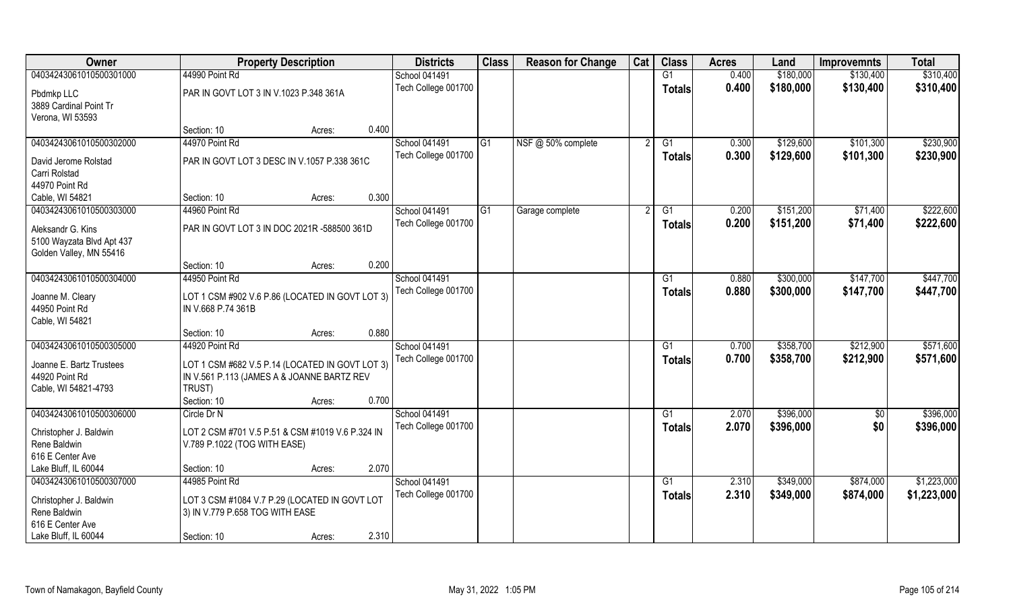| Owner                                      | <b>Property Description</b>                                                                   | <b>Districts</b>    | <b>Class</b>   | <b>Reason for Change</b> | Cat | <b>Class</b>  | <b>Acres</b> | Land      | <b>Improvemnts</b> | <b>Total</b> |
|--------------------------------------------|-----------------------------------------------------------------------------------------------|---------------------|----------------|--------------------------|-----|---------------|--------------|-----------|--------------------|--------------|
| 04034243061010500301000                    | 44990 Point Rd                                                                                | School 041491       |                |                          |     | G1            | 0.400        | \$180,000 | \$130,400          | \$310,400    |
| Pbdmkp LLC                                 | PAR IN GOVT LOT 3 IN V.1023 P.348 361A                                                        | Tech College 001700 |                |                          |     | <b>Totals</b> | 0.400        | \$180,000 | \$130,400          | \$310,400    |
| 3889 Cardinal Point Tr                     |                                                                                               |                     |                |                          |     |               |              |           |                    |              |
| Verona, WI 53593                           |                                                                                               |                     |                |                          |     |               |              |           |                    |              |
|                                            | 0.400<br>Section: 10<br>Acres:                                                                |                     |                |                          |     |               |              |           |                    |              |
| 04034243061010500302000                    | 44970 Point Rd                                                                                | School 041491       | G <sub>1</sub> | NSF @ 50% complete       |     | G1            | 0.300        | \$129,600 | \$101,300          | \$230,900    |
| David Jerome Rolstad                       | PAR IN GOVT LOT 3 DESC IN V.1057 P.338 361C                                                   | Tech College 001700 |                |                          |     | Totals        | 0.300        | \$129,600 | \$101,300          | \$230,900    |
| Carri Rolstad                              |                                                                                               |                     |                |                          |     |               |              |           |                    |              |
| 44970 Point Rd                             |                                                                                               |                     |                |                          |     |               |              |           |                    |              |
| Cable, WI 54821                            | 0.300<br>Section: 10<br>Acres:                                                                |                     |                |                          |     |               |              |           |                    |              |
| 04034243061010500303000                    | 44960 Point Rd                                                                                | School 041491       | G <sub>1</sub> | Garage complete          |     | G1            | 0.200        | \$151,200 | \$71,400           | \$222,600    |
| Aleksandr G. Kins                          | PAR IN GOVT LOT 3 IN DOC 2021R -588500 361D                                                   | Tech College 001700 |                |                          |     | <b>Totals</b> | 0.200        | \$151,200 | \$71,400           | \$222,600    |
| 5100 Wayzata Blvd Apt 437                  |                                                                                               |                     |                |                          |     |               |              |           |                    |              |
| Golden Valley, MN 55416                    |                                                                                               |                     |                |                          |     |               |              |           |                    |              |
|                                            | 0.200<br>Section: 10<br>Acres:                                                                |                     |                |                          |     |               |              |           |                    |              |
| 04034243061010500304000                    | 44950 Point Rd                                                                                | School 041491       |                |                          |     | G1            | 0.880        | \$300,000 | \$147,700          | \$447,700    |
|                                            |                                                                                               | Tech College 001700 |                |                          |     | <b>Totals</b> | 0.880        | \$300,000 | \$147,700          | \$447,700    |
| Joanne M. Cleary<br>44950 Point Rd         | LOT 1 CSM #902 V.6 P.86 (LOCATED IN GOVT LOT 3)<br>IN V.668 P.74 361B                         |                     |                |                          |     |               |              |           |                    |              |
| Cable, WI 54821                            |                                                                                               |                     |                |                          |     |               |              |           |                    |              |
|                                            | 0.880<br>Section: 10<br>Acres:                                                                |                     |                |                          |     |               |              |           |                    |              |
| 04034243061010500305000                    | 44920 Point Rd                                                                                | School 041491       |                |                          |     | G1            | 0.700        | \$358,700 | \$212,900          | \$571,600    |
|                                            |                                                                                               | Tech College 001700 |                |                          |     | Totals        | 0.700        | \$358,700 | \$212,900          | \$571,600    |
| Joanne E. Bartz Trustees<br>44920 Point Rd | LOT 1 CSM #682 V.5 P.14 (LOCATED IN GOVT LOT 3)<br>IN V.561 P.113 (JAMES A & JOANNE BARTZ REV |                     |                |                          |     |               |              |           |                    |              |
| Cable, WI 54821-4793                       | TRUST)                                                                                        |                     |                |                          |     |               |              |           |                    |              |
|                                            | 0.700<br>Section: 10<br>Acres:                                                                |                     |                |                          |     |               |              |           |                    |              |
| 04034243061010500306000                    | Circle Dr N                                                                                   | School 041491       |                |                          |     | G1            | 2.070        | \$396,000 | $\overline{50}$    | \$396,000    |
|                                            |                                                                                               | Tech College 001700 |                |                          |     | <b>Totals</b> | 2.070        | \$396,000 | \$0                | \$396,000    |
| Christopher J. Baldwin                     | LOT 2 CSM #701 V.5 P.51 & CSM #1019 V.6 P.324 IN                                              |                     |                |                          |     |               |              |           |                    |              |
| Rene Baldwin<br>616 E Center Ave           | V.789 P.1022 (TOG WITH EASE)                                                                  |                     |                |                          |     |               |              |           |                    |              |
| Lake Bluff, IL 60044                       | 2.070<br>Section: 10<br>Acres:                                                                |                     |                |                          |     |               |              |           |                    |              |
| 04034243061010500307000                    | 44985 Point Rd                                                                                | School 041491       |                |                          |     | G1            | 2.310        | \$349,000 | \$874,000          | \$1,223,000  |
|                                            |                                                                                               | Tech College 001700 |                |                          |     | <b>Totals</b> | 2.310        | \$349,000 | \$874,000          | \$1,223,000  |
| Christopher J. Baldwin                     | LOT 3 CSM #1084 V.7 P.29 (LOCATED IN GOVT LOT                                                 |                     |                |                          |     |               |              |           |                    |              |
| Rene Baldwin                               | 3) IN V.779 P.658 TOG WITH EASE                                                               |                     |                |                          |     |               |              |           |                    |              |
| 616 E Center Ave                           |                                                                                               |                     |                |                          |     |               |              |           |                    |              |
| Lake Bluff, IL 60044                       | 2.310<br>Section: 10<br>Acres:                                                                |                     |                |                          |     |               |              |           |                    |              |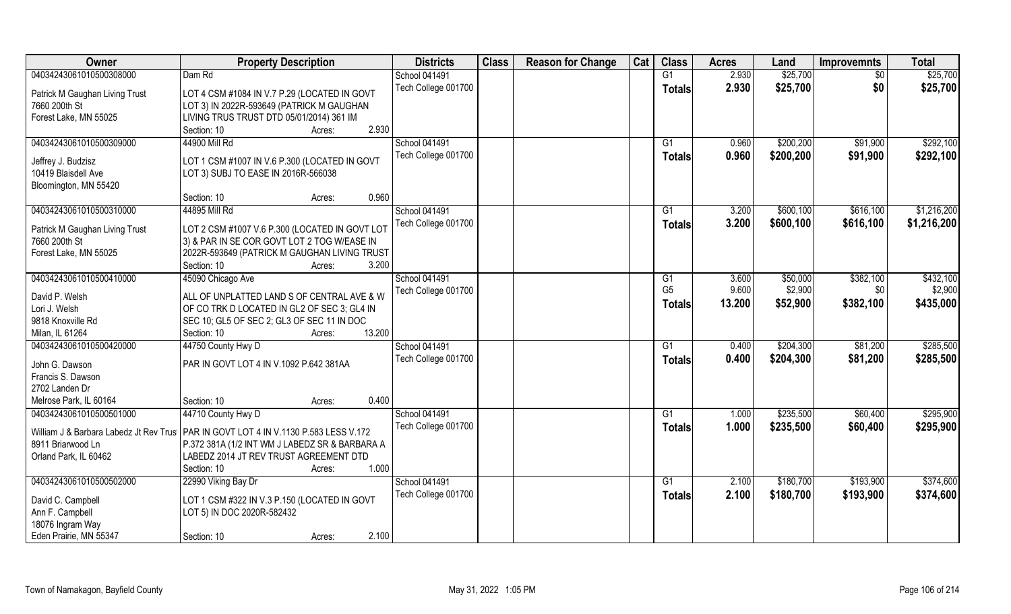| Owner                                | <b>Property Description</b>                                                           | <b>Districts</b>     | <b>Class</b> | <b>Reason for Change</b> | Cat | <b>Class</b>    | <b>Acres</b> | Land      | <b>Improvemnts</b> | <b>Total</b> |
|--------------------------------------|---------------------------------------------------------------------------------------|----------------------|--------------|--------------------------|-----|-----------------|--------------|-----------|--------------------|--------------|
| 04034243061010500308000              | Dam Rd                                                                                | School 041491        |              |                          |     | $\overline{G1}$ | 2.930        | \$25,700  | $\overline{50}$    | \$25,700     |
| Patrick M Gaughan Living Trust       | LOT 4 CSM #1084 IN V.7 P.29 (LOCATED IN GOVT                                          | Tech College 001700  |              |                          |     | <b>Totals</b>   | 2.930        | \$25,700  | \$0                | \$25,700     |
| 7660 200th St                        | LOT 3) IN 2022R-593649 (PATRICK M GAUGHAN                                             |                      |              |                          |     |                 |              |           |                    |              |
| Forest Lake, MN 55025                | LIVING TRUS TRUST DTD 05/01/2014) 361 IM                                              |                      |              |                          |     |                 |              |           |                    |              |
|                                      | 2.930<br>Section: 10<br>Acres:                                                        |                      |              |                          |     |                 |              |           |                    |              |
| 04034243061010500309000              | 44900 Mill Rd                                                                         | <b>School 041491</b> |              |                          |     | G <sub>1</sub>  | 0.960        | \$200,200 | \$91,900           | \$292,100    |
|                                      |                                                                                       | Tech College 001700  |              |                          |     | <b>Totals</b>   | 0.960        | \$200,200 | \$91,900           | \$292,100    |
| Jeffrey J. Budzisz                   | LOT 1 CSM #1007 IN V.6 P.300 (LOCATED IN GOVT                                         |                      |              |                          |     |                 |              |           |                    |              |
| 10419 Blaisdell Ave                  | LOT 3) SUBJ TO EASE IN 2016R-566038                                                   |                      |              |                          |     |                 |              |           |                    |              |
| Bloomington, MN 55420                |                                                                                       |                      |              |                          |     |                 |              |           |                    |              |
|                                      | 0.960<br>Section: 10<br>Acres:                                                        |                      |              |                          |     |                 |              |           |                    |              |
| 04034243061010500310000              | 44895 Mill Rd                                                                         | <b>School 041491</b> |              |                          |     | G1              | 3.200        | \$600,100 | \$616,100          | \$1,216,200  |
| Patrick M Gaughan Living Trust       | LOT 2 CSM #1007 V.6 P.300 (LOCATED IN GOVT LOT                                        | Tech College 001700  |              |                          |     | <b>Totals</b>   | 3.200        | \$600,100 | \$616,100          | \$1,216,200  |
| 7660 200th St                        | 3) & PAR IN SE COR GOVT LOT 2 TOG W/EASE IN                                           |                      |              |                          |     |                 |              |           |                    |              |
| Forest Lake, MN 55025                | 2022R-593649 (PATRICK M GAUGHAN LIVING TRUST                                          |                      |              |                          |     |                 |              |           |                    |              |
|                                      | 3.200<br>Section: 10<br>Acres:                                                        |                      |              |                          |     |                 |              |           |                    |              |
| 04034243061010500410000              | 45090 Chicago Ave                                                                     | School 041491        |              |                          |     | G1              | 3.600        | \$50,000  | \$382,100          | \$432,100    |
| David P. Welsh                       | ALL OF UNPLATTED LAND S OF CENTRAL AVE & W                                            | Tech College 001700  |              |                          |     | G <sub>5</sub>  | 9.600        | \$2,900   | \$0                | \$2,900      |
| Lori J. Welsh                        | OF CO TRK D LOCATED IN GL2 OF SEC 3; GL4 IN                                           |                      |              |                          |     | <b>Totals</b>   | 13.200       | \$52,900  | \$382,100          | \$435,000    |
| 9818 Knoxville Rd                    | SEC 10; GL5 OF SEC 2; GL3 OF SEC 11 IN DOC                                            |                      |              |                          |     |                 |              |           |                    |              |
| Milan, IL 61264                      | 13.200<br>Section: 10<br>Acres:                                                       |                      |              |                          |     |                 |              |           |                    |              |
| 04034243061010500420000              | 44750 County Hwy D                                                                    | School 041491        |              |                          |     | G1              | 0.400        | \$204,300 | \$81,200           | \$285,500    |
|                                      |                                                                                       | Tech College 001700  |              |                          |     | <b>Totals</b>   | 0.400        | \$204,300 | \$81,200           | \$285,500    |
| John G. Dawson                       | PAR IN GOVT LOT 4 IN V.1092 P.642 381AA                                               |                      |              |                          |     |                 |              |           |                    |              |
| Francis S. Dawson                    |                                                                                       |                      |              |                          |     |                 |              |           |                    |              |
| 2702 Landen Dr                       |                                                                                       |                      |              |                          |     |                 |              |           |                    |              |
| Melrose Park, IL 60164               | 0.400<br>Section: 10<br>Acres:                                                        |                      |              |                          |     |                 |              |           |                    |              |
| 04034243061010500501000              | 44710 County Hwy D                                                                    | School 041491        |              |                          |     | $\overline{G1}$ | 1.000        | \$235,500 | \$60,400           | \$295,900    |
|                                      | William J & Barbara Labedz Jt Rev Trus   PAR IN GOVT LOT 4 IN V.1130 P.583 LESS V.172 | Tech College 001700  |              |                          |     | <b>Totals</b>   | 1.000        | \$235,500 | \$60,400           | \$295,900    |
| 8911 Briarwood Ln                    | P.372 381A (1/2 INT WM J LABEDZ SR & BARBARA A                                        |                      |              |                          |     |                 |              |           |                    |              |
| Orland Park, IL 60462                | LABEDZ 2014 JT REV TRUST AGREEMENT DTD                                                |                      |              |                          |     |                 |              |           |                    |              |
|                                      | 1.000<br>Section: 10<br>Acres:                                                        |                      |              |                          |     |                 |              |           |                    |              |
| 04034243061010500502000              | 22990 Viking Bay Dr                                                                   | School 041491        |              |                          |     | G1              | 2.100        | \$180,700 | \$193,900          | \$374,600    |
|                                      |                                                                                       | Tech College 001700  |              |                          |     | Totals          | 2.100        | \$180,700 | \$193,900          | \$374,600    |
| David C. Campbell<br>Ann F. Campbell | LOT 1 CSM #322 IN V.3 P.150 (LOCATED IN GOVT<br>LOT 5) IN DOC 2020R-582432            |                      |              |                          |     |                 |              |           |                    |              |
| 18076 Ingram Way                     |                                                                                       |                      |              |                          |     |                 |              |           |                    |              |
| Eden Prairie, MN 55347               | 2.100<br>Section: 10<br>Acres:                                                        |                      |              |                          |     |                 |              |           |                    |              |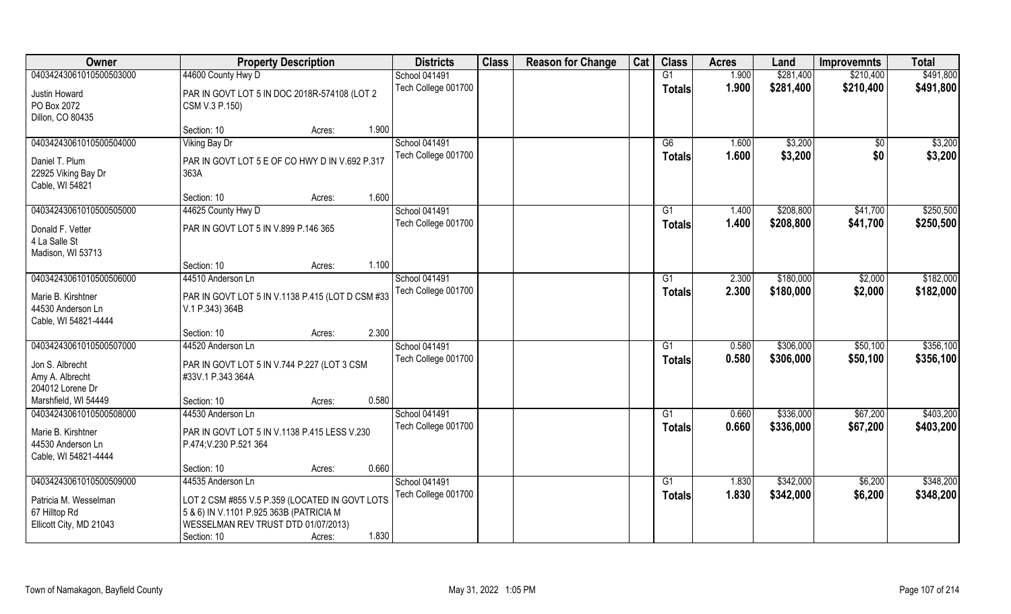| Owner                                   | <b>Property Description</b>                         | <b>Districts</b>     | <b>Class</b> | <b>Reason for Change</b> | Cat | <b>Class</b>  | <b>Acres</b> | Land      | <b>Improvemnts</b> | <b>Total</b> |
|-----------------------------------------|-----------------------------------------------------|----------------------|--------------|--------------------------|-----|---------------|--------------|-----------|--------------------|--------------|
| 04034243061010500503000                 | 44600 County Hwy D                                  | School 041491        |              |                          |     | G1            | 1.900        | \$281,400 | \$210,400          | \$491,800    |
| Justin Howard                           | PAR IN GOVT LOT 5 IN DOC 2018R-574108 (LOT 2        | Tech College 001700  |              |                          |     | <b>Totals</b> | 1.900        | \$281,400 | \$210,400          | \$491,800    |
| PO Box 2072                             | CSM V.3 P.150)                                      |                      |              |                          |     |               |              |           |                    |              |
| Dillon, CO 80435                        |                                                     |                      |              |                          |     |               |              |           |                    |              |
|                                         | 1.900<br>Section: 10<br>Acres:                      |                      |              |                          |     |               |              |           |                    |              |
| 04034243061010500504000                 | <b>Viking Bay Dr</b>                                | <b>School 041491</b> |              |                          |     | G6            | 1.600        | \$3,200   | \$0                | \$3,200      |
| Daniel T. Plum                          | PAR IN GOVT LOT 5 E OF CO HWY D IN V.692 P.317      | Tech College 001700  |              |                          |     | Totals        | 1.600        | \$3,200   | \$0                | \$3,200      |
| 22925 Viking Bay Dr                     | 363A                                                |                      |              |                          |     |               |              |           |                    |              |
| Cable, WI 54821                         |                                                     |                      |              |                          |     |               |              |           |                    |              |
|                                         | 1.600<br>Section: 10<br>Acres:                      |                      |              |                          |     |               |              |           |                    |              |
| 04034243061010500505000                 | 44625 County Hwy D                                  | School 041491        |              |                          |     | G1            | 1.400        | \$208,800 | \$41,700           | \$250,500    |
| Donald F. Vetter                        | PAR IN GOVT LOT 5 IN V.899 P.146 365                | Tech College 001700  |              |                          |     | <b>Totals</b> | 1.400        | \$208,800 | \$41,700           | \$250,500    |
| 4 La Salle St                           |                                                     |                      |              |                          |     |               |              |           |                    |              |
| Madison, WI 53713                       |                                                     |                      |              |                          |     |               |              |           |                    |              |
|                                         | 1.100<br>Section: 10<br>Acres:                      |                      |              |                          |     |               |              |           |                    |              |
| 04034243061010500506000                 | 44510 Anderson Ln                                   | School 041491        |              |                          |     | G1            | 2.300        | \$180,000 | \$2,000            | \$182,000    |
|                                         |                                                     | Tech College 001700  |              |                          |     | <b>Totals</b> | 2.300        | \$180,000 | \$2,000            | \$182,000    |
| Marie B. Kirshtner<br>44530 Anderson Ln | PAR IN GOVT LOT 5 IN V.1138 P.415 (LOT D CSM #33    |                      |              |                          |     |               |              |           |                    |              |
| Cable, WI 54821-4444                    | V.1 P.343) 364B                                     |                      |              |                          |     |               |              |           |                    |              |
|                                         | 2.300<br>Section: 10<br>Acres:                      |                      |              |                          |     |               |              |           |                    |              |
| 04034243061010500507000                 | 44520 Anderson Ln                                   | School 041491        |              |                          |     | G1            | 0.580        | \$306,000 | \$50,100           | \$356,100    |
|                                         |                                                     | Tech College 001700  |              |                          |     | <b>Totals</b> | 0.580        | \$306,000 | \$50,100           | \$356,100    |
| Jon S. Albrecht                         | PAR IN GOVT LOT 5 IN V.744 P.227 (LOT 3 CSM         |                      |              |                          |     |               |              |           |                    |              |
| Amy A. Albrecht<br>204012 Lorene Dr     | #33V.1 P.343 364A                                   |                      |              |                          |     |               |              |           |                    |              |
| Marshfield, WI 54449                    | 0.580<br>Section: 10<br>Acres:                      |                      |              |                          |     |               |              |           |                    |              |
| 04034243061010500508000                 | 44530 Anderson Ln                                   | School 041491        |              |                          |     | G1            | 0.660        | \$336,000 | \$67,200           | \$403,200    |
|                                         |                                                     | Tech College 001700  |              |                          |     | <b>Totals</b> | 0.660        | \$336,000 | \$67,200           | \$403,200    |
| Marie B. Kirshtner                      | PAR IN GOVT LOT 5 IN V.1138 P.415 LESS V.230        |                      |              |                          |     |               |              |           |                    |              |
| 44530 Anderson Ln                       | P.474; V.230 P.521 364                              |                      |              |                          |     |               |              |           |                    |              |
| Cable, WI 54821-4444                    |                                                     |                      |              |                          |     |               |              |           |                    |              |
| 04034243061010500509000                 | 0.660<br>Section: 10<br>Acres:<br>44535 Anderson Ln | School 041491        |              |                          |     | G1            | 1.830        | \$342,000 | \$6,200            | \$348,200    |
|                                         |                                                     | Tech College 001700  |              |                          |     |               |              |           |                    |              |
| Patricia M. Wesselman                   | LOT 2 CSM #855 V.5 P.359 (LOCATED IN GOVT LOTS      |                      |              |                          |     | Totals        | 1.830        | \$342,000 | \$6,200            | \$348,200    |
| 67 Hilltop Rd                           | 5 & 6) IN V.1101 P.925 363B (PATRICIA M             |                      |              |                          |     |               |              |           |                    |              |
| Ellicott City, MD 21043                 | WESSELMAN REV TRUST DTD 01/07/2013)                 |                      |              |                          |     |               |              |           |                    |              |
|                                         | 1.830<br>Section: 10<br>Acres:                      |                      |              |                          |     |               |              |           |                    |              |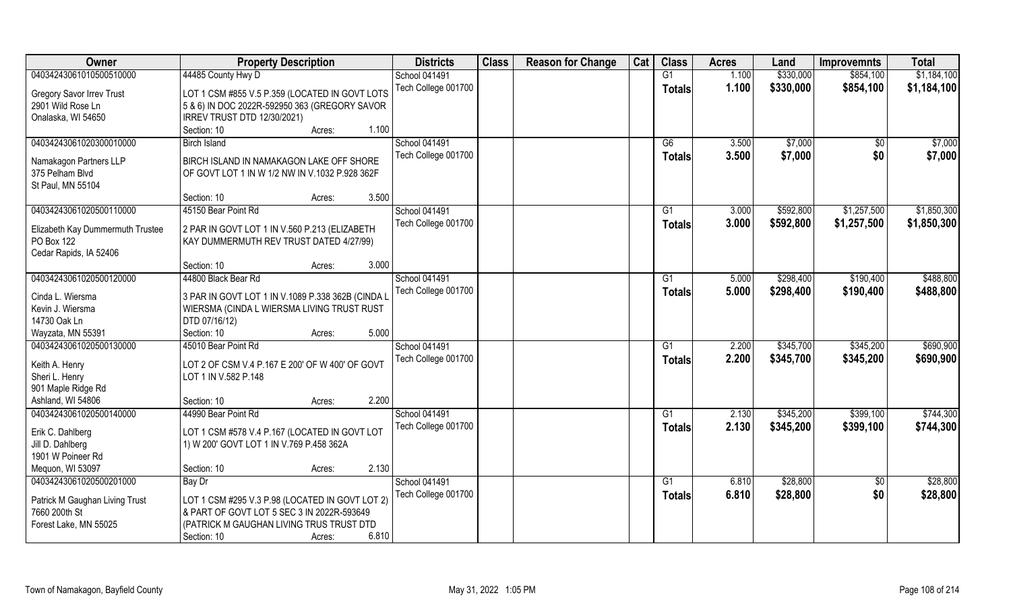| Owner                            | <b>Property Description</b>                       | <b>Districts</b>    | <b>Class</b> | <b>Reason for Change</b> | Cat | <b>Class</b>    | <b>Acres</b> | Land      | <b>Improvemnts</b> | <b>Total</b> |
|----------------------------------|---------------------------------------------------|---------------------|--------------|--------------------------|-----|-----------------|--------------|-----------|--------------------|--------------|
| 04034243061010500510000          | 44485 County Hwy D                                | School 041491       |              |                          |     | G1              | 1.100        | \$330,000 | \$854,100          | \$1,184,100  |
| Gregory Savor Irrev Trust        | LOT 1 CSM #855 V.5 P.359 (LOCATED IN GOVT LOTS    | Tech College 001700 |              |                          |     | <b>Totals</b>   | 1.100        | \$330,000 | \$854,100          | \$1,184,100  |
| 2901 Wild Rose Ln                | 5 & 6) IN DOC 2022R-592950 363 (GREGORY SAVOR     |                     |              |                          |     |                 |              |           |                    |              |
| Onalaska, WI 54650               | IRREV TRUST DTD 12/30/2021)                       |                     |              |                          |     |                 |              |           |                    |              |
|                                  | 1.100<br>Section: 10<br>Acres:                    |                     |              |                          |     |                 |              |           |                    |              |
| 04034243061020300010000          | <b>Birch Island</b>                               | School 041491       |              |                          |     | G6              | 3.500        | \$7,000   |                    | \$7,000      |
|                                  |                                                   |                     |              |                          |     |                 |              |           | \$0                |              |
| Namakagon Partners LLP           | BIRCH ISLAND IN NAMAKAGON LAKE OFF SHORE          | Tech College 001700 |              |                          |     | <b>Totals</b>   | 3.500        | \$7,000   | \$0                | \$7,000      |
| 375 Pelham Blvd                  | OF GOVT LOT 1 IN W 1/2 NW IN V.1032 P.928 362F    |                     |              |                          |     |                 |              |           |                    |              |
| St Paul, MN 55104                |                                                   |                     |              |                          |     |                 |              |           |                    |              |
|                                  | 3.500<br>Section: 10<br>Acres:                    |                     |              |                          |     |                 |              |           |                    |              |
| 04034243061020500110000          | 45150 Bear Point Rd                               | School 041491       |              |                          |     | G1              | 3.000        | \$592,800 | \$1,257,500        | \$1,850,300  |
|                                  |                                                   | Tech College 001700 |              |                          |     | <b>Totals</b>   | 3.000        | \$592,800 | \$1,257,500        | \$1,850,300  |
| Elizabeth Kay Dummermuth Trustee | 2 PAR IN GOVT LOT 1 IN V.560 P.213 (ELIZABETH     |                     |              |                          |     |                 |              |           |                    |              |
| PO Box 122                       | KAY DUMMERMUTH REV TRUST DATED 4/27/99)           |                     |              |                          |     |                 |              |           |                    |              |
| Cedar Rapids, IA 52406           | 3.000                                             |                     |              |                          |     |                 |              |           |                    |              |
|                                  | Section: 10<br>Acres:                             |                     |              |                          |     |                 |              |           |                    |              |
| 04034243061020500120000          | 44800 Black Bear Rd                               | School 041491       |              |                          |     | G1              | 5.000        | \$298,400 | \$190,400          | \$488,800    |
| Cinda L. Wiersma                 | 3 PAR IN GOVT LOT 1 IN V.1089 P.338 362B (CINDA L | Tech College 001700 |              |                          |     | <b>Totals</b>   | 5.000        | \$298,400 | \$190,400          | \$488,800    |
| Kevin J. Wiersma                 | WIERSMA (CINDA L WIERSMA LIVING TRUST RUST        |                     |              |                          |     |                 |              |           |                    |              |
| 14730 Oak Ln                     | DTD 07/16/12)                                     |                     |              |                          |     |                 |              |           |                    |              |
| Wayzata, MN 55391                | 5.000<br>Section: 10<br>Acres:                    |                     |              |                          |     |                 |              |           |                    |              |
| 04034243061020500130000          | 45010 Bear Point Rd                               | School 041491       |              |                          |     | G1              | 2.200        | \$345,700 | \$345,200          | \$690,900    |
|                                  |                                                   | Tech College 001700 |              |                          |     | <b>Totals</b>   | 2.200        | \$345,700 | \$345,200          | \$690,900    |
| Keith A. Henry                   | LOT 2 OF CSM V.4 P.167 E 200' OF W 400' OF GOVT   |                     |              |                          |     |                 |              |           |                    |              |
| Sheri L. Henry                   | LOT 1 IN V.582 P.148                              |                     |              |                          |     |                 |              |           |                    |              |
| 901 Maple Ridge Rd               |                                                   |                     |              |                          |     |                 |              |           |                    |              |
| Ashland, WI 54806                | 2.200<br>Section: 10<br>Acres:                    |                     |              |                          |     |                 |              |           |                    |              |
| 04034243061020500140000          | 44990 Bear Point Rd                               | School 041491       |              |                          |     | $\overline{G1}$ | 2.130        | \$345,200 | \$399,100          | \$744,300    |
| Erik C. Dahlberg                 | LOT 1 CSM #578 V.4 P.167 (LOCATED IN GOVT LOT     | Tech College 001700 |              |                          |     | <b>Totals</b>   | 2.130        | \$345,200 | \$399,100          | \$744,300    |
| Jill D. Dahlberg                 | 1) W 200' GOVT LOT 1 IN V.769 P.458 362A          |                     |              |                          |     |                 |              |           |                    |              |
| 1901 W Poineer Rd                |                                                   |                     |              |                          |     |                 |              |           |                    |              |
| Mequon, WI 53097                 | 2.130<br>Section: 10<br>Acres:                    |                     |              |                          |     |                 |              |           |                    |              |
| 04034243061020500201000          | Bay Dr                                            | School 041491       |              |                          |     | G1              | 6.810        | \$28,800  | $\overline{50}$    | \$28,800     |
|                                  |                                                   | Tech College 001700 |              |                          |     | <b>Totals</b>   | 6.810        | \$28,800  | \$0                | \$28,800     |
| Patrick M Gaughan Living Trust   | LOT 1 CSM #295 V.3 P.98 (LOCATED IN GOVT LOT 2)   |                     |              |                          |     |                 |              |           |                    |              |
| 7660 200th St                    | & PART OF GOVT LOT 5 SEC 3 IN 2022R-593649        |                     |              |                          |     |                 |              |           |                    |              |
| Forest Lake, MN 55025            | (PATRICK M GAUGHAN LIVING TRUS TRUST DTD          |                     |              |                          |     |                 |              |           |                    |              |
|                                  | 6.810<br>Section: 10<br>Acres:                    |                     |              |                          |     |                 |              |           |                    |              |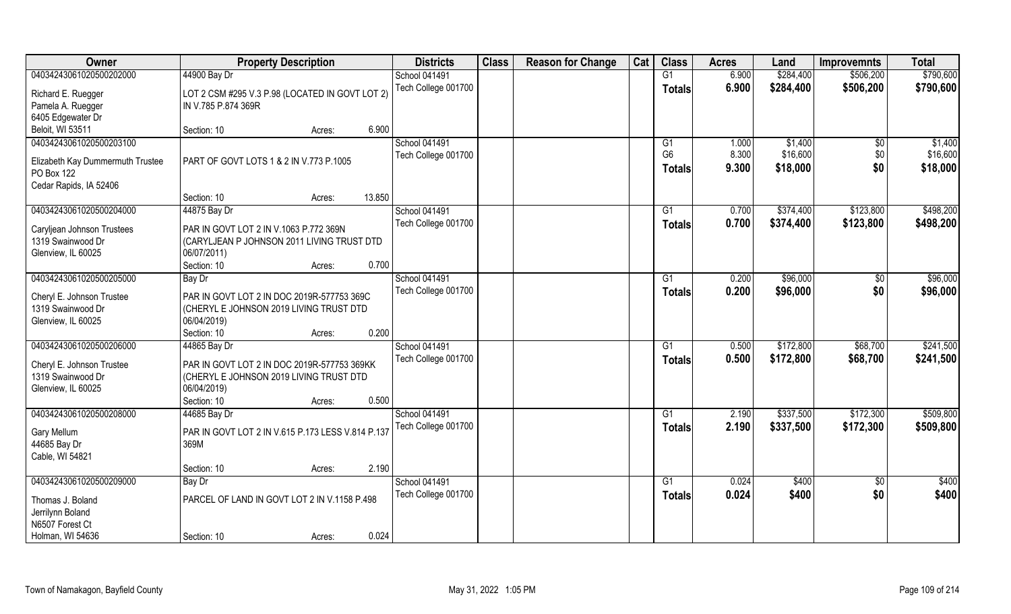| Owner                                                                 | <b>Property Description</b>                                                                                          |        |        | <b>Districts</b>    | <b>Class</b> | <b>Reason for Change</b> | Cat | <b>Class</b>                    | <b>Acres</b>   | Land                 | <b>Improvemnts</b> | <b>Total</b>         |
|-----------------------------------------------------------------------|----------------------------------------------------------------------------------------------------------------------|--------|--------|---------------------|--------------|--------------------------|-----|---------------------------------|----------------|----------------------|--------------------|----------------------|
| 04034243061020500202000                                               | 44900 Bay Dr                                                                                                         |        |        | School 041491       |              |                          |     | G1                              | 6.900          | \$284,400            | \$506,200          | \$790,600            |
| Richard E. Ruegger                                                    | LOT 2 CSM #295 V.3 P.98 (LOCATED IN GOVT LOT 2)<br>IN V.785 P.874 369R                                               |        |        | Tech College 001700 |              |                          |     | <b>Totals</b>                   | 6.900          | \$284,400            | \$506,200          | \$790,600            |
| Pamela A. Ruegger<br>6405 Edgewater Dr                                |                                                                                                                      |        |        |                     |              |                          |     |                                 |                |                      |                    |                      |
| Beloit, WI 53511                                                      | Section: 10                                                                                                          | Acres: | 6.900  |                     |              |                          |     |                                 |                |                      |                    |                      |
| 04034243061020500203100                                               |                                                                                                                      |        |        | School 041491       |              |                          |     | G1                              | 1.000          | \$1,400              | $\sqrt[6]{}$       | \$1,400              |
| Elizabeth Kay Dummermuth Trustee<br>PO Box 122                        | PART OF GOVT LOTS 1 & 2 IN V.773 P.1005                                                                              |        |        | Tech College 001700 |              |                          |     | G <sub>6</sub><br><b>Totals</b> | 8.300<br>9.300 | \$16,600<br>\$18,000 | \$0<br>\$0         | \$16,600<br>\$18,000 |
| Cedar Rapids, IA 52406                                                |                                                                                                                      |        |        |                     |              |                          |     |                                 |                |                      |                    |                      |
|                                                                       | Section: 10                                                                                                          | Acres: | 13.850 |                     |              |                          |     |                                 |                |                      |                    |                      |
| 04034243061020500204000                                               | 44875 Bay Dr                                                                                                         |        |        | School 041491       |              |                          |     | G1                              | 0.700          | \$374,400            | \$123,800          | \$498,200            |
| Caryljean Johnson Trustees<br>1319 Swainwood Dr<br>Glenview, IL 60025 | PAR IN GOVT LOT 2 IN V.1063 P.772 369N<br>(CARYLJEAN P JOHNSON 2011 LIVING TRUST DTD<br>06/07/2011)                  |        |        | Tech College 001700 |              |                          |     | <b>Totals</b>                   | 0.700          | \$374,400            | \$123,800          | \$498,200            |
|                                                                       | Section: 10                                                                                                          | Acres: | 0.700  |                     |              |                          |     |                                 |                |                      |                    |                      |
| 04034243061020500205000                                               | <b>Bay Dr</b>                                                                                                        |        |        | School 041491       |              |                          |     | G1                              | 0.200          | \$96,000             | \$0                | \$96,000             |
| Cheryl E. Johnson Trustee<br>1319 Swainwood Dr<br>Glenview, IL 60025  | PAR IN GOVT LOT 2 IN DOC 2019R-577753 369C<br>(CHERYL E JOHNSON 2019 LIVING TRUST DTD<br>06/04/2019)                 |        |        | Tech College 001700 |              |                          |     | <b>Totals</b>                   | 0.200          | \$96,000             | \$0                | \$96,000             |
|                                                                       | Section: 10                                                                                                          | Acres: | 0.200  |                     |              |                          |     |                                 |                |                      |                    |                      |
| 04034243061020500206000                                               | 44865 Bay Dr                                                                                                         |        |        | School 041491       |              |                          |     | G1                              | 0.500          | \$172,800            | \$68,700           | \$241,500            |
| Cheryl E. Johnson Trustee<br>1319 Swainwood Dr<br>Glenview, IL 60025  | PAR IN GOVT LOT 2 IN DOC 2019R-577753 369KK<br>(CHERYL E JOHNSON 2019 LIVING TRUST DTD<br>06/04/2019)<br>Section: 10 | Acres: | 0.500  | Tech College 001700 |              |                          |     | <b>Totals</b>                   | 0.500          | \$172,800            | \$68,700           | \$241,500            |
| 04034243061020500208000                                               | 44685 Bay Dr                                                                                                         |        |        | School 041491       |              |                          |     | G1                              | 2.190          | \$337,500            | \$172,300          | \$509,800            |
| Gary Mellum<br>44685 Bay Dr<br>Cable, WI 54821                        | PAR IN GOVT LOT 2 IN V.615 P.173 LESS V.814 P.137<br>369M                                                            |        |        | Tech College 001700 |              |                          |     | <b>Totals</b>                   | 2.190          | \$337,500            | \$172,300          | \$509,800            |
|                                                                       | Section: 10                                                                                                          | Acres: | 2.190  |                     |              |                          |     |                                 |                |                      |                    |                      |
| 04034243061020500209000                                               | Bay Dr                                                                                                               |        |        | School 041491       |              |                          |     | G1                              | 0.024          | \$400                | $\sqrt{$0}$        | \$400                |
| Thomas J. Boland<br>Jerrilynn Boland<br>N6507 Forest Ct               | PARCEL OF LAND IN GOVT LOT 2 IN V.1158 P.498                                                                         |        |        | Tech College 001700 |              |                          |     | <b>Totals</b>                   | 0.024          | \$400                | \$0                | \$400                |
| Holman, WI 54636                                                      | Section: 10                                                                                                          | Acres: | 0.024  |                     |              |                          |     |                                 |                |                      |                    |                      |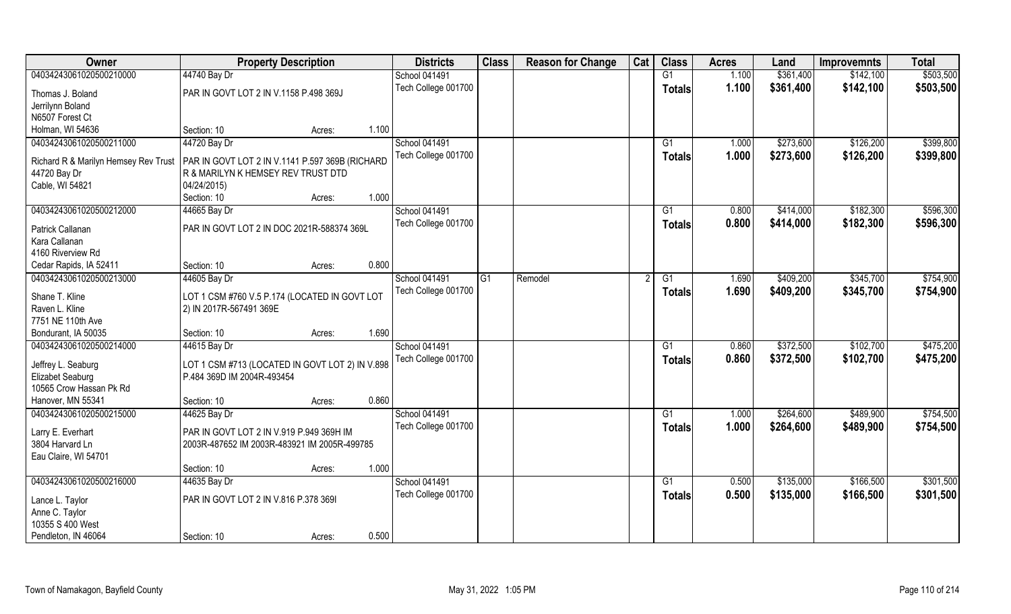| Owner                                | <b>Property Description</b>                     |                 | <b>Districts</b>     | <b>Class</b> | <b>Reason for Change</b> | Cat | <b>Class</b>    | <b>Acres</b> | Land      | <b>Improvemnts</b> | <b>Total</b> |
|--------------------------------------|-------------------------------------------------|-----------------|----------------------|--------------|--------------------------|-----|-----------------|--------------|-----------|--------------------|--------------|
| 04034243061020500210000              | 44740 Bay Dr                                    |                 | <b>School 041491</b> |              |                          |     | G1              | 1.100        | \$361,400 | \$142,100          | \$503,500    |
| Thomas J. Boland                     | PAR IN GOVT LOT 2 IN V.1158 P.498 369J          |                 | Tech College 001700  |              |                          |     | <b>Totals</b>   | 1.100        | \$361,400 | \$142,100          | \$503,500    |
| Jerrilynn Boland                     |                                                 |                 |                      |              |                          |     |                 |              |           |                    |              |
| N6507 Forest Ct                      |                                                 |                 |                      |              |                          |     |                 |              |           |                    |              |
| Holman, WI 54636                     | Section: 10                                     | 1.100<br>Acres: |                      |              |                          |     |                 |              |           |                    |              |
| 04034243061020500211000              | 44720 Bay Dr                                    |                 | School 041491        |              |                          |     | G1              | 1.000        | \$273,600 | \$126,200          | \$399,800    |
| Richard R & Marilyn Hemsey Rev Trust | PAR IN GOVT LOT 2 IN V.1141 P.597 369B (RICHARD |                 | Tech College 001700  |              |                          |     | <b>Totals</b>   | 1.000        | \$273,600 | \$126,200          | \$399,800    |
| 44720 Bay Dr                         | R & MARILYN K HEMSEY REV TRUST DTD              |                 |                      |              |                          |     |                 |              |           |                    |              |
| Cable, WI 54821                      | 04/24/2015)                                     |                 |                      |              |                          |     |                 |              |           |                    |              |
|                                      | Section: 10                                     | 1.000<br>Acres: |                      |              |                          |     |                 |              |           |                    |              |
| 04034243061020500212000              | 44665 Bay Dr                                    |                 | <b>School 041491</b> |              |                          |     | G1              | 0.800        | \$414,000 | \$182,300          | \$596,300    |
|                                      |                                                 |                 | Tech College 001700  |              |                          |     | <b>Totals</b>   | 0.800        | \$414,000 | \$182,300          | \$596,300    |
| Patrick Callanan                     | PAR IN GOVT LOT 2 IN DOC 2021R-588374 369L      |                 |                      |              |                          |     |                 |              |           |                    |              |
| Kara Callanan                        |                                                 |                 |                      |              |                          |     |                 |              |           |                    |              |
| 4160 Riverview Rd                    |                                                 |                 |                      |              |                          |     |                 |              |           |                    |              |
| Cedar Rapids, IA 52411               | Section: 10                                     | 0.800<br>Acres: |                      |              |                          |     |                 |              |           |                    |              |
| 04034243061020500213000              | 44605 Bay Dr                                    |                 | School 041491        | G1           | Remodel                  |     | G1              | 1.690        | \$409,200 | \$345,700          | \$754,900    |
| Shane T. Kline                       | LOT 1 CSM #760 V.5 P.174 (LOCATED IN GOVT LOT   |                 | Tech College 001700  |              |                          |     | <b>Totals</b>   | 1.690        | \$409,200 | \$345,700          | \$754,900    |
| Raven L. Kline                       | 2) IN 2017R-567491 369E                         |                 |                      |              |                          |     |                 |              |           |                    |              |
| 7751 NE 110th Ave                    |                                                 |                 |                      |              |                          |     |                 |              |           |                    |              |
| Bondurant, IA 50035                  | Section: 10                                     | 1.690<br>Acres: |                      |              |                          |     |                 |              |           |                    |              |
| 04034243061020500214000              | 44615 Bay Dr                                    |                 | School 041491        |              |                          |     | G1              | 0.860        | \$372,500 | \$102,700          | \$475,200    |
|                                      |                                                 |                 | Tech College 001700  |              |                          |     | <b>Totals</b>   | 0.860        | \$372,500 | \$102,700          | \$475,200    |
| Jeffrey L. Seaburg                   | LOT 1 CSM #713 (LOCATED IN GOVT LOT 2) IN V.898 |                 |                      |              |                          |     |                 |              |           |                    |              |
| Elizabet Seaburg                     | P.484 369D IM 2004R-493454                      |                 |                      |              |                          |     |                 |              |           |                    |              |
| 10565 Crow Hassan Pk Rd              |                                                 |                 |                      |              |                          |     |                 |              |           |                    |              |
| Hanover, MN 55341                    | Section: 10                                     | 0.860<br>Acres: |                      |              |                          |     |                 |              |           |                    |              |
| 04034243061020500215000              | 44625 Bay Dr                                    |                 | <b>School 041491</b> |              |                          |     | G1              | 1.000        | \$264,600 | \$489,900          | \$754,500    |
| Larry E. Everhart                    | PAR IN GOVT LOT 2 IN V.919 P.949 369H IM        |                 | Tech College 001700  |              |                          |     | <b>Totals</b>   | 1.000        | \$264,600 | \$489,900          | \$754,500    |
| 3804 Harvard Ln                      | 2003R-487652 IM 2003R-483921 IM 2005R-499785    |                 |                      |              |                          |     |                 |              |           |                    |              |
| Eau Claire, WI 54701                 |                                                 |                 |                      |              |                          |     |                 |              |           |                    |              |
|                                      | Section: 10                                     | 1.000<br>Acres: |                      |              |                          |     |                 |              |           |                    |              |
| 04034243061020500216000              | 44635 Bay Dr                                    |                 | School 041491        |              |                          |     | $\overline{G1}$ | 0.500        | \$135,000 | \$166,500          | \$301,500    |
|                                      |                                                 |                 | Tech College 001700  |              |                          |     | <b>Totals</b>   | 0.500        | \$135,000 | \$166,500          | \$301,500    |
| Lance L. Taylor                      | PAR IN GOVT LOT 2 IN V.816 P.378 3691           |                 |                      |              |                          |     |                 |              |           |                    |              |
| Anne C. Taylor<br>10355 S 400 West   |                                                 |                 |                      |              |                          |     |                 |              |           |                    |              |
| Pendleton, IN 46064                  | Section: 10                                     | 0.500           |                      |              |                          |     |                 |              |           |                    |              |
|                                      |                                                 | Acres:          |                      |              |                          |     |                 |              |           |                    |              |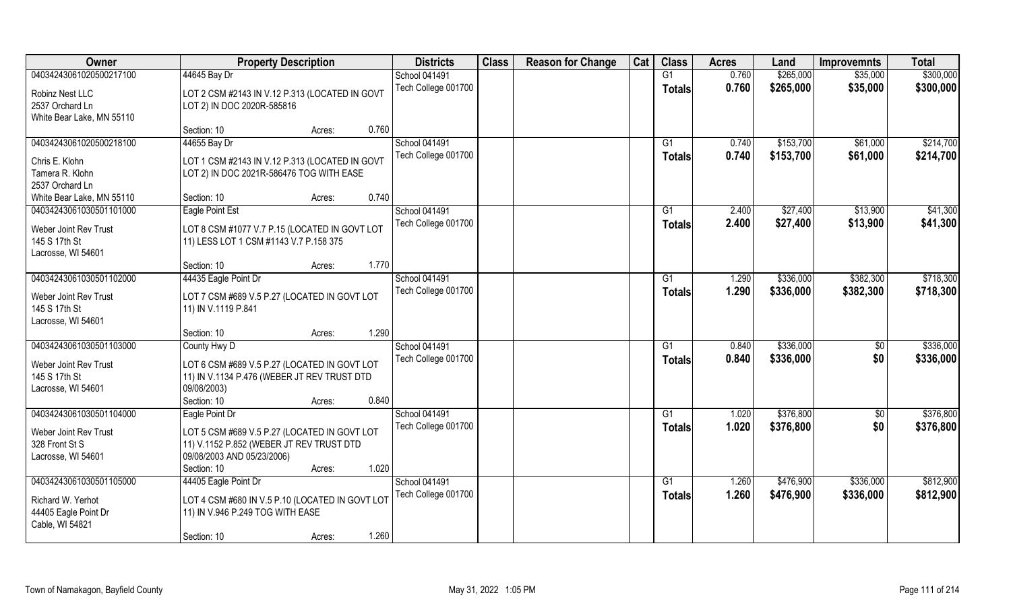| Owner                                  | <b>Property Description</b>                                                             | <b>Districts</b>                     | <b>Class</b> | <b>Reason for Change</b> | Cat | <b>Class</b>  | <b>Acres</b>   | Land      | <b>Improvemnts</b>     | <b>Total</b> |
|----------------------------------------|-----------------------------------------------------------------------------------------|--------------------------------------|--------------|--------------------------|-----|---------------|----------------|-----------|------------------------|--------------|
| 04034243061020500217100                | 44645 Bay Dr                                                                            | School 041491                        |              |                          |     | G1            | 0.760          | \$265,000 | \$35,000               | \$300,000    |
| Robinz Nest LLC                        | LOT 2 CSM #2143 IN V.12 P.313 (LOCATED IN GOVT                                          | Tech College 001700                  |              |                          |     | <b>Totals</b> | 0.760          | \$265,000 | \$35,000               | \$300,000    |
| 2537 Orchard Ln                        | LOT 2) IN DOC 2020R-585816                                                              |                                      |              |                          |     |               |                |           |                        |              |
| White Bear Lake, MN 55110              |                                                                                         |                                      |              |                          |     |               |                |           |                        |              |
|                                        | 0.760<br>Section: 10<br>Acres:                                                          |                                      |              |                          |     |               |                |           |                        |              |
| 04034243061020500218100                | 44655 Bay Dr                                                                            | <b>School 041491</b>                 |              |                          |     | G1            | 0.740          | \$153,700 | \$61,000               | \$214,700    |
| Chris E. Klohn                         | LOT 1 CSM #2143 IN V.12 P.313 (LOCATED IN GOVT                                          | Tech College 001700                  |              |                          |     | Totals        | 0.740          | \$153,700 | \$61,000               | \$214,700    |
| Tamera R. Klohn                        | LOT 2) IN DOC 2021R-586476 TOG WITH EASE                                                |                                      |              |                          |     |               |                |           |                        |              |
| 2537 Orchard Ln                        |                                                                                         |                                      |              |                          |     |               |                |           |                        |              |
| White Bear Lake, MN 55110              | 0.740<br>Section: 10<br>Acres:                                                          |                                      |              |                          |     |               |                |           |                        |              |
| 04034243061030501101000                | Eagle Point Est                                                                         | School 041491                        |              |                          |     | G1            | 2.400          | \$27,400  | \$13,900               | \$41,300     |
|                                        |                                                                                         | Tech College 001700                  |              |                          |     | <b>Totals</b> | 2.400          | \$27,400  | \$13,900               | \$41,300     |
| Weber Joint Rev Trust<br>145 S 17th St | LOT 8 CSM #1077 V.7 P.15 (LOCATED IN GOVT LOT<br>11) LESS LOT 1 CSM #1143 V.7 P.158 375 |                                      |              |                          |     |               |                |           |                        |              |
| Lacrosse, WI 54601                     |                                                                                         |                                      |              |                          |     |               |                |           |                        |              |
|                                        | 1.770<br>Section: 10<br>Acres:                                                          |                                      |              |                          |     |               |                |           |                        |              |
| 04034243061030501102000                | 44435 Eagle Point Dr                                                                    | School 041491                        |              |                          |     | G1            | 1.290          | \$336,000 | \$382,300              | \$718,300    |
|                                        |                                                                                         | Tech College 001700                  |              |                          |     | <b>Totals</b> | 1.290          | \$336,000 | \$382,300              | \$718,300    |
| Weber Joint Rev Trust                  | LOT 7 CSM #689 V.5 P.27 (LOCATED IN GOVT LOT                                            |                                      |              |                          |     |               |                |           |                        |              |
| 145 S 17th St                          | 11) IN V.1119 P.841                                                                     |                                      |              |                          |     |               |                |           |                        |              |
| Lacrosse, WI 54601                     | 1.290<br>Section: 10<br>Acres:                                                          |                                      |              |                          |     |               |                |           |                        |              |
| 04034243061030501103000                | County Hwy D                                                                            | School 041491                        |              |                          |     | G1            | 0.840          | \$336,000 | $\sqrt[6]{30}$         | \$336,000    |
|                                        |                                                                                         | Tech College 001700                  |              |                          |     | <b>Totals</b> | 0.840          | \$336,000 | \$0                    | \$336,000    |
| Weber Joint Rev Trust                  | LOT 6 CSM #689 V.5 P.27 (LOCATED IN GOVT LOT                                            |                                      |              |                          |     |               |                |           |                        |              |
| 145 S 17th St                          | 11) IN V.1134 P.476 (WEBER JT REV TRUST DTD                                             |                                      |              |                          |     |               |                |           |                        |              |
| Lacrosse, WI 54601                     | 09/08/2003)                                                                             |                                      |              |                          |     |               |                |           |                        |              |
|                                        | 0.840<br>Section: 10<br>Acres:                                                          |                                      |              |                          |     |               |                |           |                        |              |
| 04034243061030501104000                | Eagle Point Dr                                                                          | School 041491<br>Tech College 001700 |              |                          |     | G1            | 1.020<br>1.020 | \$376,800 | $\overline{50}$<br>\$0 | \$376,800    |
| Weber Joint Rev Trust                  | LOT 5 CSM #689 V.5 P.27 (LOCATED IN GOVT LOT                                            |                                      |              |                          |     | <b>Totals</b> |                | \$376,800 |                        | \$376,800    |
| 328 Front St S                         | 11) V.1152 P.852 (WEBER JT REV TRUST DTD                                                |                                      |              |                          |     |               |                |           |                        |              |
| Lacrosse, WI 54601                     | 09/08/2003 AND 05/23/2006)                                                              |                                      |              |                          |     |               |                |           |                        |              |
|                                        | 1.020<br>Section: 10<br>Acres:                                                          |                                      |              |                          |     |               |                |           |                        |              |
| 04034243061030501105000                | 44405 Eagle Point Dr                                                                    | School 041491                        |              |                          |     | G1            | 1.260          | \$476,900 | \$336,000              | \$812,900    |
| Richard W. Yerhot                      | LOT 4 CSM #680 IN V.5 P.10 (LOCATED IN GOVT LOT                                         | Tech College 001700                  |              |                          |     | Totals        | 1.260          | \$476,900 | \$336,000              | \$812,900    |
| 44405 Eagle Point Dr                   | 11) IN V.946 P.249 TOG WITH EASE                                                        |                                      |              |                          |     |               |                |           |                        |              |
| Cable, WI 54821                        |                                                                                         |                                      |              |                          |     |               |                |           |                        |              |
|                                        | 1.260<br>Section: 10<br>Acres:                                                          |                                      |              |                          |     |               |                |           |                        |              |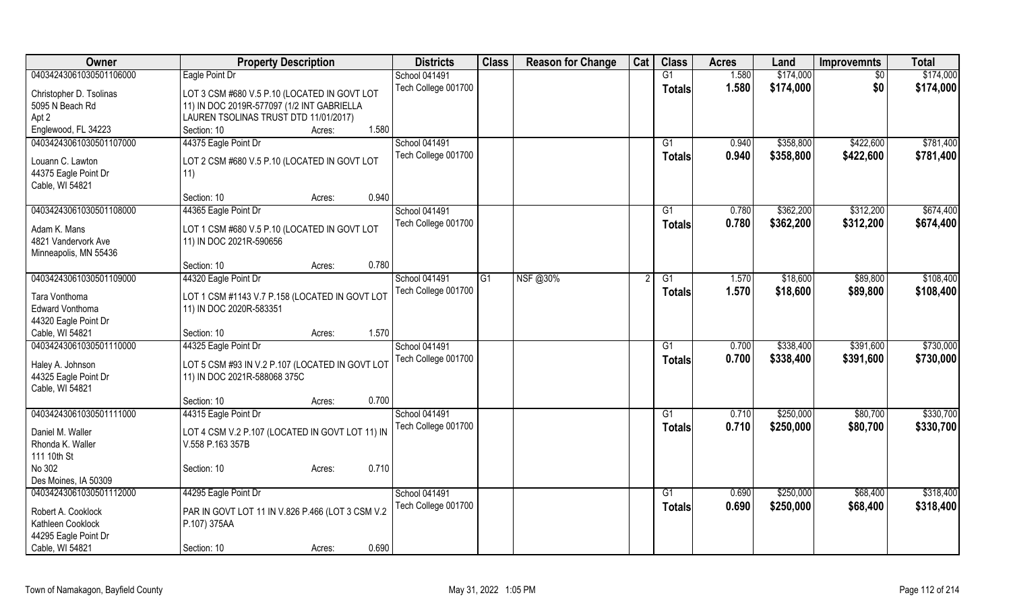| Owner                                   | <b>Property Description</b>                      | <b>Districts</b>    | <b>Class</b> | <b>Reason for Change</b> | Cat | <b>Class</b>    | <b>Acres</b> | Land      | <b>Improvemnts</b> | <b>Total</b> |
|-----------------------------------------|--------------------------------------------------|---------------------|--------------|--------------------------|-----|-----------------|--------------|-----------|--------------------|--------------|
| 04034243061030501106000                 | Eagle Point Dr                                   | School 041491       |              |                          |     | $\overline{G1}$ | 1.580        | \$174,000 | $\sqrt{$0}$        | \$174,000    |
| Christopher D. Tsolinas                 | LOT 3 CSM #680 V.5 P.10 (LOCATED IN GOVT LOT     | Tech College 001700 |              |                          |     | <b>Totals</b>   | 1.580        | \$174,000 | \$0                | \$174,000    |
| 5095 N Beach Rd                         | 11) IN DOC 2019R-577097 (1/2 INT GABRIELLA       |                     |              |                          |     |                 |              |           |                    |              |
| Apt 2                                   | LAUREN TSOLINAS TRUST DTD 11/01/2017)            |                     |              |                          |     |                 |              |           |                    |              |
| Englewood, FL 34223                     | 1.580<br>Section: 10<br>Acres:                   |                     |              |                          |     |                 |              |           |                    |              |
| 04034243061030501107000                 | 44375 Eagle Point Dr                             | School 041491       |              |                          |     | G1              | 0.940        | \$358,800 | \$422,600          | \$781,400    |
|                                         |                                                  | Tech College 001700 |              |                          |     |                 | 0.940        | \$358,800 | \$422,600          | \$781,400    |
| Louann C. Lawton                        | LOT 2 CSM #680 V.5 P.10 (LOCATED IN GOVT LOT     |                     |              |                          |     | <b>Totals</b>   |              |           |                    |              |
| 44375 Eagle Point Dr                    | 11)                                              |                     |              |                          |     |                 |              |           |                    |              |
| Cable, WI 54821                         |                                                  |                     |              |                          |     |                 |              |           |                    |              |
|                                         | 0.940<br>Section: 10<br>Acres:                   |                     |              |                          |     |                 |              |           |                    |              |
| 04034243061030501108000                 | 44365 Eagle Point Dr                             | School 041491       |              |                          |     | G1              | 0.780        | \$362,200 | \$312,200          | \$674,400    |
| Adam K. Mans                            | LOT 1 CSM #680 V.5 P.10 (LOCATED IN GOVT LOT     | Tech College 001700 |              |                          |     | Totals          | 0.780        | \$362,200 | \$312,200          | \$674,400    |
| 4821 Vandervork Ave                     | 11) IN DOC 2021R-590656                          |                     |              |                          |     |                 |              |           |                    |              |
| Minneapolis, MN 55436                   |                                                  |                     |              |                          |     |                 |              |           |                    |              |
|                                         | 0.780<br>Section: 10<br>Acres:                   |                     |              |                          |     |                 |              |           |                    |              |
| 04034243061030501109000                 | 44320 Eagle Point Dr                             | School 041491       | G1           | NSF@30%                  |     | $\overline{G1}$ | 1.570        | \$18,600  | \$89,800           | \$108,400    |
|                                         |                                                  |                     |              |                          |     |                 |              |           |                    |              |
| Tara Vonthoma                           | LOT 1 CSM #1143 V.7 P.158 (LOCATED IN GOVT LOT   | Tech College 001700 |              |                          |     | Totals          | 1.570        | \$18,600  | \$89,800           | \$108,400    |
| <b>Edward Vonthoma</b>                  | 11) IN DOC 2020R-583351                          |                     |              |                          |     |                 |              |           |                    |              |
| 44320 Eagle Point Dr                    |                                                  |                     |              |                          |     |                 |              |           |                    |              |
| Cable, WI 54821                         | 1.570<br>Section: 10<br>Acres:                   |                     |              |                          |     |                 |              |           |                    |              |
| 04034243061030501110000                 | 44325 Eagle Point Dr                             | School 041491       |              |                          |     | G1              | 0.700        | \$338,400 | \$391,600          | \$730,000    |
|                                         |                                                  | Tech College 001700 |              |                          |     | <b>Totals</b>   | 0.700        | \$338,400 | \$391,600          | \$730,000    |
| Haley A. Johnson                        | LOT 5 CSM #93 IN V.2 P.107 (LOCATED IN GOVT LOT  |                     |              |                          |     |                 |              |           |                    |              |
| 44325 Eagle Point Dr<br>Cable, WI 54821 | 11) IN DOC 2021R-588068 375C                     |                     |              |                          |     |                 |              |           |                    |              |
|                                         | 0.700                                            |                     |              |                          |     |                 |              |           |                    |              |
|                                         | Section: 10<br>Acres:                            |                     |              |                          |     |                 |              |           |                    |              |
| 04034243061030501111000                 | 44315 Eagle Point Dr                             | School 041491       |              |                          |     | G1              | 0.710        | \$250,000 | \$80,700           | \$330,700    |
| Daniel M. Waller                        | LOT 4 CSM V.2 P.107 (LOCATED IN GOVT LOT 11) IN  | Tech College 001700 |              |                          |     | <b>Totals</b>   | 0.710        | \$250,000 | \$80,700           | \$330,700    |
| Rhonda K. Waller                        | V.558 P.163 357B                                 |                     |              |                          |     |                 |              |           |                    |              |
| 111 10th St                             |                                                  |                     |              |                          |     |                 |              |           |                    |              |
| No 302                                  | 0.710<br>Section: 10<br>Acres:                   |                     |              |                          |     |                 |              |           |                    |              |
| Des Moines, IA 50309                    |                                                  |                     |              |                          |     |                 |              |           |                    |              |
| 04034243061030501112000                 | 44295 Eagle Point Dr                             | School 041491       |              |                          |     | G1              | 0.690        | \$250,000 | \$68,400           | \$318,400    |
|                                         |                                                  | Tech College 001700 |              |                          |     | <b>Totals</b>   | 0.690        | \$250,000 | \$68,400           | \$318,400    |
| Robert A. Cooklock                      | PAR IN GOVT LOT 11 IN V.826 P.466 (LOT 3 CSM V.2 |                     |              |                          |     |                 |              |           |                    |              |
| Kathleen Cooklock                       | P.107) 375AA                                     |                     |              |                          |     |                 |              |           |                    |              |
| 44295 Eagle Point Dr                    |                                                  |                     |              |                          |     |                 |              |           |                    |              |
| Cable, WI 54821                         | 0.690<br>Section: 10<br>Acres:                   |                     |              |                          |     |                 |              |           |                    |              |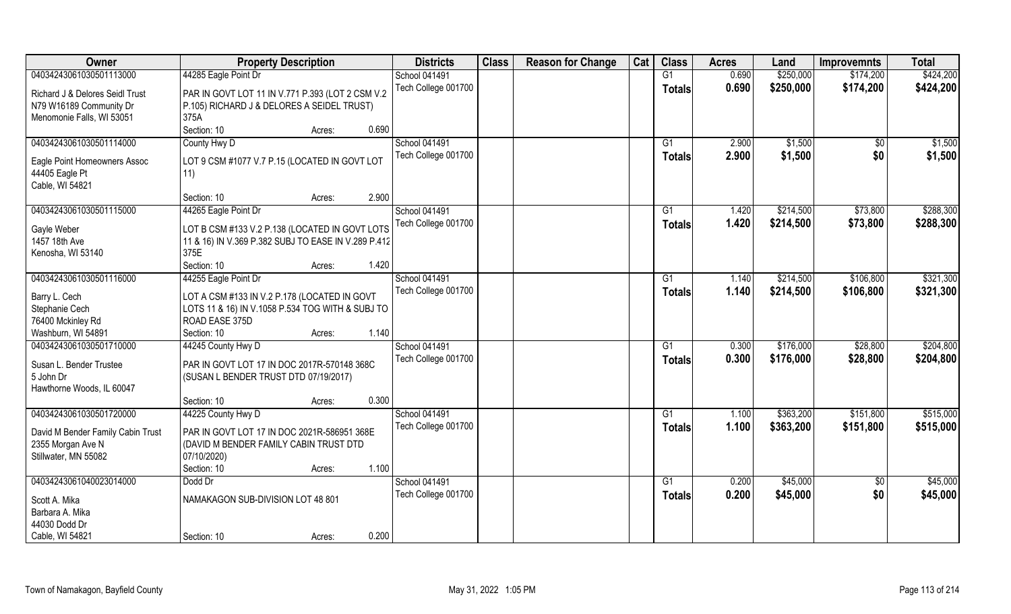| Owner                                                  | <b>Property Description</b>                          | <b>Districts</b>    | <b>Class</b> | <b>Reason for Change</b> | Cat | <b>Class</b>    | <b>Acres</b> | Land      | <b>Improvemnts</b> | <b>Total</b> |
|--------------------------------------------------------|------------------------------------------------------|---------------------|--------------|--------------------------|-----|-----------------|--------------|-----------|--------------------|--------------|
| 04034243061030501113000                                | 44285 Eagle Point Dr                                 | School 041491       |              |                          |     | G1              | 0.690        | \$250,000 | \$174,200          | \$424,200    |
| Richard J & Delores Seidl Trust                        | PAR IN GOVT LOT 11 IN V.771 P.393 (LOT 2 CSM V.2     | Tech College 001700 |              |                          |     | <b>Totals</b>   | 0.690        | \$250,000 | \$174,200          | \$424,200    |
| N79 W16189 Community Dr                                | P.105) RICHARD J & DELORES A SEIDEL TRUST)           |                     |              |                          |     |                 |              |           |                    |              |
| Menomonie Falls, WI 53051                              | 375A                                                 |                     |              |                          |     |                 |              |           |                    |              |
|                                                        | 0.690<br>Section: 10<br>Acres:                       |                     |              |                          |     |                 |              |           |                    |              |
| 04034243061030501114000                                | County Hwy D                                         | School 041491       |              |                          |     | $\overline{G1}$ | 2.900        | \$1,500   | \$0                | \$1,500      |
|                                                        |                                                      | Tech College 001700 |              |                          |     | <b>Totals</b>   | 2.900        | \$1,500   | \$0                | \$1,500      |
| Eagle Point Homeowners Assoc<br>44405 Eagle Pt         | LOT 9 CSM #1077 V.7 P.15 (LOCATED IN GOVT LOT<br>11) |                     |              |                          |     |                 |              |           |                    |              |
| Cable, WI 54821                                        |                                                      |                     |              |                          |     |                 |              |           |                    |              |
|                                                        | 2.900<br>Section: 10<br>Acres:                       |                     |              |                          |     |                 |              |           |                    |              |
| 04034243061030501115000                                | 44265 Eagle Point Dr                                 | School 041491       |              |                          |     | G1              | 1.420        | \$214,500 | \$73,800           | \$288,300    |
|                                                        |                                                      | Tech College 001700 |              |                          |     | <b>Totals</b>   | 1.420        | \$214,500 | \$73,800           | \$288,300    |
| Gayle Weber                                            | LOT B CSM #133 V.2 P.138 (LOCATED IN GOVT LOTS       |                     |              |                          |     |                 |              |           |                    |              |
| 1457 18th Ave                                          | 11 & 16) IN V.369 P.382 SUBJ TO EASE IN V.289 P.412  |                     |              |                          |     |                 |              |           |                    |              |
| Kenosha, WI 53140                                      | 375E                                                 |                     |              |                          |     |                 |              |           |                    |              |
|                                                        | Section: 10<br>1.420<br>Acres:                       |                     |              |                          |     |                 |              |           |                    |              |
| 04034243061030501116000                                | 44255 Eagle Point Dr                                 | School 041491       |              |                          |     | G1              | 1.140        | \$214,500 | \$106,800          | \$321,300    |
| Barry L. Cech                                          | LOT A CSM #133 IN V.2 P.178 (LOCATED IN GOVT         | Tech College 001700 |              |                          |     | <b>Totals</b>   | 1.140        | \$214,500 | \$106,800          | \$321,300    |
| Stephanie Cech                                         | LOTS 11 & 16) IN V.1058 P.534 TOG WITH & SUBJ TO     |                     |              |                          |     |                 |              |           |                    |              |
| 76400 Mckinley Rd                                      | ROAD EASE 375D                                       |                     |              |                          |     |                 |              |           |                    |              |
| Washburn, WI 54891                                     | 1.140<br>Section: 10<br>Acres:                       |                     |              |                          |     |                 |              |           |                    |              |
| 04034243061030501710000                                | 44245 County Hwy D                                   | School 041491       |              |                          |     | $\overline{G1}$ | 0.300        | \$176,000 | \$28,800           | \$204,800    |
| Susan L. Bender Trustee                                | PAR IN GOVT LOT 17 IN DOC 2017R-570148 368C          | Tech College 001700 |              |                          |     | <b>Totals</b>   | 0.300        | \$176,000 | \$28,800           | \$204,800    |
| 5 John Dr                                              | (SUSAN L BENDER TRUST DTD 07/19/2017)                |                     |              |                          |     |                 |              |           |                    |              |
| Hawthorne Woods, IL 60047                              |                                                      |                     |              |                          |     |                 |              |           |                    |              |
|                                                        | 0.300<br>Section: 10<br>Acres:                       |                     |              |                          |     |                 |              |           |                    |              |
| 04034243061030501720000                                | 44225 County Hwy D                                   | School 041491       |              |                          |     | G1              | 1.100        | \$363,200 | \$151,800          | \$515,000    |
|                                                        | PAR IN GOVT LOT 17 IN DOC 2021R-586951 368E          | Tech College 001700 |              |                          |     | <b>Totals</b>   | 1.100        | \$363,200 | \$151,800          | \$515,000    |
| David M Bender Family Cabin Trust<br>2355 Morgan Ave N | (DAVID M BENDER FAMILY CABIN TRUST DTD               |                     |              |                          |     |                 |              |           |                    |              |
| Stillwater, MN 55082                                   | 07/10/2020)                                          |                     |              |                          |     |                 |              |           |                    |              |
|                                                        | 1.100<br>Section: 10<br>Acres:                       |                     |              |                          |     |                 |              |           |                    |              |
| 04034243061040023014000                                | Dodd Dr                                              | School 041491       |              |                          |     | G1              | 0.200        | \$45,000  | $\sqrt{6}$         | \$45,000     |
|                                                        |                                                      | Tech College 001700 |              |                          |     | <b>Totals</b>   | 0.200        | \$45,000  | \$0                | \$45,000     |
| Scott A. Mika                                          | NAMAKAGON SUB-DIVISION LOT 48 801                    |                     |              |                          |     |                 |              |           |                    |              |
| Barbara A. Mika                                        |                                                      |                     |              |                          |     |                 |              |           |                    |              |
| 44030 Dodd Dr                                          |                                                      |                     |              |                          |     |                 |              |           |                    |              |
| Cable, WI 54821                                        | 0.200<br>Section: 10<br>Acres:                       |                     |              |                          |     |                 |              |           |                    |              |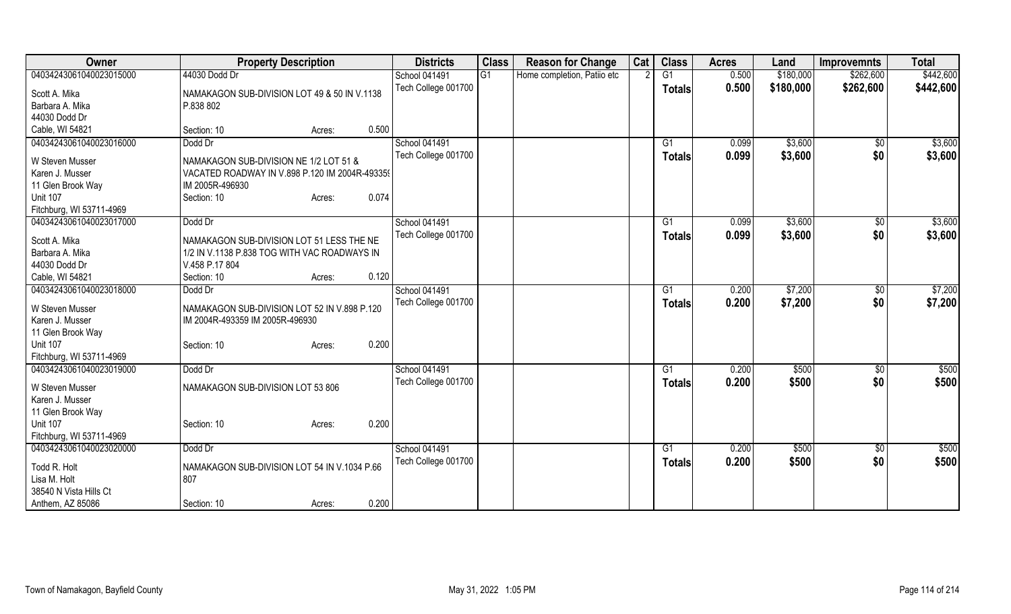| Owner                            | <b>Property Description</b>                                                               | <b>Districts</b>     | <b>Class</b> | <b>Reason for Change</b>    | Cat | <b>Class</b>   | <b>Acres</b> | Land      | <b>Improvemnts</b> | <b>Total</b> |
|----------------------------------|-------------------------------------------------------------------------------------------|----------------------|--------------|-----------------------------|-----|----------------|--------------|-----------|--------------------|--------------|
| 04034243061040023015000          | 44030 Dodd Dr                                                                             | School 041491        | G1           | Home completion, Patiio etc |     | G <sub>1</sub> | 0.500        | \$180,000 | \$262,600          | \$442,600    |
| Scott A. Mika                    | NAMAKAGON SUB-DIVISION LOT 49 & 50 IN V.1138                                              | Tech College 001700  |              |                             |     | <b>Totals</b>  | 0.500        | \$180,000 | \$262,600          | \$442,600    |
| Barbara A. Mika<br>44030 Dodd Dr | P.838 802                                                                                 |                      |              |                             |     |                |              |           |                    |              |
|                                  | 0.500                                                                                     |                      |              |                             |     |                |              |           |                    |              |
| Cable, WI 54821                  | Section: 10<br>Acres:                                                                     |                      |              |                             |     |                |              |           |                    |              |
| 04034243061040023016000          | Dodd Dr                                                                                   | School 041491        |              |                             |     | G1             | 0.099        | \$3,600   | \$0                | \$3,600      |
| W Steven Musser                  | NAMAKAGON SUB-DIVISION NE 1/2 LOT 51 &                                                    | Tech College 001700  |              |                             |     | <b>Totals</b>  | 0.099        | \$3,600   | \$0                | \$3,600      |
| Karen J. Musser                  | VACATED ROADWAY IN V.898 P.120 IM 2004R-493359                                            |                      |              |                             |     |                |              |           |                    |              |
| 11 Glen Brook Way                | IM 2005R-496930                                                                           |                      |              |                             |     |                |              |           |                    |              |
| <b>Unit 107</b>                  | 0.074<br>Section: 10<br>Acres:                                                            |                      |              |                             |     |                |              |           |                    |              |
| Fitchburg, WI 53711-4969         |                                                                                           |                      |              |                             |     |                |              |           |                    |              |
| 04034243061040023017000          | Dodd Dr                                                                                   | School 041491        |              |                             |     | G1             | 0.099        | \$3,600   | \$0                | \$3,600      |
| Scott A. Mika                    |                                                                                           | Tech College 001700  |              |                             |     | <b>Totals</b>  | 0.099        | \$3,600   | \$0                | \$3,600      |
| Barbara A. Mika                  | NAMAKAGON SUB-DIVISION LOT 51 LESS THE NE<br>1/2 IN V.1138 P.838 TOG WITH VAC ROADWAYS IN |                      |              |                             |     |                |              |           |                    |              |
| 44030 Dodd Dr                    | V.458 P.17 804                                                                            |                      |              |                             |     |                |              |           |                    |              |
| Cable, WI 54821                  | 0.120<br>Section: 10                                                                      |                      |              |                             |     |                |              |           |                    |              |
| 04034243061040023018000          | Acres:<br>Dodd Dr                                                                         | <b>School 041491</b> |              |                             |     |                | 0.200        | \$7,200   |                    | \$7,200      |
|                                  |                                                                                           |                      |              |                             |     | G <sub>1</sub> |              |           | $\sqrt[6]{3}$      |              |
| W Steven Musser                  | NAMAKAGON SUB-DIVISION LOT 52 IN V.898 P.120                                              | Tech College 001700  |              |                             |     | <b>Totals</b>  | 0.200        | \$7,200   | \$0                | \$7,200      |
| Karen J. Musser                  | IM 2004R-493359 IM 2005R-496930                                                           |                      |              |                             |     |                |              |           |                    |              |
| 11 Glen Brook Way                |                                                                                           |                      |              |                             |     |                |              |           |                    |              |
| <b>Unit 107</b>                  | 0.200<br>Section: 10<br>Acres:                                                            |                      |              |                             |     |                |              |           |                    |              |
| Fitchburg, WI 53711-4969         |                                                                                           |                      |              |                             |     |                |              |           |                    |              |
| 04034243061040023019000          | Dodd Dr                                                                                   | <b>School 041491</b> |              |                             |     | G1             | 0.200        | \$500     | $\sqrt[6]{3}$      | \$500        |
| W Steven Musser                  | NAMAKAGON SUB-DIVISION LOT 53 806                                                         | Tech College 001700  |              |                             |     | <b>Totals</b>  | 0.200        | \$500     | \$0                | \$500        |
| Karen J. Musser                  |                                                                                           |                      |              |                             |     |                |              |           |                    |              |
| 11 Glen Brook Way                |                                                                                           |                      |              |                             |     |                |              |           |                    |              |
| <b>Unit 107</b>                  | 0.200<br>Section: 10<br>Acres:                                                            |                      |              |                             |     |                |              |           |                    |              |
| Fitchburg, WI 53711-4969         |                                                                                           |                      |              |                             |     |                |              |           |                    |              |
| 04034243061040023020000          | Dodd Dr                                                                                   | <b>School 041491</b> |              |                             |     | G1             | 0.200        | \$500     | \$0                | \$500        |
| Todd R. Holt                     | NAMAKAGON SUB-DIVISION LOT 54 IN V.1034 P.66                                              | Tech College 001700  |              |                             |     | <b>Totals</b>  | 0.200        | \$500     | \$0                | \$500        |
| Lisa M. Holt                     | 807                                                                                       |                      |              |                             |     |                |              |           |                    |              |
| 38540 N Vista Hills Ct           |                                                                                           |                      |              |                             |     |                |              |           |                    |              |
|                                  | 0.200                                                                                     |                      |              |                             |     |                |              |           |                    |              |
| Anthem, AZ 85086                 | Section: 10<br>Acres:                                                                     |                      |              |                             |     |                |              |           |                    |              |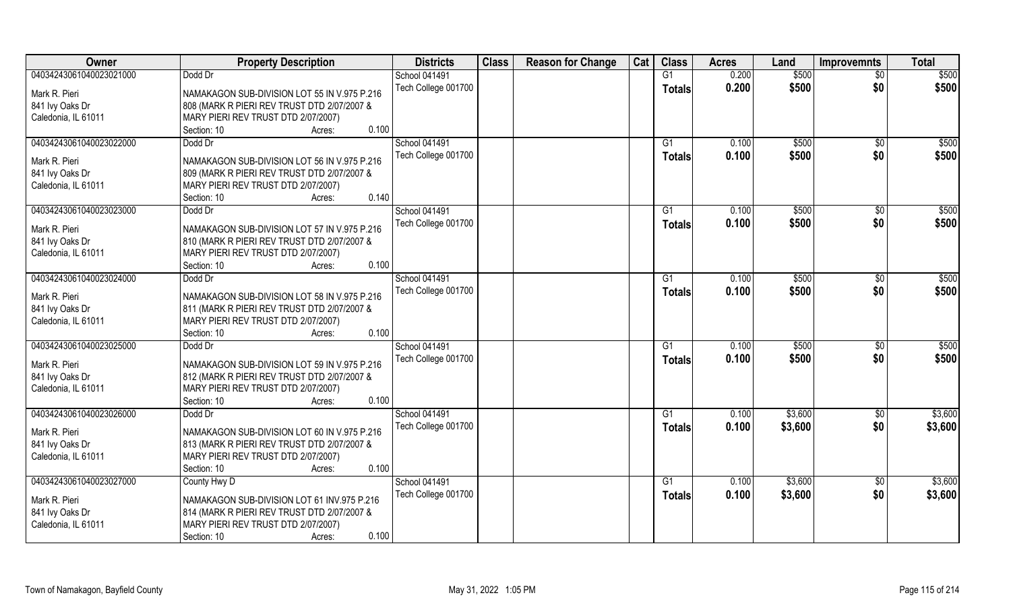| Owner                                  | <b>Property Description</b>                                                        | <b>Districts</b>     | <b>Class</b> | <b>Reason for Change</b> | Cat | <b>Class</b>  | <b>Acres</b> | Land    | <b>Improvemnts</b> | <b>Total</b> |
|----------------------------------------|------------------------------------------------------------------------------------|----------------------|--------------|--------------------------|-----|---------------|--------------|---------|--------------------|--------------|
| 04034243061040023021000                | Dodd Dr                                                                            | <b>School 041491</b> |              |                          |     | G1            | 0.200        | \$500   | $\overline{30}$    | \$500        |
| Mark R. Pieri                          | NAMAKAGON SUB-DIVISION LOT 55 IN V.975 P.216                                       | Tech College 001700  |              |                          |     | <b>Totals</b> | 0.200        | \$500   | \$0                | \$500        |
| 841 Ivy Oaks Dr                        | 808 (MARK R PIERI REV TRUST DTD 2/07/2007 &                                        |                      |              |                          |     |               |              |         |                    |              |
| Caledonia, IL 61011                    | MARY PIERI REV TRUST DTD 2/07/2007)                                                |                      |              |                          |     |               |              |         |                    |              |
|                                        | 0.100<br>Section: 10<br>Acres:                                                     |                      |              |                          |     |               |              |         |                    |              |
| 04034243061040023022000                | Dodd Dr                                                                            | School 041491        |              |                          |     | G1            | 0.100        | \$500   | $\overline{50}$    | \$500        |
|                                        |                                                                                    | Tech College 001700  |              |                          |     | <b>Totals</b> | 0.100        | \$500   | \$0                | \$500        |
| Mark R. Pieri                          | NAMAKAGON SUB-DIVISION LOT 56 IN V.975 P.216                                       |                      |              |                          |     |               |              |         |                    |              |
| 841 Ivy Oaks Dr                        | 809 (MARK R PIERI REV TRUST DTD 2/07/2007 &                                        |                      |              |                          |     |               |              |         |                    |              |
| Caledonia, IL 61011                    | MARY PIERI REV TRUST DTD 2/07/2007)<br>0.140                                       |                      |              |                          |     |               |              |         |                    |              |
|                                        | Section: 10<br>Acres:                                                              |                      |              |                          |     |               |              |         |                    |              |
| 04034243061040023023000                | Dodd Dr                                                                            | School 041491        |              |                          |     | G1            | 0.100        | \$500   | $\sqrt{6}$         | \$500        |
| Mark R. Pieri                          | NAMAKAGON SUB-DIVISION LOT 57 IN V.975 P.216                                       | Tech College 001700  |              |                          |     | <b>Totals</b> | 0.100        | \$500   | \$0                | \$500        |
| 841 Ivy Oaks Dr                        | 810 (MARK R PIERI REV TRUST DTD 2/07/2007 &                                        |                      |              |                          |     |               |              |         |                    |              |
| Caledonia, IL 61011                    | MARY PIERI REV TRUST DTD 2/07/2007)                                                |                      |              |                          |     |               |              |         |                    |              |
|                                        | 0.100<br>Section: 10<br>Acres:                                                     |                      |              |                          |     |               |              |         |                    |              |
| 04034243061040023024000                | Dodd Dr                                                                            | School 041491        |              |                          |     | G1            | 0.100        | \$500   | \$0                | \$500        |
| Mark R. Pieri                          |                                                                                    | Tech College 001700  |              |                          |     | <b>Totals</b> | 0.100        | \$500   | \$0                | \$500        |
|                                        | NAMAKAGON SUB-DIVISION LOT 58 IN V.975 P.216                                       |                      |              |                          |     |               |              |         |                    |              |
| 841 Ivy Oaks Dr<br>Caledonia, IL 61011 | 811 (MARK R PIERI REV TRUST DTD 2/07/2007 &<br>MARY PIERI REV TRUST DTD 2/07/2007) |                      |              |                          |     |               |              |         |                    |              |
|                                        | 0.100<br>Section: 10<br>Acres:                                                     |                      |              |                          |     |               |              |         |                    |              |
| 04034243061040023025000                | Dodd Dr                                                                            | School 041491        |              |                          |     | G1            | 0.100        | \$500   | \$0                | \$500        |
|                                        |                                                                                    | Tech College 001700  |              |                          |     |               | 0.100        | \$500   | \$0                | \$500        |
| Mark R. Pieri                          | NAMAKAGON SUB-DIVISION LOT 59 IN V.975 P.216                                       |                      |              |                          |     | <b>Totals</b> |              |         |                    |              |
| 841 Ivy Oaks Dr                        | 812 (MARK R PIERI REV TRUST DTD 2/07/2007 &                                        |                      |              |                          |     |               |              |         |                    |              |
| Caledonia, IL 61011                    | MARY PIERI REV TRUST DTD 2/07/2007)                                                |                      |              |                          |     |               |              |         |                    |              |
|                                        | 0.100<br>Section: 10<br>Acres:                                                     |                      |              |                          |     |               |              |         |                    |              |
| 04034243061040023026000                | Dodd Dr                                                                            | School 041491        |              |                          |     | G1            | 0.100        | \$3,600 | \$0                | \$3,600      |
| Mark R. Pieri                          | NAMAKAGON SUB-DIVISION LOT 60 IN V.975 P.216                                       | Tech College 001700  |              |                          |     | <b>Totals</b> | 0.100        | \$3,600 | \$0                | \$3,600      |
| 841 Ivy Oaks Dr                        | 813 (MARK R PIERI REV TRUST DTD 2/07/2007 &                                        |                      |              |                          |     |               |              |         |                    |              |
| Caledonia, IL 61011                    | MARY PIERI REV TRUST DTD 2/07/2007)                                                |                      |              |                          |     |               |              |         |                    |              |
|                                        | 0.100<br>Section: 10<br>Acres:                                                     |                      |              |                          |     |               |              |         |                    |              |
| 04034243061040023027000                | County Hwy D                                                                       | School 041491        |              |                          |     | G1            | 0.100        | \$3,600 | $\sqrt{6}$         | \$3,600      |
|                                        |                                                                                    | Tech College 001700  |              |                          |     | <b>Totals</b> | 0.100        | \$3,600 | \$0                | \$3,600      |
| Mark R. Pieri                          | NAMAKAGON SUB-DIVISION LOT 61 INV.975 P.216                                        |                      |              |                          |     |               |              |         |                    |              |
| 841 Ivy Oaks Dr                        | 814 (MARK R PIERI REV TRUST DTD 2/07/2007 &                                        |                      |              |                          |     |               |              |         |                    |              |
| Caledonia, IL 61011                    | MARY PIERI REV TRUST DTD 2/07/2007)                                                |                      |              |                          |     |               |              |         |                    |              |
|                                        | 0.100<br>Section: 10<br>Acres:                                                     |                      |              |                          |     |               |              |         |                    |              |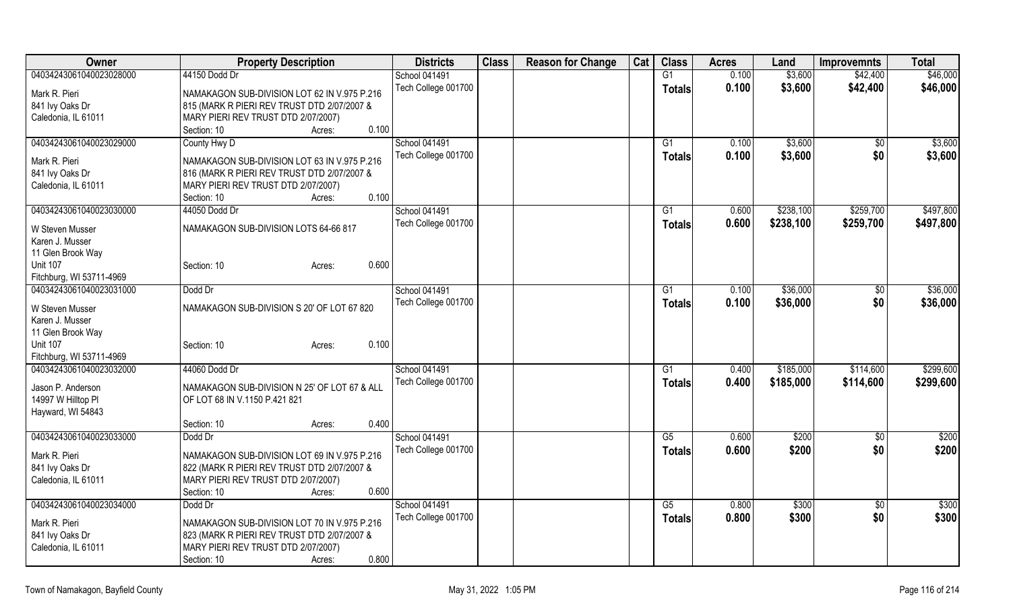| Owner                    | <b>Property Description</b>                  | <b>Districts</b>    | <b>Class</b> | <b>Reason for Change</b> | Cat | <b>Class</b>           | <b>Acres</b> | Land      | <b>Improvemnts</b> | <b>Total</b> |
|--------------------------|----------------------------------------------|---------------------|--------------|--------------------------|-----|------------------------|--------------|-----------|--------------------|--------------|
| 04034243061040023028000  | 44150 Dodd Dr                                | School 041491       |              |                          |     | G1                     | 0.100        | \$3,600   | \$42,400           | \$46,000     |
| Mark R. Pieri            | NAMAKAGON SUB-DIVISION LOT 62 IN V.975 P.216 | Tech College 001700 |              |                          |     | <b>Totals</b>          | 0.100        | \$3,600   | \$42,400           | \$46,000     |
| 841 Ivy Oaks Dr          | 815 (MARK R PIERI REV TRUST DTD 2/07/2007 &  |                     |              |                          |     |                        |              |           |                    |              |
| Caledonia, IL 61011      | MARY PIERI REV TRUST DTD 2/07/2007)          |                     |              |                          |     |                        |              |           |                    |              |
|                          | Section: 10<br>0.100<br>Acres:               |                     |              |                          |     |                        |              |           |                    |              |
| 04034243061040023029000  | County Hwy D                                 | School 041491       |              |                          |     | G1                     | 0.100        | \$3,600   | \$0                | \$3,600      |
|                          |                                              | Tech College 001700 |              |                          |     | <b>Totals</b>          | 0.100        | \$3,600   | \$0                | \$3,600      |
| Mark R. Pieri            | NAMAKAGON SUB-DIVISION LOT 63 IN V.975 P.216 |                     |              |                          |     |                        |              |           |                    |              |
| 841 Ivy Oaks Dr          | 816 (MARK R PIERI REV TRUST DTD 2/07/2007 &  |                     |              |                          |     |                        |              |           |                    |              |
| Caledonia, IL 61011      | MARY PIERI REV TRUST DTD 2/07/2007)          |                     |              |                          |     |                        |              |           |                    |              |
|                          | 0.100<br>Section: 10<br>Acres:               |                     |              |                          |     |                        |              |           |                    |              |
| 04034243061040023030000  | 44050 Dodd Dr                                | School 041491       |              |                          |     | G1                     | 0.600        | \$238,100 | \$259,700          | \$497,800    |
| W Steven Musser          | NAMAKAGON SUB-DIVISION LOTS 64-66 817        | Tech College 001700 |              |                          |     | <b>Totals</b>          | 0.600        | \$238,100 | \$259,700          | \$497,800    |
| Karen J. Musser          |                                              |                     |              |                          |     |                        |              |           |                    |              |
| 11 Glen Brook Way        |                                              |                     |              |                          |     |                        |              |           |                    |              |
| <b>Unit 107</b>          | 0.600<br>Section: 10<br>Acres:               |                     |              |                          |     |                        |              |           |                    |              |
| Fitchburg, WI 53711-4969 |                                              |                     |              |                          |     |                        |              |           |                    |              |
| 04034243061040023031000  | Dodd Dr                                      | School 041491       |              |                          |     | $\overline{G1}$        | 0.100        | \$36,000  | \$0                | \$36,000     |
|                          |                                              | Tech College 001700 |              |                          |     | <b>Totals</b>          | 0.100        | \$36,000  | \$0                | \$36,000     |
| W Steven Musser          | NAMAKAGON SUB-DIVISION S 20' OF LOT 67 820   |                     |              |                          |     |                        |              |           |                    |              |
| Karen J. Musser          |                                              |                     |              |                          |     |                        |              |           |                    |              |
| 11 Glen Brook Way        |                                              |                     |              |                          |     |                        |              |           |                    |              |
| <b>Unit 107</b>          | 0.100<br>Section: 10<br>Acres:               |                     |              |                          |     |                        |              |           |                    |              |
| Fitchburg, WI 53711-4969 |                                              |                     |              |                          |     |                        |              |           |                    |              |
| 04034243061040023032000  | 44060 Dodd Dr                                | School 041491       |              |                          |     | G1                     | 0.400        | \$185,000 | \$114,600          | \$299,600    |
| Jason P. Anderson        | NAMAKAGON SUB-DIVISION N 25' OF LOT 67 & ALL | Tech College 001700 |              |                          |     | <b>Totals</b>          | 0.400        | \$185,000 | \$114,600          | \$299,600    |
| 14997 W Hilltop PI       | OF LOT 68 IN V.1150 P.421 821                |                     |              |                          |     |                        |              |           |                    |              |
| Hayward, WI 54843        |                                              |                     |              |                          |     |                        |              |           |                    |              |
|                          | 0.400<br>Section: 10<br>Acres:               |                     |              |                          |     |                        |              |           |                    |              |
| 04034243061040023033000  | Dodd Dr                                      | School 041491       |              |                          |     | $\overline{\text{G5}}$ | 0.600        | \$200     | \$0                | \$200        |
|                          |                                              | Tech College 001700 |              |                          |     | <b>Totals</b>          | 0.600        | \$200     | \$0                | \$200        |
| Mark R. Pieri            | NAMAKAGON SUB-DIVISION LOT 69 IN V.975 P.216 |                     |              |                          |     |                        |              |           |                    |              |
| 841 Ivy Oaks Dr          | 822 (MARK R PIERI REV TRUST DTD 2/07/2007 &  |                     |              |                          |     |                        |              |           |                    |              |
| Caledonia, IL 61011      | MARY PIERI REV TRUST DTD 2/07/2007)          |                     |              |                          |     |                        |              |           |                    |              |
|                          | Section: 10<br>0.600<br>Acres:               |                     |              |                          |     |                        |              |           |                    |              |
| 04034243061040023034000  | Dodd Dr                                      | School 041491       |              |                          |     | G5                     | 0.800        | \$300     | \$0                | \$300        |
| Mark R. Pieri            | NAMAKAGON SUB-DIVISION LOT 70 IN V.975 P.216 | Tech College 001700 |              |                          |     | <b>Totals</b>          | 0.800        | \$300     | \$0                | \$300        |
| 841 Ivy Oaks Dr          | 823 (MARK R PIERI REV TRUST DTD 2/07/2007 &  |                     |              |                          |     |                        |              |           |                    |              |
| Caledonia, IL 61011      | MARY PIERI REV TRUST DTD 2/07/2007)          |                     |              |                          |     |                        |              |           |                    |              |
|                          | 0.800<br>Section: 10<br>Acres:               |                     |              |                          |     |                        |              |           |                    |              |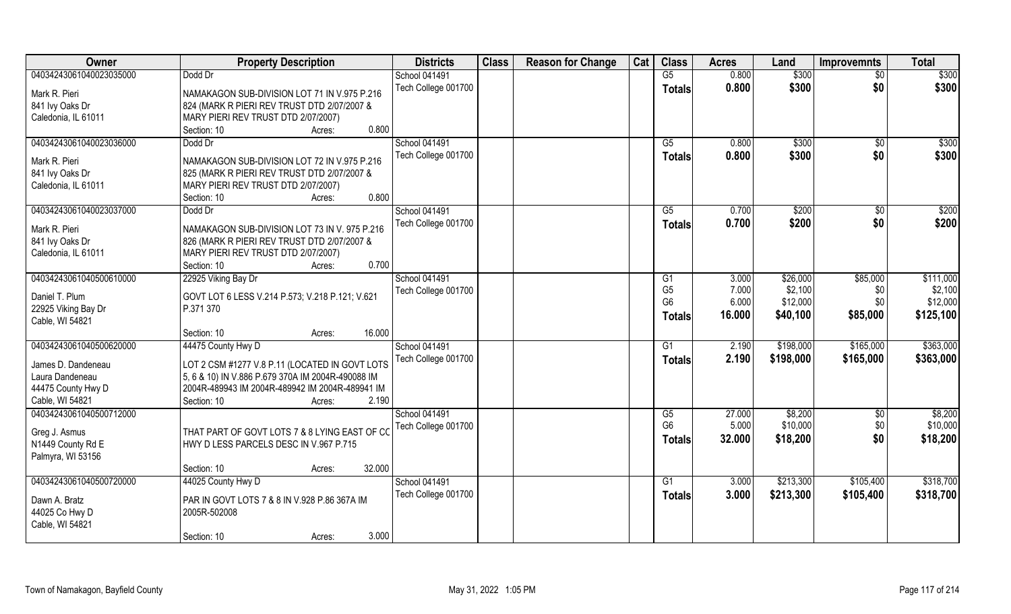| Owner                                  | <b>Property Description</b>                                  | <b>Districts</b>     | <b>Class</b> | <b>Reason for Change</b> | Cat | <b>Class</b>    | <b>Acres</b> | Land      | <b>Improvemnts</b> | <b>Total</b> |
|----------------------------------------|--------------------------------------------------------------|----------------------|--------------|--------------------------|-----|-----------------|--------------|-----------|--------------------|--------------|
| 04034243061040023035000                | Dodd Dr                                                      | School 041491        |              |                          |     | G5              | 0.800        | \$300     | $\overline{30}$    | \$300        |
| Mark R. Pieri                          | NAMAKAGON SUB-DIVISION LOT 71 IN V.975 P.216                 | Tech College 001700  |              |                          |     | <b>Totals</b>   | 0.800        | \$300     | \$0                | \$300        |
| 841 Ivy Oaks Dr                        | 824 (MARK R PIERI REV TRUST DTD 2/07/2007 &                  |                      |              |                          |     |                 |              |           |                    |              |
| Caledonia, IL 61011                    | MARY PIERI REV TRUST DTD 2/07/2007)                          |                      |              |                          |     |                 |              |           |                    |              |
|                                        | 0.800<br>Section: 10<br>Acres:                               |                      |              |                          |     |                 |              |           |                    |              |
| 04034243061040023036000                | Dodd Dr                                                      | <b>School 041491</b> |              |                          |     | $\overline{G5}$ | 0.800        | \$300     | \$0                | \$300        |
|                                        |                                                              | Tech College 001700  |              |                          |     | Totals          | 0.800        | \$300     | \$0                | \$300        |
| Mark R. Pieri                          | NAMAKAGON SUB-DIVISION LOT 72 IN V.975 P.216                 |                      |              |                          |     |                 |              |           |                    |              |
| 841 Ivy Oaks Dr                        | 825 (MARK R PIERI REV TRUST DTD 2/07/2007 &                  |                      |              |                          |     |                 |              |           |                    |              |
| Caledonia, IL 61011                    | MARY PIERI REV TRUST DTD 2/07/2007)                          |                      |              |                          |     |                 |              |           |                    |              |
|                                        | 0.800<br>Section: 10<br>Acres:                               |                      |              |                          |     |                 |              |           |                    |              |
| 04034243061040023037000                | Dodd Dr                                                      | School 041491        |              |                          |     | G5              | 0.700        | \$200     | \$0                | \$200        |
| Mark R. Pieri                          | NAMAKAGON SUB-DIVISION LOT 73 IN V. 975 P.216                | Tech College 001700  |              |                          |     | <b>Totals</b>   | 0.700        | \$200     | \$0                | \$200        |
| 841 Ivy Oaks Dr                        | 826 (MARK R PIERI REV TRUST DTD 2/07/2007 &                  |                      |              |                          |     |                 |              |           |                    |              |
| Caledonia, IL 61011                    | MARY PIERI REV TRUST DTD 2/07/2007)                          |                      |              |                          |     |                 |              |           |                    |              |
|                                        | 0.700<br>Section: 10<br>Acres:                               |                      |              |                          |     |                 |              |           |                    |              |
| 04034243061040500610000                | 22925 Viking Bay Dr                                          | School 041491        |              |                          |     | G1              | 3.000        | \$26,000  | \$85,000           | \$111,000    |
|                                        |                                                              | Tech College 001700  |              |                          |     | G <sub>5</sub>  | 7.000        | \$2,100   | \$0                | \$2,100      |
| Daniel T. Plum                         | GOVT LOT 6 LESS V.214 P.573; V.218 P.121; V.621<br>P.371 370 |                      |              |                          |     | G <sub>6</sub>  | 6.000        | \$12,000  | \$0                | \$12,000     |
| 22925 Viking Bay Dr<br>Cable, WI 54821 |                                                              |                      |              |                          |     | <b>Totals</b>   | 16.000       | \$40,100  | \$85,000           | \$125,100    |
|                                        | 16.000<br>Section: 10<br>Acres:                              |                      |              |                          |     |                 |              |           |                    |              |
| 04034243061040500620000                | 44475 County Hwy D                                           | School 041491        |              |                          |     | G1              | 2.190        | \$198,000 | \$165,000          | \$363,000    |
|                                        |                                                              | Tech College 001700  |              |                          |     |                 | 2.190        | \$198,000 | \$165,000          |              |
| James D. Dandeneau                     | LOT 2 CSM #1277 V.8 P.11 (LOCATED IN GOVT LOTS               |                      |              |                          |     | <b>Totals</b>   |              |           |                    | \$363,000    |
| Laura Dandeneau                        | 5, 6 & 10) IN V.886 P.679 370A IM 2004R-490088 IM            |                      |              |                          |     |                 |              |           |                    |              |
| 44475 County Hwy D                     | 2004R-489943 IM 2004R-489942 IM 2004R-489941 IM              |                      |              |                          |     |                 |              |           |                    |              |
| Cable, WI 54821                        | 2.190<br>Section: 10<br>Acres:                               |                      |              |                          |     |                 |              |           |                    |              |
| 04034243061040500712000                |                                                              | School 041491        |              |                          |     | G5              | 27.000       | \$8,200   | \$0                | \$8,200      |
| Greg J. Asmus                          | THAT PART OF GOVT LOTS 7 & 8 LYING EAST OF CO                | Tech College 001700  |              |                          |     | G <sub>6</sub>  | 5.000        | \$10,000  | \$0                | \$10,000     |
| N1449 County Rd E                      | HWY D LESS PARCELS DESC IN V.967 P.715                       |                      |              |                          |     | <b>Totals</b>   | 32.000       | \$18,200  | \$0                | \$18,200     |
| Palmyra, WI 53156                      |                                                              |                      |              |                          |     |                 |              |           |                    |              |
|                                        | 32.000<br>Section: 10<br>Acres:                              |                      |              |                          |     |                 |              |           |                    |              |
| 04034243061040500720000                | 44025 County Hwy D                                           | School 041491        |              |                          |     | G1              | 3.000        | \$213,300 | \$105,400          | \$318,700    |
|                                        |                                                              | Tech College 001700  |              |                          |     | Totals          | 3.000        | \$213,300 | \$105,400          | \$318,700    |
| Dawn A. Bratz                          | PAR IN GOVT LOTS 7 & 8 IN V.928 P.86 367A IM                 |                      |              |                          |     |                 |              |           |                    |              |
| 44025 Co Hwy D                         | 2005R-502008                                                 |                      |              |                          |     |                 |              |           |                    |              |
| Cable, WI 54821                        |                                                              |                      |              |                          |     |                 |              |           |                    |              |
|                                        | 3.000<br>Section: 10<br>Acres:                               |                      |              |                          |     |                 |              |           |                    |              |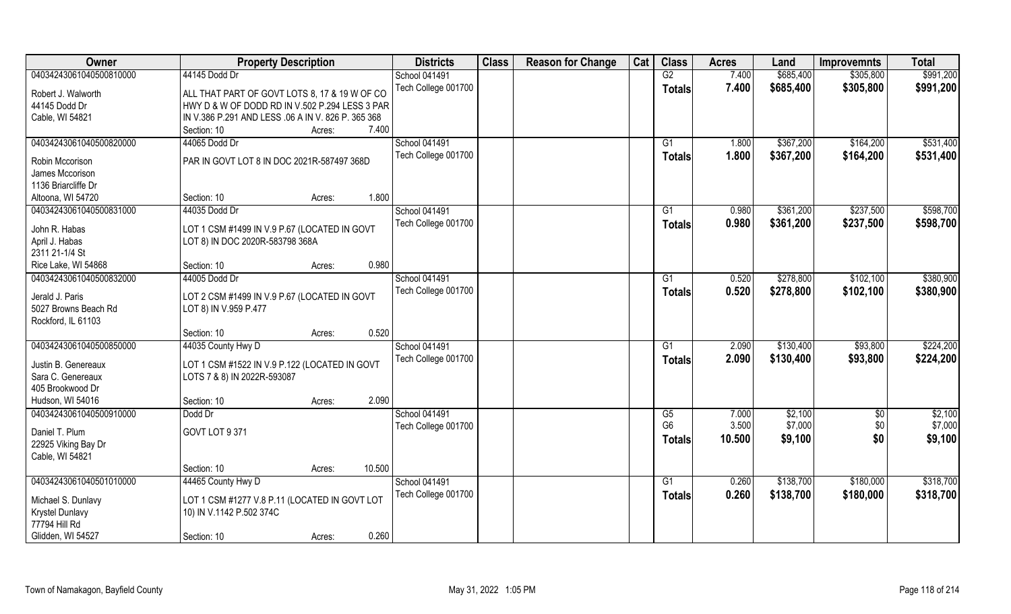| Owner                   | <b>Property Description</b>                                           | <b>Districts</b>     | <b>Class</b> | <b>Reason for Change</b> | Cat | <b>Class</b>   | <b>Acres</b> | Land      | <b>Improvemnts</b> | <b>Total</b> |
|-------------------------|-----------------------------------------------------------------------|----------------------|--------------|--------------------------|-----|----------------|--------------|-----------|--------------------|--------------|
| 04034243061040500810000 | 44145 Dodd Dr                                                         | <b>School 041491</b> |              |                          |     | G2             | 7.400        | \$685,400 | \$305,800          | \$991,200    |
| Robert J. Walworth      | ALL THAT PART OF GOVT LOTS 8, 17 & 19 W OF CO                         | Tech College 001700  |              |                          |     | <b>Totals</b>  | 7.400        | \$685,400 | \$305,800          | \$991,200    |
| 44145 Dodd Dr           | HWY D & W OF DODD RD IN V.502 P.294 LESS 3 PAR                        |                      |              |                          |     |                |              |           |                    |              |
| Cable, WI 54821         | IN V.386 P.291 AND LESS .06 A IN V. 826 P. 365 368                    |                      |              |                          |     |                |              |           |                    |              |
|                         | Section: 10<br>7.400<br>Acres:                                        |                      |              |                          |     |                |              |           |                    |              |
| 04034243061040500820000 | 44065 Dodd Dr                                                         | <b>School 041491</b> |              |                          |     | G1             | 1.800        | \$367,200 | \$164,200          | \$531,400    |
|                         |                                                                       | Tech College 001700  |              |                          |     | <b>Totals</b>  | 1.800        | \$367,200 | \$164,200          | \$531,400    |
| Robin Mccorison         | PAR IN GOVT LOT 8 IN DOC 2021R-587497 368D                            |                      |              |                          |     |                |              |           |                    |              |
| James Mccorison         |                                                                       |                      |              |                          |     |                |              |           |                    |              |
| 1136 Briarcliffe Dr     |                                                                       |                      |              |                          |     |                |              |           |                    |              |
| Altoona, WI 54720       | 1.800<br>Section: 10<br>Acres:                                        |                      |              |                          |     |                |              |           |                    |              |
| 04034243061040500831000 | 44035 Dodd Dr                                                         | <b>School 041491</b> |              |                          |     | G1             | 0.980        | \$361,200 | \$237,500          | \$598,700    |
| John R. Habas           | LOT 1 CSM #1499 IN V.9 P.67 (LOCATED IN GOVT                          | Tech College 001700  |              |                          |     | <b>Totals</b>  | 0.980        | \$361,200 | \$237,500          | \$598,700    |
| April J. Habas          | LOT 8) IN DOC 2020R-583798 368A                                       |                      |              |                          |     |                |              |           |                    |              |
| 2311 21-1/4 St          |                                                                       |                      |              |                          |     |                |              |           |                    |              |
| Rice Lake, WI 54868     | 0.980<br>Section: 10<br>Acres:                                        |                      |              |                          |     |                |              |           |                    |              |
| 04034243061040500832000 | 44005 Dodd Dr                                                         | <b>School 041491</b> |              |                          |     | G1             | 0.520        | \$278,800 | \$102,100          | \$380,900    |
| Jerald J. Paris         |                                                                       | Tech College 001700  |              |                          |     | <b>Totals</b>  | 0.520        | \$278,800 | \$102,100          | \$380,900    |
| 5027 Browns Beach Rd    | LOT 2 CSM #1499 IN V.9 P.67 (LOCATED IN GOVT<br>LOT 8) IN V.959 P.477 |                      |              |                          |     |                |              |           |                    |              |
| Rockford, IL 61103      |                                                                       |                      |              |                          |     |                |              |           |                    |              |
|                         | 0.520<br>Section: 10<br>Acres:                                        |                      |              |                          |     |                |              |           |                    |              |
| 04034243061040500850000 | 44035 County Hwy D                                                    | School 041491        |              |                          |     | G1             | 2.090        | \$130,400 | \$93,800           | \$224,200    |
|                         |                                                                       | Tech College 001700  |              |                          |     |                | 2.090        | \$130,400 | \$93,800           | \$224,200    |
| Justin B. Genereaux     | LOT 1 CSM #1522 IN V.9 P.122 (LOCATED IN GOVT                         |                      |              |                          |     | Totals         |              |           |                    |              |
| Sara C. Genereaux       | LOTS 7 & 8) IN 2022R-593087                                           |                      |              |                          |     |                |              |           |                    |              |
| 405 Brookwood Dr        |                                                                       |                      |              |                          |     |                |              |           |                    |              |
| Hudson, WI 54016        | 2.090<br>Section: 10<br>Acres:                                        |                      |              |                          |     |                |              |           |                    |              |
| 04034243061040500910000 | Dodd Dr                                                               | School 041491        |              |                          |     | G5             | 7.000        | \$2,100   | \$0                | \$2,100      |
| Daniel T. Plum          | GOVT LOT 9 371                                                        | Tech College 001700  |              |                          |     | G <sub>6</sub> | 3.500        | \$7,000   | \$0                | \$7,000      |
| 22925 Viking Bay Dr     |                                                                       |                      |              |                          |     | <b>Totals</b>  | 10.500       | \$9,100   | \$0                | \$9,100      |
| Cable, WI 54821         |                                                                       |                      |              |                          |     |                |              |           |                    |              |
|                         | 10.500<br>Section: 10<br>Acres:                                       |                      |              |                          |     |                |              |           |                    |              |
| 04034243061040501010000 | 44465 County Hwy D                                                    | School 041491        |              |                          |     | G1             | 0.260        | \$138,700 | \$180,000          | \$318,700    |
|                         |                                                                       | Tech College 001700  |              |                          |     | <b>Totals</b>  | 0.260        | \$138,700 | \$180,000          | \$318,700    |
| Michael S. Dunlavy      | LOT 1 CSM #1277 V.8 P.11 (LOCATED IN GOVT LOT                         |                      |              |                          |     |                |              |           |                    |              |
| Krystel Dunlavy         | 10) IN V.1142 P.502 374C                                              |                      |              |                          |     |                |              |           |                    |              |
| 77794 Hill Rd           |                                                                       |                      |              |                          |     |                |              |           |                    |              |
| Glidden, WI 54527       | 0.260<br>Section: 10<br>Acres:                                        |                      |              |                          |     |                |              |           |                    |              |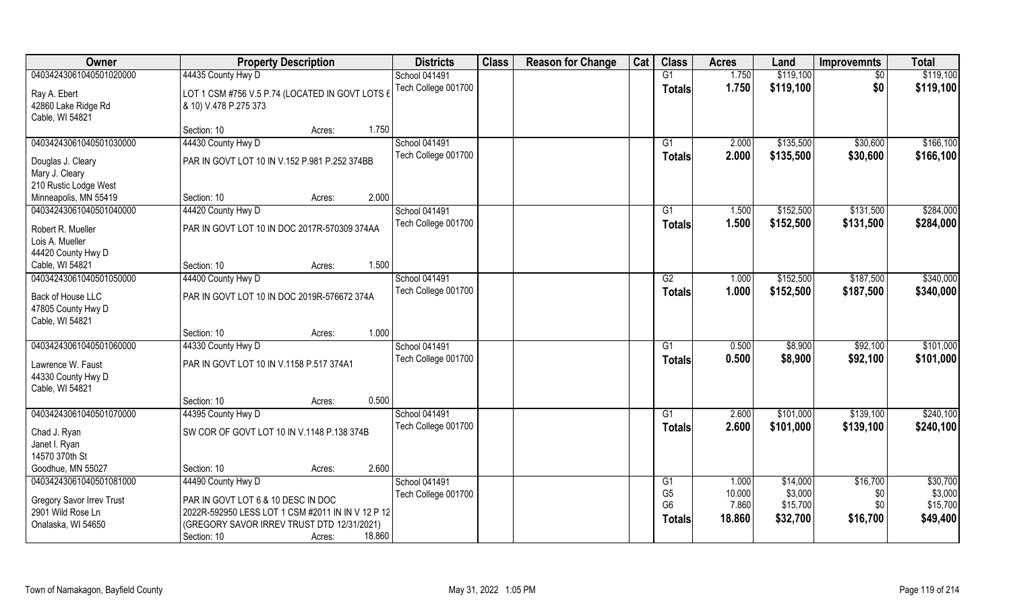| Owner                            | <b>Property Description</b>                       | <b>Districts</b>     | <b>Class</b> | <b>Reason for Change</b> | Cat | <b>Class</b>    | <b>Acres</b> | Land      | <b>Improvemnts</b> | <b>Total</b> |
|----------------------------------|---------------------------------------------------|----------------------|--------------|--------------------------|-----|-----------------|--------------|-----------|--------------------|--------------|
| 04034243061040501020000          | 44435 County Hwy D                                | <b>School 041491</b> |              |                          |     | G1              | 1.750        | \$119,100 | $\sqrt{6}$         | \$119,100    |
| Ray A. Ebert                     | LOT 1 CSM #756 V.5 P.74 (LOCATED IN GOVT LOTS 6   | Tech College 001700  |              |                          |     | <b>Totals</b>   | 1.750        | \$119,100 | \$0                | \$119,100    |
| 42860 Lake Ridge Rd              | & 10) V.478 P.275 373                             |                      |              |                          |     |                 |              |           |                    |              |
| Cable, WI 54821                  |                                                   |                      |              |                          |     |                 |              |           |                    |              |
|                                  | 1.750<br>Section: 10<br>Acres:                    |                      |              |                          |     |                 |              |           |                    |              |
| 04034243061040501030000          | 44430 County Hwy D                                | <b>School 041491</b> |              |                          |     | G1              | 2.000        | \$135,500 | \$30,600           | \$166, 100   |
| Douglas J. Cleary                | PAR IN GOVT LOT 10 IN V.152 P.981 P.252 374BB     | Tech College 001700  |              |                          |     | Totals          | 2.000        | \$135,500 | \$30,600           | \$166,100    |
| Mary J. Cleary                   |                                                   |                      |              |                          |     |                 |              |           |                    |              |
| 210 Rustic Lodge West            |                                                   |                      |              |                          |     |                 |              |           |                    |              |
| Minneapolis, MN 55419            | 2.000<br>Section: 10<br>Acres:                    |                      |              |                          |     |                 |              |           |                    |              |
| 04034243061040501040000          | 44420 County Hwy D                                | <b>School 041491</b> |              |                          |     | G1              | 1.500        | \$152,500 | \$131,500          | \$284,000    |
| Robert R. Mueller                | PAR IN GOVT LOT 10 IN DOC 2017R-570309 374AA      | Tech College 001700  |              |                          |     | Totals          | 1.500        | \$152,500 | \$131,500          | \$284,000    |
| Lois A. Mueller                  |                                                   |                      |              |                          |     |                 |              |           |                    |              |
| 44420 County Hwy D               |                                                   |                      |              |                          |     |                 |              |           |                    |              |
| Cable, WI 54821                  | 1.500<br>Section: 10<br>Acres:                    |                      |              |                          |     |                 |              |           |                    |              |
| 04034243061040501050000          | 44400 County Hwy D                                | <b>School 041491</b> |              |                          |     | G2              | 1.000        | \$152,500 | \$187,500          | \$340,000    |
| Back of House LLC                | PAR IN GOVT LOT 10 IN DOC 2019R-576672 374A       | Tech College 001700  |              |                          |     | <b>Totals</b>   | 1.000        | \$152,500 | \$187,500          | \$340,000    |
| 47805 County Hwy D               |                                                   |                      |              |                          |     |                 |              |           |                    |              |
| Cable, WI 54821                  |                                                   |                      |              |                          |     |                 |              |           |                    |              |
|                                  | 1.000<br>Section: 10<br>Acres:                    |                      |              |                          |     |                 |              |           |                    |              |
| 04034243061040501060000          | 44330 County Hwy D                                | <b>School 041491</b> |              |                          |     | $\overline{G1}$ | 0.500        | \$8,900   | \$92,100           | \$101,000    |
| Lawrence W. Faust                | PAR IN GOVT LOT 10 IN V.1158 P.517 374A1          | Tech College 001700  |              |                          |     | Totals          | 0.500        | \$8,900   | \$92,100           | \$101,000    |
| 44330 County Hwy D               |                                                   |                      |              |                          |     |                 |              |           |                    |              |
| Cable, WI 54821                  |                                                   |                      |              |                          |     |                 |              |           |                    |              |
|                                  | 0.500<br>Section: 10<br>Acres:                    |                      |              |                          |     |                 |              |           |                    |              |
| 04034243061040501070000          | 44395 County Hwy D                                | School 041491        |              |                          |     | G1              | 2.600        | \$101,000 | \$139,100          | \$240,100    |
| Chad J. Ryan                     | SW COR OF GOVT LOT 10 IN V.1148 P.138 374B        | Tech College 001700  |              |                          |     | <b>Totals</b>   | 2.600        | \$101,000 | \$139,100          | \$240,100    |
| Janet I. Ryan                    |                                                   |                      |              |                          |     |                 |              |           |                    |              |
| 14570 370th St                   |                                                   |                      |              |                          |     |                 |              |           |                    |              |
| Goodhue, MN 55027                | 2.600<br>Section: 10<br>Acres:                    |                      |              |                          |     |                 |              |           |                    |              |
| 04034243061040501081000          | 44490 County Hwy D                                | School 041491        |              |                          |     | G1              | 1.000        | \$14,000  | \$16,700           | \$30,700     |
| <b>Gregory Savor Irrev Trust</b> | PAR IN GOVT LOT 6 & 10 DESC IN DOC                | Tech College 001700  |              |                          |     | G <sub>5</sub>  | 10.000       | \$3,000   | \$0                | \$3,000      |
| 2901 Wild Rose Ln                | 2022R-592950 LESS LOT 1 CSM #2011 IN IN V 12 P 12 |                      |              |                          |     | G <sub>6</sub>  | 7.860        | \$15,700  | \$0                | \$15,700     |
| Onalaska, WI 54650               | (GREGORY SAVOR IRREV TRUST DTD 12/31/2021)        |                      |              |                          |     | <b>Totals</b>   | 18.860       | \$32,700  | \$16,700           | \$49,400     |
|                                  | 18.860<br>Section: 10<br>Acres:                   |                      |              |                          |     |                 |              |           |                    |              |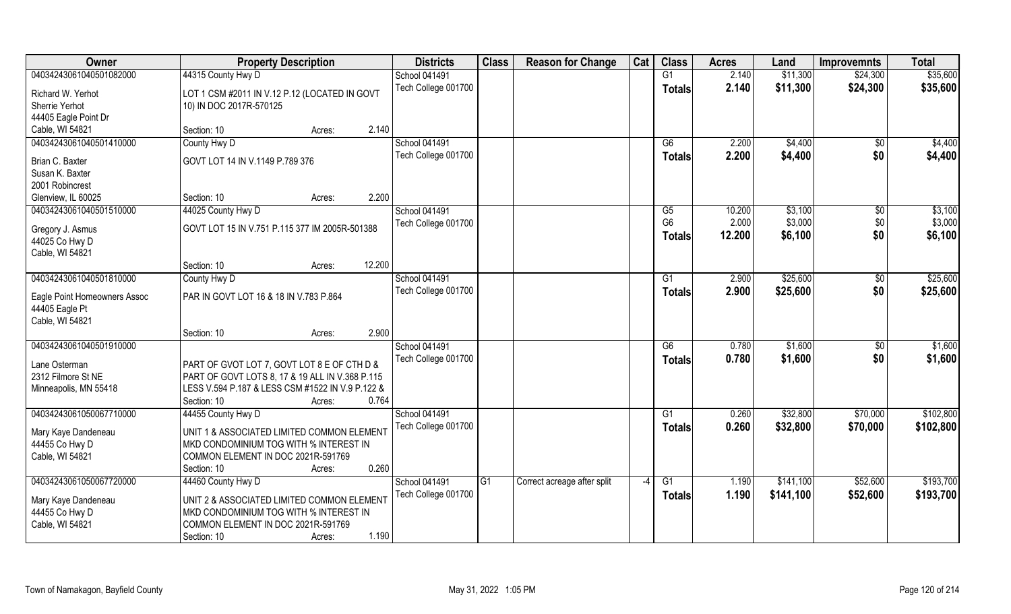| Owner                              | <b>Property Description</b>                      | <b>Districts</b>     | <b>Class</b> | <b>Reason for Change</b>    | Cat                      | <b>Class</b>   | <b>Acres</b> | Land      | <b>Improvemnts</b> | <b>Total</b> |
|------------------------------------|--------------------------------------------------|----------------------|--------------|-----------------------------|--------------------------|----------------|--------------|-----------|--------------------|--------------|
| 04034243061040501082000            | 44315 County Hwy D                               | <b>School 041491</b> |              |                             |                          | G1             | 2.140        | \$11,300  | \$24,300           | \$35,600     |
| Richard W. Yerhot                  | LOT 1 CSM #2011 IN V.12 P.12 (LOCATED IN GOVT    | Tech College 001700  |              |                             |                          | <b>Totals</b>  | 2.140        | \$11,300  | \$24,300           | \$35,600     |
| Sherrie Yerhot                     | 10) IN DOC 2017R-570125                          |                      |              |                             |                          |                |              |           |                    |              |
| 44405 Eagle Point Dr               |                                                  |                      |              |                             |                          |                |              |           |                    |              |
| Cable, WI 54821                    | 2.140<br>Section: 10<br>Acres:                   |                      |              |                             |                          |                |              |           |                    |              |
| 04034243061040501410000            | County Hwy D                                     | <b>School 041491</b> |              |                             |                          | G <sub>6</sub> | 2.200        | \$4,400   | \$0                | \$4,400      |
| Brian C. Baxter                    | GOVT LOT 14 IN V.1149 P.789 376                  | Tech College 001700  |              |                             |                          | <b>Totals</b>  | 2.200        | \$4,400   | \$0                | \$4,400      |
| Susan K. Baxter                    |                                                  |                      |              |                             |                          |                |              |           |                    |              |
| 2001 Robincrest                    |                                                  |                      |              |                             |                          |                |              |           |                    |              |
| Glenview, IL 60025                 | 2.200<br>Section: 10<br>Acres:                   |                      |              |                             |                          |                |              |           |                    |              |
| 04034243061040501510000            | 44025 County Hwy D                               | <b>School 041491</b> |              |                             |                          | G5             | 10.200       | \$3,100   | $\sqrt[6]{3}$      | \$3,100      |
|                                    | GOVT LOT 15 IN V.751 P.115 377 IM 2005R-501388   | Tech College 001700  |              |                             |                          | G <sub>6</sub> | 2.000        | \$3,000   | \$0                | \$3,000      |
| Gregory J. Asmus<br>44025 Co Hwy D |                                                  |                      |              |                             |                          | <b>Totals</b>  | 12.200       | \$6,100   | \$0                | \$6,100      |
| Cable, WI 54821                    |                                                  |                      |              |                             |                          |                |              |           |                    |              |
|                                    | 12.200<br>Section: 10<br>Acres:                  |                      |              |                             |                          |                |              |           |                    |              |
| 04034243061040501810000            | County Hwy D                                     | <b>School 041491</b> |              |                             |                          | G <sub>1</sub> | 2.900        | \$25,600  | \$0                | \$25,600     |
|                                    |                                                  | Tech College 001700  |              |                             |                          | <b>Totals</b>  | 2.900        | \$25,600  | \$0                | \$25,600     |
| Eagle Point Homeowners Assoc       | PAR IN GOVT LOT 16 & 18 IN V.783 P.864           |                      |              |                             |                          |                |              |           |                    |              |
| 44405 Eagle Pt                     |                                                  |                      |              |                             |                          |                |              |           |                    |              |
| Cable, WI 54821                    |                                                  |                      |              |                             |                          |                |              |           |                    |              |
|                                    | 2.900<br>Section: 10<br>Acres:                   |                      |              |                             |                          |                |              |           |                    |              |
| 04034243061040501910000            |                                                  | School 041491        |              |                             |                          | G6             | 0.780        | \$1,600   | \$0                | \$1,600      |
| Lane Osterman                      | PART OF GVOT LOT 7, GOVT LOT 8 E OF CTH D &      | Tech College 001700  |              |                             |                          | <b>Totals</b>  | 0.780        | \$1,600   | \$0                | \$1,600      |
| 2312 Filmore St NE                 | PART OF GOVT LOTS 8, 17 & 19 ALL IN V.368 P.115  |                      |              |                             |                          |                |              |           |                    |              |
| Minneapolis, MN 55418              | LESS V.594 P.187 & LESS CSM #1522 IN V.9 P.122 & |                      |              |                             |                          |                |              |           |                    |              |
|                                    | 0.764<br>Section: 10<br>Acres:                   |                      |              |                             |                          |                |              |           |                    |              |
| 04034243061050067710000            | 44455 County Hwy D                               | School 041491        |              |                             |                          | G1             | 0.260        | \$32,800  | \$70,000           | \$102,800    |
| Mary Kaye Dandeneau                | UNIT 1 & ASSOCIATED LIMITED COMMON ELEMENT       | Tech College 001700  |              |                             |                          | <b>Totals</b>  | 0.260        | \$32,800  | \$70,000           | \$102,800    |
| 44455 Co Hwy D                     | MKD CONDOMINIUM TOG WITH % INTEREST IN           |                      |              |                             |                          |                |              |           |                    |              |
| Cable, WI 54821                    | COMMON ELEMENT IN DOC 2021R-591769               |                      |              |                             |                          |                |              |           |                    |              |
|                                    | 0.260<br>Section: 10<br>Acres:                   |                      |              |                             |                          |                |              |           |                    |              |
| 04034243061050067720000            | 44460 County Hwy D                               | School 041491        | G1           | Correct acreage after split | $\overline{\phantom{a}}$ | G1             | 1.190        | \$141,100 | \$52,600           | \$193,700    |
|                                    |                                                  | Tech College 001700  |              |                             |                          | Totals         | 1.190        | \$141,100 | \$52,600           | \$193,700    |
| Mary Kaye Dandeneau                | UNIT 2 & ASSOCIATED LIMITED COMMON ELEMENT       |                      |              |                             |                          |                |              |           |                    |              |
| 44455 Co Hwy D                     | MKD CONDOMINIUM TOG WITH % INTEREST IN           |                      |              |                             |                          |                |              |           |                    |              |
| Cable, WI 54821                    | COMMON ELEMENT IN DOC 2021R-591769               |                      |              |                             |                          |                |              |           |                    |              |
|                                    | 1.190<br>Section: 10<br>Acres:                   |                      |              |                             |                          |                |              |           |                    |              |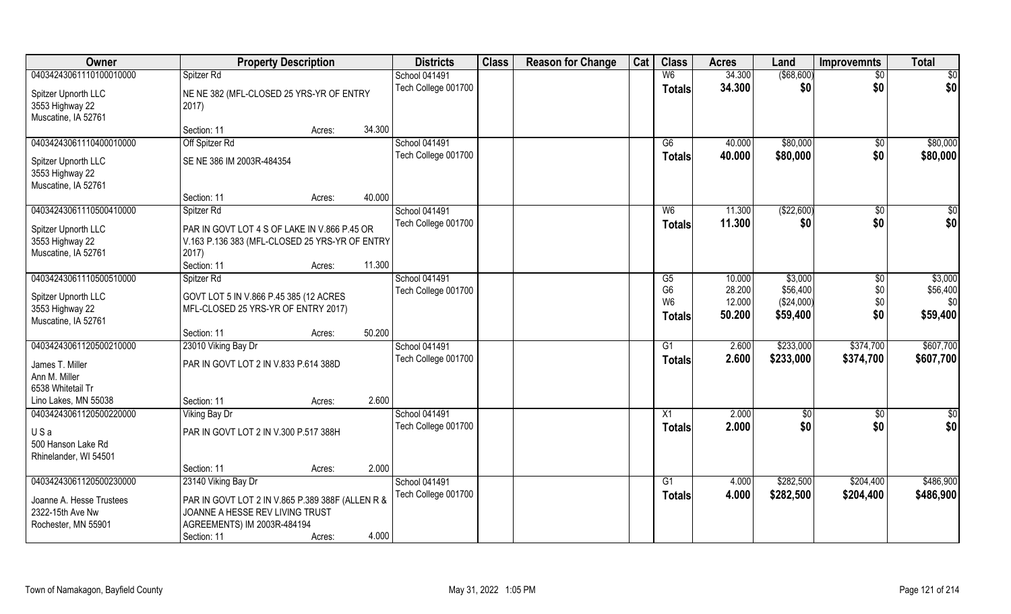| Owner                                  | <b>Property Description</b>                             | <b>Districts</b>                     | <b>Class</b> | <b>Reason for Change</b> | Cat | <b>Class</b>   | <b>Acres</b> | Land        | <b>Improvemnts</b> | <b>Total</b>    |
|----------------------------------------|---------------------------------------------------------|--------------------------------------|--------------|--------------------------|-----|----------------|--------------|-------------|--------------------|-----------------|
| 04034243061110100010000                | Spitzer Rd                                              | School 041491                        |              |                          |     | W <sub>6</sub> | 34.300       | ( \$68,600) | $\overline{50}$    | $\overline{50}$ |
| Spitzer Upnorth LLC                    | NE NE 382 (MFL-CLOSED 25 YRS-YR OF ENTRY                | Tech College 001700                  |              |                          |     | <b>Totals</b>  | 34.300       | \$0         | \$0                | \$0             |
| 3553 Highway 22                        | 2017)                                                   |                                      |              |                          |     |                |              |             |                    |                 |
| Muscatine, IA 52761                    |                                                         |                                      |              |                          |     |                |              |             |                    |                 |
|                                        | 34.300<br>Section: 11<br>Acres:                         |                                      |              |                          |     |                |              |             |                    |                 |
| 04034243061110400010000                | Off Spitzer Rd                                          | <b>School 041491</b>                 |              |                          |     | G <sub>6</sub> | 40.000       | \$80,000    | \$0                | \$80,000        |
|                                        | SE NE 386 IM 2003R-484354                               | Tech College 001700                  |              |                          |     | <b>Totals</b>  | 40.000       | \$80,000    | \$0                | \$80,000        |
| Spitzer Upnorth LLC<br>3553 Highway 22 |                                                         |                                      |              |                          |     |                |              |             |                    |                 |
| Muscatine, IA 52761                    |                                                         |                                      |              |                          |     |                |              |             |                    |                 |
|                                        | 40.000<br>Section: 11<br>Acres:                         |                                      |              |                          |     |                |              |             |                    |                 |
| 04034243061110500410000                | Spitzer Rd                                              | School 041491                        |              |                          |     | W <sub>6</sub> | 11.300       | ( \$22,600) | $\sqrt[6]{30}$     | \$0             |
|                                        |                                                         | Tech College 001700                  |              |                          |     | <b>Totals</b>  | 11.300       | \$0         | \$0                | \$0             |
| Spitzer Upnorth LLC                    | PAR IN GOVT LOT 4 S OF LAKE IN V.866 P.45 OR            |                                      |              |                          |     |                |              |             |                    |                 |
| 3553 Highway 22<br>Muscatine, IA 52761 | V.163 P.136 383 (MFL-CLOSED 25 YRS-YR OF ENTRY<br>2017) |                                      |              |                          |     |                |              |             |                    |                 |
|                                        | 11.300<br>Section: 11<br>Acres:                         |                                      |              |                          |     |                |              |             |                    |                 |
| 04034243061110500510000                | Spitzer Rd                                              | School 041491                        |              |                          |     | G5             | 10.000       | \$3,000     | $\sqrt[6]{}$       | \$3,000         |
|                                        |                                                         | Tech College 001700                  |              |                          |     | G <sub>6</sub> | 28.200       | \$56,400    | \$0                | \$56,400        |
| Spitzer Upnorth LLC                    | GOVT LOT 5 IN V.866 P.45 385 (12 ACRES                  |                                      |              |                          |     | W <sub>6</sub> | 12.000       | (\$24,000)  | \$0                | \$0             |
| 3553 Highway 22                        | MFL-CLOSED 25 YRS-YR OF ENTRY 2017)                     |                                      |              |                          |     | <b>Totals</b>  | 50.200       | \$59,400    | \$0                | \$59,400        |
| Muscatine, IA 52761                    |                                                         |                                      |              |                          |     |                |              |             |                    |                 |
| 04034243061120500210000                | 50.200<br>Section: 11<br>Acres:                         |                                      |              |                          |     | G1             | 2.600        | \$233,000   | \$374,700          | \$607,700       |
|                                        | 23010 Viking Bay Dr                                     | School 041491<br>Tech College 001700 |              |                          |     |                | 2.600        | \$233,000   | \$374,700          | \$607,700       |
| James T. Miller                        | PAR IN GOVT LOT 2 IN V.833 P.614 388D                   |                                      |              |                          |     | Totals         |              |             |                    |                 |
| Ann M. Miller                          |                                                         |                                      |              |                          |     |                |              |             |                    |                 |
| 6538 Whitetail Tr                      |                                                         |                                      |              |                          |     |                |              |             |                    |                 |
| Lino Lakes, MN 55038                   | 2.600<br>Section: 11<br>Acres:                          |                                      |              |                          |     |                |              |             |                    |                 |
| 04034243061120500220000                | Viking Bay Dr                                           | School 041491                        |              |                          |     | X1             | 2.000        | $\sqrt{6}$  | \$0                | $\frac{6}{3}$   |
| USa                                    | PAR IN GOVT LOT 2 IN V.300 P.517 388H                   | Tech College 001700                  |              |                          |     | <b>Totals</b>  | 2.000        | \$0         | \$0                | \$0             |
| 500 Hanson Lake Rd                     |                                                         |                                      |              |                          |     |                |              |             |                    |                 |
| Rhinelander, WI 54501                  |                                                         |                                      |              |                          |     |                |              |             |                    |                 |
|                                        | 2.000<br>Section: 11<br>Acres:                          |                                      |              |                          |     |                |              |             |                    |                 |
| 04034243061120500230000                | 23140 Viking Bay Dr                                     | School 041491                        |              |                          |     | G1             | 4.000        | \$282,500   | \$204,400          | \$486,900       |
| Joanne A. Hesse Trustees               | PAR IN GOVT LOT 2 IN V.865 P.389 388F (ALLEN R &        | Tech College 001700                  |              |                          |     | <b>Totals</b>  | 4.000        | \$282,500   | \$204,400          | \$486,900       |
| 2322-15th Ave Nw                       | JOANNE A HESSE REV LIVING TRUST                         |                                      |              |                          |     |                |              |             |                    |                 |
| Rochester, MN 55901                    | AGREEMENTS) IM 2003R-484194                             |                                      |              |                          |     |                |              |             |                    |                 |
|                                        | 4.000<br>Section: 11<br>Acres:                          |                                      |              |                          |     |                |              |             |                    |                 |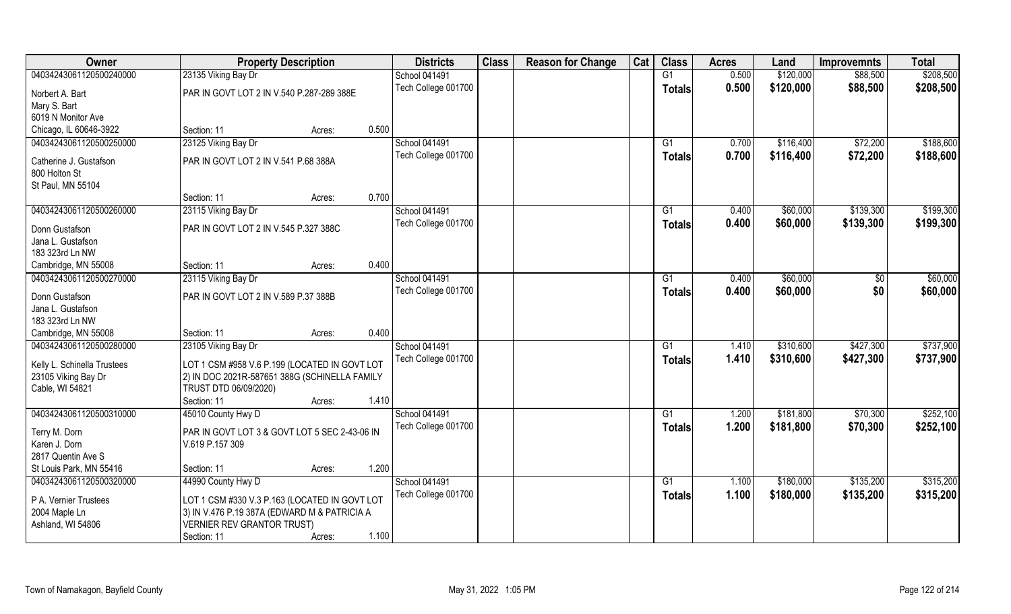| Owner                       | <b>Property Description</b>                   |        |       | <b>Districts</b>     | <b>Class</b> | <b>Reason for Change</b> | Cat | <b>Class</b>  | <b>Acres</b> | Land      | <b>Improvemnts</b> | <b>Total</b> |
|-----------------------------|-----------------------------------------------|--------|-------|----------------------|--------------|--------------------------|-----|---------------|--------------|-----------|--------------------|--------------|
| 04034243061120500240000     | 23135 Viking Bay Dr                           |        |       | <b>School 041491</b> |              |                          |     | G1            | 0.500        | \$120,000 | \$88,500           | \$208,500    |
| Norbert A. Bart             | PAR IN GOVT LOT 2 IN V.540 P.287-289 388E     |        |       | Tech College 001700  |              |                          |     | <b>Totals</b> | 0.500        | \$120,000 | \$88,500           | \$208,500    |
| Mary S. Bart                |                                               |        |       |                      |              |                          |     |               |              |           |                    |              |
| 6019 N Monitor Ave          |                                               |        |       |                      |              |                          |     |               |              |           |                    |              |
| Chicago, IL 60646-3922      | Section: 11                                   | Acres: | 0.500 |                      |              |                          |     |               |              |           |                    |              |
| 04034243061120500250000     | 23125 Viking Bay Dr                           |        |       | <b>School 041491</b> |              |                          |     | G1            | 0.700        | \$116,400 | \$72,200           | \$188,600    |
| Catherine J. Gustafson      | PAR IN GOVT LOT 2 IN V.541 P.68 388A          |        |       | Tech College 001700  |              |                          |     | <b>Totals</b> | 0.700        | \$116,400 | \$72,200           | \$188,600    |
| 800 Holton St               |                                               |        |       |                      |              |                          |     |               |              |           |                    |              |
| St Paul, MN 55104           |                                               |        |       |                      |              |                          |     |               |              |           |                    |              |
|                             | Section: 11                                   | Acres: | 0.700 |                      |              |                          |     |               |              |           |                    |              |
| 04034243061120500260000     | 23115 Viking Bay Dr                           |        |       | <b>School 041491</b> |              |                          |     | G1            | 0.400        | \$60,000  | \$139,300          | \$199,300    |
| Donn Gustafson              | PAR IN GOVT LOT 2 IN V.545 P.327 388C         |        |       | Tech College 001700  |              |                          |     | <b>Totals</b> | 0.400        | \$60,000  | \$139,300          | \$199,300    |
| Jana L. Gustafson           |                                               |        |       |                      |              |                          |     |               |              |           |                    |              |
| 183 323rd Ln NW             |                                               |        |       |                      |              |                          |     |               |              |           |                    |              |
| Cambridge, MN 55008         | Section: 11                                   | Acres: | 0.400 |                      |              |                          |     |               |              |           |                    |              |
| 04034243061120500270000     | 23115 Viking Bay Dr                           |        |       | School 041491        |              |                          |     | G1            | 0.400        | \$60,000  | $\sqrt[6]{3}$      | \$60,000     |
| Donn Gustafson              | PAR IN GOVT LOT 2 IN V.589 P.37 388B          |        |       | Tech College 001700  |              |                          |     | <b>Totals</b> | 0.400        | \$60,000  | \$0                | \$60,000     |
| Jana L. Gustafson           |                                               |        |       |                      |              |                          |     |               |              |           |                    |              |
| 183 323rd Ln NW             |                                               |        |       |                      |              |                          |     |               |              |           |                    |              |
| Cambridge, MN 55008         | Section: 11                                   | Acres: | 0.400 |                      |              |                          |     |               |              |           |                    |              |
| 04034243061120500280000     | 23105 Viking Bay Dr                           |        |       | <b>School 041491</b> |              |                          |     | G1            | 1.410        | \$310,600 | \$427,300          | \$737,900    |
| Kelly L. Schinella Trustees | LOT 1 CSM #958 V.6 P.199 (LOCATED IN GOVT LOT |        |       | Tech College 001700  |              |                          |     | <b>Totals</b> | 1.410        | \$310,600 | \$427,300          | \$737,900    |
| 23105 Viking Bay Dr         | 2) IN DOC 2021R-587651 388G (SCHINELLA FAMILY |        |       |                      |              |                          |     |               |              |           |                    |              |
| Cable, WI 54821             | TRUST DTD 06/09/2020)                         |        |       |                      |              |                          |     |               |              |           |                    |              |
|                             | Section: 11                                   | Acres: | 1.410 |                      |              |                          |     |               |              |           |                    |              |
| 04034243061120500310000     | 45010 County Hwy D                            |        |       | <b>School 041491</b> |              |                          |     | G1            | 1.200        | \$181,800 | \$70,300           | \$252,100    |
| Terry M. Dorn               | PAR IN GOVT LOT 3 & GOVT LOT 5 SEC 2-43-06 IN |        |       | Tech College 001700  |              |                          |     | <b>Totals</b> | 1.200        | \$181,800 | \$70,300           | \$252,100    |
| Karen J. Dorn               | V.619 P.157 309                               |        |       |                      |              |                          |     |               |              |           |                    |              |
| 2817 Quentin Ave S          |                                               |        |       |                      |              |                          |     |               |              |           |                    |              |
| St Louis Park, MN 55416     | Section: 11                                   | Acres: | 1.200 |                      |              |                          |     |               |              |           |                    |              |
| 04034243061120500320000     | 44990 County Hwy D                            |        |       | School 041491        |              |                          |     | G1            | 1.100        | \$180,000 | \$135,200          | \$315,200    |
| P A. Vernier Trustees       | LOT 1 CSM #330 V.3 P.163 (LOCATED IN GOVT LOT |        |       | Tech College 001700  |              |                          |     | Totals        | 1.100        | \$180,000 | \$135,200          | \$315,200    |
| 2004 Maple Ln               | 3) IN V.476 P.19 387A (EDWARD M & PATRICIA A  |        |       |                      |              |                          |     |               |              |           |                    |              |
| Ashland, WI 54806           | <b>VERNIER REV GRANTOR TRUST)</b>             |        |       |                      |              |                          |     |               |              |           |                    |              |
|                             | Section: 11                                   | Acres: | 1.100 |                      |              |                          |     |               |              |           |                    |              |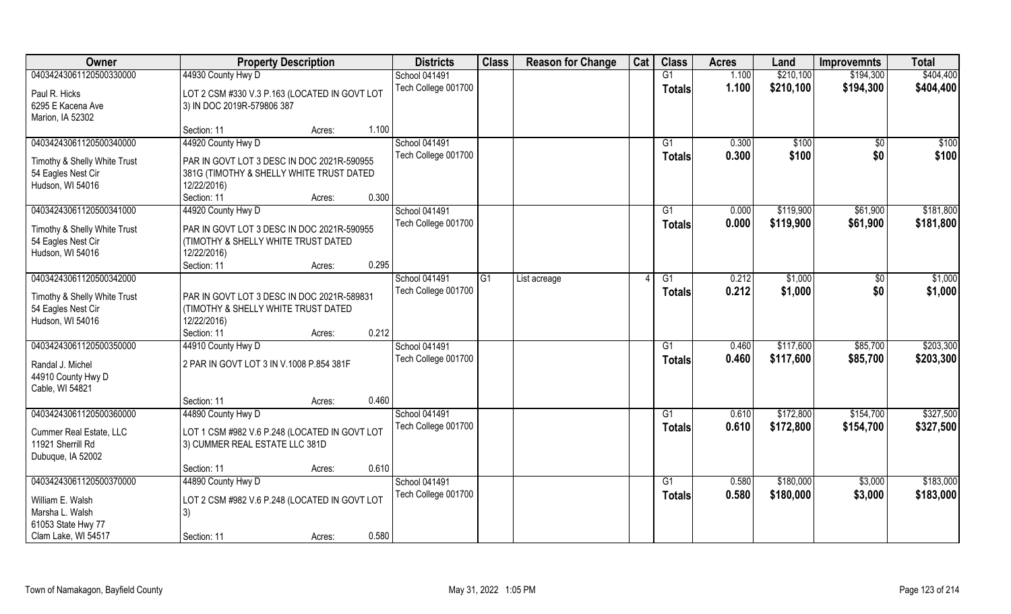| Owner                                  | <b>Property Description</b>                                                       |        |       | <b>Districts</b>    | <b>Class</b>   | <b>Reason for Change</b> | Cat | <b>Class</b>    | <b>Acres</b> | Land      | <b>Improvemnts</b> | <b>Total</b> |
|----------------------------------------|-----------------------------------------------------------------------------------|--------|-------|---------------------|----------------|--------------------------|-----|-----------------|--------------|-----------|--------------------|--------------|
| 04034243061120500330000                | 44930 County Hwy D                                                                |        |       | School 041491       |                |                          |     | $\overline{G1}$ | 1.100        | \$210,100 | \$194,300          | \$404,400    |
| Paul R. Hicks<br>6295 E Kacena Ave     | LOT 2 CSM #330 V.3 P.163 (LOCATED IN GOVT LOT<br>3) IN DOC 2019R-579806 387       |        |       | Tech College 001700 |                |                          |     | <b>Totals</b>   | 1.100        | \$210,100 | \$194,300          | \$404,400    |
| Marion, IA 52302                       |                                                                                   |        |       |                     |                |                          |     |                 |              |           |                    |              |
|                                        | Section: 11                                                                       | Acres: | 1.100 |                     |                |                          |     |                 |              |           |                    |              |
| 04034243061120500340000                | 44920 County Hwy D                                                                |        |       | School 041491       |                |                          |     | G1              | 0.300        | \$100     | $\sqrt{$0}$        | \$100        |
| Timothy & Shelly White Trust           | PAR IN GOVT LOT 3 DESC IN DOC 2021R-590955                                        |        |       | Tech College 001700 |                |                          |     | <b>Totals</b>   | 0.300        | \$100     | \$0                | \$100        |
| 54 Eagles Nest Cir                     | 381G (TIMOTHY & SHELLY WHITE TRUST DATED                                          |        |       |                     |                |                          |     |                 |              |           |                    |              |
| Hudson, WI 54016                       | 12/22/2016)                                                                       |        |       |                     |                |                          |     |                 |              |           |                    |              |
|                                        | Section: 11                                                                       | Acres: | 0.300 |                     |                |                          |     |                 |              |           |                    |              |
| 04034243061120500341000                | 44920 County Hwy D                                                                |        |       | School 041491       |                |                          |     | G1              | 0.000        | \$119,900 | \$61,900           | \$181,800    |
| Timothy & Shelly White Trust           | PAR IN GOVT LOT 3 DESC IN DOC 2021R-590955                                        |        |       | Tech College 001700 |                |                          |     | <b>Totals</b>   | 0.000        | \$119,900 | \$61,900           | \$181,800    |
| 54 Eagles Nest Cir                     | (TIMOTHY & SHELLY WHITE TRUST DATED                                               |        |       |                     |                |                          |     |                 |              |           |                    |              |
| Hudson, WI 54016                       | 12/22/2016)                                                                       |        |       |                     |                |                          |     |                 |              |           |                    |              |
|                                        | Section: 11                                                                       | Acres: | 0.295 |                     |                |                          |     |                 |              |           |                    |              |
| 04034243061120500342000                |                                                                                   |        |       | School 041491       | G <sub>1</sub> | List acreage             |     | G1              | 0.212        | \$1,000   | \$0                | \$1,000      |
|                                        |                                                                                   |        |       | Tech College 001700 |                |                          |     | <b>Totals</b>   | 0.212        | \$1,000   | \$0                | \$1,000      |
| Timothy & Shelly White Trust           | PAR IN GOVT LOT 3 DESC IN DOC 2021R-589831<br>(TIMOTHY & SHELLY WHITE TRUST DATED |        |       |                     |                |                          |     |                 |              |           |                    |              |
| 54 Eagles Nest Cir<br>Hudson, WI 54016 | 12/22/2016)                                                                       |        |       |                     |                |                          |     |                 |              |           |                    |              |
|                                        | Section: 11                                                                       | Acres: | 0.212 |                     |                |                          |     |                 |              |           |                    |              |
| 04034243061120500350000                | 44910 County Hwy D                                                                |        |       | School 041491       |                |                          |     | G1              | 0.460        | \$117,600 | \$85,700           | \$203,300    |
|                                        |                                                                                   |        |       | Tech College 001700 |                |                          |     | <b>Totals</b>   | 0.460        | \$117,600 | \$85,700           | \$203,300    |
| Randal J. Michel                       | 2 PAR IN GOVT LOT 3 IN V.1008 P.854 381F                                          |        |       |                     |                |                          |     |                 |              |           |                    |              |
| 44910 County Hwy D                     |                                                                                   |        |       |                     |                |                          |     |                 |              |           |                    |              |
| Cable, WI 54821                        |                                                                                   |        |       |                     |                |                          |     |                 |              |           |                    |              |
|                                        | Section: 11                                                                       | Acres: | 0.460 |                     |                |                          |     |                 |              |           |                    |              |
| 04034243061120500360000                | 44890 County Hwy D                                                                |        |       | School 041491       |                |                          |     | G1              | 0.610        | \$172,800 | \$154,700          | \$327,500    |
| Cummer Real Estate, LLC                | LOT 1 CSM #982 V.6 P.248 (LOCATED IN GOVT LOT                                     |        |       | Tech College 001700 |                |                          |     | <b>Totals</b>   | 0.610        | \$172,800 | \$154,700          | \$327,500    |
| 11921 Sherrill Rd                      | 3) CUMMER REAL ESTATE LLC 381D                                                    |        |       |                     |                |                          |     |                 |              |           |                    |              |
| Dubuque, IA 52002                      |                                                                                   |        |       |                     |                |                          |     |                 |              |           |                    |              |
|                                        | Section: 11                                                                       | Acres: | 0.610 |                     |                |                          |     |                 |              |           |                    |              |
| 04034243061120500370000                | 44890 County Hwy D                                                                |        |       | School 041491       |                |                          |     | G1              | 0.580        | \$180,000 | \$3,000            | \$183,000    |
| William E. Walsh                       | LOT 2 CSM #982 V.6 P.248 (LOCATED IN GOVT LOT                                     |        |       | Tech College 001700 |                |                          |     | <b>Totals</b>   | 0.580        | \$180,000 | \$3,000            | \$183,000    |
| Marsha L. Walsh                        | 3)                                                                                |        |       |                     |                |                          |     |                 |              |           |                    |              |
| 61053 State Hwy 77                     |                                                                                   |        |       |                     |                |                          |     |                 |              |           |                    |              |
| Clam Lake, WI 54517                    | Section: 11                                                                       | Acres: | 0.580 |                     |                |                          |     |                 |              |           |                    |              |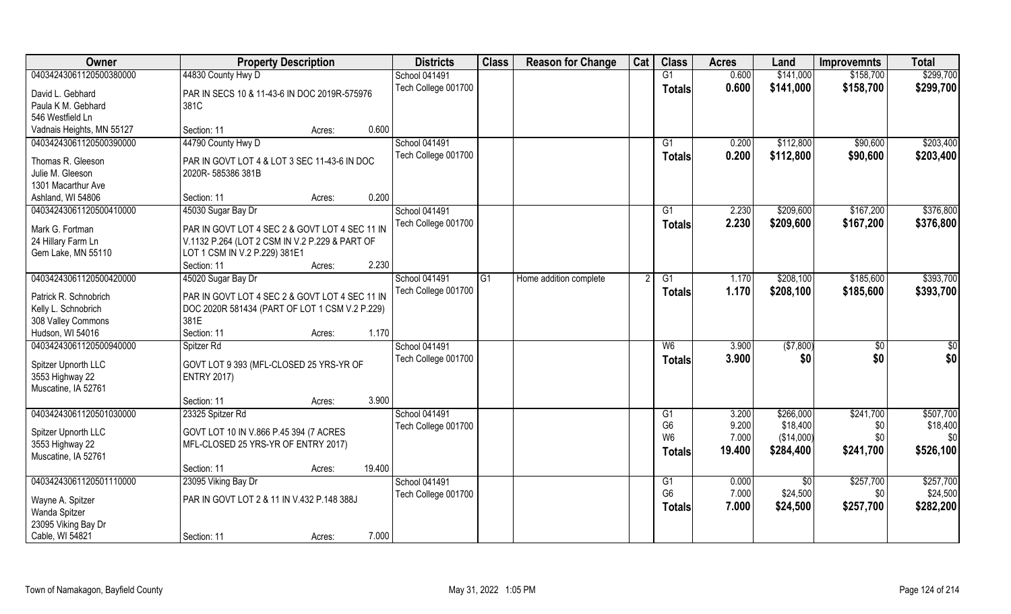| Owner                                        | <b>Property Description</b>                            | <b>Districts</b>     | <b>Class</b>    | <b>Reason for Change</b> | Cat | <b>Class</b>   | <b>Acres</b> | Land       | <b>Improvemnts</b> | <b>Total</b>    |
|----------------------------------------------|--------------------------------------------------------|----------------------|-----------------|--------------------------|-----|----------------|--------------|------------|--------------------|-----------------|
| 04034243061120500380000                      | 44830 County Hwy D                                     | School 041491        |                 |                          |     | G1             | 0.600        | \$141,000  | \$158,700          | \$299,700       |
| David L. Gebhard                             | PAR IN SECS 10 & 11-43-6 IN DOC 2019R-575976           | Tech College 001700  |                 |                          |     | Totals         | 0.600        | \$141,000  | \$158,700          | \$299,700       |
| Paula K M. Gebhard                           | 381C                                                   |                      |                 |                          |     |                |              |            |                    |                 |
| 546 Westfield Ln                             |                                                        |                      |                 |                          |     |                |              |            |                    |                 |
| Vadnais Heights, MN 55127                    | 0.600<br>Section: 11<br>Acres:                         |                      |                 |                          |     |                |              |            |                    |                 |
| 04034243061120500390000                      | 44790 County Hwy D                                     | <b>School 041491</b> |                 |                          |     | G1             | 0.200        | \$112,800  | \$90,600           | \$203,400       |
|                                              |                                                        | Tech College 001700  |                 |                          |     | Totals         | 0.200        | \$112,800  | \$90,600           | \$203,400       |
| Thomas R. Gleeson                            | PAR IN GOVT LOT 4 & LOT 3 SEC 11-43-6 IN DOC           |                      |                 |                          |     |                |              |            |                    |                 |
| Julie M. Gleeson                             | 2020R-585386 381B                                      |                      |                 |                          |     |                |              |            |                    |                 |
| 1301 Macarthur Ave                           |                                                        |                      |                 |                          |     |                |              |            |                    |                 |
| Ashland, WI 54806                            | 0.200<br>Section: 11<br>Acres:                         |                      |                 |                          |     |                |              |            |                    |                 |
| 04034243061120500410000                      | 45030 Sugar Bay Dr                                     | School 041491        |                 |                          |     | G1             | 2.230        | \$209,600  | \$167,200          | \$376,800       |
| Mark G. Fortman                              | PAR IN GOVT LOT 4 SEC 2 & GOVT LOT 4 SEC 11 IN         | Tech College 001700  |                 |                          |     | <b>Totals</b>  | 2.230        | \$209,600  | \$167,200          | \$376,800       |
| 24 Hillary Farm Ln                           | V.1132 P.264 (LOT 2 CSM IN V.2 P.229 & PART OF         |                      |                 |                          |     |                |              |            |                    |                 |
| Gem Lake, MN 55110                           | LOT 1 CSM IN V.2 P.229) 381E1                          |                      |                 |                          |     |                |              |            |                    |                 |
|                                              | 2.230<br>Section: 11<br>Acres:                         |                      |                 |                          |     |                |              |            |                    |                 |
| 04034243061120500420000                      | 45020 Sugar Bay Dr                                     | School 041491        | $\overline{G1}$ | Home addition complete   |     | G1             | 1.170        | \$208,100  | \$185,600          | \$393,700       |
|                                              |                                                        | Tech College 001700  |                 |                          |     | <b>Totals</b>  | 1.170        | \$208,100  | \$185,600          | \$393,700       |
| Patrick R. Schnobrich<br>Kelly L. Schnobrich | PAR IN GOVT LOT 4 SEC 2 & GOVT LOT 4 SEC 11 IN         |                      |                 |                          |     |                |              |            |                    |                 |
| 308 Valley Commons                           | DOC 2020R 581434 (PART OF LOT 1 CSM V.2 P.229)<br>381E |                      |                 |                          |     |                |              |            |                    |                 |
| Hudson, WI 54016                             | 1.170<br>Section: 11<br>Acres:                         |                      |                 |                          |     |                |              |            |                    |                 |
| 04034243061120500940000                      | Spitzer Rd                                             | School 041491        |                 |                          |     | W6             | 3.900        | (\$7,800)  | \$0                | $\overline{50}$ |
|                                              |                                                        | Tech College 001700  |                 |                          |     |                | 3.900        | \$0        |                    | \$0             |
| Spitzer Upnorth LLC                          | GOVT LOT 9 393 (MFL-CLOSED 25 YRS-YR OF                |                      |                 |                          |     | <b>Totals</b>  |              |            | \$0                |                 |
| 3553 Highway 22                              | <b>ENTRY 2017)</b>                                     |                      |                 |                          |     |                |              |            |                    |                 |
| Muscatine, IA 52761                          |                                                        |                      |                 |                          |     |                |              |            |                    |                 |
|                                              | 3.900<br>Section: 11<br>Acres:                         |                      |                 |                          |     |                |              |            |                    |                 |
| 04034243061120501030000                      | 23325 Spitzer Rd                                       | School 041491        |                 |                          |     | G1             | 3.200        | \$266,000  | \$241,700          | \$507,700       |
| Spitzer Upnorth LLC                          | GOVT LOT 10 IN V.866 P.45 394 (7 ACRES                 | Tech College 001700  |                 |                          |     | G <sub>6</sub> | 9.200        | \$18,400   | \$0                | \$18,400        |
| 3553 Highway 22                              | MFL-CLOSED 25 YRS-YR OF ENTRY 2017)                    |                      |                 |                          |     | W <sub>6</sub> | 7.000        | (\$14,000) | \$0                | \$0             |
| Muscatine, IA 52761                          |                                                        |                      |                 |                          |     | <b>Totals</b>  | 19.400       | \$284,400  | \$241,700          | \$526,100       |
|                                              | 19.400<br>Section: 11<br>Acres:                        |                      |                 |                          |     |                |              |            |                    |                 |
| 04034243061120501110000                      | 23095 Viking Bay Dr                                    | School 041491        |                 |                          |     | G1             | 0.000        | \$0        | \$257,700          | \$257,700       |
|                                              |                                                        | Tech College 001700  |                 |                          |     | G <sub>6</sub> | 7.000        | \$24,500   | \$0                | \$24,500        |
| Wayne A. Spitzer                             | PAR IN GOVT LOT 2 & 11 IN V.432 P.148 388J             |                      |                 |                          |     | Totals         | 7.000        | \$24,500   | \$257,700          | \$282,200       |
| Wanda Spitzer                                |                                                        |                      |                 |                          |     |                |              |            |                    |                 |
| 23095 Viking Bay Dr                          |                                                        |                      |                 |                          |     |                |              |            |                    |                 |
| Cable, WI 54821                              | 7.000<br>Section: 11<br>Acres:                         |                      |                 |                          |     |                |              |            |                    |                 |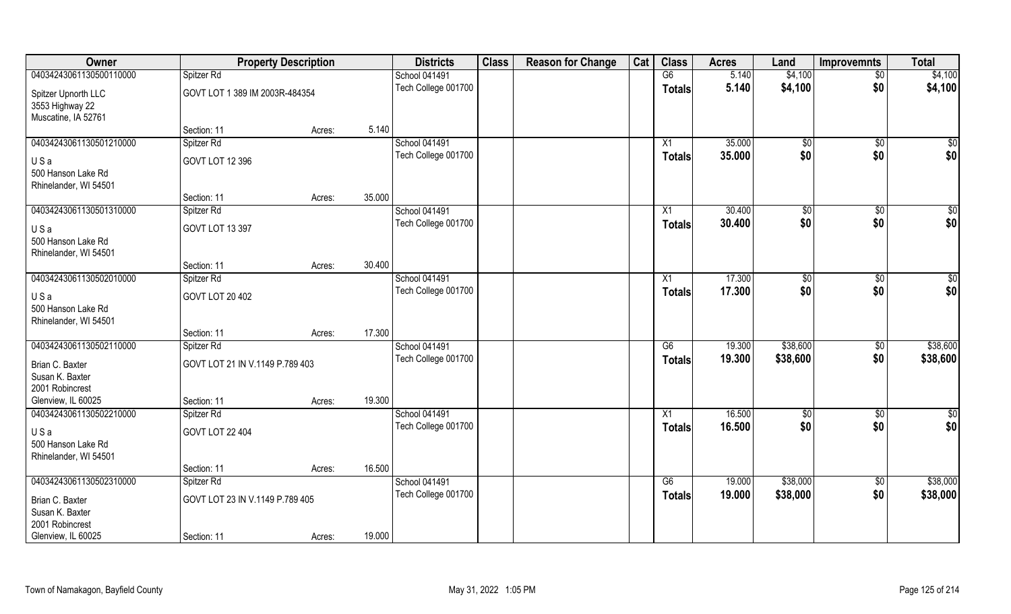| Owner                                                         | <b>Property Description</b>     |        |        | <b>Districts</b>                     | <b>Class</b> | <b>Reason for Change</b> | Cat | <b>Class</b>    | <b>Acres</b> | Land                  | <b>Improvemnts</b> | <b>Total</b>  |
|---------------------------------------------------------------|---------------------------------|--------|--------|--------------------------------------|--------------|--------------------------|-----|-----------------|--------------|-----------------------|--------------------|---------------|
| 04034243061130500110000                                       | Spitzer Rd                      |        |        | <b>School 041491</b>                 |              |                          |     | G6              | 5.140        | \$4,100               | $\overline{50}$    | \$4,100       |
| Spitzer Upnorth LLC<br>3553 Highway 22<br>Muscatine, IA 52761 | GOVT LOT 1 389 IM 2003R-484354  |        |        | Tech College 001700                  |              |                          |     | <b>Totals</b>   | 5.140        | \$4,100               | \$0                | \$4,100       |
|                                                               | Section: 11                     | Acres: | 5.140  |                                      |              |                          |     |                 |              |                       |                    |               |
| 04034243061130501210000                                       | Spitzer Rd                      |        |        | <b>School 041491</b>                 |              |                          |     | X1              | 35.000       | $\sqrt[6]{}$          | $\sqrt{$0}$        | $\sqrt{50}$   |
| USa                                                           | GOVT LOT 12 396                 |        |        | Tech College 001700                  |              |                          |     | <b>Totals</b>   | 35.000       | \$0                   | \$0                | \$0           |
| 500 Hanson Lake Rd<br>Rhinelander, WI 54501                   |                                 |        |        |                                      |              |                          |     |                 |              |                       |                    |               |
|                                                               | Section: 11                     | Acres: | 35.000 |                                      |              |                          |     |                 |              |                       |                    |               |
| 04034243061130501310000                                       | Spitzer Rd                      |        |        | School 041491                        |              |                          |     | X1              | 30.400       | \$0                   | $\sqrt[6]{3}$      | $\sqrt{50}$   |
| USa                                                           | GOVT LOT 13 397                 |        |        | Tech College 001700                  |              |                          |     | <b>Totals</b>   | 30.400       | \$0                   | \$0                | \$0           |
| 500 Hanson Lake Rd                                            |                                 |        |        |                                      |              |                          |     |                 |              |                       |                    |               |
| Rhinelander, WI 54501                                         |                                 |        |        |                                      |              |                          |     |                 |              |                       |                    |               |
|                                                               | Section: 11                     | Acres: | 30.400 |                                      |              |                          |     |                 |              |                       |                    |               |
| 04034243061130502010000                                       | Spitzer Rd                      |        |        | School 041491<br>Tech College 001700 |              |                          |     | X1              | 17.300       | $\frac{1}{20}$<br>\$0 | $\sqrt[6]{3}$      | \$0<br>\$0    |
| USa<br>500 Hanson Lake Rd<br>Rhinelander, WI 54501            | GOVT LOT 20 402                 |        |        |                                      |              |                          |     | <b>Totals</b>   | 17.300       |                       | \$0                |               |
|                                                               | Section: 11                     | Acres: | 17.300 |                                      |              |                          |     |                 |              |                       |                    |               |
| 04034243061130502110000                                       | Spitzer Rd                      |        |        | School 041491                        |              |                          |     | $\overline{G6}$ | 19.300       | \$38,600              | $\sqrt[6]{3}$      | \$38,600      |
| Brian C. Baxter                                               | GOVT LOT 21 IN V.1149 P.789 403 |        |        | Tech College 001700                  |              |                          |     | <b>Totals</b>   | 19.300       | \$38,600              | \$0                | \$38,600      |
| Susan K. Baxter<br>2001 Robincrest                            |                                 |        |        |                                      |              |                          |     |                 |              |                       |                    |               |
| Glenview, IL 60025                                            | Section: 11                     | Acres: | 19.300 |                                      |              |                          |     |                 |              |                       |                    |               |
| 04034243061130502210000                                       | Spitzer Rd                      |        |        | School 041491                        |              |                          |     | X1              | 16.500       | \$0                   | \$0                | $\frac{6}{3}$ |
| USa<br>500 Hanson Lake Rd<br>Rhinelander, WI 54501            | GOVT LOT 22 404                 |        |        | Tech College 001700                  |              |                          |     | <b>Totals</b>   | 16.500       | \$0                   | \$0                | \$0           |
|                                                               | Section: 11                     | Acres: | 16.500 |                                      |              |                          |     |                 |              |                       |                    |               |
| 04034243061130502310000                                       | Spitzer Rd                      |        |        | School 041491                        |              |                          |     | G6              | 19.000       | \$38,000              | $\sqrt{$0}$        | \$38,000      |
| Brian C. Baxter<br>Susan K. Baxter                            | GOVT LOT 23 IN V.1149 P.789 405 |        |        | Tech College 001700                  |              |                          |     | <b>Totals</b>   | 19.000       | \$38,000              | \$0                | \$38,000      |
| 2001 Robincrest                                               |                                 |        |        |                                      |              |                          |     |                 |              |                       |                    |               |
| Glenview, IL 60025                                            | Section: 11                     | Acres: | 19.000 |                                      |              |                          |     |                 |              |                       |                    |               |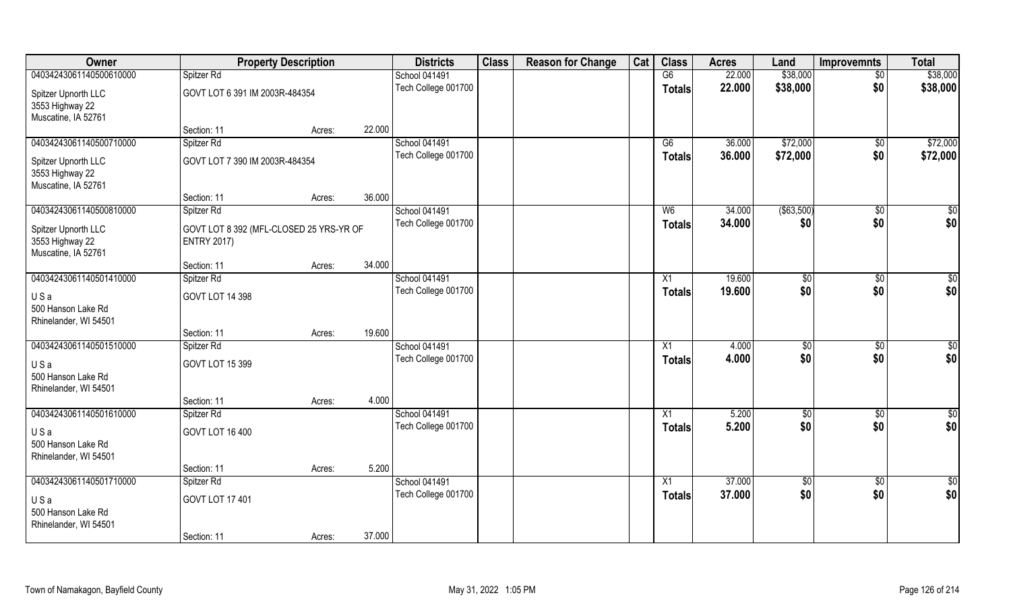| Owner                                  | <b>Property Description</b>             |        |        | <b>Districts</b>    | <b>Class</b> | <b>Reason for Change</b> | Cat | <b>Class</b>    | <b>Acres</b> | Land           | <b>Improvemnts</b> | <b>Total</b>    |
|----------------------------------------|-----------------------------------------|--------|--------|---------------------|--------------|--------------------------|-----|-----------------|--------------|----------------|--------------------|-----------------|
| 04034243061140500610000                | Spitzer Rd                              |        |        | School 041491       |              |                          |     | G6              | 22.000       | \$38,000       | $\sqrt{$0}$        | \$38,000        |
| Spitzer Upnorth LLC<br>3553 Highway 22 | GOVT LOT 6 391 IM 2003R-484354          |        |        | Tech College 001700 |              |                          |     | <b>Totals</b>   | 22.000       | \$38,000       | \$0                | \$38,000        |
| Muscatine, IA 52761                    |                                         |        |        |                     |              |                          |     |                 |              |                |                    |                 |
|                                        | Section: 11                             | Acres: | 22.000 |                     |              |                          |     |                 |              |                |                    |                 |
| 04034243061140500710000                | Spitzer Rd                              |        |        | School 041491       |              |                          |     | G6              | 36.000       | \$72,000       | $\sqrt{$0}$        | \$72,000        |
| Spitzer Upnorth LLC                    | GOVT LOT 7 390 IM 2003R-484354          |        |        | Tech College 001700 |              |                          |     | <b>Totals</b>   | 36.000       | \$72,000       | \$0                | \$72,000        |
| 3553 Highway 22                        |                                         |        |        |                     |              |                          |     |                 |              |                |                    |                 |
| Muscatine, IA 52761                    |                                         |        |        |                     |              |                          |     |                 |              |                |                    |                 |
|                                        | Section: 11                             | Acres: | 36.000 |                     |              |                          |     |                 |              |                |                    |                 |
| 04034243061140500810000                | Spitzer Rd                              |        |        | School 041491       |              |                          |     | W <sub>6</sub>  | 34.000       | ( \$63,500)    | $\overline{50}$    | $\sqrt{50}$     |
| Spitzer Upnorth LLC                    | GOVT LOT 8 392 (MFL-CLOSED 25 YRS-YR OF |        |        | Tech College 001700 |              |                          |     | <b>Totals</b>   | 34.000       | \$0            | \$0                | \$0             |
| 3553 Highway 22                        | <b>ENTRY 2017)</b>                      |        |        |                     |              |                          |     |                 |              |                |                    |                 |
| Muscatine, IA 52761                    |                                         |        |        |                     |              |                          |     |                 |              |                |                    |                 |
|                                        | Section: 11                             | Acres: | 34.000 |                     |              |                          |     |                 |              |                |                    |                 |
| 04034243061140501410000                | Spitzer Rd                              |        |        | School 041491       |              |                          |     | X1              | 19.600       | $\frac{1}{20}$ | $\sqrt[6]{3}$      | $\sqrt{50}$     |
| USa<br>500 Hanson Lake Rd              | <b>GOVT LOT 14 398</b>                  |        |        | Tech College 001700 |              |                          |     | <b>Totals</b>   | 19.600       | \$0            | \$0                | \$0             |
| Rhinelander, WI 54501                  |                                         |        |        |                     |              |                          |     |                 |              |                |                    |                 |
|                                        | Section: 11                             | Acres: | 19.600 |                     |              |                          |     |                 |              |                |                    |                 |
| 04034243061140501510000                | Spitzer Rd                              |        |        | School 041491       |              |                          |     | X1              | 4.000        | \$0            | $\overline{50}$    | $\sqrt{50}$     |
| USa                                    | GOVT LOT 15 399                         |        |        | Tech College 001700 |              |                          |     | <b>Totals</b>   | 4.000        | \$0            | \$0                | \$0             |
| 500 Hanson Lake Rd                     |                                         |        |        |                     |              |                          |     |                 |              |                |                    |                 |
| Rhinelander, WI 54501                  |                                         |        |        |                     |              |                          |     |                 |              |                |                    |                 |
|                                        | Section: 11                             | Acres: | 4.000  |                     |              |                          |     |                 |              |                |                    |                 |
| 04034243061140501610000                | Spitzer Rd                              |        |        | School 041491       |              |                          |     | $\overline{X1}$ | 5.200        | \$0            | $\sqrt{$0}$        | \$0             |
| USa                                    | GOVT LOT 16 400                         |        |        | Tech College 001700 |              |                          |     | <b>Totals</b>   | 5.200        | \$0            | \$0                | \$0             |
| 500 Hanson Lake Rd                     |                                         |        |        |                     |              |                          |     |                 |              |                |                    |                 |
| Rhinelander, WI 54501                  |                                         |        |        |                     |              |                          |     |                 |              |                |                    |                 |
|                                        | Section: 11                             | Acres: | 5.200  |                     |              |                          |     |                 |              |                |                    |                 |
| 04034243061140501710000                | Spitzer Rd                              |        |        | School 041491       |              |                          |     | $\overline{X1}$ | 37.000       | $\sqrt{6}$     | $\sqrt{$0}$        | $\overline{50}$ |
| USa                                    | GOVT LOT 17 401                         |        |        | Tech College 001700 |              |                          |     | <b>Totals</b>   | 37.000       | \$0            | \$0                | \$0             |
| 500 Hanson Lake Rd                     |                                         |        |        |                     |              |                          |     |                 |              |                |                    |                 |
| Rhinelander, WI 54501                  |                                         |        |        |                     |              |                          |     |                 |              |                |                    |                 |
|                                        | Section: 11                             | Acres: | 37.000 |                     |              |                          |     |                 |              |                |                    |                 |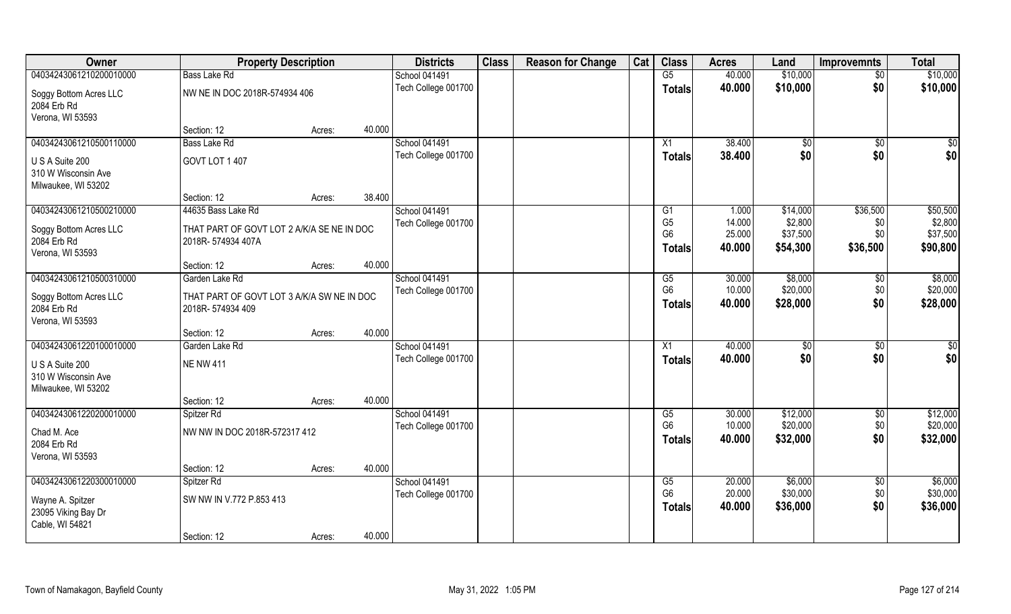| Owner                                 | <b>Property Description</b>                |        |        | <b>Districts</b>     | <b>Class</b> | <b>Reason for Change</b> | Cat | <b>Class</b>   | <b>Acres</b> | Land     | <b>Improvemnts</b> | <b>Total</b>    |
|---------------------------------------|--------------------------------------------|--------|--------|----------------------|--------------|--------------------------|-----|----------------|--------------|----------|--------------------|-----------------|
| 04034243061210200010000               | <b>Bass Lake Rd</b>                        |        |        | School 041491        |              |                          |     | G5             | 40.000       | \$10,000 | $\overline{50}$    | \$10,000        |
| Soggy Bottom Acres LLC<br>2084 Erb Rd | NW NE IN DOC 2018R-574934 406              |        |        | Tech College 001700  |              |                          |     | <b>Totals</b>  | 40.000       | \$10,000 | \$0                | \$10,000        |
| Verona, WI 53593                      |                                            |        |        |                      |              |                          |     |                |              |          |                    |                 |
|                                       | Section: 12                                | Acres: | 40.000 |                      |              |                          |     |                |              |          |                    |                 |
| 04034243061210500110000               | <b>Bass Lake Rd</b>                        |        |        | <b>School 041491</b> |              |                          |     | X1             | 38.400       | \$0      | \$0                | \$0             |
| U S A Suite 200                       | GOVT LOT 1 407                             |        |        | Tech College 001700  |              |                          |     | <b>Totals</b>  | 38.400       | \$0      | \$0                | \$0             |
| 310 W Wisconsin Ave                   |                                            |        |        |                      |              |                          |     |                |              |          |                    |                 |
| Milwaukee, WI 53202                   |                                            |        |        |                      |              |                          |     |                |              |          |                    |                 |
|                                       | Section: 12                                | Acres: | 38.400 |                      |              |                          |     |                |              |          |                    |                 |
| 04034243061210500210000               | 44635 Bass Lake Rd                         |        |        | School 041491        |              |                          |     | G1             | 1.000        | \$14,000 | \$36,500           | \$50,500        |
| Soggy Bottom Acres LLC                | THAT PART OF GOVT LOT 2 A/K/A SE NE IN DOC |        |        | Tech College 001700  |              |                          |     | G <sub>5</sub> | 14.000       | \$2,800  | \$0                | \$2,800         |
| 2084 Erb Rd                           | 2018R-574934 407A                          |        |        |                      |              |                          |     | G <sub>6</sub> | 25.000       | \$37,500 | \$0                | \$37,500        |
| Verona, WI 53593                      |                                            |        |        |                      |              |                          |     | Totals         | 40.000       | \$54,300 | \$36,500           | \$90,800        |
|                                       | Section: 12                                | Acres: | 40.000 |                      |              |                          |     |                |              |          |                    |                 |
| 04034243061210500310000               | Garden Lake Rd                             |        |        | School 041491        |              |                          |     | G5             | 30.000       | \$8,000  | \$0                | \$8,000         |
|                                       |                                            |        |        | Tech College 001700  |              |                          |     | G <sub>6</sub> | 10.000       | \$20,000 | \$0                | \$20,000        |
| Soggy Bottom Acres LLC                | THAT PART OF GOVT LOT 3 A/K/A SW NE IN DOC |        |        |                      |              |                          |     | <b>Totals</b>  | 40.000       | \$28,000 | \$0                | \$28,000        |
| 2084 Erb Rd                           | 2018R-574934 409                           |        |        |                      |              |                          |     |                |              |          |                    |                 |
| Verona, WI 53593                      | Section: 12                                | Acres: | 40.000 |                      |              |                          |     |                |              |          |                    |                 |
| 04034243061220100010000               | Garden Lake Rd                             |        |        | School 041491        |              |                          |     | X1             | 40.000       | \$0      | $\overline{50}$    | $\overline{50}$ |
|                                       |                                            |        |        | Tech College 001700  |              |                          |     |                | 40.000       | \$0      | \$0                | \$0             |
| U S A Suite 200                       | <b>NE NW 411</b>                           |        |        |                      |              |                          |     | <b>Totals</b>  |              |          |                    |                 |
| 310 W Wisconsin Ave                   |                                            |        |        |                      |              |                          |     |                |              |          |                    |                 |
| Milwaukee, WI 53202                   |                                            |        |        |                      |              |                          |     |                |              |          |                    |                 |
|                                       | Section: 12                                | Acres: | 40.000 |                      |              |                          |     |                |              |          |                    |                 |
| 04034243061220200010000               | Spitzer Rd                                 |        |        | School 041491        |              |                          |     | G5             | 30.000       | \$12,000 | \$0                | \$12,000        |
| Chad M. Ace                           | NW NW IN DOC 2018R-572317 412              |        |        | Tech College 001700  |              |                          |     | G <sub>6</sub> | 10.000       | \$20,000 | \$0                | \$20,000        |
| 2084 Erb Rd                           |                                            |        |        |                      |              |                          |     | Totals         | 40.000       | \$32,000 | \$0                | \$32,000        |
| Verona, WI 53593                      |                                            |        |        |                      |              |                          |     |                |              |          |                    |                 |
|                                       | Section: 12                                | Acres: | 40.000 |                      |              |                          |     |                |              |          |                    |                 |
| 04034243061220300010000               | Spitzer Rd                                 |        |        | School 041491        |              |                          |     | G5             | 20.000       | \$6,000  | $\overline{30}$    | \$6,000         |
| Wayne A. Spitzer                      | SW NW IN V.772 P.853 413                   |        |        | Tech College 001700  |              |                          |     | G <sub>6</sub> | 20.000       | \$30,000 | \$0                | \$30,000        |
| 23095 Viking Bay Dr                   |                                            |        |        |                      |              |                          |     | <b>Totals</b>  | 40.000       | \$36,000 | \$0                | \$36,000        |
| Cable, WI 54821                       |                                            |        |        |                      |              |                          |     |                |              |          |                    |                 |
|                                       | Section: 12                                | Acres: | 40.000 |                      |              |                          |     |                |              |          |                    |                 |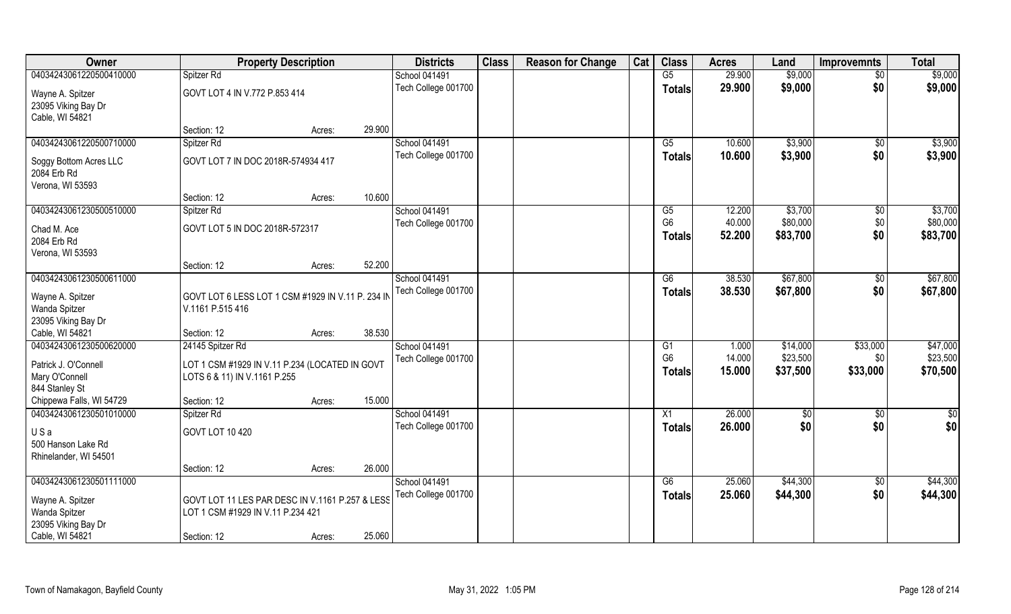| Owner                                                      | <b>Property Description</b>                       |                  | <b>Districts</b>     | <b>Class</b> | <b>Reason for Change</b> | Cat | <b>Class</b>   | <b>Acres</b> | Land       | <b>Improvemnts</b> | Total    |
|------------------------------------------------------------|---------------------------------------------------|------------------|----------------------|--------------|--------------------------|-----|----------------|--------------|------------|--------------------|----------|
| 04034243061220500410000                                    | Spitzer Rd                                        |                  | <b>School 041491</b> |              |                          |     | G5             | 29.900       | \$9,000    | $\overline{50}$    | \$9,000  |
| Wayne A. Spitzer<br>23095 Viking Bay Dr<br>Cable, WI 54821 | GOVT LOT 4 IN V.772 P.853 414                     |                  | Tech College 001700  |              |                          |     | <b>Totals</b>  | 29.900       | \$9,000    | \$0                | \$9,000  |
|                                                            | Section: 12                                       | 29.900<br>Acres: |                      |              |                          |     |                |              |            |                    |          |
| 04034243061220500710000                                    | Spitzer Rd                                        |                  | <b>School 041491</b> |              |                          |     | G5             | 10.600       | \$3,900    | \$0                | \$3,900  |
| Soggy Bottom Acres LLC<br>2084 Erb Rd                      | GOVT LOT 7 IN DOC 2018R-574934 417                |                  | Tech College 001700  |              |                          |     | <b>Totals</b>  | 10.600       | \$3,900    | \$0                | \$3,900  |
| Verona, WI 53593                                           |                                                   |                  |                      |              |                          |     |                |              |            |                    |          |
|                                                            | Section: 12                                       | 10.600<br>Acres: |                      |              |                          |     |                |              |            |                    |          |
| 04034243061230500510000                                    | Spitzer Rd                                        |                  | <b>School 041491</b> |              |                          |     | G5             | 12.200       | \$3,700    | $\sqrt[6]{3}$      | \$3,700  |
| Chad M. Ace                                                | GOVT LOT 5 IN DOC 2018R-572317                    |                  | Tech College 001700  |              |                          |     | G <sub>6</sub> | 40.000       | \$80,000   | \$0                | \$80,000 |
| 2084 Erb Rd                                                |                                                   |                  |                      |              |                          |     | <b>Totals</b>  | 52.200       | \$83,700   | \$0                | \$83,700 |
| Verona, WI 53593                                           |                                                   |                  |                      |              |                          |     |                |              |            |                    |          |
|                                                            | Section: 12                                       | 52.200<br>Acres: |                      |              |                          |     |                |              |            |                    |          |
| 04034243061230500611000                                    |                                                   |                  | <b>School 041491</b> |              |                          |     | G6             | 38.530       | \$67,800   | \$0                | \$67,800 |
|                                                            |                                                   |                  | Tech College 001700  |              |                          |     | <b>Totals</b>  | 38.530       | \$67,800   | \$0                | \$67,800 |
| Wayne A. Spitzer                                           | GOVT LOT 6 LESS LOT 1 CSM #1929 IN V.11 P. 234 IN |                  |                      |              |                          |     |                |              |            |                    |          |
| Wanda Spitzer                                              | V.1161 P.515 416                                  |                  |                      |              |                          |     |                |              |            |                    |          |
| 23095 Viking Bay Dr<br>Cable, WI 54821                     |                                                   | 38.530           |                      |              |                          |     |                |              |            |                    |          |
| 04034243061230500620000                                    | Section: 12<br>24145 Spitzer Rd                   | Acres:           | School 041491        |              |                          |     | G1             | 1.000        | \$14,000   | \$33,000           | \$47,000 |
|                                                            |                                                   |                  | Tech College 001700  |              |                          |     | G <sub>6</sub> | 14.000       | \$23,500   | \$0                | \$23,500 |
| Patrick J. O'Connell                                       | LOT 1 CSM #1929 IN V.11 P.234 (LOCATED IN GOVT    |                  |                      |              |                          |     |                | 15.000       | \$37,500   | \$33,000           | \$70,500 |
| Mary O'Connell                                             | LOTS 6 & 11) IN V.1161 P.255                      |                  |                      |              |                          |     | <b>Totals</b>  |              |            |                    |          |
| 844 Stanley St                                             |                                                   |                  |                      |              |                          |     |                |              |            |                    |          |
| Chippewa Falls, WI 54729                                   | Section: 12                                       | 15.000<br>Acres: |                      |              |                          |     |                |              |            |                    |          |
| 04034243061230501010000                                    | Spitzer Rd                                        |                  | School 041491        |              |                          |     | X1             | 26.000       | $\sqrt{6}$ | \$0                | \$0      |
| USa                                                        | GOVT LOT 10 420                                   |                  | Tech College 001700  |              |                          |     | <b>Totals</b>  | 26.000       | \$0        | \$0                | \$0      |
| 500 Hanson Lake Rd                                         |                                                   |                  |                      |              |                          |     |                |              |            |                    |          |
| Rhinelander, WI 54501                                      |                                                   |                  |                      |              |                          |     |                |              |            |                    |          |
|                                                            | Section: 12                                       | 26.000<br>Acres: |                      |              |                          |     |                |              |            |                    |          |
| 04034243061230501111000                                    |                                                   |                  | School 041491        |              |                          |     | G6             | 25.060       | \$44,300   | \$0                | \$44,300 |
| Wayne A. Spitzer                                           | GOVT LOT 11 LES PAR DESC IN V.1161 P.257 & LESS   |                  | Tech College 001700  |              |                          |     | Totals         | 25.060       | \$44,300   | \$0                | \$44,300 |
| Wanda Spitzer                                              | LOT 1 CSM #1929 IN V.11 P.234 421                 |                  |                      |              |                          |     |                |              |            |                    |          |
| 23095 Viking Bay Dr                                        |                                                   |                  |                      |              |                          |     |                |              |            |                    |          |
| Cable, WI 54821                                            | Section: 12                                       | 25.060<br>Acres: |                      |              |                          |     |                |              |            |                    |          |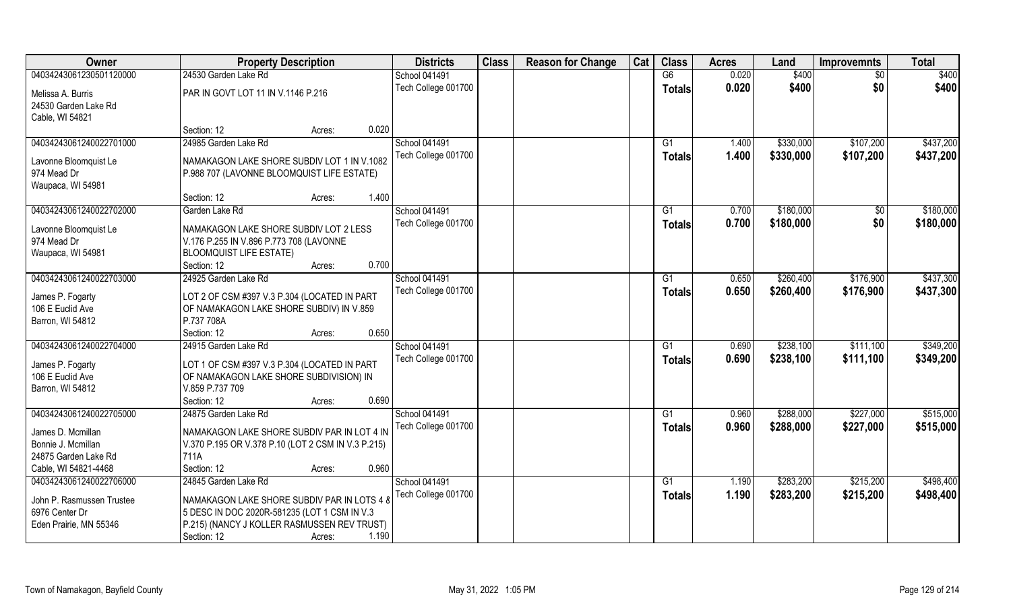| Owner                     | <b>Property Description</b>                        |        |       | <b>Districts</b>    | <b>Class</b> | <b>Reason for Change</b> | Cat | <b>Class</b>   | <b>Acres</b> | Land      | <b>Improvemnts</b> | <b>Total</b> |
|---------------------------|----------------------------------------------------|--------|-------|---------------------|--------------|--------------------------|-----|----------------|--------------|-----------|--------------------|--------------|
| 04034243061230501120000   | 24530 Garden Lake Rd                               |        |       | School 041491       |              |                          |     | G6             | 0.020        | \$400     | $\overline{50}$    | \$400        |
| Melissa A. Burris         | PAR IN GOVT LOT 11 IN V.1146 P.216                 |        |       | Tech College 001700 |              |                          |     | Totals         | 0.020        | \$400     | \$0                | \$400        |
| 24530 Garden Lake Rd      |                                                    |        |       |                     |              |                          |     |                |              |           |                    |              |
| Cable, WI 54821           |                                                    |        |       |                     |              |                          |     |                |              |           |                    |              |
|                           | Section: 12                                        | Acres: | 0.020 |                     |              |                          |     |                |              |           |                    |              |
| 04034243061240022701000   | 24985 Garden Lake Rd                               |        |       | School 041491       |              |                          |     | G <sub>1</sub> | 1.400        | \$330,000 | \$107,200          | \$437,200    |
| Lavonne Bloomquist Le     | NAMAKAGON LAKE SHORE SUBDIV LOT 1 IN V.1082        |        |       | Tech College 001700 |              |                          |     | Totals         | 1.400        | \$330,000 | \$107,200          | \$437,200    |
| 974 Mead Dr               | P.988 707 (LAVONNE BLOOMQUIST LIFE ESTATE)         |        |       |                     |              |                          |     |                |              |           |                    |              |
| Waupaca, WI 54981         |                                                    |        |       |                     |              |                          |     |                |              |           |                    |              |
|                           | Section: 12                                        | Acres: | 1.400 |                     |              |                          |     |                |              |           |                    |              |
| 04034243061240022702000   | Garden Lake Rd                                     |        |       | School 041491       |              |                          |     | G1             | 0.700        | \$180,000 | $\overline{50}$    | \$180,000    |
|                           |                                                    |        |       | Tech College 001700 |              |                          |     | <b>Totals</b>  | 0.700        | \$180,000 | \$0                | \$180,000    |
| Lavonne Bloomquist Le     | NAMAKAGON LAKE SHORE SUBDIV LOT 2 LESS             |        |       |                     |              |                          |     |                |              |           |                    |              |
| 974 Mead Dr               | V.176 P.255 IN V.896 P.773 708 (LAVONNE            |        |       |                     |              |                          |     |                |              |           |                    |              |
| Waupaca, WI 54981         | <b>BLOOMQUIST LIFE ESTATE)</b>                     |        |       |                     |              |                          |     |                |              |           |                    |              |
|                           | Section: 12                                        | Acres: | 0.700 |                     |              |                          |     |                |              |           |                    |              |
| 04034243061240022703000   | 24925 Garden Lake Rd                               |        |       | School 041491       |              |                          |     | G1             | 0.650        | \$260,400 | \$176,900          | \$437,300    |
| James P. Fogarty          | LOT 2 OF CSM #397 V.3 P.304 (LOCATED IN PART       |        |       | Tech College 001700 |              |                          |     | <b>Totals</b>  | 0.650        | \$260,400 | \$176,900          | \$437,300    |
| 106 E Euclid Ave          | OF NAMAKAGON LAKE SHORE SUBDIV) IN V.859           |        |       |                     |              |                          |     |                |              |           |                    |              |
| Barron, WI 54812          | P.737 708A                                         |        |       |                     |              |                          |     |                |              |           |                    |              |
|                           | Section: 12                                        | Acres: | 0.650 |                     |              |                          |     |                |              |           |                    |              |
| 04034243061240022704000   | 24915 Garden Lake Rd                               |        |       | School 041491       |              |                          |     | G1             | 0.690        | \$238,100 | \$111,100          | \$349,200    |
| James P. Fogarty          | LOT 1 OF CSM #397 V.3 P.304 (LOCATED IN PART       |        |       | Tech College 001700 |              |                          |     | <b>Totals</b>  | 0.690        | \$238,100 | \$111,100          | \$349,200    |
| 106 E Euclid Ave          | OF NAMAKAGON LAKE SHORE SUBDIVISION) IN            |        |       |                     |              |                          |     |                |              |           |                    |              |
| Barron, WI 54812          | V.859 P.737 709                                    |        |       |                     |              |                          |     |                |              |           |                    |              |
|                           | Section: 12                                        | Acres: | 0.690 |                     |              |                          |     |                |              |           |                    |              |
| 04034243061240022705000   | 24875 Garden Lake Rd                               |        |       | School 041491       |              |                          |     | G1             | 0.960        | \$288,000 | \$227,000          | \$515,000    |
|                           |                                                    |        |       | Tech College 001700 |              |                          |     | <b>Totals</b>  | 0.960        | \$288,000 | \$227,000          | \$515,000    |
| James D. Mcmillan         | NAMAKAGON LAKE SHORE SUBDIV PAR IN LOT 4 IN        |        |       |                     |              |                          |     |                |              |           |                    |              |
| Bonnie J. Mcmillan        | V.370 P.195 OR V.378 P.10 (LOT 2 CSM IN V.3 P.215) |        |       |                     |              |                          |     |                |              |           |                    |              |
| 24875 Garden Lake Rd      | 711A                                               |        |       |                     |              |                          |     |                |              |           |                    |              |
| Cable, WI 54821-4468      | Section: 12                                        | Acres: | 0.960 |                     |              |                          |     |                |              |           |                    |              |
| 04034243061240022706000   | 24845 Garden Lake Rd                               |        |       | School 041491       |              |                          |     | G1             | 1.190        | \$283,200 | \$215,200          | \$498,400    |
| John P. Rasmussen Trustee | NAMAKAGON LAKE SHORE SUBDIV PAR IN LOTS 4 8        |        |       | Tech College 001700 |              |                          |     | <b>Totals</b>  | 1.190        | \$283,200 | \$215,200          | \$498,400    |
| 6976 Center Dr            | 5 DESC IN DOC 2020R-581235 (LOT 1 CSM IN V.3       |        |       |                     |              |                          |     |                |              |           |                    |              |
| Eden Prairie, MN 55346    | P.215) (NANCY J KOLLER RASMUSSEN REV TRUST)        |        |       |                     |              |                          |     |                |              |           |                    |              |
|                           | Section: 12                                        | Acres: | 1.190 |                     |              |                          |     |                |              |           |                    |              |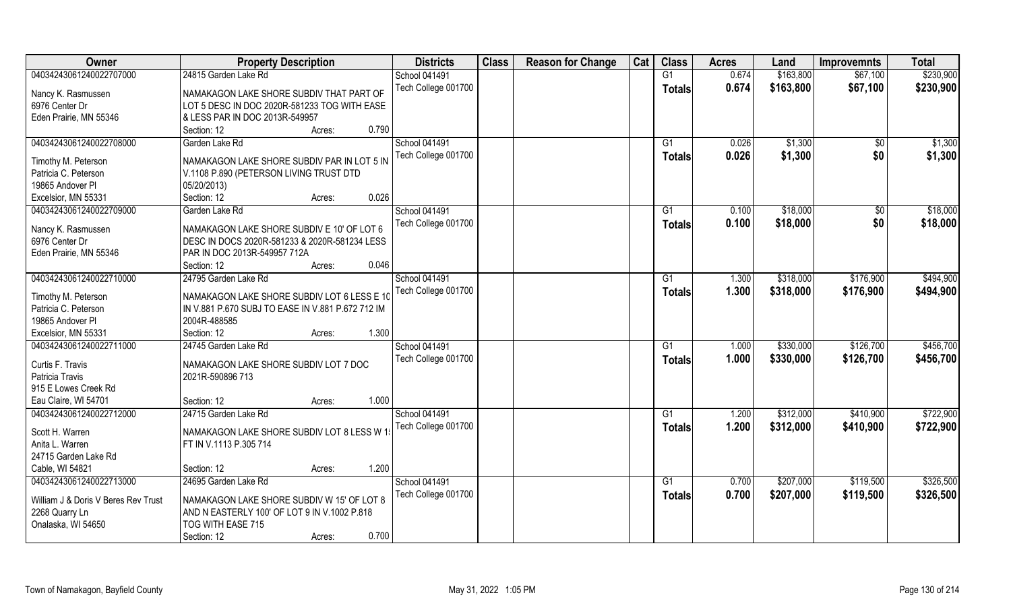| <b>Class</b><br>Owner<br><b>Districts</b><br><b>Class</b><br><b>Reason for Change</b><br>Cat<br><b>Property Description</b><br><b>Acres</b><br>Land<br><b>Improvemnts</b> | <b>Total</b> |
|---------------------------------------------------------------------------------------------------------------------------------------------------------------------------|--------------|
| \$163,800<br>04034243061240022707000<br>24815 Garden Lake Rd<br>School 041491<br>G1<br>0.674<br>\$67,100                                                                  | \$230,900    |
| 0.674<br>Tech College 001700<br>\$163,800<br>\$67,100<br><b>Totals</b><br>Nancy K. Rasmussen<br>NAMAKAGON LAKE SHORE SUBDIV THAT PART OF                                  | \$230,900    |
| 6976 Center Dr<br>LOT 5 DESC IN DOC 2020R-581233 TOG WITH EASE                                                                                                            |              |
| & LESS PAR IN DOC 2013R-549957<br>Eden Prairie, MN 55346                                                                                                                  |              |
| 0.790<br>Section: 12<br>Acres:                                                                                                                                            |              |
| <b>School 041491</b><br>04034243061240022708000<br>Garden Lake Rd<br>\$1,300<br>G1<br>0.026<br>\$0                                                                        | \$1,300      |
| Tech College 001700<br>0.026<br>\$1,300<br>\$0<br>Totals                                                                                                                  | \$1,300      |
| NAMAKAGON LAKE SHORE SUBDIV PAR IN LOT 5 IN<br>Timothy M. Peterson                                                                                                        |              |
| Patricia C. Peterson<br>V.1108 P.890 (PETERSON LIVING TRUST DTD                                                                                                           |              |
| 19865 Andover PI<br>05/20/2013)                                                                                                                                           |              |
| 0.026<br>Excelsior, MN 55331<br>Section: 12<br>Acres:                                                                                                                     |              |
| School 041491<br>\$18,000<br>04034243061240022709000<br>G1<br>0.100<br>$\sqrt[6]{3}$<br>Garden Lake Rd                                                                    | \$18,000     |
| Tech College 001700<br>\$0<br>0.100<br>\$18,000<br><b>Totals</b><br>NAMAKAGON LAKE SHORE SUBDIV E 10' OF LOT 6<br>Nancy K. Rasmussen                                      | \$18,000     |
| 6976 Center Dr<br>DESC IN DOCS 2020R-581233 & 2020R-581234 LESS                                                                                                           |              |
| PAR IN DOC 2013R-549957 712A<br>Eden Prairie, MN 55346                                                                                                                    |              |
| 0.046<br>Section: 12<br>Acres:                                                                                                                                            |              |
| 04034243061240022710000<br>24795 Garden Lake Rd<br>School 041491<br>\$318,000<br>\$176,900<br>1.300<br>G1                                                                 | \$494,900    |
| Tech College 001700<br>1.300<br>\$318,000<br>\$176,900<br><b>Totals</b>                                                                                                   | \$494,900    |
| NAMAKAGON LAKE SHORE SUBDIV LOT 6 LESS E 10<br>Timothy M. Peterson                                                                                                        |              |
| Patricia C. Peterson<br>IN V.881 P.670 SUBJ TO EASE IN V.881 P.672 712 IM                                                                                                 |              |
| 19865 Andover PI<br>2004R-488585                                                                                                                                          |              |
| 1.300<br>Excelsior, MN 55331<br>Section: 12<br>Acres:                                                                                                                     |              |
| 04034243061240022711000<br>24745 Garden Lake Rd<br>1.000<br>\$330,000<br>\$126,700<br>School 041491<br>G1                                                                 | \$456,700    |
| \$330,000<br>Tech College 001700<br>1.000<br>\$126,700<br><b>Totals</b><br>Curtis F. Travis<br>NAMAKAGON LAKE SHORE SUBDIV LOT 7 DOC                                      | \$456,700    |
| Patricia Travis<br>2021R-590896 713                                                                                                                                       |              |
| 915 E Lowes Creek Rd                                                                                                                                                      |              |
| Eau Claire, WI 54701<br>1.000<br>Section: 12<br>Acres:                                                                                                                    |              |
| School 041491<br>\$312,000<br>\$410,900<br>04034243061240022712000<br>24715 Garden Lake Rd<br>G1<br>1.200                                                                 | \$722,900    |
| 1.200<br>Tech College 001700<br>\$312,000<br>\$410,900<br><b>Totals</b>                                                                                                   | \$722,900    |
| Scott H. Warren<br>NAMAKAGON LAKE SHORE SUBDIV LOT 8 LESS W 1                                                                                                             |              |
| Anita L. Warren<br>FT IN V.1113 P.305 714                                                                                                                                 |              |
| 24715 Garden Lake Rd                                                                                                                                                      |              |
| 1.200<br>Cable, WI 54821<br>Section: 12<br>Acres:                                                                                                                         |              |
| 04034243061240022713000<br>School 041491<br>\$207,000<br>\$119,500<br>24695 Garden Lake Rd<br>G1<br>0.700                                                                 | \$326,500    |
| Tech College 001700<br>0.700<br>\$207,000<br>\$119,500<br>Totals<br>NAMAKAGON LAKE SHORE SUBDIV W 15' OF LOT 8<br>William J & Doris V Beres Rev Trust                     | \$326,500    |
| 2268 Quarry Ln<br>AND N EASTERLY 100' OF LOT 9 IN V.1002 P.818                                                                                                            |              |
| Onalaska, WI 54650<br>TOG WITH EASE 715                                                                                                                                   |              |
| 0.700<br>Section: 12<br>Acres:                                                                                                                                            |              |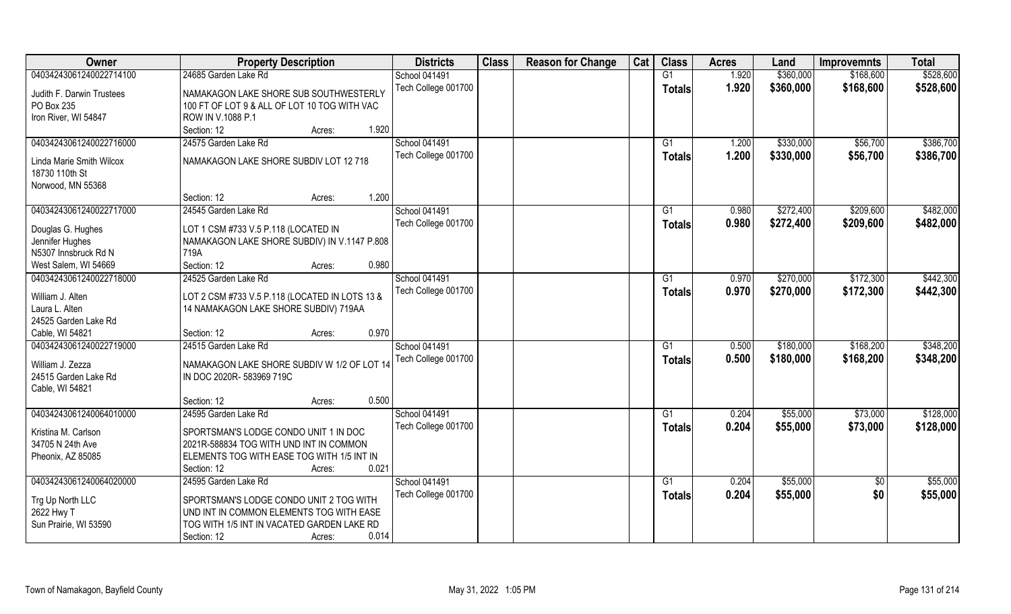| Owner                     | <b>Property Description</b>                    | <b>Districts</b>     | <b>Class</b> | <b>Reason for Change</b> | Cat | <b>Class</b>  | <b>Acres</b> | Land      | <b>Improvemnts</b> | <b>Total</b> |
|---------------------------|------------------------------------------------|----------------------|--------------|--------------------------|-----|---------------|--------------|-----------|--------------------|--------------|
| 04034243061240022714100   | 24685 Garden Lake Rd                           | <b>School 041491</b> |              |                          |     | G1            | 1.920        | \$360,000 | \$168,600          | \$528,600    |
| Judith F. Darwin Trustees | NAMAKAGON LAKE SHORE SUB SOUTHWESTERLY         | Tech College 001700  |              |                          |     | <b>Totals</b> | 1.920        | \$360,000 | \$168,600          | \$528,600    |
| PO Box 235                | 100 FT OF LOT 9 & ALL OF LOT 10 TOG WITH VAC   |                      |              |                          |     |               |              |           |                    |              |
| Iron River, WI 54847      | ROW IN V.1088 P.1                              |                      |              |                          |     |               |              |           |                    |              |
|                           | 1.920<br>Section: 12<br>Acres:                 |                      |              |                          |     |               |              |           |                    |              |
| 04034243061240022716000   | 24575 Garden Lake Rd                           | <b>School 041491</b> |              |                          |     | G1            | 1.200        | \$330,000 | \$56,700           | \$386,700    |
|                           |                                                | Tech College 001700  |              |                          |     | Totals        | 1.200        | \$330,000 | \$56,700           | \$386,700    |
| Linda Marie Smith Wilcox  | NAMAKAGON LAKE SHORE SUBDIV LOT 12 718         |                      |              |                          |     |               |              |           |                    |              |
| 18730 110th St            |                                                |                      |              |                          |     |               |              |           |                    |              |
| Norwood, MN 55368         |                                                |                      |              |                          |     |               |              |           |                    |              |
|                           | 1.200<br>Section: 12<br>Acres:                 |                      |              |                          |     |               |              |           |                    |              |
| 04034243061240022717000   | 24545 Garden Lake Rd                           | <b>School 041491</b> |              |                          |     | G1            | 0.980        | \$272,400 | \$209,600          | \$482,000    |
| Douglas G. Hughes         | LOT 1 CSM #733 V.5 P.118 (LOCATED IN           | Tech College 001700  |              |                          |     | <b>Totals</b> | 0.980        | \$272,400 | \$209,600          | \$482,000    |
| Jennifer Hughes           | NAMAKAGON LAKE SHORE SUBDIV) IN V.1147 P.808   |                      |              |                          |     |               |              |           |                    |              |
| N5307 Innsbruck Rd N      | 719A                                           |                      |              |                          |     |               |              |           |                    |              |
| West Salem, WI 54669      | 0.980<br>Section: 12<br>Acres:                 |                      |              |                          |     |               |              |           |                    |              |
| 04034243061240022718000   | 24525 Garden Lake Rd                           | <b>School 041491</b> |              |                          |     | G1            | 0.970        | \$270,000 | \$172,300          | \$442,300    |
|                           |                                                | Tech College 001700  |              |                          |     | <b>Totals</b> | 0.970        | \$270,000 | \$172,300          | \$442,300    |
| William J. Alten          | LOT 2 CSM #733 V.5 P.118 (LOCATED IN LOTS 13 & |                      |              |                          |     |               |              |           |                    |              |
| Laura L. Alten            | 14 NAMAKAGON LAKE SHORE SUBDIV) 719AA          |                      |              |                          |     |               |              |           |                    |              |
| 24525 Garden Lake Rd      |                                                |                      |              |                          |     |               |              |           |                    |              |
| Cable, WI 54821           | 0.970<br>Section: 12<br>Acres:                 |                      |              |                          |     |               |              |           |                    |              |
| 04034243061240022719000   | 24515 Garden Lake Rd                           | <b>School 041491</b> |              |                          |     | G1            | 0.500        | \$180,000 | \$168,200          | \$348,200    |
| William J. Zezza          | NAMAKAGON LAKE SHORE SUBDIV W 1/2 OF LOT 14    | Tech College 001700  |              |                          |     | Totals        | 0.500        | \$180,000 | \$168,200          | \$348,200    |
| 24515 Garden Lake Rd      | IN DOC 2020R-583969 719C                       |                      |              |                          |     |               |              |           |                    |              |
| Cable, WI 54821           |                                                |                      |              |                          |     |               |              |           |                    |              |
|                           | 0.500<br>Section: 12<br>Acres:                 |                      |              |                          |     |               |              |           |                    |              |
| 04034243061240064010000   | 24595 Garden Lake Rd                           | School 041491        |              |                          |     | G1            | 0.204        | \$55,000  | \$73,000           | \$128,000    |
| Kristina M. Carlson       | SPORTSMAN'S LODGE CONDO UNIT 1 IN DOC          | Tech College 001700  |              |                          |     | <b>Totals</b> | 0.204        | \$55,000  | \$73,000           | \$128,000    |
| 34705 N 24th Ave          | 2021R-588834 TOG WITH UND INT IN COMMON        |                      |              |                          |     |               |              |           |                    |              |
| Pheonix, AZ 85085         | ELEMENTS TOG WITH EASE TOG WITH 1/5 INT IN     |                      |              |                          |     |               |              |           |                    |              |
|                           | 0.021<br>Section: 12<br>Acres:                 |                      |              |                          |     |               |              |           |                    |              |
| 04034243061240064020000   | 24595 Garden Lake Rd                           | <b>School 041491</b> |              |                          |     | G1            | 0.204        | \$55,000  | $\overline{50}$    | \$55,000     |
|                           |                                                | Tech College 001700  |              |                          |     |               | 0.204        |           | \$0                |              |
| Trg Up North LLC          | SPORTSMAN'S LODGE CONDO UNIT 2 TOG WITH        |                      |              |                          |     | Totals        |              | \$55,000  |                    | \$55,000     |
| 2622 Hwy T                | UND INT IN COMMON ELEMENTS TOG WITH EASE       |                      |              |                          |     |               |              |           |                    |              |
| Sun Prairie, WI 53590     | TOG WITH 1/5 INT IN VACATED GARDEN LAKE RD     |                      |              |                          |     |               |              |           |                    |              |
|                           | 0.014<br>Section: 12<br>Acres:                 |                      |              |                          |     |               |              |           |                    |              |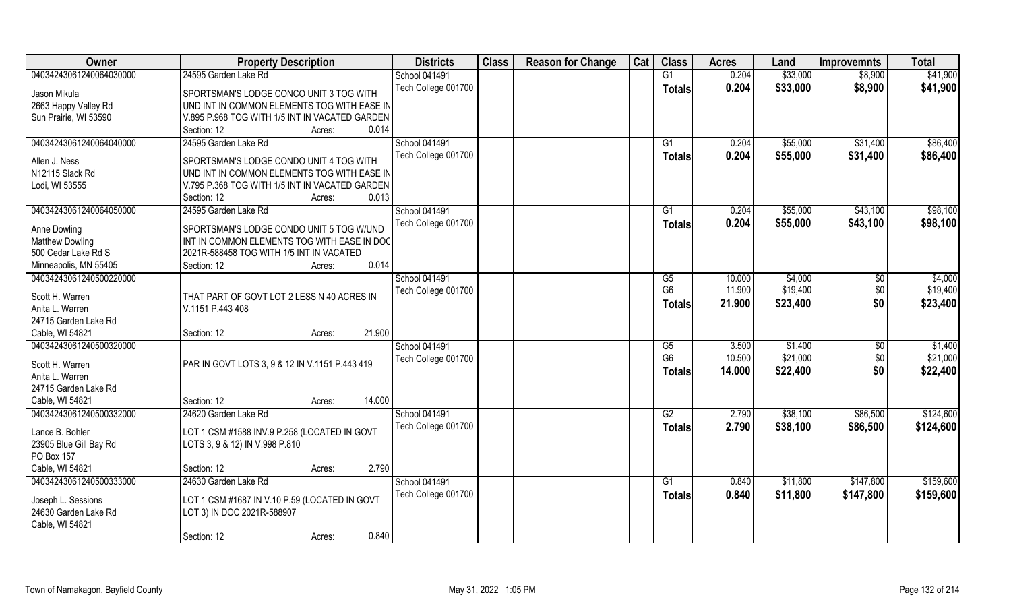| Owner                   | <b>Property Description</b>                    | <b>Districts</b>     | <b>Class</b> | <b>Reason for Change</b> | Cat | <b>Class</b>                             | <b>Acres</b>    | Land                | <b>Improvemnts</b> | <b>Total</b>        |
|-------------------------|------------------------------------------------|----------------------|--------------|--------------------------|-----|------------------------------------------|-----------------|---------------------|--------------------|---------------------|
| 04034243061240064030000 | 24595 Garden Lake Rd                           | <b>School 041491</b> |              |                          |     | G1                                       | 0.204           | \$33,000            | \$8,900            | \$41,900            |
| Jason Mikula            | SPORTSMAN'S LODGE CONCO UNIT 3 TOG WITH        | Tech College 001700  |              |                          |     | <b>Totals</b>                            | 0.204           | \$33,000            | \$8,900            | \$41,900            |
| 2663 Happy Valley Rd    | UND INT IN COMMON ELEMENTS TOG WITH EASE IN    |                      |              |                          |     |                                          |                 |                     |                    |                     |
| Sun Prairie, WI 53590   | V.895 P.968 TOG WITH 1/5 INT IN VACATED GARDEN |                      |              |                          |     |                                          |                 |                     |                    |                     |
|                         | Section: 12<br>0.014<br>Acres:                 |                      |              |                          |     |                                          |                 |                     |                    |                     |
| 04034243061240064040000 | 24595 Garden Lake Rd                           | <b>School 041491</b> |              |                          |     | G1                                       | 0.204           | \$55,000            | \$31,400           | \$86,400            |
|                         |                                                | Tech College 001700  |              |                          |     | Totals                                   | 0.204           | \$55,000            | \$31,400           | \$86,400            |
| Allen J. Ness           | SPORTSMAN'S LODGE CONDO UNIT 4 TOG WITH        |                      |              |                          |     |                                          |                 |                     |                    |                     |
| N12115 Slack Rd         | UND INT IN COMMON ELEMENTS TOG WITH EASE IN    |                      |              |                          |     |                                          |                 |                     |                    |                     |
| Lodi, WI 53555          | V.795 P.368 TOG WITH 1/5 INT IN VACATED GARDEN |                      |              |                          |     |                                          |                 |                     |                    |                     |
|                         | 0.013<br>Section: 12<br>Acres:                 |                      |              |                          |     |                                          |                 |                     |                    |                     |
| 04034243061240064050000 | 24595 Garden Lake Rd                           | School 041491        |              |                          |     | G1                                       | 0.204           | \$55,000            | \$43,100           | \$98,100            |
| Anne Dowling            | SPORTSMAN'S LODGE CONDO UNIT 5 TOG W/UND       | Tech College 001700  |              |                          |     | <b>Totals</b>                            | 0.204           | \$55,000            | \$43,100           | \$98,100            |
| <b>Matthew Dowling</b>  | INT IN COMMON ELEMENTS TOG WITH EASE IN DOC    |                      |              |                          |     |                                          |                 |                     |                    |                     |
| 500 Cedar Lake Rd S     | 2021R-588458 TOG WITH 1/5 INT IN VACATED       |                      |              |                          |     |                                          |                 |                     |                    |                     |
| Minneapolis, MN 55405   | 0.014<br>Section: 12<br>Acres:                 |                      |              |                          |     |                                          |                 |                     |                    |                     |
| 04034243061240500220000 |                                                | <b>School 041491</b> |              |                          |     | G5                                       | 10.000          | \$4,000             | \$0                | \$4,000             |
|                         |                                                | Tech College 001700  |              |                          |     | G <sub>6</sub>                           | 11.900          | \$19,400            | \$0                | \$19,400            |
| Scott H. Warren         | THAT PART OF GOVT LOT 2 LESS N 40 ACRES IN     |                      |              |                          |     | <b>Totals</b>                            | 21.900          | \$23,400            | \$0                | \$23,400            |
| Anita L. Warren         | V.1151 P.443 408                               |                      |              |                          |     |                                          |                 |                     |                    |                     |
| 24715 Garden Lake Rd    | 21.900                                         |                      |              |                          |     |                                          |                 |                     |                    |                     |
| Cable, WI 54821         | Section: 12<br>Acres:                          |                      |              |                          |     |                                          |                 |                     |                    |                     |
| 04034243061240500320000 |                                                | <b>School 041491</b> |              |                          |     | $\overline{\text{G5}}$<br>G <sub>6</sub> | 3.500<br>10.500 | \$1,400<br>\$21,000 | \$0                | \$1,400<br>\$21,000 |
| Scott H. Warren         | PAR IN GOVT LOTS 3, 9 & 12 IN V.1151 P.443 419 | Tech College 001700  |              |                          |     |                                          |                 |                     | \$0                |                     |
| Anita L. Warren         |                                                |                      |              |                          |     | Totals                                   | 14.000          | \$22,400            | \$0                | \$22,400            |
| 24715 Garden Lake Rd    |                                                |                      |              |                          |     |                                          |                 |                     |                    |                     |
| Cable, WI 54821         | 14.000<br>Section: 12<br>Acres:                |                      |              |                          |     |                                          |                 |                     |                    |                     |
| 04034243061240500332000 | 24620 Garden Lake Rd                           | School 041491        |              |                          |     | $\overline{G2}$                          | 2.790           | \$38,100            | \$86,500           | \$124,600           |
| Lance B. Bohler         | LOT 1 CSM #1588 INV.9 P.258 (LOCATED IN GOVT   | Tech College 001700  |              |                          |     | <b>Totals</b>                            | 2.790           | \$38,100            | \$86,500           | \$124,600           |
| 23905 Blue Gill Bay Rd  | LOTS 3, 9 & 12) IN V.998 P.810                 |                      |              |                          |     |                                          |                 |                     |                    |                     |
| PO Box 157              |                                                |                      |              |                          |     |                                          |                 |                     |                    |                     |
| Cable, WI 54821         | 2.790<br>Section: 12<br>Acres:                 |                      |              |                          |     |                                          |                 |                     |                    |                     |
| 04034243061240500333000 | 24630 Garden Lake Rd                           | <b>School 041491</b> |              |                          |     | G1                                       | 0.840           | \$11,800            | \$147,800          | \$159,600           |
|                         |                                                | Tech College 001700  |              |                          |     |                                          | 0.840           | \$11,800            | \$147,800          | \$159,600           |
| Joseph L. Sessions      | LOT 1 CSM #1687 IN V.10 P.59 (LOCATED IN GOVT  |                      |              |                          |     | Totals                                   |                 |                     |                    |                     |
| 24630 Garden Lake Rd    | LOT 3) IN DOC 2021R-588907                     |                      |              |                          |     |                                          |                 |                     |                    |                     |
| Cable, WI 54821         |                                                |                      |              |                          |     |                                          |                 |                     |                    |                     |
|                         | 0.840<br>Section: 12<br>Acres:                 |                      |              |                          |     |                                          |                 |                     |                    |                     |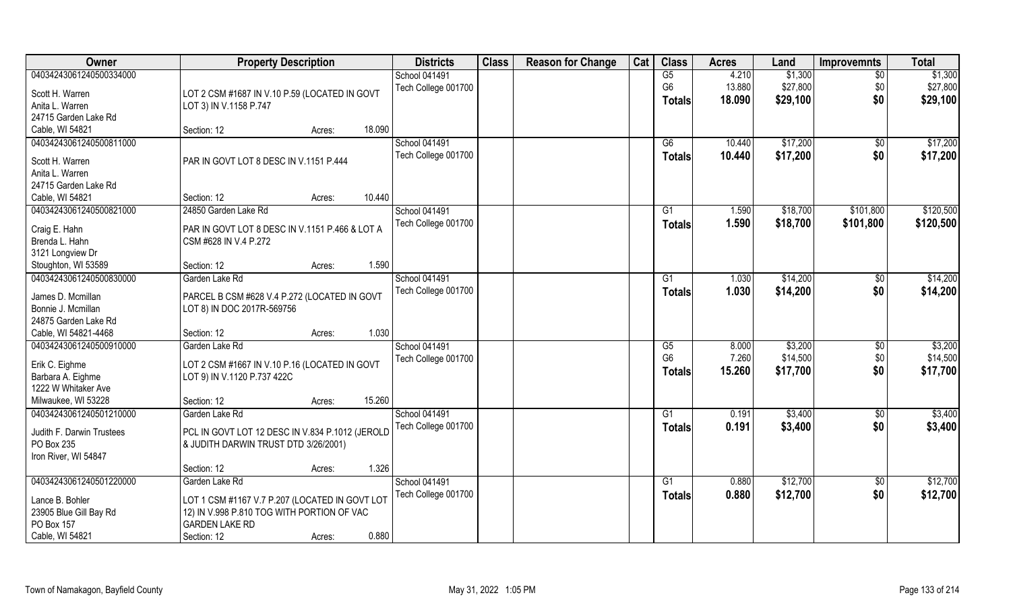| Owner                     | <b>Property Description</b>                     |                  | <b>Districts</b>     | <b>Class</b> | <b>Reason for Change</b> | Cat | <b>Class</b>         | <b>Acres</b>   | Land                | <b>Improvemnts</b> | <b>Total</b> |
|---------------------------|-------------------------------------------------|------------------|----------------------|--------------|--------------------------|-----|----------------------|----------------|---------------------|--------------------|--------------|
| 04034243061240500334000   |                                                 |                  | School 041491        |              |                          |     | G5                   | 4.210          | \$1,300             | $\overline{30}$    | \$1,300      |
| Scott H. Warren           | LOT 2 CSM #1687 IN V.10 P.59 (LOCATED IN GOVT   |                  | Tech College 001700  |              |                          |     | G <sub>6</sub>       | 13.880         | \$27,800            | \$0                | \$27,800     |
| Anita L. Warren           | LOT 3) IN V.1158 P.747                          |                  |                      |              |                          |     | <b>Totals</b>        | 18.090         | \$29,100            | \$0                | \$29,100     |
| 24715 Garden Lake Rd      |                                                 |                  |                      |              |                          |     |                      |                |                     |                    |              |
| Cable, WI 54821           | Section: 12                                     | 18.090<br>Acres: |                      |              |                          |     |                      |                |                     |                    |              |
| 04034243061240500811000   |                                                 |                  | <b>School 041491</b> |              |                          |     | G6                   | 10.440         | \$17,200            | \$0                | \$17,200     |
|                           |                                                 |                  | Tech College 001700  |              |                          |     | <b>Totals</b>        | 10.440         | \$17,200            | \$0                | \$17,200     |
| Scott H. Warren           | PAR IN GOVT LOT 8 DESC IN V.1151 P.444          |                  |                      |              |                          |     |                      |                |                     |                    |              |
| Anita L. Warren           |                                                 |                  |                      |              |                          |     |                      |                |                     |                    |              |
| 24715 Garden Lake Rd      |                                                 |                  |                      |              |                          |     |                      |                |                     |                    |              |
| Cable, WI 54821           | Section: 12                                     | 10.440<br>Acres: |                      |              |                          |     |                      |                |                     |                    |              |
| 04034243061240500821000   | 24850 Garden Lake Rd                            |                  | School 041491        |              |                          |     | G1                   | 1.590          | \$18,700            | \$101,800          | \$120,500    |
| Craig E. Hahn             | PAR IN GOVT LOT 8 DESC IN V.1151 P.466 & LOT A  |                  | Tech College 001700  |              |                          |     | <b>Totals</b>        | 1.590          | \$18,700            | \$101,800          | \$120,500    |
| Brenda L. Hahn            | CSM #628 IN V.4 P.272                           |                  |                      |              |                          |     |                      |                |                     |                    |              |
| 3121 Longview Dr          |                                                 |                  |                      |              |                          |     |                      |                |                     |                    |              |
| Stoughton, WI 53589       | Section: 12                                     | 1.590<br>Acres:  |                      |              |                          |     |                      |                |                     |                    |              |
| 04034243061240500830000   | Garden Lake Rd                                  |                  | School 041491        |              |                          |     | G <sub>1</sub>       | 1.030          | \$14,200            | \$0                | \$14,200     |
|                           |                                                 |                  | Tech College 001700  |              |                          |     | <b>Totals</b>        | 1.030          | \$14,200            | \$0                | \$14,200     |
| James D. Mcmillan         | PARCEL B CSM #628 V.4 P.272 (LOCATED IN GOVT    |                  |                      |              |                          |     |                      |                |                     |                    |              |
| Bonnie J. Mcmillan        | LOT 8) IN DOC 2017R-569756                      |                  |                      |              |                          |     |                      |                |                     |                    |              |
| 24875 Garden Lake Rd      |                                                 | 1.030            |                      |              |                          |     |                      |                |                     |                    |              |
| Cable, WI 54821-4468      | Section: 12                                     | Acres:           |                      |              |                          |     |                      |                |                     |                    |              |
| 04034243061240500910000   | Garden Lake Rd                                  |                  | School 041491        |              |                          |     | G5<br>G <sub>6</sub> | 8.000<br>7.260 | \$3,200<br>\$14,500 | \$0                | \$3,200      |
| Erik C. Eighme            | LOT 2 CSM #1667 IN V.10 P.16 (LOCATED IN GOVT   |                  | Tech College 001700  |              |                          |     |                      |                |                     | \$0                | \$14,500     |
| Barbara A. Eighme         | LOT 9) IN V.1120 P.737 422C                     |                  |                      |              |                          |     | <b>Totals</b>        | 15.260         | \$17,700            | \$0                | \$17,700     |
| 1222 W Whitaker Ave       |                                                 |                  |                      |              |                          |     |                      |                |                     |                    |              |
| Milwaukee, WI 53228       | Section: 12                                     | 15.260<br>Acres: |                      |              |                          |     |                      |                |                     |                    |              |
| 04034243061240501210000   | Garden Lake Rd                                  |                  | School 041491        |              |                          |     | G1                   | 0.191          | \$3,400             | \$0                | \$3,400      |
| Judith F. Darwin Trustees | PCL IN GOVT LOT 12 DESC IN V.834 P.1012 (JEROLD |                  | Tech College 001700  |              |                          |     | <b>Totals</b>        | 0.191          | \$3,400             | \$0                | \$3,400      |
| PO Box 235                | & JUDITH DARWIN TRUST DTD 3/26/2001)            |                  |                      |              |                          |     |                      |                |                     |                    |              |
| Iron River, WI 54847      |                                                 |                  |                      |              |                          |     |                      |                |                     |                    |              |
|                           | Section: 12                                     | 1.326<br>Acres:  |                      |              |                          |     |                      |                |                     |                    |              |
| 04034243061240501220000   | Garden Lake Rd                                  |                  | School 041491        |              |                          |     | G1                   | 0.880          | \$12,700            | $\overline{50}$    | \$12,700     |
|                           |                                                 |                  | Tech College 001700  |              |                          |     | <b>Totals</b>        | 0.880          | \$12,700            | \$0                | \$12,700     |
| Lance B. Bohler           | LOT 1 CSM #1167 V.7 P.207 (LOCATED IN GOVT LOT  |                  |                      |              |                          |     |                      |                |                     |                    |              |
| 23905 Blue Gill Bay Rd    | 12) IN V.998 P.810 TOG WITH PORTION OF VAC      |                  |                      |              |                          |     |                      |                |                     |                    |              |
| PO Box 157                | <b>GARDEN LAKE RD</b>                           |                  |                      |              |                          |     |                      |                |                     |                    |              |
| Cable, WI 54821           | Section: 12                                     | 0.880<br>Acres:  |                      |              |                          |     |                      |                |                     |                    |              |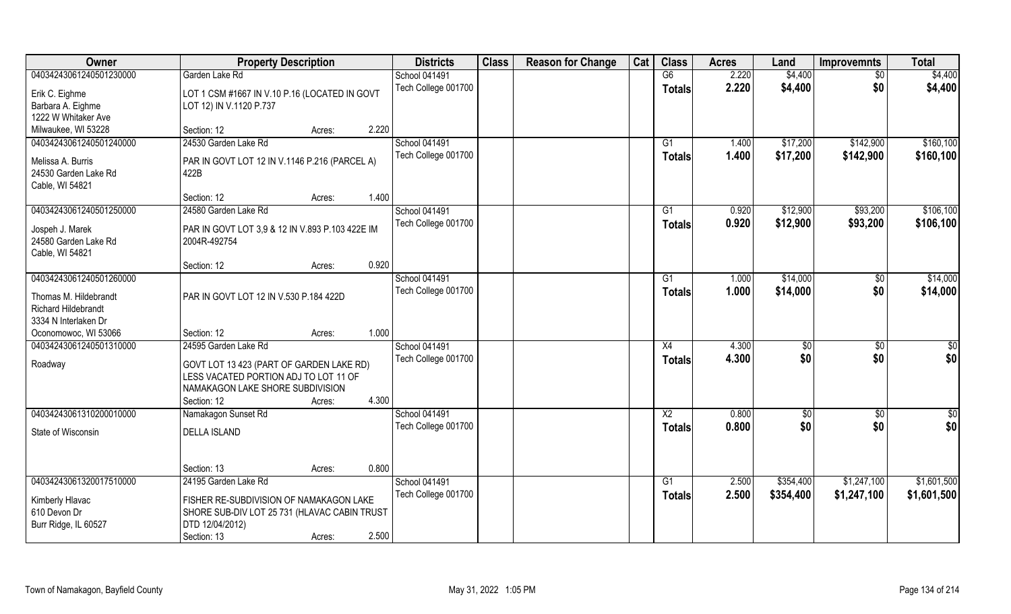| Owner                                               | <b>Property Description</b>                                                       |        |       | <b>Districts</b>     | <b>Class</b> | <b>Reason for Change</b> | Cat | <b>Class</b>    | <b>Acres</b> | Land      | <b>Improvemnts</b> | <b>Total</b>    |
|-----------------------------------------------------|-----------------------------------------------------------------------------------|--------|-------|----------------------|--------------|--------------------------|-----|-----------------|--------------|-----------|--------------------|-----------------|
| 04034243061240501230000                             | Garden Lake Rd                                                                    |        |       | School 041491        |              |                          |     | G6              | 2.220        | \$4,400   | $\overline{50}$    | \$4,400         |
| Erik C. Eighme                                      | LOT 1 CSM #1667 IN V.10 P.16 (LOCATED IN GOVT                                     |        |       | Tech College 001700  |              |                          |     | <b>Totals</b>   | 2.220        | \$4,400   | \$0                | \$4,400         |
| Barbara A. Eighme                                   | LOT 12) IN V.1120 P.737                                                           |        |       |                      |              |                          |     |                 |              |           |                    |                 |
| 1222 W Whitaker Ave                                 |                                                                                   |        |       |                      |              |                          |     |                 |              |           |                    |                 |
| Milwaukee, WI 53228                                 | Section: 12                                                                       | Acres: | 2.220 |                      |              |                          |     |                 |              |           |                    |                 |
| 04034243061240501240000                             | 24530 Garden Lake Rd                                                              |        |       | <b>School 041491</b> |              |                          |     | G1              | 1.400        | \$17,200  | \$142,900          | \$160, 100      |
| Melissa A. Burris                                   | PAR IN GOVT LOT 12 IN V.1146 P.216 (PARCEL A)                                     |        |       | Tech College 001700  |              |                          |     | Totals          | 1.400        | \$17,200  | \$142,900          | \$160,100       |
| 24530 Garden Lake Rd                                | 422B                                                                              |        |       |                      |              |                          |     |                 |              |           |                    |                 |
| Cable, WI 54821                                     |                                                                                   |        |       |                      |              |                          |     |                 |              |           |                    |                 |
|                                                     | Section: 12                                                                       | Acres: | 1.400 |                      |              |                          |     |                 |              |           |                    |                 |
| 04034243061240501250000                             | 24580 Garden Lake Rd                                                              |        |       | School 041491        |              |                          |     | G1              | 0.920        | \$12,900  | \$93,200           | \$106,100       |
| Jospeh J. Marek                                     | PAR IN GOVT LOT 3,9 & 12 IN V.893 P.103 422E IM                                   |        |       | Tech College 001700  |              |                          |     | <b>Totals</b>   | 0.920        | \$12,900  | \$93,200           | \$106,100       |
| 24580 Garden Lake Rd                                | 2004R-492754                                                                      |        |       |                      |              |                          |     |                 |              |           |                    |                 |
| Cable, WI 54821                                     |                                                                                   |        |       |                      |              |                          |     |                 |              |           |                    |                 |
|                                                     | Section: 12                                                                       | Acres: | 0.920 |                      |              |                          |     |                 |              |           |                    |                 |
| 04034243061240501260000                             |                                                                                   |        |       | School 041491        |              |                          |     | G1              | 1.000        | \$14,000  | \$0                | \$14,000        |
|                                                     |                                                                                   |        |       | Tech College 001700  |              |                          |     | <b>Totals</b>   | 1.000        | \$14,000  | \$0                | \$14,000        |
| Thomas M. Hildebrandt<br><b>Richard Hildebrandt</b> | PAR IN GOVT LOT 12 IN V.530 P.184 422D                                            |        |       |                      |              |                          |     |                 |              |           |                    |                 |
| 3334 N Interlaken Dr                                |                                                                                   |        |       |                      |              |                          |     |                 |              |           |                    |                 |
| Oconomowoc, WI 53066                                | Section: 12                                                                       | Acres: | 1.000 |                      |              |                          |     |                 |              |           |                    |                 |
| 04034243061240501310000                             | 24595 Garden Lake Rd                                                              |        |       | School 041491        |              |                          |     | X4              | 4.300        | \$0       | $\overline{50}$    | $\overline{50}$ |
|                                                     |                                                                                   |        |       | Tech College 001700  |              |                          |     | <b>Totals</b>   | 4.300        | \$0       | \$0                | \$0             |
| Roadway                                             | GOVT LOT 13 423 (PART OF GARDEN LAKE RD)<br>LESS VACATED PORTION ADJ TO LOT 11 OF |        |       |                      |              |                          |     |                 |              |           |                    |                 |
|                                                     | NAMAKAGON LAKE SHORE SUBDIVISION                                                  |        |       |                      |              |                          |     |                 |              |           |                    |                 |
|                                                     | Section: 12                                                                       | Acres: | 4.300 |                      |              |                          |     |                 |              |           |                    |                 |
| 04034243061310200010000                             | Namakagon Sunset Rd                                                               |        |       | School 041491        |              |                          |     | $\overline{X2}$ | 0.800        | \$0       | \$0                | \$0             |
|                                                     |                                                                                   |        |       | Tech College 001700  |              |                          |     | <b>Totals</b>   | 0.800        | \$0       | \$0                | \$0             |
| State of Wisconsin                                  | <b>DELLA ISLAND</b>                                                               |        |       |                      |              |                          |     |                 |              |           |                    |                 |
|                                                     |                                                                                   |        |       |                      |              |                          |     |                 |              |           |                    |                 |
|                                                     | Section: 13                                                                       | Acres: | 0.800 |                      |              |                          |     |                 |              |           |                    |                 |
| 04034243061320017510000                             | 24195 Garden Lake Rd                                                              |        |       | School 041491        |              |                          |     | G1              | 2.500        | \$354,400 | \$1,247,100        | \$1,601,500     |
| Kimberly Hlavac                                     | FISHER RE-SUBDIVISION OF NAMAKAGON LAKE                                           |        |       | Tech College 001700  |              |                          |     | <b>Totals</b>   | 2.500        | \$354,400 | \$1,247,100        | \$1,601,500     |
| 610 Devon Dr                                        | SHORE SUB-DIV LOT 25 731 (HLAVAC CABIN TRUST                                      |        |       |                      |              |                          |     |                 |              |           |                    |                 |
| Burr Ridge, IL 60527                                | DTD 12/04/2012)                                                                   |        |       |                      |              |                          |     |                 |              |           |                    |                 |
|                                                     | Section: 13                                                                       | Acres: | 2.500 |                      |              |                          |     |                 |              |           |                    |                 |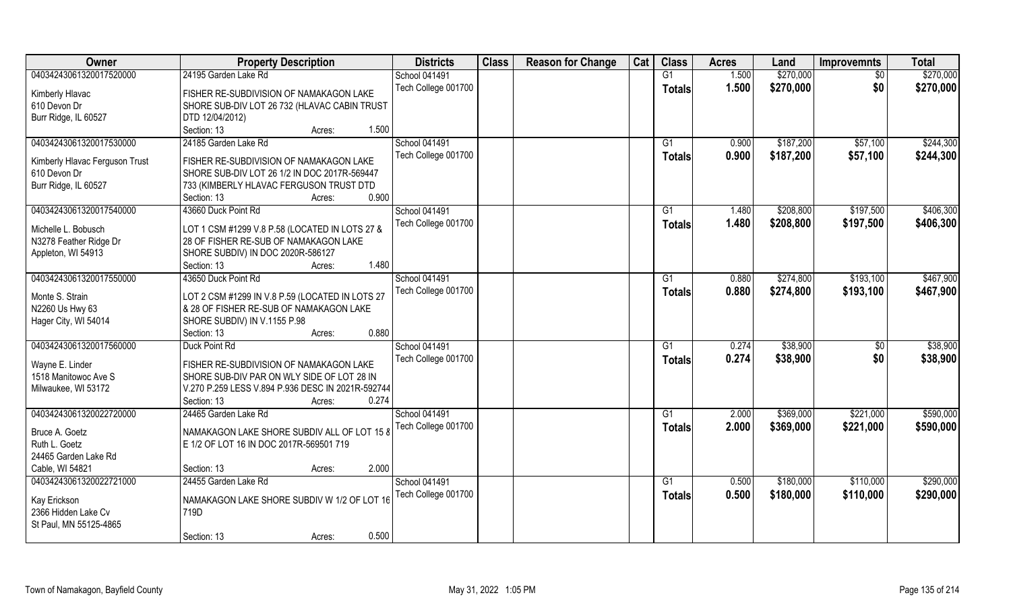| Owner                          | <b>Property Description</b>                               | <b>Districts</b>    | <b>Class</b> | <b>Reason for Change</b> | Cat | <b>Class</b>  | <b>Acres</b> | Land      | <b>Improvemnts</b> | <b>Total</b> |
|--------------------------------|-----------------------------------------------------------|---------------------|--------------|--------------------------|-----|---------------|--------------|-----------|--------------------|--------------|
| 04034243061320017520000        | 24195 Garden Lake Rd                                      | School 041491       |              |                          |     | G1            | 1.500        | \$270,000 | \$0                | \$270,000    |
| Kimberly Hlavac                | FISHER RE-SUBDIVISION OF NAMAKAGON LAKE                   | Tech College 001700 |              |                          |     | <b>Totals</b> | 1.500        | \$270,000 | \$0                | \$270,000    |
| 610 Devon Dr                   | SHORE SUB-DIV LOT 26 732 (HLAVAC CABIN TRUST              |                     |              |                          |     |               |              |           |                    |              |
| Burr Ridge, IL 60527           | DTD 12/04/2012)                                           |                     |              |                          |     |               |              |           |                    |              |
|                                | Section: 13<br>1.500<br>Acres:                            |                     |              |                          |     |               |              |           |                    |              |
| 04034243061320017530000        | 24185 Garden Lake Rd                                      | School 041491       |              |                          |     | G1            | 0.900        | \$187,200 | \$57,100           | \$244,300    |
|                                |                                                           | Tech College 001700 |              |                          |     |               | 0.900        | \$187,200 |                    |              |
| Kimberly Hlavac Ferguson Trust | FISHER RE-SUBDIVISION OF NAMAKAGON LAKE                   |                     |              |                          |     | <b>Totals</b> |              |           | \$57,100           | \$244,300    |
| 610 Devon Dr                   | SHORE SUB-DIV LOT 26 1/2 IN DOC 2017R-569447              |                     |              |                          |     |               |              |           |                    |              |
| Burr Ridge, IL 60527           | 733 (KIMBERLY HLAVAC FERGUSON TRUST DTD                   |                     |              |                          |     |               |              |           |                    |              |
|                                | 0.900<br>Section: 13<br>Acres:                            |                     |              |                          |     |               |              |           |                    |              |
| 04034243061320017540000        | 43660 Duck Point Rd                                       | School 041491       |              |                          |     | G1            | 1.480        | \$208,800 | \$197,500          | \$406,300    |
| Michelle L. Bobusch            |                                                           | Tech College 001700 |              |                          |     | <b>Totals</b> | 1.480        | \$208,800 | \$197,500          | \$406,300    |
|                                | LOT 1 CSM #1299 V.8 P.58 (LOCATED IN LOTS 27 &            |                     |              |                          |     |               |              |           |                    |              |
| N3278 Feather Ridge Dr         | 28 OF FISHER RE-SUB OF NAMAKAGON LAKE                     |                     |              |                          |     |               |              |           |                    |              |
| Appleton, WI 54913             | SHORE SUBDIV) IN DOC 2020R-586127<br>1.480<br>Section: 13 |                     |              |                          |     |               |              |           |                    |              |
|                                | Acres:                                                    |                     |              |                          |     |               |              |           |                    | \$467,900    |
| 04034243061320017550000        | 43650 Duck Point Rd                                       | School 041491       |              |                          |     | G1            | 0.880        | \$274,800 | \$193,100          |              |
| Monte S. Strain                | LOT 2 CSM #1299 IN V.8 P.59 (LOCATED IN LOTS 27           | Tech College 001700 |              |                          |     | <b>Totals</b> | 0.880        | \$274,800 | \$193,100          | \$467,900    |
| N2260 Us Hwy 63                | & 28 OF FISHER RE-SUB OF NAMAKAGON LAKE                   |                     |              |                          |     |               |              |           |                    |              |
| Hager City, WI 54014           | SHORE SUBDIV) IN V.1155 P.98                              |                     |              |                          |     |               |              |           |                    |              |
|                                | 0.880<br>Section: 13<br>Acres:                            |                     |              |                          |     |               |              |           |                    |              |
| 04034243061320017560000        | Duck Point Rd                                             | School 041491       |              |                          |     | G1            | 0.274        | \$38,900  | \$0                | \$38,900     |
|                                |                                                           | Tech College 001700 |              |                          |     | <b>Totals</b> | 0.274        | \$38,900  | \$0                | \$38,900     |
| Wayne E. Linder                | FISHER RE-SUBDIVISION OF NAMAKAGON LAKE                   |                     |              |                          |     |               |              |           |                    |              |
| 1518 Manitowoc Ave S           | SHORE SUB-DIV PAR ON WLY SIDE OF LOT 28 IN                |                     |              |                          |     |               |              |           |                    |              |
| Milwaukee, WI 53172            | V.270 P.259 LESS V.894 P.936 DESC IN 2021R-592744         |                     |              |                          |     |               |              |           |                    |              |
|                                | Section: 13<br>0.274<br>Acres:                            |                     |              |                          |     |               |              |           |                    |              |
| 04034243061320022720000        | 24465 Garden Lake Rd                                      | School 041491       |              |                          |     | G1            | 2.000        | \$369,000 | \$221,000          | \$590,000    |
| Bruce A. Goetz                 | NAMAKAGON LAKE SHORE SUBDIV ALL OF LOT 15 8               | Tech College 001700 |              |                          |     | <b>Totals</b> | 2.000        | \$369,000 | \$221,000          | \$590,000    |
| Ruth L. Goetz                  | E 1/2 OF LOT 16 IN DOC 2017R-569501 719                   |                     |              |                          |     |               |              |           |                    |              |
| 24465 Garden Lake Rd           |                                                           |                     |              |                          |     |               |              |           |                    |              |
| Cable, WI 54821                | 2.000<br>Section: 13<br>Acres:                            |                     |              |                          |     |               |              |           |                    |              |
| 04034243061320022721000        | 24455 Garden Lake Rd                                      | School 041491       |              |                          |     | G1            | 0.500        | \$180,000 | \$110,000          | \$290,000    |
|                                |                                                           | Tech College 001700 |              |                          |     | <b>Totals</b> | 0.500        | \$180,000 | \$110,000          | \$290,000    |
| Kay Erickson                   | NAMAKAGON LAKE SHORE SUBDIV W 1/2 OF LOT 16               |                     |              |                          |     |               |              |           |                    |              |
| 2366 Hidden Lake Cv            | 719D                                                      |                     |              |                          |     |               |              |           |                    |              |
| St Paul, MN 55125-4865         |                                                           |                     |              |                          |     |               |              |           |                    |              |
|                                | 0.500<br>Section: 13<br>Acres:                            |                     |              |                          |     |               |              |           |                    |              |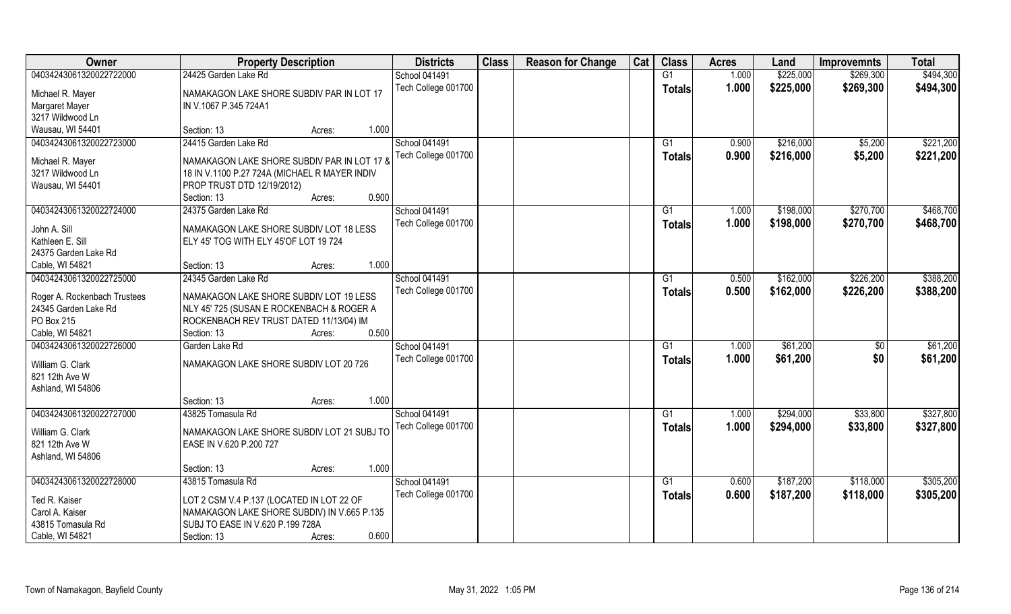| Owner                        | <b>Property Description</b>                   |        | <b>Districts</b>                            | <b>Class</b> | <b>Reason for Change</b> | Cat | <b>Class</b>  | <b>Acres</b>   | Land                   | <b>Improvemnts</b> | <b>Total</b>           |
|------------------------------|-----------------------------------------------|--------|---------------------------------------------|--------------|--------------------------|-----|---------------|----------------|------------------------|--------------------|------------------------|
| 04034243061320022722000      | 24425 Garden Lake Rd                          |        | <b>School 041491</b>                        |              |                          |     | G1            | 1.000          | \$225,000              | \$269,300          | \$494,300              |
| Michael R. Mayer             | NAMAKAGON LAKE SHORE SUBDIV PAR IN LOT 17     |        | Tech College 001700                         |              |                          |     | <b>Totals</b> | 1.000          | \$225,000              | \$269,300          | \$494,300              |
| <b>Margaret Mayer</b>        | IN V.1067 P.345 724A1                         |        |                                             |              |                          |     |               |                |                        |                    |                        |
| 3217 Wildwood Ln             |                                               |        |                                             |              |                          |     |               |                |                        |                    |                        |
| Wausau, WI 54401             | Section: 13                                   | Acres: | 1.000                                       |              |                          |     |               |                |                        |                    |                        |
| 04034243061320022723000      | 24415 Garden Lake Rd                          |        | <b>School 041491</b><br>Tech College 001700 |              |                          |     | G1            | 0.900<br>0.900 | \$216,000<br>\$216,000 | \$5,200<br>\$5,200 | \$221,200<br>\$221,200 |
| Michael R. Mayer             | NAMAKAGON LAKE SHORE SUBDIV PAR IN LOT 17 &   |        |                                             |              |                          |     | Totals        |                |                        |                    |                        |
| 3217 Wildwood Ln             | 18 IN V.1100 P.27 724A (MICHAEL R MAYER INDIV |        |                                             |              |                          |     |               |                |                        |                    |                        |
| Wausau, WI 54401             | PROP TRUST DTD 12/19/2012)                    |        |                                             |              |                          |     |               |                |                        |                    |                        |
|                              | Section: 13                                   | Acres: | 0.900                                       |              |                          |     |               |                |                        |                    |                        |
| 04034243061320022724000      | 24375 Garden Lake Rd                          |        | School 041491                               |              |                          |     | G1            | 1.000          | \$198,000              | \$270,700          | \$468,700              |
| John A. Sill                 | NAMAKAGON LAKE SHORE SUBDIV LOT 18 LESS       |        | Tech College 001700                         |              |                          |     | <b>Totals</b> | 1.000          | \$198,000              | \$270,700          | \$468,700              |
| Kathleen E. Sill             | ELY 45' TOG WITH ELY 45'OF LOT 19724          |        |                                             |              |                          |     |               |                |                        |                    |                        |
| 24375 Garden Lake Rd         |                                               |        |                                             |              |                          |     |               |                |                        |                    |                        |
| Cable, WI 54821              | Section: 13                                   | Acres: | 1.000                                       |              |                          |     |               |                |                        |                    |                        |
| 04034243061320022725000      | 24345 Garden Lake Rd                          |        | <b>School 041491</b>                        |              |                          |     |               |                | \$162,000              | \$226,200          | \$388,200              |
|                              |                                               |        |                                             |              |                          |     | G1            | 0.500          |                        |                    |                        |
| Roger A. Rockenbach Trustees | NAMAKAGON LAKE SHORE SUBDIV LOT 19 LESS       |        | Tech College 001700                         |              |                          |     | <b>Totals</b> | 0.500          | \$162,000              | \$226,200          | \$388,200              |
| 24345 Garden Lake Rd         | NLY 45' 725 (SUSAN E ROCKENBACH & ROGER A     |        |                                             |              |                          |     |               |                |                        |                    |                        |
| PO Box 215                   | ROCKENBACH REV TRUST DATED 11/13/04) IM       |        |                                             |              |                          |     |               |                |                        |                    |                        |
| Cable, WI 54821              | Section: 13                                   | Acres: | 0.500                                       |              |                          |     |               |                |                        |                    |                        |
| 04034243061320022726000      | Garden Lake Rd                                |        | <b>School 041491</b>                        |              |                          |     | G1            | 1.000          | \$61,200               | \$0                | \$61,200               |
|                              |                                               |        | Tech College 001700                         |              |                          |     | <b>Totals</b> | 1.000          | \$61,200               | \$0                | \$61,200               |
| William G. Clark             | NAMAKAGON LAKE SHORE SUBDIV LOT 20 726        |        |                                             |              |                          |     |               |                |                        |                    |                        |
| 821 12th Ave W               |                                               |        |                                             |              |                          |     |               |                |                        |                    |                        |
| Ashland, WI 54806            |                                               |        |                                             |              |                          |     |               |                |                        |                    |                        |
|                              | Section: 13                                   | Acres: | 1.000                                       |              |                          |     |               |                |                        |                    |                        |
| 04034243061320022727000      | 43825 Tomasula Rd                             |        | <b>School 041491</b>                        |              |                          |     | G1            | 1.000          | \$294,000              | \$33,800           | \$327,800              |
| William G. Clark             | NAMAKAGON LAKE SHORE SUBDIV LOT 21 SUBJ TO    |        | Tech College 001700                         |              |                          |     | <b>Totals</b> | 1.000          | \$294,000              | \$33,800           | \$327,800              |
| 821 12th Ave W               | EASE IN V.620 P.200 727                       |        |                                             |              |                          |     |               |                |                        |                    |                        |
| Ashland, WI 54806            |                                               |        |                                             |              |                          |     |               |                |                        |                    |                        |
|                              | Section: 13                                   | Acres: | 1.000                                       |              |                          |     |               |                |                        |                    |                        |
| 04034243061320022728000      | 43815 Tomasula Rd                             |        | School 041491                               |              |                          |     | G1            | 0.600          | \$187,200              | \$118,000          | \$305,200              |
|                              |                                               |        | Tech College 001700                         |              |                          |     | Totals        | 0.600          | \$187,200              | \$118,000          | \$305,200              |
| Ted R. Kaiser                | LOT 2 CSM V.4 P.137 (LOCATED IN LOT 22 OF     |        |                                             |              |                          |     |               |                |                        |                    |                        |
| Carol A. Kaiser              | NAMAKAGON LAKE SHORE SUBDIV) IN V.665 P.135   |        |                                             |              |                          |     |               |                |                        |                    |                        |
| 43815 Tomasula Rd            | SUBJ TO EASE IN V.620 P.199 728A              |        |                                             |              |                          |     |               |                |                        |                    |                        |
| Cable, WI 54821              | Section: 13                                   | Acres: | 0.600                                       |              |                          |     |               |                |                        |                    |                        |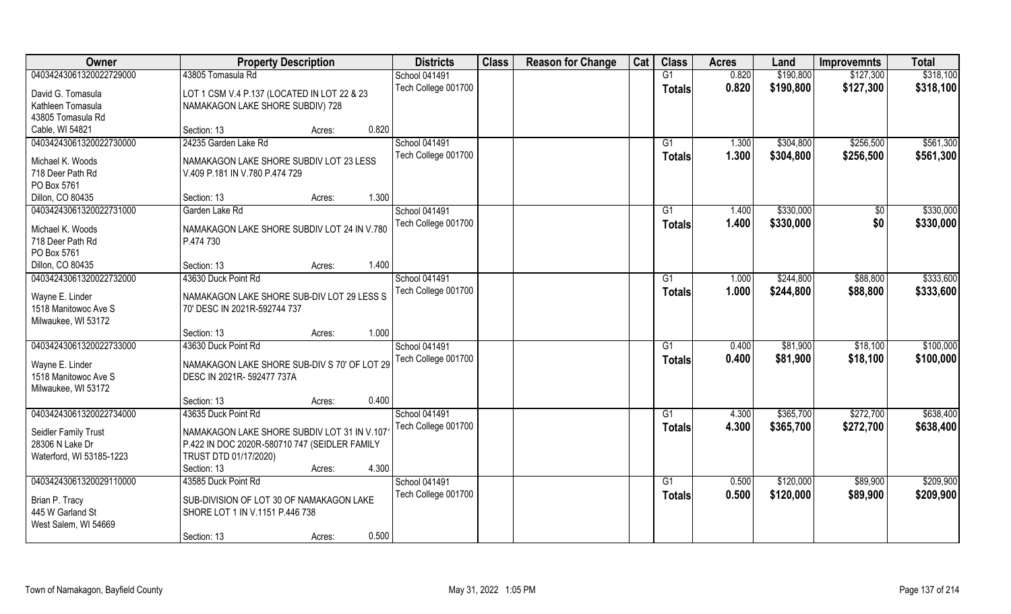| Owner                    | <b>Property Description</b>                   | <b>Districts</b>     | <b>Class</b> | <b>Reason for Change</b> | Cat | <b>Class</b>   | <b>Acres</b> | Land      | <b>Improvemnts</b> | <b>Total</b> |
|--------------------------|-----------------------------------------------|----------------------|--------------|--------------------------|-----|----------------|--------------|-----------|--------------------|--------------|
| 04034243061320022729000  | 43805 Tomasula Rd                             | School 041491        |              |                          |     | G1             | 0.820        | \$190,800 | \$127,300          | \$318,100    |
| David G. Tomasula        | LOT 1 CSM V.4 P.137 (LOCATED IN LOT 22 & 23   | Tech College 001700  |              |                          |     | <b>Totals</b>  | 0.820        | \$190,800 | \$127,300          | \$318,100    |
| Kathleen Tomasula        | NAMAKAGON LAKE SHORE SUBDIV) 728              |                      |              |                          |     |                |              |           |                    |              |
| 43805 Tomasula Rd        |                                               |                      |              |                          |     |                |              |           |                    |              |
| Cable, WI 54821          | 0.820<br>Section: 13<br>Acres:                |                      |              |                          |     |                |              |           |                    |              |
| 04034243061320022730000  | 24235 Garden Lake Rd                          | <b>School 041491</b> |              |                          |     | G <sub>1</sub> | 1.300        | \$304,800 | \$256,500          | \$561,300    |
| Michael K. Woods         | NAMAKAGON LAKE SHORE SUBDIV LOT 23 LESS       | Tech College 001700  |              |                          |     | <b>Totals</b>  | 1.300        | \$304,800 | \$256,500          | \$561,300    |
| 718 Deer Path Rd         | V.409 P.181 IN V.780 P.474 729                |                      |              |                          |     |                |              |           |                    |              |
| PO Box 5761              |                                               |                      |              |                          |     |                |              |           |                    |              |
| Dillon, CO 80435         | 1.300<br>Section: 13<br>Acres:                |                      |              |                          |     |                |              |           |                    |              |
| 04034243061320022731000  | Garden Lake Rd                                | School 041491        |              |                          |     | G1             | 1.400        | \$330,000 | \$0                | \$330,000    |
| Michael K. Woods         | NAMAKAGON LAKE SHORE SUBDIV LOT 24 IN V.780   | Tech College 001700  |              |                          |     | <b>Totals</b>  | 1.400        | \$330,000 | \$0                | \$330,000    |
| 718 Deer Path Rd         | P.474 730                                     |                      |              |                          |     |                |              |           |                    |              |
| PO Box 5761              |                                               |                      |              |                          |     |                |              |           |                    |              |
| Dillon, CO 80435         | 1.400<br>Section: 13<br>Acres:                |                      |              |                          |     |                |              |           |                    |              |
| 04034243061320022732000  | 43630 Duck Point Rd                           | <b>School 041491</b> |              |                          |     | G <sub>1</sub> | 1.000        | \$244,800 | \$88,800           | \$333,600    |
| Wayne E. Linder          | NAMAKAGON LAKE SHORE SUB-DIV LOT 29 LESS S    | Tech College 001700  |              |                          |     | <b>Totals</b>  | 1.000        | \$244,800 | \$88,800           | \$333,600    |
| 1518 Manitowoc Ave S     | 70' DESC IN 2021R-592744 737                  |                      |              |                          |     |                |              |           |                    |              |
| Milwaukee, WI 53172      |                                               |                      |              |                          |     |                |              |           |                    |              |
|                          | 1.000<br>Section: 13<br>Acres:                |                      |              |                          |     |                |              |           |                    |              |
| 04034243061320022733000  | 43630 Duck Point Rd                           | School 041491        |              |                          |     | G1             | 0.400        | \$81,900  | \$18,100           | \$100,000    |
| Wayne E. Linder          | NAMAKAGON LAKE SHORE SUB-DIV S 70' OF LOT 29  | Tech College 001700  |              |                          |     | <b>Totals</b>  | 0.400        | \$81,900  | \$18,100           | \$100,000    |
| 1518 Manitowoc Ave S     | DESC IN 2021R-592477 737A                     |                      |              |                          |     |                |              |           |                    |              |
| Milwaukee, WI 53172      |                                               |                      |              |                          |     |                |              |           |                    |              |
|                          | 0.400<br>Section: 13<br>Acres:                |                      |              |                          |     |                |              |           |                    |              |
| 04034243061320022734000  | 43635 Duck Point Rd                           | School 041491        |              |                          |     | G <sub>1</sub> | 4.300        | \$365,700 | \$272,700          | \$638,400    |
| Seidler Family Trust     | NAMAKAGON LAKE SHORE SUBDIV LOT 31 IN V.107   | Tech College 001700  |              |                          |     | <b>Totals</b>  | 4.300        | \$365,700 | \$272,700          | \$638,400    |
| 28306 N Lake Dr          | P.422 IN DOC 2020R-580710 747 (SEIDLER FAMILY |                      |              |                          |     |                |              |           |                    |              |
| Waterford, WI 53185-1223 | TRUST DTD 01/17/2020)                         |                      |              |                          |     |                |              |           |                    |              |
|                          | 4.300<br>Section: 13<br>Acres:                |                      |              |                          |     |                |              |           |                    |              |
| 04034243061320029110000  | 43585 Duck Point Rd                           | School 041491        |              |                          |     | G1             | 0.500        | \$120,000 | \$89,900           | \$209,900    |
| Brian P. Tracy           | SUB-DIVISION OF LOT 30 OF NAMAKAGON LAKE      | Tech College 001700  |              |                          |     | <b>Totals</b>  | 0.500        | \$120,000 | \$89,900           | \$209,900    |
| 445 W Garland St         | SHORE LOT 1 IN V.1151 P.446 738               |                      |              |                          |     |                |              |           |                    |              |
| West Salem, WI 54669     |                                               |                      |              |                          |     |                |              |           |                    |              |
|                          | 0.500<br>Section: 13<br>Acres:                |                      |              |                          |     |                |              |           |                    |              |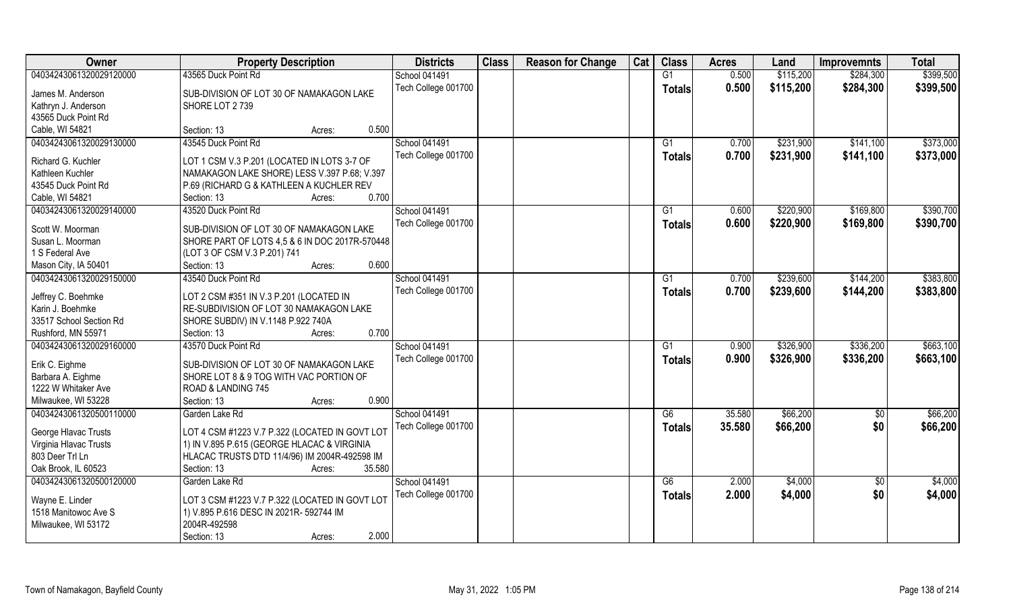| Owner                   | <b>Property Description</b>                    |        | <b>Districts</b>     | <b>Class</b> | <b>Reason for Change</b> | Cat | <b>Class</b>  | <b>Acres</b> | Land      | <b>Improvemnts</b> | <b>Total</b> |
|-------------------------|------------------------------------------------|--------|----------------------|--------------|--------------------------|-----|---------------|--------------|-----------|--------------------|--------------|
| 04034243061320029120000 | 43565 Duck Point Rd                            |        | <b>School 041491</b> |              |                          |     | G1            | 0.500        | \$115,200 | \$284,300          | \$399,500    |
| James M. Anderson       | SUB-DIVISION OF LOT 30 OF NAMAKAGON LAKE       |        | Tech College 001700  |              |                          |     | <b>Totals</b> | 0.500        | \$115,200 | \$284,300          | \$399,500    |
| Kathryn J. Anderson     | SHORE LOT 2739                                 |        |                      |              |                          |     |               |              |           |                    |              |
| 43565 Duck Point Rd     |                                                |        |                      |              |                          |     |               |              |           |                    |              |
| Cable, WI 54821         | Section: 13<br>Acres:                          | 0.500  |                      |              |                          |     |               |              |           |                    |              |
| 04034243061320029130000 | 43545 Duck Point Rd                            |        | School 041491        |              |                          |     | G1            | 0.700        | \$231,900 | \$141,100          | \$373,000    |
|                         |                                                |        | Tech College 001700  |              |                          |     | Totals        | 0.700        | \$231,900 | \$141,100          | \$373,000    |
| Richard G. Kuchler      | LOT 1 CSM V.3 P.201 (LOCATED IN LOTS 3-7 OF    |        |                      |              |                          |     |               |              |           |                    |              |
| Kathleen Kuchler        | NAMAKAGON LAKE SHORE) LESS V.397 P.68; V.397   |        |                      |              |                          |     |               |              |           |                    |              |
| 43545 Duck Point Rd     | P.69 (RICHARD G & KATHLEEN A KUCHLER REV       |        |                      |              |                          |     |               |              |           |                    |              |
| Cable, WI 54821         | Section: 13<br>Acres:                          | 0.700  |                      |              |                          |     |               |              |           |                    |              |
| 04034243061320029140000 | 43520 Duck Point Rd                            |        | School 041491        |              |                          |     | G1            | 0.600        | \$220,900 | \$169,800          | \$390,700    |
| Scott W. Moorman        | SUB-DIVISION OF LOT 30 OF NAMAKAGON LAKE       |        | Tech College 001700  |              |                          |     | <b>Totals</b> | 0.600        | \$220,900 | \$169,800          | \$390,700    |
| Susan L. Moorman        | SHORE PART OF LOTS 4,5 & 6 IN DOC 2017R-570448 |        |                      |              |                          |     |               |              |           |                    |              |
| 1 S Federal Ave         | (LOT 3 OF CSM V.3 P.201) 741                   |        |                      |              |                          |     |               |              |           |                    |              |
| Mason City, IA 50401    | Section: 13<br>Acres:                          | 0.600  |                      |              |                          |     |               |              |           |                    |              |
| 04034243061320029150000 | 43540 Duck Point Rd                            |        | <b>School 041491</b> |              |                          |     | G1            | 0.700        | \$239,600 | \$144,200          | \$383,800    |
|                         |                                                |        | Tech College 001700  |              |                          |     | <b>Totals</b> | 0.700        | \$239,600 | \$144,200          | \$383,800    |
| Jeffrey C. Boehmke      | LOT 2 CSM #351 IN V.3 P.201 (LOCATED IN        |        |                      |              |                          |     |               |              |           |                    |              |
| Karin J. Boehmke        | RE-SUBDIVISION OF LOT 30 NAMAKAGON LAKE        |        |                      |              |                          |     |               |              |           |                    |              |
| 33517 School Section Rd | SHORE SUBDIV) IN V.1148 P.922 740A             |        |                      |              |                          |     |               |              |           |                    |              |
| Rushford, MN 55971      | Section: 13<br>Acres:                          | 0.700  |                      |              |                          |     |               |              |           |                    |              |
| 04034243061320029160000 | 43570 Duck Point Rd                            |        | School 041491        |              |                          |     | G1            | 0.900        | \$326,900 | \$336,200          | \$663,100    |
| Erik C. Eighme          | SUB-DIVISION OF LOT 30 OF NAMAKAGON LAKE       |        | Tech College 001700  |              |                          |     | <b>Totals</b> | 0.900        | \$326,900 | \$336,200          | \$663,100    |
| Barbara A. Eighme       | SHORE LOT 8 & 9 TOG WITH VAC PORTION OF        |        |                      |              |                          |     |               |              |           |                    |              |
| 1222 W Whitaker Ave     | ROAD & LANDING 745                             |        |                      |              |                          |     |               |              |           |                    |              |
| Milwaukee, WI 53228     | Section: 13<br>Acres:                          | 0.900  |                      |              |                          |     |               |              |           |                    |              |
| 04034243061320500110000 | Garden Lake Rd                                 |        | School 041491        |              |                          |     | G6            | 35.580       | \$66,200  | $\overline{60}$    | \$66,200     |
|                         |                                                |        | Tech College 001700  |              |                          |     | <b>Totals</b> | 35.580       | \$66,200  | \$0                | \$66,200     |
| George Hlavac Trusts    | LOT 4 CSM #1223 V.7 P.322 (LOCATED IN GOVT LOT |        |                      |              |                          |     |               |              |           |                    |              |
| Virginia Hlavac Trusts  | 1) IN V.895 P.615 (GEORGE HLACAC & VIRGINIA    |        |                      |              |                          |     |               |              |           |                    |              |
| 803 Deer Trl Ln         | HLACAC TRUSTS DTD 11/4/96) IM 2004R-492598 IM  |        |                      |              |                          |     |               |              |           |                    |              |
| Oak Brook, IL 60523     | Section: 13<br>Acres:                          | 35.580 |                      |              |                          |     |               |              |           |                    |              |
| 04034243061320500120000 | Garden Lake Rd                                 |        | School 041491        |              |                          |     | G6            | 2.000        | \$4,000   | $\overline{50}$    | \$4,000      |
| Wayne E. Linder         | LOT 3 CSM #1223 V.7 P.322 (LOCATED IN GOVT LOT |        | Tech College 001700  |              |                          |     | <b>Totals</b> | 2.000        | \$4,000   | \$0                | \$4,000      |
| 1518 Manitowoc Ave S    | 1) V.895 P.616 DESC IN 2021R- 592744 IM        |        |                      |              |                          |     |               |              |           |                    |              |
| Milwaukee, WI 53172     | 2004R-492598                                   |        |                      |              |                          |     |               |              |           |                    |              |
|                         | Section: 13<br>Acres:                          | 2.000  |                      |              |                          |     |               |              |           |                    |              |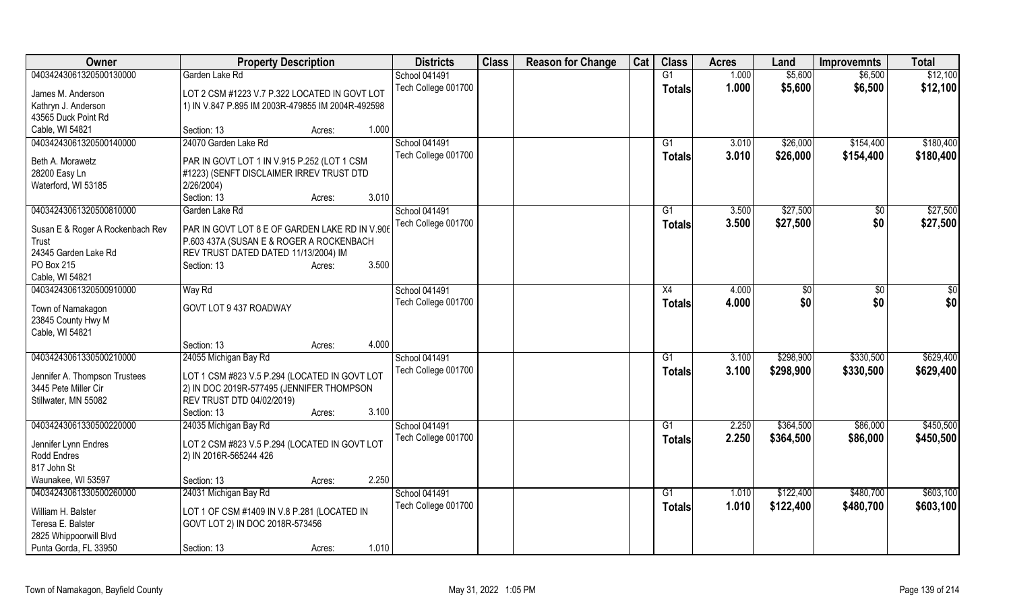| Owner                            | <b>Property Description</b>                       |        |       | <b>Districts</b>    | <b>Class</b> | <b>Reason for Change</b> | Cat | <b>Class</b>    | <b>Acres</b> | Land      | <b>Improvemnts</b> | <b>Total</b> |
|----------------------------------|---------------------------------------------------|--------|-------|---------------------|--------------|--------------------------|-----|-----------------|--------------|-----------|--------------------|--------------|
| 04034243061320500130000          | Garden Lake Rd                                    |        |       | School 041491       |              |                          |     | $\overline{G1}$ | 1.000        | \$5,600   | \$6,500            | \$12,100     |
| James M. Anderson                | LOT 2 CSM #1223 V.7 P.322 LOCATED IN GOVT LOT     |        |       | Tech College 001700 |              |                          |     | <b>Totals</b>   | 1.000        | \$5,600   | \$6,500            | \$12,100     |
| Kathryn J. Anderson              | 1) IN V.847 P.895 IM 2003R-479855 IM 2004R-492598 |        |       |                     |              |                          |     |                 |              |           |                    |              |
| 43565 Duck Point Rd              |                                                   |        |       |                     |              |                          |     |                 |              |           |                    |              |
| Cable, WI 54821                  | Section: 13                                       | Acres: | 1.000 |                     |              |                          |     |                 |              |           |                    |              |
| 04034243061320500140000          | 24070 Garden Lake Rd                              |        |       | School 041491       |              |                          |     | G1              | 3.010        | \$26,000  | \$154,400          | \$180,400    |
|                                  |                                                   |        |       | Tech College 001700 |              |                          |     | <b>Totals</b>   | 3.010        | \$26,000  | \$154,400          | \$180,400    |
| Beth A. Morawetz                 | PAR IN GOVT LOT 1 IN V.915 P.252 (LOT 1 CSM       |        |       |                     |              |                          |     |                 |              |           |                    |              |
| 28200 Easy Ln                    | #1223) (SENFT DISCLAIMER IRREV TRUST DTD          |        |       |                     |              |                          |     |                 |              |           |                    |              |
| Waterford, WI 53185              | 2/26/2004)<br>Section: 13                         |        | 3.010 |                     |              |                          |     |                 |              |           |                    |              |
| 04034243061320500810000          | Garden Lake Rd                                    | Acres: |       | School 041491       |              |                          |     |                 |              | \$27,500  |                    |              |
|                                  |                                                   |        |       |                     |              |                          |     | G1              | 3.500        |           | $\sqrt[6]{30}$     | \$27,500     |
| Susan E & Roger A Rockenbach Rev | PAR IN GOVT LOT 8 E OF GARDEN LAKE RD IN V.906    |        |       | Tech College 001700 |              |                          |     | <b>Totals</b>   | 3.500        | \$27,500  | \$0                | \$27,500     |
| Trust                            | P.603 437A (SUSAN E & ROGER A ROCKENBACH          |        |       |                     |              |                          |     |                 |              |           |                    |              |
| 24345 Garden Lake Rd             | REV TRUST DATED DATED 11/13/2004) IM              |        |       |                     |              |                          |     |                 |              |           |                    |              |
| PO Box 215                       | Section: 13                                       | Acres: | 3.500 |                     |              |                          |     |                 |              |           |                    |              |
| Cable, WI 54821                  |                                                   |        |       |                     |              |                          |     |                 |              |           |                    |              |
| 04034243061320500910000          | Way Rd                                            |        |       | School 041491       |              |                          |     | X4              | 4.000        | \$0       | $\sqrt[6]{3}$      | \$0          |
| Town of Namakagon                | GOVT LOT 9 437 ROADWAY                            |        |       | Tech College 001700 |              |                          |     | <b>Totals</b>   | 4.000        | \$0       | \$0                | \$0          |
| 23845 County Hwy M               |                                                   |        |       |                     |              |                          |     |                 |              |           |                    |              |
| Cable, WI 54821                  |                                                   |        |       |                     |              |                          |     |                 |              |           |                    |              |
|                                  | Section: 13                                       | Acres: | 4.000 |                     |              |                          |     |                 |              |           |                    |              |
| 04034243061330500210000          | 24055 Michigan Bay Rd                             |        |       | School 041491       |              |                          |     | G1              | 3.100        | \$298,900 | \$330,500          | \$629,400    |
|                                  |                                                   |        |       | Tech College 001700 |              |                          |     | <b>Totals</b>   | 3.100        | \$298,900 | \$330,500          | \$629,400    |
| Jennifer A. Thompson Trustees    | LOT 1 CSM #823 V.5 P.294 (LOCATED IN GOVT LOT     |        |       |                     |              |                          |     |                 |              |           |                    |              |
| 3445 Pete Miller Cir             | 2) IN DOC 2019R-577495 (JENNIFER THOMPSON         |        |       |                     |              |                          |     |                 |              |           |                    |              |
| Stillwater, MN 55082             | REV TRUST DTD 04/02/2019)                         |        |       |                     |              |                          |     |                 |              |           |                    |              |
|                                  | Section: 13                                       | Acres: | 3.100 |                     |              |                          |     |                 |              |           |                    |              |
| 04034243061330500220000          | 24035 Michigan Bay Rd                             |        |       | School 041491       |              |                          |     | $\overline{G1}$ | 2.250        | \$364,500 | \$86,000           | \$450,500    |
| Jennifer Lynn Endres             | LOT 2 CSM #823 V.5 P.294 (LOCATED IN GOVT LOT     |        |       | Tech College 001700 |              |                          |     | <b>Totals</b>   | 2.250        | \$364,500 | \$86,000           | \$450,500    |
| Rodd Endres                      | 2) IN 2016R-565244 426                            |        |       |                     |              |                          |     |                 |              |           |                    |              |
| 817 John St                      |                                                   |        |       |                     |              |                          |     |                 |              |           |                    |              |
| Waunakee, WI 53597               | Section: 13                                       | Acres: | 2.250 |                     |              |                          |     |                 |              |           |                    |              |
| 04034243061330500260000          | 24031 Michigan Bay Rd                             |        |       | School 041491       |              |                          |     | $\overline{G1}$ | 1.010        | \$122,400 | \$480,700          | \$603,100    |
|                                  |                                                   |        |       | Tech College 001700 |              |                          |     | <b>Totals</b>   | 1.010        | \$122,400 | \$480,700          | \$603,100    |
| William H. Balster               | LOT 1 OF CSM #1409 IN V.8 P.281 (LOCATED IN       |        |       |                     |              |                          |     |                 |              |           |                    |              |
| Teresa E. Balster                | GOVT LOT 2) IN DOC 2018R-573456                   |        |       |                     |              |                          |     |                 |              |           |                    |              |
| 2825 Whippoorwill Blvd           |                                                   |        |       |                     |              |                          |     |                 |              |           |                    |              |
| Punta Gorda, FL 33950            | Section: 13                                       | Acres: | 1.010 |                     |              |                          |     |                 |              |           |                    |              |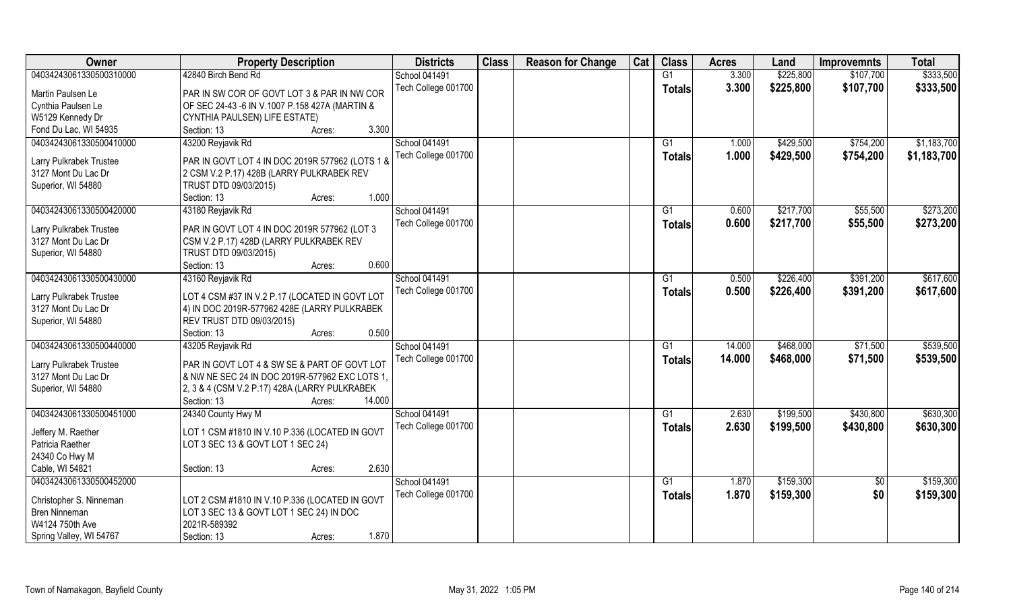| Owner                   | <b>Property Description</b>                     | <b>Districts</b>    | <b>Class</b> | <b>Reason for Change</b> | Cat | <b>Class</b>    | <b>Acres</b> | Land      | <b>Improvemnts</b> | <b>Total</b> |
|-------------------------|-------------------------------------------------|---------------------|--------------|--------------------------|-----|-----------------|--------------|-----------|--------------------|--------------|
| 04034243061330500310000 | 42840 Birch Bend Rd                             | School 041491       |              |                          |     | G1              | 3.300        | \$225,800 | \$107,700          | \$333,500    |
| Martin Paulsen Le       | PAR IN SW COR OF GOVT LOT 3 & PAR IN NW COR     | Tech College 001700 |              |                          |     | <b>Totals</b>   | 3.300        | \$225,800 | \$107,700          | \$333,500    |
| Cynthia Paulsen Le      | OF SEC 24-43 -6 IN V.1007 P.158 427A (MARTIN &  |                     |              |                          |     |                 |              |           |                    |              |
| W5129 Kennedy Dr        | CYNTHIA PAULSEN) LIFE ESTATE)                   |                     |              |                          |     |                 |              |           |                    |              |
| Fond Du Lac, WI 54935   | 3.300<br>Section: 13<br>Acres:                  |                     |              |                          |     |                 |              |           |                    |              |
| 04034243061330500410000 | 43200 Reyjavik Rd                               | School 041491       |              |                          |     | G <sub>1</sub>  | 1.000        | \$429,500 | \$754,200          | \$1,183,700  |
|                         |                                                 | Tech College 001700 |              |                          |     |                 | 1.000        | \$429,500 | \$754,200          | \$1,183,700  |
| Larry Pulkrabek Trustee | PAR IN GOVT LOT 4 IN DOC 2019R 577962 (LOTS 1 & |                     |              |                          |     | <b>Totals</b>   |              |           |                    |              |
| 3127 Mont Du Lac Dr     | 2 CSM V.2 P.17) 428B (LARRY PULKRABEK REV       |                     |              |                          |     |                 |              |           |                    |              |
| Superior, WI 54880      | TRUST DTD 09/03/2015)                           |                     |              |                          |     |                 |              |           |                    |              |
|                         | 1.000<br>Section: 13<br>Acres:                  |                     |              |                          |     |                 |              |           |                    |              |
| 04034243061330500420000 | 43180 Reyjavik Rd                               | School 041491       |              |                          |     | G1              | 0.600        | \$217,700 | \$55,500           | \$273,200    |
|                         |                                                 | Tech College 001700 |              |                          |     | <b>Totals</b>   | 0.600        | \$217,700 | \$55,500           | \$273,200    |
| Larry Pulkrabek Trustee | PAR IN GOVT LOT 4 IN DOC 2019R 577962 (LOT 3    |                     |              |                          |     |                 |              |           |                    |              |
| 3127 Mont Du Lac Dr     | CSM V.2 P.17) 428D (LARRY PULKRABEK REV         |                     |              |                          |     |                 |              |           |                    |              |
| Superior, WI 54880      | TRUST DTD 09/03/2015)<br>0.600                  |                     |              |                          |     |                 |              |           |                    |              |
|                         | Section: 13<br>Acres:                           |                     |              |                          |     |                 |              |           |                    |              |
| 04034243061330500430000 | 43160 Reyjavik Rd                               | School 041491       |              |                          |     | G1              | 0.500        | \$226,400 | \$391,200          | \$617,600    |
| Larry Pulkrabek Trustee | LOT 4 CSM #37 IN V.2 P.17 (LOCATED IN GOVT LOT  | Tech College 001700 |              |                          |     | <b>Totals</b>   | 0.500        | \$226,400 | \$391,200          | \$617,600    |
| 3127 Mont Du Lac Dr     | 4) IN DOC 2019R-577962 428E (LARRY PULKRABEK    |                     |              |                          |     |                 |              |           |                    |              |
| Superior, WI 54880      | REV TRUST DTD 09/03/2015)                       |                     |              |                          |     |                 |              |           |                    |              |
|                         | 0.500<br>Section: 13<br>Acres:                  |                     |              |                          |     |                 |              |           |                    |              |
| 04034243061330500440000 | 43205 Reyjavik Rd                               | School 041491       |              |                          |     | G1              | 14.000       | \$468,000 | \$71,500           | \$539,500    |
|                         |                                                 | Tech College 001700 |              |                          |     | <b>Totals</b>   | 14.000       | \$468,000 | \$71,500           | \$539,500    |
| Larry Pulkrabek Trustee | PAR IN GOVT LOT 4 & SW SE & PART OF GOVT LOT    |                     |              |                          |     |                 |              |           |                    |              |
| 3127 Mont Du Lac Dr     | & NW NE SEC 24 IN DOC 2019R-577962 EXC LOTS 1,  |                     |              |                          |     |                 |              |           |                    |              |
| Superior, WI 54880      | 2, 3 & 4 (CSM V.2 P.17) 428A (LARRY PULKRABEK   |                     |              |                          |     |                 |              |           |                    |              |
|                         | Section: 13<br>14.000<br>Acres:                 |                     |              |                          |     |                 |              |           |                    |              |
| 04034243061330500451000 | 24340 County Hwy M                              | School 041491       |              |                          |     | $\overline{G1}$ | 2.630        | \$199,500 | \$430,800          | \$630,300    |
| Jeffery M. Raether      | LOT 1 CSM #1810 IN V.10 P.336 (LOCATED IN GOVT  | Tech College 001700 |              |                          |     | <b>Totals</b>   | 2.630        | \$199,500 | \$430,800          | \$630,300    |
| Patricia Raether        | LOT 3 SEC 13 & GOVT LOT 1 SEC 24)               |                     |              |                          |     |                 |              |           |                    |              |
| 24340 Co Hwy M          |                                                 |                     |              |                          |     |                 |              |           |                    |              |
| Cable, WI 54821         | 2.630<br>Section: 13<br>Acres:                  |                     |              |                          |     |                 |              |           |                    |              |
| 04034243061330500452000 |                                                 | School 041491       |              |                          |     | G1              | 1.870        | \$159,300 | $\overline{50}$    | \$159,300    |
|                         |                                                 | Tech College 001700 |              |                          |     |                 | 1.870        | \$159,300 | \$0                | \$159,300    |
| Christopher S. Ninneman | LOT 2 CSM #1810 IN V.10 P.336 (LOCATED IN GOVT  |                     |              |                          |     | <b>Totals</b>   |              |           |                    |              |
| Bren Ninneman           | LOT 3 SEC 13 & GOVT LOT 1 SEC 24) IN DOC        |                     |              |                          |     |                 |              |           |                    |              |
| W4124 750th Ave         | 2021R-589392                                    |                     |              |                          |     |                 |              |           |                    |              |
| Spring Valley, WI 54767 | 1.870<br>Section: 13<br>Acres:                  |                     |              |                          |     |                 |              |           |                    |              |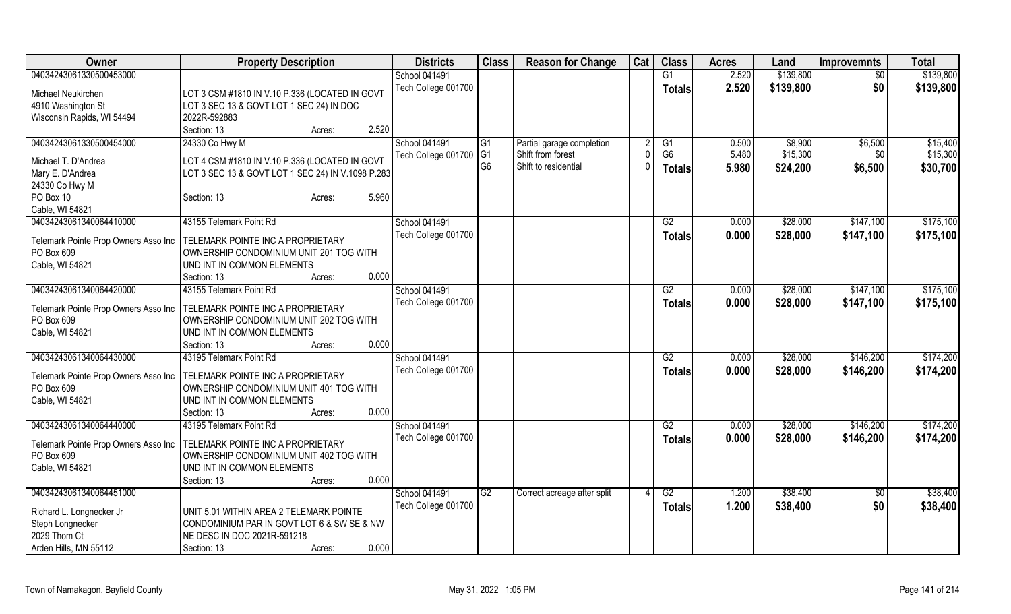| Owner                                | <b>Property Description</b>                                                                | <b>Districts</b>       | <b>Class</b>    | <b>Reason for Change</b>    | Cat      | <b>Class</b>   | <b>Acres</b> | Land      | <b>Improvemnts</b> | <b>Total</b> |
|--------------------------------------|--------------------------------------------------------------------------------------------|------------------------|-----------------|-----------------------------|----------|----------------|--------------|-----------|--------------------|--------------|
| 04034243061330500453000              |                                                                                            | School 041491          |                 |                             |          | G1             | 2.520        | \$139,800 | $\overline{50}$    | \$139,800    |
|                                      |                                                                                            | Tech College 001700    |                 |                             |          | <b>Totals</b>  | 2.520        | \$139,800 | \$0                | \$139,800    |
| Michael Neukirchen                   | LOT 3 CSM #1810 IN V.10 P.336 (LOCATED IN GOVT<br>LOT 3 SEC 13 & GOVT LOT 1 SEC 24) IN DOC |                        |                 |                             |          |                |              |           |                    |              |
| 4910 Washington St                   | 2022R-592883                                                                               |                        |                 |                             |          |                |              |           |                    |              |
| Wisconsin Rapids, WI 54494           | 2.520                                                                                      |                        |                 |                             |          |                |              |           |                    |              |
|                                      | Section: 13<br>Acres:                                                                      |                        |                 |                             |          |                |              |           |                    |              |
| 04034243061330500454000              | 24330 Co Hwy M                                                                             | School 041491          | $\overline{G1}$ | Partial garage completion   |          | G <sub>1</sub> | 0.500        | \$8,900   | \$6,500            | \$15,400     |
| Michael T. D'Andrea                  | LOT 4 CSM #1810 IN V.10 P.336 (LOCATED IN GOVT                                             | Tech College 001700 G1 |                 | Shift from forest           |          | G <sub>6</sub> | 5.480        | \$15,300  | \$0                | \$15,300     |
| Mary E. D'Andrea                     | LOT 3 SEC 13 & GOVT LOT 1 SEC 24) IN V.1098 P.283                                          |                        | G <sub>6</sub>  | Shift to residential        | $\Omega$ | <b>Totals</b>  | 5.980        | \$24,200  | \$6,500            | \$30,700     |
| 24330 Co Hwy M                       |                                                                                            |                        |                 |                             |          |                |              |           |                    |              |
| PO Box 10                            | 5.960<br>Section: 13<br>Acres:                                                             |                        |                 |                             |          |                |              |           |                    |              |
| Cable, WI 54821                      |                                                                                            |                        |                 |                             |          |                |              |           |                    |              |
| 04034243061340064410000              | 43155 Telemark Point Rd                                                                    | School 041491          |                 |                             |          | G2             | 0.000        | \$28,000  | \$147,100          | \$175,100    |
|                                      |                                                                                            | Tech College 001700    |                 |                             |          | <b>Totals</b>  | 0.000        | \$28,000  | \$147,100          | \$175,100    |
| Telemark Pointe Prop Owners Asso Inc | TELEMARK POINTE INC A PROPRIETARY                                                          |                        |                 |                             |          |                |              |           |                    |              |
| PO Box 609                           | OWNERSHIP CONDOMINIUM UNIT 201 TOG WITH                                                    |                        |                 |                             |          |                |              |           |                    |              |
| Cable, WI 54821                      | UND INT IN COMMON ELEMENTS                                                                 |                        |                 |                             |          |                |              |           |                    |              |
|                                      | 0.000<br>Section: 13<br>Acres:                                                             |                        |                 |                             |          |                |              |           |                    |              |
| 04034243061340064420000              | 43155 Telemark Point Rd                                                                    | School 041491          |                 |                             |          | G2             | 0.000        | \$28,000  | \$147,100          | \$175,100    |
| Telemark Pointe Prop Owners Asso Inc | TELEMARK POINTE INC A PROPRIETARY                                                          | Tech College 001700    |                 |                             |          | <b>Totals</b>  | 0.000        | \$28,000  | \$147,100          | \$175,100    |
| PO Box 609                           | OWNERSHIP CONDOMINIUM UNIT 202 TOG WITH                                                    |                        |                 |                             |          |                |              |           |                    |              |
| Cable, WI 54821                      | UND INT IN COMMON ELEMENTS                                                                 |                        |                 |                             |          |                |              |           |                    |              |
|                                      | 0.000<br>Section: 13                                                                       |                        |                 |                             |          |                |              |           |                    |              |
| 04034243061340064430000              | Acres:<br>43195 Telemark Point Rd                                                          | School 041491          |                 |                             |          | G2             | 0.000        | \$28,000  | \$146,200          | \$174,200    |
|                                      |                                                                                            |                        |                 |                             |          |                |              |           |                    |              |
| Telemark Pointe Prop Owners Asso Inc | TELEMARK POINTE INC A PROPRIETARY                                                          | Tech College 001700    |                 |                             |          | <b>Totals</b>  | 0.000        | \$28,000  | \$146,200          | \$174,200    |
| PO Box 609                           | OWNERSHIP CONDOMINIUM UNIT 401 TOG WITH                                                    |                        |                 |                             |          |                |              |           |                    |              |
| Cable, WI 54821                      | UND INT IN COMMON ELEMENTS                                                                 |                        |                 |                             |          |                |              |           |                    |              |
|                                      | 0.000<br>Section: 13<br>Acres:                                                             |                        |                 |                             |          |                |              |           |                    |              |
| 04034243061340064440000              | 43195 Telemark Point Rd                                                                    | School 041491          |                 |                             |          | G2             | 0.000        | \$28,000  | \$146,200          | \$174,200    |
|                                      |                                                                                            | Tech College 001700    |                 |                             |          | <b>Totals</b>  | 0.000        | \$28,000  | \$146,200          | \$174,200    |
| Telemark Pointe Prop Owners Asso Inc | TELEMARK POINTE INC A PROPRIETARY                                                          |                        |                 |                             |          |                |              |           |                    |              |
| PO Box 609                           | OWNERSHIP CONDOMINIUM UNIT 402 TOG WITH                                                    |                        |                 |                             |          |                |              |           |                    |              |
| Cable, WI 54821                      | UND INT IN COMMON ELEMENTS                                                                 |                        |                 |                             |          |                |              |           |                    |              |
|                                      | 0.000<br>Section: 13<br>Acres:                                                             |                        |                 |                             |          |                |              |           |                    |              |
| 04034243061340064451000              |                                                                                            | School 041491          | G2              | Correct acreage after split |          | G2             | 1.200        | \$38,400  | $\sqrt[6]{}$       | \$38,400     |
| Richard L. Longnecker Jr             | UNIT 5.01 WITHIN AREA 2 TELEMARK POINTE                                                    | Tech College 001700    |                 |                             |          | <b>Totals</b>  | 1.200        | \$38,400  | \$0                | \$38,400     |
| Steph Longnecker                     | CONDOMINIUM PAR IN GOVT LOT 6 & SW SE & NW                                                 |                        |                 |                             |          |                |              |           |                    |              |
| 2029 Thom Ct                         | NE DESC IN DOC 2021R-591218                                                                |                        |                 |                             |          |                |              |           |                    |              |
| Arden Hills, MN 55112                | 0.000<br>Section: 13<br>Acres:                                                             |                        |                 |                             |          |                |              |           |                    |              |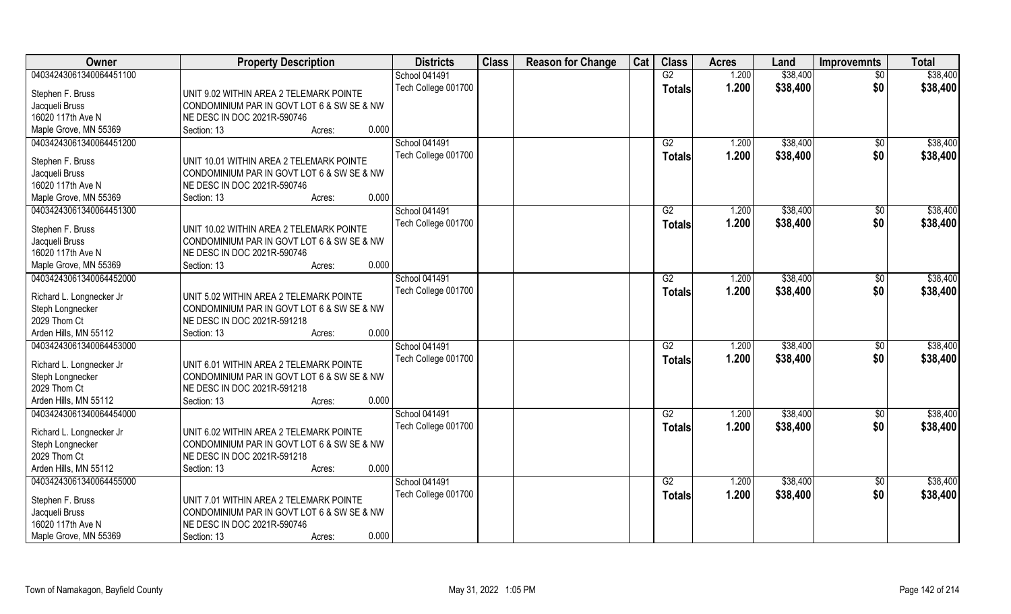| <b>Owner</b>             | <b>Property Description</b>                | <b>Districts</b>     | <b>Class</b> | <b>Reason for Change</b> | Cat | <b>Class</b>    | <b>Acres</b> | Land     | <b>Improvemnts</b> | <b>Total</b> |
|--------------------------|--------------------------------------------|----------------------|--------------|--------------------------|-----|-----------------|--------------|----------|--------------------|--------------|
| 04034243061340064451100  |                                            | School 041491        |              |                          |     | G2              | 1.200        | \$38,400 | $\overline{50}$    | \$38,400     |
| Stephen F. Bruss         | UNIT 9.02 WITHIN AREA 2 TELEMARK POINTE    | Tech College 001700  |              |                          |     | <b>Totals</b>   | 1.200        | \$38,400 | \$0                | \$38,400     |
| Jacqueli Bruss           | CONDOMINIUM PAR IN GOVT LOT 6 & SW SE & NW |                      |              |                          |     |                 |              |          |                    |              |
| 16020 117th Ave N        | NE DESC IN DOC 2021R-590746                |                      |              |                          |     |                 |              |          |                    |              |
| Maple Grove, MN 55369    | Section: 13<br>0.000<br>Acres:             |                      |              |                          |     |                 |              |          |                    |              |
| 04034243061340064451200  |                                            | <b>School 041491</b> |              |                          |     | G2              | 1.200        | \$38,400 | \$0                | \$38,400     |
| Stephen F. Bruss         | UNIT 10.01 WITHIN AREA 2 TELEMARK POINTE   | Tech College 001700  |              |                          |     | <b>Totals</b>   | 1.200        | \$38,400 | \$0                | \$38,400     |
| Jacqueli Bruss           | CONDOMINIUM PAR IN GOVT LOT 6 & SW SE & NW |                      |              |                          |     |                 |              |          |                    |              |
| 16020 117th Ave N        | NE DESC IN DOC 2021R-590746                |                      |              |                          |     |                 |              |          |                    |              |
| Maple Grove, MN 55369    | 0.000<br>Section: 13<br>Acres:             |                      |              |                          |     |                 |              |          |                    |              |
| 04034243061340064451300  |                                            | School 041491        |              |                          |     | G2              | 1.200        | \$38,400 | $\sqrt[6]{3}$      | \$38,400     |
| Stephen F. Bruss         | UNIT 10.02 WITHIN AREA 2 TELEMARK POINTE   | Tech College 001700  |              |                          |     | <b>Totals</b>   | 1.200        | \$38,400 | \$0                | \$38,400     |
| Jacqueli Bruss           | CONDOMINIUM PAR IN GOVT LOT 6 & SW SE & NW |                      |              |                          |     |                 |              |          |                    |              |
| 16020 117th Ave N        | NE DESC IN DOC 2021R-590746                |                      |              |                          |     |                 |              |          |                    |              |
| Maple Grove, MN 55369    | 0.000<br>Section: 13<br>Acres:             |                      |              |                          |     |                 |              |          |                    |              |
| 04034243061340064452000  |                                            | <b>School 041491</b> |              |                          |     | G2              | 1.200        | \$38,400 | \$0                | \$38,400     |
| Richard L. Longnecker Jr | UNIT 5.02 WITHIN AREA 2 TELEMARK POINTE    | Tech College 001700  |              |                          |     | <b>Totals</b>   | 1.200        | \$38,400 | \$0                | \$38,400     |
| Steph Longnecker         | CONDOMINIUM PAR IN GOVT LOT 6 & SW SE & NW |                      |              |                          |     |                 |              |          |                    |              |
| 2029 Thom Ct             | NE DESC IN DOC 2021R-591218                |                      |              |                          |     |                 |              |          |                    |              |
| Arden Hills, MN 55112    | 0.000<br>Section: 13<br>Acres:             |                      |              |                          |     |                 |              |          |                    |              |
| 04034243061340064453000  |                                            | School 041491        |              |                          |     | $\overline{G2}$ | 1.200        | \$38,400 | \$0                | \$38,400     |
|                          |                                            | Tech College 001700  |              |                          |     | <b>Totals</b>   | 1.200        | \$38,400 | \$0                | \$38,400     |
| Richard L. Longnecker Jr | UNIT 6.01 WITHIN AREA 2 TELEMARK POINTE    |                      |              |                          |     |                 |              |          |                    |              |
| Steph Longnecker         | CONDOMINIUM PAR IN GOVT LOT 6 & SW SE & NW |                      |              |                          |     |                 |              |          |                    |              |
| 2029 Thom Ct             | NE DESC IN DOC 2021R-591218                |                      |              |                          |     |                 |              |          |                    |              |
| Arden Hills, MN 55112    | 0.000<br>Section: 13<br>Acres:             |                      |              |                          |     |                 |              |          |                    |              |
| 04034243061340064454000  |                                            | <b>School 041491</b> |              |                          |     | G2              | 1.200        | \$38,400 | \$0                | \$38,400     |
| Richard L. Longnecker Jr | UNIT 6.02 WITHIN AREA 2 TELEMARK POINTE    | Tech College 001700  |              |                          |     | <b>Totals</b>   | 1.200        | \$38,400 | \$0                | \$38,400     |
| Steph Longnecker         | CONDOMINIUM PAR IN GOVT LOT 6 & SW SE & NW |                      |              |                          |     |                 |              |          |                    |              |
| 2029 Thom Ct             | NE DESC IN DOC 2021R-591218                |                      |              |                          |     |                 |              |          |                    |              |
| Arden Hills, MN 55112    | 0.000<br>Section: 13<br>Acres:             |                      |              |                          |     |                 |              |          |                    |              |
| 04034243061340064455000  |                                            | School 041491        |              |                          |     | G2              | 1.200        | \$38,400 | $\overline{50}$    | \$38,400     |
| Stephen F. Bruss         | UNIT 7.01 WITHIN AREA 2 TELEMARK POINTE    | Tech College 001700  |              |                          |     | <b>Totals</b>   | 1.200        | \$38,400 | \$0                | \$38,400     |
| Jacqueli Bruss           | CONDOMINIUM PAR IN GOVT LOT 6 & SW SE & NW |                      |              |                          |     |                 |              |          |                    |              |
| 16020 117th Ave N        | NE DESC IN DOC 2021R-590746                |                      |              |                          |     |                 |              |          |                    |              |
| Maple Grove, MN 55369    | 0.000<br>Section: 13<br>Acres:             |                      |              |                          |     |                 |              |          |                    |              |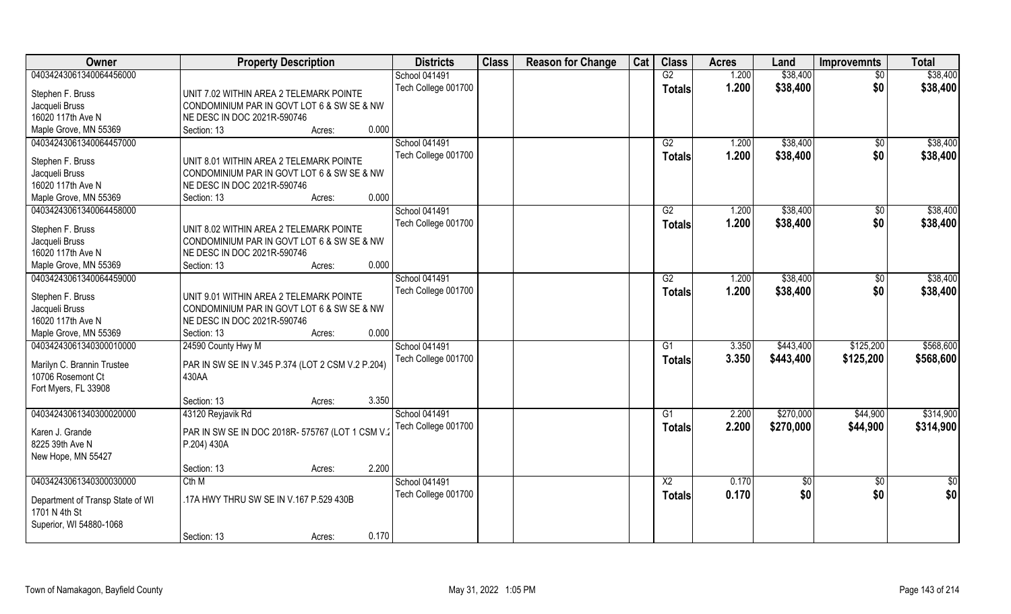| Owner                            | <b>Property Description</b>                       | <b>Districts</b>     | <b>Class</b> | <b>Reason for Change</b> | Cat | <b>Class</b>    | <b>Acres</b> | Land            | <b>Improvemnts</b> | <b>Total</b> |
|----------------------------------|---------------------------------------------------|----------------------|--------------|--------------------------|-----|-----------------|--------------|-----------------|--------------------|--------------|
| 04034243061340064456000          |                                                   | School 041491        |              |                          |     | G2              | 1.200        | \$38,400        | $\overline{50}$    | \$38,400     |
| Stephen F. Bruss                 | UNIT 7.02 WITHIN AREA 2 TELEMARK POINTE           | Tech College 001700  |              |                          |     | <b>Totals</b>   | 1.200        | \$38,400        | \$0                | \$38,400     |
| Jacqueli Bruss                   | CONDOMINIUM PAR IN GOVT LOT 6 & SW SE & NW        |                      |              |                          |     |                 |              |                 |                    |              |
| 16020 117th Ave N                | NE DESC IN DOC 2021R-590746                       |                      |              |                          |     |                 |              |                 |                    |              |
| Maple Grove, MN 55369            | 0.000<br>Section: 13<br>Acres:                    |                      |              |                          |     |                 |              |                 |                    |              |
| 04034243061340064457000          |                                                   | <b>School 041491</b> |              |                          |     | G2              | 1.200        | \$38,400        | \$0                | \$38,400     |
|                                  |                                                   | Tech College 001700  |              |                          |     | <b>Totals</b>   | 1.200        | \$38,400        | \$0                | \$38,400     |
| Stephen F. Bruss                 | UNIT 8.01 WITHIN AREA 2 TELEMARK POINTE           |                      |              |                          |     |                 |              |                 |                    |              |
| Jacqueli Bruss                   | CONDOMINIUM PAR IN GOVT LOT 6 & SW SE & NW        |                      |              |                          |     |                 |              |                 |                    |              |
| 16020 117th Ave N                | NE DESC IN DOC 2021R-590746                       |                      |              |                          |     |                 |              |                 |                    |              |
| Maple Grove, MN 55369            | 0.000<br>Section: 13<br>Acres:                    |                      |              |                          |     |                 |              |                 |                    |              |
| 04034243061340064458000          |                                                   | School 041491        |              |                          |     | G2              | 1.200        | \$38,400        | \$0                | \$38,400     |
| Stephen F. Bruss                 | UNIT 8.02 WITHIN AREA 2 TELEMARK POINTE           | Tech College 001700  |              |                          |     | <b>Totals</b>   | 1.200        | \$38,400        | \$0                | \$38,400     |
| Jacqueli Bruss                   | CONDOMINIUM PAR IN GOVT LOT 6 & SW SE & NW        |                      |              |                          |     |                 |              |                 |                    |              |
| 16020 117th Ave N                | NE DESC IN DOC 2021R-590746                       |                      |              |                          |     |                 |              |                 |                    |              |
| Maple Grove, MN 55369            | 0.000<br>Section: 13<br>Acres:                    |                      |              |                          |     |                 |              |                 |                    |              |
| 04034243061340064459000          |                                                   | School 041491        |              |                          |     | G2              | 1.200        | \$38,400        | \$0                | \$38,400     |
|                                  |                                                   | Tech College 001700  |              |                          |     | <b>Totals</b>   | 1.200        | \$38,400        | \$0                | \$38,400     |
| Stephen F. Bruss                 | UNIT 9.01 WITHIN AREA 2 TELEMARK POINTE           |                      |              |                          |     |                 |              |                 |                    |              |
| Jacqueli Bruss                   | CONDOMINIUM PAR IN GOVT LOT 6 & SW SE & NW        |                      |              |                          |     |                 |              |                 |                    |              |
| 16020 117th Ave N                | NE DESC IN DOC 2021R-590746                       |                      |              |                          |     |                 |              |                 |                    |              |
| Maple Grove, MN 55369            | 0.000<br>Section: 13<br>Acres:                    |                      |              |                          |     |                 |              |                 |                    |              |
| 04034243061340300010000          | 24590 County Hwy M                                | School 041491        |              |                          |     | G1              | 3.350        | \$443,400       | \$125,200          | \$568,600    |
| Marilyn C. Brannin Trustee       | PAR IN SW SE IN V.345 P.374 (LOT 2 CSM V.2 P.204) | Tech College 001700  |              |                          |     | <b>Totals</b>   | 3.350        | \$443,400       | \$125,200          | \$568,600    |
| 10706 Rosemont Ct                | 430AA                                             |                      |              |                          |     |                 |              |                 |                    |              |
| Fort Myers, FL 33908             |                                                   |                      |              |                          |     |                 |              |                 |                    |              |
|                                  | 3.350<br>Section: 13<br>Acres:                    |                      |              |                          |     |                 |              |                 |                    |              |
| 04034243061340300020000          | 43120 Reyjavik Rd                                 | School 041491        |              |                          |     | G1              | 2.200        | \$270,000       | \$44,900           | \$314,900    |
|                                  |                                                   | Tech College 001700  |              |                          |     | <b>Totals</b>   | 2.200        | \$270,000       | \$44,900           | \$314,900    |
| Karen J. Grande                  | PAR IN SW SE IN DOC 2018R- 575767 (LOT 1 CSM V.2  |                      |              |                          |     |                 |              |                 |                    |              |
| 8225 39th Ave N                  | P.204) 430A                                       |                      |              |                          |     |                 |              |                 |                    |              |
| New Hope, MN 55427               | 2.200                                             |                      |              |                          |     |                 |              |                 |                    |              |
|                                  | Section: 13<br>Acres:                             |                      |              |                          |     |                 |              |                 |                    |              |
| 04034243061340300030000          | Cth M                                             | School 041491        |              |                          |     | $\overline{X2}$ | 0.170        | $\overline{50}$ | $\overline{50}$    | \$0          |
| Department of Transp State of WI | .17A HWY THRU SW SE IN V.167 P.529 430B           | Tech College 001700  |              |                          |     | Totals          | 0.170        | \$0             | \$0                | \$0          |
| 1701 N 4th St                    |                                                   |                      |              |                          |     |                 |              |                 |                    |              |
| Superior, WI 54880-1068          |                                                   |                      |              |                          |     |                 |              |                 |                    |              |
|                                  | 0.170<br>Section: 13<br>Acres:                    |                      |              |                          |     |                 |              |                 |                    |              |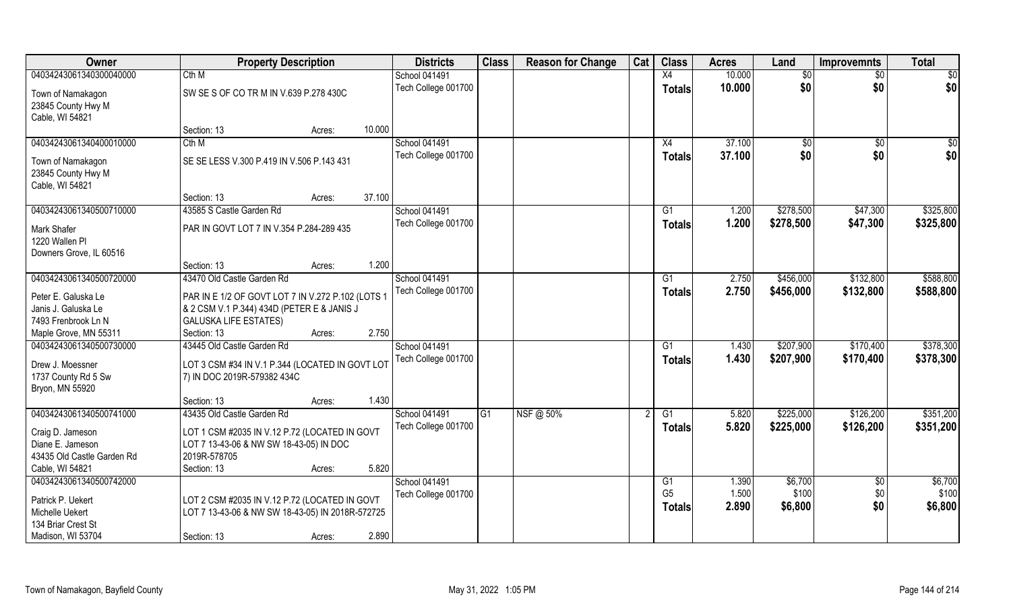| 10.000<br>04034243061340300040000<br>Cth M<br>X4<br>School 041491<br>$\overline{50}$<br>$\overline{30}$<br>\$0<br>10.000<br>\$0<br>Tech College 001700<br><b>Totals</b><br>SW SE S OF CO TR M IN V.639 P.278 430C<br>Town of Namakagon<br>23845 County Hwy M<br>Cable, WI 54821<br>10.000<br>Section: 13<br>Acres:<br>04034243061340400010000<br><b>School 041491</b><br>37,100<br>Cth M<br>X4<br>$\overline{50}$<br>$\overline{50}$<br>Tech College 001700<br>\$0<br>\$0<br>37.100<br><b>Totals</b><br>SE SE LESS V.300 P.419 IN V.506 P.143 431<br>Town of Namakagon<br>23845 County Hwy M<br>Cable, WI 54821<br>37.100<br>Section: 13<br>Acres:<br>\$278,500<br>\$325,800<br>04034243061340500710000<br>43585 S Castle Garden Rd<br>School 041491<br>\$47,300<br>1.200<br>G1<br>Tech College 001700<br>1.200<br>\$278,500<br>\$47,300<br>\$325,800<br><b>Totals</b><br>Mark Shafer<br>PAR IN GOVT LOT 7 IN V.354 P.284-289 435<br>1220 Wallen PI<br>Downers Grove, IL 60516<br>1.200<br>Section: 13<br>Acres:<br>43470 Old Castle Garden Rd<br>\$588,800<br>04034243061340500720000<br>School 041491<br>\$456,000<br>\$132,800<br>G1<br>2.750<br>Tech College 001700 | Owner | <b>Property Description</b> |  | <b>Districts</b> | <b>Class</b> | <b>Reason for Change</b> | Cat | <b>Class</b>  | <b>Acres</b> | Land      | <b>Improvemnts</b> | <b>Total</b>     |
|-------------------------------------------------------------------------------------------------------------------------------------------------------------------------------------------------------------------------------------------------------------------------------------------------------------------------------------------------------------------------------------------------------------------------------------------------------------------------------------------------------------------------------------------------------------------------------------------------------------------------------------------------------------------------------------------------------------------------------------------------------------------------------------------------------------------------------------------------------------------------------------------------------------------------------------------------------------------------------------------------------------------------------------------------------------------------------------------------------------------------------------------------------------------------|-------|-----------------------------|--|------------------|--------------|--------------------------|-----|---------------|--------------|-----------|--------------------|------------------|
|                                                                                                                                                                                                                                                                                                                                                                                                                                                                                                                                                                                                                                                                                                                                                                                                                                                                                                                                                                                                                                                                                                                                                                         |       |                             |  |                  |              |                          |     |               |              |           |                    | \$0              |
|                                                                                                                                                                                                                                                                                                                                                                                                                                                                                                                                                                                                                                                                                                                                                                                                                                                                                                                                                                                                                                                                                                                                                                         |       |                             |  |                  |              |                          |     |               |              |           |                    | \$0              |
|                                                                                                                                                                                                                                                                                                                                                                                                                                                                                                                                                                                                                                                                                                                                                                                                                                                                                                                                                                                                                                                                                                                                                                         |       |                             |  |                  |              |                          |     |               |              |           |                    |                  |
|                                                                                                                                                                                                                                                                                                                                                                                                                                                                                                                                                                                                                                                                                                                                                                                                                                                                                                                                                                                                                                                                                                                                                                         |       |                             |  |                  |              |                          |     |               |              |           |                    |                  |
|                                                                                                                                                                                                                                                                                                                                                                                                                                                                                                                                                                                                                                                                                                                                                                                                                                                                                                                                                                                                                                                                                                                                                                         |       |                             |  |                  |              |                          |     |               |              |           |                    |                  |
|                                                                                                                                                                                                                                                                                                                                                                                                                                                                                                                                                                                                                                                                                                                                                                                                                                                                                                                                                                                                                                                                                                                                                                         |       |                             |  |                  |              |                          |     |               |              |           |                    | $\overline{\$0}$ |
|                                                                                                                                                                                                                                                                                                                                                                                                                                                                                                                                                                                                                                                                                                                                                                                                                                                                                                                                                                                                                                                                                                                                                                         |       |                             |  |                  |              |                          |     |               |              |           |                    | \$0              |
|                                                                                                                                                                                                                                                                                                                                                                                                                                                                                                                                                                                                                                                                                                                                                                                                                                                                                                                                                                                                                                                                                                                                                                         |       |                             |  |                  |              |                          |     |               |              |           |                    |                  |
|                                                                                                                                                                                                                                                                                                                                                                                                                                                                                                                                                                                                                                                                                                                                                                                                                                                                                                                                                                                                                                                                                                                                                                         |       |                             |  |                  |              |                          |     |               |              |           |                    |                  |
|                                                                                                                                                                                                                                                                                                                                                                                                                                                                                                                                                                                                                                                                                                                                                                                                                                                                                                                                                                                                                                                                                                                                                                         |       |                             |  |                  |              |                          |     |               |              |           |                    |                  |
|                                                                                                                                                                                                                                                                                                                                                                                                                                                                                                                                                                                                                                                                                                                                                                                                                                                                                                                                                                                                                                                                                                                                                                         |       |                             |  |                  |              |                          |     |               |              |           |                    |                  |
|                                                                                                                                                                                                                                                                                                                                                                                                                                                                                                                                                                                                                                                                                                                                                                                                                                                                                                                                                                                                                                                                                                                                                                         |       |                             |  |                  |              |                          |     |               |              |           |                    |                  |
|                                                                                                                                                                                                                                                                                                                                                                                                                                                                                                                                                                                                                                                                                                                                                                                                                                                                                                                                                                                                                                                                                                                                                                         |       |                             |  |                  |              |                          |     |               |              |           |                    |                  |
|                                                                                                                                                                                                                                                                                                                                                                                                                                                                                                                                                                                                                                                                                                                                                                                                                                                                                                                                                                                                                                                                                                                                                                         |       |                             |  |                  |              |                          |     |               |              |           |                    |                  |
|                                                                                                                                                                                                                                                                                                                                                                                                                                                                                                                                                                                                                                                                                                                                                                                                                                                                                                                                                                                                                                                                                                                                                                         |       |                             |  |                  |              |                          |     |               |              |           |                    |                  |
|                                                                                                                                                                                                                                                                                                                                                                                                                                                                                                                                                                                                                                                                                                                                                                                                                                                                                                                                                                                                                                                                                                                                                                         |       |                             |  |                  |              |                          |     |               |              |           |                    |                  |
|                                                                                                                                                                                                                                                                                                                                                                                                                                                                                                                                                                                                                                                                                                                                                                                                                                                                                                                                                                                                                                                                                                                                                                         |       |                             |  |                  |              |                          |     |               |              |           |                    |                  |
| Peter E. Galuska Le<br>PAR IN E 1/2 OF GOVT LOT 7 IN V.272 P.102 (LOTS 1                                                                                                                                                                                                                                                                                                                                                                                                                                                                                                                                                                                                                                                                                                                                                                                                                                                                                                                                                                                                                                                                                                |       |                             |  |                  |              |                          |     | <b>Totals</b> | 2.750        | \$456,000 | \$132,800          | \$588,800        |
| Janis J. Galuska Le<br>& 2 CSM V.1 P.344) 434D (PETER E & JANIS J                                                                                                                                                                                                                                                                                                                                                                                                                                                                                                                                                                                                                                                                                                                                                                                                                                                                                                                                                                                                                                                                                                       |       |                             |  |                  |              |                          |     |               |              |           |                    |                  |
| <b>GALUSKA LIFE ESTATES)</b><br>7493 Frenbrook Ln N                                                                                                                                                                                                                                                                                                                                                                                                                                                                                                                                                                                                                                                                                                                                                                                                                                                                                                                                                                                                                                                                                                                     |       |                             |  |                  |              |                          |     |               |              |           |                    |                  |
| 2.750<br>Maple Grove, MN 55311<br>Section: 13<br>Acres:                                                                                                                                                                                                                                                                                                                                                                                                                                                                                                                                                                                                                                                                                                                                                                                                                                                                                                                                                                                                                                                                                                                 |       |                             |  |                  |              |                          |     |               |              |           |                    |                  |
| 43445 Old Castle Garden Rd<br>\$207,900<br>\$170,400<br>04034243061340500730000<br>School 041491<br>G1<br>1.430                                                                                                                                                                                                                                                                                                                                                                                                                                                                                                                                                                                                                                                                                                                                                                                                                                                                                                                                                                                                                                                         |       |                             |  |                  |              |                          |     |               |              |           |                    | \$378,300        |
| Tech College 001700<br>1.430<br>\$207,900<br>\$170,400<br>Totals<br>Drew J. Moessner<br>LOT 3 CSM #34 IN V.1 P.344 (LOCATED IN GOVT LOT                                                                                                                                                                                                                                                                                                                                                                                                                                                                                                                                                                                                                                                                                                                                                                                                                                                                                                                                                                                                                                 |       |                             |  |                  |              |                          |     |               |              |           |                    | \$378,300        |
| 1737 County Rd 5 Sw<br>7) IN DOC 2019R-579382 434C                                                                                                                                                                                                                                                                                                                                                                                                                                                                                                                                                                                                                                                                                                                                                                                                                                                                                                                                                                                                                                                                                                                      |       |                             |  |                  |              |                          |     |               |              |           |                    |                  |
| Bryon, MN 55920                                                                                                                                                                                                                                                                                                                                                                                                                                                                                                                                                                                                                                                                                                                                                                                                                                                                                                                                                                                                                                                                                                                                                         |       |                             |  |                  |              |                          |     |               |              |           |                    |                  |
| 1.430<br>Section: 13<br>Acres:                                                                                                                                                                                                                                                                                                                                                                                                                                                                                                                                                                                                                                                                                                                                                                                                                                                                                                                                                                                                                                                                                                                                          |       |                             |  |                  |              |                          |     |               |              |           |                    |                  |
| 04034243061340500741000<br>43435 Old Castle Garden Rd<br>School 041491<br>G1<br>NSF@ 50%<br>\$225,000<br>\$126,200<br>G1<br>5.820                                                                                                                                                                                                                                                                                                                                                                                                                                                                                                                                                                                                                                                                                                                                                                                                                                                                                                                                                                                                                                       |       |                             |  |                  |              |                          |     |               |              |           |                    | \$351,200        |
| Tech College 001700<br>5.820<br>\$126,200<br>\$225,000<br><b>Totals</b><br>Craig D. Jameson<br>LOT 1 CSM #2035 IN V.12 P.72 (LOCATED IN GOVT                                                                                                                                                                                                                                                                                                                                                                                                                                                                                                                                                                                                                                                                                                                                                                                                                                                                                                                                                                                                                            |       |                             |  |                  |              |                          |     |               |              |           |                    | \$351,200        |
| Diane E. Jameson<br>LOT 7 13-43-06 & NW SW 18-43-05) IN DOC                                                                                                                                                                                                                                                                                                                                                                                                                                                                                                                                                                                                                                                                                                                                                                                                                                                                                                                                                                                                                                                                                                             |       |                             |  |                  |              |                          |     |               |              |           |                    |                  |
| 43435 Old Castle Garden Rd<br>2019R-578705                                                                                                                                                                                                                                                                                                                                                                                                                                                                                                                                                                                                                                                                                                                                                                                                                                                                                                                                                                                                                                                                                                                              |       |                             |  |                  |              |                          |     |               |              |           |                    |                  |
| 5.820<br>Cable, WI 54821<br>Section: 13<br>Acres:                                                                                                                                                                                                                                                                                                                                                                                                                                                                                                                                                                                                                                                                                                                                                                                                                                                                                                                                                                                                                                                                                                                       |       |                             |  |                  |              |                          |     |               |              |           |                    |                  |
| School 041491<br>04034243061340500742000<br>\$6,700<br>1.390<br>$\overline{30}$<br>G1                                                                                                                                                                                                                                                                                                                                                                                                                                                                                                                                                                                                                                                                                                                                                                                                                                                                                                                                                                                                                                                                                   |       |                             |  |                  |              |                          |     |               |              |           |                    | \$6,700          |
| G <sub>5</sub><br>\$100<br>1.500<br>\$0<br>Tech College 001700<br>Patrick P. Uekert                                                                                                                                                                                                                                                                                                                                                                                                                                                                                                                                                                                                                                                                                                                                                                                                                                                                                                                                                                                                                                                                                     |       |                             |  |                  |              |                          |     |               |              |           |                    | \$100            |
| LOT 2 CSM #2035 IN V.12 P.72 (LOCATED IN GOVT<br>\$0<br>2.890<br>\$6,800<br><b>Totals</b><br>Michelle Uekert<br>LOT 7 13-43-06 & NW SW 18-43-05) IN 2018R-572725                                                                                                                                                                                                                                                                                                                                                                                                                                                                                                                                                                                                                                                                                                                                                                                                                                                                                                                                                                                                        |       |                             |  |                  |              |                          |     |               |              |           |                    | \$6,800          |
| 134 Briar Crest St                                                                                                                                                                                                                                                                                                                                                                                                                                                                                                                                                                                                                                                                                                                                                                                                                                                                                                                                                                                                                                                                                                                                                      |       |                             |  |                  |              |                          |     |               |              |           |                    |                  |
| 2.890<br>Madison, WI 53704<br>Section: 13<br>Acres:                                                                                                                                                                                                                                                                                                                                                                                                                                                                                                                                                                                                                                                                                                                                                                                                                                                                                                                                                                                                                                                                                                                     |       |                             |  |                  |              |                          |     |               |              |           |                    |                  |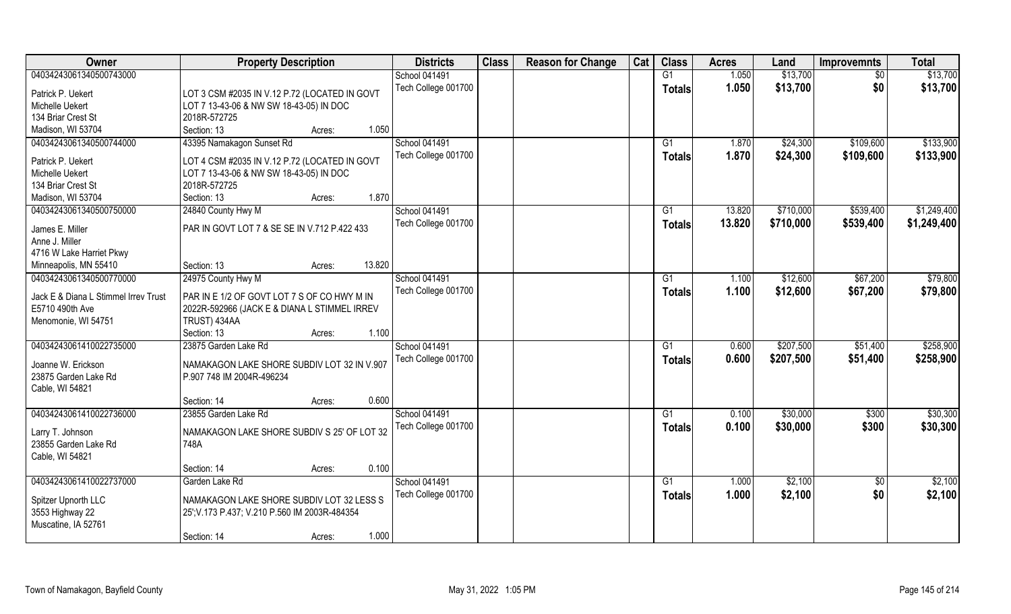| <b>Owner</b>                         | <b>Property Description</b>                   | <b>Districts</b>     | <b>Class</b> | <b>Reason for Change</b> | Cat | <b>Class</b>   | <b>Acres</b> | Land      | <b>Improvemnts</b> | <b>Total</b> |
|--------------------------------------|-----------------------------------------------|----------------------|--------------|--------------------------|-----|----------------|--------------|-----------|--------------------|--------------|
| 04034243061340500743000              |                                               | School 041491        |              |                          |     | G1             | 1.050        | \$13,700  | $\overline{30}$    | \$13,700     |
| Patrick P. Uekert                    | LOT 3 CSM #2035 IN V.12 P.72 (LOCATED IN GOVT | Tech College 001700  |              |                          |     | <b>Totals</b>  | 1.050        | \$13,700  | \$0                | \$13,700     |
| Michelle Uekert                      | LOT 7 13-43-06 & NW SW 18-43-05) IN DOC       |                      |              |                          |     |                |              |           |                    |              |
| 134 Briar Crest St                   | 2018R-572725                                  |                      |              |                          |     |                |              |           |                    |              |
| Madison, WI 53704                    | 1.050<br>Section: 13<br>Acres:                |                      |              |                          |     |                |              |           |                    |              |
| 04034243061340500744000              | 43395 Namakagon Sunset Rd                     | <b>School 041491</b> |              |                          |     | G <sub>1</sub> | 1.870        | \$24,300  | \$109,600          | \$133,900    |
| Patrick P. Uekert                    | LOT 4 CSM #2035 IN V.12 P.72 (LOCATED IN GOVT | Tech College 001700  |              |                          |     | <b>Totals</b>  | 1.870        | \$24,300  | \$109,600          | \$133,900    |
| Michelle Uekert                      | LOT 7 13-43-06 & NW SW 18-43-05) IN DOC       |                      |              |                          |     |                |              |           |                    |              |
| 134 Briar Crest St                   | 2018R-572725                                  |                      |              |                          |     |                |              |           |                    |              |
| Madison, WI 53704                    | 1.870<br>Section: 13<br>Acres:                |                      |              |                          |     |                |              |           |                    |              |
| 04034243061340500750000              | 24840 County Hwy M                            | School 041491        |              |                          |     | G <sub>1</sub> | 13.820       | \$710,000 | \$539,400          | \$1,249,400  |
| James E. Miller                      | PAR IN GOVT LOT 7 & SE SE IN V.712 P.422 433  | Tech College 001700  |              |                          |     | <b>Totals</b>  | 13.820       | \$710,000 | \$539,400          | \$1,249,400  |
| Anne J. Miller                       |                                               |                      |              |                          |     |                |              |           |                    |              |
| 4716 W Lake Harriet Pkwy             |                                               |                      |              |                          |     |                |              |           |                    |              |
| Minneapolis, MN 55410                | 13.820<br>Section: 13<br>Acres:               |                      |              |                          |     |                |              |           |                    |              |
| 04034243061340500770000              | 24975 County Hwy M                            | School 041491        |              |                          |     | G <sub>1</sub> | 1.100        | \$12,600  | \$67,200           | \$79,800     |
| Jack E & Diana L Stimmel Irrev Trust | PAR IN E 1/2 OF GOVT LOT 7 S OF CO HWY M IN   | Tech College 001700  |              |                          |     | <b>Totals</b>  | 1.100        | \$12,600  | \$67,200           | \$79,800     |
| E5710 490th Ave                      | 2022R-592966 (JACK E & DIANA L STIMMEL IRREV  |                      |              |                          |     |                |              |           |                    |              |
| Menomonie, WI 54751                  | TRUST) 434AA                                  |                      |              |                          |     |                |              |           |                    |              |
|                                      | 1.100<br>Section: 13<br>Acres:                |                      |              |                          |     |                |              |           |                    |              |
| 04034243061410022735000              | 23875 Garden Lake Rd                          | School 041491        |              |                          |     | G1             | 0.600        | \$207,500 | \$51,400           | \$258,900    |
|                                      |                                               | Tech College 001700  |              |                          |     |                | 0.600        | \$207,500 | \$51,400           | \$258,900    |
| Joanne W. Erickson                   | NAMAKAGON LAKE SHORE SUBDIV LOT 32 IN V.907   |                      |              |                          |     | <b>Totals</b>  |              |           |                    |              |
| 23875 Garden Lake Rd                 | P.907 748 IM 2004R-496234                     |                      |              |                          |     |                |              |           |                    |              |
| Cable, WI 54821                      |                                               |                      |              |                          |     |                |              |           |                    |              |
|                                      | 0.600<br>Section: 14<br>Acres:                |                      |              |                          |     |                |              |           |                    |              |
| 04034243061410022736000              | 23855 Garden Lake Rd                          | School 041491        |              |                          |     | G <sub>1</sub> | 0.100        | \$30,000  | \$300              | \$30,300     |
| Larry T. Johnson                     | NAMAKAGON LAKE SHORE SUBDIV S 25' OF LOT 32   | Tech College 001700  |              |                          |     | <b>Totals</b>  | 0.100        | \$30,000  | \$300              | \$30,300     |
| 23855 Garden Lake Rd                 | 748A                                          |                      |              |                          |     |                |              |           |                    |              |
| Cable, WI 54821                      |                                               |                      |              |                          |     |                |              |           |                    |              |
|                                      | 0.100<br>Section: 14<br>Acres:                |                      |              |                          |     |                |              |           |                    |              |
| 04034243061410022737000              | Garden Lake Rd                                | School 041491        |              |                          |     | G <sub>1</sub> | 1.000        | \$2,100   | $\overline{50}$    | \$2,100      |
|                                      |                                               | Tech College 001700  |              |                          |     | <b>Totals</b>  | 1.000        | \$2,100   | \$0                | \$2,100      |
| Spitzer Upnorth LLC                  | NAMAKAGON LAKE SHORE SUBDIV LOT 32 LESS S     |                      |              |                          |     |                |              |           |                    |              |
| 3553 Highway 22                      | 25'; V.173 P.437; V.210 P.560 IM 2003R-484354 |                      |              |                          |     |                |              |           |                    |              |
| Muscatine, IA 52761                  |                                               |                      |              |                          |     |                |              |           |                    |              |
|                                      | 1.000<br>Section: 14<br>Acres:                |                      |              |                          |     |                |              |           |                    |              |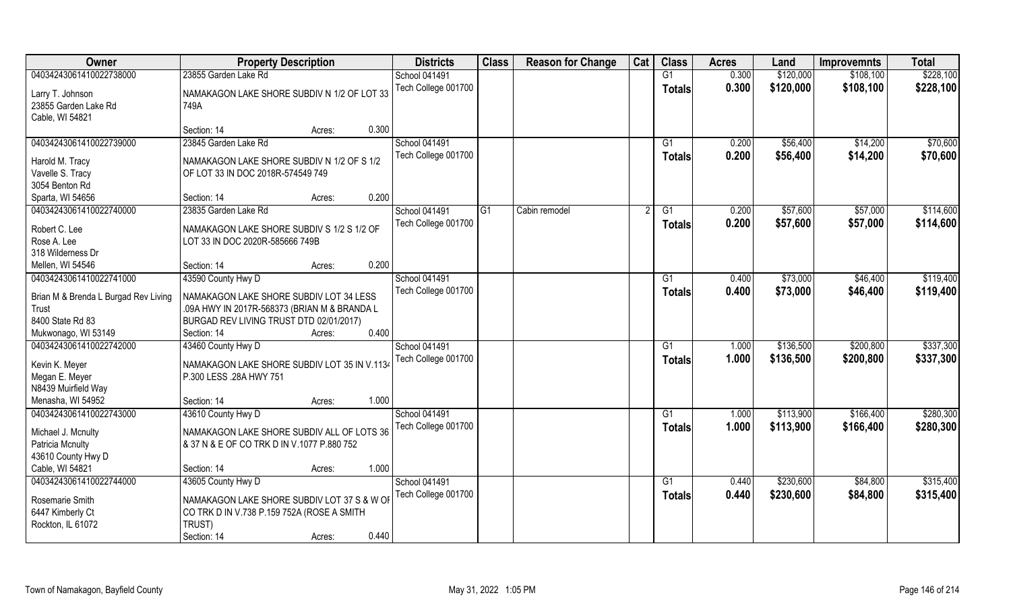| <b>Owner</b>                                                                             | <b>Property Description</b>                                                                                                                                          | <b>Districts</b>                            | <b>Class</b> | <b>Reason for Change</b> | Cat | <b>Class</b>        | <b>Acres</b>   | Land                   | <b>Improvemnts</b>     | <b>Total</b>           |
|------------------------------------------------------------------------------------------|----------------------------------------------------------------------------------------------------------------------------------------------------------------------|---------------------------------------------|--------------|--------------------------|-----|---------------------|----------------|------------------------|------------------------|------------------------|
| 04034243061410022738000                                                                  | 23855 Garden Lake Rd                                                                                                                                                 | <b>School 041491</b>                        |              |                          |     | G1                  | 0.300          | \$120,000              | \$108,100              | \$228,100              |
| Larry T. Johnson<br>23855 Garden Lake Rd<br>Cable, WI 54821                              | NAMAKAGON LAKE SHORE SUBDIV N 1/2 OF LOT 33<br>749A                                                                                                                  | Tech College 001700                         |              |                          |     | <b>Totals</b>       | 0.300          | \$120,000              | \$108,100              | \$228,100              |
|                                                                                          | 0.300<br>Section: 14<br>Acres:                                                                                                                                       |                                             |              |                          |     |                     |                |                        |                        |                        |
| 04034243061410022739000                                                                  | 23845 Garden Lake Rd                                                                                                                                                 | <b>School 041491</b><br>Tech College 001700 |              |                          |     | G1<br>Totals        | 0.200<br>0.200 | \$56,400<br>\$56,400   | \$14,200<br>\$14,200   | \$70,600<br>\$70,600   |
| Harold M. Tracy<br>Vavelle S. Tracy<br>3054 Benton Rd                                    | NAMAKAGON LAKE SHORE SUBDIV N 1/2 OF S 1/2<br>OF LOT 33 IN DOC 2018R-574549 749                                                                                      |                                             |              |                          |     |                     |                |                        |                        |                        |
| Sparta, WI 54656                                                                         | 0.200<br>Section: 14<br>Acres:                                                                                                                                       |                                             |              |                          |     |                     |                |                        |                        |                        |
| 04034243061410022740000                                                                  | 23835 Garden Lake Rd                                                                                                                                                 | <b>School 041491</b>                        | IG1          | Cabin remodel            |     | G1                  | 0.200          | \$57,600               | \$57,000               | \$114,600              |
| Robert C. Lee<br>Rose A. Lee<br>318 Wilderness Dr                                        | NAMAKAGON LAKE SHORE SUBDIV S 1/2 S 1/2 OF<br>LOT 33 IN DOC 2020R-585666 749B                                                                                        | Tech College 001700                         |              |                          |     | <b>Totals</b>       | 0.200          | \$57,600               | \$57,000               | \$114,600              |
| Mellen, WI 54546                                                                         | 0.200<br>Section: 14<br>Acres:                                                                                                                                       |                                             |              |                          |     |                     |                |                        |                        |                        |
| 04034243061410022741000                                                                  | 43590 County Hwy D                                                                                                                                                   | <b>School 041491</b>                        |              |                          |     | G1                  | 0.400          | \$73,000               | \$46,400               | \$119,400              |
| Brian M & Brenda L Burgad Rev Living<br>Trust<br>8400 State Rd 83<br>Mukwonago, WI 53149 | NAMAKAGON LAKE SHORE SUBDIV LOT 34 LESS<br>.09A HWY IN 2017R-568373 (BRIAN M & BRANDA L<br>BURGAD REV LIVING TRUST DTD 02/01/2017)<br>0.400<br>Section: 14<br>Acres: | Tech College 001700                         |              |                          |     | <b>Totals</b>       | 0.400          | \$73,000               | \$46,400               | \$119,400              |
| 04034243061410022742000                                                                  | 43460 County Hwy D                                                                                                                                                   | School 041491                               |              |                          |     | G1                  | 1.000          | \$136,500              | \$200,800              | \$337,300              |
| Kevin K. Meyer<br>Megan E. Meyer<br>N8439 Muirfield Way                                  | NAMAKAGON LAKE SHORE SUBDIV LOT 35 IN V.1134<br>P.300 LESS .28A HWY 751                                                                                              | Tech College 001700                         |              |                          |     | <b>Totals</b>       | 1.000          | \$136,500              | \$200,800              | \$337,300              |
| Menasha, WI 54952                                                                        | 1.000<br>Section: 14<br>Acres:                                                                                                                                       |                                             |              |                          |     |                     |                |                        |                        |                        |
| 04034243061410022743000<br>Michael J. Mcnulty<br>Patricia Mcnulty<br>43610 County Hwy D  | 43610 County Hwy D<br>NAMAKAGON LAKE SHORE SUBDIV ALL OF LOTS 36<br>& 37 N & E OF CO TRK D IN V.1077 P.880 752                                                       | School 041491<br>Tech College 001700        |              |                          |     | G1<br><b>Totals</b> | 1.000<br>1.000 | \$113,900<br>\$113,900 | \$166,400<br>\$166,400 | \$280,300<br>\$280,300 |
| Cable, WI 54821                                                                          | 1.000<br>Section: 14<br>Acres:                                                                                                                                       |                                             |              |                          |     |                     |                |                        |                        |                        |
| 04034243061410022744000<br>Rosemarie Smith<br>6447 Kimberly Ct<br>Rockton, IL 61072      | 43605 County Hwy D<br>NAMAKAGON LAKE SHORE SUBDIV LOT 37 S & W OF<br>CO TRK D IN V.738 P.159 752A (ROSE A SMITH<br>TRUST)                                            | School 041491<br>Tech College 001700        |              |                          |     | G1<br><b>Totals</b> | 0.440<br>0.440 | \$230,600<br>\$230,600 | \$84,800<br>\$84,800   | \$315,400<br>\$315,400 |
|                                                                                          | 0.440<br>Section: 14<br>Acres:                                                                                                                                       |                                             |              |                          |     |                     |                |                        |                        |                        |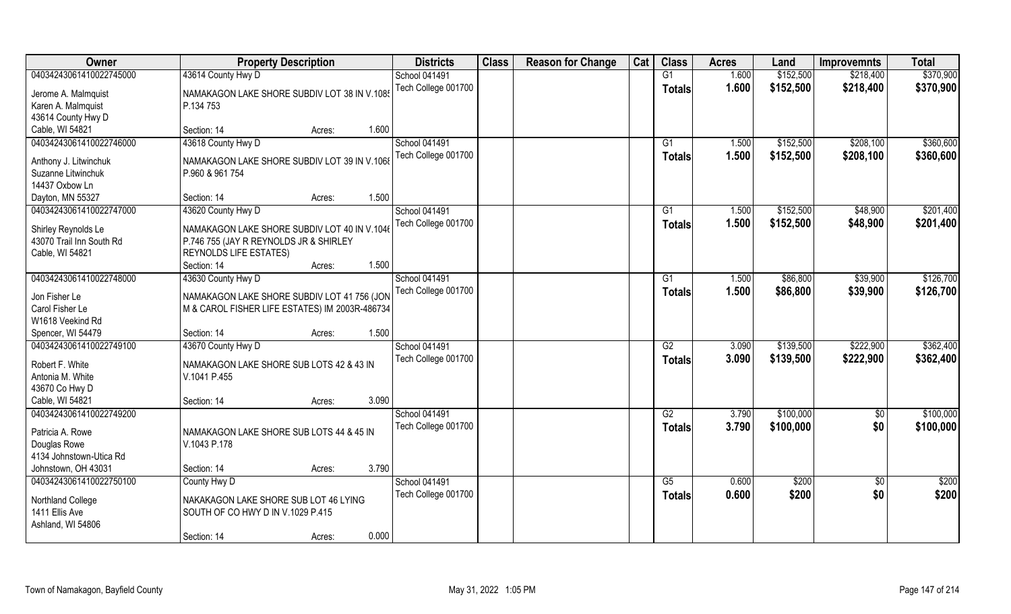| Owner                    | <b>Property Description</b>                    | <b>Districts</b>     | <b>Class</b> | <b>Reason for Change</b> | Cat | <b>Class</b>    | <b>Acres</b> | Land      | <b>Improvemnts</b> | <b>Total</b> |
|--------------------------|------------------------------------------------|----------------------|--------------|--------------------------|-----|-----------------|--------------|-----------|--------------------|--------------|
| 04034243061410022745000  | 43614 County Hwy D                             | <b>School 041491</b> |              |                          |     | G1              | 1.600        | \$152,500 | \$218,400          | \$370,900    |
| Jerome A. Malmquist      | NAMAKAGON LAKE SHORE SUBDIV LOT 38 IN V.1085   | Tech College 001700  |              |                          |     | <b>Totals</b>   | 1.600        | \$152,500 | \$218,400          | \$370,900    |
| Karen A. Malmquist       | P.134 753                                      |                      |              |                          |     |                 |              |           |                    |              |
| 43614 County Hwy D       |                                                |                      |              |                          |     |                 |              |           |                    |              |
| Cable, WI 54821          | 1.600<br>Section: 14<br>Acres:                 |                      |              |                          |     |                 |              |           |                    |              |
| 04034243061410022746000  | 43618 County Hwy D                             | <b>School 041491</b> |              |                          |     | G1              | 1.500        | \$152,500 | \$208,100          | \$360,600    |
|                          |                                                | Tech College 001700  |              |                          |     | Totals          | 1.500        | \$152,500 | \$208,100          | \$360,600    |
| Anthony J. Litwinchuk    | NAMAKAGON LAKE SHORE SUBDIV LOT 39 IN V.1068   |                      |              |                          |     |                 |              |           |                    |              |
| Suzanne Litwinchuk       | P.960 & 961 754                                |                      |              |                          |     |                 |              |           |                    |              |
| 14437 Oxbow Ln           |                                                |                      |              |                          |     |                 |              |           |                    |              |
| Dayton, MN 55327         | 1.500<br>Section: 14<br>Acres:                 |                      |              |                          |     |                 |              |           |                    |              |
| 04034243061410022747000  | 43620 County Hwy D                             | <b>School 041491</b> |              |                          |     | G1              | 1.500        | \$152,500 | \$48,900           | \$201,400    |
| Shirley Reynolds Le      | NAMAKAGON LAKE SHORE SUBDIV LOT 40 IN V.1046   | Tech College 001700  |              |                          |     | <b>Totals</b>   | 1.500        | \$152,500 | \$48,900           | \$201,400    |
| 43070 Trail Inn South Rd | P.746 755 (JAY R REYNOLDS JR & SHIRLEY         |                      |              |                          |     |                 |              |           |                    |              |
| Cable, WI 54821          | <b>REYNOLDS LIFE ESTATES)</b>                  |                      |              |                          |     |                 |              |           |                    |              |
|                          | 1.500<br>Section: 14<br>Acres:                 |                      |              |                          |     |                 |              |           |                    |              |
| 04034243061410022748000  | 43630 County Hwy D                             | <b>School 041491</b> |              |                          |     | G1              | 1.500        | \$86,800  | \$39,900           | \$126,700    |
|                          |                                                | Tech College 001700  |              |                          |     |                 | 1.500        |           |                    |              |
| Jon Fisher Le            | NAMAKAGON LAKE SHORE SUBDIV LOT 41 756 (JON    |                      |              |                          |     | <b>Totals</b>   |              | \$86,800  | \$39,900           | \$126,700    |
| Carol Fisher Le          | M & CAROL FISHER LIFE ESTATES) IM 2003R-486734 |                      |              |                          |     |                 |              |           |                    |              |
| W1618 Veekind Rd         |                                                |                      |              |                          |     |                 |              |           |                    |              |
| Spencer, WI 54479        | 1.500<br>Section: 14<br>Acres:                 |                      |              |                          |     |                 |              |           |                    |              |
| 04034243061410022749100  | 43670 County Hwy D                             | <b>School 041491</b> |              |                          |     | $\overline{G2}$ | 3.090        | \$139,500 | \$222,900          | \$362,400    |
|                          |                                                | Tech College 001700  |              |                          |     | <b>Totals</b>   | 3.090        | \$139,500 | \$222,900          | \$362,400    |
| Robert F. White          | NAMAKAGON LAKE SHORE SUB LOTS 42 & 43 IN       |                      |              |                          |     |                 |              |           |                    |              |
| Antonia M. White         | V.1041 P.455                                   |                      |              |                          |     |                 |              |           |                    |              |
| 43670 Co Hwy D           |                                                |                      |              |                          |     |                 |              |           |                    |              |
| Cable, WI 54821          | 3.090<br>Section: 14<br>Acres:                 |                      |              |                          |     |                 |              |           |                    |              |
| 04034243061410022749200  |                                                | School 041491        |              |                          |     | $\overline{G2}$ | 3.790        | \$100,000 | \$0                | \$100,000    |
| Patricia A. Rowe         | NAMAKAGON LAKE SHORE SUB LOTS 44 & 45 IN       | Tech College 001700  |              |                          |     | <b>Totals</b>   | 3.790        | \$100,000 | \$0                | \$100,000    |
| Douglas Rowe             | V.1043 P.178                                   |                      |              |                          |     |                 |              |           |                    |              |
| 4134 Johnstown-Utica Rd  |                                                |                      |              |                          |     |                 |              |           |                    |              |
| Johnstown, OH 43031      | 3.790<br>Section: 14<br>Acres:                 |                      |              |                          |     |                 |              |           |                    |              |
| 04034243061410022750100  | County Hwy D                                   | <b>School 041491</b> |              |                          |     | G5              | 0.600        | \$200     | $\overline{50}$    | \$200        |
|                          |                                                | Tech College 001700  |              |                          |     | Totals          | 0.600        | \$200     | \$0                | \$200        |
| <b>Northland College</b> | NAKAKAGON LAKE SHORE SUB LOT 46 LYING          |                      |              |                          |     |                 |              |           |                    |              |
| 1411 Ellis Ave           | SOUTH OF CO HWY D IN V.1029 P.415              |                      |              |                          |     |                 |              |           |                    |              |
| Ashland, WI 54806        |                                                |                      |              |                          |     |                 |              |           |                    |              |
|                          | 0.000<br>Section: 14<br>Acres:                 |                      |              |                          |     |                 |              |           |                    |              |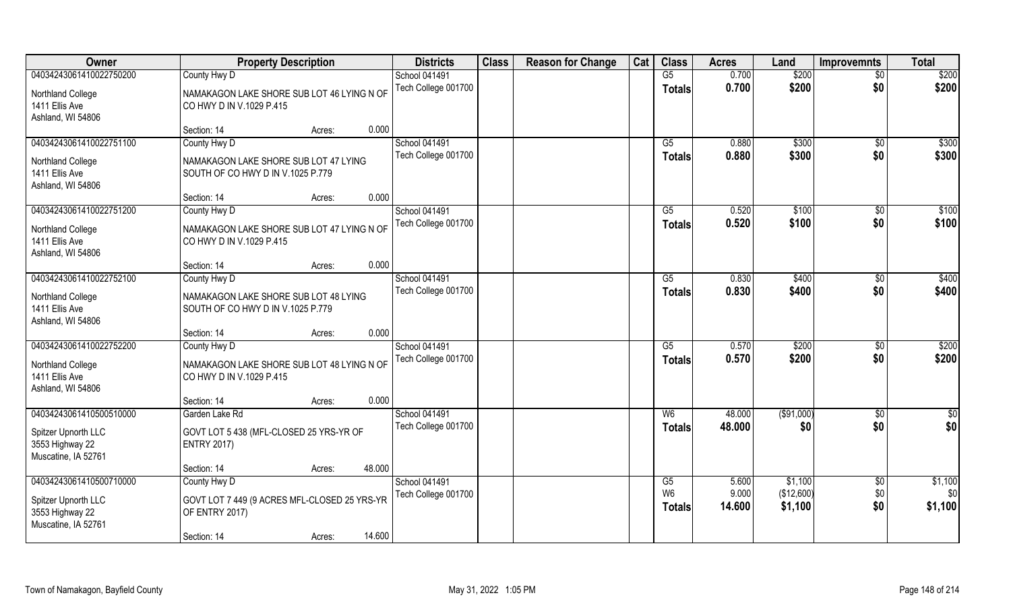| Owner                                  | <b>Property Description</b>                  | <b>Districts</b>     | <b>Class</b> | <b>Reason for Change</b> | Cat | <b>Class</b>   | <b>Acres</b> | Land        | <b>Improvemnts</b> | <b>Total</b>      |
|----------------------------------------|----------------------------------------------|----------------------|--------------|--------------------------|-----|----------------|--------------|-------------|--------------------|-------------------|
| 04034243061410022750200                | County Hwy D                                 | <b>School 041491</b> |              |                          |     | G5             | 0.700        | \$200       | $\overline{30}$    | \$200             |
| Northland College                      | NAMAKAGON LAKE SHORE SUB LOT 46 LYING N OF   | Tech College 001700  |              |                          |     | <b>Totals</b>  | 0.700        | \$200       | \$0                | \$200             |
| 1411 Ellis Ave                         | CO HWY D IN V.1029 P.415                     |                      |              |                          |     |                |              |             |                    |                   |
| Ashland, WI 54806                      |                                              |                      |              |                          |     |                |              |             |                    |                   |
|                                        | 0.000<br>Section: 14<br>Acres:               |                      |              |                          |     |                |              |             |                    |                   |
| 04034243061410022751100                | County Hwy D                                 | School 041491        |              |                          |     | G5             | 0.880        | \$300       | \$0                | \$300             |
| Northland College                      | NAMAKAGON LAKE SHORE SUB LOT 47 LYING        | Tech College 001700  |              |                          |     | <b>Totals</b>  | 0.880        | \$300       | \$0                | \$300             |
| 1411 Ellis Ave                         | SOUTH OF CO HWY D IN V.1025 P.779            |                      |              |                          |     |                |              |             |                    |                   |
| Ashland, WI 54806                      |                                              |                      |              |                          |     |                |              |             |                    |                   |
|                                        | 0.000<br>Section: 14<br>Acres:               |                      |              |                          |     |                |              |             |                    |                   |
| 04034243061410022751200                | County Hwy D                                 | <b>School 041491</b> |              |                          |     | G5             | 0.520        | \$100       | \$0                | \$100             |
| Northland College                      | NAMAKAGON LAKE SHORE SUB LOT 47 LYING N OF   | Tech College 001700  |              |                          |     | <b>Totals</b>  | 0.520        | \$100       | \$0                | \$100             |
| 1411 Ellis Ave                         | CO HWY D IN V.1029 P.415                     |                      |              |                          |     |                |              |             |                    |                   |
| Ashland, WI 54806                      |                                              |                      |              |                          |     |                |              |             |                    |                   |
|                                        | 0.000<br>Section: 14<br>Acres:               |                      |              |                          |     |                |              |             |                    |                   |
| 04034243061410022752100                | County Hwy D                                 | School 041491        |              |                          |     | G5             | 0.830        | \$400       | \$0                | \$400             |
| Northland College                      | NAMAKAGON LAKE SHORE SUB LOT 48 LYING        | Tech College 001700  |              |                          |     | <b>Totals</b>  | 0.830        | \$400       | \$0                | \$400             |
| 1411 Ellis Ave                         | SOUTH OF CO HWY D IN V.1025 P.779            |                      |              |                          |     |                |              |             |                    |                   |
| Ashland, WI 54806                      |                                              |                      |              |                          |     |                |              |             |                    |                   |
|                                        | 0.000<br>Section: 14<br>Acres:               |                      |              |                          |     |                |              |             |                    |                   |
| 04034243061410022752200                | County Hwy D                                 | School 041491        |              |                          |     | G5             | 0.570        | \$200       | \$0                | $\overline{$200}$ |
|                                        | NAMAKAGON LAKE SHORE SUB LOT 48 LYING N OF   | Tech College 001700  |              |                          |     | Totals         | 0.570        | \$200       | \$0                | \$200             |
| Northland College<br>1411 Ellis Ave    | CO HWY D IN V.1029 P.415                     |                      |              |                          |     |                |              |             |                    |                   |
| Ashland, WI 54806                      |                                              |                      |              |                          |     |                |              |             |                    |                   |
|                                        | 0.000<br>Section: 14<br>Acres:               |                      |              |                          |     |                |              |             |                    |                   |
| 04034243061410500510000                | Garden Lake Rd                               | School 041491        |              |                          |     | W <sub>6</sub> | 48.000       | ( \$91,000) | \$0                | \$0               |
|                                        |                                              | Tech College 001700  |              |                          |     | <b>Totals</b>  | 48.000       | \$0         | \$0                | \$0               |
| Spitzer Upnorth LLC                    | GOVT LOT 5 438 (MFL-CLOSED 25 YRS-YR OF      |                      |              |                          |     |                |              |             |                    |                   |
| 3553 Highway 22<br>Muscatine, IA 52761 | <b>ENTRY 2017)</b>                           |                      |              |                          |     |                |              |             |                    |                   |
|                                        | 48.000<br>Section: 14<br>Acres:              |                      |              |                          |     |                |              |             |                    |                   |
| 04034243061410500710000                | County Hwy D                                 | School 041491        |              |                          |     | G5             | 5.600        | \$1,100     | $\sqrt{$0}$        | \$1,100           |
|                                        |                                              | Tech College 001700  |              |                          |     | W <sub>6</sub> | 9.000        | (\$12,600)  | \$0                | \$0               |
| Spitzer Upnorth LLC                    | GOVT LOT 7 449 (9 ACRES MFL-CLOSED 25 YRS-YR |                      |              |                          |     | <b>Totals</b>  | 14.600       | \$1,100     | \$0                | \$1,100           |
| 3553 Highway 22                        | OF ENTRY 2017)                               |                      |              |                          |     |                |              |             |                    |                   |
| Muscatine, IA 52761                    | 14.600                                       |                      |              |                          |     |                |              |             |                    |                   |
|                                        | Section: 14<br>Acres:                        |                      |              |                          |     |                |              |             |                    |                   |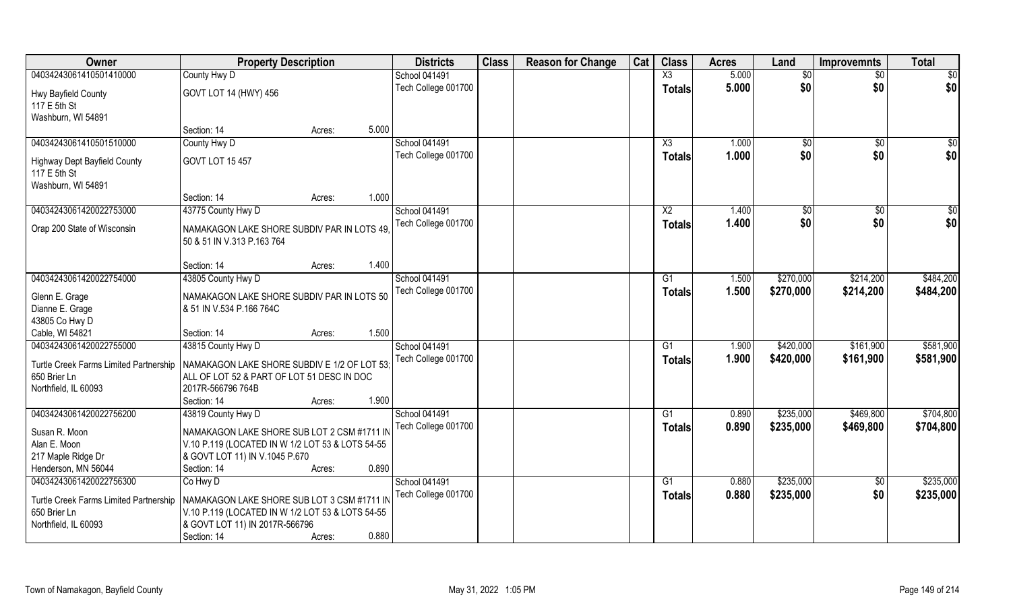| Owner                                                  | <b>Property Description</b>                                                               |        |       | <b>Districts</b>    | <b>Class</b> | <b>Reason for Change</b> | Cat | <b>Class</b>           | <b>Acres</b> | Land      | <b>Improvemnts</b> | <b>Total</b>    |
|--------------------------------------------------------|-------------------------------------------------------------------------------------------|--------|-------|---------------------|--------------|--------------------------|-----|------------------------|--------------|-----------|--------------------|-----------------|
| 04034243061410501410000                                | County Hwy D                                                                              |        |       | School 041491       |              |                          |     | $\overline{\text{X3}}$ | 5.000        | \$0       | $\overline{50}$    | $\overline{50}$ |
| Hwy Bayfield County<br>117 E 5th St                    | GOVT LOT 14 (HWY) 456                                                                     |        |       | Tech College 001700 |              |                          |     | <b>Totals</b>          | 5.000        | \$0       | \$0                | \$0             |
| Washburn, WI 54891                                     |                                                                                           |        |       |                     |              |                          |     |                        |              |           |                    |                 |
|                                                        | Section: 14                                                                               | Acres: | 5.000 |                     |              |                          |     |                        |              |           |                    |                 |
| 04034243061410501510000                                | County Hwy D                                                                              |        |       | School 041491       |              |                          |     | $\overline{\text{X3}}$ | 1.000        | \$0       | \$0                | $\sqrt{50}$     |
| <b>Highway Dept Bayfield County</b><br>117 E 5th St    | GOVT LOT 15 457                                                                           |        |       | Tech College 001700 |              |                          |     | <b>Totals</b>          | 1.000        | \$0       | \$0                | \$0             |
| Washburn, WI 54891                                     |                                                                                           |        |       |                     |              |                          |     |                        |              |           |                    |                 |
|                                                        | Section: 14                                                                               | Acres: | 1.000 |                     |              |                          |     |                        |              |           |                    |                 |
| 04034243061420022753000                                | 43775 County Hwy D                                                                        |        |       | School 041491       |              |                          |     | X2                     | 1.400        | \$0       | $\sqrt{6}$         | \$0             |
| Orap 200 State of Wisconsin                            | NAMAKAGON LAKE SHORE SUBDIV PAR IN LOTS 49.<br>50 & 51 IN V.313 P.163 764                 |        |       | Tech College 001700 |              |                          |     | <b>Totals</b>          | 1.400        | \$0       | \$0                | \$0             |
|                                                        | Section: 14                                                                               | Acres: | 1.400 |                     |              |                          |     |                        |              |           |                    |                 |
| 04034243061420022754000                                | 43805 County Hwy D                                                                        |        |       | School 041491       |              |                          |     | G1                     | 1.500        | \$270,000 | \$214,200          | \$484,200       |
|                                                        |                                                                                           |        |       | Tech College 001700 |              |                          |     | <b>Totals</b>          | 1.500        | \$270,000 | \$214,200          | \$484,200       |
| Glenn E. Grage<br>Dianne E. Grage                      | NAMAKAGON LAKE SHORE SUBDIV PAR IN LOTS 50<br>& 51 IN V.534 P.166 764C                    |        |       |                     |              |                          |     |                        |              |           |                    |                 |
| 43805 Co Hwy D                                         |                                                                                           |        |       |                     |              |                          |     |                        |              |           |                    |                 |
| Cable, WI 54821                                        | Section: 14                                                                               | Acres: | 1.500 |                     |              |                          |     |                        |              |           |                    |                 |
| 04034243061420022755000                                | 43815 County Hwy D                                                                        |        |       | School 041491       |              |                          |     | G1                     | 1.900        | \$420,000 | \$161,900          | \$581,900       |
|                                                        |                                                                                           |        |       | Tech College 001700 |              |                          |     | <b>Totals</b>          | 1.900        | \$420,000 | \$161,900          | \$581,900       |
| Turtle Creek Farms Limited Partnership<br>650 Brier Ln | NAMAKAGON LAKE SHORE SUBDIV E 1/2 OF LOT 53<br>ALL OF LOT 52 & PART OF LOT 51 DESC IN DOC |        |       |                     |              |                          |     |                        |              |           |                    |                 |
| Northfield, IL 60093                                   | 2017R-566796 764B                                                                         |        |       |                     |              |                          |     |                        |              |           |                    |                 |
|                                                        | Section: 14                                                                               | Acres: | 1.900 |                     |              |                          |     |                        |              |           |                    |                 |
| 04034243061420022756200                                | 43819 County Hwy D                                                                        |        |       | School 041491       |              |                          |     | $\overline{G1}$        | 0.890        | \$235,000 | \$469,800          | \$704,800       |
|                                                        |                                                                                           |        |       | Tech College 001700 |              |                          |     | <b>Totals</b>          | 0.890        | \$235,000 | \$469,800          | \$704,800       |
| Susan R. Moon                                          | NAMAKAGON LAKE SHORE SUB LOT 2 CSM #1711 IN                                               |        |       |                     |              |                          |     |                        |              |           |                    |                 |
| Alan E. Moon                                           | V.10 P.119 (LOCATED IN W 1/2 LOT 53 & LOTS 54-55                                          |        |       |                     |              |                          |     |                        |              |           |                    |                 |
| 217 Maple Ridge Dr                                     | & GOVT LOT 11) IN V.1045 P.670                                                            |        |       |                     |              |                          |     |                        |              |           |                    |                 |
| Henderson, MN 56044                                    | Section: 14                                                                               | Acres: | 0.890 |                     |              |                          |     |                        |              |           |                    |                 |
| 04034243061420022756300                                | Co Hwy D                                                                                  |        |       | School 041491       |              |                          |     | G <sub>1</sub>         | 0.880        | \$235,000 | $\frac{6}{3}$      | \$235,000       |
| Turtle Creek Farms Limited Partnership                 | NAMAKAGON LAKE SHORE SUB LOT 3 CSM #1711 IN                                               |        |       | Tech College 001700 |              |                          |     | <b>Totals</b>          | 0.880        | \$235,000 | \$0                | \$235,000       |
| 650 Brier Ln                                           | V.10 P.119 (LOCATED IN W 1/2 LOT 53 & LOTS 54-55                                          |        |       |                     |              |                          |     |                        |              |           |                    |                 |
| Northfield, IL 60093                                   | & GOVT LOT 11) IN 2017R-566796                                                            |        |       |                     |              |                          |     |                        |              |           |                    |                 |
|                                                        | Section: 14                                                                               | Acres: | 0.880 |                     |              |                          |     |                        |              |           |                    |                 |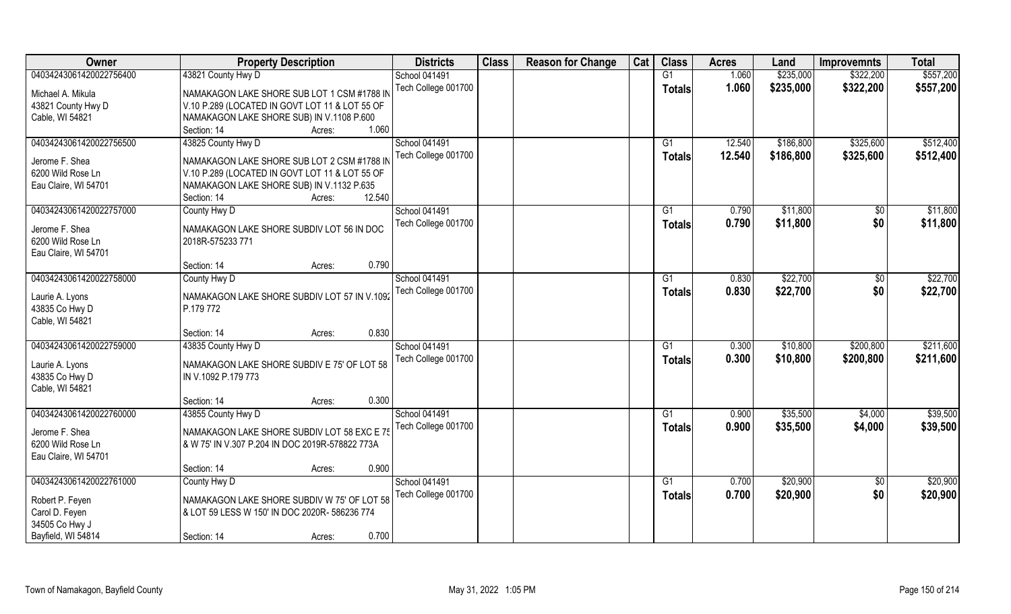| Owner                   | <b>Property Description</b>                     | <b>Districts</b>     | <b>Class</b> | <b>Reason for Change</b> | Cat | <b>Class</b>  | <b>Acres</b> | Land      | <b>Improvemnts</b> | <b>Total</b> |
|-------------------------|-------------------------------------------------|----------------------|--------------|--------------------------|-----|---------------|--------------|-----------|--------------------|--------------|
| 04034243061420022756400 | 43821 County Hwy D                              | School 041491        |              |                          |     | G1            | 1.060        | \$235,000 | \$322,200          | \$557,200    |
| Michael A. Mikula       | NAMAKAGON LAKE SHORE SUB LOT 1 CSM #1788 IN     | Tech College 001700  |              |                          |     | <b>Totals</b> | 1.060        | \$235,000 | \$322,200          | \$557,200    |
| 43821 County Hwy D      | V.10 P.289 (LOCATED IN GOVT LOT 11 & LOT 55 OF  |                      |              |                          |     |               |              |           |                    |              |
| Cable, WI 54821         | NAMAKAGON LAKE SHORE SUB) IN V.1108 P.600       |                      |              |                          |     |               |              |           |                    |              |
|                         | 1.060<br>Section: 14<br>Acres:                  |                      |              |                          |     |               |              |           |                    |              |
| 04034243061420022756500 | 43825 County Hwy D                              | <b>School 041491</b> |              |                          |     | G1            | 12.540       | \$186,800 | \$325,600          | \$512,400    |
|                         |                                                 | Tech College 001700  |              |                          |     | Totals        | 12.540       | \$186,800 | \$325,600          | \$512,400    |
| Jerome F. Shea          | NAMAKAGON LAKE SHORE SUB LOT 2 CSM #1788 IN     |                      |              |                          |     |               |              |           |                    |              |
| 6200 Wild Rose Ln       | V.10 P.289 (LOCATED IN GOVT LOT 11 & LOT 55 OF  |                      |              |                          |     |               |              |           |                    |              |
| Eau Claire, WI 54701    | NAMAKAGON LAKE SHORE SUB) IN V.1132 P.635       |                      |              |                          |     |               |              |           |                    |              |
|                         | 12.540<br>Section: 14<br>Acres:                 |                      |              |                          |     |               |              |           |                    |              |
| 04034243061420022757000 | County Hwy D                                    | School 041491        |              |                          |     | G1            | 0.790        | \$11,800  | $\sqrt[6]{3}$      | \$11,800     |
| Jerome F. Shea          | NAMAKAGON LAKE SHORE SUBDIV LOT 56 IN DOC       | Tech College 001700  |              |                          |     | <b>Totals</b> | 0.790        | \$11,800  | \$0                | \$11,800     |
| 6200 Wild Rose Ln       | 2018R-575233 771                                |                      |              |                          |     |               |              |           |                    |              |
| Eau Claire, WI 54701    |                                                 |                      |              |                          |     |               |              |           |                    |              |
|                         | 0.790<br>Section: 14<br>Acres:                  |                      |              |                          |     |               |              |           |                    |              |
| 04034243061420022758000 | County Hwy D                                    | School 041491        |              |                          |     | G1            | 0.830        | \$22,700  | \$0                | \$22,700     |
|                         |                                                 | Tech College 001700  |              |                          |     | <b>Totals</b> | 0.830        | \$22,700  | \$0                | \$22,700     |
| Laurie A. Lyons         | NAMAKAGON LAKE SHORE SUBDIV LOT 57 IN V.1092    |                      |              |                          |     |               |              |           |                    |              |
| 43835 Co Hwy D          | P.179 772                                       |                      |              |                          |     |               |              |           |                    |              |
| Cable, WI 54821         |                                                 |                      |              |                          |     |               |              |           |                    |              |
|                         | 0.830<br>Section: 14<br>Acres:                  |                      |              |                          |     |               |              |           |                    |              |
| 04034243061420022759000 | 43835 County Hwy D                              | School 041491        |              |                          |     | G1            | 0.300        | \$10,800  | \$200,800          | \$211,600    |
| Laurie A. Lyons         | NAMAKAGON LAKE SHORE SUBDIV E 75' OF LOT 58     | Tech College 001700  |              |                          |     | <b>Totals</b> | 0.300        | \$10,800  | \$200,800          | \$211,600    |
| 43835 Co Hwy D          | IN V.1092 P.179 773                             |                      |              |                          |     |               |              |           |                    |              |
| Cable, WI 54821         |                                                 |                      |              |                          |     |               |              |           |                    |              |
|                         | 0.300<br>Section: 14<br>Acres:                  |                      |              |                          |     |               |              |           |                    |              |
| 04034243061420022760000 | 43855 County Hwy D                              | School 041491        |              |                          |     | G1            | 0.900        | \$35,500  | \$4,000            | \$39,500     |
|                         |                                                 | Tech College 001700  |              |                          |     | <b>Totals</b> | 0.900        | \$35,500  | \$4,000            | \$39,500     |
| Jerome F. Shea          | NAMAKAGON LAKE SHORE SUBDIV LOT 58 EXC E 75     |                      |              |                          |     |               |              |           |                    |              |
| 6200 Wild Rose Ln       | & W 75' IN V.307 P.204 IN DOC 2019R-578822 773A |                      |              |                          |     |               |              |           |                    |              |
| Eau Claire, WI 54701    |                                                 |                      |              |                          |     |               |              |           |                    |              |
|                         | 0.900<br>Section: 14<br>Acres:                  |                      |              |                          |     |               |              |           |                    |              |
| 04034243061420022761000 | County Hwy D                                    | School 041491        |              |                          |     | G1            | 0.700        | \$20,900  | $\overline{50}$    | \$20,900     |
| Robert P. Feyen         | NAMAKAGON LAKE SHORE SUBDIV W 75' OF LOT 58     | Tech College 001700  |              |                          |     | Totals        | 0.700        | \$20,900  | \$0                | \$20,900     |
| Carol D. Feyen          | & LOT 59 LESS W 150' IN DOC 2020R- 586236 774   |                      |              |                          |     |               |              |           |                    |              |
| 34505 Co Hwy J          |                                                 |                      |              |                          |     |               |              |           |                    |              |
| Bayfield, WI 54814      | 0.700<br>Section: 14<br>Acres:                  |                      |              |                          |     |               |              |           |                    |              |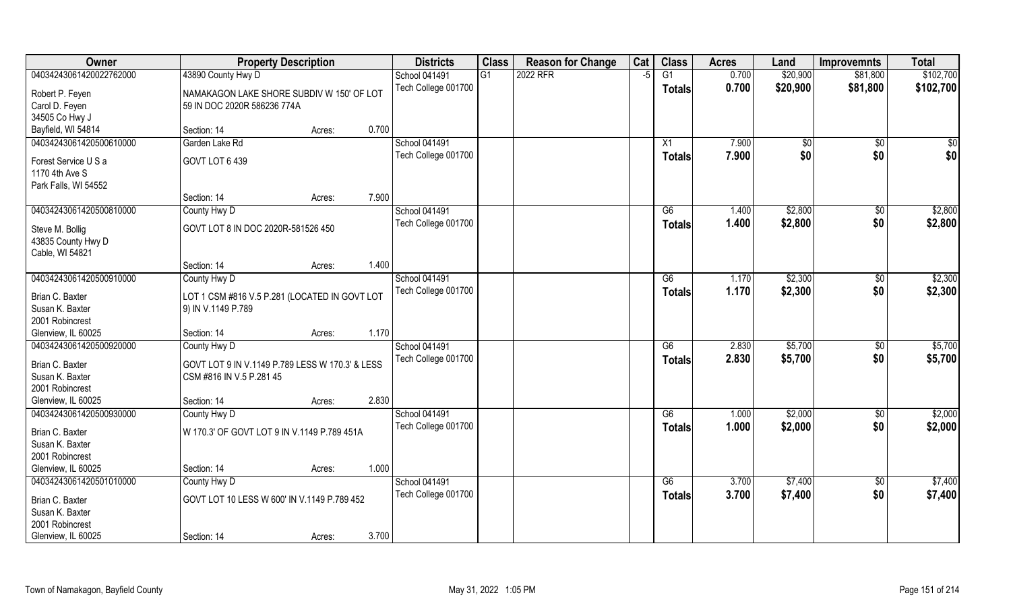| <b>Owner</b>                                                   |                                                                             | <b>Property Description</b> |       | <b>Districts</b>     | <b>Class</b> | <b>Reason for Change</b> | Cat  | <b>Class</b>    | <b>Acres</b> | Land         | <b>Improvemnts</b> | <b>Total</b> |
|----------------------------------------------------------------|-----------------------------------------------------------------------------|-----------------------------|-------|----------------------|--------------|--------------------------|------|-----------------|--------------|--------------|--------------------|--------------|
| 04034243061420022762000                                        | 43890 County Hwy D                                                          |                             |       | <b>School 041491</b> | G1           | 2022 RFR                 | $-5$ | G1              | 0.700        | \$20,900     | \$81,800           | \$102,700    |
| Robert P. Feyen<br>Carol D. Feyen                              | NAMAKAGON LAKE SHORE SUBDIV W 150' OF LOT<br>59 IN DOC 2020R 586236 774A    |                             |       | Tech College 001700  |              |                          |      | <b>Totals</b>   | 0.700        | \$20,900     | \$81,800           | \$102,700    |
| 34505 Co Hwy J                                                 |                                                                             |                             | 0.700 |                      |              |                          |      |                 |              |              |                    |              |
| Bayfield, WI 54814                                             | Section: 14                                                                 | Acres:                      |       |                      |              |                          |      |                 |              |              |                    |              |
| 04034243061420500610000                                        | Garden Lake Rd                                                              |                             |       | <b>School 041491</b> |              |                          |      | X1              | 7.900        | $\sqrt[6]{}$ | \$0                | \$0          |
| Forest Service U S a<br>1170 4th Ave S<br>Park Falls, WI 54552 | GOVT LOT 6 439                                                              |                             |       | Tech College 001700  |              |                          |      | <b>Totals</b>   | 7.900        | \$0          | \$0                | \$0          |
|                                                                | Section: 14                                                                 | Acres:                      | 7.900 |                      |              |                          |      |                 |              |              |                    |              |
| 04034243061420500810000                                        | County Hwy D                                                                |                             |       | School 041491        |              |                          |      | G6              | 1.400        | \$2,800      | $\sqrt[6]{30}$     | \$2,800      |
| Steve M. Bollig<br>43835 County Hwy D<br>Cable, WI 54821       | GOVT LOT 8 IN DOC 2020R-581526 450                                          |                             |       | Tech College 001700  |              |                          |      | <b>Totals</b>   | 1.400        | \$2,800      | \$0                | \$2,800      |
|                                                                | Section: 14                                                                 | Acres:                      | 1.400 |                      |              |                          |      |                 |              |              |                    |              |
| 04034243061420500910000                                        | County Hwy D                                                                |                             |       | School 041491        |              |                          |      | G6              | 1.170        | \$2,300      | \$0                | \$2,300      |
| Brian C. Baxter<br>Susan K. Baxter<br>2001 Robincrest          | LOT 1 CSM #816 V.5 P.281 (LOCATED IN GOVT LOT<br>9) IN V.1149 P.789         |                             |       | Tech College 001700  |              |                          |      | <b>Totals</b>   | 1.170        | \$2,300      | \$0                | \$2,300      |
| Glenview, IL 60025                                             | Section: 14                                                                 | Acres:                      | 1.170 |                      |              |                          |      |                 |              |              |                    |              |
| 04034243061420500920000                                        | County Hwy D                                                                |                             |       | <b>School 041491</b> |              |                          |      | $\overline{G6}$ | 2.830        | \$5,700      | $\sqrt[6]{30}$     | \$5,700      |
| Brian C. Baxter<br>Susan K. Baxter<br>2001 Robincrest          | GOVT LOT 9 IN V.1149 P.789 LESS W 170.3' & LESS<br>CSM #816 IN V.5 P.281 45 |                             |       | Tech College 001700  |              |                          |      | <b>Totals</b>   | 2.830        | \$5,700      | \$0                | \$5,700      |
| Glenview, IL 60025                                             | Section: 14                                                                 | Acres:                      | 2.830 |                      |              |                          |      |                 |              |              |                    |              |
| 04034243061420500930000                                        | County Hwy D                                                                |                             |       | School 041491        |              |                          |      | G6              | 1.000        | \$2,000      | \$0                | \$2,000      |
| Brian C. Baxter<br>Susan K. Baxter<br>2001 Robincrest          | W 170.3' OF GOVT LOT 9 IN V.1149 P.789 451A                                 |                             |       | Tech College 001700  |              |                          |      | <b>Totals</b>   | 1.000        | \$2,000      | \$0                | \$2,000      |
| Glenview, IL 60025                                             | Section: 14                                                                 | Acres:                      | 1.000 |                      |              |                          |      |                 |              |              |                    |              |
| 04034243061420501010000                                        | County Hwy D                                                                |                             |       | <b>School 041491</b> |              |                          |      | G6              | 3.700        | \$7,400      | $\overline{50}$    | \$7,400      |
| Brian C. Baxter<br>Susan K. Baxter<br>2001 Robincrest          | GOVT LOT 10 LESS W 600' IN V.1149 P.789 452                                 |                             |       | Tech College 001700  |              |                          |      | <b>Totals</b>   | 3.700        | \$7,400      | \$0                | \$7,400      |
| Glenview, IL 60025                                             | Section: 14                                                                 | Acres:                      | 3.700 |                      |              |                          |      |                 |              |              |                    |              |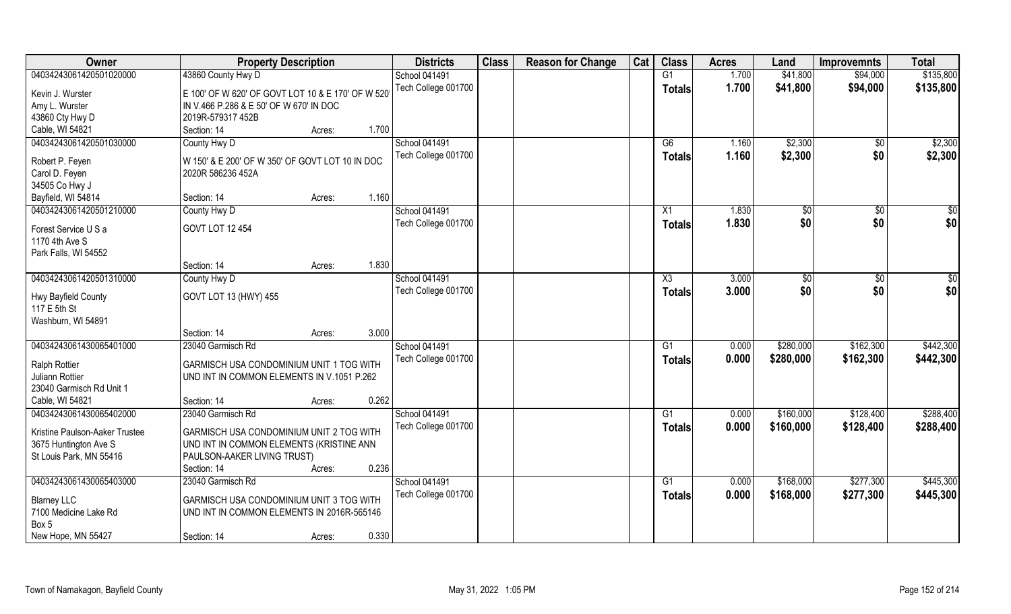| Owner                                       | <b>Property Description</b>                       | <b>Districts</b>                     | <b>Class</b> | <b>Reason for Change</b> | Cat | <b>Class</b>    | <b>Acres</b>   | Land               | <b>Improvemnts</b> | <b>Total</b>       |
|---------------------------------------------|---------------------------------------------------|--------------------------------------|--------------|--------------------------|-----|-----------------|----------------|--------------------|--------------------|--------------------|
| 04034243061420501020000                     | 43860 County Hwy D                                | <b>School 041491</b>                 |              |                          |     | G1              | 1.700          | \$41,800           | \$94,000           | \$135,800          |
| Kevin J. Wurster                            | E 100' OF W 620' OF GOVT LOT 10 & E 170' OF W 520 | Tech College 001700                  |              |                          |     | <b>Totals</b>   | 1.700          | \$41,800           | \$94,000           | \$135,800          |
| Amy L. Wurster                              | IN V.466 P.286 & E 50' OF W 670' IN DOC           |                                      |              |                          |     |                 |                |                    |                    |                    |
| 43860 Cty Hwy D                             | 2019R-579317 452B                                 |                                      |              |                          |     |                 |                |                    |                    |                    |
| Cable, WI 54821                             | Section: 14<br>Acres:                             | 1.700                                |              |                          |     |                 |                |                    |                    |                    |
| 04034243061420501030000                     | County Hwy D                                      | School 041491<br>Tech College 001700 |              |                          |     | G6              | 1.160<br>1.160 | \$2,300<br>\$2,300 | \$0<br>\$0         | \$2,300<br>\$2,300 |
| Robert P. Feyen                             | W 150' & E 200' OF W 350' OF GOVT LOT 10 IN DOC   |                                      |              |                          |     | Totals          |                |                    |                    |                    |
| Carol D. Feyen                              | 2020R 586236 452A                                 |                                      |              |                          |     |                 |                |                    |                    |                    |
| 34505 Co Hwy J                              |                                                   |                                      |              |                          |     |                 |                |                    |                    |                    |
| Bayfield, WI 54814                          | Section: 14<br>Acres:                             | 1.160                                |              |                          |     |                 |                |                    |                    |                    |
| 04034243061420501210000                     | County Hwy D                                      | <b>School 041491</b>                 |              |                          |     | X1              | 1.830          | \$0                | $\sqrt[6]{30}$     | \$0                |
| Forest Service U S a<br>1170 4th Ave S      | GOVT LOT 12 454                                   | Tech College 001700                  |              |                          |     | <b>Totals</b>   | 1.830          | \$0                | \$0                | \$0                |
| Park Falls, WI 54552                        |                                                   |                                      |              |                          |     |                 |                |                    |                    |                    |
|                                             | Section: 14<br>Acres:                             | 1.830                                |              |                          |     |                 |                |                    |                    |                    |
| 04034243061420501310000                     | County Hwy D                                      | <b>School 041491</b>                 |              |                          |     | X3              | 3.000          | $\sqrt[6]{3}$      | $\sqrt[6]{3}$      | \$0                |
|                                             |                                                   | Tech College 001700                  |              |                          |     |                 |                |                    |                    |                    |
| Hwy Bayfield County                         | GOVT LOT 13 (HWY) 455                             |                                      |              |                          |     | <b>Totals</b>   | 3.000          | \$0                | \$0                | \$0                |
| 117 E 5th St                                |                                                   |                                      |              |                          |     |                 |                |                    |                    |                    |
| Washburn, WI 54891                          |                                                   |                                      |              |                          |     |                 |                |                    |                    |                    |
|                                             | Section: 14<br>Acres:                             | 3.000                                |              |                          |     |                 |                |                    |                    |                    |
| 04034243061430065401000                     | 23040 Garmisch Rd                                 | School 041491                        |              |                          |     | G1              | 0.000          | \$280,000          | \$162,300          | \$442,300          |
| <b>Ralph Rottier</b>                        | GARMISCH USA CONDOMINIUM UNIT 1 TOG WITH          | Tech College 001700                  |              |                          |     | <b>Totals</b>   | 0.000          | \$280,000          | \$162,300          | \$442,300          |
| Juliann Rottier                             | UND INT IN COMMON ELEMENTS IN V.1051 P.262        |                                      |              |                          |     |                 |                |                    |                    |                    |
| 23040 Garmisch Rd Unit 1                    |                                                   |                                      |              |                          |     |                 |                |                    |                    |                    |
| Cable, WI 54821                             | Section: 14                                       | 0.262                                |              |                          |     |                 |                |                    |                    |                    |
| 04034243061430065402000                     | Acres:<br>23040 Garmisch Rd                       | <b>School 041491</b>                 |              |                          |     | G1              | 0.000          | \$160,000          |                    | \$288,400          |
|                                             |                                                   |                                      |              |                          |     |                 |                |                    | \$128,400          |                    |
| Kristine Paulson-Aaker Trustee              | GARMISCH USA CONDOMINIUM UNIT 2 TOG WITH          | Tech College 001700                  |              |                          |     | <b>Totals</b>   | 0.000          | \$160,000          | \$128,400          | \$288,400          |
| 3675 Huntington Ave S                       | UND INT IN COMMON ELEMENTS (KRISTINE ANN          |                                      |              |                          |     |                 |                |                    |                    |                    |
| St Louis Park, MN 55416                     | PAULSON-AAKER LIVING TRUST)                       |                                      |              |                          |     |                 |                |                    |                    |                    |
|                                             | Section: 14<br>Acres:                             | 0.236                                |              |                          |     |                 |                |                    |                    |                    |
| 04034243061430065403000                     | 23040 Garmisch Rd                                 | School 041491                        |              |                          |     | $\overline{G1}$ | 0.000          | \$168,000          | \$277,300          | \$445,300          |
|                                             |                                                   | Tech College 001700                  |              |                          |     | <b>Totals</b>   | 0.000          | \$168,000          | \$277,300          | \$445,300          |
| <b>Blarney LLC</b><br>7100 Medicine Lake Rd | GARMISCH USA CONDOMINIUM UNIT 3 TOG WITH          |                                      |              |                          |     |                 |                |                    |                    |                    |
| Box 5                                       | UND INT IN COMMON ELEMENTS IN 2016R-565146        |                                      |              |                          |     |                 |                |                    |                    |                    |
|                                             |                                                   |                                      |              |                          |     |                 |                |                    |                    |                    |
| New Hope, MN 55427                          | Section: 14<br>Acres:                             | 0.330                                |              |                          |     |                 |                |                    |                    |                    |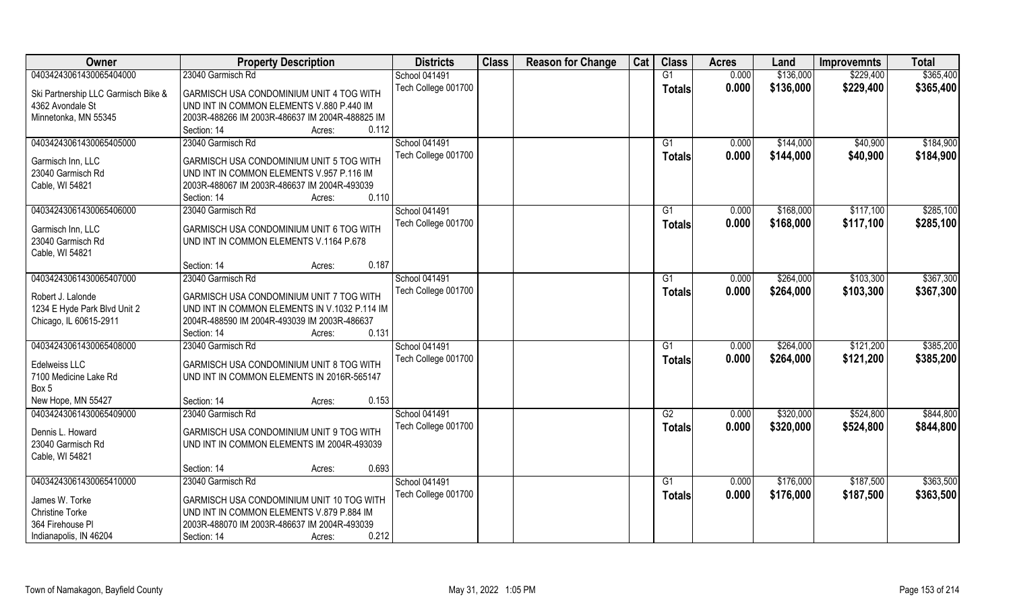| Owner                               | <b>Property Description</b>                                                                   | <b>Districts</b>                     | <b>Class</b> | <b>Reason for Change</b> | Cat | <b>Class</b>    | <b>Acres</b> | Land      | <b>Improvemnts</b> | <b>Total</b> |
|-------------------------------------|-----------------------------------------------------------------------------------------------|--------------------------------------|--------------|--------------------------|-----|-----------------|--------------|-----------|--------------------|--------------|
| 04034243061430065404000             | 23040 Garmisch Rd                                                                             | School 041491                        |              |                          |     | G1              | 0.000        | \$136,000 | \$229,400          | \$365,400    |
| Ski Partnership LLC Garmisch Bike & | GARMISCH USA CONDOMINIUM UNIT 4 TOG WITH                                                      | Tech College 001700                  |              |                          |     | <b>Totals</b>   | 0.000        | \$136,000 | \$229,400          | \$365,400    |
| 4362 Avondale St                    | UND INT IN COMMON ELEMENTS V.880 P.440 IM                                                     |                                      |              |                          |     |                 |              |           |                    |              |
| Minnetonka, MN 55345                | 2003R-488266 IM 2003R-486637 IM 2004R-488825 IM                                               |                                      |              |                          |     |                 |              |           |                    |              |
|                                     | 0.112<br>Section: 14<br>Acres:                                                                |                                      |              |                          |     |                 |              |           |                    |              |
| 04034243061430065405000             | 23040 Garmisch Rd                                                                             | School 041491                        |              |                          |     | G <sub>1</sub>  | 0.000        | \$144,000 | \$40,900           | \$184,900    |
|                                     |                                                                                               | Tech College 001700                  |              |                          |     | Totals          | 0.000        | \$144,000 | \$40,900           | \$184,900    |
| Garmisch Inn, LLC                   | GARMISCH USA CONDOMINIUM UNIT 5 TOG WITH                                                      |                                      |              |                          |     |                 |              |           |                    |              |
| 23040 Garmisch Rd                   | UND INT IN COMMON ELEMENTS V.957 P.116 IM                                                     |                                      |              |                          |     |                 |              |           |                    |              |
| Cable, WI 54821                     | 2003R-488067 IM 2003R-486637 IM 2004R-493039                                                  |                                      |              |                          |     |                 |              |           |                    |              |
|                                     | 0.110<br>Section: 14<br>Acres:                                                                |                                      |              |                          |     |                 |              |           |                    |              |
| 04034243061430065406000             | 23040 Garmisch Rd                                                                             | School 041491                        |              |                          |     | G1              | 0.000        | \$168,000 | \$117,100          | \$285,100    |
| Garmisch Inn, LLC                   | GARMISCH USA CONDOMINIUM UNIT 6 TOG WITH                                                      | Tech College 001700                  |              |                          |     | <b>Totals</b>   | 0.000        | \$168,000 | \$117,100          | \$285,100    |
| 23040 Garmisch Rd                   | UND INT IN COMMON ELEMENTS V.1164 P.678                                                       |                                      |              |                          |     |                 |              |           |                    |              |
| Cable, WI 54821                     |                                                                                               |                                      |              |                          |     |                 |              |           |                    |              |
|                                     | 0.187<br>Section: 14<br>Acres:                                                                |                                      |              |                          |     |                 |              |           |                    |              |
| 04034243061430065407000             | 23040 Garmisch Rd                                                                             | School 041491                        |              |                          |     | G1              | 0.000        | \$264,000 | \$103,300          | \$367,300    |
|                                     |                                                                                               | Tech College 001700                  |              |                          |     | <b>Totals</b>   | 0.000        | \$264,000 | \$103,300          | \$367,300    |
| Robert J. Lalonde                   | GARMISCH USA CONDOMINIUM UNIT 7 TOG WITH                                                      |                                      |              |                          |     |                 |              |           |                    |              |
| 1234 E Hyde Park Blvd Unit 2        | UND INT IN COMMON ELEMENTS IN V.1032 P.114 IM<br>2004R-488590 IM 2004R-493039 IM 2003R-486637 |                                      |              |                          |     |                 |              |           |                    |              |
| Chicago, IL 60615-2911              | 0.131<br>Section: 14                                                                          |                                      |              |                          |     |                 |              |           |                    |              |
| 04034243061430065408000             | Acres:<br>23040 Garmisch Rd                                                                   |                                      |              |                          |     | G1              | 0.000        | \$264,000 | \$121,200          | \$385,200    |
|                                     |                                                                                               | School 041491<br>Tech College 001700 |              |                          |     |                 | 0.000        |           |                    |              |
| Edelweiss LLC                       | GARMISCH USA CONDOMINIUM UNIT 8 TOG WITH                                                      |                                      |              |                          |     | <b>Totals</b>   |              | \$264,000 | \$121,200          | \$385,200    |
| 7100 Medicine Lake Rd               | UND INT IN COMMON ELEMENTS IN 2016R-565147                                                    |                                      |              |                          |     |                 |              |           |                    |              |
| Box 5                               |                                                                                               |                                      |              |                          |     |                 |              |           |                    |              |
| New Hope, MN 55427                  | 0.153<br>Section: 14<br>Acres:                                                                |                                      |              |                          |     |                 |              |           |                    |              |
| 04034243061430065409000             | 23040 Garmisch Rd                                                                             | School 041491                        |              |                          |     | G2              | 0.000        | \$320,000 | \$524,800          | \$844,800    |
| Dennis L. Howard                    | GARMISCH USA CONDOMINIUM UNIT 9 TOG WITH                                                      | Tech College 001700                  |              |                          |     | <b>Totals</b>   | 0.000        | \$320,000 | \$524,800          | \$844,800    |
| 23040 Garmisch Rd                   | UND INT IN COMMON ELEMENTS IM 2004R-493039                                                    |                                      |              |                          |     |                 |              |           |                    |              |
| Cable, WI 54821                     |                                                                                               |                                      |              |                          |     |                 |              |           |                    |              |
|                                     | 0.693<br>Section: 14<br>Acres:                                                                |                                      |              |                          |     |                 |              |           |                    |              |
| 04034243061430065410000             | 23040 Garmisch Rd                                                                             | School 041491                        |              |                          |     | $\overline{G1}$ | 0.000        | \$176,000 | \$187,500          | \$363,500    |
|                                     |                                                                                               | Tech College 001700                  |              |                          |     | <b>Totals</b>   | 0.000        | \$176,000 | \$187,500          | \$363,500    |
| James W. Torke                      | GARMISCH USA CONDOMINIUM UNIT 10 TOG WITH                                                     |                                      |              |                          |     |                 |              |           |                    |              |
| <b>Christine Torke</b>              | UND INT IN COMMON ELEMENTS V.879 P.884 IM                                                     |                                      |              |                          |     |                 |              |           |                    |              |
| 364 Firehouse Pl                    | 2003R-488070 IM 2003R-486637 IM 2004R-493039                                                  |                                      |              |                          |     |                 |              |           |                    |              |
| Indianapolis, IN 46204              | 0.212<br>Section: 14<br>Acres:                                                                |                                      |              |                          |     |                 |              |           |                    |              |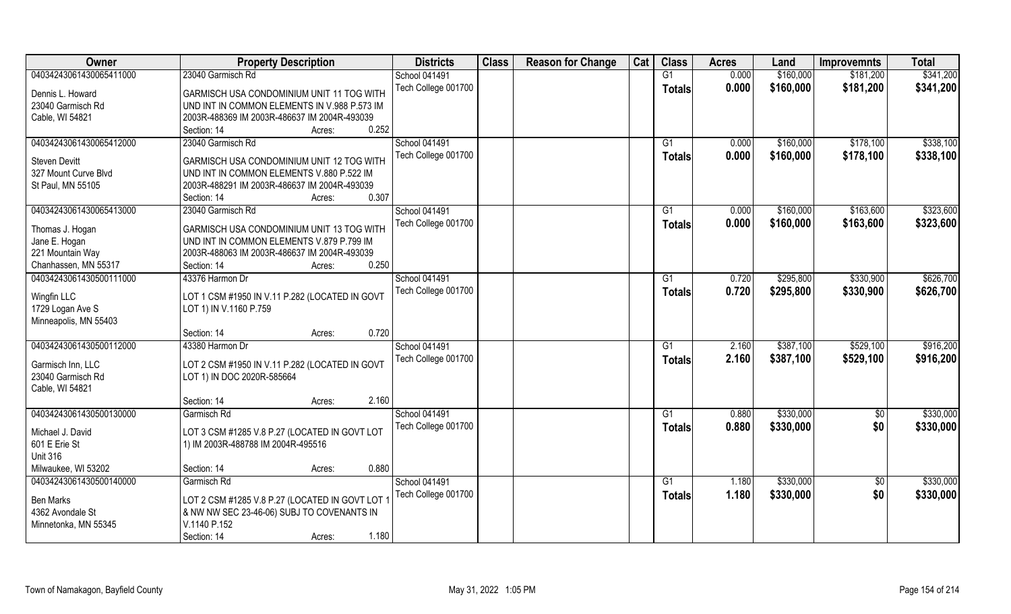| Owner                   | <b>Property Description</b>                    | <b>Districts</b>     | <b>Class</b> | <b>Reason for Change</b> | Cat | <b>Class</b>  | <b>Acres</b> | Land      | <b>Improvemnts</b> | <b>Total</b> |
|-------------------------|------------------------------------------------|----------------------|--------------|--------------------------|-----|---------------|--------------|-----------|--------------------|--------------|
| 04034243061430065411000 | 23040 Garmisch Rd                              | School 041491        |              |                          |     | G1            | 0.000        | \$160,000 | \$181,200          | \$341,200    |
| Dennis L. Howard        | GARMISCH USA CONDOMINIUM UNIT 11 TOG WITH      | Tech College 001700  |              |                          |     | <b>Totals</b> | 0.000        | \$160,000 | \$181,200          | \$341,200    |
| 23040 Garmisch Rd       | UND INT IN COMMON ELEMENTS IN V.988 P.573 IM   |                      |              |                          |     |               |              |           |                    |              |
| Cable, WI 54821         | 2003R-488369 IM 2003R-486637 IM 2004R-493039   |                      |              |                          |     |               |              |           |                    |              |
|                         | 0.252<br>Section: 14<br>Acres:                 |                      |              |                          |     |               |              |           |                    |              |
| 04034243061430065412000 | 23040 Garmisch Rd                              | <b>School 041491</b> |              |                          |     | G1            | 0.000        | \$160,000 | \$178,100          | \$338,100    |
|                         |                                                | Tech College 001700  |              |                          |     | Totals        | 0.000        | \$160,000 | \$178,100          | \$338,100    |
| <b>Steven Devitt</b>    | GARMISCH USA CONDOMINIUM UNIT 12 TOG WITH      |                      |              |                          |     |               |              |           |                    |              |
| 327 Mount Curve Blvd    | UND INT IN COMMON ELEMENTS V.880 P.522 IM      |                      |              |                          |     |               |              |           |                    |              |
| St Paul, MN 55105       | 2003R-488291 IM 2003R-486637 IM 2004R-493039   |                      |              |                          |     |               |              |           |                    |              |
|                         | 0.307<br>Section: 14<br>Acres:                 |                      |              |                          |     |               |              |           |                    |              |
| 04034243061430065413000 | 23040 Garmisch Rd                              | School 041491        |              |                          |     | G1            | 0.000        | \$160,000 | \$163,600          | \$323,600    |
| Thomas J. Hogan         | GARMISCH USA CONDOMINIUM UNIT 13 TOG WITH      | Tech College 001700  |              |                          |     | <b>Totals</b> | 0.000        | \$160,000 | \$163,600          | \$323,600    |
| Jane E. Hogan           | UND INT IN COMMON ELEMENTS V.879 P.799 IM      |                      |              |                          |     |               |              |           |                    |              |
| 221 Mountain Way        | 2003R-488063 IM 2003R-486637 IM 2004R-493039   |                      |              |                          |     |               |              |           |                    |              |
| Chanhassen, MN 55317    | 0.250<br>Section: 14<br>Acres:                 |                      |              |                          |     |               |              |           |                    |              |
| 04034243061430500111000 | 43376 Harmon Dr                                | School 041491        |              |                          |     | G1            | 0.720        | \$295,800 | \$330,900          | \$626,700    |
|                         |                                                | Tech College 001700  |              |                          |     | <b>Totals</b> | 0.720        | \$295,800 | \$330,900          | \$626,700    |
| Wingfin LLC             | LOT 1 CSM #1950 IN V.11 P.282 (LOCATED IN GOVT |                      |              |                          |     |               |              |           |                    |              |
| 1729 Logan Ave S        | LOT 1) IN V.1160 P.759                         |                      |              |                          |     |               |              |           |                    |              |
| Minneapolis, MN 55403   |                                                |                      |              |                          |     |               |              |           |                    |              |
|                         | 0.720<br>Section: 14<br>Acres:                 |                      |              |                          |     |               |              |           |                    |              |
| 04034243061430500112000 | 43380 Harmon Dr                                | School 041491        |              |                          |     | G1            | 2.160        | \$387,100 | \$529,100          | \$916,200    |
| Garmisch Inn, LLC       | LOT 2 CSM #1950 IN V.11 P.282 (LOCATED IN GOVT | Tech College 001700  |              |                          |     | <b>Totals</b> | 2.160        | \$387,100 | \$529,100          | \$916,200    |
| 23040 Garmisch Rd       | LOT 1) IN DOC 2020R-585664                     |                      |              |                          |     |               |              |           |                    |              |
| Cable, WI 54821         |                                                |                      |              |                          |     |               |              |           |                    |              |
|                         | 2.160<br>Section: 14<br>Acres:                 |                      |              |                          |     |               |              |           |                    |              |
| 04034243061430500130000 | Garmisch Rd                                    | School 041491        |              |                          |     | G1            | 0.880        | \$330,000 | $\overline{50}$    | \$330,000    |
|                         |                                                | Tech College 001700  |              |                          |     | <b>Totals</b> | 0.880        | \$330,000 | \$0                | \$330,000    |
| Michael J. David        | LOT 3 CSM #1285 V.8 P.27 (LOCATED IN GOVT LOT  |                      |              |                          |     |               |              |           |                    |              |
| 601 E Erie St           | 1) IM 2003R-488788 IM 2004R-495516             |                      |              |                          |     |               |              |           |                    |              |
| <b>Unit 316</b>         |                                                |                      |              |                          |     |               |              |           |                    |              |
| Milwaukee, WI 53202     | 0.880<br>Section: 14<br>Acres:                 |                      |              |                          |     |               |              |           |                    |              |
| 04034243061430500140000 | Garmisch Rd                                    | School 041491        |              |                          |     | G1            | 1.180        | \$330,000 | $\overline{50}$    | \$330,000    |
| <b>Ben Marks</b>        | LOT 2 CSM #1285 V.8 P.27 (LOCATED IN GOVT LOT  | Tech College 001700  |              |                          |     | Totals        | 1.180        | \$330,000 | \$0                | \$330,000    |
| 4362 Avondale St        | & NW NW SEC 23-46-06) SUBJ TO COVENANTS IN     |                      |              |                          |     |               |              |           |                    |              |
| Minnetonka, MN 55345    | V.1140 P.152                                   |                      |              |                          |     |               |              |           |                    |              |
|                         | 1.180<br>Section: 14<br>Acres:                 |                      |              |                          |     |               |              |           |                    |              |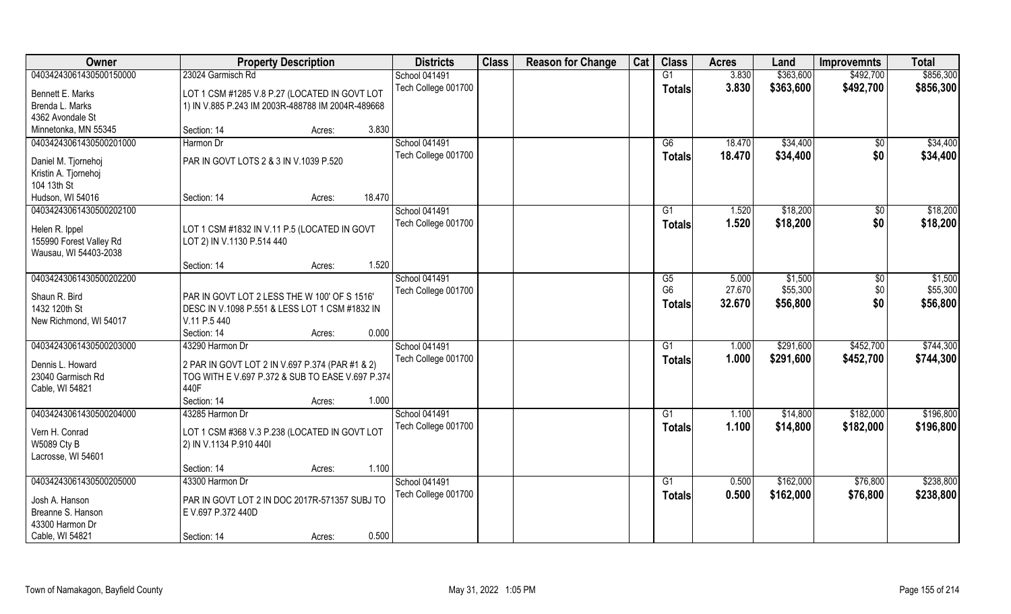| Owner                                 | <b>Property Description</b>                                                                         | <b>Districts</b>     | <b>Class</b> | <b>Reason for Change</b> | Cat | <b>Class</b>    | <b>Acres</b> | Land      | <b>Improvemnts</b> | <b>Total</b> |
|---------------------------------------|-----------------------------------------------------------------------------------------------------|----------------------|--------------|--------------------------|-----|-----------------|--------------|-----------|--------------------|--------------|
| 04034243061430500150000               | 23024 Garmisch Rd                                                                                   | School 041491        |              |                          |     | $\overline{G1}$ | 3.830        | \$363,600 | \$492,700          | \$856,300    |
| Bennett E. Marks                      | LOT 1 CSM #1285 V.8 P.27 (LOCATED IN GOVT LOT                                                       | Tech College 001700  |              |                          |     | <b>Totals</b>   | 3.830        | \$363,600 | \$492,700          | \$856,300    |
| Brenda L. Marks                       | 1) IN V.885 P.243 IM 2003R-488788 IM 2004R-489668                                                   |                      |              |                          |     |                 |              |           |                    |              |
| 4362 Avondale St                      |                                                                                                     |                      |              |                          |     |                 |              |           |                    |              |
| Minnetonka, MN 55345                  | 3.830<br>Section: 14<br>Acres:                                                                      |                      |              |                          |     |                 |              |           |                    |              |
| 04034243061430500201000               | Harmon Dr                                                                                           | <b>School 041491</b> |              |                          |     | G6              | 18.470       | \$34,400  | \$0                | \$34,400     |
| Daniel M. Tjornehoj                   | PAR IN GOVT LOTS 2 & 3 IN V.1039 P.520                                                              | Tech College 001700  |              |                          |     | <b>Totals</b>   | 18.470       | \$34,400  | \$0                | \$34,400     |
| Kristin A. Tjornehoj                  |                                                                                                     |                      |              |                          |     |                 |              |           |                    |              |
| 104 13th St                           |                                                                                                     |                      |              |                          |     |                 |              |           |                    |              |
| Hudson, WI 54016                      | 18.470<br>Section: 14<br>Acres:                                                                     |                      |              |                          |     |                 |              |           |                    |              |
| 04034243061430500202100               |                                                                                                     | School 041491        |              |                          |     | G1              | 1.520        | \$18,200  | $\sqrt[6]{30}$     | \$18,200     |
| Helen R. Ippel                        | LOT 1 CSM #1832 IN V.11 P.5 (LOCATED IN GOVT                                                        | Tech College 001700  |              |                          |     | <b>Totals</b>   | 1.520        | \$18,200  | \$0                | \$18,200     |
| 155990 Forest Valley Rd               | LOT 2) IN V.1130 P.514 440                                                                          |                      |              |                          |     |                 |              |           |                    |              |
| Wausau, WI 54403-2038                 |                                                                                                     |                      |              |                          |     |                 |              |           |                    |              |
|                                       | 1.520<br>Section: 14<br>Acres:                                                                      |                      |              |                          |     |                 |              |           |                    |              |
| 04034243061430500202200               |                                                                                                     | <b>School 041491</b> |              |                          |     | G5              | 5.000        | \$1,500   | \$0                | \$1,500      |
| Shaun R. Bird                         | PAR IN GOVT LOT 2 LESS THE W 100' OF S 1516'                                                        | Tech College 001700  |              |                          |     | G <sub>6</sub>  | 27.670       | \$55,300  | \$0                | \$55,300     |
| 1432 120th St                         | DESC IN V.1098 P.551 & LESS LOT 1 CSM #1832 IN                                                      |                      |              |                          |     | <b>Totals</b>   | 32.670       | \$56,800  | \$0                | \$56,800     |
| New Richmond, WI 54017                | V.11 P.5 440                                                                                        |                      |              |                          |     |                 |              |           |                    |              |
|                                       | 0.000<br>Section: 14<br>Acres:                                                                      |                      |              |                          |     |                 |              |           |                    |              |
| 04034243061430500203000               | 43290 Harmon Dr                                                                                     | School 041491        |              |                          |     | G1              | 1.000        | \$291,600 | \$452,700          | \$744,300    |
|                                       |                                                                                                     | Tech College 001700  |              |                          |     | Totals          | 1.000        | \$291,600 | \$452,700          | \$744,300    |
| Dennis L. Howard<br>23040 Garmisch Rd | 2 PAR IN GOVT LOT 2 IN V.697 P.374 (PAR #1 & 2)<br>TOG WITH E V.697 P.372 & SUB TO EASE V.697 P.374 |                      |              |                          |     |                 |              |           |                    |              |
| Cable, WI 54821                       | 440F                                                                                                |                      |              |                          |     |                 |              |           |                    |              |
|                                       | 1.000<br>Section: 14<br>Acres:                                                                      |                      |              |                          |     |                 |              |           |                    |              |
| 04034243061430500204000               | 43285 Harmon Dr                                                                                     | School 041491        |              |                          |     | G1              | 1.100        | \$14,800  | \$182,000          | \$196,800    |
|                                       |                                                                                                     | Tech College 001700  |              |                          |     | <b>Totals</b>   | 1.100        | \$14,800  | \$182,000          | \$196,800    |
| Vern H. Conrad<br>W5089 Cty B         | LOT 1 CSM #368 V.3 P.238 (LOCATED IN GOVT LOT<br>2) IN V.1134 P.910 440I                            |                      |              |                          |     |                 |              |           |                    |              |
| Lacrosse, WI 54601                    |                                                                                                     |                      |              |                          |     |                 |              |           |                    |              |
|                                       | 1.100<br>Section: 14<br>Acres:                                                                      |                      |              |                          |     |                 |              |           |                    |              |
| 04034243061430500205000               | 43300 Harmon Dr                                                                                     | School 041491        |              |                          |     | G1              | 0.500        | \$162,000 | \$76,800           | \$238,800    |
|                                       |                                                                                                     | Tech College 001700  |              |                          |     | <b>Totals</b>   | 0.500        | \$162,000 | \$76,800           | \$238,800    |
| Josh A. Hanson<br>Breanne S. Hanson   | PAR IN GOVT LOT 2 IN DOC 2017R-571357 SUBJ TO                                                       |                      |              |                          |     |                 |              |           |                    |              |
| 43300 Harmon Dr                       | E V.697 P.372 440D                                                                                  |                      |              |                          |     |                 |              |           |                    |              |
| Cable, WI 54821                       | 0.500<br>Section: 14<br>Acres:                                                                      |                      |              |                          |     |                 |              |           |                    |              |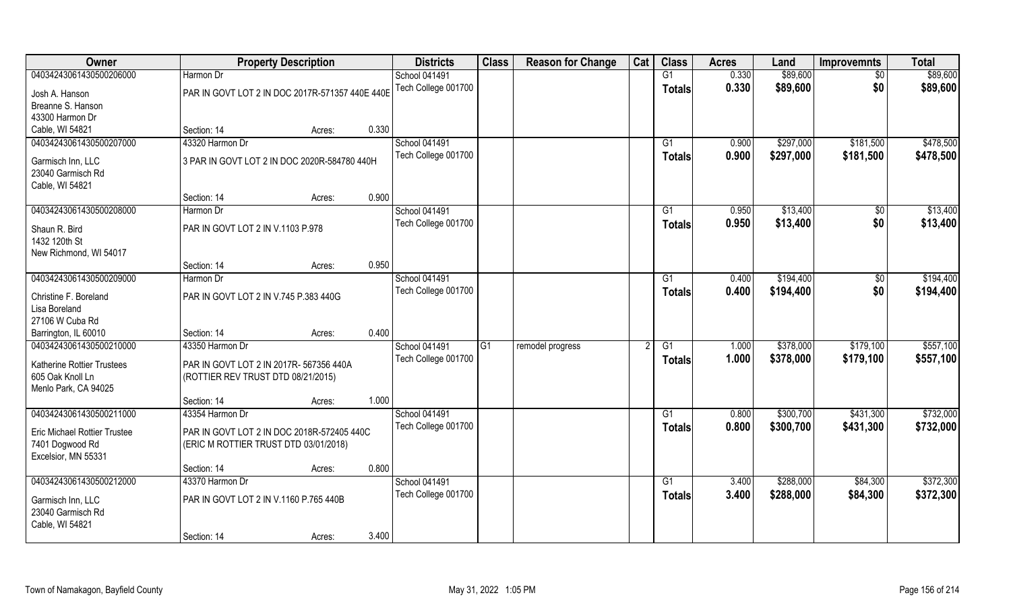| Owner                                  | <b>Property Description</b>                     |        | <b>Districts</b>     | <b>Class</b> | <b>Reason for Change</b> | Cat | <b>Class</b>    | <b>Acres</b> | Land      | <b>Improvemnts</b> | <b>Total</b> |
|----------------------------------------|-------------------------------------------------|--------|----------------------|--------------|--------------------------|-----|-----------------|--------------|-----------|--------------------|--------------|
| 04034243061430500206000                | Harmon Dr                                       |        | School 041491        |              |                          |     | G1              | 0.330        | \$89,600  | $\overline{50}$    | \$89,600     |
| Josh A. Hanson                         | PAR IN GOVT LOT 2 IN DOC 2017R-571357 440E 440E |        | Tech College 001700  |              |                          |     | <b>Totals</b>   | 0.330        | \$89,600  | \$0                | \$89,600     |
| Breanne S. Hanson                      |                                                 |        |                      |              |                          |     |                 |              |           |                    |              |
| 43300 Harmon Dr                        |                                                 |        |                      |              |                          |     |                 |              |           |                    |              |
| Cable, WI 54821                        | Section: 14                                     | Acres: | 0.330                |              |                          |     |                 |              |           |                    |              |
| 04034243061430500207000                | 43320 Harmon Dr                                 |        | <b>School 041491</b> |              |                          |     | G1              | 0.900        | \$297,000 | \$181,500          | \$478,500    |
| Garmisch Inn, LLC                      | 3 PAR IN GOVT LOT 2 IN DOC 2020R-584780 440H    |        | Tech College 001700  |              |                          |     | Totals          | 0.900        | \$297,000 | \$181,500          | \$478,500    |
| 23040 Garmisch Rd                      |                                                 |        |                      |              |                          |     |                 |              |           |                    |              |
| Cable, WI 54821                        |                                                 |        |                      |              |                          |     |                 |              |           |                    |              |
|                                        | Section: 14                                     | Acres: | 0.900                |              |                          |     |                 |              |           |                    |              |
| 04034243061430500208000                | Harmon Dr                                       |        | <b>School 041491</b> |              |                          |     | G1              | 0.950        | \$13,400  | $\sqrt[6]{30}$     | \$13,400     |
| Shaun R. Bird                          | PAR IN GOVT LOT 2 IN V.1103 P.978               |        | Tech College 001700  |              |                          |     | <b>Totals</b>   | 0.950        | \$13,400  | \$0                | \$13,400     |
| 1432 120th St                          |                                                 |        |                      |              |                          |     |                 |              |           |                    |              |
| New Richmond, WI 54017                 |                                                 |        |                      |              |                          |     |                 |              |           |                    |              |
|                                        | Section: 14                                     | Acres: | 0.950                |              |                          |     |                 |              |           |                    |              |
| 04034243061430500209000                | Harmon Dr                                       |        | School 041491        |              |                          |     | G <sub>1</sub>  | 0.400        | \$194,400 | $\sqrt[6]{3}$      | \$194,400    |
| Christine F. Boreland                  | PAR IN GOVT LOT 2 IN V.745 P.383 440G           |        | Tech College 001700  |              |                          |     | <b>Totals</b>   | 0.400        | \$194,400 | \$0                | \$194,400    |
| Lisa Boreland                          |                                                 |        |                      |              |                          |     |                 |              |           |                    |              |
| 27106 W Cuba Rd                        |                                                 |        |                      |              |                          |     |                 |              |           |                    |              |
| Barrington, IL 60010                   | Section: 14                                     | Acres: | 0.400                |              |                          |     |                 |              |           |                    |              |
| 04034243061430500210000                | 43350 Harmon Dr                                 |        | School 041491        | G1           | remodel progress         |     | G1              | 1.000        | \$378,000 | \$179,100          | \$557,100    |
| <b>Katherine Rottier Trustees</b>      | PAR IN GOVT LOT 2 IN 2017R- 567356 440A         |        | Tech College 001700  |              |                          |     | <b>Totals</b>   | 1.000        | \$378,000 | \$179,100          | \$557,100    |
| 605 Oak Knoll Ln                       | (ROTTIER REV TRUST DTD 08/21/2015)              |        |                      |              |                          |     |                 |              |           |                    |              |
| Menlo Park, CA 94025                   |                                                 |        |                      |              |                          |     |                 |              |           |                    |              |
|                                        | Section: 14                                     | Acres: | 1.000                |              |                          |     |                 |              |           |                    |              |
| 04034243061430500211000                | 43354 Harmon Dr                                 |        | School 041491        |              |                          |     | G1              | 0.800        | \$300,700 | \$431,300          | \$732,000    |
| <b>Eric Michael Rottier Trustee</b>    | PAR IN GOVT LOT 2 IN DOC 2018R-572405 440C      |        | Tech College 001700  |              |                          |     | <b>Totals</b>   | 0.800        | \$300,700 | \$431,300          | \$732,000    |
| 7401 Dogwood Rd                        | (ERIC M ROTTIER TRUST DTD 03/01/2018)           |        |                      |              |                          |     |                 |              |           |                    |              |
| Excelsior, MN 55331                    |                                                 |        |                      |              |                          |     |                 |              |           |                    |              |
|                                        | Section: 14                                     | Acres: | 0.800                |              |                          |     |                 |              |           |                    |              |
| 04034243061430500212000                | 43370 Harmon Dr                                 |        | School 041491        |              |                          |     | $\overline{G1}$ | 3.400        | \$288,000 | \$84,300           | \$372,300    |
|                                        | PAR IN GOVT LOT 2 IN V.1160 P.765 440B          |        | Tech College 001700  |              |                          |     | <b>Totals</b>   | 3.400        | \$288,000 | \$84,300           | \$372,300    |
| Garmisch Inn, LLC<br>23040 Garmisch Rd |                                                 |        |                      |              |                          |     |                 |              |           |                    |              |
| Cable, WI 54821                        |                                                 |        |                      |              |                          |     |                 |              |           |                    |              |
|                                        | Section: 14                                     | Acres: | 3.400                |              |                          |     |                 |              |           |                    |              |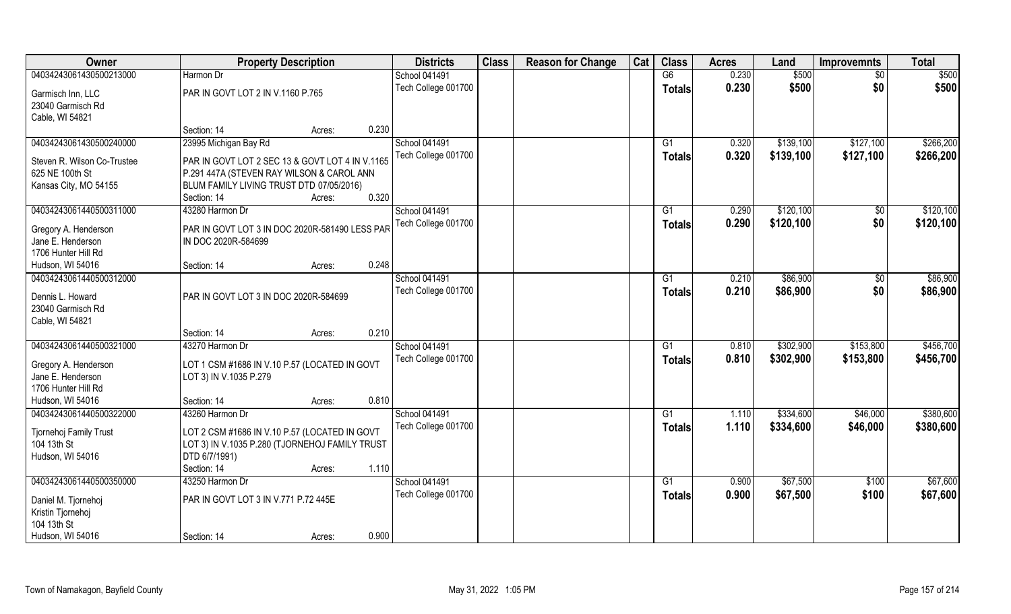| Owner                       | <b>Property Description</b>                     |        |       | <b>Districts</b>    | <b>Class</b> | <b>Reason for Change</b> | Cat | <b>Class</b>   | <b>Acres</b> | Land      | <b>Improvemnts</b> | <b>Total</b> |
|-----------------------------|-------------------------------------------------|--------|-------|---------------------|--------------|--------------------------|-----|----------------|--------------|-----------|--------------------|--------------|
| 04034243061430500213000     | Harmon Dr                                       |        |       | School 041491       |              |                          |     | G6             | 0.230        | \$500     | \$0                | \$500        |
| Garmisch Inn, LLC           | PAR IN GOVT LOT 2 IN V.1160 P.765               |        |       | Tech College 001700 |              |                          |     | <b>Totals</b>  | 0.230        | \$500     | \$0                | \$500        |
| 23040 Garmisch Rd           |                                                 |        |       |                     |              |                          |     |                |              |           |                    |              |
| Cable, WI 54821             |                                                 |        |       |                     |              |                          |     |                |              |           |                    |              |
|                             | Section: 14                                     | Acres: | 0.230 |                     |              |                          |     |                |              |           |                    |              |
| 04034243061430500240000     | 23995 Michigan Bay Rd                           |        |       | School 041491       |              |                          |     | G1             | 0.320        | \$139,100 | \$127,100          | \$266,200    |
| Steven R. Wilson Co-Trustee | PAR IN GOVT LOT 2 SEC 13 & GOVT LOT 4 IN V.1165 |        |       | Tech College 001700 |              |                          |     | <b>Totals</b>  | 0.320        | \$139,100 | \$127,100          | \$266,200    |
| 625 NE 100th St             | P.291 447A (STEVEN RAY WILSON & CAROL ANN       |        |       |                     |              |                          |     |                |              |           |                    |              |
| Kansas City, MO 54155       | BLUM FAMILY LIVING TRUST DTD 07/05/2016)        |        |       |                     |              |                          |     |                |              |           |                    |              |
|                             | Section: 14                                     | Acres: | 0.320 |                     |              |                          |     |                |              |           |                    |              |
| 04034243061440500311000     | 43280 Harmon Dr                                 |        |       | School 041491       |              |                          |     | G1             | 0.290        | \$120,100 | \$0                | \$120,100    |
| Gregory A. Henderson        | PAR IN GOVT LOT 3 IN DOC 2020R-581490 LESS PAR  |        |       | Tech College 001700 |              |                          |     | <b>Totals</b>  | 0.290        | \$120,100 | \$0                | \$120,100    |
| Jane E. Henderson           | IN DOC 2020R-584699                             |        |       |                     |              |                          |     |                |              |           |                    |              |
| 1706 Hunter Hill Rd         |                                                 |        |       |                     |              |                          |     |                |              |           |                    |              |
| Hudson, WI 54016            | Section: 14                                     | Acres: | 0.248 |                     |              |                          |     |                |              |           |                    |              |
| 04034243061440500312000     |                                                 |        |       | School 041491       |              |                          |     | G <sub>1</sub> | 0.210        | \$86,900  | $\sqrt[6]{30}$     | \$86,900     |
| Dennis L. Howard            | PAR IN GOVT LOT 3 IN DOC 2020R-584699           |        |       | Tech College 001700 |              |                          |     | <b>Totals</b>  | 0.210        | \$86,900  | \$0                | \$86,900     |
| 23040 Garmisch Rd           |                                                 |        |       |                     |              |                          |     |                |              |           |                    |              |
| Cable, WI 54821             |                                                 |        |       |                     |              |                          |     |                |              |           |                    |              |
|                             | Section: 14                                     | Acres: | 0.210 |                     |              |                          |     |                |              |           |                    |              |
| 04034243061440500321000     | 43270 Harmon Dr                                 |        |       | School 041491       |              |                          |     | G1             | 0.810        | \$302,900 | \$153,800          | \$456,700    |
| Gregory A. Henderson        | LOT 1 CSM #1686 IN V.10 P.57 (LOCATED IN GOVT   |        |       | Tech College 001700 |              |                          |     | <b>Totals</b>  | 0.810        | \$302,900 | \$153,800          | \$456,700    |
| Jane E. Henderson           | LOT 3) IN V.1035 P.279                          |        |       |                     |              |                          |     |                |              |           |                    |              |
| 1706 Hunter Hill Rd         |                                                 |        |       |                     |              |                          |     |                |              |           |                    |              |
| Hudson, WI 54016            | Section: 14                                     | Acres: | 0.810 |                     |              |                          |     |                |              |           |                    |              |
| 04034243061440500322000     | 43260 Harmon Dr                                 |        |       | School 041491       |              |                          |     | G1             | 1.110        | \$334,600 | \$46,000           | \$380,600    |
| Tjornehoj Family Trust      | LOT 2 CSM #1686 IN V.10 P.57 (LOCATED IN GOVT   |        |       | Tech College 001700 |              |                          |     | <b>Totals</b>  | 1.110        | \$334,600 | \$46,000           | \$380,600    |
| 104 13th St                 | LOT 3) IN V.1035 P.280 (TJORNEHOJ FAMILY TRUST  |        |       |                     |              |                          |     |                |              |           |                    |              |
| Hudson, WI 54016            | DTD 6/7/1991)                                   |        |       |                     |              |                          |     |                |              |           |                    |              |
|                             | Section: 14                                     | Acres: | 1.110 |                     |              |                          |     |                |              |           |                    |              |
| 04034243061440500350000     | 43250 Harmon Dr                                 |        |       | School 041491       |              |                          |     | G1             | 0.900        | \$67,500  | \$100              | \$67,600     |
| Daniel M. Tjornehoj         | PAR IN GOVT LOT 3 IN V.771 P.72 445E            |        |       | Tech College 001700 |              |                          |     | <b>Totals</b>  | 0.900        | \$67,500  | \$100              | \$67,600     |
| Kristin Tjornehoj           |                                                 |        |       |                     |              |                          |     |                |              |           |                    |              |
| 104 13th St                 |                                                 |        |       |                     |              |                          |     |                |              |           |                    |              |
| Hudson, WI 54016            | Section: 14                                     | Acres: | 0.900 |                     |              |                          |     |                |              |           |                    |              |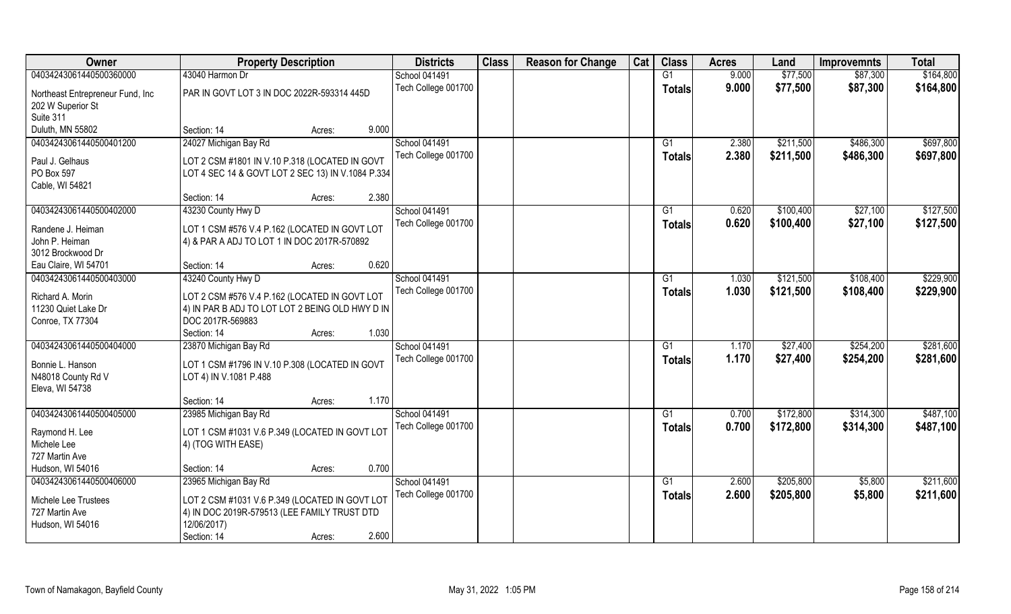| Owner                            | <b>Property Description</b>                       |       | <b>Districts</b>     | <b>Class</b> | <b>Reason for Change</b> | Cat | <b>Class</b>    | <b>Acres</b> | Land      | <b>Improvemnts</b> | <b>Total</b> |
|----------------------------------|---------------------------------------------------|-------|----------------------|--------------|--------------------------|-----|-----------------|--------------|-----------|--------------------|--------------|
| 04034243061440500360000          | 43040 Harmon Dr                                   |       | <b>School 041491</b> |              |                          |     | G1              | 9.000        | \$77,500  | \$87,300           | \$164,800    |
| Northeast Entrepreneur Fund, Inc | PAR IN GOVT LOT 3 IN DOC 2022R-593314 445D        |       | Tech College 001700  |              |                          |     | <b>Totals</b>   | 9.000        | \$77,500  | \$87,300           | \$164,800    |
| 202 W Superior St                |                                                   |       |                      |              |                          |     |                 |              |           |                    |              |
| Suite 311                        |                                                   |       |                      |              |                          |     |                 |              |           |                    |              |
| Duluth, MN 55802                 | Section: 14<br>Acres:                             | 9.000 |                      |              |                          |     |                 |              |           |                    |              |
| 04034243061440500401200          | 24027 Michigan Bay Rd                             |       | <b>School 041491</b> |              |                          |     | G1              | 2.380        | \$211,500 | \$486,300          | \$697,800    |
|                                  |                                                   |       | Tech College 001700  |              |                          |     | Totals          | 2.380        | \$211,500 | \$486,300          | \$697,800    |
| Paul J. Gelhaus                  | LOT 2 CSM #1801 IN V.10 P.318 (LOCATED IN GOVT    |       |                      |              |                          |     |                 |              |           |                    |              |
| PO Box 597                       | LOT 4 SEC 14 & GOVT LOT 2 SEC 13) IN V.1084 P.334 |       |                      |              |                          |     |                 |              |           |                    |              |
| Cable, WI 54821                  |                                                   |       |                      |              |                          |     |                 |              |           |                    |              |
|                                  | Section: 14<br>Acres:                             | 2.380 |                      |              |                          |     |                 |              |           |                    |              |
| 04034243061440500402000          | 43230 County Hwy D                                |       | <b>School 041491</b> |              |                          |     | G1              | 0.620        | \$100,400 | \$27,100           | \$127,500    |
| Randene J. Heiman                | LOT 1 CSM #576 V.4 P.162 (LOCATED IN GOVT LOT     |       | Tech College 001700  |              |                          |     | <b>Totals</b>   | 0.620        | \$100,400 | \$27,100           | \$127,500    |
| John P. Heiman                   | 4) & PAR A ADJ TO LOT 1 IN DOC 2017R-570892       |       |                      |              |                          |     |                 |              |           |                    |              |
| 3012 Brockwood Dr                |                                                   |       |                      |              |                          |     |                 |              |           |                    |              |
| Eau Claire, WI 54701             | Section: 14<br>Acres:                             | 0.620 |                      |              |                          |     |                 |              |           |                    |              |
| 04034243061440500403000          | 43240 County Hwy D                                |       | School 041491        |              |                          |     | G1              | 1.030        | \$121,500 | \$108,400          | \$229,900    |
|                                  |                                                   |       | Tech College 001700  |              |                          |     | <b>Totals</b>   | 1.030        | \$121,500 | \$108,400          | \$229,900    |
| Richard A. Morin                 | LOT 2 CSM #576 V.4 P.162 (LOCATED IN GOVT LOT     |       |                      |              |                          |     |                 |              |           |                    |              |
| 11230 Quiet Lake Dr              | 4) IN PAR B ADJ TO LOT LOT 2 BEING OLD HWY D IN   |       |                      |              |                          |     |                 |              |           |                    |              |
| Conroe, TX 77304                 | DOC 2017R-569883                                  | 1.030 |                      |              |                          |     |                 |              |           |                    |              |
|                                  | Section: 14<br>Acres:                             |       |                      |              |                          |     |                 |              |           |                    |              |
| 04034243061440500404000          | 23870 Michigan Bay Rd                             |       | School 041491        |              |                          |     | G1              | 1.170        | \$27,400  | \$254,200          | \$281,600    |
| Bonnie L. Hanson                 | LOT 1 CSM #1796 IN V.10 P.308 (LOCATED IN GOVT    |       | Tech College 001700  |              |                          |     | <b>Totals</b>   | 1.170        | \$27,400  | \$254,200          | \$281,600    |
| N48018 County Rd V               | LOT 4) IN V.1081 P.488                            |       |                      |              |                          |     |                 |              |           |                    |              |
| Eleva, WI 54738                  |                                                   |       |                      |              |                          |     |                 |              |           |                    |              |
|                                  | Section: 14<br>Acres:                             | 1.170 |                      |              |                          |     |                 |              |           |                    |              |
| 04034243061440500405000          | 23985 Michigan Bay Rd                             |       | <b>School 041491</b> |              |                          |     | G1              | 0.700        | \$172,800 | \$314,300          | \$487,100    |
|                                  |                                                   |       | Tech College 001700  |              |                          |     | <b>Totals</b>   | 0.700        | \$172,800 | \$314,300          | \$487,100    |
| Raymond H. Lee<br>Michele Lee    | LOT 1 CSM #1031 V.6 P.349 (LOCATED IN GOVT LOT    |       |                      |              |                          |     |                 |              |           |                    |              |
| 727 Martin Ave                   | 4) (TOG WITH EASE)                                |       |                      |              |                          |     |                 |              |           |                    |              |
| Hudson, WI 54016                 | Section: 14<br>Acres:                             | 0.700 |                      |              |                          |     |                 |              |           |                    |              |
| 04034243061440500406000          | 23965 Michigan Bay Rd                             |       | <b>School 041491</b> |              |                          |     | $\overline{G1}$ | 2.600        | \$205,800 | \$5,800            | \$211,600    |
|                                  |                                                   |       | Tech College 001700  |              |                          |     |                 | 2.600        |           |                    |              |
| Michele Lee Trustees             | LOT 2 CSM #1031 V.6 P.349 (LOCATED IN GOVT LOT    |       |                      |              |                          |     | <b>Totals</b>   |              | \$205,800 | \$5,800            | \$211,600    |
| 727 Martin Ave                   | 4) IN DOC 2019R-579513 (LEE FAMILY TRUST DTD      |       |                      |              |                          |     |                 |              |           |                    |              |
| Hudson, WI 54016                 | 12/06/2017)                                       |       |                      |              |                          |     |                 |              |           |                    |              |
|                                  | Section: 14<br>Acres:                             | 2.600 |                      |              |                          |     |                 |              |           |                    |              |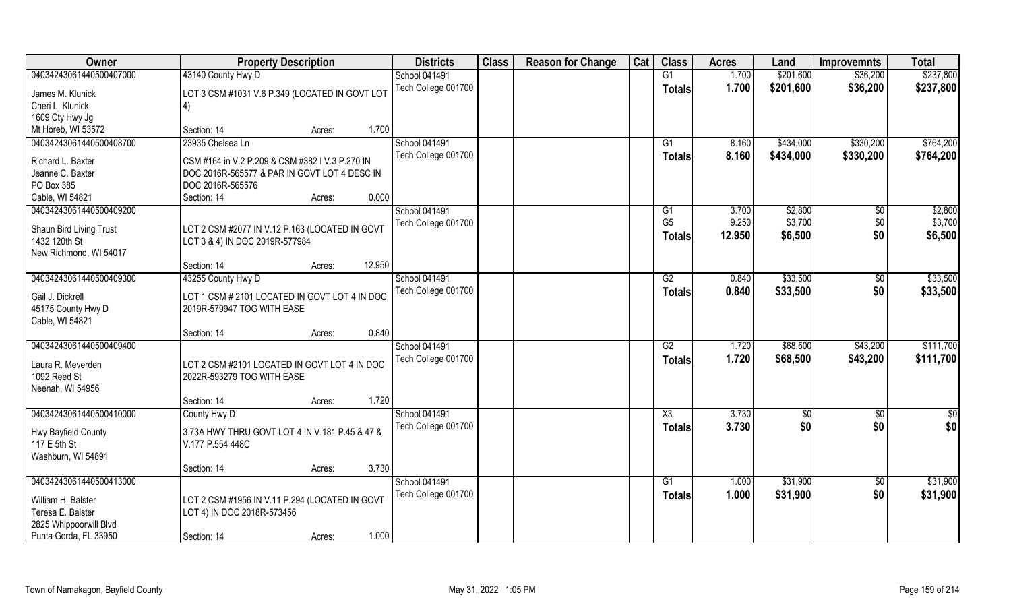| Owner                   | <b>Property Description</b>                     | <b>Districts</b>     | <b>Class</b> | <b>Reason for Change</b> | Cat | <b>Class</b>           | <b>Acres</b> | Land        | <b>Improvemnts</b> | <b>Total</b> |
|-------------------------|-------------------------------------------------|----------------------|--------------|--------------------------|-----|------------------------|--------------|-------------|--------------------|--------------|
| 04034243061440500407000 | 43140 County Hwy D                              | School 041491        |              |                          |     | G1                     | 1.700        | \$201,600   | \$36,200           | \$237,800    |
| James M. Klunick        | LOT 3 CSM #1031 V.6 P.349 (LOCATED IN GOVT LOT  | Tech College 001700  |              |                          |     | <b>Totals</b>          | 1.700        | \$201,600   | \$36,200           | \$237,800    |
| Cheri L. Klunick        | 4)                                              |                      |              |                          |     |                        |              |             |                    |              |
| 1609 Cty Hwy Jg         |                                                 |                      |              |                          |     |                        |              |             |                    |              |
| Mt Horeb, WI 53572      | 1.700<br>Section: 14<br>Acres:                  |                      |              |                          |     |                        |              |             |                    |              |
| 04034243061440500408700 | 23935 Chelsea Ln                                | <b>School 041491</b> |              |                          |     | G1                     | 8.160        | \$434,000   | \$330,200          | \$764,200    |
| Richard L. Baxter       | CSM #164 in V.2 P.209 & CSM #382 I V.3 P.270 IN | Tech College 001700  |              |                          |     | <b>Totals</b>          | 8.160        | \$434,000   | \$330,200          | \$764,200    |
| Jeanne C. Baxter        | DOC 2016R-565577 & PAR IN GOVT LOT 4 DESC IN    |                      |              |                          |     |                        |              |             |                    |              |
| PO Box 385              | DOC 2016R-565576                                |                      |              |                          |     |                        |              |             |                    |              |
| Cable, WI 54821         | 0.000<br>Section: 14<br>Acres:                  |                      |              |                          |     |                        |              |             |                    |              |
| 04034243061440500409200 |                                                 | School 041491        |              |                          |     | G1                     | 3.700        | \$2,800     | $\sqrt{6}$         | \$2,800      |
|                         |                                                 | Tech College 001700  |              |                          |     | G <sub>5</sub>         | 9.250        | \$3,700     | \$0                | \$3,700      |
| Shaun Bird Living Trust | LOT 2 CSM #2077 IN V.12 P.163 (LOCATED IN GOVT  |                      |              |                          |     | <b>Totals</b>          | 12.950       | \$6,500     | \$0                | \$6,500      |
| 1432 120th St           | LOT 3 & 4) IN DOC 2019R-577984                  |                      |              |                          |     |                        |              |             |                    |              |
| New Richmond, WI 54017  |                                                 |                      |              |                          |     |                        |              |             |                    |              |
|                         | 12.950<br>Section: 14<br>Acres:                 |                      |              |                          |     |                        |              |             |                    |              |
| 04034243061440500409300 | 43255 County Hwy D                              | School 041491        |              |                          |     | G2                     | 0.840        | \$33,500    | \$0                | \$33,500     |
| Gail J. Dickrell        | LOT 1 CSM # 2101 LOCATED IN GOVT LOT 4 IN DOC   | Tech College 001700  |              |                          |     | <b>Totals</b>          | 0.840        | \$33,500    | \$0                | \$33,500     |
| 45175 County Hwy D      | 2019R-579947 TOG WITH EASE                      |                      |              |                          |     |                        |              |             |                    |              |
| Cable, WI 54821         |                                                 |                      |              |                          |     |                        |              |             |                    |              |
|                         | 0.840<br>Section: 14<br>Acres:                  |                      |              |                          |     |                        |              |             |                    |              |
| 04034243061440500409400 |                                                 | School 041491        |              |                          |     | $\overline{G2}$        | 1.720        | \$68,500    | \$43,200           | \$111,700    |
| Laura R. Meverden       | LOT 2 CSM #2101 LOCATED IN GOVT LOT 4 IN DOC    | Tech College 001700  |              |                          |     | <b>Totals</b>          | 1.720        | \$68,500    | \$43,200           | \$111,700    |
| 1092 Reed St            | 2022R-593279 TOG WITH EASE                      |                      |              |                          |     |                        |              |             |                    |              |
| Neenah, WI 54956        |                                                 |                      |              |                          |     |                        |              |             |                    |              |
|                         | 1.720<br>Section: 14<br>Acres:                  |                      |              |                          |     |                        |              |             |                    |              |
| 04034243061440500410000 | County Hwy D                                    | School 041491        |              |                          |     | $\overline{\text{X3}}$ | 3.730        | $\sqrt{50}$ | $\sqrt{$0}$        | \$0          |
|                         |                                                 | Tech College 001700  |              |                          |     | <b>Totals</b>          | 3.730        | \$0         | \$0                | \$0          |
| Hwy Bayfield County     | 3.73A HWY THRU GOVT LOT 4 IN V.181 P.45 & 47 &  |                      |              |                          |     |                        |              |             |                    |              |
| 117 E 5th St            | V.177 P.554 448C                                |                      |              |                          |     |                        |              |             |                    |              |
| Washburn, WI 54891      |                                                 |                      |              |                          |     |                        |              |             |                    |              |
|                         | 3.730<br>Section: 14<br>Acres:                  |                      |              |                          |     |                        |              |             |                    |              |
| 04034243061440500413000 |                                                 | School 041491        |              |                          |     | G1                     | 1.000        | \$31,900    | $\overline{50}$    | \$31,900     |
| William H. Balster      | LOT 2 CSM #1956 IN V.11 P.294 (LOCATED IN GOVT  | Tech College 001700  |              |                          |     | Totals                 | 1.000        | \$31,900    | \$0                | \$31,900     |
| Teresa E. Balster       | LOT 4) IN DOC 2018R-573456                      |                      |              |                          |     |                        |              |             |                    |              |
| 2825 Whippoorwill Blvd  |                                                 |                      |              |                          |     |                        |              |             |                    |              |
| Punta Gorda, FL 33950   | 1.000<br>Section: 14<br>Acres:                  |                      |              |                          |     |                        |              |             |                    |              |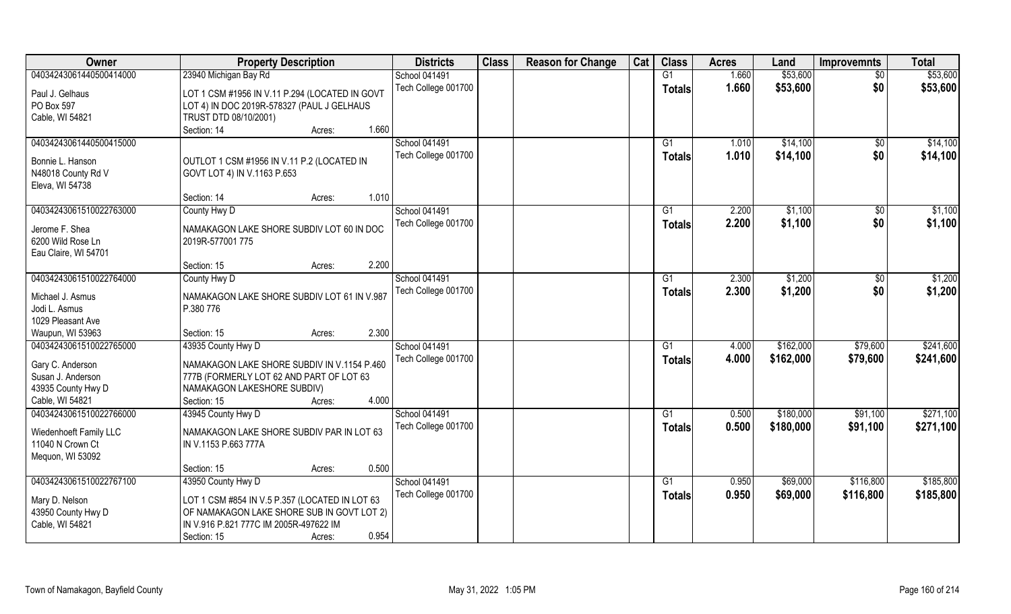| Owner                                      | <b>Property Description</b>                              | <b>Districts</b>                     | <b>Class</b> | <b>Reason for Change</b> | Cat | <b>Class</b>    | <b>Acres</b> | Land      | <b>Improvemnts</b> | <b>Total</b> |
|--------------------------------------------|----------------------------------------------------------|--------------------------------------|--------------|--------------------------|-----|-----------------|--------------|-----------|--------------------|--------------|
| 04034243061440500414000                    | 23940 Michigan Bay Rd                                    | School 041491                        |              |                          |     | $\overline{G1}$ | 1.660        | \$53,600  | $\overline{50}$    | \$53,600     |
| Paul J. Gelhaus                            | LOT 1 CSM #1956 IN V.11 P.294 (LOCATED IN GOVT           | Tech College 001700                  |              |                          |     | <b>Totals</b>   | 1.660        | \$53,600  | \$0                | \$53,600     |
| PO Box 597                                 | LOT 4) IN DOC 2019R-578327 (PAUL J GELHAUS               |                                      |              |                          |     |                 |              |           |                    |              |
| Cable, WI 54821                            | TRUST DTD 08/10/2001)                                    |                                      |              |                          |     |                 |              |           |                    |              |
|                                            | 1.660<br>Section: 14<br>Acres:                           |                                      |              |                          |     |                 |              |           |                    |              |
| 04034243061440500415000                    |                                                          | <b>School 041491</b>                 |              |                          |     | G1              | 1.010        | \$14,100  | \$0                | \$14,100     |
| Bonnie L. Hanson                           | OUTLOT 1 CSM #1956 IN V.11 P.2 (LOCATED IN               | Tech College 001700                  |              |                          |     | <b>Totals</b>   | 1.010        | \$14,100  | \$0                | \$14,100     |
| N48018 County Rd V                         | GOVT LOT 4) IN V.1163 P.653                              |                                      |              |                          |     |                 |              |           |                    |              |
| Eleva, WI 54738                            |                                                          |                                      |              |                          |     |                 |              |           |                    |              |
|                                            | 1.010<br>Section: 14<br>Acres:                           |                                      |              |                          |     |                 |              |           |                    |              |
| 04034243061510022763000                    | County Hwy D                                             | <b>School 041491</b>                 |              |                          |     | G1              | 2.200        | \$1,100   | $\sqrt[6]{30}$     | \$1,100      |
| Jerome F. Shea                             | NAMAKAGON LAKE SHORE SUBDIV LOT 60 IN DOC                | Tech College 001700                  |              |                          |     | <b>Totals</b>   | 2.200        | \$1,100   | \$0                | \$1,100      |
| 6200 Wild Rose Ln                          | 2019R-577001 775                                         |                                      |              |                          |     |                 |              |           |                    |              |
| Eau Claire, WI 54701                       |                                                          |                                      |              |                          |     |                 |              |           |                    |              |
|                                            | 2.200<br>Section: 15<br>Acres:                           |                                      |              |                          |     |                 |              |           |                    |              |
| 04034243061510022764000                    | County Hwy D                                             | <b>School 041491</b>                 |              |                          |     | G1              | 2.300        | \$1,200   | \$0                | \$1,200      |
| Michael J. Asmus                           |                                                          | Tech College 001700                  |              |                          |     | <b>Totals</b>   | 2.300        | \$1,200   | \$0                | \$1,200      |
| Jodi L. Asmus                              | NAMAKAGON LAKE SHORE SUBDIV LOT 61 IN V.987<br>P.380 776 |                                      |              |                          |     |                 |              |           |                    |              |
| 1029 Pleasant Ave                          |                                                          |                                      |              |                          |     |                 |              |           |                    |              |
| Waupun, WI 53963                           | 2.300<br>Section: 15<br>Acres:                           |                                      |              |                          |     |                 |              |           |                    |              |
| 04034243061510022765000                    | 43935 County Hwy D                                       | School 041491                        |              |                          |     | G1              | 4.000        | \$162,000 | \$79,600           | \$241,600    |
|                                            |                                                          | Tech College 001700                  |              |                          |     | Totals          | 4.000        | \$162,000 | \$79,600           | \$241,600    |
| Gary C. Anderson                           | NAMAKAGON LAKE SHORE SUBDIV IN V.1154 P.460              |                                      |              |                          |     |                 |              |           |                    |              |
| Susan J. Anderson                          | 777B (FORMERLY LOT 62 AND PART OF LOT 63                 |                                      |              |                          |     |                 |              |           |                    |              |
| 43935 County Hwy D                         | NAMAKAGON LAKESHORE SUBDIV)                              |                                      |              |                          |     |                 |              |           |                    |              |
| Cable, WI 54821<br>04034243061510022766000 | 4.000<br>Section: 15<br>Acres:                           |                                      |              |                          |     |                 |              |           |                    | \$271,100    |
|                                            | 43945 County Hwy D                                       | School 041491<br>Tech College 001700 |              |                          |     | G1              | 0.500        | \$180,000 | \$91,100           |              |
| Wiedenhoeft Family LLC                     | NAMAKAGON LAKE SHORE SUBDIV PAR IN LOT 63                |                                      |              |                          |     | <b>Totals</b>   | 0.500        | \$180,000 | \$91,100           | \$271,100    |
| 11040 N Crown Ct                           | IN V.1153 P.663 777A                                     |                                      |              |                          |     |                 |              |           |                    |              |
| Mequon, WI 53092                           |                                                          |                                      |              |                          |     |                 |              |           |                    |              |
|                                            | 0.500<br>Section: 15<br>Acres:                           |                                      |              |                          |     |                 |              |           |                    |              |
| 04034243061510022767100                    | 43950 County Hwy D                                       | School 041491                        |              |                          |     | G1              | 0.950        | \$69,000  | \$116,800          | \$185,800    |
| Mary D. Nelson                             | LOT 1 CSM #854 IN V.5 P.357 (LOCATED IN LOT 63           | Tech College 001700                  |              |                          |     | <b>Totals</b>   | 0.950        | \$69,000  | \$116,800          | \$185,800    |
| 43950 County Hwy D                         | OF NAMAKAGON LAKE SHORE SUB IN GOVT LOT 2)               |                                      |              |                          |     |                 |              |           |                    |              |
| Cable, WI 54821                            | IN V.916 P.821 777C IM 2005R-497622 IM                   |                                      |              |                          |     |                 |              |           |                    |              |
|                                            | 0.954<br>Section: 15<br>Acres:                           |                                      |              |                          |     |                 |              |           |                    |              |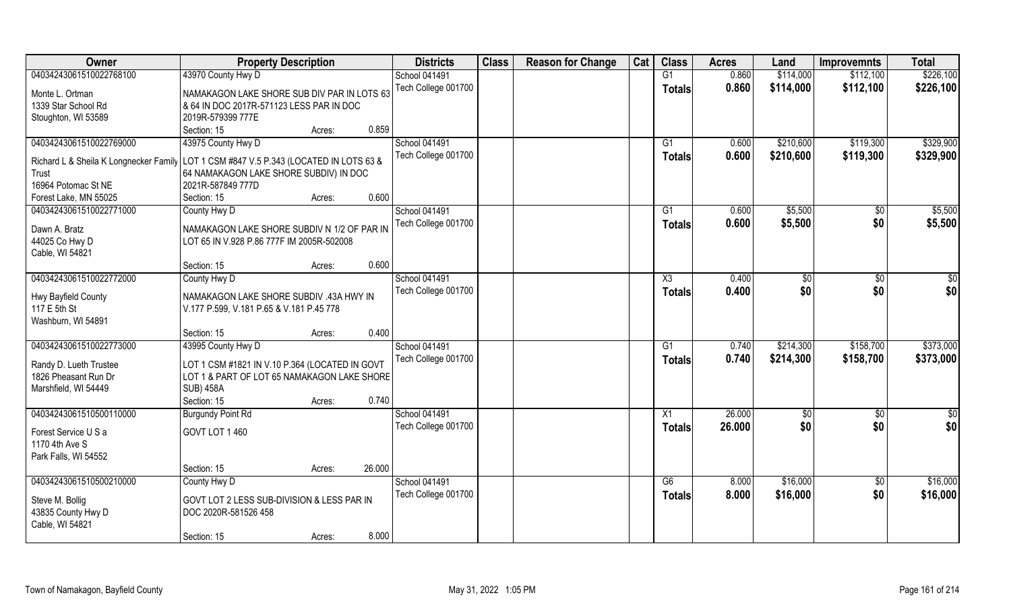| <b>Class</b><br><b>Class</b><br>Owner<br><b>Districts</b><br><b>Reason for Change</b><br>Cat<br><b>Property Description</b><br><b>Acres</b><br>Land<br><b>Improvemnts</b> | <b>Total</b>                |
|---------------------------------------------------------------------------------------------------------------------------------------------------------------------------|-----------------------------|
| 04034243061510022768100<br>43970 County Hwy D<br>School 041491<br>G1<br>0.860<br>\$114,000<br>\$112,100                                                                   | \$226,100                   |
| 0.860<br>Tech College 001700<br>\$114,000<br>\$112,100<br><b>Totals</b><br>NAMAKAGON LAKE SHORE SUB DIV PAR IN LOTS 63<br>Monte L. Ortman                                 | \$226,100                   |
| 1339 Star School Rd<br>& 64 IN DOC 2017R-571123 LESS PAR IN DOC                                                                                                           |                             |
| Stoughton, WI 53589<br>2019R-579399 777E                                                                                                                                  |                             |
| 0.859<br>Section: 15<br>Acres:                                                                                                                                            |                             |
| 43975 County Hwy D<br><b>School 041491</b><br>04034243061510022769000<br>0.600<br>\$210,600<br>\$119,300<br>G1                                                            | \$329,900                   |
| Tech College 001700<br>0.600<br>\$119,300<br>\$210,600<br>Totals                                                                                                          | \$329,900                   |
| LOT 1 CSM #847 V.5 P.343 (LOCATED IN LOTS 63 &<br>Richard L & Sheila K Longnecker Family                                                                                  |                             |
| 64 NAMAKAGON LAKE SHORE SUBDIV) IN DOC<br>Trust<br>16964 Potomac St NE<br>2021R-587849 777D                                                                               |                             |
| 0.600<br>Forest Lake, MN 55025<br>Section: 15<br>Acres:                                                                                                                   |                             |
| School 041491<br>04034243061510022771000<br>G1<br>0.600<br>\$5,500<br>County Hwy D                                                                                        | \$5,500<br>$\sqrt{6}$       |
| Tech College 001700<br>0.600<br>\$5,500                                                                                                                                   | \$0<br>\$5,500              |
| <b>Totals</b><br>Dawn A. Bratz<br>NAMAKAGON LAKE SHORE SUBDIV N 1/2 OF PAR IN                                                                                             |                             |
| 44025 Co Hwy D<br>LOT 65 IN V.928 P.86 777F IM 2005R-502008                                                                                                               |                             |
| Cable, WI 54821                                                                                                                                                           |                             |
| 0.600<br>Section: 15<br>Acres:                                                                                                                                            |                             |
| 04034243061510022772000<br>School 041491<br>0.400<br>County Hwy D<br>X3<br>\$0                                                                                            | $\sqrt[6]{3}$<br>\$0        |
| Tech College 001700<br>0.400<br>\$0<br><b>Totals</b><br>NAMAKAGON LAKE SHORE SUBDIV .43A HWY IN<br>Hwy Bayfield County                                                    | \$0<br>\$0                  |
| 117 E 5th St<br>V.177 P.599, V.181 P.65 & V.181 P.45 778                                                                                                                  |                             |
| Washburn, WI 54891                                                                                                                                                        |                             |
| 0.400<br>Section: 15<br>Acres:                                                                                                                                            |                             |
| 04034243061510022773000<br>43995 County Hwy D<br>0.740<br>\$214,300<br>\$158,700<br>School 041491<br>G1                                                                   | \$373,000                   |
| \$214,300<br>Tech College 001700<br>0.740<br>\$158,700<br><b>Totals</b>                                                                                                   | \$373,000                   |
| LOT 1 CSM #1821 IN V.10 P.364 (LOCATED IN GOVT<br>Randy D. Lueth Trustee                                                                                                  |                             |
| 1826 Pheasant Run Dr<br>LOT 1 & PART OF LOT 65 NAMAKAGON LAKE SHORE                                                                                                       |                             |
| Marshfield, WI 54449<br><b>SUB) 458A</b>                                                                                                                                  |                             |
| 0.740<br>Section: 15<br>Acres:                                                                                                                                            |                             |
| School 041491<br>26.000<br>04034243061510500110000<br>$\overline{X1}$<br><b>Burgundy Point Rd</b><br>$\sqrt{30}$                                                          | $\sqrt{$0}$<br>\$0          |
| 26.000<br>\$0<br>Tech College 001700<br><b>Totals</b><br>GOVT LOT 1 460<br>Forest Service U S a                                                                           | \$0 <br>\$0                 |
| 1170 4th Ave S                                                                                                                                                            |                             |
| Park Falls, WI 54552                                                                                                                                                      |                             |
| 26.000<br>Section: 15<br>Acres:                                                                                                                                           |                             |
| 04034243061510500210000<br>School 041491<br>\$16,000<br>County Hwy D<br>G6<br>8.000                                                                                       | \$16,000<br>$\overline{50}$ |
| Tech College 001700<br>8.000<br>\$16,000<br>Totals<br>Steve M. Bollig<br>GOVT LOT 2 LESS SUB-DIVISION & LESS PAR IN                                                       | \$0<br>\$16,000             |
| 43835 County Hwy D<br>DOC 2020R-581526 458                                                                                                                                |                             |
| Cable, WI 54821                                                                                                                                                           |                             |
| 8.000<br>Section: 15<br>Acres:                                                                                                                                            |                             |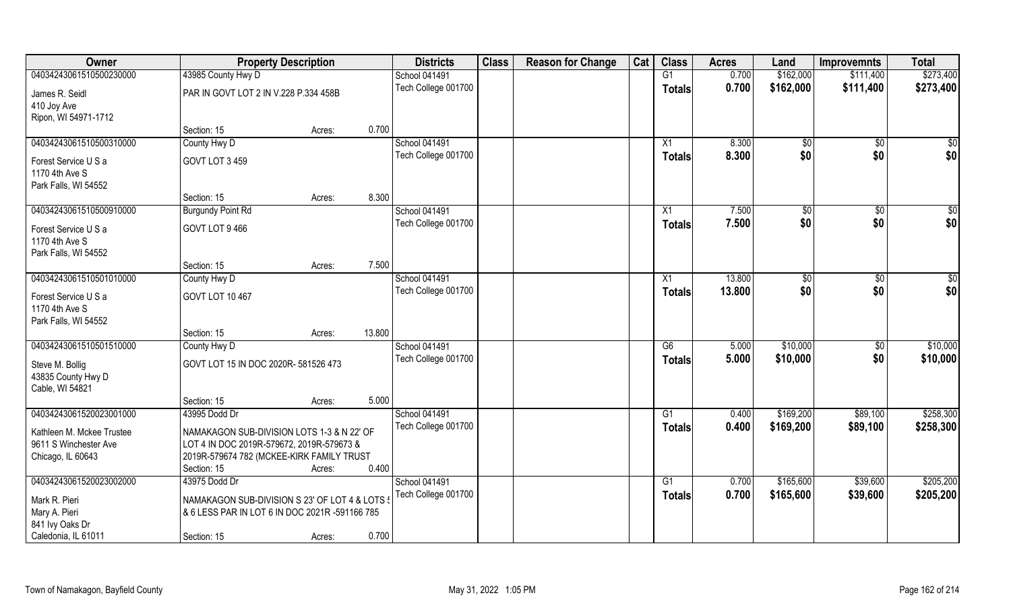| Owner                     |                                                | <b>Property Description</b> |        | <b>Districts</b>     | <b>Class</b> | <b>Reason for Change</b> | Cat | <b>Class</b>    | <b>Acres</b> | Land          | <b>Improvemnts</b> | <b>Total</b> |
|---------------------------|------------------------------------------------|-----------------------------|--------|----------------------|--------------|--------------------------|-----|-----------------|--------------|---------------|--------------------|--------------|
| 04034243061510500230000   | 43985 County Hwy D                             |                             |        | School 041491        |              |                          |     | G1              | 0.700        | \$162,000     | \$111,400          | \$273,400    |
| James R. Seidl            | PAR IN GOVT LOT 2 IN V.228 P.334 458B          |                             |        | Tech College 001700  |              |                          |     | <b>Totals</b>   | 0.700        | \$162,000     | \$111,400          | \$273,400    |
| 410 Joy Ave               |                                                |                             |        |                      |              |                          |     |                 |              |               |                    |              |
| Ripon, WI 54971-1712      |                                                |                             |        |                      |              |                          |     |                 |              |               |                    |              |
|                           | Section: 15                                    | Acres:                      | 0.700  |                      |              |                          |     |                 |              |               |                    |              |
| 04034243061510500310000   | County Hwy D                                   |                             |        | <b>School 041491</b> |              |                          |     | X1              | 8.300        | \$0           | \$0                | $\sqrt{50}$  |
| Forest Service U S a      | GOVT LOT 3 459                                 |                             |        | Tech College 001700  |              |                          |     | <b>Totals</b>   | 8.300        | \$0           | \$0                | \$0          |
| 1170 4th Ave S            |                                                |                             |        |                      |              |                          |     |                 |              |               |                    |              |
| Park Falls, WI 54552      |                                                |                             |        |                      |              |                          |     |                 |              |               |                    |              |
|                           | Section: 15                                    | Acres:                      | 8.300  |                      |              |                          |     |                 |              |               |                    |              |
| 04034243061510500910000   | <b>Burgundy Point Rd</b>                       |                             |        | School 041491        |              |                          |     | X1              | 7.500        | \$0           | \$0                | \$0          |
| Forest Service U S a      | GOVT LOT 9 466                                 |                             |        | Tech College 001700  |              |                          |     | <b>Totals</b>   | 7.500        | \$0           | \$0                | \$0          |
| 1170 4th Ave S            |                                                |                             |        |                      |              |                          |     |                 |              |               |                    |              |
| Park Falls, WI 54552      |                                                |                             |        |                      |              |                          |     |                 |              |               |                    |              |
|                           | Section: 15                                    | Acres:                      | 7.500  |                      |              |                          |     |                 |              |               |                    |              |
| 04034243061510501010000   | County Hwy D                                   |                             |        | School 041491        |              |                          |     | X1              | 13.800       | $\sqrt[6]{3}$ | \$0                | \$0          |
| Forest Service U S a      | GOVT LOT 10 467                                |                             |        | Tech College 001700  |              |                          |     | Totals          | 13,800       | \$0           | \$0                | \$0          |
| 1170 4th Ave S            |                                                |                             |        |                      |              |                          |     |                 |              |               |                    |              |
| Park Falls, WI 54552      |                                                |                             |        |                      |              |                          |     |                 |              |               |                    |              |
|                           | Section: 15                                    | Acres:                      | 13.800 |                      |              |                          |     |                 |              |               |                    |              |
| 04034243061510501510000   | County Hwy D                                   |                             |        | School 041491        |              |                          |     | $\overline{G6}$ | 5.000        | \$10,000      | $\sqrt[6]{30}$     | \$10,000     |
| Steve M. Bollig           | GOVT LOT 15 IN DOC 2020R-581526 473            |                             |        | Tech College 001700  |              |                          |     | <b>Totals</b>   | 5.000        | \$10,000      | \$0                | \$10,000     |
| 43835 County Hwy D        |                                                |                             |        |                      |              |                          |     |                 |              |               |                    |              |
| Cable, WI 54821           |                                                |                             |        |                      |              |                          |     |                 |              |               |                    |              |
|                           | Section: 15                                    | Acres:                      | 5.000  |                      |              |                          |     |                 |              |               |                    |              |
| 04034243061520023001000   | 43995 Dodd Dr                                  |                             |        | School 041491        |              |                          |     | G1              | 0.400        | \$169,200     | \$89,100           | \$258,300    |
| Kathleen M. Mckee Trustee | NAMAKAGON SUB-DIVISION LOTS 1-3 & N 22' OF     |                             |        | Tech College 001700  |              |                          |     | <b>Totals</b>   | 0.400        | \$169,200     | \$89,100           | \$258,300    |
| 9611 S Winchester Ave     | LOT 4 IN DOC 2019R-579672, 2019R-579673 &      |                             |        |                      |              |                          |     |                 |              |               |                    |              |
| Chicago, IL 60643         | 2019R-579674 782 (MCKEE-KIRK FAMILY TRUST      |                             |        |                      |              |                          |     |                 |              |               |                    |              |
|                           | Section: 15                                    | Acres:                      | 0.400  |                      |              |                          |     |                 |              |               |                    |              |
| 04034243061520023002000   | 43975 Dodd Dr                                  |                             |        | School 041491        |              |                          |     | G1              | 0.700        | \$165,600     | \$39,600           | \$205,200    |
| Mark R. Pieri             | NAMAKAGON SUB-DIVISION S 23' OF LOT 4 & LOTS ! |                             |        | Tech College 001700  |              |                          |     | Totals          | 0.700        | \$165,600     | \$39,600           | \$205,200    |
| Mary A. Pieri             | & 6 LESS PAR IN LOT 6 IN DOC 2021R -591166 785 |                             |        |                      |              |                          |     |                 |              |               |                    |              |
| 841 Ivy Oaks Dr           |                                                |                             |        |                      |              |                          |     |                 |              |               |                    |              |
| Caledonia, IL 61011       | Section: 15                                    | Acres:                      | 0.700  |                      |              |                          |     |                 |              |               |                    |              |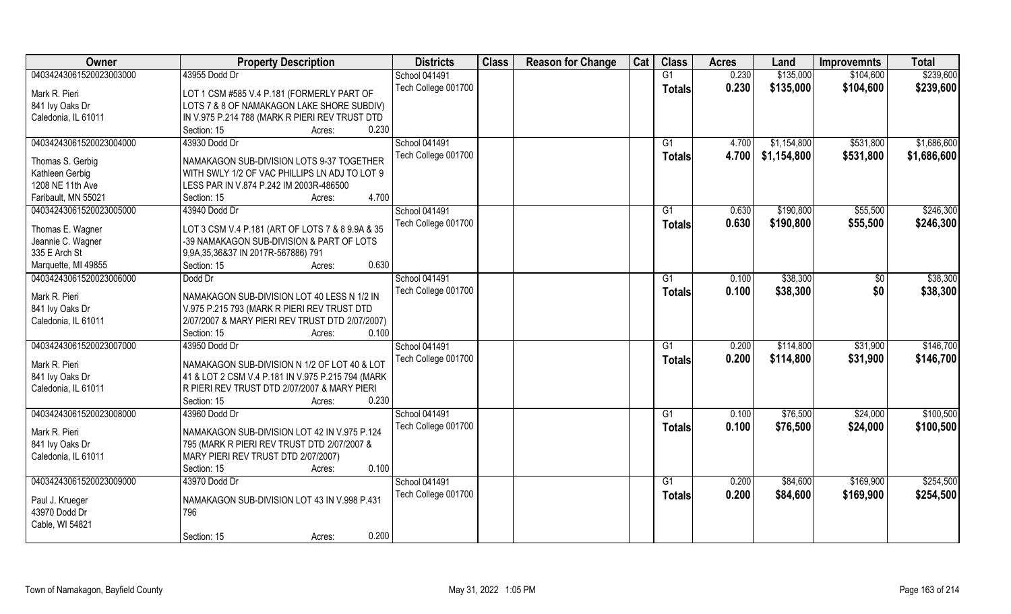| Owner                   | <b>Property Description</b>                       | <b>Districts</b>                            | <b>Class</b> | <b>Reason for Change</b> | Cat | <b>Class</b>    | <b>Acres</b>   | Land                       | <b>Improvemnts</b>     | <b>Total</b> |
|-------------------------|---------------------------------------------------|---------------------------------------------|--------------|--------------------------|-----|-----------------|----------------|----------------------------|------------------------|--------------|
| 04034243061520023003000 | 43955 Dodd Dr                                     | School 041491                               |              |                          |     | G1              | 0.230          | \$135,000                  | \$104,600              | \$239,600    |
| Mark R. Pieri           | LOT 1 CSM #585 V.4 P.181 (FORMERLY PART OF        | Tech College 001700                         |              |                          |     | Totals          | 0.230          | \$135,000                  | \$104,600              | \$239,600    |
| 841 Ivy Oaks Dr         | LOTS 7 & 8 OF NAMAKAGON LAKE SHORE SUBDIV)        |                                             |              |                          |     |                 |                |                            |                        |              |
| Caledonia, IL 61011     | IN V.975 P.214 788 (MARK R PIERI REV TRUST DTD    |                                             |              |                          |     |                 |                |                            |                        |              |
|                         | 0.230<br>Section: 15<br>Acres:                    |                                             |              |                          |     |                 |                |                            |                        |              |
| 04034243061520023004000 | 43930 Dodd Dr                                     | <b>School 041491</b><br>Tech College 001700 |              |                          |     | G1              | 4.700<br>4.700 | \$1,154,800<br>\$1,154,800 | \$531,800<br>\$531,800 | \$1,686,600  |
| Thomas S. Gerbig        | NAMAKAGON SUB-DIVISION LOTS 9-37 TOGETHER         |                                             |              |                          |     | Totals          |                |                            |                        | \$1,686,600  |
| Kathleen Gerbig         | WITH SWLY 1/2 OF VAC PHILLIPS LN ADJ TO LOT 9     |                                             |              |                          |     |                 |                |                            |                        |              |
| 1208 NE 11th Ave        | LESS PAR IN V.874 P.242 IM 2003R-486500           |                                             |              |                          |     |                 |                |                            |                        |              |
| Faribault, MN 55021     | 4.700<br>Section: 15<br>Acres:                    |                                             |              |                          |     |                 |                |                            |                        |              |
| 04034243061520023005000 | 43940 Dodd Dr                                     | School 041491                               |              |                          |     | G1              | 0.630          | \$190,800                  | \$55,500               | \$246,300    |
| Thomas E. Wagner        | LOT 3 CSM V.4 P.181 (ART OF LOTS 7 & 8 9.9A & 35  | Tech College 001700                         |              |                          |     | <b>Totals</b>   | 0.630          | \$190,800                  | \$55,500               | \$246,300    |
| Jeannie C. Wagner       | -39 NAMAKAGON SUB-DIVISION & PART OF LOTS         |                                             |              |                          |     |                 |                |                            |                        |              |
| 335 E Arch St           | 9,9A,35,36&37 IN 2017R-567886) 791                |                                             |              |                          |     |                 |                |                            |                        |              |
| Marquette, MI 49855     | 0.630<br>Section: 15<br>Acres:                    |                                             |              |                          |     |                 |                |                            |                        |              |
| 04034243061520023006000 | Dodd Dr                                           | School 041491                               |              |                          |     | G1              | 0.100          | \$38,300                   | \$0                    | \$38,300     |
| Mark R. Pieri           | NAMAKAGON SUB-DIVISION LOT 40 LESS N 1/2 IN       | Tech College 001700                         |              |                          |     | <b>Totals</b>   | 0.100          | \$38,300                   | \$0                    | \$38,300     |
| 841 Ivy Oaks Dr         | V.975 P.215 793 (MARK R PIERI REV TRUST DTD       |                                             |              |                          |     |                 |                |                            |                        |              |
| Caledonia, IL 61011     | 2/07/2007 & MARY PIERI REV TRUST DTD 2/07/2007)   |                                             |              |                          |     |                 |                |                            |                        |              |
|                         | Section: 15<br>0.100<br>Acres:                    |                                             |              |                          |     |                 |                |                            |                        |              |
| 04034243061520023007000 | 43950 Dodd Dr                                     | School 041491                               |              |                          |     | G1              | 0.200          | \$114,800                  | \$31,900               | \$146,700    |
| Mark R. Pieri           | NAMAKAGON SUB-DIVISION N 1/2 OF LOT 40 & LOT      | Tech College 001700                         |              |                          |     | <b>Totals</b>   | 0.200          | \$114,800                  | \$31,900               | \$146,700    |
| 841 lvy Oaks Dr         | 41 & LOT 2 CSM V.4 P.181 IN V.975 P.215 794 (MARK |                                             |              |                          |     |                 |                |                            |                        |              |
| Caledonia, IL 61011     | R PIERI REV TRUST DTD 2/07/2007 & MARY PIERI      |                                             |              |                          |     |                 |                |                            |                        |              |
|                         | 0.230<br>Section: 15<br>Acres:                    |                                             |              |                          |     |                 |                |                            |                        |              |
| 04034243061520023008000 | 43960 Dodd Dr                                     | School 041491                               |              |                          |     | $\overline{G1}$ | 0.100          | \$76,500                   | \$24,000               | \$100,500    |
|                         |                                                   | Tech College 001700                         |              |                          |     | <b>Totals</b>   | 0.100          | \$76,500                   | \$24,000               | \$100,500    |
| Mark R. Pieri           | NAMAKAGON SUB-DIVISION LOT 42 IN V.975 P.124      |                                             |              |                          |     |                 |                |                            |                        |              |
| 841 Ivy Oaks Dr         | 795 (MARK R PIERI REV TRUST DTD 2/07/2007 &       |                                             |              |                          |     |                 |                |                            |                        |              |
| Caledonia, IL 61011     | MARY PIERI REV TRUST DTD 2/07/2007)               |                                             |              |                          |     |                 |                |                            |                        |              |
|                         | 0.100<br>Section: 15<br>Acres:                    |                                             |              |                          |     |                 |                |                            |                        |              |
| 04034243061520023009000 | 43970 Dodd Dr                                     | School 041491                               |              |                          |     | G1              | 0.200          | \$84,600                   | \$169,900              | \$254,500    |
| Paul J. Krueger         | NAMAKAGON SUB-DIVISION LOT 43 IN V.998 P.431      | Tech College 001700                         |              |                          |     | Totals          | 0.200          | \$84,600                   | \$169,900              | \$254,500    |
| 43970 Dodd Dr           | 796                                               |                                             |              |                          |     |                 |                |                            |                        |              |
| Cable, WI 54821         |                                                   |                                             |              |                          |     |                 |                |                            |                        |              |
|                         | 0.200<br>Section: 15<br>Acres:                    |                                             |              |                          |     |                 |                |                            |                        |              |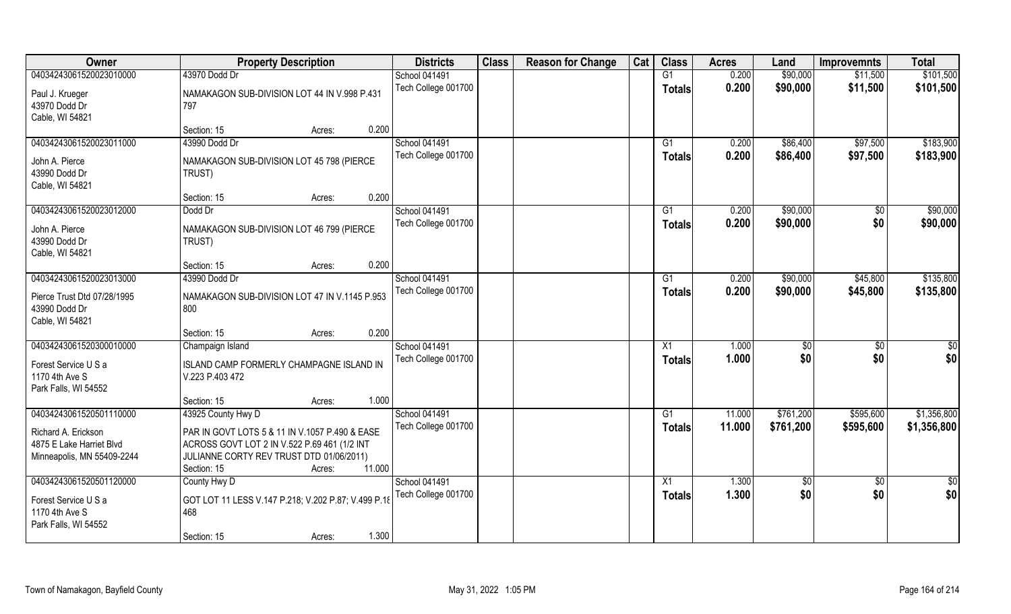| Owner                                        | <b>Property Description</b>                          | <b>Districts</b>    | <b>Class</b> | <b>Reason for Change</b> | Cat | <b>Class</b>    | <b>Acres</b> | Land            | <b>Improvemnts</b> | <b>Total</b> |
|----------------------------------------------|------------------------------------------------------|---------------------|--------------|--------------------------|-----|-----------------|--------------|-----------------|--------------------|--------------|
| 04034243061520023010000                      | 43970 Dodd Dr                                        | School 041491       |              |                          |     | G1              | 0.200        | \$90,000        | \$11,500           | \$101,500    |
| Paul J. Krueger                              | NAMAKAGON SUB-DIVISION LOT 44 IN V.998 P.431         | Tech College 001700 |              |                          |     | <b>Totals</b>   | 0.200        | \$90,000        | \$11,500           | \$101,500    |
| 43970 Dodd Dr                                | 797                                                  |                     |              |                          |     |                 |              |                 |                    |              |
| Cable, WI 54821                              |                                                      |                     |              |                          |     |                 |              |                 |                    |              |
|                                              | 0.200<br>Section: 15<br>Acres:                       |                     |              |                          |     |                 |              |                 |                    |              |
| 04034243061520023011000                      | 43990 Dodd Dr                                        | School 041491       |              |                          |     | G <sub>1</sub>  | 0.200        | \$86,400        | \$97,500           | \$183,900    |
| John A. Pierce                               | NAMAKAGON SUB-DIVISION LOT 45 798 (PIERCE            | Tech College 001700 |              |                          |     | <b>Totals</b>   | 0.200        | \$86,400        | \$97,500           | \$183,900    |
| 43990 Dodd Dr                                | TRUST)                                               |                     |              |                          |     |                 |              |                 |                    |              |
| Cable, WI 54821                              |                                                      |                     |              |                          |     |                 |              |                 |                    |              |
|                                              | 0.200<br>Section: 15<br>Acres:                       |                     |              |                          |     |                 |              |                 |                    |              |
| 04034243061520023012000                      | Dodd Dr                                              | School 041491       |              |                          |     | G1              | 0.200        | \$90,000        | \$0                | \$90,000     |
| John A. Pierce                               |                                                      | Tech College 001700 |              |                          |     | <b>Totals</b>   | 0.200        | \$90,000        | \$0                | \$90,000     |
| 43990 Dodd Dr                                | NAMAKAGON SUB-DIVISION LOT 46 799 (PIERCE<br>TRUST)  |                     |              |                          |     |                 |              |                 |                    |              |
| Cable, WI 54821                              |                                                      |                     |              |                          |     |                 |              |                 |                    |              |
|                                              | 0.200<br>Section: 15<br>Acres:                       |                     |              |                          |     |                 |              |                 |                    |              |
| 04034243061520023013000                      | 43990 Dodd Dr                                        | School 041491       |              |                          |     | G1              | 0.200        | \$90,000        | \$45,800           | \$135,800    |
|                                              |                                                      | Tech College 001700 |              |                          |     | <b>Totals</b>   | 0.200        | \$90,000        | \$45,800           | \$135,800    |
| Pierce Trust Dtd 07/28/1995<br>43990 Dodd Dr | NAMAKAGON SUB-DIVISION LOT 47 IN V.1145 P.953<br>800 |                     |              |                          |     |                 |              |                 |                    |              |
| Cable, WI 54821                              |                                                      |                     |              |                          |     |                 |              |                 |                    |              |
|                                              | 0.200<br>Section: 15<br>Acres:                       |                     |              |                          |     |                 |              |                 |                    |              |
| 04034243061520300010000                      | Champaign Island                                     | School 041491       |              |                          |     | $\overline{X1}$ | 1.000        | \$0             | \$0                | \$0          |
|                                              |                                                      | Tech College 001700 |              |                          |     | <b>Totals</b>   | 1.000        | \$0             | \$0                | \$0          |
| Forest Service U S a                         | ISLAND CAMP FORMERLY CHAMPAGNE ISLAND IN             |                     |              |                          |     |                 |              |                 |                    |              |
| 1170 4th Ave S<br>Park Falls, WI 54552       | V.223 P.403 472                                      |                     |              |                          |     |                 |              |                 |                    |              |
|                                              | 1.000<br>Section: 15<br>Acres:                       |                     |              |                          |     |                 |              |                 |                    |              |
| 04034243061520501110000                      | 43925 County Hwy D                                   | School 041491       |              |                          |     | G1              | 11.000       | \$761,200       | \$595,600          | \$1,356,800  |
|                                              |                                                      | Tech College 001700 |              |                          |     | <b>Totals</b>   | 11.000       | \$761,200       | \$595,600          | \$1,356,800  |
| Richard A. Erickson                          | PAR IN GOVT LOTS 5 & 11 IN V.1057 P.490 & EASE       |                     |              |                          |     |                 |              |                 |                    |              |
| 4875 E Lake Harriet Blvd                     | ACROSS GOVT LOT 2 IN V.522 P.69 461 (1/2 INT         |                     |              |                          |     |                 |              |                 |                    |              |
| Minneapolis, MN 55409-2244                   | JULIANNE CORTY REV TRUST DTD 01/06/2011)             |                     |              |                          |     |                 |              |                 |                    |              |
| 04034243061520501120000                      | 11.000<br>Section: 15<br>Acres:<br>County Hwy D      | School 041491       |              |                          |     | X1              | 1.300        | $\overline{50}$ | $\overline{60}$    | \$0          |
|                                              |                                                      | Tech College 001700 |              |                          |     |                 | 1.300        | \$0             | \$0                | \$0          |
| Forest Service U S a                         | GOT LOT 11 LESS V.147 P.218; V.202 P.87; V.499 P.18  |                     |              |                          |     | <b>Totals</b>   |              |                 |                    |              |
| 1170 4th Ave S                               | 468                                                  |                     |              |                          |     |                 |              |                 |                    |              |
| Park Falls, WI 54552                         |                                                      |                     |              |                          |     |                 |              |                 |                    |              |
|                                              | 1.300<br>Section: 15<br>Acres:                       |                     |              |                          |     |                 |              |                 |                    |              |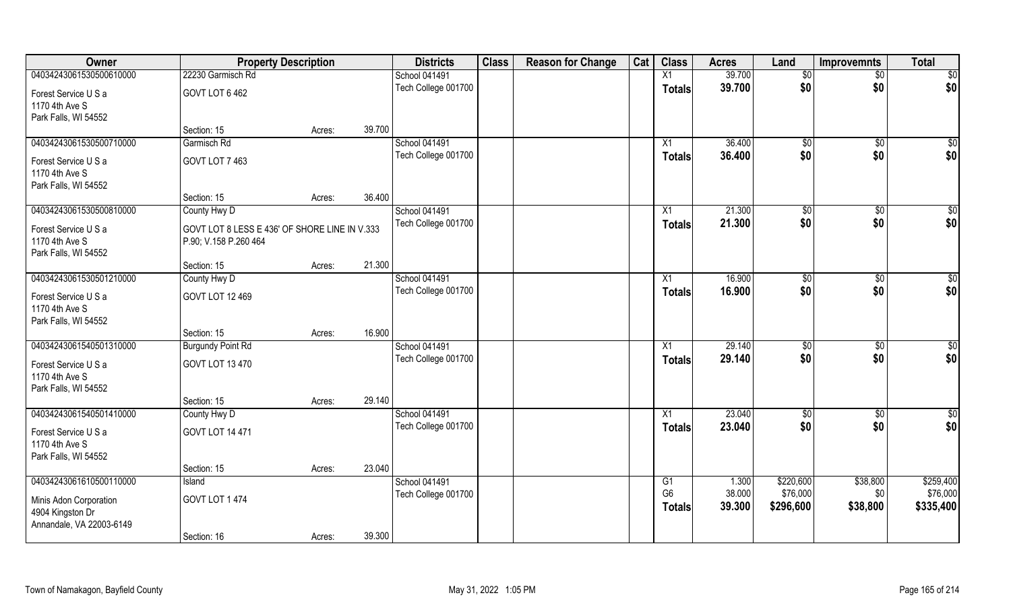| Owner                    | <b>Property Description</b>                   |        |        | <b>Districts</b>    | <b>Class</b> | <b>Reason for Change</b> | Cat | <b>Class</b>         | <b>Acres</b>    | Land                  | <b>Improvemnts</b> | <b>Total</b>          |
|--------------------------|-----------------------------------------------|--------|--------|---------------------|--------------|--------------------------|-----|----------------------|-----------------|-----------------------|--------------------|-----------------------|
| 04034243061530500610000  | 22230 Garmisch Rd                             |        |        | School 041491       |              |                          |     | X1                   | 39.700          | $\sqrt{6}$            | $\overline{50}$    | $\overline{50}$       |
| Forest Service U S a     | GOVT LOT 6 462                                |        |        | Tech College 001700 |              |                          |     | <b>Totals</b>        | 39.700          | \$0                   | \$0                | \$0                   |
| 1170 4th Ave S           |                                               |        |        |                     |              |                          |     |                      |                 |                       |                    |                       |
| Park Falls, WI 54552     |                                               |        |        |                     |              |                          |     |                      |                 |                       |                    |                       |
|                          | Section: 15                                   | Acres: | 39.700 |                     |              |                          |     |                      |                 |                       |                    |                       |
| 04034243061530500710000  | Garmisch Rd                                   |        |        | School 041491       |              |                          |     | X1                   | 36.400          | $\sqrt[6]{}$          | $\overline{50}$    | $\sqrt{50}$           |
| Forest Service U S a     | GOVT LOT 7 463                                |        |        | Tech College 001700 |              |                          |     | <b>Totals</b>        | 36.400          | \$0                   | \$0                | \$0                   |
| 1170 4th Ave S           |                                               |        |        |                     |              |                          |     |                      |                 |                       |                    |                       |
| Park Falls, WI 54552     |                                               |        |        |                     |              |                          |     |                      |                 |                       |                    |                       |
|                          | Section: 15                                   | Acres: | 36.400 |                     |              |                          |     |                      |                 |                       |                    |                       |
| 04034243061530500810000  | County Hwy D                                  |        |        | School 041491       |              |                          |     | X1                   | 21.300          | \$0                   | \$0                | \$0                   |
| Forest Service U S a     | GOVT LOT 8 LESS E 436' OF SHORE LINE IN V.333 |        |        | Tech College 001700 |              |                          |     | <b>Totals</b>        | 21.300          | \$0                   | \$0                | \$0                   |
| 1170 4th Ave S           | P.90; V.158 P.260 464                         |        |        |                     |              |                          |     |                      |                 |                       |                    |                       |
| Park Falls, WI 54552     |                                               |        |        |                     |              |                          |     |                      |                 |                       |                    |                       |
|                          | Section: 15                                   | Acres: | 21.300 |                     |              |                          |     |                      |                 |                       |                    |                       |
| 04034243061530501210000  | County Hwy D                                  |        |        | School 041491       |              |                          |     | X1                   | 16.900          | \$0                   | \$0                | $\overline{50}$       |
| Forest Service U S a     | GOVT LOT 12 469                               |        |        | Tech College 001700 |              |                          |     | <b>Totals</b>        | 16.900          | \$0                   | \$0                | \$0                   |
| 1170 4th Ave S           |                                               |        |        |                     |              |                          |     |                      |                 |                       |                    |                       |
| Park Falls, WI 54552     |                                               |        |        |                     |              |                          |     |                      |                 |                       |                    |                       |
|                          | Section: 15                                   | Acres: | 16.900 |                     |              |                          |     |                      |                 |                       |                    |                       |
| 04034243061540501310000  | <b>Burgundy Point Rd</b>                      |        |        | School 041491       |              |                          |     | X1                   | 29.140          | $\sqrt[6]{30}$        | $\overline{50}$    | \$0                   |
| Forest Service U S a     | GOVT LOT 13 470                               |        |        | Tech College 001700 |              |                          |     | Totals               | 29.140          | \$0                   | \$0                | \$0                   |
| 1170 4th Ave S           |                                               |        |        |                     |              |                          |     |                      |                 |                       |                    |                       |
| Park Falls, WI 54552     |                                               |        |        |                     |              |                          |     |                      |                 |                       |                    |                       |
|                          | Section: 15                                   | Acres: | 29.140 |                     |              |                          |     |                      |                 |                       |                    |                       |
| 04034243061540501410000  | County Hwy D                                  |        |        | School 041491       |              |                          |     | X1                   | 23.040          | \$0                   | \$0                | \$0                   |
| Forest Service U S a     | <b>GOVT LOT 14 471</b>                        |        |        | Tech College 001700 |              |                          |     | <b>Totals</b>        | 23.040          | \$0                   | \$0                | \$0                   |
| 1170 4th Ave S           |                                               |        |        |                     |              |                          |     |                      |                 |                       |                    |                       |
| Park Falls, WI 54552     |                                               |        |        |                     |              |                          |     |                      |                 |                       |                    |                       |
|                          | Section: 15                                   | Acres: | 23.040 |                     |              |                          |     |                      |                 |                       |                    |                       |
| 04034243061610500110000  | Island                                        |        |        | School 041491       |              |                          |     | G1<br>G <sub>6</sub> | 1.300<br>38.000 | \$220,600<br>\$76,000 | \$38,800<br>\$0    | \$259,400<br>\$76,000 |
| Minis Adon Corporation   | GOVT LOT 1474                                 |        |        | Tech College 001700 |              |                          |     | <b>Totals</b>        | 39.300          | \$296,600             | \$38,800           | \$335,400             |
| 4904 Kingston Dr         |                                               |        |        |                     |              |                          |     |                      |                 |                       |                    |                       |
| Annandale, VA 22003-6149 |                                               |        |        |                     |              |                          |     |                      |                 |                       |                    |                       |
|                          | Section: 16                                   | Acres: | 39.300 |                     |              |                          |     |                      |                 |                       |                    |                       |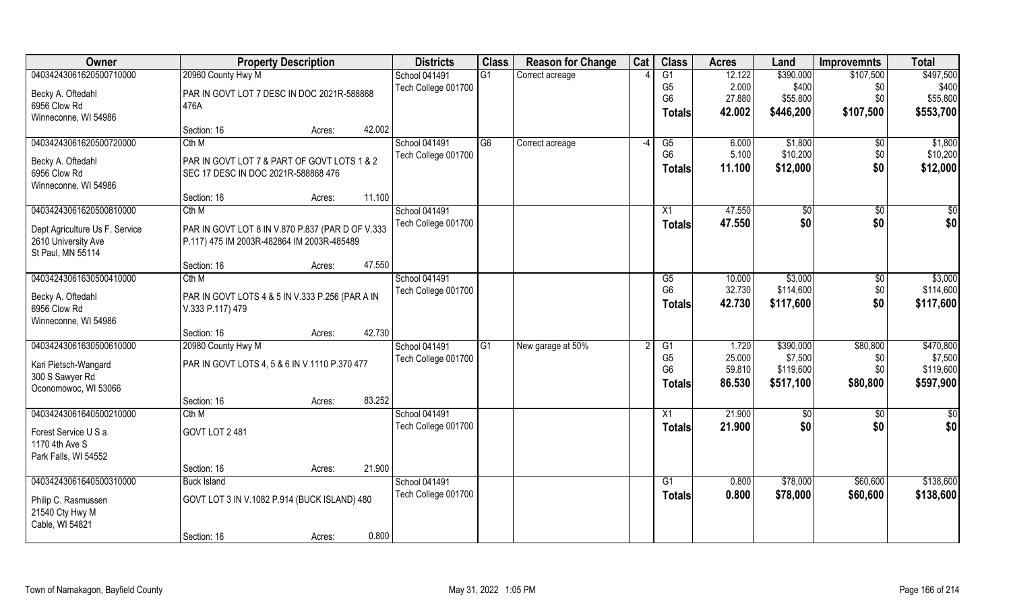| Owner                          |                                                  | <b>Property Description</b> |        | <b>Districts</b>    | <b>Class</b>   | <b>Reason for Change</b> | Cat  | <b>Class</b>    | <b>Acres</b> | Land      | <b>Improvemnts</b> | <b>Total</b> |
|--------------------------------|--------------------------------------------------|-----------------------------|--------|---------------------|----------------|--------------------------|------|-----------------|--------------|-----------|--------------------|--------------|
| 04034243061620500710000        | 20960 County Hwy M                               |                             |        | School 041491       | G1             | Correct acreage          |      | $\overline{G1}$ | 12.122       | \$390,000 | \$107,500          | \$497,500    |
| Becky A. Oftedahl              | PAR IN GOVT LOT 7 DESC IN DOC 2021R-588868       |                             |        | Tech College 001700 |                |                          |      | G <sub>5</sub>  | 2.000        | \$400     | \$0                | \$400        |
| 6956 Clow Rd                   | 476A                                             |                             |        |                     |                |                          |      | G <sub>6</sub>  | 27.880       | \$55,800  | \$0                | \$55,800     |
| Winneconne, WI 54986           |                                                  |                             |        |                     |                |                          |      | <b>Totals</b>   | 42.002       | \$446,200 | \$107,500          | \$553,700    |
|                                | Section: 16                                      | Acres:                      | 42.002 |                     |                |                          |      |                 |              |           |                    |              |
| 04034243061620500720000        | Cth M                                            |                             |        | School 041491       | G <sub>6</sub> | Correct acreage          | $-4$ | G5              | 6.000        | \$1,800   | \$0                | \$1,800      |
| Becky A. Oftedahl              | PAR IN GOVT LOT 7 & PART OF GOVT LOTS 1 & 2      |                             |        | Tech College 001700 |                |                          |      | G <sub>6</sub>  | 5.100        | \$10,200  | \$0                | \$10,200     |
| 6956 Clow Rd                   | SEC 17 DESC IN DOC 2021R-588868 476              |                             |        |                     |                |                          |      | <b>Totals</b>   | 11.100       | \$12,000  | \$0                | \$12,000     |
| Winneconne, WI 54986           |                                                  |                             |        |                     |                |                          |      |                 |              |           |                    |              |
|                                | Section: 16                                      | Acres:                      | 11.100 |                     |                |                          |      |                 |              |           |                    |              |
| 04034243061620500810000        | Cth M                                            |                             |        | School 041491       |                |                          |      | X1              | 47,550       | \$0       | \$0                | \$0          |
| Dept Agriculture Us F. Service | PAR IN GOVT LOT 8 IN V.870 P.837 (PAR D OF V.333 |                             |        | Tech College 001700 |                |                          |      | <b>Totals</b>   | 47.550       | \$0       | \$0                | \$0          |
| 2610 University Ave            | P.117) 475 IM 2003R-482864 IM 2003R-485489       |                             |        |                     |                |                          |      |                 |              |           |                    |              |
| St Paul, MN 55114              |                                                  |                             |        |                     |                |                          |      |                 |              |           |                    |              |
|                                | Section: 16                                      | Acres:                      | 47.550 |                     |                |                          |      |                 |              |           |                    |              |
| 04034243061630500410000        | Cth M                                            |                             |        | School 041491       |                |                          |      | G5              | 10.000       | \$3,000   | \$0                | \$3,000      |
| Becky A. Oftedahl              | PAR IN GOVT LOTS 4 & 5 IN V.333 P.256 (PAR A IN  |                             |        | Tech College 001700 |                |                          |      | G <sub>6</sub>  | 32.730       | \$114,600 | \$0                | \$114,600    |
| 6956 Clow Rd                   | V.333 P.117) 479                                 |                             |        |                     |                |                          |      | <b>Totals</b>   | 42.730       | \$117,600 | \$0                | \$117,600    |
| Winneconne, WI 54986           |                                                  |                             |        |                     |                |                          |      |                 |              |           |                    |              |
|                                | Section: 16                                      | Acres:                      | 42.730 |                     |                |                          |      |                 |              |           |                    |              |
| 04034243061630500610000        | 20980 County Hwy M                               |                             |        | School 041491       | G1             | New garage at 50%        |      | G1              | 1.720        | \$390,000 | \$80,800           | \$470,800    |
| Kari Pietsch-Wangard           | PAR IN GOVT LOTS 4, 5 & 6 IN V.1110 P.370 477    |                             |        | Tech College 001700 |                |                          |      | G <sub>5</sub>  | 25.000       | \$7,500   | \$0                | \$7,500      |
| 300 S Sawyer Rd                |                                                  |                             |        |                     |                |                          |      | G <sub>6</sub>  | 59.810       | \$119,600 | \$0\$              | \$119,600    |
| Oconomowoc, WI 53066           |                                                  |                             |        |                     |                |                          |      | <b>Totals</b>   | 86.530       | \$517,100 | \$80,800           | \$597,900    |
|                                | Section: 16                                      | Acres:                      | 83.252 |                     |                |                          |      |                 |              |           |                    |              |
| 04034243061640500210000        | Cth M                                            |                             |        | School 041491       |                |                          |      | $\overline{X1}$ | 21.900       | \$0       | $\overline{50}$    | \$0          |
| Forest Service U S a           | GOVT LOT 2481                                    |                             |        | Tech College 001700 |                |                          |      | <b>Totals</b>   | 21.900       | \$0       | \$0                | \$0          |
| 1170 4th Ave S                 |                                                  |                             |        |                     |                |                          |      |                 |              |           |                    |              |
| Park Falls, WI 54552           |                                                  |                             |        |                     |                |                          |      |                 |              |           |                    |              |
|                                | Section: 16                                      | Acres:                      | 21.900 |                     |                |                          |      |                 |              |           |                    |              |
| 04034243061640500310000        | <b>Buck Island</b>                               |                             |        | School 041491       |                |                          |      | G1              | 0.800        | \$78,000  | \$60,600           | \$138,600    |
| Philip C. Rasmussen            | GOVT LOT 3 IN V.1082 P.914 (BUCK ISLAND) 480     |                             |        | Tech College 001700 |                |                          |      | <b>Totals</b>   | 0.800        | \$78,000  | \$60,600           | \$138,600    |
| 21540 Cty Hwy M                |                                                  |                             |        |                     |                |                          |      |                 |              |           |                    |              |
| Cable, WI 54821                |                                                  |                             |        |                     |                |                          |      |                 |              |           |                    |              |
|                                | Section: 16                                      | Acres:                      | 0.800  |                     |                |                          |      |                 |              |           |                    |              |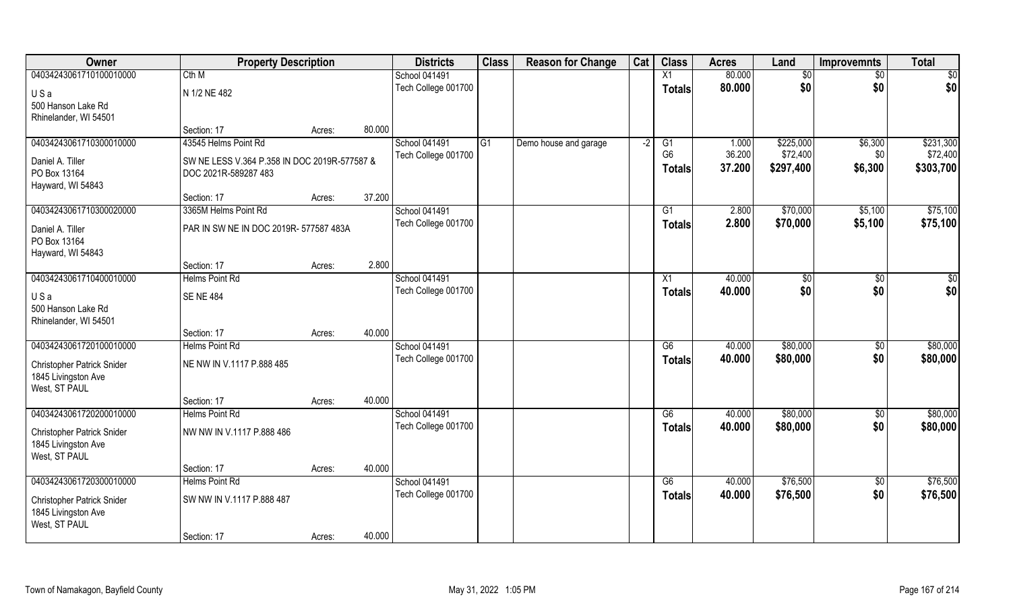| Owner                             | <b>Property Description</b>                  |        |        | <b>Districts</b>    | <b>Class</b>   | <b>Reason for Change</b> | Cat  | <b>Class</b>   | <b>Acres</b> | Land      | <b>Improvemnts</b> | <b>Total</b> |
|-----------------------------------|----------------------------------------------|--------|--------|---------------------|----------------|--------------------------|------|----------------|--------------|-----------|--------------------|--------------|
| 04034243061710100010000           | Cth M                                        |        |        | School 041491       |                |                          |      | X1             | 80.000       | \$0       | \$0                | \$0          |
| USa                               | N 1/2 NE 482                                 |        |        | Tech College 001700 |                |                          |      | <b>Totals</b>  | 80.000       | \$0       | \$0                | \$0          |
| 500 Hanson Lake Rd                |                                              |        |        |                     |                |                          |      |                |              |           |                    |              |
| Rhinelander, WI 54501             |                                              |        |        |                     |                |                          |      |                |              |           |                    |              |
|                                   | Section: 17                                  | Acres: | 80.000 |                     |                |                          |      |                |              |           |                    |              |
| 04034243061710300010000           | 43545 Helms Point Rd                         |        |        | School 041491       | G <sub>1</sub> | Demo house and garage    | $-2$ | G1             | 1.000        | \$225,000 | \$6,300            | \$231,300    |
| Daniel A. Tiller                  | SW NE LESS V.364 P.358 IN DOC 2019R-577587 & |        |        | Tech College 001700 |                |                          |      | G <sub>6</sub> | 36.200       | \$72,400  | \$0                | \$72,400     |
| PO Box 13164                      | DOC 2021R-589287 483                         |        |        |                     |                |                          |      | <b>Totals</b>  | 37.200       | \$297,400 | \$6,300            | \$303,700    |
| Hayward, WI 54843                 |                                              |        |        |                     |                |                          |      |                |              |           |                    |              |
|                                   | Section: 17                                  | Acres: | 37.200 |                     |                |                          |      |                |              |           |                    |              |
| 04034243061710300020000           | 3365M Helms Point Rd                         |        |        | School 041491       |                |                          |      | G1             | 2.800        | \$70,000  | \$5,100            | \$75,100     |
| Daniel A. Tiller                  | PAR IN SW NE IN DOC 2019R- 577587 483A       |        |        | Tech College 001700 |                |                          |      | <b>Totals</b>  | 2.800        | \$70,000  | \$5,100            | \$75,100     |
| PO Box 13164                      |                                              |        |        |                     |                |                          |      |                |              |           |                    |              |
| Hayward, WI 54843                 |                                              |        |        |                     |                |                          |      |                |              |           |                    |              |
|                                   | Section: 17                                  | Acres: | 2.800  |                     |                |                          |      |                |              |           |                    |              |
| 04034243061710400010000           | <b>Helms Point Rd</b>                        |        |        | School 041491       |                |                          |      | X1             | 40.000       | \$0       | \$0                | \$0          |
| USa                               | <b>SENE 484</b>                              |        |        | Tech College 001700 |                |                          |      | <b>Totals</b>  | 40.000       | \$0       | \$0                | \$0          |
| 500 Hanson Lake Rd                |                                              |        |        |                     |                |                          |      |                |              |           |                    |              |
| Rhinelander, WI 54501             |                                              |        |        |                     |                |                          |      |                |              |           |                    |              |
|                                   | Section: 17                                  | Acres: | 40.000 |                     |                |                          |      |                |              |           |                    |              |
| 04034243061720100010000           | <b>Helms Point Rd</b>                        |        |        | School 041491       |                |                          |      | G6             | 40.000       | \$80,000  | \$0                | \$80,000     |
| Christopher Patrick Snider        | NE NW IN V.1117 P.888 485                    |        |        | Tech College 001700 |                |                          |      | <b>Totals</b>  | 40.000       | \$80,000  | \$0                | \$80,000     |
| 1845 Livingston Ave               |                                              |        |        |                     |                |                          |      |                |              |           |                    |              |
| West, ST PAUL                     |                                              |        |        |                     |                |                          |      |                |              |           |                    |              |
|                                   | Section: 17                                  | Acres: | 40.000 |                     |                |                          |      |                |              |           |                    |              |
| 04034243061720200010000           | Helms Point Rd                               |        |        | School 041491       |                |                          |      | G6             | 40.000       | \$80,000  | $\sqrt{50}$        | \$80,000     |
| <b>Christopher Patrick Snider</b> | NW NW IN V.1117 P.888 486                    |        |        | Tech College 001700 |                |                          |      | <b>Totals</b>  | 40.000       | \$80,000  | \$0                | \$80,000     |
| 1845 Livingston Ave               |                                              |        |        |                     |                |                          |      |                |              |           |                    |              |
| West, ST PAUL                     |                                              |        |        |                     |                |                          |      |                |              |           |                    |              |
|                                   | Section: 17                                  | Acres: | 40.000 |                     |                |                          |      |                |              |           |                    |              |
| 04034243061720300010000           | Helms Point Rd                               |        |        | School 041491       |                |                          |      | G6             | 40.000       | \$76,500  | $\overline{50}$    | \$76,500     |
| Christopher Patrick Snider        | SW NW IN V.1117 P.888 487                    |        |        | Tech College 001700 |                |                          |      | <b>Totals</b>  | 40.000       | \$76,500  | \$0                | \$76,500     |
| 1845 Livingston Ave               |                                              |        |        |                     |                |                          |      |                |              |           |                    |              |
| West, ST PAUL                     |                                              |        |        |                     |                |                          |      |                |              |           |                    |              |
|                                   | Section: 17                                  | Acres: | 40.000 |                     |                |                          |      |                |              |           |                    |              |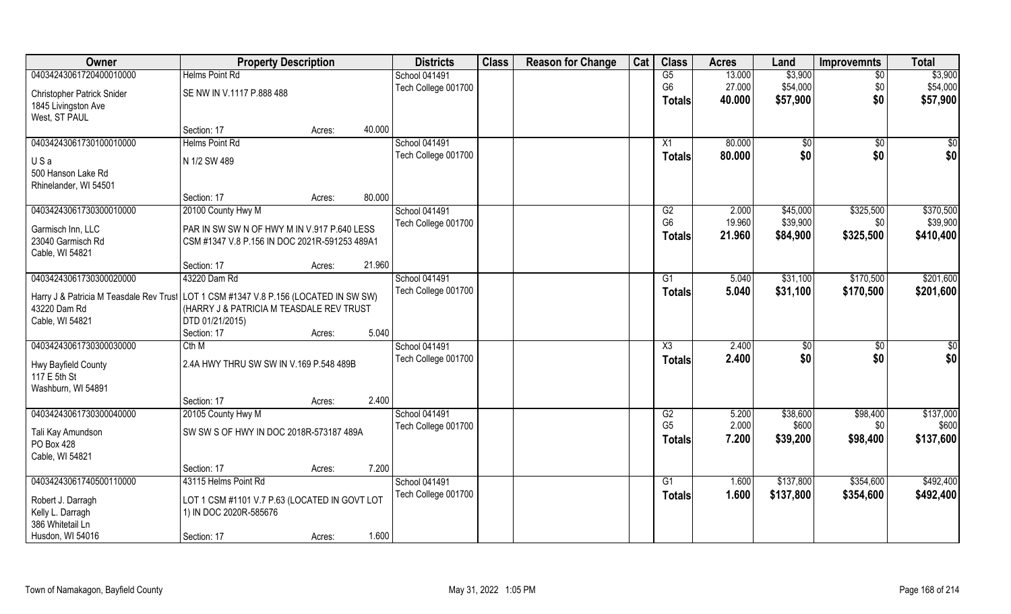| Owner                                                                                                | <b>Property Description</b>                   |        |        | <b>Districts</b>     | <b>Class</b> | <b>Reason for Change</b> | Cat | <b>Class</b>   | <b>Acres</b> | Land           | <b>Improvemnts</b> | <b>Total</b>    |
|------------------------------------------------------------------------------------------------------|-----------------------------------------------|--------|--------|----------------------|--------------|--------------------------|-----|----------------|--------------|----------------|--------------------|-----------------|
| 04034243061720400010000                                                                              | <b>Helms Point Rd</b>                         |        |        | School 041491        |              |                          |     | G5             | 13.000       | \$3,900        | $\overline{50}$    | \$3,900         |
| <b>Christopher Patrick Snider</b>                                                                    | SE NW IN V.1117 P.888 488                     |        |        | Tech College 001700  |              |                          |     | G <sub>6</sub> | 27.000       | \$54,000       | \$0                | \$54,000        |
| 1845 Livingston Ave                                                                                  |                                               |        |        |                      |              |                          |     | Totals         | 40.000       | \$57,900       | \$0                | \$57,900        |
| West, ST PAUL                                                                                        |                                               |        |        |                      |              |                          |     |                |              |                |                    |                 |
|                                                                                                      | Section: 17                                   | Acres: | 40.000 |                      |              |                          |     |                |              |                |                    |                 |
| 04034243061730100010000                                                                              | <b>Helms Point Rd</b>                         |        |        | <b>School 041491</b> |              |                          |     | X1             | 80.000       | \$0            | \$0                | \$0             |
|                                                                                                      |                                               |        |        | Tech College 001700  |              |                          |     | <b>Totals</b>  | 80.000       | \$0            | \$0                | \$0             |
| USa                                                                                                  | N 1/2 SW 489                                  |        |        |                      |              |                          |     |                |              |                |                    |                 |
| 500 Hanson Lake Rd                                                                                   |                                               |        |        |                      |              |                          |     |                |              |                |                    |                 |
| Rhinelander, WI 54501                                                                                |                                               |        |        |                      |              |                          |     |                |              |                |                    |                 |
|                                                                                                      | Section: 17                                   | Acres: | 80.000 |                      |              |                          |     |                |              |                |                    |                 |
| 04034243061730300010000                                                                              | 20100 County Hwy M                            |        |        | School 041491        |              |                          |     | G2             | 2.000        | \$45,000       | \$325,500          | \$370,500       |
| Garmisch Inn, LLC                                                                                    | PAR IN SW SW N OF HWY M IN V.917 P.640 LESS   |        |        | Tech College 001700  |              |                          |     | G <sub>6</sub> | 19.960       | \$39,900       | \$0                | \$39,900        |
| 23040 Garmisch Rd                                                                                    | CSM #1347 V.8 P.156 IN DOC 2021R-591253 489A1 |        |        |                      |              |                          |     | <b>Totals</b>  | 21.960       | \$84,900       | \$325,500          | \$410,400       |
| Cable, WI 54821                                                                                      |                                               |        |        |                      |              |                          |     |                |              |                |                    |                 |
|                                                                                                      | Section: 17                                   | Acres: | 21.960 |                      |              |                          |     |                |              |                |                    |                 |
| 04034243061730300020000                                                                              | 43220 Dam Rd                                  |        |        | School 041491        |              |                          |     | G1             | 5.040        | \$31,100       | \$170,500          | \$201,600       |
|                                                                                                      |                                               |        |        | Tech College 001700  |              |                          |     | <b>Totals</b>  | 5.040        | \$31,100       | \$170,500          | \$201,600       |
| Harry J & Patricia M Teasdale Rev Trust LOT 1 CSM #1347 V.8 P.156 (LOCATED IN SW SW)<br>43220 Dam Rd | (HARRY J & PATRICIA M TEASDALE REV TRUST      |        |        |                      |              |                          |     |                |              |                |                    |                 |
| Cable, WI 54821                                                                                      | DTD 01/21/2015)                               |        |        |                      |              |                          |     |                |              |                |                    |                 |
|                                                                                                      | Section: 17                                   | Acres: | 5.040  |                      |              |                          |     |                |              |                |                    |                 |
| 04034243061730300030000                                                                              | Cth M                                         |        |        | School 041491        |              |                          |     | X3             | 2.400        | $\sqrt[6]{30}$ | $\overline{50}$    | $\overline{50}$ |
|                                                                                                      |                                               |        |        | Tech College 001700  |              |                          |     | <b>Totals</b>  | 2.400        | \$0            | \$0                | \$0             |
| Hwy Bayfield County                                                                                  | 2.4A HWY THRU SW SW IN V.169 P.548 489B       |        |        |                      |              |                          |     |                |              |                |                    |                 |
| 117 E 5th St                                                                                         |                                               |        |        |                      |              |                          |     |                |              |                |                    |                 |
| Washburn, WI 54891                                                                                   |                                               |        |        |                      |              |                          |     |                |              |                |                    |                 |
|                                                                                                      | Section: 17                                   | Acres: | 2.400  |                      |              |                          |     |                |              |                |                    |                 |
| 04034243061730300040000                                                                              | 20105 County Hwy M                            |        |        | School 041491        |              |                          |     | G2             | 5.200        | \$38,600       | \$98,400           | \$137,000       |
| Tali Kay Amundson                                                                                    | SW SW S OF HWY IN DOC 2018R-573187 489A       |        |        | Tech College 001700  |              |                          |     | G <sub>5</sub> | 2.000        | \$600          | \$0                | \$600           |
| PO Box 428                                                                                           |                                               |        |        |                      |              |                          |     | Totals         | 7.200        | \$39,200       | \$98,400           | \$137,600       |
| Cable, WI 54821                                                                                      |                                               |        |        |                      |              |                          |     |                |              |                |                    |                 |
|                                                                                                      | Section: 17                                   | Acres: | 7.200  |                      |              |                          |     |                |              |                |                    |                 |
| 04034243061740500110000                                                                              | 43115 Helms Point Rd                          |        |        | School 041491        |              |                          |     | G1             | 1.600        | \$137,800      | \$354,600          | \$492,400       |
| Robert J. Darragh                                                                                    | LOT 1 CSM #1101 V.7 P.63 (LOCATED IN GOVT LOT |        |        | Tech College 001700  |              |                          |     | Totals         | 1.600        | \$137,800      | \$354,600          | \$492,400       |
| Kelly L. Darragh                                                                                     | 1) IN DOC 2020R-585676                        |        |        |                      |              |                          |     |                |              |                |                    |                 |
| 386 Whitetail Ln                                                                                     |                                               |        |        |                      |              |                          |     |                |              |                |                    |                 |
| Husdon, WI 54016                                                                                     | Section: 17                                   | Acres: | 1.600  |                      |              |                          |     |                |              |                |                    |                 |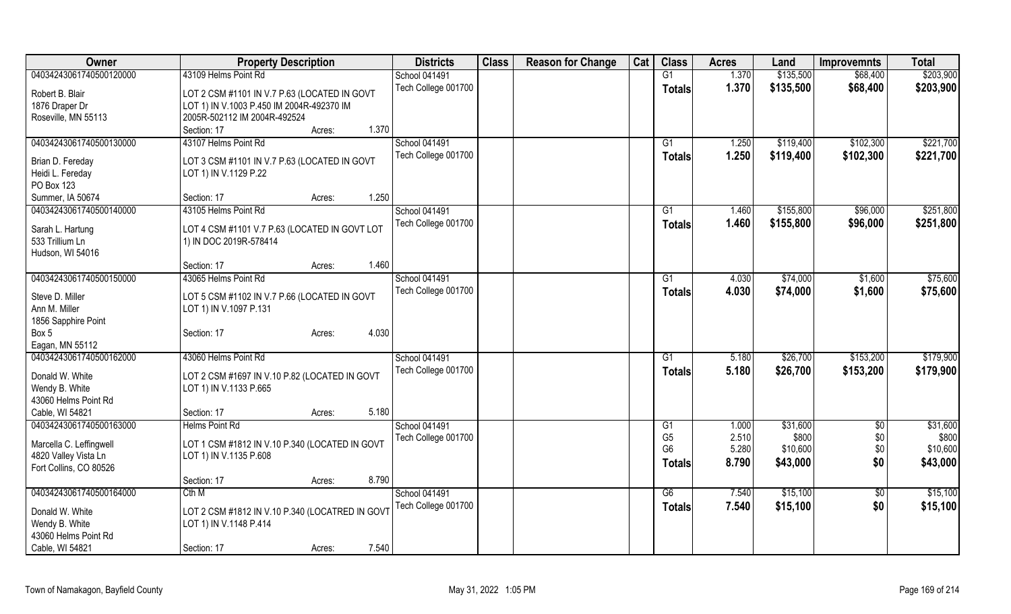| Owner                   | <b>Property Description</b>                     | <b>Districts</b>    | <b>Class</b> | <b>Reason for Change</b> | Cat | <b>Class</b>    | <b>Acres</b> | Land      | <b>Improvemnts</b> | <b>Total</b> |
|-------------------------|-------------------------------------------------|---------------------|--------------|--------------------------|-----|-----------------|--------------|-----------|--------------------|--------------|
| 04034243061740500120000 | 43109 Helms Point Rd                            | School 041491       |              |                          |     | $\overline{G1}$ | 1.370        | \$135,500 | \$68,400           | \$203,900    |
| Robert B. Blair         | LOT 2 CSM #1101 IN V.7 P.63 (LOCATED IN GOVT    | Tech College 001700 |              |                          |     | <b>Totals</b>   | 1.370        | \$135,500 | \$68,400           | \$203,900    |
| 1876 Draper Dr          | LOT 1) IN V.1003 P.450 IM 2004R-492370 IM       |                     |              |                          |     |                 |              |           |                    |              |
| Roseville, MN 55113     | 2005R-502112 IM 2004R-492524                    |                     |              |                          |     |                 |              |           |                    |              |
|                         | 1.370<br>Section: 17                            |                     |              |                          |     |                 |              |           |                    |              |
|                         | Acres:                                          |                     |              |                          |     |                 |              |           |                    |              |
| 04034243061740500130000 | 43107 Helms Point Rd                            | School 041491       |              |                          |     | G1              | 1.250        | \$119,400 | \$102,300          | \$221,700    |
| Brian D. Fereday        | LOT 3 CSM #1101 IN V.7 P.63 (LOCATED IN GOVT    | Tech College 001700 |              |                          |     | <b>Totals</b>   | 1.250        | \$119,400 | \$102,300          | \$221,700    |
| Heidi L. Fereday        | LOT 1) IN V.1129 P.22                           |                     |              |                          |     |                 |              |           |                    |              |
| PO Box 123              |                                                 |                     |              |                          |     |                 |              |           |                    |              |
| Summer, IA 50674        | 1.250<br>Section: 17<br>Acres:                  |                     |              |                          |     |                 |              |           |                    |              |
| 04034243061740500140000 | 43105 Helms Point Rd                            | School 041491       |              |                          |     | G1              | 1.460        | \$155,800 | \$96,000           | \$251,800    |
|                         |                                                 | Tech College 001700 |              |                          |     | <b>Totals</b>   | 1.460        | \$155,800 | \$96,000           | \$251,800    |
| Sarah L. Hartung        | LOT 4 CSM #1101 V.7 P.63 (LOCATED IN GOVT LOT   |                     |              |                          |     |                 |              |           |                    |              |
| 533 Trillium Ln         | 1) IN DOC 2019R-578414                          |                     |              |                          |     |                 |              |           |                    |              |
| Hudson, WI 54016        |                                                 |                     |              |                          |     |                 |              |           |                    |              |
|                         | 1.460<br>Section: 17<br>Acres:                  |                     |              |                          |     |                 |              |           |                    |              |
| 04034243061740500150000 | 43065 Helms Point Rd                            | School 041491       |              |                          |     | $\overline{G1}$ | 4.030        | \$74,000  | \$1,600            | \$75,600     |
| Steve D. Miller         | LOT 5 CSM #1102 IN V.7 P.66 (LOCATED IN GOVT    | Tech College 001700 |              |                          |     | Totals          | 4.030        | \$74,000  | \$1,600            | \$75,600     |
| Ann M. Miller           | LOT 1) IN V.1097 P.131                          |                     |              |                          |     |                 |              |           |                    |              |
| 1856 Sapphire Point     |                                                 |                     |              |                          |     |                 |              |           |                    |              |
| Box 5                   | 4.030<br>Section: 17<br>Acres:                  |                     |              |                          |     |                 |              |           |                    |              |
| Eagan, MN 55112         |                                                 |                     |              |                          |     |                 |              |           |                    |              |
| 04034243061740500162000 | 43060 Helms Point Rd                            | School 041491       |              |                          |     | G1              | 5.180        | \$26,700  | \$153,200          | \$179,900    |
|                         |                                                 | Tech College 001700 |              |                          |     |                 |              |           |                    |              |
| Donald W. White         | LOT 2 CSM #1697 IN V.10 P.82 (LOCATED IN GOVT   |                     |              |                          |     | <b>Totals</b>   | 5.180        | \$26,700  | \$153,200          | \$179,900    |
| Wendy B. White          | LOT 1) IN V.1133 P.665                          |                     |              |                          |     |                 |              |           |                    |              |
| 43060 Helms Point Rd    |                                                 |                     |              |                          |     |                 |              |           |                    |              |
| Cable, WI 54821         | 5.180<br>Section: 17<br>Acres:                  |                     |              |                          |     |                 |              |           |                    |              |
| 04034243061740500163000 | <b>Helms Point Rd</b>                           | School 041491       |              |                          |     | G1              | 1.000        | \$31,600  | \$0                | \$31,600     |
|                         |                                                 | Tech College 001700 |              |                          |     | G <sub>5</sub>  | 2.510        | \$800     | \$0                | \$800        |
| Marcella C. Leffingwell | LOT 1 CSM #1812 IN V.10 P.340 (LOCATED IN GOVT  |                     |              |                          |     | G <sub>6</sub>  | 5.280        | \$10,600  | \$0                | \$10,600     |
| 4820 Valley Vista Ln    | LOT 1) IN V.1135 P.608                          |                     |              |                          |     | Totals          | 8.790        | \$43,000  | \$0                | \$43,000     |
| Fort Collins, CO 80526  |                                                 |                     |              |                          |     |                 |              |           |                    |              |
|                         | 8.790<br>Section: 17<br>Acres:                  |                     |              |                          |     |                 |              |           |                    |              |
| 04034243061740500164000 | Cth M                                           | School 041491       |              |                          |     | G6              | 7.540        | \$15,100  | $\sqrt[6]{}$       | \$15,100     |
| Donald W. White         | LOT 2 CSM #1812 IN V.10 P.340 (LOCATRED IN GOVT | Tech College 001700 |              |                          |     | <b>Totals</b>   | 7.540        | \$15,100  | \$0                | \$15,100     |
| Wendy B. White          | LOT 1) IN V.1148 P.414                          |                     |              |                          |     |                 |              |           |                    |              |
| 43060 Helms Point Rd    |                                                 |                     |              |                          |     |                 |              |           |                    |              |
| Cable, WI 54821         | 7.540<br>Section: 17<br>Acres:                  |                     |              |                          |     |                 |              |           |                    |              |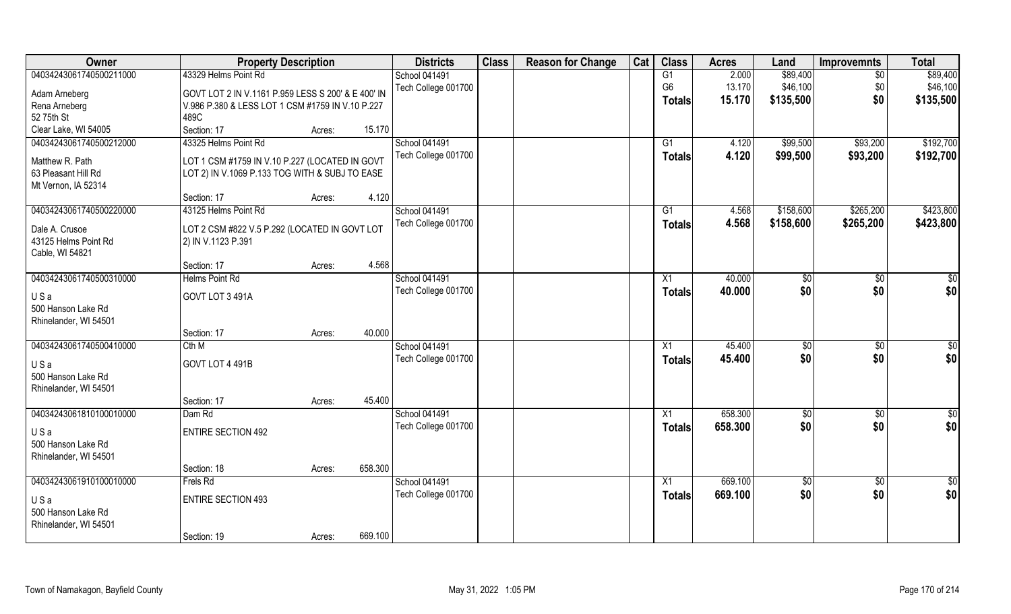| Owner                     | <b>Property Description</b>                        |                   | <b>Districts</b>     | <b>Class</b> | <b>Reason for Change</b> | Cat | <b>Class</b>    | <b>Acres</b> | Land        | <b>Improvemnts</b> | <b>Total</b>    |
|---------------------------|----------------------------------------------------|-------------------|----------------------|--------------|--------------------------|-----|-----------------|--------------|-------------|--------------------|-----------------|
| 04034243061740500211000   | 43329 Helms Point Rd                               |                   | <b>School 041491</b> |              |                          |     | G1              | 2.000        | \$89,400    | $\sqrt{6}$         | \$89,400        |
| Adam Arneberg             | GOVT LOT 2 IN V.1161 P.959 LESS S 200' & E 400' IN |                   | Tech College 001700  |              |                          |     | G <sub>6</sub>  | 13.170       | \$46,100    | \$0                | \$46,100        |
| Rena Arneberg             | V.986 P.380 & LESS LOT 1 CSM #1759 IN V.10 P.227   |                   |                      |              |                          |     | Totals          | 15.170       | \$135,500   | \$0                | \$135,500       |
| 52 75th St                | 489C                                               |                   |                      |              |                          |     |                 |              |             |                    |                 |
| Clear Lake, WI 54005      | Section: 17                                        | 15.170<br>Acres:  |                      |              |                          |     |                 |              |             |                    |                 |
| 04034243061740500212000   | 43325 Helms Point Rd                               |                   | <b>School 041491</b> |              |                          |     | G1              | 4.120        | \$99,500    | \$93,200           | \$192,700       |
| Matthew R. Path           | LOT 1 CSM #1759 IN V.10 P.227 (LOCATED IN GOVT     |                   | Tech College 001700  |              |                          |     | <b>Totals</b>   | 4.120        | \$99,500    | \$93,200           | \$192,700       |
| 63 Pleasant Hill Rd       | LOT 2) IN V.1069 P.133 TOG WITH & SUBJ TO EASE     |                   |                      |              |                          |     |                 |              |             |                    |                 |
| Mt Vernon, IA 52314       |                                                    |                   |                      |              |                          |     |                 |              |             |                    |                 |
|                           | Section: 17                                        | 4.120<br>Acres:   |                      |              |                          |     |                 |              |             |                    |                 |
| 04034243061740500220000   | 43125 Helms Point Rd                               |                   | <b>School 041491</b> |              |                          |     | G1              | 4.568        | \$158,600   | \$265,200          | \$423,800       |
|                           |                                                    |                   | Tech College 001700  |              |                          |     | <b>Totals</b>   | 4.568        | \$158,600   | \$265,200          | \$423,800       |
| Dale A. Crusoe            | LOT 2 CSM #822 V.5 P.292 (LOCATED IN GOVT LOT      |                   |                      |              |                          |     |                 |              |             |                    |                 |
| 43125 Helms Point Rd      | 2) IN V.1123 P.391                                 |                   |                      |              |                          |     |                 |              |             |                    |                 |
| Cable, WI 54821           | Section: 17                                        | 4.568<br>Acres:   |                      |              |                          |     |                 |              |             |                    |                 |
| 04034243061740500310000   | <b>Helms Point Rd</b>                              |                   | <b>School 041491</b> |              |                          |     | X1              | 40.000       | \$0         | $\sqrt[6]{3}$      | \$0             |
|                           |                                                    |                   | Tech College 001700  |              |                          |     | <b>Totals</b>   | 40.000       | \$0         | \$0                | \$0             |
| USa                       | GOVT LOT 3 491A                                    |                   |                      |              |                          |     |                 |              |             |                    |                 |
| 500 Hanson Lake Rd        |                                                    |                   |                      |              |                          |     |                 |              |             |                    |                 |
| Rhinelander, WI 54501     |                                                    |                   |                      |              |                          |     |                 |              |             |                    |                 |
|                           | Section: 17                                        | 40.000<br>Acres:  |                      |              |                          |     |                 |              |             |                    |                 |
| 04034243061740500410000   | Cth M                                              |                   | School 041491        |              |                          |     | X1              | 45.400       | \$0         | \$0                | $\sqrt{50}$     |
| USa                       | GOVT LOT 4 491B                                    |                   | Tech College 001700  |              |                          |     | <b>Totals</b>   | 45.400       | \$0         | \$0                | \$0             |
| 500 Hanson Lake Rd        |                                                    |                   |                      |              |                          |     |                 |              |             |                    |                 |
| Rhinelander, WI 54501     |                                                    |                   |                      |              |                          |     |                 |              |             |                    |                 |
|                           | Section: 17                                        | 45.400<br>Acres:  |                      |              |                          |     |                 |              |             |                    |                 |
| 04034243061810100010000   | Dam Rd                                             |                   | <b>School 041491</b> |              |                          |     | X1              | 658.300      | \$0         | $\sqrt{$0}$        | \$0             |
| USa                       | <b>ENTIRE SECTION 492</b>                          |                   | Tech College 001700  |              |                          |     | <b>Totals</b>   | 658.300      | \$0         | \$0                | \$0             |
| 500 Hanson Lake Rd        |                                                    |                   |                      |              |                          |     |                 |              |             |                    |                 |
| Rhinelander, WI 54501     |                                                    |                   |                      |              |                          |     |                 |              |             |                    |                 |
|                           | Section: 18                                        | 658.300<br>Acres: |                      |              |                          |     |                 |              |             |                    |                 |
| 04034243061910100010000   | Frels Rd                                           |                   | School 041491        |              |                          |     | $\overline{X1}$ | 669.100      | $\sqrt{50}$ | $\sqrt{$0}$        | $\overline{50}$ |
|                           | <b>ENTIRE SECTION 493</b>                          |                   | Tech College 001700  |              |                          |     | <b>Totals</b>   | 669.100      | \$0         | \$0                | \$0             |
| USa<br>500 Hanson Lake Rd |                                                    |                   |                      |              |                          |     |                 |              |             |                    |                 |
| Rhinelander, WI 54501     |                                                    |                   |                      |              |                          |     |                 |              |             |                    |                 |
|                           | Section: 19                                        | 669.100<br>Acres: |                      |              |                          |     |                 |              |             |                    |                 |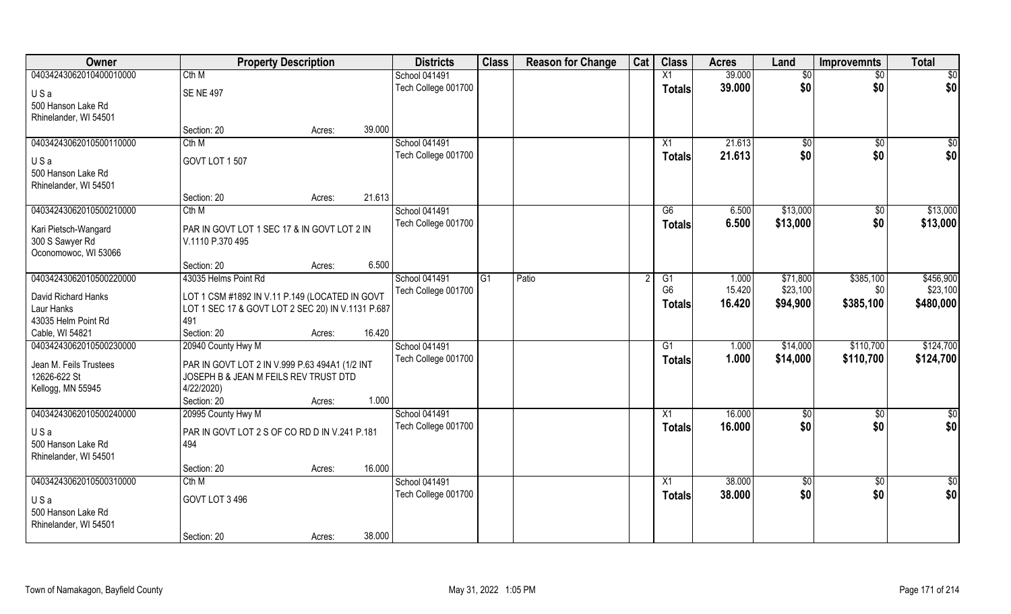| Owner                   | <b>Property Description</b>                       |        |        | <b>Districts</b>    | <b>Class</b>   | <b>Reason for Change</b> | Cat | <b>Class</b>    | <b>Acres</b> | Land            | <b>Improvemnts</b> | <b>Total</b>    |
|-------------------------|---------------------------------------------------|--------|--------|---------------------|----------------|--------------------------|-----|-----------------|--------------|-----------------|--------------------|-----------------|
| 04034243062010400010000 | Cth M                                             |        |        | School 041491       |                |                          |     | X1              | 39.000       | $\overline{50}$ | $\sqrt{$0}$        | $\overline{50}$ |
| USa                     | <b>SE NE 497</b>                                  |        |        | Tech College 001700 |                |                          |     | <b>Totals</b>   | 39.000       | \$0             | \$0                | \$0             |
| 500 Hanson Lake Rd      |                                                   |        |        |                     |                |                          |     |                 |              |                 |                    |                 |
| Rhinelander, WI 54501   |                                                   |        |        |                     |                |                          |     |                 |              |                 |                    |                 |
|                         | Section: 20                                       | Acres: | 39.000 |                     |                |                          |     |                 |              |                 |                    |                 |
| 04034243062010500110000 | Cth M                                             |        |        | School 041491       |                |                          |     | X1              | 21.613       | \$0             | $\overline{60}$    | $\sqrt{50}$     |
| USa                     | GOVT LOT 1 507                                    |        |        | Tech College 001700 |                |                          |     | Totals          | 21.613       | \$0             | \$0                | \$0             |
| 500 Hanson Lake Rd      |                                                   |        |        |                     |                |                          |     |                 |              |                 |                    |                 |
| Rhinelander, WI 54501   |                                                   |        |        |                     |                |                          |     |                 |              |                 |                    |                 |
|                         | Section: 20                                       | Acres: | 21.613 |                     |                |                          |     |                 |              |                 |                    |                 |
| 04034243062010500210000 | Cth M                                             |        |        | School 041491       |                |                          |     | G6              | 6.500        | \$13,000        | $\sqrt[6]{3}$      | \$13,000        |
| Kari Pietsch-Wangard    | PAR IN GOVT LOT 1 SEC 17 & IN GOVT LOT 2 IN       |        |        | Tech College 001700 |                |                          |     | <b>Totals</b>   | 6.500        | \$13,000        | \$0                | \$13,000        |
| 300 S Sawyer Rd         | V.1110 P.370 495                                  |        |        |                     |                |                          |     |                 |              |                 |                    |                 |
| Oconomowoc, WI 53066    |                                                   |        |        |                     |                |                          |     |                 |              |                 |                    |                 |
|                         | Section: 20                                       | Acres: | 6.500  |                     |                |                          |     |                 |              |                 |                    |                 |
| 04034243062010500220000 | 43035 Helms Point Rd                              |        |        | School 041491       | G <sub>1</sub> | Patio                    |     | G1              | 1.000        | \$71,800        | \$385,100          | \$456,900       |
| David Richard Hanks     | LOT 1 CSM #1892 IN V.11 P.149 (LOCATED IN GOVT    |        |        | Tech College 001700 |                |                          |     | G <sub>6</sub>  | 15.420       | \$23,100        | \$0                | \$23,100        |
| Laur Hanks              | LOT 1 SEC 17 & GOVT LOT 2 SEC 20) IN V.1131 P.687 |        |        |                     |                |                          |     | <b>Totals</b>   | 16.420       | \$94,900        | \$385,100          | \$480,000       |
| 43035 Helm Point Rd     | 491                                               |        |        |                     |                |                          |     |                 |              |                 |                    |                 |
| Cable, WI 54821         | Section: 20                                       | Acres: | 16.420 |                     |                |                          |     |                 |              |                 |                    |                 |
| 04034243062010500230000 | 20940 County Hwy M                                |        |        | School 041491       |                |                          |     | G1              | 1.000        | \$14,000        | \$110,700          | \$124,700       |
| Jean M. Feils Trustees  | PAR IN GOVT LOT 2 IN V.999 P.63 494A1 (1/2 INT    |        |        | Tech College 001700 |                |                          |     | <b>Totals</b>   | 1.000        | \$14,000        | \$110,700          | \$124,700       |
| 12626-622 St            | JOSEPH B & JEAN M FEILS REV TRUST DTD             |        |        |                     |                |                          |     |                 |              |                 |                    |                 |
| Kellogg, MN 55945       | 4/22/2020)                                        |        |        |                     |                |                          |     |                 |              |                 |                    |                 |
|                         | Section: 20                                       | Acres: | 1.000  |                     |                |                          |     |                 |              |                 |                    |                 |
| 04034243062010500240000 | 20995 County Hwy M                                |        |        | School 041491       |                |                          |     | $\overline{X1}$ | 16.000       | \$0             | $\frac{6}{3}$      | \$0             |
| USa                     | PAR IN GOVT LOT 2 S OF CO RD D IN V.241 P.181     |        |        | Tech College 001700 |                |                          |     | <b>Totals</b>   | 16.000       | \$0             | \$0                | \$0             |
| 500 Hanson Lake Rd      | 494                                               |        |        |                     |                |                          |     |                 |              |                 |                    |                 |
| Rhinelander, WI 54501   |                                                   |        |        |                     |                |                          |     |                 |              |                 |                    |                 |
|                         | Section: 20                                       | Acres: | 16.000 |                     |                |                          |     |                 |              |                 |                    |                 |
| 04034243062010500310000 | Cth M                                             |        |        | School 041491       |                |                          |     | $\overline{X1}$ | 38.000       | \$0             | $\sqrt{$0}$        | \$0             |
| USa                     | GOVT LOT 3 496                                    |        |        | Tech College 001700 |                |                          |     | <b>Totals</b>   | 38.000       | \$0             | \$0                | \$0             |
| 500 Hanson Lake Rd      |                                                   |        |        |                     |                |                          |     |                 |              |                 |                    |                 |
| Rhinelander, WI 54501   |                                                   |        |        |                     |                |                          |     |                 |              |                 |                    |                 |
|                         | Section: 20                                       | Acres: | 38.000 |                     |                |                          |     |                 |              |                 |                    |                 |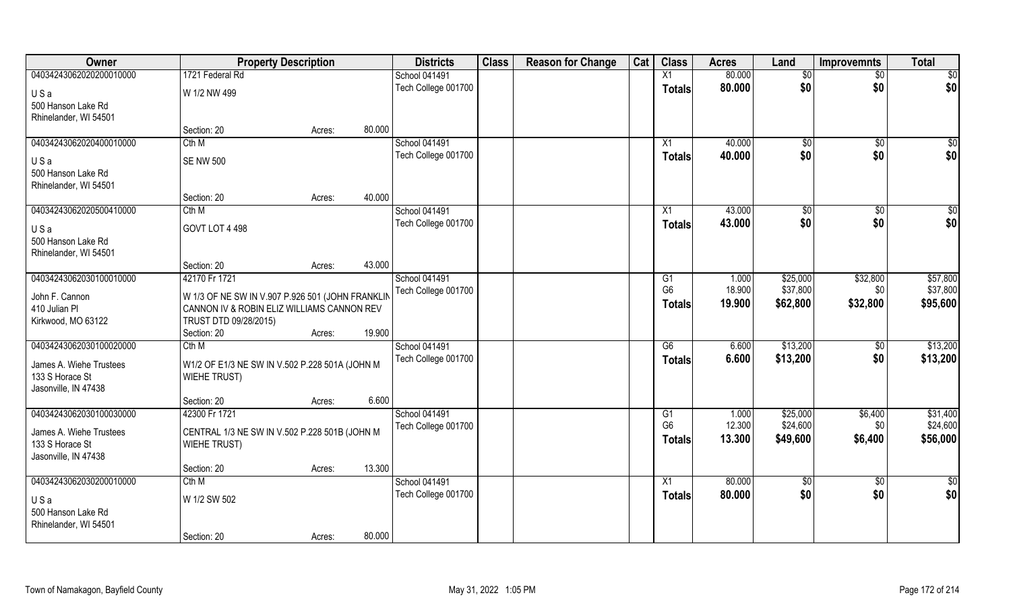| Owner                   | <b>Property Description</b>                      |        |        | <b>Districts</b>    | <b>Class</b> | <b>Reason for Change</b> | Cat | <b>Class</b>    | <b>Acres</b> | Land         | <b>Improvemnts</b> | <b>Total</b>    |
|-------------------------|--------------------------------------------------|--------|--------|---------------------|--------------|--------------------------|-----|-----------------|--------------|--------------|--------------------|-----------------|
| 04034243062020200010000 | 1721 Federal Rd                                  |        |        | School 041491       |              |                          |     | X1              | 80.000       | \$0          | $\sqrt{$0}$        | $\sqrt{50}$     |
| USa                     | W 1/2 NW 499                                     |        |        | Tech College 001700 |              |                          |     | <b>Totals</b>   | 80.000       | \$0          | \$0                | \$0             |
| 500 Hanson Lake Rd      |                                                  |        |        |                     |              |                          |     |                 |              |              |                    |                 |
| Rhinelander, WI 54501   |                                                  |        |        |                     |              |                          |     |                 |              |              |                    |                 |
|                         | Section: 20                                      | Acres: | 80.000 |                     |              |                          |     |                 |              |              |                    |                 |
| 04034243062020400010000 | Cth M                                            |        |        | School 041491       |              |                          |     | X1              | 40.000       | $\sqrt[6]{}$ | $\sqrt{$0}$        | \$0             |
| USa                     | <b>SE NW 500</b>                                 |        |        | Tech College 001700 |              |                          |     | <b>Totals</b>   | 40.000       | \$0          | \$0                | \$0             |
| 500 Hanson Lake Rd      |                                                  |        |        |                     |              |                          |     |                 |              |              |                    |                 |
| Rhinelander, WI 54501   |                                                  |        |        |                     |              |                          |     |                 |              |              |                    |                 |
|                         | Section: 20                                      | Acres: | 40.000 |                     |              |                          |     |                 |              |              |                    |                 |
| 04034243062020500410000 | Cth M                                            |        |        | School 041491       |              |                          |     | X1              | 43.000       | \$0          | $\overline{50}$    | $\sqrt{50}$     |
| USa                     | GOVT LOT 4 498                                   |        |        | Tech College 001700 |              |                          |     | <b>Totals</b>   | 43.000       | \$0          | \$0                | \$0             |
| 500 Hanson Lake Rd      |                                                  |        |        |                     |              |                          |     |                 |              |              |                    |                 |
| Rhinelander, WI 54501   |                                                  |        |        |                     |              |                          |     |                 |              |              |                    |                 |
|                         | Section: 20                                      | Acres: | 43.000 |                     |              |                          |     |                 |              |              |                    |                 |
| 04034243062030100010000 | 42170 Fr 1721                                    |        |        | School 041491       |              |                          |     | G1              | 1.000        | \$25,000     | \$32,800           | \$57,800        |
| John F. Cannon          | W 1/3 OF NE SW IN V.907 P.926 501 (JOHN FRANKLIN |        |        | Tech College 001700 |              |                          |     | G <sub>6</sub>  | 18.900       | \$37,800     | \$0                | \$37,800        |
| 410 Julian Pl           | CANNON IV & ROBIN ELIZ WILLIAMS CANNON REV       |        |        |                     |              |                          |     | <b>Totals</b>   | 19.900       | \$62,800     | \$32,800           | \$95,600        |
| Kirkwood, MO 63122      | TRUST DTD 09/28/2015)                            |        |        |                     |              |                          |     |                 |              |              |                    |                 |
|                         | Section: 20                                      | Acres: | 19.900 |                     |              |                          |     |                 |              |              |                    |                 |
| 04034243062030100020000 | Cth M                                            |        |        | School 041491       |              |                          |     | $\overline{G6}$ | 6.600        | \$13,200     | $\overline{50}$    | \$13,200        |
| James A. Wiehe Trustees | W1/2 OF E1/3 NE SW IN V.502 P.228 501A (JOHN M   |        |        | Tech College 001700 |              |                          |     | <b>Totals</b>   | 6.600        | \$13,200     | \$0                | \$13,200        |
| 133 S Horace St         | <b>WIEHE TRUST)</b>                              |        |        |                     |              |                          |     |                 |              |              |                    |                 |
| Jasonville, IN 47438    |                                                  |        |        |                     |              |                          |     |                 |              |              |                    |                 |
|                         | Section: 20                                      | Acres: | 6.600  |                     |              |                          |     |                 |              |              |                    |                 |
| 04034243062030100030000 | 42300 Fr 1721                                    |        |        | School 041491       |              |                          |     | G1              | 1.000        | \$25,000     | \$6,400            | \$31,400        |
| James A. Wiehe Trustees | CENTRAL 1/3 NE SW IN V.502 P.228 501B (JOHN M    |        |        | Tech College 001700 |              |                          |     | G <sub>6</sub>  | 12.300       | \$24,600     | \$0                | \$24,600        |
| 133 S Horace St         | <b>WIEHE TRUST)</b>                              |        |        |                     |              |                          |     | <b>Totals</b>   | 13.300       | \$49,600     | \$6,400            | \$56,000        |
| Jasonville, IN 47438    |                                                  |        |        |                     |              |                          |     |                 |              |              |                    |                 |
|                         | Section: 20                                      | Acres: | 13.300 |                     |              |                          |     |                 |              |              |                    |                 |
| 04034243062030200010000 | Cth M                                            |        |        | School 041491       |              |                          |     | $\overline{X1}$ | 80.000       | $\sqrt{6}$   | $\sqrt{$0}$        | $\overline{50}$ |
| USa                     | W 1/2 SW 502                                     |        |        | Tech College 001700 |              |                          |     | <b>Totals</b>   | 80.000       | \$0          | \$0                | \$0             |
| 500 Hanson Lake Rd      |                                                  |        |        |                     |              |                          |     |                 |              |              |                    |                 |
| Rhinelander, WI 54501   |                                                  |        |        |                     |              |                          |     |                 |              |              |                    |                 |
|                         | Section: 20                                      | Acres: | 80.000 |                     |              |                          |     |                 |              |              |                    |                 |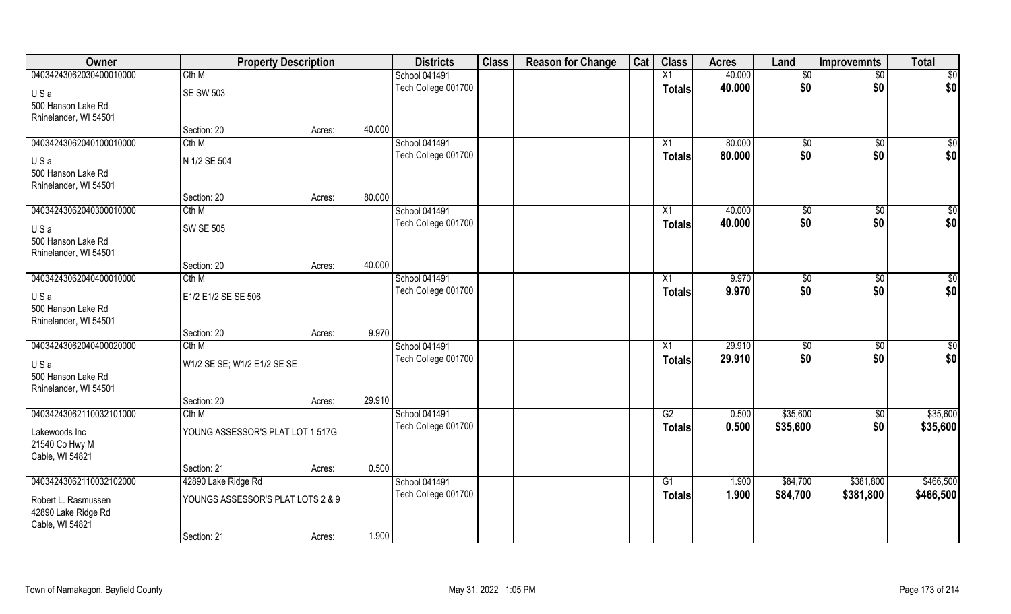| Owner                   | <b>Property Description</b>       |        | <b>Districts</b>     | <b>Class</b> | <b>Reason for Change</b> | Cat | <b>Class</b>    | <b>Acres</b> | Land         | <b>Improvemnts</b> | <b>Total</b>    |
|-------------------------|-----------------------------------|--------|----------------------|--------------|--------------------------|-----|-----------------|--------------|--------------|--------------------|-----------------|
| 04034243062030400010000 | Cth M                             |        | <b>School 041491</b> |              |                          |     | X1              | 40.000       | $\sqrt[6]{}$ | $\overline{50}$    | $\sqrt{50}$     |
| USa                     | <b>SE SW 503</b>                  |        | Tech College 001700  |              |                          |     | <b>Totals</b>   | 40.000       | \$0          | \$0                | \$0             |
| 500 Hanson Lake Rd      |                                   |        |                      |              |                          |     |                 |              |              |                    |                 |
| Rhinelander, WI 54501   |                                   |        |                      |              |                          |     |                 |              |              |                    |                 |
|                         | Section: 20                       | Acres: | 40.000               |              |                          |     |                 |              |              |                    |                 |
| 04034243062040100010000 | Cth M                             |        | School 041491        |              |                          |     | X1              | 80.000       | $\sqrt[6]{}$ | $\sqrt{$0}$        | $\sqrt{50}$     |
| USa                     | N 1/2 SE 504                      |        | Tech College 001700  |              |                          |     | <b>Totals</b>   | 80.000       | \$0          | \$0                | \$0             |
| 500 Hanson Lake Rd      |                                   |        |                      |              |                          |     |                 |              |              |                    |                 |
| Rhinelander, WI 54501   |                                   |        |                      |              |                          |     |                 |              |              |                    |                 |
|                         | Section: 20                       | Acres: | 80.000               |              |                          |     |                 |              |              |                    |                 |
| 04034243062040300010000 | Cth M                             |        | <b>School 041491</b> |              |                          |     | $\overline{X1}$ | 40.000       | \$0          | $\sqrt[6]{3}$      | $\sqrt{50}$     |
| USa                     | <b>SW SE 505</b>                  |        | Tech College 001700  |              |                          |     | <b>Totals</b>   | 40.000       | \$0          | \$0                | \$0             |
| 500 Hanson Lake Rd      |                                   |        |                      |              |                          |     |                 |              |              |                    |                 |
| Rhinelander, WI 54501   |                                   |        |                      |              |                          |     |                 |              |              |                    |                 |
|                         | Section: 20                       | Acres: | 40.000               |              |                          |     |                 |              |              |                    |                 |
| 04034243062040400010000 | Cth M                             |        | School 041491        |              |                          |     | X1              | 9.970        | \$0          | $\sqrt[6]{3}$      | $\overline{50}$ |
| USa                     | E1/2 E1/2 SE SE 506               |        | Tech College 001700  |              |                          |     | <b>Totals</b>   | 9.970        | \$0          | \$0                | \$0             |
| 500 Hanson Lake Rd      |                                   |        |                      |              |                          |     |                 |              |              |                    |                 |
| Rhinelander, WI 54501   |                                   |        |                      |              |                          |     |                 |              |              |                    |                 |
|                         | Section: 20                       | Acres: | 9.970                |              |                          |     |                 |              |              |                    |                 |
| 04034243062040400020000 | Cth M                             |        | School 041491        |              |                          |     | X1              | 29.910       | \$0          | $\sqrt[6]{3}$      | \$0             |
| USa                     | W1/2 SE SE; W1/2 E1/2 SE SE       |        | Tech College 001700  |              |                          |     | <b>Totals</b>   | 29.910       | \$0          | \$0                | \$0             |
| 500 Hanson Lake Rd      |                                   |        |                      |              |                          |     |                 |              |              |                    |                 |
| Rhinelander, WI 54501   |                                   |        |                      |              |                          |     |                 |              |              |                    |                 |
|                         | Section: 20                       | Acres: | 29.910               |              |                          |     |                 |              |              |                    |                 |
| 04034243062110032101000 | Cth M                             |        | School 041491        |              |                          |     | G2              | 0.500        | \$35,600     | \$0                | \$35,600        |
| Lakewoods Inc           | YOUNG ASSESSOR'S PLAT LOT 1 517G  |        | Tech College 001700  |              |                          |     | <b>Totals</b>   | 0.500        | \$35,600     | \$0                | \$35,600        |
| 21540 Co Hwy M          |                                   |        |                      |              |                          |     |                 |              |              |                    |                 |
| Cable, WI 54821         |                                   |        |                      |              |                          |     |                 |              |              |                    |                 |
|                         | Section: 21                       | Acres: | 0.500                |              |                          |     |                 |              |              |                    |                 |
| 04034243062110032102000 | 42890 Lake Ridge Rd               |        | School 041491        |              |                          |     | $\overline{G1}$ | 1.900        | \$84,700     | \$381,800          | \$466,500       |
| Robert L. Rasmussen     | YOUNGS ASSESSOR'S PLAT LOTS 2 & 9 |        | Tech College 001700  |              |                          |     | <b>Totals</b>   | 1.900        | \$84,700     | \$381,800          | \$466,500       |
| 42890 Lake Ridge Rd     |                                   |        |                      |              |                          |     |                 |              |              |                    |                 |
| Cable, WI 54821         |                                   |        |                      |              |                          |     |                 |              |              |                    |                 |
|                         | Section: 21                       | Acres: | 1.900                |              |                          |     |                 |              |              |                    |                 |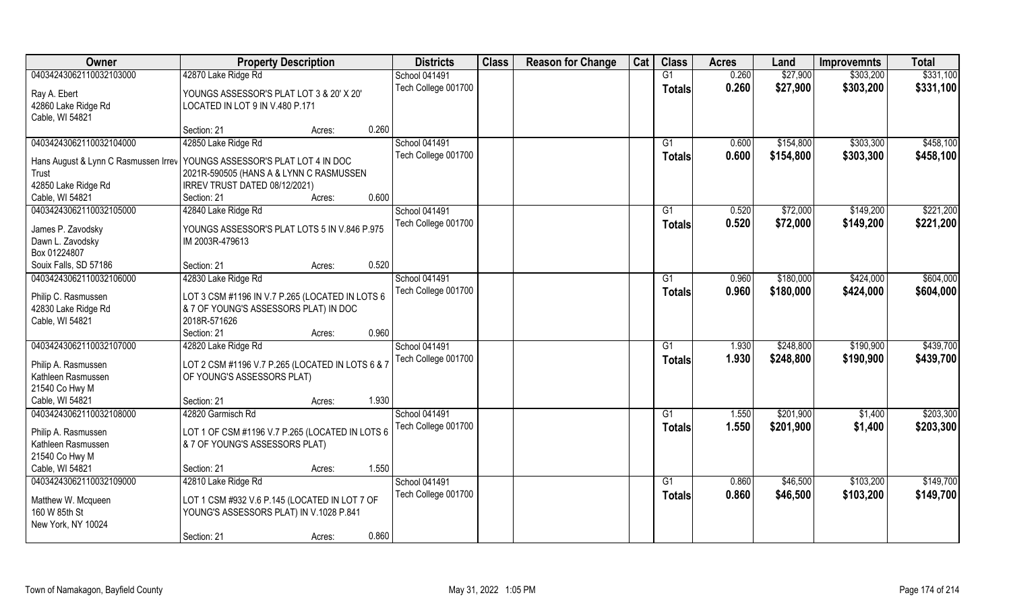| <b>Owner</b>                                                               | <b>Property Description</b>                      |        | <b>Districts</b>     | <b>Class</b> | <b>Reason for Change</b> | Cat | <b>Class</b>  | <b>Acres</b> | Land      | <b>Improvemnts</b> | <b>Total</b> |
|----------------------------------------------------------------------------|--------------------------------------------------|--------|----------------------|--------------|--------------------------|-----|---------------|--------------|-----------|--------------------|--------------|
| 04034243062110032103000                                                    | 42870 Lake Ridge Rd                              |        | <b>School 041491</b> |              |                          |     | G1            | 0.260        | \$27,900  | \$303,200          | \$331,100    |
| Ray A. Ebert                                                               | YOUNGS ASSESSOR'S PLAT LOT 3 & 20' X 20'         |        | Tech College 001700  |              |                          |     | <b>Totals</b> | 0.260        | \$27,900  | \$303,200          | \$331,100    |
| 42860 Lake Ridge Rd                                                        | LOCATED IN LOT 9 IN V.480 P.171                  |        |                      |              |                          |     |               |              |           |                    |              |
| Cable, WI 54821                                                            |                                                  |        |                      |              |                          |     |               |              |           |                    |              |
|                                                                            | Section: 21                                      | Acres: | 0.260                |              |                          |     |               |              |           |                    |              |
| 04034243062110032104000                                                    | 42850 Lake Ridge Rd                              |        | <b>School 041491</b> |              |                          |     | G1            | 0.600        | \$154,800 | \$303,300          | \$458,100    |
| Hans August & Lynn C Rasmussen Irrev   YOUNGS ASSESSOR'S PLAT LOT 4 IN DOC |                                                  |        | Tech College 001700  |              |                          |     | Totals        | 0.600        | \$154,800 | \$303,300          | \$458,100    |
| Trust                                                                      | 2021R-590505 (HANS A & LYNN C RASMUSSEN          |        |                      |              |                          |     |               |              |           |                    |              |
| 42850 Lake Ridge Rd                                                        | IRREV TRUST DATED 08/12/2021)                    |        |                      |              |                          |     |               |              |           |                    |              |
| Cable, WI 54821                                                            | Section: 21                                      | Acres: | 0.600                |              |                          |     |               |              |           |                    |              |
| 04034243062110032105000                                                    | 42840 Lake Ridge Rd                              |        | School 041491        |              |                          |     | G1            | 0.520        | \$72,000  | \$149,200          | \$221,200    |
| James P. Zavodsky                                                          | YOUNGS ASSESSOR'S PLAT LOTS 5 IN V.846 P.975     |        | Tech College 001700  |              |                          |     | <b>Totals</b> | 0.520        | \$72,000  | \$149,200          | \$221,200    |
| Dawn L. Zavodsky                                                           | IM 2003R-479613                                  |        |                      |              |                          |     |               |              |           |                    |              |
| Box 01224807                                                               |                                                  |        |                      |              |                          |     |               |              |           |                    |              |
| Souix Falls, SD 57186                                                      | Section: 21                                      | Acres: | 0.520                |              |                          |     |               |              |           |                    |              |
| 04034243062110032106000                                                    | 42830 Lake Ridge Rd                              |        | <b>School 041491</b> |              |                          |     | G1            | 0.960        | \$180,000 | \$424,000          | \$604,000    |
|                                                                            |                                                  |        | Tech College 001700  |              |                          |     | <b>Totals</b> | 0.960        | \$180,000 | \$424,000          | \$604,000    |
| Philip C. Rasmussen                                                        | LOT 3 CSM #1196 IN V.7 P.265 (LOCATED IN LOTS 6  |        |                      |              |                          |     |               |              |           |                    |              |
| 42830 Lake Ridge Rd                                                        | & 7 OF YOUNG'S ASSESSORS PLAT) IN DOC            |        |                      |              |                          |     |               |              |           |                    |              |
| Cable, WI 54821                                                            | 2018R-571626                                     |        |                      |              |                          |     |               |              |           |                    |              |
|                                                                            | Section: 21                                      | Acres: | 0.960                |              |                          |     |               |              |           |                    |              |
| 04034243062110032107000                                                    | 42820 Lake Ridge Rd                              |        | <b>School 041491</b> |              |                          |     | G1            | 1.930        | \$248,800 | \$190,900          | \$439,700    |
| Philip A. Rasmussen                                                        | LOT 2 CSM #1196 V.7 P.265 (LOCATED IN LOTS 6 & 1 |        | Tech College 001700  |              |                          |     | <b>Totals</b> | 1.930        | \$248,800 | \$190,900          | \$439,700    |
| Kathleen Rasmussen                                                         | OF YOUNG'S ASSESSORS PLAT)                       |        |                      |              |                          |     |               |              |           |                    |              |
| 21540 Co Hwy M                                                             |                                                  |        |                      |              |                          |     |               |              |           |                    |              |
| Cable, WI 54821                                                            | Section: 21                                      | Acres: | 1.930                |              |                          |     |               |              |           |                    |              |
| 04034243062110032108000                                                    | 42820 Garmisch Rd                                |        | <b>School 041491</b> |              |                          |     | G1            | 1.550        | \$201,900 | \$1,400            | \$203,300    |
|                                                                            |                                                  |        | Tech College 001700  |              |                          |     | <b>Totals</b> | 1.550        | \$201,900 | \$1,400            | \$203,300    |
| Philip A. Rasmussen                                                        | LOT 1 OF CSM #1196 V.7 P.265 (LOCATED IN LOTS 6  |        |                      |              |                          |     |               |              |           |                    |              |
| Kathleen Rasmussen                                                         | & 7 OF YOUNG'S ASSESSORS PLAT)                   |        |                      |              |                          |     |               |              |           |                    |              |
| 21540 Co Hwy M<br>Cable, WI 54821                                          | Section: 21                                      | Acres: | 1.550                |              |                          |     |               |              |           |                    |              |
| 04034243062110032109000                                                    | 42810 Lake Ridge Rd                              |        | <b>School 041491</b> |              |                          |     | G1            | 0.860        | \$46,500  | \$103,200          | \$149,700    |
|                                                                            |                                                  |        | Tech College 001700  |              |                          |     |               |              |           |                    |              |
| Matthew W. Mcqueen                                                         | LOT 1 CSM #932 V.6 P.145 (LOCATED IN LOT 7 OF    |        |                      |              |                          |     | Totals        | 0.860        | \$46,500  | \$103,200          | \$149,700    |
| 160 W 85th St                                                              | YOUNG'S ASSESSORS PLAT) IN V.1028 P.841          |        |                      |              |                          |     |               |              |           |                    |              |
| New York, NY 10024                                                         |                                                  |        |                      |              |                          |     |               |              |           |                    |              |
|                                                                            | Section: 21                                      | Acres: | 0.860                |              |                          |     |               |              |           |                    |              |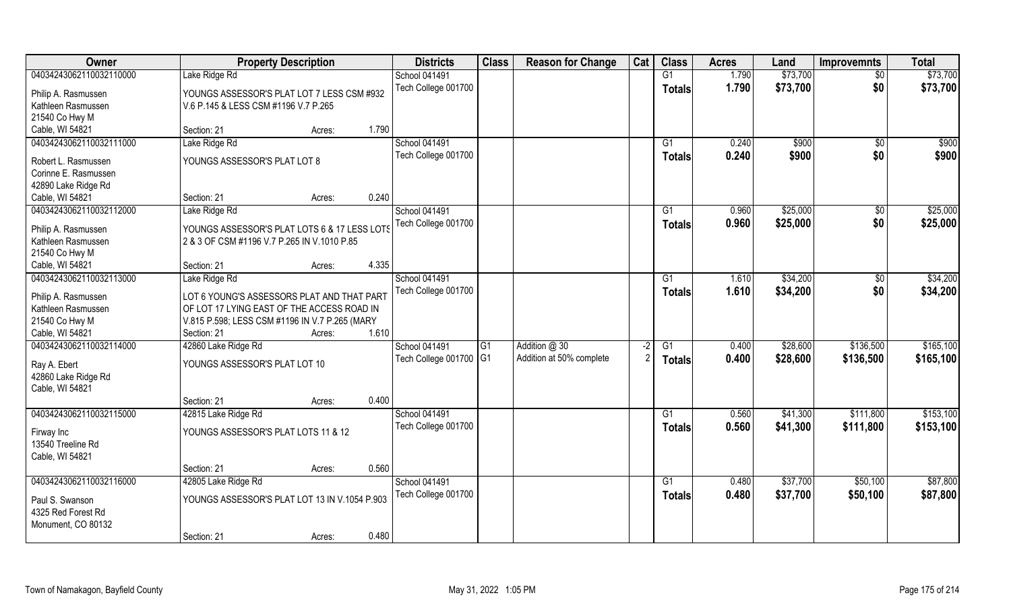| Owner                   | <b>Property Description</b>                    |       | <b>Districts</b>       | <b>Class</b>   | <b>Reason for Change</b> | Cat  | <b>Class</b>    | <b>Acres</b> | Land     | <b>Improvemnts</b> | <b>Total</b> |
|-------------------------|------------------------------------------------|-------|------------------------|----------------|--------------------------|------|-----------------|--------------|----------|--------------------|--------------|
| 04034243062110032110000 | Lake Ridge Rd                                  |       | School 041491          |                |                          |      | $\overline{G1}$ | 1.790        | \$73,700 | $\overline{50}$    | \$73,700     |
| Philip A. Rasmussen     | YOUNGS ASSESSOR'S PLAT LOT 7 LESS CSM #932     |       | Tech College 001700    |                |                          |      | <b>Totals</b>   | 1.790        | \$73,700 | \$0                | \$73,700     |
| Kathleen Rasmussen      | V.6 P.145 & LESS CSM #1196 V.7 P.265           |       |                        |                |                          |      |                 |              |          |                    |              |
| 21540 Co Hwy M          |                                                |       |                        |                |                          |      |                 |              |          |                    |              |
| Cable, WI 54821         | Section: 21<br>Acres:                          | 1.790 |                        |                |                          |      |                 |              |          |                    |              |
| 04034243062110032111000 | Lake Ridge Rd                                  |       | <b>School 041491</b>   |                |                          |      | G1              | 0.240        | \$900    | \$0                | \$900        |
| Robert L. Rasmussen     | YOUNGS ASSESSOR'S PLAT LOT 8                   |       | Tech College 001700    |                |                          |      | Totals          | 0.240        | \$900    | \$0                | \$900        |
| Corinne E. Rasmussen    |                                                |       |                        |                |                          |      |                 |              |          |                    |              |
| 42890 Lake Ridge Rd     |                                                |       |                        |                |                          |      |                 |              |          |                    |              |
| Cable, WI 54821         | Section: 21<br>Acres:                          | 0.240 |                        |                |                          |      |                 |              |          |                    |              |
| 04034243062110032112000 | Lake Ridge Rd                                  |       | School 041491          |                |                          |      | G1              | 0.960        | \$25,000 | \$0                | \$25,000     |
|                         |                                                |       | Tech College 001700    |                |                          |      | <b>Totals</b>   | 0.960        | \$25,000 | \$0                | \$25,000     |
| Philip A. Rasmussen     | YOUNGS ASSESSOR'S PLAT LOTS 6 & 17 LESS LOTS   |       |                        |                |                          |      |                 |              |          |                    |              |
| Kathleen Rasmussen      | 2 & 3 OF CSM #1196 V.7 P.265 IN V.1010 P.85    |       |                        |                |                          |      |                 |              |          |                    |              |
| 21540 Co Hwy M          |                                                |       |                        |                |                          |      |                 |              |          |                    |              |
| Cable, WI 54821         | Section: 21<br>Acres:                          | 4.335 |                        |                |                          |      |                 |              |          |                    |              |
| 04034243062110032113000 | Lake Ridge Rd                                  |       | School 041491          |                |                          |      | G1              | 1.610        | \$34,200 | $\sqrt[6]{3}$      | \$34,200     |
| Philip A. Rasmussen     | LOT 6 YOUNG'S ASSESSORS PLAT AND THAT PART     |       | Tech College 001700    |                |                          |      | <b>Totals</b>   | 1.610        | \$34,200 | \$0                | \$34,200     |
| Kathleen Rasmussen      | OF LOT 17 LYING EAST OF THE ACCESS ROAD IN     |       |                        |                |                          |      |                 |              |          |                    |              |
| 21540 Co Hwy M          | V.815 P.598; LESS CSM #1196 IN V.7 P.265 (MARY |       |                        |                |                          |      |                 |              |          |                    |              |
| Cable, WI 54821         | Section: 21<br>Acres:                          | 1.610 |                        |                |                          |      |                 |              |          |                    |              |
| 04034243062110032114000 | 42860 Lake Ridge Rd                            |       | <b>School 041491</b>   | G <sub>1</sub> | Addition @ 30            | $-2$ | G1              | 0.400        | \$28,600 | \$136,500          | \$165,100    |
| Ray A. Ebert            | YOUNGS ASSESSOR'S PLAT LOT 10                  |       | Tech College 001700 G1 |                | Addition at 50% complete | 2    | <b>Totals</b>   | 0.400        | \$28,600 | \$136,500          | \$165,100    |
| 42860 Lake Ridge Rd     |                                                |       |                        |                |                          |      |                 |              |          |                    |              |
| Cable, WI 54821         |                                                |       |                        |                |                          |      |                 |              |          |                    |              |
|                         | Section: 21<br>Acres:                          | 0.400 |                        |                |                          |      |                 |              |          |                    |              |
| 04034243062110032115000 | 42815 Lake Ridge Rd                            |       | <b>School 041491</b>   |                |                          |      | G1              | 0.560        | \$41,300 | \$111,800          | \$153,100    |
|                         |                                                |       | Tech College 001700    |                |                          |      | <b>Totals</b>   | 0.560        | \$41,300 | \$111,800          | \$153,100    |
| Firway Inc              | YOUNGS ASSESSOR'S PLAT LOTS 11 & 12            |       |                        |                |                          |      |                 |              |          |                    |              |
| 13540 Treeline Rd       |                                                |       |                        |                |                          |      |                 |              |          |                    |              |
| Cable, WI 54821         |                                                |       |                        |                |                          |      |                 |              |          |                    |              |
|                         | Section: 21<br>Acres:                          | 0.560 |                        |                |                          |      |                 |              |          |                    |              |
| 04034243062110032116000 | 42805 Lake Ridge Rd                            |       | School 041491          |                |                          |      | G1              | 0.480        | \$37,700 | \$50,100           | \$87,800     |
| Paul S. Swanson         | YOUNGS ASSESSOR'S PLAT LOT 13 IN V.1054 P.903  |       | Tech College 001700    |                |                          |      | <b>Totals</b>   | 0.480        | \$37,700 | \$50,100           | \$87,800     |
| 4325 Red Forest Rd      |                                                |       |                        |                |                          |      |                 |              |          |                    |              |
| Monument, CO 80132      |                                                |       |                        |                |                          |      |                 |              |          |                    |              |
|                         | Section: 21<br>Acres:                          | 0.480 |                        |                |                          |      |                 |              |          |                    |              |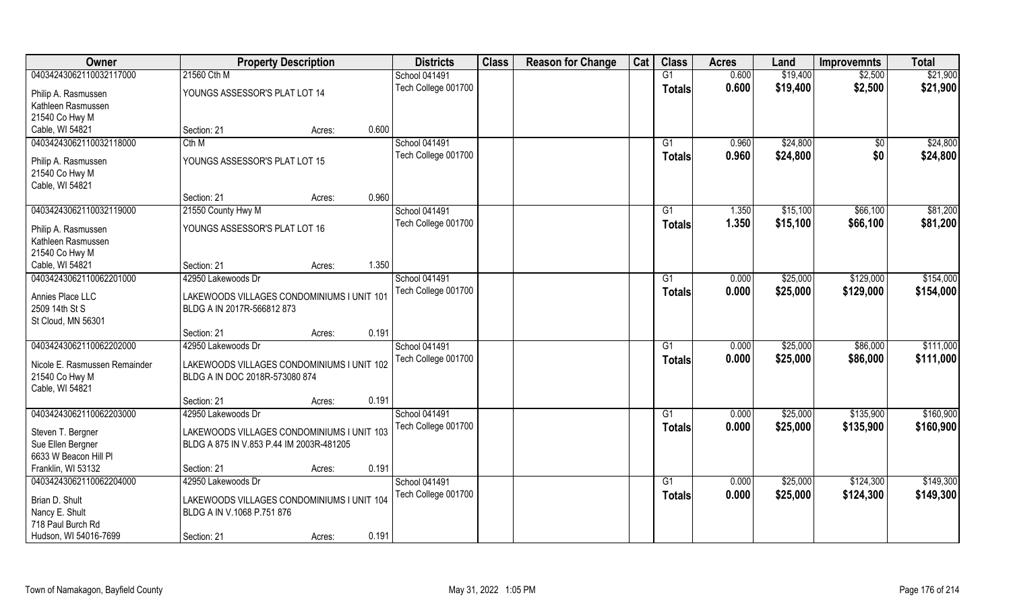| Owner                                     | <b>Property Description</b>                |        |       | <b>Districts</b>                     | <b>Class</b> | <b>Reason for Change</b> | Cat | <b>Class</b>  | <b>Acres</b>   | Land     | <b>Improvemnts</b> | <b>Total</b> |
|-------------------------------------------|--------------------------------------------|--------|-------|--------------------------------------|--------------|--------------------------|-----|---------------|----------------|----------|--------------------|--------------|
| 04034243062110032117000                   | 21560 Cth M                                |        |       | School 041491                        |              |                          |     | G1            | 0.600          | \$19,400 | \$2,500            | \$21,900     |
| Philip A. Rasmussen                       | YOUNGS ASSESSOR'S PLAT LOT 14              |        |       | Tech College 001700                  |              |                          |     | <b>Totals</b> | 0.600          | \$19,400 | \$2,500            | \$21,900     |
| Kathleen Rasmussen                        |                                            |        |       |                                      |              |                          |     |               |                |          |                    |              |
| 21540 Co Hwy M                            |                                            |        |       |                                      |              |                          |     |               |                |          |                    |              |
| Cable, WI 54821                           | Section: 21                                | Acres: | 0.600 |                                      |              |                          |     |               |                |          |                    |              |
| 04034243062110032118000                   | Cth M                                      |        |       | School 041491                        |              |                          |     | G1            | 0.960          | \$24,800 | $\overline{50}$    | \$24,800     |
| Philip A. Rasmussen                       | YOUNGS ASSESSOR'S PLAT LOT 15              |        |       | Tech College 001700                  |              |                          |     | <b>Totals</b> | 0.960          | \$24,800 | \$0                | \$24,800     |
| 21540 Co Hwy M                            |                                            |        |       |                                      |              |                          |     |               |                |          |                    |              |
| Cable, WI 54821                           |                                            |        |       |                                      |              |                          |     |               |                |          |                    |              |
|                                           | Section: 21                                | Acres: | 0.960 |                                      |              |                          |     |               |                |          |                    |              |
| 04034243062110032119000                   | 21550 County Hwy M                         |        |       | School 041491                        |              |                          |     | G1            | 1.350          | \$15,100 | \$66,100           | \$81,200     |
|                                           |                                            |        |       | Tech College 001700                  |              |                          |     | <b>Totals</b> | 1.350          | \$15,100 | \$66,100           | \$81,200     |
| Philip A. Rasmussen<br>Kathleen Rasmussen | YOUNGS ASSESSOR'S PLAT LOT 16              |        |       |                                      |              |                          |     |               |                |          |                    |              |
| 21540 Co Hwy M                            |                                            |        |       |                                      |              |                          |     |               |                |          |                    |              |
| Cable, WI 54821                           | Section: 21                                | Acres: | 1.350 |                                      |              |                          |     |               |                |          |                    |              |
| 04034243062110062201000                   | 42950 Lakewoods Dr                         |        |       | School 041491                        |              |                          |     | G1            | 0.000          | \$25,000 | \$129,000          | \$154,000    |
|                                           |                                            |        |       | Tech College 001700                  |              |                          |     | <b>Totals</b> | 0.000          | \$25,000 | \$129,000          | \$154,000    |
| Annies Place LLC                          | LAKEWOODS VILLAGES CONDOMINIUMS I UNIT 101 |        |       |                                      |              |                          |     |               |                |          |                    |              |
| 2509 14th St S                            | BLDG A IN 2017R-566812 873                 |        |       |                                      |              |                          |     |               |                |          |                    |              |
| St Cloud, MN 56301                        |                                            |        |       |                                      |              |                          |     |               |                |          |                    |              |
| 04034243062110062202000                   | Section: 21<br>42950 Lakewoods Dr          | Acres: | 0.191 |                                      |              |                          |     | G1            |                |          |                    | \$111,000    |
|                                           |                                            |        |       | School 041491<br>Tech College 001700 |              |                          |     |               | 0.000<br>0.000 | \$25,000 | \$86,000           |              |
| Nicole E. Rasmussen Remainder             | LAKEWOODS VILLAGES CONDOMINIUMS I UNIT 102 |        |       |                                      |              |                          |     | <b>Totals</b> |                | \$25,000 | \$86,000           | \$111,000    |
| 21540 Co Hwy M                            | BLDG A IN DOC 2018R-573080 874             |        |       |                                      |              |                          |     |               |                |          |                    |              |
| Cable, WI 54821                           |                                            |        |       |                                      |              |                          |     |               |                |          |                    |              |
|                                           | Section: 21                                | Acres: | 0.191 |                                      |              |                          |     |               |                |          |                    |              |
| 04034243062110062203000                   | 42950 Lakewoods Dr                         |        |       | School 041491                        |              |                          |     | G1            | 0.000          | \$25,000 | \$135,900          | \$160,900    |
| Steven T. Bergner                         | LAKEWOODS VILLAGES CONDOMINIUMS I UNIT 103 |        |       | Tech College 001700                  |              |                          |     | <b>Totals</b> | 0.000          | \$25,000 | \$135,900          | \$160,900    |
| Sue Ellen Bergner                         | BLDG A 875 IN V.853 P.44 IM 2003R-481205   |        |       |                                      |              |                          |     |               |                |          |                    |              |
| 6633 W Beacon Hill Pl                     |                                            |        |       |                                      |              |                          |     |               |                |          |                    |              |
| Franklin, WI 53132                        | Section: 21                                | Acres: | 0.191 |                                      |              |                          |     |               |                |          |                    |              |
| 04034243062110062204000                   | 42950 Lakewoods Dr                         |        |       | School 041491                        |              |                          |     | G1            | 0.000          | \$25,000 | \$124,300          | \$149,300    |
| Brian D. Shult                            | LAKEWOODS VILLAGES CONDOMINIUMS I UNIT 104 |        |       | Tech College 001700                  |              |                          |     | <b>Totals</b> | 0.000          | \$25,000 | \$124,300          | \$149,300    |
| Nancy E. Shult                            | BLDG A IN V.1068 P.751 876                 |        |       |                                      |              |                          |     |               |                |          |                    |              |
| 718 Paul Burch Rd                         |                                            |        |       |                                      |              |                          |     |               |                |          |                    |              |
| Hudson, WI 54016-7699                     | Section: 21                                | Acres: | 0.191 |                                      |              |                          |     |               |                |          |                    |              |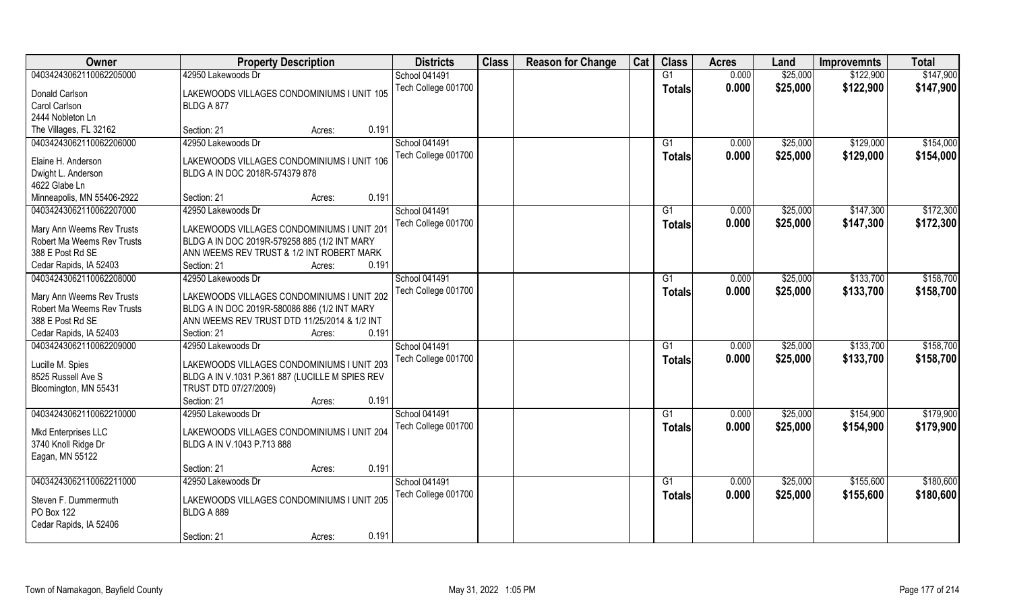| Owner                      | <b>Property Description</b>                     | <b>Districts</b>     | <b>Class</b> | <b>Reason for Change</b> | Cat | <b>Class</b>  | <b>Acres</b> | Land     | <b>Improvemnts</b> | <b>Total</b> |
|----------------------------|-------------------------------------------------|----------------------|--------------|--------------------------|-----|---------------|--------------|----------|--------------------|--------------|
| 04034243062110062205000    | 42950 Lakewoods Dr                              | School 041491        |              |                          |     | G1            | 0.000        | \$25,000 | \$122,900          | \$147,900    |
| Donald Carlson             | LAKEWOODS VILLAGES CONDOMINIUMS I UNIT 105      | Tech College 001700  |              |                          |     | <b>Totals</b> | 0.000        | \$25,000 | \$122,900          | \$147,900    |
| Carol Carlson              | BLDG A 877                                      |                      |              |                          |     |               |              |          |                    |              |
| 2444 Nobleton Ln           |                                                 |                      |              |                          |     |               |              |          |                    |              |
| The Villages, FL 32162     | 0.191<br>Section: 21<br>Acres:                  |                      |              |                          |     |               |              |          |                    |              |
| 04034243062110062206000    | 42950 Lakewoods Dr                              | <b>School 041491</b> |              |                          |     | G1            | 0.000        | \$25,000 | \$129,000          | \$154,000    |
|                            |                                                 | Tech College 001700  |              |                          |     | Totals        | 0.000        | \$25,000 | \$129,000          | \$154,000    |
| Elaine H. Anderson         | LAKEWOODS VILLAGES CONDOMINIUMS I UNIT 106      |                      |              |                          |     |               |              |          |                    |              |
| Dwight L. Anderson         | BLDG A IN DOC 2018R-574379 878                  |                      |              |                          |     |               |              |          |                    |              |
| 4622 Glabe Ln              |                                                 |                      |              |                          |     |               |              |          |                    |              |
| Minneapolis, MN 55406-2922 | 0.191<br>Section: 21<br>Acres:                  |                      |              |                          |     |               |              |          |                    |              |
| 04034243062110062207000    | 42950 Lakewoods Dr                              | School 041491        |              |                          |     | G1            | 0.000        | \$25,000 | \$147,300          | \$172,300    |
| Mary Ann Weems Rev Trusts  | LAKEWOODS VILLAGES CONDOMINIUMS I UNIT 201      | Tech College 001700  |              |                          |     | <b>Totals</b> | 0.000        | \$25,000 | \$147,300          | \$172,300    |
| Robert Ma Weems Rev Trusts | BLDG A IN DOC 2019R-579258 885 (1/2 INT MARY    |                      |              |                          |     |               |              |          |                    |              |
| 388 E Post Rd SE           | ANN WEEMS REV TRUST & 1/2 INT ROBERT MARK       |                      |              |                          |     |               |              |          |                    |              |
| Cedar Rapids, IA 52403     | 0.191<br>Section: 21<br>Acres:                  |                      |              |                          |     |               |              |          |                    |              |
| 04034243062110062208000    | 42950 Lakewoods Dr                              | School 041491        |              |                          |     | G1            | 0.000        | \$25,000 | \$133,700          | \$158,700    |
|                            |                                                 | Tech College 001700  |              |                          |     |               |              |          |                    |              |
| Mary Ann Weems Rev Trusts  | LAKEWOODS VILLAGES CONDOMINIUMS I UNIT 202      |                      |              |                          |     | <b>Totals</b> | 0.000        | \$25,000 | \$133,700          | \$158,700    |
| Robert Ma Weems Rev Trusts | BLDG A IN DOC 2019R-580086 886 (1/2 INT MARY    |                      |              |                          |     |               |              |          |                    |              |
| 388 E Post Rd SE           | ANN WEEMS REV TRUST DTD 11/25/2014 & 1/2 INT    |                      |              |                          |     |               |              |          |                    |              |
| Cedar Rapids, IA 52403     | 0.191<br>Section: 21<br>Acres:                  |                      |              |                          |     |               |              |          |                    |              |
| 04034243062110062209000    | 42950 Lakewoods Dr                              | School 041491        |              |                          |     | G1            | 0.000        | \$25,000 | \$133,700          | \$158,700    |
|                            |                                                 | Tech College 001700  |              |                          |     | <b>Totals</b> | 0.000        | \$25,000 | \$133,700          | \$158,700    |
| Lucille M. Spies           | LAKEWOODS VILLAGES CONDOMINIUMS I UNIT 203      |                      |              |                          |     |               |              |          |                    |              |
| 8525 Russell Ave S         | BLDG A IN V.1031 P.361 887 (LUCILLE M SPIES REV |                      |              |                          |     |               |              |          |                    |              |
| Bloomington, MN 55431      | TRUST DTD 07/27/2009)<br>Section: 21            |                      |              |                          |     |               |              |          |                    |              |
|                            | 0.191<br>Acres:                                 |                      |              |                          |     |               |              |          |                    |              |
| 04034243062110062210000    | 42950 Lakewoods Dr                              | School 041491        |              |                          |     | G1            | 0.000        | \$25,000 | \$154,900          | \$179,900    |
| Mkd Enterprises LLC        | LAKEWOODS VILLAGES CONDOMINIUMS I UNIT 204      | Tech College 001700  |              |                          |     | <b>Totals</b> | 0.000        | \$25,000 | \$154,900          | \$179,900    |
| 3740 Knoll Ridge Dr        | BLDG A IN V.1043 P.713 888                      |                      |              |                          |     |               |              |          |                    |              |
| Eagan, MN 55122            |                                                 |                      |              |                          |     |               |              |          |                    |              |
|                            | 0.191<br>Section: 21<br>Acres:                  |                      |              |                          |     |               |              |          |                    |              |
| 04034243062110062211000    | 42950 Lakewoods Dr                              | School 041491        |              |                          |     | G1            | 0.000        | \$25,000 | \$155,600          | \$180,600    |
|                            |                                                 | Tech College 001700  |              |                          |     | Totals        | 0.000        | \$25,000 | \$155,600          | \$180,600    |
| Steven F. Dummermuth       | LAKEWOODS VILLAGES CONDOMINIUMS I UNIT 205      |                      |              |                          |     |               |              |          |                    |              |
| PO Box 122                 | BLDG A 889                                      |                      |              |                          |     |               |              |          |                    |              |
| Cedar Rapids, IA 52406     |                                                 |                      |              |                          |     |               |              |          |                    |              |
|                            | 0.191<br>Section: 21<br>Acres:                  |                      |              |                          |     |               |              |          |                    |              |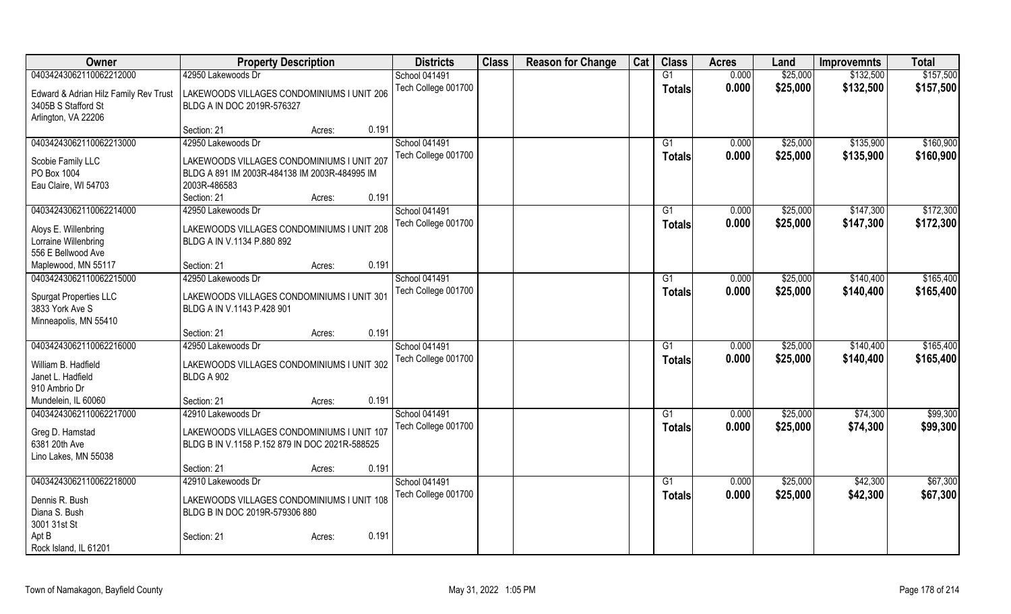| Owner                                 | <b>Property Description</b>                    |        |       | <b>Districts</b>     | <b>Class</b> | <b>Reason for Change</b> | Cat | <b>Class</b>    | <b>Acres</b> | Land     | <b>Improvemnts</b> | <b>Total</b> |
|---------------------------------------|------------------------------------------------|--------|-------|----------------------|--------------|--------------------------|-----|-----------------|--------------|----------|--------------------|--------------|
| 04034243062110062212000               | 42950 Lakewoods Dr                             |        |       | School 041491        |              |                          |     | G1              | 0.000        | \$25,000 | \$132,500          | \$157,500    |
| Edward & Adrian Hilz Family Rev Trust | LAKEWOODS VILLAGES CONDOMINIUMS I UNIT 206     |        |       | Tech College 001700  |              |                          |     | <b>Totals</b>   | 0.000        | \$25,000 | \$132,500          | \$157,500    |
| 3405B S Stafford St                   | BLDG A IN DOC 2019R-576327                     |        |       |                      |              |                          |     |                 |              |          |                    |              |
| Arlington, VA 22206                   |                                                |        |       |                      |              |                          |     |                 |              |          |                    |              |
|                                       | Section: 21                                    | Acres: | 0.191 |                      |              |                          |     |                 |              |          |                    |              |
| 04034243062110062213000               | 42950 Lakewoods Dr                             |        |       | School 041491        |              |                          |     | G1              | 0.000        | \$25,000 | \$135,900          | \$160,900    |
|                                       |                                                |        |       | Tech College 001700  |              |                          |     | <b>Totals</b>   | 0.000        | \$25,000 | \$135,900          | \$160,900    |
| Scobie Family LLC                     | LAKEWOODS VILLAGES CONDOMINIUMS I UNIT 207     |        |       |                      |              |                          |     |                 |              |          |                    |              |
| PO Box 1004                           | BLDG A 891 IM 2003R-484138 IM 2003R-484995 IM  |        |       |                      |              |                          |     |                 |              |          |                    |              |
| Eau Claire, WI 54703                  | 2003R-486583                                   |        |       |                      |              |                          |     |                 |              |          |                    |              |
|                                       | Section: 21                                    | Acres: | 0.191 |                      |              |                          |     |                 |              |          |                    |              |
| 04034243062110062214000               | 42950 Lakewoods Dr                             |        |       | <b>School 041491</b> |              |                          |     | G1              | 0.000        | \$25,000 | \$147,300          | \$172,300    |
| Aloys E. Willenbring                  | LAKEWOODS VILLAGES CONDOMINIUMS I UNIT 208     |        |       | Tech College 001700  |              |                          |     | <b>Totals</b>   | 0.000        | \$25,000 | \$147,300          | \$172,300    |
| Lorraine Willenbring                  | BLDG A IN V.1134 P.880 892                     |        |       |                      |              |                          |     |                 |              |          |                    |              |
| 556 E Bellwood Ave                    |                                                |        |       |                      |              |                          |     |                 |              |          |                    |              |
| Maplewood, MN 55117                   | Section: 21                                    | Acres: | 0.191 |                      |              |                          |     |                 |              |          |                    |              |
| 04034243062110062215000               | 42950 Lakewoods Dr                             |        |       | School 041491        |              |                          |     | $\overline{G1}$ | 0.000        | \$25,000 | \$140,400          | \$165,400    |
|                                       |                                                |        |       | Tech College 001700  |              |                          |     | Totals          | 0.000        | \$25,000 | \$140,400          | \$165,400    |
| Spurgat Properties LLC                | LAKEWOODS VILLAGES CONDOMINIUMS I UNIT 301     |        |       |                      |              |                          |     |                 |              |          |                    |              |
| 3833 York Ave S                       | BLDG A IN V.1143 P.428 901                     |        |       |                      |              |                          |     |                 |              |          |                    |              |
| Minneapolis, MN 55410                 |                                                |        |       |                      |              |                          |     |                 |              |          |                    |              |
|                                       | Section: 21                                    | Acres: | 0.191 |                      |              |                          |     |                 |              |          |                    |              |
| 04034243062110062216000               | 42950 Lakewoods Dr                             |        |       | School 041491        |              |                          |     | G1              | 0.000        | \$25,000 | \$140,400          | \$165,400    |
| William B. Hadfield                   | LAKEWOODS VILLAGES CONDOMINIUMS I UNIT 302     |        |       | Tech College 001700  |              |                          |     | Totals          | 0.000        | \$25,000 | \$140,400          | \$165,400    |
| Janet L. Hadfield                     | <b>BLDG A 902</b>                              |        |       |                      |              |                          |     |                 |              |          |                    |              |
| 910 Ambrio Dr                         |                                                |        |       |                      |              |                          |     |                 |              |          |                    |              |
| Mundelein, IL 60060                   | Section: 21                                    | Acres: | 0.191 |                      |              |                          |     |                 |              |          |                    |              |
| 04034243062110062217000               | 42910 Lakewoods Dr                             |        |       | School 041491        |              |                          |     | G1              | 0.000        | \$25,000 | \$74,300           | \$99,300     |
|                                       |                                                |        |       | Tech College 001700  |              |                          |     | <b>Totals</b>   | 0.000        | \$25,000 | \$74,300           | \$99,300     |
| Greg D. Hamstad                       | LAKEWOODS VILLAGES CONDOMINIUMS I UNIT 107     |        |       |                      |              |                          |     |                 |              |          |                    |              |
| 6381 20th Ave                         | BLDG B IN V.1158 P.152 879 IN DOC 2021R-588525 |        |       |                      |              |                          |     |                 |              |          |                    |              |
| Lino Lakes, MN 55038                  |                                                |        |       |                      |              |                          |     |                 |              |          |                    |              |
|                                       | Section: 21                                    | Acres: | 0.191 |                      |              |                          |     |                 |              |          |                    |              |
| 04034243062110062218000               | 42910 Lakewoods Dr                             |        |       | School 041491        |              |                          |     | G1              | 0.000        | \$25,000 | \$42,300           | \$67,300     |
| Dennis R. Bush                        | LAKEWOODS VILLAGES CONDOMINIUMS I UNIT 108     |        |       | Tech College 001700  |              |                          |     | <b>Totals</b>   | 0.000        | \$25,000 | \$42,300           | \$67,300     |
| Diana S. Bush                         | BLDG B IN DOC 2019R-579306 880                 |        |       |                      |              |                          |     |                 |              |          |                    |              |
| 3001 31st St                          |                                                |        |       |                      |              |                          |     |                 |              |          |                    |              |
| Apt B                                 | Section: 21                                    | Acres: | 0.191 |                      |              |                          |     |                 |              |          |                    |              |
| Rock Island, IL 61201                 |                                                |        |       |                      |              |                          |     |                 |              |          |                    |              |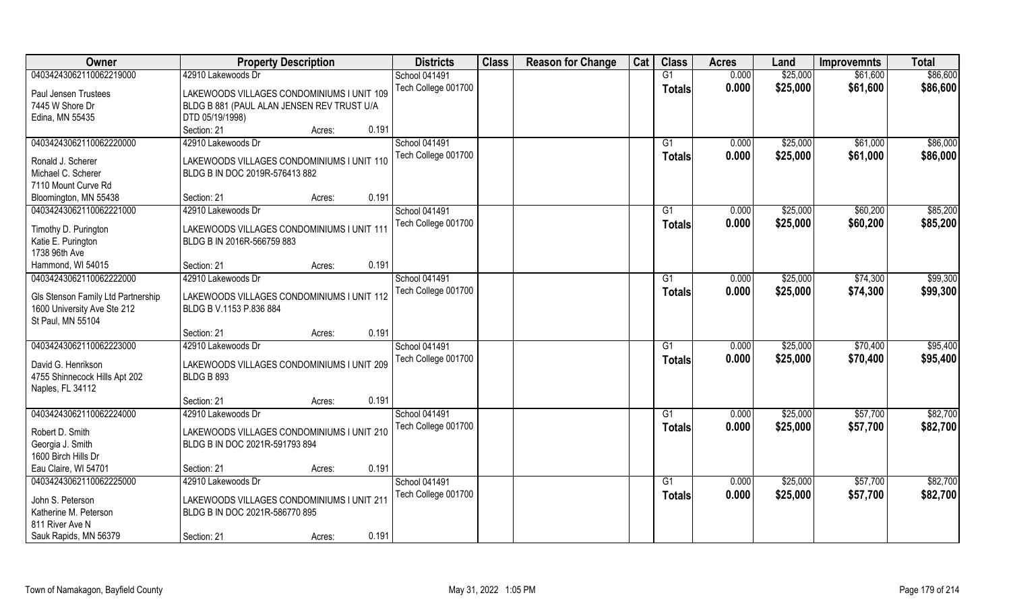| Owner                              | <b>Property Description</b>                                     |       | <b>Districts</b>    | <b>Class</b> | <b>Reason for Change</b> | Cat | <b>Class</b>    | <b>Acres</b> | Land     | <b>Improvemnts</b> | <b>Total</b> |
|------------------------------------|-----------------------------------------------------------------|-------|---------------------|--------------|--------------------------|-----|-----------------|--------------|----------|--------------------|--------------|
| 04034243062110062219000            | 42910 Lakewoods Dr                                              |       | School 041491       |              |                          |     | G1              | 0.000        | \$25,000 | \$61,600           | \$86,600     |
| Paul Jensen Trustees               | LAKEWOODS VILLAGES CONDOMINIUMS I UNIT 109                      |       | Tech College 001700 |              |                          |     | <b>Totals</b>   | 0.000        | \$25,000 | \$61,600           | \$86,600     |
| 7445 W Shore Dr                    | BLDG B 881 (PAUL ALAN JENSEN REV TRUST U/A                      |       |                     |              |                          |     |                 |              |          |                    |              |
| Edina, MN 55435                    | DTD 05/19/1998)                                                 |       |                     |              |                          |     |                 |              |          |                    |              |
|                                    | Section: 21<br>Acres:                                           | 0.191 |                     |              |                          |     |                 |              |          |                    |              |
| 04034243062110062220000            | 42910 Lakewoods Dr                                              |       | School 041491       |              |                          |     | G1              | 0.000        | \$25,000 | \$61,000           | \$86,000     |
|                                    |                                                                 |       | Tech College 001700 |              |                          |     | Totals          | 0.000        | \$25,000 | \$61,000           | \$86,000     |
| Ronald J. Scherer                  | LAKEWOODS VILLAGES CONDOMINIUMS I UNIT 110                      |       |                     |              |                          |     |                 |              |          |                    |              |
| Michael C. Scherer                 | BLDG B IN DOC 2019R-576413 882                                  |       |                     |              |                          |     |                 |              |          |                    |              |
| 7110 Mount Curve Rd                |                                                                 |       |                     |              |                          |     |                 |              |          |                    |              |
| Bloomington, MN 55438              | Section: 21<br>Acres:                                           | 0.191 |                     |              |                          |     |                 |              |          |                    |              |
| 04034243062110062221000            | 42910 Lakewoods Dr                                              |       | School 041491       |              |                          |     | G1              | 0.000        | \$25,000 | \$60,200           | \$85,200     |
| Timothy D. Purington               | LAKEWOODS VILLAGES CONDOMINIUMS I UNIT 111                      |       | Tech College 001700 |              |                          |     | <b>Totals</b>   | 0.000        | \$25,000 | \$60,200           | \$85,200     |
| Katie E. Purington                 | BLDG B IN 2016R-566759 883                                      |       |                     |              |                          |     |                 |              |          |                    |              |
| 1738 96th Ave                      |                                                                 |       |                     |              |                          |     |                 |              |          |                    |              |
| Hammond, WI 54015                  | Section: 21<br>Acres:                                           | 0.191 |                     |              |                          |     |                 |              |          |                    |              |
| 04034243062110062222000            | 42910 Lakewoods Dr                                              |       | School 041491       |              |                          |     | G1              | 0.000        | \$25,000 | \$74,300           | \$99,300     |
|                                    |                                                                 |       | Tech College 001700 |              |                          |     |                 |              |          |                    |              |
| Gls Stenson Family Ltd Partnership | LAKEWOODS VILLAGES CONDOMINIUMS I UNIT 112                      |       |                     |              |                          |     | <b>Totals</b>   | 0.000        | \$25,000 | \$74,300           | \$99,300     |
| 1600 University Ave Ste 212        | BLDG B V.1153 P.836 884                                         |       |                     |              |                          |     |                 |              |          |                    |              |
| St Paul, MN 55104                  |                                                                 |       |                     |              |                          |     |                 |              |          |                    |              |
|                                    | Section: 21<br>Acres:                                           | 0.191 |                     |              |                          |     |                 |              |          |                    |              |
| 04034243062110062223000            | 42910 Lakewoods Dr                                              |       | School 041491       |              |                          |     | G1              | 0.000        | \$25,000 | \$70,400           | \$95,400     |
| David G. Henrikson                 |                                                                 |       | Tech College 001700 |              |                          |     | <b>Totals</b>   | 0.000        | \$25,000 | \$70,400           | \$95,400     |
| 4755 Shinnecock Hills Apt 202      | LAKEWOODS VILLAGES CONDOMINIUMS I UNIT 209<br><b>BLDG B 893</b> |       |                     |              |                          |     |                 |              |          |                    |              |
|                                    |                                                                 |       |                     |              |                          |     |                 |              |          |                    |              |
| Naples, FL 34112                   | Section: 21                                                     | 0.191 |                     |              |                          |     |                 |              |          |                    |              |
|                                    | Acres:                                                          |       |                     |              |                          |     |                 |              |          |                    |              |
| 04034243062110062224000            | 42910 Lakewoods Dr                                              |       | School 041491       |              |                          |     | G1              | 0.000        | \$25,000 | \$57,700           | \$82,700     |
| Robert D. Smith                    | LAKEWOODS VILLAGES CONDOMINIUMS I UNIT 210                      |       | Tech College 001700 |              |                          |     | <b>Totals</b>   | 0.000        | \$25,000 | \$57,700           | \$82,700     |
| Georgia J. Smith                   | BLDG B IN DOC 2021R-591793 894                                  |       |                     |              |                          |     |                 |              |          |                    |              |
| 1600 Birch Hills Dr                |                                                                 |       |                     |              |                          |     |                 |              |          |                    |              |
| Eau Claire, WI 54701               | Section: 21<br>Acres:                                           | 0.191 |                     |              |                          |     |                 |              |          |                    |              |
| 04034243062110062225000            | 42910 Lakewoods Dr                                              |       | School 041491       |              |                          |     | $\overline{G1}$ | 0.000        | \$25,000 | \$57,700           | \$82,700     |
|                                    |                                                                 |       | Tech College 001700 |              |                          |     | <b>Totals</b>   | 0.000        | \$25,000 | \$57,700           | \$82,700     |
| John S. Peterson                   | LAKEWOODS VILLAGES CONDOMINIUMS I UNIT 211                      |       |                     |              |                          |     |                 |              |          |                    |              |
| Katherine M. Peterson              | BLDG B IN DOC 2021R-586770 895                                  |       |                     |              |                          |     |                 |              |          |                    |              |
| 811 River Ave N                    |                                                                 |       |                     |              |                          |     |                 |              |          |                    |              |
| Sauk Rapids, MN 56379              | Section: 21<br>Acres:                                           | 0.191 |                     |              |                          |     |                 |              |          |                    |              |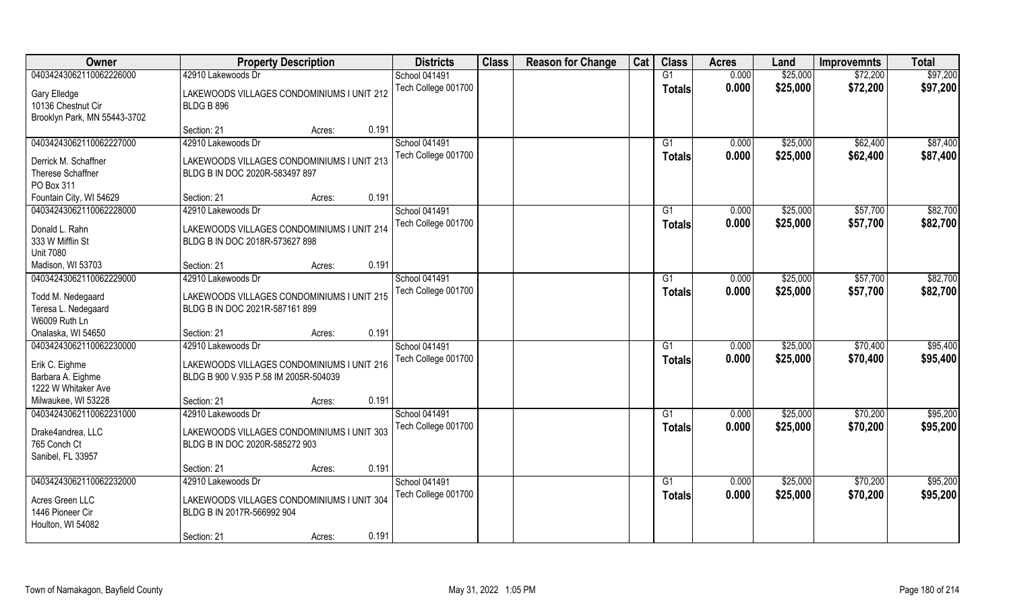| Owner                                          | <b>Property Description</b>                |       | <b>Districts</b>                     | <b>Class</b> | <b>Reason for Change</b> | Cat | <b>Class</b>  | <b>Acres</b>   | Land     | <b>Improvemnts</b> | <b>Total</b> |
|------------------------------------------------|--------------------------------------------|-------|--------------------------------------|--------------|--------------------------|-----|---------------|----------------|----------|--------------------|--------------|
| 04034243062110062226000                        | 42910 Lakewoods Dr                         |       | <b>School 041491</b>                 |              |                          |     | G1            | 0.000          | \$25,000 | \$72,200           | \$97,200     |
| Gary Elledge                                   | LAKEWOODS VILLAGES CONDOMINIUMS I UNIT 212 |       | Tech College 001700                  |              |                          |     | <b>Totals</b> | 0.000          | \$25,000 | \$72,200           | \$97,200     |
| 10136 Chestnut Cir                             | BLDG B 896                                 |       |                                      |              |                          |     |               |                |          |                    |              |
| Brooklyn Park, MN 55443-3702                   |                                            |       |                                      |              |                          |     |               |                |          |                    |              |
|                                                | Section: 21<br>Acres:                      | 0.191 |                                      |              |                          |     |               |                |          |                    |              |
| 04034243062110062227000                        | 42910 Lakewoods Dr                         |       | <b>School 041491</b>                 |              |                          |     | G1            | 0.000          | \$25,000 | \$62,400           | \$87,400     |
| Derrick M. Schaffner                           | LAKEWOODS VILLAGES CONDOMINIUMS I UNIT 213 |       | Tech College 001700                  |              |                          |     | Totals        | 0.000          | \$25,000 | \$62,400           | \$87,400     |
| Therese Schaffner                              | BLDG B IN DOC 2020R-583497 897             |       |                                      |              |                          |     |               |                |          |                    |              |
| PO Box 311                                     |                                            |       |                                      |              |                          |     |               |                |          |                    |              |
| Fountain City, WI 54629                        | Section: 21<br>Acres:                      | 0.191 |                                      |              |                          |     |               |                |          |                    |              |
| 04034243062110062228000                        | 42910 Lakewoods Dr                         |       | <b>School 041491</b>                 |              |                          |     | G1            | 0.000          | \$25,000 | \$57,700           | \$82,700     |
| Donald L. Rahn                                 | LAKEWOODS VILLAGES CONDOMINIUMS I UNIT 214 |       | Tech College 001700                  |              |                          |     | <b>Totals</b> | 0.000          | \$25,000 | \$57,700           | \$82,700     |
| 333 W Mifflin St                               | BLDG B IN DOC 2018R-573627 898             |       |                                      |              |                          |     |               |                |          |                    |              |
| <b>Unit 7080</b>                               |                                            |       |                                      |              |                          |     |               |                |          |                    |              |
| Madison, WI 53703                              | Section: 21<br>Acres:                      | 0.191 |                                      |              |                          |     |               |                |          |                    |              |
| 04034243062110062229000                        | 42910 Lakewoods Dr                         |       | School 041491                        |              |                          |     | G1            | 0.000          | \$25,000 | \$57,700           | \$82,700     |
|                                                | LAKEWOODS VILLAGES CONDOMINIUMS I UNIT 215 |       | Tech College 001700                  |              |                          |     | Totals        | 0.000          | \$25,000 | \$57,700           | \$82,700     |
| Todd M. Nedegaard<br>Teresa L. Nedegaard       | BLDG B IN DOC 2021R-587161 899             |       |                                      |              |                          |     |               |                |          |                    |              |
| W6009 Ruth Ln                                  |                                            |       |                                      |              |                          |     |               |                |          |                    |              |
| Onalaska, WI 54650                             | Section: 21<br>Acres:                      | 0.191 |                                      |              |                          |     |               |                |          |                    |              |
| 04034243062110062230000                        | 42910 Lakewoods Dr                         |       | <b>School 041491</b>                 |              |                          |     | G1            | 0.000          | \$25,000 | \$70,400           | \$95,400     |
|                                                |                                            |       | Tech College 001700                  |              |                          |     | <b>Totals</b> | 0.000          | \$25,000 | \$70,400           | \$95,400     |
| Erik C. Eighme                                 | LAKEWOODS VILLAGES CONDOMINIUMS I UNIT 216 |       |                                      |              |                          |     |               |                |          |                    |              |
| Barbara A. Eighme                              | BLDG B 900 V.935 P.58 IM 2005R-504039      |       |                                      |              |                          |     |               |                |          |                    |              |
| 1222 W Whitaker Ave                            |                                            |       |                                      |              |                          |     |               |                |          |                    |              |
| Milwaukee, WI 53228<br>04034243062110062231000 | Section: 21<br>Acres:                      | 0.191 |                                      |              |                          |     |               |                |          |                    |              |
|                                                | 42910 Lakewoods Dr                         |       | School 041491<br>Tech College 001700 |              |                          |     | G1            | 0.000<br>0.000 | \$25,000 | \$70,200           | \$95,200     |
| Drake4andrea, LLC                              | LAKEWOODS VILLAGES CONDOMINIUMS I UNIT 303 |       |                                      |              |                          |     | <b>Totals</b> |                | \$25,000 | \$70,200           | \$95,200     |
| 765 Conch Ct                                   | BLDG B IN DOC 2020R-585272 903             |       |                                      |              |                          |     |               |                |          |                    |              |
| Sanibel, FL 33957                              |                                            |       |                                      |              |                          |     |               |                |          |                    |              |
|                                                | Section: 21<br>Acres:                      | 0.191 |                                      |              |                          |     |               |                |          |                    |              |
| 04034243062110062232000                        | 42910 Lakewoods Dr                         |       | <b>School 041491</b>                 |              |                          |     | G1            | 0.000          | \$25,000 | \$70,200           | \$95,200     |
| Acres Green LLC                                | LAKEWOODS VILLAGES CONDOMINIUMS I UNIT 304 |       | Tech College 001700                  |              |                          |     | <b>Totals</b> | 0.000          | \$25,000 | \$70,200           | \$95,200     |
| 1446 Pioneer Cir                               | BLDG B IN 2017R-566992 904                 |       |                                      |              |                          |     |               |                |          |                    |              |
| Houlton, WI 54082                              |                                            |       |                                      |              |                          |     |               |                |          |                    |              |
|                                                | Section: 21<br>Acres:                      | 0.191 |                                      |              |                          |     |               |                |          |                    |              |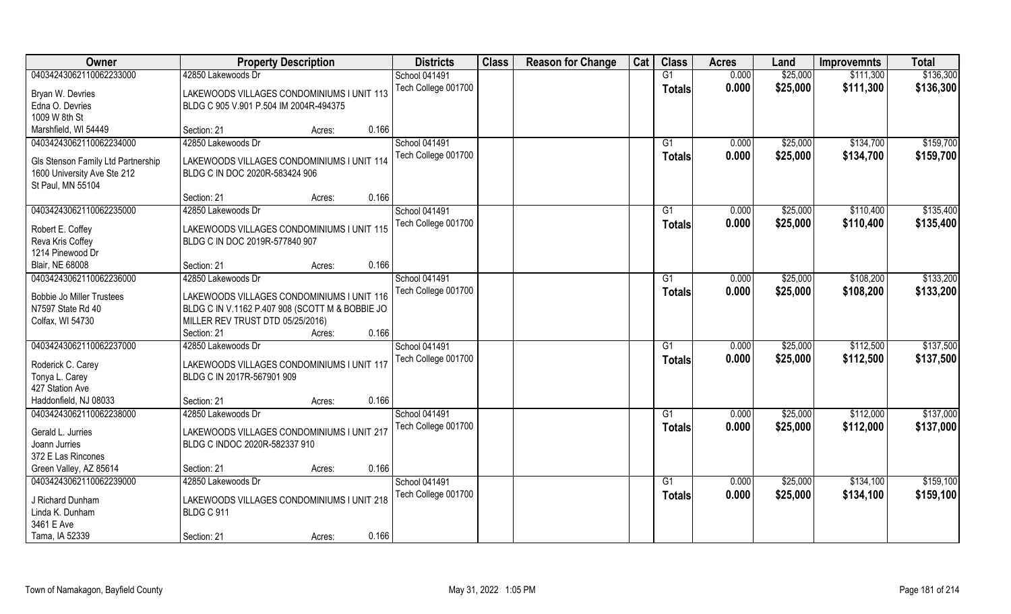| Owner                                                 | <b>Property Description</b>                                                          |        |       | <b>Districts</b>     | <b>Class</b> | <b>Reason for Change</b> | Cat | <b>Class</b>  | <b>Acres</b> | Land     | <b>Improvemnts</b> | <b>Total</b> |
|-------------------------------------------------------|--------------------------------------------------------------------------------------|--------|-------|----------------------|--------------|--------------------------|-----|---------------|--------------|----------|--------------------|--------------|
| 04034243062110062233000                               | 42850 Lakewoods Dr                                                                   |        |       | <b>School 041491</b> |              |                          |     | G1            | 0.000        | \$25,000 | \$111,300          | \$136,300    |
| Bryan W. Devries<br>Edna O. Devries                   | LAKEWOODS VILLAGES CONDOMINIUMS I UNIT 113<br>BLDG C 905 V.901 P.504 IM 2004R-494375 |        |       | Tech College 001700  |              |                          |     | <b>Totals</b> | 0.000        | \$25,000 | \$111,300          | \$136,300    |
| 1009 W 8th St                                         |                                                                                      |        |       |                      |              |                          |     |               |              |          |                    |              |
| Marshfield, WI 54449                                  | Section: 21                                                                          | Acres: | 0.166 |                      |              |                          |     |               |              |          |                    |              |
| 04034243062110062234000                               | 42850 Lakewoods Dr                                                                   |        |       | <b>School 041491</b> |              |                          |     | G1            | 0.000        | \$25,000 | \$134,700          | \$159,700    |
|                                                       |                                                                                      |        |       | Tech College 001700  |              |                          |     | Totals        | 0.000        | \$25,000 | \$134,700          | \$159,700    |
| Gls Stenson Family Ltd Partnership                    | LAKEWOODS VILLAGES CONDOMINIUMS I UNIT 114                                           |        |       |                      |              |                          |     |               |              |          |                    |              |
| 1600 University Ave Ste 212                           | BLDG C IN DOC 2020R-583424 906                                                       |        |       |                      |              |                          |     |               |              |          |                    |              |
| St Paul, MN 55104                                     |                                                                                      |        |       |                      |              |                          |     |               |              |          |                    |              |
|                                                       | Section: 21                                                                          | Acres: | 0.166 |                      |              |                          |     |               |              |          |                    |              |
| 04034243062110062235000                               | 42850 Lakewoods Dr                                                                   |        |       | <b>School 041491</b> |              |                          |     | G1            | 0.000        | \$25,000 | \$110,400          | \$135,400    |
| Robert E. Coffey                                      | LAKEWOODS VILLAGES CONDOMINIUMS I UNIT 115                                           |        |       | Tech College 001700  |              |                          |     | <b>Totals</b> | 0.000        | \$25,000 | \$110,400          | \$135,400    |
| Reva Kris Coffey                                      | BLDG C IN DOC 2019R-577840 907                                                       |        |       |                      |              |                          |     |               |              |          |                    |              |
| 1214 Pinewood Dr                                      |                                                                                      |        |       |                      |              |                          |     |               |              |          |                    |              |
| Blair, NE 68008                                       | Section: 21                                                                          | Acres: | 0.166 |                      |              |                          |     |               |              |          |                    |              |
| 04034243062110062236000                               | 42850 Lakewoods Dr                                                                   |        |       | <b>School 041491</b> |              |                          |     | G1            | 0.000        | \$25,000 | \$108,200          | \$133,200    |
|                                                       |                                                                                      |        |       | Tech College 001700  |              |                          |     | <b>Totals</b> | 0.000        | \$25,000 | \$108,200          | \$133,200    |
| <b>Bobbie Jo Miller Trustees</b><br>N7597 State Rd 40 | LAKEWOODS VILLAGES CONDOMINIUMS I UNIT 116                                           |        |       |                      |              |                          |     |               |              |          |                    |              |
|                                                       | BLDG C IN V.1162 P.407 908 (SCOTT M & BOBBIE JO<br>MILLER REV TRUST DTD 05/25/2016)  |        |       |                      |              |                          |     |               |              |          |                    |              |
| Colfax, WI 54730                                      | Section: 21                                                                          |        | 0.166 |                      |              |                          |     |               |              |          |                    |              |
| 04034243062110062237000                               | 42850 Lakewoods Dr                                                                   | Acres: |       | <b>School 041491</b> |              |                          |     | G1            | 0.000        | \$25,000 | \$112,500          | \$137,500    |
|                                                       |                                                                                      |        |       |                      |              |                          |     |               |              |          |                    |              |
| Roderick C. Carey                                     | LAKEWOODS VILLAGES CONDOMINIUMS I UNIT 117                                           |        |       | Tech College 001700  |              |                          |     | Totals        | 0.000        | \$25,000 | \$112,500          | \$137,500    |
| Tonya L. Carey                                        | BLDG C IN 2017R-567901 909                                                           |        |       |                      |              |                          |     |               |              |          |                    |              |
| 427 Station Ave                                       |                                                                                      |        |       |                      |              |                          |     |               |              |          |                    |              |
| Haddonfield, NJ 08033                                 | Section: 21                                                                          | Acres: | 0.166 |                      |              |                          |     |               |              |          |                    |              |
| 04034243062110062238000                               | 42850 Lakewoods Dr                                                                   |        |       | School 041491        |              |                          |     | G1            | 0.000        | \$25,000 | \$112,000          | \$137,000    |
| Gerald L. Jurries                                     | LAKEWOODS VILLAGES CONDOMINIUMS I UNIT 217                                           |        |       | Tech College 001700  |              |                          |     | <b>Totals</b> | 0.000        | \$25,000 | \$112,000          | \$137,000    |
| Joann Jurries                                         | BLDG C INDOC 2020R-582337 910                                                        |        |       |                      |              |                          |     |               |              |          |                    |              |
| 372 E Las Rincones                                    |                                                                                      |        |       |                      |              |                          |     |               |              |          |                    |              |
| Green Valley, AZ 85614                                | Section: 21                                                                          | Acres: | 0.166 |                      |              |                          |     |               |              |          |                    |              |
| 04034243062110062239000                               | 42850 Lakewoods Dr                                                                   |        |       | School 041491        |              |                          |     | G1            | 0.000        | \$25,000 | \$134,100          | \$159,100    |
|                                                       |                                                                                      |        |       | Tech College 001700  |              |                          |     | Totals        | 0.000        | \$25,000 | \$134,100          | \$159,100    |
| J Richard Dunham                                      | LAKEWOODS VILLAGES CONDOMINIUMS I UNIT 218                                           |        |       |                      |              |                          |     |               |              |          |                    |              |
| Linda K. Dunham                                       | BLDG C 911                                                                           |        |       |                      |              |                          |     |               |              |          |                    |              |
| 3461 E Ave                                            |                                                                                      |        |       |                      |              |                          |     |               |              |          |                    |              |
| Tama, IA 52339                                        | Section: 21                                                                          | Acres: | 0.166 |                      |              |                          |     |               |              |          |                    |              |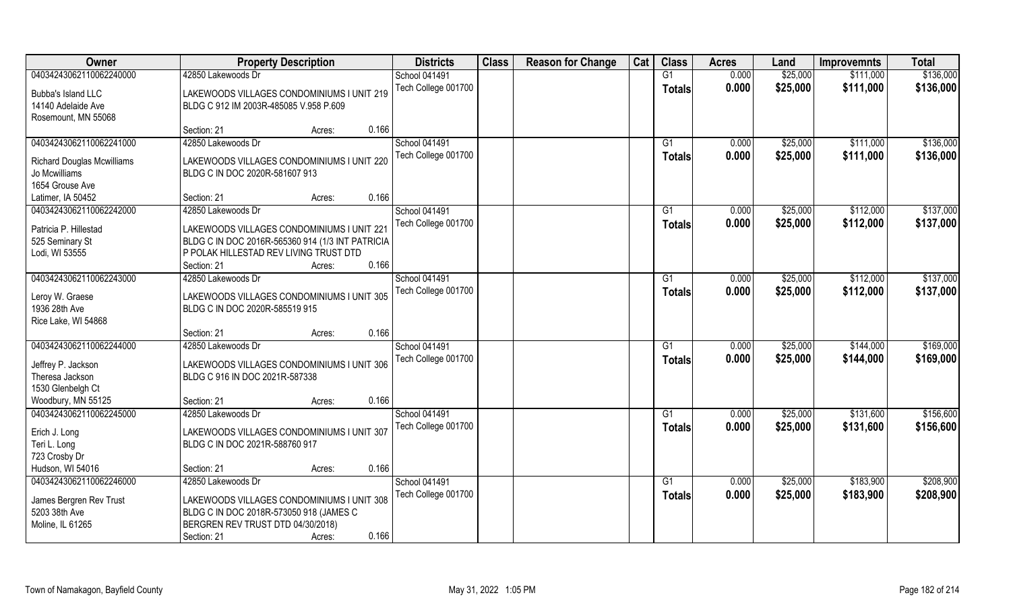| Owner                             | <b>Property Description</b>                                                  | <b>Districts</b>     | <b>Class</b> | <b>Reason for Change</b> | Cat | <b>Class</b>   | <b>Acres</b> | Land     | <b>Improvemnts</b> | <b>Total</b> |
|-----------------------------------|------------------------------------------------------------------------------|----------------------|--------------|--------------------------|-----|----------------|--------------|----------|--------------------|--------------|
| 04034243062110062240000           | 42850 Lakewoods Dr                                                           | <b>School 041491</b> |              |                          |     | G1             | 0.000        | \$25,000 | \$111,000          | \$136,000    |
| Bubba's Island LLC                | LAKEWOODS VILLAGES CONDOMINIUMS I UNIT 219                                   | Tech College 001700  |              |                          |     | <b>Totals</b>  | 0.000        | \$25,000 | \$111,000          | \$136,000    |
| 14140 Adelaide Ave                | BLDG C 912 IM 2003R-485085 V.958 P.609                                       |                      |              |                          |     |                |              |          |                    |              |
| Rosemount, MN 55068               |                                                                              |                      |              |                          |     |                |              |          |                    |              |
|                                   | Section: 21<br>Acres:                                                        | 0.166                |              |                          |     |                |              |          |                    |              |
| 04034243062110062241000           | 42850 Lakewoods Dr                                                           | <b>School 041491</b> |              |                          |     | G <sub>1</sub> | 0.000        | \$25,000 | \$111,000          | \$136,000    |
|                                   |                                                                              | Tech College 001700  |              |                          |     | Totals         | 0.000        | \$25,000 | \$111,000          | \$136,000    |
| <b>Richard Douglas Mcwilliams</b> | LAKEWOODS VILLAGES CONDOMINIUMS I UNIT 220                                   |                      |              |                          |     |                |              |          |                    |              |
| Jo Mcwilliams                     | BLDG C IN DOC 2020R-581607 913                                               |                      |              |                          |     |                |              |          |                    |              |
| 1654 Grouse Ave                   |                                                                              | 0.166                |              |                          |     |                |              |          |                    |              |
| Latimer, IA 50452                 | Section: 21<br>Acres:                                                        |                      |              |                          |     |                |              |          |                    |              |
| 04034243062110062242000           | 42850 Lakewoods Dr                                                           | <b>School 041491</b> |              |                          |     | G1             | 0.000        | \$25,000 | \$112,000          | \$137,000    |
| Patricia P. Hillestad             | LAKEWOODS VILLAGES CONDOMINIUMS I UNIT 221                                   | Tech College 001700  |              |                          |     | <b>Totals</b>  | 0.000        | \$25,000 | \$112,000          | \$137,000    |
| 525 Seminary St                   | BLDG C IN DOC 2016R-565360 914 (1/3 INT PATRICIA                             |                      |              |                          |     |                |              |          |                    |              |
| Lodi, WI 53555                    | P POLAK HILLESTAD REV LIVING TRUST DTD                                       |                      |              |                          |     |                |              |          |                    |              |
|                                   | Section: 21<br>Acres:                                                        | 0.166                |              |                          |     |                |              |          |                    |              |
| 04034243062110062243000           | 42850 Lakewoods Dr                                                           | <b>School 041491</b> |              |                          |     | G <sub>1</sub> | 0.000        | \$25,000 | \$112,000          | \$137,000    |
|                                   |                                                                              | Tech College 001700  |              |                          |     | <b>Totals</b>  | 0.000        | \$25,000 | \$112,000          | \$137,000    |
| Leroy W. Graese<br>1936 28th Ave  | LAKEWOODS VILLAGES CONDOMINIUMS I UNIT 305<br>BLDG C IN DOC 2020R-585519 915 |                      |              |                          |     |                |              |          |                    |              |
| Rice Lake, WI 54868               |                                                                              |                      |              |                          |     |                |              |          |                    |              |
|                                   | Section: 21<br>Acres:                                                        | 0.166                |              |                          |     |                |              |          |                    |              |
| 04034243062110062244000           | 42850 Lakewoods Dr                                                           | School 041491        |              |                          |     | G1             | 0.000        | \$25,000 | \$144,000          | \$169,000    |
|                                   |                                                                              | Tech College 001700  |              |                          |     |                | 0.000        | \$25,000 | \$144,000          | \$169,000    |
| Jeffrey P. Jackson                | LAKEWOODS VILLAGES CONDOMINIUMS I UNIT 306                                   |                      |              |                          |     | <b>Totals</b>  |              |          |                    |              |
| Theresa Jackson                   | BLDG C 916 IN DOC 2021R-587338                                               |                      |              |                          |     |                |              |          |                    |              |
| 1530 Glenbelgh Ct                 |                                                                              |                      |              |                          |     |                |              |          |                    |              |
| Woodbury, MN 55125                | Section: 21<br>Acres:                                                        | 0.166                |              |                          |     |                |              |          |                    |              |
| 04034243062110062245000           | 42850 Lakewoods Dr                                                           | <b>School 041491</b> |              |                          |     | G1             | 0.000        | \$25,000 | \$131,600          | \$156,600    |
| Erich J. Long                     | LAKEWOODS VILLAGES CONDOMINIUMS I UNIT 307                                   | Tech College 001700  |              |                          |     | <b>Totals</b>  | 0.000        | \$25,000 | \$131,600          | \$156,600    |
| Teri L. Long                      | BLDG C IN DOC 2021R-588760 917                                               |                      |              |                          |     |                |              |          |                    |              |
| 723 Crosby Dr                     |                                                                              |                      |              |                          |     |                |              |          |                    |              |
| Hudson, WI 54016                  | Section: 21<br>Acres:                                                        | 0.166                |              |                          |     |                |              |          |                    |              |
| 04034243062110062246000           | 42850 Lakewoods Dr                                                           | School 041491        |              |                          |     | G1             | 0.000        | \$25,000 | \$183,900          | \$208,900    |
|                                   |                                                                              | Tech College 001700  |              |                          |     | Totals         | 0.000        | \$25,000 | \$183,900          | \$208,900    |
| James Bergren Rev Trust           | LAKEWOODS VILLAGES CONDOMINIUMS I UNIT 308                                   |                      |              |                          |     |                |              |          |                    |              |
| 5203 38th Ave                     | BLDG C IN DOC 2018R-573050 918 (JAMES C                                      |                      |              |                          |     |                |              |          |                    |              |
| Moline, IL 61265                  | BERGREN REV TRUST DTD 04/30/2018)                                            |                      |              |                          |     |                |              |          |                    |              |
|                                   | Section: 21<br>Acres:                                                        | 0.166                |              |                          |     |                |              |          |                    |              |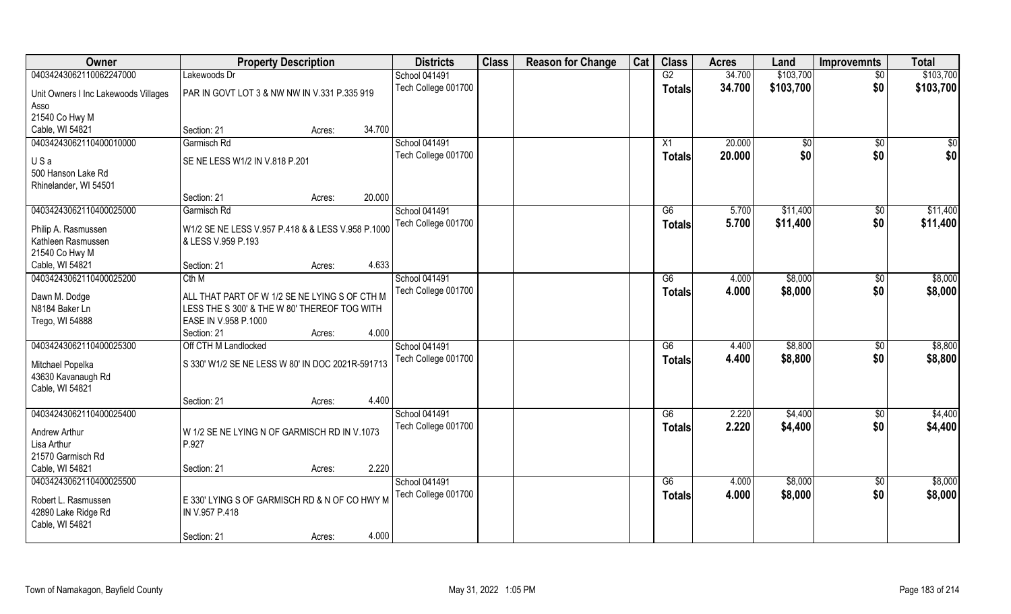| Owner                                | <b>Property Description</b>                       |                  | <b>Districts</b>     | <b>Class</b> | <b>Reason for Change</b> | Cat | <b>Class</b>  | <b>Acres</b> | Land      | <b>Improvemnts</b> | <b>Total</b> |
|--------------------------------------|---------------------------------------------------|------------------|----------------------|--------------|--------------------------|-----|---------------|--------------|-----------|--------------------|--------------|
| 04034243062110062247000              | Lakewoods Dr                                      |                  | <b>School 041491</b> |              |                          |     | G2            | 34.700       | \$103,700 | $\overline{50}$    | \$103,700    |
| Unit Owners I Inc Lakewoods Villages | PAR IN GOVT LOT 3 & NW NW IN V.331 P.335 919      |                  | Tech College 001700  |              |                          |     | <b>Totals</b> | 34.700       | \$103,700 | \$0                | \$103,700    |
| Asso                                 |                                                   |                  |                      |              |                          |     |               |              |           |                    |              |
| 21540 Co Hwy M                       |                                                   |                  |                      |              |                          |     |               |              |           |                    |              |
| Cable, WI 54821                      | Section: 21                                       | 34.700<br>Acres: |                      |              |                          |     |               |              |           |                    |              |
| 04034243062110400010000              | Garmisch Rd                                       |                  | <b>School 041491</b> |              |                          |     | X1            | 20.000       | \$0       | \$0                | \$0          |
|                                      |                                                   |                  | Tech College 001700  |              |                          |     | <b>Totals</b> | 20.000       | \$0       | \$0                | \$0          |
| USa                                  | SE NE LESS W1/2 IN V.818 P.201                    |                  |                      |              |                          |     |               |              |           |                    |              |
| 500 Hanson Lake Rd                   |                                                   |                  |                      |              |                          |     |               |              |           |                    |              |
| Rhinelander, WI 54501                |                                                   | 20.000           |                      |              |                          |     |               |              |           |                    |              |
| 04034243062110400025000              | Section: 21                                       | Acres:           |                      |              |                          |     |               |              | \$11,400  |                    | \$11,400     |
|                                      | Garmisch Rd                                       |                  | School 041491        |              |                          |     | G6            | 5.700        |           | $\sqrt[6]{3}$      |              |
| Philip A. Rasmussen                  | W1/2 SE NE LESS V.957 P.418 & & LESS V.958 P.1000 |                  | Tech College 001700  |              |                          |     | <b>Totals</b> | 5.700        | \$11,400  | \$0                | \$11,400     |
| Kathleen Rasmussen                   | & LESS V.959 P.193                                |                  |                      |              |                          |     |               |              |           |                    |              |
| 21540 Co Hwy M                       |                                                   |                  |                      |              |                          |     |               |              |           |                    |              |
| Cable, WI 54821                      | Section: 21                                       | 4.633<br>Acres:  |                      |              |                          |     |               |              |           |                    |              |
| 04034243062110400025200              | Cth M                                             |                  | <b>School 041491</b> |              |                          |     | G6            | 4.000        | \$8,000   | \$0                | \$8,000      |
| Dawn M. Dodge                        | ALL THAT PART OF W 1/2 SE NE LYING S OF CTH M     |                  | Tech College 001700  |              |                          |     | <b>Totals</b> | 4.000        | \$8,000   | \$0                | \$8,000      |
| N8184 Baker Ln                       | LESS THE S 300' & THE W 80' THEREOF TOG WITH      |                  |                      |              |                          |     |               |              |           |                    |              |
| Trego, WI 54888                      | EASE IN V.958 P.1000                              |                  |                      |              |                          |     |               |              |           |                    |              |
|                                      | Section: 21                                       | 4.000<br>Acres:  |                      |              |                          |     |               |              |           |                    |              |
| 04034243062110400025300              | Off CTH M Landlocked                              |                  | School 041491        |              |                          |     | G6            | 4.400        | \$8,800   | $\sqrt[6]{30}$     | \$8,800      |
|                                      |                                                   |                  | Tech College 001700  |              |                          |     | <b>Totals</b> | 4.400        | \$8,800   | \$0                | \$8,800      |
| Mitchael Popelka                     | S 330' W1/2 SE NE LESS W 80' IN DOC 2021R-591713  |                  |                      |              |                          |     |               |              |           |                    |              |
| 43630 Kavanaugh Rd                   |                                                   |                  |                      |              |                          |     |               |              |           |                    |              |
| Cable, WI 54821                      |                                                   |                  |                      |              |                          |     |               |              |           |                    |              |
|                                      | Section: 21                                       | 4.400<br>Acres:  |                      |              |                          |     |               |              |           |                    |              |
| 04034243062110400025400              |                                                   |                  | School 041491        |              |                          |     | G6            | 2.220        | \$4,400   | $\sqrt{$0}$        | \$4,400      |
| Andrew Arthur                        | W 1/2 SE NE LYING N OF GARMISCH RD IN V.1073      |                  | Tech College 001700  |              |                          |     | <b>Totals</b> | 2.220        | \$4,400   | \$0                | \$4,400      |
| Lisa Arthur                          | P.927                                             |                  |                      |              |                          |     |               |              |           |                    |              |
| 21570 Garmisch Rd                    |                                                   |                  |                      |              |                          |     |               |              |           |                    |              |
| Cable, WI 54821                      | Section: 21                                       | 2.220<br>Acres:  |                      |              |                          |     |               |              |           |                    |              |
| 04034243062110400025500              |                                                   |                  | School 041491        |              |                          |     | G6            | 4.000        | \$8,000   | $\overline{50}$    | \$8,000      |
| Robert L. Rasmussen                  | E 330' LYING S OF GARMISCH RD & N OF CO HWY M     |                  | Tech College 001700  |              |                          |     | Totals        | 4.000        | \$8,000   | \$0                | \$8,000      |
| 42890 Lake Ridge Rd                  | IN V.957 P.418                                    |                  |                      |              |                          |     |               |              |           |                    |              |
| Cable, WI 54821                      |                                                   |                  |                      |              |                          |     |               |              |           |                    |              |
|                                      | Section: 21                                       | 4.000<br>Acres:  |                      |              |                          |     |               |              |           |                    |              |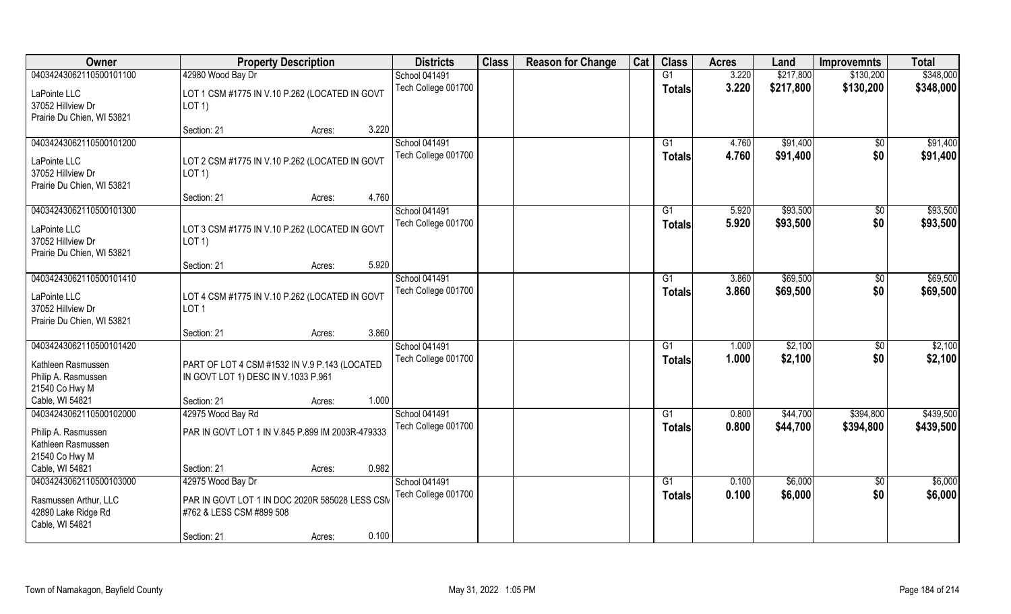| Owner                                                                                                     | <b>Property Description</b>                                                                                                       | <b>Districts</b>                            | <b>Class</b> | <b>Reason for Change</b> | Cat | <b>Class</b>        | <b>Acres</b>   | Land                 | <b>Improvemnts</b>     | <b>Total</b>           |
|-----------------------------------------------------------------------------------------------------------|-----------------------------------------------------------------------------------------------------------------------------------|---------------------------------------------|--------------|--------------------------|-----|---------------------|----------------|----------------------|------------------------|------------------------|
| 04034243062110500101100                                                                                   | 42980 Wood Bay Dr                                                                                                                 | School 041491                               |              |                          |     | G1                  | 3.220          | \$217,800            | \$130,200              | \$348,000              |
| LaPointe LLC<br>37052 Hillview Dr<br>Prairie Du Chien, WI 53821                                           | LOT 1 CSM #1775 IN V.10 P.262 (LOCATED IN GOVT<br>$LOT$ 1)                                                                        | Tech College 001700                         |              |                          |     | <b>Totals</b>       | 3.220          | \$217,800            | \$130,200              | \$348,000              |
|                                                                                                           | 3.220<br>Section: 21<br>Acres:                                                                                                    |                                             |              |                          |     |                     |                |                      |                        |                        |
| 04034243062110500101200<br>LaPointe LLC<br>37052 Hillview Dr<br>Prairie Du Chien, WI 53821                | LOT 2 CSM #1775 IN V.10 P.262 (LOCATED IN GOVT<br>$LOT$ 1)                                                                        | <b>School 041491</b><br>Tech College 001700 |              |                          |     | G1<br>Totals        | 4.760<br>4.760 | \$91,400<br>\$91,400 | \$0<br>\$0             | \$91,400<br>\$91,400   |
|                                                                                                           | 4.760<br>Section: 21<br>Acres:                                                                                                    |                                             |              |                          |     |                     |                |                      |                        |                        |
| 04034243062110500101300<br>LaPointe LLC<br>37052 Hillview Dr<br>Prairie Du Chien, WI 53821                | LOT 3 CSM #1775 IN V.10 P.262 (LOCATED IN GOVT<br>LOT 1)                                                                          | School 041491<br>Tech College 001700        |              |                          |     | G1<br><b>Totals</b> | 5.920<br>5.920 | \$93,500<br>\$93,500 | \$0<br>\$0             | \$93,500<br>\$93,500   |
|                                                                                                           | 5.920<br>Section: 21<br>Acres:                                                                                                    |                                             |              |                          |     |                     |                |                      |                        |                        |
| 04034243062110500101410<br>LaPointe LLC<br>37052 Hillview Dr<br>Prairie Du Chien, WI 53821                | LOT 4 CSM #1775 IN V.10 P.262 (LOCATED IN GOVT<br>LOT <sub>1</sub>                                                                | School 041491<br>Tech College 001700        |              |                          |     | G1<br><b>Totals</b> | 3.860<br>3.860 | \$69,500<br>\$69,500 | $\sqrt[6]{3}$<br>\$0   | \$69,500<br>\$69,500   |
|                                                                                                           | 3.860<br>Section: 21<br>Acres:                                                                                                    |                                             |              |                          |     |                     |                |                      |                        |                        |
| 04034243062110500101420<br>Kathleen Rasmussen<br>Philip A. Rasmussen<br>21540 Co Hwy M<br>Cable, WI 54821 | PART OF LOT 4 CSM #1532 IN V.9 P.143 (LOCATED<br>IN GOVT LOT 1) DESC IN V.1033 P.961<br>1.000<br>Section: 21<br>Acres:            | School 041491<br>Tech College 001700        |              |                          |     | G1<br><b>Totals</b> | 1.000<br>1.000 | \$2,100<br>\$2,100   | \$0<br>\$0             | \$2,100<br>\$2,100     |
| 04034243062110500102000<br>Philip A. Rasmussen<br>Kathleen Rasmussen<br>21540 Co Hwy M<br>Cable, WI 54821 | 42975 Wood Bay Rd<br>PAR IN GOVT LOT 1 IN V.845 P.899 IM 2003R-479333<br>0.982<br>Section: 21<br>Acres:                           | School 041491<br>Tech College 001700        |              |                          |     | G1<br><b>Totals</b> | 0.800<br>0.800 | \$44,700<br>\$44,700 | \$394,800<br>\$394,800 | \$439,500<br>\$439,500 |
| 04034243062110500103000<br>Rasmussen Arthur, LLC<br>42890 Lake Ridge Rd<br>Cable, WI 54821                | 42975 Wood Bay Dr<br>PAR IN GOVT LOT 1 IN DOC 2020R 585028 LESS CSM<br>#762 & LESS CSM #899 508<br>0.100<br>Section: 21<br>Acres: | School 041491<br>Tech College 001700        |              |                          |     | G1<br>Totals        | 0.100<br>0.100 | \$6,000<br>\$6,000   | $\overline{50}$<br>\$0 | \$6,000<br>\$6,000     |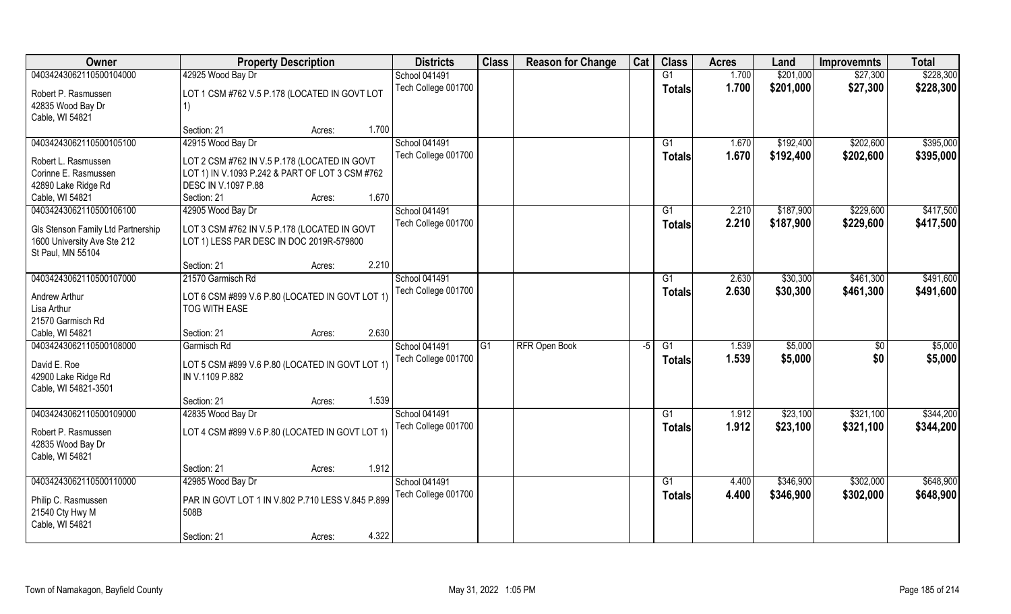| Owner                                            | <b>Property Description</b>                       |        |       | <b>Districts</b>    | <b>Class</b> | <b>Reason for Change</b> | Cat  | <b>Class</b>  | <b>Acres</b> | Land      | <b>Improvemnts</b> | <b>Total</b> |
|--------------------------------------------------|---------------------------------------------------|--------|-------|---------------------|--------------|--------------------------|------|---------------|--------------|-----------|--------------------|--------------|
| 04034243062110500104000                          | 42925 Wood Bay Dr                                 |        |       | School 041491       |              |                          |      | G1            | 1.700        | \$201,000 | \$27,300           | \$228,300    |
| Robert P. Rasmussen                              | LOT 1 CSM #762 V.5 P.178 (LOCATED IN GOVT LOT     |        |       | Tech College 001700 |              |                          |      | <b>Totals</b> | 1.700        | \$201,000 | \$27,300           | \$228,300    |
| 42835 Wood Bay Dr                                | 1)                                                |        |       |                     |              |                          |      |               |              |           |                    |              |
| Cable, WI 54821                                  |                                                   |        |       |                     |              |                          |      |               |              |           |                    |              |
|                                                  | Section: 21                                       | Acres: | 1.700 |                     |              |                          |      |               |              |           |                    |              |
| 04034243062110500105100                          | 42915 Wood Bay Dr                                 |        |       | School 041491       |              |                          |      | G1            | 1.670        | \$192,400 | \$202,600          | \$395,000    |
| Robert L. Rasmussen                              | LOT 2 CSM #762 IN V.5 P.178 (LOCATED IN GOVT      |        |       | Tech College 001700 |              |                          |      | <b>Totals</b> | 1.670        | \$192,400 | \$202,600          | \$395,000    |
| Corinne E. Rasmussen                             | LOT 1) IN V.1093 P.242 & PART OF LOT 3 CSM #762   |        |       |                     |              |                          |      |               |              |           |                    |              |
| 42890 Lake Ridge Rd                              | DESC IN V.1097 P.88                               |        |       |                     |              |                          |      |               |              |           |                    |              |
| Cable, WI 54821                                  | Section: 21                                       | Acres: | 1.670 |                     |              |                          |      |               |              |           |                    |              |
| 04034243062110500106100                          | 42905 Wood Bay Dr                                 |        |       | School 041491       |              |                          |      | G1            | 2.210        | \$187,900 | \$229,600          | \$417,500    |
|                                                  |                                                   |        |       | Tech College 001700 |              |                          |      | <b>Totals</b> | 2.210        | \$187,900 | \$229,600          | \$417,500    |
| Gls Stenson Family Ltd Partnership               | LOT 3 CSM #762 IN V.5 P.178 (LOCATED IN GOVT      |        |       |                     |              |                          |      |               |              |           |                    |              |
| 1600 University Ave Ste 212<br>St Paul, MN 55104 | LOT 1) LESS PAR DESC IN DOC 2019R-579800          |        |       |                     |              |                          |      |               |              |           |                    |              |
|                                                  | Section: 21                                       | Acres: | 2.210 |                     |              |                          |      |               |              |           |                    |              |
| 04034243062110500107000                          | 21570 Garmisch Rd                                 |        |       | School 041491       |              |                          |      | G1            | 2.630        | \$30,300  | \$461,300          | \$491,600    |
|                                                  |                                                   |        |       | Tech College 001700 |              |                          |      | <b>Totals</b> | 2.630        | \$30,300  | \$461,300          | \$491,600    |
| Andrew Arthur                                    | LOT 6 CSM #899 V.6 P.80 (LOCATED IN GOVT LOT 1)   |        |       |                     |              |                          |      |               |              |           |                    |              |
| Lisa Arthur                                      | TOG WITH EASE                                     |        |       |                     |              |                          |      |               |              |           |                    |              |
| 21570 Garmisch Rd                                |                                                   |        |       |                     |              |                          |      |               |              |           |                    |              |
| Cable, WI 54821                                  | Section: 21                                       | Acres: | 2.630 |                     |              |                          |      |               |              |           |                    |              |
| 04034243062110500108000                          | Garmisch Rd                                       |        |       | School 041491       | G1           | <b>RFR Open Book</b>     | $-5$ | G1            | 1.539        | \$5,000   | \$0                | \$5,000      |
| David E. Roe                                     | LOT 5 CSM #899 V.6 P.80 (LOCATED IN GOVT LOT 1)   |        |       | Tech College 001700 |              |                          |      | Totals        | 1.539        | \$5,000   | \$0                | \$5,000      |
| 42900 Lake Ridge Rd                              | IN V.1109 P.882                                   |        |       |                     |              |                          |      |               |              |           |                    |              |
| Cable, WI 54821-3501                             |                                                   |        |       |                     |              |                          |      |               |              |           |                    |              |
|                                                  | Section: 21                                       | Acres: | 1.539 |                     |              |                          |      |               |              |           |                    |              |
| 04034243062110500109000                          | 42835 Wood Bay Dr                                 |        |       | School 041491       |              |                          |      | G1            | 1.912        | \$23,100  | \$321,100          | \$344,200    |
| Robert P. Rasmussen                              | LOT 4 CSM #899 V.6 P.80 (LOCATED IN GOVT LOT 1)   |        |       | Tech College 001700 |              |                          |      | <b>Totals</b> | 1.912        | \$23,100  | \$321,100          | \$344,200    |
| 42835 Wood Bay Dr                                |                                                   |        |       |                     |              |                          |      |               |              |           |                    |              |
| Cable, WI 54821                                  |                                                   |        |       |                     |              |                          |      |               |              |           |                    |              |
|                                                  | Section: 21                                       | Acres: | 1.912 |                     |              |                          |      |               |              |           |                    |              |
| 04034243062110500110000                          | 42985 Wood Bay Dr                                 |        |       | School 041491       |              |                          |      | G1            | 4.400        | \$346,900 | \$302,000          | \$648,900    |
|                                                  | PAR IN GOVT LOT 1 IN V.802 P.710 LESS V.845 P.899 |        |       | Tech College 001700 |              |                          |      | <b>Totals</b> | 4.400        | \$346,900 | \$302,000          | \$648,900    |
| Philip C. Rasmussen<br>21540 Cty Hwy M           | 508B                                              |        |       |                     |              |                          |      |               |              |           |                    |              |
| Cable, WI 54821                                  |                                                   |        |       |                     |              |                          |      |               |              |           |                    |              |
|                                                  | Section: 21                                       | Acres: | 4.322 |                     |              |                          |      |               |              |           |                    |              |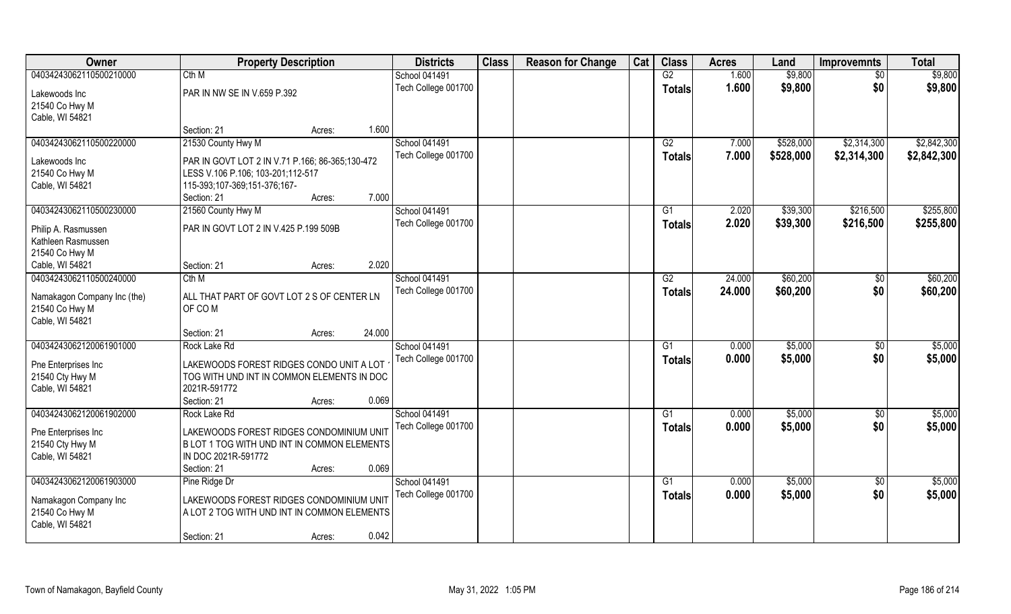| Owner                       | <b>Property Description</b>                     | <b>Districts</b>     | <b>Class</b> | <b>Reason for Change</b> | Cat | <b>Class</b>  | <b>Acres</b> | Land      | <b>Improvemnts</b> | <b>Total</b> |
|-----------------------------|-------------------------------------------------|----------------------|--------------|--------------------------|-----|---------------|--------------|-----------|--------------------|--------------|
| 04034243062110500210000     | Cth M                                           | School 041491        |              |                          |     | G2            | 1.600        | \$9,800   | $\sqrt{6}$         | \$9,800      |
| Lakewoods Inc               | PAR IN NW SE IN V.659 P.392                     | Tech College 001700  |              |                          |     | <b>Totals</b> | 1.600        | \$9,800   | \$0                | \$9,800      |
| 21540 Co Hwy M              |                                                 |                      |              |                          |     |               |              |           |                    |              |
| Cable, WI 54821             |                                                 |                      |              |                          |     |               |              |           |                    |              |
|                             | Section: 21<br>Acres:                           | 1.600                |              |                          |     |               |              |           |                    |              |
| 04034243062110500220000     | 21530 County Hwy M                              | <b>School 041491</b> |              |                          |     | G2            | 7.000        | \$528,000 | \$2,314,300        | \$2,842,300  |
|                             |                                                 | Tech College 001700  |              |                          |     | Totals        | 7.000        | \$528,000 | \$2,314,300        | \$2,842,300  |
| Lakewoods Inc               | PAR IN GOVT LOT 2 IN V.71 P.166; 86-365;130-472 |                      |              |                          |     |               |              |           |                    |              |
| 21540 Co Hwy M              | LESS V.106 P.106; 103-201;112-517               |                      |              |                          |     |               |              |           |                    |              |
| Cable, WI 54821             | 115-393;107-369;151-376;167-                    |                      |              |                          |     |               |              |           |                    |              |
|                             | Section: 21<br>Acres:                           | 7.000                |              |                          |     |               |              |           |                    |              |
| 04034243062110500230000     | 21560 County Hwy M                              | <b>School 041491</b> |              |                          |     | G1            | 2.020        | \$39,300  | \$216,500          | \$255,800    |
| Philip A. Rasmussen         | PAR IN GOVT LOT 2 IN V.425 P.199 509B           | Tech College 001700  |              |                          |     | <b>Totals</b> | 2.020        | \$39,300  | \$216,500          | \$255,800    |
| Kathleen Rasmussen          |                                                 |                      |              |                          |     |               |              |           |                    |              |
| 21540 Co Hwy M              |                                                 |                      |              |                          |     |               |              |           |                    |              |
| Cable, WI 54821             | Section: 21<br>Acres:                           | 2.020                |              |                          |     |               |              |           |                    |              |
| 04034243062110500240000     | Cth M                                           | School 041491        |              |                          |     | G2            | 24.000       | \$60,200  | \$0                | \$60,200     |
|                             |                                                 | Tech College 001700  |              |                          |     | <b>Totals</b> | 24.000       | \$60,200  | \$0                | \$60,200     |
| Namakagon Company Inc (the) | ALL THAT PART OF GOVT LOT 2 S OF CENTER LN      |                      |              |                          |     |               |              |           |                    |              |
| 21540 Co Hwy M              | OF COM                                          |                      |              |                          |     |               |              |           |                    |              |
| Cable, WI 54821             |                                                 | 24.000               |              |                          |     |               |              |           |                    |              |
| 04034243062120061901000     | Section: 21<br>Acres:<br>Rock Lake Rd           | School 041491        |              |                          |     | G1            | 0.000        | \$5,000   | \$0                | \$5,000      |
|                             |                                                 |                      |              |                          |     |               |              |           |                    |              |
| Pne Enterprises Inc         | LAKEWOODS FOREST RIDGES CONDO UNIT A LOT        | Tech College 001700  |              |                          |     | <b>Totals</b> | 0.000        | \$5,000   | \$0                | \$5,000      |
| 21540 Cty Hwy M             | TOG WITH UND INT IN COMMON ELEMENTS IN DOC      |                      |              |                          |     |               |              |           |                    |              |
| Cable, WI 54821             | 2021R-591772                                    |                      |              |                          |     |               |              |           |                    |              |
|                             | Section: 21<br>Acres:                           | 0.069                |              |                          |     |               |              |           |                    |              |
| 04034243062120061902000     | Rock Lake Rd                                    | School 041491        |              |                          |     | G1            | 0.000        | \$5,000   | $\sqrt{$0}$        | \$5,000      |
| Pne Enterprises Inc         | LAKEWOODS FOREST RIDGES CONDOMINIUM UNIT        | Tech College 001700  |              |                          |     | <b>Totals</b> | 0.000        | \$5,000   | \$0                | \$5,000      |
| 21540 Cty Hwy M             | B LOT 1 TOG WITH UND INT IN COMMON ELEMENTS     |                      |              |                          |     |               |              |           |                    |              |
| Cable, WI 54821             | IN DOC 2021R-591772                             |                      |              |                          |     |               |              |           |                    |              |
|                             | Section: 21<br>Acres:                           | 0.069                |              |                          |     |               |              |           |                    |              |
| 04034243062120061903000     | Pine Ridge Dr                                   | School 041491        |              |                          |     | G1            | 0.000        | \$5,000   | $\overline{50}$    | \$5,000      |
|                             |                                                 | Tech College 001700  |              |                          |     | Totals        | 0.000        | \$5,000   | \$0                | \$5,000      |
| Namakagon Company Inc       | LAKEWOODS FOREST RIDGES CONDOMINIUM UNIT        |                      |              |                          |     |               |              |           |                    |              |
| 21540 Co Hwy M              | A LOT 2 TOG WITH UND INT IN COMMON ELEMENTS     |                      |              |                          |     |               |              |           |                    |              |
| Cable, WI 54821             |                                                 |                      |              |                          |     |               |              |           |                    |              |
|                             | Section: 21<br>Acres:                           | 0.042                |              |                          |     |               |              |           |                    |              |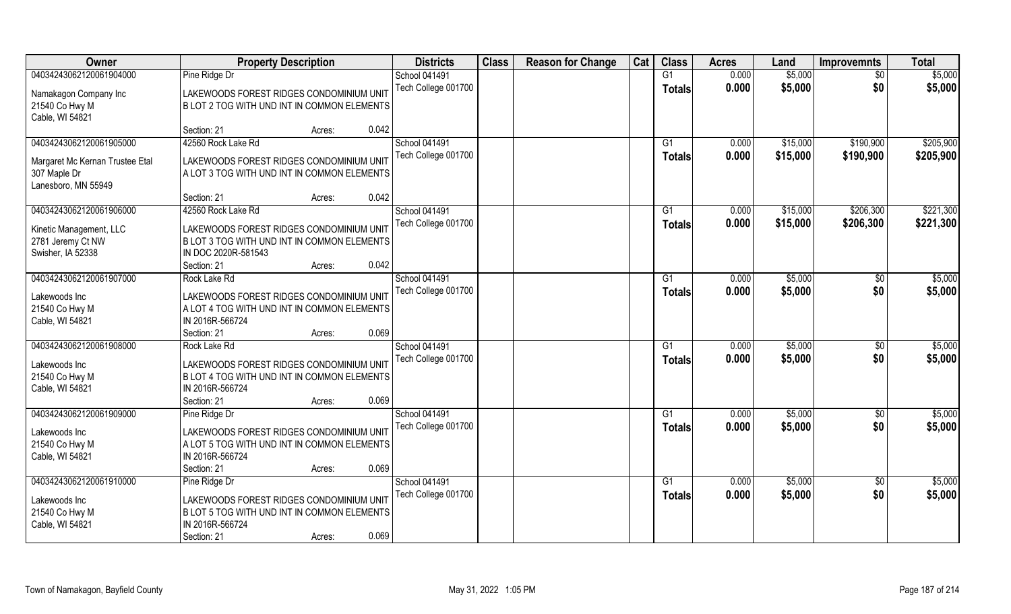| Owner                                        | <b>Property Description</b>                                                             |                 | <b>Districts</b>     | <b>Class</b> | <b>Reason for Change</b> | Cat | <b>Class</b>    | <b>Acres</b> | Land     | <b>Improvemnts</b> | <b>Total</b> |
|----------------------------------------------|-----------------------------------------------------------------------------------------|-----------------|----------------------|--------------|--------------------------|-----|-----------------|--------------|----------|--------------------|--------------|
| 04034243062120061904000                      | Pine Ridge Dr                                                                           |                 | School 041491        |              |                          |     | G1              | 0.000        | \$5,000  | \$0                | \$5,000      |
| Namakagon Company Inc                        | LAKEWOODS FOREST RIDGES CONDOMINIUM UNIT                                                |                 | Tech College 001700  |              |                          |     | Totals          | 0.000        | \$5,000  | \$0                | \$5,000      |
| 21540 Co Hwy M                               | B LOT 2 TOG WITH UND INT IN COMMON ELEMENTS                                             |                 |                      |              |                          |     |                 |              |          |                    |              |
| Cable, WI 54821                              |                                                                                         |                 |                      |              |                          |     |                 |              |          |                    |              |
|                                              | Section: 21                                                                             | 0.042<br>Acres: |                      |              |                          |     |                 |              |          |                    |              |
| 04034243062120061905000                      | 42560 Rock Lake Rd                                                                      |                 | <b>School 041491</b> |              |                          |     | G <sub>1</sub>  | 0.000        | \$15,000 | \$190,900          | \$205,900    |
| Margaret Mc Kernan Trustee Etal              | LAKEWOODS FOREST RIDGES CONDOMINIUM UNIT                                                |                 | Tech College 001700  |              |                          |     | <b>Totals</b>   | 0.000        | \$15,000 | \$190,900          | \$205,900    |
| 307 Maple Dr                                 | A LOT 3 TOG WITH UND INT IN COMMON ELEMENTS                                             |                 |                      |              |                          |     |                 |              |          |                    |              |
| Lanesboro, MN 55949                          |                                                                                         |                 |                      |              |                          |     |                 |              |          |                    |              |
|                                              | Section: 21                                                                             | 0.042<br>Acres: |                      |              |                          |     |                 |              |          |                    |              |
| 04034243062120061906000                      | 42560 Rock Lake Rd                                                                      |                 | School 041491        |              |                          |     | G1              | 0.000        | \$15,000 | \$206,300          | \$221,300    |
|                                              |                                                                                         |                 | Tech College 001700  |              |                          |     | <b>Totals</b>   | 0.000        | \$15,000 | \$206,300          | \$221,300    |
| Kinetic Management, LLC<br>2781 Jeremy Ct NW | LAKEWOODS FOREST RIDGES CONDOMINIUM UNIT<br>B LOT 3 TOG WITH UND INT IN COMMON ELEMENTS |                 |                      |              |                          |     |                 |              |          |                    |              |
| Swisher, IA 52338                            | IN DOC 2020R-581543                                                                     |                 |                      |              |                          |     |                 |              |          |                    |              |
|                                              | Section: 21                                                                             | 0.042<br>Acres: |                      |              |                          |     |                 |              |          |                    |              |
| 04034243062120061907000                      | Rock Lake Rd                                                                            |                 | School 041491        |              |                          |     | G1              | 0.000        | \$5,000  | \$0                | \$5,000      |
|                                              |                                                                                         |                 | Tech College 001700  |              |                          |     | <b>Totals</b>   | 0.000        | \$5,000  | \$0                | \$5,000      |
| Lakewoods Inc                                | LAKEWOODS FOREST RIDGES CONDOMINIUM UNIT                                                |                 |                      |              |                          |     |                 |              |          |                    |              |
| 21540 Co Hwy M                               | A LOT 4 TOG WITH UND INT IN COMMON ELEMENTS<br>IN 2016R-566724                          |                 |                      |              |                          |     |                 |              |          |                    |              |
| Cable, WI 54821                              | Section: 21                                                                             | 0.069<br>Acres: |                      |              |                          |     |                 |              |          |                    |              |
| 04034243062120061908000                      | Rock Lake Rd                                                                            |                 | School 041491        |              |                          |     | G1              | 0.000        | \$5,000  | $\sqrt[6]{30}$     | \$5,000      |
|                                              |                                                                                         |                 | Tech College 001700  |              |                          |     | <b>Totals</b>   | 0.000        | \$5,000  | \$0                | \$5,000      |
| Lakewoods Inc                                | LAKEWOODS FOREST RIDGES CONDOMINIUM UNIT                                                |                 |                      |              |                          |     |                 |              |          |                    |              |
| 21540 Co Hwy M                               | B LOT 4 TOG WITH UND INT IN COMMON ELEMENTS                                             |                 |                      |              |                          |     |                 |              |          |                    |              |
| Cable, WI 54821                              | IN 2016R-566724                                                                         |                 |                      |              |                          |     |                 |              |          |                    |              |
|                                              | Section: 21                                                                             | 0.069<br>Acres: |                      |              |                          |     |                 |              |          |                    |              |
| 04034243062120061909000                      | Pine Ridge Dr                                                                           |                 | School 041491        |              |                          |     | $\overline{G1}$ | 0.000        | \$5,000  | \$0                | \$5,000      |
| Lakewoods Inc                                | LAKEWOODS FOREST RIDGES CONDOMINIUM UNIT                                                |                 | Tech College 001700  |              |                          |     | <b>Totals</b>   | 0.000        | \$5,000  | \$0                | \$5,000      |
| 21540 Co Hwy M                               | A LOT 5 TOG WITH UND INT IN COMMON ELEMENTS                                             |                 |                      |              |                          |     |                 |              |          |                    |              |
| Cable, WI 54821                              | IN 2016R-566724                                                                         |                 |                      |              |                          |     |                 |              |          |                    |              |
|                                              | Section: 21                                                                             | 0.069<br>Acres: |                      |              |                          |     |                 |              |          |                    |              |
| 04034243062120061910000                      | Pine Ridge Dr                                                                           |                 | School 041491        |              |                          |     | G1              | 0.000        | \$5,000  | \$0                | \$5,000      |
| Lakewoods Inc                                | LAKEWOODS FOREST RIDGES CONDOMINIUM UNIT                                                |                 | Tech College 001700  |              |                          |     | Totals          | 0.000        | \$5,000  | \$0                | \$5,000      |
| 21540 Co Hwy M                               | B LOT 5 TOG WITH UND INT IN COMMON ELEMENTS                                             |                 |                      |              |                          |     |                 |              |          |                    |              |
| Cable, WI 54821                              | IN 2016R-566724                                                                         |                 |                      |              |                          |     |                 |              |          |                    |              |
|                                              | Section: 21                                                                             | 0.069<br>Acres: |                      |              |                          |     |                 |              |          |                    |              |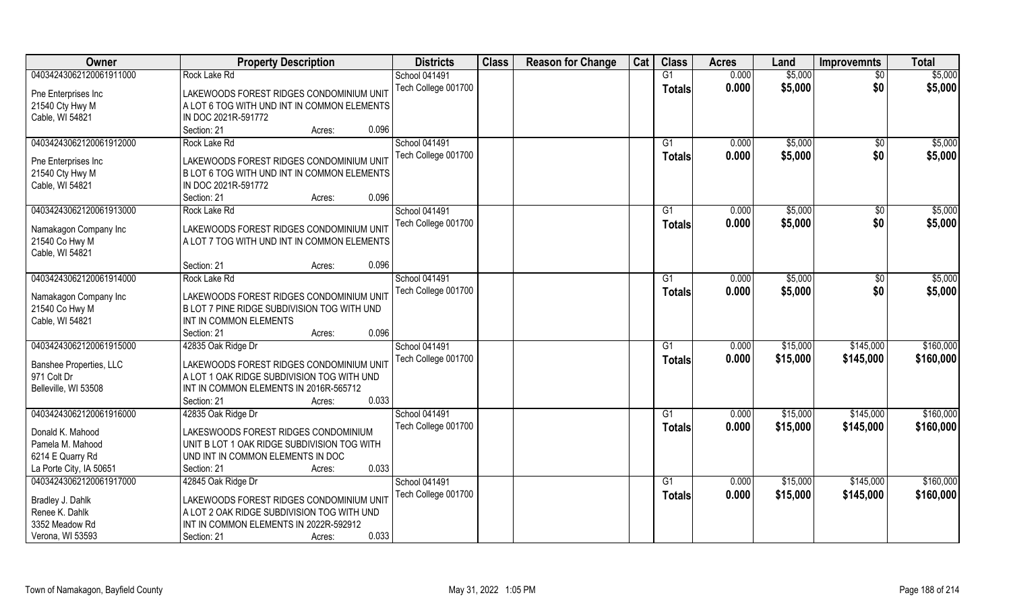| Owner                   | <b>Property Description</b>                 | <b>Districts</b>    | <b>Class</b> | <b>Reason for Change</b> | Cat | <b>Class</b>    | <b>Acres</b> | Land     | <b>Improvemnts</b> | <b>Total</b> |
|-------------------------|---------------------------------------------|---------------------|--------------|--------------------------|-----|-----------------|--------------|----------|--------------------|--------------|
| 04034243062120061911000 | Rock Lake Rd                                | School 041491       |              |                          |     | G1              | 0.000        | \$5,000  | \$0                | \$5,000      |
| Pne Enterprises Inc     | LAKEWOODS FOREST RIDGES CONDOMINIUM UNIT    | Tech College 001700 |              |                          |     | <b>Totals</b>   | 0.000        | \$5,000  | \$0                | \$5,000      |
| 21540 Cty Hwy M         | A LOT 6 TOG WITH UND INT IN COMMON ELEMENTS |                     |              |                          |     |                 |              |          |                    |              |
| Cable, WI 54821         | IN DOC 2021R-591772                         |                     |              |                          |     |                 |              |          |                    |              |
|                         | Section: 21<br>0.096<br>Acres:              |                     |              |                          |     |                 |              |          |                    |              |
| 04034243062120061912000 | Rock Lake Rd                                | School 041491       |              |                          |     | $\overline{G1}$ | 0.000        | \$5,000  | \$0                | \$5,000      |
|                         |                                             | Tech College 001700 |              |                          |     | Totals          | 0.000        | \$5,000  | \$0                | \$5,000      |
| Pne Enterprises Inc     | LAKEWOODS FOREST RIDGES CONDOMINIUM UNIT    |                     |              |                          |     |                 |              |          |                    |              |
| 21540 Cty Hwy M         | B LOT 6 TOG WITH UND INT IN COMMON ELEMENTS |                     |              |                          |     |                 |              |          |                    |              |
| Cable, WI 54821         | IN DOC 2021R-591772                         |                     |              |                          |     |                 |              |          |                    |              |
|                         | 0.096<br>Section: 21<br>Acres:              |                     |              |                          |     |                 |              |          |                    |              |
| 04034243062120061913000 | Rock Lake Rd                                | School 041491       |              |                          |     | G1              | 0.000        | \$5,000  | \$0                | \$5,000      |
| Namakagon Company Inc   | LAKEWOODS FOREST RIDGES CONDOMINIUM UNIT    | Tech College 001700 |              |                          |     | <b>Totals</b>   | 0.000        | \$5,000  | \$0                | \$5,000      |
| 21540 Co Hwy M          | A LOT 7 TOG WITH UND INT IN COMMON ELEMENTS |                     |              |                          |     |                 |              |          |                    |              |
| Cable, WI 54821         |                                             |                     |              |                          |     |                 |              |          |                    |              |
|                         | 0.096<br>Section: 21<br>Acres:              |                     |              |                          |     |                 |              |          |                    |              |
| 04034243062120061914000 | Rock Lake Rd                                | School 041491       |              |                          |     | G1              | 0.000        | \$5,000  | \$0                | \$5,000      |
|                         |                                             | Tech College 001700 |              |                          |     | <b>Totals</b>   | 0.000        | \$5,000  | \$0                | \$5,000      |
| Namakagon Company Inc   | LAKEWOODS FOREST RIDGES CONDOMINIUM UNIT    |                     |              |                          |     |                 |              |          |                    |              |
| 21540 Co Hwy M          | B LOT 7 PINE RIDGE SUBDIVISION TOG WITH UND |                     |              |                          |     |                 |              |          |                    |              |
| Cable, WI 54821         | INT IN COMMON ELEMENTS                      |                     |              |                          |     |                 |              |          |                    |              |
|                         | 0.096<br>Section: 21<br>Acres:              |                     |              |                          |     |                 |              |          |                    |              |
| 04034243062120061915000 | 42835 Oak Ridge Dr                          | School 041491       |              |                          |     | G1              | 0.000        | \$15,000 | \$145,000          | \$160,000    |
| Banshee Properties, LLC | LAKEWOODS FOREST RIDGES CONDOMINIUM UNIT    | Tech College 001700 |              |                          |     | <b>Totals</b>   | 0.000        | \$15,000 | \$145,000          | \$160,000    |
| 971 Colt Dr             | A LOT 1 OAK RIDGE SUBDIVISION TOG WITH UND  |                     |              |                          |     |                 |              |          |                    |              |
| Belleville, WI 53508    | INT IN COMMON ELEMENTS IN 2016R-565712      |                     |              |                          |     |                 |              |          |                    |              |
|                         | 0.033<br>Section: 21<br>Acres:              |                     |              |                          |     |                 |              |          |                    |              |
| 04034243062120061916000 | 42835 Oak Ridge Dr                          | School 041491       |              |                          |     | G1              | 0.000        | \$15,000 | \$145,000          | \$160,000    |
| Donald K. Mahood        | LAKESWOODS FOREST RIDGES CONDOMINIUM        | Tech College 001700 |              |                          |     | <b>Totals</b>   | 0.000        | \$15,000 | \$145,000          | \$160,000    |
| Pamela M. Mahood        | UNIT B LOT 1 OAK RIDGE SUBDIVISION TOG WITH |                     |              |                          |     |                 |              |          |                    |              |
| 6214 E Quarry Rd        | UND INT IN COMMON ELEMENTS IN DOC           |                     |              |                          |     |                 |              |          |                    |              |
| La Porte City, IA 50651 | 0.033<br>Section: 21<br>Acres:              |                     |              |                          |     |                 |              |          |                    |              |
| 04034243062120061917000 | 42845 Oak Ridge Dr                          | School 041491       |              |                          |     | G1              | 0.000        | \$15,000 | \$145,000          | \$160,000    |
|                         |                                             | Tech College 001700 |              |                          |     |                 | 0.000        | \$15,000 | \$145,000          | \$160,000    |
| Bradley J. Dahlk        | LAKEWOODS FOREST RIDGES CONDOMINIUM UNIT    |                     |              |                          |     | <b>Totals</b>   |              |          |                    |              |
| Renee K. Dahlk          | A LOT 2 OAK RIDGE SUBDIVISION TOG WITH UND  |                     |              |                          |     |                 |              |          |                    |              |
| 3352 Meadow Rd          | INT IN COMMON ELEMENTS IN 2022R-592912      |                     |              |                          |     |                 |              |          |                    |              |
| Verona, WI 53593        | 0.033<br>Section: 21<br>Acres:              |                     |              |                          |     |                 |              |          |                    |              |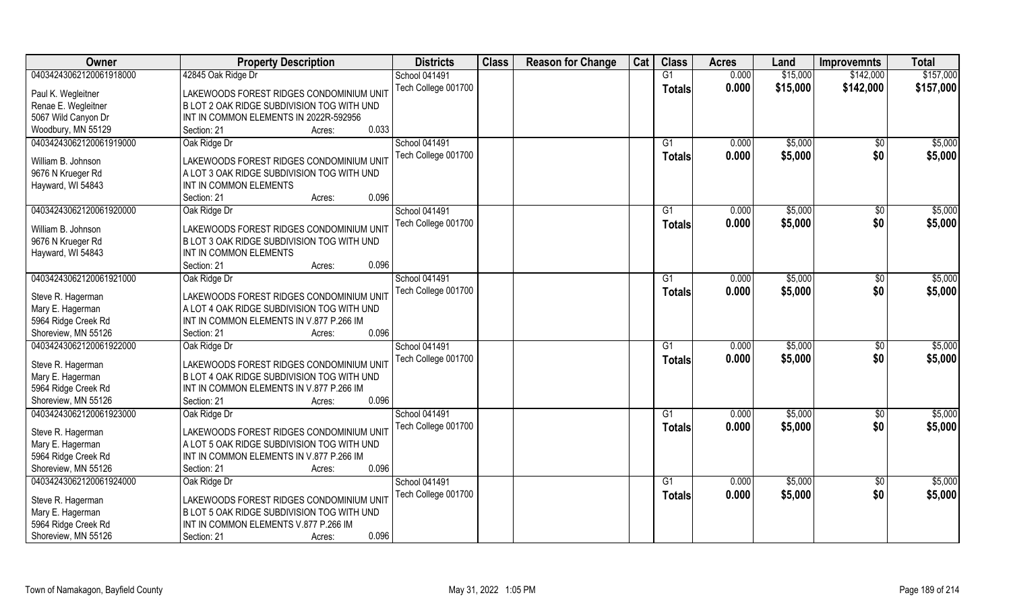| Owner                   | <b>Property Description</b>                | <b>Districts</b>     | <b>Class</b> | <b>Reason for Change</b> | Cat | <b>Class</b>   | <b>Acres</b> | Land     | <b>Improvemnts</b> | <b>Total</b> |
|-------------------------|--------------------------------------------|----------------------|--------------|--------------------------|-----|----------------|--------------|----------|--------------------|--------------|
| 04034243062120061918000 | 42845 Oak Ridge Dr                         | <b>School 041491</b> |              |                          |     | G1             | 0.000        | \$15,000 | \$142,000          | \$157,000    |
| Paul K. Wegleitner      | LAKEWOODS FOREST RIDGES CONDOMINIUM UNIT   | Tech College 001700  |              |                          |     | <b>Totals</b>  | 0.000        | \$15,000 | \$142,000          | \$157,000    |
| Renae E. Wegleitner     | B LOT 2 OAK RIDGE SUBDIVISION TOG WITH UND |                      |              |                          |     |                |              |          |                    |              |
| 5067 Wild Canyon Dr     | INT IN COMMON ELEMENTS IN 2022R-592956     |                      |              |                          |     |                |              |          |                    |              |
| Woodbury, MN 55129      | 0.033<br>Section: 21<br>Acres:             |                      |              |                          |     |                |              |          |                    |              |
| 04034243062120061919000 | Oak Ridge Dr                               | <b>School 041491</b> |              |                          |     | G <sub>1</sub> | 0.000        | \$5,000  | \$0                | \$5,000      |
| William B. Johnson      | LAKEWOODS FOREST RIDGES CONDOMINIUM UNIT   | Tech College 001700  |              |                          |     | <b>Totals</b>  | 0.000        | \$5,000  | \$0                | \$5,000      |
| 9676 N Krueger Rd       | A LOT 3 OAK RIDGE SUBDIVISION TOG WITH UND |                      |              |                          |     |                |              |          |                    |              |
| Hayward, WI 54843       | INT IN COMMON ELEMENTS                     |                      |              |                          |     |                |              |          |                    |              |
|                         | 0.096<br>Section: 21<br>Acres:             |                      |              |                          |     |                |              |          |                    |              |
| 04034243062120061920000 | Oak Ridge Dr                               | <b>School 041491</b> |              |                          |     | G1             | 0.000        | \$5,000  | $\sqrt[6]{}$       | \$5,000      |
| William B. Johnson      | LAKEWOODS FOREST RIDGES CONDOMINIUM UNIT   | Tech College 001700  |              |                          |     | <b>Totals</b>  | 0.000        | \$5,000  | \$0                | \$5,000      |
| 9676 N Krueger Rd       | B LOT 3 OAK RIDGE SUBDIVISION TOG WITH UND |                      |              |                          |     |                |              |          |                    |              |
| Hayward, WI 54843       | INT IN COMMON ELEMENTS                     |                      |              |                          |     |                |              |          |                    |              |
|                         | 0.096<br>Section: 21<br>Acres:             |                      |              |                          |     |                |              |          |                    |              |
| 04034243062120061921000 | Oak Ridge Dr                               | <b>School 041491</b> |              |                          |     | G <sub>1</sub> | 0.000        | \$5,000  | \$0                | \$5,000      |
|                         |                                            | Tech College 001700  |              |                          |     | <b>Totals</b>  | 0.000        | \$5,000  | \$0                | \$5,000      |
| Steve R. Hagerman       | LAKEWOODS FOREST RIDGES CONDOMINIUM UNIT   |                      |              |                          |     |                |              |          |                    |              |
| Mary E. Hagerman        | A LOT 4 OAK RIDGE SUBDIVISION TOG WITH UND |                      |              |                          |     |                |              |          |                    |              |
| 5964 Ridge Creek Rd     | INT IN COMMON ELEMENTS IN V.877 P.266 IM   |                      |              |                          |     |                |              |          |                    |              |
| Shoreview, MN 55126     | 0.096<br>Section: 21<br>Acres:             |                      |              |                          |     |                |              |          |                    |              |
| 04034243062120061922000 | Oak Ridge Dr                               | <b>School 041491</b> |              |                          |     | G1             | 0.000        | \$5,000  | $\sqrt[6]{}$       | \$5,000      |
| Steve R. Hagerman       | LAKEWOODS FOREST RIDGES CONDOMINIUM UNIT   | Tech College 001700  |              |                          |     | <b>Totals</b>  | 0.000        | \$5,000  | \$0                | \$5,000      |
| Mary E. Hagerman        | B LOT 4 OAK RIDGE SUBDIVISION TOG WITH UND |                      |              |                          |     |                |              |          |                    |              |
| 5964 Ridge Creek Rd     | INT IN COMMON ELEMENTS IN V.877 P.266 IM   |                      |              |                          |     |                |              |          |                    |              |
| Shoreview, MN 55126     | 0.096<br>Section: 21<br>Acres:             |                      |              |                          |     |                |              |          |                    |              |
| 04034243062120061923000 | Oak Ridge Dr                               | School 041491        |              |                          |     | G1             | 0.000        | \$5,000  | \$0                | \$5,000      |
| Steve R. Hagerman       | LAKEWOODS FOREST RIDGES CONDOMINIUM UNIT   | Tech College 001700  |              |                          |     | <b>Totals</b>  | 0.000        | \$5,000  | \$0                | \$5,000      |
| Mary E. Hagerman        | A LOT 5 OAK RIDGE SUBDIVISION TOG WITH UND |                      |              |                          |     |                |              |          |                    |              |
| 5964 Ridge Creek Rd     | INT IN COMMON ELEMENTS IN V.877 P.266 IM   |                      |              |                          |     |                |              |          |                    |              |
| Shoreview, MN 55126     | 0.096<br>Section: 21<br>Acres:             |                      |              |                          |     |                |              |          |                    |              |
| 04034243062120061924000 | Oak Ridge Dr                               | <b>School 041491</b> |              |                          |     | G <sub>1</sub> | 0.000        | \$5,000  | \$0                | \$5,000      |
| Steve R. Hagerman       | LAKEWOODS FOREST RIDGES CONDOMINIUM UNIT   | Tech College 001700  |              |                          |     | <b>Totals</b>  | 0.000        | \$5,000  | \$0                | \$5,000      |
| Mary E. Hagerman        | B LOT 5 OAK RIDGE SUBDIVISION TOG WITH UND |                      |              |                          |     |                |              |          |                    |              |
| 5964 Ridge Creek Rd     | INT IN COMMON ELEMENTS V.877 P.266 IM      |                      |              |                          |     |                |              |          |                    |              |
| Shoreview, MN 55126     | 0.096<br>Section: 21<br>Acres:             |                      |              |                          |     |                |              |          |                    |              |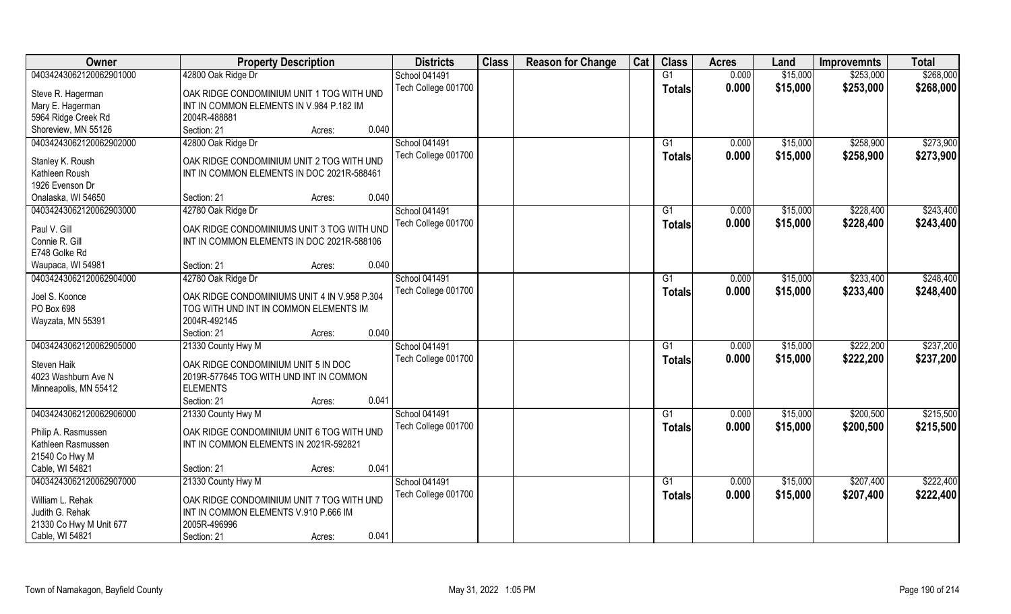| Owner                   | <b>Property Description</b>                  | <b>Districts</b>     | <b>Class</b> | <b>Reason for Change</b> | Cat | <b>Class</b>    | <b>Acres</b> | Land     | <b>Improvemnts</b> | <b>Total</b> |
|-------------------------|----------------------------------------------|----------------------|--------------|--------------------------|-----|-----------------|--------------|----------|--------------------|--------------|
| 04034243062120062901000 | 42800 Oak Ridge Dr                           | <b>School 041491</b> |              |                          |     | $\overline{G1}$ | 0.000        | \$15,000 | \$253,000          | \$268,000    |
| Steve R. Hagerman       | OAK RIDGE CONDOMINIUM UNIT 1 TOG WITH UND    | Tech College 001700  |              |                          |     | Totals          | 0.000        | \$15,000 | \$253,000          | \$268,000    |
| Mary E. Hagerman        | INT IN COMMON ELEMENTS IN V.984 P.182 IM     |                      |              |                          |     |                 |              |          |                    |              |
| 5964 Ridge Creek Rd     | 2004R-488881                                 |                      |              |                          |     |                 |              |          |                    |              |
| Shoreview, MN 55126     | 0.040<br>Section: 21<br>Acres:               |                      |              |                          |     |                 |              |          |                    |              |
| 04034243062120062902000 | 42800 Oak Ridge Dr                           | <b>School 041491</b> |              |                          |     | $\overline{G1}$ | 0.000        | \$15,000 | \$258,900          | \$273,900    |
|                         |                                              | Tech College 001700  |              |                          |     | <b>Totals</b>   | 0.000        | \$15,000 | \$258,900          | \$273,900    |
| Stanley K. Roush        | OAK RIDGE CONDOMINIUM UNIT 2 TOG WITH UND    |                      |              |                          |     |                 |              |          |                    |              |
| Kathleen Roush          | INT IN COMMON ELEMENTS IN DOC 2021R-588461   |                      |              |                          |     |                 |              |          |                    |              |
| 1926 Evenson Dr         |                                              |                      |              |                          |     |                 |              |          |                    |              |
| Onalaska, WI 54650      | 0.040<br>Section: 21<br>Acres:               |                      |              |                          |     |                 |              |          |                    |              |
| 04034243062120062903000 | 42780 Oak Ridge Dr                           | School 041491        |              |                          |     | G1              | 0.000        | \$15,000 | \$228,400          | \$243,400    |
| Paul V. Gill            | OAK RIDGE CONDOMINIUMS UNIT 3 TOG WITH UND   | Tech College 001700  |              |                          |     | <b>Totals</b>   | 0.000        | \$15,000 | \$228,400          | \$243,400    |
| Connie R. Gill          | INT IN COMMON ELEMENTS IN DOC 2021R-588106   |                      |              |                          |     |                 |              |          |                    |              |
| E748 Golke Rd           |                                              |                      |              |                          |     |                 |              |          |                    |              |
| Waupaca, WI 54981       | 0.040<br>Section: 21<br>Acres:               |                      |              |                          |     |                 |              |          |                    |              |
| 04034243062120062904000 | 42780 Oak Ridge Dr                           | School 041491        |              |                          |     | G1              | 0.000        | \$15,000 | \$233,400          | \$248,400    |
|                         |                                              | Tech College 001700  |              |                          |     | <b>Totals</b>   | 0.000        | \$15,000 | \$233,400          | \$248,400    |
| Joel S. Koonce          | OAK RIDGE CONDOMINIUMS UNIT 4 IN V.958 P.304 |                      |              |                          |     |                 |              |          |                    |              |
| PO Box 698              | TOG WITH UND INT IN COMMON ELEMENTS IM       |                      |              |                          |     |                 |              |          |                    |              |
| Wayzata, MN 55391       | 2004R-492145<br>0.040<br>Section: 21         |                      |              |                          |     |                 |              |          |                    |              |
| 04034243062120062905000 | Acres:<br>21330 County Hwy M                 | School 041491        |              |                          |     | $\overline{G1}$ | 0.000        | \$15,000 | \$222,200          | \$237,200    |
|                         |                                              |                      |              |                          |     |                 |              |          |                    |              |
| Steven Haik             | OAK RIDGE CONDOMINIUM UNIT 5 IN DOC          | Tech College 001700  |              |                          |     | <b>Totals</b>   | 0.000        | \$15,000 | \$222,200          | \$237,200    |
| 4023 Washburn Ave N     | 2019R-577645 TOG WITH UND INT IN COMMON      |                      |              |                          |     |                 |              |          |                    |              |
| Minneapolis, MN 55412   | <b>ELEMENTS</b>                              |                      |              |                          |     |                 |              |          |                    |              |
|                         | 0.041<br>Section: 21<br>Acres:               |                      |              |                          |     |                 |              |          |                    |              |
| 04034243062120062906000 | 21330 County Hwy M                           | School 041491        |              |                          |     | G1              | 0.000        | \$15,000 | \$200,500          | \$215,500    |
| Philip A. Rasmussen     | OAK RIDGE CONDOMINIUM UNIT 6 TOG WITH UND    | Tech College 001700  |              |                          |     | <b>Totals</b>   | 0.000        | \$15,000 | \$200,500          | \$215,500    |
| Kathleen Rasmussen      | INT IN COMMON ELEMENTS IN 2021R-592821       |                      |              |                          |     |                 |              |          |                    |              |
| 21540 Co Hwy M          |                                              |                      |              |                          |     |                 |              |          |                    |              |
| Cable, WI 54821         | 0.041<br>Section: 21<br>Acres:               |                      |              |                          |     |                 |              |          |                    |              |
| 04034243062120062907000 | 21330 County Hwy M                           | School 041491        |              |                          |     | G1              | 0.000        | \$15,000 | \$207,400          | \$222,400    |
|                         |                                              | Tech College 001700  |              |                          |     | <b>Totals</b>   | 0.000        | \$15,000 | \$207,400          | \$222,400    |
| William L. Rehak        | OAK RIDGE CONDOMINIUM UNIT 7 TOG WITH UND    |                      |              |                          |     |                 |              |          |                    |              |
| Judith G. Rehak         | INT IN COMMON ELEMENTS V.910 P.666 IM        |                      |              |                          |     |                 |              |          |                    |              |
| 21330 Co Hwy M Unit 677 | 2005R-496996                                 |                      |              |                          |     |                 |              |          |                    |              |
| Cable, WI 54821         | 0.041<br>Section: 21<br>Acres:               |                      |              |                          |     |                 |              |          |                    |              |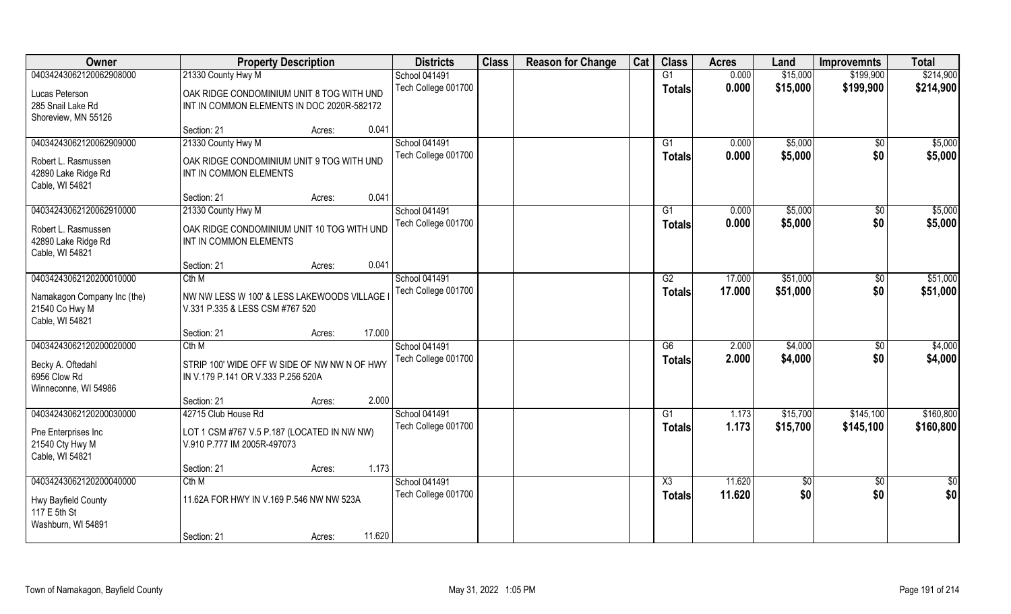| Owner                       | <b>Property Description</b>                  | <b>Districts</b>    | <b>Class</b> | <b>Reason for Change</b> | Cat | <b>Class</b>           | <b>Acres</b> | Land       | <b>Improvemnts</b> | <b>Total</b>    |
|-----------------------------|----------------------------------------------|---------------------|--------------|--------------------------|-----|------------------------|--------------|------------|--------------------|-----------------|
| 04034243062120062908000     | 21330 County Hwy M                           | School 041491       |              |                          |     | G1                     | 0.000        | \$15,000   | \$199,900          | \$214,900       |
| Lucas Peterson              | OAK RIDGE CONDOMINIUM UNIT 8 TOG WITH UND    | Tech College 001700 |              |                          |     | <b>Totals</b>          | 0.000        | \$15,000   | \$199,900          | \$214,900       |
| 285 Snail Lake Rd           | INT IN COMMON ELEMENTS IN DOC 2020R-582172   |                     |              |                          |     |                        |              |            |                    |                 |
| Shoreview, MN 55126         |                                              |                     |              |                          |     |                        |              |            |                    |                 |
|                             | 0.041<br>Section: 21<br>Acres:               |                     |              |                          |     |                        |              |            |                    |                 |
| 04034243062120062909000     | 21330 County Hwy M                           | School 041491       |              |                          |     | G1                     | 0.000        | \$5,000    | $\sqrt{$0}$        | \$5,000         |
| Robert L. Rasmussen         | OAK RIDGE CONDOMINIUM UNIT 9 TOG WITH UND    | Tech College 001700 |              |                          |     | Totals                 | 0.000        | \$5,000    | \$0                | \$5,000         |
| 42890 Lake Ridge Rd         | INT IN COMMON ELEMENTS                       |                     |              |                          |     |                        |              |            |                    |                 |
| Cable, WI 54821             |                                              |                     |              |                          |     |                        |              |            |                    |                 |
|                             | 0.041<br>Section: 21<br>Acres:               |                     |              |                          |     |                        |              |            |                    |                 |
| 04034243062120062910000     | 21330 County Hwy M                           | School 041491       |              |                          |     | G1                     | 0.000        | \$5,000    | $\sqrt[6]{30}$     | \$5,000         |
| Robert L. Rasmussen         | OAK RIDGE CONDOMINIUM UNIT 10 TOG WITH UND   | Tech College 001700 |              |                          |     | <b>Totals</b>          | 0.000        | \$5,000    | \$0                | \$5,000         |
| 42890 Lake Ridge Rd         | INT IN COMMON ELEMENTS                       |                     |              |                          |     |                        |              |            |                    |                 |
| Cable, WI 54821             |                                              |                     |              |                          |     |                        |              |            |                    |                 |
|                             | 0.041<br>Section: 21<br>Acres:               |                     |              |                          |     |                        |              |            |                    |                 |
| 04034243062120200010000     | Cth M                                        | School 041491       |              |                          |     | G2                     | 17.000       | \$51,000   | $\sqrt[6]{3}$      | \$51,000        |
| Namakagon Company Inc (the) | NW NW LESS W 100' & LESS LAKEWOODS VILLAGE   | Tech College 001700 |              |                          |     | <b>Totals</b>          | 17.000       | \$51,000   | \$0                | \$51,000        |
| 21540 Co Hwy M              | V.331 P.335 & LESS CSM #767 520              |                     |              |                          |     |                        |              |            |                    |                 |
| Cable, WI 54821             |                                              |                     |              |                          |     |                        |              |            |                    |                 |
|                             | 17.000<br>Section: 21<br>Acres:              |                     |              |                          |     |                        |              |            |                    |                 |
| 04034243062120200020000     | Cth M                                        | School 041491       |              |                          |     | $\overline{G6}$        | 2.000        | \$4,000    | \$0                | \$4,000         |
| Becky A. Oftedahl           | STRIP 100' WIDE OFF W SIDE OF NW NW N OF HWY | Tech College 001700 |              |                          |     | <b>Totals</b>          | 2.000        | \$4,000    | \$0                | \$4,000         |
| 6956 Clow Rd                | IN V.179 P.141 OR V.333 P.256 520A           |                     |              |                          |     |                        |              |            |                    |                 |
| Winneconne, WI 54986        |                                              |                     |              |                          |     |                        |              |            |                    |                 |
|                             | 2.000<br>Section: 21<br>Acres:               |                     |              |                          |     |                        |              |            |                    |                 |
| 04034243062120200030000     | 42715 Club House Rd                          | School 041491       |              |                          |     | G1                     | 1.173        | \$15,700   | \$145,100          | \$160,800       |
| Pne Enterprises Inc         | LOT 1 CSM #767 V.5 P.187 (LOCATED IN NW NW)  | Tech College 001700 |              |                          |     | <b>Totals</b>          | 1.173        | \$15,700   | \$145,100          | \$160,800       |
| 21540 Cty Hwy M             | V.910 P.777 IM 2005R-497073                  |                     |              |                          |     |                        |              |            |                    |                 |
| Cable, WI 54821             |                                              |                     |              |                          |     |                        |              |            |                    |                 |
|                             | 1.173<br>Section: 21<br>Acres:               |                     |              |                          |     |                        |              |            |                    |                 |
| 04034243062120200040000     | Cth M                                        | School 041491       |              |                          |     | $\overline{\text{X3}}$ | 11.620       | $\sqrt{6}$ | $\sqrt{$0}$        | $\overline{50}$ |
| Hwy Bayfield County         | 11.62A FOR HWY IN V.169 P.546 NW NW 523A     | Tech College 001700 |              |                          |     | <b>Totals</b>          | 11.620       | \$0        | \$0                | \$0             |
| 117 E 5th St                |                                              |                     |              |                          |     |                        |              |            |                    |                 |
| Washburn, WI 54891          |                                              |                     |              |                          |     |                        |              |            |                    |                 |
|                             | 11.620<br>Section: 21<br>Acres:              |                     |              |                          |     |                        |              |            |                    |                 |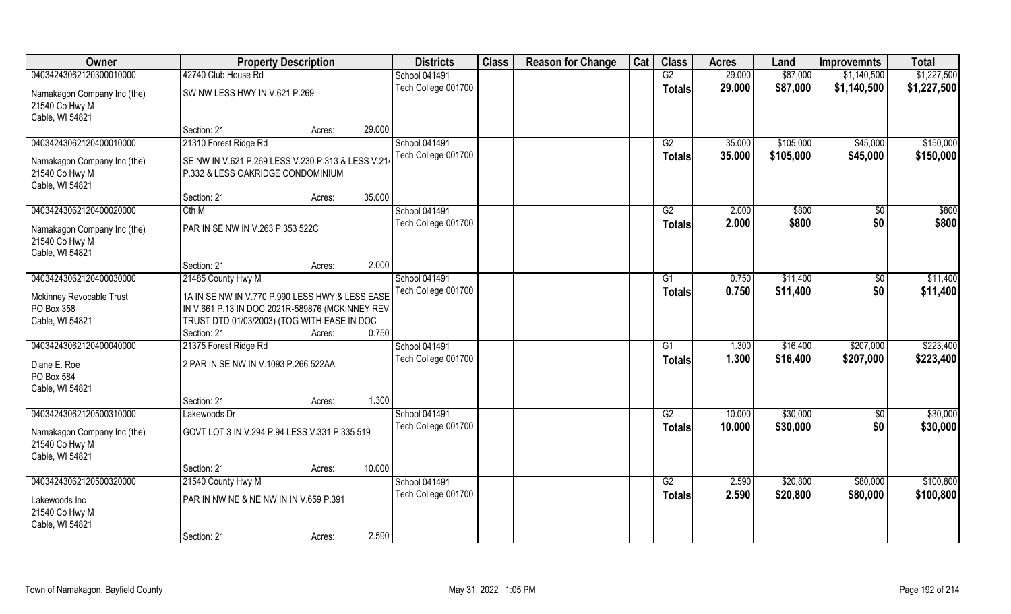| Owner                                                            |                                                                                                                                                                  | <b>Property Description</b> |        | <b>Districts</b>    | <b>Class</b> | <b>Reason for Change</b> | Cat | <b>Class</b>  | <b>Acres</b> | Land      | <b>Improvemnts</b> | <b>Total</b> |
|------------------------------------------------------------------|------------------------------------------------------------------------------------------------------------------------------------------------------------------|-----------------------------|--------|---------------------|--------------|--------------------------|-----|---------------|--------------|-----------|--------------------|--------------|
| 04034243062120300010000                                          | 42740 Club House Rd                                                                                                                                              |                             |        | School 041491       |              |                          |     | G2            | 29.000       | \$87,000  | \$1,140,500        | \$1,227,500  |
| Namakagon Company Inc (the)<br>21540 Co Hwy M<br>Cable, WI 54821 | SW NW LESS HWY IN V.621 P.269                                                                                                                                    |                             |        | Tech College 001700 |              |                          |     | <b>Totals</b> | 29.000       | \$87,000  | \$1,140,500        | \$1,227,500  |
|                                                                  | Section: 21                                                                                                                                                      | Acres:                      | 29.000 |                     |              |                          |     |               |              |           |                    |              |
| 04034243062120400010000                                          | 21310 Forest Ridge Rd                                                                                                                                            |                             |        | School 041491       |              |                          |     | G2            | 35.000       | \$105,000 | \$45,000           | \$150,000    |
| Namakagon Company Inc (the)<br>21540 Co Hwy M<br>Cable, WI 54821 | SE NW IN V.621 P.269 LESS V.230 P.313 & LESS V.21<br>P.332 & LESS OAKRIDGE CONDOMINIUM                                                                           |                             |        | Tech College 001700 |              |                          |     | <b>Totals</b> | 35.000       | \$105,000 | \$45,000           | \$150,000    |
|                                                                  | Section: 21                                                                                                                                                      | Acres:                      | 35.000 |                     |              |                          |     |               |              |           |                    |              |
| 04034243062120400020000                                          | Cth M                                                                                                                                                            |                             |        | School 041491       |              |                          |     | G2            | 2.000        | \$800     | \$0                | \$800        |
| Namakagon Company Inc (the)<br>21540 Co Hwy M<br>Cable, WI 54821 | PAR IN SE NW IN V.263 P.353 522C                                                                                                                                 |                             |        | Tech College 001700 |              |                          |     | <b>Totals</b> | 2.000        | \$800     | \$0                | \$800        |
|                                                                  | Section: 21                                                                                                                                                      | Acres:                      | 2.000  |                     |              |                          |     |               |              |           |                    |              |
| 04034243062120400030000                                          | 21485 County Hwy M                                                                                                                                               |                             |        | School 041491       |              |                          |     | G1            | 0.750        | \$11,400  | $\sqrt[6]{}$       | \$11,400     |
| Mckinney Revocable Trust<br>PO Box 358<br>Cable, WI 54821        | 1A IN SE NW IN V.770 P.990 LESS HWY;& LESS EASE<br>IN V.661 P.13 IN DOC 2021R-589876 (MCKINNEY REV<br>TRUST DTD 01/03/2003) (TOG WITH EASE IN DOC<br>Section: 21 | Acres:                      | 0.750  | Tech College 001700 |              |                          |     | <b>Totals</b> | 0.750        | \$11,400  | \$0                | \$11,400     |
| 04034243062120400040000                                          | 21375 Forest Ridge Rd                                                                                                                                            |                             |        | School 041491       |              |                          |     | G1            | 1.300        | \$16,400  | \$207,000          | \$223,400    |
| Diane E. Roe<br>PO Box 584<br>Cable, WI 54821                    | 2 PAR IN SE NW IN V.1093 P.266 522AA                                                                                                                             |                             |        | Tech College 001700 |              |                          |     | <b>Totals</b> | 1.300        | \$16,400  | \$207,000          | \$223,400    |
|                                                                  | Section: 21                                                                                                                                                      | Acres:                      | 1.300  |                     |              |                          |     |               |              |           |                    |              |
| 04034243062120500310000                                          | Lakewoods Dr                                                                                                                                                     |                             |        | School 041491       |              |                          |     | G2            | 10.000       | \$30,000  | \$0                | \$30,000     |
| Namakagon Company Inc (the)<br>21540 Co Hwy M<br>Cable, WI 54821 | GOVT LOT 3 IN V.294 P.94 LESS V.331 P.335 519                                                                                                                    |                             |        | Tech College 001700 |              |                          |     | <b>Totals</b> | 10.000       | \$30,000  | \$0                | \$30,000     |
|                                                                  | Section: 21                                                                                                                                                      | Acres:                      | 10.000 |                     |              |                          |     |               |              |           |                    |              |
| 04034243062120500320000                                          | 21540 County Hwy M                                                                                                                                               |                             |        | School 041491       |              |                          |     | G2            | 2.590        | \$20,800  | \$80,000           | \$100,800    |
| Lakewoods Inc<br>21540 Co Hwy M<br>Cable, WI 54821               | PAR IN NW NE & NE NW IN IN V.659 P.391                                                                                                                           |                             |        | Tech College 001700 |              |                          |     | <b>Totals</b> | 2.590        | \$20,800  | \$80,000           | \$100,800    |
|                                                                  | Section: 21                                                                                                                                                      | Acres:                      | 2.590  |                     |              |                          |     |               |              |           |                    |              |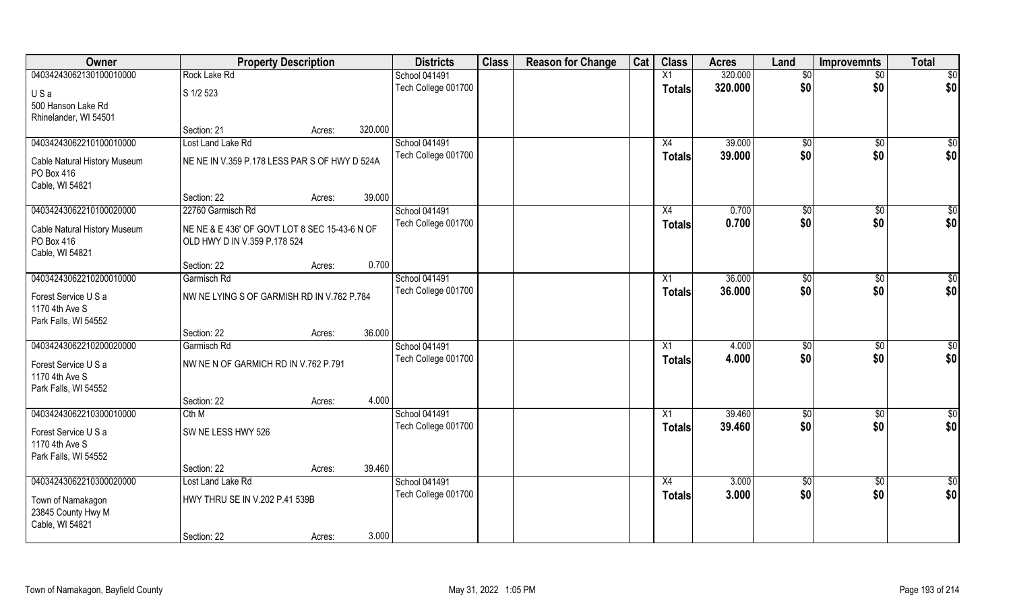| Owner                                 | <b>Property Description</b>                   |        |         | <b>Districts</b>                     | <b>Class</b> | <b>Reason for Change</b> | Cat | <b>Class</b>  | <b>Acres</b>     | Land            | <b>Improvemnts</b> | <b>Total</b>    |
|---------------------------------------|-----------------------------------------------|--------|---------|--------------------------------------|--------------|--------------------------|-----|---------------|------------------|-----------------|--------------------|-----------------|
| 04034243062130100010000               | Rock Lake Rd                                  |        |         | School 041491                        |              |                          |     | X1            | 320.000          | $\overline{50}$ | $\overline{50}$    | $\overline{50}$ |
| USa                                   | S 1/2 523                                     |        |         | Tech College 001700                  |              |                          |     | Totals        | 320.000          | \$0             | \$0                | \$0             |
| 500 Hanson Lake Rd                    |                                               |        |         |                                      |              |                          |     |               |                  |                 |                    |                 |
| Rhinelander, WI 54501                 |                                               |        |         |                                      |              |                          |     |               |                  |                 |                    |                 |
|                                       | Section: 21                                   | Acres: | 320.000 |                                      |              |                          |     |               |                  |                 |                    |                 |
| 04034243062210100010000               | Lost Land Lake Rd                             |        |         | School 041491                        |              |                          |     | X4            | 39.000           | $\sqrt[6]{}$    | $\overline{50}$    | $\sqrt{50}$     |
| Cable Natural History Museum          | NE NE IN V.359 P.178 LESS PAR S OF HWY D 524A |        |         | Tech College 001700                  |              |                          |     | Totals        | 39.000           | \$0             | \$0                | \$0             |
| PO Box 416                            |                                               |        |         |                                      |              |                          |     |               |                  |                 |                    |                 |
| Cable, WI 54821                       |                                               |        |         |                                      |              |                          |     |               |                  |                 |                    |                 |
|                                       | Section: 22                                   | Acres: | 39.000  |                                      |              |                          |     |               |                  |                 |                    |                 |
| 04034243062210100020000               | 22760 Garmisch Rd                             |        |         | School 041491                        |              |                          |     | X4            | 0.700            | \$0             | $\sqrt[6]{30}$     | \$0             |
| Cable Natural History Museum          | NE NE & E 436' OF GOVT LOT 8 SEC 15-43-6 N OF |        |         | Tech College 001700                  |              |                          |     | Totals        | 0.700            | \$0             | \$0                | \$0             |
| PO Box 416                            | OLD HWY D IN V.359 P.178 524                  |        |         |                                      |              |                          |     |               |                  |                 |                    |                 |
| Cable, WI 54821                       |                                               |        |         |                                      |              |                          |     |               |                  |                 |                    |                 |
|                                       | Section: 22                                   | Acres: | 0.700   |                                      |              |                          |     |               |                  |                 |                    |                 |
| 04034243062210200010000               | Garmisch Rd                                   |        |         | School 041491<br>Tech College 001700 |              |                          |     | X1            | 36.000<br>36.000 | \$0<br>\$0      | \$0<br>\$0         | \$0<br>\$0      |
| Forest Service U S a                  | NW NE LYING S OF GARMISH RD IN V.762 P.784    |        |         |                                      |              |                          |     | Totals        |                  |                 |                    |                 |
| 1170 4th Ave S                        |                                               |        |         |                                      |              |                          |     |               |                  |                 |                    |                 |
| Park Falls, WI 54552                  |                                               |        |         |                                      |              |                          |     |               |                  |                 |                    |                 |
| 04034243062210200020000               | Section: 22<br>Garmisch Rd                    | Acres: | 36.000  | School 041491                        |              |                          |     | X1            | 4.000            | $\sqrt[6]{}$    | $\overline{50}$    | \$0             |
|                                       |                                               |        |         | Tech College 001700                  |              |                          |     |               | 4.000            | \$0             | \$0                | \$0             |
| Forest Service U S a                  | NW NE N OF GARMICH RD IN V.762 P.791          |        |         |                                      |              |                          |     | <b>Totals</b> |                  |                 |                    |                 |
| 1170 4th Ave S                        |                                               |        |         |                                      |              |                          |     |               |                  |                 |                    |                 |
| Park Falls, WI 54552                  |                                               |        | 4.000   |                                      |              |                          |     |               |                  |                 |                    |                 |
| 04034243062210300010000               | Section: 22<br>Cth M                          | Acres: |         | School 041491                        |              |                          |     | X1            | 39.460           | \$0             | \$0                | \$0             |
|                                       |                                               |        |         | Tech College 001700                  |              |                          |     | <b>Totals</b> | 39.460           | \$0             | \$0                | \$0             |
| Forest Service U S a                  | SW NE LESS HWY 526                            |        |         |                                      |              |                          |     |               |                  |                 |                    |                 |
| 1170 4th Ave S                        |                                               |        |         |                                      |              |                          |     |               |                  |                 |                    |                 |
| Park Falls, WI 54552                  | Section: 22                                   | Acres: | 39.460  |                                      |              |                          |     |               |                  |                 |                    |                 |
| 04034243062210300020000               | Lost Land Lake Rd                             |        |         | School 041491                        |              |                          |     | X4            | 3.000            | \$0             | $\overline{30}$    | \$0             |
|                                       |                                               |        |         | Tech College 001700                  |              |                          |     | <b>Totals</b> | 3.000            | \$0             | \$0                | \$0             |
| Town of Namakagon                     | HWY THRU SE IN V.202 P.41 539B                |        |         |                                      |              |                          |     |               |                  |                 |                    |                 |
| 23845 County Hwy M<br>Cable, WI 54821 |                                               |        |         |                                      |              |                          |     |               |                  |                 |                    |                 |
|                                       | Section: 22                                   | Acres: | 3.000   |                                      |              |                          |     |               |                  |                 |                    |                 |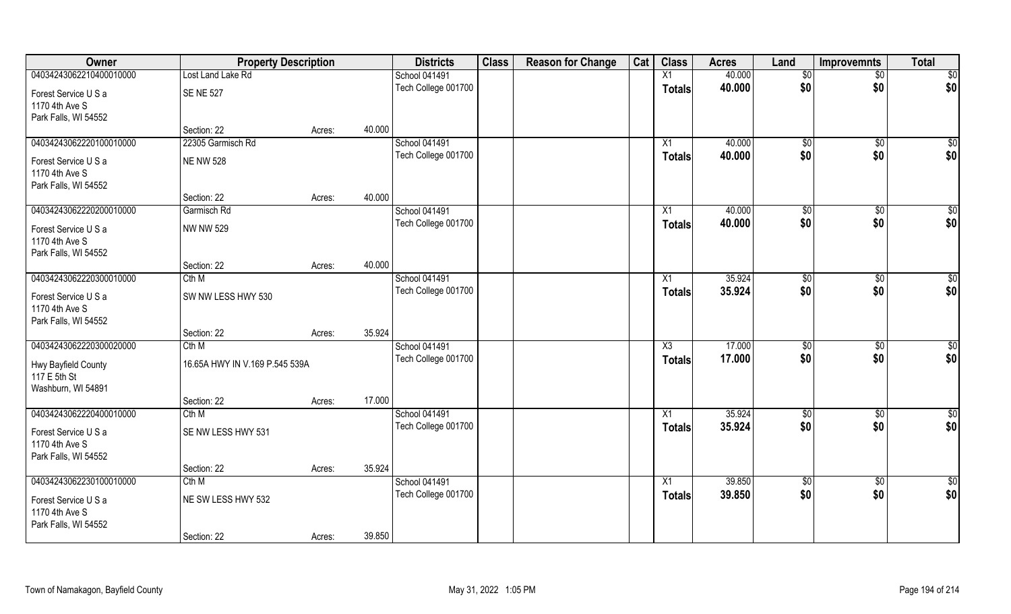| Owner                   | <b>Property Description</b>    |        |        | <b>Districts</b>                     | <b>Class</b> | <b>Reason for Change</b> | Cat | <b>Class</b>    | <b>Acres</b>     | Land                   | <b>Improvemnts</b> | <b>Total</b>           |
|-------------------------|--------------------------------|--------|--------|--------------------------------------|--------------|--------------------------|-----|-----------------|------------------|------------------------|--------------------|------------------------|
| 04034243062210400010000 | Lost Land Lake Rd              |        |        | School 041491                        |              |                          |     | X1              | 40.000           | $\sqrt{6}$             | $\overline{50}$    | $\overline{50}$        |
| Forest Service U S a    | <b>SE NE 527</b>               |        |        | Tech College 001700                  |              |                          |     | <b>Totals</b>   | 40.000           | \$0                    | \$0                | \$0                    |
| 1170 4th Ave S          |                                |        |        |                                      |              |                          |     |                 |                  |                        |                    |                        |
| Park Falls, WI 54552    |                                |        |        |                                      |              |                          |     |                 |                  |                        |                    |                        |
|                         | Section: 22                    | Acres: | 40.000 |                                      |              |                          |     |                 |                  |                        |                    |                        |
| 04034243062220100010000 | 22305 Garmisch Rd              |        |        | School 041491                        |              |                          |     | X1              | 40.000           | $\sqrt[6]{}$           | $\sqrt{50}$        | $\sqrt{50}$            |
| Forest Service U S a    | <b>NE NW 528</b>               |        |        | Tech College 001700                  |              |                          |     | <b>Totals</b>   | 40.000           | \$0                    | \$0                | \$0                    |
| 1170 4th Ave S          |                                |        |        |                                      |              |                          |     |                 |                  |                        |                    |                        |
| Park Falls, WI 54552    |                                |        |        |                                      |              |                          |     |                 |                  |                        |                    |                        |
|                         | Section: 22                    | Acres: | 40.000 |                                      |              |                          |     |                 |                  |                        |                    |                        |
| 04034243062220200010000 | Garmisch Rd                    |        |        | School 041491                        |              |                          |     | X1              | 40.000           | \$0                    | \$0                | \$0                    |
| Forest Service U S a    | <b>NW NW 529</b>               |        |        | Tech College 001700                  |              |                          |     | Totals          | 40.000           | \$0                    | \$0                | \$0                    |
| 1170 4th Ave S          |                                |        |        |                                      |              |                          |     |                 |                  |                        |                    |                        |
| Park Falls, WI 54552    |                                |        |        |                                      |              |                          |     |                 |                  |                        |                    |                        |
|                         | Section: 22                    | Acres: | 40.000 |                                      |              |                          |     |                 |                  |                        |                    |                        |
| 04034243062220300010000 | Cth M                          |        |        | School 041491                        |              |                          |     | X1              | 35.924           | $\sqrt[6]{3}$          | $\sqrt[6]{30}$     | \$0                    |
| Forest Service U S a    | SW NW LESS HWY 530             |        |        | Tech College 001700                  |              |                          |     | <b>Totals</b>   | 35.924           | \$0                    | \$0                | \$0                    |
| 1170 4th Ave S          |                                |        |        |                                      |              |                          |     |                 |                  |                        |                    |                        |
| Park Falls, WI 54552    |                                |        |        |                                      |              |                          |     |                 |                  |                        |                    |                        |
|                         | Section: 22                    | Acres: | 35.924 |                                      |              |                          |     |                 |                  |                        |                    |                        |
| 04034243062220300020000 | Cth M                          |        |        | School 041491                        |              |                          |     | X3              | 17.000           | \$0                    | \$0                | $\overline{50}$        |
| Hwy Bayfield County     | 16.65A HWY IN V.169 P.545 539A |        |        | Tech College 001700                  |              |                          |     | <b>Totals</b>   | 17.000           | \$0                    | \$0                | \$0                    |
| 117 E 5th St            |                                |        |        |                                      |              |                          |     |                 |                  |                        |                    |                        |
| Washburn, WI 54891      |                                |        |        |                                      |              |                          |     |                 |                  |                        |                    |                        |
|                         | Section: 22                    | Acres: | 17.000 |                                      |              |                          |     |                 |                  |                        |                    |                        |
| 04034243062220400010000 | Cth M                          |        |        | School 041491                        |              |                          |     | X1              | 35.924           | \$0                    | \$0                | \$0                    |
| Forest Service U S a    | SE NW LESS HWY 531             |        |        | Tech College 001700                  |              |                          |     | <b>Totals</b>   | 35.924           | \$0                    | \$0                | \$0                    |
| 1170 4th Ave S          |                                |        |        |                                      |              |                          |     |                 |                  |                        |                    |                        |
| Park Falls, WI 54552    |                                |        |        |                                      |              |                          |     |                 |                  |                        |                    |                        |
|                         | Section: 22                    | Acres: | 35.924 |                                      |              |                          |     |                 |                  |                        |                    |                        |
| 04034243062230100010000 | Cth M                          |        |        | School 041491<br>Tech College 001700 |              |                          |     | $\overline{X1}$ | 39.850<br>39.850 | $\overline{50}$<br>\$0 | $\sqrt{6}$         | $\overline{50}$<br>\$0 |
| Forest Service U S a    | NE SW LESS HWY 532             |        |        |                                      |              |                          |     | <b>Totals</b>   |                  |                        | \$0                |                        |
| 1170 4th Ave S          |                                |        |        |                                      |              |                          |     |                 |                  |                        |                    |                        |
| Park Falls, WI 54552    |                                |        |        |                                      |              |                          |     |                 |                  |                        |                    |                        |
|                         | Section: 22                    | Acres: | 39.850 |                                      |              |                          |     |                 |                  |                        |                    |                        |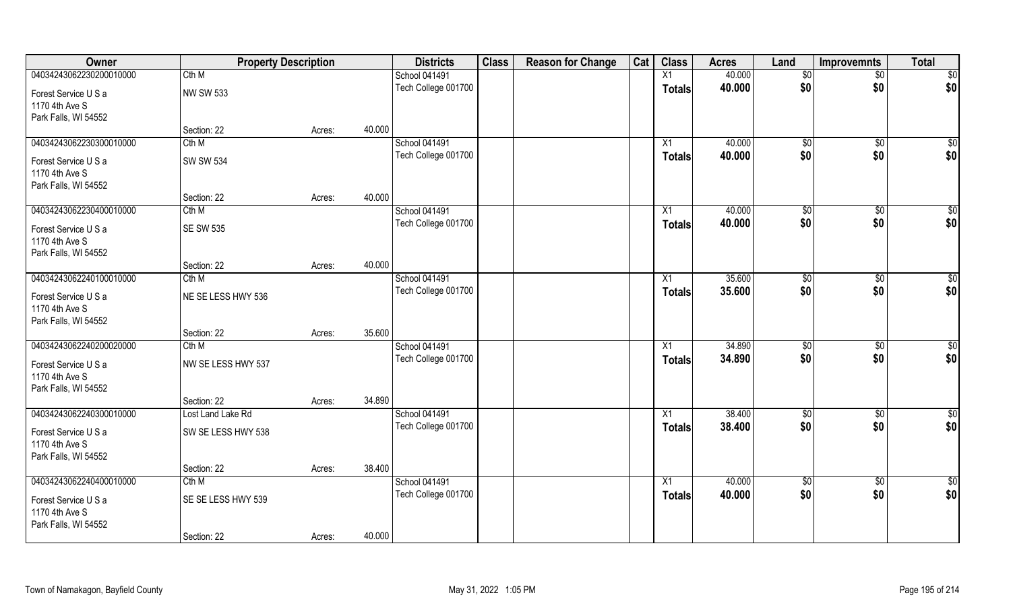| Owner                   | <b>Property Description</b> |        |        | <b>Districts</b>    | <b>Class</b> | <b>Reason for Change</b> | Cat | <b>Class</b>  | <b>Acres</b> | Land         | <b>Improvemnts</b> | <b>Total</b>    |
|-------------------------|-----------------------------|--------|--------|---------------------|--------------|--------------------------|-----|---------------|--------------|--------------|--------------------|-----------------|
| 04034243062230200010000 | Cth M                       |        |        | School 041491       |              |                          |     | X1            | 40.000       | $\sqrt{6}$   | $\overline{50}$    | $\overline{50}$ |
| Forest Service U S a    | <b>NW SW 533</b>            |        |        | Tech College 001700 |              |                          |     | <b>Totals</b> | 40.000       | \$0          | \$0                | \$0             |
| 1170 4th Ave S          |                             |        |        |                     |              |                          |     |               |              |              |                    |                 |
| Park Falls, WI 54552    |                             |        |        |                     |              |                          |     |               |              |              |                    |                 |
|                         | Section: 22                 | Acres: | 40.000 |                     |              |                          |     |               |              |              |                    |                 |
| 04034243062230300010000 | Cth M                       |        |        | School 041491       |              |                          |     | X1            | 40.000       | $\sqrt[6]{}$ | $\sqrt{50}$        | $\sqrt{50}$     |
| Forest Service U S a    | <b>SW SW 534</b>            |        |        | Tech College 001700 |              |                          |     | Totals        | 40.000       | \$0          | \$0                | \$0             |
| 1170 4th Ave S          |                             |        |        |                     |              |                          |     |               |              |              |                    |                 |
| Park Falls, WI 54552    |                             |        |        |                     |              |                          |     |               |              |              |                    |                 |
|                         | Section: 22                 | Acres: | 40.000 |                     |              |                          |     |               |              |              |                    |                 |
| 04034243062230400010000 | Cth M                       |        |        | School 041491       |              |                          |     | X1            | 40.000       | \$0          | \$0                | \$0             |
| Forest Service U S a    | <b>SE SW 535</b>            |        |        | Tech College 001700 |              |                          |     | Totals        | 40.000       | \$0          | \$0                | \$0             |
| 1170 4th Ave S          |                             |        |        |                     |              |                          |     |               |              |              |                    |                 |
| Park Falls, WI 54552    |                             |        |        |                     |              |                          |     |               |              |              |                    |                 |
|                         | Section: 22                 | Acres: | 40.000 |                     |              |                          |     |               |              |              |                    |                 |
| 04034243062240100010000 | Cth M                       |        |        | School 041491       |              |                          |     | X1            | 35.600       | \$0          | \$0                | $\overline{50}$ |
| Forest Service U S a    | NE SE LESS HWY 536          |        |        | Tech College 001700 |              |                          |     | Totals        | 35.600       | \$0          | \$0                | \$0             |
| 1170 4th Ave S          |                             |        |        |                     |              |                          |     |               |              |              |                    |                 |
| Park Falls, WI 54552    |                             |        |        |                     |              |                          |     |               |              |              |                    |                 |
|                         | Section: 22                 | Acres: | 35.600 |                     |              |                          |     |               |              |              |                    |                 |
| 04034243062240200020000 | Cth M                       |        |        | School 041491       |              |                          |     | X1            | 34.890       | \$0          | $\sqrt[6]{30}$     | \$0             |
| Forest Service U S a    | NW SE LESS HWY 537          |        |        | Tech College 001700 |              |                          |     | <b>Totals</b> | 34.890       | \$0          | \$0                | \$0             |
| 1170 4th Ave S          |                             |        |        |                     |              |                          |     |               |              |              |                    |                 |
| Park Falls, WI 54552    |                             |        |        |                     |              |                          |     |               |              |              |                    |                 |
|                         | Section: 22                 | Acres: | 34.890 |                     |              |                          |     |               |              |              |                    |                 |
| 04034243062240300010000 | Lost Land Lake Rd           |        |        | School 041491       |              |                          |     | X1            | 38.400       | \$0          | \$0                | \$0             |
| Forest Service U S a    | SW SE LESS HWY 538          |        |        | Tech College 001700 |              |                          |     | <b>Totals</b> | 38.400       | \$0          | \$0                | \$0             |
| 1170 4th Ave S          |                             |        |        |                     |              |                          |     |               |              |              |                    |                 |
| Park Falls, WI 54552    |                             |        |        |                     |              |                          |     |               |              |              |                    |                 |
|                         | Section: 22                 | Acres: | 38.400 |                     |              |                          |     |               |              |              |                    |                 |
| 04034243062240400010000 | Cth M                       |        |        | School 041491       |              |                          |     | X1            | 40.000       | $\sqrt{6}$   | \$0                | \$0             |
| Forest Service U S a    | SE SE LESS HWY 539          |        |        | Tech College 001700 |              |                          |     | <b>Totals</b> | 40.000       | \$0          | \$0                | \$0             |
| 1170 4th Ave S          |                             |        |        |                     |              |                          |     |               |              |              |                    |                 |
| Park Falls, WI 54552    |                             |        |        |                     |              |                          |     |               |              |              |                    |                 |
|                         | Section: 22                 | Acres: | 40.000 |                     |              |                          |     |               |              |              |                    |                 |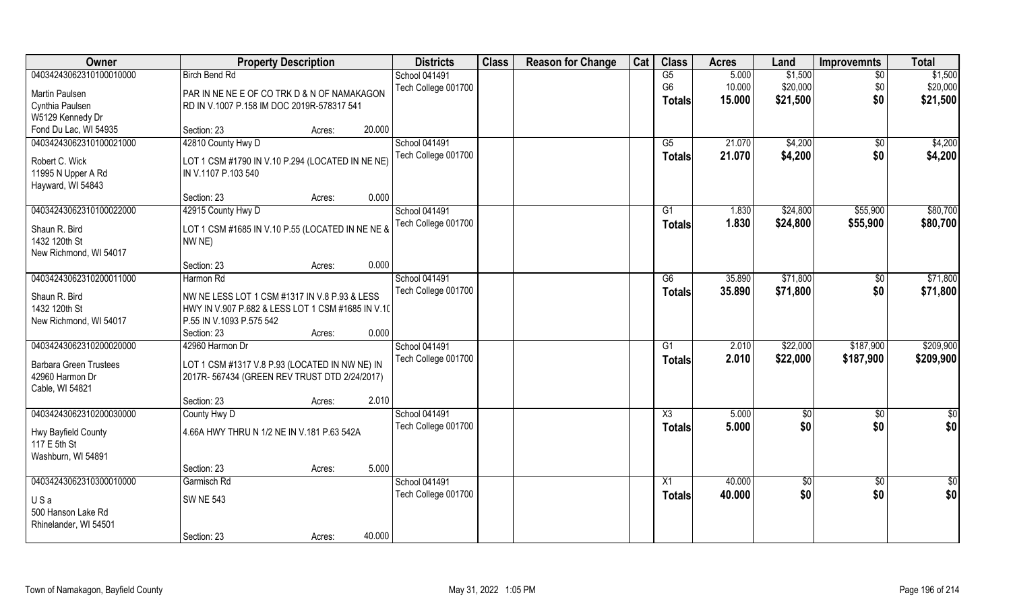| 04034243062310100010000<br>School 041491<br>G5<br>5.000<br>\$1,500<br><b>Birch Bend Rd</b><br>$\sqrt{6}$                                           | \$1,500         |
|----------------------------------------------------------------------------------------------------------------------------------------------------|-----------------|
| 10.000<br>\$20,000<br>G <sub>6</sub><br>\$0<br>Tech College 001700<br>Martin Paulsen<br>PAR IN NE NE E OF CO TRK D & N OF NAMAKAGON                | \$20,000        |
| \$0<br>\$21,500<br>15.000<br><b>Totals</b><br>RD IN V.1007 P.158 IM DOC 2019R-578317 541<br>Cynthia Paulsen                                        | \$21,500        |
| W5129 Kennedy Dr                                                                                                                                   |                 |
| Fond Du Lac, WI 54935<br>20.000<br>Section: 23<br>Acres:                                                                                           |                 |
| 42810 County Hwy D<br>04034243062310100021000<br>School 041491<br>21.070<br>\$4,200<br>G5<br>$\sqrt{$0}$                                           | \$4,200         |
| 21.070<br>\$4,200<br>Tech College 001700<br>\$0<br><b>Totals</b><br>Robert C. Wick<br>LOT 1 CSM #1790 IN V.10 P.294 (LOCATED IN NE NE)             | \$4,200         |
| IN V.1107 P.103 540<br>11995 N Upper A Rd                                                                                                          |                 |
| Hayward, WI 54843                                                                                                                                  |                 |
| 0.000<br>Section: 23<br>Acres:                                                                                                                     |                 |
| 04034243062310100022000<br>42915 County Hwy D<br>School 041491<br>\$24,800<br>\$55,900<br>G1<br>1.830                                              | \$80,700        |
| Tech College 001700<br>1.830<br>\$24,800<br>\$55,900<br><b>Totals</b><br>LOT 1 CSM #1685 IN V.10 P.55 (LOCATED IN NE NE &<br>Shaun R. Bird         | \$80,700        |
| 1432 120th St<br>NW <sub>NE</sub> )                                                                                                                |                 |
| New Richmond, WI 54017                                                                                                                             |                 |
| 0.000<br>Section: 23<br>Acres:                                                                                                                     |                 |
| \$71,800<br>04034243062310200011000<br>School 041491<br>Harmon Rd<br>G6<br>35.890<br>$\sqrt[6]{3}$                                                 | \$71,800        |
| Tech College 001700<br>\$0<br>35.890<br>\$71,800<br><b>Totals</b><br>Shaun R. Bird<br>NW NE LESS LOT 1 CSM #1317 IN V.8 P.93 & LESS                | \$71,800        |
| 1432 120th St<br>HWY IN V.907 P.682 & LESS LOT 1 CSM #1685 IN V.10                                                                                 |                 |
| New Richmond, WI 54017<br>P.55 IN V.1093 P.575 542                                                                                                 |                 |
| 0.000<br>Section: 23<br>Acres:                                                                                                                     |                 |
| 04034243062310200020000<br>42960 Harmon Dr<br>School 041491<br>2.010<br>\$22,000<br>\$187,900<br>G1                                                | \$209,900       |
| 2.010<br>\$22,000<br>Tech College 001700<br>\$187,900<br><b>Totals</b>                                                                             | \$209,900       |
| LOT 1 CSM #1317 V.8 P.93 (LOCATED IN NW NE) IN<br><b>Barbara Green Trustees</b><br>42960 Harmon Dr<br>2017R-567434 (GREEN REV TRUST DTD 2/24/2017) |                 |
| Cable, WI 54821                                                                                                                                    |                 |
| 2.010<br>Section: 23<br>Acres:                                                                                                                     |                 |
| 04034243062310200030000<br>School 041491<br>5.000<br>County Hwy D<br>X3<br>\$0<br>\$0                                                              | \$0             |
| 5.000<br>\$0<br>\$0<br>Tech College 001700<br><b>Totals</b>                                                                                        | \$0             |
| 4.66A HWY THRU N 1/2 NE IN V.181 P.63 542A<br>Hwy Bayfield County                                                                                  |                 |
| 117 E 5th St<br>Washburn, WI 54891                                                                                                                 |                 |
| 5.000<br>Section: 23<br>Acres:                                                                                                                     |                 |
| 04034243062310300010000<br>Garmisch Rd<br>School 041491<br>$\overline{X1}$<br>40.000<br>$\sqrt{6}$<br>$\sqrt{$0}$                                  | $\overline{50}$ |
| \$0<br>Tech College 001700<br>40.000<br>\$0<br><b>Totals</b>                                                                                       | \$0             |
| <b>SW NE 543</b><br>USa                                                                                                                            |                 |
| 500 Hanson Lake Rd<br>Rhinelander, WI 54501                                                                                                        |                 |
| 40.000<br>Section: 23<br>Acres:                                                                                                                    |                 |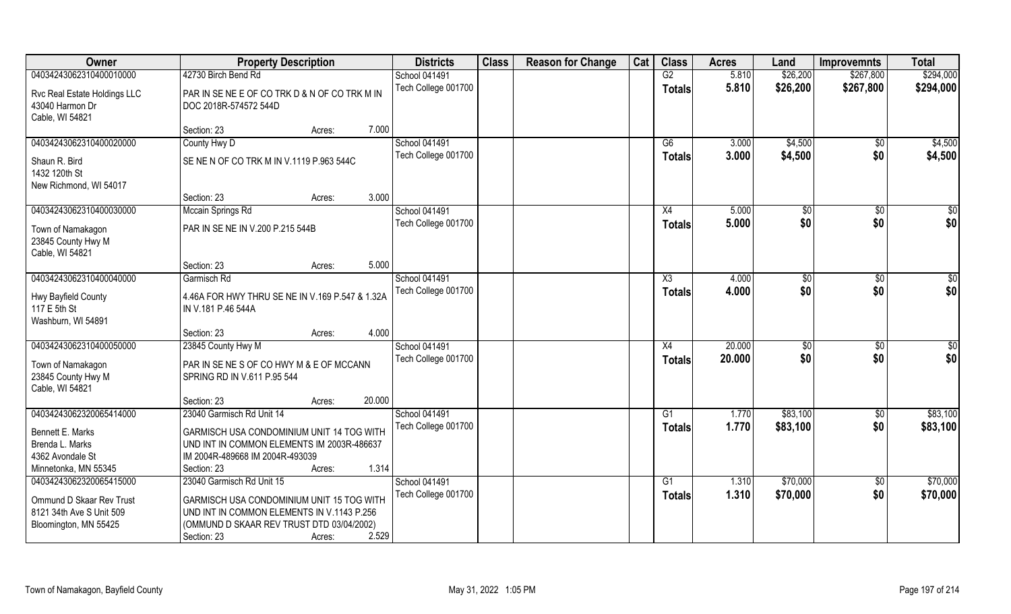| Owner                                                                           | <b>Property Description</b>                                                                                                                         |        |        | <b>Districts</b>                            | <b>Class</b> | <b>Reason for Change</b> | Cat | <b>Class</b>              | <b>Acres</b>   | Land               | <b>Improvemnts</b> | <b>Total</b>       |
|---------------------------------------------------------------------------------|-----------------------------------------------------------------------------------------------------------------------------------------------------|--------|--------|---------------------------------------------|--------------|--------------------------|-----|---------------------------|----------------|--------------------|--------------------|--------------------|
| 04034243062310400010000                                                         | 42730 Birch Bend Rd                                                                                                                                 |        |        | School 041491                               |              |                          |     | G2                        | 5.810          | \$26,200           | \$267,800          | \$294,000          |
| Rvc Real Estate Holdings LLC<br>43040 Harmon Dr<br>Cable, WI 54821              | PAR IN SE NE E OF CO TRK D & N OF CO TRK M IN<br>DOC 2018R-574572 544D                                                                              |        |        | Tech College 001700                         |              |                          |     | <b>Totals</b>             | 5.810          | \$26,200           | \$267,800          | \$294,000          |
|                                                                                 | Section: 23                                                                                                                                         | Acres: | 7.000  |                                             |              |                          |     |                           |                |                    |                    |                    |
| 04034243062310400020000                                                         | County Hwy D                                                                                                                                        |        |        | <b>School 041491</b><br>Tech College 001700 |              |                          |     | $\overline{G6}$<br>Totals | 3.000<br>3.000 | \$4,500<br>\$4,500 | \$0<br>\$0         | \$4,500<br>\$4,500 |
| Shaun R. Bird<br>1432 120th St                                                  | SE NE N OF CO TRK M IN V.1119 P.963 544C                                                                                                            |        |        |                                             |              |                          |     |                           |                |                    |                    |                    |
| New Richmond, WI 54017                                                          | Section: 23                                                                                                                                         | Acres: | 3.000  |                                             |              |                          |     |                           |                |                    |                    |                    |
| 04034243062310400030000                                                         | Mccain Springs Rd                                                                                                                                   |        |        | School 041491                               |              |                          |     | X4                        | 5.000          | \$0                | $\overline{50}$    | \$0                |
| Town of Namakagon<br>23845 County Hwy M<br>Cable, WI 54821                      | PAR IN SE NE IN V.200 P.215 544B                                                                                                                    |        |        | Tech College 001700                         |              |                          |     | <b>Totals</b>             | 5.000          | \$0                | \$0                | \$0                |
|                                                                                 | Section: 23                                                                                                                                         | Acres: | 5.000  |                                             |              |                          |     |                           |                |                    |                    |                    |
| 04034243062310400040000                                                         | Garmisch Rd                                                                                                                                         |        |        | School 041491                               |              |                          |     | X3                        | 4.000          | \$0                | \$0                | \$                 |
| Hwy Bayfield County<br>117 E 5th St<br>Washburn, WI 54891                       | 4.46A FOR HWY THRU SE NE IN V.169 P.547 & 1.32A<br>IN V.181 P.46 544A                                                                               |        |        | Tech College 001700                         |              |                          |     | <b>Totals</b>             | 4.000          | \$0                | \$0                | \$0                |
|                                                                                 | Section: 23                                                                                                                                         | Acres: | 4.000  |                                             |              |                          |     |                           |                |                    |                    |                    |
| 04034243062310400050000                                                         | 23845 County Hwy M                                                                                                                                  |        |        | School 041491                               |              |                          |     | X4                        | 20.000         | \$0                | $\overline{50}$    | $\overline{50}$    |
| Town of Namakagon<br>23845 County Hwy M<br>Cable, WI 54821                      | PAR IN SE NE S OF CO HWY M & E OF MCCANN<br>SPRING RD IN V.611 P.95 544                                                                             |        |        | Tech College 001700                         |              |                          |     | <b>Totals</b>             | 20.000         | \$0                | \$0                | \$0                |
|                                                                                 | Section: 23                                                                                                                                         | Acres: | 20.000 |                                             |              |                          |     |                           |                |                    |                    |                    |
| 04034243062320065414000                                                         | 23040 Garmisch Rd Unit 14                                                                                                                           |        |        | School 041491                               |              |                          |     | $\overline{G1}$           | 1.770          | \$83,100           | \$0                | \$83,100           |
| Bennett E. Marks<br>Brenda L. Marks<br>4362 Avondale St<br>Minnetonka, MN 55345 | GARMISCH USA CONDOMINIUM UNIT 14 TOG WITH<br>UND INT IN COMMON ELEMENTS IM 2003R-486637<br>IM 2004R-489668 IM 2004R-493039<br>Section: 23           | Acres: | 1.314  | Tech College 001700                         |              |                          |     | <b>Totals</b>             | 1.770          | \$83,100           | \$0                | \$83,100           |
| 04034243062320065415000                                                         | 23040 Garmisch Rd Unit 15                                                                                                                           |        |        | School 041491                               |              |                          |     | G1                        | 1.310          | \$70,000           | $\overline{50}$    | \$70,000           |
| Ommund D Skaar Rev Trust<br>8121 34th Ave S Unit 509<br>Bloomington, MN 55425   | GARMISCH USA CONDOMINIUM UNIT 15 TOG WITH<br>UND INT IN COMMON ELEMENTS IN V.1143 P.256<br>(OMMUND D SKAAR REV TRUST DTD 03/04/2002)<br>Section: 23 | Acres: | 2.529  | Tech College 001700                         |              |                          |     | Totals                    | 1.310          | \$70,000           | \$0                | \$70,000           |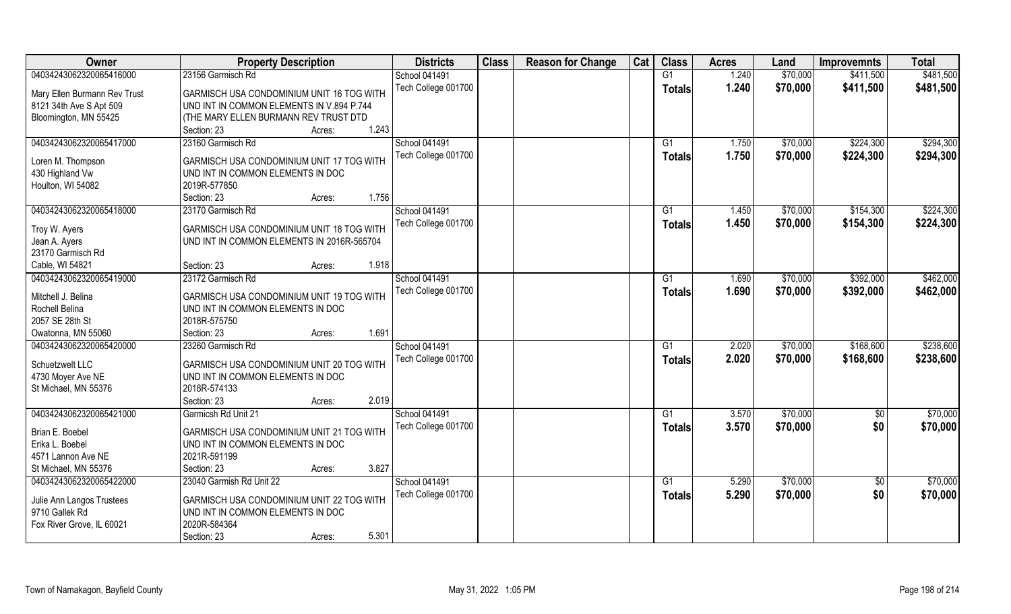| Owner                        | <b>Property Description</b>                | <b>Districts</b>     | <b>Class</b> | <b>Reason for Change</b> | Cat | <b>Class</b>  | <b>Acres</b> | Land     | <b>Improvemnts</b> | <b>Total</b> |
|------------------------------|--------------------------------------------|----------------------|--------------|--------------------------|-----|---------------|--------------|----------|--------------------|--------------|
| 04034243062320065416000      | 23156 Garmisch Rd                          | School 041491        |              |                          |     | G1            | 1.240        | \$70,000 | \$411,500          | \$481,500    |
| Mary Ellen Burmann Rev Trust | GARMISCH USA CONDOMINIUM UNIT 16 TOG WITH  | Tech College 001700  |              |                          |     | Totals        | 1.240        | \$70,000 | \$411,500          | \$481,500    |
| 8121 34th Ave S Apt 509      | UND INT IN COMMON ELEMENTS IN V.894 P.744  |                      |              |                          |     |               |              |          |                    |              |
| Bloomington, MN 55425        | (THE MARY ELLEN BURMANN REV TRUST DTD      |                      |              |                          |     |               |              |          |                    |              |
|                              | 1.243<br>Section: 23<br>Acres:             |                      |              |                          |     |               |              |          |                    |              |
| 04034243062320065417000      | 23160 Garmisch Rd                          | <b>School 041491</b> |              |                          |     | G1            | 1.750        | \$70,000 | \$224,300          | \$294,300    |
|                              |                                            |                      |              |                          |     |               |              |          |                    |              |
| Loren M. Thompson            | GARMISCH USA CONDOMINIUM UNIT 17 TOG WITH  | Tech College 001700  |              |                          |     | Totals        | 1.750        | \$70,000 | \$224,300          | \$294,300    |
| 430 Highland Vw              | UND INT IN COMMON ELEMENTS IN DOC          |                      |              |                          |     |               |              |          |                    |              |
| Houlton, WI 54082            | 2019R-577850                               |                      |              |                          |     |               |              |          |                    |              |
|                              | 1.756<br>Section: 23<br>Acres:             |                      |              |                          |     |               |              |          |                    |              |
| 04034243062320065418000      | 23170 Garmisch Rd                          | School 041491        |              |                          |     | G1            | 1.450        | \$70,000 | \$154,300          | \$224,300    |
|                              |                                            | Tech College 001700  |              |                          |     | <b>Totals</b> | 1.450        | \$70,000 | \$154,300          | \$224,300    |
| Troy W. Ayers                | GARMISCH USA CONDOMINIUM UNIT 18 TOG WITH  |                      |              |                          |     |               |              |          |                    |              |
| Jean A. Ayers                | UND INT IN COMMON ELEMENTS IN 2016R-565704 |                      |              |                          |     |               |              |          |                    |              |
| 23170 Garmisch Rd            |                                            |                      |              |                          |     |               |              |          |                    |              |
| Cable, WI 54821              | 1.918<br>Section: 23<br>Acres:             |                      |              |                          |     |               |              |          |                    |              |
| 04034243062320065419000      | 23172 Garmisch Rd                          | School 041491        |              |                          |     | G1            | 1.690        | \$70,000 | \$392,000          | \$462,000    |
| Mitchell J. Belina           | GARMISCH USA CONDOMINIUM UNIT 19 TOG WITH  | Tech College 001700  |              |                          |     | <b>Totals</b> | 1.690        | \$70,000 | \$392,000          | \$462,000    |
| Rochell Belina               | UND INT IN COMMON ELEMENTS IN DOC          |                      |              |                          |     |               |              |          |                    |              |
| 2057 SE 28th St              | 2018R-575750                               |                      |              |                          |     |               |              |          |                    |              |
| Owatonna, MN 55060           | 1.691<br>Section: 23<br>Acres:             |                      |              |                          |     |               |              |          |                    |              |
| 04034243062320065420000      | 23260 Garmisch Rd                          | School 041491        |              |                          |     | G1            | 2.020        | \$70,000 | \$168,600          | \$238,600    |
|                              |                                            | Tech College 001700  |              |                          |     | <b>Totals</b> | 2.020        | \$70,000 | \$168,600          | \$238,600    |
| Schuetzwelt LLC              | GARMISCH USA CONDOMINIUM UNIT 20 TOG WITH  |                      |              |                          |     |               |              |          |                    |              |
| 4730 Moyer Ave NE            | UND INT IN COMMON ELEMENTS IN DOC          |                      |              |                          |     |               |              |          |                    |              |
| St Michael, MN 55376         | 2018R-574133                               |                      |              |                          |     |               |              |          |                    |              |
|                              | 2.019<br>Section: 23<br>Acres:             |                      |              |                          |     |               |              |          |                    |              |
| 04034243062320065421000      | Garmicsh Rd Unit 21                        | School 041491        |              |                          |     | G1            | 3.570        | \$70,000 | $\sqrt{$0}$        | \$70,000     |
| Brian E. Boebel              | GARMISCH USA CONDOMINIUM UNIT 21 TOG WITH  | Tech College 001700  |              |                          |     | <b>Totals</b> | 3.570        | \$70,000 | \$0                | \$70,000     |
| Erika L. Boebel              | UND INT IN COMMON ELEMENTS IN DOC          |                      |              |                          |     |               |              |          |                    |              |
| 4571 Lannon Ave NE           | 2021R-591199                               |                      |              |                          |     |               |              |          |                    |              |
| St Michael, MN 55376         | 3.827<br>Section: 23<br>Acres:             |                      |              |                          |     |               |              |          |                    |              |
| 04034243062320065422000      | 23040 Garmish Rd Unit 22                   | School 041491        |              |                          |     | G1            | 5.290        | \$70,000 | $\overline{50}$    | \$70,000     |
|                              |                                            | Tech College 001700  |              |                          |     |               | 5.290        | \$70,000 | \$0                | \$70,000     |
| Julie Ann Langos Trustees    | GARMISCH USA CONDOMINIUM UNIT 22 TOG WITH  |                      |              |                          |     | Totals        |              |          |                    |              |
| 9710 Gallek Rd               | UND INT IN COMMON ELEMENTS IN DOC          |                      |              |                          |     |               |              |          |                    |              |
| Fox River Grove, IL 60021    | 2020R-584364                               |                      |              |                          |     |               |              |          |                    |              |
|                              | 5.301<br>Section: 23<br>Acres:             |                      |              |                          |     |               |              |          |                    |              |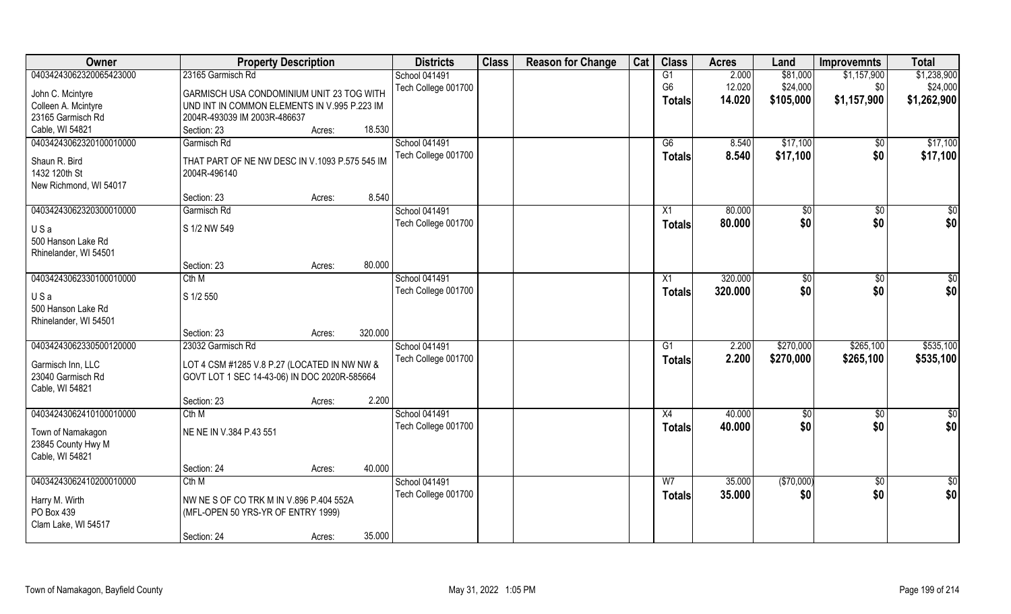| 04034243062320065423000<br>23165 Garmisch Rd<br>School 041491<br>G1<br>2.000<br>\$81,000<br>\$1,157,900<br>\$24,000<br>G <sub>6</sub><br>12.020<br>Tech College 001700<br>\$0<br>John C. Mcintyre<br>GARMISCH USA CONDOMINIUM UNIT 23 TOG WITH<br>14.020<br>\$1,157,900<br>\$105,000<br><b>Totals</b><br>Colleen A. Mcintyre<br>UND INT IN COMMON ELEMENTS IN V.995 P.223 IM<br>23165 Garmisch Rd<br>2004R-493039 IM 2003R-486637 |                 |             |        |        | <b>Districts</b> | <b>Class</b> | <b>Reason for Change</b> | Cat | <b>Class</b> | <b>Acres</b> | Land | <b>Improvemnts</b> | <b>Total</b>    |
|-----------------------------------------------------------------------------------------------------------------------------------------------------------------------------------------------------------------------------------------------------------------------------------------------------------------------------------------------------------------------------------------------------------------------------------|-----------------|-------------|--------|--------|------------------|--------------|--------------------------|-----|--------------|--------------|------|--------------------|-----------------|
|                                                                                                                                                                                                                                                                                                                                                                                                                                   |                 |             |        |        |                  |              |                          |     |              |              |      |                    | \$1,238,900     |
|                                                                                                                                                                                                                                                                                                                                                                                                                                   |                 |             |        |        |                  |              |                          |     |              |              |      |                    | \$24,000        |
|                                                                                                                                                                                                                                                                                                                                                                                                                                   |                 |             |        |        |                  |              |                          |     |              |              |      |                    | \$1,262,900     |
|                                                                                                                                                                                                                                                                                                                                                                                                                                   |                 |             |        |        |                  |              |                          |     |              |              |      |                    |                 |
|                                                                                                                                                                                                                                                                                                                                                                                                                                   | Cable, WI 54821 | Section: 23 | Acres: | 18.530 |                  |              |                          |     |              |              |      |                    |                 |
| 04034243062320100010000<br>School 041491<br>\$17,100<br>Garmisch Rd<br>G6<br>8.540<br>$\sqrt{$0}$                                                                                                                                                                                                                                                                                                                                 |                 |             |        |        |                  |              |                          |     |              |              |      |                    | \$17,100        |
| Tech College 001700<br>8.540<br>\$17,100<br>\$0<br>Totals                                                                                                                                                                                                                                                                                                                                                                         |                 |             |        |        |                  |              |                          |     |              |              |      |                    | \$17,100        |
| Shaun R. Bird<br>THAT PART OF NE NW DESC IN V.1093 P.575 545 IM<br>1432 120th St<br>2004R-496140                                                                                                                                                                                                                                                                                                                                  |                 |             |        |        |                  |              |                          |     |              |              |      |                    |                 |
| New Richmond, WI 54017                                                                                                                                                                                                                                                                                                                                                                                                            |                 |             |        |        |                  |              |                          |     |              |              |      |                    |                 |
| 8.540<br>Section: 23<br>Acres:                                                                                                                                                                                                                                                                                                                                                                                                    |                 |             |        |        |                  |              |                          |     |              |              |      |                    |                 |
| 04034243062320300010000<br>School 041491<br>Garmisch Rd<br>X1<br>80.000<br>$\sqrt[6]{2}$<br>\$0                                                                                                                                                                                                                                                                                                                                   |                 |             |        |        |                  |              |                          |     |              |              |      |                    | \$0             |
| \$0<br>\$0<br>Tech College 001700<br>80.000<br><b>Totals</b>                                                                                                                                                                                                                                                                                                                                                                      |                 |             |        |        |                  |              |                          |     |              |              |      |                    | \$0             |
| S 1/2 NW 549<br>USa                                                                                                                                                                                                                                                                                                                                                                                                               |                 |             |        |        |                  |              |                          |     |              |              |      |                    |                 |
| 500 Hanson Lake Rd                                                                                                                                                                                                                                                                                                                                                                                                                |                 |             |        |        |                  |              |                          |     |              |              |      |                    |                 |
| Rhinelander, WI 54501                                                                                                                                                                                                                                                                                                                                                                                                             |                 |             |        |        |                  |              |                          |     |              |              |      |                    |                 |
| 80.000<br>Section: 23<br>Acres:                                                                                                                                                                                                                                                                                                                                                                                                   |                 |             |        |        |                  |              |                          |     |              |              |      |                    |                 |
| 04034243062330100010000<br>School 041491<br>320.000<br>Cth M<br>X1<br>\$0<br>$\sqrt[6]{3}$                                                                                                                                                                                                                                                                                                                                        |                 |             |        |        |                  |              |                          |     |              |              |      |                    | $\sqrt{50}$     |
| \$0<br>\$0<br>Tech College 001700<br>320.000<br>Totals<br>S 1/2 550<br>USa                                                                                                                                                                                                                                                                                                                                                        |                 |             |        |        |                  |              |                          |     |              |              |      |                    | \$0             |
| 500 Hanson Lake Rd                                                                                                                                                                                                                                                                                                                                                                                                                |                 |             |        |        |                  |              |                          |     |              |              |      |                    |                 |
| Rhinelander, WI 54501                                                                                                                                                                                                                                                                                                                                                                                                             |                 |             |        |        |                  |              |                          |     |              |              |      |                    |                 |
| 320.000<br>Section: 23<br>Acres:                                                                                                                                                                                                                                                                                                                                                                                                  |                 |             |        |        |                  |              |                          |     |              |              |      |                    |                 |
| 04034243062330500120000<br>23032 Garmisch Rd<br>2.200<br>\$270,000<br>\$265,100<br>School 041491<br>G1                                                                                                                                                                                                                                                                                                                            |                 |             |        |        |                  |              |                          |     |              |              |      |                    | \$535,100       |
| 2.200<br>\$270,000<br>\$265,100<br>Tech College 001700<br><b>Totals</b><br>Garmisch Inn, LLC<br>LOT 4 CSM #1285 V.8 P.27 (LOCATED IN NW NW &                                                                                                                                                                                                                                                                                      |                 |             |        |        |                  |              |                          |     |              |              |      |                    | \$535,100       |
| 23040 Garmisch Rd<br>GOVT LOT 1 SEC 14-43-06) IN DOC 2020R-585664                                                                                                                                                                                                                                                                                                                                                                 |                 |             |        |        |                  |              |                          |     |              |              |      |                    |                 |
| Cable, WI 54821                                                                                                                                                                                                                                                                                                                                                                                                                   |                 |             |        |        |                  |              |                          |     |              |              |      |                    |                 |
| 2.200<br>Section: 23<br>Acres:                                                                                                                                                                                                                                                                                                                                                                                                    |                 |             |        |        |                  |              |                          |     |              |              |      |                    |                 |
| 04034243062410100010000<br>School 041491<br>X4<br>40.000<br>Cth M<br>\$0<br>\$0                                                                                                                                                                                                                                                                                                                                                   |                 |             |        |        |                  |              |                          |     |              |              |      |                    | \$0             |
| 40.000<br>\$0<br>\$0<br>Tech College 001700<br><b>Totals</b><br>NE NE IN V.384 P.43 551<br>Town of Namakagon                                                                                                                                                                                                                                                                                                                      |                 |             |        |        |                  |              |                          |     |              |              |      |                    | \$0             |
| 23845 County Hwy M                                                                                                                                                                                                                                                                                                                                                                                                                |                 |             |        |        |                  |              |                          |     |              |              |      |                    |                 |
| Cable, WI 54821                                                                                                                                                                                                                                                                                                                                                                                                                   |                 |             |        |        |                  |              |                          |     |              |              |      |                    |                 |
| 40.000<br>Section: 24<br>Acres:                                                                                                                                                                                                                                                                                                                                                                                                   |                 |             |        |        |                  |              |                          |     |              |              |      |                    |                 |
| 04034243062410200010000<br>(\$70,000)<br>Cth M<br>School 041491<br>W <sub>7</sub><br>35.000<br>$\overline{50}$                                                                                                                                                                                                                                                                                                                    |                 |             |        |        |                  |              |                          |     |              |              |      |                    | $\overline{50}$ |
| \$0<br>Tech College 001700<br>35.000<br>\$0<br>Totals                                                                                                                                                                                                                                                                                                                                                                             |                 |             |        |        |                  |              |                          |     |              |              |      |                    | \$0             |
| Harry M. Wirth<br>NW NE S OF CO TRK M IN V.896 P.404 552A<br>PO Box 439<br>(MFL-OPEN 50 YRS-YR OF ENTRY 1999)                                                                                                                                                                                                                                                                                                                     |                 |             |        |        |                  |              |                          |     |              |              |      |                    |                 |
| Clam Lake, WI 54517                                                                                                                                                                                                                                                                                                                                                                                                               |                 |             |        |        |                  |              |                          |     |              |              |      |                    |                 |
| 35.000<br>Section: 24<br>Acres:                                                                                                                                                                                                                                                                                                                                                                                                   |                 |             |        |        |                  |              |                          |     |              |              |      |                    |                 |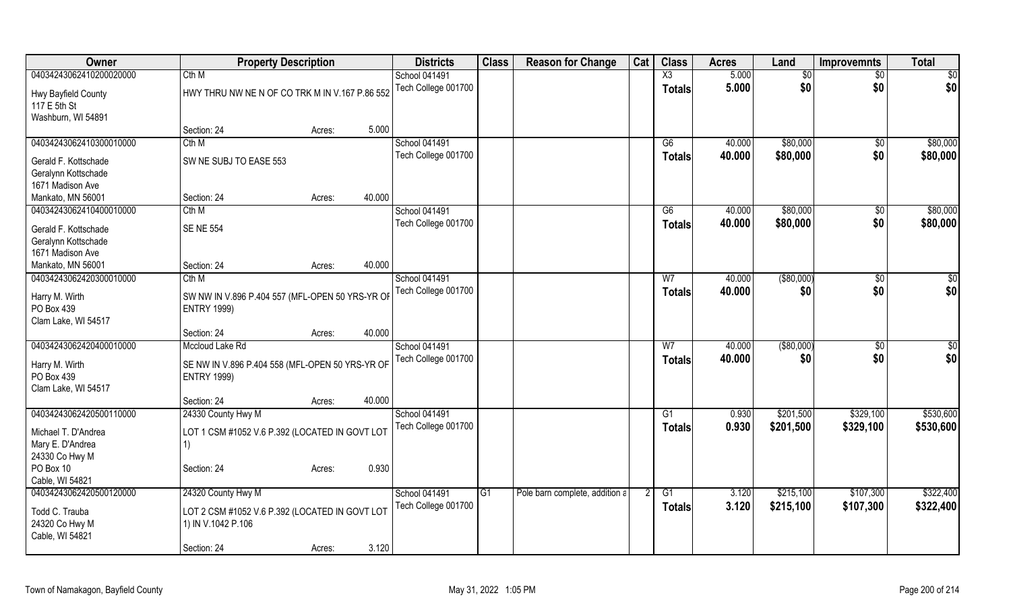| 5.000<br>04034243062410200020000<br>Cth M<br>$\overline{\text{X3}}$<br>School 041491<br>$\overline{30}$<br>$\overline{50}$<br>\$0<br>Tech College 001700<br>5.000<br>\$0<br><b>Totals</b><br>HWY THRU NW NE N OF CO TRK M IN V.167 P.86 552<br>Hwy Bayfield County<br>117 E 5th St<br>Washburn, WI 54891<br>5.000<br>Section: 24<br>Acres:<br>\$80,000<br>Cth M<br>School 041491<br>G6<br>40.000<br>$\sqrt{6}$<br>\$80,000<br>\$0<br>Tech College 001700<br>40.000<br><b>Totals</b><br>SW NE SUBJ TO EASE 553<br>Gerald F. Kottschade<br>Geralynn Kottschade<br>1671 Madison Ave<br>40.000<br>Mankato, MN 56001<br>Section: 24<br>Acres:<br>\$80,000<br>04034243062410400010000<br>Cth M<br>School 041491<br>40.000<br>\$0<br>G6<br>\$0<br>Tech College 001700<br>40.000<br>\$80,000<br><b>Totals</b><br><b>SENE 554</b><br>Gerald F. Kottschade<br>Geralynn Kottschade<br>1671 Madison Ave<br>40.000<br>Mankato, MN 56001<br>Section: 24<br>Acres:<br>( \$80,000)<br>04034243062420300010000<br>Cth M<br>School 041491<br>W <sub>7</sub><br>40.000<br>\$0<br>Tech College 001700<br>\$0<br>40.000<br>\$0<br><b>Totals</b><br>Harry M. Wirth<br>SW NW IN V.896 P.404 557 (MFL-OPEN 50 YRS-YR OF<br><b>ENTRY 1999)</b><br>Clam Lake, WI 54517<br>40.000<br>Section: 24<br>Acres:<br>04034243062420400010000<br>Mccloud Lake Rd<br>( \$80,000)<br>School 041491<br>W <sub>7</sub><br>40.000<br>$\sqrt[6]{30}$<br>\$0<br>Tech College 001700<br>40.000<br>\$0<br><b>Totals</b><br>Harry M. Wirth<br>SE NW IN V.896 P.404 558 (MFL-OPEN 50 YRS-YR OF<br>PO Box 439<br><b>ENTRY 1999)</b><br>Clam Lake, WI 54517<br>40.000<br>Section: 24<br>Acres:<br>04034243062420500110000<br>School 041491<br>\$201,500<br>\$329,100<br>24330 County Hwy M<br>G1<br>0.930<br>Tech College 001700<br>0.930<br>\$201,500<br>\$329,100<br><b>Totals</b><br>LOT 1 CSM #1052 V.6 P.392 (LOCATED IN GOVT LOT<br>Michael T. D'Andrea<br>Mary E. D'Andrea<br>1)<br>24330 Co Hwy M<br>0.930<br>PO Box 10<br>Section: 24<br>Acres: | Owner                   | <b>Property Description</b> | <b>Districts</b> | <b>Class</b> | <b>Reason for Change</b> | Cat | <b>Class</b> | <b>Acres</b> | Land | <b>Improvemnts</b> | <b>Total</b>  |
|----------------------------------------------------------------------------------------------------------------------------------------------------------------------------------------------------------------------------------------------------------------------------------------------------------------------------------------------------------------------------------------------------------------------------------------------------------------------------------------------------------------------------------------------------------------------------------------------------------------------------------------------------------------------------------------------------------------------------------------------------------------------------------------------------------------------------------------------------------------------------------------------------------------------------------------------------------------------------------------------------------------------------------------------------------------------------------------------------------------------------------------------------------------------------------------------------------------------------------------------------------------------------------------------------------------------------------------------------------------------------------------------------------------------------------------------------------------------------------------------------------------------------------------------------------------------------------------------------------------------------------------------------------------------------------------------------------------------------------------------------------------------------------------------------------------------------------------------------------------------------------------------------------------------------------------------------------------------------------------------------------|-------------------------|-----------------------------|------------------|--------------|--------------------------|-----|--------------|--------------|------|--------------------|---------------|
| \$80,000<br>\$80,000<br>\$80,000<br>\$80,000<br>\$0<br>\$0<br>\$0<br>\$0<br>\$530,600<br>\$530,600                                                                                                                                                                                                                                                                                                                                                                                                                                                                                                                                                                                                                                                                                                                                                                                                                                                                                                                                                                                                                                                                                                                                                                                                                                                                                                                                                                                                                                                                                                                                                                                                                                                                                                                                                                                                                                                                                                       |                         |                             |                  |              |                          |     |              |              |      |                    | $\frac{1}{2}$ |
|                                                                                                                                                                                                                                                                                                                                                                                                                                                                                                                                                                                                                                                                                                                                                                                                                                                                                                                                                                                                                                                                                                                                                                                                                                                                                                                                                                                                                                                                                                                                                                                                                                                                                                                                                                                                                                                                                                                                                                                                          |                         |                             |                  |              |                          |     |              |              |      |                    | \$0           |
|                                                                                                                                                                                                                                                                                                                                                                                                                                                                                                                                                                                                                                                                                                                                                                                                                                                                                                                                                                                                                                                                                                                                                                                                                                                                                                                                                                                                                                                                                                                                                                                                                                                                                                                                                                                                                                                                                                                                                                                                          |                         |                             |                  |              |                          |     |              |              |      |                    |               |
|                                                                                                                                                                                                                                                                                                                                                                                                                                                                                                                                                                                                                                                                                                                                                                                                                                                                                                                                                                                                                                                                                                                                                                                                                                                                                                                                                                                                                                                                                                                                                                                                                                                                                                                                                                                                                                                                                                                                                                                                          |                         |                             |                  |              |                          |     |              |              |      |                    |               |
|                                                                                                                                                                                                                                                                                                                                                                                                                                                                                                                                                                                                                                                                                                                                                                                                                                                                                                                                                                                                                                                                                                                                                                                                                                                                                                                                                                                                                                                                                                                                                                                                                                                                                                                                                                                                                                                                                                                                                                                                          |                         |                             |                  |              |                          |     |              |              |      |                    |               |
|                                                                                                                                                                                                                                                                                                                                                                                                                                                                                                                                                                                                                                                                                                                                                                                                                                                                                                                                                                                                                                                                                                                                                                                                                                                                                                                                                                                                                                                                                                                                                                                                                                                                                                                                                                                                                                                                                                                                                                                                          | 04034243062410300010000 |                             |                  |              |                          |     |              |              |      |                    |               |
|                                                                                                                                                                                                                                                                                                                                                                                                                                                                                                                                                                                                                                                                                                                                                                                                                                                                                                                                                                                                                                                                                                                                                                                                                                                                                                                                                                                                                                                                                                                                                                                                                                                                                                                                                                                                                                                                                                                                                                                                          |                         |                             |                  |              |                          |     |              |              |      |                    |               |
|                                                                                                                                                                                                                                                                                                                                                                                                                                                                                                                                                                                                                                                                                                                                                                                                                                                                                                                                                                                                                                                                                                                                                                                                                                                                                                                                                                                                                                                                                                                                                                                                                                                                                                                                                                                                                                                                                                                                                                                                          |                         |                             |                  |              |                          |     |              |              |      |                    |               |
|                                                                                                                                                                                                                                                                                                                                                                                                                                                                                                                                                                                                                                                                                                                                                                                                                                                                                                                                                                                                                                                                                                                                                                                                                                                                                                                                                                                                                                                                                                                                                                                                                                                                                                                                                                                                                                                                                                                                                                                                          |                         |                             |                  |              |                          |     |              |              |      |                    |               |
|                                                                                                                                                                                                                                                                                                                                                                                                                                                                                                                                                                                                                                                                                                                                                                                                                                                                                                                                                                                                                                                                                                                                                                                                                                                                                                                                                                                                                                                                                                                                                                                                                                                                                                                                                                                                                                                                                                                                                                                                          |                         |                             |                  |              |                          |     |              |              |      |                    |               |
|                                                                                                                                                                                                                                                                                                                                                                                                                                                                                                                                                                                                                                                                                                                                                                                                                                                                                                                                                                                                                                                                                                                                                                                                                                                                                                                                                                                                                                                                                                                                                                                                                                                                                                                                                                                                                                                                                                                                                                                                          |                         |                             |                  |              |                          |     |              |              |      |                    |               |
|                                                                                                                                                                                                                                                                                                                                                                                                                                                                                                                                                                                                                                                                                                                                                                                                                                                                                                                                                                                                                                                                                                                                                                                                                                                                                                                                                                                                                                                                                                                                                                                                                                                                                                                                                                                                                                                                                                                                                                                                          |                         |                             |                  |              |                          |     |              |              |      |                    |               |
|                                                                                                                                                                                                                                                                                                                                                                                                                                                                                                                                                                                                                                                                                                                                                                                                                                                                                                                                                                                                                                                                                                                                                                                                                                                                                                                                                                                                                                                                                                                                                                                                                                                                                                                                                                                                                                                                                                                                                                                                          |                         |                             |                  |              |                          |     |              |              |      |                    |               |
|                                                                                                                                                                                                                                                                                                                                                                                                                                                                                                                                                                                                                                                                                                                                                                                                                                                                                                                                                                                                                                                                                                                                                                                                                                                                                                                                                                                                                                                                                                                                                                                                                                                                                                                                                                                                                                                                                                                                                                                                          |                         |                             |                  |              |                          |     |              |              |      |                    |               |
|                                                                                                                                                                                                                                                                                                                                                                                                                                                                                                                                                                                                                                                                                                                                                                                                                                                                                                                                                                                                                                                                                                                                                                                                                                                                                                                                                                                                                                                                                                                                                                                                                                                                                                                                                                                                                                                                                                                                                                                                          |                         |                             |                  |              |                          |     |              |              |      |                    |               |
|                                                                                                                                                                                                                                                                                                                                                                                                                                                                                                                                                                                                                                                                                                                                                                                                                                                                                                                                                                                                                                                                                                                                                                                                                                                                                                                                                                                                                                                                                                                                                                                                                                                                                                                                                                                                                                                                                                                                                                                                          |                         |                             |                  |              |                          |     |              |              |      |                    |               |
|                                                                                                                                                                                                                                                                                                                                                                                                                                                                                                                                                                                                                                                                                                                                                                                                                                                                                                                                                                                                                                                                                                                                                                                                                                                                                                                                                                                                                                                                                                                                                                                                                                                                                                                                                                                                                                                                                                                                                                                                          |                         |                             |                  |              |                          |     |              |              |      |                    |               |
|                                                                                                                                                                                                                                                                                                                                                                                                                                                                                                                                                                                                                                                                                                                                                                                                                                                                                                                                                                                                                                                                                                                                                                                                                                                                                                                                                                                                                                                                                                                                                                                                                                                                                                                                                                                                                                                                                                                                                                                                          |                         |                             |                  |              |                          |     |              |              |      |                    |               |
|                                                                                                                                                                                                                                                                                                                                                                                                                                                                                                                                                                                                                                                                                                                                                                                                                                                                                                                                                                                                                                                                                                                                                                                                                                                                                                                                                                                                                                                                                                                                                                                                                                                                                                                                                                                                                                                                                                                                                                                                          | PO Box 439              |                             |                  |              |                          |     |              |              |      |                    |               |
|                                                                                                                                                                                                                                                                                                                                                                                                                                                                                                                                                                                                                                                                                                                                                                                                                                                                                                                                                                                                                                                                                                                                                                                                                                                                                                                                                                                                                                                                                                                                                                                                                                                                                                                                                                                                                                                                                                                                                                                                          |                         |                             |                  |              |                          |     |              |              |      |                    |               |
|                                                                                                                                                                                                                                                                                                                                                                                                                                                                                                                                                                                                                                                                                                                                                                                                                                                                                                                                                                                                                                                                                                                                                                                                                                                                                                                                                                                                                                                                                                                                                                                                                                                                                                                                                                                                                                                                                                                                                                                                          |                         |                             |                  |              |                          |     |              |              |      |                    |               |
|                                                                                                                                                                                                                                                                                                                                                                                                                                                                                                                                                                                                                                                                                                                                                                                                                                                                                                                                                                                                                                                                                                                                                                                                                                                                                                                                                                                                                                                                                                                                                                                                                                                                                                                                                                                                                                                                                                                                                                                                          |                         |                             |                  |              |                          |     |              |              |      |                    |               |
|                                                                                                                                                                                                                                                                                                                                                                                                                                                                                                                                                                                                                                                                                                                                                                                                                                                                                                                                                                                                                                                                                                                                                                                                                                                                                                                                                                                                                                                                                                                                                                                                                                                                                                                                                                                                                                                                                                                                                                                                          |                         |                             |                  |              |                          |     |              |              |      |                    |               |
|                                                                                                                                                                                                                                                                                                                                                                                                                                                                                                                                                                                                                                                                                                                                                                                                                                                                                                                                                                                                                                                                                                                                                                                                                                                                                                                                                                                                                                                                                                                                                                                                                                                                                                                                                                                                                                                                                                                                                                                                          |                         |                             |                  |              |                          |     |              |              |      |                    |               |
|                                                                                                                                                                                                                                                                                                                                                                                                                                                                                                                                                                                                                                                                                                                                                                                                                                                                                                                                                                                                                                                                                                                                                                                                                                                                                                                                                                                                                                                                                                                                                                                                                                                                                                                                                                                                                                                                                                                                                                                                          |                         |                             |                  |              |                          |     |              |              |      |                    |               |
|                                                                                                                                                                                                                                                                                                                                                                                                                                                                                                                                                                                                                                                                                                                                                                                                                                                                                                                                                                                                                                                                                                                                                                                                                                                                                                                                                                                                                                                                                                                                                                                                                                                                                                                                                                                                                                                                                                                                                                                                          |                         |                             |                  |              |                          |     |              |              |      |                    |               |
|                                                                                                                                                                                                                                                                                                                                                                                                                                                                                                                                                                                                                                                                                                                                                                                                                                                                                                                                                                                                                                                                                                                                                                                                                                                                                                                                                                                                                                                                                                                                                                                                                                                                                                                                                                                                                                                                                                                                                                                                          |                         |                             |                  |              |                          |     |              |              |      |                    |               |
|                                                                                                                                                                                                                                                                                                                                                                                                                                                                                                                                                                                                                                                                                                                                                                                                                                                                                                                                                                                                                                                                                                                                                                                                                                                                                                                                                                                                                                                                                                                                                                                                                                                                                                                                                                                                                                                                                                                                                                                                          |                         |                             |                  |              |                          |     |              |              |      |                    |               |
|                                                                                                                                                                                                                                                                                                                                                                                                                                                                                                                                                                                                                                                                                                                                                                                                                                                                                                                                                                                                                                                                                                                                                                                                                                                                                                                                                                                                                                                                                                                                                                                                                                                                                                                                                                                                                                                                                                                                                                                                          |                         |                             |                  |              |                          |     |              |              |      |                    |               |
|                                                                                                                                                                                                                                                                                                                                                                                                                                                                                                                                                                                                                                                                                                                                                                                                                                                                                                                                                                                                                                                                                                                                                                                                                                                                                                                                                                                                                                                                                                                                                                                                                                                                                                                                                                                                                                                                                                                                                                                                          |                         |                             |                  |              |                          |     |              |              |      |                    |               |
|                                                                                                                                                                                                                                                                                                                                                                                                                                                                                                                                                                                                                                                                                                                                                                                                                                                                                                                                                                                                                                                                                                                                                                                                                                                                                                                                                                                                                                                                                                                                                                                                                                                                                                                                                                                                                                                                                                                                                                                                          |                         |                             |                  |              |                          |     |              |              |      |                    |               |
|                                                                                                                                                                                                                                                                                                                                                                                                                                                                                                                                                                                                                                                                                                                                                                                                                                                                                                                                                                                                                                                                                                                                                                                                                                                                                                                                                                                                                                                                                                                                                                                                                                                                                                                                                                                                                                                                                                                                                                                                          | Cable, WI 54821         |                             |                  |              |                          |     |              |              |      |                    |               |
| \$322,400<br>04034243062420500120000<br>24320 County Hwy M<br>School 041491<br>G <sub>1</sub><br>$\overline{G1}$<br>\$215,100<br>\$107,300<br>Pole barn complete, addition a<br>3.120                                                                                                                                                                                                                                                                                                                                                                                                                                                                                                                                                                                                                                                                                                                                                                                                                                                                                                                                                                                                                                                                                                                                                                                                                                                                                                                                                                                                                                                                                                                                                                                                                                                                                                                                                                                                                    |                         |                             |                  |              |                          |     |              |              |      |                    |               |
| 3.120<br>\$215,100<br>\$107,300<br>\$322,400<br>Tech College 001700<br><b>Totals</b>                                                                                                                                                                                                                                                                                                                                                                                                                                                                                                                                                                                                                                                                                                                                                                                                                                                                                                                                                                                                                                                                                                                                                                                                                                                                                                                                                                                                                                                                                                                                                                                                                                                                                                                                                                                                                                                                                                                     |                         |                             |                  |              |                          |     |              |              |      |                    |               |
| Todd C. Trauba<br>LOT 2 CSM #1052 V.6 P.392 (LOCATED IN GOVT LOT                                                                                                                                                                                                                                                                                                                                                                                                                                                                                                                                                                                                                                                                                                                                                                                                                                                                                                                                                                                                                                                                                                                                                                                                                                                                                                                                                                                                                                                                                                                                                                                                                                                                                                                                                                                                                                                                                                                                         |                         |                             |                  |              |                          |     |              |              |      |                    |               |
| 24320 Co Hwy M<br>1) IN V.1042 P.106<br>Cable, WI 54821                                                                                                                                                                                                                                                                                                                                                                                                                                                                                                                                                                                                                                                                                                                                                                                                                                                                                                                                                                                                                                                                                                                                                                                                                                                                                                                                                                                                                                                                                                                                                                                                                                                                                                                                                                                                                                                                                                                                                  |                         |                             |                  |              |                          |     |              |              |      |                    |               |
| 3.120<br>Section: 24<br>Acres:                                                                                                                                                                                                                                                                                                                                                                                                                                                                                                                                                                                                                                                                                                                                                                                                                                                                                                                                                                                                                                                                                                                                                                                                                                                                                                                                                                                                                                                                                                                                                                                                                                                                                                                                                                                                                                                                                                                                                                           |                         |                             |                  |              |                          |     |              |              |      |                    |               |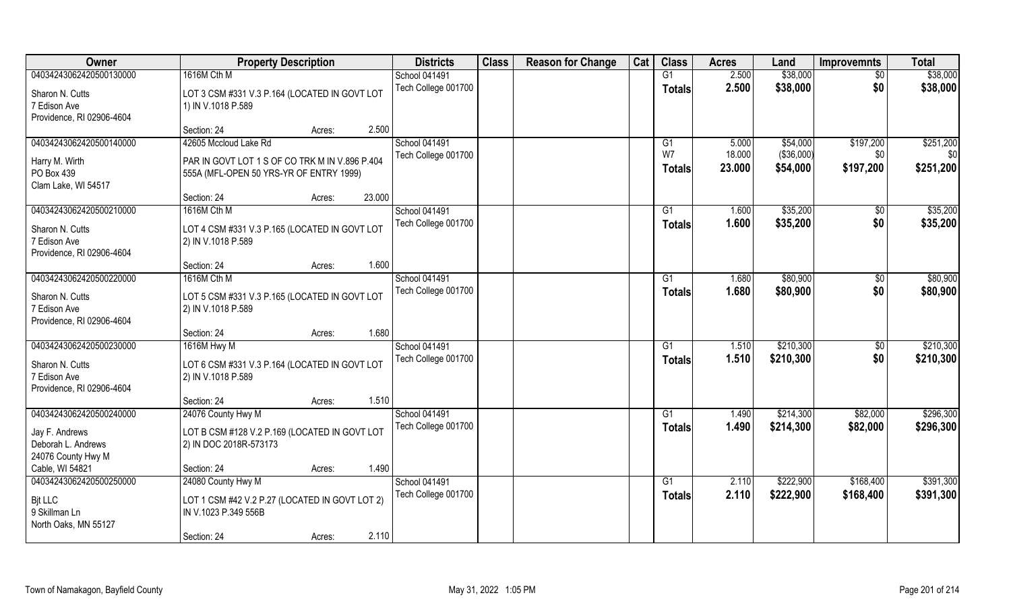| \$38,000<br>\$38,000<br>04034243062420500130000<br>1616M Cth M<br><b>School 041491</b><br>2.500<br>G1<br>$\overline{50}$<br>Tech College 001700<br>2.500<br>\$38,000<br>\$0<br>\$38,000<br><b>Totals</b><br>LOT 3 CSM #331 V.3 P.164 (LOCATED IN GOVT LOT<br>Sharon N. Cutts<br>7 Edison Ave<br>1) IN V.1018 P.589<br>Providence, RI 02906-4604<br>2.500<br>Section: 24<br>Acres:<br><b>School 041491</b><br>\$251,200<br>04034243062420500140000<br>42605 Mccloud Lake Rd<br>\$54,000<br>\$197,200<br>5.000<br>G1<br>W7<br>18.000<br>( \$36,000]<br>Tech College 001700<br>\$0<br>\$0<br>Harry M. Wirth<br>PAR IN GOVT LOT 1 S OF CO TRK M IN V.896 P.404<br>\$251,200<br>\$197,200<br>23.000<br>\$54,000<br><b>Totals</b><br>PO Box 439<br>555A (MFL-OPEN 50 YRS-YR OF ENTRY 1999)<br>Clam Lake, WI 54517<br>23.000<br>Section: 24<br>Acres:<br>School 041491<br>\$35,200<br>\$35,200<br>04034243062420500210000<br>1616M Cth M<br>G1<br>1.600<br>\$0<br>Tech College 001700<br>\$0<br>1.600<br>\$35,200<br>\$35,200<br><b>Totals</b><br>Sharon N. Cutts<br>LOT 4 CSM #331 V.3 P.165 (LOCATED IN GOVT LOT<br>2) IN V.1018 P.589<br>7 Edison Ave<br>Providence, RI 02906-4604<br>1.600<br>Section: 24<br>Acres:<br>04034243062420500220000<br><b>School 041491</b><br>\$80,900<br>\$80,900<br>1616M Cth M<br>1.680<br>G <sub>1</sub><br>\$0<br>Tech College 001700<br>\$0<br>\$80,900<br>1.680<br>\$80,900<br><b>Totals</b><br>Sharon N. Cutts<br>LOT 5 CSM #331 V.3 P.165 (LOCATED IN GOVT LOT<br>7 Edison Ave<br>2) IN V.1018 P.589<br>Providence, RI 02906-4604<br>1.680<br>Section: 24<br>Acres:<br>\$210,300<br>\$210,300<br>04034243062420500230000<br>1616M Hwy M<br>School 041491<br>G1<br>1.510<br>\$0<br>\$210,300<br>\$0<br>Tech College 001700<br>1.510<br>\$210,300<br><b>Totals</b><br>LOT 6 CSM #331 V.3 P.164 (LOCATED IN GOVT LOT<br>Sharon N. Cutts<br>2) IN V.1018 P.589<br>7 Edison Ave<br>Providence, RI 02906-4604<br>1.510<br>Section: 24<br>Acres:<br>School 041491<br>\$214,300<br>\$296,300<br>04034243062420500240000<br>24076 County Hwy M<br>\$82,000<br>G1<br>1.490<br>\$214,300<br>Tech College 001700<br>1.490<br>\$82,000<br>\$296,300<br><b>Totals</b><br>LOT B CSM #128 V.2 P.169 (LOCATED IN GOVT LOT<br>Jay F. Andrews<br>Deborah L. Andrews<br>2) IN DOC 2018R-573173<br>24076 County Hwy M<br>1.490<br>Cable, WI 54821<br>Section: 24<br>Acres:<br>04034243062420500250000<br>24080 County Hwy M<br><b>School 041491</b><br>\$222,900<br>\$168,400<br>\$391,300<br>G1<br>2.110<br>Tech College 001700<br>\$222,900<br>2.110<br>\$168,400<br>\$391,300<br><b>Totals</b><br><b>Bit LLC</b><br>LOT 1 CSM #42 V.2 P.27 (LOCATED IN GOVT LOT 2)<br>9 Skillman Ln<br>IN V.1023 P.349 556B<br>North Oaks, MN 55127 | Owner | <b>Property Description</b>    | <b>Districts</b> | <b>Class</b> | <b>Reason for Change</b> | Cat | <b>Class</b> | <b>Acres</b> | Land | <b>Improvemnts</b> | <b>Total</b> |
|-----------------------------------------------------------------------------------------------------------------------------------------------------------------------------------------------------------------------------------------------------------------------------------------------------------------------------------------------------------------------------------------------------------------------------------------------------------------------------------------------------------------------------------------------------------------------------------------------------------------------------------------------------------------------------------------------------------------------------------------------------------------------------------------------------------------------------------------------------------------------------------------------------------------------------------------------------------------------------------------------------------------------------------------------------------------------------------------------------------------------------------------------------------------------------------------------------------------------------------------------------------------------------------------------------------------------------------------------------------------------------------------------------------------------------------------------------------------------------------------------------------------------------------------------------------------------------------------------------------------------------------------------------------------------------------------------------------------------------------------------------------------------------------------------------------------------------------------------------------------------------------------------------------------------------------------------------------------------------------------------------------------------------------------------------------------------------------------------------------------------------------------------------------------------------------------------------------------------------------------------------------------------------------------------------------------------------------------------------------------------------------------------------------------------------------------------------------------------------------------------------------------------------------------------------------------------------------------------------------------------------------------------------------------------------------------------------------------------------------------------------|-------|--------------------------------|------------------|--------------|--------------------------|-----|--------------|--------------|------|--------------------|--------------|
|                                                                                                                                                                                                                                                                                                                                                                                                                                                                                                                                                                                                                                                                                                                                                                                                                                                                                                                                                                                                                                                                                                                                                                                                                                                                                                                                                                                                                                                                                                                                                                                                                                                                                                                                                                                                                                                                                                                                                                                                                                                                                                                                                                                                                                                                                                                                                                                                                                                                                                                                                                                                                                                                                                                                                     |       |                                |                  |              |                          |     |              |              |      |                    |              |
|                                                                                                                                                                                                                                                                                                                                                                                                                                                                                                                                                                                                                                                                                                                                                                                                                                                                                                                                                                                                                                                                                                                                                                                                                                                                                                                                                                                                                                                                                                                                                                                                                                                                                                                                                                                                                                                                                                                                                                                                                                                                                                                                                                                                                                                                                                                                                                                                                                                                                                                                                                                                                                                                                                                                                     |       |                                |                  |              |                          |     |              |              |      |                    |              |
|                                                                                                                                                                                                                                                                                                                                                                                                                                                                                                                                                                                                                                                                                                                                                                                                                                                                                                                                                                                                                                                                                                                                                                                                                                                                                                                                                                                                                                                                                                                                                                                                                                                                                                                                                                                                                                                                                                                                                                                                                                                                                                                                                                                                                                                                                                                                                                                                                                                                                                                                                                                                                                                                                                                                                     |       |                                |                  |              |                          |     |              |              |      |                    |              |
|                                                                                                                                                                                                                                                                                                                                                                                                                                                                                                                                                                                                                                                                                                                                                                                                                                                                                                                                                                                                                                                                                                                                                                                                                                                                                                                                                                                                                                                                                                                                                                                                                                                                                                                                                                                                                                                                                                                                                                                                                                                                                                                                                                                                                                                                                                                                                                                                                                                                                                                                                                                                                                                                                                                                                     |       |                                |                  |              |                          |     |              |              |      |                    |              |
|                                                                                                                                                                                                                                                                                                                                                                                                                                                                                                                                                                                                                                                                                                                                                                                                                                                                                                                                                                                                                                                                                                                                                                                                                                                                                                                                                                                                                                                                                                                                                                                                                                                                                                                                                                                                                                                                                                                                                                                                                                                                                                                                                                                                                                                                                                                                                                                                                                                                                                                                                                                                                                                                                                                                                     |       |                                |                  |              |                          |     |              |              |      |                    |              |
|                                                                                                                                                                                                                                                                                                                                                                                                                                                                                                                                                                                                                                                                                                                                                                                                                                                                                                                                                                                                                                                                                                                                                                                                                                                                                                                                                                                                                                                                                                                                                                                                                                                                                                                                                                                                                                                                                                                                                                                                                                                                                                                                                                                                                                                                                                                                                                                                                                                                                                                                                                                                                                                                                                                                                     |       |                                |                  |              |                          |     |              |              |      |                    |              |
|                                                                                                                                                                                                                                                                                                                                                                                                                                                                                                                                                                                                                                                                                                                                                                                                                                                                                                                                                                                                                                                                                                                                                                                                                                                                                                                                                                                                                                                                                                                                                                                                                                                                                                                                                                                                                                                                                                                                                                                                                                                                                                                                                                                                                                                                                                                                                                                                                                                                                                                                                                                                                                                                                                                                                     |       |                                |                  |              |                          |     |              |              |      |                    |              |
|                                                                                                                                                                                                                                                                                                                                                                                                                                                                                                                                                                                                                                                                                                                                                                                                                                                                                                                                                                                                                                                                                                                                                                                                                                                                                                                                                                                                                                                                                                                                                                                                                                                                                                                                                                                                                                                                                                                                                                                                                                                                                                                                                                                                                                                                                                                                                                                                                                                                                                                                                                                                                                                                                                                                                     |       |                                |                  |              |                          |     |              |              |      |                    |              |
|                                                                                                                                                                                                                                                                                                                                                                                                                                                                                                                                                                                                                                                                                                                                                                                                                                                                                                                                                                                                                                                                                                                                                                                                                                                                                                                                                                                                                                                                                                                                                                                                                                                                                                                                                                                                                                                                                                                                                                                                                                                                                                                                                                                                                                                                                                                                                                                                                                                                                                                                                                                                                                                                                                                                                     |       |                                |                  |              |                          |     |              |              |      |                    |              |
|                                                                                                                                                                                                                                                                                                                                                                                                                                                                                                                                                                                                                                                                                                                                                                                                                                                                                                                                                                                                                                                                                                                                                                                                                                                                                                                                                                                                                                                                                                                                                                                                                                                                                                                                                                                                                                                                                                                                                                                                                                                                                                                                                                                                                                                                                                                                                                                                                                                                                                                                                                                                                                                                                                                                                     |       |                                |                  |              |                          |     |              |              |      |                    |              |
|                                                                                                                                                                                                                                                                                                                                                                                                                                                                                                                                                                                                                                                                                                                                                                                                                                                                                                                                                                                                                                                                                                                                                                                                                                                                                                                                                                                                                                                                                                                                                                                                                                                                                                                                                                                                                                                                                                                                                                                                                                                                                                                                                                                                                                                                                                                                                                                                                                                                                                                                                                                                                                                                                                                                                     |       |                                |                  |              |                          |     |              |              |      |                    |              |
|                                                                                                                                                                                                                                                                                                                                                                                                                                                                                                                                                                                                                                                                                                                                                                                                                                                                                                                                                                                                                                                                                                                                                                                                                                                                                                                                                                                                                                                                                                                                                                                                                                                                                                                                                                                                                                                                                                                                                                                                                                                                                                                                                                                                                                                                                                                                                                                                                                                                                                                                                                                                                                                                                                                                                     |       |                                |                  |              |                          |     |              |              |      |                    |              |
|                                                                                                                                                                                                                                                                                                                                                                                                                                                                                                                                                                                                                                                                                                                                                                                                                                                                                                                                                                                                                                                                                                                                                                                                                                                                                                                                                                                                                                                                                                                                                                                                                                                                                                                                                                                                                                                                                                                                                                                                                                                                                                                                                                                                                                                                                                                                                                                                                                                                                                                                                                                                                                                                                                                                                     |       |                                |                  |              |                          |     |              |              |      |                    |              |
|                                                                                                                                                                                                                                                                                                                                                                                                                                                                                                                                                                                                                                                                                                                                                                                                                                                                                                                                                                                                                                                                                                                                                                                                                                                                                                                                                                                                                                                                                                                                                                                                                                                                                                                                                                                                                                                                                                                                                                                                                                                                                                                                                                                                                                                                                                                                                                                                                                                                                                                                                                                                                                                                                                                                                     |       |                                |                  |              |                          |     |              |              |      |                    |              |
|                                                                                                                                                                                                                                                                                                                                                                                                                                                                                                                                                                                                                                                                                                                                                                                                                                                                                                                                                                                                                                                                                                                                                                                                                                                                                                                                                                                                                                                                                                                                                                                                                                                                                                                                                                                                                                                                                                                                                                                                                                                                                                                                                                                                                                                                                                                                                                                                                                                                                                                                                                                                                                                                                                                                                     |       |                                |                  |              |                          |     |              |              |      |                    |              |
|                                                                                                                                                                                                                                                                                                                                                                                                                                                                                                                                                                                                                                                                                                                                                                                                                                                                                                                                                                                                                                                                                                                                                                                                                                                                                                                                                                                                                                                                                                                                                                                                                                                                                                                                                                                                                                                                                                                                                                                                                                                                                                                                                                                                                                                                                                                                                                                                                                                                                                                                                                                                                                                                                                                                                     |       |                                |                  |              |                          |     |              |              |      |                    |              |
|                                                                                                                                                                                                                                                                                                                                                                                                                                                                                                                                                                                                                                                                                                                                                                                                                                                                                                                                                                                                                                                                                                                                                                                                                                                                                                                                                                                                                                                                                                                                                                                                                                                                                                                                                                                                                                                                                                                                                                                                                                                                                                                                                                                                                                                                                                                                                                                                                                                                                                                                                                                                                                                                                                                                                     |       |                                |                  |              |                          |     |              |              |      |                    |              |
|                                                                                                                                                                                                                                                                                                                                                                                                                                                                                                                                                                                                                                                                                                                                                                                                                                                                                                                                                                                                                                                                                                                                                                                                                                                                                                                                                                                                                                                                                                                                                                                                                                                                                                                                                                                                                                                                                                                                                                                                                                                                                                                                                                                                                                                                                                                                                                                                                                                                                                                                                                                                                                                                                                                                                     |       |                                |                  |              |                          |     |              |              |      |                    |              |
|                                                                                                                                                                                                                                                                                                                                                                                                                                                                                                                                                                                                                                                                                                                                                                                                                                                                                                                                                                                                                                                                                                                                                                                                                                                                                                                                                                                                                                                                                                                                                                                                                                                                                                                                                                                                                                                                                                                                                                                                                                                                                                                                                                                                                                                                                                                                                                                                                                                                                                                                                                                                                                                                                                                                                     |       |                                |                  |              |                          |     |              |              |      |                    |              |
|                                                                                                                                                                                                                                                                                                                                                                                                                                                                                                                                                                                                                                                                                                                                                                                                                                                                                                                                                                                                                                                                                                                                                                                                                                                                                                                                                                                                                                                                                                                                                                                                                                                                                                                                                                                                                                                                                                                                                                                                                                                                                                                                                                                                                                                                                                                                                                                                                                                                                                                                                                                                                                                                                                                                                     |       |                                |                  |              |                          |     |              |              |      |                    |              |
|                                                                                                                                                                                                                                                                                                                                                                                                                                                                                                                                                                                                                                                                                                                                                                                                                                                                                                                                                                                                                                                                                                                                                                                                                                                                                                                                                                                                                                                                                                                                                                                                                                                                                                                                                                                                                                                                                                                                                                                                                                                                                                                                                                                                                                                                                                                                                                                                                                                                                                                                                                                                                                                                                                                                                     |       |                                |                  |              |                          |     |              |              |      |                    |              |
|                                                                                                                                                                                                                                                                                                                                                                                                                                                                                                                                                                                                                                                                                                                                                                                                                                                                                                                                                                                                                                                                                                                                                                                                                                                                                                                                                                                                                                                                                                                                                                                                                                                                                                                                                                                                                                                                                                                                                                                                                                                                                                                                                                                                                                                                                                                                                                                                                                                                                                                                                                                                                                                                                                                                                     |       |                                |                  |              |                          |     |              |              |      |                    |              |
|                                                                                                                                                                                                                                                                                                                                                                                                                                                                                                                                                                                                                                                                                                                                                                                                                                                                                                                                                                                                                                                                                                                                                                                                                                                                                                                                                                                                                                                                                                                                                                                                                                                                                                                                                                                                                                                                                                                                                                                                                                                                                                                                                                                                                                                                                                                                                                                                                                                                                                                                                                                                                                                                                                                                                     |       |                                |                  |              |                          |     |              |              |      |                    |              |
|                                                                                                                                                                                                                                                                                                                                                                                                                                                                                                                                                                                                                                                                                                                                                                                                                                                                                                                                                                                                                                                                                                                                                                                                                                                                                                                                                                                                                                                                                                                                                                                                                                                                                                                                                                                                                                                                                                                                                                                                                                                                                                                                                                                                                                                                                                                                                                                                                                                                                                                                                                                                                                                                                                                                                     |       |                                |                  |              |                          |     |              |              |      |                    |              |
|                                                                                                                                                                                                                                                                                                                                                                                                                                                                                                                                                                                                                                                                                                                                                                                                                                                                                                                                                                                                                                                                                                                                                                                                                                                                                                                                                                                                                                                                                                                                                                                                                                                                                                                                                                                                                                                                                                                                                                                                                                                                                                                                                                                                                                                                                                                                                                                                                                                                                                                                                                                                                                                                                                                                                     |       |                                |                  |              |                          |     |              |              |      |                    |              |
|                                                                                                                                                                                                                                                                                                                                                                                                                                                                                                                                                                                                                                                                                                                                                                                                                                                                                                                                                                                                                                                                                                                                                                                                                                                                                                                                                                                                                                                                                                                                                                                                                                                                                                                                                                                                                                                                                                                                                                                                                                                                                                                                                                                                                                                                                                                                                                                                                                                                                                                                                                                                                                                                                                                                                     |       |                                |                  |              |                          |     |              |              |      |                    |              |
|                                                                                                                                                                                                                                                                                                                                                                                                                                                                                                                                                                                                                                                                                                                                                                                                                                                                                                                                                                                                                                                                                                                                                                                                                                                                                                                                                                                                                                                                                                                                                                                                                                                                                                                                                                                                                                                                                                                                                                                                                                                                                                                                                                                                                                                                                                                                                                                                                                                                                                                                                                                                                                                                                                                                                     |       |                                |                  |              |                          |     |              |              |      |                    |              |
|                                                                                                                                                                                                                                                                                                                                                                                                                                                                                                                                                                                                                                                                                                                                                                                                                                                                                                                                                                                                                                                                                                                                                                                                                                                                                                                                                                                                                                                                                                                                                                                                                                                                                                                                                                                                                                                                                                                                                                                                                                                                                                                                                                                                                                                                                                                                                                                                                                                                                                                                                                                                                                                                                                                                                     |       |                                |                  |              |                          |     |              |              |      |                    |              |
|                                                                                                                                                                                                                                                                                                                                                                                                                                                                                                                                                                                                                                                                                                                                                                                                                                                                                                                                                                                                                                                                                                                                                                                                                                                                                                                                                                                                                                                                                                                                                                                                                                                                                                                                                                                                                                                                                                                                                                                                                                                                                                                                                                                                                                                                                                                                                                                                                                                                                                                                                                                                                                                                                                                                                     |       |                                |                  |              |                          |     |              |              |      |                    |              |
|                                                                                                                                                                                                                                                                                                                                                                                                                                                                                                                                                                                                                                                                                                                                                                                                                                                                                                                                                                                                                                                                                                                                                                                                                                                                                                                                                                                                                                                                                                                                                                                                                                                                                                                                                                                                                                                                                                                                                                                                                                                                                                                                                                                                                                                                                                                                                                                                                                                                                                                                                                                                                                                                                                                                                     |       |                                |                  |              |                          |     |              |              |      |                    |              |
|                                                                                                                                                                                                                                                                                                                                                                                                                                                                                                                                                                                                                                                                                                                                                                                                                                                                                                                                                                                                                                                                                                                                                                                                                                                                                                                                                                                                                                                                                                                                                                                                                                                                                                                                                                                                                                                                                                                                                                                                                                                                                                                                                                                                                                                                                                                                                                                                                                                                                                                                                                                                                                                                                                                                                     |       |                                |                  |              |                          |     |              |              |      |                    |              |
|                                                                                                                                                                                                                                                                                                                                                                                                                                                                                                                                                                                                                                                                                                                                                                                                                                                                                                                                                                                                                                                                                                                                                                                                                                                                                                                                                                                                                                                                                                                                                                                                                                                                                                                                                                                                                                                                                                                                                                                                                                                                                                                                                                                                                                                                                                                                                                                                                                                                                                                                                                                                                                                                                                                                                     |       |                                |                  |              |                          |     |              |              |      |                    |              |
|                                                                                                                                                                                                                                                                                                                                                                                                                                                                                                                                                                                                                                                                                                                                                                                                                                                                                                                                                                                                                                                                                                                                                                                                                                                                                                                                                                                                                                                                                                                                                                                                                                                                                                                                                                                                                                                                                                                                                                                                                                                                                                                                                                                                                                                                                                                                                                                                                                                                                                                                                                                                                                                                                                                                                     |       |                                |                  |              |                          |     |              |              |      |                    |              |
|                                                                                                                                                                                                                                                                                                                                                                                                                                                                                                                                                                                                                                                                                                                                                                                                                                                                                                                                                                                                                                                                                                                                                                                                                                                                                                                                                                                                                                                                                                                                                                                                                                                                                                                                                                                                                                                                                                                                                                                                                                                                                                                                                                                                                                                                                                                                                                                                                                                                                                                                                                                                                                                                                                                                                     |       |                                |                  |              |                          |     |              |              |      |                    |              |
|                                                                                                                                                                                                                                                                                                                                                                                                                                                                                                                                                                                                                                                                                                                                                                                                                                                                                                                                                                                                                                                                                                                                                                                                                                                                                                                                                                                                                                                                                                                                                                                                                                                                                                                                                                                                                                                                                                                                                                                                                                                                                                                                                                                                                                                                                                                                                                                                                                                                                                                                                                                                                                                                                                                                                     |       | 2.110<br>Section: 24<br>Acres: |                  |              |                          |     |              |              |      |                    |              |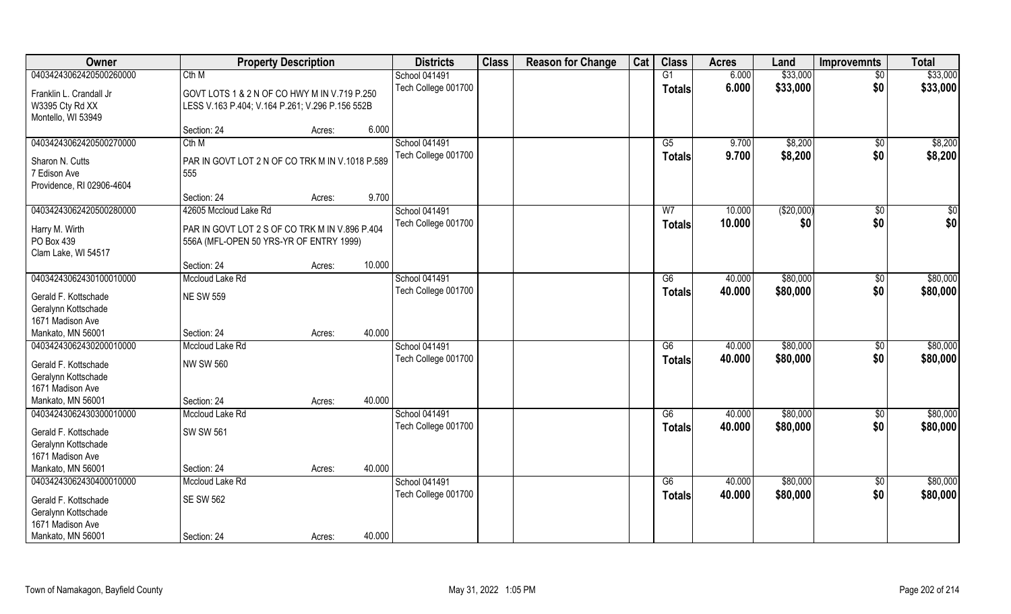| Owner                                                                  | <b>Property Description</b>                                                                     |        | <b>Districts</b>                            | <b>Class</b> | <b>Reason for Change</b> | Cat | <b>Class</b>                     | <b>Acres</b>     | Land                 | <b>Improvemnts</b>    | <b>Total</b>         |
|------------------------------------------------------------------------|-------------------------------------------------------------------------------------------------|--------|---------------------------------------------|--------------|--------------------------|-----|----------------------------------|------------------|----------------------|-----------------------|----------------------|
| 04034243062420500260000                                                | Cth M                                                                                           |        | <b>School 041491</b>                        |              |                          |     | $\overline{G1}$                  | 6.000            | \$33,000             | $\overline{50}$       | \$33,000             |
| Franklin L. Crandall Jr<br>W3395 Cty Rd XX<br>Montello, WI 53949       | GOVT LOTS 1 & 2 N OF CO HWY M IN V.719 P.250<br>LESS V.163 P.404; V.164 P.261; V.296 P.156 552B |        | Tech College 001700                         |              |                          |     | <b>Totals</b>                    | 6.000            | \$33,000             | \$0                   | \$33,000             |
|                                                                        | Section: 24<br>Acres:                                                                           | 6.000  |                                             |              |                          |     |                                  |                  |                      |                       |                      |
| 04034243062420500270000                                                | Cth M                                                                                           |        | School 041491                               |              |                          |     | $\overline{G5}$                  | 9.700            | \$8,200              | \$0                   | \$8,200              |
| Sharon N. Cutts<br>7 Edison Ave<br>Providence, RI 02906-4604           | PAR IN GOVT LOT 2 N OF CO TRK M IN V.1018 P.589<br>555<br>Section: 24<br>Acres:                 | 9.700  | Tech College 001700                         |              |                          |     | <b>Totals</b>                    | 9.700            | \$8,200              | \$0                   | \$8,200              |
| 04034243062420500280000                                                | 42605 Mccloud Lake Rd                                                                           |        | School 041491                               |              |                          |     | W <sub>7</sub>                   | 10.000           | ( \$20,000)          | $\sqrt[6]{3}$         | \$0                  |
| Harry M. Wirth<br>PO Box 439<br>Clam Lake, WI 54517                    | PAR IN GOVT LOT 2 S OF CO TRK M IN V.896 P.404<br>556A (MFL-OPEN 50 YRS-YR OF ENTRY 1999)       |        | Tech College 001700                         |              |                          |     | <b>Totals</b>                    | 10.000           | \$0                  | \$0                   | \$0                  |
|                                                                        | Section: 24<br>Acres:                                                                           | 10.000 |                                             |              |                          |     |                                  |                  |                      |                       |                      |
| 04034243062430100010000                                                | Mccloud Lake Rd                                                                                 |        | School 041491                               |              |                          |     | G6                               | 40.000           | \$80,000             | $\sqrt[6]{3}$         | \$80,000             |
| Gerald F. Kottschade<br>Geralynn Kottschade<br>1671 Madison Ave        | <b>NE SW 559</b>                                                                                |        | Tech College 001700                         |              |                          |     | <b>Totals</b>                    | 40.000           | \$80,000             | \$0                   | \$80,000             |
| Mankato, MN 56001                                                      | Section: 24<br>Acres:                                                                           | 40.000 |                                             |              |                          |     |                                  |                  |                      |                       |                      |
| 04034243062430200010000                                                | Mccloud Lake Rd                                                                                 |        | School 041491<br>Tech College 001700        |              |                          |     | $\overline{G6}$<br><b>Totals</b> | 40.000<br>40.000 | \$80,000<br>\$80,000 | $\sqrt[6]{30}$<br>\$0 | \$80,000<br>\$80,000 |
| Gerald F. Kottschade<br>Geralynn Kottschade<br>1671 Madison Ave        | <b>NW SW 560</b>                                                                                |        |                                             |              |                          |     |                                  |                  |                      |                       |                      |
| Mankato, MN 56001                                                      | Section: 24<br>Acres:                                                                           | 40.000 |                                             |              |                          |     |                                  |                  |                      |                       |                      |
| 04034243062430300010000<br>Gerald F. Kottschade                        | Mccloud Lake Rd<br><b>SW SW 561</b>                                                             |        | <b>School 041491</b><br>Tech College 001700 |              |                          |     | G6<br><b>Totals</b>              | 40.000<br>40.000 | \$80,000<br>\$80,000 | \$0<br>\$0            | \$80,000<br>\$80,000 |
| Geralynn Kottschade<br>1671 Madison Ave                                |                                                                                                 |        |                                             |              |                          |     |                                  |                  |                      |                       |                      |
| Mankato, MN 56001                                                      | Section: 24<br>Acres:                                                                           | 40.000 |                                             |              |                          |     |                                  |                  |                      |                       |                      |
| 04034243062430400010000<br>Gerald F. Kottschade<br>Geralynn Kottschade | Mccloud Lake Rd<br><b>SE SW 562</b>                                                             |        | <b>School 041491</b><br>Tech College 001700 |              |                          |     | G6<br><b>Totals</b>              | 40.000<br>40.000 | \$80,000<br>\$80,000 | $\sqrt{$0}$<br>\$0    | \$80,000<br>\$80,000 |
| 1671 Madison Ave<br>Mankato, MN 56001                                  | Section: 24<br>Acres:                                                                           | 40.000 |                                             |              |                          |     |                                  |                  |                      |                       |                      |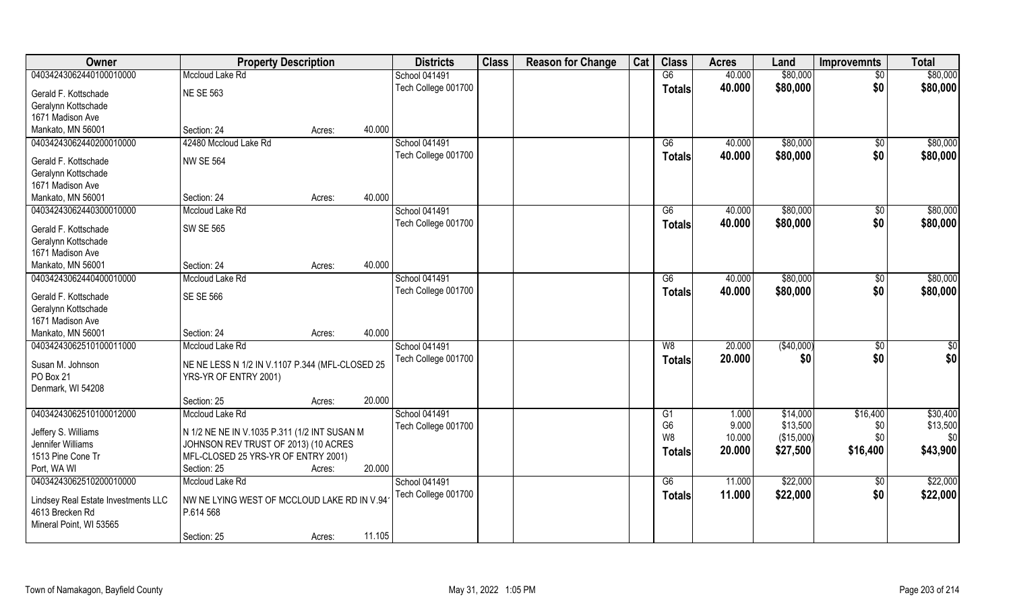| Owner                                                  | <b>Property Description</b>                     |                  | <b>Districts</b>     | <b>Class</b> | <b>Reason for Change</b> | Cat | <b>Class</b>   | <b>Acres</b> | Land       | <b>Improvemnts</b> | <b>Total</b> |
|--------------------------------------------------------|-------------------------------------------------|------------------|----------------------|--------------|--------------------------|-----|----------------|--------------|------------|--------------------|--------------|
| 04034243062440100010000                                | Mccloud Lake Rd                                 |                  | School 041491        |              |                          |     | G6             | 40.000       | \$80,000   | $\sqrt{$0}$        | \$80,000     |
| Gerald F. Kottschade                                   | <b>NE SE 563</b>                                |                  | Tech College 001700  |              |                          |     | <b>Totals</b>  | 40.000       | \$80,000   | \$0                | \$80,000     |
| Geralynn Kottschade                                    |                                                 |                  |                      |              |                          |     |                |              |            |                    |              |
| 1671 Madison Ave                                       |                                                 |                  |                      |              |                          |     |                |              |            |                    |              |
| Mankato, MN 56001                                      | Section: 24                                     | 40.000<br>Acres: |                      |              |                          |     |                |              |            |                    |              |
| 04034243062440200010000                                | 42480 Mccloud Lake Rd                           |                  | <b>School 041491</b> |              |                          |     | G6             | 40.000       | \$80,000   | \$0                | \$80,000     |
|                                                        |                                                 |                  | Tech College 001700  |              |                          |     | <b>Totals</b>  | 40.000       | \$80,000   | \$0                | \$80,000     |
| Gerald F. Kottschade                                   | <b>NW SE 564</b>                                |                  |                      |              |                          |     |                |              |            |                    |              |
| Geralynn Kottschade                                    |                                                 |                  |                      |              |                          |     |                |              |            |                    |              |
| 1671 Madison Ave                                       |                                                 |                  |                      |              |                          |     |                |              |            |                    |              |
| Mankato, MN 56001                                      | Section: 24                                     | 40.000<br>Acres: |                      |              |                          |     |                |              |            |                    |              |
| 04034243062440300010000                                | Mccloud Lake Rd                                 |                  | School 041491        |              |                          |     | G6             | 40.000       | \$80,000   | \$0                | \$80,000     |
| Gerald F. Kottschade                                   | <b>SW SE 565</b>                                |                  | Tech College 001700  |              |                          |     | <b>Totals</b>  | 40.000       | \$80,000   | \$0                | \$80,000     |
| Geralynn Kottschade                                    |                                                 |                  |                      |              |                          |     |                |              |            |                    |              |
| 1671 Madison Ave                                       |                                                 |                  |                      |              |                          |     |                |              |            |                    |              |
| Mankato, MN 56001                                      | Section: 24                                     | 40.000<br>Acres: |                      |              |                          |     |                |              |            |                    |              |
| 04034243062440400010000                                | Mccloud Lake Rd                                 |                  | <b>School 041491</b> |              |                          |     | G6             | 40.000       | \$80,000   | \$0                | \$80,000     |
|                                                        |                                                 |                  | Tech College 001700  |              |                          |     | <b>Totals</b>  | 40.000       | \$80,000   | \$0                | \$80,000     |
| Gerald F. Kottschade                                   | <b>SE SE 566</b>                                |                  |                      |              |                          |     |                |              |            |                    |              |
| Geralynn Kottschade                                    |                                                 |                  |                      |              |                          |     |                |              |            |                    |              |
| 1671 Madison Ave                                       |                                                 |                  |                      |              |                          |     |                |              |            |                    |              |
| Mankato, MN 56001                                      | Section: 24                                     | 40.000<br>Acres: |                      |              |                          |     |                |              |            |                    |              |
| 04034243062510100011000                                | Mccloud Lake Rd                                 |                  | <b>School 041491</b> |              |                          |     | W8             | 20.000       | (\$40,000) | \$0                | \$0          |
| Susan M. Johnson                                       | NE NE LESS N 1/2 IN V.1107 P.344 (MFL-CLOSED 25 |                  | Tech College 001700  |              |                          |     | <b>Totals</b>  | 20.000       | \$0        | \$0                | \$0          |
| PO Box 21                                              | YRS-YR OF ENTRY 2001)                           |                  |                      |              |                          |     |                |              |            |                    |              |
| Denmark, WI 54208                                      |                                                 |                  |                      |              |                          |     |                |              |            |                    |              |
|                                                        | Section: 25                                     | 20.000<br>Acres: |                      |              |                          |     |                |              |            |                    |              |
| 04034243062510100012000                                | Mccloud Lake Rd                                 |                  | School 041491        |              |                          |     | G1             | 1.000        | \$14,000   | \$16,400           | \$30,400     |
|                                                        |                                                 |                  | Tech College 001700  |              |                          |     | G <sub>6</sub> | 9.000        | \$13,500   | \$0                | \$13,500     |
| Jeffery S. Williams                                    | N 1/2 NE NE IN V.1035 P.311 (1/2 INT SUSAN M    |                  |                      |              |                          |     | W8             | 10.000       | (\$15,000) | \$0                | \$0          |
| Jennifer Williams                                      | JOHNSON REV TRUST OF 2013) (10 ACRES            |                  |                      |              |                          |     |                | 20.000       | \$27,500   | \$16,400           | \$43,900     |
| 1513 Pine Cone Tr                                      | MFL-CLOSED 25 YRS-YR OF ENTRY 2001)             |                  |                      |              |                          |     | <b>Totals</b>  |              |            |                    |              |
| Port, WA WI                                            | Section: 25                                     | 20.000<br>Acres: |                      |              |                          |     |                |              |            |                    |              |
| 04034243062510200010000                                | Mccloud Lake Rd                                 |                  | <b>School 041491</b> |              |                          |     | G6             | 11.000       | \$22,000   | $\overline{50}$    | \$22,000     |
|                                                        | NW NE LYING WEST OF MCCLOUD LAKE RD IN V.94     |                  | Tech College 001700  |              |                          |     | <b>Totals</b>  | 11.000       | \$22,000   | \$0                | \$22,000     |
| Lindsey Real Estate Investments LLC<br>4613 Brecken Rd | P.614 568                                       |                  |                      |              |                          |     |                |              |            |                    |              |
| Mineral Point, WI 53565                                |                                                 |                  |                      |              |                          |     |                |              |            |                    |              |
|                                                        | Section: 25                                     | 11.105<br>Acres: |                      |              |                          |     |                |              |            |                    |              |
|                                                        |                                                 |                  |                      |              |                          |     |                |              |            |                    |              |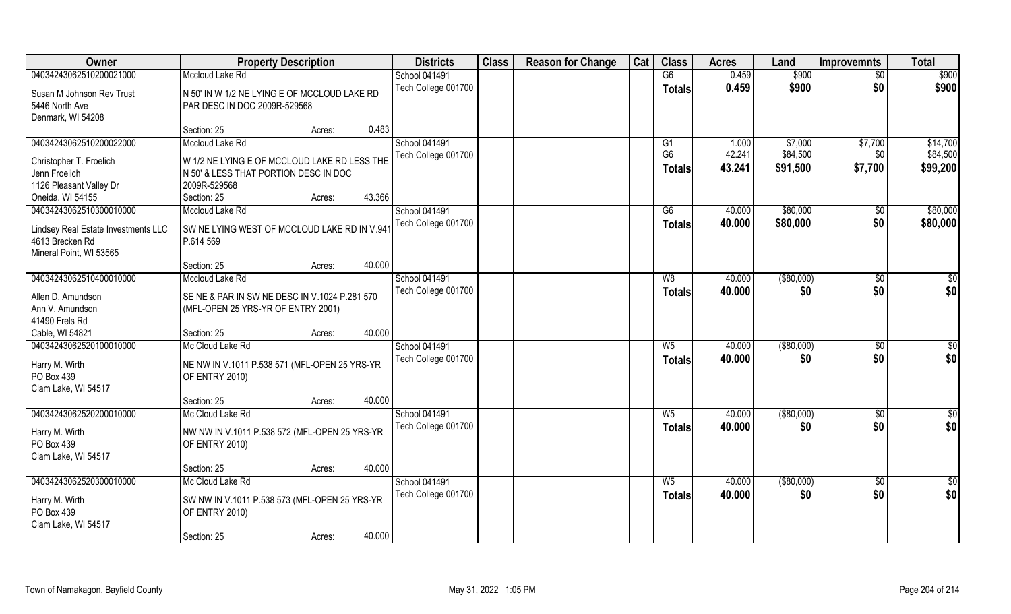| Owner                               | <b>Property Description</b>                   |        | <b>Districts</b>    | <b>Class</b> | <b>Reason for Change</b> | Cat | <b>Class</b>         | <b>Acres</b>    | Land                 | <b>Improvemnts</b> | <b>Total</b>         |
|-------------------------------------|-----------------------------------------------|--------|---------------------|--------------|--------------------------|-----|----------------------|-----------------|----------------------|--------------------|----------------------|
| 04034243062510200021000             | Mccloud Lake Rd                               |        | School 041491       |              |                          |     | G6                   | 0.459           | \$900                | $\overline{50}$    | \$900                |
| Susan M Johnson Rev Trust           | N 50' IN W 1/2 NE LYING E OF MCCLOUD LAKE RD  |        | Tech College 001700 |              |                          |     | <b>Totals</b>        | 0.459           | \$900                | \$0                | \$900                |
| 5446 North Ave                      | PAR DESC IN DOC 2009R-529568                  |        |                     |              |                          |     |                      |                 |                      |                    |                      |
| Denmark, WI 54208                   |                                               |        |                     |              |                          |     |                      |                 |                      |                    |                      |
|                                     | Section: 25<br>Acres:                         | 0.483  |                     |              |                          |     |                      |                 |                      |                    |                      |
| 04034243062510200022000             | Mccloud Lake Rd                               |        | School 041491       |              |                          |     | G1<br>G <sub>6</sub> | 1.000<br>42.241 | \$7,000              | \$7,700            | \$14,700             |
| Christopher T. Froelich             | W 1/2 NE LYING E OF MCCLOUD LAKE RD LESS THE  |        | Tech College 001700 |              |                          |     | <b>Totals</b>        | 43.241          | \$84,500<br>\$91,500 | \$0<br>\$7,700     | \$84,500<br>\$99,200 |
| Jenn Froelich                       | N 50' & LESS THAT PORTION DESC IN DOC         |        |                     |              |                          |     |                      |                 |                      |                    |                      |
| 1126 Pleasant Valley Dr             | 2009R-529568                                  |        |                     |              |                          |     |                      |                 |                      |                    |                      |
| Oneida, WI 54155                    | Section: 25<br>Acres:                         | 43.366 |                     |              |                          |     |                      |                 |                      |                    |                      |
| 04034243062510300010000             | Mccloud Lake Rd                               |        | School 041491       |              |                          |     | G6                   | 40.000          | \$80,000             | \$0                | \$80,000             |
| Lindsey Real Estate Investments LLC | SW NE LYING WEST OF MCCLOUD LAKE RD IN V.94   |        | Tech College 001700 |              |                          |     | <b>Totals</b>        | 40.000          | \$80,000             | \$0                | \$80,000             |
| 4613 Brecken Rd                     | P.614 569                                     |        |                     |              |                          |     |                      |                 |                      |                    |                      |
| Mineral Point, WI 53565             |                                               |        |                     |              |                          |     |                      |                 |                      |                    |                      |
|                                     | Section: 25<br>Acres:                         | 40.000 |                     |              |                          |     |                      |                 |                      |                    |                      |
| 04034243062510400010000             | Mccloud Lake Rd                               |        | School 041491       |              |                          |     | W8                   | 40.000          | ( \$80,000)          | $\sqrt[6]{3}$      | \$0                  |
| Allen D. Amundson                   | SE NE & PAR IN SW NE DESC IN V.1024 P.281 570 |        | Tech College 001700 |              |                          |     | <b>Totals</b>        | 40.000          | \$0                  | \$0                | \$0                  |
| Ann V. Amundson                     | (MFL-OPEN 25 YRS-YR OF ENTRY 2001)            |        |                     |              |                          |     |                      |                 |                      |                    |                      |
| 41490 Frels Rd                      |                                               |        |                     |              |                          |     |                      |                 |                      |                    |                      |
| Cable, WI 54821                     | Section: 25<br>Acres:                         | 40.000 |                     |              |                          |     |                      |                 |                      |                    |                      |
| 04034243062520100010000             | Mc Cloud Lake Rd                              |        | School 041491       |              |                          |     | $W_5$                | 40.000          | $($ \$80,000)        | \$0                | $\overline{50}$      |
| Harry M. Wirth                      | NE NW IN V.1011 P.538 571 (MFL-OPEN 25 YRS-YR |        | Tech College 001700 |              |                          |     | <b>Totals</b>        | 40.000          | \$0                  | \$0                | \$0                  |
| PO Box 439                          | OF ENTRY 2010)                                |        |                     |              |                          |     |                      |                 |                      |                    |                      |
| Clam Lake, WI 54517                 |                                               |        |                     |              |                          |     |                      |                 |                      |                    |                      |
|                                     | Section: 25<br>Acres:                         | 40.000 |                     |              |                          |     |                      |                 |                      |                    |                      |
| 04034243062520200010000             | Mc Cloud Lake Rd                              |        | School 041491       |              |                          |     | $W_5$                | 40.000          | ( \$80,000)          | \$0                | \$0                  |
| Harry M. Wirth                      | NW NW IN V.1011 P.538 572 (MFL-OPEN 25 YRS-YR |        | Tech College 001700 |              |                          |     | <b>Totals</b>        | 40.000          | \$0                  | \$0                | \$0                  |
| PO Box 439                          | OF ENTRY 2010)                                |        |                     |              |                          |     |                      |                 |                      |                    |                      |
| Clam Lake, WI 54517                 |                                               |        |                     |              |                          |     |                      |                 |                      |                    |                      |
|                                     | Section: 25<br>Acres:                         | 40.000 |                     |              |                          |     |                      |                 |                      |                    |                      |
| 04034243062520300010000             | Mc Cloud Lake Rd                              |        | School 041491       |              |                          |     | $W_5$                | 40.000          | ( \$80,000)          | $\sqrt{$0}$        | \$0                  |
| Harry M. Wirth                      | SW NW IN V.1011 P.538 573 (MFL-OPEN 25 YRS-YR |        | Tech College 001700 |              |                          |     | <b>Totals</b>        | 40.000          | \$0                  | \$0                | \$0                  |
| PO Box 439                          | OF ENTRY 2010)                                |        |                     |              |                          |     |                      |                 |                      |                    |                      |
| Clam Lake, WI 54517                 |                                               |        |                     |              |                          |     |                      |                 |                      |                    |                      |
|                                     | Section: 25<br>Acres:                         | 40.000 |                     |              |                          |     |                      |                 |                      |                    |                      |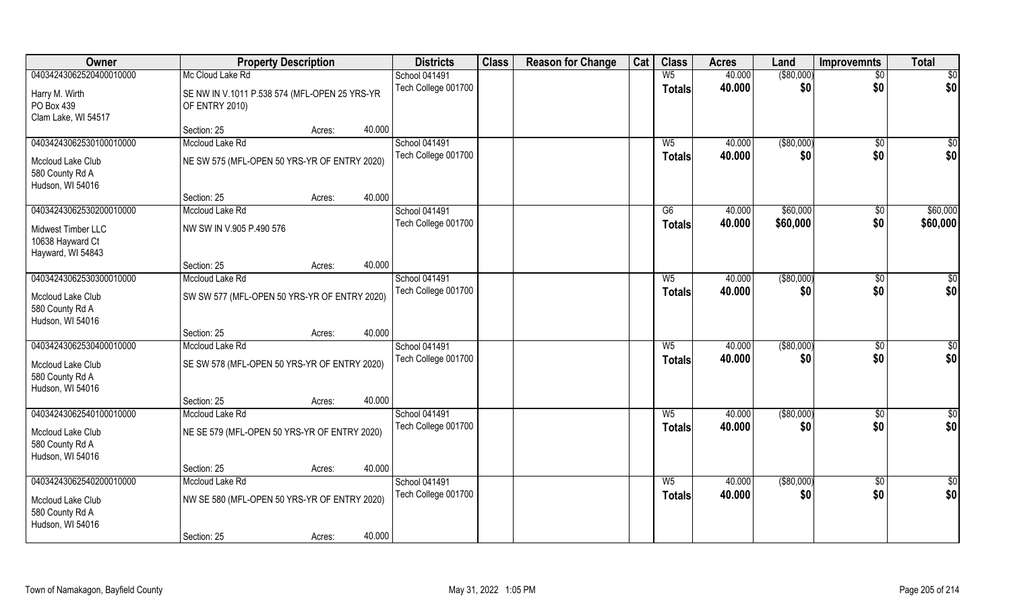| Owner                   | <b>Property Description</b>                   |        |        | <b>Districts</b>     | <b>Class</b> | <b>Reason for Change</b> | Cat | <b>Class</b>   | <b>Acres</b> | Land              | <b>Improvemnts</b> | <b>Total</b>    |
|-------------------------|-----------------------------------------------|--------|--------|----------------------|--------------|--------------------------|-----|----------------|--------------|-------------------|--------------------|-----------------|
| 04034243062520400010000 | Mc Cloud Lake Rd                              |        |        | School 041491        |              |                          |     | W <sub>5</sub> | 40.000       | ( \$80,000)       | $\sqrt{$0}$        | $\sqrt{50}$     |
| Harry M. Wirth          | SE NW IN V.1011 P.538 574 (MFL-OPEN 25 YRS-YR |        |        | Tech College 001700  |              |                          |     | <b>Totals</b>  | 40.000       | \$0               | \$0                | \$0             |
| PO Box 439              | OF ENTRY 2010)                                |        |        |                      |              |                          |     |                |              |                   |                    |                 |
| Clam Lake, WI 54517     |                                               |        |        |                      |              |                          |     |                |              |                   |                    |                 |
|                         | Section: 25                                   | Acres: | 40.000 |                      |              |                          |     |                |              |                   |                    |                 |
| 04034243062530100010000 | Mccloud Lake Rd                               |        |        | <b>School 041491</b> |              |                          |     | W <sub>5</sub> | 40.000       | $($ \$80,000) $ $ | \$0                | $\overline{50}$ |
| Mccloud Lake Club       | NE SW 575 (MFL-OPEN 50 YRS-YR OF ENTRY 2020)  |        |        | Tech College 001700  |              |                          |     | <b>Totals</b>  | 40.000       | \$0               | \$0                | \$0             |
| 580 County Rd A         |                                               |        |        |                      |              |                          |     |                |              |                   |                    |                 |
| Hudson, WI 54016        |                                               |        |        |                      |              |                          |     |                |              |                   |                    |                 |
|                         | Section: 25                                   | Acres: | 40.000 |                      |              |                          |     |                |              |                   |                    |                 |
| 04034243062530200010000 | Mccloud Lake Rd                               |        |        | School 041491        |              |                          |     | G6             | 40.000       | \$60,000          | $\overline{50}$    | \$60,000        |
| Midwest Timber LLC      | NW SW IN V.905 P.490 576                      |        |        | Tech College 001700  |              |                          |     | <b>Totals</b>  | 40.000       | \$60,000          | \$0                | \$60,000        |
| 10638 Hayward Ct        |                                               |        |        |                      |              |                          |     |                |              |                   |                    |                 |
| Hayward, WI 54843       |                                               |        |        |                      |              |                          |     |                |              |                   |                    |                 |
|                         | Section: 25                                   | Acres: | 40.000 |                      |              |                          |     |                |              |                   |                    |                 |
| 04034243062530300010000 | Mccloud Lake Rd                               |        |        | School 041491        |              |                          |     | $W_5$          | 40.000       | ( \$80,000)       | $\sqrt[6]{3}$      | $\sqrt{50}$     |
| Mccloud Lake Club       | SW SW 577 (MFL-OPEN 50 YRS-YR OF ENTRY 2020)  |        |        | Tech College 001700  |              |                          |     | Totals         | 40.000       | \$0               | \$0                | \$0             |
| 580 County Rd A         |                                               |        |        |                      |              |                          |     |                |              |                   |                    |                 |
| Hudson, WI 54016        |                                               |        |        |                      |              |                          |     |                |              |                   |                    |                 |
|                         | Section: 25                                   | Acres: | 40.000 |                      |              |                          |     |                |              |                   |                    |                 |
| 04034243062530400010000 | Mccloud Lake Rd                               |        |        | School 041491        |              |                          |     | W <sub>5</sub> | 40.000       | ( \$80,000)       | \$0                | $\sqrt{50}$     |
| Mccloud Lake Club       | SE SW 578 (MFL-OPEN 50 YRS-YR OF ENTRY 2020)  |        |        | Tech College 001700  |              |                          |     | <b>Totals</b>  | 40.000       | \$0               | \$0                | \$0             |
| 580 County Rd A         |                                               |        |        |                      |              |                          |     |                |              |                   |                    |                 |
| Hudson, WI 54016        |                                               |        |        |                      |              |                          |     |                |              |                   |                    |                 |
|                         | Section: 25                                   | Acres: | 40.000 |                      |              |                          |     |                |              |                   |                    |                 |
| 04034243062540100010000 | Mccloud Lake Rd                               |        |        | School 041491        |              |                          |     | $W_5$          | 40.000       | ( \$80,000)       | $\sqrt{$0}$        | \$0             |
| Mccloud Lake Club       | NE SE 579 (MFL-OPEN 50 YRS-YR OF ENTRY 2020)  |        |        | Tech College 001700  |              |                          |     | <b>Totals</b>  | 40.000       | \$0               | \$0                | \$0             |
| 580 County Rd A         |                                               |        |        |                      |              |                          |     |                |              |                   |                    |                 |
| Hudson, WI 54016        |                                               |        |        |                      |              |                          |     |                |              |                   |                    |                 |
|                         | Section: 25                                   | Acres: | 40.000 |                      |              |                          |     |                |              |                   |                    |                 |
| 04034243062540200010000 | Mccloud Lake Rd                               |        |        | School 041491        |              |                          |     | $W_5$          | 40.000       | ( \$80,000)       | $\sqrt{$0}$        | $\overline{50}$ |
| Mccloud Lake Club       | NW SE 580 (MFL-OPEN 50 YRS-YR OF ENTRY 2020)  |        |        | Tech College 001700  |              |                          |     | <b>Totals</b>  | 40.000       | \$0               | \$0                | \$0             |
| 580 County Rd A         |                                               |        |        |                      |              |                          |     |                |              |                   |                    |                 |
| Hudson, WI 54016        |                                               |        |        |                      |              |                          |     |                |              |                   |                    |                 |
|                         | Section: 25                                   | Acres: | 40.000 |                      |              |                          |     |                |              |                   |                    |                 |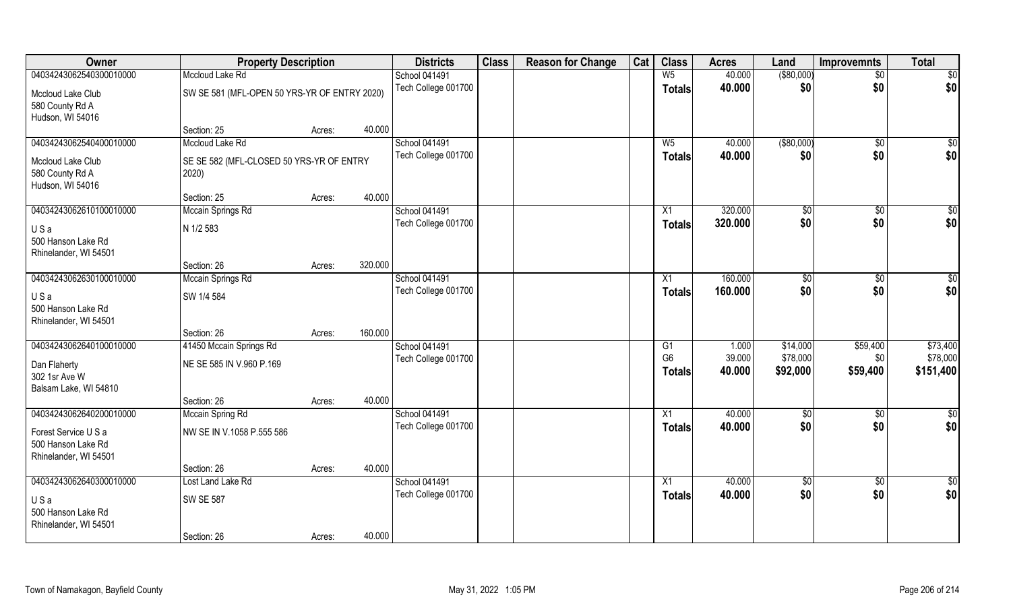| Owner                   | <b>Property Description</b>                  |        |         | <b>Districts</b>     | <b>Class</b> | <b>Reason for Change</b> | Cat | <b>Class</b>    | <b>Acres</b>     | Land        | <b>Improvemnts</b> | <b>Total</b>    |
|-------------------------|----------------------------------------------|--------|---------|----------------------|--------------|--------------------------|-----|-----------------|------------------|-------------|--------------------|-----------------|
| 04034243062540300010000 | Mccloud Lake Rd                              |        |         | School 041491        |              |                          |     | W <sub>5</sub>  | 40.000           | ( \$80,000) | $\sqrt{$0}$        | $\sqrt{50}$     |
| Mccloud Lake Club       | SW SE 581 (MFL-OPEN 50 YRS-YR OF ENTRY 2020) |        |         | Tech College 001700  |              |                          |     | <b>Totals</b>   | 40.000           | \$0         | \$0                | \$0             |
| 580 County Rd A         |                                              |        |         |                      |              |                          |     |                 |                  |             |                    |                 |
| Hudson, WI 54016        |                                              |        |         |                      |              |                          |     |                 |                  |             |                    |                 |
|                         | Section: 25                                  | Acres: | 40.000  |                      |              |                          |     |                 |                  |             |                    |                 |
| 04034243062540400010000 | Mccloud Lake Rd                              |        |         | <b>School 041491</b> |              |                          |     | W <sub>5</sub>  | 40.000           | ( \$80,000) | \$0                | \$0             |
| Mccloud Lake Club       | SE SE 582 (MFL-CLOSED 50 YRS-YR OF ENTRY     |        |         | Tech College 001700  |              |                          |     | Totals          | 40.000           | \$0         | \$0                | \$0             |
| 580 County Rd A         | 2020)                                        |        |         |                      |              |                          |     |                 |                  |             |                    |                 |
| Hudson, WI 54016        |                                              |        |         |                      |              |                          |     |                 |                  |             |                    |                 |
|                         | Section: 25                                  | Acres: | 40.000  |                      |              |                          |     |                 |                  |             |                    |                 |
| 04034243062610100010000 | Mccain Springs Rd                            |        |         | School 041491        |              |                          |     | X1              | 320,000          | \$0         | \$0                | $\sqrt{50}$     |
| USa                     | N 1/2 583                                    |        |         | Tech College 001700  |              |                          |     | <b>Totals</b>   | 320.000          | \$0         | \$0                | \$0             |
| 500 Hanson Lake Rd      |                                              |        |         |                      |              |                          |     |                 |                  |             |                    |                 |
| Rhinelander, WI 54501   |                                              |        |         |                      |              |                          |     |                 |                  |             |                    |                 |
|                         | Section: 26                                  | Acres: | 320.000 |                      |              |                          |     |                 |                  |             |                    |                 |
| 04034243062630100010000 | Mccain Springs Rd                            |        |         | School 041491        |              |                          |     | X1              | 160.000          | \$0         | $\sqrt[6]{3}$      | $\sqrt{50}$     |
| USa                     | SW 1/4 584                                   |        |         | Tech College 001700  |              |                          |     | <b>Totals</b>   | 160.000          | \$0         | \$0                | \$0             |
| 500 Hanson Lake Rd      |                                              |        |         |                      |              |                          |     |                 |                  |             |                    |                 |
| Rhinelander, WI 54501   |                                              |        |         |                      |              |                          |     |                 |                  |             |                    |                 |
|                         | Section: 26                                  | Acres: | 160.000 |                      |              |                          |     |                 |                  |             |                    |                 |
| 04034243062640100010000 | 41450 Mccain Springs Rd                      |        |         | School 041491        |              |                          |     | G1              | 1.000            | \$14,000    | \$59,400           | \$73,400        |
| Dan Flaherty            | NE SE 585 IN V.960 P.169                     |        |         | Tech College 001700  |              |                          |     | G <sub>6</sub>  | 39.000<br>40.000 | \$78,000    | \$0                | \$78,000        |
| 302 1sr Ave W           |                                              |        |         |                      |              |                          |     | <b>Totals</b>   |                  | \$92,000    | \$59,400           | \$151,400       |
| Balsam Lake, WI 54810   |                                              |        |         |                      |              |                          |     |                 |                  |             |                    |                 |
|                         | Section: 26                                  | Acres: | 40.000  |                      |              |                          |     |                 |                  |             |                    |                 |
| 04034243062640200010000 | Mccain Spring Rd                             |        |         | School 041491        |              |                          |     | $\overline{X1}$ | 40.000           | \$0         | $\overline{60}$    | $\overline{50}$ |
| Forest Service U S a    | NW SE IN V.1058 P.555 586                    |        |         | Tech College 001700  |              |                          |     | <b>Totals</b>   | 40.000           | \$0         | \$0                | \$0             |
| 500 Hanson Lake Rd      |                                              |        |         |                      |              |                          |     |                 |                  |             |                    |                 |
| Rhinelander, WI 54501   |                                              |        |         |                      |              |                          |     |                 |                  |             |                    |                 |
|                         | Section: 26                                  | Acres: | 40.000  |                      |              |                          |     |                 |                  |             |                    |                 |
| 04034243062640300010000 | Lost Land Lake Rd                            |        |         | School 041491        |              |                          |     | X1              | 40.000           | \$0         | $\sqrt{$0}$        | \$0             |
| USa                     | <b>SW SE 587</b>                             |        |         | Tech College 001700  |              |                          |     | <b>Totals</b>   | 40.000           | \$0         | \$0                | \$0             |
| 500 Hanson Lake Rd      |                                              |        |         |                      |              |                          |     |                 |                  |             |                    |                 |
| Rhinelander, WI 54501   |                                              |        |         |                      |              |                          |     |                 |                  |             |                    |                 |
|                         | Section: 26                                  | Acres: | 40.000  |                      |              |                          |     |                 |                  |             |                    |                 |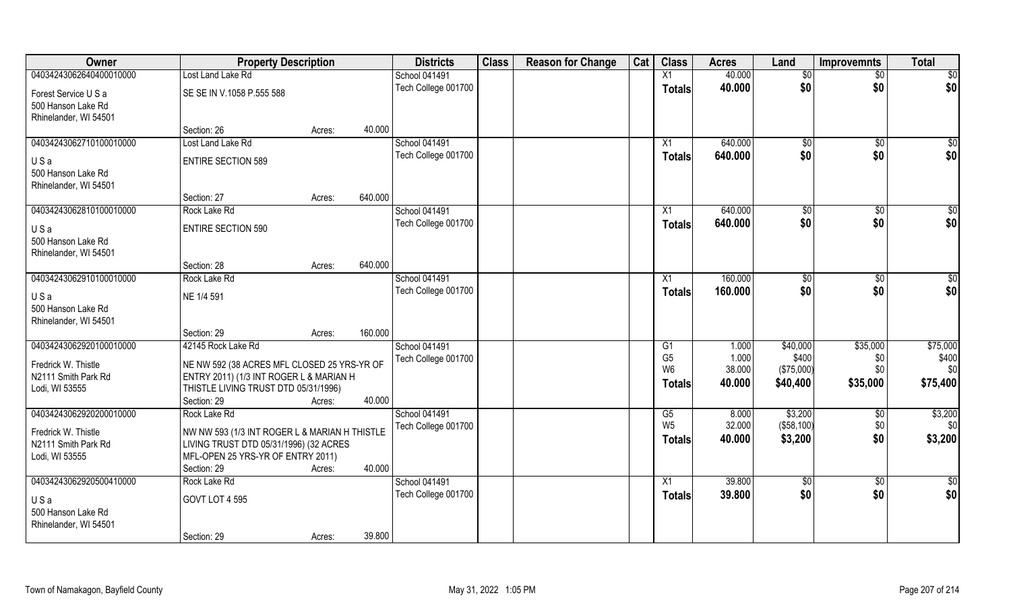| Owner                                      | <b>Property Description</b>                                                             |        |         | <b>Districts</b>    | <b>Class</b> | <b>Reason for Change</b> | Cat | <b>Class</b>    | <b>Acres</b> | Land       | <b>Improvemnts</b> | <b>Total</b>  |
|--------------------------------------------|-----------------------------------------------------------------------------------------|--------|---------|---------------------|--------------|--------------------------|-----|-----------------|--------------|------------|--------------------|---------------|
| 04034243062640400010000                    | Lost Land Lake Rd                                                                       |        |         | School 041491       |              |                          |     | X1              | 40.000       | \$0        | \$0                | \$0           |
| Forest Service U S a                       | SE SE IN V.1058 P.555 588                                                               |        |         | Tech College 001700 |              |                          |     | <b>Totals</b>   | 40.000       | \$0        | \$0                | \$0           |
| 500 Hanson Lake Rd                         |                                                                                         |        |         |                     |              |                          |     |                 |              |            |                    |               |
| Rhinelander, WI 54501                      |                                                                                         |        |         |                     |              |                          |     |                 |              |            |                    |               |
|                                            | Section: 26                                                                             | Acres: | 40.000  |                     |              |                          |     |                 |              |            |                    |               |
| 04034243062710100010000                    | Lost Land Lake Rd                                                                       |        |         | School 041491       |              |                          |     | X1              | 640.000      | \$0        | $\sqrt{6}$         | \$0           |
| USa                                        | <b>ENTIRE SECTION 589</b>                                                               |        |         | Tech College 001700 |              |                          |     | <b>Totals</b>   | 640.000      | \$0        | \$0                | \$0           |
| 500 Hanson Lake Rd                         |                                                                                         |        |         |                     |              |                          |     |                 |              |            |                    |               |
| Rhinelander, WI 54501                      |                                                                                         |        |         |                     |              |                          |     |                 |              |            |                    |               |
|                                            | Section: 27                                                                             | Acres: | 640.000 |                     |              |                          |     |                 |              |            |                    |               |
| 04034243062810100010000                    | Rock Lake Rd                                                                            |        |         | School 041491       |              |                          |     | X1              | 640.000      | \$0        | $\overline{50}$    | \$0           |
| USa                                        | ENTIRE SECTION 590                                                                      |        |         | Tech College 001700 |              |                          |     | <b>Totals</b>   | 640.000      | \$0        | \$0                | \$0           |
| 500 Hanson Lake Rd                         |                                                                                         |        |         |                     |              |                          |     |                 |              |            |                    |               |
| Rhinelander, WI 54501                      |                                                                                         |        |         |                     |              |                          |     |                 |              |            |                    |               |
| 04034243062910100010000                    | Section: 28                                                                             | Acres: | 640.000 | School 041491       |              |                          |     |                 | 160.000      |            |                    |               |
|                                            | Rock Lake Rd                                                                            |        |         | Tech College 001700 |              |                          |     | X1              | 160.000      | \$0<br>\$0 | \$0<br>\$0         | \$0<br>\$0    |
| USa                                        | NE 1/4 591                                                                              |        |         |                     |              |                          |     | <b>Totals</b>   |              |            |                    |               |
| 500 Hanson Lake Rd                         |                                                                                         |        |         |                     |              |                          |     |                 |              |            |                    |               |
| Rhinelander, WI 54501                      | Section: 29                                                                             | Acres: | 160.000 |                     |              |                          |     |                 |              |            |                    |               |
| 04034243062920100010000                    | 42145 Rock Lake Rd                                                                      |        |         | School 041491       |              |                          |     | G1              | 1.000        | \$40,000   | \$35,000           | \$75,000      |
|                                            |                                                                                         |        |         | Tech College 001700 |              |                          |     | G <sub>5</sub>  | 1.000        | \$400      | \$0                | \$400         |
| Fredrick W. Thistle                        | NE NW 592 (38 ACRES MFL CLOSED 25 YRS-YR OF                                             |        |         |                     |              |                          |     | W <sub>6</sub>  | 38.000       | (\$75,000) | \$0                | \$0           |
| N2111 Smith Park Rd<br>Lodi, WI 53555      | ENTRY 2011) (1/3 INT ROGER L & MARIAN H<br>THISTLE LIVING TRUST DTD 05/31/1996)         |        |         |                     |              |                          |     | <b>Totals</b>   | 40.000       | \$40,400   | \$35,000           | \$75,400      |
|                                            | Section: 29                                                                             | Acres: | 40.000  |                     |              |                          |     |                 |              |            |                    |               |
| 04034243062920200010000                    | Rock Lake Rd                                                                            |        |         | School 041491       |              |                          |     | G5              | 8.000        | \$3,200    | \$0                | \$3,200       |
|                                            |                                                                                         |        |         | Tech College 001700 |              |                          |     | W <sub>5</sub>  | 32.000       | (\$58,100) | \$0                | \$0           |
| Fredrick W. Thistle<br>N2111 Smith Park Rd | NW NW 593 (1/3 INT ROGER L & MARIAN H THISTLE<br>LIVING TRUST DTD 05/31/1996) (32 ACRES |        |         |                     |              |                          |     | <b>Totals</b>   | 40.000       | \$3,200    | \$0                | \$3,200       |
| Lodi, WI 53555                             | MFL-OPEN 25 YRS-YR OF ENTRY 2011)                                                       |        |         |                     |              |                          |     |                 |              |            |                    |               |
|                                            | Section: 29                                                                             | Acres: | 40.000  |                     |              |                          |     |                 |              |            |                    |               |
| 04034243062920500410000                    | Rock Lake Rd                                                                            |        |         | School 041491       |              |                          |     | $\overline{X1}$ | 39.800       | $\sqrt{6}$ | $\overline{50}$    | $\frac{1}{2}$ |
| USa                                        | GOVT LOT 4 595                                                                          |        |         | Tech College 001700 |              |                          |     | <b>Totals</b>   | 39.800       | \$0        | \$0                | \$0           |
| 500 Hanson Lake Rd                         |                                                                                         |        |         |                     |              |                          |     |                 |              |            |                    |               |
| Rhinelander, WI 54501                      |                                                                                         |        |         |                     |              |                          |     |                 |              |            |                    |               |
|                                            | Section: 29                                                                             | Acres: | 39.800  |                     |              |                          |     |                 |              |            |                    |               |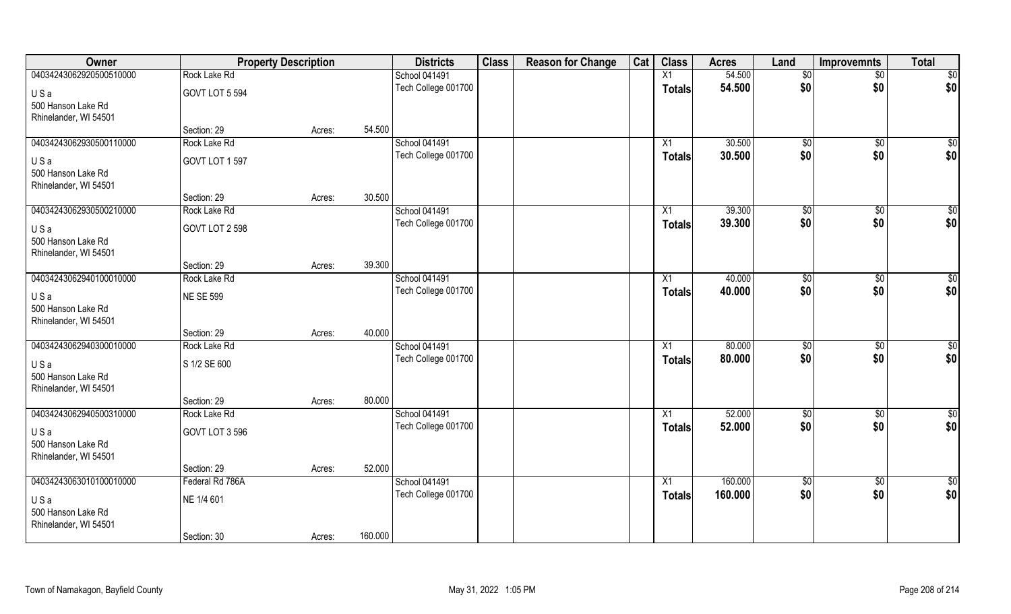| Owner                                       | <b>Property Description</b> |        |         | <b>Districts</b>                     | <b>Class</b> | <b>Reason for Change</b> | Cat | <b>Class</b>    | <b>Acres</b> | Land           | Improvemnts          | <b>Total</b>    |
|---------------------------------------------|-----------------------------|--------|---------|--------------------------------------|--------------|--------------------------|-----|-----------------|--------------|----------------|----------------------|-----------------|
| 04034243062920500510000                     | Rock Lake Rd                |        |         | <b>School 041491</b>                 |              |                          |     | X1              | 54.500       | $\sqrt[6]{}$   | $\sqrt{$0}$          | \$0             |
| USa<br>500 Hanson Lake Rd                   | GOVT LOT 5 594              |        |         | Tech College 001700                  |              |                          |     | <b>Totals</b>   | 54.500       | \$0            | \$0                  | \$0             |
| Rhinelander, WI 54501                       |                             |        |         |                                      |              |                          |     |                 |              |                |                      |                 |
|                                             | Section: 29                 | Acres: | 54.500  |                                      |              |                          |     |                 |              |                |                      |                 |
| 04034243062930500110000                     | Rock Lake Rd                |        |         | School 041491                        |              |                          |     | X1              | 30.500       | $\sqrt[6]{30}$ | $\sqrt{$0}$          | \$0             |
| USa                                         | GOVT LOT 1 597              |        |         | Tech College 001700                  |              |                          |     | <b>Totals</b>   | 30.500       | \$0            | \$0                  | \$0             |
| 500 Hanson Lake Rd                          |                             |        |         |                                      |              |                          |     |                 |              |                |                      |                 |
| Rhinelander, WI 54501                       |                             |        |         |                                      |              |                          |     |                 |              |                |                      |                 |
|                                             | Section: 29                 | Acres: | 30.500  |                                      |              |                          |     |                 |              |                |                      |                 |
| 04034243062930500210000                     | Rock Lake Rd                |        |         | School 041491                        |              |                          |     | $\overline{X1}$ | 39.300       | \$0            | $\sqrt[6]{3}$        | $\sqrt{50}$     |
| USa                                         | GOVT LOT 2 598              |        |         | Tech College 001700                  |              |                          |     | <b>Totals</b>   | 39.300       | \$0            | \$0                  | \$0             |
| 500 Hanson Lake Rd                          |                             |        |         |                                      |              |                          |     |                 |              |                |                      |                 |
| Rhinelander, WI 54501                       |                             |        |         |                                      |              |                          |     |                 |              |                |                      |                 |
|                                             | Section: 29                 | Acres: | 39.300  |                                      |              |                          |     |                 |              |                |                      |                 |
| 04034243062940100010000                     | Rock Lake Rd                |        |         | School 041491<br>Tech College 001700 |              |                          |     | X1              | 40.000       | \$0<br>\$0     | $\sqrt[6]{3}$<br>\$0 | $\overline{50}$ |
| USa                                         | <b>NE SE 599</b>            |        |         |                                      |              |                          |     | Totals          | 40.000       |                |                      | \$0             |
| 500 Hanson Lake Rd                          |                             |        |         |                                      |              |                          |     |                 |              |                |                      |                 |
| Rhinelander, WI 54501                       | Section: 29                 | Acres: | 40.000  |                                      |              |                          |     |                 |              |                |                      |                 |
| 04034243062940300010000                     | Rock Lake Rd                |        |         | School 041491                        |              |                          |     | X1              | 80.000       | \$0            | $\sqrt[6]{3}$        | $\overline{50}$ |
|                                             |                             |        |         | Tech College 001700                  |              |                          |     | <b>Totals</b>   | 80.000       | \$0            | \$0                  | \$0             |
| USa                                         | S 1/2 SE 600                |        |         |                                      |              |                          |     |                 |              |                |                      |                 |
| 500 Hanson Lake Rd<br>Rhinelander, WI 54501 |                             |        |         |                                      |              |                          |     |                 |              |                |                      |                 |
|                                             | Section: 29                 | Acres: | 80.000  |                                      |              |                          |     |                 |              |                |                      |                 |
| 04034243062940500310000                     | Rock Lake Rd                |        |         | School 041491                        |              |                          |     | X1              | 52.000       | $\sqrt{6}$     | \$0                  | $\overline{50}$ |
| USa                                         | GOVT LOT 3 596              |        |         | Tech College 001700                  |              |                          |     | <b>Totals</b>   | 52.000       | \$0            | \$0                  | \$0             |
| 500 Hanson Lake Rd                          |                             |        |         |                                      |              |                          |     |                 |              |                |                      |                 |
| Rhinelander, WI 54501                       |                             |        |         |                                      |              |                          |     |                 |              |                |                      |                 |
|                                             | Section: 29                 | Acres: | 52.000  |                                      |              |                          |     |                 |              |                |                      |                 |
| 04034243063010100010000                     | Federal Rd 786A             |        |         | School 041491                        |              |                          |     | X1              | 160.000      | $\sqrt{6}$     | $\sqrt{$0}$          | $\overline{50}$ |
| USa                                         | NE 1/4 601                  |        |         | Tech College 001700                  |              |                          |     | <b>Totals</b>   | 160.000      | \$0            | \$0                  | \$0             |
| 500 Hanson Lake Rd                          |                             |        |         |                                      |              |                          |     |                 |              |                |                      |                 |
| Rhinelander, WI 54501                       |                             |        |         |                                      |              |                          |     |                 |              |                |                      |                 |
|                                             | Section: 30                 | Acres: | 160.000 |                                      |              |                          |     |                 |              |                |                      |                 |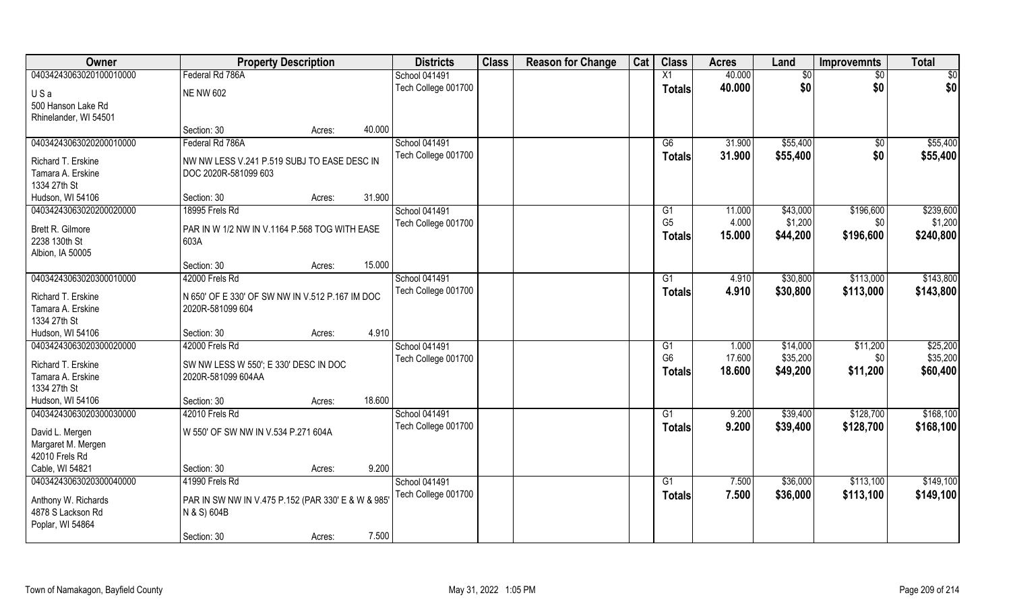| Owner                                   | <b>Property Description</b>                                         |        |        | <b>Districts</b>    | <b>Class</b> | <b>Reason for Change</b> | Cat | <b>Class</b>   | <b>Acres</b> | Land     | <b>Improvemnts</b> | <b>Total</b> |
|-----------------------------------------|---------------------------------------------------------------------|--------|--------|---------------------|--------------|--------------------------|-----|----------------|--------------|----------|--------------------|--------------|
| 04034243063020100010000                 | Federal Rd 786A                                                     |        |        | School 041491       |              |                          |     | X1             | 40.000       | \$0      | \$0                | \$0          |
| USa                                     | <b>NE NW 602</b>                                                    |        |        | Tech College 001700 |              |                          |     | <b>Totals</b>  | 40.000       | \$0      | \$0                | \$0          |
| 500 Hanson Lake Rd                      |                                                                     |        |        |                     |              |                          |     |                |              |          |                    |              |
| Rhinelander, WI 54501                   |                                                                     |        |        |                     |              |                          |     |                |              |          |                    |              |
|                                         | Section: 30                                                         | Acres: | 40.000 |                     |              |                          |     |                |              |          |                    |              |
| 04034243063020200010000                 | Federal Rd 786A                                                     |        |        | School 041491       |              |                          |     | G6             | 31.900       | \$55,400 | \$0                | \$55,400     |
| Richard T. Erskine                      | NW NW LESS V.241 P.519 SUBJ TO EASE DESC IN                         |        |        | Tech College 001700 |              |                          |     | <b>Totals</b>  | 31.900       | \$55,400 | \$0                | \$55,400     |
| Tamara A. Erskine                       | DOC 2020R-581099 603                                                |        |        |                     |              |                          |     |                |              |          |                    |              |
| 1334 27th St                            |                                                                     |        |        |                     |              |                          |     |                |              |          |                    |              |
| Hudson, WI 54106                        | Section: 30                                                         | Acres: | 31.900 |                     |              |                          |     |                |              |          |                    |              |
| 04034243063020200020000                 | 18995 Frels Rd                                                      |        |        | School 041491       |              |                          |     | G1             | 11.000       | \$43,000 | \$196,600          | \$239,600    |
| Brett R. Gilmore                        | PAR IN W 1/2 NW IN V.1164 P.568 TOG WITH EASE                       |        |        | Tech College 001700 |              |                          |     | G <sub>5</sub> | 4.000        | \$1,200  | \$0                | \$1,200      |
| 2238 130th St                           | 603A                                                                |        |        |                     |              |                          |     | <b>Totals</b>  | 15.000       | \$44,200 | \$196,600          | \$240,800    |
| Albion, IA 50005                        |                                                                     |        |        |                     |              |                          |     |                |              |          |                    |              |
|                                         | Section: 30                                                         | Acres: | 15.000 |                     |              |                          |     |                |              |          |                    |              |
| 04034243063020300010000                 | 42000 Frels Rd                                                      |        |        | School 041491       |              |                          |     | G1             | 4.910        | \$30,800 | \$113,000          | \$143,800    |
|                                         |                                                                     |        |        | Tech College 001700 |              |                          |     | <b>Totals</b>  | 4.910        | \$30,800 | \$113,000          | \$143,800    |
| Richard T. Erskine<br>Tamara A. Erskine | N 650' OF E 330' OF SW NW IN V.512 P.167 IM DOC<br>2020R-581099 604 |        |        |                     |              |                          |     |                |              |          |                    |              |
| 1334 27th St                            |                                                                     |        |        |                     |              |                          |     |                |              |          |                    |              |
| Hudson, WI 54106                        | Section: 30                                                         | Acres: | 4.910  |                     |              |                          |     |                |              |          |                    |              |
| 04034243063020300020000                 | 42000 Frels Rd                                                      |        |        | School 041491       |              |                          |     | G1             | 1.000        | \$14,000 | \$11,200           | \$25,200     |
|                                         |                                                                     |        |        | Tech College 001700 |              |                          |     | G <sub>6</sub> | 17.600       | \$35,200 | \$0                | \$35,200     |
| Richard T. Erskine                      | SW NW LESS W 550'; E 330' DESC IN DOC                               |        |        |                     |              |                          |     | <b>Totals</b>  | 18.600       | \$49,200 | \$11,200           | \$60,400     |
| Tamara A. Erskine<br>1334 27th St       | 2020R-581099 604AA                                                  |        |        |                     |              |                          |     |                |              |          |                    |              |
| Hudson, WI 54106                        | Section: 30                                                         | Acres: | 18.600 |                     |              |                          |     |                |              |          |                    |              |
| 04034243063020300030000                 | 42010 Frels Rd                                                      |        |        | School 041491       |              |                          |     | G1             | 9.200        | \$39,400 | \$128,700          | \$168,100    |
|                                         |                                                                     |        |        | Tech College 001700 |              |                          |     | <b>Totals</b>  | 9.200        | \$39,400 | \$128,700          | \$168,100    |
| David L. Mergen                         | W 550' OF SW NW IN V.534 P.271 604A                                 |        |        |                     |              |                          |     |                |              |          |                    |              |
| Margaret M. Mergen                      |                                                                     |        |        |                     |              |                          |     |                |              |          |                    |              |
| 42010 Frels Rd                          |                                                                     |        |        |                     |              |                          |     |                |              |          |                    |              |
| Cable, WI 54821                         | Section: 30                                                         | Acres: | 9.200  |                     |              |                          |     |                |              |          |                    |              |
| 04034243063020300040000                 | 41990 Frels Rd                                                      |        |        | School 041491       |              |                          |     | G1             | 7.500        | \$36,000 | \$113,100          | \$149,100    |
| Anthony W. Richards                     | PAR IN SW NW IN V.475 P.152 (PAR 330' E & W & 985                   |        |        | Tech College 001700 |              |                          |     | <b>Totals</b>  | 7.500        | \$36,000 | \$113,100          | \$149,100    |
| 4878 S Lackson Rd                       | N & S) 604B                                                         |        |        |                     |              |                          |     |                |              |          |                    |              |
| Poplar, WI 54864                        |                                                                     |        |        |                     |              |                          |     |                |              |          |                    |              |
|                                         | Section: 30                                                         | Acres: | 7.500  |                     |              |                          |     |                |              |          |                    |              |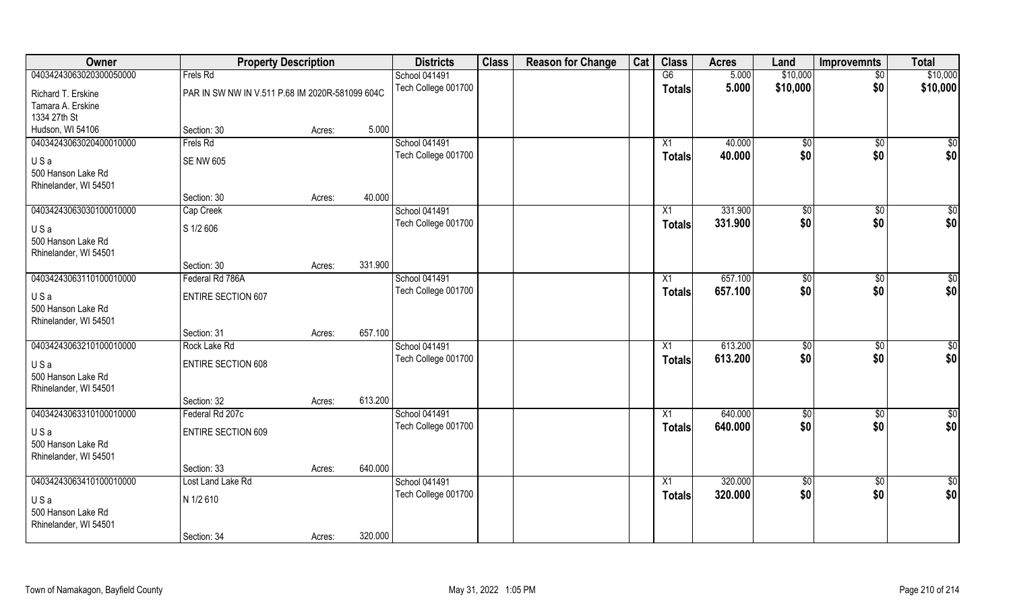| <b>Owner</b>            |                                                 | <b>Property Description</b> |         | <b>Districts</b>     | <b>Class</b> | <b>Reason for Change</b> | Cat | <b>Class</b>    | <b>Acres</b> | Land           | <b>Improvemnts</b> | <b>Total</b>    |
|-------------------------|-------------------------------------------------|-----------------------------|---------|----------------------|--------------|--------------------------|-----|-----------------|--------------|----------------|--------------------|-----------------|
| 04034243063020300050000 | Frels Rd                                        |                             |         | School 041491        |              |                          |     | G6              | 5.000        | \$10,000       | $\overline{50}$    | \$10,000        |
| Richard T. Erskine      | PAR IN SW NW IN V.511 P.68 IM 2020R-581099 604C |                             |         | Tech College 001700  |              |                          |     | <b>Totals</b>   | 5.000        | \$10,000       | \$0                | \$10,000        |
| Tamara A. Erskine       |                                                 |                             |         |                      |              |                          |     |                 |              |                |                    |                 |
| 1334 27th St            |                                                 |                             |         |                      |              |                          |     |                 |              |                |                    |                 |
| Hudson, WI 54106        | Section: 30                                     | Acres:                      | 5.000   |                      |              |                          |     |                 |              |                |                    |                 |
| 04034243063020400010000 | Frels Rd                                        |                             |         | <b>School 041491</b> |              |                          |     | $\overline{X1}$ | 40.000       | $\sqrt[6]{}$   | $\sqrt{$0}$        | \$0             |
| USa                     | <b>SE NW 605</b>                                |                             |         | Tech College 001700  |              |                          |     | Totals          | 40.000       | \$0            | \$0                | \$0             |
| 500 Hanson Lake Rd      |                                                 |                             |         |                      |              |                          |     |                 |              |                |                    |                 |
| Rhinelander, WI 54501   |                                                 |                             |         |                      |              |                          |     |                 |              |                |                    |                 |
|                         | Section: 30                                     | Acres:                      | 40.000  |                      |              |                          |     |                 |              |                |                    |                 |
| 04034243063030100010000 | Cap Creek                                       |                             |         | School 041491        |              |                          |     | X1              | 331.900      | \$0            | $\sqrt[6]{3}$      | $\sqrt{50}$     |
| USa                     | S 1/2 606                                       |                             |         | Tech College 001700  |              |                          |     | <b>Totals</b>   | 331.900      | \$0            | \$0                | \$0             |
| 500 Hanson Lake Rd      |                                                 |                             |         |                      |              |                          |     |                 |              |                |                    |                 |
| Rhinelander, WI 54501   |                                                 |                             |         |                      |              |                          |     |                 |              |                |                    |                 |
|                         | Section: 30                                     | Acres:                      | 331.900 |                      |              |                          |     |                 |              |                |                    |                 |
| 04034243063110100010000 | Federal Rd 786A                                 |                             |         | <b>School 041491</b> |              |                          |     | X1              | 657.100      | $\frac{1}{20}$ | $\sqrt[6]{3}$      | $\overline{50}$ |
| USa                     | <b>ENTIRE SECTION 607</b>                       |                             |         | Tech College 001700  |              |                          |     | <b>Totals</b>   | 657.100      | \$0            | \$0                | \$0             |
| 500 Hanson Lake Rd      |                                                 |                             |         |                      |              |                          |     |                 |              |                |                    |                 |
| Rhinelander, WI 54501   |                                                 |                             |         |                      |              |                          |     |                 |              |                |                    |                 |
|                         | Section: 31                                     | Acres:                      | 657.100 |                      |              |                          |     |                 |              |                |                    |                 |
| 04034243063210100010000 | Rock Lake Rd                                    |                             |         | <b>School 041491</b> |              |                          |     | X1              | 613.200      | \$0            | $\sqrt[6]{3}$      | $\overline{50}$ |
| USa                     | ENTIRE SECTION 608                              |                             |         | Tech College 001700  |              |                          |     | Totals          | 613.200      | \$0            | \$0                | \$0             |
| 500 Hanson Lake Rd      |                                                 |                             |         |                      |              |                          |     |                 |              |                |                    |                 |
| Rhinelander, WI 54501   |                                                 |                             |         |                      |              |                          |     |                 |              |                |                    |                 |
|                         | Section: 32                                     | Acres:                      | 613.200 |                      |              |                          |     |                 |              |                |                    |                 |
| 04034243063310100010000 | Federal Rd 207c                                 |                             |         | <b>School 041491</b> |              |                          |     | X1              | 640.000      | \$0            | \$0                | $\overline{50}$ |
| USa                     | <b>ENTIRE SECTION 609</b>                       |                             |         | Tech College 001700  |              |                          |     | <b>Totals</b>   | 640.000      | \$0            | \$0                | \$0             |
| 500 Hanson Lake Rd      |                                                 |                             |         |                      |              |                          |     |                 |              |                |                    |                 |
| Rhinelander, WI 54501   |                                                 |                             |         |                      |              |                          |     |                 |              |                |                    |                 |
|                         | Section: 33                                     | Acres:                      | 640.000 |                      |              |                          |     |                 |              |                |                    |                 |
| 04034243063410100010000 | Lost Land Lake Rd                               |                             |         | <b>School 041491</b> |              |                          |     | X1              | 320.000      | $\sqrt{6}$     | $\sqrt{$0}$        | $\overline{50}$ |
| USa                     | N 1/2 610                                       |                             |         | Tech College 001700  |              |                          |     | <b>Totals</b>   | 320.000      | \$0            | \$0                | \$0             |
| 500 Hanson Lake Rd      |                                                 |                             |         |                      |              |                          |     |                 |              |                |                    |                 |
| Rhinelander, WI 54501   |                                                 |                             |         |                      |              |                          |     |                 |              |                |                    |                 |
|                         | Section: 34                                     | Acres:                      | 320.000 |                      |              |                          |     |                 |              |                |                    |                 |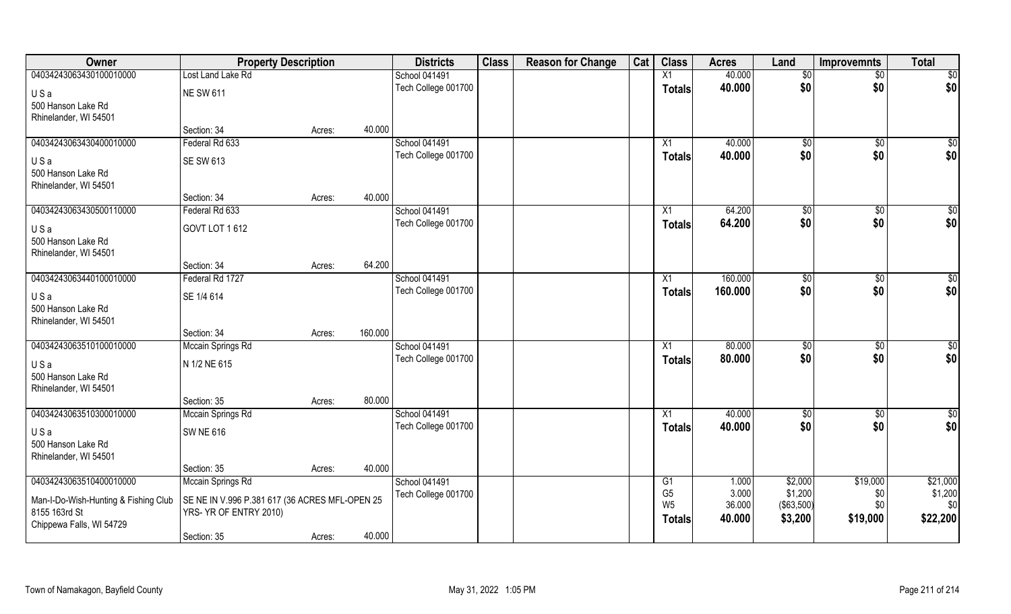| Owner                                | <b>Property Description</b>                    |                   | <b>Districts</b>     | <b>Class</b> | <b>Reason for Change</b> | Cat | <b>Class</b>                     | <b>Acres</b>    | Land                   | <b>Improvemnts</b> | <b>Total</b>    |
|--------------------------------------|------------------------------------------------|-------------------|----------------------|--------------|--------------------------|-----|----------------------------------|-----------------|------------------------|--------------------|-----------------|
| 04034243063430100010000              | Lost Land Lake Rd                              |                   | <b>School 041491</b> |              |                          |     | X1                               | 40.000          | $\sqrt[6]{}$           | $\overline{50}$    | \$0             |
| USa                                  | <b>NE SW 611</b>                               |                   | Tech College 001700  |              |                          |     | <b>Totals</b>                    | 40.000          | \$0                    | \$0                | \$0             |
| 500 Hanson Lake Rd                   |                                                |                   |                      |              |                          |     |                                  |                 |                        |                    |                 |
| Rhinelander, WI 54501                |                                                |                   |                      |              |                          |     |                                  |                 |                        |                    |                 |
|                                      | Section: 34                                    | 40.000<br>Acres:  |                      |              |                          |     |                                  |                 |                        |                    |                 |
| 04034243063430400010000              | Federal Rd 633                                 |                   | School 041491        |              |                          |     | X1                               | 40.000          | \$0                    | \$0                | $\sqrt{50}$     |
| USa                                  | <b>SE SW 613</b>                               |                   | Tech College 001700  |              |                          |     | <b>Totals</b>                    | 40.000          | \$0                    | \$0                | \$0             |
| 500 Hanson Lake Rd                   |                                                |                   |                      |              |                          |     |                                  |                 |                        |                    |                 |
| Rhinelander, WI 54501                |                                                |                   |                      |              |                          |     |                                  |                 |                        |                    |                 |
|                                      | Section: 34                                    | 40.000<br>Acres:  |                      |              |                          |     |                                  |                 |                        |                    |                 |
| 04034243063430500110000              | Federal Rd 633                                 |                   | <b>School 041491</b> |              |                          |     | X1                               | 64.200          | $\sqrt[6]{3}$          | $\sqrt[6]{3}$      | \$0             |
| USa                                  | GOVT LOT 1612                                  |                   | Tech College 001700  |              |                          |     | <b>Totals</b>                    | 64.200          | \$0                    | \$0                | \$0             |
| 500 Hanson Lake Rd                   |                                                |                   |                      |              |                          |     |                                  |                 |                        |                    |                 |
| Rhinelander, WI 54501                |                                                |                   |                      |              |                          |     |                                  |                 |                        |                    |                 |
|                                      | Section: 34                                    | 64.200<br>Acres:  |                      |              |                          |     |                                  |                 |                        |                    |                 |
| 04034243063440100010000              | Federal Rd 1727                                |                   | <b>School 041491</b> |              |                          |     | X1                               | 160.000         | $\frac{1}{20}$         | \$0                | \$0             |
| USa                                  | SE 1/4 614                                     |                   | Tech College 001700  |              |                          |     | <b>Totals</b>                    | 160.000         | \$0                    | \$0                | \$0             |
| 500 Hanson Lake Rd                   |                                                |                   |                      |              |                          |     |                                  |                 |                        |                    |                 |
| Rhinelander, WI 54501                |                                                |                   |                      |              |                          |     |                                  |                 |                        |                    |                 |
|                                      | Section: 34                                    | 160.000<br>Acres: |                      |              |                          |     |                                  |                 |                        |                    |                 |
| 04034243063510100010000              | Mccain Springs Rd                              |                   | School 041491        |              |                          |     | X1                               | 80.000          | $\sqrt[6]{3}$          | $\sqrt[6]{30}$     | $\overline{50}$ |
| USa                                  | N 1/2 NE 615                                   |                   | Tech College 001700  |              |                          |     | <b>Totals</b>                    | 80.000          | \$0                    | \$0                | \$0             |
| 500 Hanson Lake Rd                   |                                                |                   |                      |              |                          |     |                                  |                 |                        |                    |                 |
| Rhinelander, WI 54501                |                                                |                   |                      |              |                          |     |                                  |                 |                        |                    |                 |
|                                      | Section: 35                                    | 80.000<br>Acres:  |                      |              |                          |     |                                  |                 |                        |                    |                 |
| 04034243063510300010000              | Mccain Springs Rd                              |                   | School 041491        |              |                          |     | X1                               | 40.000          | $\sqrt{6}$             | $\sqrt{$0}$        | $\overline{30}$ |
| USa                                  | <b>SW NE 616</b>                               |                   | Tech College 001700  |              |                          |     | <b>Totals</b>                    | 40.000          | \$0                    | \$0                | \$0             |
| 500 Hanson Lake Rd                   |                                                |                   |                      |              |                          |     |                                  |                 |                        |                    |                 |
| Rhinelander, WI 54501                |                                                |                   |                      |              |                          |     |                                  |                 |                        |                    |                 |
|                                      | Section: 35                                    | 40.000<br>Acres:  |                      |              |                          |     |                                  |                 |                        |                    |                 |
| 04034243063510400010000              | Mccain Springs Rd                              |                   | School 041491        |              |                          |     | G1                               | 1.000           | \$2,000                | \$19,000           | \$21,000        |
| Man-I-Do-Wish-Hunting & Fishing Club | SE NE IN V.996 P.381 617 (36 ACRES MFL-OPEN 25 |                   | Tech College 001700  |              |                          |     | G <sub>5</sub><br>W <sub>5</sub> | 3.000<br>36.000 | \$1,200<br>( \$63,500) | \$0<br>\$0         | \$1,200<br>\$0  |
| 8155 163rd St                        | YRS- YR OF ENTRY 2010)                         |                   |                      |              |                          |     | <b>Totals</b>                    | 40.000          | \$3,200                | \$19,000           | \$22,200        |
| Chippewa Falls, WI 54729             |                                                |                   |                      |              |                          |     |                                  |                 |                        |                    |                 |
|                                      | Section: 35                                    | 40.000<br>Acres:  |                      |              |                          |     |                                  |                 |                        |                    |                 |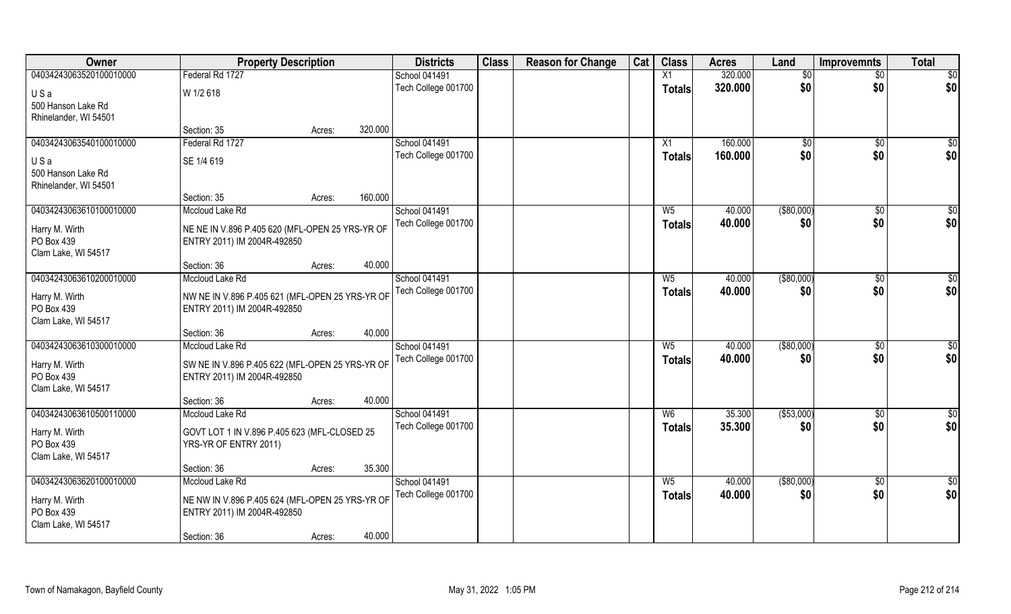| Owner                   | <b>Property Description</b>                     |                   | <b>Districts</b>     | <b>Class</b> | <b>Reason for Change</b> | Cat | <b>Class</b>   | <b>Acres</b> | Land          | <b>Improvemnts</b> | <b>Total</b>     |
|-------------------------|-------------------------------------------------|-------------------|----------------------|--------------|--------------------------|-----|----------------|--------------|---------------|--------------------|------------------|
| 04034243063520100010000 | Federal Rd 1727                                 |                   | <b>School 041491</b> |              |                          |     | X1             | 320.000      | \$0           | $\overline{50}$    | $\overline{50}$  |
| USa                     | W 1/2 618                                       |                   | Tech College 001700  |              |                          |     | <b>Totals</b>  | 320.000      | \$0           | \$0                | \$0              |
| 500 Hanson Lake Rd      |                                                 |                   |                      |              |                          |     |                |              |               |                    |                  |
| Rhinelander, WI 54501   |                                                 |                   |                      |              |                          |     |                |              |               |                    |                  |
|                         | Section: 35                                     | 320.000<br>Acres: |                      |              |                          |     |                |              |               |                    |                  |
| 04034243063540100010000 | Federal Rd 1727                                 |                   | <b>School 041491</b> |              |                          |     | X1             | 160.000      | $\sqrt[6]{}$  | $\sqrt{6}$         | $\overline{\$0}$ |
| USa                     | SE 1/4 619                                      |                   | Tech College 001700  |              |                          |     | <b>Totals</b>  | 160.000      | \$0           | \$0                | \$0              |
| 500 Hanson Lake Rd      |                                                 |                   |                      |              |                          |     |                |              |               |                    |                  |
| Rhinelander, WI 54501   |                                                 |                   |                      |              |                          |     |                |              |               |                    |                  |
|                         | Section: 35                                     | 160.000<br>Acres: |                      |              |                          |     |                |              |               |                    |                  |
| 04034243063610100010000 | Mccloud Lake Rd                                 |                   | School 041491        |              |                          |     | W <sub>5</sub> | 40.000       | $($ \$80,000) | $\sqrt[6]{30}$     | \$0              |
| Harry M. Wirth          | NE NE IN V.896 P.405 620 (MFL-OPEN 25 YRS-YR OF |                   | Tech College 001700  |              |                          |     | <b>Totals</b>  | 40.000       | \$0           | \$0                | \$0              |
| PO Box 439              | ENTRY 2011) IM 2004R-492850                     |                   |                      |              |                          |     |                |              |               |                    |                  |
| Clam Lake, WI 54517     |                                                 |                   |                      |              |                          |     |                |              |               |                    |                  |
|                         | Section: 36                                     | 40.000<br>Acres:  |                      |              |                          |     |                |              |               |                    |                  |
| 04034243063610200010000 | Mccloud Lake Rd                                 |                   | School 041491        |              |                          |     | W <sub>5</sub> | 40.000       | ( \$80,000)   | $\sqrt[6]{3}$      | \$0              |
| Harry M. Wirth          | NW NE IN V.896 P.405 621 (MFL-OPEN 25 YRS-YR OF |                   | Tech College 001700  |              |                          |     | <b>Totals</b>  | 40.000       | \$0           | \$0                | \$0              |
| PO Box 439              | ENTRY 2011) IM 2004R-492850                     |                   |                      |              |                          |     |                |              |               |                    |                  |
| Clam Lake, WI 54517     |                                                 |                   |                      |              |                          |     |                |              |               |                    |                  |
|                         | Section: 36                                     | 40.000<br>Acres:  |                      |              |                          |     |                |              |               |                    |                  |
| 04034243063610300010000 | Mccloud Lake Rd                                 |                   | School 041491        |              |                          |     | $W_5$          | 40.000       | $($ \$80,000) | $\sqrt[6]{3}$      | \$0              |
| Harry M. Wirth          | SW NE IN V.896 P.405 622 (MFL-OPEN 25 YRS-YR OF |                   | Tech College 001700  |              |                          |     | <b>Totals</b>  | 40.000       | \$0           | \$0                | \$0              |
| PO Box 439              | ENTRY 2011) IM 2004R-492850                     |                   |                      |              |                          |     |                |              |               |                    |                  |
| Clam Lake, WI 54517     |                                                 |                   |                      |              |                          |     |                |              |               |                    |                  |
|                         | Section: 36                                     | 40.000<br>Acres:  |                      |              |                          |     |                |              |               |                    |                  |
| 04034243063610500110000 | Mccloud Lake Rd                                 |                   | <b>School 041491</b> |              |                          |     | W <sub>6</sub> | 35.300       | ( \$53,000)   | \$0                | \$0              |
| Harry M. Wirth          | GOVT LOT 1 IN V.896 P.405 623 (MFL-CLOSED 25    |                   | Tech College 001700  |              |                          |     | <b>Totals</b>  | 35.300       | \$0           | \$0                | \$0              |
| PO Box 439              | YRS-YR OF ENTRY 2011)                           |                   |                      |              |                          |     |                |              |               |                    |                  |
| Clam Lake, WI 54517     |                                                 |                   |                      |              |                          |     |                |              |               |                    |                  |
|                         | Section: 36                                     | 35.300<br>Acres:  |                      |              |                          |     |                |              |               |                    |                  |
| 04034243063620100010000 | Mccloud Lake Rd                                 |                   | School 041491        |              |                          |     | $W_5$          | 40.000       | ( \$80,000)   | $\sqrt{$0}$        | $\overline{50}$  |
| Harry M. Wirth          | NE NW IN V.896 P.405 624 (MFL-OPEN 25 YRS-YR OF |                   | Tech College 001700  |              |                          |     | <b>Totals</b>  | 40.000       | \$0           | \$0                | \$0              |
| PO Box 439              | ENTRY 2011) IM 2004R-492850                     |                   |                      |              |                          |     |                |              |               |                    |                  |
| Clam Lake, WI 54517     |                                                 |                   |                      |              |                          |     |                |              |               |                    |                  |
|                         | Section: 36                                     | 40.000<br>Acres:  |                      |              |                          |     |                |              |               |                    |                  |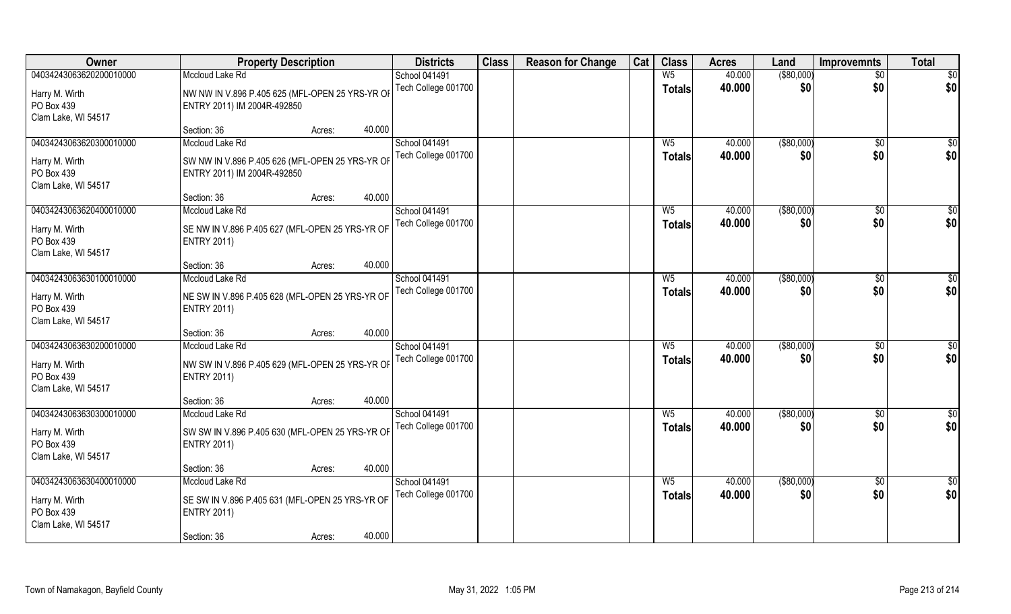| Owner                   | <b>Property Description</b>                     |                  | <b>Districts</b>     | <b>Class</b> | <b>Reason for Change</b> | Cat | <b>Class</b>   | <b>Acres</b> | Land          | <b>Improvemnts</b> | <b>Total</b>    |
|-------------------------|-------------------------------------------------|------------------|----------------------|--------------|--------------------------|-----|----------------|--------------|---------------|--------------------|-----------------|
| 04034243063620200010000 | Mccloud Lake Rd                                 |                  | School 041491        |              |                          |     | $W_5$          | 40.000       | $($ \$80,000) | $\overline{50}$    | $\overline{50}$ |
| Harry M. Wirth          | NW NW IN V.896 P.405 625 (MFL-OPEN 25 YRS-YR OF |                  | Tech College 001700  |              |                          |     | <b>Totals</b>  | 40.000       | \$0           | \$0                | \$0             |
| PO Box 439              | ENTRY 2011) IM 2004R-492850                     |                  |                      |              |                          |     |                |              |               |                    |                 |
| Clam Lake, WI 54517     |                                                 |                  |                      |              |                          |     |                |              |               |                    |                 |
|                         | Section: 36                                     | 40.000<br>Acres: |                      |              |                          |     |                |              |               |                    |                 |
| 04034243063620300010000 | Mccloud Lake Rd                                 |                  | <b>School 041491</b> |              |                          |     | $W_5$          | 40.000       | ( \$80,000)   | \$0                | \$0             |
| Harry M. Wirth          | SW NW IN V.896 P.405 626 (MFL-OPEN 25 YRS-YR OF |                  | Tech College 001700  |              |                          |     | Totals         | 40.000       | \$0           | \$0                | \$0             |
| PO Box 439              | ENTRY 2011) IM 2004R-492850                     |                  |                      |              |                          |     |                |              |               |                    |                 |
| Clam Lake, WI 54517     |                                                 |                  |                      |              |                          |     |                |              |               |                    |                 |
|                         | Section: 36                                     | 40.000<br>Acres: |                      |              |                          |     |                |              |               |                    |                 |
| 04034243063620400010000 | Mccloud Lake Rd                                 |                  | School 041491        |              |                          |     | $W_5$          | 40.000       | $($ \$80,000) | $\sqrt[6]{3}$      | \$0             |
| Harry M. Wirth          | SE NW IN V.896 P.405 627 (MFL-OPEN 25 YRS-YR OF |                  | Tech College 001700  |              |                          |     | <b>Totals</b>  | 40.000       | \$0           | \$0                | \$0             |
| PO Box 439              | <b>ENTRY 2011)</b>                              |                  |                      |              |                          |     |                |              |               |                    |                 |
| Clam Lake, WI 54517     |                                                 |                  |                      |              |                          |     |                |              |               |                    |                 |
|                         | Section: 36                                     | 40.000<br>Acres: |                      |              |                          |     |                |              |               |                    |                 |
| 04034243063630100010000 | Mccloud Lake Rd                                 |                  | <b>School 041491</b> |              |                          |     | $W_5$          | 40.000       | ( \$80,000)   | \$0                | \$0             |
| Harry M. Wirth          | NE SW IN V.896 P.405 628 (MFL-OPEN 25 YRS-YR OF |                  | Tech College 001700  |              |                          |     | <b>Totals</b>  | 40.000       | \$0           | \$0                | \$0             |
| PO Box 439              | <b>ENTRY 2011)</b>                              |                  |                      |              |                          |     |                |              |               |                    |                 |
| Clam Lake, WI 54517     |                                                 |                  |                      |              |                          |     |                |              |               |                    |                 |
|                         | Section: 36                                     | 40.000<br>Acres: |                      |              |                          |     |                |              |               |                    |                 |
| 04034243063630200010000 | Mccloud Lake Rd                                 |                  | School 041491        |              |                          |     | $W_5$          | 40.000       | ( \$80,000)   | $\sqrt[6]{30}$     | \$0             |
|                         |                                                 |                  | Tech College 001700  |              |                          |     | <b>Totals</b>  | 40.000       | \$0           | \$0                | \$0             |
| Harry M. Wirth          | NW SW IN V.896 P.405 629 (MFL-OPEN 25 YRS-YR OF |                  |                      |              |                          |     |                |              |               |                    |                 |
| PO Box 439              | <b>ENTRY 2011)</b>                              |                  |                      |              |                          |     |                |              |               |                    |                 |
| Clam Lake, WI 54517     |                                                 |                  |                      |              |                          |     |                |              |               |                    |                 |
|                         | Section: 36                                     | 40.000<br>Acres: |                      |              |                          |     |                |              |               |                    |                 |
| 04034243063630300010000 | Mccloud Lake Rd                                 |                  | <b>School 041491</b> |              |                          |     | $W_5$          | 40.000       | $($ \$80,000) | $\sqrt{$0}$        | \$0             |
| Harry M. Wirth          | SW SW IN V.896 P.405 630 (MFL-OPEN 25 YRS-YR OF |                  | Tech College 001700  |              |                          |     | <b>Totals</b>  | 40.000       | \$0           | \$0                | \$0             |
| PO Box 439              | <b>ENTRY 2011)</b>                              |                  |                      |              |                          |     |                |              |               |                    |                 |
| Clam Lake, WI 54517     |                                                 |                  |                      |              |                          |     |                |              |               |                    |                 |
|                         | Section: 36                                     | 40.000<br>Acres: |                      |              |                          |     |                |              |               |                    |                 |
| 04034243063630400010000 | Mccloud Lake Rd                                 |                  | <b>School 041491</b> |              |                          |     | W <sub>5</sub> | 40.000       | ( \$80,000)   | \$0                | \$0             |
| Harry M. Wirth          | SE SW IN V.896 P.405 631 (MFL-OPEN 25 YRS-YR OF |                  | Tech College 001700  |              |                          |     | <b>Totals</b>  | 40.000       | \$0           | \$0                | \$0             |
| PO Box 439              | <b>ENTRY 2011)</b>                              |                  |                      |              |                          |     |                |              |               |                    |                 |
| Clam Lake, WI 54517     |                                                 |                  |                      |              |                          |     |                |              |               |                    |                 |
|                         | Section: 36                                     | 40.000<br>Acres: |                      |              |                          |     |                |              |               |                    |                 |